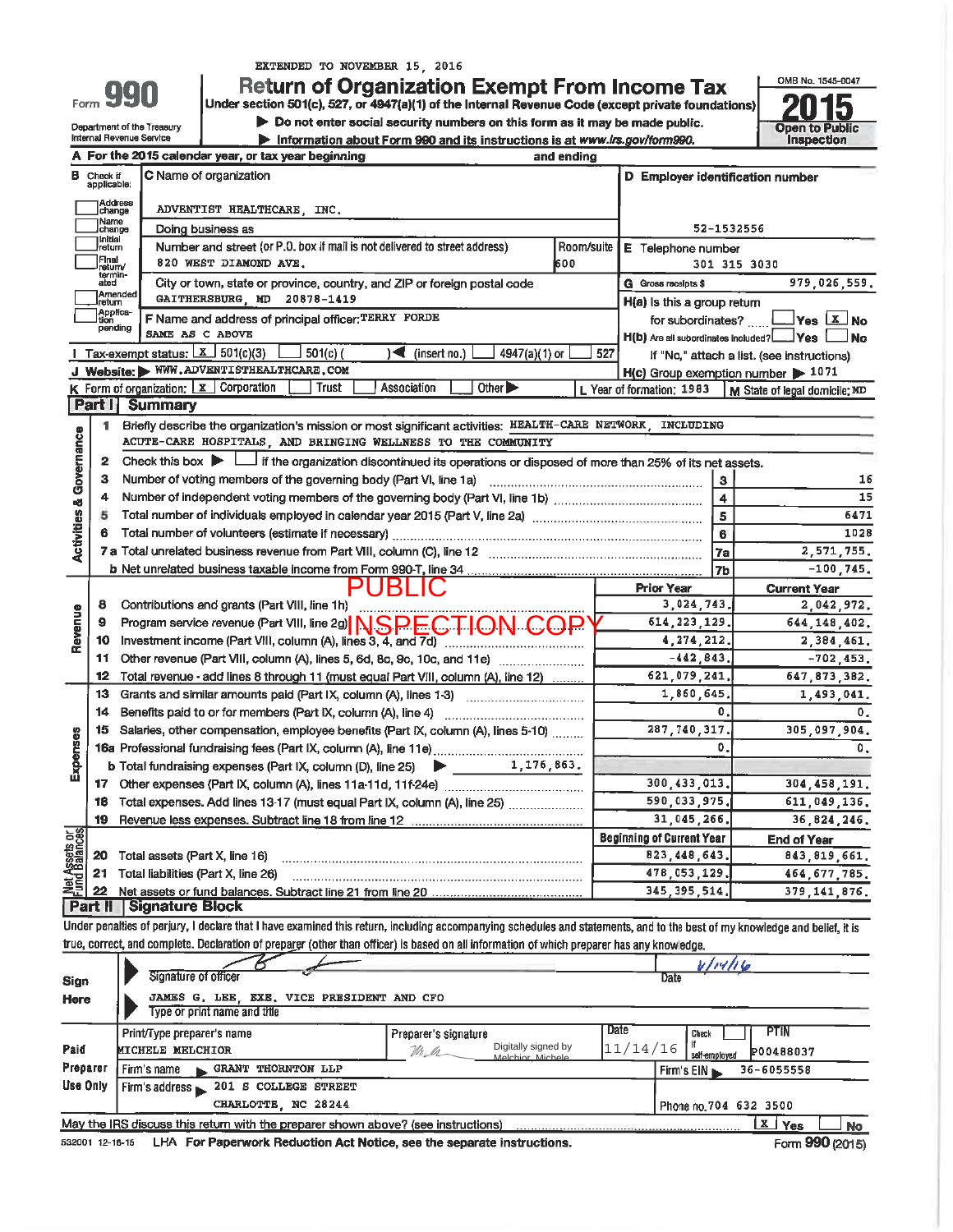|  | EXTENDED TO NOVEMBER 15 2016 |  |
|--|------------------------------|--|
|  |                              |  |

Form 990

**Return of Organization Exempt From Income Tax** 

Under section 501(c), 527, or 4947(a)(1) of the Internal Revenue Code (except private foundations)

OMB No. 1545-0047 5 Open to Public

|                                       |                         |                                                                       |                                                                                                                                                                            | Do not enter social security numbers on this form as it may be made public. |            |                                                     |                         | LV 10                                      |  |  |  |
|---------------------------------------|-------------------------|-----------------------------------------------------------------------|----------------------------------------------------------------------------------------------------------------------------------------------------------------------------|-----------------------------------------------------------------------------|------------|-----------------------------------------------------|-------------------------|--------------------------------------------|--|--|--|
|                                       |                         | Department of the Treasury<br>Internal Revenue Service                |                                                                                                                                                                            | Information about Form 990 and its instructions is at www.irs.gov/form990.  |            |                                                     |                         | <b>Open to Public</b><br>Inspection        |  |  |  |
|                                       |                         |                                                                       | A For the 2015 calendar year, or tax year beginning                                                                                                                        |                                                                             | and ending |                                                     |                         |                                            |  |  |  |
| в.                                    | Check if<br>applicable: |                                                                       | <b>C</b> Name of organization                                                                                                                                              |                                                                             |            | D Employer identification number                    |                         |                                            |  |  |  |
|                                       | change                  | Address                                                               | ADVENTIST HEALTHCARE, INC.                                                                                                                                                 |                                                                             |            |                                                     |                         |                                            |  |  |  |
|                                       | Name<br>change          |                                                                       | Doing business as                                                                                                                                                          |                                                                             |            |                                                     | 52-1532556              |                                            |  |  |  |
|                                       | Initial<br>lretum       |                                                                       | Number and street (or P.O. box if mail is not delivered to street address)                                                                                                 |                                                                             | Room/suite | E Telephone number                                  |                         |                                            |  |  |  |
|                                       | Final<br>return/        |                                                                       | 820 WEST DIAMOND AVE.                                                                                                                                                      |                                                                             | 600        |                                                     | 301 315 3030            |                                            |  |  |  |
|                                       | termin-<br>ated         |                                                                       | City or town, state or province, country, and ZIP or foreign postal code                                                                                                   |                                                                             |            | <b>G</b> Gross receipts \$                          |                         | 979 026 559                                |  |  |  |
|                                       | retum                   | Amended                                                               | GAITHERSBURG MD 20878-1419                                                                                                                                                 |                                                                             |            | $H(a)$ is this a group return                       |                         |                                            |  |  |  |
|                                       | Applica-<br>tion        |                                                                       | F Name and address of principal officer: TERRY FORDE                                                                                                                       |                                                                             |            | for subordinates?                                   |                         | Yes <b>X</b> No                            |  |  |  |
|                                       | pending                 | SAME AS C ABOVE                                                       |                                                                                                                                                                            |                                                                             |            | H(b) Are all subordinates included? Ves             |                         | ⊿No.                                       |  |  |  |
|                                       |                         | Tax-exempt status: $X \mid 501(c)(3)$                                 | $501(c)$ (                                                                                                                                                                 | $\leq$ (insert no.)<br>4947(a)(1) or                                        | 527        |                                                     |                         | If "No," attach a list. (see instructions) |  |  |  |
|                                       |                         |                                                                       | J Website: WWW.ADVENTISTHEALTHCARE.COM                                                                                                                                     |                                                                             |            | $H(c)$ Group exemption number $\triangleright$ 1071 |                         |                                            |  |  |  |
|                                       |                         | K Form of organization:   X   Corporation                             | <b>Trust</b>                                                                                                                                                               | Association<br>Other $\blacktriangleright$                                  |            | L Year of formation: 1983                           |                         | M State of legal domicile; MD              |  |  |  |
|                                       | Part H                  | Summary                                                               |                                                                                                                                                                            |                                                                             |            |                                                     |                         |                                            |  |  |  |
|                                       | 1                       |                                                                       | Briefly describe the organization's mission or most significant activities: HEALTH-CARE NETWORK, INCLUDING                                                                 |                                                                             |            |                                                     |                         |                                            |  |  |  |
| <b>Activities &amp; Governance</b>    |                         |                                                                       | ACUTE-CARE HOSPITALS, AND BRINGING WELLNESS TO THE COMMUNITY                                                                                                               |                                                                             |            |                                                     |                         |                                            |  |  |  |
|                                       | 2                       |                                                                       | Check this box $\blacktriangleright$ if the organization discontinued its operations or disposed of more than 25% of its net assets.                                       |                                                                             |            |                                                     |                         |                                            |  |  |  |
|                                       | з                       |                                                                       |                                                                                                                                                                            |                                                                             |            |                                                     |                         | 16                                         |  |  |  |
|                                       | 4                       |                                                                       |                                                                                                                                                                            |                                                                             |            |                                                     | $\overline{\mathbf{4}}$ | 15                                         |  |  |  |
|                                       | 5                       |                                                                       |                                                                                                                                                                            |                                                                             |            |                                                     | 5                       | 6471                                       |  |  |  |
|                                       | 6                       |                                                                       |                                                                                                                                                                            |                                                                             |            |                                                     | 6                       | 1028                                       |  |  |  |
|                                       |                         |                                                                       |                                                                                                                                                                            |                                                                             |            |                                                     | 7a                      | 2,571,755.                                 |  |  |  |
|                                       |                         |                                                                       |                                                                                                                                                                            |                                                                             |            |                                                     | 7b                      | $-100, 745.$                               |  |  |  |
|                                       |                         |                                                                       |                                                                                                                                                                            | PUBLIC                                                                      |            | <b>Prior Year</b>                                   |                         | <b>Current Year</b>                        |  |  |  |
|                                       | 8                       | Contributions and grants (Part VIII, line 1h)                         | 3,024,743                                                                                                                                                                  |                                                                             | 2,042,972. |                                                     |                         |                                            |  |  |  |
| Revenue                               | 9                       |                                                                       | Program service revenue (Part VIII, line 2g) NSPECTION COP                                                                                                                 | 614, 223, 129.                                                              |            | 644, 148, 402.                                      |                         |                                            |  |  |  |
|                                       | 10                      |                                                                       |                                                                                                                                                                            | 4, 274, 212.                                                                |            | 2,384,461.                                          |                         |                                            |  |  |  |
|                                       | 11                      |                                                                       | Other revenue (Part VIII, column (A), lines 5, 6d, 8c, 9c, 10c, and 11e)                                                                                                   |                                                                             |            | $-442,843$                                          |                         | $-702, 453,$                               |  |  |  |
|                                       | 12                      |                                                                       | Total revenue - add lines 8 through 11 (must equal Part VIII, column (A), line 12)                                                                                         |                                                                             |            | 621,079,241,                                        |                         | 647,873,382.                               |  |  |  |
|                                       | 13                      |                                                                       | Grants and similar amounts paid (Part IX, column (A), lines 1-3)                                                                                                           |                                                                             |            | 1,860,645.                                          |                         | 1,493,041.                                 |  |  |  |
|                                       | 14                      |                                                                       |                                                                                                                                                                            |                                                                             |            |                                                     | ٥                       | 0.                                         |  |  |  |
|                                       | 15                      |                                                                       | Salaries, other compensation, employee benefits (Part IX, column (A), lines 5-10)                                                                                          |                                                                             |            | 287, 740, 317.                                      |                         | 305,097,904.                               |  |  |  |
| Expenses                              |                         |                                                                       |                                                                                                                                                                            |                                                                             |            |                                                     | 0                       | 0.                                         |  |  |  |
|                                       |                         |                                                                       | <b>b</b> Total fundraising expenses (Part IX, column (D), line 25) $\rightarrow$ __________1, 176, 863.                                                                    |                                                                             |            |                                                     |                         |                                            |  |  |  |
|                                       |                         |                                                                       |                                                                                                                                                                            |                                                                             |            | 300,433,013.                                        |                         | 304, 458, 191.                             |  |  |  |
|                                       |                         |                                                                       | 18 Total expenses. Add lines 13-17 (must equal Part IX, column (A), line 25)                                                                                               |                                                                             |            | 590.033.975.                                        |                         | 611,049,136.                               |  |  |  |
|                                       | 19                      |                                                                       |                                                                                                                                                                            |                                                                             |            | 31,045,266.                                         |                         | 36,824,246.                                |  |  |  |
| <b>Net Assets or</b><br>Fund Balances |                         |                                                                       |                                                                                                                                                                            |                                                                             |            | <b>Beginning of Current Year</b><br>823, 448, 643.  |                         | <b>End of Year</b>                         |  |  |  |
|                                       | 20<br>21                | Total assets (Part X, line 16)<br>Total liabilities (Part X, line 26) |                                                                                                                                                                            |                                                                             |            | 478,053,129.                                        |                         | 843, 819, 661.                             |  |  |  |
|                                       | 22                      |                                                                       |                                                                                                                                                                            |                                                                             |            | 345, 395, 514                                       |                         | 464, 677, 785.<br>379, 141, 876.           |  |  |  |
|                                       | <b>Part II</b>          | Signature Block                                                       | Net assets or fund balances. Subtract line 21 from line 20                                                                                                                 |                                                                             |            |                                                     |                         |                                            |  |  |  |
|                                       |                         |                                                                       | Under penalties of perjury, I declare that I have examined this return, including accompanying schedules and statements, and to the best of my knowledge and belief, it is |                                                                             |            |                                                     |                         |                                            |  |  |  |
|                                       |                         |                                                                       | true, correct, and complete. Declaration of preparer (other than officer) is based on all information of which preparer has any knowledge.                                 |                                                                             |            |                                                     |                         |                                            |  |  |  |
|                                       |                         |                                                                       |                                                                                                                                                                            |                                                                             |            |                                                     | V/14/16                 |                                            |  |  |  |
| Sign                                  |                         | Signature of officer                                                  |                                                                                                                                                                            |                                                                             |            | Date                                                |                         |                                            |  |  |  |
| Here                                  |                         |                                                                       | JAMES G. LEE, EXE, VICE PRESIDENT AND CFO                                                                                                                                  |                                                                             |            |                                                     |                         |                                            |  |  |  |
|                                       |                         |                                                                       | Type or print name and title                                                                                                                                               |                                                                             |            |                                                     |                         |                                            |  |  |  |
|                                       |                         | Print/Type preparer's name                                            |                                                                                                                                                                            | Preparer's signature                                                        |            | <b>Date</b><br>Check                                |                         | <b>PTIN</b>                                |  |  |  |
| Paid                                  |                         | MICHELE MELCHIOR                                                      |                                                                                                                                                                            | Digitally signed by<br>M.A<br>Melchior, Michele                             |            | 11/14/16<br>self-employed                           |                         | P00488037                                  |  |  |  |
| Preparer                              |                         | Firm's name                                                           | <b>GRANT THORNTON LLP</b>                                                                                                                                                  |                                                                             |            | Firm's EIN                                          |                         | 36-6055558                                 |  |  |  |
| Use Only                              |                         | Firm's address                                                        | 201 S COLLEGE STREET                                                                                                                                                       |                                                                             |            |                                                     |                         |                                            |  |  |  |
|                                       |                         |                                                                       | CHARLOTTE NC 28244                                                                                                                                                         |                                                                             |            | Phone no 704 632 3500                               |                         |                                            |  |  |  |

May the IRS discuss this return with the preparer shown above? (see instructions) 532001 12-16-15 LHA For Paperwork Reduction Act Notice, see the separate instructions. **No**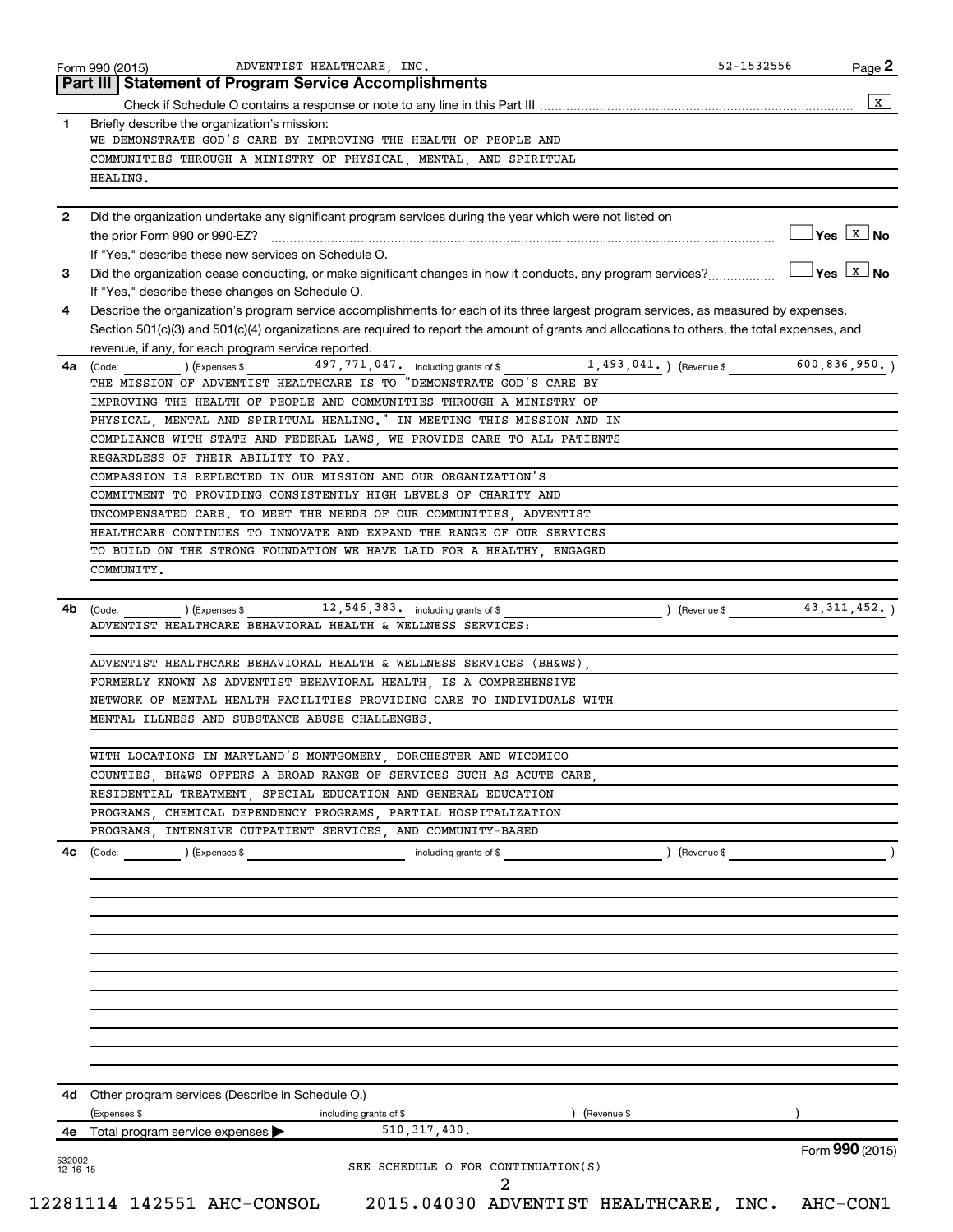|              | Part III Statement of Program Service Accomplishments                                                                                                                                                                                                                                                                                                                                                                                                                             |                                         |              |
|--------------|-----------------------------------------------------------------------------------------------------------------------------------------------------------------------------------------------------------------------------------------------------------------------------------------------------------------------------------------------------------------------------------------------------------------------------------------------------------------------------------|-----------------------------------------|--------------|
|              |                                                                                                                                                                                                                                                                                                                                                                                                                                                                                   |                                         | $\mathbf{x}$ |
| 1            | Briefly describe the organization's mission:                                                                                                                                                                                                                                                                                                                                                                                                                                      |                                         |              |
|              | WE DEMONSTRATE GOD'S CARE BY IMPROVING THE HEALTH OF PEOPLE AND                                                                                                                                                                                                                                                                                                                                                                                                                   |                                         |              |
|              | COMMUNITIES THROUGH A MINISTRY OF PHYSICAL, MENTAL, AND SPIRITUAL                                                                                                                                                                                                                                                                                                                                                                                                                 |                                         |              |
|              | HEALING.                                                                                                                                                                                                                                                                                                                                                                                                                                                                          |                                         |              |
| $\mathbf{2}$ | Did the organization undertake any significant program services during the year which were not listed on                                                                                                                                                                                                                                                                                                                                                                          |                                         |              |
|              |                                                                                                                                                                                                                                                                                                                                                                                                                                                                                   | $\frac{1}{2}$ Yes $\boxed{\text{x}}$ No |              |
|              | If "Yes." describe these new services on Schedule O.                                                                                                                                                                                                                                                                                                                                                                                                                              |                                         |              |
| 3            | Did the organization cease conducting, or make significant changes in how it conducts, any program services?                                                                                                                                                                                                                                                                                                                                                                      | $\frac{1}{2}$ Yes $\frac{1}{2}$ No      |              |
|              | If "Yes," describe these changes on Schedule O.                                                                                                                                                                                                                                                                                                                                                                                                                                   |                                         |              |
| 4            | Describe the organization's program service accomplishments for each of its three largest program services, as measured by expenses.                                                                                                                                                                                                                                                                                                                                              |                                         |              |
|              | Section 501(c)(3) and 501(c)(4) organizations are required to report the amount of grants and allocations to others, the total expenses, and                                                                                                                                                                                                                                                                                                                                      |                                         |              |
|              | revenue, if any, for each program service reported.<br>(Code: ) (Expenses \$497, 771, 047. including grants of \$1, 493, 041. ) (Revenue \$600, 836, 950. )                                                                                                                                                                                                                                                                                                                       |                                         |              |
| 4a           | THE MISSION OF ADVENTIST HEALTHCARE IS TO "DEMONSTRATE GOD'S CARE BY                                                                                                                                                                                                                                                                                                                                                                                                              |                                         |              |
|              | IMPROVING THE HEALTH OF PEOPLE AND COMMUNITIES THROUGH A MINISTRY OF                                                                                                                                                                                                                                                                                                                                                                                                              |                                         |              |
|              | PHYSICAL, MENTAL AND SPIRITUAL HEALING." IN MEETING THIS MISSION AND IN                                                                                                                                                                                                                                                                                                                                                                                                           |                                         |              |
|              | COMPLIANCE WITH STATE AND FEDERAL LAWS, WE PROVIDE CARE TO ALL PATIENTS                                                                                                                                                                                                                                                                                                                                                                                                           |                                         |              |
|              | REGARDLESS OF THEIR ABILITY TO PAY.                                                                                                                                                                                                                                                                                                                                                                                                                                               |                                         |              |
|              | COMPASSION IS REFLECTED IN OUR MISSION AND OUR ORGANIZATION'S                                                                                                                                                                                                                                                                                                                                                                                                                     |                                         |              |
|              | COMMITMENT TO PROVIDING CONSISTENTLY HIGH LEVELS OF CHARITY AND                                                                                                                                                                                                                                                                                                                                                                                                                   |                                         |              |
|              | UNCOMPENSATED CARE. TO MEET THE NEEDS OF OUR COMMUNITIES, ADVENTIST                                                                                                                                                                                                                                                                                                                                                                                                               |                                         |              |
|              | HEALTHCARE CONTINUES TO INNOVATE AND EXPAND THE RANGE OF OUR SERVICES                                                                                                                                                                                                                                                                                                                                                                                                             |                                         |              |
|              | TO BUILD ON THE STRONG FOUNDATION WE HAVE LAID FOR A HEALTHY ENGAGED                                                                                                                                                                                                                                                                                                                                                                                                              |                                         |              |
|              | COMMUNITY.                                                                                                                                                                                                                                                                                                                                                                                                                                                                        |                                         |              |
|              | ADVENTIST HEALTHCARE BEHAVIORAL HEALTH & WELLNESS SERVICES (BH&WS),<br>FORMERLY KNOWN AS ADVENTIST BEHAVIORAL HEALTH IS A COMPREHENSIVE<br>NETWORK OF MENTAL HEALTH FACILITIES PROVIDING CARE TO INDIVIDUALS WITH<br>MENTAL ILLNESS AND SUBSTANCE ABUSE CHALLENGES.<br>WITH LOCATIONS IN MARYLAND'S MONTGOMERY, DORCHESTER AND WICOMICO<br>COUNTIES, BH&WS OFFERS A BROAD RANGE OF SERVICES SUCH AS ACUTE CARE,<br>RESIDENTIAL TREATMENT, SPECIAL EDUCATION AND GENERAL EDUCATION |                                         |              |
|              | PROGRAMS, CHEMICAL DEPENDENCY PROGRAMS, PARTIAL HOSPITALIZATION                                                                                                                                                                                                                                                                                                                                                                                                                   |                                         |              |
|              | PROGRAMS, INTENSIVE OUTPATIENT SERVICES, AND COMMUNITY-BASED                                                                                                                                                                                                                                                                                                                                                                                                                      |                                         |              |
| 4c           | (Code: $($ Code: $)$ (Expenses \$<br>) (Revenue \$                                                                                                                                                                                                                                                                                                                                                                                                                                |                                         |              |
|              |                                                                                                                                                                                                                                                                                                                                                                                                                                                                                   |                                         |              |
|              |                                                                                                                                                                                                                                                                                                                                                                                                                                                                                   |                                         |              |
|              |                                                                                                                                                                                                                                                                                                                                                                                                                                                                                   |                                         |              |
|              |                                                                                                                                                                                                                                                                                                                                                                                                                                                                                   |                                         |              |
|              |                                                                                                                                                                                                                                                                                                                                                                                                                                                                                   |                                         |              |
|              |                                                                                                                                                                                                                                                                                                                                                                                                                                                                                   |                                         |              |
|              |                                                                                                                                                                                                                                                                                                                                                                                                                                                                                   |                                         |              |
|              |                                                                                                                                                                                                                                                                                                                                                                                                                                                                                   |                                         |              |
|              | 4d Other program services (Describe in Schedule O.)                                                                                                                                                                                                                                                                                                                                                                                                                               |                                         |              |
| 4e           | (Expenses \$<br>including grants of \$<br>) (Revenue \$<br>510, 317, 430.<br>Total program service expenses >                                                                                                                                                                                                                                                                                                                                                                     |                                         |              |
| 532002       | SEE SCHEDULE O FOR CONTINUATION(S)                                                                                                                                                                                                                                                                                                                                                                                                                                                | Form 990 (2015)                         |              |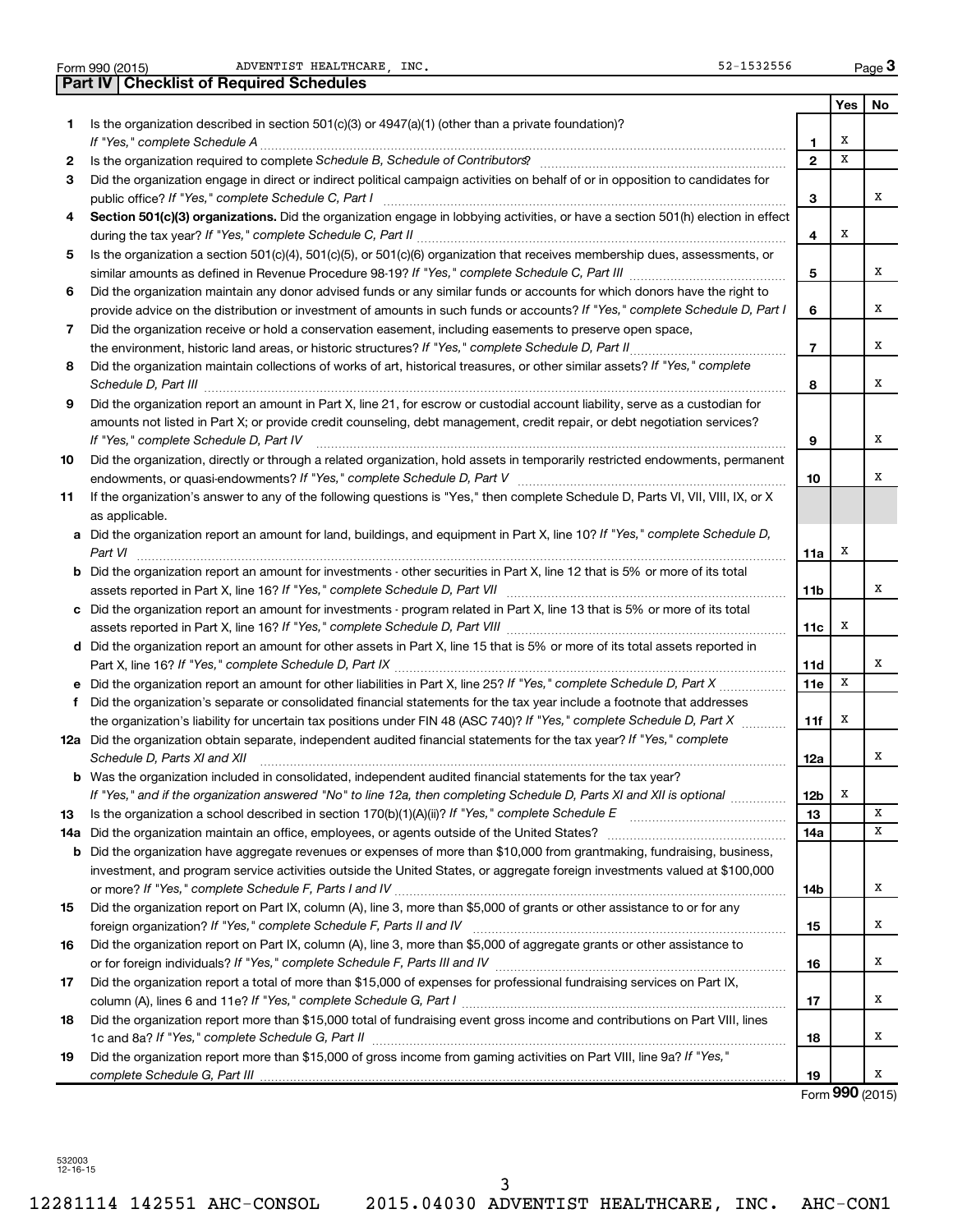| Yes<br>Is the organization described in section 501(c)(3) or 4947(a)(1) (other than a private foundation)?<br>1<br>X<br>1<br>Is the organization required to complete Schedule B, Schedule of Contributors? [11] the organization required to complete Schedule B, Schedule of Contributors?<br>$\mathbf{2}$<br>x<br>2<br>3<br>Did the organization engage in direct or indirect political campaign activities on behalf of or in opposition to candidates for<br>з<br>Section 501(c)(3) organizations. Did the organization engage in lobbying activities, or have a section 501(h) election in effect<br>4<br>x<br>4<br>Is the organization a section 501(c)(4), 501(c)(5), or 501(c)(6) organization that receives membership dues, assessments, or<br>5<br>5<br>Did the organization maintain any donor advised funds or any similar funds or accounts for which donors have the right to<br>6<br>provide advice on the distribution or investment of amounts in such funds or accounts? If "Yes," complete Schedule D, Part I<br>6<br>Did the organization receive or hold a conservation easement, including easements to preserve open space,<br>7<br>7<br>Did the organization maintain collections of works of art, historical treasures, or other similar assets? If "Yes," complete<br>8<br>Schedule D, Part III <b>Marting Communities</b> and the contract of the contract of the contract of the contract of the contract of the contract of the contract of the contract of the contract of the contract of the contract of<br>8<br>Did the organization report an amount in Part X, line 21, for escrow or custodial account liability, serve as a custodian for<br>9<br>amounts not listed in Part X; or provide credit counseling, debt management, credit repair, or debt negotiation services?<br>If "Yes," complete Schedule D, Part IV<br>9<br>Did the organization, directly or through a related organization, hold assets in temporarily restricted endowments, permanent<br>10<br>10<br>If the organization's answer to any of the following questions is "Yes," then complete Schedule D, Parts VI, VII, VIII, IX, or X<br>11<br>as applicable.<br>a Did the organization report an amount for land, buildings, and equipment in Part X, line 10? If "Yes," complete Schedule D,<br>x<br>Part VI<br>11a<br><b>b</b> Did the organization report an amount for investments - other securities in Part X, line 12 that is 5% or more of its total<br>assets reported in Part X, line 16? If "Yes," complete Schedule D, Part VII [11] [11] [12] [12] [12] [12] [13] [<br>11 <sub>b</sub><br>c Did the organization report an amount for investments - program related in Part X, line 13 that is 5% or more of its total<br>x<br>11c<br>d Did the organization report an amount for other assets in Part X, line 15 that is 5% or more of its total assets reported in<br>x<br>11d<br>x<br>11e<br>Did the organization's separate or consolidated financial statements for the tax year include a footnote that addresses<br>f<br>the organization's liability for uncertain tax positions under FIN 48 (ASC 740)? If "Yes," complete Schedule D, Part X<br>x<br>11f<br>12a Did the organization obtain separate, independent audited financial statements for the tax year? If "Yes," complete<br>Schedule D, Parts XI and XII<br>x<br>12a<br><b>b</b> Was the organization included in consolidated, independent audited financial statements for the tax year?<br>X<br>If "Yes," and if the organization answered "No" to line 12a, then completing Schedule D, Parts XI and XII is optional <i>manum</i><br>12 <sub>b</sub><br>13<br>13<br>Did the organization maintain an office, employees, or agents outside of the United States? [1111] Did the organization maintain an office, employees, or agents outside of the United States?<br>14a<br>14a<br><b>b</b> Did the organization have aggregate revenues or expenses of more than \$10,000 from grantmaking, fundraising, business,<br>investment, and program service activities outside the United States, or aggregate foreign investments valued at \$100,000<br>14b<br>Did the organization report on Part IX, column (A), line 3, more than \$5,000 of grants or other assistance to or for any<br>15<br>15<br>Did the organization report on Part IX, column (A), line 3, more than \$5,000 of aggregate grants or other assistance to<br>16<br>16<br>Did the organization report a total of more than \$15,000 of expenses for professional fundraising services on Part IX,<br>17<br>17<br>Did the organization report more than \$15,000 total of fundraising event gross income and contributions on Part VIII, lines<br>18<br>18<br>Did the organization report more than \$15,000 of gross income from gaming activities on Part VIII, line 9a? If "Yes,"<br>19 | <b>Part IV   Checklist of Required Schedules</b> |    |           |
|-------------------------------------------------------------------------------------------------------------------------------------------------------------------------------------------------------------------------------------------------------------------------------------------------------------------------------------------------------------------------------------------------------------------------------------------------------------------------------------------------------------------------------------------------------------------------------------------------------------------------------------------------------------------------------------------------------------------------------------------------------------------------------------------------------------------------------------------------------------------------------------------------------------------------------------------------------------------------------------------------------------------------------------------------------------------------------------------------------------------------------------------------------------------------------------------------------------------------------------------------------------------------------------------------------------------------------------------------------------------------------------------------------------------------------------------------------------------------------------------------------------------------------------------------------------------------------------------------------------------------------------------------------------------------------------------------------------------------------------------------------------------------------------------------------------------------------------------------------------------------------------------------------------------------------------------------------------------------------------------------------------------------------------------------------------------------------------------------------------------------------------------------------------------------------------------------------------------------------------------------------------------------------------------------------------------------------------------------------------------------------------------------------------------------------------------------------------------------------------------------------------------------------------------------------------------------------------------------------------------------------------------------------------------------------------------------------------------------------------------------------------------------------------------------------------------------------------------------------------------------------------------------------------------------------------------------------------------------------------------------------------------------------------------------------------------------------------------------------------------------------------------------------------------------------------------------------------------------------------------------------------------------------------------------------------------------------------------------------------------------------------------------------------------------------------------------------------------------------------------------------------------------------------------------------------------------------------------------------------------------------------------------------------------------------------------------------------------------------------------------------------------------------------------------------------------------------------------------------------------------------------------------------------------------------------------------------------------------------------------------------------------------------------------------------------------------------------------------------------------------------------------------------------------------------------------------------------------------------------------------------------------------------------------------------------------------------------------------------------------------------------------------------------------------------------------------------------------------------------------------------------------------------------------------------------------------------------------------------------------------------------------------------------------------------------------------------------------------------------------------------------------------------------------------------------------------------------------------------------------|--------------------------------------------------|----|-----------|
|                                                                                                                                                                                                                                                                                                                                                                                                                                                                                                                                                                                                                                                                                                                                                                                                                                                                                                                                                                                                                                                                                                                                                                                                                                                                                                                                                                                                                                                                                                                                                                                                                                                                                                                                                                                                                                                                                                                                                                                                                                                                                                                                                                                                                                                                                                                                                                                                                                                                                                                                                                                                                                                                                                                                                                                                                                                                                                                                                                                                                                                                                                                                                                                                                                                                                                                                                                                                                                                                                                                                                                                                                                                                                                                                                                                                                                                                                                                                                                                                                                                                                                                                                                                                                                                                                                                                                                                                                                                                                                                                                                                                                                                                                                                                                                                                                                                                   |                                                  |    | <b>No</b> |
|                                                                                                                                                                                                                                                                                                                                                                                                                                                                                                                                                                                                                                                                                                                                                                                                                                                                                                                                                                                                                                                                                                                                                                                                                                                                                                                                                                                                                                                                                                                                                                                                                                                                                                                                                                                                                                                                                                                                                                                                                                                                                                                                                                                                                                                                                                                                                                                                                                                                                                                                                                                                                                                                                                                                                                                                                                                                                                                                                                                                                                                                                                                                                                                                                                                                                                                                                                                                                                                                                                                                                                                                                                                                                                                                                                                                                                                                                                                                                                                                                                                                                                                                                                                                                                                                                                                                                                                                                                                                                                                                                                                                                                                                                                                                                                                                                                                                   |                                                  |    |           |
|                                                                                                                                                                                                                                                                                                                                                                                                                                                                                                                                                                                                                                                                                                                                                                                                                                                                                                                                                                                                                                                                                                                                                                                                                                                                                                                                                                                                                                                                                                                                                                                                                                                                                                                                                                                                                                                                                                                                                                                                                                                                                                                                                                                                                                                                                                                                                                                                                                                                                                                                                                                                                                                                                                                                                                                                                                                                                                                                                                                                                                                                                                                                                                                                                                                                                                                                                                                                                                                                                                                                                                                                                                                                                                                                                                                                                                                                                                                                                                                                                                                                                                                                                                                                                                                                                                                                                                                                                                                                                                                                                                                                                                                                                                                                                                                                                                                                   |                                                  |    |           |
|                                                                                                                                                                                                                                                                                                                                                                                                                                                                                                                                                                                                                                                                                                                                                                                                                                                                                                                                                                                                                                                                                                                                                                                                                                                                                                                                                                                                                                                                                                                                                                                                                                                                                                                                                                                                                                                                                                                                                                                                                                                                                                                                                                                                                                                                                                                                                                                                                                                                                                                                                                                                                                                                                                                                                                                                                                                                                                                                                                                                                                                                                                                                                                                                                                                                                                                                                                                                                                                                                                                                                                                                                                                                                                                                                                                                                                                                                                                                                                                                                                                                                                                                                                                                                                                                                                                                                                                                                                                                                                                                                                                                                                                                                                                                                                                                                                                                   |                                                  |    |           |
|                                                                                                                                                                                                                                                                                                                                                                                                                                                                                                                                                                                                                                                                                                                                                                                                                                                                                                                                                                                                                                                                                                                                                                                                                                                                                                                                                                                                                                                                                                                                                                                                                                                                                                                                                                                                                                                                                                                                                                                                                                                                                                                                                                                                                                                                                                                                                                                                                                                                                                                                                                                                                                                                                                                                                                                                                                                                                                                                                                                                                                                                                                                                                                                                                                                                                                                                                                                                                                                                                                                                                                                                                                                                                                                                                                                                                                                                                                                                                                                                                                                                                                                                                                                                                                                                                                                                                                                                                                                                                                                                                                                                                                                                                                                                                                                                                                                                   |                                                  |    |           |
|                                                                                                                                                                                                                                                                                                                                                                                                                                                                                                                                                                                                                                                                                                                                                                                                                                                                                                                                                                                                                                                                                                                                                                                                                                                                                                                                                                                                                                                                                                                                                                                                                                                                                                                                                                                                                                                                                                                                                                                                                                                                                                                                                                                                                                                                                                                                                                                                                                                                                                                                                                                                                                                                                                                                                                                                                                                                                                                                                                                                                                                                                                                                                                                                                                                                                                                                                                                                                                                                                                                                                                                                                                                                                                                                                                                                                                                                                                                                                                                                                                                                                                                                                                                                                                                                                                                                                                                                                                                                                                                                                                                                                                                                                                                                                                                                                                                                   |                                                  |    | x         |
|                                                                                                                                                                                                                                                                                                                                                                                                                                                                                                                                                                                                                                                                                                                                                                                                                                                                                                                                                                                                                                                                                                                                                                                                                                                                                                                                                                                                                                                                                                                                                                                                                                                                                                                                                                                                                                                                                                                                                                                                                                                                                                                                                                                                                                                                                                                                                                                                                                                                                                                                                                                                                                                                                                                                                                                                                                                                                                                                                                                                                                                                                                                                                                                                                                                                                                                                                                                                                                                                                                                                                                                                                                                                                                                                                                                                                                                                                                                                                                                                                                                                                                                                                                                                                                                                                                                                                                                                                                                                                                                                                                                                                                                                                                                                                                                                                                                                   |                                                  |    |           |
|                                                                                                                                                                                                                                                                                                                                                                                                                                                                                                                                                                                                                                                                                                                                                                                                                                                                                                                                                                                                                                                                                                                                                                                                                                                                                                                                                                                                                                                                                                                                                                                                                                                                                                                                                                                                                                                                                                                                                                                                                                                                                                                                                                                                                                                                                                                                                                                                                                                                                                                                                                                                                                                                                                                                                                                                                                                                                                                                                                                                                                                                                                                                                                                                                                                                                                                                                                                                                                                                                                                                                                                                                                                                                                                                                                                                                                                                                                                                                                                                                                                                                                                                                                                                                                                                                                                                                                                                                                                                                                                                                                                                                                                                                                                                                                                                                                                                   |                                                  |    |           |
|                                                                                                                                                                                                                                                                                                                                                                                                                                                                                                                                                                                                                                                                                                                                                                                                                                                                                                                                                                                                                                                                                                                                                                                                                                                                                                                                                                                                                                                                                                                                                                                                                                                                                                                                                                                                                                                                                                                                                                                                                                                                                                                                                                                                                                                                                                                                                                                                                                                                                                                                                                                                                                                                                                                                                                                                                                                                                                                                                                                                                                                                                                                                                                                                                                                                                                                                                                                                                                                                                                                                                                                                                                                                                                                                                                                                                                                                                                                                                                                                                                                                                                                                                                                                                                                                                                                                                                                                                                                                                                                                                                                                                                                                                                                                                                                                                                                                   |                                                  |    |           |
|                                                                                                                                                                                                                                                                                                                                                                                                                                                                                                                                                                                                                                                                                                                                                                                                                                                                                                                                                                                                                                                                                                                                                                                                                                                                                                                                                                                                                                                                                                                                                                                                                                                                                                                                                                                                                                                                                                                                                                                                                                                                                                                                                                                                                                                                                                                                                                                                                                                                                                                                                                                                                                                                                                                                                                                                                                                                                                                                                                                                                                                                                                                                                                                                                                                                                                                                                                                                                                                                                                                                                                                                                                                                                                                                                                                                                                                                                                                                                                                                                                                                                                                                                                                                                                                                                                                                                                                                                                                                                                                                                                                                                                                                                                                                                                                                                                                                   |                                                  |    | x         |
|                                                                                                                                                                                                                                                                                                                                                                                                                                                                                                                                                                                                                                                                                                                                                                                                                                                                                                                                                                                                                                                                                                                                                                                                                                                                                                                                                                                                                                                                                                                                                                                                                                                                                                                                                                                                                                                                                                                                                                                                                                                                                                                                                                                                                                                                                                                                                                                                                                                                                                                                                                                                                                                                                                                                                                                                                                                                                                                                                                                                                                                                                                                                                                                                                                                                                                                                                                                                                                                                                                                                                                                                                                                                                                                                                                                                                                                                                                                                                                                                                                                                                                                                                                                                                                                                                                                                                                                                                                                                                                                                                                                                                                                                                                                                                                                                                                                                   |                                                  |    |           |
|                                                                                                                                                                                                                                                                                                                                                                                                                                                                                                                                                                                                                                                                                                                                                                                                                                                                                                                                                                                                                                                                                                                                                                                                                                                                                                                                                                                                                                                                                                                                                                                                                                                                                                                                                                                                                                                                                                                                                                                                                                                                                                                                                                                                                                                                                                                                                                                                                                                                                                                                                                                                                                                                                                                                                                                                                                                                                                                                                                                                                                                                                                                                                                                                                                                                                                                                                                                                                                                                                                                                                                                                                                                                                                                                                                                                                                                                                                                                                                                                                                                                                                                                                                                                                                                                                                                                                                                                                                                                                                                                                                                                                                                                                                                                                                                                                                                                   |                                                  |    | x         |
|                                                                                                                                                                                                                                                                                                                                                                                                                                                                                                                                                                                                                                                                                                                                                                                                                                                                                                                                                                                                                                                                                                                                                                                                                                                                                                                                                                                                                                                                                                                                                                                                                                                                                                                                                                                                                                                                                                                                                                                                                                                                                                                                                                                                                                                                                                                                                                                                                                                                                                                                                                                                                                                                                                                                                                                                                                                                                                                                                                                                                                                                                                                                                                                                                                                                                                                                                                                                                                                                                                                                                                                                                                                                                                                                                                                                                                                                                                                                                                                                                                                                                                                                                                                                                                                                                                                                                                                                                                                                                                                                                                                                                                                                                                                                                                                                                                                                   |                                                  |    |           |
|                                                                                                                                                                                                                                                                                                                                                                                                                                                                                                                                                                                                                                                                                                                                                                                                                                                                                                                                                                                                                                                                                                                                                                                                                                                                                                                                                                                                                                                                                                                                                                                                                                                                                                                                                                                                                                                                                                                                                                                                                                                                                                                                                                                                                                                                                                                                                                                                                                                                                                                                                                                                                                                                                                                                                                                                                                                                                                                                                                                                                                                                                                                                                                                                                                                                                                                                                                                                                                                                                                                                                                                                                                                                                                                                                                                                                                                                                                                                                                                                                                                                                                                                                                                                                                                                                                                                                                                                                                                                                                                                                                                                                                                                                                                                                                                                                                                                   |                                                  |    | x         |
|                                                                                                                                                                                                                                                                                                                                                                                                                                                                                                                                                                                                                                                                                                                                                                                                                                                                                                                                                                                                                                                                                                                                                                                                                                                                                                                                                                                                                                                                                                                                                                                                                                                                                                                                                                                                                                                                                                                                                                                                                                                                                                                                                                                                                                                                                                                                                                                                                                                                                                                                                                                                                                                                                                                                                                                                                                                                                                                                                                                                                                                                                                                                                                                                                                                                                                                                                                                                                                                                                                                                                                                                                                                                                                                                                                                                                                                                                                                                                                                                                                                                                                                                                                                                                                                                                                                                                                                                                                                                                                                                                                                                                                                                                                                                                                                                                                                                   |                                                  |    |           |
|                                                                                                                                                                                                                                                                                                                                                                                                                                                                                                                                                                                                                                                                                                                                                                                                                                                                                                                                                                                                                                                                                                                                                                                                                                                                                                                                                                                                                                                                                                                                                                                                                                                                                                                                                                                                                                                                                                                                                                                                                                                                                                                                                                                                                                                                                                                                                                                                                                                                                                                                                                                                                                                                                                                                                                                                                                                                                                                                                                                                                                                                                                                                                                                                                                                                                                                                                                                                                                                                                                                                                                                                                                                                                                                                                                                                                                                                                                                                                                                                                                                                                                                                                                                                                                                                                                                                                                                                                                                                                                                                                                                                                                                                                                                                                                                                                                                                   |                                                  |    | x         |
|                                                                                                                                                                                                                                                                                                                                                                                                                                                                                                                                                                                                                                                                                                                                                                                                                                                                                                                                                                                                                                                                                                                                                                                                                                                                                                                                                                                                                                                                                                                                                                                                                                                                                                                                                                                                                                                                                                                                                                                                                                                                                                                                                                                                                                                                                                                                                                                                                                                                                                                                                                                                                                                                                                                                                                                                                                                                                                                                                                                                                                                                                                                                                                                                                                                                                                                                                                                                                                                                                                                                                                                                                                                                                                                                                                                                                                                                                                                                                                                                                                                                                                                                                                                                                                                                                                                                                                                                                                                                                                                                                                                                                                                                                                                                                                                                                                                                   |                                                  |    |           |
|                                                                                                                                                                                                                                                                                                                                                                                                                                                                                                                                                                                                                                                                                                                                                                                                                                                                                                                                                                                                                                                                                                                                                                                                                                                                                                                                                                                                                                                                                                                                                                                                                                                                                                                                                                                                                                                                                                                                                                                                                                                                                                                                                                                                                                                                                                                                                                                                                                                                                                                                                                                                                                                                                                                                                                                                                                                                                                                                                                                                                                                                                                                                                                                                                                                                                                                                                                                                                                                                                                                                                                                                                                                                                                                                                                                                                                                                                                                                                                                                                                                                                                                                                                                                                                                                                                                                                                                                                                                                                                                                                                                                                                                                                                                                                                                                                                                                   |                                                  |    |           |
|                                                                                                                                                                                                                                                                                                                                                                                                                                                                                                                                                                                                                                                                                                                                                                                                                                                                                                                                                                                                                                                                                                                                                                                                                                                                                                                                                                                                                                                                                                                                                                                                                                                                                                                                                                                                                                                                                                                                                                                                                                                                                                                                                                                                                                                                                                                                                                                                                                                                                                                                                                                                                                                                                                                                                                                                                                                                                                                                                                                                                                                                                                                                                                                                                                                                                                                                                                                                                                                                                                                                                                                                                                                                                                                                                                                                                                                                                                                                                                                                                                                                                                                                                                                                                                                                                                                                                                                                                                                                                                                                                                                                                                                                                                                                                                                                                                                                   |                                                  |    | x         |
|                                                                                                                                                                                                                                                                                                                                                                                                                                                                                                                                                                                                                                                                                                                                                                                                                                                                                                                                                                                                                                                                                                                                                                                                                                                                                                                                                                                                                                                                                                                                                                                                                                                                                                                                                                                                                                                                                                                                                                                                                                                                                                                                                                                                                                                                                                                                                                                                                                                                                                                                                                                                                                                                                                                                                                                                                                                                                                                                                                                                                                                                                                                                                                                                                                                                                                                                                                                                                                                                                                                                                                                                                                                                                                                                                                                                                                                                                                                                                                                                                                                                                                                                                                                                                                                                                                                                                                                                                                                                                                                                                                                                                                                                                                                                                                                                                                                                   |                                                  |    |           |
|                                                                                                                                                                                                                                                                                                                                                                                                                                                                                                                                                                                                                                                                                                                                                                                                                                                                                                                                                                                                                                                                                                                                                                                                                                                                                                                                                                                                                                                                                                                                                                                                                                                                                                                                                                                                                                                                                                                                                                                                                                                                                                                                                                                                                                                                                                                                                                                                                                                                                                                                                                                                                                                                                                                                                                                                                                                                                                                                                                                                                                                                                                                                                                                                                                                                                                                                                                                                                                                                                                                                                                                                                                                                                                                                                                                                                                                                                                                                                                                                                                                                                                                                                                                                                                                                                                                                                                                                                                                                                                                                                                                                                                                                                                                                                                                                                                                                   |                                                  |    | x         |
|                                                                                                                                                                                                                                                                                                                                                                                                                                                                                                                                                                                                                                                                                                                                                                                                                                                                                                                                                                                                                                                                                                                                                                                                                                                                                                                                                                                                                                                                                                                                                                                                                                                                                                                                                                                                                                                                                                                                                                                                                                                                                                                                                                                                                                                                                                                                                                                                                                                                                                                                                                                                                                                                                                                                                                                                                                                                                                                                                                                                                                                                                                                                                                                                                                                                                                                                                                                                                                                                                                                                                                                                                                                                                                                                                                                                                                                                                                                                                                                                                                                                                                                                                                                                                                                                                                                                                                                                                                                                                                                                                                                                                                                                                                                                                                                                                                                                   |                                                  |    |           |
|                                                                                                                                                                                                                                                                                                                                                                                                                                                                                                                                                                                                                                                                                                                                                                                                                                                                                                                                                                                                                                                                                                                                                                                                                                                                                                                                                                                                                                                                                                                                                                                                                                                                                                                                                                                                                                                                                                                                                                                                                                                                                                                                                                                                                                                                                                                                                                                                                                                                                                                                                                                                                                                                                                                                                                                                                                                                                                                                                                                                                                                                                                                                                                                                                                                                                                                                                                                                                                                                                                                                                                                                                                                                                                                                                                                                                                                                                                                                                                                                                                                                                                                                                                                                                                                                                                                                                                                                                                                                                                                                                                                                                                                                                                                                                                                                                                                                   |                                                  |    |           |
|                                                                                                                                                                                                                                                                                                                                                                                                                                                                                                                                                                                                                                                                                                                                                                                                                                                                                                                                                                                                                                                                                                                                                                                                                                                                                                                                                                                                                                                                                                                                                                                                                                                                                                                                                                                                                                                                                                                                                                                                                                                                                                                                                                                                                                                                                                                                                                                                                                                                                                                                                                                                                                                                                                                                                                                                                                                                                                                                                                                                                                                                                                                                                                                                                                                                                                                                                                                                                                                                                                                                                                                                                                                                                                                                                                                                                                                                                                                                                                                                                                                                                                                                                                                                                                                                                                                                                                                                                                                                                                                                                                                                                                                                                                                                                                                                                                                                   |                                                  |    |           |
|                                                                                                                                                                                                                                                                                                                                                                                                                                                                                                                                                                                                                                                                                                                                                                                                                                                                                                                                                                                                                                                                                                                                                                                                                                                                                                                                                                                                                                                                                                                                                                                                                                                                                                                                                                                                                                                                                                                                                                                                                                                                                                                                                                                                                                                                                                                                                                                                                                                                                                                                                                                                                                                                                                                                                                                                                                                                                                                                                                                                                                                                                                                                                                                                                                                                                                                                                                                                                                                                                                                                                                                                                                                                                                                                                                                                                                                                                                                                                                                                                                                                                                                                                                                                                                                                                                                                                                                                                                                                                                                                                                                                                                                                                                                                                                                                                                                                   |                                                  |    |           |
|                                                                                                                                                                                                                                                                                                                                                                                                                                                                                                                                                                                                                                                                                                                                                                                                                                                                                                                                                                                                                                                                                                                                                                                                                                                                                                                                                                                                                                                                                                                                                                                                                                                                                                                                                                                                                                                                                                                                                                                                                                                                                                                                                                                                                                                                                                                                                                                                                                                                                                                                                                                                                                                                                                                                                                                                                                                                                                                                                                                                                                                                                                                                                                                                                                                                                                                                                                                                                                                                                                                                                                                                                                                                                                                                                                                                                                                                                                                                                                                                                                                                                                                                                                                                                                                                                                                                                                                                                                                                                                                                                                                                                                                                                                                                                                                                                                                                   |                                                  |    |           |
|                                                                                                                                                                                                                                                                                                                                                                                                                                                                                                                                                                                                                                                                                                                                                                                                                                                                                                                                                                                                                                                                                                                                                                                                                                                                                                                                                                                                                                                                                                                                                                                                                                                                                                                                                                                                                                                                                                                                                                                                                                                                                                                                                                                                                                                                                                                                                                                                                                                                                                                                                                                                                                                                                                                                                                                                                                                                                                                                                                                                                                                                                                                                                                                                                                                                                                                                                                                                                                                                                                                                                                                                                                                                                                                                                                                                                                                                                                                                                                                                                                                                                                                                                                                                                                                                                                                                                                                                                                                                                                                                                                                                                                                                                                                                                                                                                                                                   |                                                  |    | x         |
|                                                                                                                                                                                                                                                                                                                                                                                                                                                                                                                                                                                                                                                                                                                                                                                                                                                                                                                                                                                                                                                                                                                                                                                                                                                                                                                                                                                                                                                                                                                                                                                                                                                                                                                                                                                                                                                                                                                                                                                                                                                                                                                                                                                                                                                                                                                                                                                                                                                                                                                                                                                                                                                                                                                                                                                                                                                                                                                                                                                                                                                                                                                                                                                                                                                                                                                                                                                                                                                                                                                                                                                                                                                                                                                                                                                                                                                                                                                                                                                                                                                                                                                                                                                                                                                                                                                                                                                                                                                                                                                                                                                                                                                                                                                                                                                                                                                                   |                                                  |    |           |
|                                                                                                                                                                                                                                                                                                                                                                                                                                                                                                                                                                                                                                                                                                                                                                                                                                                                                                                                                                                                                                                                                                                                                                                                                                                                                                                                                                                                                                                                                                                                                                                                                                                                                                                                                                                                                                                                                                                                                                                                                                                                                                                                                                                                                                                                                                                                                                                                                                                                                                                                                                                                                                                                                                                                                                                                                                                                                                                                                                                                                                                                                                                                                                                                                                                                                                                                                                                                                                                                                                                                                                                                                                                                                                                                                                                                                                                                                                                                                                                                                                                                                                                                                                                                                                                                                                                                                                                                                                                                                                                                                                                                                                                                                                                                                                                                                                                                   |                                                  |    |           |
|                                                                                                                                                                                                                                                                                                                                                                                                                                                                                                                                                                                                                                                                                                                                                                                                                                                                                                                                                                                                                                                                                                                                                                                                                                                                                                                                                                                                                                                                                                                                                                                                                                                                                                                                                                                                                                                                                                                                                                                                                                                                                                                                                                                                                                                                                                                                                                                                                                                                                                                                                                                                                                                                                                                                                                                                                                                                                                                                                                                                                                                                                                                                                                                                                                                                                                                                                                                                                                                                                                                                                                                                                                                                                                                                                                                                                                                                                                                                                                                                                                                                                                                                                                                                                                                                                                                                                                                                                                                                                                                                                                                                                                                                                                                                                                                                                                                                   |                                                  |    |           |
|                                                                                                                                                                                                                                                                                                                                                                                                                                                                                                                                                                                                                                                                                                                                                                                                                                                                                                                                                                                                                                                                                                                                                                                                                                                                                                                                                                                                                                                                                                                                                                                                                                                                                                                                                                                                                                                                                                                                                                                                                                                                                                                                                                                                                                                                                                                                                                                                                                                                                                                                                                                                                                                                                                                                                                                                                                                                                                                                                                                                                                                                                                                                                                                                                                                                                                                                                                                                                                                                                                                                                                                                                                                                                                                                                                                                                                                                                                                                                                                                                                                                                                                                                                                                                                                                                                                                                                                                                                                                                                                                                                                                                                                                                                                                                                                                                                                                   |                                                  |    |           |
|                                                                                                                                                                                                                                                                                                                                                                                                                                                                                                                                                                                                                                                                                                                                                                                                                                                                                                                                                                                                                                                                                                                                                                                                                                                                                                                                                                                                                                                                                                                                                                                                                                                                                                                                                                                                                                                                                                                                                                                                                                                                                                                                                                                                                                                                                                                                                                                                                                                                                                                                                                                                                                                                                                                                                                                                                                                                                                                                                                                                                                                                                                                                                                                                                                                                                                                                                                                                                                                                                                                                                                                                                                                                                                                                                                                                                                                                                                                                                                                                                                                                                                                                                                                                                                                                                                                                                                                                                                                                                                                                                                                                                                                                                                                                                                                                                                                                   |                                                  |    |           |
|                                                                                                                                                                                                                                                                                                                                                                                                                                                                                                                                                                                                                                                                                                                                                                                                                                                                                                                                                                                                                                                                                                                                                                                                                                                                                                                                                                                                                                                                                                                                                                                                                                                                                                                                                                                                                                                                                                                                                                                                                                                                                                                                                                                                                                                                                                                                                                                                                                                                                                                                                                                                                                                                                                                                                                                                                                                                                                                                                                                                                                                                                                                                                                                                                                                                                                                                                                                                                                                                                                                                                                                                                                                                                                                                                                                                                                                                                                                                                                                                                                                                                                                                                                                                                                                                                                                                                                                                                                                                                                                                                                                                                                                                                                                                                                                                                                                                   |                                                  |    |           |
|                                                                                                                                                                                                                                                                                                                                                                                                                                                                                                                                                                                                                                                                                                                                                                                                                                                                                                                                                                                                                                                                                                                                                                                                                                                                                                                                                                                                                                                                                                                                                                                                                                                                                                                                                                                                                                                                                                                                                                                                                                                                                                                                                                                                                                                                                                                                                                                                                                                                                                                                                                                                                                                                                                                                                                                                                                                                                                                                                                                                                                                                                                                                                                                                                                                                                                                                                                                                                                                                                                                                                                                                                                                                                                                                                                                                                                                                                                                                                                                                                                                                                                                                                                                                                                                                                                                                                                                                                                                                                                                                                                                                                                                                                                                                                                                                                                                                   |                                                  |    |           |
|                                                                                                                                                                                                                                                                                                                                                                                                                                                                                                                                                                                                                                                                                                                                                                                                                                                                                                                                                                                                                                                                                                                                                                                                                                                                                                                                                                                                                                                                                                                                                                                                                                                                                                                                                                                                                                                                                                                                                                                                                                                                                                                                                                                                                                                                                                                                                                                                                                                                                                                                                                                                                                                                                                                                                                                                                                                                                                                                                                                                                                                                                                                                                                                                                                                                                                                                                                                                                                                                                                                                                                                                                                                                                                                                                                                                                                                                                                                                                                                                                                                                                                                                                                                                                                                                                                                                                                                                                                                                                                                                                                                                                                                                                                                                                                                                                                                                   |                                                  |    |           |
|                                                                                                                                                                                                                                                                                                                                                                                                                                                                                                                                                                                                                                                                                                                                                                                                                                                                                                                                                                                                                                                                                                                                                                                                                                                                                                                                                                                                                                                                                                                                                                                                                                                                                                                                                                                                                                                                                                                                                                                                                                                                                                                                                                                                                                                                                                                                                                                                                                                                                                                                                                                                                                                                                                                                                                                                                                                                                                                                                                                                                                                                                                                                                                                                                                                                                                                                                                                                                                                                                                                                                                                                                                                                                                                                                                                                                                                                                                                                                                                                                                                                                                                                                                                                                                                                                                                                                                                                                                                                                                                                                                                                                                                                                                                                                                                                                                                                   |                                                  |    |           |
|                                                                                                                                                                                                                                                                                                                                                                                                                                                                                                                                                                                                                                                                                                                                                                                                                                                                                                                                                                                                                                                                                                                                                                                                                                                                                                                                                                                                                                                                                                                                                                                                                                                                                                                                                                                                                                                                                                                                                                                                                                                                                                                                                                                                                                                                                                                                                                                                                                                                                                                                                                                                                                                                                                                                                                                                                                                                                                                                                                                                                                                                                                                                                                                                                                                                                                                                                                                                                                                                                                                                                                                                                                                                                                                                                                                                                                                                                                                                                                                                                                                                                                                                                                                                                                                                                                                                                                                                                                                                                                                                                                                                                                                                                                                                                                                                                                                                   |                                                  |    |           |
|                                                                                                                                                                                                                                                                                                                                                                                                                                                                                                                                                                                                                                                                                                                                                                                                                                                                                                                                                                                                                                                                                                                                                                                                                                                                                                                                                                                                                                                                                                                                                                                                                                                                                                                                                                                                                                                                                                                                                                                                                                                                                                                                                                                                                                                                                                                                                                                                                                                                                                                                                                                                                                                                                                                                                                                                                                                                                                                                                                                                                                                                                                                                                                                                                                                                                                                                                                                                                                                                                                                                                                                                                                                                                                                                                                                                                                                                                                                                                                                                                                                                                                                                                                                                                                                                                                                                                                                                                                                                                                                                                                                                                                                                                                                                                                                                                                                                   |                                                  |    | x         |
|                                                                                                                                                                                                                                                                                                                                                                                                                                                                                                                                                                                                                                                                                                                                                                                                                                                                                                                                                                                                                                                                                                                                                                                                                                                                                                                                                                                                                                                                                                                                                                                                                                                                                                                                                                                                                                                                                                                                                                                                                                                                                                                                                                                                                                                                                                                                                                                                                                                                                                                                                                                                                                                                                                                                                                                                                                                                                                                                                                                                                                                                                                                                                                                                                                                                                                                                                                                                                                                                                                                                                                                                                                                                                                                                                                                                                                                                                                                                                                                                                                                                                                                                                                                                                                                                                                                                                                                                                                                                                                                                                                                                                                                                                                                                                                                                                                                                   |                                                  |    | x         |
|                                                                                                                                                                                                                                                                                                                                                                                                                                                                                                                                                                                                                                                                                                                                                                                                                                                                                                                                                                                                                                                                                                                                                                                                                                                                                                                                                                                                                                                                                                                                                                                                                                                                                                                                                                                                                                                                                                                                                                                                                                                                                                                                                                                                                                                                                                                                                                                                                                                                                                                                                                                                                                                                                                                                                                                                                                                                                                                                                                                                                                                                                                                                                                                                                                                                                                                                                                                                                                                                                                                                                                                                                                                                                                                                                                                                                                                                                                                                                                                                                                                                                                                                                                                                                                                                                                                                                                                                                                                                                                                                                                                                                                                                                                                                                                                                                                                                   |                                                  |    |           |
|                                                                                                                                                                                                                                                                                                                                                                                                                                                                                                                                                                                                                                                                                                                                                                                                                                                                                                                                                                                                                                                                                                                                                                                                                                                                                                                                                                                                                                                                                                                                                                                                                                                                                                                                                                                                                                                                                                                                                                                                                                                                                                                                                                                                                                                                                                                                                                                                                                                                                                                                                                                                                                                                                                                                                                                                                                                                                                                                                                                                                                                                                                                                                                                                                                                                                                                                                                                                                                                                                                                                                                                                                                                                                                                                                                                                                                                                                                                                                                                                                                                                                                                                                                                                                                                                                                                                                                                                                                                                                                                                                                                                                                                                                                                                                                                                                                                                   |                                                  |    |           |
|                                                                                                                                                                                                                                                                                                                                                                                                                                                                                                                                                                                                                                                                                                                                                                                                                                                                                                                                                                                                                                                                                                                                                                                                                                                                                                                                                                                                                                                                                                                                                                                                                                                                                                                                                                                                                                                                                                                                                                                                                                                                                                                                                                                                                                                                                                                                                                                                                                                                                                                                                                                                                                                                                                                                                                                                                                                                                                                                                                                                                                                                                                                                                                                                                                                                                                                                                                                                                                                                                                                                                                                                                                                                                                                                                                                                                                                                                                                                                                                                                                                                                                                                                                                                                                                                                                                                                                                                                                                                                                                                                                                                                                                                                                                                                                                                                                                                   |                                                  |    | x         |
|                                                                                                                                                                                                                                                                                                                                                                                                                                                                                                                                                                                                                                                                                                                                                                                                                                                                                                                                                                                                                                                                                                                                                                                                                                                                                                                                                                                                                                                                                                                                                                                                                                                                                                                                                                                                                                                                                                                                                                                                                                                                                                                                                                                                                                                                                                                                                                                                                                                                                                                                                                                                                                                                                                                                                                                                                                                                                                                                                                                                                                                                                                                                                                                                                                                                                                                                                                                                                                                                                                                                                                                                                                                                                                                                                                                                                                                                                                                                                                                                                                                                                                                                                                                                                                                                                                                                                                                                                                                                                                                                                                                                                                                                                                                                                                                                                                                                   |                                                  |    |           |
|                                                                                                                                                                                                                                                                                                                                                                                                                                                                                                                                                                                                                                                                                                                                                                                                                                                                                                                                                                                                                                                                                                                                                                                                                                                                                                                                                                                                                                                                                                                                                                                                                                                                                                                                                                                                                                                                                                                                                                                                                                                                                                                                                                                                                                                                                                                                                                                                                                                                                                                                                                                                                                                                                                                                                                                                                                                                                                                                                                                                                                                                                                                                                                                                                                                                                                                                                                                                                                                                                                                                                                                                                                                                                                                                                                                                                                                                                                                                                                                                                                                                                                                                                                                                                                                                                                                                                                                                                                                                                                                                                                                                                                                                                                                                                                                                                                                                   |                                                  |    | х         |
|                                                                                                                                                                                                                                                                                                                                                                                                                                                                                                                                                                                                                                                                                                                                                                                                                                                                                                                                                                                                                                                                                                                                                                                                                                                                                                                                                                                                                                                                                                                                                                                                                                                                                                                                                                                                                                                                                                                                                                                                                                                                                                                                                                                                                                                                                                                                                                                                                                                                                                                                                                                                                                                                                                                                                                                                                                                                                                                                                                                                                                                                                                                                                                                                                                                                                                                                                                                                                                                                                                                                                                                                                                                                                                                                                                                                                                                                                                                                                                                                                                                                                                                                                                                                                                                                                                                                                                                                                                                                                                                                                                                                                                                                                                                                                                                                                                                                   |                                                  |    |           |
|                                                                                                                                                                                                                                                                                                                                                                                                                                                                                                                                                                                                                                                                                                                                                                                                                                                                                                                                                                                                                                                                                                                                                                                                                                                                                                                                                                                                                                                                                                                                                                                                                                                                                                                                                                                                                                                                                                                                                                                                                                                                                                                                                                                                                                                                                                                                                                                                                                                                                                                                                                                                                                                                                                                                                                                                                                                                                                                                                                                                                                                                                                                                                                                                                                                                                                                                                                                                                                                                                                                                                                                                                                                                                                                                                                                                                                                                                                                                                                                                                                                                                                                                                                                                                                                                                                                                                                                                                                                                                                                                                                                                                                                                                                                                                                                                                                                                   |                                                  |    | х         |
|                                                                                                                                                                                                                                                                                                                                                                                                                                                                                                                                                                                                                                                                                                                                                                                                                                                                                                                                                                                                                                                                                                                                                                                                                                                                                                                                                                                                                                                                                                                                                                                                                                                                                                                                                                                                                                                                                                                                                                                                                                                                                                                                                                                                                                                                                                                                                                                                                                                                                                                                                                                                                                                                                                                                                                                                                                                                                                                                                                                                                                                                                                                                                                                                                                                                                                                                                                                                                                                                                                                                                                                                                                                                                                                                                                                                                                                                                                                                                                                                                                                                                                                                                                                                                                                                                                                                                                                                                                                                                                                                                                                                                                                                                                                                                                                                                                                                   |                                                  |    |           |
|                                                                                                                                                                                                                                                                                                                                                                                                                                                                                                                                                                                                                                                                                                                                                                                                                                                                                                                                                                                                                                                                                                                                                                                                                                                                                                                                                                                                                                                                                                                                                                                                                                                                                                                                                                                                                                                                                                                                                                                                                                                                                                                                                                                                                                                                                                                                                                                                                                                                                                                                                                                                                                                                                                                                                                                                                                                                                                                                                                                                                                                                                                                                                                                                                                                                                                                                                                                                                                                                                                                                                                                                                                                                                                                                                                                                                                                                                                                                                                                                                                                                                                                                                                                                                                                                                                                                                                                                                                                                                                                                                                                                                                                                                                                                                                                                                                                                   |                                                  |    | х         |
|                                                                                                                                                                                                                                                                                                                                                                                                                                                                                                                                                                                                                                                                                                                                                                                                                                                                                                                                                                                                                                                                                                                                                                                                                                                                                                                                                                                                                                                                                                                                                                                                                                                                                                                                                                                                                                                                                                                                                                                                                                                                                                                                                                                                                                                                                                                                                                                                                                                                                                                                                                                                                                                                                                                                                                                                                                                                                                                                                                                                                                                                                                                                                                                                                                                                                                                                                                                                                                                                                                                                                                                                                                                                                                                                                                                                                                                                                                                                                                                                                                                                                                                                                                                                                                                                                                                                                                                                                                                                                                                                                                                                                                                                                                                                                                                                                                                                   |                                                  |    |           |
|                                                                                                                                                                                                                                                                                                                                                                                                                                                                                                                                                                                                                                                                                                                                                                                                                                                                                                                                                                                                                                                                                                                                                                                                                                                                                                                                                                                                                                                                                                                                                                                                                                                                                                                                                                                                                                                                                                                                                                                                                                                                                                                                                                                                                                                                                                                                                                                                                                                                                                                                                                                                                                                                                                                                                                                                                                                                                                                                                                                                                                                                                                                                                                                                                                                                                                                                                                                                                                                                                                                                                                                                                                                                                                                                                                                                                                                                                                                                                                                                                                                                                                                                                                                                                                                                                                                                                                                                                                                                                                                                                                                                                                                                                                                                                                                                                                                                   |                                                  |    | х         |
|                                                                                                                                                                                                                                                                                                                                                                                                                                                                                                                                                                                                                                                                                                                                                                                                                                                                                                                                                                                                                                                                                                                                                                                                                                                                                                                                                                                                                                                                                                                                                                                                                                                                                                                                                                                                                                                                                                                                                                                                                                                                                                                                                                                                                                                                                                                                                                                                                                                                                                                                                                                                                                                                                                                                                                                                                                                                                                                                                                                                                                                                                                                                                                                                                                                                                                                                                                                                                                                                                                                                                                                                                                                                                                                                                                                                                                                                                                                                                                                                                                                                                                                                                                                                                                                                                                                                                                                                                                                                                                                                                                                                                                                                                                                                                                                                                                                                   |                                                  |    |           |
| nnn.                                                                                                                                                                                                                                                                                                                                                                                                                                                                                                                                                                                                                                                                                                                                                                                                                                                                                                                                                                                                                                                                                                                                                                                                                                                                                                                                                                                                                                                                                                                                                                                                                                                                                                                                                                                                                                                                                                                                                                                                                                                                                                                                                                                                                                                                                                                                                                                                                                                                                                                                                                                                                                                                                                                                                                                                                                                                                                                                                                                                                                                                                                                                                                                                                                                                                                                                                                                                                                                                                                                                                                                                                                                                                                                                                                                                                                                                                                                                                                                                                                                                                                                                                                                                                                                                                                                                                                                                                                                                                                                                                                                                                                                                                                                                                                                                                                                              |                                                  | 19 | x         |

Form **990** (2015)

532003 12-16-15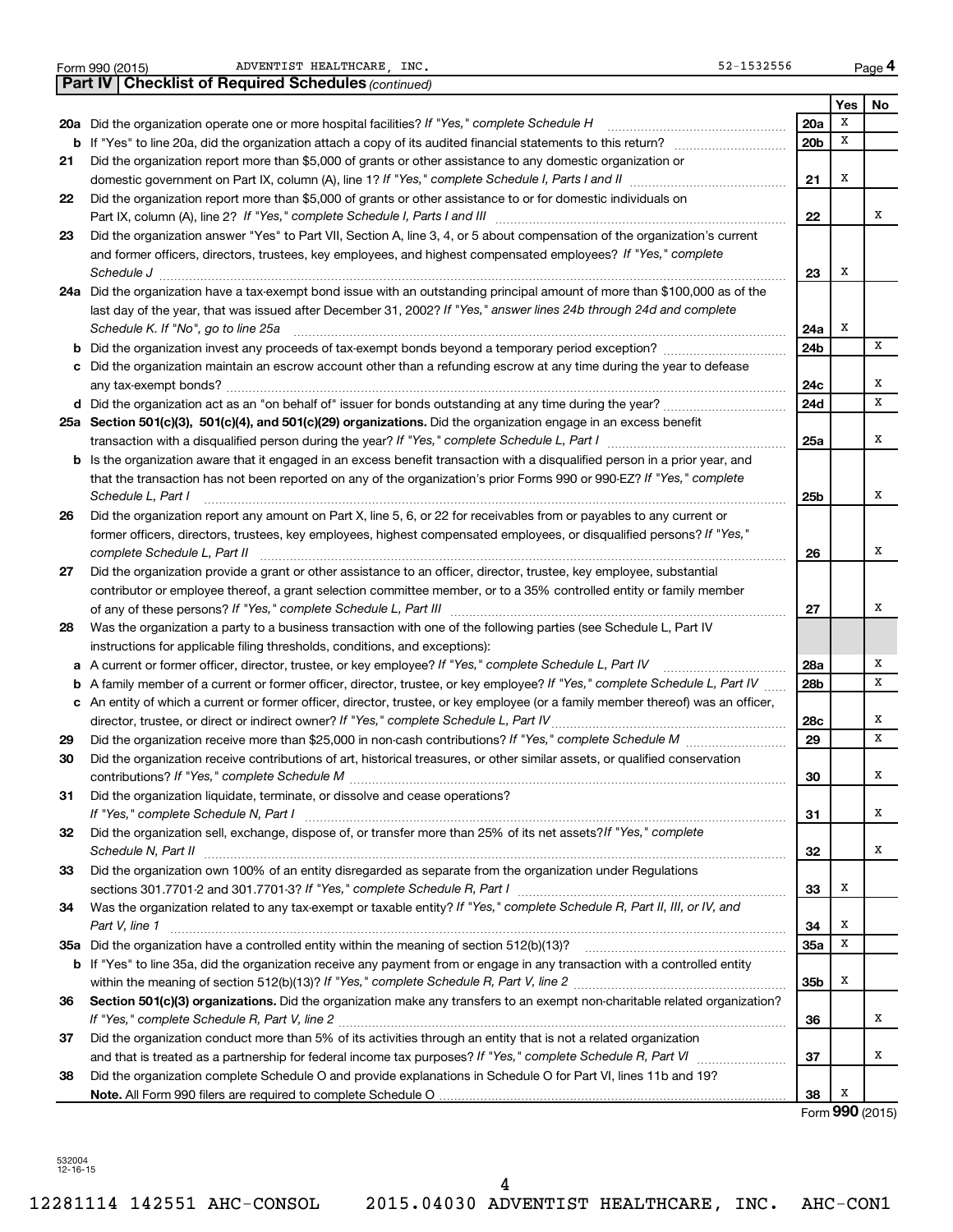|    | 52-1532556<br>ADVENTIST HEALTHCARE INC.<br>Form 990 (2015)                                                                          |                 |     | Page 4          |
|----|-------------------------------------------------------------------------------------------------------------------------------------|-----------------|-----|-----------------|
|    | <b>Checklist of Required Schedules (continued)</b><br><b>Part IV</b>                                                                |                 |     |                 |
|    |                                                                                                                                     |                 | Yes | No              |
|    | 20a Did the organization operate one or more hospital facilities? If "Yes," complete Schedule H                                     | 20a             | X   |                 |
|    |                                                                                                                                     | 20 <sub>b</sub> | x   |                 |
| 21 | Did the organization report more than \$5,000 of grants or other assistance to any domestic organization or                         |                 |     |                 |
|    |                                                                                                                                     | 21              | х   |                 |
| 22 | Did the organization report more than \$5,000 of grants or other assistance to or for domestic individuals on                       |                 |     |                 |
|    | Part IX, column (A), line 2? If "Yes," complete Schedule I, Parts I and III [11]] [11]] [11] [11] [11] [11] [1                      | 22              |     | x               |
| 23 | Did the organization answer "Yes" to Part VII, Section A, line 3, 4, or 5 about compensation of the organization's current          |                 |     |                 |
|    | and former officers, directors, trustees, key employees, and highest compensated employees? If "Yes," complete                      |                 |     |                 |
|    | Schedule J <b>Execute Schedule J Execute Schedule J Execute Schedule J EXECUTE SCHEDULE 3</b>                                       | 23              | X   |                 |
|    | 24a Did the organization have a tax-exempt bond issue with an outstanding principal amount of more than \$100,000 as of the         |                 |     |                 |
|    | last day of the year, that was issued after December 31, 2002? If "Yes," answer lines 24b through 24d and complete                  |                 |     |                 |
|    | Schedule K. If "No", go to line 25a                                                                                                 | 24a             | Х   |                 |
|    |                                                                                                                                     | 24 <sub>b</sub> |     | x               |
|    | c Did the organization maintain an escrow account other than a refunding escrow at any time during the year to defease              |                 |     |                 |
|    |                                                                                                                                     | 24c             |     | х               |
|    |                                                                                                                                     | 24 <sub>d</sub> |     | x               |
|    | 25a Section 501(c)(3), 501(c)(4), and 501(c)(29) organizations. Did the organization engage in an excess benefit                    |                 |     |                 |
|    |                                                                                                                                     | 25a             |     | x               |
|    | <b>b</b> Is the organization aware that it engaged in an excess benefit transaction with a disqualified person in a prior year, and |                 |     |                 |
|    | that the transaction has not been reported on any of the organization's prior Forms 990 or 990-EZ? If "Yes," complete               |                 |     |                 |
|    | Schedule L. Part I                                                                                                                  | 25b             |     | х               |
| 26 | Did the organization report any amount on Part X, line 5, 6, or 22 for receivables from or payables to any current or               |                 |     |                 |
|    | former officers, directors, trustees, key employees, highest compensated employees, or disqualified persons? If "Yes,"              |                 |     | x               |
|    | complete Schedule L, Part II                                                                                                        | 26              |     |                 |
| 27 | Did the organization provide a grant or other assistance to an officer, director, trustee, key employee, substantial                |                 |     |                 |
|    | contributor or employee thereof, a grant selection committee member, or to a 35% controlled entity or family member                 | 27              |     | Χ               |
|    | Was the organization a party to a business transaction with one of the following parties (see Schedule L, Part IV                   |                 |     |                 |
| 28 | instructions for applicable filing thresholds, conditions, and exceptions):                                                         |                 |     |                 |
|    | a A current or former officer, director, trustee, or key employee? If "Yes," complete Schedule L, Part IV                           | 28a             |     | х               |
|    | <b>b</b> A family member of a current or former officer, director, trustee, or key employee? If "Yes," complete Schedule L, Part IV | 28 <sub>b</sub> |     | x               |
|    | c An entity of which a current or former officer, director, trustee, or key employee (or a family member thereof) was an officer,   |                 |     |                 |
|    | director, trustee, or direct or indirect owner? If "Yes," complete Schedule L, Part IV                                              | 28c             |     | х               |
| 29 |                                                                                                                                     | 29              |     | x               |
|    | Did the organization receive contributions of art, historical treasures, or other similar assets, or qualified conservation         |                 |     |                 |
|    |                                                                                                                                     | 30              |     | Х               |
| 31 | Did the organization liquidate, terminate, or dissolve and cease operations?                                                        |                 |     |                 |
|    |                                                                                                                                     | 31              |     | х               |
| 32 | Did the organization sell, exchange, dispose of, or transfer more than 25% of its net assets? If "Yes," complete                    |                 |     |                 |
|    |                                                                                                                                     | 32              |     | х               |
| 33 | Did the organization own 100% of an entity disregarded as separate from the organization under Regulations                          |                 |     |                 |
|    |                                                                                                                                     | 33              | х   |                 |
| 34 | Was the organization related to any tax-exempt or taxable entity? If "Yes," complete Schedule R, Part II, III, or IV, and           |                 |     |                 |
|    | Part V, line 1                                                                                                                      | 34              | х   |                 |
|    |                                                                                                                                     | 35a             | X   |                 |
|    | b If "Yes" to line 35a, did the organization receive any payment from or engage in any transaction with a controlled entity         |                 |     |                 |
|    |                                                                                                                                     | 35 <sub>b</sub> | х   |                 |
| 36 | Section 501(c)(3) organizations. Did the organization make any transfers to an exempt non-charitable related organization?          |                 |     |                 |
|    |                                                                                                                                     | 36              |     | х               |
| 37 | Did the organization conduct more than 5% of its activities through an entity that is not a related organization                    |                 |     |                 |
|    |                                                                                                                                     | 37              |     | х               |
| 38 | Did the organization complete Schedule O and provide explanations in Schedule O for Part VI, lines 11b and 19?                      |                 |     |                 |
|    |                                                                                                                                     | 38              | x   |                 |
|    |                                                                                                                                     |                 |     | Form 990 (2015) |

532004 12-16-15

12281114 142551 AHC-CONSOL 2015.04030 ADVENTIST HEALTHCARE, INC. AHC-CON1 4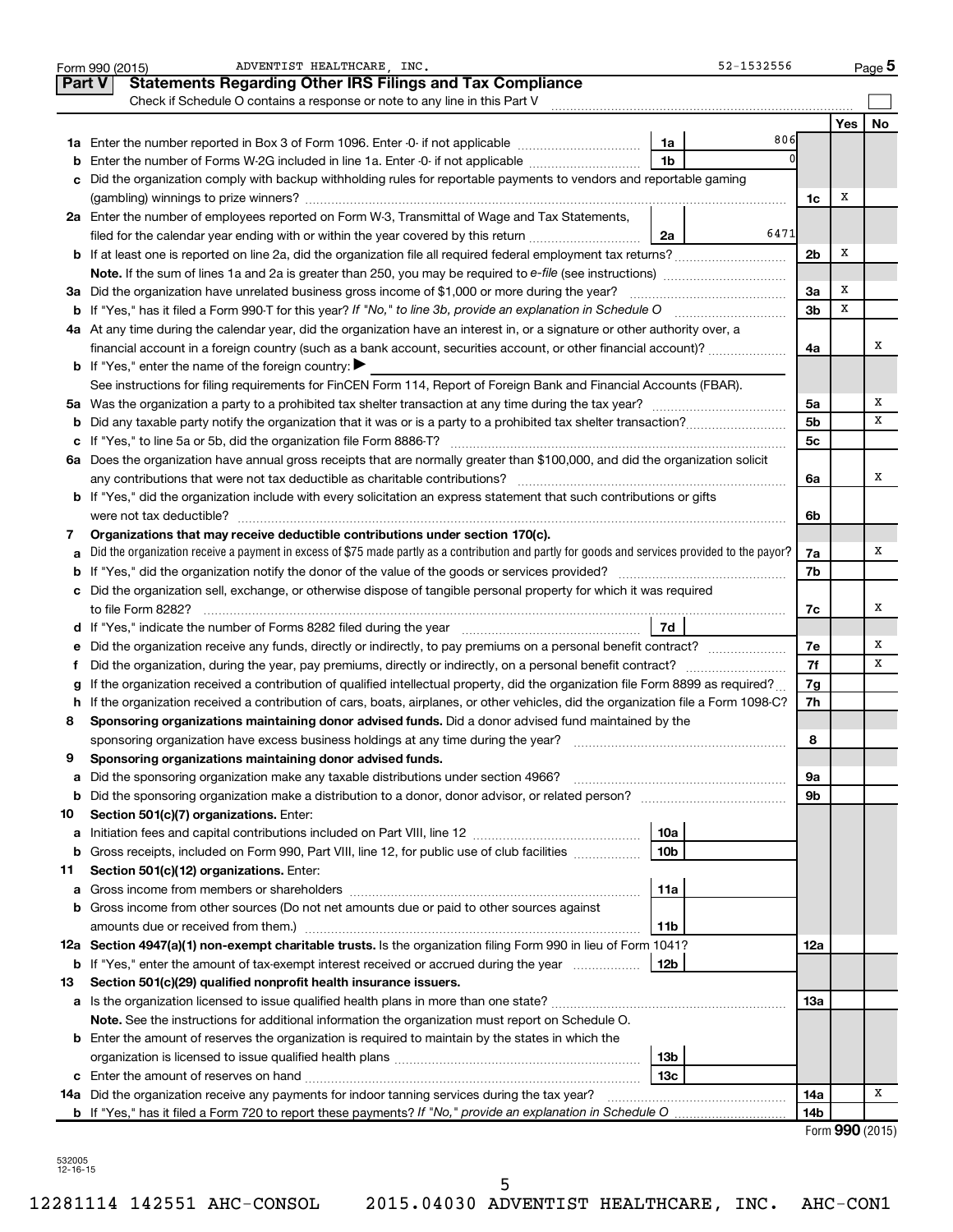|        | 52-1532556<br>ADVENTIST HEALTHCARE INC.<br>Form 990 (2015)                                                                                                   |                |            | Page 5          |
|--------|--------------------------------------------------------------------------------------------------------------------------------------------------------------|----------------|------------|-----------------|
| Part V | <b>Statements Regarding Other IRS Filings and Tax Compliance</b>                                                                                             |                |            |                 |
|        | Check if Schedule O contains a response or note to any line in this Part V                                                                                   |                |            |                 |
|        |                                                                                                                                                              |                | <b>Yes</b> | <b>No</b>       |
|        | 806<br>1a                                                                                                                                                    |                |            |                 |
| b      | 1 <sub>b</sub><br>n<br>Enter the number of Forms W-2G included in line 1a. Enter -0- if not applicable                                                       |                |            |                 |
| с      | Did the organization comply with backup withholding rules for reportable payments to vendors and reportable gaming                                           |                |            |                 |
|        |                                                                                                                                                              | 1c             | х          |                 |
|        | 2a Enter the number of employees reported on Form W-3, Transmittal of Wage and Tax Statements,                                                               |                |            |                 |
|        | 6471<br>filed for the calendar year ending with or within the year covered by this return<br>2a                                                              |                |            |                 |
|        |                                                                                                                                                              | 2 <sub>b</sub> | х          |                 |
|        |                                                                                                                                                              |                |            |                 |
|        | 3a Did the organization have unrelated business gross income of \$1,000 or more during the year?                                                             | 3a             | х          |                 |
| b      | If "Yes," has it filed a Form 990 T for this year? If "No," to line 3b, provide an explanation in Schedule O manumerrous                                     | 3 <sub>b</sub> | х          |                 |
|        | 4a At any time during the calendar year, did the organization have an interest in, or a signature or other authority over, a                                 |                |            |                 |
|        | financial account in a foreign country (such as a bank account, securities account, or other financial account)?                                             | 4a             |            | х               |
|        | <b>b</b> If "Yes," enter the name of the foreign country: $\blacktriangleright$                                                                              |                |            |                 |
|        | See instructions for filing requirements for FinCEN Form 114, Report of Foreign Bank and Financial Accounts (FBAR).                                          |                |            |                 |
|        |                                                                                                                                                              | 5a             |            | х               |
| b      |                                                                                                                                                              | 5 <sub>b</sub> |            | x               |
| с      |                                                                                                                                                              | 5 <sub>c</sub> |            |                 |
|        | 6a Does the organization have annual gross receipts that are normally greater than \$100,000, and did the organization solicit                               |                |            |                 |
|        | any contributions that were not tax deductible as charitable contributions?                                                                                  | 6a             |            | х               |
|        | b If "Yes," did the organization include with every solicitation an express statement that such contributions or gifts                                       |                |            |                 |
|        | were not tax deductible?                                                                                                                                     | 6b             |            |                 |
| 7      | Organizations that may receive deductible contributions under section 170(c).                                                                                |                |            |                 |
| а      | Did the organization receive a payment in excess of \$75 made partly as a contribution and partly for goods and services provided to the payor?              | 7a             |            | х               |
| b      |                                                                                                                                                              | 7b             |            |                 |
|        | c Did the organization sell, exchange, or otherwise dispose of tangible personal property for which it was required                                          |                |            |                 |
|        |                                                                                                                                                              | 7c             |            | х               |
|        | 7d<br>d If "Yes," indicate the number of Forms 8282 filed during the year manufactured in the second of the number                                           |                |            |                 |
| е      |                                                                                                                                                              | 7е             |            | х               |
| f.     | Did the organization, during the year, pay premiums, directly or indirectly, on a personal benefit contract?                                                 | 7f             |            | x               |
| g      | If the organization received a contribution of qualified intellectual property, did the organization file Form 8899 as required?                             | 7g             |            |                 |
| h      | If the organization received a contribution of cars, boats, airplanes, or other vehicles, did the organization file a Form 1098-C?                           | 7h             |            |                 |
| 8      | Sponsoring organizations maintaining donor advised funds. Did a donor advised fund maintained by the                                                         |                |            |                 |
|        | sponsoring organization have excess business holdings at any time during the year?                                                                           | 8              |            |                 |
| 9      | Sponsoring organizations maintaining donor advised funds.                                                                                                    |                |            |                 |
| а      | Did the sponsoring organization make any taxable distributions under section 4966?                                                                           | 9a             |            |                 |
| b      |                                                                                                                                                              | 9b             |            |                 |
| 10     | Section 501(c)(7) organizations. Enter:                                                                                                                      |                |            |                 |
| а      | 10a                                                                                                                                                          |                |            |                 |
| b      | 10 <sub>b</sub><br>Gross receipts, included on Form 990, Part VIII, line 12, for public use of club facilities                                               |                |            |                 |
| 11     | Section 501(c)(12) organizations. Enter:                                                                                                                     |                |            |                 |
| а      | 11a                                                                                                                                                          |                |            |                 |
| b      | Gross income from other sources (Do not net amounts due or paid to other sources against                                                                     |                |            |                 |
|        | amounts due or received from them.)<br>11b<br>12a Section 4947(a)(1) non-exempt charitable trusts. Is the organization filing Form 990 in lieu of Form 1041? |                |            |                 |
|        |                                                                                                                                                              | 12a            |            |                 |
| b      | 12 <sub>b</sub><br>If "Yes," enter the amount of tax-exempt interest received or accrued during the year                                                     |                |            |                 |
| 13     | Section 501(c)(29) qualified nonprofit health insurance issuers.                                                                                             |                |            |                 |
| а      |                                                                                                                                                              | 13a            |            |                 |
|        | Note. See the instructions for additional information the organization must report on Schedule O.                                                            |                |            |                 |
|        | <b>b</b> Enter the amount of reserves the organization is required to maintain by the states in which the                                                    |                |            |                 |
|        | 13 <sub>b</sub><br>13 <sub>c</sub>                                                                                                                           |                |            |                 |
| с      | 14a Did the organization receive any payments for indoor tanning services during the tax year?                                                               |                |            | x               |
|        | <b>b</b> If "Yes," has it filed a Form 720 to report these payments? If "No," provide an explanation in Schedule O                                           | 14a<br>14b     |            |                 |
|        |                                                                                                                                                              |                |            | Form 990 (2015) |

| 532005   |  |
|----------|--|
| 12-16-15 |  |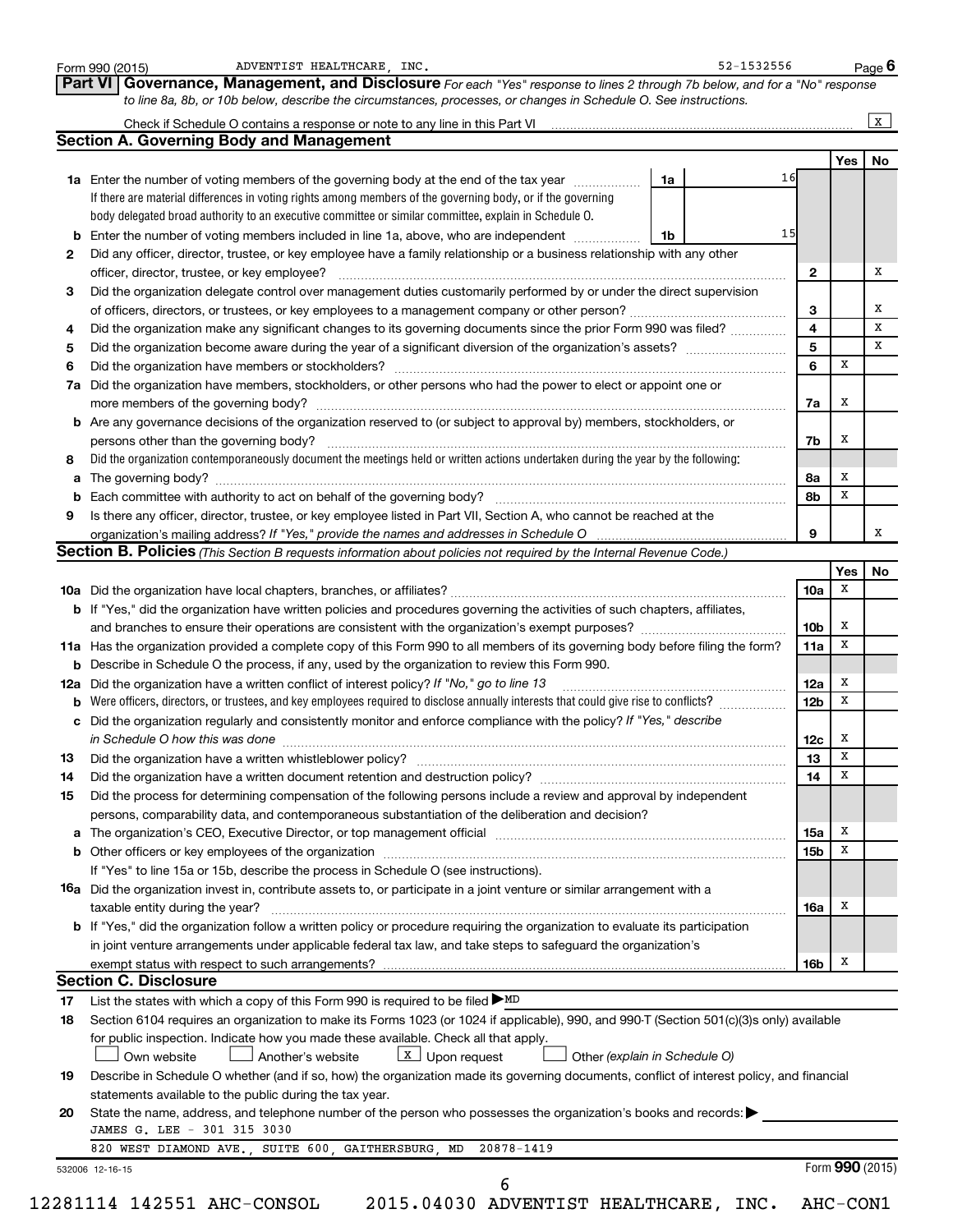|    | ADVENTIST HEALTHCARE, INC.<br>Form 990 (2015)                                                                                                                                                                                       |    | 52-1532556 |                  |                 | Page 6       |
|----|-------------------------------------------------------------------------------------------------------------------------------------------------------------------------------------------------------------------------------------|----|------------|------------------|-----------------|--------------|
|    | Governance, Management, and Disclosure For each "Yes" response to lines 2 through 7b below, and for a "No" response<br>Part VI                                                                                                      |    |            |                  |                 |              |
|    | to line 8a, 8b, or 10b below, describe the circumstances, processes, or changes in Schedule O. See instructions.                                                                                                                    |    |            |                  |                 |              |
|    |                                                                                                                                                                                                                                     |    |            |                  |                 | $\mathbf{x}$ |
|    | <b>Section A. Governing Body and Management</b>                                                                                                                                                                                     |    |            |                  | Yes             | No           |
|    | 1a Enter the number of voting members of the governing body at the end of the tax year                                                                                                                                              | 1a | 16         |                  |                 |              |
|    | If there are material differences in voting rights among members of the governing body, or if the governing                                                                                                                         |    |            |                  |                 |              |
|    | body delegated broad authority to an executive committee or similar committee, explain in Schedule O.                                                                                                                               |    |            |                  |                 |              |
|    | <b>b</b> Enter the number of voting members included in line 1a, above, who are independent                                                                                                                                         | 1b | 15         |                  |                 |              |
| 2  | Did any officer, director, trustee, or key employee have a family relationship or a business relationship with any other                                                                                                            |    |            |                  |                 |              |
|    | officer, director, trustee, or key employee?                                                                                                                                                                                        |    |            | $\mathbf{2}$     |                 | х            |
| З  | Did the organization delegate control over management duties customarily performed by or under the direct supervision                                                                                                               |    |            |                  |                 |              |
|    |                                                                                                                                                                                                                                     |    |            | 3                |                 | х            |
| 4  | Did the organization make any significant changes to its governing documents since the prior Form 990 was filed?                                                                                                                    |    |            | 4                |                 | x            |
| 5  |                                                                                                                                                                                                                                     |    |            | 5                |                 | x            |
| 6  |                                                                                                                                                                                                                                     |    |            | 6                | x               |              |
| 7a | Did the organization have members, stockholders, or other persons who had the power to elect or appoint one or                                                                                                                      |    |            |                  |                 |              |
|    |                                                                                                                                                                                                                                     |    |            | 7a               | х               |              |
|    | b Are any governance decisions of the organization reserved to (or subject to approval by) members, stockholders, or                                                                                                                |    |            |                  |                 |              |
|    | persons other than the governing body?                                                                                                                                                                                              |    |            | 7b               | х               |              |
| 8  | Did the organization contemporaneously document the meetings held or written actions undertaken during the year by the following:                                                                                                   |    |            |                  |                 |              |
| а  |                                                                                                                                                                                                                                     |    |            | 8а               | х               |              |
| b  |                                                                                                                                                                                                                                     |    |            | 8b               | х               |              |
| 9  | Is there any officer, director, trustee, or key employee listed in Part VII, Section A, who cannot be reached at the                                                                                                                |    |            |                  |                 |              |
|    |                                                                                                                                                                                                                                     |    |            | 9                |                 | x            |
|    | <b>Section B. Policies</b> (This Section B requests information about policies not required by the Internal Revenue Code.)                                                                                                          |    |            |                  |                 |              |
|    |                                                                                                                                                                                                                                     |    |            | <b>10a</b>       | Yes<br>x        | No           |
|    | b If "Yes," did the organization have written policies and procedures governing the activities of such chapters, affiliates,                                                                                                        |    |            |                  |                 |              |
|    |                                                                                                                                                                                                                                     |    |            | 10 <sub>b</sub>  | х               |              |
|    | 11a Has the organization provided a complete copy of this Form 990 to all members of its governing body before filing the form?                                                                                                     |    |            | 11a              | х               |              |
|    | <b>b</b> Describe in Schedule O the process, if any, used by the organization to review this Form 990.                                                                                                                              |    |            |                  |                 |              |
|    | 12a Did the organization have a written conflict of interest policy? If "No," go to line 13                                                                                                                                         |    |            | 12a              | X               |              |
| b  | Were officers, directors, or trustees, and key employees required to disclose annually interests that could give rise to conflicts?                                                                                                 |    |            | 12 <sub>b</sub>  | x               |              |
|    | c Did the organization regularly and consistently monitor and enforce compliance with the policy? If "Yes," describe                                                                                                                |    |            |                  |                 |              |
|    | in Schedule O how this was done <b>construction and construction</b> construction of the set of the set of the set of the set of the set of the set of the set of the set of the set of the set of the set of the set of the set of |    |            | 12c              | x               |              |
| 13 |                                                                                                                                                                                                                                     |    |            | 13 <sub>13</sub> | $\mathbf x$     |              |
| 14 | Did the organization have a written document retention and destruction policy? [11] manufaction in the organization have a written document retention and destruction policy?                                                       |    |            | 14               | X               |              |
| 15 | Did the process for determining compensation of the following persons include a review and approval by independent                                                                                                                  |    |            |                  |                 |              |
|    | persons, comparability data, and contemporaneous substantiation of the deliberation and decision?                                                                                                                                   |    |            |                  |                 |              |
| a  | The organization's CEO, Executive Director, or top management official manufactured content of the organization's CEO, Executive Director, or top management official manufactured content of the organization's CEO, Executiv      |    |            | <b>15a</b>       | Х               |              |
|    |                                                                                                                                                                                                                                     |    |            | 15 <sub>b</sub>  | х               |              |
|    | If "Yes" to line 15a or 15b, describe the process in Schedule O (see instructions).                                                                                                                                                 |    |            |                  |                 |              |
|    | <b>16a</b> Did the organization invest in, contribute assets to, or participate in a joint venture or similar arrangement with a                                                                                                    |    |            |                  |                 |              |
|    | taxable entity during the year?                                                                                                                                                                                                     |    |            | 16a              | Х               |              |
|    | b If "Yes," did the organization follow a written policy or procedure requiring the organization to evaluate its participation                                                                                                      |    |            |                  |                 |              |
|    | in joint venture arrangements under applicable federal tax law, and take steps to safeguard the organization's                                                                                                                      |    |            |                  |                 |              |
|    | exempt status with respect to such arrangements?                                                                                                                                                                                    |    |            | 16b              | Х               |              |
|    | <b>Section C. Disclosure</b>                                                                                                                                                                                                        |    |            |                  |                 |              |
| 17 | List the states with which a copy of this Form 990 is required to be filed MD                                                                                                                                                       |    |            |                  |                 |              |
| 18 | Section 6104 requires an organization to make its Forms 1023 (or 1024 if applicable), 990, and 990-T (Section 501(c)(3)s only) available                                                                                            |    |            |                  |                 |              |
|    | for public inspection. Indicate how you made these available. Check all that apply.                                                                                                                                                 |    |            |                  |                 |              |
|    | $\lfloor x \rfloor$ Upon request<br>Another's website<br>Other (explain in Schedule O)<br>Own website                                                                                                                               |    |            |                  |                 |              |
| 19 | Describe in Schedule O whether (and if so, how) the organization made its governing documents, conflict of interest policy, and financial                                                                                           |    |            |                  |                 |              |
|    | statements available to the public during the tax year.                                                                                                                                                                             |    |            |                  |                 |              |
| 20 | State the name, address, and telephone number of the person who possesses the organization's books and records:                                                                                                                     |    |            |                  |                 |              |
|    | JAMES G. LEE - 301 315 3030                                                                                                                                                                                                         |    |            |                  |                 |              |
|    | 820 WEST DIAMOND AVE., SUITE 600, GAITHERSBURG, MD 20878-1419                                                                                                                                                                       |    |            |                  |                 |              |
|    | 532006 12-16-15                                                                                                                                                                                                                     |    |            |                  | Form 990 (2015) |              |
|    | 6<br>2015.04030 ADVENTIST HEALTHCARE, INC.<br>12281114 142551 AHC-CONSOL                                                                                                                                                            |    |            |                  | AHC-CON1        |              |
|    |                                                                                                                                                                                                                                     |    |            |                  |                 |              |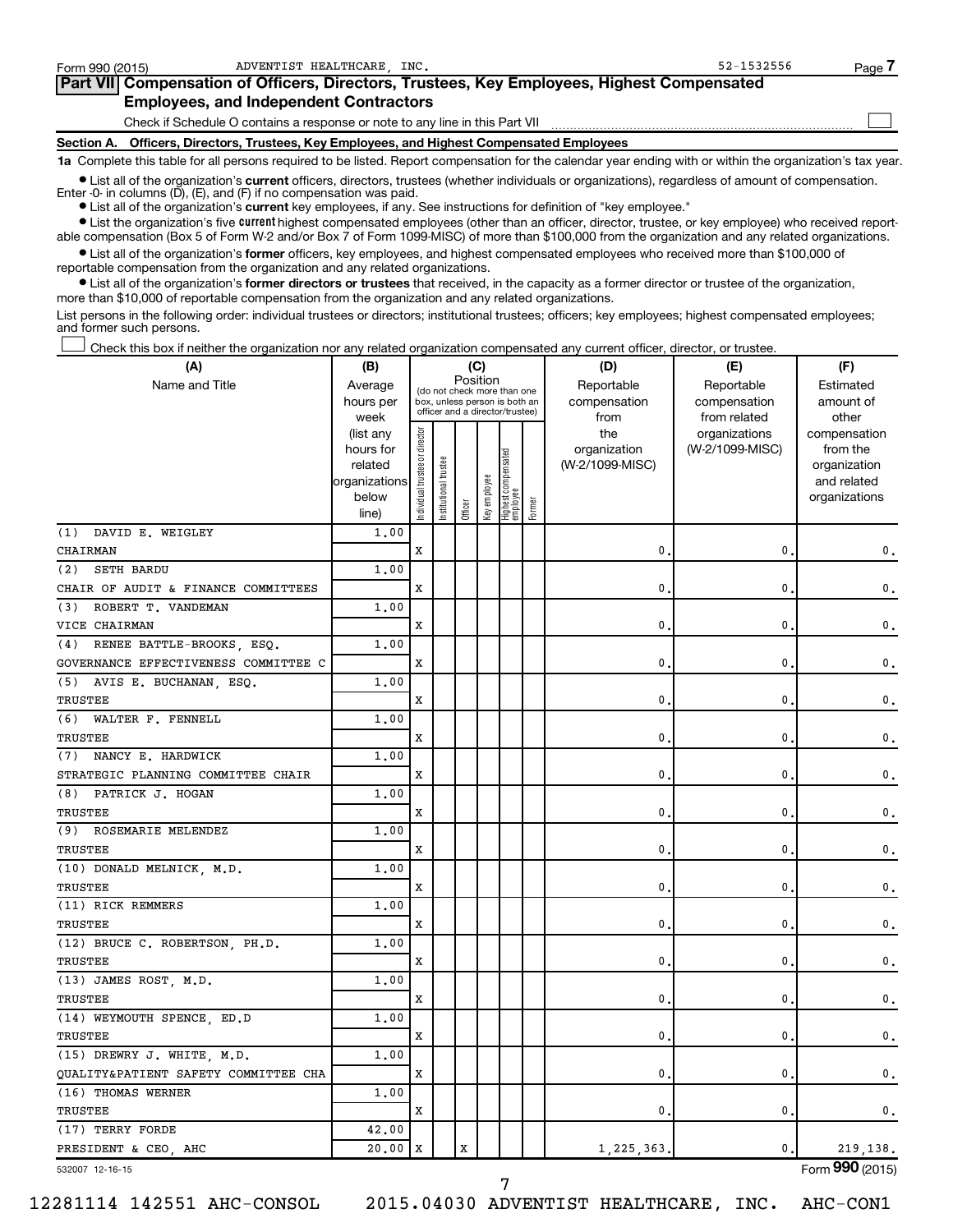| Form 990 (2015) | ADVENTIST HEALTHCARE INC.                                                                  | 52-1532556 | Page. |
|-----------------|--------------------------------------------------------------------------------------------|------------|-------|
|                 | Part VII Compensation of Officers, Directors, Trustees, Key Employees, Highest Compensated |            |       |
|                 | <b>Employees, and Independent Contractors</b>                                              |            |       |
|                 | Check if Schedule O contains a response or note to any line in this Part VII               |            |       |
|                 | Section A. Officers, Directors, Trustees, Key Employees, and Highest Compensated Employees |            |       |

**1a**  Complete this table for all persons required to be listed. Report compensation for the calendar year ending with or within the organization's tax year.

**•** List all of the organization's current officers, directors, trustees (whether individuals or organizations), regardless of amount of compensation. Enter -0- in columns (D), (E), and (F) if no compensation was paid.

**•** List all of the organization's **current** key employees, if any. See instructions for definition of "key employee."

**•** List the organization's five current highest compensated employees (other than an officer, director, trustee, or key employee) who received reportable compensation (Box 5 of Form W-2 and/or Box 7 of Form 1099-MISC) of more than \$100,000 from the organization and any related organizations.

**•** List all of the organization's former officers, key employees, and highest compensated employees who received more than \$100,000 of reportable compensation from the organization and any related organizations.

**•** List all of the organization's former directors or trustees that received, in the capacity as a former director or trustee of the organization, more than \$10,000 of reportable compensation from the organization and any related organizations.

List persons in the following order: individual trustees or directors; institutional trustees; officers; key employees; highest compensated employees; and former such persons.

Check this box if neither the organization nor any related organization compensated any current officer, director, or trustee. †

| (A)                                  | (B)                    |                                |                       |          | (C)          |                                                                  |        | (D)                 | (E)                              | (F)                      |
|--------------------------------------|------------------------|--------------------------------|-----------------------|----------|--------------|------------------------------------------------------------------|--------|---------------------|----------------------------------|--------------------------|
| Name and Title                       | Average                |                                |                       | Position |              | (do not check more than one                                      |        | Reportable          | Reportable                       | Estimated                |
|                                      | hours per              |                                |                       |          |              | box, unless person is both an<br>officer and a director/trustee) |        | compensation        | compensation                     | amount of                |
|                                      | week                   |                                |                       |          |              |                                                                  |        | from                | from related                     | other                    |
|                                      | (list any<br>hours for |                                |                       |          |              |                                                                  |        | the<br>organization | organizations<br>(W-2/1099-MISC) | compensation<br>from the |
|                                      | related                |                                |                       |          |              |                                                                  |        | (W-2/1099-MISC)     |                                  | organization             |
|                                      | organizations          |                                |                       |          |              |                                                                  |        |                     |                                  | and related              |
|                                      | below                  | Individual trustee or director | Institutional trustee |          | Key employee | Highest compensated<br>employee                                  |        |                     |                                  | organizations            |
|                                      | line)                  |                                |                       | Officer  |              |                                                                  | Former |                     |                                  |                          |
| (1) DAVID E. WEIGLEY                 | 1,00                   |                                |                       |          |              |                                                                  |        |                     |                                  |                          |
| CHAIRMAN                             |                        | $\mathbf x$                    |                       |          |              |                                                                  |        | 0                   | 0                                | 0.                       |
| (2)<br>SETH BARDU                    | 1,00                   |                                |                       |          |              |                                                                  |        |                     |                                  |                          |
| CHAIR OF AUDIT & FINANCE COMMITTEES  |                        | X                              |                       |          |              |                                                                  |        | 0                   | 0                                | 0.                       |
| (3) ROBERT T. VANDEMAN               | 1,00                   |                                |                       |          |              |                                                                  |        |                     |                                  |                          |
| VICE CHAIRMAN                        |                        | X                              |                       |          |              |                                                                  |        | 0                   | 0                                | 0.                       |
| (4) RENEE BATTLE-BROOKS, ESQ.        | 1,00                   |                                |                       |          |              |                                                                  |        |                     |                                  |                          |
| GOVERNANCE EFFECTIVENESS COMMITTEE C |                        | X                              |                       |          |              |                                                                  |        | 0                   | 0                                | 0.                       |
| (5) AVIS E. BUCHANAN, ESQ.           | 1,00                   |                                |                       |          |              |                                                                  |        |                     |                                  |                          |
| TRUSTEE                              |                        | X                              |                       |          |              |                                                                  |        | $\mathbf{0}$        | 0                                | 0.                       |
| (6) WALTER F. FENNELL                | 1.00                   |                                |                       |          |              |                                                                  |        |                     |                                  |                          |
| TRUSTEE                              |                        | X                              |                       |          |              |                                                                  |        | 0                   | 0                                | 0.                       |
| (7) NANCY E. HARDWICK                | 1,00                   |                                |                       |          |              |                                                                  |        |                     |                                  |                          |
| STRATEGIC PLANNING COMMITTEE CHAIR   |                        | X                              |                       |          |              |                                                                  |        | 0                   | 0                                | 0.                       |
| (8) PATRICK J. HOGAN                 | 1.00                   |                                |                       |          |              |                                                                  |        |                     |                                  |                          |
| TRUSTEE                              |                        | X                              |                       |          |              |                                                                  |        | 0                   | 0                                | 0.                       |
| (9) ROSEMARIE MELENDEZ               | 1.00                   |                                |                       |          |              |                                                                  |        |                     |                                  |                          |
| TRUSTEE                              |                        | X                              |                       |          |              |                                                                  |        | $\mathbf{0}$        | 0                                | 0.                       |
| (10) DONALD MELNICK, M.D.            | 1.00                   |                                |                       |          |              |                                                                  |        |                     |                                  |                          |
| TRUSTEE                              |                        | $\mathbf x$                    |                       |          |              |                                                                  |        | 0                   | 0                                | 0.                       |
| (11) RICK REMMERS                    | 1.00                   |                                |                       |          |              |                                                                  |        |                     |                                  |                          |
| TRUSTEE                              |                        | X                              |                       |          |              |                                                                  |        | $\mathbf{0}$        | 0                                | 0.                       |
| (12) BRUCE C. ROBERTSON, PH.D.       | 1.00                   |                                |                       |          |              |                                                                  |        |                     |                                  |                          |
| TRUSTEE                              |                        | $\mathbf x$                    |                       |          |              |                                                                  |        | 0                   | 0                                | 0.                       |
| (13) JAMES ROST, M.D.                | 1.00                   |                                |                       |          |              |                                                                  |        |                     |                                  |                          |
| TRUSTEE                              |                        | $\mathbf x$                    |                       |          |              |                                                                  |        | $\mathbf{0}$        | 0                                | 0.                       |
| (14) WEYMOUTH SPENCE, ED.D           | 1.00                   |                                |                       |          |              |                                                                  |        |                     |                                  |                          |
| TRUSTEE                              |                        | $\mathbf x$                    |                       |          |              |                                                                  |        | 0                   | 0                                | 0.                       |
| (15) DREWRY J. WHITE, M.D.           | 1,00                   |                                |                       |          |              |                                                                  |        |                     |                                  |                          |
| QUALITY&PATIENT SAFETY COMMITTEE CHA |                        | $\mathbf x$                    |                       |          |              |                                                                  |        | $\mathbf{0}$        | $\mathbf{0}$                     | 0.                       |
| (16) THOMAS WERNER                   | 1.00                   |                                |                       |          |              |                                                                  |        |                     |                                  |                          |
| TRUSTEE                              |                        | $\mathbf x$                    |                       |          |              |                                                                  |        | 0                   | $\mathbf 0$                      | 0.                       |
| (17) TERRY FORDE                     | 42.00                  |                                |                       |          |              |                                                                  |        |                     |                                  |                          |
| PRESIDENT & CEO, AHC                 | 20.00                  | $\mathbf x$                    |                       | X        |              |                                                                  |        | 1,225,363.          | 0.                               | 219,138.                 |

532007 12-16-15

12281114 142551 AHC-CONSOL 2015.04030 ADVENTIST HEALTHCARE, INC. AHC-CON1

Form (2015) **990**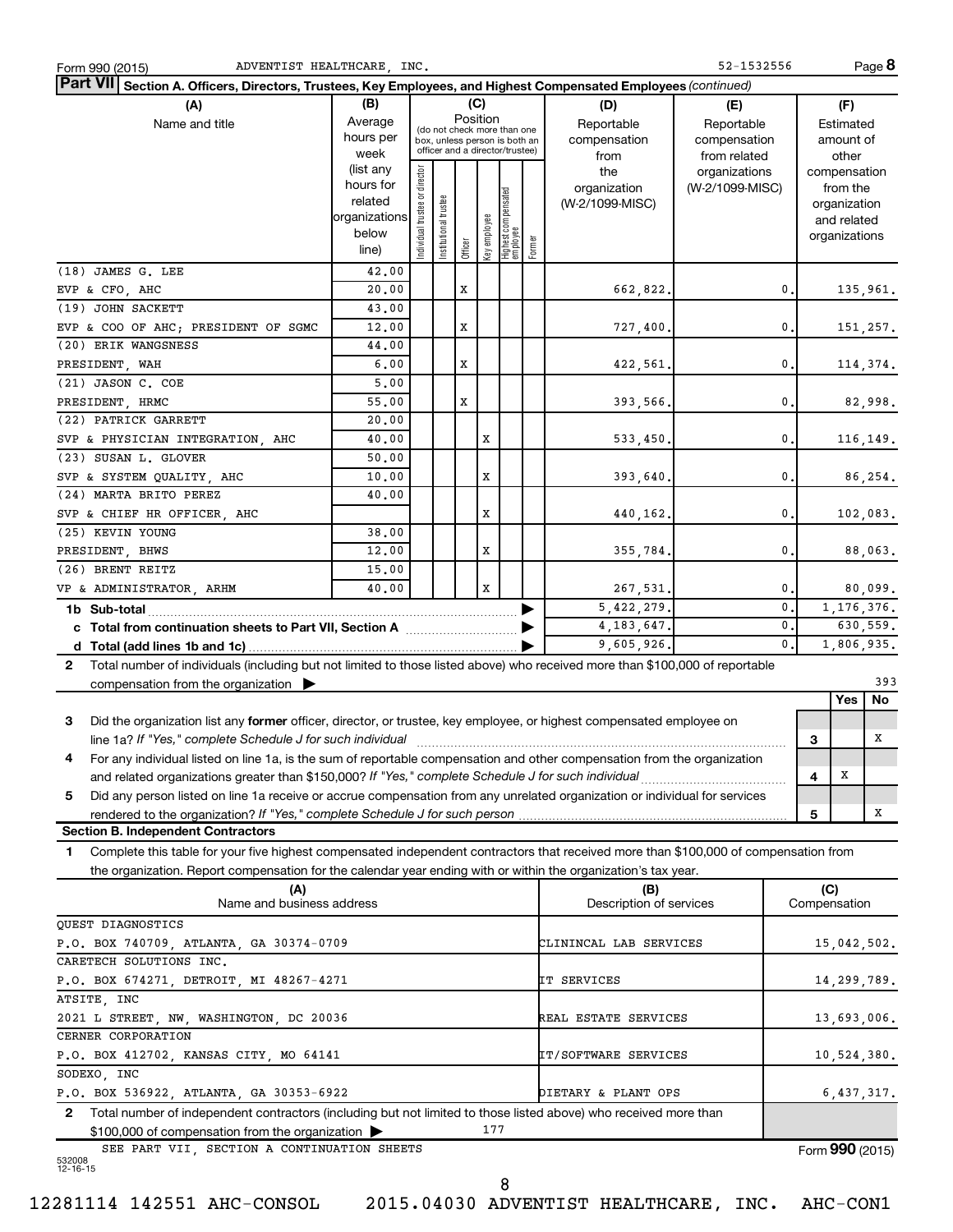| ADVENTIST HEALTHCARE, INC.<br>Form 990 (2015)                                                                                                                                                                                  |                          |                                 |                       |                                         |              |                                 |            |                         | 52-1532556      |   |                 | Page 8   |
|--------------------------------------------------------------------------------------------------------------------------------------------------------------------------------------------------------------------------------|--------------------------|---------------------------------|-----------------------|-----------------------------------------|--------------|---------------------------------|------------|-------------------------|-----------------|---|-----------------|----------|
| <b>Part VII</b><br>Section A. Officers, Directors, Trustees, Key Employees, and Highest Compensated Employees (continued)                                                                                                      |                          |                                 |                       |                                         |              |                                 |            |                         |                 |   |                 |          |
| (A)                                                                                                                                                                                                                            | (B)                      |                                 |                       |                                         | (C)          |                                 |            | (D)                     | (E)             |   | (F)             |          |
| Name and title                                                                                                                                                                                                                 | Average                  |                                 |                       | Position<br>(do not check more than one |              |                                 |            | Reportable              | Reportable      |   | Estimated       |          |
|                                                                                                                                                                                                                                | hours per                |                                 |                       | box, unless person is both an           |              |                                 |            | compensation            | compensation    |   | amount of       |          |
|                                                                                                                                                                                                                                | week                     | officer and a director/trustee) |                       |                                         |              |                                 |            | from                    | from related    |   | other           |          |
|                                                                                                                                                                                                                                | (list any                |                                 |                       |                                         |              |                                 |            | the                     | organizations   |   | compensation    |          |
|                                                                                                                                                                                                                                | hours for                |                                 |                       |                                         |              |                                 |            | organization            | (W-2/1099-MISC) |   | from the        |          |
|                                                                                                                                                                                                                                | related<br>organizations |                                 |                       |                                         |              |                                 |            | (W-2/1099-MISC)         |                 |   | organization    |          |
|                                                                                                                                                                                                                                | below                    |                                 |                       |                                         |              |                                 |            |                         |                 |   | and related     |          |
|                                                                                                                                                                                                                                | line)                    | ndividual trustee or director   | Institutional trustee | Officer                                 | Key employee | Highest compensated<br>employee | Former     |                         |                 |   | organizations   |          |
| (18) JAMES G. LEE                                                                                                                                                                                                              | 42.00                    |                                 |                       |                                         |              |                                 |            |                         |                 |   |                 |          |
| EVP & CFO, AHC                                                                                                                                                                                                                 | 20.00                    |                                 |                       | X                                       |              |                                 |            | 662,822.                | 0.              |   |                 | 135,961. |
| (19) JOHN SACKETT                                                                                                                                                                                                              | 43.00                    |                                 |                       |                                         |              |                                 |            |                         |                 |   |                 |          |
| EVP & COO OF AHC; PRESIDENT OF SGMC                                                                                                                                                                                            | 12.00                    |                                 |                       | X                                       |              |                                 |            | 727,400.                | 0.              |   |                 | 151,257. |
| (20) ERIK WANGSNESS                                                                                                                                                                                                            | 44.00                    |                                 |                       |                                         |              |                                 |            |                         |                 |   |                 |          |
| PRESIDENT, WAH                                                                                                                                                                                                                 | 6.00                     |                                 |                       | x                                       |              |                                 |            | 422,561.                | 0.              |   |                 | 114,374. |
| (21) JASON C. COE                                                                                                                                                                                                              | 5,00                     |                                 |                       |                                         |              |                                 |            |                         |                 |   |                 |          |
| PRESIDENT, HRMC                                                                                                                                                                                                                | 55.00                    |                                 |                       | х                                       |              |                                 |            | 393,566.                | 0.              |   |                 | 82,998.  |
| (22) PATRICK GARRETT                                                                                                                                                                                                           | 20.00                    |                                 |                       |                                         |              |                                 |            |                         |                 |   |                 |          |
| SVP & PHYSICIAN INTEGRATION, AHC                                                                                                                                                                                               | 40.00                    |                                 |                       |                                         | x            |                                 |            | 533,450.                | 0.              |   |                 | 116,149. |
| (23) SUSAN L. GLOVER                                                                                                                                                                                                           | 50.00                    |                                 |                       |                                         |              |                                 |            |                         |                 |   |                 |          |
| SVP & SYSTEM QUALITY, AHC                                                                                                                                                                                                      | 10.00                    |                                 |                       |                                         | x            |                                 |            | 393,640.                | 0.              |   |                 | 86,254.  |
| (24) MARTA BRITO PEREZ                                                                                                                                                                                                         | 40.00                    |                                 |                       |                                         | x            |                                 |            |                         | 0.              |   |                 |          |
| SVP & CHIEF HR OFFICER, AHC<br>(25) KEVIN YOUNG                                                                                                                                                                                | 38.00                    |                                 |                       |                                         |              |                                 |            | 440,162.                |                 |   |                 | 102,083. |
| PRESIDENT, BHWS                                                                                                                                                                                                                | 12.00                    |                                 |                       |                                         | x            |                                 |            | 355,784.                | 0.              |   |                 | 88,063.  |
| (26) BRENT REITZ                                                                                                                                                                                                               | 15.00                    |                                 |                       |                                         |              |                                 |            |                         |                 |   |                 |          |
| VP & ADMINISTRATOR, ARHM                                                                                                                                                                                                       | 40.00                    |                                 |                       |                                         | x            |                                 |            | 267,531.                | 0.              |   |                 | 80,099.  |
| 5,422,279.<br>0.                                                                                                                                                                                                               |                          |                                 |                       |                                         |              |                                 |            | 1, 176, 376.            |                 |   |                 |          |
|                                                                                                                                                                                                                                |                          |                                 |                       |                                         |              |                                 |            | 4, 183, 647.            | 0.              |   |                 | 630,559. |
|                                                                                                                                                                                                                                |                          |                                 |                       |                                         |              |                                 |            | 9,605,926.              | 0.              |   | 1,806,935.      |          |
| Total number of individuals (including but not limited to those listed above) who received more than \$100,000 of reportable<br>$\mathbf{2}$                                                                                   |                          |                                 |                       |                                         |              |                                 |            |                         |                 |   |                 |          |
| compensation from the organization $\blacktriangleright$                                                                                                                                                                       |                          |                                 |                       |                                         |              |                                 |            |                         |                 |   |                 | 393      |
|                                                                                                                                                                                                                                |                          |                                 |                       |                                         |              |                                 |            |                         |                 |   | Yes             | No       |
| 3<br>Did the organization list any former officer, director, or trustee, key employee, or highest compensated employee on                                                                                                      |                          |                                 |                       |                                         |              |                                 |            |                         |                 |   |                 |          |
| line 1a? If "Yes," complete Schedule J for such individual manufacture content to the set of the set of the such that the set of the set of the set of the set of the set of the set of the set of the set of the set of the s |                          |                                 |                       |                                         |              |                                 |            |                         |                 | 3 |                 | x        |
| For any individual listed on line 1a, is the sum of reportable compensation and other compensation from the organization                                                                                                       |                          |                                 |                       |                                         |              |                                 |            |                         |                 |   |                 |          |
| and related organizations greater than \$150,000? If "Yes," complete Schedule J for such individual                                                                                                                            |                          |                                 |                       |                                         |              |                                 |            |                         |                 | 4 | х               |          |
| Did any person listed on line 1a receive or accrue compensation from any unrelated organization or individual for services<br>5                                                                                                |                          |                                 |                       |                                         |              |                                 |            |                         |                 |   |                 | X        |
| <b>Section B. Independent Contractors</b>                                                                                                                                                                                      |                          |                                 |                       |                                         |              |                                 |            |                         |                 | 5 |                 |          |
| Complete this table for your five highest compensated independent contractors that received more than \$100,000 of compensation from<br>1.                                                                                     |                          |                                 |                       |                                         |              |                                 |            |                         |                 |   |                 |          |
| the organization. Report compensation for the calendar year ending with or within the organization's tax year.                                                                                                                 |                          |                                 |                       |                                         |              |                                 |            |                         |                 |   |                 |          |
| (A)                                                                                                                                                                                                                            |                          |                                 |                       |                                         |              |                                 |            | (B)                     |                 |   | (C)             |          |
| Name and business address                                                                                                                                                                                                      |                          |                                 |                       |                                         |              |                                 |            | Description of services |                 |   | Compensation    |          |
| QUEST DIAGNOSTICS                                                                                                                                                                                                              |                          |                                 |                       |                                         |              |                                 |            |                         |                 |   |                 |          |
| P.O. BOX 740709, ATLANTA, GA 30374-0709                                                                                                                                                                                        |                          |                                 |                       |                                         |              |                                 |            | CLININCAL LAB SERVICES  |                 |   | 15,042,502.     |          |
| CARETECH SOLUTIONS INC.                                                                                                                                                                                                        |                          |                                 |                       |                                         |              |                                 |            |                         |                 |   |                 |          |
| P.O. BOX 674271, DETROIT, MI 48267-4271<br>IT SERVICES                                                                                                                                                                         |                          |                                 |                       |                                         |              |                                 |            |                         | 14, 299, 789.   |   |                 |          |
| ATSITE, INC                                                                                                                                                                                                                    |                          |                                 |                       |                                         |              |                                 |            |                         |                 |   |                 |          |
| 2021 L STREET, NW, WASHINGTON, DC 20036<br>13,693,006.<br>REAL ESTATE SERVICES                                                                                                                                                 |                          |                                 |                       |                                         |              |                                 |            |                         |                 |   |                 |          |
| CERNER CORPORATION<br>10,524,380.                                                                                                                                                                                              |                          |                                 |                       |                                         |              |                                 |            |                         |                 |   |                 |          |
| P.O. BOX 412702, KANSAS CITY, MO 64141<br>IT/SOFTWARE SERVICES<br>SODEXO, INC                                                                                                                                                  |                          |                                 |                       |                                         |              |                                 |            |                         |                 |   |                 |          |
| P.O. BOX 536922, ATLANTA, GA 30353-6922<br>DIETARY & PLANT OPS                                                                                                                                                                 |                          |                                 |                       |                                         |              |                                 | 6,437,317. |                         |                 |   |                 |          |
| Total number of independent contractors (including but not limited to those listed above) who received more than<br>2                                                                                                          |                          |                                 |                       |                                         |              |                                 |            |                         |                 |   |                 |          |
| 177<br>\$100,000 of compensation from the organization                                                                                                                                                                         |                          |                                 |                       |                                         |              |                                 |            |                         |                 |   |                 |          |
| SEE PART VII, SECTION A CONTINUATION SHEETS                                                                                                                                                                                    |                          |                                 |                       |                                         |              |                                 |            |                         |                 |   | Form 990 (2015) |          |
| 532008<br>12-16-15                                                                                                                                                                                                             |                          |                                 |                       |                                         |              |                                 |            |                         |                 |   |                 |          |

12281114 142551 AHC-CONSOL 2015.04030 ADVENTIST HEALTHCARE, INC. AHC-CON1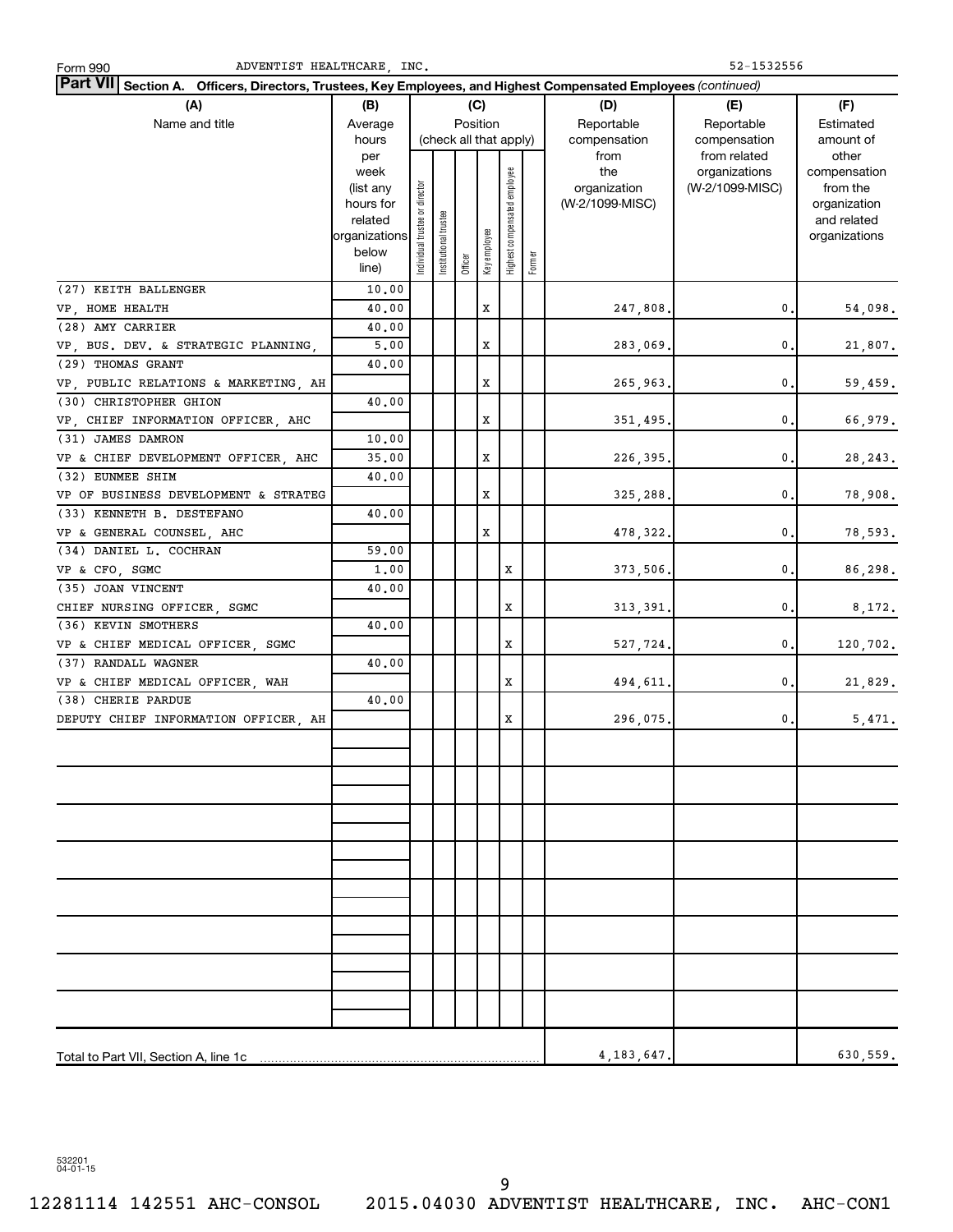| ADVENTIST HEALTHCARE, INC.<br>Form 990                                                                          |                |                                |                       |         |                        |                              |        |                 | 52-1532556                    |                       |  |  |
|-----------------------------------------------------------------------------------------------------------------|----------------|--------------------------------|-----------------------|---------|------------------------|------------------------------|--------|-----------------|-------------------------------|-----------------------|--|--|
| Part VII Section A. Officers, Directors, Trustees, Key Employees, and Highest Compensated Employees (continued) |                |                                |                       |         |                        |                              |        |                 |                               |                       |  |  |
| (A)                                                                                                             | (B)            |                                |                       |         | (C)                    |                              |        | (D)             | (E)                           |                       |  |  |
| Name and title                                                                                                  | Average        |                                |                       |         | Position               |                              |        | Reportable      | Reportable                    | Estimated             |  |  |
|                                                                                                                 | hours          |                                |                       |         | (check all that apply) |                              |        | compensation    | compensation                  | amount of             |  |  |
|                                                                                                                 | per<br>week    |                                |                       |         |                        |                              |        | from<br>the     | from related<br>organizations | other<br>compensation |  |  |
|                                                                                                                 | (list any      |                                |                       |         |                        |                              |        | organization    | (W-2/1099-MISC)               | from the              |  |  |
|                                                                                                                 | hours for      |                                |                       |         |                        |                              |        | (W-2/1099-MISC) |                               | organization          |  |  |
|                                                                                                                 | related        |                                |                       |         |                        |                              |        |                 |                               | and related           |  |  |
|                                                                                                                 | organizations  |                                |                       |         |                        |                              |        |                 |                               | organizations         |  |  |
|                                                                                                                 | below          | Individual trustee or director | Institutional trustee | Officer | Key employee           | Highest compensated employee | Former |                 |                               |                       |  |  |
|                                                                                                                 | line)          |                                |                       |         |                        |                              |        |                 |                               |                       |  |  |
| (27) KEITH BALLENGER<br>VP, HOME HEALTH                                                                         | 10.00<br>40.00 |                                |                       |         | X                      |                              |        | 247,808.        | 0.                            | 54,098.               |  |  |
| (28) AMY CARRIER                                                                                                | 40.00          |                                |                       |         |                        |                              |        |                 |                               |                       |  |  |
| VP, BUS. DEV. & STRATEGIC PLANNING,                                                                             | 5,00           |                                |                       |         | X                      |                              |        | 283,069.        | 0.                            | 21,807.               |  |  |
| (29) THOMAS GRANT                                                                                               | 40.00          |                                |                       |         |                        |                              |        |                 |                               |                       |  |  |
| VP, PUBLIC RELATIONS & MARKETING, AH                                                                            |                |                                |                       |         | X                      |                              |        | 265,963.        | 0.                            | 59,459.               |  |  |
| (30) CHRISTOPHER GHION                                                                                          | 40.00          |                                |                       |         |                        |                              |        |                 |                               |                       |  |  |
| VP, CHIEF INFORMATION OFFICER, AHC                                                                              |                |                                |                       |         | X                      |                              |        | 351,495.        | 0.                            | 66,979.               |  |  |
| (31) JAMES DAMRON                                                                                               | 10.00          |                                |                       |         |                        |                              |        |                 |                               |                       |  |  |
| VP & CHIEF DEVELOPMENT OFFICER, AHC                                                                             | 35.00          |                                |                       |         | X                      |                              |        | 226,395.        | 0.                            | 28, 243.              |  |  |
| (32) EUNMEE SHIM                                                                                                | 40.00          |                                |                       |         |                        |                              |        |                 |                               |                       |  |  |
| VP OF BUSINESS DEVELOPMENT & STRATEG                                                                            |                |                                |                       |         | X                      |                              |        | 325,288.        | 0.                            | 78,908.               |  |  |
| (33) KENNETH B. DESTEFANO                                                                                       | 40.00          |                                |                       |         |                        |                              |        |                 |                               |                       |  |  |
| VP & GENERAL COUNSEL, AHC                                                                                       |                |                                |                       |         | X                      |                              |        | 478, 322.       | 0.                            | 78,593.               |  |  |
| (34) DANIEL L. COCHRAN                                                                                          | 59.00          |                                |                       |         |                        |                              |        |                 |                               |                       |  |  |
| VP & CFO, SGMC                                                                                                  | 1,00           |                                |                       |         |                        | X                            |        | 373,506.        | 0.                            | 86,298.               |  |  |
| (35) JOAN VINCENT                                                                                               | 40.00          |                                |                       |         |                        |                              |        |                 |                               |                       |  |  |
| CHIEF NURSING OFFICER, SGMC                                                                                     |                |                                |                       |         |                        | X                            |        | 313, 391.       | 0.                            | 8,172.                |  |  |
| (36) KEVIN SMOTHERS                                                                                             | 40.00          |                                |                       |         |                        |                              |        |                 |                               |                       |  |  |
| VP & CHIEF MEDICAL OFFICER, SGMC                                                                                |                |                                |                       |         |                        | X                            |        | 527,724.        | 0.                            | 120,702.              |  |  |
| (37) RANDALL WAGNER                                                                                             | 40.00          |                                |                       |         |                        |                              |        |                 |                               |                       |  |  |
| VP & CHIEF MEDICAL OFFICER, WAH                                                                                 |                |                                |                       |         |                        | X                            |        | 494,611.        | 0.                            | 21,829.               |  |  |
| (38) CHERIE PARDUE                                                                                              | 40.00          |                                |                       |         |                        |                              |        |                 |                               |                       |  |  |
| DEPUTY CHIEF INFORMATION OFFICER, AH                                                                            |                |                                |                       |         |                        | X                            |        | 296,075.        | 0.                            | 5,471.                |  |  |
|                                                                                                                 |                |                                |                       |         |                        |                              |        |                 |                               |                       |  |  |
|                                                                                                                 |                |                                |                       |         |                        |                              |        |                 |                               |                       |  |  |
|                                                                                                                 |                |                                |                       |         |                        |                              |        |                 |                               |                       |  |  |
|                                                                                                                 |                |                                |                       |         |                        |                              |        |                 |                               |                       |  |  |
|                                                                                                                 |                |                                |                       |         |                        |                              |        |                 |                               |                       |  |  |
|                                                                                                                 |                |                                |                       |         |                        |                              |        |                 |                               |                       |  |  |
|                                                                                                                 |                |                                |                       |         |                        |                              |        |                 |                               |                       |  |  |
|                                                                                                                 |                |                                |                       |         |                        |                              |        |                 |                               |                       |  |  |
|                                                                                                                 |                |                                |                       |         |                        |                              |        |                 |                               |                       |  |  |
|                                                                                                                 |                |                                |                       |         |                        |                              |        |                 |                               |                       |  |  |
|                                                                                                                 |                |                                |                       |         |                        |                              |        |                 |                               |                       |  |  |
|                                                                                                                 |                |                                |                       |         |                        |                              |        |                 |                               |                       |  |  |
|                                                                                                                 |                |                                |                       |         |                        |                              |        |                 |                               |                       |  |  |
|                                                                                                                 |                |                                |                       |         |                        |                              |        |                 |                               |                       |  |  |
|                                                                                                                 |                |                                |                       |         |                        |                              |        |                 |                               |                       |  |  |
|                                                                                                                 |                |                                |                       |         |                        |                              |        |                 |                               |                       |  |  |
| Total to Part VII, Section A, line 1c                                                                           |                |                                |                       |         |                        |                              |        | 4, 183, 647.    |                               | 630,559.              |  |  |

532201 04-01-15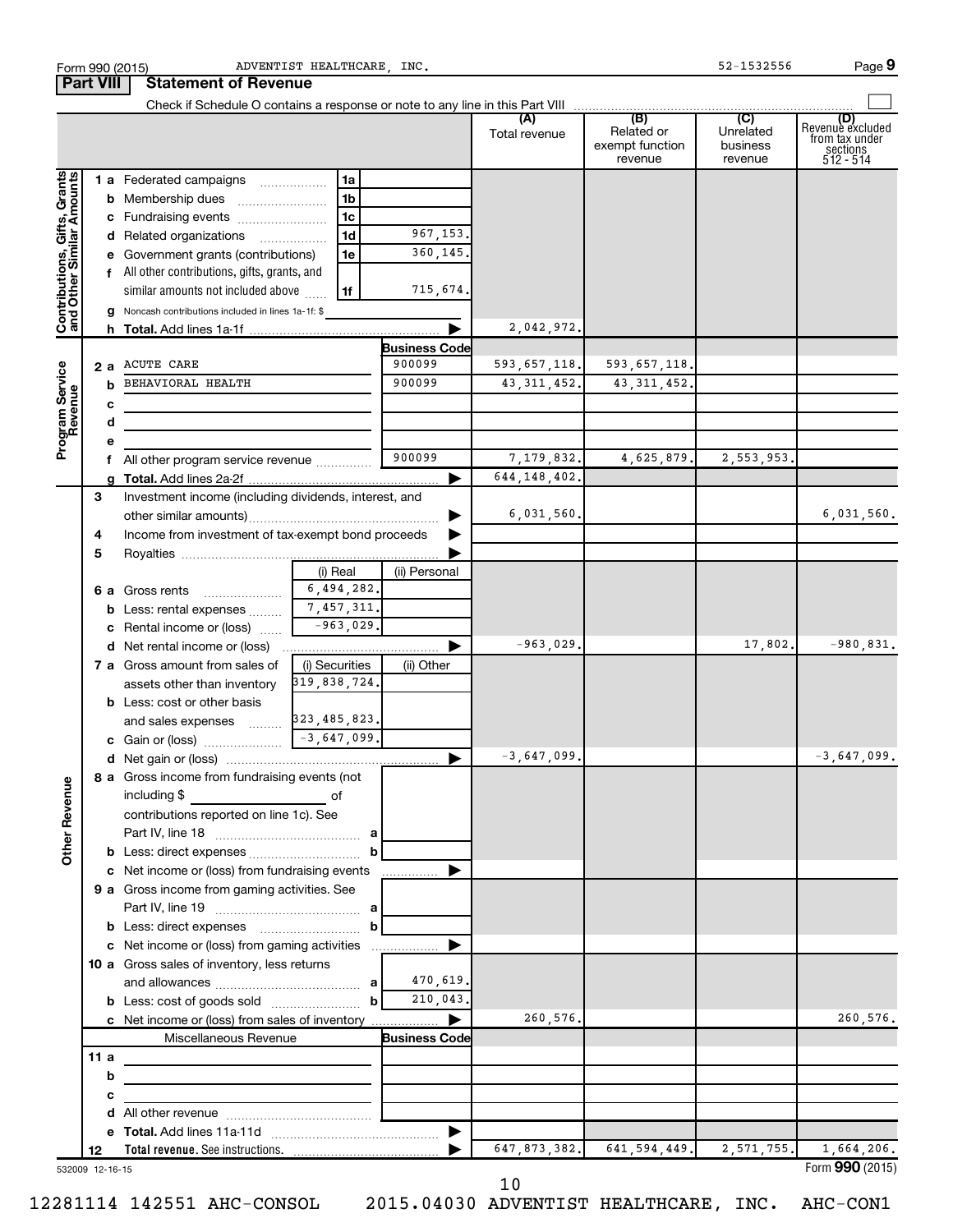|                                                           | <b>Part VIII</b> | <b>Statement of Revenue</b>                                                               |                |                      |                |                                          |                                  |                                                                    |
|-----------------------------------------------------------|------------------|-------------------------------------------------------------------------------------------|----------------|----------------------|----------------|------------------------------------------|----------------------------------|--------------------------------------------------------------------|
|                                                           |                  |                                                                                           |                |                      | Total revenue  | Related or<br>exempt function<br>revenue | Unrelated<br>business<br>revenue | (D)<br>Revenue excluded<br>from tax under<br>sections<br>512 - 514 |
|                                                           |                  | 1 a Federated campaigns                                                                   | 1a             |                      |                |                                          |                                  |                                                                    |
| Contributions, Gifts, Grants<br>and Other Similar Amounts |                  | <b>b</b> Membership dues                                                                  | 1 <sub>b</sub> |                      |                |                                          |                                  |                                                                    |
|                                                           |                  | c Fundraising events                                                                      | 1 <sub>c</sub> |                      |                |                                          |                                  |                                                                    |
|                                                           |                  | d Related organizations                                                                   | 1 <sub>d</sub> | 967,153.             |                |                                          |                                  |                                                                    |
|                                                           |                  | e Government grants (contributions)                                                       | 1e             | 360,145.             |                |                                          |                                  |                                                                    |
|                                                           |                  | f All other contributions, gifts, grants, and                                             |                |                      |                |                                          |                                  |                                                                    |
|                                                           |                  | similar amounts not included above                                                        | 1f             | 715,674.             |                |                                          |                                  |                                                                    |
|                                                           |                  | g Noncash contributions included in lines 1a-1f: \$                                       |                |                      |                |                                          |                                  |                                                                    |
|                                                           |                  |                                                                                           |                |                      | 2,042,972.     |                                          |                                  |                                                                    |
|                                                           |                  |                                                                                           |                | <b>Business Code</b> |                |                                          |                                  |                                                                    |
|                                                           |                  | 2 a ACUTE CARE                                                                            |                | 900099               | 593, 657, 118. | 593, 657, 118.                           |                                  |                                                                    |
| Program Service<br>Revenue                                | b                | BEHAVIORAL HEALTH                                                                         |                | 900099               | 43, 311, 452.  | 43, 311, 452.                            |                                  |                                                                    |
|                                                           | c                | the control of the control of the control of                                              |                |                      |                |                                          |                                  |                                                                    |
|                                                           | d                |                                                                                           |                |                      |                |                                          |                                  |                                                                    |
|                                                           | е                |                                                                                           |                |                      |                |                                          |                                  |                                                                    |
|                                                           | f                | All other program service revenue                                                         |                | 900099               | 7,179,832.     | 4,625,879.                               | 2,553,953.                       |                                                                    |
|                                                           |                  |                                                                                           |                |                      | 644, 148, 402. |                                          |                                  |                                                                    |
|                                                           | 3                | Investment income (including dividends, interest, and                                     |                |                      |                |                                          |                                  |                                                                    |
|                                                           |                  |                                                                                           |                |                      | 6,031,560.     |                                          |                                  | 6,031,560.                                                         |
|                                                           | 4                | Income from investment of tax-exempt bond proceeds                                        |                |                      |                |                                          |                                  |                                                                    |
|                                                           | 5                |                                                                                           |                |                      |                |                                          |                                  |                                                                    |
|                                                           |                  |                                                                                           | (i) Real       | (ii) Personal        |                |                                          |                                  |                                                                    |
|                                                           |                  |                                                                                           | 6,494,282.     |                      |                |                                          |                                  |                                                                    |
|                                                           |                  | <b>b</b> Less: rental expenses $\begin{bmatrix} 7,457,311. \end{bmatrix}$                 |                |                      |                |                                          |                                  |                                                                    |
|                                                           |                  | c Rental income or (loss)                                                                 | $-963,029$ .   |                      |                |                                          |                                  |                                                                    |
|                                                           |                  |                                                                                           |                |                      | $-963,029.$    |                                          | 17,802.                          | $-980, 831.$                                                       |
|                                                           |                  | <b>7 a</b> Gross amount from sales of                                                     | (i) Securities | (ii) Other           |                |                                          |                                  |                                                                    |
|                                                           |                  | assets other than inventory                                                               | 319,838,724.   |                      |                |                                          |                                  |                                                                    |
|                                                           |                  | <b>b</b> Less: cost or other basis                                                        |                |                      |                |                                          |                                  |                                                                    |
|                                                           |                  | and sales expenses  323, 485, 823.                                                        |                |                      |                |                                          |                                  |                                                                    |
|                                                           |                  |                                                                                           |                |                      |                |                                          |                                  |                                                                    |
|                                                           |                  |                                                                                           |                |                      | $-3,647,099.$  |                                          |                                  | $-3,647,099.$                                                      |
|                                                           |                  | 8 a Gross income from fundraising events (not                                             |                |                      |                |                                          |                                  |                                                                    |
|                                                           |                  | including \$<br><u> 1990 - Johann Barbara, martin a</u>                                   | of             |                      |                |                                          |                                  |                                                                    |
|                                                           |                  | contributions reported on line 1c). See                                                   |                |                      |                |                                          |                                  |                                                                    |
| <b>Other Revenue</b>                                      |                  |                                                                                           |                |                      |                |                                          |                                  |                                                                    |
|                                                           |                  |                                                                                           |                |                      |                |                                          |                                  |                                                                    |
|                                                           |                  | c Net income or (loss) from fundraising events                                            |                |                      |                |                                          |                                  |                                                                    |
|                                                           |                  | 9 a Gross income from gaming activities. See                                              |                |                      |                |                                          |                                  |                                                                    |
|                                                           |                  |                                                                                           |                |                      |                |                                          |                                  |                                                                    |
|                                                           |                  |                                                                                           |                |                      |                |                                          |                                  |                                                                    |
|                                                           |                  | <b>10 a</b> Gross sales of inventory, less returns                                        |                |                      |                |                                          |                                  |                                                                    |
|                                                           |                  | and allowances $\ldots$ , $\ldots$ , $\ldots$ , $\ldots$ , $\ldots$ , $\ldots$ , $\ldots$ |                | 470,619.             |                |                                          |                                  |                                                                    |
|                                                           |                  |                                                                                           | b              | 210,043.             |                |                                          |                                  |                                                                    |
|                                                           |                  | c Net income or (loss) from sales of inventory  ▶                                         |                |                      | 260,576.       |                                          |                                  | 260,576.                                                           |
|                                                           |                  | Miscellaneous Revenue                                                                     |                | <b>Business Code</b> |                |                                          |                                  |                                                                    |
|                                                           | 11 $a$           |                                                                                           |                |                      |                |                                          |                                  |                                                                    |
|                                                           | b                |                                                                                           |                |                      |                |                                          |                                  |                                                                    |
|                                                           | с                | <u> 1980 - Jan Barbara (j. 1980)</u>                                                      |                |                      |                |                                          |                                  |                                                                    |
|                                                           | d                |                                                                                           |                |                      |                |                                          |                                  |                                                                    |
|                                                           |                  |                                                                                           |                |                      |                |                                          |                                  |                                                                    |
|                                                           | 12               |                                                                                           |                |                      | 647, 873, 382. | 641, 594, 449.                           | 2,571,755.                       | 1,664,206.                                                         |
|                                                           | 532009 12-16-15  |                                                                                           |                |                      |                |                                          |                                  | Form 990 (2015)                                                    |

**9**

12281114 142551 AHC-CONSOL 2015.04030 ADVENTIST HEALTHCARE, INC. AHC-CON1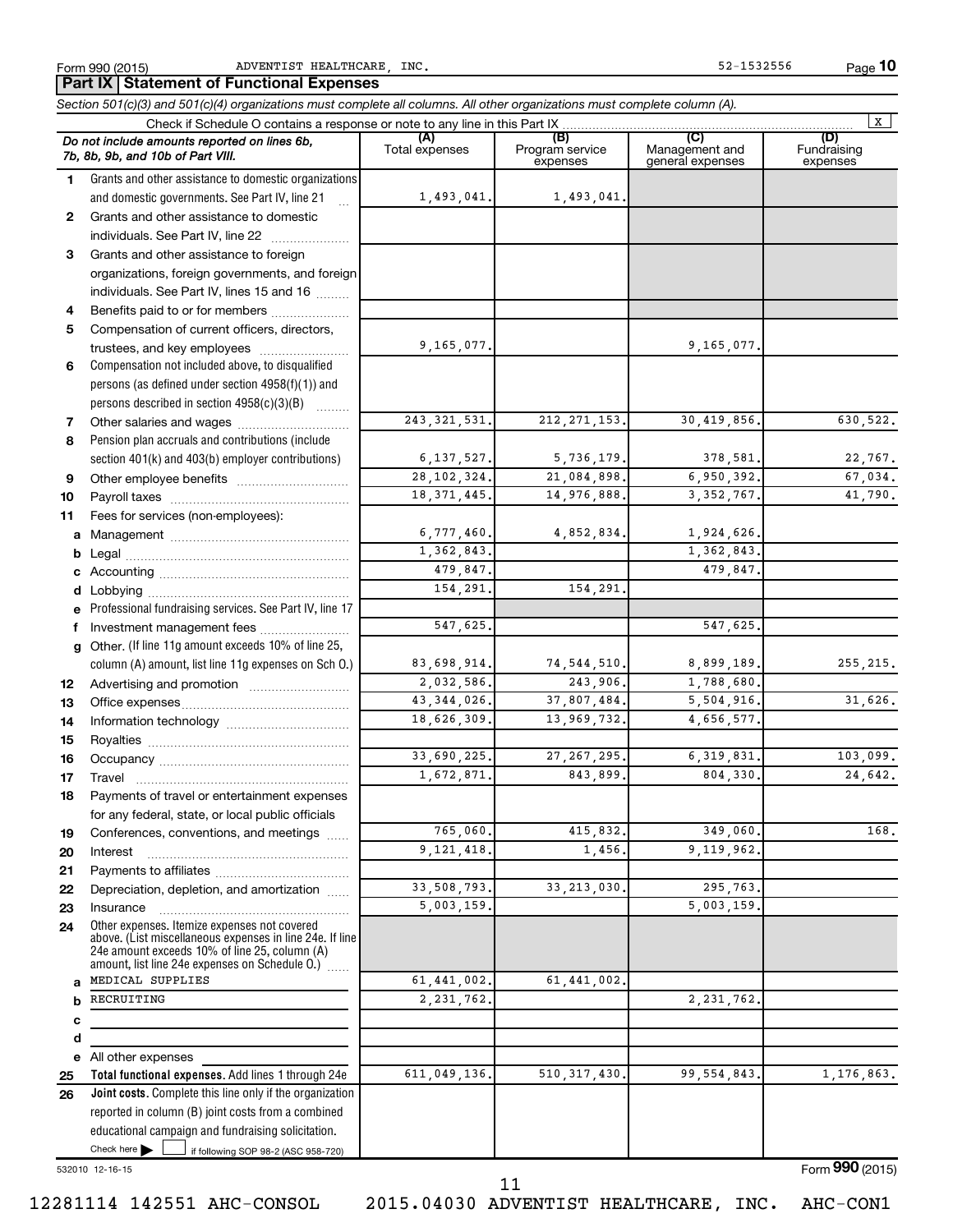**10**

|          | <b>Part IX   Statement of Functional Expenses</b>                                                                                                             |                       |                                    |                                           |                                |
|----------|---------------------------------------------------------------------------------------------------------------------------------------------------------------|-----------------------|------------------------------------|-------------------------------------------|--------------------------------|
|          | Section 501(c)(3) and 501(c)(4) organizations must complete all columns. All other organizations must complete column (A).                                    |                       |                                    |                                           |                                |
|          | Check if Schedule O contains a response or note to any line in this Part IX                                                                                   |                       |                                    |                                           | X                              |
|          | Do not include amounts reported on lines 6b,<br>7b, 8b, 9b, and 10b of Part VIII.                                                                             | (A)<br>Total expenses | (B)<br>Program service<br>expenses | (C)<br>Management and<br>general expenses | (D)<br>Fundraising<br>expenses |
| 1        | Grants and other assistance to domestic organizations                                                                                                         |                       |                                    |                                           |                                |
|          | and domestic governments. See Part IV, line 21                                                                                                                | 1,493,041.            | 1,493,041.                         |                                           |                                |
| 2        | Grants and other assistance to domestic                                                                                                                       |                       |                                    |                                           |                                |
|          | individuals. See Part IV, line 22                                                                                                                             |                       |                                    |                                           |                                |
| 3        | Grants and other assistance to foreign                                                                                                                        |                       |                                    |                                           |                                |
|          | organizations, foreign governments, and foreign                                                                                                               |                       |                                    |                                           |                                |
|          | individuals. See Part IV, lines 15 and 16                                                                                                                     |                       |                                    |                                           |                                |
| 4        | Benefits paid to or for members                                                                                                                               |                       |                                    |                                           |                                |
| 5        | Compensation of current officers, directors,                                                                                                                  |                       |                                    |                                           |                                |
|          | trustees, and key employees                                                                                                                                   | 9,165,077.            |                                    | 9,165,077.                                |                                |
| 6        | Compensation not included above, to disqualified                                                                                                              |                       |                                    |                                           |                                |
|          | persons (as defined under section 4958(f)(1)) and                                                                                                             |                       |                                    |                                           |                                |
|          | persons described in section 4958(c)(3)(B)                                                                                                                    | 243, 321, 531.        |                                    |                                           |                                |
| 7        | Other salaries and wages                                                                                                                                      |                       | 212, 271, 153.                     | 30,419,856.                               | 630,522.                       |
| 8        | Pension plan accruals and contributions (include                                                                                                              | 6, 137, 527.          | 5,736,179.                         | 378,581.                                  | 22,767.                        |
| 9        | section 401(k) and 403(b) employer contributions)                                                                                                             | 28, 102, 324.         | 21,084,898.                        | 6,950,392.                                | 67,034.                        |
| 10       |                                                                                                                                                               | 18, 371, 445.         | 14,976,888.                        | 3, 352, 767.                              | 41,790.                        |
| 11       | Fees for services (non-employees):                                                                                                                            |                       |                                    |                                           |                                |
|          |                                                                                                                                                               | 6,777,460.            | 4,852,834.                         | 1,924,626.                                |                                |
|          |                                                                                                                                                               | 1,362,843.            |                                    | 1,362,843.                                |                                |
|          |                                                                                                                                                               | 479,847.              |                                    | 479,847.                                  |                                |
|          |                                                                                                                                                               | 154,291.              | 154,291.                           |                                           |                                |
|          | e Professional fundraising services. See Part IV, line 17                                                                                                     |                       |                                    |                                           |                                |
| f        | Investment management fees                                                                                                                                    | 547,625.              |                                    | 547,625.                                  |                                |
|          | g Other. (If line 11g amount exceeds 10% of line 25,                                                                                                          |                       |                                    |                                           |                                |
|          | column (A) amount, list line 11g expenses on Sch O.)                                                                                                          | 83,698,914.           | 74, 544, 510.                      | 8,899,189.                                | 255, 215.                      |
| 12       |                                                                                                                                                               | 2,032,586.            | 243,906.                           | 1,788,680.                                |                                |
| 13       |                                                                                                                                                               | 43, 344, 026.         | 37,807,484.                        | 5,504,916.                                | 31,626.                        |
| 14       |                                                                                                                                                               | 18,626,309.           | 13,969,732.                        | 4,656,577.                                |                                |
| 15       |                                                                                                                                                               |                       |                                    |                                           |                                |
| 16       |                                                                                                                                                               | 33,690,225.           | 27, 267, 295.                      | 6,319,831.                                | 103,099.                       |
| 17       |                                                                                                                                                               | 1,672,871.            | 843,899.                           | 804,330.                                  | 24,642.                        |
| 18       | Payments of travel or entertainment expenses                                                                                                                  |                       |                                    |                                           |                                |
|          | for any federal, state, or local public officials                                                                                                             |                       |                                    |                                           |                                |
| 19       | Conferences, conventions, and meetings                                                                                                                        | 765,060.              | 415,832.                           | 349.060.                                  | 168.                           |
| 20       | Interest                                                                                                                                                      | 9, 121, 418.          | 1,456.                             | 9,119,962.                                |                                |
| 21       | Depreciation, depletion, and amortization                                                                                                                     | 33,508,793.           | 33, 213, 030.                      | 295,763.                                  |                                |
| 22       | Insurance                                                                                                                                                     | 5,003,159.            |                                    | 5,003,159.                                |                                |
| 23<br>24 | Other expenses. Itemize expenses not covered                                                                                                                  |                       |                                    |                                           |                                |
|          | above. (List miscellaneous expenses in line 24e. If line<br>24e amount exceeds 10% of line 25, column (A)<br>amount, list line 24e expenses on Schedule O.) [ |                       |                                    |                                           |                                |
| a        | MEDICAL SUPPLIES                                                                                                                                              | 61,441,002.           | 61,441,002.                        |                                           |                                |
| b        | RECRUITING                                                                                                                                                    | 2, 231, 762.          |                                    | 2, 231, 762.                              |                                |
| c        |                                                                                                                                                               |                       |                                    |                                           |                                |
| d        |                                                                                                                                                               |                       |                                    |                                           |                                |
|          | e All other expenses                                                                                                                                          |                       |                                    |                                           |                                |
| 25       | Total functional expenses. Add lines 1 through 24e                                                                                                            | 611,049,136.          | 510, 317, 430.                     | 99,554,843.                               | 1,176,863.                     |
| 26       | Joint costs. Complete this line only if the organization                                                                                                      |                       |                                    |                                           |                                |
|          | reported in column (B) joint costs from a combined                                                                                                            |                       |                                    |                                           |                                |
|          | educational campaign and fundraising solicitation.                                                                                                            |                       |                                    |                                           |                                |
|          | Check here $\blacktriangleright$<br>if following SOP 98-2 (ASC 958-720)                                                                                       |                       |                                    |                                           |                                |

532010 12-16-15

Form (2015) **990**

12281114 142551 AHC-CONSOL 2015.04030 ADVENTIST HEALTHCARE, INC. AHC-CON1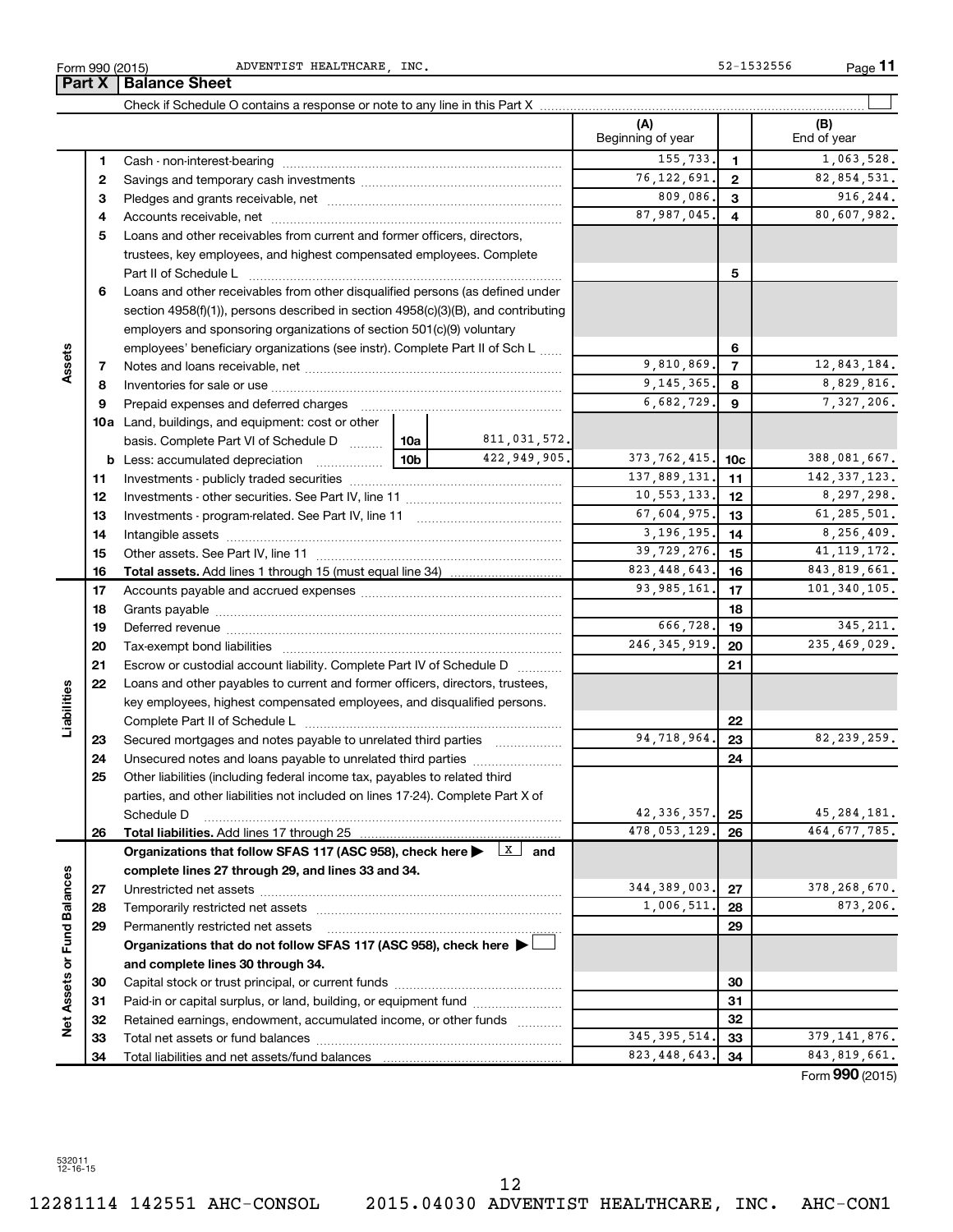|                             |          |                                                                                                                                                                                                                                |                 |                | (A)<br>Beginning of year |                 | (B)<br>End of year |
|-----------------------------|----------|--------------------------------------------------------------------------------------------------------------------------------------------------------------------------------------------------------------------------------|-----------------|----------------|--------------------------|-----------------|--------------------|
|                             | 1        |                                                                                                                                                                                                                                |                 |                | 155, 733.                | 1               | 1,063,528.         |
|                             | 2        |                                                                                                                                                                                                                                |                 |                | 76, 122, 691.            | $\overline{2}$  | 82,854,531.        |
|                             | 3        |                                                                                                                                                                                                                                |                 |                | 809,086.                 | 3               | 916,244.           |
|                             | 4        |                                                                                                                                                                                                                                |                 |                | 87,987,045.              | 4               | 80,607,982.        |
|                             | 5        | Loans and other receivables from current and former officers, directors,                                                                                                                                                       |                 |                |                          |                 |                    |
|                             |          | trustees, key employees, and highest compensated employees. Complete                                                                                                                                                           |                 |                |                          |                 |                    |
|                             |          | Part II of Schedule Latin million and Contract in the Schedule Latin million and the Marian million and Den La                                                                                                                 |                 |                |                          | 5               |                    |
|                             | 6        | Loans and other receivables from other disqualified persons (as defined under                                                                                                                                                  |                 |                |                          |                 |                    |
|                             |          | section 4958(f)(1)), persons described in section 4958(c)(3)(B), and contributing                                                                                                                                              |                 |                |                          |                 |                    |
|                             |          | employers and sponsoring organizations of section 501(c)(9) voluntary                                                                                                                                                          |                 |                |                          |                 |                    |
|                             |          | employees' beneficiary organizations (see instr). Complete Part II of Sch L                                                                                                                                                    |                 |                |                          | 6               |                    |
| Assets                      | 7        |                                                                                                                                                                                                                                |                 |                | 9,810,869.               | $\overline{7}$  | 12,843,184.        |
|                             | 8        |                                                                                                                                                                                                                                |                 |                | 9, 145, 365.             | 8               | 8,829,816.         |
|                             | 9        | Prepaid expenses and deferred charges [11] matter continuum matter and referred charges [11] matter continuum matter continuum matter and continuum matter continuum matter continuum matter continuum matter continuum matter |                 |                | 6,682,729.               | 9               | 7,327,206.         |
|                             |          | 10a Land, buildings, and equipment: cost or other                                                                                                                                                                              |                 |                |                          |                 |                    |
|                             |          | basis. Complete Part VI of Schedule D                                                                                                                                                                                          | 10a             | 811,031,572.   |                          |                 |                    |
|                             |          | <b>b</b> Less: accumulated depreciation                                                                                                                                                                                        | 10 <sub>b</sub> | 422, 949, 905. | 373, 762, 415.           | 10 <sub>c</sub> | 388,081,667.       |
|                             | 11       |                                                                                                                                                                                                                                |                 |                | 137,889,131.             | 11              | 142, 337, 123.     |
|                             | 12       |                                                                                                                                                                                                                                |                 |                | 10, 553, 133.            | 12              | 8,297,298.         |
|                             | 13       |                                                                                                                                                                                                                                |                 |                | 67,604,975.              | 13              | 61,285,501.        |
|                             | 14       |                                                                                                                                                                                                                                |                 |                | 3,196,195.               | 14              | 8,256,409.         |
|                             | 15       |                                                                                                                                                                                                                                |                 |                | 39,729,276.              | 15              | 41, 119, 172.      |
|                             | 16       |                                                                                                                                                                                                                                |                 |                | 823, 448, 643.           | 16              | 843, 819, 661.     |
|                             | 17       |                                                                                                                                                                                                                                |                 |                | 93, 985, 161.            | 17              | 101, 340, 105.     |
|                             | 18       |                                                                                                                                                                                                                                |                 |                |                          | 18              |                    |
|                             | 19       |                                                                                                                                                                                                                                |                 |                | 666,728.                 | 19              | 345, 211.          |
|                             | 20       |                                                                                                                                                                                                                                |                 |                | 246, 345, 919.           | 20              | 235,469,029.       |
|                             | 21       | Escrow or custodial account liability. Complete Part IV of Schedule D                                                                                                                                                          |                 |                |                          | 21              |                    |
|                             | 22       | Loans and other payables to current and former officers, directors, trustees,                                                                                                                                                  |                 |                |                          |                 |                    |
| Liabilities                 |          | key employees, highest compensated employees, and disqualified persons.                                                                                                                                                        |                 |                |                          |                 |                    |
|                             |          |                                                                                                                                                                                                                                |                 |                |                          | 22              |                    |
|                             | 23       | Secured mortgages and notes payable to unrelated third parties                                                                                                                                                                 |                 |                | 94,718,964.              | 23              | 82, 239, 259.      |
|                             | 24       | Unsecured notes and loans payable to unrelated third parties                                                                                                                                                                   |                 |                |                          | 24              |                    |
|                             | 25       | Other liabilities (including federal income tax, payables to related third                                                                                                                                                     |                 |                |                          |                 |                    |
|                             |          | parties, and other liabilities not included on lines 17-24). Complete Part X of                                                                                                                                                |                 |                |                          |                 |                    |
|                             |          | Schedule D                                                                                                                                                                                                                     |                 |                | 42, 336, 357.            | 25              | 45, 284, 181.      |
|                             | 26       |                                                                                                                                                                                                                                |                 |                | 478,053,129.             | 26              | 464, 677, 785.     |
|                             |          | Organizations that follow SFAS 117 (ASC 958), check here $\blacktriangleright$ $\frac{ X }{ X }$ and                                                                                                                           |                 |                |                          |                 |                    |
|                             |          | complete lines 27 through 29, and lines 33 and 34.                                                                                                                                                                             |                 |                | 344, 389, 003.           | 27              | 378,268,670.       |
|                             | 27       |                                                                                                                                                                                                                                |                 |                | 1,006,511.               | 28              | 873,206.           |
|                             | 28<br>29 | Permanently restricted net assets                                                                                                                                                                                              |                 |                |                          | 29              |                    |
|                             |          | Organizations that do not follow SFAS 117 (ASC 958), check here $\blacktriangleright\Box$                                                                                                                                      |                 |                |                          |                 |                    |
|                             |          | and complete lines 30 through 34.                                                                                                                                                                                              |                 |                |                          |                 |                    |
|                             | 30       |                                                                                                                                                                                                                                |                 |                |                          | 30              |                    |
|                             | 31       | Paid-in or capital surplus, or land, building, or equipment fund                                                                                                                                                               |                 |                |                          | 31              |                    |
| Net Assets or Fund Balances | 32       | Retained earnings, endowment, accumulated income, or other funds                                                                                                                                                               |                 |                |                          | 32              |                    |
|                             | 33       |                                                                                                                                                                                                                                |                 |                | 345, 395, 514.           | 33              | 379, 141, 876.     |
|                             | 34       |                                                                                                                                                                                                                                |                 |                | 823, 448, 643.           | 34              | 843, 819, 661.     |

Form (2015) **990**

**11**

**Part X** | Balance Sheet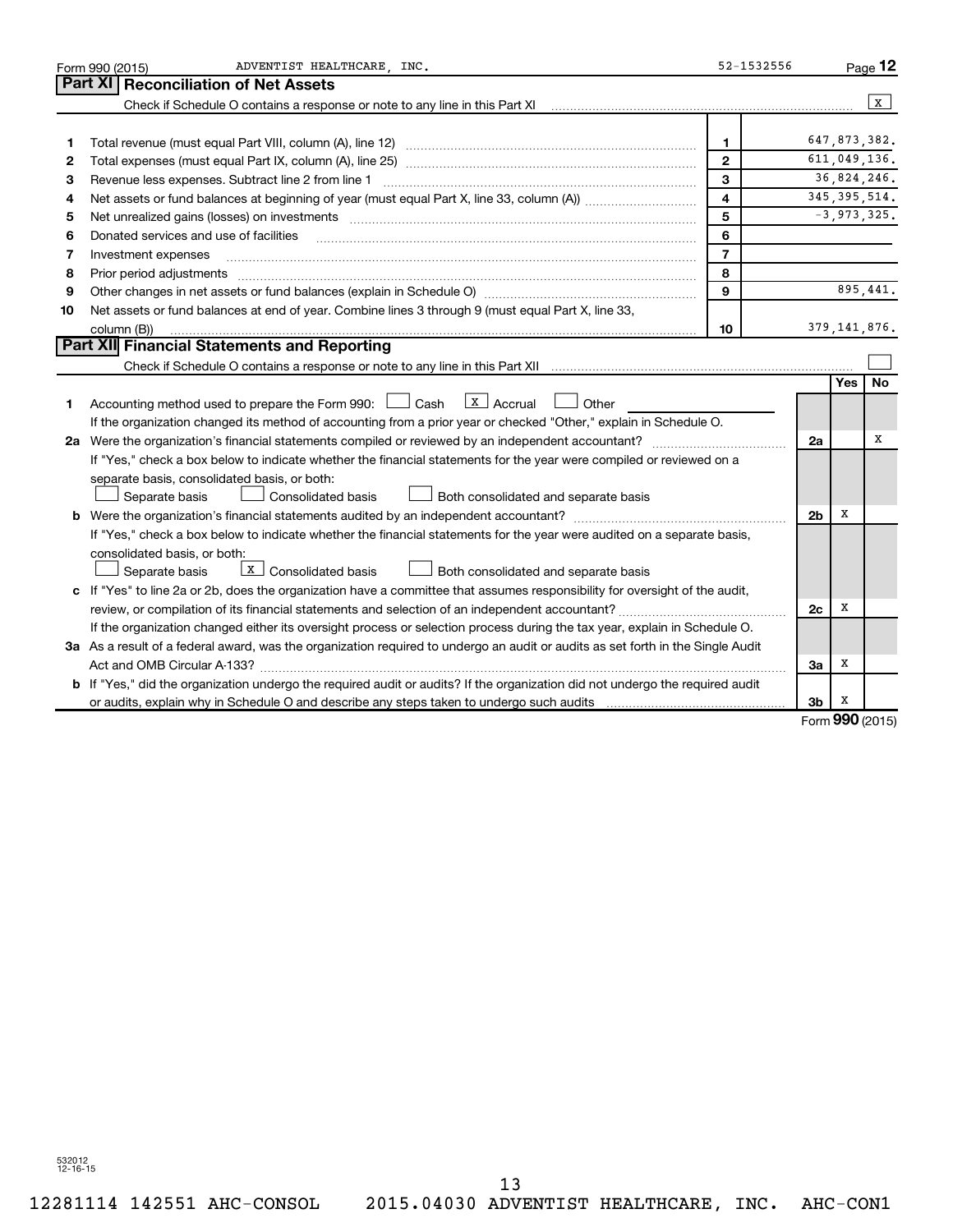|    | ADVENTIST HEALTHCARE INC.<br>Form 990 (2015)                                                                                         | 52-1532556              |                |               | Page 12        |
|----|--------------------------------------------------------------------------------------------------------------------------------------|-------------------------|----------------|---------------|----------------|
|    | Part XI<br><b>Reconciliation of Net Assets</b>                                                                                       |                         |                |               |                |
|    | Check if Schedule O contains a response or note to any line in this Part XI                                                          |                         |                |               | $\mathbf{x}$   |
|    |                                                                                                                                      |                         |                |               |                |
| 1  |                                                                                                                                      | 1                       |                |               | 647,873,382.   |
| 2  |                                                                                                                                      | $\mathbf{2}$            |                |               | 611,049,136.   |
| З  | Revenue less expenses. Subtract line 2 from line 1                                                                                   | 3                       |                |               | 36,824,246.    |
| 4  |                                                                                                                                      | $\overline{\mathbf{4}}$ |                |               | 345, 395, 514. |
| 5  | Net unrealized gains (losses) on investments [11] matter continuum matter is a set of the set of the set of the                      | 5                       |                |               | $-3,973,325.$  |
| 6  | Donated services and use of facilities                                                                                               | 6                       |                |               |                |
| 7  | Investment expenses                                                                                                                  | $\overline{7}$          |                |               |                |
| 8  | Prior period adjustments www.communication.communication.communication.com/news-managements                                          | 8                       |                |               |                |
| 9  |                                                                                                                                      | 9                       |                |               | 895,441.       |
| 10 | Net assets or fund balances at end of year. Combine lines 3 through 9 (must equal Part X, line 33,                                   |                         |                |               |                |
|    | column (B))                                                                                                                          | 10                      |                |               | 379, 141, 876. |
|    | Part XII Financial Statements and Reporting                                                                                          |                         |                |               |                |
|    |                                                                                                                                      |                         |                |               |                |
|    |                                                                                                                                      |                         |                | <b>Yes</b>    | <b>No</b>      |
| 1  | $\lfloor x \rfloor$ Accrual<br>Accounting method used to prepare the Form 990: $\Box$ Cash<br>Other                                  |                         |                |               |                |
|    | If the organization changed its method of accounting from a prior year or checked "Other," explain in Schedule O.                    |                         |                |               |                |
|    | 2a Were the organization's financial statements compiled or reviewed by an independent accountant?                                   |                         | 2a             |               | х              |
|    | If "Yes," check a box below to indicate whether the financial statements for the year were compiled or reviewed on a                 |                         |                |               |                |
|    | separate basis, consolidated basis, or both:                                                                                         |                         |                |               |                |
|    | Separate basis<br>Consolidated basis<br>Both consolidated and separate basis                                                         |                         |                |               |                |
|    |                                                                                                                                      |                         | 2 <sub>b</sub> | х             |                |
|    | If "Yes," check a box below to indicate whether the financial statements for the year were audited on a separate basis,              |                         |                |               |                |
|    | consolidated basis, or both:                                                                                                         |                         |                |               |                |
|    | $X$ Consolidated basis<br>Both consolidated and separate basis<br>Separate basis                                                     |                         |                |               |                |
|    | c If "Yes" to line 2a or 2b, does the organization have a committee that assumes responsibility for oversight of the audit,          |                         |                |               |                |
|    | review, or compilation of its financial statements and selection of an independent accountant?                                       |                         | 2c             | х             |                |
|    | If the organization changed either its oversight process or selection process during the tax year, explain in Schedule O.            |                         |                |               |                |
|    | 3a As a result of a federal award, was the organization required to undergo an audit or audits as set forth in the Single Audit      |                         |                |               |                |
|    |                                                                                                                                      |                         | За             | х             |                |
|    | <b>b</b> If "Yes," did the organization undergo the required audit or audits? If the organization did not undergo the required audit |                         |                |               |                |
|    |                                                                                                                                      |                         | 3b             | x             |                |
|    |                                                                                                                                      |                         |                | $000 \approx$ |                |

Form (2015) **990**

532012 12-16-15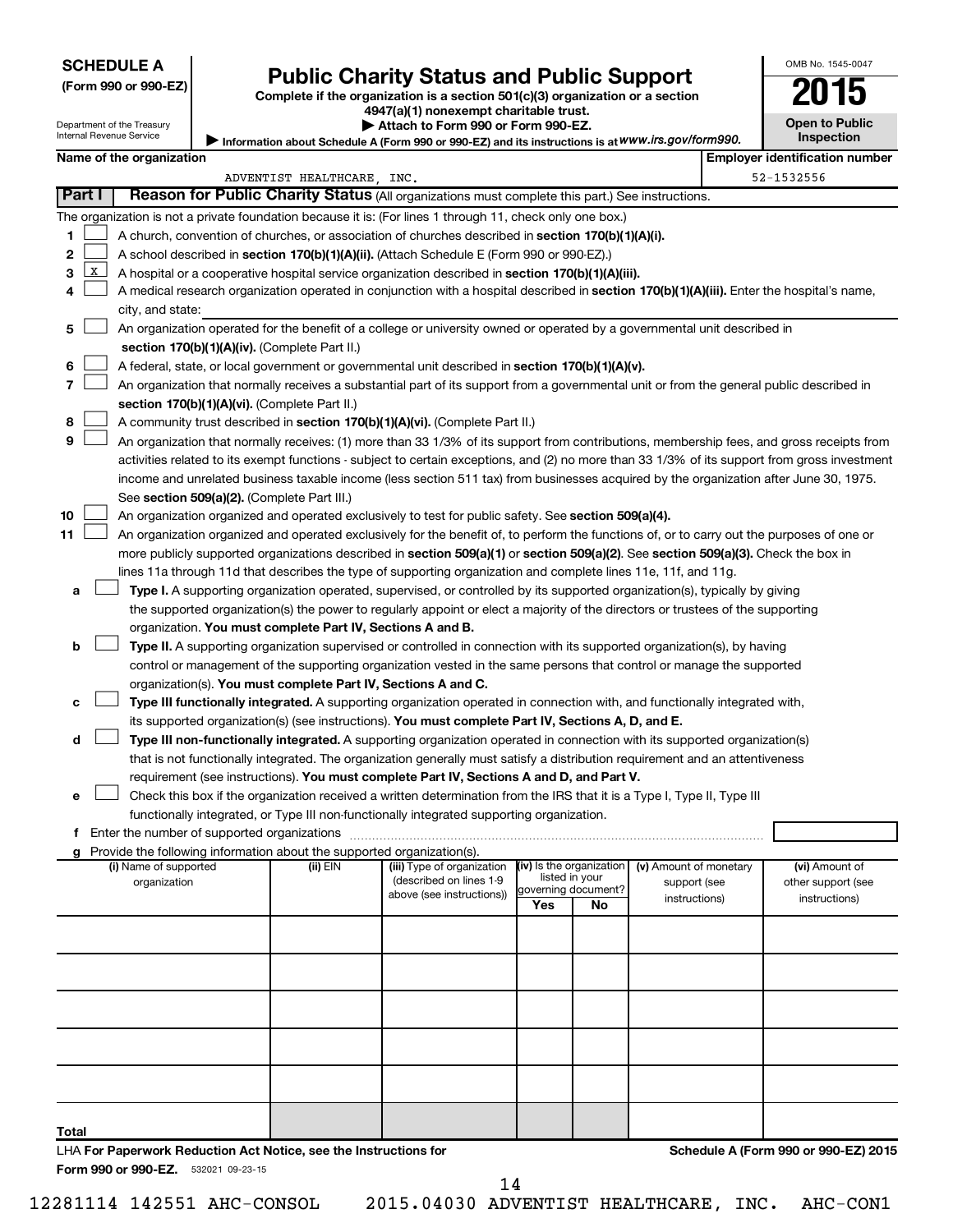## **SCHEDULE A**

# Form 990 or 990-EZ) Public Charity Status and Public Support<br>
Complete if the organization is a section 501(c)(3) organization or a section<br> **2015**

**4947(a)(1) nonexempt charitable trust. | Attach to Form 990 or Form 990-EZ.** 

| LU IU                               |  |
|-------------------------------------|--|
| <b>Open to Public</b><br>Inonootion |  |

OMB No. 1545-0047

Department of the Treasury<br>Internal Revenue Service Internal Revenue Service

|    |        | Internal Revenue Service |                                                                          | Information about Schedule A (Form 990 or 990-EZ) and its instructions is at WWW.irs.gov/form990.                                             |                          |                |                        | Inspection                            |
|----|--------|--------------------------|--------------------------------------------------------------------------|-----------------------------------------------------------------------------------------------------------------------------------------------|--------------------------|----------------|------------------------|---------------------------------------|
|    |        | Name of the organization |                                                                          |                                                                                                                                               |                          |                |                        | <b>Employer identification number</b> |
|    |        |                          | ADVENTIST HEALTHCARE, INC.                                               |                                                                                                                                               |                          |                |                        | 52-1532556                            |
|    | Part I |                          |                                                                          | Reason for Public Charity Status (All organizations must complete this part.) See instructions.                                               |                          |                |                        |                                       |
|    |        |                          |                                                                          | The organization is not a private foundation because it is: (For lines 1 through 11, check only one box.)                                     |                          |                |                        |                                       |
| 1  |        |                          |                                                                          | A church, convention of churches, or association of churches described in <b>section 170(b)(1)(A)(i).</b>                                     |                          |                |                        |                                       |
| 2  |        |                          |                                                                          | A school described in section 170(b)(1)(A)(ii). (Attach Schedule E (Form 990 or 990-EZ).)                                                     |                          |                |                        |                                       |
| 3  | X      |                          |                                                                          | A hospital or a cooperative hospital service organization described in section 170(b)(1)(A)(iii).                                             |                          |                |                        |                                       |
|    |        |                          |                                                                          | A medical research organization operated in conjunction with a hospital described in section 170(b)(1)(A)(iii). Enter the hospital's name,    |                          |                |                        |                                       |
|    |        | city, and state:         |                                                                          |                                                                                                                                               |                          |                |                        |                                       |
| 5  |        |                          |                                                                          | An organization operated for the benefit of a college or university owned or operated by a governmental unit described in                     |                          |                |                        |                                       |
|    |        |                          | section 170(b)(1)(A)(iv). (Complete Part II.)                            |                                                                                                                                               |                          |                |                        |                                       |
|    |        |                          |                                                                          | A federal, state, or local government or governmental unit described in section 170(b)(1)(A)(v).                                              |                          |                |                        |                                       |
|    |        |                          |                                                                          | An organization that normally receives a substantial part of its support from a governmental unit or from the general public described in     |                          |                |                        |                                       |
|    |        |                          | section 170(b)(1)(A)(vi). (Complete Part II.)                            |                                                                                                                                               |                          |                |                        |                                       |
| 8  |        |                          |                                                                          | A community trust described in section 170(b)(1)(A)(vi). (Complete Part II.)                                                                  |                          |                |                        |                                       |
| 9  |        |                          |                                                                          | An organization that normally receives: (1) more than 33 1/3% of its support from contributions, membership fees, and gross receipts from     |                          |                |                        |                                       |
|    |        |                          |                                                                          | activities related to its exempt functions - subject to certain exceptions, and (2) no more than 33 1/3% of its support from gross investment |                          |                |                        |                                       |
|    |        |                          |                                                                          | income and unrelated business taxable income (less section 511 tax) from businesses acquired by the organization after June 30, 1975.         |                          |                |                        |                                       |
|    |        |                          | See section 509(a)(2). (Complete Part III.)                              |                                                                                                                                               |                          |                |                        |                                       |
| 10 |        |                          |                                                                          | An organization organized and operated exclusively to test for public safety. See section 509(a)(4).                                          |                          |                |                        |                                       |
| 11 |        |                          |                                                                          | An organization organized and operated exclusively for the benefit of, to perform the functions of, or to carry out the purposes of one or    |                          |                |                        |                                       |
|    |        |                          |                                                                          | more publicly supported organizations described in section 509(a)(1) or section 509(a)(2). See section 509(a)(3). Check the box in            |                          |                |                        |                                       |
|    |        |                          |                                                                          | lines 11a through 11d that describes the type of supporting organization and complete lines 11e, 11f, and 11g.                                |                          |                |                        |                                       |
| а  |        |                          |                                                                          | Type I. A supporting organization operated, supervised, or controlled by its supported organization(s), typically by giving                   |                          |                |                        |                                       |
|    |        |                          |                                                                          | the supported organization(s) the power to regularly appoint or elect a majority of the directors or trustees of the supporting               |                          |                |                        |                                       |
|    |        |                          | organization. You must complete Part IV, Sections A and B.               |                                                                                                                                               |                          |                |                        |                                       |
| b  |        |                          |                                                                          | Type II. A supporting organization supervised or controlled in connection with its supported organization(s), by having                       |                          |                |                        |                                       |
|    |        |                          |                                                                          | control or management of the supporting organization vested in the same persons that control or manage the supported                          |                          |                |                        |                                       |
|    |        |                          | organization(s). You must complete Part IV, Sections A and C.            |                                                                                                                                               |                          |                |                        |                                       |
| с  |        |                          |                                                                          | Type III functionally integrated. A supporting organization operated in connection with, and functionally integrated with,                    |                          |                |                        |                                       |
|    |        |                          |                                                                          | its supported organization(s) (see instructions). You must complete Part IV, Sections A, D, and E.                                            |                          |                |                        |                                       |
| d  |        |                          |                                                                          | Type III non-functionally integrated. A supporting organization operated in connection with its supported organization(s)                     |                          |                |                        |                                       |
|    |        |                          |                                                                          | that is not functionally integrated. The organization generally must satisfy a distribution requirement and an attentiveness                  |                          |                |                        |                                       |
|    |        |                          |                                                                          | requirement (see instructions). You must complete Part IV, Sections A and D, and Part V.                                                      |                          |                |                        |                                       |
| е  |        |                          |                                                                          | Check this box if the organization received a written determination from the IRS that it is a Type I, Type II, Type III                       |                          |                |                        |                                       |
|    |        |                          |                                                                          | functionally integrated, or Type III non-functionally integrated supporting organization.                                                     |                          |                |                        |                                       |
|    |        |                          | g Provide the following information about the supported organization(s). |                                                                                                                                               |                          |                |                        |                                       |
|    |        | (i) Name of supported    | (ii) EIN                                                                 | (iii) Type of organization                                                                                                                    | (iv) Is the organization |                | (v) Amount of monetary | (vi) Amount of                        |
|    |        | organization             |                                                                          | (described on lines 1-9                                                                                                                       | governing document?      | listed in your | support (see           | other support (see                    |
|    |        |                          |                                                                          | above (see instructions))                                                                                                                     | Yes                      | No             | instructions)          | instructions)                         |
|    |        |                          |                                                                          |                                                                                                                                               |                          |                |                        |                                       |
|    |        |                          |                                                                          |                                                                                                                                               |                          |                |                        |                                       |
|    |        |                          |                                                                          |                                                                                                                                               |                          |                |                        |                                       |
|    |        |                          |                                                                          |                                                                                                                                               |                          |                |                        |                                       |
|    |        |                          |                                                                          |                                                                                                                                               |                          |                |                        |                                       |
|    |        |                          |                                                                          |                                                                                                                                               |                          |                |                        |                                       |
|    |        |                          |                                                                          |                                                                                                                                               |                          |                |                        |                                       |
|    |        |                          |                                                                          |                                                                                                                                               |                          |                |                        |                                       |
|    |        |                          |                                                                          |                                                                                                                                               |                          |                |                        |                                       |
|    |        |                          |                                                                          |                                                                                                                                               |                          |                |                        |                                       |
|    |        |                          |                                                                          |                                                                                                                                               |                          |                |                        |                                       |

Form 990 or 990-EZ. 532021 09-23-15 LHA **For Paperwork Reduction Act Notice, see the Instructions for**  **Schedule A (Form 990 or 990-EZ) 2015**

**Total**

14

12281114 142551 AHC-CONSOL 2015.04030 ADVENTIST HEALTHCARE, INC. AHC-CON1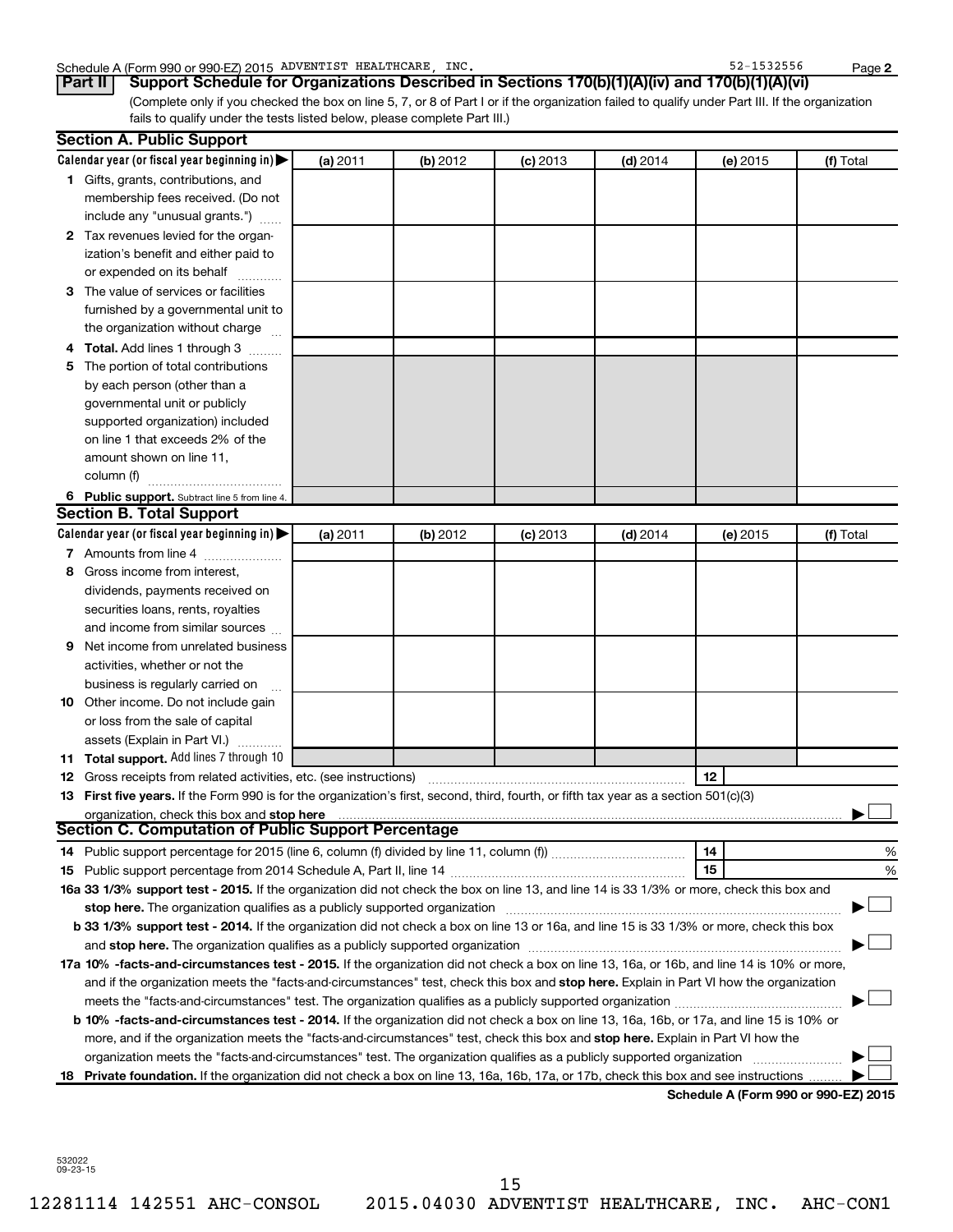### Schedule A (Form 990 or 990-EZ) 2015 ADVENTIST HEALTHCARE, INC. Society of the state of the state of the Page

**Part II Support Schedule for Organizations Described in Sections 170(b)(1)(A)(iv) and 170(b)(1)(A)(vi)**

(Complete only if you checked the box on line 5, 7, or 8 of Part I or if the organization failed to qualify under Part III. If the organization fails to qualify under the tests listed below, please complete Part III.)

|   | <b>Section A. Public Support</b>                                                                                                                                                                                               |          |          |            |            |                                      |           |
|---|--------------------------------------------------------------------------------------------------------------------------------------------------------------------------------------------------------------------------------|----------|----------|------------|------------|--------------------------------------|-----------|
|   | Calendar year (or fiscal year beginning in)                                                                                                                                                                                    | (a) 2011 | (b) 2012 | $(c)$ 2013 | $(d)$ 2014 | (e) 2015                             | (f) Total |
|   | 1 Gifts, grants, contributions, and                                                                                                                                                                                            |          |          |            |            |                                      |           |
|   | membership fees received. (Do not                                                                                                                                                                                              |          |          |            |            |                                      |           |
|   | include any "unusual grants.")                                                                                                                                                                                                 |          |          |            |            |                                      |           |
|   | 2 Tax revenues levied for the organ-                                                                                                                                                                                           |          |          |            |            |                                      |           |
|   | ization's benefit and either paid to                                                                                                                                                                                           |          |          |            |            |                                      |           |
|   | or expended on its behalf                                                                                                                                                                                                      |          |          |            |            |                                      |           |
|   | 3 The value of services or facilities                                                                                                                                                                                          |          |          |            |            |                                      |           |
|   | furnished by a governmental unit to                                                                                                                                                                                            |          |          |            |            |                                      |           |
|   | the organization without charge                                                                                                                                                                                                |          |          |            |            |                                      |           |
|   | 4 Total. Add lines 1 through 3                                                                                                                                                                                                 |          |          |            |            |                                      |           |
|   | 5 The portion of total contributions                                                                                                                                                                                           |          |          |            |            |                                      |           |
|   | by each person (other than a                                                                                                                                                                                                   |          |          |            |            |                                      |           |
|   | governmental unit or publicly                                                                                                                                                                                                  |          |          |            |            |                                      |           |
|   | supported organization) included                                                                                                                                                                                               |          |          |            |            |                                      |           |
|   | on line 1 that exceeds 2% of the                                                                                                                                                                                               |          |          |            |            |                                      |           |
|   | amount shown on line 11,                                                                                                                                                                                                       |          |          |            |            |                                      |           |
|   | column (f)                                                                                                                                                                                                                     |          |          |            |            |                                      |           |
|   | 6 Public support. Subtract line 5 from line 4.                                                                                                                                                                                 |          |          |            |            |                                      |           |
|   | <b>Section B. Total Support</b>                                                                                                                                                                                                |          |          |            |            |                                      |           |
|   | Calendar year (or fiscal year beginning in)                                                                                                                                                                                    | (a) 2011 | (b) 2012 | $(c)$ 2013 | $(d)$ 2014 | (e) 2015                             | (f) Total |
|   | 7 Amounts from line 4                                                                                                                                                                                                          |          |          |            |            |                                      |           |
| 8 | Gross income from interest,                                                                                                                                                                                                    |          |          |            |            |                                      |           |
|   | dividends, payments received on                                                                                                                                                                                                |          |          |            |            |                                      |           |
|   | securities loans, rents, royalties                                                                                                                                                                                             |          |          |            |            |                                      |           |
|   | and income from similar sources                                                                                                                                                                                                |          |          |            |            |                                      |           |
| 9 | Net income from unrelated business                                                                                                                                                                                             |          |          |            |            |                                      |           |
|   | activities, whether or not the                                                                                                                                                                                                 |          |          |            |            |                                      |           |
|   | business is regularly carried on                                                                                                                                                                                               |          |          |            |            |                                      |           |
|   | 10 Other income. Do not include gain                                                                                                                                                                                           |          |          |            |            |                                      |           |
|   | or loss from the sale of capital                                                                                                                                                                                               |          |          |            |            |                                      |           |
|   | assets (Explain in Part VI.)                                                                                                                                                                                                   |          |          |            |            |                                      |           |
|   | 11 Total support. Add lines 7 through 10                                                                                                                                                                                       |          |          |            |            |                                      |           |
|   | <b>12</b> Gross receipts from related activities, etc. (see instructions)                                                                                                                                                      |          |          |            |            | 12                                   |           |
|   | 13 First five years. If the Form 990 is for the organization's first, second, third, fourth, or fifth tax year as a section 501(c)(3)                                                                                          |          |          |            |            |                                      |           |
|   | organization, check this box and stop here                                                                                                                                                                                     |          |          |            |            |                                      |           |
|   | <b>Section C. Computation of Public Support Percentage</b>                                                                                                                                                                     |          |          |            |            |                                      |           |
|   |                                                                                                                                                                                                                                |          |          |            |            | 14                                   | %         |
|   |                                                                                                                                                                                                                                |          |          |            |            | 15                                   | %         |
|   | 16a 33 1/3% support test - 2015. If the organization did not check the box on line 13, and line 14 is 33 1/3% or more, check this box and                                                                                      |          |          |            |            |                                      |           |
|   | stop here. The organization qualifies as a publicly supported organization manufaction manufacture or the organization manufacture or the organization manufacture or the organization manufacture or the state of the state o |          |          |            |            |                                      |           |
|   | b 33 1/3% support test - 2014. If the organization did not check a box on line 13 or 16a, and line 15 is 33 1/3% or more, check this box                                                                                       |          |          |            |            |                                      |           |
|   |                                                                                                                                                                                                                                |          |          |            |            |                                      |           |
|   | 17a 10% -facts-and-circumstances test - 2015. If the organization did not check a box on line 13, 16a, or 16b, and line 14 is 10% or more,                                                                                     |          |          |            |            |                                      |           |
|   | and if the organization meets the "facts-and-circumstances" test, check this box and stop here. Explain in Part VI how the organization                                                                                        |          |          |            |            |                                      |           |
|   |                                                                                                                                                                                                                                |          |          |            |            |                                      |           |
|   | b 10% -facts-and-circumstances test - 2014. If the organization did not check a box on line 13, 16a, 16b, or 17a, and line 15 is 10% or                                                                                        |          |          |            |            |                                      |           |
|   | more, and if the organization meets the "facts-and-circumstances" test, check this box and stop here. Explain in Part VI how the                                                                                               |          |          |            |            |                                      |           |
|   | organization meets the "facts-and-circumstances" test. The organization qualifies as a publicly supported organization                                                                                                         |          |          |            |            |                                      |           |
|   | 18 Private foundation. If the organization did not check a box on line 13, 16a, 16b, 17a, or 17b, check this box and see instructions                                                                                          |          |          |            |            |                                      |           |
|   |                                                                                                                                                                                                                                |          |          |            |            | Schodule A (Form 000 or 000 EZ) 2015 |           |

**Schedule A (Form 990 or 990-EZ) 2015**

12281114 142551 AHC-CONSOL 2015.04030 ADVENTIST HEALTHCARE, INC. AHC-CON1 15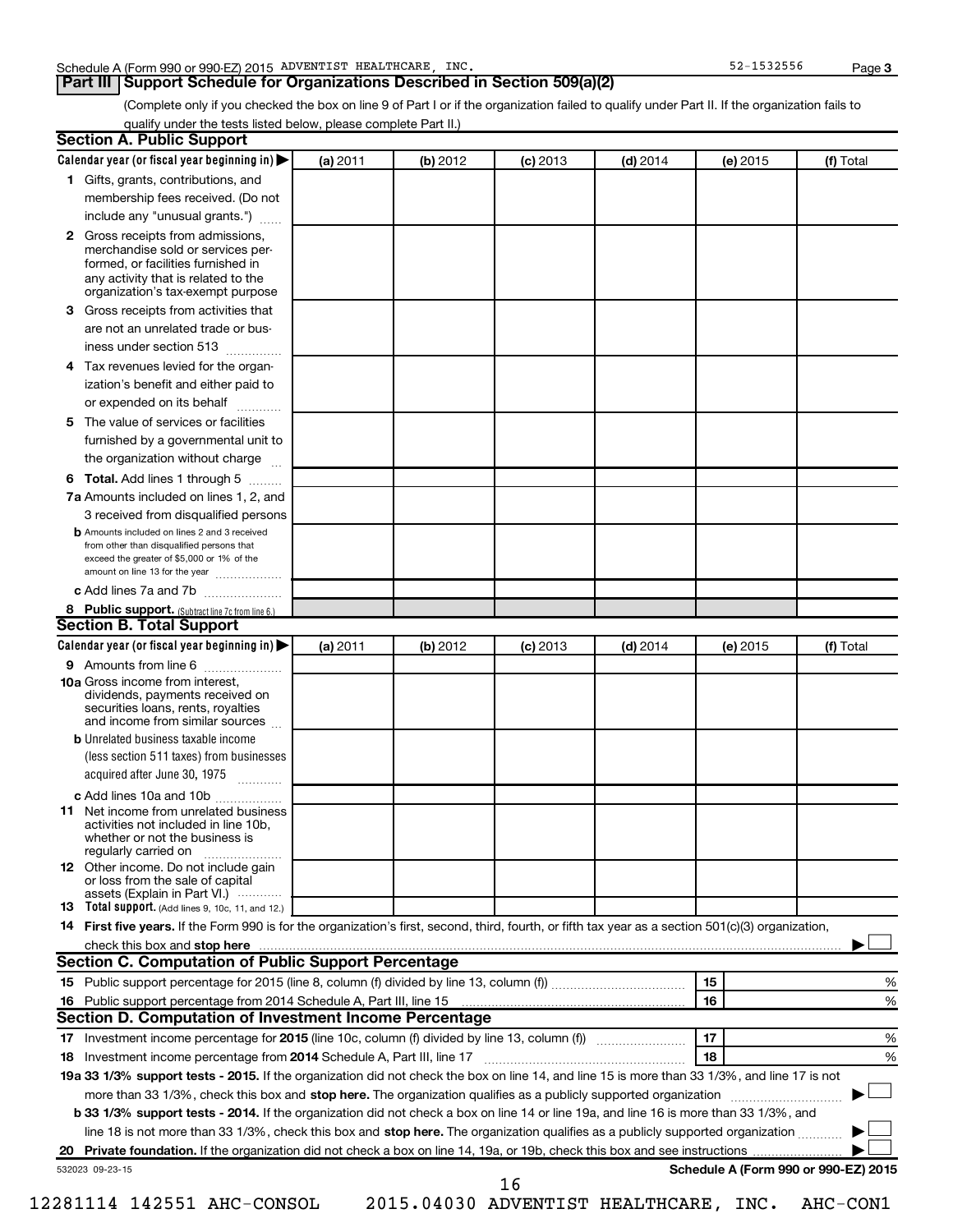### **Part III Support Schedule for Organizations Described in Section 509(a)(2)**

(Complete only if you checked the box on line 9 of Part I or if the organization failed to qualify under Part II. If the organization fails to qualify under the tests listed below, please complete Part II.)

| <b>Section A. Public Support</b>                                                                                                                                                                                               |          |          |            |            |          |                                      |
|--------------------------------------------------------------------------------------------------------------------------------------------------------------------------------------------------------------------------------|----------|----------|------------|------------|----------|--------------------------------------|
| Calendar year (or fiscal year beginning in)                                                                                                                                                                                    | (a) 2011 | (b) 2012 | $(c)$ 2013 | $(d)$ 2014 | (e) 2015 | (f) Total                            |
| 1 Gifts, grants, contributions, and                                                                                                                                                                                            |          |          |            |            |          |                                      |
| membership fees received. (Do not                                                                                                                                                                                              |          |          |            |            |          |                                      |
| include any "unusual grants.")                                                                                                                                                                                                 |          |          |            |            |          |                                      |
| 2 Gross receipts from admissions,<br>merchandise sold or services per-<br>formed, or facilities furnished in<br>any activity that is related to the<br>organization's tax-exempt purpose                                       |          |          |            |            |          |                                      |
| 3 Gross receipts from activities that                                                                                                                                                                                          |          |          |            |            |          |                                      |
| are not an unrelated trade or bus-<br>iness under section 513                                                                                                                                                                  |          |          |            |            |          |                                      |
| 4 Tax revenues levied for the organ-                                                                                                                                                                                           |          |          |            |            |          |                                      |
| ization's benefit and either paid to<br>or expended on its behalf                                                                                                                                                              |          |          |            |            |          |                                      |
| 5 The value of services or facilities                                                                                                                                                                                          |          |          |            |            |          |                                      |
| furnished by a governmental unit to                                                                                                                                                                                            |          |          |            |            |          |                                      |
| the organization without charge                                                                                                                                                                                                |          |          |            |            |          |                                      |
| 6 Total. Add lines 1 through 5                                                                                                                                                                                                 |          |          |            |            |          |                                      |
| 7a Amounts included on lines 1, 2, and                                                                                                                                                                                         |          |          |            |            |          |                                      |
| 3 received from disqualified persons                                                                                                                                                                                           |          |          |            |            |          |                                      |
| <b>b</b> Amounts included on lines 2 and 3 received<br>from other than disqualified persons that<br>exceed the greater of \$5,000 or 1% of the<br>amount on line 13 for the year                                               |          |          |            |            |          |                                      |
| c Add lines 7a and 7b                                                                                                                                                                                                          |          |          |            |            |          |                                      |
| 8 Public support. (Subtract line 7c from line 6.)                                                                                                                                                                              |          |          |            |            |          |                                      |
| <b>Section B. Total Support</b>                                                                                                                                                                                                |          |          |            |            |          |                                      |
| Calendar year (or fiscal year beginning in)                                                                                                                                                                                    | (a) 2011 | (b) 2012 | $(c)$ 2013 | $(d)$ 2014 | (e) 2015 | (f) Total                            |
| <b>9</b> Amounts from line 6                                                                                                                                                                                                   |          |          |            |            |          |                                      |
| <b>10a</b> Gross income from interest,<br>dividends, payments received on<br>securities loans, rents, royalties<br>and income from similar sources                                                                             |          |          |            |            |          |                                      |
| <b>b</b> Unrelated business taxable income<br>(less section 511 taxes) from businesses                                                                                                                                         |          |          |            |            |          |                                      |
| acquired after June 30, 1975                                                                                                                                                                                                   |          |          |            |            |          |                                      |
| c Add lines 10a and 10b                                                                                                                                                                                                        |          |          |            |            |          |                                      |
| 11 Net income from unrelated business<br>activities not included in line 10b.<br>whether or not the business is<br>regularly carried on                                                                                        |          |          |            |            |          |                                      |
| 12 Other income. Do not include gain<br>or loss from the sale of capital<br>assets (Explain in Part VI.)                                                                                                                       |          |          |            |            |          |                                      |
| <b>13</b> Total support. (Add lines 9, 10c, 11, and 12.)                                                                                                                                                                       |          |          |            |            |          |                                      |
| 14 First five years. If the Form 990 is for the organization's first, second, third, fourth, or fifth tax year as a section 501(c)(3) organization,                                                                            |          |          |            |            |          |                                      |
| check this box and stop here manufactured and stop here and stop here are manufactured and stop here and stop here and stop here and stop here and stop here and stop here and stop here are all the stop of the stop of the s |          |          |            |            |          |                                      |
| Section C. Computation of Public Support Percentage                                                                                                                                                                            |          |          |            |            |          |                                      |
|                                                                                                                                                                                                                                |          |          |            |            | 15       | ℅                                    |
| 16 Public support percentage from 2014 Schedule A, Part III, line 15                                                                                                                                                           |          |          |            |            | 16       | %                                    |
| Section D. Computation of Investment Income Percentage                                                                                                                                                                         |          |          |            |            |          |                                      |
|                                                                                                                                                                                                                                |          |          |            |            | 17       | %                                    |
| 18 Investment income percentage from 2014 Schedule A, Part III, line 17                                                                                                                                                        |          |          |            |            | 18       | %                                    |
| 19a 33 1/3% support tests - 2015. If the organization did not check the box on line 14, and line 15 is more than 33 1/3%, and line 17 is not                                                                                   |          |          |            |            |          |                                      |
| more than 33 1/3%, check this box and stop here. The organization qualifies as a publicly supported organization                                                                                                               |          |          |            |            |          |                                      |
| b 33 1/3% support tests - 2014. If the organization did not check a box on line 14 or line 19a, and line 16 is more than 33 1/3%, and                                                                                          |          |          |            |            |          |                                      |
| line 18 is not more than 33 1/3%, check this box and stop here. The organization qualifies as a publicly supported organization                                                                                                |          |          |            |            |          |                                      |
|                                                                                                                                                                                                                                |          |          |            |            |          |                                      |
| 532023 09-23-15                                                                                                                                                                                                                |          |          |            |            |          | Schedule A (Form 990 or 990-EZ) 2015 |
|                                                                                                                                                                                                                                |          |          | 16         |            |          |                                      |

12281114 142551 AHC-CONSOL 2015.04030 ADVENTIST HEALTHCARE, INC. AHC-CON1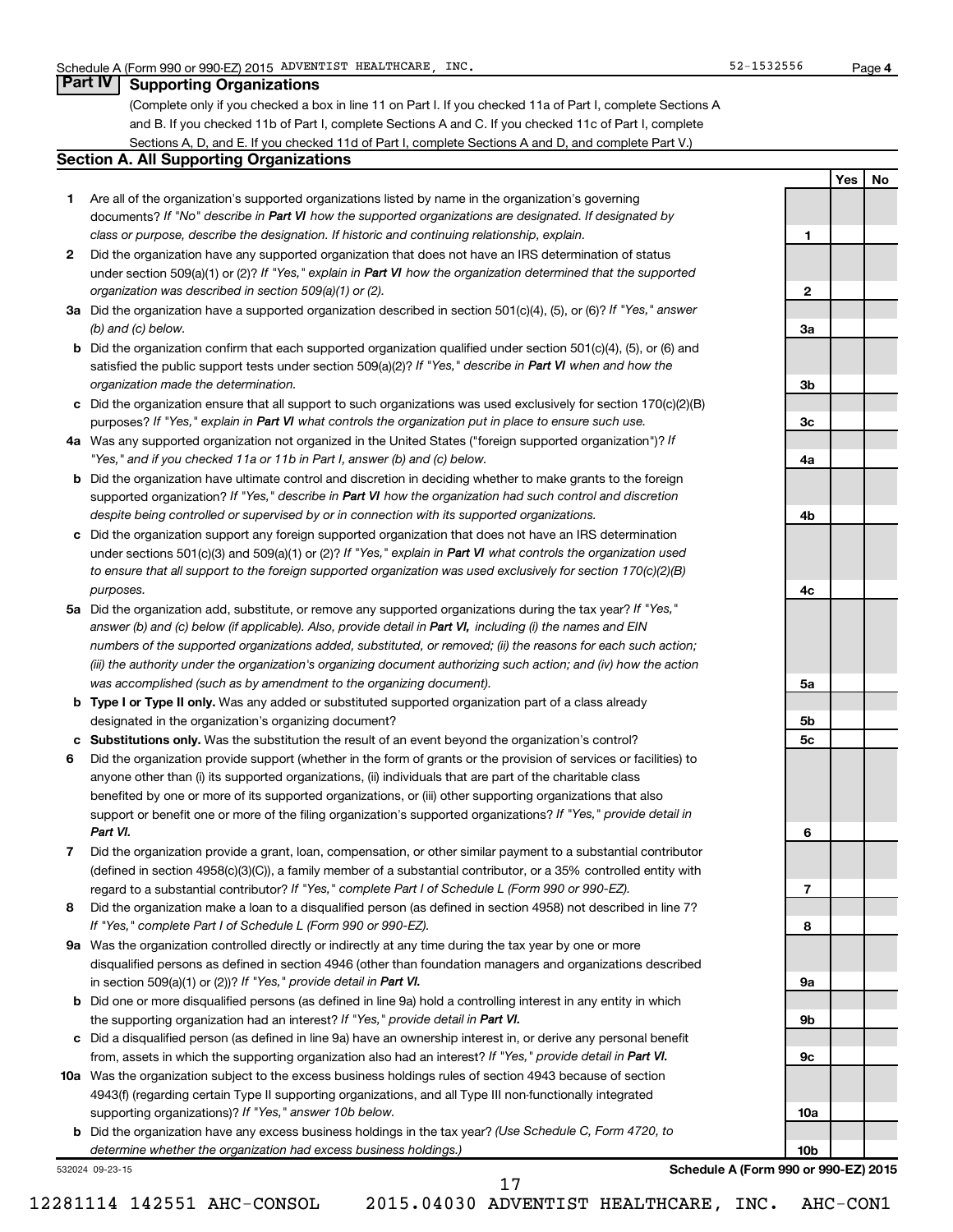## **Part IV Supporting Organizations**

(Complete only if you checked a box in line 11 on Part I. If you checked 11a of Part I, complete Sections A and B. If you checked 11b of Part I, complete Sections A and C. If you checked 11c of Part I, complete Sections A, D, and E. If you checked 11d of Part I, complete Sections A and D, and complete Part V.)

### **Section A. All Supporting Organizations**

- **1** Are all of the organization's supported organizations listed by name in the organization's governing documents? If "No" describe in Part VI how the supported organizations are designated. If designated by *class or purpose, describe the designation. If historic and continuing relationship, explain.*
- **2** Did the organization have any supported organization that does not have an IRS determination of status under section 509(a)(1) or (2)? If "Yes," explain in Part VI how the organization determined that the supported *organization was described in section 509(a)(1) or (2).*
- **3a** Did the organization have a supported organization described in section 501(c)(4), (5), or (6)? If "Yes," answer *(b) and (c) below.*
- **b** Did the organization confirm that each supported organization qualified under section 501(c)(4), (5), or (6) and satisfied the public support tests under section 509(a)(2)? If "Yes," describe in Part VI when and how the *organization made the determination.*
- **c** Did the organization ensure that all support to such organizations was used exclusively for section 170(c)(2)(B) purposes? If "Yes," explain in Part VI what controls the organization put in place to ensure such use.
- **4 a** *If* Was any supported organization not organized in the United States ("foreign supported organization")? *"Yes," and if you checked 11a or 11b in Part I, answer (b) and (c) below.*
- **b** Did the organization have ultimate control and discretion in deciding whether to make grants to the foreign supported organization? If "Yes," describe in Part VI how the organization had such control and discretion *despite being controlled or supervised by or in connection with its supported organizations.*
- **c** Did the organization support any foreign supported organization that does not have an IRS determination under sections 501(c)(3) and 509(a)(1) or (2)? If "Yes," explain in Part VI what controls the organization used *to ensure that all support to the foreign supported organization was used exclusively for section 170(c)(2)(B) purposes.*
- **5a** Did the organization add, substitute, or remove any supported organizations during the tax year? If "Yes," answer (b) and (c) below (if applicable). Also, provide detail in Part VI, including (i) the names and EIN *numbers of the supported organizations added, substituted, or removed; (ii) the reasons for each such action; (iii) the authority under the organization's organizing document authorizing such action; and (iv) how the action was accomplished (such as by amendment to the organizing document).*
- **b** Type I or Type II only. Was any added or substituted supported organization part of a class already designated in the organization's organizing document?
- **c Substitutions only.**  Was the substitution the result of an event beyond the organization's control?
- **6** Did the organization provide support (whether in the form of grants or the provision of services or facilities) to support or benefit one or more of the filing organization's supported organizations? If "Yes," provide detail in anyone other than (i) its supported organizations, (ii) individuals that are part of the charitable class benefited by one or more of its supported organizations, or (iii) other supporting organizations that also *Part VI.*
- **7** Did the organization provide a grant, loan, compensation, or other similar payment to a substantial contributor regard to a substantial contributor? If "Yes," complete Part I of Schedule L (Form 990 or 990-EZ). (defined in section 4958(c)(3)(C)), a family member of a substantial contributor, or a 35% controlled entity with
- **8** Did the organization make a loan to a disqualified person (as defined in section 4958) not described in line 7? *If "Yes," complete Part I of Schedule L (Form 990 or 990-EZ).*
- **9 a** Was the organization controlled directly or indirectly at any time during the tax year by one or more in section 509(a)(1) or (2))? If "Yes," provide detail in Part VI. disqualified persons as defined in section 4946 (other than foundation managers and organizations described
- **b** Did one or more disqualified persons (as defined in line 9a) hold a controlling interest in any entity in which the supporting organization had an interest? If "Yes," provide detail in Part VI.
- **c** Did a disqualified person (as defined in line 9a) have an ownership interest in, or derive any personal benefit from, assets in which the supporting organization also had an interest? If "Yes," provide detail in Part VI.
- **10 a** Was the organization subject to the excess business holdings rules of section 4943 because of section supporting organizations)? If "Yes," answer 10b below. 4943(f) (regarding certain Type II supporting organizations, and all Type III non-functionally integrated
	- **b** Did the organization have any excess business holdings in the tax year? (Use Schedule C, Form 4720, to *determine whether the organization had excess business holdings.)*

532024 09-23-15

**Schedule A (Form 990 or 990-EZ) 2015**

**4**

**Yes No**

**1**

**2**

**3a**

**3b**

**3c**

**4a**

**4b**

**4c**

**5a**

**5b 5c**

**6**

**7**

**8**

**9a**

**9b**

**9c**

**10a**

**10b**

12281114 142551 AHC-CONSOL 2015.04030 ADVENTIST HEALTHCARE, INC. AHC-CON1 17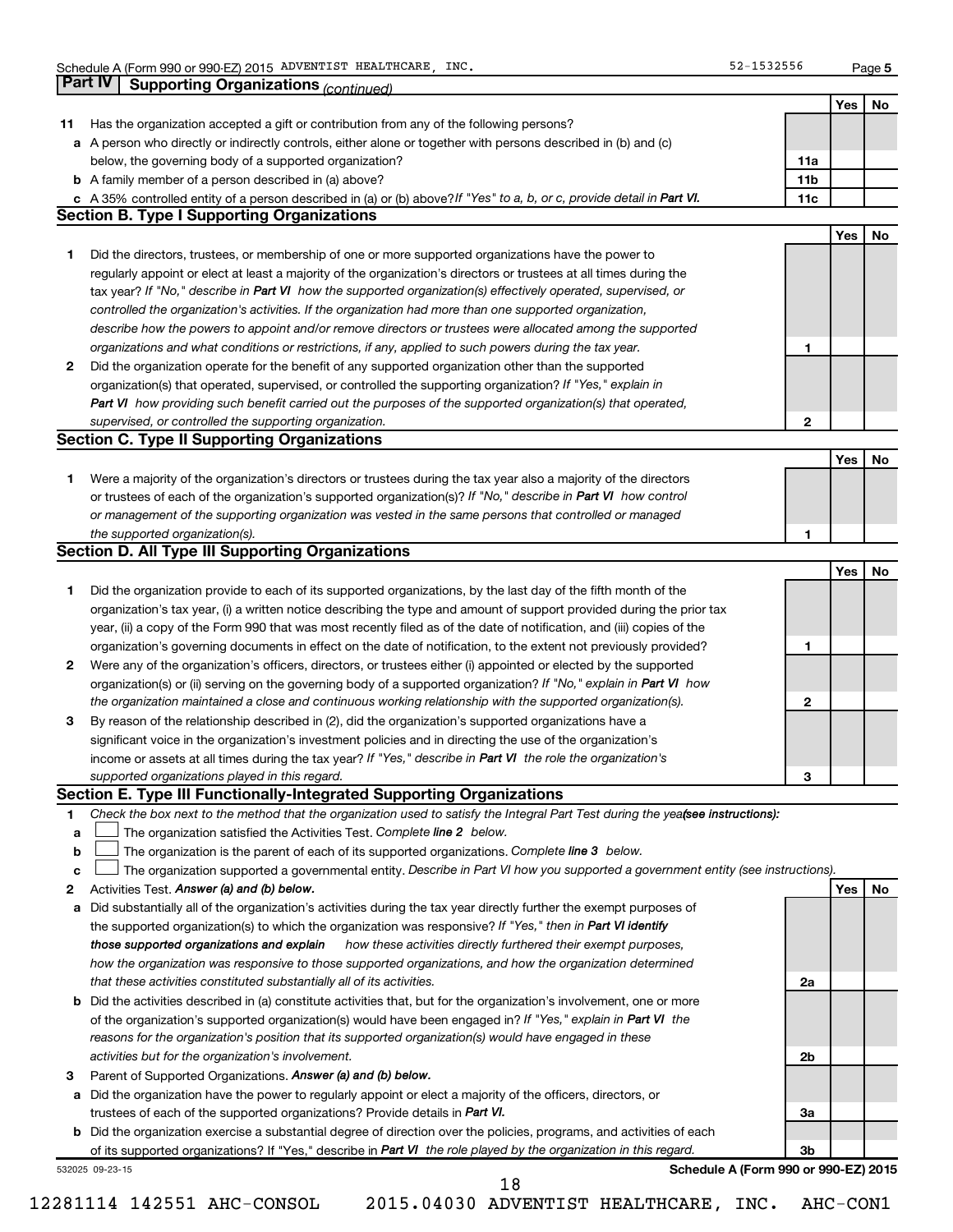|    | <b>Supporting Organizations (continued)</b>                                                                                                                                                                                                |                 | Yes |  |
|----|--------------------------------------------------------------------------------------------------------------------------------------------------------------------------------------------------------------------------------------------|-----------------|-----|--|
| 11 | Has the organization accepted a gift or contribution from any of the following persons?                                                                                                                                                    |                 |     |  |
|    | a A person who directly or indirectly controls, either alone or together with persons described in (b) and (c)                                                                                                                             |                 |     |  |
|    | below, the governing body of a supported organization?                                                                                                                                                                                     | 11a             |     |  |
|    | <b>b</b> A family member of a person described in (a) above?                                                                                                                                                                               | 11 <sub>b</sub> |     |  |
|    | c A 35% controlled entity of a person described in (a) or (b) above? If "Yes" to a, b, or c, provide detail in Part VI.                                                                                                                    | 11c             |     |  |
|    | <b>Section B. Type I Supporting Organizations</b>                                                                                                                                                                                          |                 |     |  |
|    |                                                                                                                                                                                                                                            |                 | Yes |  |
| 1  | Did the directors, trustees, or membership of one or more supported organizations have the power to                                                                                                                                        |                 |     |  |
|    | regularly appoint or elect at least a majority of the organization's directors or trustees at all times during the                                                                                                                         |                 |     |  |
|    | tax year? If "No," describe in Part VI how the supported organization(s) effectively operated, supervised, or                                                                                                                              |                 |     |  |
|    | controlled the organization's activities. If the organization had more than one supported organization,                                                                                                                                    |                 |     |  |
|    | describe how the powers to appoint and/or remove directors or trustees were allocated among the supported                                                                                                                                  |                 |     |  |
|    | organizations and what conditions or restrictions, if any, applied to such powers during the tax year.                                                                                                                                     | 1               |     |  |
| 2  | Did the organization operate for the benefit of any supported organization other than the supported                                                                                                                                        |                 |     |  |
|    | organization(s) that operated, supervised, or controlled the supporting organization? If "Yes," explain in                                                                                                                                 |                 |     |  |
|    | Part VI how providing such benefit carried out the purposes of the supported organization(s) that operated,                                                                                                                                |                 |     |  |
|    | supervised, or controlled the supporting organization.                                                                                                                                                                                     | 2               |     |  |
|    | <b>Section C. Type II Supporting Organizations</b>                                                                                                                                                                                         |                 |     |  |
|    |                                                                                                                                                                                                                                            |                 | Yes |  |
| 1  | Were a majority of the organization's directors or trustees during the tax year also a majority of the directors                                                                                                                           |                 |     |  |
|    | or trustees of each of the organization's supported organization(s)? If "No," describe in Part VI how control                                                                                                                              |                 |     |  |
|    | or management of the supporting organization was vested in the same persons that controlled or managed                                                                                                                                     |                 |     |  |
|    | the supported organization(s).                                                                                                                                                                                                             | 1               |     |  |
|    | <b>Section D. All Type III Supporting Organizations</b>                                                                                                                                                                                    |                 |     |  |
|    |                                                                                                                                                                                                                                            |                 | Yes |  |
| 1  | Did the organization provide to each of its supported organizations, by the last day of the fifth month of the                                                                                                                             |                 |     |  |
|    | organization's tax year, (i) a written notice describing the type and amount of support provided during the prior tax                                                                                                                      |                 |     |  |
|    | year, (ii) a copy of the Form 990 that was most recently filed as of the date of notification, and (iii) copies of the                                                                                                                     |                 |     |  |
|    | organization's governing documents in effect on the date of notification, to the extent not previously provided?                                                                                                                           | 1               |     |  |
| 2  | Were any of the organization's officers, directors, or trustees either (i) appointed or elected by the supported                                                                                                                           |                 |     |  |
|    | organization(s) or (ii) serving on the governing body of a supported organization? If "No," explain in Part VI how                                                                                                                         |                 |     |  |
|    | the organization maintained a close and continuous working relationship with the supported organization(s).                                                                                                                                | $\mathbf{2}$    |     |  |
| З  | By reason of the relationship described in (2), did the organization's supported organizations have a                                                                                                                                      |                 |     |  |
|    | significant voice in the organization's investment policies and in directing the use of the organization's                                                                                                                                 |                 |     |  |
|    | income or assets at all times during the tax year? If "Yes," describe in Part VI the role the organization's                                                                                                                               |                 |     |  |
|    | supported organizations played in this regard.                                                                                                                                                                                             | з               |     |  |
|    | Section E. Type III Functionally-Integrated Supporting Organizations                                                                                                                                                                       |                 |     |  |
| 1  | Check the box next to the method that the organization used to satisfy the Integral Part Test during the yea(see instructions):                                                                                                            |                 |     |  |
| a  | The organization satisfied the Activities Test. Complete line 2 below.                                                                                                                                                                     |                 |     |  |
| b  | The organization is the parent of each of its supported organizations. Complete line 3 below.                                                                                                                                              |                 |     |  |
| c  | The organization supported a governmental entity. Describe in Part VI how you supported a government entity (see instructions).                                                                                                            |                 |     |  |
| 2  | Activities Test. Answer (a) and (b) below.                                                                                                                                                                                                 |                 | Yes |  |
| а  | Did substantially all of the organization's activities during the tax year directly further the exempt purposes of                                                                                                                         |                 |     |  |
|    | the supported organization(s) to which the organization was responsive? If "Yes," then in Part VI identify                                                                                                                                 |                 |     |  |
|    | how these activities directly furthered their exempt purposes,<br>those supported organizations and explain                                                                                                                                |                 |     |  |
|    | how the organization was responsive to those supported organizations, and how the organization determined                                                                                                                                  |                 |     |  |
|    | that these activities constituted substantially all of its activities.                                                                                                                                                                     | 2a              |     |  |
|    | b Did the activities described in (a) constitute activities that, but for the organization's involvement, one or more                                                                                                                      |                 |     |  |
|    | of the organization's supported organization(s) would have been engaged in? If "Yes," explain in Part VI the                                                                                                                               |                 |     |  |
|    | reasons for the organization's position that its supported organization(s) would have engaged in these                                                                                                                                     |                 |     |  |
|    | activities but for the organization's involvement.                                                                                                                                                                                         | 2b              |     |  |
|    | Parent of Supported Organizations. Answer (a) and (b) below.                                                                                                                                                                               |                 |     |  |
|    | a Did the organization have the power to regularly appoint or elect a majority of the officers, directors, or                                                                                                                              |                 |     |  |
| 3  |                                                                                                                                                                                                                                            | За              |     |  |
|    |                                                                                                                                                                                                                                            |                 |     |  |
|    | trustees of each of the supported organizations? Provide details in Part VI.                                                                                                                                                               |                 |     |  |
|    | b Did the organization exercise a substantial degree of direction over the policies, programs, and activities of each<br>of its supported organizations? If "Yes," describe in Part VI the role played by the organization in this regard. | 3b              |     |  |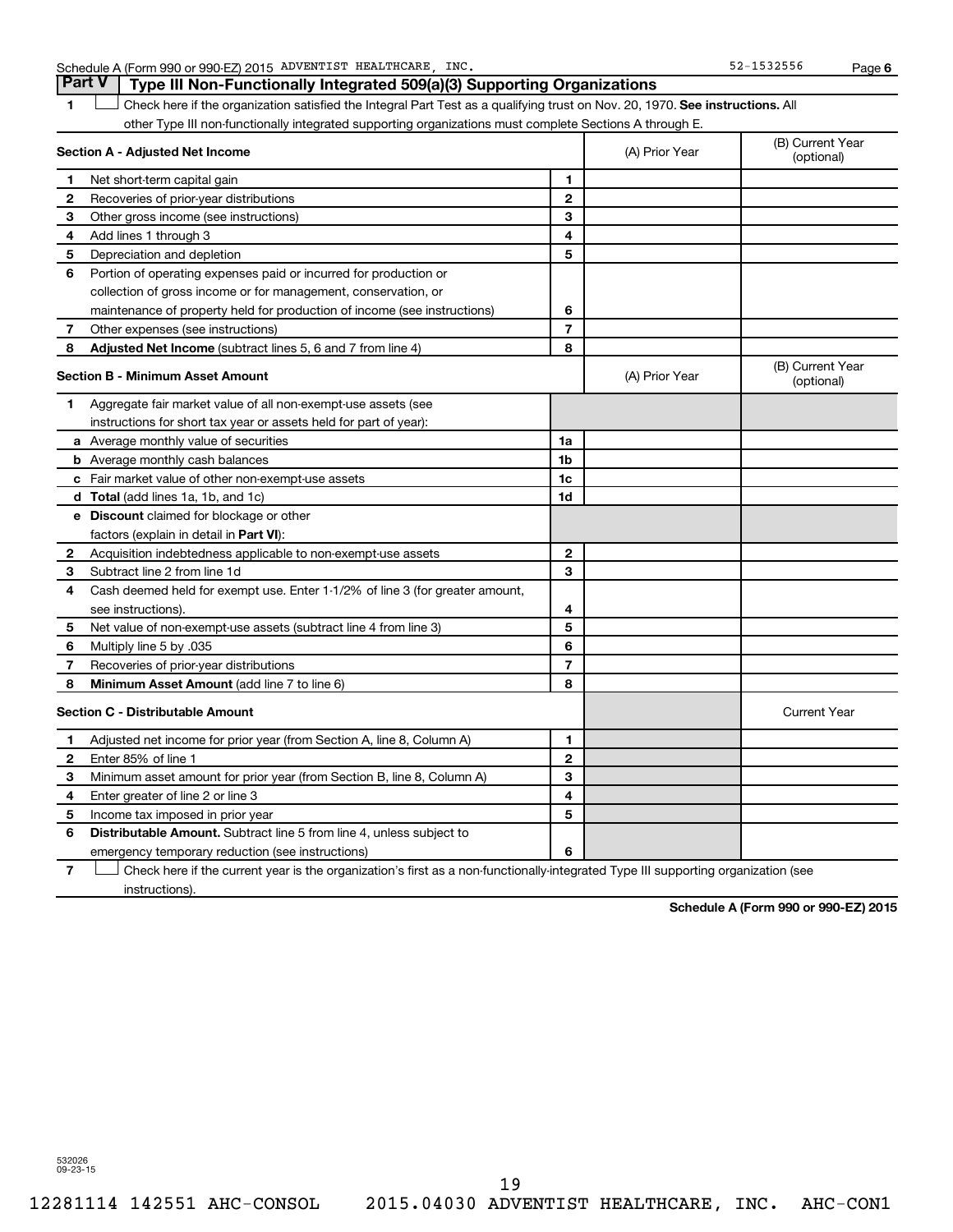|                | Schedule A (Form 990 or 990-EZ) 2015 ADVENTIST HEALTHCARE, INC.                                                               |                |                | 52-1532556<br>Page 6           |
|----------------|-------------------------------------------------------------------------------------------------------------------------------|----------------|----------------|--------------------------------|
|                | <b>Part V</b><br>Type III Non-Functionally Integrated 509(a)(3) Supporting Organizations                                      |                |                |                                |
| 1              | Check here if the organization satisfied the Integral Part Test as a qualifying trust on Nov. 20, 1970. See instructions. All |                |                |                                |
|                | other Type III non-functionally integrated supporting organizations must complete Sections A through E.                       |                |                |                                |
|                | Section A - Adjusted Net Income                                                                                               |                | (A) Prior Year | (B) Current Year<br>(optional) |
| 1              | Net short-term capital gain                                                                                                   | 1              |                |                                |
| 2              | Recoveries of prior-year distributions                                                                                        | $\mathbf{2}$   |                |                                |
| 3              | Other gross income (see instructions)                                                                                         | 3              |                |                                |
| 4              | Add lines 1 through 3                                                                                                         | 4              |                |                                |
| 5              | Depreciation and depletion                                                                                                    | 5              |                |                                |
| 6              | Portion of operating expenses paid or incurred for production or                                                              |                |                |                                |
|                | collection of gross income or for management, conservation, or                                                                |                |                |                                |
|                | maintenance of property held for production of income (see instructions)                                                      | 6              |                |                                |
| $\overline{7}$ | Other expenses (see instructions)                                                                                             | $\overline{7}$ |                |                                |
| 8              | Adjusted Net Income (subtract lines 5, 6 and 7 from line 4)                                                                   | 8              |                |                                |
|                | <b>Section B - Minimum Asset Amount</b>                                                                                       |                | (A) Prior Year | (B) Current Year<br>(optional) |
| 1.             | Aggregate fair market value of all non-exempt-use assets (see                                                                 |                |                |                                |
|                | instructions for short tax year or assets held for part of year):                                                             |                |                |                                |
|                | <b>a</b> Average monthly value of securities                                                                                  | 1a             |                |                                |
|                | <b>b</b> Average monthly cash balances                                                                                        | 1b             |                |                                |
|                | c Fair market value of other non-exempt-use assets                                                                            | 1c             |                |                                |
|                | <b>d</b> Total (add lines 1a, 1b, and 1c)                                                                                     | 1d             |                |                                |
|                | <b>e</b> Discount claimed for blockage or other                                                                               |                |                |                                |
|                | factors (explain in detail in <b>Part VI</b> ):                                                                               |                |                |                                |
| 2              | Acquisition indebtedness applicable to non-exempt-use assets                                                                  | $\mathbf{2}$   |                |                                |
| 3              | Subtract line 2 from line 1d                                                                                                  | 3              |                |                                |
| 4              | Cash deemed held for exempt use. Enter 1-1/2% of line 3 (for greater amount,                                                  |                |                |                                |
|                | see instructions).                                                                                                            | 4              |                |                                |
| 5              | Net value of non-exempt-use assets (subtract line 4 from line 3)                                                              | 5              |                |                                |
| 6              | Multiply line 5 by .035                                                                                                       | 6              |                |                                |
| 7              | Recoveries of prior-year distributions                                                                                        | $\overline{7}$ |                |                                |
| 8              | Minimum Asset Amount (add line 7 to line 6)                                                                                   | 8              |                |                                |
|                | <b>Section C - Distributable Amount</b>                                                                                       |                |                | <b>Current Year</b>            |
| 1.             | Adjusted net income for prior year (from Section A, line 8, Column A)                                                         | 1.             |                |                                |
| 2              | Enter 85% of line 1                                                                                                           | 2              |                |                                |
| 3              | Minimum asset amount for prior year (from Section B, line 8, Column A)                                                        | 3              |                |                                |
| 4              | Enter greater of line 2 or line 3                                                                                             | 4              |                |                                |
| 5              | Income tax imposed in prior year                                                                                              | 5              |                |                                |
| 6              | <b>Distributable Amount.</b> Subtract line 5 from line 4, unless subject to                                                   |                |                |                                |
|                | emergency temporary reduction (see instructions)                                                                              | 6              |                |                                |
|                |                                                                                                                               |                |                |                                |

**7** Check here if the current year is the organization's first as a non-functionally-integrated Type III supporting organization (see † instructions).

**Schedule A (Form 990 or 990-EZ) 2015**

532026 09-23-15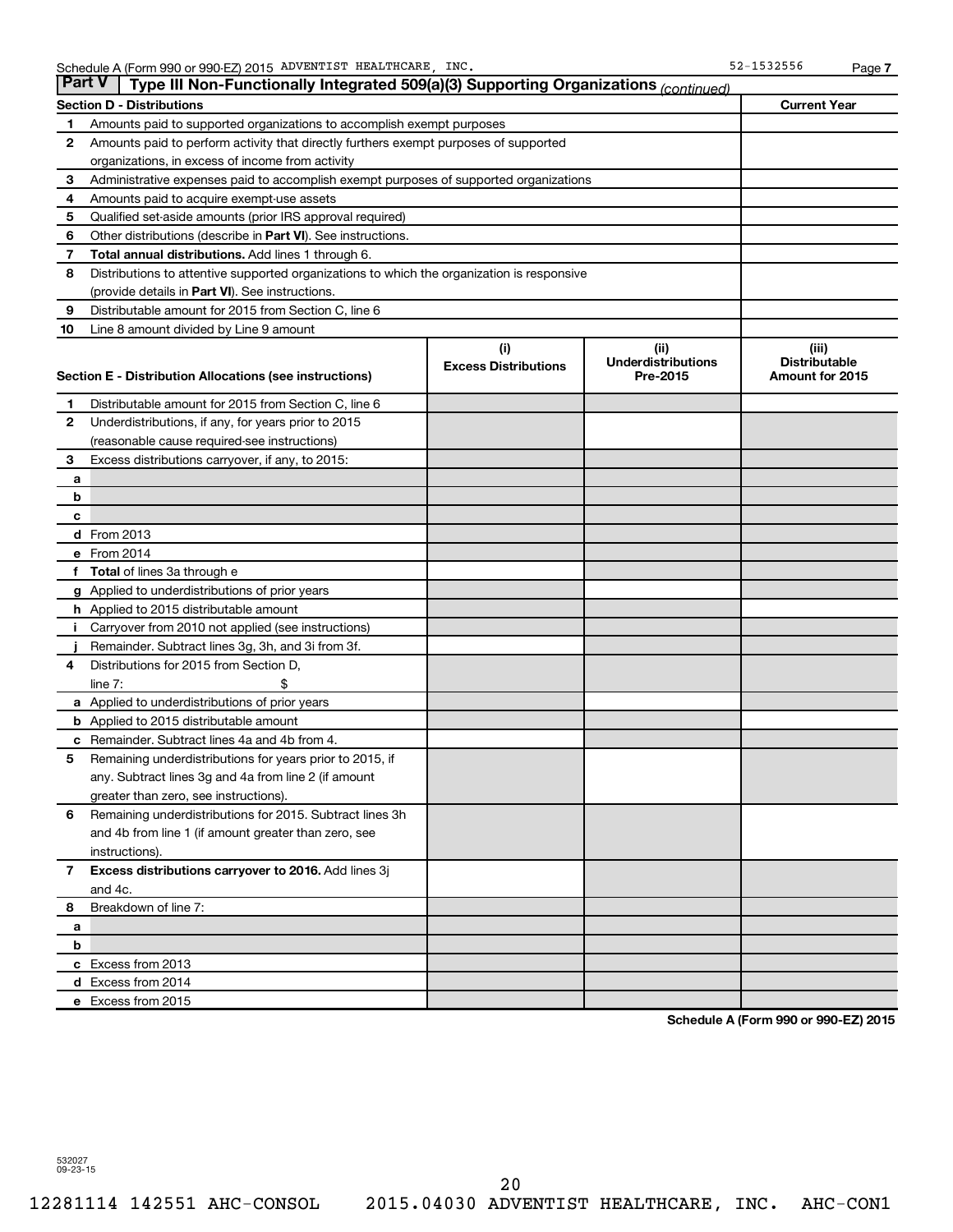| <b>Part V</b> | Type III Non-Functionally Integrated 509(a)(3) Supporting Organizations (continued)        |                             |                           |                      |
|---------------|--------------------------------------------------------------------------------------------|-----------------------------|---------------------------|----------------------|
|               | <b>Section D - Distributions</b>                                                           |                             |                           | <b>Current Year</b>  |
| 1             | Amounts paid to supported organizations to accomplish exempt purposes                      |                             |                           |                      |
| 2             | Amounts paid to perform activity that directly furthers exempt purposes of supported       |                             |                           |                      |
|               | organizations, in excess of income from activity                                           |                             |                           |                      |
| 3             | Administrative expenses paid to accomplish exempt purposes of supported organizations      |                             |                           |                      |
| 4             | Amounts paid to acquire exempt-use assets                                                  |                             |                           |                      |
| 5             | Qualified set-aside amounts (prior IRS approval required)                                  |                             |                           |                      |
| 6             | Other distributions (describe in Part VI). See instructions.                               |                             |                           |                      |
| 7             | <b>Total annual distributions.</b> Add lines 1 through 6.                                  |                             |                           |                      |
| 8             | Distributions to attentive supported organizations to which the organization is responsive |                             |                           |                      |
|               | (provide details in Part VI). See instructions.                                            |                             |                           |                      |
| 9             | Distributable amount for 2015 from Section C, line 6                                       |                             |                           |                      |
| 10            | Line 8 amount divided by Line 9 amount                                                     |                             |                           |                      |
|               |                                                                                            | (i)                         | (iii)                     | (iii)                |
|               |                                                                                            | <b>Excess Distributions</b> | <b>Underdistributions</b> | <b>Distributable</b> |
|               | Section E - Distribution Allocations (see instructions)                                    |                             | Pre-2015                  | Amount for 2015      |
| 1             | Distributable amount for 2015 from Section C, line 6                                       |                             |                           |                      |
| 2             | Underdistributions, if any, for years prior to 2015                                        |                             |                           |                      |
|               | (reasonable cause required-see instructions)                                               |                             |                           |                      |
| 3             | Excess distributions carryover, if any, to 2015:                                           |                             |                           |                      |
| а             |                                                                                            |                             |                           |                      |
| b             |                                                                                            |                             |                           |                      |
| с             |                                                                                            |                             |                           |                      |
|               | d From 2013                                                                                |                             |                           |                      |
|               | e From 2014                                                                                |                             |                           |                      |
|               | <b>Total</b> of lines 3a through e                                                         |                             |                           |                      |
|               | g Applied to underdistributions of prior years                                             |                             |                           |                      |
|               | <b>h</b> Applied to 2015 distributable amount                                              |                             |                           |                      |
|               | Carryover from 2010 not applied (see instructions)                                         |                             |                           |                      |
|               | Remainder. Subtract lines 3g, 3h, and 3i from 3f.                                          |                             |                           |                      |
| 4             | Distributions for 2015 from Section D,                                                     |                             |                           |                      |
|               | line $7:$                                                                                  |                             |                           |                      |
|               | a Applied to underdistributions of prior years                                             |                             |                           |                      |
|               | <b>b</b> Applied to 2015 distributable amount                                              |                             |                           |                      |
| с             | Remainder. Subtract lines 4a and 4b from 4.                                                |                             |                           |                      |
| 5             | Remaining underdistributions for years prior to 2015, if                                   |                             |                           |                      |
|               | any. Subtract lines 3g and 4a from line 2 (if amount                                       |                             |                           |                      |
|               | greater than zero, see instructions).                                                      |                             |                           |                      |
| 6             | Remaining underdistributions for 2015. Subtract lines 3h                                   |                             |                           |                      |
|               | and 4b from line 1 (if amount greater than zero, see                                       |                             |                           |                      |
|               | instructions).                                                                             |                             |                           |                      |
| $7^{\circ}$   | Excess distributions carryover to 2016. Add lines 3j                                       |                             |                           |                      |
|               | and 4c.                                                                                    |                             |                           |                      |
| 8             | Breakdown of line 7:                                                                       |                             |                           |                      |
| а             |                                                                                            |                             |                           |                      |
| b             |                                                                                            |                             |                           |                      |
|               | c Excess from 2013                                                                         |                             |                           |                      |
|               | d Excess from 2014                                                                         |                             |                           |                      |
|               | e Excess from 2015                                                                         |                             |                           |                      |

**Schedule A (Form 990 or 990-EZ) 2015**

532027 09-23-15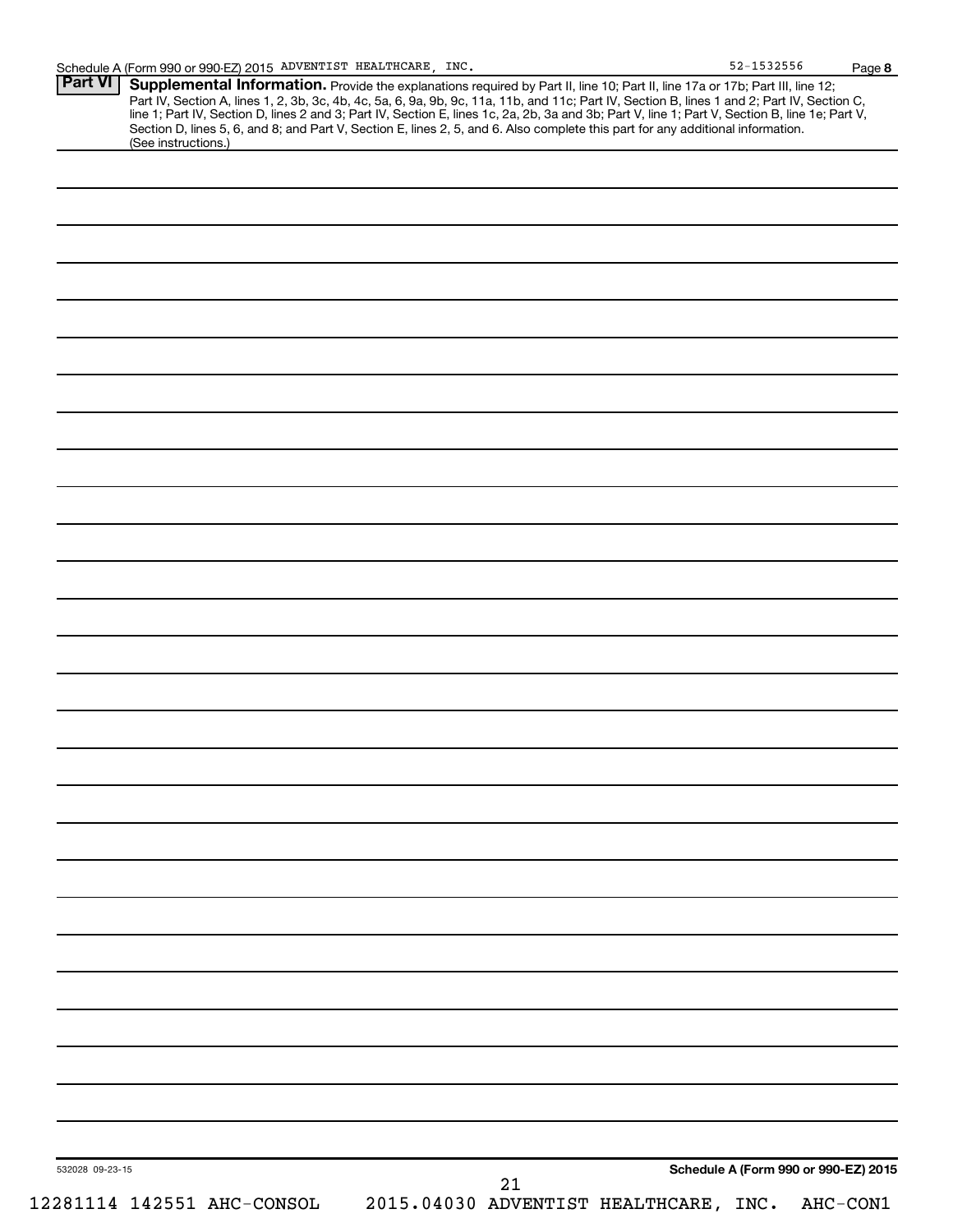|                 | (See instructions.) | Section D, lines 5, 6, and 8; and Part V, Section E, lines 2, 5, and 6. Also complete this part for any additional information. |  | Part IV, Section A, lines 1, 2, 3b, 3c, 4b, 4c, 5a, 6, 9a, 9b, 9c, 11a, 11b, and 11c; Part IV, Section B, lines 1 and 2; Part IV, Section C, line 1; Part IV, Section D, lines 2 and 3; Part IV, Section E, lines 1c, 2a, 2b, |
|-----------------|---------------------|---------------------------------------------------------------------------------------------------------------------------------|--|-------------------------------------------------------------------------------------------------------------------------------------------------------------------------------------------------------------------------------|
|                 |                     |                                                                                                                                 |  |                                                                                                                                                                                                                               |
|                 |                     |                                                                                                                                 |  |                                                                                                                                                                                                                               |
|                 |                     |                                                                                                                                 |  |                                                                                                                                                                                                                               |
|                 |                     |                                                                                                                                 |  |                                                                                                                                                                                                                               |
|                 |                     |                                                                                                                                 |  |                                                                                                                                                                                                                               |
|                 |                     |                                                                                                                                 |  |                                                                                                                                                                                                                               |
|                 |                     |                                                                                                                                 |  |                                                                                                                                                                                                                               |
|                 |                     |                                                                                                                                 |  |                                                                                                                                                                                                                               |
|                 |                     |                                                                                                                                 |  |                                                                                                                                                                                                                               |
|                 |                     |                                                                                                                                 |  |                                                                                                                                                                                                                               |
|                 |                     |                                                                                                                                 |  |                                                                                                                                                                                                                               |
|                 |                     |                                                                                                                                 |  |                                                                                                                                                                                                                               |
|                 |                     |                                                                                                                                 |  |                                                                                                                                                                                                                               |
|                 |                     |                                                                                                                                 |  |                                                                                                                                                                                                                               |
|                 |                     |                                                                                                                                 |  |                                                                                                                                                                                                                               |
|                 |                     |                                                                                                                                 |  |                                                                                                                                                                                                                               |
|                 |                     |                                                                                                                                 |  |                                                                                                                                                                                                                               |
|                 |                     |                                                                                                                                 |  |                                                                                                                                                                                                                               |
|                 |                     |                                                                                                                                 |  |                                                                                                                                                                                                                               |
|                 |                     |                                                                                                                                 |  |                                                                                                                                                                                                                               |
|                 |                     |                                                                                                                                 |  |                                                                                                                                                                                                                               |
|                 |                     |                                                                                                                                 |  |                                                                                                                                                                                                                               |
|                 |                     |                                                                                                                                 |  |                                                                                                                                                                                                                               |
|                 |                     |                                                                                                                                 |  |                                                                                                                                                                                                                               |
|                 |                     |                                                                                                                                 |  |                                                                                                                                                                                                                               |
|                 |                     |                                                                                                                                 |  |                                                                                                                                                                                                                               |
|                 |                     |                                                                                                                                 |  |                                                                                                                                                                                                                               |
|                 |                     |                                                                                                                                 |  |                                                                                                                                                                                                                               |
|                 |                     |                                                                                                                                 |  |                                                                                                                                                                                                                               |
|                 |                     |                                                                                                                                 |  |                                                                                                                                                                                                                               |
|                 |                     |                                                                                                                                 |  |                                                                                                                                                                                                                               |
|                 |                     |                                                                                                                                 |  |                                                                                                                                                                                                                               |
|                 |                     |                                                                                                                                 |  |                                                                                                                                                                                                                               |
|                 |                     |                                                                                                                                 |  |                                                                                                                                                                                                                               |
| 532028 09-23-15 |                     |                                                                                                                                 |  | Schedule A (Form 990 or 990-EZ) 2015                                                                                                                                                                                          |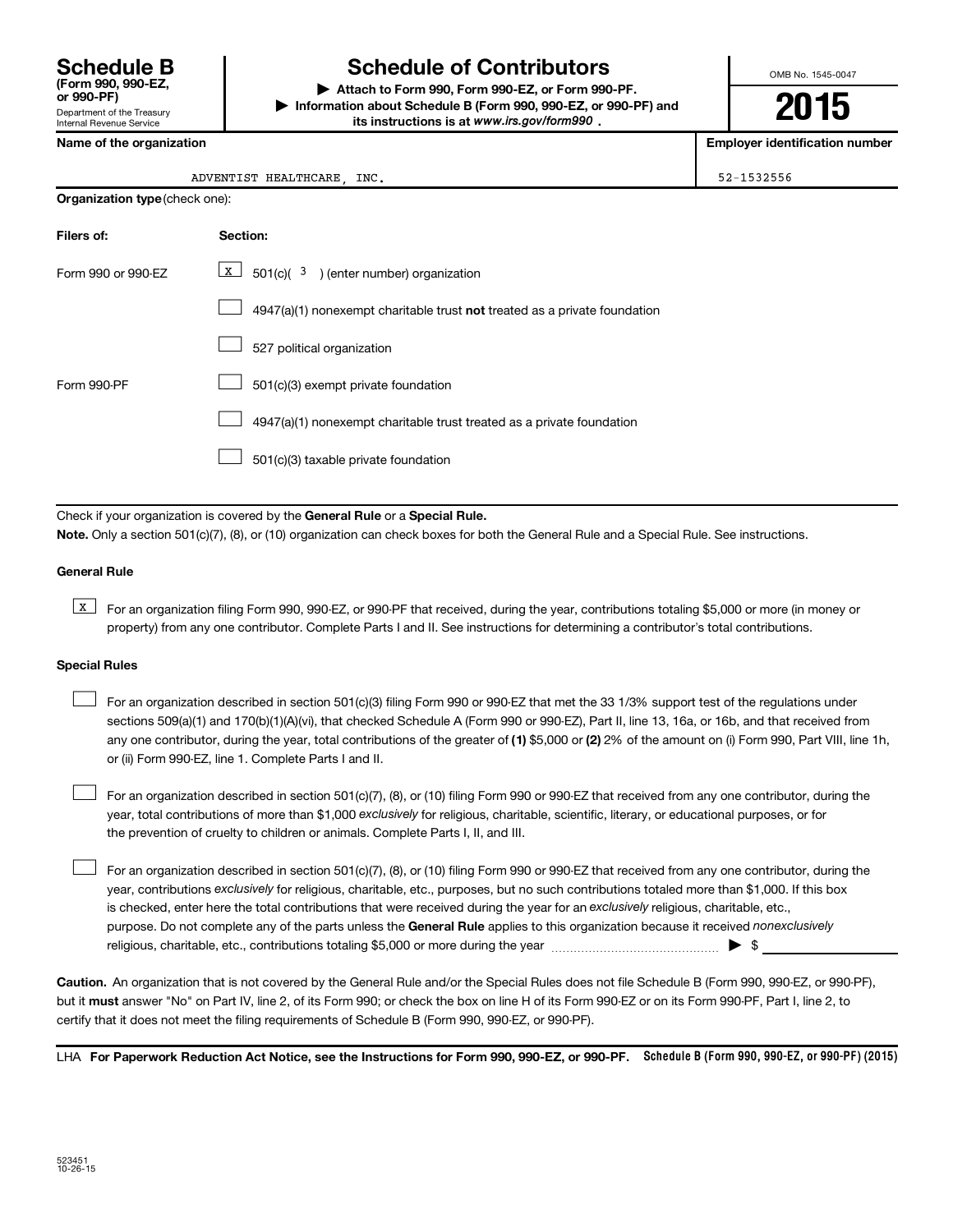Department of the Treasury Internal Revenue Service **(Form 990, 990-EZ,**

# **Schedule B Schedule of Contributors**

**or 990-PF) | Attach to Form 990, Form 990-EZ, or Form 990-PF. | Information about Schedule B (Form 990, 990-EZ, or 990-PF) and** its instructions is at www.irs.gov/form990.

OMB No. 1545-0047

**2015**

**Employer identification number** 

|  | Name of the organization |
|--|--------------------------|
|--|--------------------------|

### ADVENTIST HEALTHCARE, INC. SALES AND ALL AND ADVENTIST HEALTHCARE, INC.

| <b>Organization type (check one):</b> |                                                                              |  |  |  |  |  |  |
|---------------------------------------|------------------------------------------------------------------------------|--|--|--|--|--|--|
| Filers of:<br>Section:                |                                                                              |  |  |  |  |  |  |
| Form 990 or 990-EZ                    | $\underline{\hspace{1cm}}\mathbf{X}$ 501(c)( 3 ) (enter number) organization |  |  |  |  |  |  |
|                                       | 4947(a)(1) nonexempt charitable trust not treated as a private foundation    |  |  |  |  |  |  |
|                                       | 527 political organization                                                   |  |  |  |  |  |  |
| Form 990-PF                           | 501(c)(3) exempt private foundation                                          |  |  |  |  |  |  |
|                                       | 4947(a)(1) nonexempt charitable trust treated as a private foundation        |  |  |  |  |  |  |
|                                       | 501(c)(3) taxable private foundation                                         |  |  |  |  |  |  |

Check if your organization is covered by the General Rule or a Special Rule.

**Note.**  Only a section 501(c)(7), (8), or (10) organization can check boxes for both the General Rule and a Special Rule. See instructions.

### **General Rule**

**K** For an organization filing Form 990, 990-EZ, or 990-PF that received, during the year, contributions totaling \$5,000 or more (in money or property) from any one contributor. Complete Parts I and II. See instructions for determining a contributor's total contributions.

### **Special Rules**

 $\Box$ 

any one contributor, during the year, total contributions of the greater of **(1)** \$5,000 or **(2)** 2% of the amount on (i) Form 990, Part VIII, line 1h, For an organization described in section 501(c)(3) filing Form 990 or 990-EZ that met the 33 1/3% support test of the regulations under sections 509(a)(1) and 170(b)(1)(A)(vi), that checked Schedule A (Form 990 or 990-EZ), Part II, line 13, 16a, or 16b, and that received from or (ii) Form 990-EZ, line 1. Complete Parts I and II.  $\Box$ 

year, total contributions of more than \$1,000 *exclusively* for religious, charitable, scientific, literary, or educational purposes, or for For an organization described in section 501(c)(7), (8), or (10) filing Form 990 or 990-EZ that received from any one contributor, during the the prevention of cruelty to children or animals. Complete Parts I, II, and III.  $\Box$ 

purpose. Do not complete any of the parts unless the General Rule applies to this organization because it received nonexclusively year, contributions exclusively for religious, charitable, etc., purposes, but no such contributions totaled more than \$1,000. If this box is checked, enter here the total contributions that were received during the year for an exclusively religious, charitable, etc., For an organization described in section 501(c)(7), (8), or (10) filing Form 990 or 990-EZ that received from any one contributor, during the religious, charitable, etc., contributions totaling \$5,000 or more during the year  $\ldots$  $\ldots$  $\ldots$  $\ldots$  $\ldots$  $\ldots$ 

**Caution.** An organization that is not covered by the General Rule and/or the Special Rules does not file Schedule B (Form 990, 990-EZ, or 990-PF),  **must** but it answer "No" on Part IV, line 2, of its Form 990; or check the box on line H of its Form 990-EZ or on its Form 990-PF, Part I, line 2, to certify that it does not meet the filing requirements of Schedule B (Form 990, 990-EZ, or 990-PF).

LHA For Paperwork Reduction Act Notice, see the Instructions for Form 990, 990-EZ, or 990-PF. Schedule B (Form 990, 990-EZ, or 990-PF) (2015)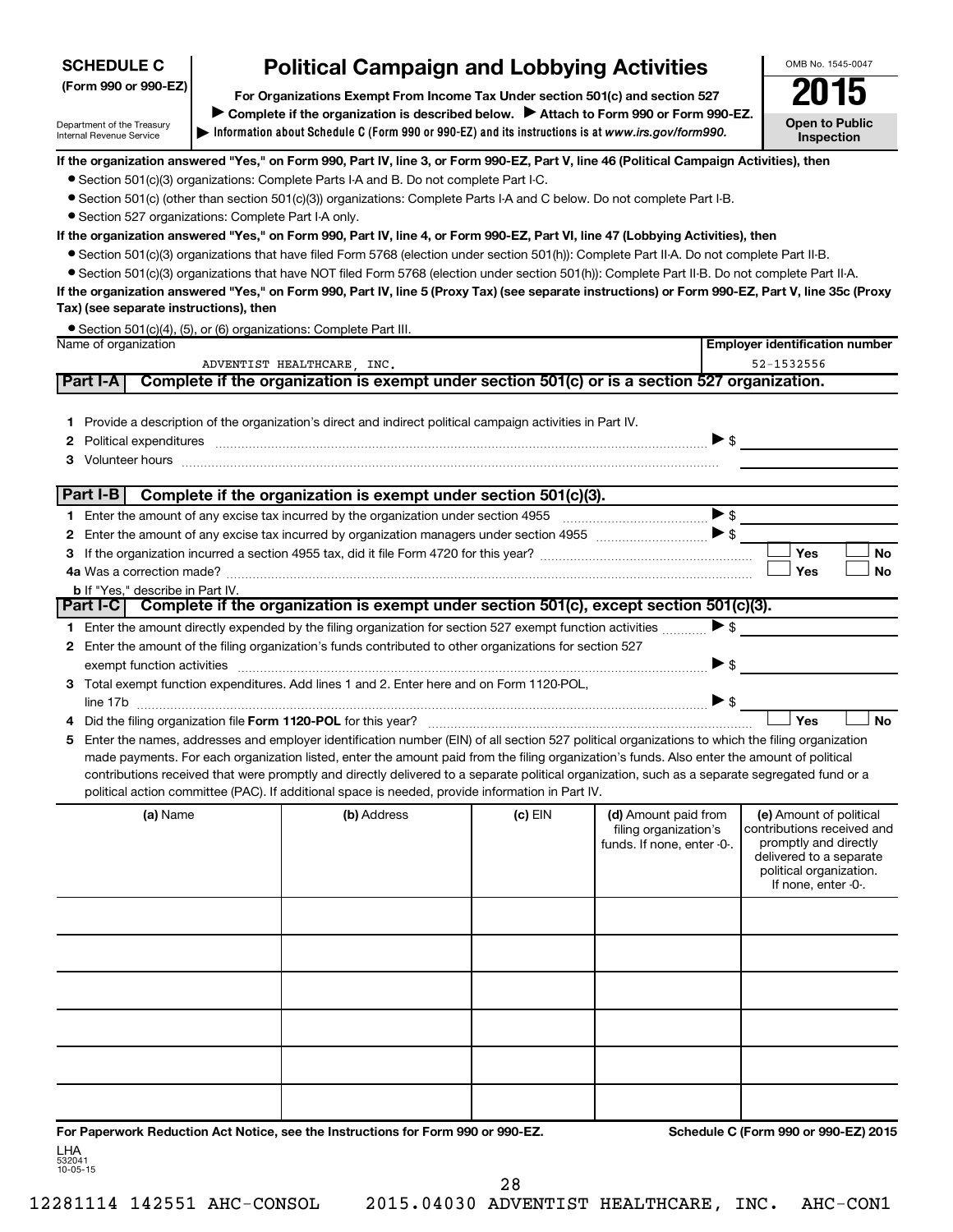# **SCHEDULE C**

Department of the Treasury Internal Revenue Service

# **Political Campaign and Lobbying Activities**<br>Drganizations Exempt From Income Tax Under section 501(c) and section 527 **2015**

**Information about Schedule C (Form 990 or 990-EZ) and its instructions is at |**  *www.irs.gov/form990.* **(Form 990 or 990-EZ) For Organizations Exempt From Income Tax Under section 501(c) and section 527** Complete if the organization is described below. > Attach to Form 990 or Form 990-EZ. OMB No. 1545-0047 **Open to Public Inspection**

**Employer identification number**

### **If the organization answered "Yes," on Form 990, Part IV, line 3, or Form 990-EZ, Part V, line 46 (Political Campaign Activities), then**

- Section 501(c)(3) organizations: Complete Parts I-A and B. Do not complete Part I-C.
- Section 501(c) (other than section 501(c)(3)) organizations: Complete Parts I-A and C below. Do not complete Part I-B.
- Section 527 organizations: Complete Part I-A only.

### **If the organization answered "Yes," on Form 990, Part IV, line 4, or Form 990-EZ, Part VI, line 47 (Lobbying Activities), then**

- Section 501(c)(3) organizations that have filed Form 5768 (election under section 501(h)): Complete Part II-A. Do not complete Part II-B.
- Section 501(c)(3) organizations that have NOT filed Form 5768 (election under section 501(h)): Complete Part II-B. Do not complete Part II-A.

**If the organization answered "Yes," on Form 990, Part IV, line 5 (Proxy Tax) (see separate instructions) or Form 990-EZ, Part V, line 35c (Proxy Tax) (see separate instructions), then**

|                      | • Section 501(c)(4), (5), or (6) organizations: Complete Part III. |
|----------------------|--------------------------------------------------------------------|
| Name of organization |                                                                    |

|    |                                         | ADVENTIST HEALTHCARE INC.                                                                                                                                                                                                                                                                                                                                                                                                                                                                                                                                                            |           |                                                                             |                          | 52-1532556                                                                                                                                                  |
|----|-----------------------------------------|--------------------------------------------------------------------------------------------------------------------------------------------------------------------------------------------------------------------------------------------------------------------------------------------------------------------------------------------------------------------------------------------------------------------------------------------------------------------------------------------------------------------------------------------------------------------------------------|-----------|-----------------------------------------------------------------------------|--------------------------|-------------------------------------------------------------------------------------------------------------------------------------------------------------|
|    | <b>Part I-A</b>                         | Complete if the organization is exempt under section 501(c) or is a section 527 organization.                                                                                                                                                                                                                                                                                                                                                                                                                                                                                        |           |                                                                             |                          |                                                                                                                                                             |
|    |                                         | 1 Provide a description of the organization's direct and indirect political campaign activities in Part IV.<br>2 Political expenditures <b>constructed</b> successive contract to the set of the set of the set of the set of the set of the set of the set of the set of the set of the set of the set of the set of the set of the set of the se<br>Volunteer hours with the commutation of the contract of the contract of the contract of the contract of the contract of the contract of the contract of the contract of the contract of the contract of the contract of the co |           |                                                                             |                          |                                                                                                                                                             |
|    | $ Part I-B $                            | Complete if the organization is exempt under section 501(c)(3).                                                                                                                                                                                                                                                                                                                                                                                                                                                                                                                      |           |                                                                             |                          |                                                                                                                                                             |
|    |                                         |                                                                                                                                                                                                                                                                                                                                                                                                                                                                                                                                                                                      |           |                                                                             |                          |                                                                                                                                                             |
|    |                                         | 2 Enter the amount of any excise tax incurred by organization managers under section 4955 [1001] [1001] S                                                                                                                                                                                                                                                                                                                                                                                                                                                                            |           |                                                                             |                          |                                                                                                                                                             |
|    |                                         |                                                                                                                                                                                                                                                                                                                                                                                                                                                                                                                                                                                      |           |                                                                             |                          | Yes<br><b>No</b>                                                                                                                                            |
|    |                                         |                                                                                                                                                                                                                                                                                                                                                                                                                                                                                                                                                                                      |           |                                                                             |                          | Yes<br><b>No</b>                                                                                                                                            |
|    | <b>b</b> If "Yes." describe in Part IV. |                                                                                                                                                                                                                                                                                                                                                                                                                                                                                                                                                                                      |           |                                                                             |                          |                                                                                                                                                             |
|    | <b>Part I-C</b>                         | Complete if the organization is exempt under section 501(c), except section 501(c)(3).                                                                                                                                                                                                                                                                                                                                                                                                                                                                                               |           |                                                                             |                          |                                                                                                                                                             |
|    |                                         | 1 Enter the amount directly expended by the filing organization for section 527 exempt function activities                                                                                                                                                                                                                                                                                                                                                                                                                                                                           |           |                                                                             | $\blacktriangleright$ \$ |                                                                                                                                                             |
| 2  |                                         | Enter the amount of the filing organization's funds contributed to other organizations for section 527                                                                                                                                                                                                                                                                                                                                                                                                                                                                               |           |                                                                             |                          |                                                                                                                                                             |
|    |                                         |                                                                                                                                                                                                                                                                                                                                                                                                                                                                                                                                                                                      |           |                                                                             | $\triangleright$ \$      |                                                                                                                                                             |
|    |                                         | 3 Total exempt function expenditures. Add lines 1 and 2. Enter here and on Form 1120-POL.                                                                                                                                                                                                                                                                                                                                                                                                                                                                                            |           |                                                                             |                          |                                                                                                                                                             |
|    |                                         |                                                                                                                                                                                                                                                                                                                                                                                                                                                                                                                                                                                      |           |                                                                             |                          |                                                                                                                                                             |
|    |                                         |                                                                                                                                                                                                                                                                                                                                                                                                                                                                                                                                                                                      |           |                                                                             |                          | Yes<br><b>No</b>                                                                                                                                            |
| 5. |                                         | Enter the names, addresses and employer identification number (EIN) of all section 527 political organizations to which the filing organization                                                                                                                                                                                                                                                                                                                                                                                                                                      |           |                                                                             |                          |                                                                                                                                                             |
|    |                                         | made payments. For each organization listed, enter the amount paid from the filing organization's funds. Also enter the amount of political                                                                                                                                                                                                                                                                                                                                                                                                                                          |           |                                                                             |                          |                                                                                                                                                             |
|    |                                         | contributions received that were promptly and directly delivered to a separate political organization, such as a separate segregated fund or a                                                                                                                                                                                                                                                                                                                                                                                                                                       |           |                                                                             |                          |                                                                                                                                                             |
|    |                                         | political action committee (PAC). If additional space is needed, provide information in Part IV.                                                                                                                                                                                                                                                                                                                                                                                                                                                                                     |           |                                                                             |                          |                                                                                                                                                             |
|    | (a) Name                                | (b) Address                                                                                                                                                                                                                                                                                                                                                                                                                                                                                                                                                                          | $(c)$ EIN | (d) Amount paid from<br>filing organization's<br>funds. If none, enter -0-. |                          | (e) Amount of political<br>contributions received and<br>promptly and directly<br>delivered to a separate<br>political organization.<br>If none, enter -0-. |
|    |                                         |                                                                                                                                                                                                                                                                                                                                                                                                                                                                                                                                                                                      |           |                                                                             |                          |                                                                                                                                                             |
|    |                                         |                                                                                                                                                                                                                                                                                                                                                                                                                                                                                                                                                                                      |           |                                                                             |                          |                                                                                                                                                             |
|    |                                         |                                                                                                                                                                                                                                                                                                                                                                                                                                                                                                                                                                                      |           |                                                                             |                          |                                                                                                                                                             |

**For Paperwork Reduction Act Notice, see the Instructions for Form 990 or 990-EZ. Schedule C (Form 990 or 990-EZ) 2015**

532041 10-05-15

LHA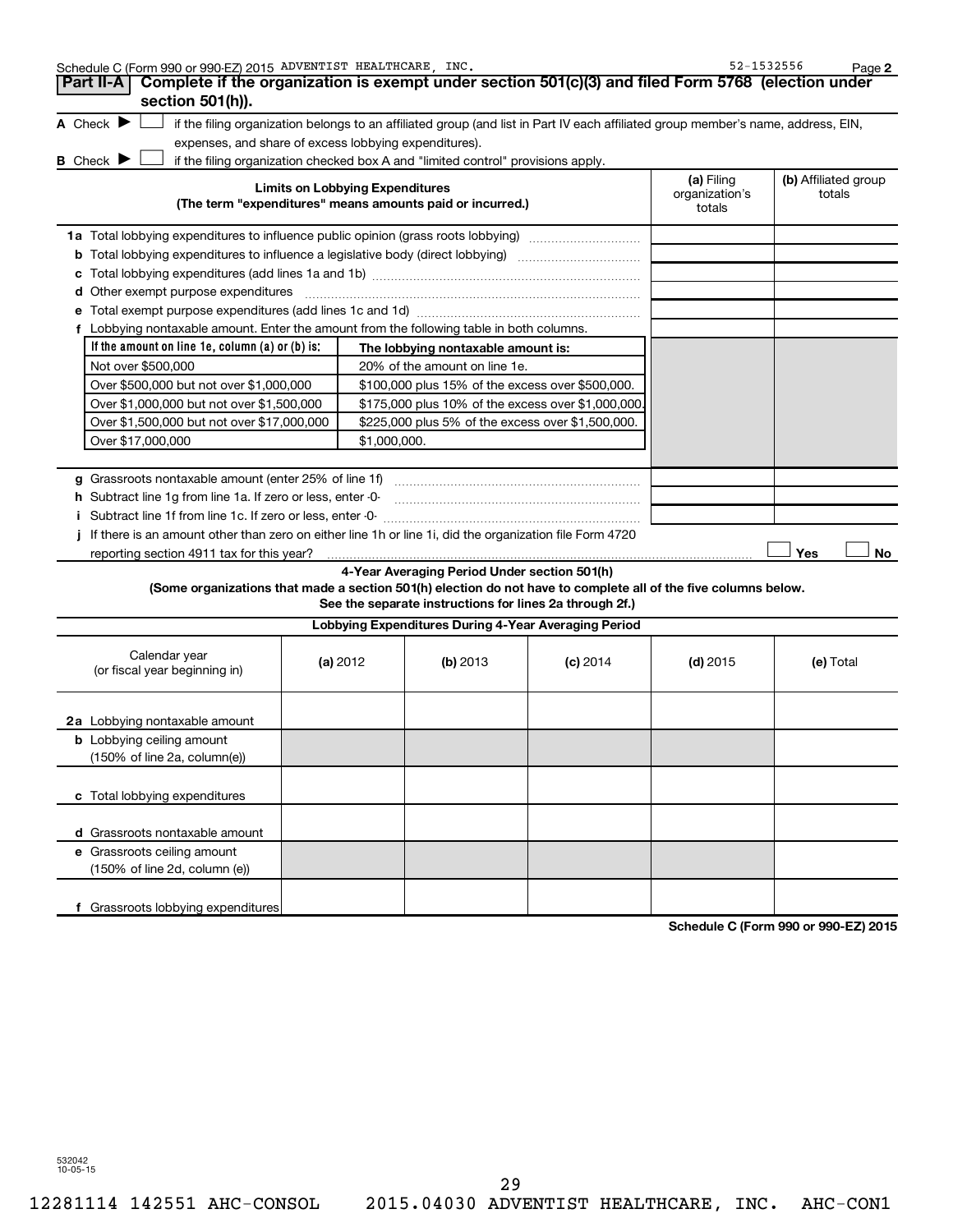| Schedule C (Form 990 or 990-EZ) 2015 ADVENTIST HEALTHCARE, INC.                                                                     |                                                       |                                                                                                                                   |            | 52-1532556                             | Page 2                         |
|-------------------------------------------------------------------------------------------------------------------------------------|-------------------------------------------------------|-----------------------------------------------------------------------------------------------------------------------------------|------------|----------------------------------------|--------------------------------|
| Complete if the organization is exempt under section 501(c)(3) and filed Form 5768 (election under<br>Part II-A<br>section 501(h)). |                                                       |                                                                                                                                   |            |                                        |                                |
| A Check $\blacktriangleright$                                                                                                       |                                                       | if the filing organization belongs to an affiliated group (and list in Part IV each affiliated group member's name, address, EIN, |            |                                        |                                |
|                                                                                                                                     | expenses, and share of excess lobbying expenditures). |                                                                                                                                   |            |                                        |                                |
| <b>B</b> Check $\blacktriangleright$                                                                                                |                                                       | if the filing organization checked box A and "limited control" provisions apply.                                                  |            |                                        |                                |
|                                                                                                                                     | <b>Limits on Lobbying Expenditures</b>                | (The term "expenditures" means amounts paid or incurred.)                                                                         |            | (a) Filing<br>organization's<br>totals | (b) Affiliated group<br>totals |
| 1a Total lobbying expenditures to influence public opinion (grass roots lobbying)                                                   |                                                       |                                                                                                                                   |            |                                        |                                |
| <b>b</b> Total lobbying expenditures to influence a legislative body (direct lobbying) <i>manumumumum</i>                           |                                                       |                                                                                                                                   |            |                                        |                                |
| с                                                                                                                                   |                                                       |                                                                                                                                   |            |                                        |                                |
| d Other exempt purpose expenditures                                                                                                 |                                                       |                                                                                                                                   |            |                                        |                                |
|                                                                                                                                     |                                                       |                                                                                                                                   |            |                                        |                                |
| f Lobbying nontaxable amount. Enter the amount from the following table in both columns.                                            |                                                       |                                                                                                                                   |            |                                        |                                |
| If the amount on line 1e, column (a) or (b) is:                                                                                     |                                                       | The lobbying nontaxable amount is:                                                                                                |            |                                        |                                |
| Not over \$500,000                                                                                                                  |                                                       | 20% of the amount on line 1e.                                                                                                     |            |                                        |                                |
| Over \$500,000 but not over \$1,000,000                                                                                             |                                                       | \$100,000 plus 15% of the excess over \$500,000.                                                                                  |            |                                        |                                |
| Over \$1,000,000 but not over \$1,500,000                                                                                           |                                                       | \$175,000 plus 10% of the excess over \$1,000,000                                                                                 |            |                                        |                                |
| Over \$1,500,000 but not over \$17,000,000                                                                                          |                                                       | \$225,000 plus 5% of the excess over \$1,500,000.                                                                                 |            |                                        |                                |
| Over \$17,000,000                                                                                                                   | \$1,000,000.                                          |                                                                                                                                   |            |                                        |                                |
|                                                                                                                                     |                                                       |                                                                                                                                   |            |                                        |                                |
| g Grassroots nontaxable amount (enter 25% of line 1f)                                                                               |                                                       |                                                                                                                                   |            |                                        |                                |
| h Subtract line 1q from line 1a. If zero or less, enter -0-                                                                         |                                                       |                                                                                                                                   |            |                                        |                                |
|                                                                                                                                     |                                                       |                                                                                                                                   |            |                                        |                                |
| If there is an amount other than zero on either line 1h or line 1i, did the organization file Form 4720                             |                                                       |                                                                                                                                   |            |                                        |                                |
| reporting section 4911 tax for this year?                                                                                           |                                                       |                                                                                                                                   |            |                                        | Yes<br><b>No</b>               |
| (Some organizations that made a section 501(h) election do not have to complete all of the five columns below.                      |                                                       | 4-Year Averaging Period Under section 501(h)<br>See the separate instructions for lines 2a through 2f.)                           |            |                                        |                                |
|                                                                                                                                     |                                                       | Lobbying Expenditures During 4-Year Averaging Period                                                                              |            |                                        |                                |
| Calendar year<br>(or fiscal voor boginning in)                                                                                      | (a) 2012                                              | (b) 2013                                                                                                                          | $(c)$ 2014 | $(d)$ 2015                             | (e) Total                      |

| Calendar year<br>(or fiscal year beginning in)                                      | (a) 2012 | (b) 2013 | $(c)$ 2014 | $(d)$ 2015 | (e) Total |
|-------------------------------------------------------------------------------------|----------|----------|------------|------------|-----------|
| 2a Lobbying nontaxable amount                                                       |          |          |            |            |           |
| <b>b</b> Lobbying ceiling amount<br>$(150\% \text{ of line } 2a, \text{column}(e))$ |          |          |            |            |           |
| c Total lobbying expenditures                                                       |          |          |            |            |           |
| d Grassroots nontaxable amount                                                      |          |          |            |            |           |
| e Grassroots ceiling amount<br>$(150\% \text{ of line } 2d, \text{ column } (e))$   |          |          |            |            |           |
| Grassroots lobbying expenditures<br>f.                                              |          |          |            |            |           |

**Schedule C (Form 990 or 990-EZ) 2015**

532042 10-05-15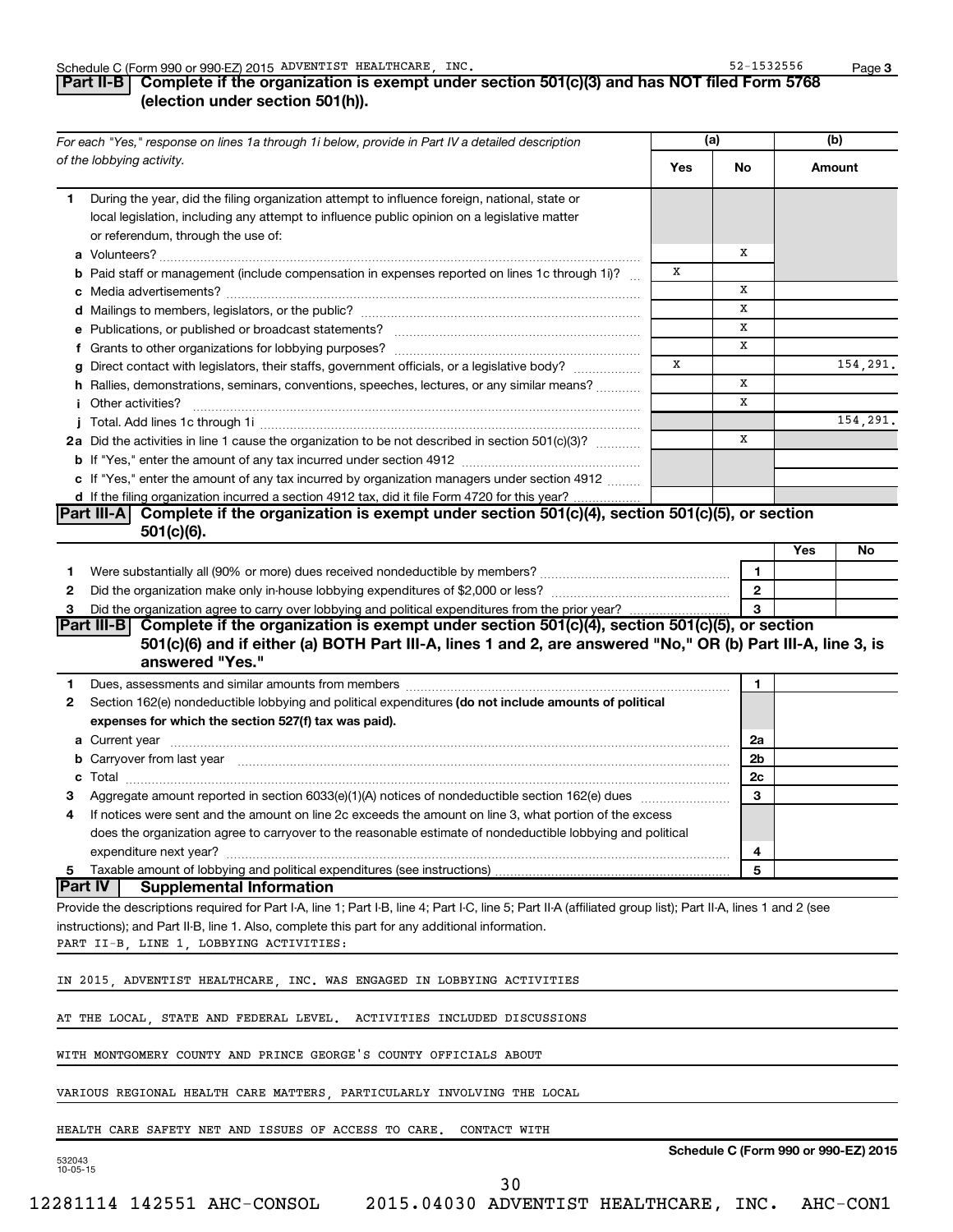### **Part II-B Complete if the organization is exempt under section 501(c)(3) and has NOT filed Form 5768 (election under section 501(h)).**

| For each "Yes," response on lines 1a through 1i below, provide in Part IV a detailed description |                                                                                                                                                                                                                                | (a) |                | (b)    |          |
|--------------------------------------------------------------------------------------------------|--------------------------------------------------------------------------------------------------------------------------------------------------------------------------------------------------------------------------------|-----|----------------|--------|----------|
|                                                                                                  | of the lobbying activity.                                                                                                                                                                                                      | Yes | No             | Amount |          |
| 1.                                                                                               | During the year, did the filing organization attempt to influence foreign, national, state or                                                                                                                                  |     |                |        |          |
|                                                                                                  | local legislation, including any attempt to influence public opinion on a legislative matter<br>or referendum, through the use of:                                                                                             |     |                |        |          |
|                                                                                                  |                                                                                                                                                                                                                                |     | х              |        |          |
|                                                                                                  | <b>b</b> Paid staff or management (include compensation in expenses reported on lines 1c through 1i)?                                                                                                                          | х   |                |        |          |
|                                                                                                  |                                                                                                                                                                                                                                |     | х              |        |          |
|                                                                                                  |                                                                                                                                                                                                                                |     | х              |        |          |
|                                                                                                  |                                                                                                                                                                                                                                |     | х              |        |          |
|                                                                                                  |                                                                                                                                                                                                                                |     | х              |        |          |
|                                                                                                  | g Direct contact with legislators, their staffs, government officials, or a legislative body?                                                                                                                                  | X   |                |        | 154,291. |
|                                                                                                  | h Rallies, demonstrations, seminars, conventions, speeches, lectures, or any similar means?                                                                                                                                    |     | X              |        |          |
|                                                                                                  | <i>i</i> Other activities?                                                                                                                                                                                                     |     | X              |        |          |
|                                                                                                  |                                                                                                                                                                                                                                |     |                |        | 154,291. |
|                                                                                                  | 2a Did the activities in line 1 cause the organization to be not described in section 501(c)(3)?                                                                                                                               |     | X              |        |          |
|                                                                                                  | <b>b</b> If "Yes," enter the amount of any tax incurred under section 4912 <i>manual communicanous</i> intervals                                                                                                               |     |                |        |          |
|                                                                                                  | c If "Yes," enter the amount of any tax incurred by organization managers under section 4912                                                                                                                                   |     |                |        |          |
|                                                                                                  | d If the filing organization incurred a section 4912 tax, did it file Form 4720 for this year?                                                                                                                                 |     |                |        |          |
|                                                                                                  | Part III-A Complete if the organization is exempt under section 501(c)(4), section 501(c)(5), or section                                                                                                                       |     |                |        |          |
|                                                                                                  | $501(c)(6)$ .                                                                                                                                                                                                                  |     |                |        |          |
|                                                                                                  |                                                                                                                                                                                                                                |     |                | Yes    | No       |
| 1.                                                                                               |                                                                                                                                                                                                                                |     | $\mathbf{1}$   |        |          |
| 2                                                                                                |                                                                                                                                                                                                                                |     | $\overline{2}$ |        |          |
| 3                                                                                                |                                                                                                                                                                                                                                |     |                |        |          |
|                                                                                                  | Part III-B Complete if the organization is exempt under section $501(c)(4)$ , section $501(c)(5)$ , or section                                                                                                                 |     |                |        |          |
|                                                                                                  | 501(c)(6) and if either (a) BOTH Part III-A, lines 1 and 2, are answered "No," OR (b) Part III-A, line 3, is                                                                                                                   |     |                |        |          |
|                                                                                                  | answered "Yes."                                                                                                                                                                                                                |     |                |        |          |
| 1                                                                                                | Dues, assessments and similar amounts from members [11] matter contracts and similar amounts from members [11] matter contracts and similar amounts from members [11] matter contracts and similar amounts from members [11] m |     | 1              |        |          |
| $\mathbf{2}$                                                                                     | Section 162(e) nondeductible lobbying and political expenditures (do not include amounts of political                                                                                                                          |     |                |        |          |
|                                                                                                  | expenses for which the section 527(f) tax was paid).                                                                                                                                                                           |     |                |        |          |
|                                                                                                  |                                                                                                                                                                                                                                |     | 2a             |        |          |
|                                                                                                  | b Carryover from last year measurements and contact the contract of the contract of the contract of the contract of the contract of the contract of the contract of the contract of the contract of the contract of the contra |     | 2b             |        |          |
| c                                                                                                |                                                                                                                                                                                                                                |     | 2c             |        |          |
| З                                                                                                |                                                                                                                                                                                                                                |     | 3              |        |          |
| 4                                                                                                | If notices were sent and the amount on line 2c exceeds the amount on line 3, what portion of the excess                                                                                                                        |     |                |        |          |
|                                                                                                  | does the organization agree to carryover to the reasonable estimate of nondeductible lobbying and political                                                                                                                    |     |                |        |          |
|                                                                                                  | expenditure next year?                                                                                                                                                                                                         |     | 4              |        |          |
| 5                                                                                                | Taxable amount of lobbying and political expenditures (see instructions)                                                                                                                                                       |     | 5              |        |          |
|                                                                                                  | <b>Part IV</b><br><b>Supplemental Information</b>                                                                                                                                                                              |     |                |        |          |
|                                                                                                  | Provide the descriptions required for Part I-A, line 1; Part I-B, line 4; Part I-C, line 5; Part II-A (affiliated group list); Part II-A, lines 1 and 2 (see                                                                   |     |                |        |          |
|                                                                                                  | instructions); and Part II-B, line 1. Also, complete this part for any additional information.                                                                                                                                 |     |                |        |          |
|                                                                                                  | PART II-B, LINE 1, LOBBYING ACTIVITIES:                                                                                                                                                                                        |     |                |        |          |
|                                                                                                  |                                                                                                                                                                                                                                |     |                |        |          |
|                                                                                                  | IN 2015, ADVENTIST HEALTHCARE, INC. WAS ENGAGED IN LOBBYING ACTIVITIES                                                                                                                                                         |     |                |        |          |
|                                                                                                  |                                                                                                                                                                                                                                |     |                |        |          |
|                                                                                                  | AT THE LOCAL, STATE AND FEDERAL LEVEL. ACTIVITIES INCLUDED DISCUSSIONS                                                                                                                                                         |     |                |        |          |
|                                                                                                  |                                                                                                                                                                                                                                |     |                |        |          |
|                                                                                                  | WITH MONTGOMERY COUNTY AND PRINCE GEORGE'S COUNTY OFFICIALS ABOUT                                                                                                                                                              |     |                |        |          |
|                                                                                                  |                                                                                                                                                                                                                                |     |                |        |          |
|                                                                                                  | VARIOUS REGIONAL HEALTH CARE MATTERS, PARTICULARLY INVOLVING THE LOCAL                                                                                                                                                         |     |                |        |          |
|                                                                                                  | HEALTH CARE SAFETY NET AND ISSUES OF ACCESS TO CARE.<br>CONTACT WITH                                                                                                                                                           |     |                |        |          |

532043 10-05-15

**Schedule C (Form 990 or 990-EZ) 2015**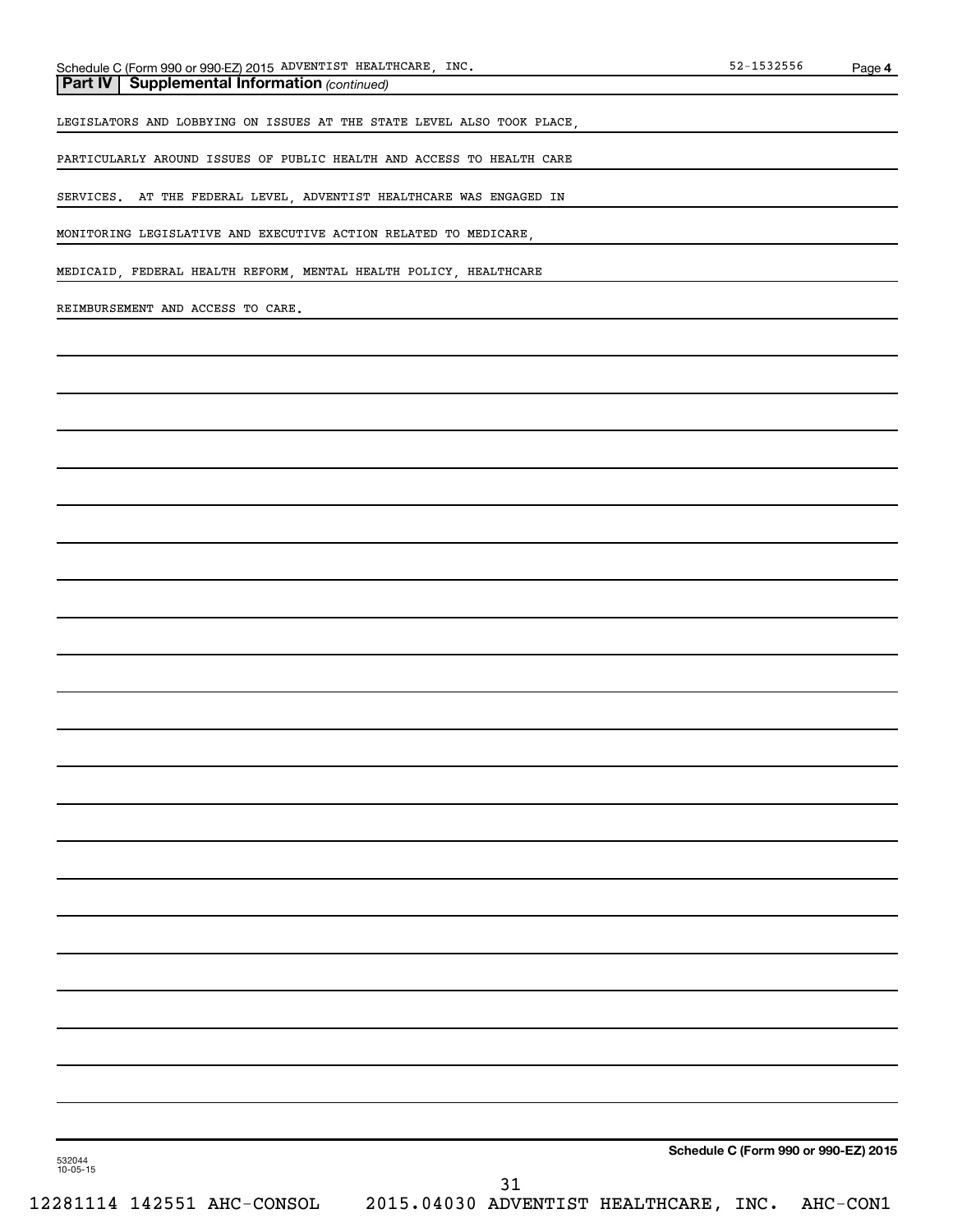**Part IV** | Supplemental Information (continued)

LEGISLATORS AND LOBBYING ON ISSUES AT THE STATE LEVEL ALSO TOOK PLACE,

PARTICULARLY AROUND ISSUES OF PUBLIC HEALTH AND ACCESS TO HEALTH CARE

SERVICES. AT THE FEDERAL LEVEL, ADVENTIST HEALTHCARE WAS ENGAGED IN

MONITORING LEGISLATIVE AND EXECUTIVE ACTION RELATED TO MEDICARE,

MEDICAID, FEDERAL HEALTH REFORM, MENTAL HEALTH POLICY, HEALTHCARE

REIMBURSEMENT AND ACCESS TO CARE.

**Schedule C (Form 990 or 990-EZ) 2015**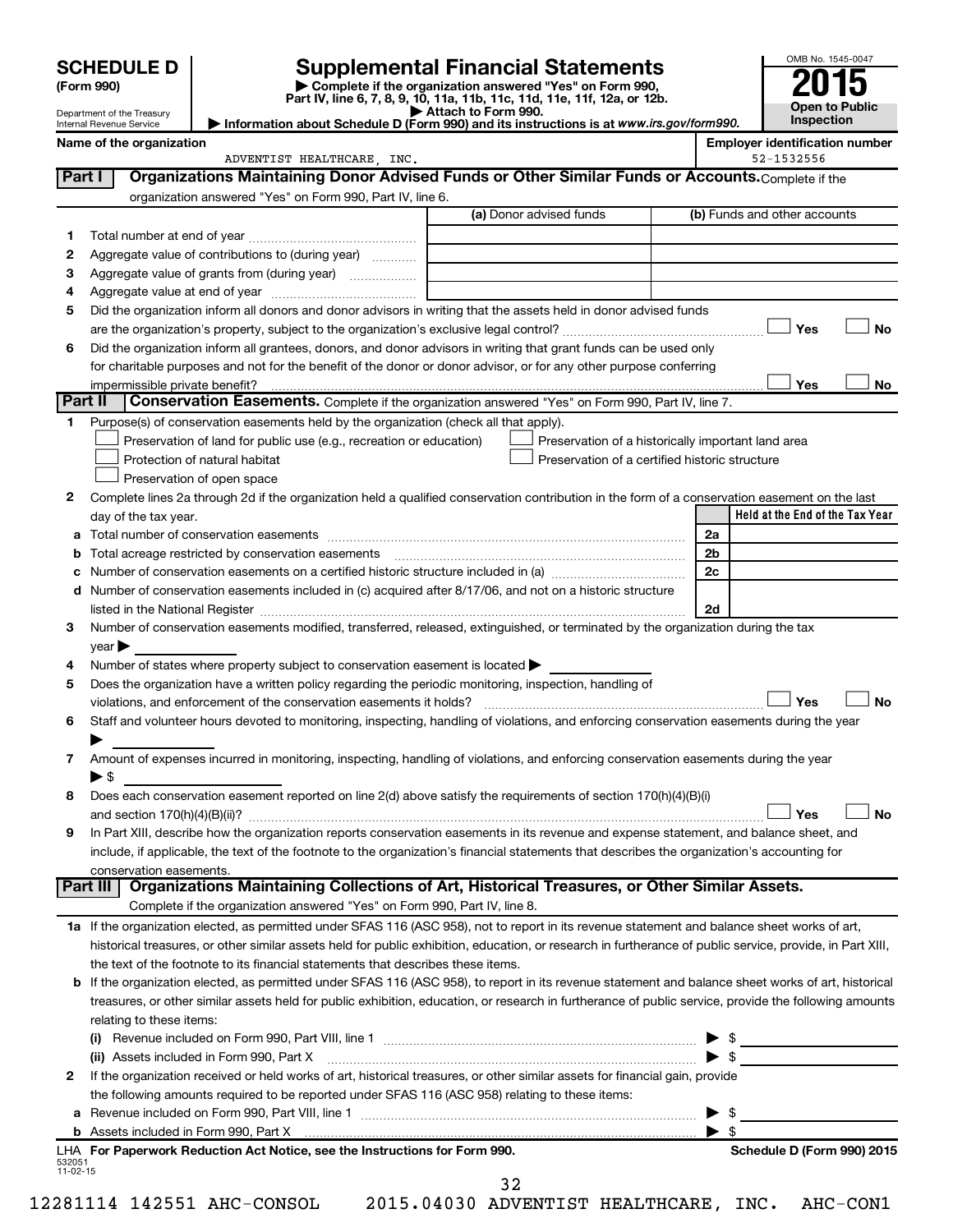Department of the Treasury Internal Revenue Service

| (Form 990) |
|------------|
|------------|

# **SCHEDULE D Supplemental Financial Statements**<br> **Form 990 2015**<br> **Part IV** line 6.7.8.9.10, 11a, 11b, 11d, 11d, 11d, 11d, 11d, 12a, 0r, 12b

**(Form 990) | Complete if the organization answered "Yes" on Form 990, Part IV, line 6, 7, 8, 9, 10, 11a, 11b, 11c, 11d, 11e, 11f, 12a, or 12b.**

**| Attach to Form 990. | Information about Schedule D (Form 990) and its instructions is at**  *www.irs.gov/form990.*



|            | Name of the organization<br>ADVENTIST HEALTHCARE, INC.                                                                                                                        | <b>Employer identification number</b><br>52-1532556 |
|------------|-------------------------------------------------------------------------------------------------------------------------------------------------------------------------------|-----------------------------------------------------|
| Part I     | Organizations Maintaining Donor Advised Funds or Other Similar Funds or Accounts. Complete if the                                                                             |                                                     |
|            |                                                                                                                                                                               |                                                     |
|            | organization answered "Yes" on Form 990, Part IV, line 6.<br>(a) Donor advised funds                                                                                          | (b) Funds and other accounts                        |
|            |                                                                                                                                                                               |                                                     |
| 1.         | Aggregate value of contributions to (during year)                                                                                                                             |                                                     |
| 2          | Aggregate value of grants from (during year)                                                                                                                                  |                                                     |
| з<br>4     |                                                                                                                                                                               |                                                     |
| 5          | Did the organization inform all donors and donor advisors in writing that the assets held in donor advised funds                                                              |                                                     |
|            |                                                                                                                                                                               | Yes<br>No                                           |
| 6          | Did the organization inform all grantees, donors, and donor advisors in writing that grant funds can be used only                                                             |                                                     |
|            | for charitable purposes and not for the benefit of the donor or donor advisor, or for any other purpose conferring                                                            |                                                     |
|            |                                                                                                                                                                               | Yes<br>No                                           |
|            | impermissible private benefit?<br>Part II<br><b>Conservation Easements.</b> Complete if the organization answered "Yes" on Form 990, Part IV, line 7.                         |                                                     |
| 1.         | Purpose(s) of conservation easements held by the organization (check all that apply).                                                                                         |                                                     |
|            | Preservation of land for public use (e.g., recreation or education)<br>Preservation of a historically important land area                                                     |                                                     |
|            | Protection of natural habitat<br>Preservation of a certified historic structure                                                                                               |                                                     |
|            | Preservation of open space                                                                                                                                                    |                                                     |
| 2          |                                                                                                                                                                               |                                                     |
|            | Complete lines 2a through 2d if the organization held a qualified conservation contribution in the form of a conservation easement on the last<br>day of the tax year.        | Held at the End of the Tax Year                     |
|            |                                                                                                                                                                               | 2a                                                  |
| а          |                                                                                                                                                                               | 2b                                                  |
| b          |                                                                                                                                                                               | 2c                                                  |
| с          | Number of conservation easements included in (c) acquired after 8/17/06, and not on a historic structure                                                                      |                                                     |
| d          |                                                                                                                                                                               | 2d                                                  |
| 3          |                                                                                                                                                                               |                                                     |
|            | Number of conservation easements modified, transferred, released, extinguished, or terminated by the organization during the tax                                              |                                                     |
|            | $year \blacktriangleright$                                                                                                                                                    |                                                     |
| 4          | Number of states where property subject to conservation easement is located $\blacktriangleright$                                                                             |                                                     |
| 5          | Does the organization have a written policy regarding the periodic monitoring, inspection, handling of<br>violations, and enforcement of the conservation easements it holds? | Yes<br><b>No</b>                                    |
|            |                                                                                                                                                                               |                                                     |
| 6          | Staff and volunteer hours devoted to monitoring, inspecting, handling of violations, and enforcing conservation easements during the year                                     |                                                     |
| 7          | Amount of expenses incurred in monitoring, inspecting, handling of violations, and enforcing conservation easements during the year                                           |                                                     |
|            | $\blacktriangleright$ \$                                                                                                                                                      |                                                     |
| 8          | Does each conservation easement reported on line 2(d) above satisfy the requirements of section 170(h)(4)(B)(i)                                                               |                                                     |
|            |                                                                                                                                                                               | Yes<br>No                                           |
| 9          | In Part XIII, describe how the organization reports conservation easements in its revenue and expense statement, and balance sheet, and                                       |                                                     |
|            | include, if applicable, the text of the footnote to the organization's financial statements that describes the organization's accounting for                                  |                                                     |
|            | conservation easements.                                                                                                                                                       |                                                     |
|            | Part III   Organizations Maintaining Collections of Art, Historical Treasures, or Other Similar Assets.                                                                       |                                                     |
|            | Complete if the organization answered "Yes" on Form 990, Part IV, line 8.                                                                                                     |                                                     |
|            | 1a If the organization elected, as permitted under SFAS 116 (ASC 958), not to report in its revenue statement and balance sheet works of art,                                 |                                                     |
|            | historical treasures, or other similar assets held for public exhibition, education, or research in furtherance of public service, provide, in Part XIII,                     |                                                     |
|            | the text of the footnote to its financial statements that describes these items.                                                                                              |                                                     |
|            | <b>b</b> If the organization elected, as permitted under SFAS 116 (ASC 958), to report in its revenue statement and balance sheet works of art, historical                    |                                                     |
|            | treasures, or other similar assets held for public exhibition, education, or research in furtherance of public service, provide the following amounts                         |                                                     |
|            | relating to these items:                                                                                                                                                      |                                                     |
|            |                                                                                                                                                                               |                                                     |
|            | (ii) Assets included in Form 990, Part X                                                                                                                                      | $\triangleright$ \$<br>$\blacktriangleright$ \$     |
| 2          | If the organization received or held works of art, historical treasures, or other similar assets for financial gain, provide                                                  |                                                     |
|            | the following amounts required to be reported under SFAS 116 (ASC 958) relating to these items:                                                                               |                                                     |
| а          |                                                                                                                                                                               | - \$                                                |
|            |                                                                                                                                                                               | -\$                                                 |
|            | LHA For Paperwork Reduction Act Notice, see the Instructions for Form 990.                                                                                                    | Schedule D (Form 990) 2015                          |
| 532051     |                                                                                                                                                                               |                                                     |
| $11-02-15$ | 32                                                                                                                                                                            |                                                     |

|  | حس<br>w |
|--|---------|
|  | ÷       |

12281114 142551 AHC-CONSOL 2015.04030 ADVENTIST HEALTHCARE, INC. AHC-CON1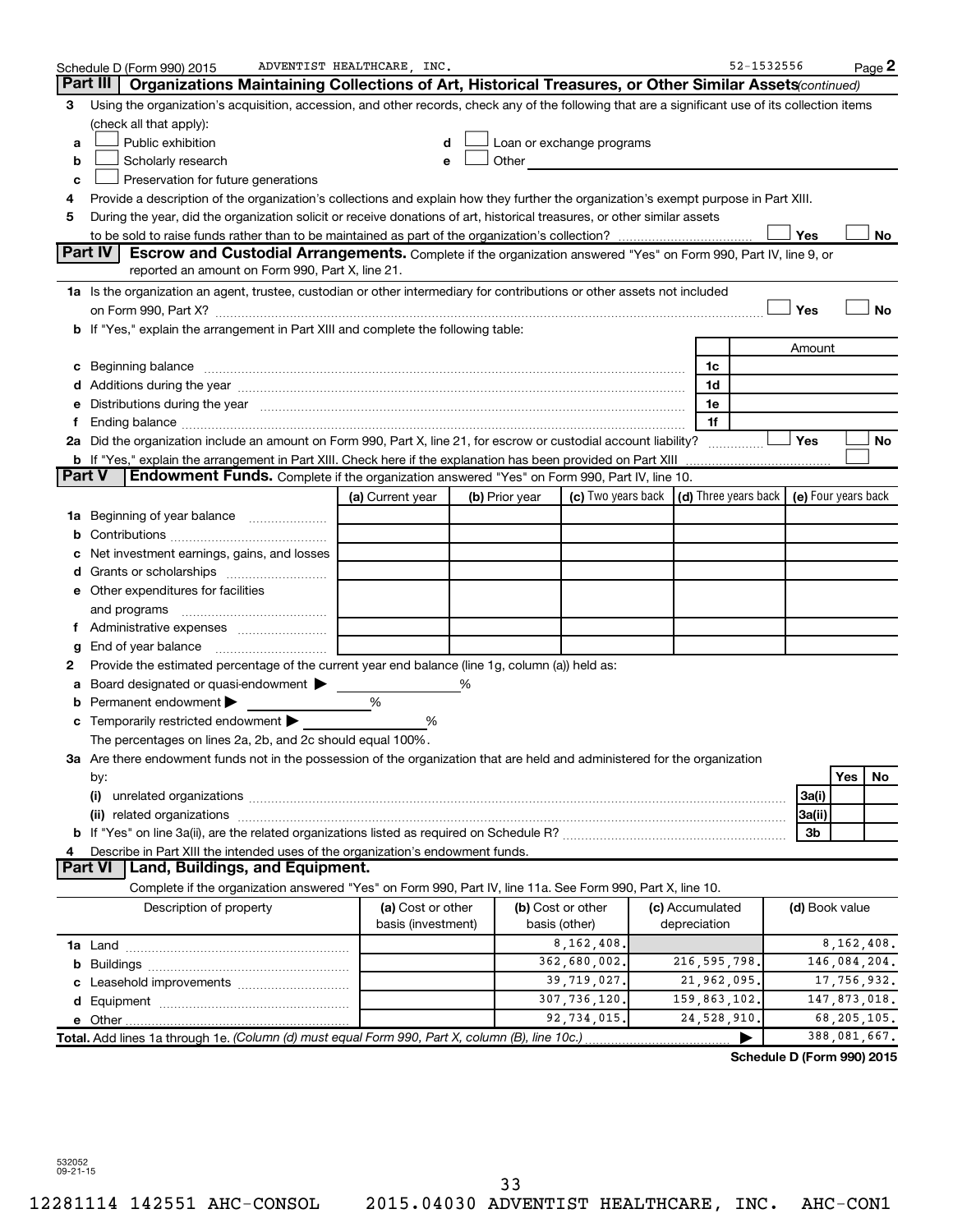|        | Schedule D (Form 990) 2015                                                                                                                                                                                                     | ADVENTIST HEALTHCARE, INC. |                |                           |                 | 52-1532556                                   |                |              | Page 2 |
|--------|--------------------------------------------------------------------------------------------------------------------------------------------------------------------------------------------------------------------------------|----------------------------|----------------|---------------------------|-----------------|----------------------------------------------|----------------|--------------|--------|
|        | Part III<br>Organizations Maintaining Collections of Art, Historical Treasures, or Other Similar Assets (continued)                                                                                                            |                            |                |                           |                 |                                              |                |              |        |
| З      | Using the organization's acquisition, accession, and other records, check any of the following that are a significant use of its collection items                                                                              |                            |                |                           |                 |                                              |                |              |        |
|        | (check all that apply):                                                                                                                                                                                                        |                            |                |                           |                 |                                              |                |              |        |
| a      | Public exhibition                                                                                                                                                                                                              | d                          |                | Loan or exchange programs |                 |                                              |                |              |        |
| b      | Scholarly research                                                                                                                                                                                                             | е                          | Other          |                           |                 |                                              |                |              |        |
| с      | Preservation for future generations                                                                                                                                                                                            |                            |                |                           |                 |                                              |                |              |        |
| 4      | Provide a description of the organization's collections and explain how they further the organization's exempt purpose in Part XIII.                                                                                           |                            |                |                           |                 |                                              |                |              |        |
| 5      | During the year, did the organization solicit or receive donations of art, historical treasures, or other similar assets                                                                                                       |                            |                |                           |                 |                                              |                |              |        |
|        |                                                                                                                                                                                                                                |                            |                |                           |                 |                                              | Yes            |              | No     |
|        | <b>Part IV</b><br><b>Escrow and Custodial Arrangements.</b> Complete if the organization answered "Yes" on Form 990, Part IV, line 9, or<br>reported an amount on Form 990, Part X, line 21.                                   |                            |                |                           |                 |                                              |                |              |        |
|        |                                                                                                                                                                                                                                |                            |                |                           |                 |                                              |                |              |        |
|        | 1a Is the organization an agent, trustee, custodian or other intermediary for contributions or other assets not included                                                                                                       |                            |                |                           |                 |                                              | Yes            |              | No     |
|        | b If "Yes," explain the arrangement in Part XIII and complete the following table:                                                                                                                                             |                            |                |                           |                 |                                              |                |              |        |
|        |                                                                                                                                                                                                                                |                            |                |                           |                 |                                              | Amount         |              |        |
|        | c Beginning balance Manual Communication and the contract of the contract of the contract of the contract of the contract of the contract of the contract of the contract of the contract of the contract of the contract of t |                            |                |                           | 1c              |                                              |                |              |        |
|        |                                                                                                                                                                                                                                |                            |                |                           | 1d              |                                              |                |              |        |
|        | e Distributions during the year manufactured and continuum control of the control of the control of the state of the state of the control of the control of the control of the control of the control of the control of the co |                            |                |                           | 1e              |                                              |                |              |        |
| Ť.     |                                                                                                                                                                                                                                |                            |                |                           | 1f              |                                              |                |              |        |
|        | 2a Did the organization include an amount on Form 990, Part X, line 21, for escrow or custodial account liability?                                                                                                             |                            |                |                           |                 |                                              | Yes            |              | No     |
|        | b If "Yes," explain the arrangement in Part XIII. Check here if the explanation has been provided on Part XIII                                                                                                                 |                            |                |                           |                 |                                              |                |              |        |
| Part V | <b>Endowment Funds.</b> Complete if the organization answered "Yes" on Form 990, Part IV, line 10.                                                                                                                             |                            |                |                           |                 |                                              |                |              |        |
|        |                                                                                                                                                                                                                                | (a) Current year           | (b) Prior year | (c) Two years back        |                 | $(d)$ Three years back $(e)$ Four years back |                |              |        |
|        | 1a Beginning of year balance                                                                                                                                                                                                   |                            |                |                           |                 |                                              |                |              |        |
| b      |                                                                                                                                                                                                                                |                            |                |                           |                 |                                              |                |              |        |
| c      | Net investment earnings, gains, and losses                                                                                                                                                                                     |                            |                |                           |                 |                                              |                |              |        |
|        |                                                                                                                                                                                                                                |                            |                |                           |                 |                                              |                |              |        |
|        | e Other expenditures for facilities                                                                                                                                                                                            |                            |                |                           |                 |                                              |                |              |        |
|        | and programs                                                                                                                                                                                                                   |                            |                |                           |                 |                                              |                |              |        |
|        | f Administrative expenses                                                                                                                                                                                                      |                            |                |                           |                 |                                              |                |              |        |
| g      |                                                                                                                                                                                                                                |                            |                |                           |                 |                                              |                |              |        |
| 2      | Provide the estimated percentage of the current year end balance (line 1g, column (a)) held as:                                                                                                                                |                            |                |                           |                 |                                              |                |              |        |
| а      | Board designated or quasi-endowment                                                                                                                                                                                            |                            | %              |                           |                 |                                              |                |              |        |
| b      | Permanent endowment                                                                                                                                                                                                            | %                          |                |                           |                 |                                              |                |              |        |
| с      | Temporarily restricted endowment                                                                                                                                                                                               | %                          |                |                           |                 |                                              |                |              |        |
|        | The percentages on lines 2a, 2b, and 2c should equal 100%.                                                                                                                                                                     |                            |                |                           |                 |                                              |                |              |        |
|        | 3a Are there endowment funds not in the possession of the organization that are held and administered for the organization                                                                                                     |                            |                |                           |                 |                                              |                |              |        |
|        | by:                                                                                                                                                                                                                            |                            |                |                           |                 |                                              |                | Yes          | No     |
|        |                                                                                                                                                                                                                                |                            |                |                           |                 |                                              | 3a(i)          |              |        |
|        |                                                                                                                                                                                                                                |                            |                |                           |                 |                                              | 3a(ii)         |              |        |
|        |                                                                                                                                                                                                                                |                            |                |                           |                 |                                              | 3b             |              |        |
| 4      | Describe in Part XIII the intended uses of the organization's endowment funds.<br>Part VI   Land, Buildings, and Equipment.                                                                                                    |                            |                |                           |                 |                                              |                |              |        |
|        | Complete if the organization answered "Yes" on Form 990, Part IV, line 11a. See Form 990, Part X, line 10.                                                                                                                     |                            |                |                           |                 |                                              |                |              |        |
|        | Description of property                                                                                                                                                                                                        | (a) Cost or other          |                | (b) Cost or other         | (c) Accumulated |                                              | (d) Book value |              |        |
|        |                                                                                                                                                                                                                                | basis (investment)         |                | basis (other)             | depreciation    |                                              |                |              |        |
|        |                                                                                                                                                                                                                                |                            |                | 8, 162, 408.              |                 |                                              |                | 8, 162, 408. |        |
|        |                                                                                                                                                                                                                                |                            |                | 362,680,002.              | 216,595,798.    |                                              | 146,084,204.   |              |        |
|        |                                                                                                                                                                                                                                |                            |                | 39,719,027.               | 21,962,095.     |                                              |                | 17,756,932.  |        |
|        |                                                                                                                                                                                                                                |                            |                | 307,736,120.              | 159,863,102.    |                                              | 147,873,018.   |              |        |
|        |                                                                                                                                                                                                                                |                            |                | 92,734,015.               | 24,528,910.     |                                              |                | 68,205,105.  |        |
|        | Total. Add lines 1a through 1e. (Column (d) must equal Form 990, Part X, column (B), line 10c.)                                                                                                                                |                            |                |                           |                 |                                              | 388,081,667.   |              |        |
|        |                                                                                                                                                                                                                                |                            |                |                           |                 |                                              |                |              |        |

**Schedule D (Form 990) 2015**

532052 09-21-15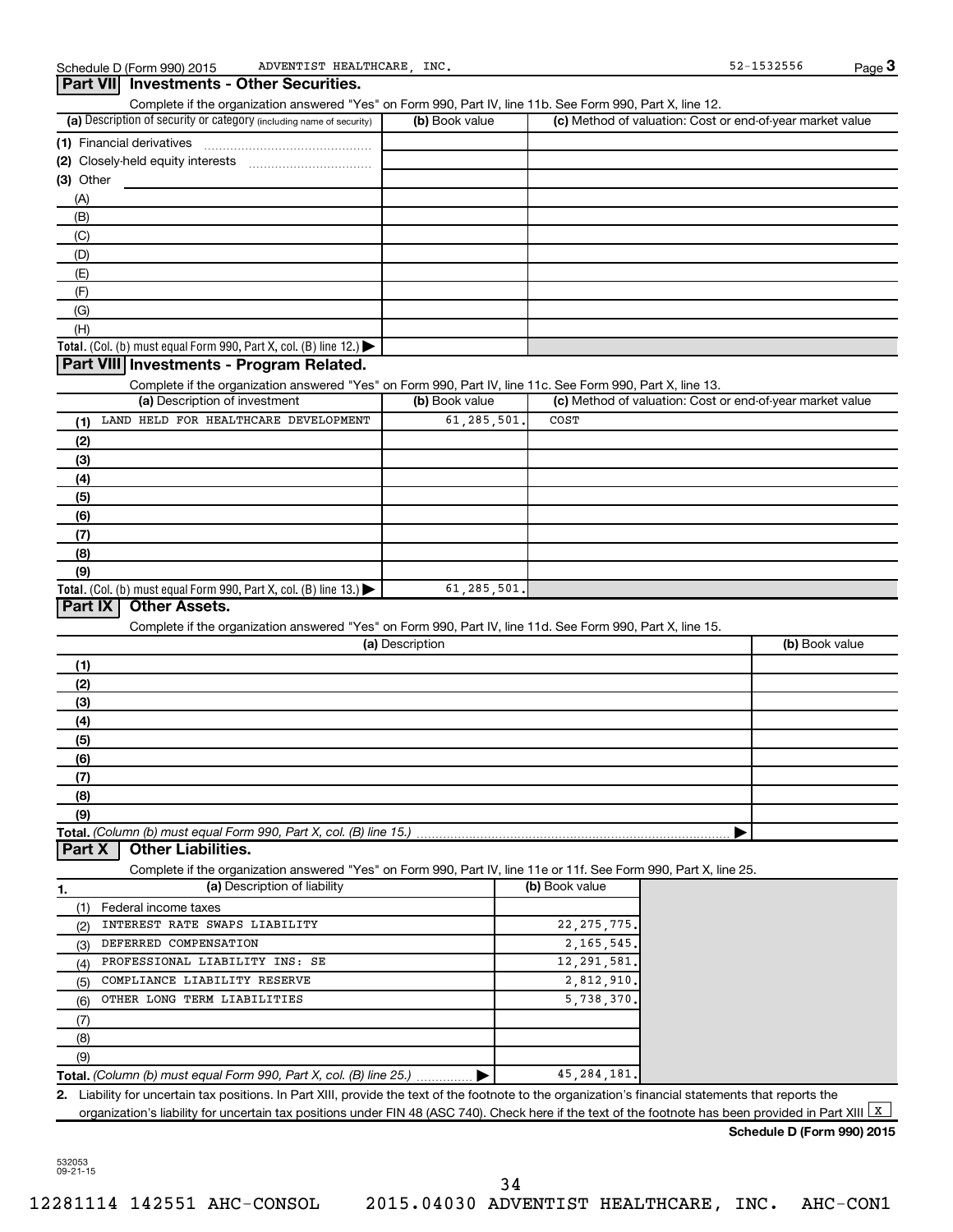**3**

|             | Complete if the organization answered "Yes" on Form 990, Part IV, line 11b. See Form 990, Part X, line 12.<br>(a) Description of security or category (including name of security) | (b) Book value  |                | (c) Method of valuation: Cost or end-of-year market value |
|-------------|------------------------------------------------------------------------------------------------------------------------------------------------------------------------------------|-----------------|----------------|-----------------------------------------------------------|
|             |                                                                                                                                                                                    |                 |                |                                                           |
|             |                                                                                                                                                                                    |                 |                |                                                           |
|             |                                                                                                                                                                                    |                 |                |                                                           |
| $(3)$ Other |                                                                                                                                                                                    |                 |                |                                                           |
| (A)         |                                                                                                                                                                                    |                 |                |                                                           |
| (B)         |                                                                                                                                                                                    |                 |                |                                                           |
| (C)         |                                                                                                                                                                                    |                 |                |                                                           |
| (D)         |                                                                                                                                                                                    |                 |                |                                                           |
| (E)         |                                                                                                                                                                                    |                 |                |                                                           |
| (F)         |                                                                                                                                                                                    |                 |                |                                                           |
| (G)         |                                                                                                                                                                                    |                 |                |                                                           |
| (H)         |                                                                                                                                                                                    |                 |                |                                                           |
|             | Total. (Col. (b) must equal Form 990, Part X, col. (B) line 12.)                                                                                                                   |                 |                |                                                           |
|             | Part VIII Investments - Program Related.                                                                                                                                           |                 |                |                                                           |
|             | Complete if the organization answered "Yes" on Form 990, Part IV, line 11c. See Form 990, Part X, line 13.                                                                         |                 |                |                                                           |
|             | (a) Description of investment                                                                                                                                                      | (b) Book value  |                | (c) Method of valuation: Cost or end-of-year market value |
|             | LAND HELD FOR HEALTHCARE DEVELOPMENT                                                                                                                                               | 61, 285, 501.   | COST           |                                                           |
| (1)         |                                                                                                                                                                                    |                 |                |                                                           |
| (2)         |                                                                                                                                                                                    |                 |                |                                                           |
| (3)         |                                                                                                                                                                                    |                 |                |                                                           |
| (4)         |                                                                                                                                                                                    |                 |                |                                                           |
| (5)         |                                                                                                                                                                                    |                 |                |                                                           |
| (6)         |                                                                                                                                                                                    |                 |                |                                                           |
| (7)         |                                                                                                                                                                                    |                 |                |                                                           |
| (8)         |                                                                                                                                                                                    |                 |                |                                                           |
| (9)         |                                                                                                                                                                                    |                 |                |                                                           |
|             | Total. (Col. (b) must equal Form 990, Part X, col. (B) line 13.)                                                                                                                   | 61, 285, 501.   |                |                                                           |
| Part IX     | <b>Other Assets.</b>                                                                                                                                                               |                 |                |                                                           |
|             | Complete if the organization answered "Yes" on Form 990, Part IV, line 11d. See Form 990, Part X, line 15.                                                                         |                 |                |                                                           |
|             |                                                                                                                                                                                    | (a) Description |                | (b) Book value                                            |
| (1)         |                                                                                                                                                                                    |                 |                |                                                           |
| (2)         |                                                                                                                                                                                    |                 |                |                                                           |
| (3)         |                                                                                                                                                                                    |                 |                |                                                           |
|             |                                                                                                                                                                                    |                 |                |                                                           |
| (4)         |                                                                                                                                                                                    |                 |                |                                                           |
| (5)         |                                                                                                                                                                                    |                 |                |                                                           |
| (6)         |                                                                                                                                                                                    |                 |                |                                                           |
| (7)         |                                                                                                                                                                                    |                 |                |                                                           |
| (8)         |                                                                                                                                                                                    |                 |                |                                                           |
| (9)         |                                                                                                                                                                                    |                 |                |                                                           |
| Part X      | Total. (Column (b) must equal Form 990, Part X, col. (B) line 15.)<br><b>Other Liabilities.</b>                                                                                    |                 |                |                                                           |
|             | Complete if the organization answered "Yes" on Form 990, Part IV, line 11e or 11f. See Form 990, Part X, line 25.                                                                  |                 |                |                                                           |
| 1.          | (a) Description of liability                                                                                                                                                       |                 | (b) Book value |                                                           |
|             | Federal income taxes                                                                                                                                                               |                 |                |                                                           |
| (1)         | INTEREST RATE SWAPS LIABILITY                                                                                                                                                      |                 | 22, 275, 775.  |                                                           |
| (2)         | DEFERRED COMPENSATION                                                                                                                                                              |                 | 2, 165, 545.   |                                                           |
|             |                                                                                                                                                                                    |                 |                |                                                           |
| (3)         |                                                                                                                                                                                    |                 |                |                                                           |
| (4)         | PROFESSIONAL LIABILITY INS: SE                                                                                                                                                     |                 | 12, 291, 581.  |                                                           |
| (5)         | COMPLIANCE LIABILITY RESERVE                                                                                                                                                       |                 | 2,812,910.     |                                                           |
| (6)         | OTHER LONG TERM LIABILITIES                                                                                                                                                        |                 | 5,738,370.     |                                                           |
| (7)         |                                                                                                                                                                                    |                 |                |                                                           |
| (8)         |                                                                                                                                                                                    |                 |                |                                                           |
| (9)         |                                                                                                                                                                                    |                 |                |                                                           |
|             | Total. (Column (b) must equal Form 990, Part X, col. (B) line 25.) ▶                                                                                                               |                 | 45, 284, 181   |                                                           |

532053 09-21-15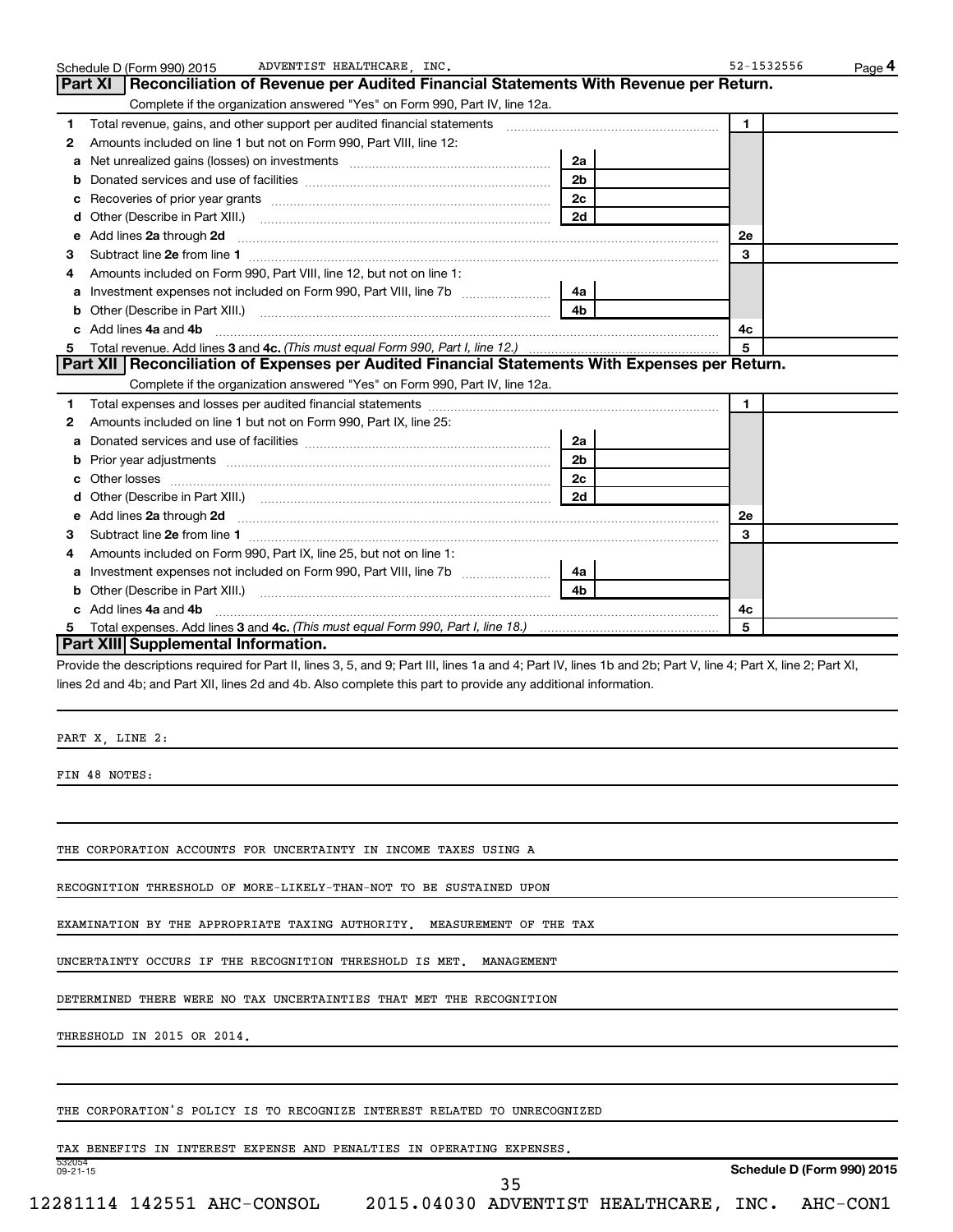|    | Schedule D (Form 990) 2015 ADVENTIST HEALTHCARE, INC.                                                                                                          |                | 52-1532556 | Page 4 |
|----|----------------------------------------------------------------------------------------------------------------------------------------------------------------|----------------|------------|--------|
|    | Part XI<br>Reconciliation of Revenue per Audited Financial Statements With Revenue per Return.                                                                 |                |            |        |
|    | Complete if the organization answered "Yes" on Form 990, Part IV, line 12a.                                                                                    |                |            |        |
| 1  | Total revenue, gains, and other support per audited financial statements                                                                                       |                | 1          |        |
| 2  | Amounts included on line 1 but not on Form 990, Part VIII, line 12:                                                                                            |                |            |        |
| a  |                                                                                                                                                                | 2a             |            |        |
|    |                                                                                                                                                                | 2 <sub>b</sub> |            |        |
| с  |                                                                                                                                                                | 2c             |            |        |
| d  |                                                                                                                                                                | 2d             |            |        |
| e  | Add lines 2a through 2d                                                                                                                                        |                | 2e         |        |
| 3  |                                                                                                                                                                |                | 3          |        |
| 4  | Amounts included on Form 990, Part VIII, line 12, but not on line 1:                                                                                           |                |            |        |
| а  |                                                                                                                                                                | 4a             |            |        |
| b  |                                                                                                                                                                | 4b             |            |        |
| c  | Add lines 4a and 4b                                                                                                                                            |                | 4c         |        |
| 5. | Total revenue. Add lines 3 and 4c. (This must equal Form 990, Part I, line 12.)                                                                                |                | 5          |        |
|    | Part XII   Reconciliation of Expenses per Audited Financial Statements With Expenses per Return.                                                               |                |            |        |
|    | Complete if the organization answered "Yes" on Form 990, Part IV, line 12a.                                                                                    |                |            |        |
| 1  |                                                                                                                                                                |                | 1          |        |
| 2  | Amounts included on line 1 but not on Form 990, Part IX, line 25:                                                                                              |                |            |        |
|    |                                                                                                                                                                | 2a             |            |        |
|    |                                                                                                                                                                | 2 <sub>b</sub> |            |        |
| с  |                                                                                                                                                                | 2c             |            |        |
| d  |                                                                                                                                                                | 2d             |            |        |
| е  |                                                                                                                                                                |                | 2е         |        |
| 3  |                                                                                                                                                                |                | 3          |        |
| 4  | Amounts included on Form 990, Part IX, line 25, but not on line 1:                                                                                             |                |            |        |
| a  |                                                                                                                                                                | 4a l           |            |        |
| b  | Other (Describe in Part XIII.) [100] [100] [100] [100] [100] [100] [100] [100] [100] [100] [100] [100] [100] [                                                 |                |            |        |
|    | c Add lines 4a and 4b                                                                                                                                          |                | 4c         |        |
|    |                                                                                                                                                                |                | 5          |        |
|    | Part XIII Supplemental Information.                                                                                                                            |                |            |        |
|    | Provide the descriptions required for Part II, lines 3, 5, and 9; Part III, lines 1a and 4; Part IV, lines 1b and 2b; Part V, line 4; Part X, line 2; Part XI, |                |            |        |
|    | lines 2d and 4b; and Part XII, lines 2d and 4b. Also complete this part to provide any additional information.                                                 |                |            |        |

| PART | LTNE. |  |
|------|-------|--|
|      |       |  |

FIN 48 NOTES:

THE CORPORATION ACCOUNTS FOR UNCERTAINTY IN INCOME TAXES USING A

RECOGNITION THRESHOLD OF MORE-LIKELY-THAN-NOT TO BE SUSTAINED UPON

EXAMINATION BY THE APPROPRIATE TAXING AUTHORITY. MEASUREMENT OF THE TAX

UNCERTAINTY OCCURS IF THE RECOGNITION THRESHOLD IS MET. MANAGEMENT

DETERMINED THERE WERE NO TAX UNCERTAINTIES THAT MET THE RECOGNITION

THRESHOLD IN 2015 OR 2014.

THE CORPORATION'S POLICY IS TO RECOGNIZE INTEREST RELATED TO UNRECOGNIZED

TAX BENEFITS IN INTEREST EXPENSE AND PENALTIES IN OPERATING EXPENSES.

**Schedule D (Form 990) 2015**

12281114 142551 AHC-CONSOL 2015.04030 ADVENTIST HEALTHCARE, INC. AHC-CON1

532054 09-21-15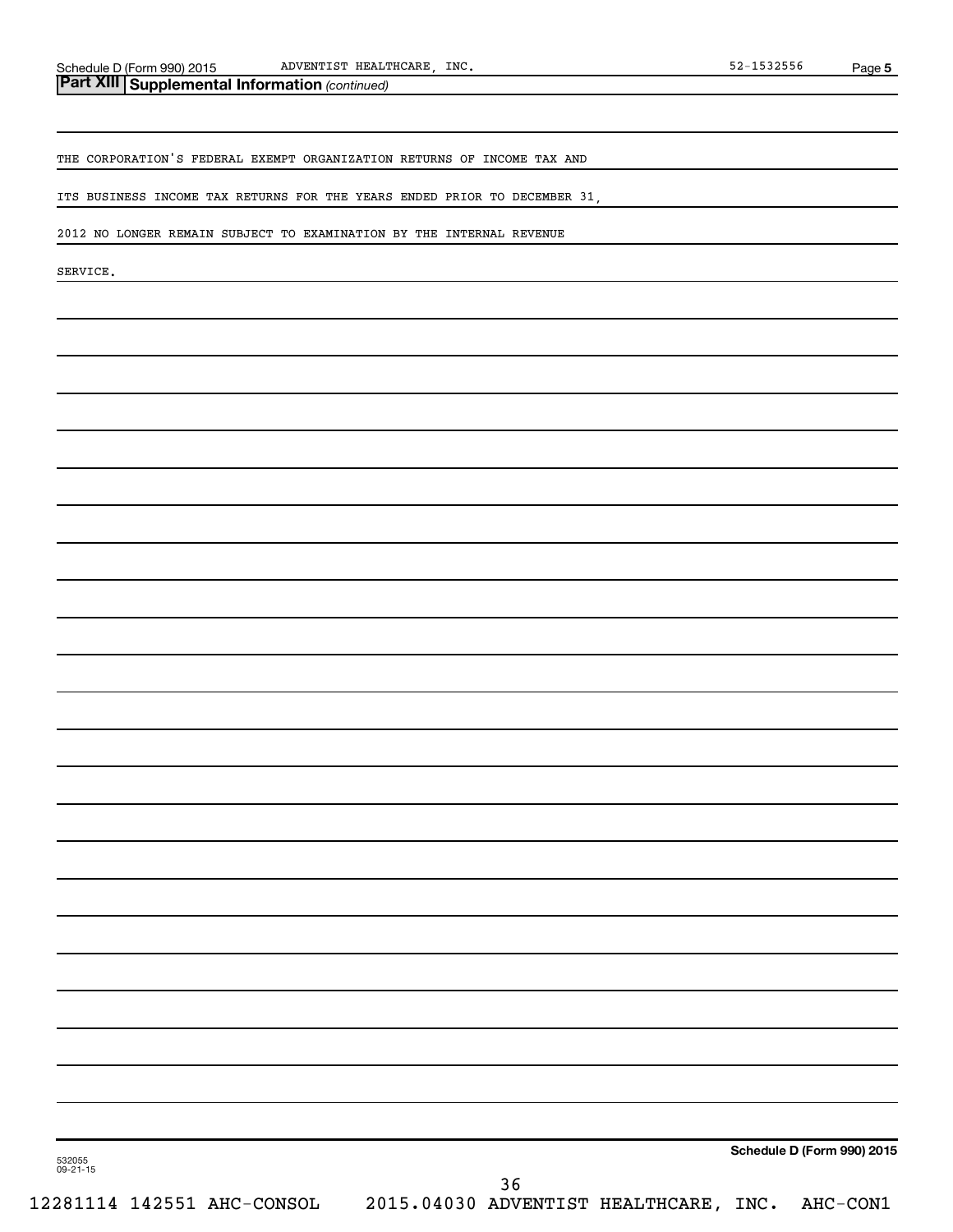## *(continued)* **Part XIII Supplemental Information**

THE CORPORATION'S FEDERAL EXEMPT ORGANIZATION RETURNS OF INCOME TAX AND

ITS BUSINESS INCOME TAX RETURNS FOR THE YEARS ENDED PRIOR TO DECEMBER 31,

2012 NO LONGER REMAIN SUBJECT TO EXAMINATION BY THE INTERNAL REVENUE

SERVICE.

**Schedule D (Form 990) 2015**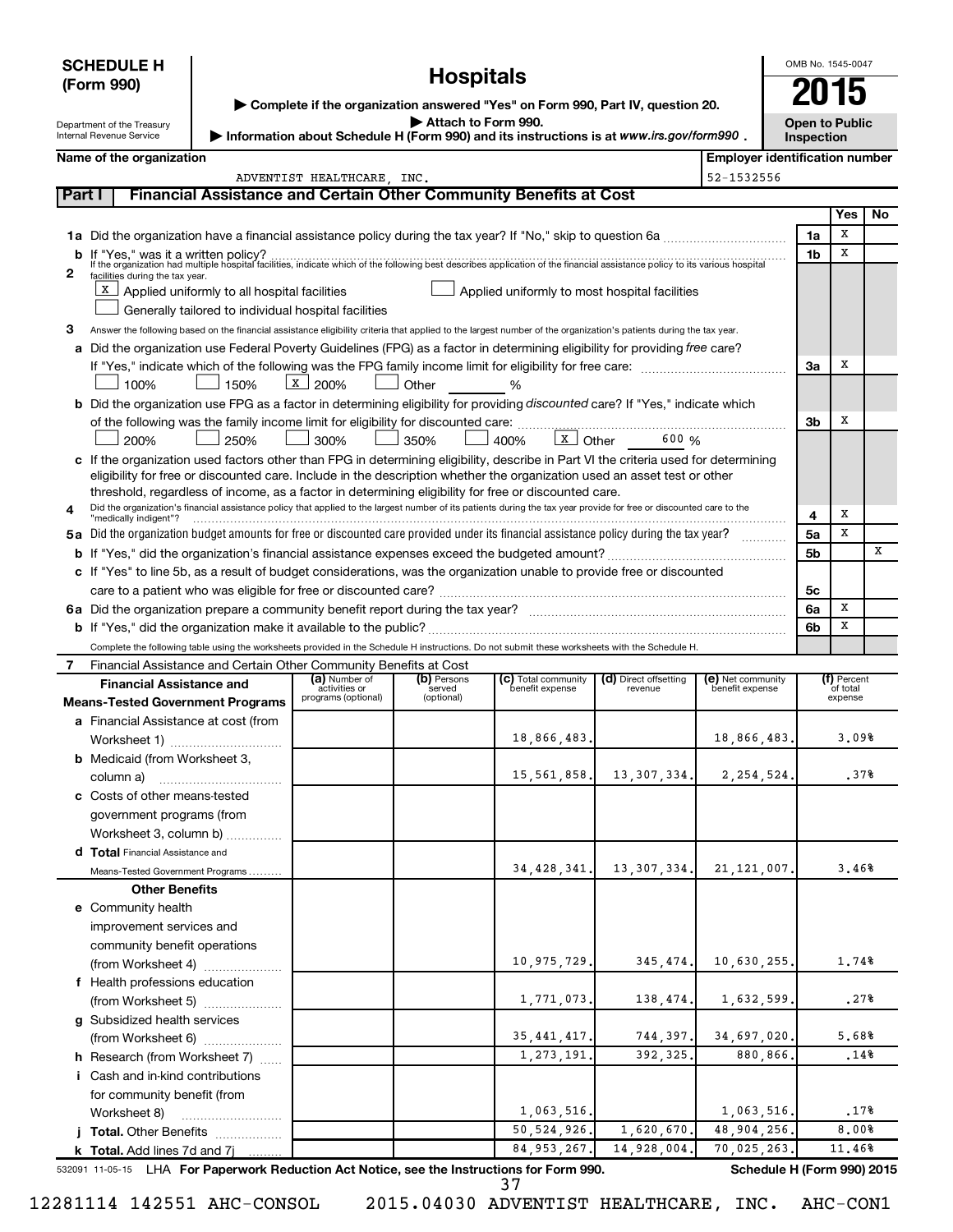|        | <b>SCHEDULE H</b>                                                                                                                                                                                                                                               |      |                                                      | <b>Hospitals</b>      |                                                                                                                                                |                                    |                                       | OMB No. 1545-0047                   |                         |      |
|--------|-----------------------------------------------------------------------------------------------------------------------------------------------------------------------------------------------------------------------------------------------------------------|------|------------------------------------------------------|-----------------------|------------------------------------------------------------------------------------------------------------------------------------------------|------------------------------------|---------------------------------------|-------------------------------------|-------------------------|------|
|        | (Form 990)                                                                                                                                                                                                                                                      |      |                                                      |                       |                                                                                                                                                |                                    |                                       | 2015                                |                         |      |
|        |                                                                                                                                                                                                                                                                 |      |                                                      |                       | ▶ Complete if the organization answered "Yes" on Form 990, Part IV, question 20.                                                               |                                    |                                       |                                     |                         |      |
|        | Department of the Treasury<br>Internal Revenue Service                                                                                                                                                                                                          |      |                                                      | Attach to Form 990.   | A Information about Schedule H (Form 990) and its instructions is at www.irs.gov/form990.                                                      |                                    |                                       | <b>Open to Public</b><br>Inspection |                         |      |
|        | Name of the organization                                                                                                                                                                                                                                        |      |                                                      |                       |                                                                                                                                                |                                    | <b>Employer identification number</b> |                                     |                         |      |
|        |                                                                                                                                                                                                                                                                 |      | ADVENTIST HEALTHCARE, INC.                           |                       |                                                                                                                                                |                                    | 52-1532556                            |                                     |                         |      |
| Part I |                                                                                                                                                                                                                                                                 |      |                                                      |                       | Financial Assistance and Certain Other Community Benefits at Cost                                                                              |                                    |                                       |                                     |                         |      |
|        |                                                                                                                                                                                                                                                                 |      |                                                      |                       |                                                                                                                                                |                                    |                                       |                                     | Yes                     | No   |
|        |                                                                                                                                                                                                                                                                 |      |                                                      |                       |                                                                                                                                                |                                    |                                       | 1a                                  | х                       |      |
|        | b If "Yes," was it a written policy?<br>If the organization had multiple hospital facilities, indicate which of the following best describes application of the financial assistance policy to its various hospital                                             |      |                                                      |                       |                                                                                                                                                |                                    |                                       | 1b                                  | х                       |      |
| 2      | facilities during the tax year.                                                                                                                                                                                                                                 |      |                                                      |                       |                                                                                                                                                |                                    |                                       |                                     |                         |      |
|        | $X$ Applied uniformly to all hospital facilities                                                                                                                                                                                                                |      |                                                      |                       | Applied uniformly to most hospital facilities                                                                                                  |                                    |                                       |                                     |                         |      |
|        |                                                                                                                                                                                                                                                                 |      | Generally tailored to individual hospital facilities |                       |                                                                                                                                                |                                    |                                       |                                     |                         |      |
| З      | Answer the following based on the financial assistance eligibility criteria that applied to the largest number of the organization's patients during the tax year.                                                                                              |      |                                                      |                       |                                                                                                                                                |                                    |                                       |                                     |                         |      |
|        | a Did the organization use Federal Poverty Guidelines (FPG) as a factor in determining eligibility for providing free care?                                                                                                                                     |      |                                                      |                       |                                                                                                                                                |                                    |                                       |                                     |                         |      |
|        |                                                                                                                                                                                                                                                                 |      |                                                      |                       |                                                                                                                                                |                                    |                                       | За                                  | х                       |      |
|        | 100%                                                                                                                                                                                                                                                            | 150% | X   200%                                             | Other                 | %                                                                                                                                              |                                    |                                       |                                     |                         |      |
|        | b Did the organization use FPG as a factor in determining eligibility for providing discounted care? If "Yes," indicate which                                                                                                                                   |      |                                                      |                       |                                                                                                                                                |                                    |                                       |                                     |                         |      |
|        |                                                                                                                                                                                                                                                                 |      |                                                      |                       |                                                                                                                                                |                                    |                                       | Зb                                  | х                       |      |
|        | 200%                                                                                                                                                                                                                                                            | 250% | 300%                                                 | 350%                  | 400%                                                                                                                                           | 600 %<br>$\lfloor x \rfloor$ Other |                                       |                                     |                         |      |
|        | c If the organization used factors other than FPG in determining eligibility, describe in Part VI the criteria used for determining<br>eligibility for free or discounted care. Include in the description whether the organization used an asset test or other |      |                                                      |                       |                                                                                                                                                |                                    |                                       |                                     |                         |      |
|        | threshold, regardless of income, as a factor in determining eligibility for free or discounted care.                                                                                                                                                            |      |                                                      |                       |                                                                                                                                                |                                    |                                       |                                     |                         |      |
|        | Did the organization's financial assistance policy that applied to the largest number of its patients during the tax year provide for free or discounted care to the                                                                                            |      |                                                      |                       |                                                                                                                                                |                                    |                                       |                                     | х                       |      |
|        | "medically indigent"?<br>5a Did the organization budget amounts for free or discounted care provided under its financial assistance policy during the tax year?                                                                                                 |      |                                                      |                       |                                                                                                                                                |                                    |                                       | 4<br>5a                             | x                       |      |
|        |                                                                                                                                                                                                                                                                 |      |                                                      |                       |                                                                                                                                                |                                    | 1.1.1.1.1.1.1.1.1                     | 5b                                  |                         | x    |
|        | c If "Yes" to line 5b, as a result of budget considerations, was the organization unable to provide free or discounted                                                                                                                                          |      |                                                      |                       |                                                                                                                                                |                                    |                                       |                                     |                         |      |
|        |                                                                                                                                                                                                                                                                 |      |                                                      |                       |                                                                                                                                                |                                    |                                       | 5с                                  |                         |      |
|        |                                                                                                                                                                                                                                                                 |      |                                                      |                       |                                                                                                                                                |                                    |                                       | 6a                                  | x                       |      |
|        |                                                                                                                                                                                                                                                                 |      |                                                      |                       |                                                                                                                                                |                                    |                                       | 6b                                  | х                       |      |
|        |                                                                                                                                                                                                                                                                 |      |                                                      |                       | Complete the following table using the worksheets provided in the Schedule H instructions. Do not submit these worksheets with the Schedule H. |                                    |                                       |                                     |                         |      |
| 7      | Financial Assistance and Certain Other Community Benefits at Cost                                                                                                                                                                                               |      |                                                      |                       |                                                                                                                                                |                                    |                                       |                                     |                         |      |
|        | <b>Financial Assistance and</b>                                                                                                                                                                                                                                 |      | (a) Number of<br>activities or                       | (b) Persons<br>served | (c) Total community<br>benefit expense                                                                                                         | (d) Direct offsetting<br>revenue   | (e) Net community<br>benefit expense  |                                     | (f) Percent<br>of total |      |
|        | <b>Means-Tested Government Programs</b>                                                                                                                                                                                                                         |      | programs (optional)                                  | (optional)            |                                                                                                                                                |                                    |                                       |                                     | expense                 |      |
|        | a Financial Assistance at cost (from                                                                                                                                                                                                                            |      |                                                      |                       |                                                                                                                                                |                                    |                                       |                                     |                         |      |
|        | Worksheet 1)                                                                                                                                                                                                                                                    |      |                                                      |                       | 18,866,483.                                                                                                                                    |                                    | 18,866,483.                           |                                     | 3.09%                   |      |
|        | <b>b</b> Medicaid (from Worksheet 3,                                                                                                                                                                                                                            |      |                                                      |                       |                                                                                                                                                |                                    |                                       |                                     |                         |      |
|        | column a)                                                                                                                                                                                                                                                       |      |                                                      |                       | 15, 561, 858.                                                                                                                                  | 13, 307, 334.                      | 2, 254, 524.                          |                                     |                         | .37% |
|        | c Costs of other means-tested                                                                                                                                                                                                                                   |      |                                                      |                       |                                                                                                                                                |                                    |                                       |                                     |                         |      |
|        | government programs (from                                                                                                                                                                                                                                       |      |                                                      |                       |                                                                                                                                                |                                    |                                       |                                     |                         |      |
|        | Worksheet 3, column b)                                                                                                                                                                                                                                          |      |                                                      |                       |                                                                                                                                                |                                    |                                       |                                     |                         |      |
|        | <b>d</b> Total Financial Assistance and                                                                                                                                                                                                                         |      |                                                      |                       |                                                                                                                                                | 13, 307, 334.                      | 21, 121, 007,                         |                                     | 3.46%                   |      |
|        | Means-Tested Government Programs                                                                                                                                                                                                                                |      |                                                      |                       | 34, 428, 341.                                                                                                                                  |                                    |                                       |                                     |                         |      |
|        | <b>Other Benefits</b><br>e Community health                                                                                                                                                                                                                     |      |                                                      |                       |                                                                                                                                                |                                    |                                       |                                     |                         |      |
|        | improvement services and                                                                                                                                                                                                                                        |      |                                                      |                       |                                                                                                                                                |                                    |                                       |                                     |                         |      |
|        | community benefit operations                                                                                                                                                                                                                                    |      |                                                      |                       |                                                                                                                                                |                                    |                                       |                                     |                         |      |
|        | (from Worksheet 4)                                                                                                                                                                                                                                              |      |                                                      |                       | 10,975,729.                                                                                                                                    | 345, 474.                          | 10,630,255                            |                                     | 1.74%                   |      |
|        | f Health professions education                                                                                                                                                                                                                                  |      |                                                      |                       |                                                                                                                                                |                                    |                                       |                                     |                         |      |
|        | (from Worksheet 5)                                                                                                                                                                                                                                              |      |                                                      |                       | 1,771,073.                                                                                                                                     | 138, 474.                          | 1,632,599                             |                                     | .27%                    |      |
|        | g Subsidized health services                                                                                                                                                                                                                                    |      |                                                      |                       |                                                                                                                                                |                                    |                                       |                                     |                         |      |
|        | (from Worksheet 6)                                                                                                                                                                                                                                              |      |                                                      |                       | 35, 441, 417.                                                                                                                                  | 744,397.                           | 34,697,020                            |                                     | 5.68%                   |      |
|        | h Research (from Worksheet 7)                                                                                                                                                                                                                                   |      |                                                      |                       | 1,273,191.                                                                                                                                     | 392, 325.                          | 880,866                               |                                     | .14%                    |      |
|        | i Cash and in-kind contributions                                                                                                                                                                                                                                |      |                                                      |                       |                                                                                                                                                |                                    |                                       |                                     |                         |      |
|        | for community benefit (from                                                                                                                                                                                                                                     |      |                                                      |                       |                                                                                                                                                |                                    |                                       |                                     |                         |      |
|        | Worksheet 8)                                                                                                                                                                                                                                                    |      |                                                      |                       | 1,063,516.                                                                                                                                     |                                    | 1,063,516.                            |                                     | .17%                    |      |
|        | j Total. Other Benefits                                                                                                                                                                                                                                         |      |                                                      |                       | 50, 524, 926.                                                                                                                                  | 1,620,670.                         | 48,904,256                            |                                     | 8,00%                   |      |
|        | <b>k</b> Total. Add lines 7d and $7j$                                                                                                                                                                                                                           |      |                                                      |                       | 84, 953, 267.                                                                                                                                  | 14,928,004.                        | 70,025,263.                           |                                     | 11.46%                  |      |

532091 11-05-15 LHA For Paperwork Reduction Act Notice, see the Instructions for Form 990. Schedule H (Form 990) 2015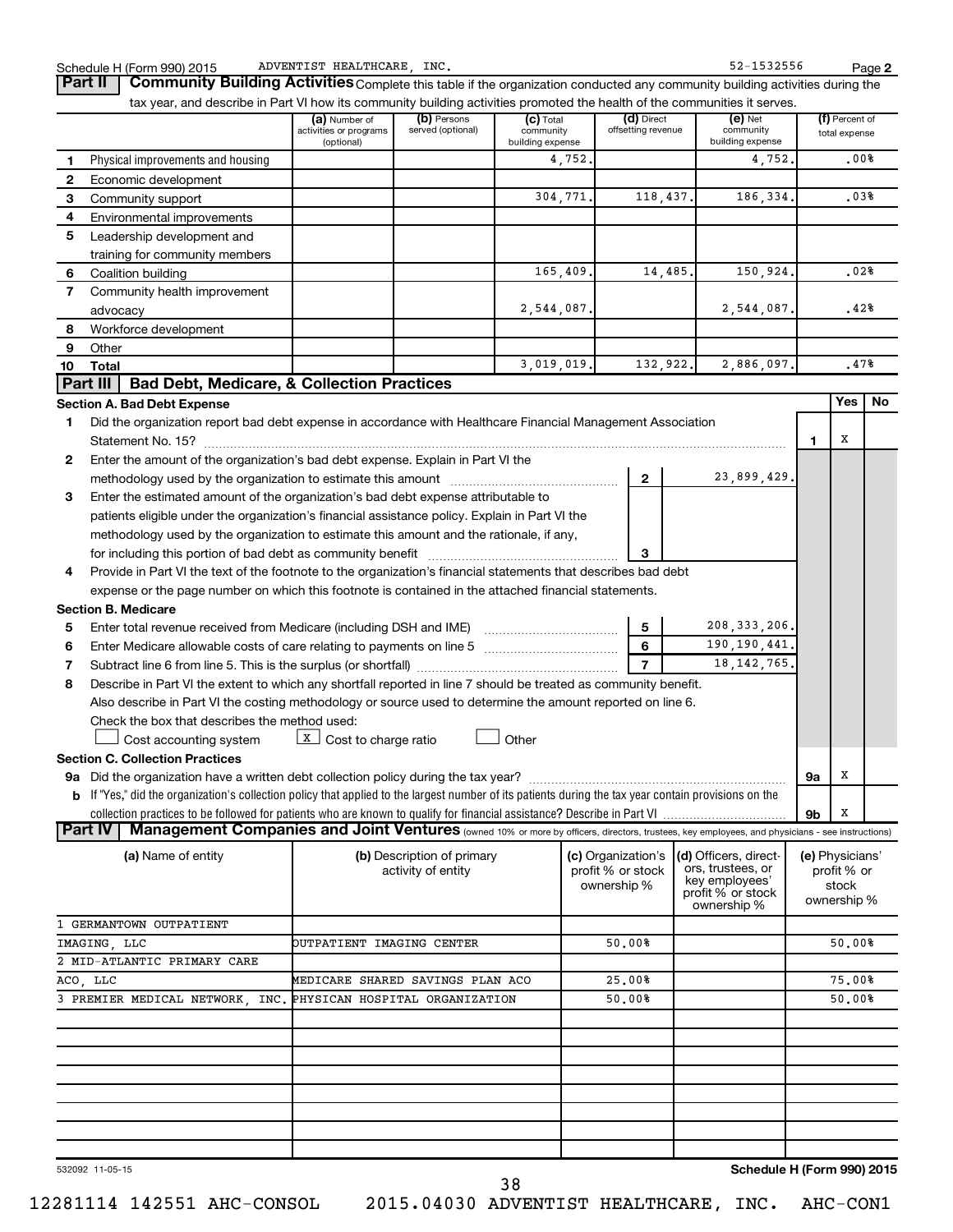**2**

**(a)** Number of **(b)** Persons **(c)** Total **(d)** Direct **(e)** Net **(f)** Percent of activities or programs served (optional) community offsetting revenue community total expense total expense **Part II** | Community Building Activities Complete this table if the organization conducted any community building activities during the tax year, and describe in Part VI how its community building activities promoted the health of the communities it serves.

|              |                                                                                                                                                                         | activities or programs<br>(optional) | served (optional)                                | community<br>building expense |                                         | offsetting revenue           | community<br>building expense                     |    | total expense                  |    |
|--------------|-------------------------------------------------------------------------------------------------------------------------------------------------------------------------|--------------------------------------|--------------------------------------------------|-------------------------------|-----------------------------------------|------------------------------|---------------------------------------------------|----|--------------------------------|----|
| 1            | Physical improvements and housing                                                                                                                                       |                                      |                                                  | 4,752.                        |                                         |                              | 4,752.                                            |    | .00%                           |    |
| $\mathbf{2}$ | Economic development                                                                                                                                                    |                                      |                                                  |                               |                                         |                              |                                                   |    |                                |    |
| 3            | Community support                                                                                                                                                       |                                      |                                                  | 304,771.                      |                                         | 118,437.                     | 186,334.                                          |    | .03%                           |    |
| 4            | Environmental improvements                                                                                                                                              |                                      |                                                  |                               |                                         |                              |                                                   |    |                                |    |
| 5            | Leadership development and                                                                                                                                              |                                      |                                                  |                               |                                         |                              |                                                   |    |                                |    |
|              | training for community members                                                                                                                                          |                                      |                                                  |                               |                                         |                              |                                                   |    |                                |    |
| 6            | Coalition building                                                                                                                                                      |                                      |                                                  | 165, 409.                     |                                         | 14,485.                      | 150,924.                                          |    | .02%                           |    |
| 7            | Community health improvement                                                                                                                                            |                                      |                                                  |                               |                                         |                              |                                                   |    |                                |    |
|              | advocacy                                                                                                                                                                |                                      |                                                  | 2,544,087.                    |                                         |                              | 2,544,087.                                        |    | .42%                           |    |
| 8            | Workforce development                                                                                                                                                   |                                      |                                                  |                               |                                         |                              |                                                   |    |                                |    |
| 9            | Other                                                                                                                                                                   |                                      |                                                  |                               |                                         |                              |                                                   |    |                                |    |
| 10           | <b>Total</b>                                                                                                                                                            |                                      |                                                  | 3,019,019.                    |                                         | 132,922.                     | 2,886,097.                                        |    | .47%                           |    |
|              | Part III<br><b>Bad Debt, Medicare, &amp; Collection Practices</b>                                                                                                       |                                      |                                                  |                               |                                         |                              |                                                   |    |                                |    |
|              | <b>Section A. Bad Debt Expense</b>                                                                                                                                      |                                      |                                                  |                               |                                         |                              |                                                   |    | Yes                            | No |
| 1            | Did the organization report bad debt expense in accordance with Healthcare Financial Management Association                                                             |                                      |                                                  |                               |                                         |                              |                                                   |    |                                |    |
|              |                                                                                                                                                                         |                                      |                                                  |                               |                                         |                              |                                                   | 1  | Х                              |    |
| 2            | Enter the amount of the organization's bad debt expense. Explain in Part VI the                                                                                         |                                      |                                                  |                               |                                         |                              |                                                   |    |                                |    |
|              | methodology used by the organization to estimate this amount mathematic mathematic methodology used by the organization to estimate this amount                         |                                      |                                                  |                               |                                         | $\mathbf{2}$                 | 23,899,429.                                       |    |                                |    |
| 3            | Enter the estimated amount of the organization's bad debt expense attributable to                                                                                       |                                      |                                                  |                               |                                         |                              |                                                   |    |                                |    |
|              | patients eligible under the organization's financial assistance policy. Explain in Part VI the                                                                          |                                      |                                                  |                               |                                         |                              |                                                   |    |                                |    |
|              | methodology used by the organization to estimate this amount and the rationale, if any,                                                                                 |                                      |                                                  |                               |                                         |                              |                                                   |    |                                |    |
|              | for including this portion of bad debt as community benefit [111] [12] [13] [13] [14] [15] [15] [15] [15] [15]                                                          |                                      |                                                  |                               |                                         | 3                            |                                                   |    |                                |    |
| 4            | Provide in Part VI the text of the footnote to the organization's financial statements that describes bad debt                                                          |                                      |                                                  |                               |                                         |                              |                                                   |    |                                |    |
|              | expense or the page number on which this footnote is contained in the attached financial statements.                                                                    |                                      |                                                  |                               |                                         |                              |                                                   |    |                                |    |
|              | <b>Section B. Medicare</b>                                                                                                                                              |                                      |                                                  |                               |                                         |                              | 208, 333, 206.                                    |    |                                |    |
| 5            | Enter total revenue received from Medicare (including DSH and IME) [111] [12] [13] [13] [13] [13] Enter total revenue metal of the UKI and IME]                         |                                      |                                                  |                               |                                         | $\sqrt{5}$<br>$\overline{6}$ | 190, 190, 441.                                    |    |                                |    |
| 6            |                                                                                                                                                                         |                                      |                                                  |                               |                                         | $\overline{7}$               |                                                   |    |                                |    |
| 7            |                                                                                                                                                                         |                                      |                                                  |                               |                                         |                              | 18, 142, 765.                                     |    |                                |    |
| 8            | Describe in Part VI the extent to which any shortfall reported in line 7 should be treated as community benefit.                                                        |                                      |                                                  |                               |                                         |                              |                                                   |    |                                |    |
|              | Also describe in Part VI the costing methodology or source used to determine the amount reported on line 6.                                                             |                                      |                                                  |                               |                                         |                              |                                                   |    |                                |    |
|              | Check the box that describes the method used:                                                                                                                           |                                      |                                                  | Other                         |                                         |                              |                                                   |    |                                |    |
|              | Cost accounting system                                                                                                                                                  | $X$ Cost to charge ratio             |                                                  |                               |                                         |                              |                                                   |    |                                |    |
|              | <b>Section C. Collection Practices</b>                                                                                                                                  |                                      |                                                  |                               |                                         |                              |                                                   |    | х                              |    |
|              | <b>b</b> If "Yes," did the organization's collection policy that applied to the largest number of its patients during the tax year contain provisions on the            |                                      |                                                  |                               |                                         |                              |                                                   | 9а |                                |    |
|              |                                                                                                                                                                         |                                      |                                                  |                               |                                         |                              |                                                   | 9b | Х                              |    |
|              | <b>Part IV</b><br><b>Management Companies and Joint Ventures</b> (owned 10% or more by officers, directors, trustees, key employees, and physicians - see instructions) |                                      |                                                  |                               |                                         |                              |                                                   |    |                                |    |
|              |                                                                                                                                                                         |                                      |                                                  |                               |                                         |                              |                                                   |    |                                |    |
|              | (a) Name of entity                                                                                                                                                      |                                      | (b) Description of primary<br>activity of entity |                               | (c) Organization's<br>profit % or stock |                              | <b>(d)</b> Officers, direct-<br>ors, trustees, or |    | (e) Physicians'<br>profit % or |    |
|              |                                                                                                                                                                         |                                      |                                                  |                               | ownership %                             |                              | key employees'                                    |    | stock                          |    |
|              |                                                                                                                                                                         |                                      |                                                  |                               |                                         |                              | profit % or stock<br>ownership %                  |    | ownership %                    |    |
|              | 1 GERMANTOWN OUTPATIENT                                                                                                                                                 |                                      |                                                  |                               |                                         |                              |                                                   |    |                                |    |
|              | IMAGING, LLC                                                                                                                                                            | OUTPATIENT IMAGING CENTER            |                                                  |                               |                                         | 50,00%                       |                                                   |    | 50,00%                         |    |
|              | 2 MID-ATLANTIC PRIMARY CARE                                                                                                                                             |                                      |                                                  |                               |                                         |                              |                                                   |    |                                |    |
|              | ACO, LLC                                                                                                                                                                | MEDICARE SHARED SAVINGS PLAN ACO     |                                                  |                               |                                         | 25,00%                       |                                                   |    | 75.00%                         |    |
|              | 3 PREMIER MEDICAL NETWORK INC.                                                                                                                                          | PHYSICAN HOSPITAL ORGANIZATION       |                                                  |                               |                                         | 50,00%                       |                                                   |    | 50,00%                         |    |
|              |                                                                                                                                                                         |                                      |                                                  |                               |                                         |                              |                                                   |    |                                |    |
|              |                                                                                                                                                                         |                                      |                                                  |                               |                                         |                              |                                                   |    |                                |    |
|              |                                                                                                                                                                         |                                      |                                                  |                               |                                         |                              |                                                   |    |                                |    |
|              |                                                                                                                                                                         |                                      |                                                  |                               |                                         |                              |                                                   |    |                                |    |
|              |                                                                                                                                                                         |                                      |                                                  |                               |                                         |                              |                                                   |    |                                |    |
|              |                                                                                                                                                                         |                                      |                                                  |                               |                                         |                              |                                                   |    |                                |    |
|              |                                                                                                                                                                         |                                      |                                                  |                               |                                         |                              |                                                   |    |                                |    |
|              |                                                                                                                                                                         |                                      |                                                  |                               |                                         |                              |                                                   |    |                                |    |

532092 11-05-15

12281114 142551 AHC-CONSOL 2015.04030 ADVENTIST HEALTHCARE, INC. AHC-CON1

**Schedule H (Form 990) 2015**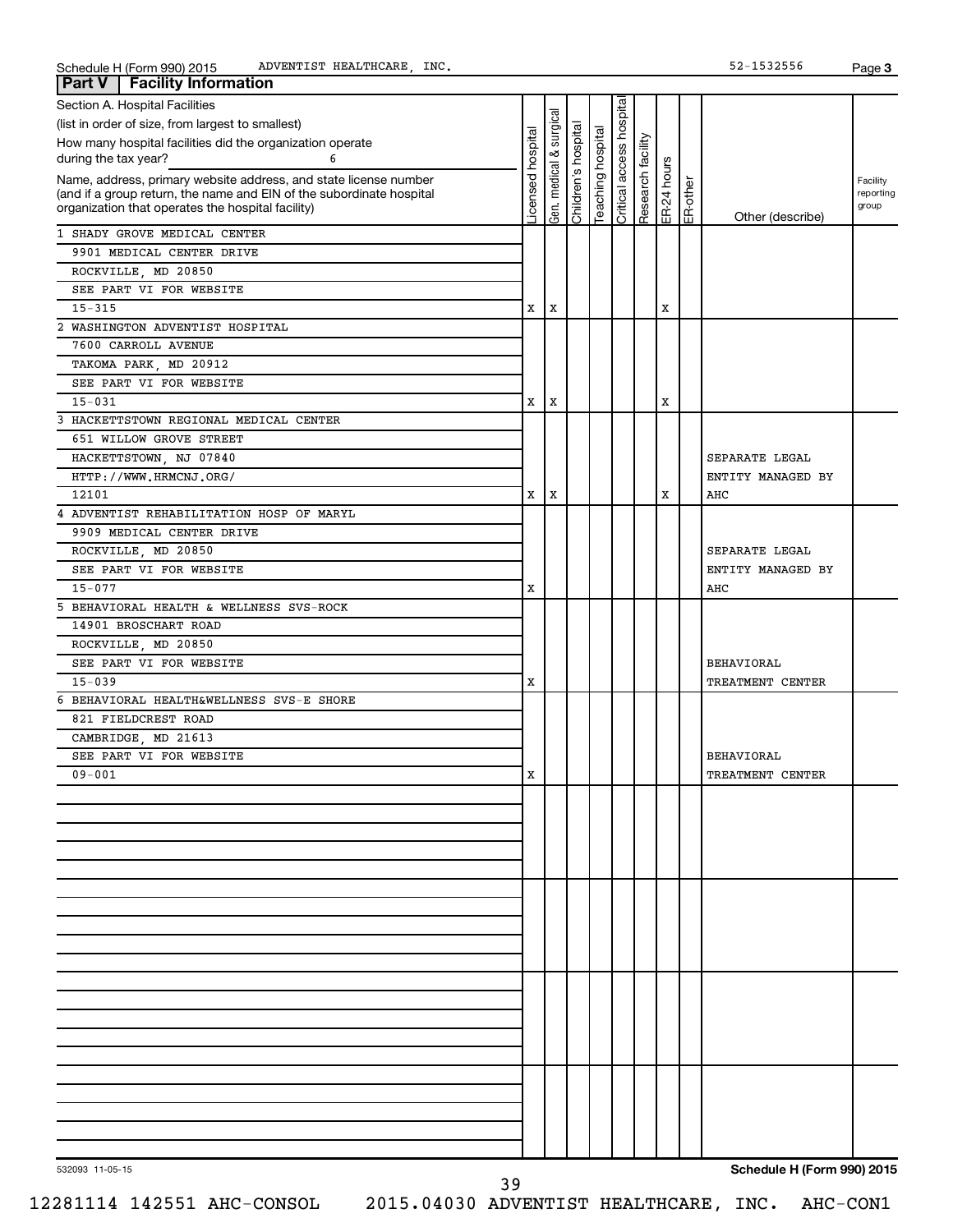| ADVENTIST HEALTHCARE, INC.<br>Schedule H (Form 990) 2015             |                  |                         |                     |                                               |                                  |   |          | 52-1532556                 | Page 3    |
|----------------------------------------------------------------------|------------------|-------------------------|---------------------|-----------------------------------------------|----------------------------------|---|----------|----------------------------|-----------|
| <b>Facility Information</b><br><b>Part V</b>                         |                  |                         |                     |                                               |                                  |   |          |                            |           |
| Section A. Hospital Facilities                                       |                  |                         |                     | Teaching hospital<br>Critical access hospital |                                  |   |          |                            |           |
| (list in order of size, from largest to smallest)                    |                  |                         |                     |                                               |                                  |   |          |                            |           |
|                                                                      |                  | Gen. medical & surgical | Children's hospital |                                               |                                  |   |          |                            |           |
| How many hospital facilities did the organization operate            | icensed hospital |                         |                     |                                               | Research facility<br>ER-24 hours |   |          |                            |           |
| during the tax year?<br>6                                            |                  |                         |                     |                                               |                                  |   |          |                            |           |
| Name, address, primary website address, and state license number     |                  |                         |                     |                                               |                                  |   |          |                            | Facility  |
| (and if a group return, the name and EIN of the subordinate hospital |                  |                         |                     |                                               |                                  |   |          |                            | reporting |
| organization that operates the hospital facility)                    |                  |                         |                     |                                               |                                  |   | ER-other | Other (describe)           | group     |
| 1 SHADY GROVE MEDICAL CENTER                                         |                  |                         |                     |                                               |                                  |   |          |                            |           |
| 9901 MEDICAL CENTER DRIVE                                            |                  |                         |                     |                                               |                                  |   |          |                            |           |
| ROCKVILLE, MD 20850                                                  |                  |                         |                     |                                               |                                  |   |          |                            |           |
|                                                                      |                  |                         |                     |                                               |                                  |   |          |                            |           |
| SEE PART VI FOR WEBSITE                                              |                  |                         |                     |                                               |                                  |   |          |                            |           |
| $15 - 315$                                                           | x                | x                       |                     |                                               |                                  | х |          |                            |           |
| 2 WASHINGTON ADVENTIST HOSPITAL                                      |                  |                         |                     |                                               |                                  |   |          |                            |           |
| 7600 CARROLL AVENUE                                                  |                  |                         |                     |                                               |                                  |   |          |                            |           |
| TAKOMA PARK, MD 20912                                                |                  |                         |                     |                                               |                                  |   |          |                            |           |
| SEE PART VI FOR WEBSITE                                              |                  |                         |                     |                                               |                                  |   |          |                            |           |
| $15 - 031$                                                           | х                | x                       |                     |                                               |                                  | х |          |                            |           |
| 3 HACKETTSTOWN REGIONAL MEDICAL CENTER                               |                  |                         |                     |                                               |                                  |   |          |                            |           |
|                                                                      |                  |                         |                     |                                               |                                  |   |          |                            |           |
| 651 WILLOW GROVE STREET                                              |                  |                         |                     |                                               |                                  |   |          |                            |           |
| HACKETTSTOWN, NJ 07840                                               |                  |                         |                     |                                               |                                  |   |          | SEPARATE LEGAL             |           |
| HTTP://WWW.HRMCNJ.ORG/                                               |                  |                         |                     |                                               |                                  |   |          | ENTITY MANAGED BY          |           |
| 12101                                                                | x                | x                       |                     |                                               |                                  | X |          | AHC                        |           |
| 4 ADVENTIST REHABILITATION HOSP OF MARYL                             |                  |                         |                     |                                               |                                  |   |          |                            |           |
| 9909 MEDICAL CENTER DRIVE                                            |                  |                         |                     |                                               |                                  |   |          |                            |           |
| ROCKVILLE, MD 20850                                                  |                  |                         |                     |                                               |                                  |   |          | SEPARATE LEGAL             |           |
|                                                                      |                  |                         |                     |                                               |                                  |   |          |                            |           |
| SEE PART VI FOR WEBSITE                                              |                  |                         |                     |                                               |                                  |   |          | ENTITY MANAGED BY          |           |
| $15 - 077$                                                           | X                |                         |                     |                                               |                                  |   |          | AHC                        |           |
| 5 BEHAVIORAL HEALTH & WELLNESS SVS-ROCK                              |                  |                         |                     |                                               |                                  |   |          |                            |           |
| 14901 BROSCHART ROAD                                                 |                  |                         |                     |                                               |                                  |   |          |                            |           |
| ROCKVILLE, MD 20850                                                  |                  |                         |                     |                                               |                                  |   |          |                            |           |
| SEE PART VI FOR WEBSITE                                              |                  |                         |                     |                                               |                                  |   |          | BEHAVIORAL                 |           |
| $15 - 039$                                                           | X                |                         |                     |                                               |                                  |   |          | TREATMENT CENTER           |           |
| 6 BEHAVIORAL HEALTH&WELLNESS SVS-E SHORE                             |                  |                         |                     |                                               |                                  |   |          |                            |           |
|                                                                      |                  |                         |                     |                                               |                                  |   |          |                            |           |
| 821 FIELDCREST ROAD                                                  |                  |                         |                     |                                               |                                  |   |          |                            |           |
| CAMBRIDGE, MD 21613                                                  |                  |                         |                     |                                               |                                  |   |          |                            |           |
| SEE PART VI FOR WEBSITE                                              |                  |                         |                     |                                               |                                  |   |          | <b>BEHAVIORAL</b>          |           |
| $09 - 001$                                                           | X                |                         |                     |                                               |                                  |   |          | TREATMENT CENTER           |           |
|                                                                      |                  |                         |                     |                                               |                                  |   |          |                            |           |
|                                                                      |                  |                         |                     |                                               |                                  |   |          |                            |           |
|                                                                      |                  |                         |                     |                                               |                                  |   |          |                            |           |
|                                                                      |                  |                         |                     |                                               |                                  |   |          |                            |           |
|                                                                      |                  |                         |                     |                                               |                                  |   |          |                            |           |
|                                                                      |                  |                         |                     |                                               |                                  |   |          |                            |           |
|                                                                      |                  |                         |                     |                                               |                                  |   |          |                            |           |
|                                                                      |                  |                         |                     |                                               |                                  |   |          |                            |           |
|                                                                      |                  |                         |                     |                                               |                                  |   |          |                            |           |
|                                                                      |                  |                         |                     |                                               |                                  |   |          |                            |           |
|                                                                      |                  |                         |                     |                                               |                                  |   |          |                            |           |
|                                                                      |                  |                         |                     |                                               |                                  |   |          |                            |           |
|                                                                      |                  |                         |                     |                                               |                                  |   |          |                            |           |
|                                                                      |                  |                         |                     |                                               |                                  |   |          |                            |           |
|                                                                      |                  |                         |                     |                                               |                                  |   |          |                            |           |
|                                                                      |                  |                         |                     |                                               |                                  |   |          |                            |           |
|                                                                      |                  |                         |                     |                                               |                                  |   |          |                            |           |
|                                                                      |                  |                         |                     |                                               |                                  |   |          |                            |           |
|                                                                      |                  |                         |                     |                                               |                                  |   |          |                            |           |
|                                                                      |                  |                         |                     |                                               |                                  |   |          |                            |           |
|                                                                      |                  |                         |                     |                                               |                                  |   |          |                            |           |
|                                                                      |                  |                         |                     |                                               |                                  |   |          |                            |           |
|                                                                      |                  |                         |                     |                                               |                                  |   |          |                            |           |
| 532093 11-05-15                                                      |                  |                         |                     |                                               |                                  |   |          | Schedule H (Form 990) 2015 |           |

12281114 142551 AHC-CONSOL 2015.04030 ADVENTIST HEALTHCARE, INC. AHC-CON1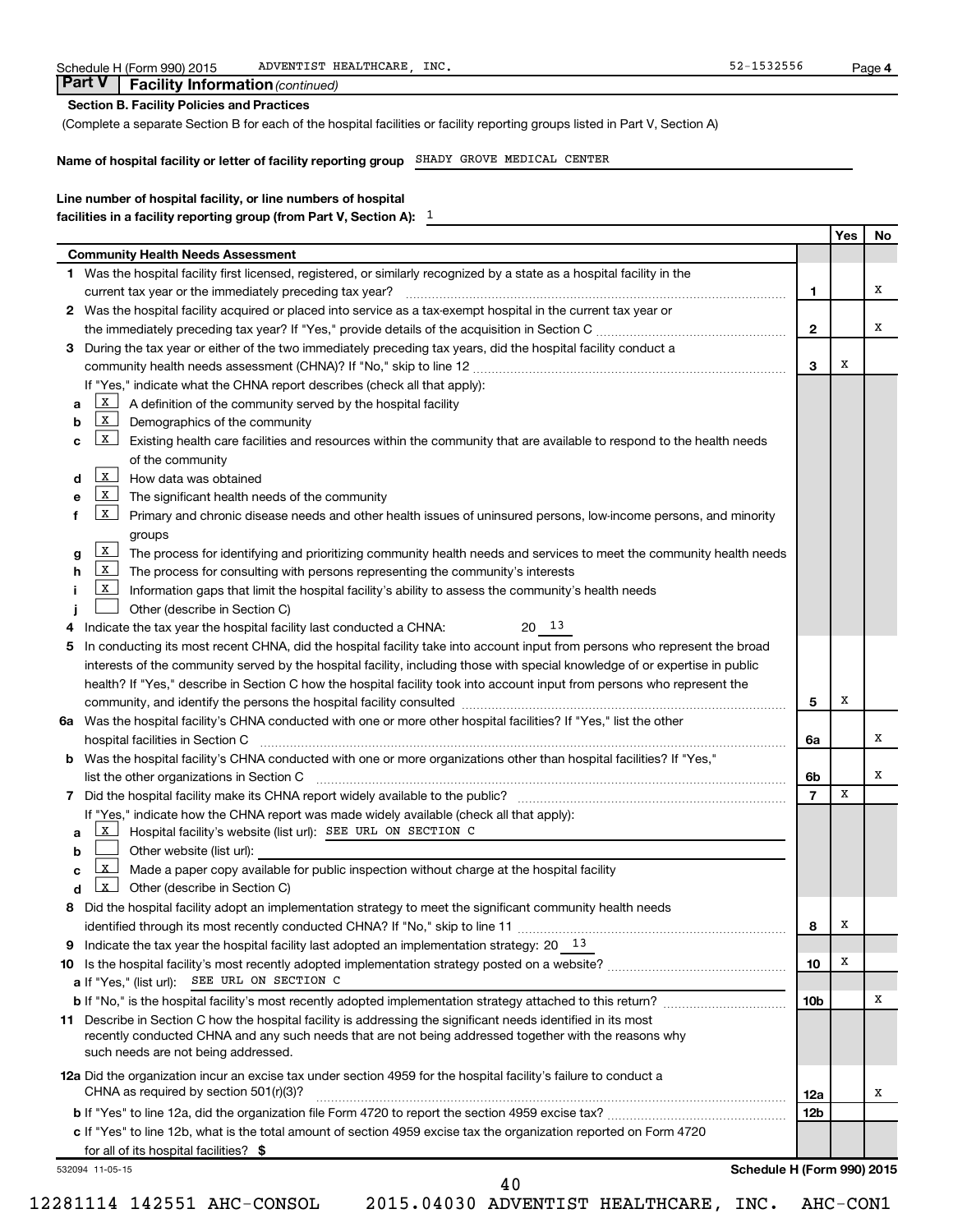|  |  | Part V   Facility Information (continued) |  |
|--|--|-------------------------------------------|--|
|--|--|-------------------------------------------|--|

#### **Section B. Facility Policies and Practices**

(Complete a separate Section B for each of the hospital facilities or facility reporting groups listed in Part V, Section A)

**Name of hospital facility or letter of facility reporting group** SHADY GROVE MEDICAL CENTER

### **Line number of hospital facility, or line numbers of hospital**

**facilities in a facility reporting group (from Part V, Section A):** 1

|        |                                                                                                                                      |                | Yes | No |
|--------|--------------------------------------------------------------------------------------------------------------------------------------|----------------|-----|----|
|        | <b>Community Health Needs Assessment</b>                                                                                             |                |     |    |
|        | 1 Was the hospital facility first licensed, registered, or similarly recognized by a state as a hospital facility in the             |                |     |    |
|        | current tax year or the immediately preceding tax year?                                                                              | 1              |     | х  |
|        | 2 Was the hospital facility acquired or placed into service as a tax-exempt hospital in the current tax year or                      |                |     |    |
|        |                                                                                                                                      | $\mathbf{2}$   |     | х  |
| З      | During the tax year or either of the two immediately preceding tax years, did the hospital facility conduct a                        |                |     |    |
|        |                                                                                                                                      | 3              | Х   |    |
|        | If "Yes," indicate what the CHNA report describes (check all that apply):                                                            |                |     |    |
| a      | $\mathbf{X}$<br>A definition of the community served by the hospital facility                                                        |                |     |    |
| b      | $\mathbf{X}$<br>Demographics of the community                                                                                        |                |     |    |
| с      | $\mathbf{X}$<br>Existing health care facilities and resources within the community that are available to respond to the health needs |                |     |    |
|        | of the community                                                                                                                     |                |     |    |
| d      | $\mathbf{x}$<br>How data was obtained                                                                                                |                |     |    |
| е      | $\mathbf{X}$<br>The significant health needs of the community                                                                        |                |     |    |
| f      | $\mathbf{X}$<br>Primary and chronic disease needs and other health issues of uninsured persons, low-income persons, and minority     |                |     |    |
|        | groups                                                                                                                               |                |     |    |
|        | $\mathbf{X}$<br>The process for identifying and prioritizing community health needs and services to meet the community health needs  |                |     |    |
| g      | $\mathbf{X}$<br>The process for consulting with persons representing the community's interests                                       |                |     |    |
| h<br>Ť | $\mathbf{X}$                                                                                                                         |                |     |    |
|        | Information gaps that limit the hospital facility's ability to assess the community's health needs                                   |                |     |    |
|        | Other (describe in Section C)                                                                                                        |                |     |    |
|        | 20 13<br>Indicate the tax year the hospital facility last conducted a CHNA:                                                          |                |     |    |
| 5      | In conducting its most recent CHNA, did the hospital facility take into account input from persons who represent the broad           |                |     |    |
|        | interests of the community served by the hospital facility, including those with special knowledge of or expertise in public         |                |     |    |
|        | health? If "Yes," describe in Section C how the hospital facility took into account input from persons who represent the             |                |     |    |
|        |                                                                                                                                      | 5              | х   |    |
|        | 6a Was the hospital facility's CHNA conducted with one or more other hospital facilities? If "Yes," list the other                   |                |     |    |
|        | hospital facilities in Section C                                                                                                     | 6a             |     | х  |
| b      | Was the hospital facility's CHNA conducted with one or more organizations other than hospital facilities? If "Yes,"                  |                |     |    |
|        | list the other organizations in Section C                                                                                            | 6b             |     | х  |
| 7      |                                                                                                                                      | $\overline{7}$ | х   |    |
|        | If "Yes," indicate how the CHNA report was made widely available (check all that apply):                                             |                |     |    |
| a      | $\mathbf{X}$<br>Hospital facility's website (list url): SEE URL ON SECTION C                                                         |                |     |    |
| b      | Other website (list url):                                                                                                            |                |     |    |
| c      | $\lfloor x \rfloor$<br>Made a paper copy available for public inspection without charge at the hospital facility                     |                |     |    |
| d      | $\lfloor x \rfloor$<br>Other (describe in Section C)                                                                                 |                |     |    |
|        | 8 Did the hospital facility adopt an implementation strategy to meet the significant community health needs                          |                |     |    |
|        | identified through its most recently conducted CHNA? If "No," skip to line 11                                                        | 8              | х   |    |
|        | <b>9</b> Indicate the tax year the hospital facility last adopted an implementation strategy: $20 \quad 13$                          |                |     |    |
|        |                                                                                                                                      | 10             | X   |    |
|        | a If "Yes," (list url): SEE URL ON SECTION C                                                                                         |                |     |    |
|        |                                                                                                                                      | 10b            |     | х  |
|        | 11 Describe in Section C how the hospital facility is addressing the significant needs identified in its most                        |                |     |    |
|        | recently conducted CHNA and any such needs that are not being addressed together with the reasons why                                |                |     |    |
|        | such needs are not being addressed.                                                                                                  |                |     |    |
|        | 12a Did the organization incur an excise tax under section 4959 for the hospital facility's failure to conduct a                     |                |     |    |
|        | CHNA as required by section $501(r)(3)?$                                                                                             | 12a            |     | х  |
|        |                                                                                                                                      | 12b            |     |    |
|        | c If "Yes" to line 12b, what is the total amount of section 4959 excise tax the organization reported on Form 4720                   |                |     |    |
|        | for all of its hospital facilities? \$                                                                                               |                |     |    |
|        | Schedule H (Form 990) 2015<br>532094 11-05-15                                                                                        |                |     |    |

40

**Schedule H (Form 990) 2015**

12281114 142551 AHC-CONSOL 2015.04030 ADVENTIST HEALTHCARE, INC. AHC-CON1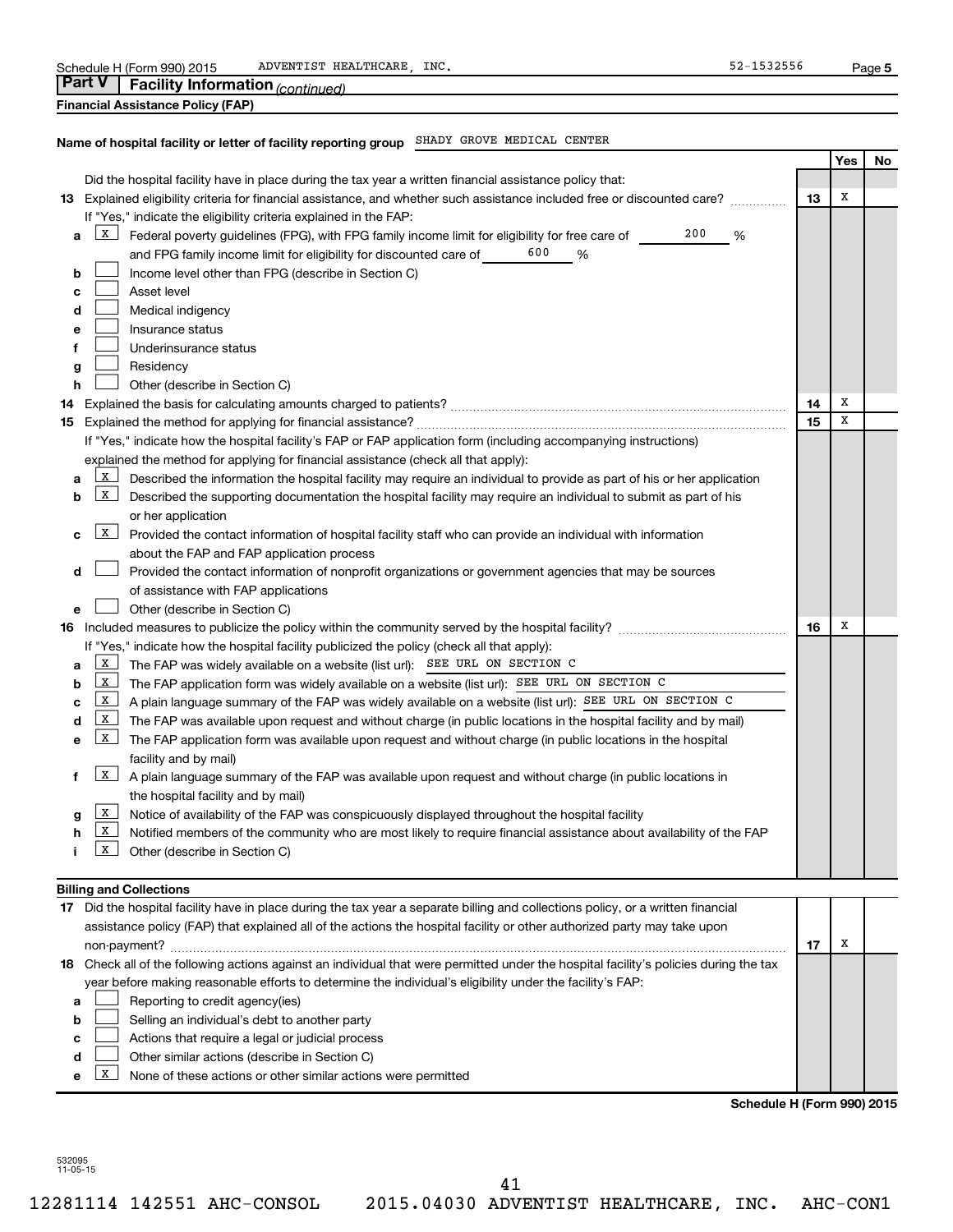| Schedule I<br>H (Form 990) 2015 |  | HEALTHCARE<br>ADVENTIST | INC | 1532556<br>$JZ^-$ | Page |  |
|---------------------------------|--|-------------------------|-----|-------------------|------|--|
|---------------------------------|--|-------------------------|-----|-------------------|------|--|

| ADV<br>mur<br>HEA.<br>sт<br>∴ N''<br>.AR L<br>____ | INC. | .<br>____ |
|----------------------------------------------------|------|-----------|
|                                                    |      |           |

**5**

| <b>Financial Assistance Policy (FAP)</b> |  |  |
|------------------------------------------|--|--|
|                                          |  |  |

**Part V Facility Information** *(continued)*

### **Name of hospital facility or letter of facility reporting group** SHADY GROVE MEDICAL CENTER

|    |                                                                                                                                       |    | Yes | No |
|----|---------------------------------------------------------------------------------------------------------------------------------------|----|-----|----|
|    | Did the hospital facility have in place during the tax year a written financial assistance policy that:                               |    |     |    |
| 13 | Explained eligibility criteria for financial assistance, and whether such assistance included free or discounted care?                | 13 | х   |    |
|    | If "Yes," indicate the eligibility criteria explained in the FAP:                                                                     |    |     |    |
| a  | 200<br>$\mathbf{X}$<br>Federal poverty guidelines (FPG), with FPG family income limit for eligibility for free care of<br>%           |    |     |    |
|    | 600<br>and FPG family income limit for eligibility for discounted care of<br>%                                                        |    |     |    |
| b  | Income level other than FPG (describe in Section C)                                                                                   |    |     |    |
| с  | Asset level                                                                                                                           |    |     |    |
| d  | Medical indigency                                                                                                                     |    |     |    |
| е  | Insurance status                                                                                                                      |    |     |    |
|    | Underinsurance status                                                                                                                 |    |     |    |
| g  | Residency                                                                                                                             |    |     |    |
| h  | Other (describe in Section C)                                                                                                         |    |     |    |
| 14 |                                                                                                                                       | 14 | х   |    |
| 15 |                                                                                                                                       | 15 | х   |    |
|    | If "Yes," indicate how the hospital facility's FAP or FAP application form (including accompanying instructions)                      |    |     |    |
|    | explained the method for applying for financial assistance (check all that apply):                                                    |    |     |    |
| a  | <u>X</u><br>Described the information the hospital facility may require an individual to provide as part of his or her application    |    |     |    |
| b  | $\mathbf{X}$<br>Described the supporting documentation the hospital facility may require an individual to submit as part of his       |    |     |    |
|    | or her application                                                                                                                    |    |     |    |
| с  | $\lfloor x \rfloor$<br>Provided the contact information of hospital facility staff who can provide an individual with information     |    |     |    |
|    | about the FAP and FAP application process                                                                                             |    |     |    |
| d  | Provided the contact information of nonprofit organizations or government agencies that may be sources                                |    |     |    |
|    | of assistance with FAP applications                                                                                                   |    |     |    |
| e  | Other (describe in Section C)                                                                                                         |    |     |    |
| 16 |                                                                                                                                       | 16 | х   |    |
|    | If "Yes," indicate how the hospital facility publicized the policy (check all that apply):                                            |    |     |    |
| a  | $\mathbf{X}$<br>The FAP was widely available on a website (list url): SEE URL ON SECTION C                                            |    |     |    |
| b  | The FAP application form was widely available on a website (list url): SEE URL ON SECTION C<br>$\mathbf{X}$                           |    |     |    |
| с  | A plain language summary of the FAP was widely available on a website (list url): SEE URL ON SECTION C<br>$\mathbf{X}$                |    |     |    |
| d  | $\mathbf{X}$<br>The FAP was available upon request and without charge (in public locations in the hospital facility and by mail)      |    |     |    |
| е  | $\mathbf{X}$<br>The FAP application form was available upon request and without charge (in public locations in the hospital           |    |     |    |
|    | facility and by mail)                                                                                                                 |    |     |    |
| f  | X<br>A plain language summary of the FAP was available upon request and without charge (in public locations in                        |    |     |    |
|    | the hospital facility and by mail)                                                                                                    |    |     |    |
| g  | $\mathbf{X}$<br>Notice of availability of the FAP was conspicuously displayed throughout the hospital facility                        |    |     |    |
| h  | $\mathbf{X}$<br>Notified members of the community who are most likely to require financial assistance about availability of the FAP   |    |     |    |
|    | $\boxed{\mathbf{X}}$ Other (describe in Section C)                                                                                    |    |     |    |
|    |                                                                                                                                       |    |     |    |
|    | <b>Billing and Collections</b>                                                                                                        |    |     |    |
|    | 17 Did the hospital facility have in place during the tax year a separate billing and collections policy, or a written financial      |    |     |    |
|    | assistance policy (FAP) that explained all of the actions the hospital facility or other authorized party may take upon               |    |     |    |
|    |                                                                                                                                       | 17 | X   |    |
|    | 18 Check all of the following actions against an individual that were permitted under the hospital facility's policies during the tax |    |     |    |
|    | year before making reasonable efforts to determine the individual's eligibility under the facility's FAP:                             |    |     |    |

**a** Reporting to credit agency(ies)  $\Box$ 

- **b** Selling an individual's debt to another party  $\Box$
- **c** Actions that require a legal or judicial process  $\Box$
- **d** Other similar actions (describe in Section C)  $\Box$
- **e**  $\boxed{\text{X}}$  None of these actions or other similar actions were permitted

**Schedule H (Form 990) 2015**

532095 11-05-15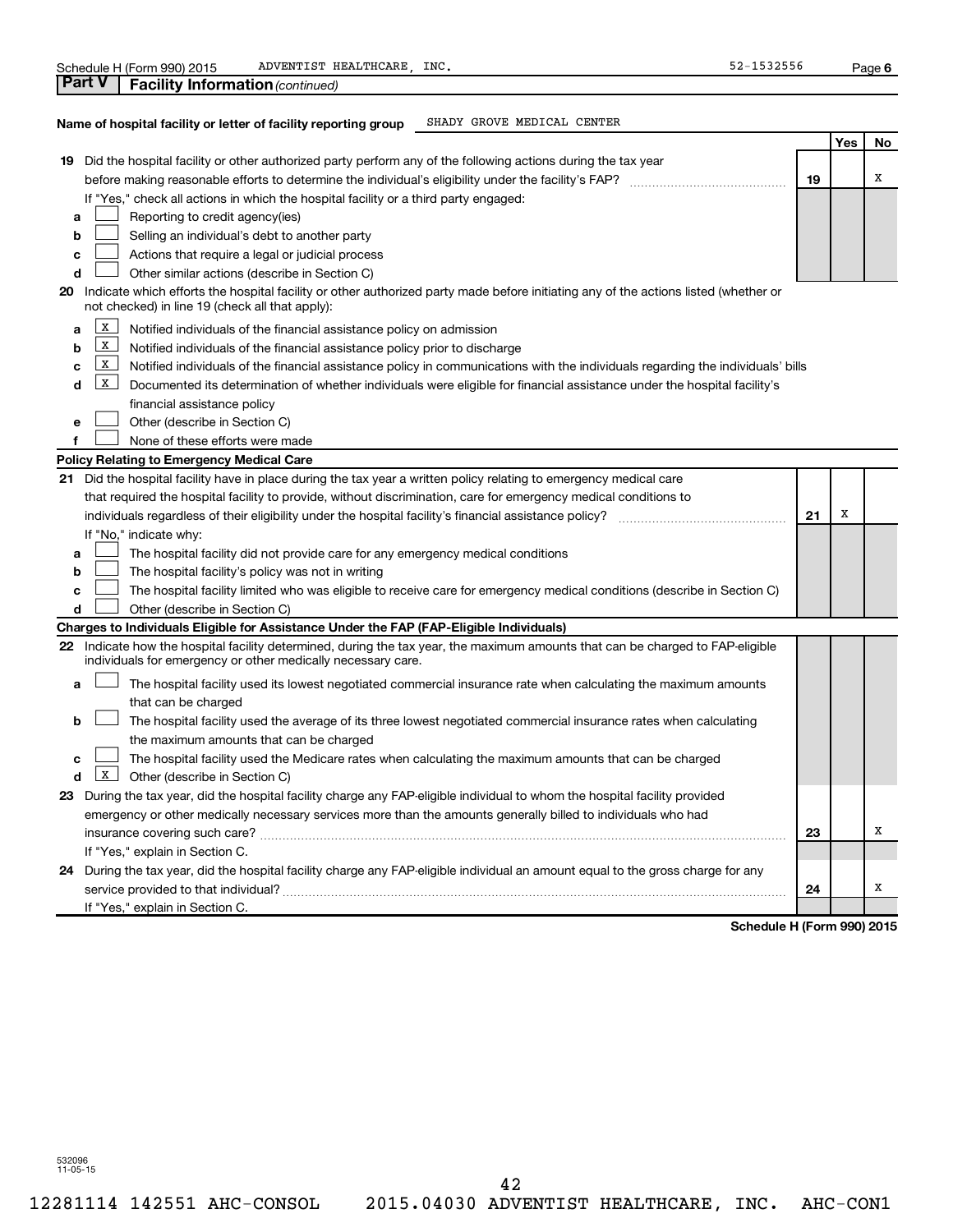Schedule H (Form 990) 2015 ADVENTIST HEALTHCARE, INC.<br> **Part V** | Facility Information (continued) ADVENTIST HEALTHCARE,

the maximum amounts that can be charged

 $\boxed{\textbf{X}}$  Other (describe in Section C)

If "Yes," explain in Section C.

If "Yes," explain in Section C.

**Name of hospital facility or letter of facility reporting group**

**Part V** | Facility Information (continued)

| 1532556 |  |
|---------|--|

**Yes No**

X

X

| 19  |   | Did the hospital facility or other authorized party perform any of the following actions during the tax year                                                                                |    |
|-----|---|---------------------------------------------------------------------------------------------------------------------------------------------------------------------------------------------|----|
|     |   | before making reasonable efforts to determine the individual's eligibility under the facility's FAP?                                                                                        | 19 |
|     |   | If "Yes," check all actions in which the hospital facility or a third party engaged:                                                                                                        |    |
| a   |   | Reporting to credit agency(ies)                                                                                                                                                             |    |
| b   |   | Selling an individual's debt to another party                                                                                                                                               |    |
| c   |   | Actions that require a legal or judicial process                                                                                                                                            |    |
| d   |   | Other similar actions (describe in Section C)                                                                                                                                               |    |
| 20  |   | Indicate which efforts the hospital facility or other authorized party made before initiating any of the actions listed (whether or<br>not checked) in line 19 (check all that apply):      |    |
| a   | X | Notified individuals of the financial assistance policy on admission                                                                                                                        |    |
| b   | X | Notified individuals of the financial assistance policy prior to discharge                                                                                                                  |    |
| c   | X | Notified individuals of the financial assistance policy in communications with the individuals regarding the individuals' bills                                                             |    |
| d   | X | Documented its determination of whether individuals were eligible for financial assistance under the hospital facility's                                                                    |    |
|     |   | financial assistance policy                                                                                                                                                                 |    |
| e   |   | Other (describe in Section C)                                                                                                                                                               |    |
|     |   | None of these efforts were made                                                                                                                                                             |    |
|     |   | Policy Relating to Emergency Medical Care                                                                                                                                                   |    |
| 21. |   | Did the hospital facility have in place during the tax year a written policy relating to emergency medical care                                                                             |    |
|     |   | that required the hospital facility to provide, without discrimination, care for emergency medical conditions to                                                                            |    |
|     |   | individuals regardless of their eligibility under the hospital facility's financial assistance policy?                                                                                      | 21 |
|     |   | If "No," indicate why:                                                                                                                                                                      |    |
| a   |   | The hospital facility did not provide care for any emergency medical conditions                                                                                                             |    |
| b   |   | The hospital facility's policy was not in writing                                                                                                                                           |    |
| c   |   | The hospital facility limited who was eligible to receive care for emergency medical conditions (describe in Section C)                                                                     |    |
| d   |   | Other (describe in Section C)                                                                                                                                                               |    |
|     |   | Charges to Individuals Eligible for Assistance Under the FAP (FAP-Eligible Individuals)                                                                                                     |    |
| 22  |   | Indicate how the hospital facility determined, during the tax year, the maximum amounts that can be charged to FAP-eligible<br>individuals for emergency or other medically necessary care. |    |
| a   |   | The hospital facility used its lowest negotiated commercial insurance rate when calculating the maximum amounts                                                                             |    |
|     |   | that can be charged                                                                                                                                                                         |    |

SHADY GROVE MEDICAL CENTER

**23** During the tax year, did the hospital facility charge any FAP-eligible individual to whom the hospital facility provided

emergency or other medically necessary services more than the amounts generally billed to individuals who had insurance covering such care? ~~~~~~~~~~~~~~~~~~~~~~~~~~~~~~~~~~~~~~~~~~~~~~~

**24** During the tax year, did the hospital facility charge any FAP-eligible individual an amount equal to the gross charge for any

service provided to that individual? ~~~~~~~~~~~~~~~~~~~~~~~~~~~~~~~~~~~~~~~~~~~~~

The hospital facility used the average of its three lowest negotiated commercial insurance rates when calculating

The hospital facility used the Medicare rates when calculating the maximum amounts that can be charged

**Schedule H (Form 990) 2015**

**24**

**23**

X

X

532096 11-05-15

**b**

 $\Box$ 

 $\Box$ 

**c d**

12281114 142551 AHC-CONSOL 2015.04030 ADVENTIST HEALTHCARE, INC. AHC-CON1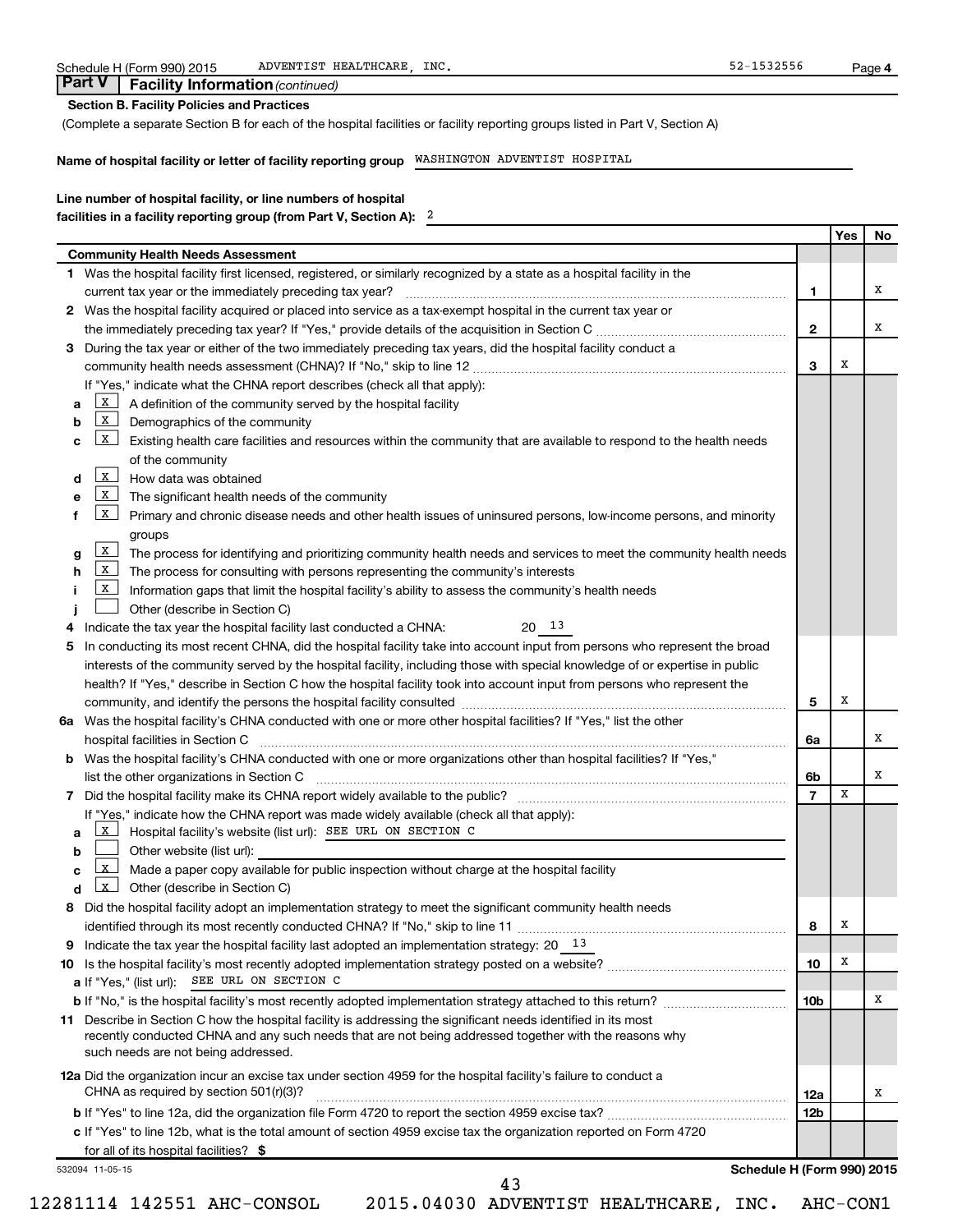## **Part V** | Facility Information (continued)

#### **Section B. Facility Policies and Practices**

(Complete a separate Section B for each of the hospital facilities or facility reporting groups listed in Part V, Section A)

**Name of hospital facility or letter of facility reporting group** WASHINGTON ADVENTIST HOSPITAL

#### **Line number of hospital facility, or line numbers of hospital**

**facilities in a facility reporting group (from Part V, Section A):** 2

|                                                                                                                                                            |                | Yes | No |
|------------------------------------------------------------------------------------------------------------------------------------------------------------|----------------|-----|----|
| <b>Community Health Needs Assessment</b>                                                                                                                   |                |     |    |
| 1 Was the hospital facility first licensed, registered, or similarly recognized by a state as a hospital facility in the                                   |                |     |    |
| current tax year or the immediately preceding tax year?                                                                                                    | 1.             |     | х  |
| 2 Was the hospital facility acquired or placed into service as a tax-exempt hospital in the current tax year or                                            |                |     |    |
|                                                                                                                                                            | $\mathbf{2}$   |     | х  |
| During the tax year or either of the two immediately preceding tax years, did the hospital facility conduct a<br>3                                         |                |     |    |
|                                                                                                                                                            | 3              | Х   |    |
| If "Yes," indicate what the CHNA report describes (check all that apply):                                                                                  |                |     |    |
| $\mathbf{X}$<br>A definition of the community served by the hospital facility<br>a                                                                         |                |     |    |
| X<br>Demographics of the community<br>b                                                                                                                    |                |     |    |
| X<br>Existing health care facilities and resources within the community that are available to respond to the health needs<br>с                             |                |     |    |
| of the community                                                                                                                                           |                |     |    |
| X<br>How data was obtained<br>d                                                                                                                            |                |     |    |
| $\mathbf{X}$<br>The significant health needs of the community<br>е                                                                                         |                |     |    |
| X<br>Primary and chronic disease needs and other health issues of uninsured persons, low-income persons, and minority<br>f                                 |                |     |    |
|                                                                                                                                                            |                |     |    |
| groups<br>X                                                                                                                                                |                |     |    |
| The process for identifying and prioritizing community health needs and services to meet the community health needs<br>g                                   |                |     |    |
| $\lfloor x \rfloor$<br>The process for consulting with persons representing the community's interests<br>h                                                 |                |     |    |
| X<br>Information gaps that limit the hospital facility's ability to assess the community's health needs                                                    |                |     |    |
| Other (describe in Section C)                                                                                                                              |                |     |    |
| 20 13<br>Indicate the tax year the hospital facility last conducted a CHNA:                                                                                |                |     |    |
| In conducting its most recent CHNA, did the hospital facility take into account input from persons who represent the broad<br>5                            |                |     |    |
| interests of the community served by the hospital facility, including those with special knowledge of or expertise in public                               |                |     |    |
| health? If "Yes," describe in Section C how the hospital facility took into account input from persons who represent the                                   |                |     |    |
|                                                                                                                                                            | 5              | х   |    |
| 6a Was the hospital facility's CHNA conducted with one or more other hospital facilities? If "Yes," list the other                                         |                |     |    |
| hospital facilities in Section C                                                                                                                           | 6a             |     | х  |
| b Was the hospital facility's CHNA conducted with one or more organizations other than hospital facilities? If "Yes,"                                      |                |     |    |
| list the other organizations in Section C                                                                                                                  | 6b             |     | х  |
| 7                                                                                                                                                          | $\overline{7}$ | х   |    |
| If "Yes," indicate how the CHNA report was made widely available (check all that apply):                                                                   |                |     |    |
| $\mathbf{X}$<br>Hospital facility's website (list url): SEE URL ON SECTION C<br>a                                                                          |                |     |    |
| Other website (list url):<br>b                                                                                                                             |                |     |    |
| $\lfloor x \rfloor$<br>Made a paper copy available for public inspection without charge at the hospital facility<br>с                                      |                |     |    |
| $\mathbf{X}$<br>Other (describe in Section C)<br>d                                                                                                         |                |     |    |
| 8 Did the hospital facility adopt an implementation strategy to meet the significant community health needs                                                |                |     |    |
| identified through its most recently conducted CHNA? If "No," skip to line 11                                                                              | 8              | x   |    |
| <b>9</b> Indicate the tax year the hospital facility last adopted an implementation strategy: $20 \quad 13$                                                |                |     |    |
|                                                                                                                                                            | 10             | х   |    |
| a If "Yes," (list url): SEE URL ON SECTION C                                                                                                               |                |     |    |
| <b>b</b> If "No," is the hospital facility's most recently adopted implementation strategy attached to this return?                                        | 10b            |     | х  |
| 11 Describe in Section C how the hospital facility is addressing the significant needs identified in its most                                              |                |     |    |
| recently conducted CHNA and any such needs that are not being addressed together with the reasons why                                                      |                |     |    |
| such needs are not being addressed.                                                                                                                        |                |     |    |
|                                                                                                                                                            |                |     |    |
| 12a Did the organization incur an excise tax under section 4959 for the hospital facility's failure to conduct a<br>CHNA as required by section 501(r)(3)? |                |     |    |
|                                                                                                                                                            | 12a            |     | x  |
|                                                                                                                                                            | 12b            |     |    |
| c If "Yes" to line 12b, what is the total amount of section 4959 excise tax the organization reported on Form 4720                                         |                |     |    |
| for all of its hospital facilities? \$                                                                                                                     |                |     |    |
| Schedule H (Form 990) 2015<br>532094 11-05-15                                                                                                              |                |     |    |

12281114 142551 AHC-CONSOL 2015.04030 ADVENTIST HEALTHCARE, INC. AHC-CON1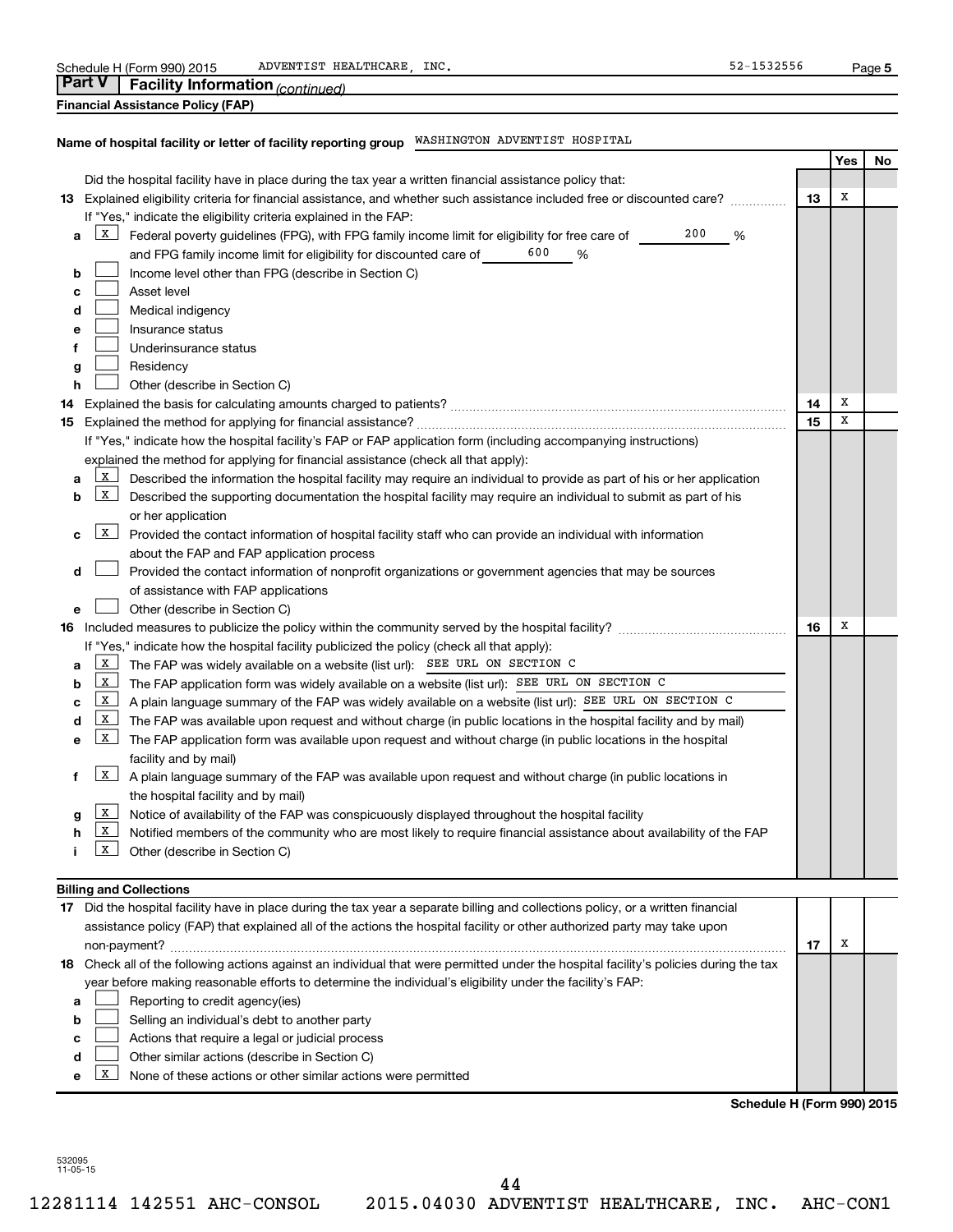| Schedule H (Form 990) 2015 |  | ADVENTIST HEALTHCARE | INC | 52-1532556 | Page |  |
|----------------------------|--|----------------------|-----|------------|------|--|
|----------------------------|--|----------------------|-----|------------|------|--|

| 52-1532556 |  |
|------------|--|
|------------|--|

|--|--|

| <b>Financial Assistance Policy (FAP)</b> |  |
|------------------------------------------|--|
|                                          |  |

#### **Name of hospital facility or letter of facility reporting group** WASHINGTON ADVENTIST HOSPITAL

|   |                                                                                                                                            |    | Yes | No |
|---|--------------------------------------------------------------------------------------------------------------------------------------------|----|-----|----|
|   | Did the hospital facility have in place during the tax year a written financial assistance policy that:                                    |    |     |    |
|   | 13 Explained eligibility criteria for financial assistance, and whether such assistance included free or discounted care?                  | 13 | х   |    |
|   | If "Yes," indicate the eligibility criteria explained in the FAP:                                                                          |    |     |    |
| a | $\mathbf{X}$<br>200<br>Federal poverty guidelines (FPG), with FPG family income limit for eligibility for free care of<br>%                |    |     |    |
|   | 600<br>and FPG family income limit for eligibility for discounted care of<br>%                                                             |    |     |    |
| b | Income level other than FPG (describe in Section C)                                                                                        |    |     |    |
| с | Asset level                                                                                                                                |    |     |    |
| d | Medical indigency                                                                                                                          |    |     |    |
| е | Insurance status                                                                                                                           |    |     |    |
|   | Underinsurance status                                                                                                                      |    |     |    |
| g | Residency                                                                                                                                  |    |     |    |
| h | Other (describe in Section C)                                                                                                              |    |     |    |
|   |                                                                                                                                            | 14 | х   |    |
|   |                                                                                                                                            | 15 | х   |    |
|   | If "Yes," indicate how the hospital facility's FAP or FAP application form (including accompanying instructions)                           |    |     |    |
|   | explained the method for applying for financial assistance (check all that apply):                                                         |    |     |    |
| а | X <br>Described the information the hospital facility may require an individual to provide as part of his or her application               |    |     |    |
| b | $\mathbf{X}$<br>Described the supporting documentation the hospital facility may require an individual to submit as part of his            |    |     |    |
|   | or her application                                                                                                                         |    |     |    |
| с | $\mathbf{X}$<br>Provided the contact information of hospital facility staff who can provide an individual with information                 |    |     |    |
|   | about the FAP and FAP application process                                                                                                  |    |     |    |
| d | Provided the contact information of nonprofit organizations or government agencies that may be sources                                     |    |     |    |
|   | of assistance with FAP applications                                                                                                        |    |     |    |
| е | Other (describe in Section C)                                                                                                              |    |     |    |
|   |                                                                                                                                            | 16 | х   |    |
|   | If "Yes," indicate how the hospital facility publicized the policy (check all that apply):                                                 |    |     |    |
| a | $\mathbf{x}$<br>The FAP was widely available on a website (list url): SEE URL ON SECTION C                                                 |    |     |    |
| b | X<br>The FAP application form was widely available on a website (list url): SEE URL ON SECTION C                                           |    |     |    |
| с | $\lfloor x \rfloor$<br>A plain language summary of the FAP was widely available on a website (list url): SEE URL ON SECTION C              |    |     |    |
| d | $\lfloor x \rfloor$<br>The FAP was available upon request and without charge (in public locations in the hospital facility and by mail)    |    |     |    |
| е | $\lfloor x \rfloor$<br>The FAP application form was available upon request and without charge (in public locations in the hospital         |    |     |    |
|   | facility and by mail)                                                                                                                      |    |     |    |
| f | X  <br>A plain language summary of the FAP was available upon request and without charge (in public locations in                           |    |     |    |
|   | the hospital facility and by mail)                                                                                                         |    |     |    |
| g | $\mathbf{X}$<br>Notice of availability of the FAP was conspicuously displayed throughout the hospital facility                             |    |     |    |
| h | $\lfloor x \rfloor$<br>Notified members of the community who are most likely to require financial assistance about availability of the FAP |    |     |    |
|   | $\boxed{\mathbf{X}}$ Other (describe in Section C)                                                                                         |    |     |    |
|   |                                                                                                                                            |    |     |    |
|   | <b>Billing and Collections</b>                                                                                                             |    |     |    |
|   | 17 Did the hospital facility have in place during the tax year a separate billing and collections policy, or a written financial           |    |     |    |
|   | assistance policy (FAP) that explained all of the actions the hospital facility or other authorized party may take upon                    |    |     |    |
|   |                                                                                                                                            | 17 | х   |    |
|   | 18 Check all of the following actions against an individual that were permitted under the hospital facility's policies during the tax      |    |     |    |
|   | year before making reasonable efforts to determine the individual's eligibility under the facility's FAP:                                  |    |     |    |

**a** Reporting to credit agency(ies)  $\Box$ 

- **b** Selling an individual's debt to another party  $\Box$
- **c** Actions that require a legal or judicial process  $\Box$
- **d** Other similar actions (describe in Section C)  $\Box$
- **e**  $\boxed{\text{X}}$  None of these actions or other similar actions were permitted

**Schedule H (Form 990) 2015**

532095 11-05-15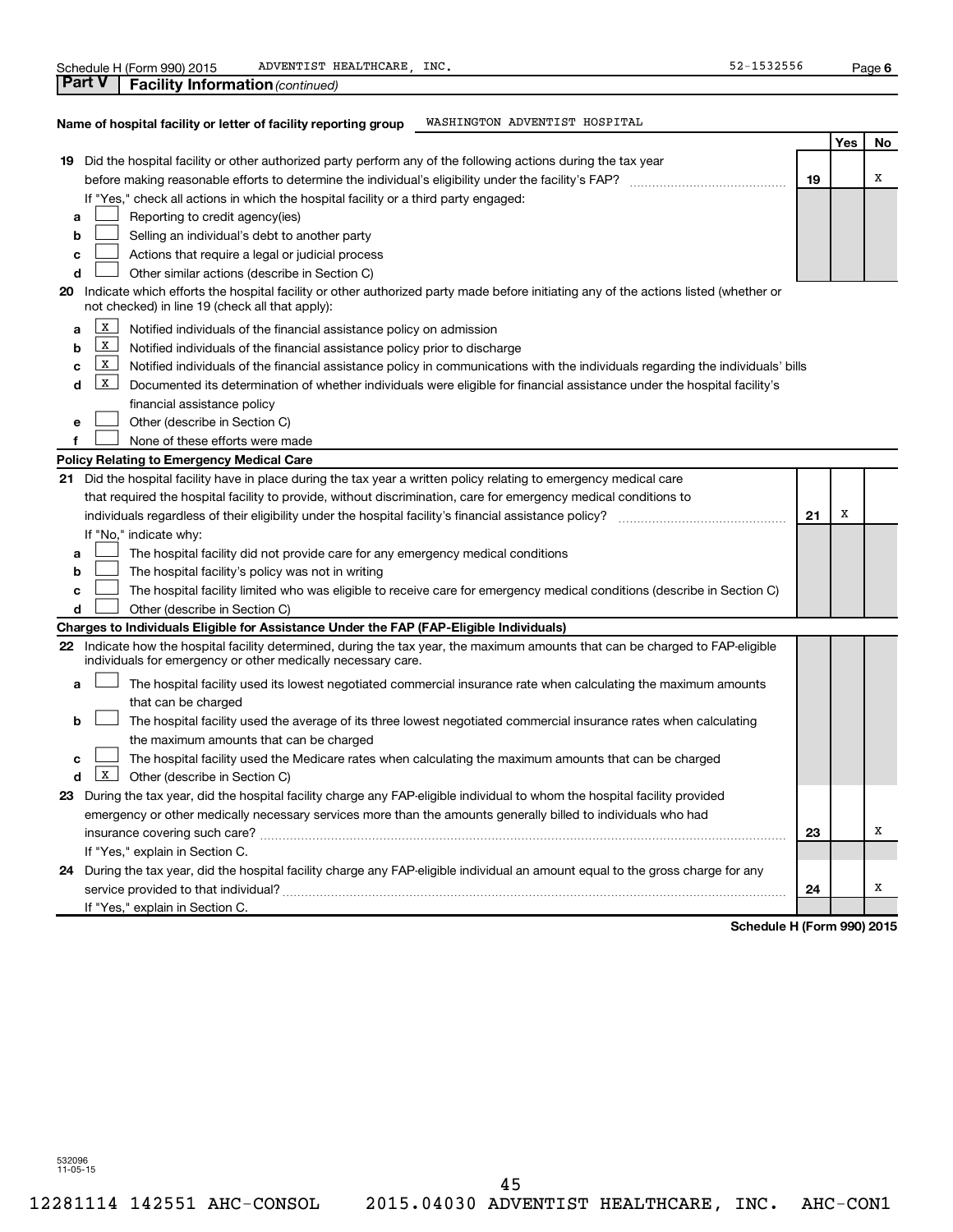Schedule H (Form 990) 2015 ADVENTIST HEALTHCARE,INC. 52-1532556 Page ADVENTIST HEALTHCARE, INC. **52-1532556** 

|    | Part V<br><b>Facility Information (continued)</b>                                                                                                                                              |    |     |    |
|----|------------------------------------------------------------------------------------------------------------------------------------------------------------------------------------------------|----|-----|----|
|    |                                                                                                                                                                                                |    |     |    |
|    | WASHINGTON ADVENTIST HOSPITAL<br>Name of hospital facility or letter of facility reporting group                                                                                               |    |     |    |
|    |                                                                                                                                                                                                |    | Yes | No |
| 19 | Did the hospital facility or other authorized party perform any of the following actions during the tax year                                                                                   |    |     |    |
|    |                                                                                                                                                                                                | 19 |     | х  |
|    | If "Yes," check all actions in which the hospital facility or a third party engaged:                                                                                                           |    |     |    |
| а  | Reporting to credit agency(ies)                                                                                                                                                                |    |     |    |
| b  | Selling an individual's debt to another party                                                                                                                                                  |    |     |    |
| с  | Actions that require a legal or judicial process                                                                                                                                               |    |     |    |
| d  | Other similar actions (describe in Section C)                                                                                                                                                  |    |     |    |
| 20 | Indicate which efforts the hospital facility or other authorized party made before initiating any of the actions listed (whether or<br>not checked) in line 19 (check all that apply):         |    |     |    |
| а  | $\mathbf{X}$<br>Notified individuals of the financial assistance policy on admission                                                                                                           |    |     |    |
| b  | X  <br>Notified individuals of the financial assistance policy prior to discharge                                                                                                              |    |     |    |
| с  | X  <br>Notified individuals of the financial assistance policy in communications with the individuals regarding the individuals' bills                                                         |    |     |    |
| d  | X<br>Documented its determination of whether individuals were eligible for financial assistance under the hospital facility's                                                                  |    |     |    |
|    | financial assistance policy                                                                                                                                                                    |    |     |    |
| е  | Other (describe in Section C)                                                                                                                                                                  |    |     |    |
| f  | None of these efforts were made                                                                                                                                                                |    |     |    |
|    | <b>Policy Relating to Emergency Medical Care</b>                                                                                                                                               |    |     |    |
|    | 21 Did the hospital facility have in place during the tax year a written policy relating to emergency medical care                                                                             |    |     |    |
|    | that required the hospital facility to provide, without discrimination, care for emergency medical conditions to                                                                               |    |     |    |
|    | individuals regardless of their eligibility under the hospital facility's financial assistance policy?                                                                                         | 21 | х   |    |
|    | If "No," indicate why:                                                                                                                                                                         |    |     |    |
| а  | The hospital facility did not provide care for any emergency medical conditions                                                                                                                |    |     |    |
| b  | The hospital facility's policy was not in writing                                                                                                                                              |    |     |    |
| с  | The hospital facility limited who was eligible to receive care for emergency medical conditions (describe in Section C)                                                                        |    |     |    |
| d  | Other (describe in Section C)                                                                                                                                                                  |    |     |    |
|    | Charges to Individuals Eligible for Assistance Under the FAP (FAP-Eligible Individuals)                                                                                                        |    |     |    |
|    | 22 Indicate how the hospital facility determined, during the tax year, the maximum amounts that can be charged to FAP-eligible<br>individuals for emergency or other medically necessary care. |    |     |    |
| а  | The hospital facility used its lowest negotiated commercial insurance rate when calculating the maximum amounts                                                                                |    |     |    |
|    | that can be charged                                                                                                                                                                            |    |     |    |
| b  | The hospital facility used the average of its three lowest negotiated commercial insurance rates when calculating                                                                              |    |     |    |
|    | the maximum amounts that can be charged                                                                                                                                                        |    |     |    |
| с  | The hospital facility used the Medicare rates when calculating the maximum amounts that can be charged                                                                                         |    |     |    |
| d  | $\boxed{\textbf{X}}$ Other (describe in Section C)                                                                                                                                             |    |     |    |
| 23 | During the tax year, did the hospital facility charge any FAP-eligible individual to whom the hospital facility provided                                                                       |    |     |    |
|    | emergency or other medically necessary services more than the amounts generally billed to individuals who had                                                                                  |    |     |    |
|    |                                                                                                                                                                                                | 23 |     | x  |
|    | If "Yes," explain in Section C.                                                                                                                                                                |    |     |    |
|    | 24 During the tax year, did the hospital facility charge any FAP-eligible individual an amount equal to the gross charge for any                                                               |    |     |    |
|    |                                                                                                                                                                                                | 24 |     | X  |
|    | If "Yes," explain in Section C.                                                                                                                                                                |    |     |    |
|    | 0-1-1-1-1-11 (F.  000) 004F                                                                                                                                                                    |    |     |    |

**Schedule H (Form 990) 2015**

532096 11-05-15

12281114 142551 AHC-CONSOL 2015.04030 ADVENTIST HEALTHCARE, INC. AHC-CON1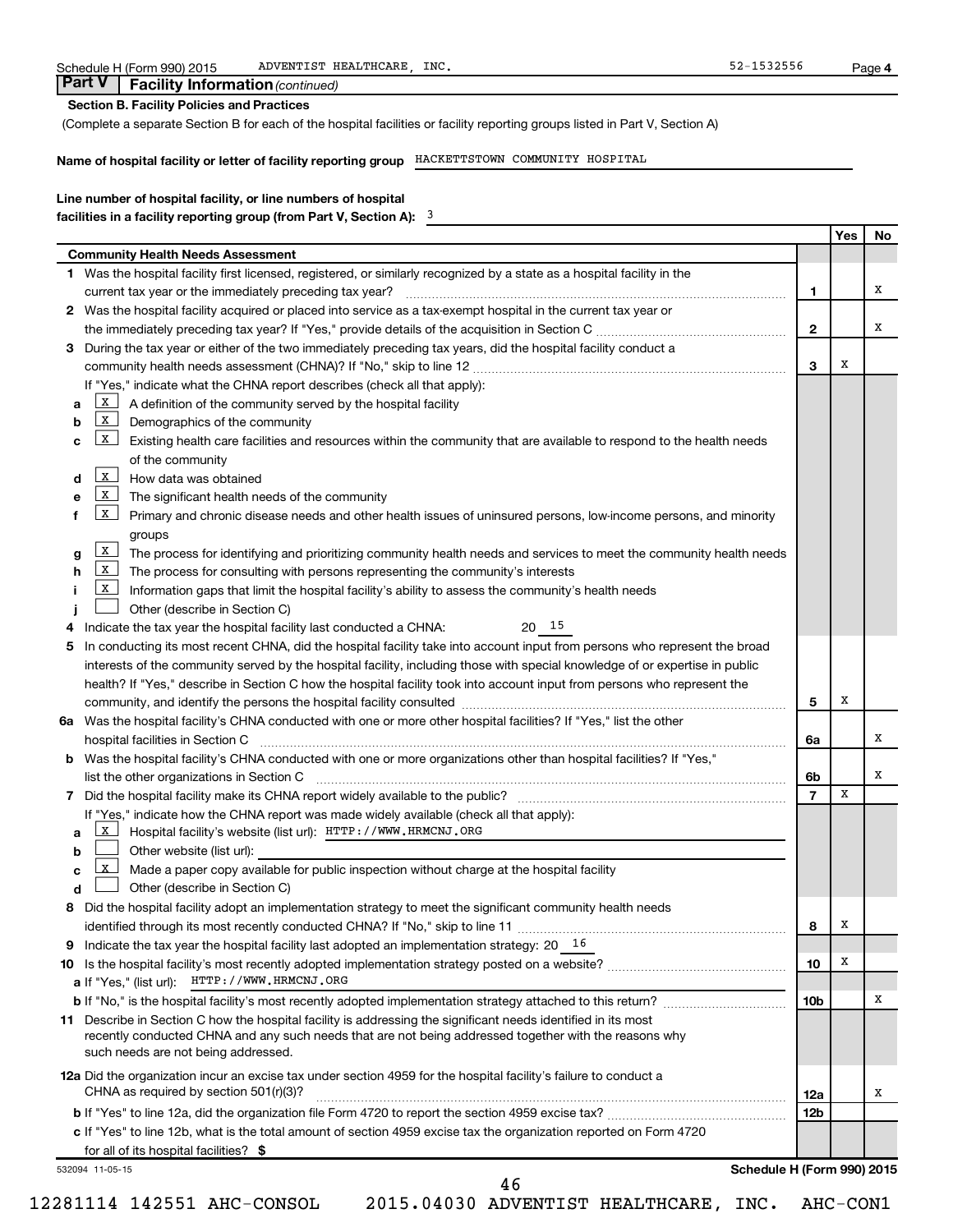| Part V   Facility Information (continued) |  |
|-------------------------------------------|--|
|-------------------------------------------|--|

#### **Section B. Facility Policies and Practices**

(Complete a separate Section B for each of the hospital facilities or facility reporting groups listed in Part V, Section A)

**Name of hospital facility or letter of facility reporting group** HACKETTSTOWN COMMUNITY HOSPITAL

#### **Line number of hospital facility, or line numbers of hospital**

**facilities in a facility reporting group (from Part V, Section A):** 3

|   |                                                                                                                                     |                | Yes | No |  |  |  |
|---|-------------------------------------------------------------------------------------------------------------------------------------|----------------|-----|----|--|--|--|
|   | <b>Community Health Needs Assessment</b>                                                                                            |                |     |    |  |  |  |
|   | 1 Was the hospital facility first licensed, registered, or similarly recognized by a state as a hospital facility in the            |                |     |    |  |  |  |
|   | current tax year or the immediately preceding tax year?                                                                             | 1              |     | х  |  |  |  |
|   | 2 Was the hospital facility acquired or placed into service as a tax-exempt hospital in the current tax year or                     |                |     |    |  |  |  |
|   |                                                                                                                                     | $\mathbf{2}$   |     | x  |  |  |  |
| 3 | During the tax year or either of the two immediately preceding tax years, did the hospital facility conduct a                       |                |     |    |  |  |  |
|   |                                                                                                                                     | 3              | х   |    |  |  |  |
|   | If "Yes," indicate what the CHNA report describes (check all that apply):                                                           |                |     |    |  |  |  |
| a | X  <br>A definition of the community served by the hospital facility                                                                |                |     |    |  |  |  |
| b | X<br>Demographics of the community                                                                                                  |                |     |    |  |  |  |
| c | X  <br>Existing health care facilities and resources within the community that are available to respond to the health needs         |                |     |    |  |  |  |
|   | of the community                                                                                                                    |                |     |    |  |  |  |
| d | $\mathbf{x}$<br>How data was obtained                                                                                               |                |     |    |  |  |  |
| е | $\mathbf{X}$<br>The significant health needs of the community                                                                       |                |     |    |  |  |  |
| f | X <br>Primary and chronic disease needs and other health issues of uninsured persons, low-income persons, and minority              |                |     |    |  |  |  |
|   | groups                                                                                                                              |                |     |    |  |  |  |
| g | $\mathbf{x}$<br>The process for identifying and prioritizing community health needs and services to meet the community health needs |                |     |    |  |  |  |
| h | $\lfloor x \rfloor$<br>The process for consulting with persons representing the community's interests                               |                |     |    |  |  |  |
|   | X <br>Information gaps that limit the hospital facility's ability to assess the community's health needs                            |                |     |    |  |  |  |
|   | Other (describe in Section C)                                                                                                       |                |     |    |  |  |  |
|   | 20 15<br>Indicate the tax year the hospital facility last conducted a CHNA:                                                         |                |     |    |  |  |  |
| 5 | In conducting its most recent CHNA, did the hospital facility take into account input from persons who represent the broad          |                |     |    |  |  |  |
|   | interests of the community served by the hospital facility, including those with special knowledge of or expertise in public        |                |     |    |  |  |  |
|   | health? If "Yes," describe in Section C how the hospital facility took into account input from persons who represent the            |                |     |    |  |  |  |
|   |                                                                                                                                     | 5              | X   |    |  |  |  |
|   | 6a Was the hospital facility's CHNA conducted with one or more other hospital facilities? If "Yes," list the other                  |                |     |    |  |  |  |
|   | hospital facilities in Section C                                                                                                    | 6a             |     | x  |  |  |  |
| b | Was the hospital facility's CHNA conducted with one or more organizations other than hospital facilities? If "Yes,"                 |                |     |    |  |  |  |
|   | list the other organizations in Section C                                                                                           | 6b             |     | x  |  |  |  |
|   |                                                                                                                                     | $\overline{7}$ | X   |    |  |  |  |
|   | If "Yes," indicate how the CHNA report was made widely available (check all that apply):                                            |                |     |    |  |  |  |
| a | Hospital facility's website (list url): HTTP: / / WWW. HRMCNJ.ORG<br>$\mathbf{X}$                                                   |                |     |    |  |  |  |
|   | Other website (list url):<br>b                                                                                                      |                |     |    |  |  |  |
|   | $\lfloor x \rfloor$ Made a paper copy available for public inspection without charge at the hospital facility<br>с                  |                |     |    |  |  |  |
|   | Other (describe in Section C)                                                                                                       |                |     |    |  |  |  |
|   | 8 Did the hospital facility adopt an implementation strategy to meet the significant community health needs                         |                |     |    |  |  |  |
|   |                                                                                                                                     | 8              | х   |    |  |  |  |
| 9 | Indicate the tax year the hospital facility last adopted an implementation strategy: $20\quad 16$                                   |                |     |    |  |  |  |
|   |                                                                                                                                     | 10             | х   |    |  |  |  |
|   | a If "Yes," (list url): HTTP: / / WWW.HRMCNJ.ORG                                                                                    |                |     |    |  |  |  |
|   |                                                                                                                                     | 10b            |     | х  |  |  |  |
|   | 11 Describe in Section C how the hospital facility is addressing the significant needs identified in its most                       |                |     |    |  |  |  |
|   | recently conducted CHNA and any such needs that are not being addressed together with the reasons why                               |                |     |    |  |  |  |
|   | such needs are not being addressed.                                                                                                 |                |     |    |  |  |  |
|   | 12a Did the organization incur an excise tax under section 4959 for the hospital facility's failure to conduct a                    |                |     |    |  |  |  |
|   | CHNA as required by section $501(r)(3)?$                                                                                            | 12a            |     | х  |  |  |  |
|   |                                                                                                                                     | 12b            |     |    |  |  |  |
|   | c If "Yes" to line 12b, what is the total amount of section 4959 excise tax the organization reported on Form 4720                  |                |     |    |  |  |  |
|   | for all of its hospital facilities? \$                                                                                              |                |     |    |  |  |  |
|   | Schedule H (Form 990) 2015<br>532094 11-05-15                                                                                       |                |     |    |  |  |  |

12281114 142551 AHC-CONSOL 2015.04030 ADVENTIST HEALTHCARE, INC. AHC-CON1

46

**Schedule H (Form 990) 2015**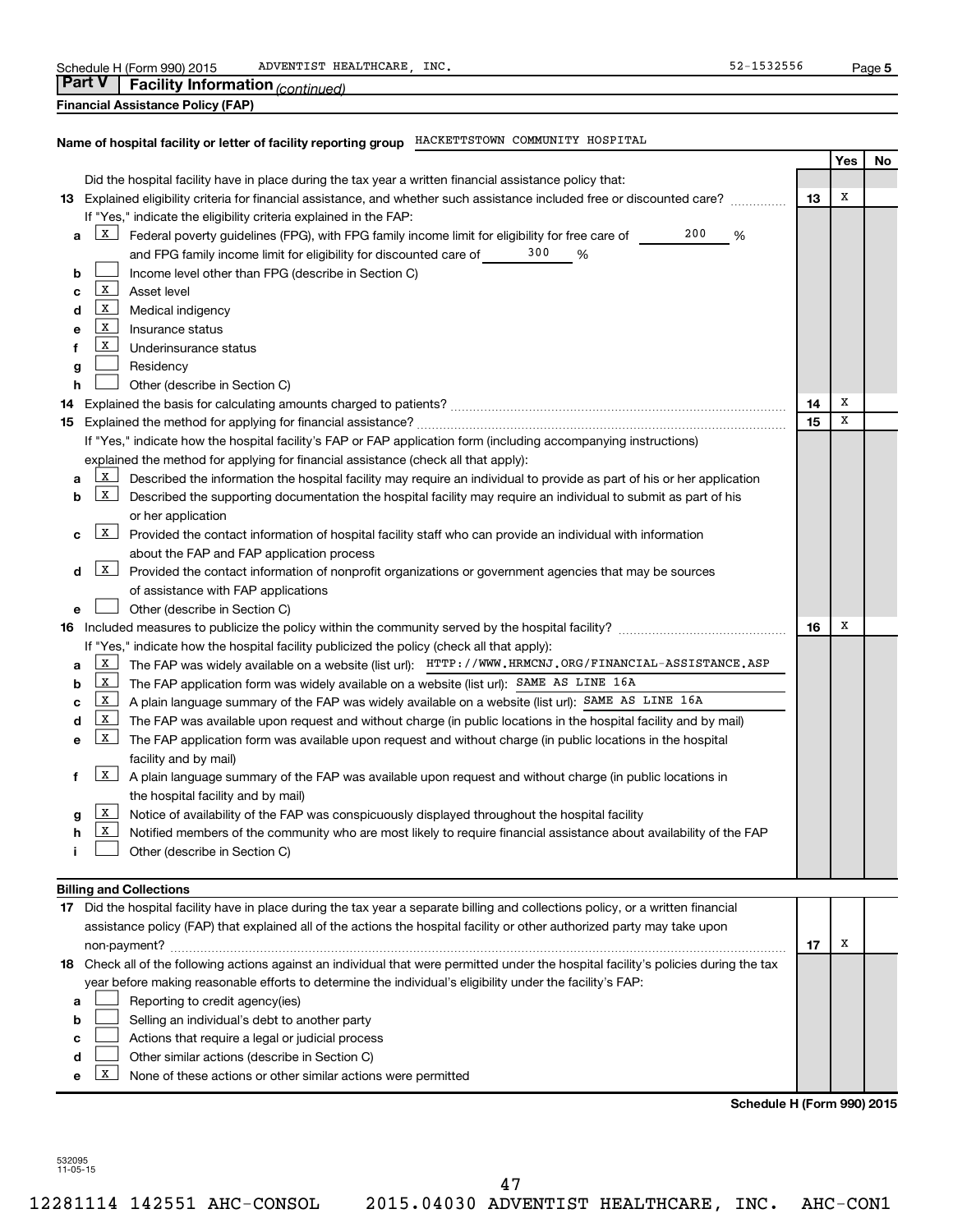| Schedule H (Form 990) 2015 |  |  | ADVENTIST HEALTHCARE | INC. |  | 52-1532556 | Page |  |
|----------------------------|--|--|----------------------|------|--|------------|------|--|
|----------------------------|--|--|----------------------|------|--|------------|------|--|

|--|

**Financial Assistance Policy (FAP)**

**Part V Facility Information** *(continued)*

#### **Name of hospital facility or letter of facility reporting group** HACKETTSTOWN COMMUNITY HOSPITAL

|    |                                                                                                                                            |    | Yes | No |
|----|--------------------------------------------------------------------------------------------------------------------------------------------|----|-----|----|
|    | Did the hospital facility have in place during the tax year a written financial assistance policy that:                                    |    |     |    |
| 13 | Explained eligibility criteria for financial assistance, and whether such assistance included free or discounted care?                     | 13 | х   |    |
|    | If "Yes," indicate the eligibility criteria explained in the FAP:                                                                          |    |     |    |
| а  | 200<br>$\lfloor x \rfloor$<br>Federal poverty guidelines (FPG), with FPG family income limit for eligibility for free care of<br>%         |    |     |    |
|    | 300<br>and FPG family income limit for eligibility for discounted care of<br>℅                                                             |    |     |    |
| b  | Income level other than FPG (describe in Section C)                                                                                        |    |     |    |
| с  | $\lfloor x \rfloor$<br>Asset level                                                                                                         |    |     |    |
| d  | $\lfloor x \rfloor$<br>Medical indigency                                                                                                   |    |     |    |
| е  | X<br>Insurance status                                                                                                                      |    |     |    |
|    | X<br>Underinsurance status                                                                                                                 |    |     |    |
| g  | Residency                                                                                                                                  |    |     |    |
| h  | Other (describe in Section C)                                                                                                              |    |     |    |
| 14 |                                                                                                                                            | 14 | х   |    |
| 15 |                                                                                                                                            | 15 | х   |    |
|    | If "Yes," indicate how the hospital facility's FAP or FAP application form (including accompanying instructions)                           |    |     |    |
|    | explained the method for applying for financial assistance (check all that apply):                                                         |    |     |    |
| а  | $\mathbf{X}$<br>Described the information the hospital facility may require an individual to provide as part of his or her application     |    |     |    |
| b  | $\lfloor x \rfloor$<br>Described the supporting documentation the hospital facility may require an individual to submit as part of his     |    |     |    |
|    | or her application                                                                                                                         |    |     |    |
| с  | X<br>Provided the contact information of hospital facility staff who can provide an individual with information                            |    |     |    |
|    | about the FAP and FAP application process                                                                                                  |    |     |    |
| d  | X<br>Provided the contact information of nonprofit organizations or government agencies that may be sources                                |    |     |    |
|    | of assistance with FAP applications                                                                                                        |    |     |    |
| е  | Other (describe in Section C)                                                                                                              |    |     |    |
|    |                                                                                                                                            | 16 | х   |    |
|    | If "Yes," indicate how the hospital facility publicized the policy (check all that apply):                                                 |    |     |    |
| а  | The FAP was widely available on a website (list url): HTTP://WWW.HRMCNJ.ORG/FINANCIAL-ASSISTANCE.ASP<br>X                                  |    |     |    |
| b  | $\mathbf{X}$<br>The FAP application form was widely available on a website (list url): SAME AS LINE 16A                                    |    |     |    |
| с  | A plain language summary of the FAP was widely available on a website (list url): SAME AS LINE 16A<br>$\mathbf{X}$                         |    |     |    |
| d  | $\mathbf{X}$<br>The FAP was available upon request and without charge (in public locations in the hospital facility and by mail)           |    |     |    |
| е  | $\lfloor x \rfloor$<br>The FAP application form was available upon request and without charge (in public locations in the hospital         |    |     |    |
|    | facility and by mail)                                                                                                                      |    |     |    |
| f  | $\lfloor x \rfloor$<br>A plain language summary of the FAP was available upon request and without charge (in public locations in           |    |     |    |
|    | the hospital facility and by mail)                                                                                                         |    |     |    |
| g  | $\mathbf{X}$<br>Notice of availability of the FAP was conspicuously displayed throughout the hospital facility                             |    |     |    |
| h  | $\lfloor x \rfloor$<br>Notified members of the community who are most likely to require financial assistance about availability of the FAP |    |     |    |
|    | Other (describe in Section C)                                                                                                              |    |     |    |
|    |                                                                                                                                            |    |     |    |
|    | <b>Billing and Collections</b>                                                                                                             |    |     |    |
|    | 17 Did the hospital facility have in place during the tax year a separate billing and collections policy, or a written financial           |    |     |    |
|    | assistance policy (FAP) that explained all of the actions the hospital facility or other authorized party may take upon                    |    |     |    |
|    |                                                                                                                                            | 17 | X   |    |
|    | 18 Check all of the following actions against an individual that were permitted under the hospital facility's policies during the tax      |    |     |    |
|    | year before making reasonable efforts to determine the individual's eligibility under the facility's FAP:                                  |    |     |    |

**a** Reporting to credit agency(ies)  $\Box$ 

- **b** Selling an individual's debt to another party  $\Box$
- **c d** Actions that require a legal or judicial process  $\Box$
- **e** Other similar actions (describe in Section C)  $\Box$ 
	- $\boxed{\text{X}}$  None of these actions or other similar actions were permitted

**Schedule H (Form 990) 2015**

532095 11-05-15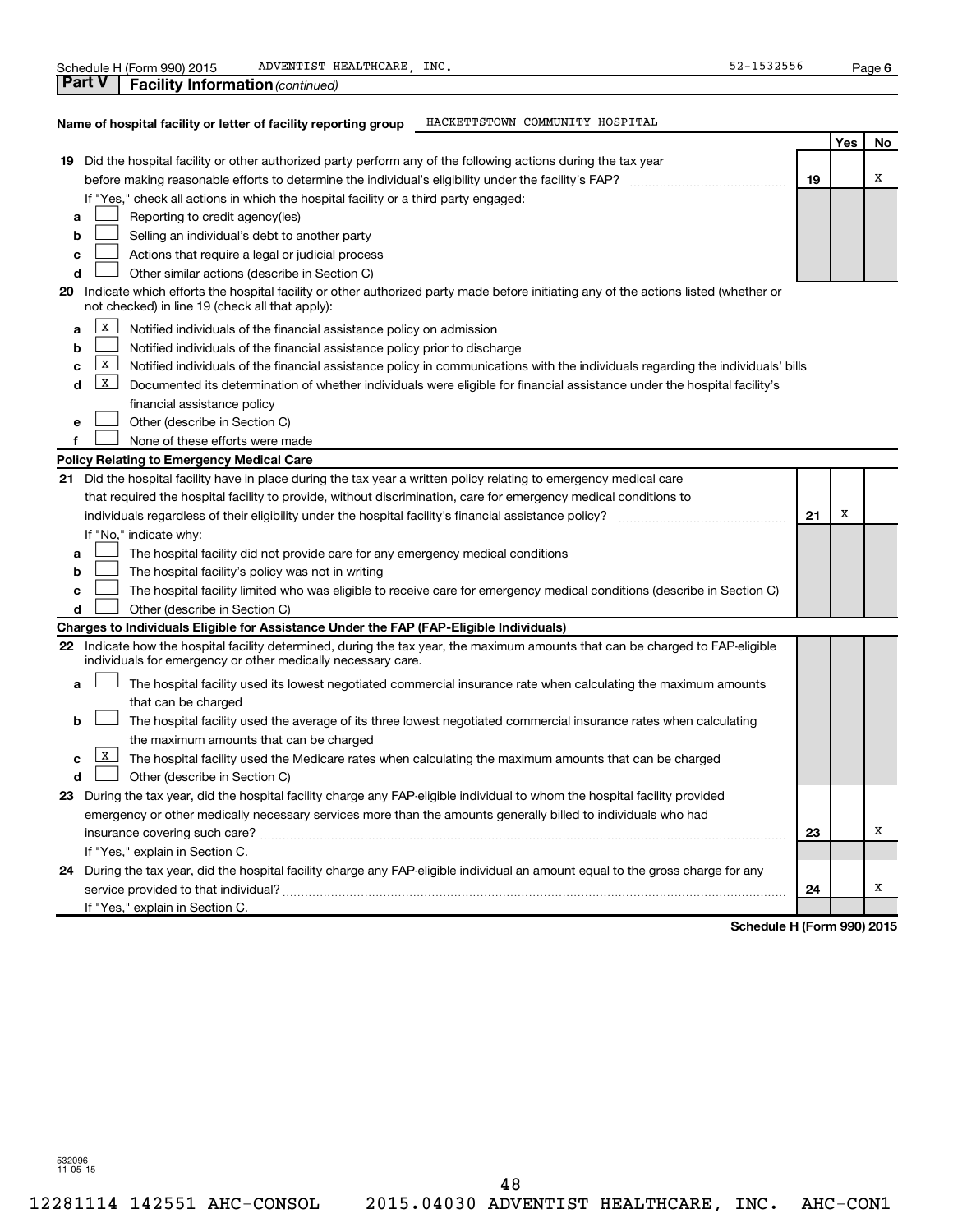Schedule H (Form 990) 2015 ADVENTIST HEALTHCARE, INC. The State of the Second S2-1532556 ADVENTIST HEALTHCARE

**Part V** | Facility Information (continued)

|--|

#### **Name of hospital facility or letter of facility reporting group Yes No 19** Did the hospital facility or other authorized party perform any of the following actions during the tax year **19 a b c d 20 a b c d e f Policy Relating to Emergency Medical Care 21 21 a b c d Charges to Individuals Eligible for Assistance Under the FAP (FAP-Eligible Individuals) 22 a b c d 23** During the tax year, did the hospital facility charge any FAP-eligible individual to whom the hospital facility provided **24** During the tax year, did the hospital facility charge any FAP-eligible individual an amount equal to the gross charge for any **23 24** before making reasonable efforts to determine the individual's eligibility under the facility's FAP? ~~~~~~~~~~~~~~ If "Yes," check all actions in which the hospital facility or a third party engaged: Reporting to credit agency(ies) Selling an individual's debt to another party Actions that require a legal or judicial process Other similar actions (describe in Section C) Indicate which efforts the hospital facility or other authorized party made before initiating any of the actions listed (whether or not checked) in line 19 (check all that apply): Notified individuals of the financial assistance policy on admission Notified individuals of the financial assistance policy prior to discharge Notified individuals of the financial assistance policy in communications with the individuals regarding the individuals' bills IM Documented its determination of whether individuals were eligible for financial assistance under the hospital facility's financial assistance policy Other (describe in Section C) None of these efforts were made Did the hospital facility have in place during the tax year a written policy relating to emergency medical care that required the hospital facility to provide, without discrimination, care for emergency medical conditions to individuals regardless of their eligibility under the hospital facility's financial assistance policy? If "No," indicate why: The hospital facility did not provide care for any emergency medical conditions The hospital facility's policy was not in writing The hospital facility limited who was eligible to receive care for emergency medical conditions (describe in Section C) Other (describe in Section C) Indicate how the hospital facility determined, during the tax year, the maximum amounts that can be charged to FAP-eligible individuals for emergency or other medically necessary care. The hospital facility used its lowest negotiated commercial insurance rate when calculating the maximum amounts that can be charged The hospital facility used the average of its three lowest negotiated commercial insurance rates when calculating the maximum amounts that can be charged The hospital facility used the Medicare rates when calculating the maximum amounts that can be charged Other (describe in Section C) emergency or other medically necessary services more than the amounts generally billed to individuals who had insurance covering such care? ~~~~~~~~~~~~~~~~~~~~~~~~~~~~~~~~~~~~~~~~~~~~~~~ If "Yes," explain in Section C. service provided to that individual? ~~~~~~~~~~~~~~~~~~~~~~~~~~~~~~~~~~~~~~~~~~~~~ If "Yes," explain in Section C.  $\Box$  $\Box$  $\Box$  $\Box$  $\vert x \vert$  $\Box$  $\vert x \vert$  $\Box$  $\Box$  $\Box$  $\Box$  $\Box$  $\Box$  $\Box$  $\Box$  $\vert x \vert$  $\Box$ HACKETTSTOWN COMMUNITY HOSPITAL X X X X

**Schedule H (Form 990) 2015**

532096 11-05-15

12281114 142551 AHC-CONSOL 2015.04030 ADVENTIST HEALTHCARE, INC. AHC-CON1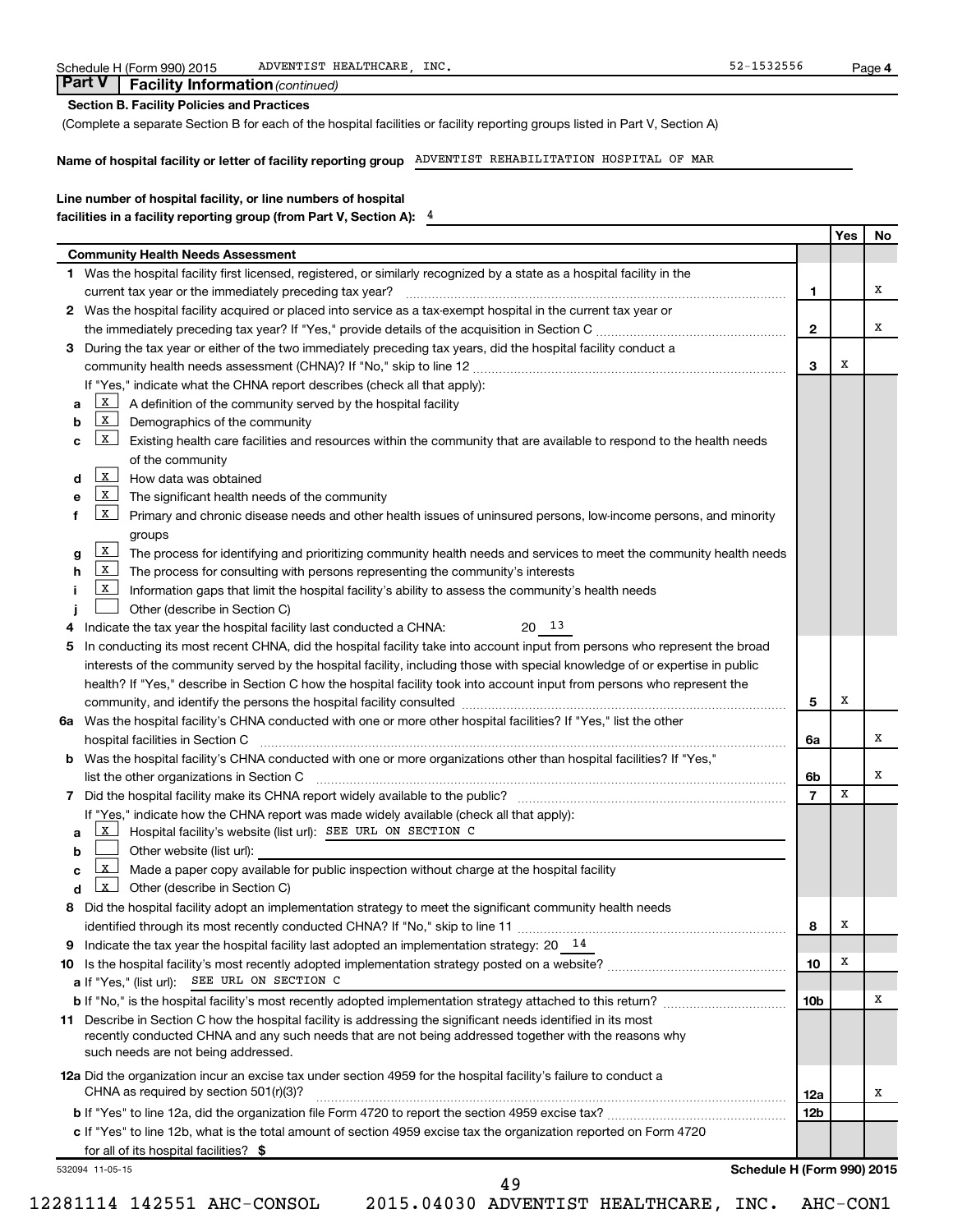#### **Section B. Facility Policies and Practices**

(Complete a separate Section B for each of the hospital facilities or facility reporting groups listed in Part V, Section A)

**Name of hospital facility or letter of facility reporting group** ADVENTIST REHABILITATION HOSPITAL OF MAR

## **Line number of hospital facility, or line numbers of hospital**

|   |                                                                                                                                             |                | Yes | No |
|---|---------------------------------------------------------------------------------------------------------------------------------------------|----------------|-----|----|
|   | <b>Community Health Needs Assessment</b>                                                                                                    |                |     |    |
|   | 1 Was the hospital facility first licensed, registered, or similarly recognized by a state as a hospital facility in the                    |                |     |    |
|   | current tax year or the immediately preceding tax year?                                                                                     | 1              |     | X  |
|   | 2 Was the hospital facility acquired or placed into service as a tax-exempt hospital in the current tax year or                             |                |     |    |
|   |                                                                                                                                             | $\mathbf{2}$   |     | х  |
|   | 3 During the tax year or either of the two immediately preceding tax years, did the hospital facility conduct a                             |                |     |    |
|   |                                                                                                                                             | 3              | X   |    |
|   | If "Yes," indicate what the CHNA report describes (check all that apply):                                                                   |                |     |    |
| а | X <br>A definition of the community served by the hospital facility                                                                         |                |     |    |
| b | $\lfloor x \rfloor$<br>Demographics of the community                                                                                        |                |     |    |
| с | $\lfloor x \rfloor$<br>Existing health care facilities and resources within the community that are available to respond to the health needs |                |     |    |
|   | of the community                                                                                                                            |                |     |    |
| d | $\mathbf{X}$<br>How data was obtained                                                                                                       |                |     |    |
| е | $\lfloor x \rfloor$<br>The significant health needs of the community                                                                        |                |     |    |
| f | $\lfloor x \rfloor$<br>Primary and chronic disease needs and other health issues of uninsured persons, low-income persons, and minority     |                |     |    |
|   | groups                                                                                                                                      |                |     |    |
| g | $\mathbf{X}$<br>The process for identifying and prioritizing community health needs and services to meet the community health needs         |                |     |    |
| h | $\lfloor x \rfloor$<br>The process for consulting with persons representing the community's interests                                       |                |     |    |
| п | X  <br>Information gaps that limit the hospital facility's ability to assess the community's health needs                                   |                |     |    |
|   | Other (describe in Section C)                                                                                                               |                |     |    |
| 4 | 20 13<br>Indicate the tax year the hospital facility last conducted a CHNA:                                                                 |                |     |    |
| 5 | In conducting its most recent CHNA, did the hospital facility take into account input from persons who represent the broad                  |                |     |    |
|   | interests of the community served by the hospital facility, including those with special knowledge of or expertise in public                |                |     |    |
|   | health? If "Yes," describe in Section C how the hospital facility took into account input from persons who represent the                    |                |     |    |
|   |                                                                                                                                             | 5              | х   |    |
|   | 6a Was the hospital facility's CHNA conducted with one or more other hospital facilities? If "Yes," list the other                          |                |     |    |
|   | hospital facilities in Section C                                                                                                            | 6a             |     | x  |
|   | b Was the hospital facility's CHNA conducted with one or more organizations other than hospital facilities? If "Yes,"                       |                |     |    |
|   | list the other organizations in Section C                                                                                                   | 6b             |     | X  |
|   |                                                                                                                                             | $\overline{7}$ | х   |    |
|   | If "Yes," indicate how the CHNA report was made widely available (check all that apply):                                                    |                |     |    |
| a | $\lfloor x \rfloor$ Hospital facility's website (list url): SEE URL ON SECTION C                                                            |                |     |    |
| b | Other website (list url):                                                                                                                   |                |     |    |
| c | $\boxed{\underline{x}}$ Made a paper copy available for public inspection without charge at the hospital facility                           |                |     |    |
| d | $\boxed{\mathbf{X}}$ Other (describe in Section C)                                                                                          |                |     |    |
|   | 8 Did the hospital facility adopt an implementation strategy to meet the significant community health needs                                 |                |     |    |
|   | identified through its most recently conducted CHNA? If "No," skip to line 11                                                               | 8              | х   |    |
|   | 9 Indicate the tax year the hospital facility last adopted an implementation strategy: $20 \quad 14$                                        |                |     |    |
|   |                                                                                                                                             | 10             | х   |    |
|   | a If "Yes," (list url): SEE URL ON SECTION C                                                                                                |                |     |    |
|   |                                                                                                                                             | 10b            |     | X  |
|   | 11 Describe in Section C how the hospital facility is addressing the significant needs identified in its most                               |                |     |    |
|   | recently conducted CHNA and any such needs that are not being addressed together with the reasons why                                       |                |     |    |
|   | such needs are not being addressed.                                                                                                         |                |     |    |
|   | 12a Did the organization incur an excise tax under section 4959 for the hospital facility's failure to conduct a                            |                |     |    |
|   | CHNA as required by section 501(r)(3)?                                                                                                      | 12a            |     | х  |
|   |                                                                                                                                             | 12b            |     |    |
|   | c If "Yes" to line 12b, what is the total amount of section 4959 excise tax the organization reported on Form 4720                          |                |     |    |
|   | for all of its hospital facilities? \$                                                                                                      |                |     |    |

12281114 142551 AHC-CONSOL 2015.04030 ADVENTIST HEALTHCARE, INC. AHC-CON1 49

**Schedule H (Form 990) 2015**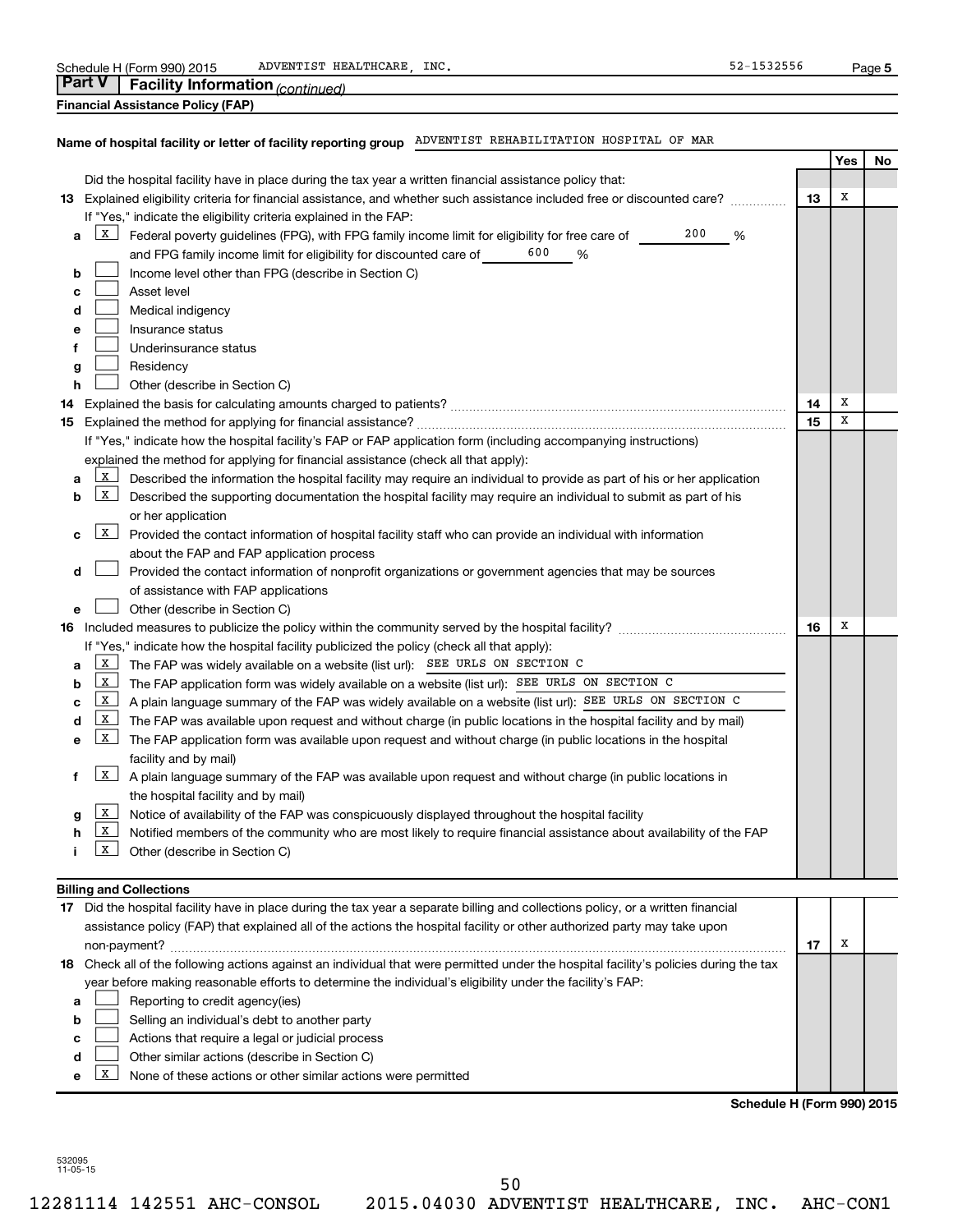|        |                     | Schedule H (Form 990) 2015               | ADVENTIST HEALTHCARE INC.                                                                  |                                                                                                                                       | 52-1532556 |    |     | Page 5 |
|--------|---------------------|------------------------------------------|--------------------------------------------------------------------------------------------|---------------------------------------------------------------------------------------------------------------------------------------|------------|----|-----|--------|
|        | <b>Part V</b>       | Facility Information (continued)         |                                                                                            |                                                                                                                                       |            |    |     |        |
|        |                     | <b>Financial Assistance Policy (FAP)</b> |                                                                                            |                                                                                                                                       |            |    |     |        |
|        |                     |                                          |                                                                                            |                                                                                                                                       |            |    |     |        |
|        |                     |                                          |                                                                                            | Name of hospital facility or letter of facility reporting group ADVENTIST REHABILITATION HOSPITAL OF MAR                              |            |    |     |        |
|        |                     |                                          |                                                                                            |                                                                                                                                       |            |    | Yes | No     |
|        |                     |                                          |                                                                                            | Did the hospital facility have in place during the tax year a written financial assistance policy that:                               |            |    |     |        |
|        |                     |                                          |                                                                                            | 13 Explained eligibility criteria for financial assistance, and whether such assistance included free or discounted care?             |            | 13 | Х   |        |
|        |                     |                                          | If "Yes," indicate the eligibility criteria explained in the FAP:                          |                                                                                                                                       |            |    |     |        |
| a      |                     |                                          |                                                                                            | $\lfloor x \rfloor$ Federal poverty guidelines (FPG), with FPG family income limit for eligibility for free care of<br>200            | %          |    |     |        |
|        |                     |                                          | and FPG family income limit for eligibility for discounted care of                         | 600<br>%                                                                                                                              |            |    |     |        |
| b      |                     |                                          | Income level other than FPG (describe in Section C)                                        |                                                                                                                                       |            |    |     |        |
| с      |                     | Asset level                              |                                                                                            |                                                                                                                                       |            |    |     |        |
| d      |                     | Medical indigency                        |                                                                                            |                                                                                                                                       |            |    |     |        |
| е      |                     | Insurance status                         |                                                                                            |                                                                                                                                       |            |    |     |        |
| f      |                     | Underinsurance status                    |                                                                                            |                                                                                                                                       |            |    |     |        |
| g      |                     | Residency                                |                                                                                            |                                                                                                                                       |            |    |     |        |
| h      |                     | Other (describe in Section C)            |                                                                                            |                                                                                                                                       |            |    |     |        |
| 14     |                     |                                          |                                                                                            |                                                                                                                                       |            | 14 | х   |        |
|        |                     |                                          |                                                                                            |                                                                                                                                       |            | 15 | х   |        |
|        |                     |                                          |                                                                                            | If "Yes," indicate how the hospital facility's FAP or FAP application form (including accompanying instructions)                      |            |    |     |        |
|        |                     |                                          | explained the method for applying for financial assistance (check all that apply):         |                                                                                                                                       |            |    |     |        |
| а      | X                   |                                          |                                                                                            | Described the information the hospital facility may require an individual to provide as part of his or her application                |            |    |     |        |
| b      | $\mathbf{X}$        |                                          |                                                                                            | Described the supporting documentation the hospital facility may require an individual to submit as part of his                       |            |    |     |        |
|        |                     | or her application                       |                                                                                            |                                                                                                                                       |            |    |     |        |
| с      | $\lfloor x \rfloor$ |                                          |                                                                                            | Provided the contact information of hospital facility staff who can provide an individual with information                            |            |    |     |        |
|        |                     |                                          | about the FAP and FAP application process                                                  |                                                                                                                                       |            |    |     |        |
| d      |                     |                                          |                                                                                            | Provided the contact information of nonprofit organizations or government agencies that may be sources                                |            |    |     |        |
|        |                     | of assistance with FAP applications      |                                                                                            |                                                                                                                                       |            |    |     |        |
| е      |                     | Other (describe in Section C)            |                                                                                            |                                                                                                                                       |            |    |     |        |
| 16     |                     |                                          |                                                                                            |                                                                                                                                       |            | 16 | х   |        |
|        |                     |                                          | If "Yes," indicate how the hospital facility publicized the policy (check all that apply): |                                                                                                                                       |            |    |     |        |
|        | X                   |                                          |                                                                                            | The FAP was widely available on a website (list url): SEE URLS ON SECTION C                                                           |            |    |     |        |
| a      | $\lfloor x \rfloor$ |                                          |                                                                                            | The FAP application form was widely available on a website (list url): SEE URLS ON SECTION C                                          |            |    |     |        |
| b      | $\mathbf{X}$        |                                          |                                                                                            | A plain language summary of the FAP was widely available on a website (list url): SEE URLS ON SECTION C                               |            |    |     |        |
| с      | $\mathbf{X}$        |                                          |                                                                                            |                                                                                                                                       |            |    |     |        |
| d      | $\mathbf{X}$        |                                          |                                                                                            | The FAP was available upon request and without charge (in public locations in the hospital facility and by mail)                      |            |    |     |        |
| е      |                     | facility and by mail)                    |                                                                                            | The FAP application form was available upon request and without charge (in public locations in the hospital                           |            |    |     |        |
| f      | X                   |                                          |                                                                                            | A plain language summary of the FAP was available upon request and without charge (in public locations in                             |            |    |     |        |
|        |                     | the hospital facility and by mail)       |                                                                                            |                                                                                                                                       |            |    |     |        |
|        | X                   |                                          |                                                                                            | Notice of availability of the FAP was conspicuously displayed throughout the hospital facility                                        |            |    |     |        |
| g      | $\mathbf{X}$        |                                          |                                                                                            | Notified members of the community who are most likely to require financial assistance about availability of the FAP                   |            |    |     |        |
| h<br>j | $\mathbf{X}$        |                                          |                                                                                            |                                                                                                                                       |            |    |     |        |
|        |                     | Other (describe in Section C)            |                                                                                            |                                                                                                                                       |            |    |     |        |
|        |                     | <b>Billing and Collections</b>           |                                                                                            |                                                                                                                                       |            |    |     |        |
|        |                     |                                          |                                                                                            | 17 Did the hospital facility have in place during the tax year a separate billing and collections policy, or a written financial      |            |    |     |        |
|        |                     |                                          |                                                                                            | assistance policy (FAP) that explained all of the actions the hospital facility or other authorized party may take upon               |            |    |     |        |
|        |                     |                                          |                                                                                            |                                                                                                                                       |            | 17 | X   |        |
|        |                     |                                          |                                                                                            | 18 Check all of the following actions against an individual that were permitted under the hospital facility's policies during the tax |            |    |     |        |

**a b** Reporting to credit agency(ies) Selling an individual's debt to another party  $\Box$  $\Box$ 

- **c** Actions that require a legal or judicial process  $\Box$
- **d** Other similar actions (describe in Section C)  $\Box$
- **e**  $\boxed{\text{X}}$  None of these actions or other similar actions were permitted

year before making reasonable efforts to determine the individual's eligibility under the facility's FAP:

**Schedule H (Form 990) 2015**

532095 11-05-15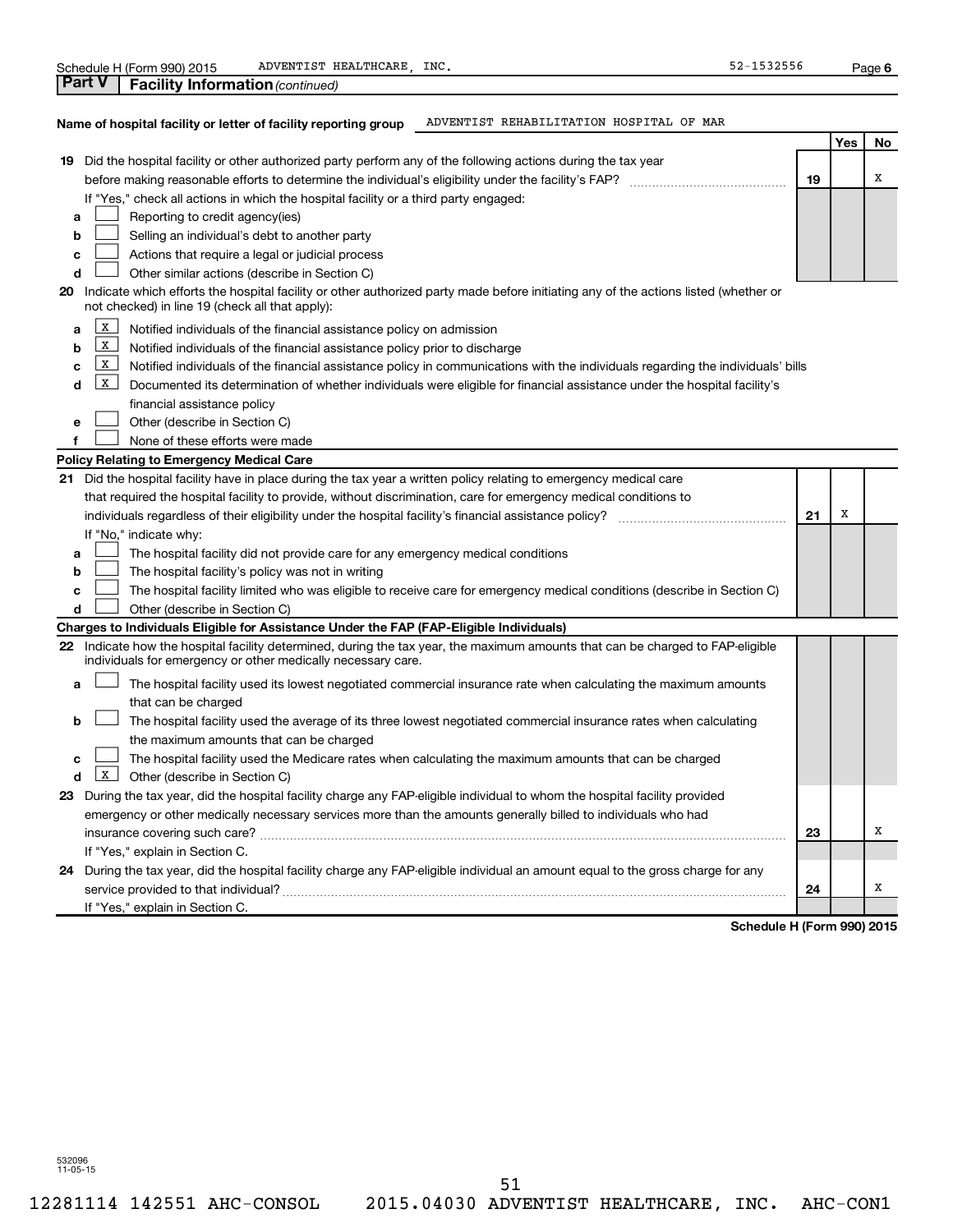| ADVENTIST HEALTHCARE, INC.<br>Schedule H (Form 990) 2015                                                                                                                                     | 52-1532556 |     | Page 6 |
|----------------------------------------------------------------------------------------------------------------------------------------------------------------------------------------------|------------|-----|--------|
| <b>Part V</b><br><b>Facility Information (continued)</b>                                                                                                                                     |            |     |        |
| ADVENTIST REHABILITATION HOSPITAL OF<br>MAR<br>Name of hospital facility or letter of facility reporting group                                                                               |            |     |        |
|                                                                                                                                                                                              |            | Yes | No     |
| Did the hospital facility or other authorized party perform any of the following actions during the tax year<br>19                                                                           |            |     |        |
| before making reasonable efforts to determine the individual's eligibility under the facility's FAP?                                                                                         | 19         |     | X      |
| If "Yes," check all actions in which the hospital facility or a third party engaged:                                                                                                         |            |     |        |
| Reporting to credit agency(ies)<br>a                                                                                                                                                         |            |     |        |
| Selling an individual's debt to another party<br>b                                                                                                                                           |            |     |        |
| Actions that require a legal or judicial process<br>c                                                                                                                                        |            |     |        |
| Other similar actions (describe in Section C)<br>d                                                                                                                                           |            |     |        |
| Indicate which efforts the hospital facility or other authorized party made before initiating any of the actions listed (whether or<br>20<br>not checked) in line 19 (check all that apply): |            |     |        |
| х<br>Notified individuals of the financial assistance policy on admission<br>a                                                                                                               |            |     |        |
| Y<br>Notified individuals of the financial assistance policy prior to disoberge                                                                                                              |            |     |        |

|  |  | <b>0</b> X Notified individuals of the financial assistance policy prior to discharge |
|--|--|---------------------------------------------------------------------------------------|
|--|--|---------------------------------------------------------------------------------------|

- **c**  $\boxed{\text{X}}$  Notified individuals of the financial assistance policy in communications with the individuals regarding the individuals' bills
- **d** IM Documented its determination of whether individuals were eligible for financial assistance under the hospital facility's financial assistance policy
- **e** Other (describe in Section C)  $\Box$

**f** None of these efforts were made  $\Box$ 

| <b>Policy Relating to Emergency Medical Care</b> |  |  |
|--------------------------------------------------|--|--|
|--------------------------------------------------|--|--|

| Did the hospital facility have in place during the tax year a written policy relating to emergency medical care                                                                                                                                                            |                                                                                                                                                                                                    |   |   |
|----------------------------------------------------------------------------------------------------------------------------------------------------------------------------------------------------------------------------------------------------------------------------|----------------------------------------------------------------------------------------------------------------------------------------------------------------------------------------------------|---|---|
| that required the hospital facility to provide, without discrimination, care for emergency medical conditions to                                                                                                                                                           |                                                                                                                                                                                                    |   |   |
| individuals regardless of their eligibility under the hospital facility's financial assistance policy?                                                                                                                                                                     | 21                                                                                                                                                                                                 | х |   |
| If "No," indicate why:                                                                                                                                                                                                                                                     |                                                                                                                                                                                                    |   |   |
| The hospital facility did not provide care for any emergency medical conditions                                                                                                                                                                                            |                                                                                                                                                                                                    |   |   |
| The hospital facility's policy was not in writing                                                                                                                                                                                                                          |                                                                                                                                                                                                    |   |   |
| The hospital facility limited who was eligible to receive care for emergency medical conditions (describe in Section C)                                                                                                                                                    |                                                                                                                                                                                                    |   |   |
| Other (describe in Section C)                                                                                                                                                                                                                                              |                                                                                                                                                                                                    |   |   |
|                                                                                                                                                                                                                                                                            |                                                                                                                                                                                                    |   |   |
| Indicate how the hospital facility determined, during the tax year, the maximum amounts that can be charged to FAP-eligible<br>individuals for emergency or other medically necessary care.                                                                                |                                                                                                                                                                                                    |   |   |
| The hospital facility used its lowest negotiated commercial insurance rate when calculating the maximum amounts                                                                                                                                                            |                                                                                                                                                                                                    |   |   |
| The hospital facility used the average of its three lowest negotiated commercial insurance rates when calculating                                                                                                                                                          |                                                                                                                                                                                                    |   |   |
| The hospital facility used the Medicare rates when calculating the maximum amounts that can be charged<br>x<br>Other (describe in Section C)                                                                                                                               |                                                                                                                                                                                                    |   |   |
| During the tax year, did the hospital facility charge any FAP-eligible individual to whom the hospital facility provided<br>emergency or other medically necessary services more than the amounts generally billed to individuals who had<br>insurance covering such care? | 23                                                                                                                                                                                                 |   | х |
| 22<br>23                                                                                                                                                                                                                                                                   | a<br>b<br>C<br>d<br>Charges to Individuals Eligible for Assistance Under the FAP (FAP-Eligible Individuals)<br>a<br>that can be charged<br>b<br>the maximum amounts that can be charged<br>c.<br>d |   |   |

| If "Yes," explain in Section C.                                                                                                  |    |  |
|----------------------------------------------------------------------------------------------------------------------------------|----|--|
| 24 During the tax year, did the hospital facility charge any FAP-eligible individual an amount equal to the gross charge for any |    |  |
| service provided to that individual?                                                                                             | 24 |  |
| If "Yes." explain in Section C.                                                                                                  |    |  |

**Schedule H (Form 990) 2015**

532096 11-05-15

51

12281114 142551 AHC-CONSOL 2015.04030 ADVENTIST HEALTHCARE, INC. AHC-CON1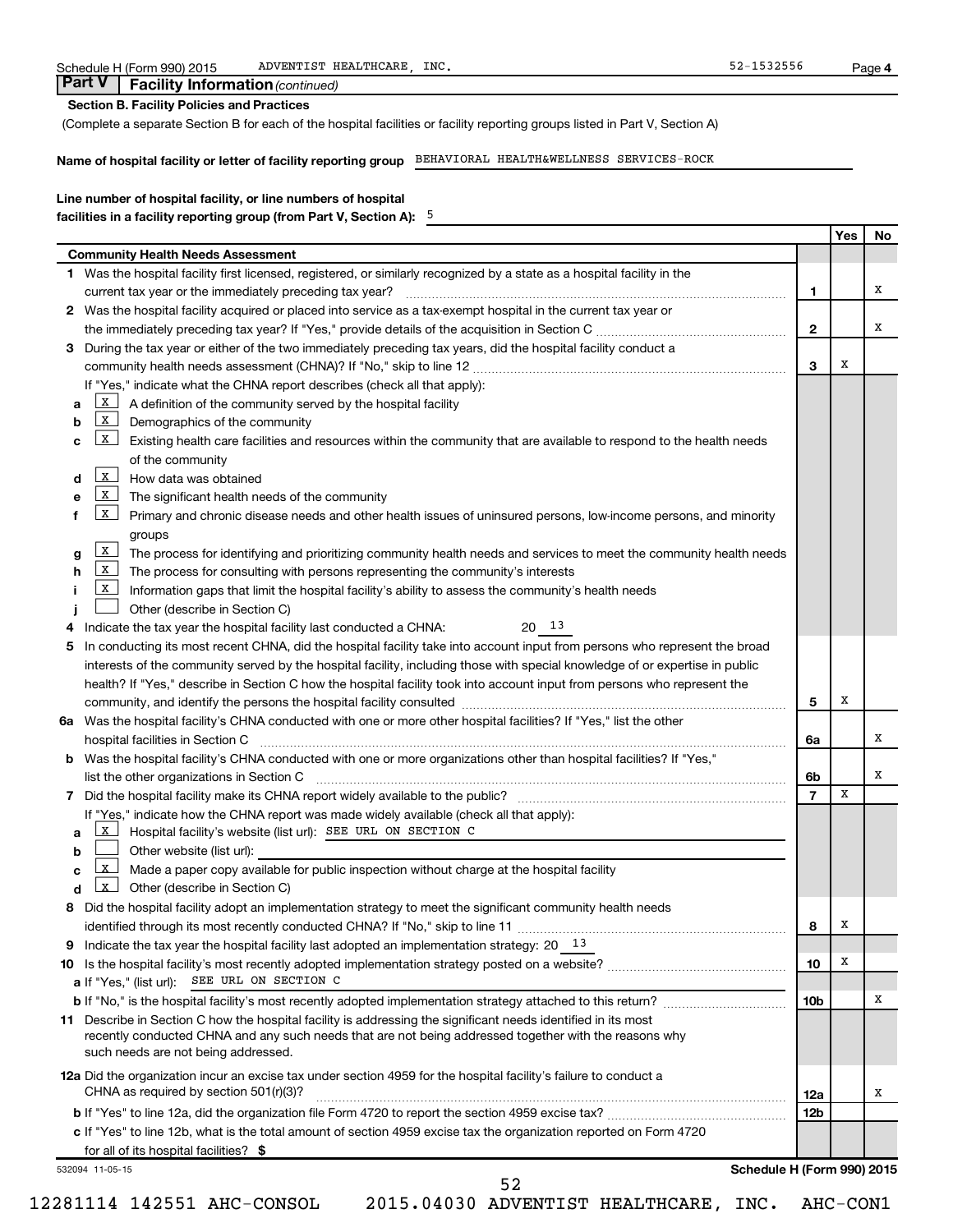#### **Section B. Facility Policies and Practices**

(Complete a separate Section B for each of the hospital facilities or facility reporting groups listed in Part V, Section A)

**Name of hospital facility or letter of facility reporting group** BEHAVIORAL HEALTH&WELLNESS SERVICES-ROCK

### **Line number of hospital facility, or line numbers of hospital**

| facilities in a facility reporting group (from Part V, Section A): $\,$ $^5$ |  |
|------------------------------------------------------------------------------|--|
|                                                                              |  |

|   |                                                                                                                                                                                                                                      |                 | Yes | No |
|---|--------------------------------------------------------------------------------------------------------------------------------------------------------------------------------------------------------------------------------------|-----------------|-----|----|
|   | <b>Community Health Needs Assessment</b>                                                                                                                                                                                             |                 |     |    |
|   | 1 Was the hospital facility first licensed, registered, or similarly recognized by a state as a hospital facility in the                                                                                                             |                 |     |    |
|   |                                                                                                                                                                                                                                      | 1               |     | х  |
|   | 2 Was the hospital facility acquired or placed into service as a tax-exempt hospital in the current tax year or                                                                                                                      |                 |     |    |
|   |                                                                                                                                                                                                                                      | $\mathbf{2}$    |     | x  |
| 3 | During the tax year or either of the two immediately preceding tax years, did the hospital facility conduct a                                                                                                                        |                 |     |    |
|   |                                                                                                                                                                                                                                      | 3               | x   |    |
|   | If "Yes," indicate what the CHNA report describes (check all that apply):                                                                                                                                                            |                 |     |    |
| a | X  <br>A definition of the community served by the hospital facility                                                                                                                                                                 |                 |     |    |
| b | $\mathbf{X}$<br>Demographics of the community                                                                                                                                                                                        |                 |     |    |
| с | $\lfloor x \rfloor$<br>Existing health care facilities and resources within the community that are available to respond to the health needs                                                                                          |                 |     |    |
|   | of the community                                                                                                                                                                                                                     |                 |     |    |
| d | $\mathbf{x}$<br>How data was obtained                                                                                                                                                                                                |                 |     |    |
| е | $\lfloor x \rfloor$<br>The significant health needs of the community                                                                                                                                                                 |                 |     |    |
| f | X<br>Primary and chronic disease needs and other health issues of uninsured persons, low-income persons, and minority                                                                                                                |                 |     |    |
|   | groups                                                                                                                                                                                                                               |                 |     |    |
| g | $\mathbf{x}$<br>The process for identifying and prioritizing community health needs and services to meet the community health needs                                                                                                  |                 |     |    |
| h | $\lfloor x \rfloor$<br>The process for consulting with persons representing the community's interests                                                                                                                                |                 |     |    |
|   | X<br>Information gaps that limit the hospital facility's ability to assess the community's health needs                                                                                                                              |                 |     |    |
|   | Other (describe in Section C)                                                                                                                                                                                                        |                 |     |    |
|   | Indicate the tax year the hospital facility last conducted a CHNA:<br>20 13                                                                                                                                                          |                 |     |    |
| 5 | In conducting its most recent CHNA, did the hospital facility take into account input from persons who represent the broad                                                                                                           |                 |     |    |
|   | interests of the community served by the hospital facility, including those with special knowledge of or expertise in public                                                                                                         |                 |     |    |
|   | health? If "Yes," describe in Section C how the hospital facility took into account input from persons who represent the                                                                                                             |                 |     |    |
|   |                                                                                                                                                                                                                                      | 5               | х   |    |
|   | 6a Was the hospital facility's CHNA conducted with one or more other hospital facilities? If "Yes," list the other                                                                                                                   |                 |     |    |
|   | hospital facilities in Section C <b>construes an according to the Construent Construent Construent Construent Construent Construent Construent Construent Construent Construent Construent Construent Construent Construent Cons</b> | 6a              |     | х  |
| b | Was the hospital facility's CHNA conducted with one or more organizations other than hospital facilities? If "Yes,"                                                                                                                  |                 |     |    |
|   | list the other organizations in Section C                                                                                                                                                                                            | 6b              |     | х  |
| 7 |                                                                                                                                                                                                                                      | $\overline{7}$  | Х   |    |
|   | If "Yes," indicate how the CHNA report was made widely available (check all that apply):                                                                                                                                             |                 |     |    |
| a | $\boxed{\textbf{X}}$ Hospital facility's website (list url): SEE URL ON SECTION C                                                                                                                                                    |                 |     |    |
| b | Other website (list url):                                                                                                                                                                                                            |                 |     |    |
| c | $\lfloor x \rfloor$ Made a paper copy available for public inspection without charge at the hospital facility                                                                                                                        |                 |     |    |
|   | $\boxed{\mathbf{X}}$ Other (describe in Section C)                                                                                                                                                                                   |                 |     |    |
|   | Did the hospital facility adopt an implementation strategy to meet the significant community health needs                                                                                                                            |                 |     |    |
|   |                                                                                                                                                                                                                                      | 8               | x   |    |
| 9 | Indicate the tax year the hospital facility last adopted an implementation strategy: $20-13$                                                                                                                                         |                 |     |    |
|   |                                                                                                                                                                                                                                      | 10              | х   |    |
|   | a If "Yes," (list url): SEE URL ON SECTION C                                                                                                                                                                                         |                 |     |    |
|   |                                                                                                                                                                                                                                      | 10b             |     | х  |
|   | 11 Describe in Section C how the hospital facility is addressing the significant needs identified in its most                                                                                                                        |                 |     |    |
|   | recently conducted CHNA and any such needs that are not being addressed together with the reasons why                                                                                                                                |                 |     |    |
|   | such needs are not being addressed.                                                                                                                                                                                                  |                 |     |    |
|   | 12a Did the organization incur an excise tax under section 4959 for the hospital facility's failure to conduct a                                                                                                                     |                 |     |    |
|   | CHNA as required by section $501(r)(3)?$                                                                                                                                                                                             | 12a             |     | х  |
|   |                                                                                                                                                                                                                                      | 12 <sub>b</sub> |     |    |
|   | c If "Yes" to line 12b, what is the total amount of section 4959 excise tax the organization reported on Form 4720                                                                                                                   |                 |     |    |
|   | for all of its hospital facilities? \$                                                                                                                                                                                               |                 |     |    |
|   | Schedule H (Form 990) 2015<br>532094 11-05-15                                                                                                                                                                                        |                 |     |    |

12281114 142551 AHC-CONSOL 2015.04030 ADVENTIST HEALTHCARE, INC. AHC-CON1

| 3 U<br>$_{(1)}$ | ADVEI |
|-----------------|-------|

**Schedule H (Form 990) 2015**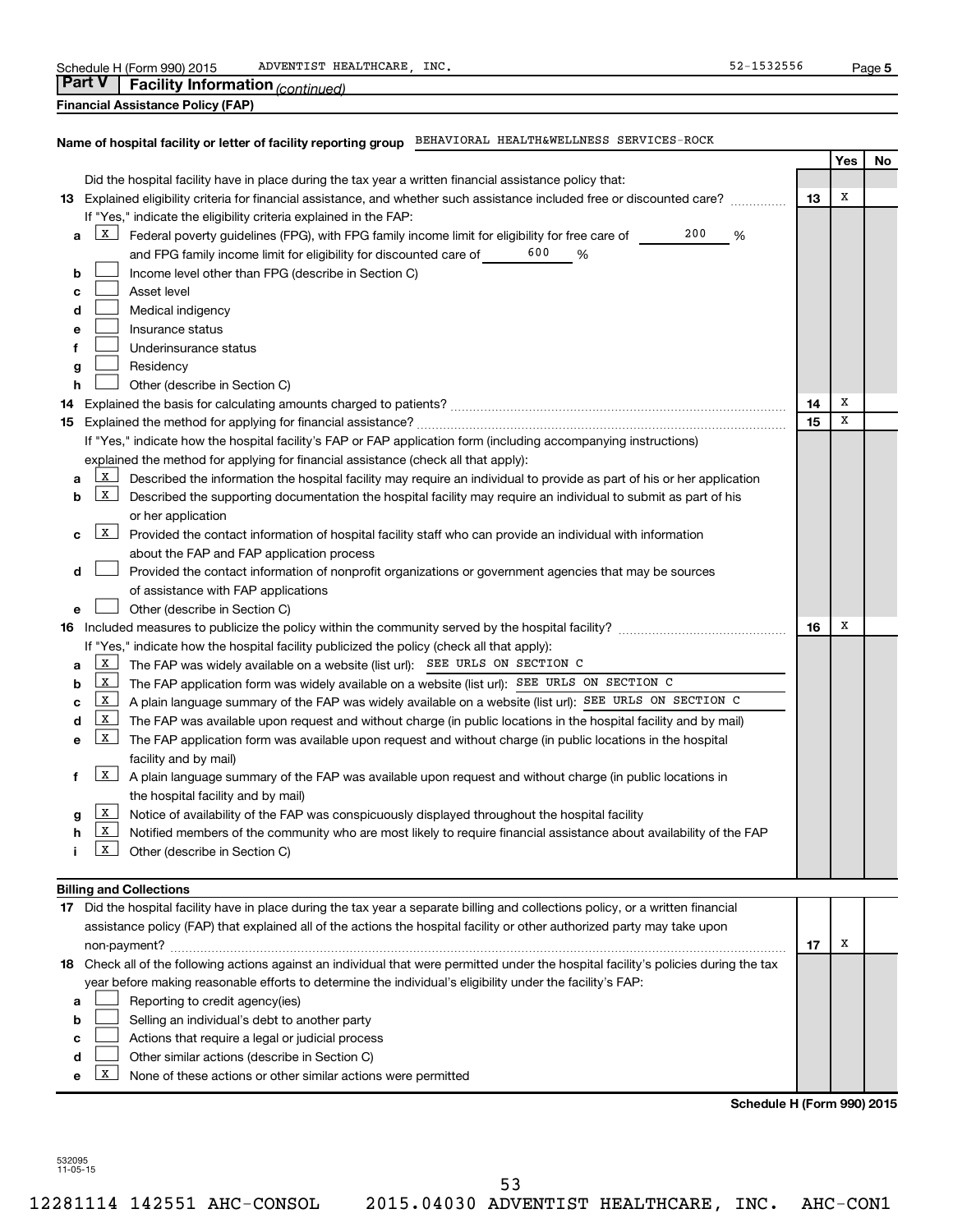|                                   | Schedule H (Form 990) 2015              | ADVENTIST HEALTHCARE | INC. | 52-1532556 | Page : |  |  |
|-----------------------------------|-----------------------------------------|----------------------|------|------------|--------|--|--|
| <b>Part V</b>                     | <b>Facility Information</b> (continued) |                      |      |            |        |  |  |
| Financial Assistance Policy (FAP) |                                         |                      |      |            |        |  |  |
|                                   |                                         |                      |      |            |        |  |  |

**5**

| Name of hospital facility or letter of facility reporting group BEHAVIORAL HEALTH&WELLNESS SERVICES-ROCK                                     |                                                                                                                        |    |     |    |
|----------------------------------------------------------------------------------------------------------------------------------------------|------------------------------------------------------------------------------------------------------------------------|----|-----|----|
|                                                                                                                                              |                                                                                                                        |    | Yes | No |
| Did the hospital facility have in place during the tax year a written financial assistance policy that:                                      |                                                                                                                        |    |     |    |
| 13 Explained eligibility criteria for financial assistance, and whether such assistance included free or discounted care?                    |                                                                                                                        | 13 | X   |    |
| If "Yes," indicate the eligibility criteria explained in the FAP:                                                                            |                                                                                                                        |    |     |    |
| $\lfloor x \rfloor$ Federal poverty guidelines (FPG), with FPG family income limit for eligibility for free care of $\lfloor x \rfloor$<br>а | 200<br>%                                                                                                               |    |     |    |
| and FPG family income limit for eligibility for discounted care of                                                                           | 600<br>%                                                                                                               |    |     |    |
| Income level other than FPG (describe in Section C)<br>b                                                                                     |                                                                                                                        |    |     |    |
| Asset level<br>с                                                                                                                             |                                                                                                                        |    |     |    |
| Medical indigency<br>d                                                                                                                       |                                                                                                                        |    |     |    |
| Insurance status<br>е                                                                                                                        |                                                                                                                        |    |     |    |
| Underinsurance status                                                                                                                        |                                                                                                                        |    |     |    |
| Residency<br>g                                                                                                                               |                                                                                                                        |    |     |    |
| Other (describe in Section C)<br>h                                                                                                           |                                                                                                                        |    |     |    |
| 14.                                                                                                                                          |                                                                                                                        | 14 | х   |    |
|                                                                                                                                              |                                                                                                                        | 15 | х   |    |
| If "Yes," indicate how the hospital facility's FAP or FAP application form (including accompanying instructions)                             |                                                                                                                        |    |     |    |
| explained the method for applying for financial assistance (check all that apply):                                                           |                                                                                                                        |    |     |    |
| X <br>а                                                                                                                                      | Described the information the hospital facility may require an individual to provide as part of his or her application |    |     |    |
| $\lfloor x \rfloor$<br>b                                                                                                                     | Described the supporting documentation the hospital facility may require an individual to submit as part of his        |    |     |    |
| or her application                                                                                                                           |                                                                                                                        |    |     |    |
| $X$ Provided the contact information of hospital facility staff who can provide an individual with information<br>с                          |                                                                                                                        |    |     |    |
| about the FAP and FAP application process                                                                                                    |                                                                                                                        |    |     |    |
| Provided the contact information of nonprofit organizations or government agencies that may be sources<br>d                                  |                                                                                                                        |    |     |    |
| of assistance with FAP applications                                                                                                          |                                                                                                                        |    |     |    |
| Other (describe in Section C)<br>е                                                                                                           |                                                                                                                        |    |     |    |
|                                                                                                                                              |                                                                                                                        | 16 | X   |    |
| If "Yes," indicate how the hospital facility publicized the policy (check all that apply):                                                   |                                                                                                                        |    |     |    |
| X <br>The FAP was widely available on a website (list url): SEE URLS ON SECTION C<br>а                                                       |                                                                                                                        |    |     |    |
| $\lfloor x \rfloor$<br>The FAP application form was widely available on a website (list url): SEE URLS ON SECTION C<br>b                     |                                                                                                                        |    |     |    |
| $\mathbf{X}$<br>с                                                                                                                            | A plain language summary of the FAP was widely available on a website (list url): SEE URLS ON SECTION C                |    |     |    |
| $\mathbf{X}$<br>d                                                                                                                            | The FAP was available upon request and without charge (in public locations in the hospital facility and by mail)       |    |     |    |
| $\mathbf{X}$<br>The FAP application form was available upon request and without charge (in public locations in the hospital<br>е             |                                                                                                                        |    |     |    |
| facility and by mail)                                                                                                                        |                                                                                                                        |    |     |    |
| $\mathbf{X}$<br>A plain language summary of the FAP was available upon request and without charge (in public locations in<br>f               |                                                                                                                        |    |     |    |
| the hospital facility and by mail)                                                                                                           |                                                                                                                        |    |     |    |
| $\lfloor x \rfloor$<br>Notice of availability of the FAP was conspicuously displayed throughout the hospital facility<br>g                   |                                                                                                                        |    |     |    |
|                                                                                                                                              | Notified members of the community who are most likely to require financial assistance about availability of the FAP    |    |     |    |
| X<br>Other (describe in Section C)<br>j.                                                                                                     |                                                                                                                        |    |     |    |
| <b>Billing and Collections</b>                                                                                                               |                                                                                                                        |    |     |    |
| 17 Did the hospital facility have in place during the tax year a separate billing and collections policy, or a written financial             |                                                                                                                        |    |     |    |
| assistance policy (FAP) that explained all of the actions the hospital facility or other authorized party may take upon                      |                                                                                                                        |    |     |    |
|                                                                                                                                              |                                                                                                                        | 17 | X   |    |
|                                                                                                                                              |                                                                                                                        |    |     |    |

**18** Check all of the following actions against an individual that were permitted under the hospital facility's policies during the tax year before making reasonable efforts to determine the individual's eligibility under the facility's FAP:

**a b** Reporting to credit agency(ies)  $\Box$ 

Selling an individual's debt to another party  $\Box$ 

- **c d** Actions that require a legal or judicial process  $\Box$
- **e** Other similar actions (describe in Section C)  $\Box$ 
	- $\boxed{\text{X}}$  None of these actions or other similar actions were permitted

**Schedule H (Form 990) 2015**

532095 11-05-15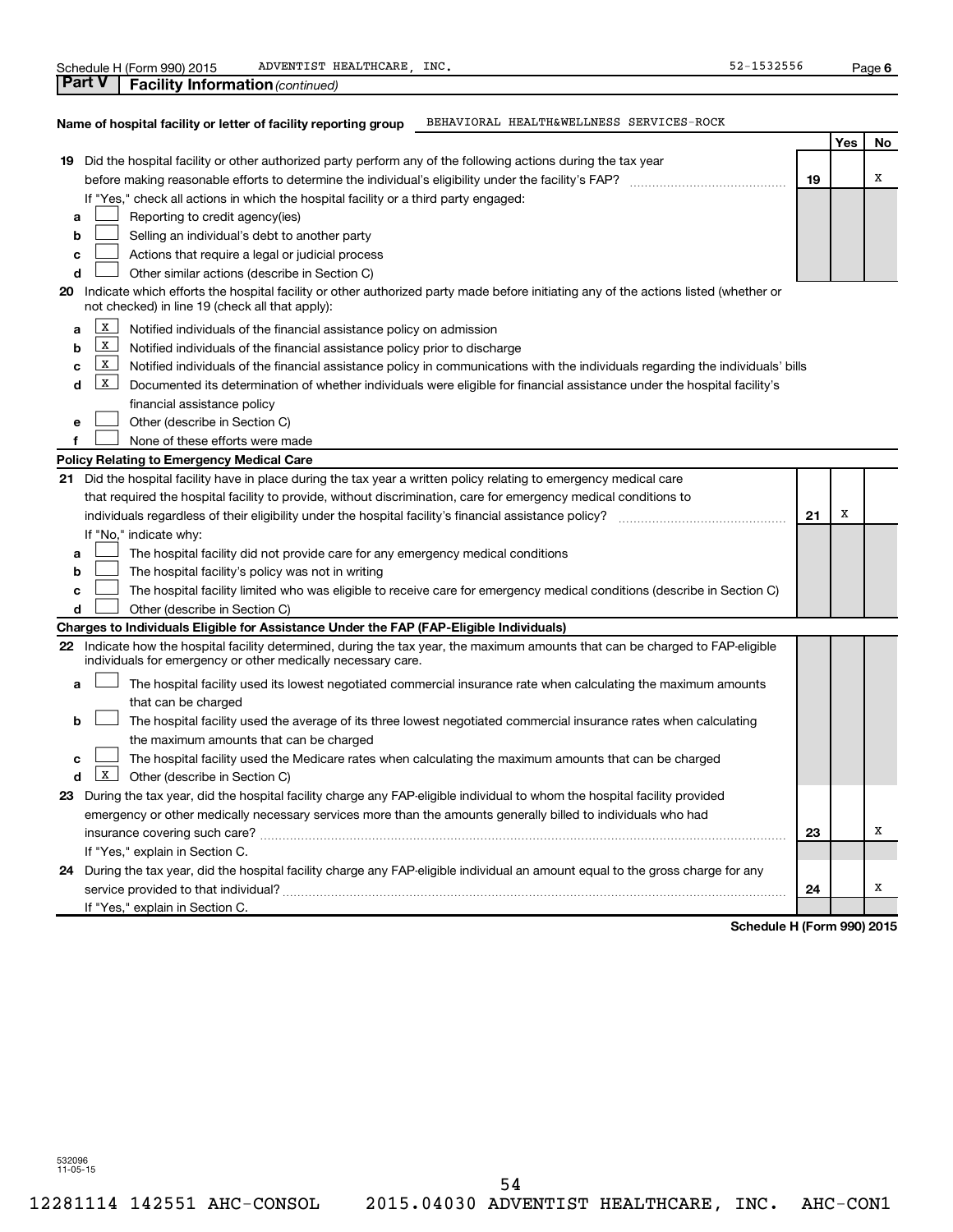Schedule H (Form 990) 2015 ADVENTIST HEALTHCARE, INC. 52-1532556 ADVENTIST HEALTHCARE, INC.

|               | Schedule H (Form 990) 2015                                      | ADVENTIST HEALTHCARE                     | INC. |  | 52-1532556 | Page 6 |
|---------------|-----------------------------------------------------------------|------------------------------------------|------|--|------------|--------|
| <b>Part V</b> | <b>Facility Information</b> (continued)                         |                                          |      |  |            |        |
|               |                                                                 |                                          |      |  |            |        |
|               | Name of hospital facility or letter of facility reporting group | BEHAVIORAL HEALTH&WELLNESS SERVICES-ROCK |      |  |            |        |

|    |                                                                                                                                                                                                |    | Yes | No |
|----|------------------------------------------------------------------------------------------------------------------------------------------------------------------------------------------------|----|-----|----|
| 19 | Did the hospital facility or other authorized party perform any of the following actions during the tax year                                                                                   |    |     |    |
|    |                                                                                                                                                                                                | 19 |     | x  |
|    | If "Yes," check all actions in which the hospital facility or a third party engaged:                                                                                                           |    |     |    |
| a  | Reporting to credit agency(ies)                                                                                                                                                                |    |     |    |
| b  | Selling an individual's debt to another party                                                                                                                                                  |    |     |    |
| C  | Actions that require a legal or judicial process                                                                                                                                               |    |     |    |
| d  | Other similar actions (describe in Section C)                                                                                                                                                  |    |     |    |
| 20 | Indicate which efforts the hospital facility or other authorized party made before initiating any of the actions listed (whether or<br>not checked) in line 19 (check all that apply):         |    |     |    |
| a  | x<br>Notified individuals of the financial assistance policy on admission                                                                                                                      |    |     |    |
| b  | $\mathbf{x}$<br>Notified individuals of the financial assistance policy prior to discharge                                                                                                     |    |     |    |
| c  | x<br>Notified individuals of the financial assistance policy in communications with the individuals regarding the individuals' bills                                                           |    |     |    |
| d  | X  <br>Documented its determination of whether individuals were eligible for financial assistance under the hospital facility's                                                                |    |     |    |
|    | financial assistance policy                                                                                                                                                                    |    |     |    |
| е  | Other (describe in Section C)                                                                                                                                                                  |    |     |    |
| f  | None of these efforts were made                                                                                                                                                                |    |     |    |
|    | <b>Policy Relating to Emergency Medical Care</b>                                                                                                                                               |    |     |    |
|    | 21 Did the hospital facility have in place during the tax year a written policy relating to emergency medical care                                                                             |    |     |    |
|    | that required the hospital facility to provide, without discrimination, care for emergency medical conditions to                                                                               |    |     |    |
|    |                                                                                                                                                                                                | 21 | X   |    |
|    | If "No," indicate why:                                                                                                                                                                         |    |     |    |
| a  | The hospital facility did not provide care for any emergency medical conditions                                                                                                                |    |     |    |
| b  | The hospital facility's policy was not in writing                                                                                                                                              |    |     |    |
| c  | The hospital facility limited who was eligible to receive care for emergency medical conditions (describe in Section C)                                                                        |    |     |    |
| d  | Other (describe in Section C)                                                                                                                                                                  |    |     |    |
|    | Charges to Individuals Eligible for Assistance Under the FAP (FAP-Eligible Individuals)                                                                                                        |    |     |    |
|    | 22 Indicate how the hospital facility determined, during the tax year, the maximum amounts that can be charged to FAP-eligible<br>individuals for emergency or other medically necessary care. |    |     |    |
| a  | The hospital facility used its lowest negotiated commercial insurance rate when calculating the maximum amounts                                                                                |    |     |    |
|    | that can be charged                                                                                                                                                                            |    |     |    |
| b  | The hospital facility used the average of its three lowest negotiated commercial insurance rates when calculating                                                                              |    |     |    |
|    | the maximum amounts that can be charged                                                                                                                                                        |    |     |    |
| c  | The hospital facility used the Medicare rates when calculating the maximum amounts that can be charged                                                                                         |    |     |    |
| d  | $\mathbf{x}$<br>Other (describe in Section C)                                                                                                                                                  |    |     |    |
| 23 | During the tax year, did the hospital facility charge any FAP-eligible individual to whom the hospital facility provided                                                                       |    |     |    |
|    | emergency or other medically necessary services more than the amounts generally billed to individuals who had                                                                                  |    |     |    |
|    |                                                                                                                                                                                                | 23 |     | x  |
|    | If "Yes," explain in Section C.                                                                                                                                                                |    |     |    |
|    | 24 During the tax year, did the hospital facility charge any FAP-eligible individual an amount equal to the gross charge for any                                                               |    |     |    |
|    |                                                                                                                                                                                                | 24 |     | x  |
|    | If "Yes," explain in Section C.                                                                                                                                                                |    |     |    |

**Schedule H (Form 990) 2015**

532096 11-05-15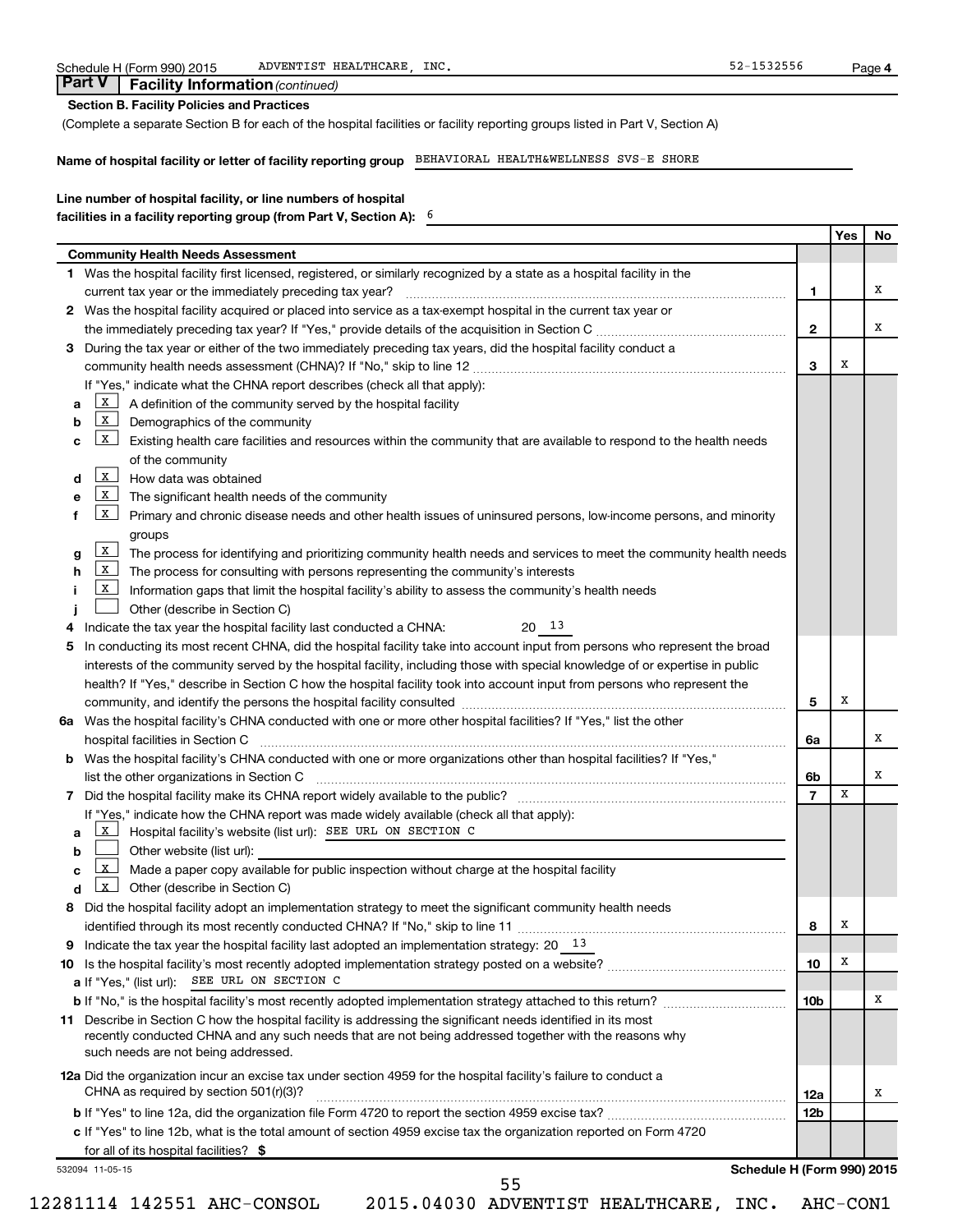#### **Section B. Facility Policies and Practices**

(Complete a separate Section B for each of the hospital facilities or facility reporting groups listed in Part V, Section A)

**Name of hospital facility or letter of facility reporting group** BEHAVIORAL HEALTH&WELLNESS SVS-E SHORE

### **Line number of hospital facility, or line numbers of hospital**

| facilities in a facility reporting group (from Part V, Section A): $\,$ $^6$ |  |
|------------------------------------------------------------------------------|--|
|------------------------------------------------------------------------------|--|

|   |                                                                                                                                                                                                                                      |                 | Yes | No |
|---|--------------------------------------------------------------------------------------------------------------------------------------------------------------------------------------------------------------------------------------|-----------------|-----|----|
|   | <b>Community Health Needs Assessment</b>                                                                                                                                                                                             |                 |     |    |
|   | 1 Was the hospital facility first licensed, registered, or similarly recognized by a state as a hospital facility in the                                                                                                             |                 |     |    |
|   |                                                                                                                                                                                                                                      | 1               |     | х  |
|   | 2 Was the hospital facility acquired or placed into service as a tax-exempt hospital in the current tax year or                                                                                                                      |                 |     |    |
|   |                                                                                                                                                                                                                                      | $\mathbf{2}$    |     | x  |
| 3 | During the tax year or either of the two immediately preceding tax years, did the hospital facility conduct a                                                                                                                        |                 |     |    |
|   |                                                                                                                                                                                                                                      | 3               | x   |    |
|   | If "Yes," indicate what the CHNA report describes (check all that apply):                                                                                                                                                            |                 |     |    |
| a | X  <br>A definition of the community served by the hospital facility                                                                                                                                                                 |                 |     |    |
| b | $\mathbf{X}$<br>Demographics of the community                                                                                                                                                                                        |                 |     |    |
| с | $\lfloor x \rfloor$<br>Existing health care facilities and resources within the community that are available to respond to the health needs                                                                                          |                 |     |    |
|   | of the community                                                                                                                                                                                                                     |                 |     |    |
| d | $\mathbf{x}$<br>How data was obtained                                                                                                                                                                                                |                 |     |    |
| е | $\lfloor x \rfloor$<br>The significant health needs of the community                                                                                                                                                                 |                 |     |    |
| f | X<br>Primary and chronic disease needs and other health issues of uninsured persons, low-income persons, and minority                                                                                                                |                 |     |    |
|   | groups                                                                                                                                                                                                                               |                 |     |    |
| g | $\mathbf{x}$<br>The process for identifying and prioritizing community health needs and services to meet the community health needs                                                                                                  |                 |     |    |
| h | $\lfloor x \rfloor$<br>The process for consulting with persons representing the community's interests                                                                                                                                |                 |     |    |
|   | X<br>Information gaps that limit the hospital facility's ability to assess the community's health needs                                                                                                                              |                 |     |    |
|   | Other (describe in Section C)                                                                                                                                                                                                        |                 |     |    |
|   | Indicate the tax year the hospital facility last conducted a CHNA:<br>20 13                                                                                                                                                          |                 |     |    |
| 5 | In conducting its most recent CHNA, did the hospital facility take into account input from persons who represent the broad                                                                                                           |                 |     |    |
|   | interests of the community served by the hospital facility, including those with special knowledge of or expertise in public                                                                                                         |                 |     |    |
|   | health? If "Yes," describe in Section C how the hospital facility took into account input from persons who represent the                                                                                                             |                 |     |    |
|   |                                                                                                                                                                                                                                      | 5               | х   |    |
|   | 6a Was the hospital facility's CHNA conducted with one or more other hospital facilities? If "Yes," list the other                                                                                                                   |                 |     |    |
|   | hospital facilities in Section C <b>construes an according to the Construent Construent Construent Construent Construent Construent Construent Construent Construent Construent Construent Construent Construent Construent Cons</b> | 6a              |     | х  |
| b | Was the hospital facility's CHNA conducted with one or more organizations other than hospital facilities? If "Yes,"                                                                                                                  |                 |     |    |
|   | list the other organizations in Section C                                                                                                                                                                                            | 6b              |     | х  |
| 7 |                                                                                                                                                                                                                                      | $\overline{7}$  | Х   |    |
|   | If "Yes," indicate how the CHNA report was made widely available (check all that apply):                                                                                                                                             |                 |     |    |
| a | $\boxed{\textbf{X}}$ Hospital facility's website (list url): SEE URL ON SECTION C                                                                                                                                                    |                 |     |    |
| b | Other website (list url):                                                                                                                                                                                                            |                 |     |    |
| c | $\lfloor x \rfloor$ Made a paper copy available for public inspection without charge at the hospital facility                                                                                                                        |                 |     |    |
|   | $\boxed{\mathbf{X}}$ Other (describe in Section C)                                                                                                                                                                                   |                 |     |    |
|   | Did the hospital facility adopt an implementation strategy to meet the significant community health needs                                                                                                                            |                 |     |    |
|   |                                                                                                                                                                                                                                      | 8               | x   |    |
| 9 | Indicate the tax year the hospital facility last adopted an implementation strategy: $20-13$                                                                                                                                         |                 |     |    |
|   |                                                                                                                                                                                                                                      | 10              | х   |    |
|   | a If "Yes," (list url): SEE URL ON SECTION C                                                                                                                                                                                         |                 |     |    |
|   |                                                                                                                                                                                                                                      | 10b             |     | х  |
|   | 11 Describe in Section C how the hospital facility is addressing the significant needs identified in its most                                                                                                                        |                 |     |    |
|   | recently conducted CHNA and any such needs that are not being addressed together with the reasons why                                                                                                                                |                 |     |    |
|   | such needs are not being addressed.                                                                                                                                                                                                  |                 |     |    |
|   | 12a Did the organization incur an excise tax under section 4959 for the hospital facility's failure to conduct a                                                                                                                     |                 |     |    |
|   | CHNA as required by section $501(r)(3)?$                                                                                                                                                                                             | 12a             |     | х  |
|   |                                                                                                                                                                                                                                      | 12 <sub>b</sub> |     |    |
|   | c If "Yes" to line 12b, what is the total amount of section 4959 excise tax the organization reported on Form 4720                                                                                                                   |                 |     |    |
|   | for all of its hospital facilities? \$                                                                                                                                                                                               |                 |     |    |
|   | Schedule H (Form 990) 2015<br>532094 11-05-15                                                                                                                                                                                        |                 |     |    |

12281114 142551 AHC-CONSOL 2015.04030 ADVENTIST HEALTHCARE, INC. AHC-CON1

55

**Schedule H (Form 990) 2015**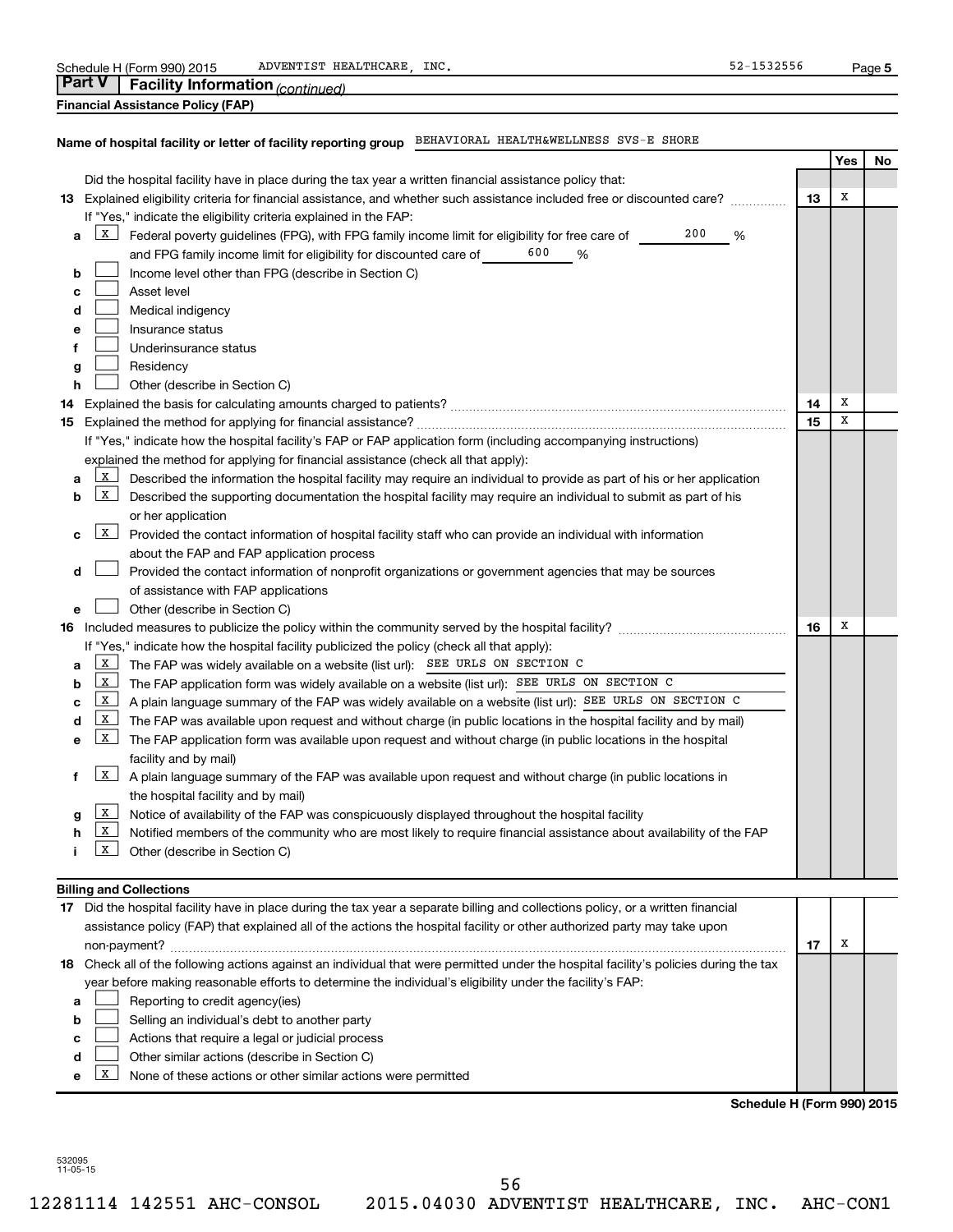|    |                     | Schedule H (Form 990) 2015               | ADVENTIST HEALTHCARE INC.                                                                  |                                                                                                                                       | 52-1532556 |     | Page 5 |
|----|---------------------|------------------------------------------|--------------------------------------------------------------------------------------------|---------------------------------------------------------------------------------------------------------------------------------------|------------|-----|--------|
|    | <b>Part V</b>       | Facility Information (continued)         |                                                                                            |                                                                                                                                       |            |     |        |
|    |                     | <b>Financial Assistance Policy (FAP)</b> |                                                                                            |                                                                                                                                       |            |     |        |
|    |                     |                                          |                                                                                            |                                                                                                                                       |            |     |        |
|    |                     |                                          |                                                                                            | Name of hospital facility or letter of facility reporting group BEHAVIORAL HEALTH&WELLNESS SVS-E SHORE                                |            |     |        |
|    |                     |                                          |                                                                                            |                                                                                                                                       |            | Yes | No     |
|    |                     |                                          |                                                                                            | Did the hospital facility have in place during the tax year a written financial assistance policy that:                               |            |     |        |
|    |                     |                                          |                                                                                            | 13 Explained eligibility criteria for financial assistance, and whether such assistance included free or discounted care?             | 13         | X   |        |
|    |                     |                                          | If "Yes," indicate the eligibility criteria explained in the FAP:                          |                                                                                                                                       |            |     |        |
| a  | X                   |                                          |                                                                                            | 200<br>Federal poverty guidelines (FPG), with FPG family income limit for eligibility for free care of                                | %          |     |        |
|    |                     |                                          | and FPG family income limit for eligibility for discounted care of                         | 600<br>%                                                                                                                              |            |     |        |
| b  |                     |                                          | Income level other than FPG (describe in Section C)                                        |                                                                                                                                       |            |     |        |
| с  |                     | Asset level                              |                                                                                            |                                                                                                                                       |            |     |        |
| d  |                     | Medical indigency                        |                                                                                            |                                                                                                                                       |            |     |        |
| е  |                     | Insurance status                         |                                                                                            |                                                                                                                                       |            |     |        |
| f  |                     | Underinsurance status                    |                                                                                            |                                                                                                                                       |            |     |        |
| g  |                     | Residency                                |                                                                                            |                                                                                                                                       |            |     |        |
| h  |                     | Other (describe in Section C)            |                                                                                            |                                                                                                                                       |            |     |        |
| 14 |                     |                                          |                                                                                            |                                                                                                                                       | 14         | х   |        |
| 15 |                     |                                          |                                                                                            |                                                                                                                                       | 15         | X   |        |
|    |                     |                                          |                                                                                            | If "Yes," indicate how the hospital facility's FAP or FAP application form (including accompanying instructions)                      |            |     |        |
|    |                     |                                          | explained the method for applying for financial assistance (check all that apply):         |                                                                                                                                       |            |     |        |
| а  | X                   |                                          |                                                                                            | Described the information the hospital facility may require an individual to provide as part of his or her application                |            |     |        |
| b  | $\lfloor x \rfloor$ |                                          |                                                                                            | Described the supporting documentation the hospital facility may require an individual to submit as part of his                       |            |     |        |
|    |                     | or her application                       |                                                                                            |                                                                                                                                       |            |     |        |
| с  | $\lfloor x \rfloor$ |                                          |                                                                                            | Provided the contact information of hospital facility staff who can provide an individual with information                            |            |     |        |
|    |                     |                                          | about the FAP and FAP application process                                                  |                                                                                                                                       |            |     |        |
| d  |                     |                                          |                                                                                            | Provided the contact information of nonprofit organizations or government agencies that may be sources                                |            |     |        |
|    |                     | of assistance with FAP applications      |                                                                                            |                                                                                                                                       |            |     |        |
| е  |                     | Other (describe in Section C)            |                                                                                            |                                                                                                                                       |            |     |        |
| 16 |                     |                                          |                                                                                            |                                                                                                                                       | 16         | х   |        |
|    |                     |                                          | If "Yes," indicate how the hospital facility publicized the policy (check all that apply): |                                                                                                                                       |            |     |        |
| a  | $\mathbf{X}$        |                                          |                                                                                            | The FAP was widely available on a website (list url): SEE URLS ON SECTION C                                                           |            |     |        |
| b  | $\lfloor x \rfloor$ |                                          |                                                                                            | The FAP application form was widely available on a website (list url): SEE URLS ON SECTION C                                          |            |     |        |
| с  | $\mathbf{X}$        |                                          |                                                                                            | A plain language summary of the FAP was widely available on a website (list url): SEE URLS ON SECTION C                               |            |     |        |
| d  | $\mathbf{X}$        |                                          |                                                                                            | The FAP was available upon request and without charge (in public locations in the hospital facility and by mail)                      |            |     |        |
| e  | $\lfloor x \rfloor$ |                                          |                                                                                            | The FAP application form was available upon request and without charge (in public locations in the hospital                           |            |     |        |
|    |                     | facility and by mail)                    |                                                                                            |                                                                                                                                       |            |     |        |
| f  | X                   |                                          |                                                                                            | A plain language summary of the FAP was available upon request and without charge (in public locations in                             |            |     |        |
|    |                     | the hospital facility and by mail)       |                                                                                            |                                                                                                                                       |            |     |        |
| g  | $\mathbf{X}$        |                                          |                                                                                            | Notice of availability of the FAP was conspicuously displayed throughout the hospital facility                                        |            |     |        |
| h  | $\lfloor x \rfloor$ |                                          |                                                                                            | Notified members of the community who are most likely to require financial assistance about availability of the FAP                   |            |     |        |
| Ť  | X                   | Other (describe in Section C)            |                                                                                            |                                                                                                                                       |            |     |        |
|    |                     |                                          |                                                                                            |                                                                                                                                       |            |     |        |
|    |                     | <b>Billing and Collections</b>           |                                                                                            |                                                                                                                                       |            |     |        |
|    |                     |                                          |                                                                                            | 17 Did the hospital facility have in place during the tax year a separate billing and collections policy, or a written financial      |            |     |        |
|    |                     |                                          |                                                                                            | assistance policy (FAP) that explained all of the actions the hospital facility or other authorized party may take upon               |            |     |        |
|    |                     |                                          |                                                                                            |                                                                                                                                       | 17         | x   |        |
|    |                     |                                          |                                                                                            | 18 Check all of the following actions against an individual that were permitted under the hospital facility's policies during the tax |            |     |        |
|    |                     |                                          |                                                                                            | year before making reasonable efforts to determine the individual's eligibility under the facility's FAP:                             |            |     |        |
| a  |                     | Reporting to credit agency(ies)          |                                                                                            |                                                                                                                                       |            |     |        |

- **b** Selling an individual's debt to another party  $\Box$
- **c** Actions that require a legal or judicial process  $\Box$
- **d e** Other similar actions (describe in Section C)  $\Box$ 
	- $\boxed{\text{X}}$  None of these actions or other similar actions were permitted

**Schedule H (Form 990) 2015**

532095 11-05-15

12281114 142551 AHC-CONSOL 2015.04030 ADVENTIST HEALTHCARE, INC. AHC-CON1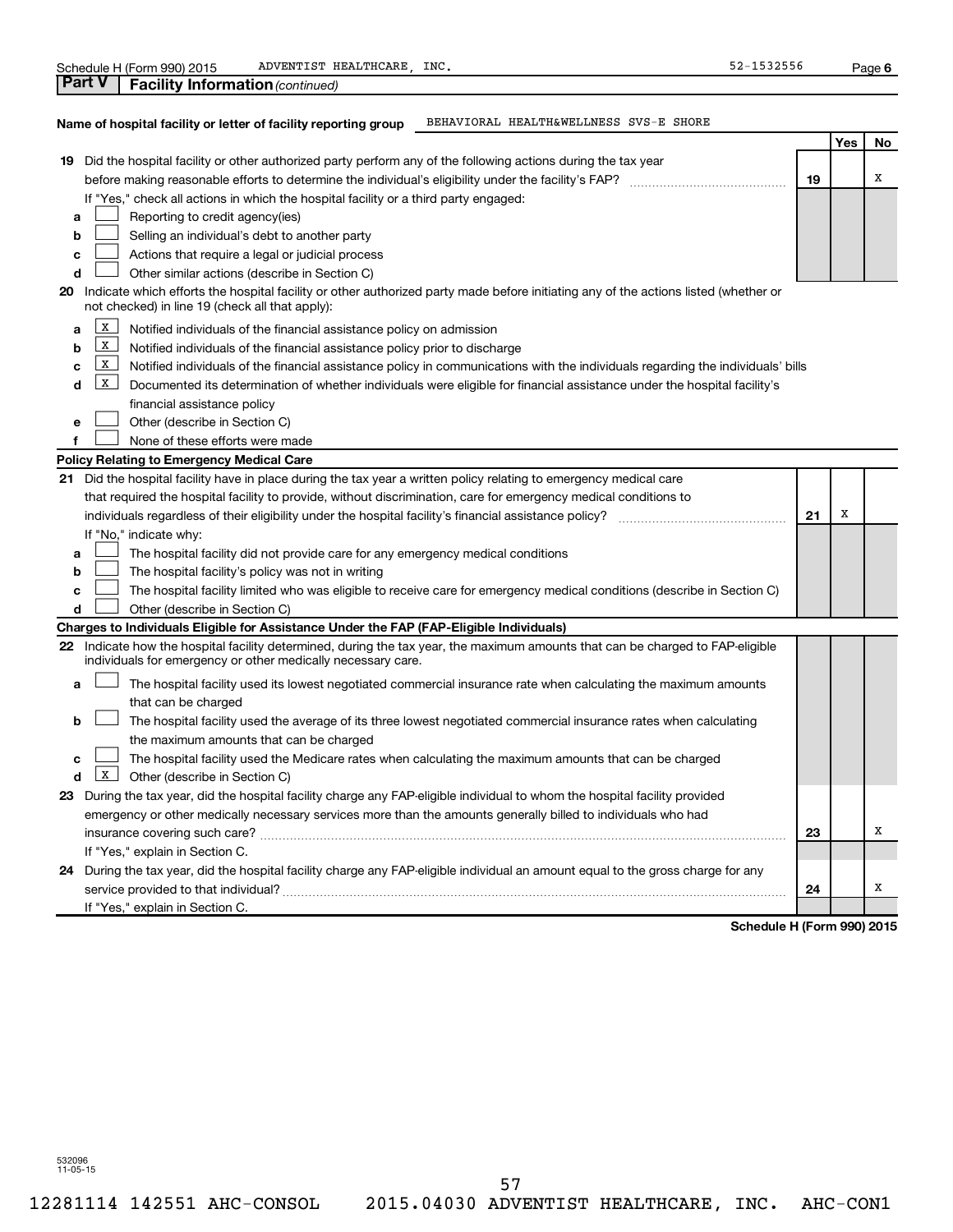|    |               | Schedule H (Form 990) 2015                       | ADVENTIST HEALTHCARE INC.                                                            |                                                                                                              |                                                                                                                                     | 52-1532556 |            | Page 6 |
|----|---------------|--------------------------------------------------|--------------------------------------------------------------------------------------|--------------------------------------------------------------------------------------------------------------|-------------------------------------------------------------------------------------------------------------------------------------|------------|------------|--------|
|    | <b>Part V</b> | <b>Facility Information (continued)</b>          |                                                                                      |                                                                                                              |                                                                                                                                     |            |            |        |
|    |               |                                                  | Name of hospital facility or letter of facility reporting group                      | BEHAVIORAL HEALTH&WELLNESS SVS-E SHORE                                                                       |                                                                                                                                     |            |            |        |
|    |               |                                                  |                                                                                      |                                                                                                              |                                                                                                                                     |            | <b>Yes</b> | No.    |
| 19 |               |                                                  |                                                                                      | Did the hospital facility or other authorized party perform any of the following actions during the tax year |                                                                                                                                     |            |            |        |
|    |               |                                                  |                                                                                      | before making reasonable efforts to determine the individual's eligibility under the facility's FAP?         |                                                                                                                                     | 19         |            | х      |
|    |               |                                                  | If "Yes," check all actions in which the hospital facility or a third party engaged: |                                                                                                              |                                                                                                                                     |            |            |        |
| a  |               | Reporting to credit agency(ies)                  |                                                                                      |                                                                                                              |                                                                                                                                     |            |            |        |
| b  |               | Selling an individual's debt to another party    |                                                                                      |                                                                                                              |                                                                                                                                     |            |            |        |
| c  |               | Actions that require a legal or judicial process |                                                                                      |                                                                                                              |                                                                                                                                     |            |            |        |
| d  |               | Other similar actions (describe in Section C)    |                                                                                      |                                                                                                              |                                                                                                                                     |            |            |        |
| 20 |               | not checked) in line 19 (check all that apply):  |                                                                                      |                                                                                                              | Indicate which efforts the hospital facility or other authorized party made before initiating any of the actions listed (whether or |            |            |        |
| a  | x             |                                                  | Notified individuals of the financial assistance policy on admission                 |                                                                                                              |                                                                                                                                     |            |            |        |
| b  | X             |                                                  | Notified individuals of the financial assistance policy prior to discharge           |                                                                                                              |                                                                                                                                     |            |            |        |

|  | c $X$ Notified individuals of the financial assistance policy in communications with the individuals regarding the individuals' bills  |
|--|----------------------------------------------------------------------------------------------------------------------------------------|
|  | $\frac{X}{1}$ Documented its determination of whether individuals were eligible for financial assistance under the hospital facility's |
|  | financial assistance policy                                                                                                            |

|             | illianolar abbiotanico policy |                               |  |
|-------------|-------------------------------|-------------------------------|--|
| $\mathbf e$ |                               | Other (describe in Section C) |  |

> **f** None of these efforts were made  $\Box$

#### **Policy Relating to Emergency Medical Care**

If "Yes," explain in Section C.

If "Yes," explain in Section C.

| 21 | Did the hospital facility have in place during the tax year a written policy relating to emergency medical care                                                                             |    |   |  |
|----|---------------------------------------------------------------------------------------------------------------------------------------------------------------------------------------------|----|---|--|
|    | that required the hospital facility to provide, without discrimination, care for emergency medical conditions to                                                                            |    |   |  |
|    | individuals regardless of their eligibility under the hospital facility's financial assistance policy?                                                                                      | 21 | х |  |
|    | If "No," indicate why:                                                                                                                                                                      |    |   |  |
|    | The hospital facility did not provide care for any emergency medical conditions<br>a                                                                                                        |    |   |  |
|    | The hospital facility's policy was not in writing<br>b                                                                                                                                      |    |   |  |
| с  | The hospital facility limited who was eligible to receive care for emergency medical conditions (describe in Section C)                                                                     |    |   |  |
|    | Other (describe in Section C)<br>d                                                                                                                                                          |    |   |  |
|    | Charges to Individuals Eligible for Assistance Under the FAP (FAP-Eligible Individuals)                                                                                                     |    |   |  |
| 22 | Indicate how the hospital facility determined, during the tax year, the maximum amounts that can be charged to FAP-eligible<br>individuals for emergency or other medically necessary care. |    |   |  |
|    | The hospital facility used its lowest negotiated commercial insurance rate when calculating the maximum amounts<br>a                                                                        |    |   |  |
|    | that can be charged                                                                                                                                                                         |    |   |  |
|    | The hospital facility used the average of its three lowest negotiated commercial insurance rates when calculating<br>b                                                                      |    |   |  |
|    | the maximum amounts that can be charged                                                                                                                                                     |    |   |  |
|    | The hospital facility used the Medicare rates when calculating the maximum amounts that can be charged                                                                                      |    |   |  |
|    | x<br>Other (describe in Section C)<br>d                                                                                                                                                     |    |   |  |

**23** During the tax year, did the hospital facility charge any FAP-eligible individual to whom the hospital facility provided

emergency or other medically necessary services more than the amounts generally billed to individuals who had insurance covering such care?  $\ldots$   $\ldots$   $\ldots$   $\ldots$   $\ldots$   $\ldots$   $\ldots$   $\ldots$   $\ldots$   $\ldots$   $\ldots$   $\ldots$   $\ldots$   $\ldots$   $\ldots$ 

**24** During the tax year, did the hospital facility charge any FAP-eligible individual an amount equal to the gross charge for any

service provided to that individual? ~~~~~~~~~~~~~~~~~~~~~~~~~~~~~~~~~~~~~~~~~~~~~

**23**

X

X

**24**

**Schedule H (Form 990) 2015**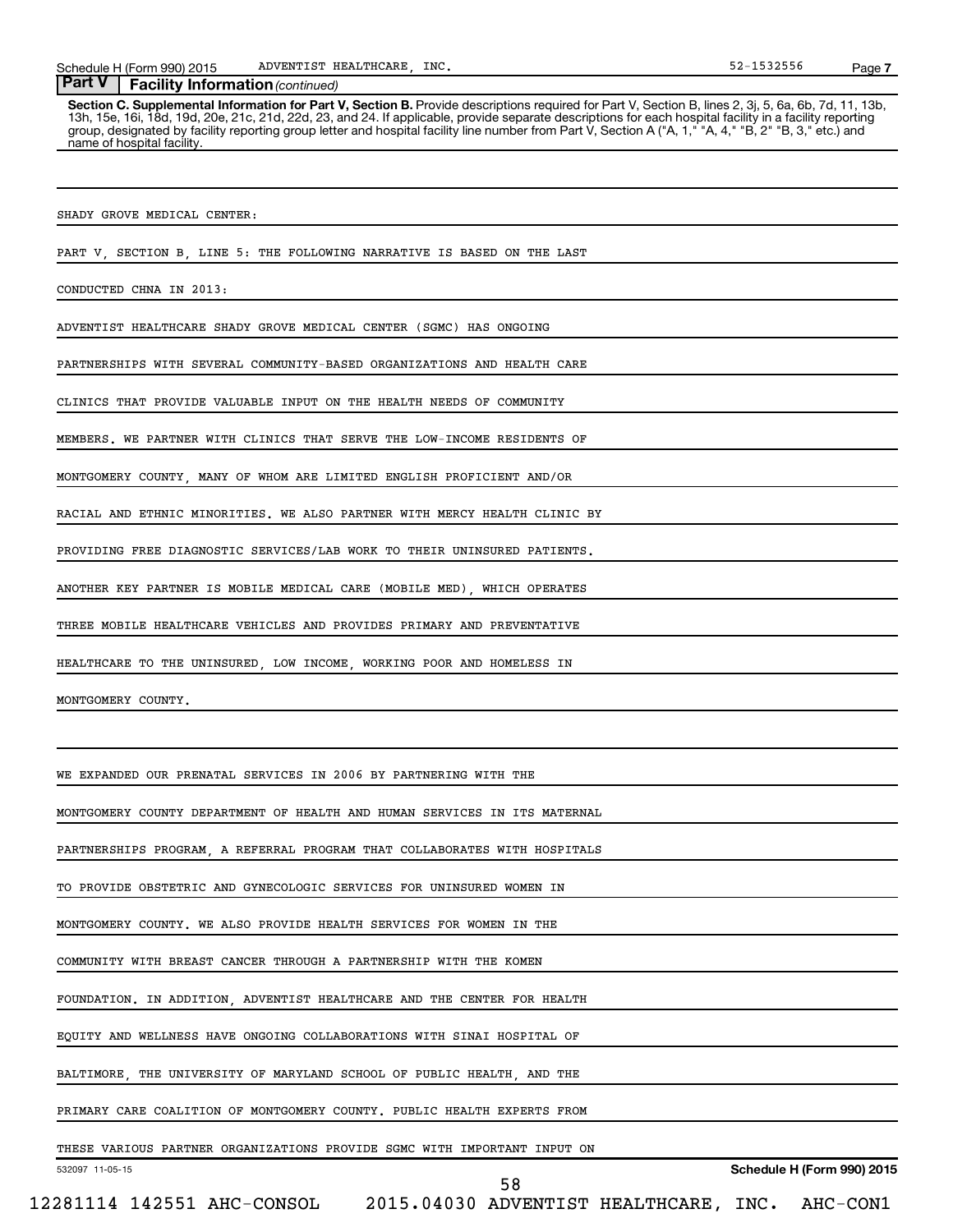#### **Part V** | Facility Information (continued)

Section C. Supplemental Information for Part V, Section B. Provide descriptions required for Part V, Section B, lines 2, 3j, 5, 6a, 6b, 7d, 11, 13b, 13h, 15e, 16i, 18d, 19d, 20e, 21c, 21d, 22d, 23, and 24. If applicable, provide separate descriptions for each hospital facility in a facility reporting group, designated by facility reporting group letter and hospital facility line number from Part V, Section A ("A, 1," "A, 4," "B, 2" "B, 3," etc.) and name of hospital facility.

SHADY GROVE MEDICAL CENTER:

PART V SECTION B LINE 5: THE FOLLOWING NARRATIVE IS BASED ON THE LAST

CONDUCTED CHNA IN 2013:

ADVENTIST HEALTHCARE SHADY GROVE MEDICAL CENTER (SGMC) HAS ONGOING

PARTNERSHIPS WITH SEVERAL COMMUNITY-BASED ORGANIZATIONS AND HEALTH CARE

CLINICS THAT PROVIDE VALUABLE INPUT ON THE HEALTH NEEDS OF COMMUNITY

MEMBERS. WE PARTNER WITH CLINICS THAT SERVE THE LOW-INCOME RESIDENTS OF

MONTGOMERY COUNTY, MANY OF WHOM ARE LIMITED ENGLISH PROFICIENT AND/OR

RACIAL AND ETHNIC MINORITIES. WE ALSO PARTNER WITH MERCY HEALTH CLINIC BY

PROVIDING FREE DIAGNOSTIC SERVICES/LAB WORK TO THEIR UNINSURED PATIENTS.

ANOTHER KEY PARTNER IS MOBILE MEDICAL CARE (MOBILE MED), WHICH OPERATES

THREE MOBILE HEALTHCARE VEHICLES AND PROVIDES PRIMARY AND PREVENTATIVE

HEALTHCARE TO THE UNINSURED, LOW INCOME, WORKING POOR AND HOMELESS IN

MONTGOMERY COUNTY.

WE EXPANDED OUR PRENATAL SERVICES IN 2006 BY PARTNERING WITH THE

MONTGOMERY COUNTY DEPARTMENT OF HEALTH AND HUMAN SERVICES IN ITS MATERNAL

PARTNERSHIPS PROGRAM, A REFERRAL PROGRAM THAT COLLABORATES WITH HOSPITALS

TO PROVIDE OBSTETRIC AND GYNECOLOGIC SERVICES FOR UNINSURED WOMEN IN

MONTGOMERY COUNTY. WE ALSO PROVIDE HEALTH SERVICES FOR WOMEN IN THE

COMMUNITY WITH BREAST CANCER THROUGH A PARTNERSHIP WITH THE KOMEN

FOUNDATION. IN ADDITION. ADVENTIST HEALTHCARE AND THE CENTER FOR HEALTH

EQUITY AND WELLNESS HAVE ONGOING COLLABORATIONS WITH SINAI HOSPITAL OF

BALTIMORE THE UNIVERSITY OF MARYLAND SCHOOL OF PUBLIC HEALTH, AND THE

PRIMARY CARE COALITION OF MONTGOMERY COUNTY. PUBLIC HEALTH EXPERTS FROM

THESE VARIOUS PARTNER ORGANIZATIONS PROVIDE SGMC WITH IMPORTANT INPUT ON

**Schedule H (Form 990) 2015**

12281114 142551 AHC-CONSOL 2015.04030 ADVENTIST HEALTHCARE, INC. AHC-CON1

532097 11-05-15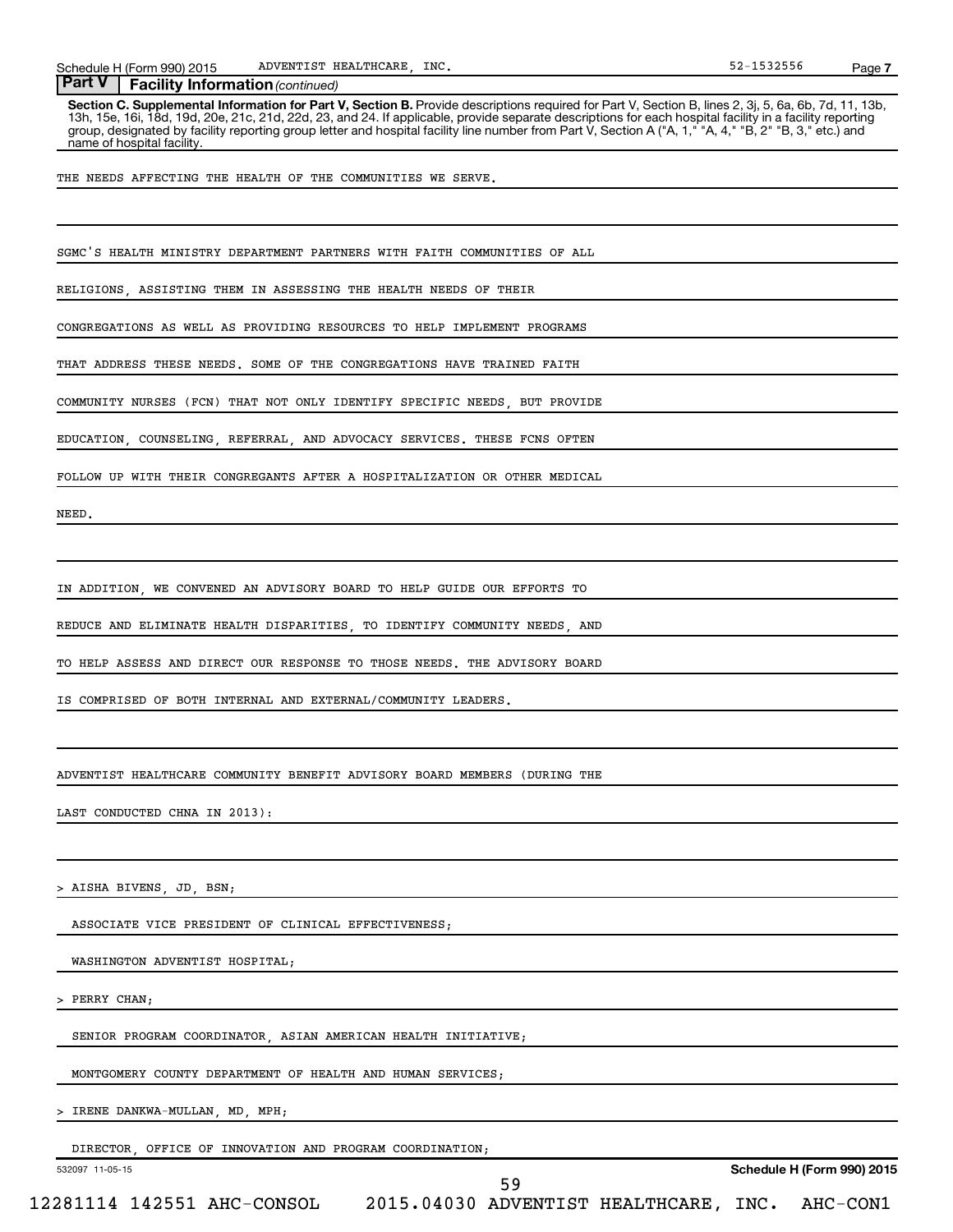#### **Part V** | Facility Information (continued)

Section C. Supplemental Information for Part V, Section B. Provide descriptions required for Part V, Section B, lines 2, 3j, 5, 6a, 6b, 7d, 11, 13b, 13h, 15e, 16i, 18d, 19d, 20e, 21c, 21d, 22d, 23, and 24. If applicable, provide separate descriptions for each hospital facility in a facility reporting group, designated by facility reporting group letter and hospital facility line number from Part V, Section A ("A, 1," "A, 4," "B, 2" "B, 3," etc.) and name of hospital facility.

THE NEEDS AFFECTING THE HEALTH OF THE COMMUNITIES WE SERVE.

SGMC'S HEALTH MINISTRY DEPARTMENT PARTNERS WITH FAITH COMMUNITIES OF ALL

RELIGIONS, ASSISTING THEM IN ASSESSING THE HEALTH NEEDS OF THEIR

CONGREGATIONS AS WELL AS PROVIDING RESOURCES TO HELP IMPLEMENT PROGRAMS

THAT ADDRESS THESE NEEDS. SOME OF THE CONGREGATIONS HAVE TRAINED FAITH

COMMUNITY NURSES (FCN) THAT NOT ONLY IDENTIFY SPECIFIC NEEDS, BUT PROVIDE

EDUCATION, COUNSELING, REFERRAL, AND ADVOCACY SERVICES. THESE FCNS OFTEN

FOLLOW UP WITH THEIR CONGREGANTS AFTER A HOSPITALIZATION OR OTHER MEDICAL

NEED.

IN ADDITION, WE CONVENED AN ADVISORY BOARD TO HELP GUIDE OUR EFFORTS TO

REDUCE AND ELIMINATE HEALTH DISPARITIES, TO IDENTIFY COMMUNITY NEEDS, AND

TO HELP ASSESS AND DIRECT OUR RESPONSE TO THOSE NEEDS. THE ADVISORY BOARD

IS COMPRISED OF BOTH INTERNAL AND EXTERNAL/COMMUNITY LEADERS.

ADVENTIST HEALTHCARE COMMUNITY BENEFIT ADVISORY BOARD MEMBERS (DURING THE

LAST CONDUCTED CHNA IN 2013):

> AISHA BIVENS, JD, BSN;

ASSOCIATE VICE PRESIDENT OF CLINICAL EFFECTIVENESS;

WASHINGTON ADVENTIST HOSPITAL;

PERRY CHAN.

SENIOR PROGRAM COORDINATOR, ASIAN AMERICAN HEALTH INITIATIVE;

MONTGOMERY COUNTY DEPARTMENT OF HEALTH AND HUMAN SERVICES;

> IRENE DANKWA-MULLAN, MD, MPH;

DIRECTOR, OFFICE OF INNOVATION AND PROGRAM COORDINATION;

532097 11-05-15

59

**Schedule H (Form 990) 2015**

12281114 142551 AHC-CONSOL 2015.04030 ADVENTIST HEALTHCARE, INC. AHC-CON1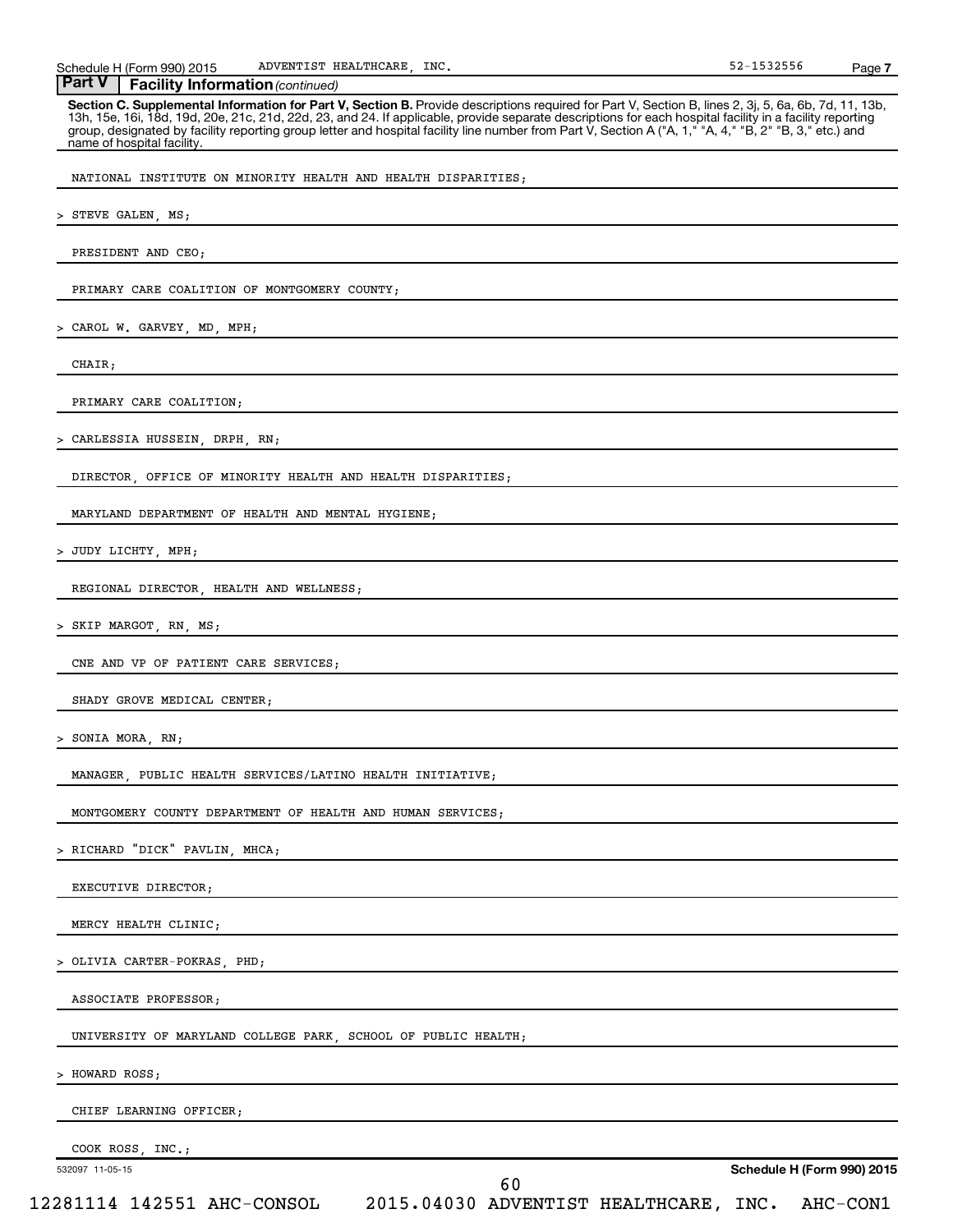|                        | NATIONAL INSTITUTE ON MINORITY HEALTH AND HEALTH DISPARITIES;                                                        |
|------------------------|----------------------------------------------------------------------------------------------------------------------|
| $>$ STEVE GALEN, MS;   |                                                                                                                      |
| PRESIDENT AND CEO;     |                                                                                                                      |
|                        | PRIMARY CARE COALITION OF MONTGOMERY COUNTY;                                                                         |
|                        | > CAROL W. GARVEY, MD, MPH;                                                                                          |
| CHAIR;                 |                                                                                                                      |
|                        | PRIMARY CARE COALITION;                                                                                              |
|                        | > CARLESSIA HUSSEIN, DRPH, RN;                                                                                       |
|                        | DIRECTOR, OFFICE OF MINORITY HEALTH AND HEALTH DISPARITIES;                                                          |
|                        | MARYLAND DEPARTMENT OF HEALTH AND MENTAL HYGIENE;                                                                    |
| > JUDY LICHTY, MPH;    |                                                                                                                      |
|                        | REGIONAL DIRECTOR, HEALTH AND WELLNESS;                                                                              |
| > SKIP MARGOT, RN, MS; |                                                                                                                      |
|                        | CNE AND VP OF PATIENT CARE SERVICES;                                                                                 |
|                        | SHADY GROVE MEDICAL CENTER;                                                                                          |
| > SONIA MORA, RN;      |                                                                                                                      |
|                        | MANAGER, PUBLIC HEALTH SERVICES/LATINO HEALTH INITIATIVE;                                                            |
|                        | MONTGOMERY COUNTY DEPARTMENT OF HEALTH AND HUMAN SERVICES;                                                           |
|                        | > RICHARD "DICK" PAVLIN, MHCA;                                                                                       |
| EXECUTIVE DIRECTOR;    |                                                                                                                      |
| MERCY HEALTH CLINIC;   |                                                                                                                      |
|                        | > OLIVIA CARTER-POKRAS, PHD;                                                                                         |
| ASSOCIATE PROFESSOR;   |                                                                                                                      |
|                        | UNIVERSITY OF MARYLAND COLLEGE PARK, SCHOOL OF PUBLIC HEALTH;                                                        |
| > HOWARD ROSS;         | <u> 1989 - Johann John Stone, markin film ar yn y brenin y brenin y brenin y brenin y brenin y brenin y brenin y</u> |
|                        | CHIEF LEARNING OFFICER;                                                                                              |
|                        |                                                                                                                      |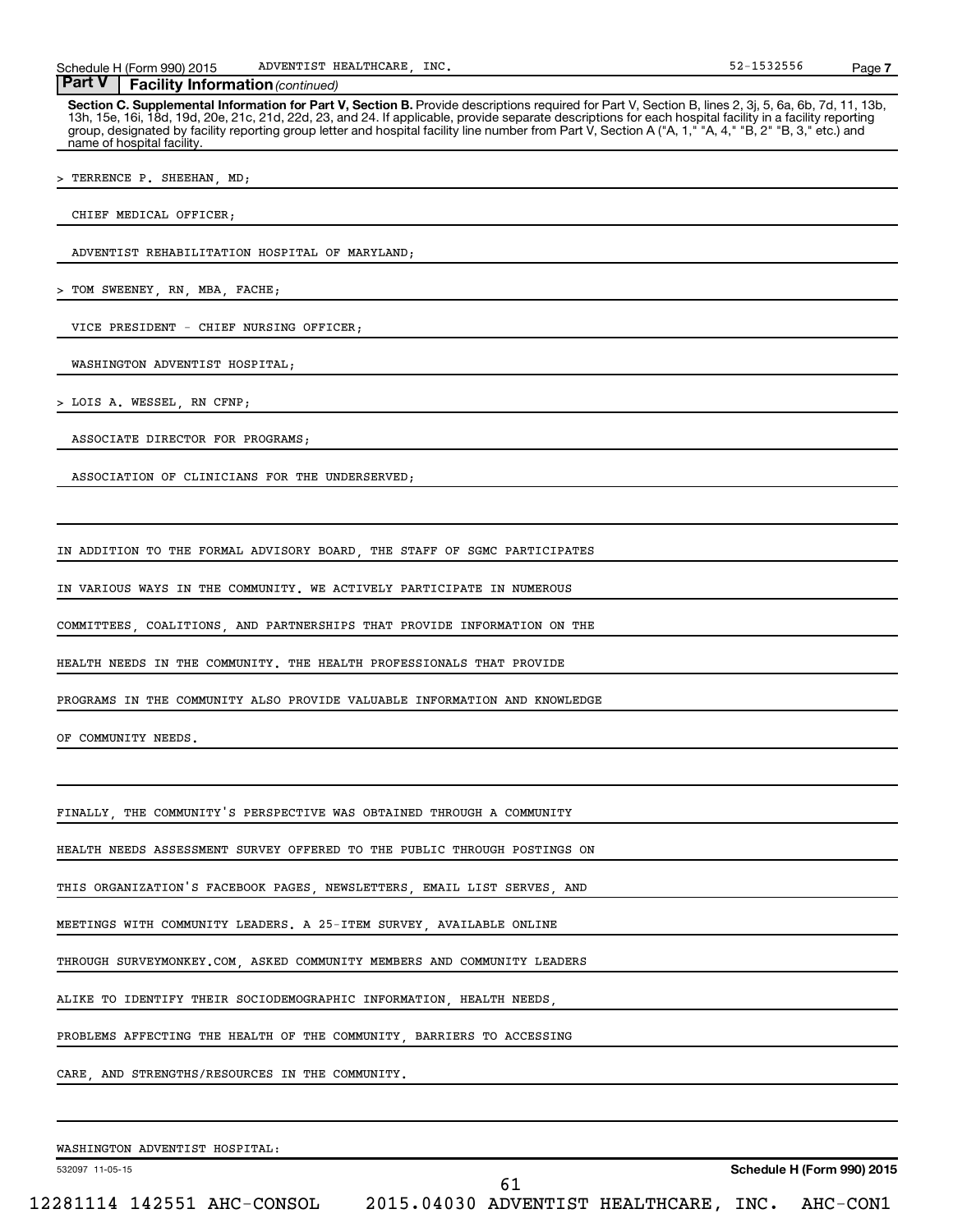## Section C. Supplemental Information for Part V, Section B. Provide descriptions required for Part V, Section B, lines 2, 3j, 5, 6a, 6b, 7d, 11, 13b, **Part V** | Facility Information (continued) Schedule H (Form 990) 2015 ADVENTIST HEALTHCARE, INC. S2-1532556 13h, 15e, 16i, 18d, 19d, 20e, 21c, 21d, 22d, 23, and 24. If applicable, provide separate descriptions for each hospital facility in a facility reporting group, designated by facility reporting group letter and hospital facility line number from Part V, Section A ("A, 1," "A, 4," "B, 2" "B, 3," etc.) and name of hospital facility. TERRENCE P. SHEEHAN, MD; CHIEF MEDICAL OFFICER; ADVENTIST REHABILITATION HOSPITAL OF MARYLAND; TOM SWEENEY, RN, MBA, FACHE; VICE PRESIDENT - CHIEF NURSING OFFICER; WASHINGTON ADVENTIST HOSPITAL; LOIS A. WESSEL, RN CFNP; ASSOCIATE DIRECTOR FOR PROGRAMS; ASSOCIATION OF CLINICIANS FOR THE UNDERSERVED; IN ADDITION TO THE FORMAL ADVISORY BOARD, THE STAFF OF SGMC PARTICIPATES IN VARIOUS WAYS IN THE COMMUNITY. WE ACTIVELY PARTICIPATE IN NUMEROUS COMMITTEES, COALITIONS, AND PARTNERSHIPS THAT PROVIDE INFORMATION ON THE HEALTH NEEDS IN THE COMMUNITY. THE HEALTH PROFESSIONALS THAT PROVIDE PROGRAMS IN THE COMMUNITY ALSO PROVIDE VALUABLE INFORMATION AND KNOWLEDGE OF COMMUNITY NEEDS. FINALLY, THE COMMUNITY'S PERSPECTIVE WAS OBTAINED THROUGH A COMMUNITY HEALTH NEEDS ASSESSMENT SURVEY OFFERED TO THE PUBLIC THROUGH POSTINGS ON THIS ORGANIZATION'S FACEBOOK PAGES, NEWSLETTERS, EMAIL LIST SERVES, AND

MEETINGS WITH COMMUNITY LEADERS. A 25-ITEM SURVEY, AVAILABLE ONLINE

THROUGH SURVEYMONKEY.COM, ASKED COMMUNITY MEMBERS AND COMMUNITY LEADERS

ALIKE TO IDENTIFY THEIR SOCIODEMOGRAPHIC INFORMATION, HEALTH NEEDS,

PROBLEMS AFFECTING THE HEALTH OF THE COMMUNITY, BARRIERS TO ACCESSING

CARE, AND STRENGTHS/RESOURCES IN THE COMMUNITY.

WASHINGTON ADVENTIST HOSPITAL:

532097 11-05-15

**Schedule H (Form 990) 2015**

12281114 142551 AHC-CONSOL 2015.04030 ADVENTIST HEALTHCARE, INC. AHC-CON1 61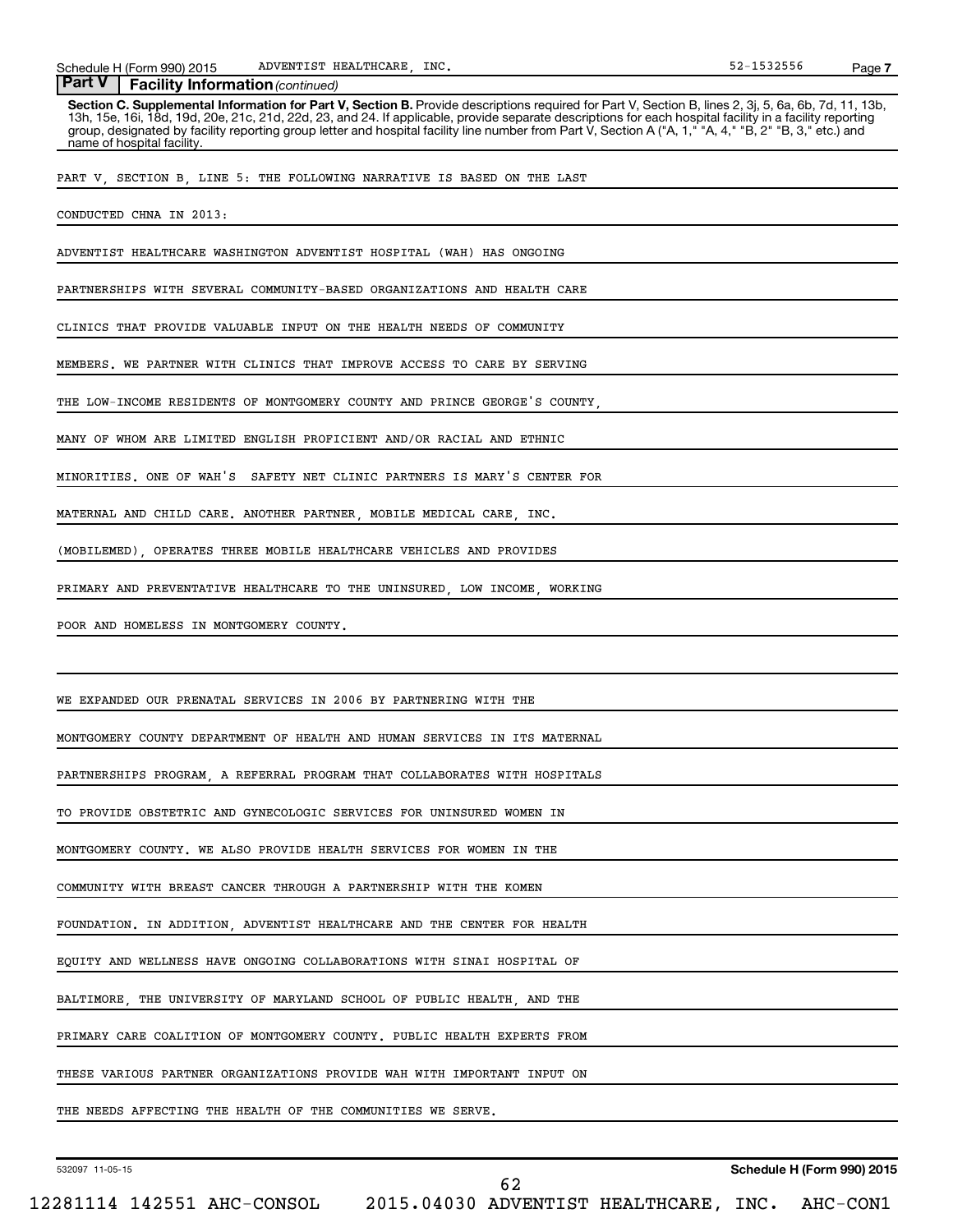### **Part V** | Facility Information (continued)

Section C. Supplemental Information for Part V, Section B. Provide descriptions required for Part V, Section B, lines 2, 3j, 5, 6a, 6b, 7d, 11, 13b, 13h, 15e, 16i, 18d, 19d, 20e, 21c, 21d, 22d, 23, and 24. If applicable, provide separate descriptions for each hospital facility in a facility reporting group, designated by facility reporting group letter and hospital facility line number from Part V, Section A ("A, 1," "A, 4," "B, 2" "B, 3," etc.) and name of hospital facility.

PART V, SECTION B, LINE 5: THE FOLLOWING NARRATIVE IS BASED ON THE LAST

CONDUCTED CHNA IN 2013:

ADVENTIST HEALTHCARE WASHINGTON ADVENTIST HOSPITAL (WAH) HAS ONGOING

PARTNERSHIPS WITH SEVERAL COMMUNITY-BASED ORGANIZATIONS AND HEALTH CARE

CLINICS THAT PROVIDE VALUABLE INPUT ON THE HEALTH NEEDS OF COMMUNITY

MEMBERS. WE PARTNER WITH CLINICS THAT IMPROVE ACCESS TO CARE BY SERVING

THE LOW-INCOME RESIDENTS OF MONTGOMERY COUNTY AND PRINCE GEORGE'S COUNTY

MANY OF WHOM ARE LIMITED ENGLISH PROFICIENT AND/OR RACIAL AND ETHNIC

MINORITIES. ONE OF WAH'S SAFETY NET CLINIC PARTNERS IS MARY'S CENTER FOR

MATERNAL AND CHILD CARE. ANOTHER PARTNER, MOBILE MEDICAL CARE, INC.

(MOBILEMED), OPERATES THREE MOBILE HEALTHCARE VEHICLES AND PROVIDES

PRIMARY AND PREVENTATIVE HEALTHCARE TO THE UNINSURED, LOW INCOME, WORKING

POOR AND HOMELESS IN MONTGOMERY COUNTY.

WE EXPANDED OUR PRENATAL SERVICES IN 2006 BY PARTNERING WITH THE

MONTGOMERY COUNTY DEPARTMENT OF HEALTH AND HUMAN SERVICES IN ITS MATERNAL

PARTNERSHIPS PROGRAM, A REFERRAL PROGRAM THAT COLLABORATES WITH HOSPITALS

TO PROVIDE OBSTETRIC AND GYNECOLOGIC SERVICES FOR UNINSURED WOMEN IN

MONTGOMERY COUNTY. WE ALSO PROVIDE HEALTH SERVICES FOR WOMEN IN THE

COMMUNITY WITH BREAST CANCER THROUGH A PARTNERSHIP WITH THE KOMEN

FOUNDATION. IN ADDITION, ADVENTIST HEALTHCARE AND THE CENTER FOR HEALTH

EQUITY AND WELLNESS HAVE ONGOING COLLABORATIONS WITH SINAI HOSPITAL OF

BALTIMORE, THE UNIVERSITY OF MARYLAND SCHOOL OF PUBLIC HEALTH, AND THE

PRIMARY CARE COALITION OF MONTGOMERY COUNTY. PUBLIC HEALTH EXPERTS FROM

THESE VARIOUS PARTNER ORGANIZATIONS PROVIDE WAH WITH IMPORTANT INPUT ON

THE NEEDS AFFECTING THE HEALTH OF THE COMMUNITIES WE SERVE.

532097 11-05-15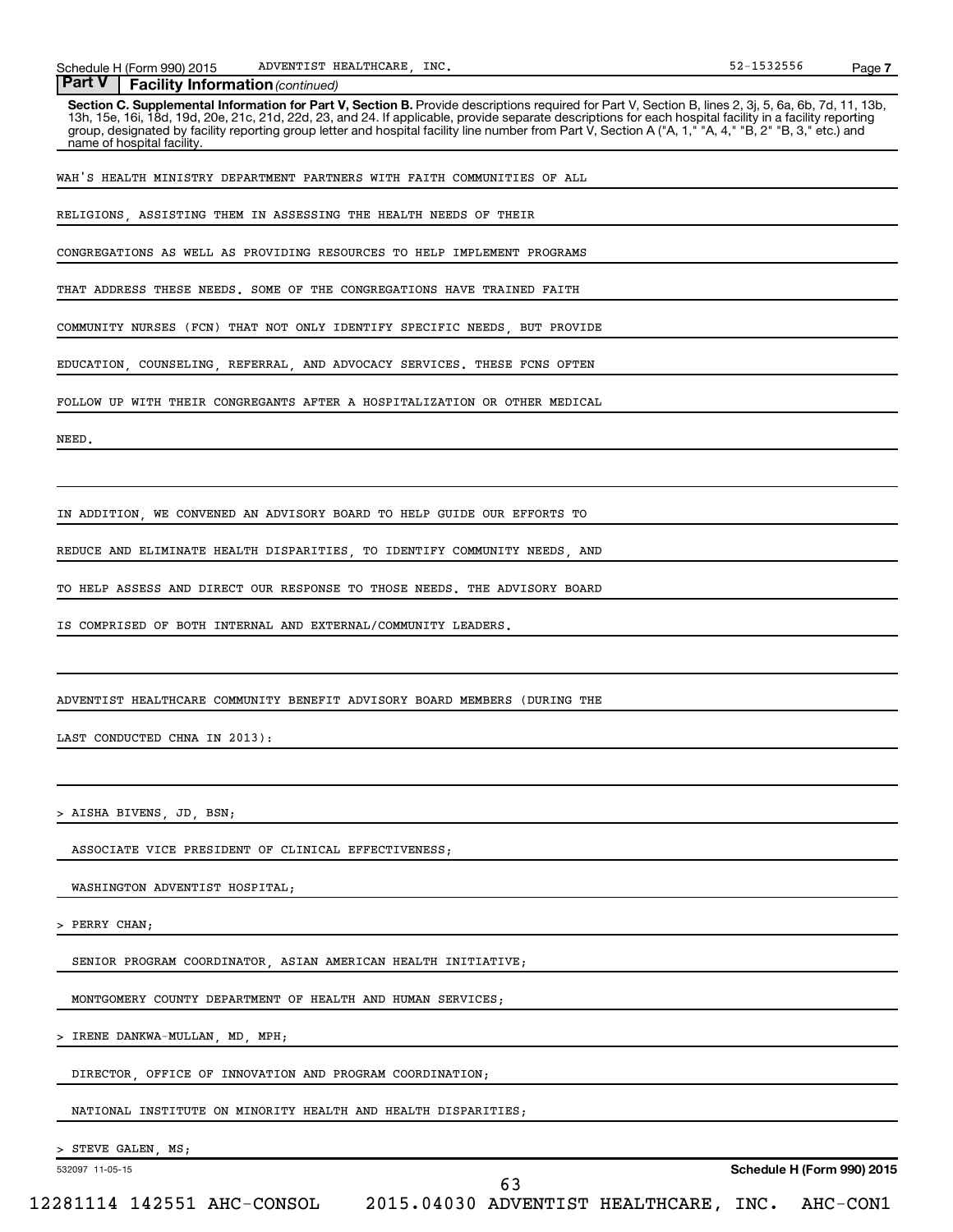#### **Part V** | Facility Information (continued)

Section C. Supplemental Information for Part V, Section B. Provide descriptions required for Part V, Section B, lines 2, 3j, 5, 6a, 6b, 7d, 11, 13b, 13h, 15e, 16i, 18d, 19d, 20e, 21c, 21d, 22d, 23, and 24. If applicable, provide separate descriptions for each hospital facility in a facility reporting group, designated by facility reporting group letter and hospital facility line number from Part V, Section A ("A, 1," "A, 4," "B, 2" "B, 3," etc.) and name of hospital facility.

WAH'S HEALTH MINISTRY DEPARTMENT PARTNERS WITH FAITH COMMUNITIES OF ALL

RELIGIONS ASSISTING THEM IN ASSESSING THE HEALTH NEEDS OF THEIR

CONGREGATIONS AS WELL AS PROVIDING RESOURCES TO HELP IMPLEMENT PROGRAMS

THAT ADDRESS THESE NEEDS. SOME OF THE CONGREGATIONS HAVE TRAINED FAITH

COMMUNITY NURSES (FCN) THAT NOT ONLY IDENTIFY SPECIFIC NEEDS, BUT PROVIDE

EDUCATION, COUNSELING, REFERRAL, AND ADVOCACY SERVICES. THESE FCNS OFTEN

FOLLOW UP WITH THEIR CONGREGANTS AFTER A HOSPITALIZATION OR OTHER MEDICAL

NEED.

IN ADDITION, WE CONVENED AN ADVISORY BOARD TO HELP GUIDE OUR EFFORTS TO

REDUCE AND ELIMINATE HEALTH DISPARITIES, TO IDENTIFY COMMUNITY NEEDS, AND

TO HELP ASSESS AND DIRECT OUR RESPONSE TO THOSE NEEDS. THE ADVISORY BOARD

IS COMPRISED OF BOTH INTERNAL AND EXTERNAL/COMMUNITY LEADERS.

ADVENTIST HEALTHCARE COMMUNITY BENEFIT ADVISORY BOARD MEMBERS (DURING THE

LAST CONDUCTED CHNA IN 2013):

> AISHA BIVENS, JD, BSN;

ASSOCIATE VICE PRESIDENT OF CLINICAL EFFECTIVENESS;

WASHINGTON ADVENTIST HOSPITAL;

PERRY CHAN;

SENIOR PROGRAM COORDINATOR, ASIAN AMERICAN HEALTH INITIATIVE;

MONTGOMERY COUNTY DEPARTMENT OF HEALTH AND HUMAN SERVICES;

> IRENE DANKWA-MULLAN, MD, MPH;

DIRECTOR, OFFICE OF INNOVATION AND PROGRAM COORDINATION;

NATIONAL INSTITUTE ON MINORITY HEALTH AND HEALTH DISPARITIES;

STEVE GALEN, MS;

532097 11-05-15

12281114 142551 AHC-CONSOL 2015.04030 ADVENTIST HEALTHCARE, INC. AHC-CON1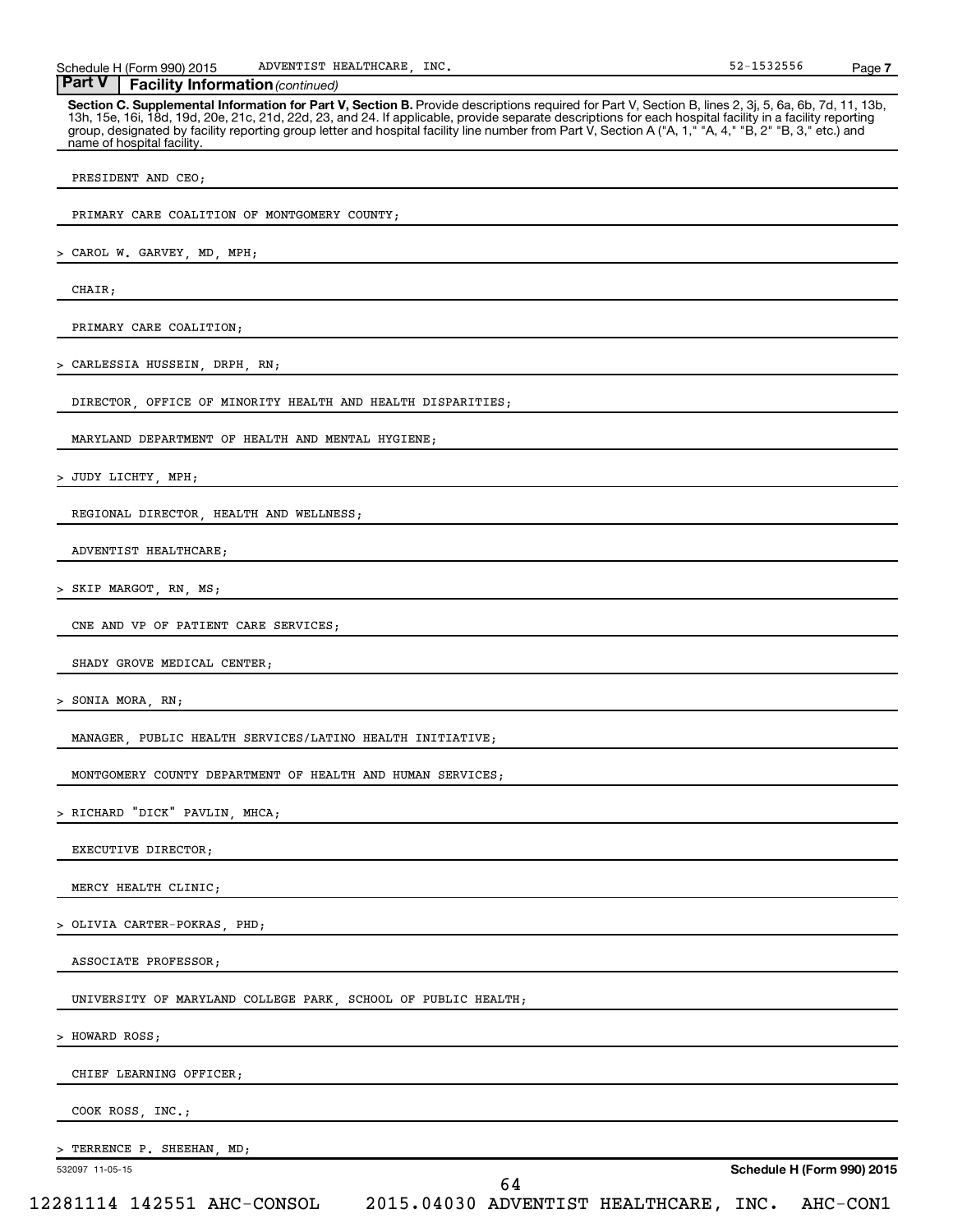| > CAROL W. GARVEY, MD, MPH;                                   |
|---------------------------------------------------------------|
| CHAIR;                                                        |
| PRIMARY CARE COALITION;                                       |
| > CARLESSIA HUSSEIN, DRPH, RN;                                |
| DIRECTOR, OFFICE OF MINORITY HEALTH AND HEALTH DISPARITIES;   |
| MARYLAND DEPARTMENT OF HEALTH AND MENTAL HYGIENE;             |
| > JUDY LICHTY, MPH;                                           |
| REGIONAL DIRECTOR, HEALTH AND WELLNESS;                       |
| ADVENTIST HEALTHCARE;                                         |
| > SKIP MARGOT, RN, MS;                                        |
| CNE AND VP OF PATIENT CARE SERVICES;                          |
| SHADY GROVE MEDICAL CENTER;                                   |
| > SONIA MORA, RN;                                             |
| MANAGER, PUBLIC HEALTH SERVICES/LATINO HEALTH INITIATIVE;     |
| MONTGOMERY COUNTY DEPARTMENT OF HEALTH AND HUMAN SERVICES:    |
| > RICHARD "DICK" PAVLIN, MHCA;                                |
| EXECUTIVE DIRECTOR;                                           |
| MERCY HEALTH CLINIC;                                          |
| > OLIVIA CARTER-POKRAS, PHD;                                  |
| ASSOCIATE PROFESSOR;                                          |
| UNIVERSITY OF MARYLAND COLLEGE PARK, SCHOOL OF PUBLIC HEALTH; |
| > HOWARD ROSS;                                                |
| CHIEF LEARNING OFFICER;                                       |
| COOK ROSS, INC.;                                              |

Section C. Supplemental Information for Part V, Section B. Provide descriptions required for Part V, Section B, lines 2, 3j, 5, 6a, 6b, 7d, 11, 13b,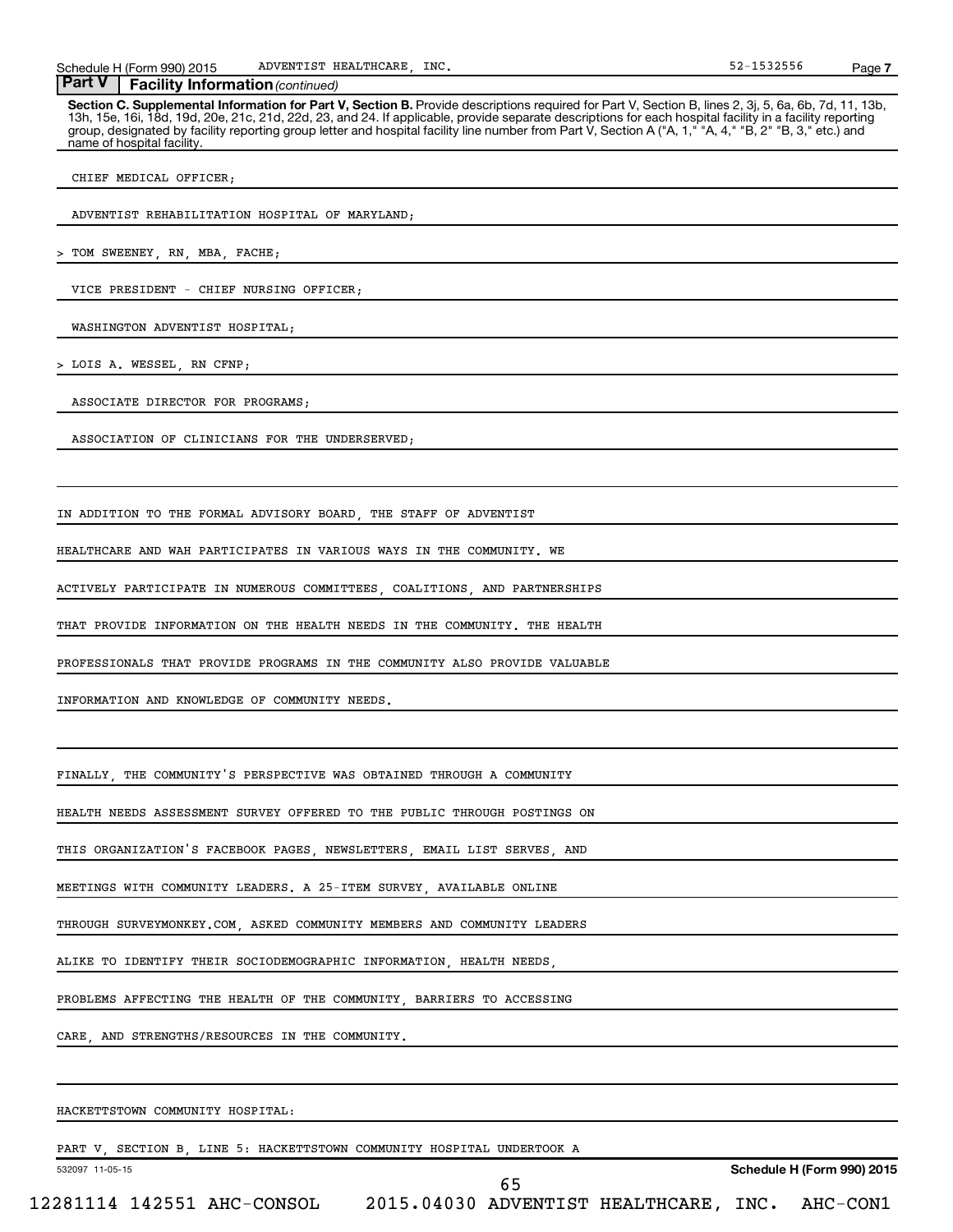Section C. Supplemental Information for Part V, Section B. Provide descriptions required for Part V, Section B, lines 2, 3j, 5, 6a, 6b, 7d, 11, 13b, **Part V** | Facility Information (continued) 13h, 15e, 16i, 18d, 19d, 20e, 21c, 21d, 22d, 23, and 24. If applicable, provide separate descriptions for each hospital facility in a facility reporting group, designated by facility reporting group letter and hospital facility line number from Part V, Section A ("A, 1," "A, 4," "B, 2" "B, 3," etc.) and name of hospital facility. CHIEF MEDICAL OFFICER; ADVENTIST REHABILITATION HOSPITAL OF MARYLAND; TOM SWEENEY, RN, MBA, FACHE; VICE PRESIDENT - CHIEF NURSING OFFICER; WASHINGTON ADVENTIST HOSPITAL; LOIS A. WESSEL, RN CFNP; ASSOCIATE DIRECTOR FOR PROGRAMS; ASSOCIATION OF CLINICIANS FOR THE UNDERSERVED; IN ADDITION TO THE FORMAL ADVISORY BOARD, THE STAFF OF ADVENTIST HEALTHCARE AND WAH PARTICIPATES IN VARIOUS WAYS IN THE COMMUNITY. WE ACTIVELY PARTICIPATE IN NUMEROUS COMMITTEES, COALITIONS, AND PARTNERSHIPS THAT PROVIDE INFORMATION ON THE HEALTH NEEDS IN THE COMMUNITY. THE HEALTH PROFESSIONALS THAT PROVIDE PROGRAMS IN THE COMMUNITY ALSO PROVIDE VALUABLE INFORMATION AND KNOWLEDGE OF COMMUNITY NEEDS. FINALLY, THE COMMUNITY'S PERSPECTIVE WAS OBTAINED THROUGH A COMMUNITY HEALTH NEEDS ASSESSMENT SURVEY OFFERED TO THE PUBLIC THROUGH POSTINGS ON THIS ORGANIZATION'S FACEBOOK PAGES, NEWSLETTERS, EMAIL LIST SERVES, AND MEETINGS WITH COMMUNITY LEADERS. A 25-ITEM SURVEY, AVAILABLE ONLINE THROUGH SURVEYMONKEY.COM, ASKED COMMUNITY MEMBERS AND COMMUNITY LEADERS ALIKE TO IDENTIFY THEIR SOCIODEMOGRAPHIC INFORMATION, HEALTH NEEDS, PROBLEMS AFFECTING THE HEALTH OF THE COMMUNITY BARRIERS TO ACCESSING CARE, AND STRENGTHS/RESOURCES IN THE COMMUNITY.

HACKETTSTOWN COMMUNITY HOSPITAL:

PART V, SECTION B, LINE 5: HACKETTSTOWN COMMUNITY HOSPITAL UNDERTOOK A

532097 11-05-15

**Schedule H (Form 990) 2015**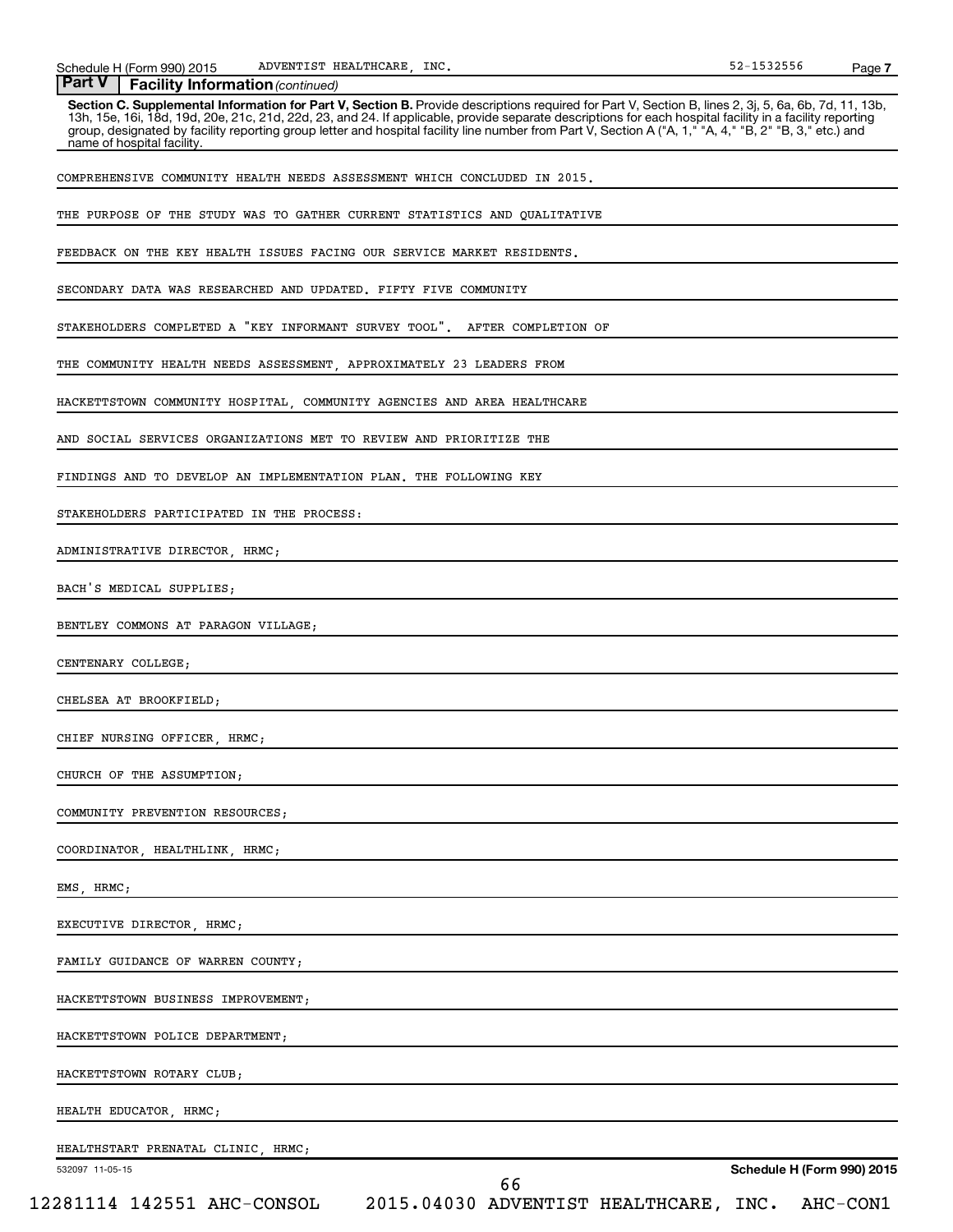**Part V Facility Information**

 *(continued)*

| 532097 11-05-15<br>12281114 142551 AHC-CONSOL                                                                                                | 66<br>2015.04030 ADVENTIST HEALTHCARE, INC. | Schedule H (Form 990) 2015<br>AHC-CON1 |
|----------------------------------------------------------------------------------------------------------------------------------------------|---------------------------------------------|----------------------------------------|
| HEALTHSTART PRENATAL CLINIC, HRMC;                                                                                                           |                                             |                                        |
| HEALTH EDUCATOR, HRMC;                                                                                                                       |                                             |                                        |
| HACKETTSTOWN ROTARY CLUB;                                                                                                                    |                                             |                                        |
| HACKETTSTOWN POLICE DEPARTMENT;                                                                                                              |                                             |                                        |
| HACKETTSTOWN BUSINESS IMPROVEMENT;                                                                                                           |                                             |                                        |
| FAMILY GUIDANCE OF WARREN COUNTY;                                                                                                            |                                             |                                        |
| EXECUTIVE DIRECTOR, HRMC;                                                                                                                    |                                             |                                        |
| $ENS$ , HRMC;                                                                                                                                |                                             |                                        |
| COORDINATOR, HEALTHLINK, HRMC;                                                                                                               |                                             |                                        |
| COMMUNITY PREVENTION RESOURCES;                                                                                                              |                                             |                                        |
| CHURCH OF THE ASSUMPTION:                                                                                                                    |                                             |                                        |
| CHIEF NURSING OFFICER, HRMC;                                                                                                                 |                                             |                                        |
| CHELSEA AT BROOKFIELD;                                                                                                                       |                                             |                                        |
| CENTENARY COLLEGE;                                                                                                                           |                                             |                                        |
| BENTLEY COMMONS AT PARAGON VILLAGE;                                                                                                          |                                             |                                        |
| BACH'S MEDICAL SUPPLIES;                                                                                                                     |                                             |                                        |
| ADMINISTRATIVE DIRECTOR, HRMC;                                                                                                               |                                             |                                        |
| STAKEHOLDERS PARTICIPATED IN THE PROCESS:                                                                                                    |                                             |                                        |
| FINDINGS AND TO DEVELOP AN IMPLEMENTATION PLAN. THE FOLLOWING KEY                                                                            |                                             |                                        |
| AND SOCIAL SERVICES ORGANIZATIONS MET TO REVIEW AND PRIORITIZE THE                                                                           |                                             |                                        |
| HACKETTSTOWN COMMUNITY HOSPITAL, COMMUNITY AGENCIES AND AREA HEALTHCARE                                                                      |                                             |                                        |
| THE COMMUNITY HEALTH NEEDS ASSESSMENT, APPROXIMATELY 23 LEADERS FROM                                                                         |                                             |                                        |
| SECONDARY DATA WAS RESEARCHED AND UPDATED. FIFTY FIVE COMMUNITY<br>STAKEHOLDERS COMPLETED A "KEY INFORMANT SURVEY TOOL". AFTER COMPLETION OF |                                             |                                        |
| FEEDBACK ON THE KEY HEALTH ISSUES FACING OUR SERVICE MARKET RESIDENTS.                                                                       |                                             |                                        |
| THE PURPOSE OF THE STUDY WAS TO GATHER CURRENT STATISTICS AND QUALITATIVE                                                                    |                                             |                                        |
|                                                                                                                                              |                                             |                                        |
| COMPREHENSIVE COMMUNITY HEALTH NEEDS ASSESSMENT WHICH CONCLUDED IN 2015.                                                                     |                                             |                                        |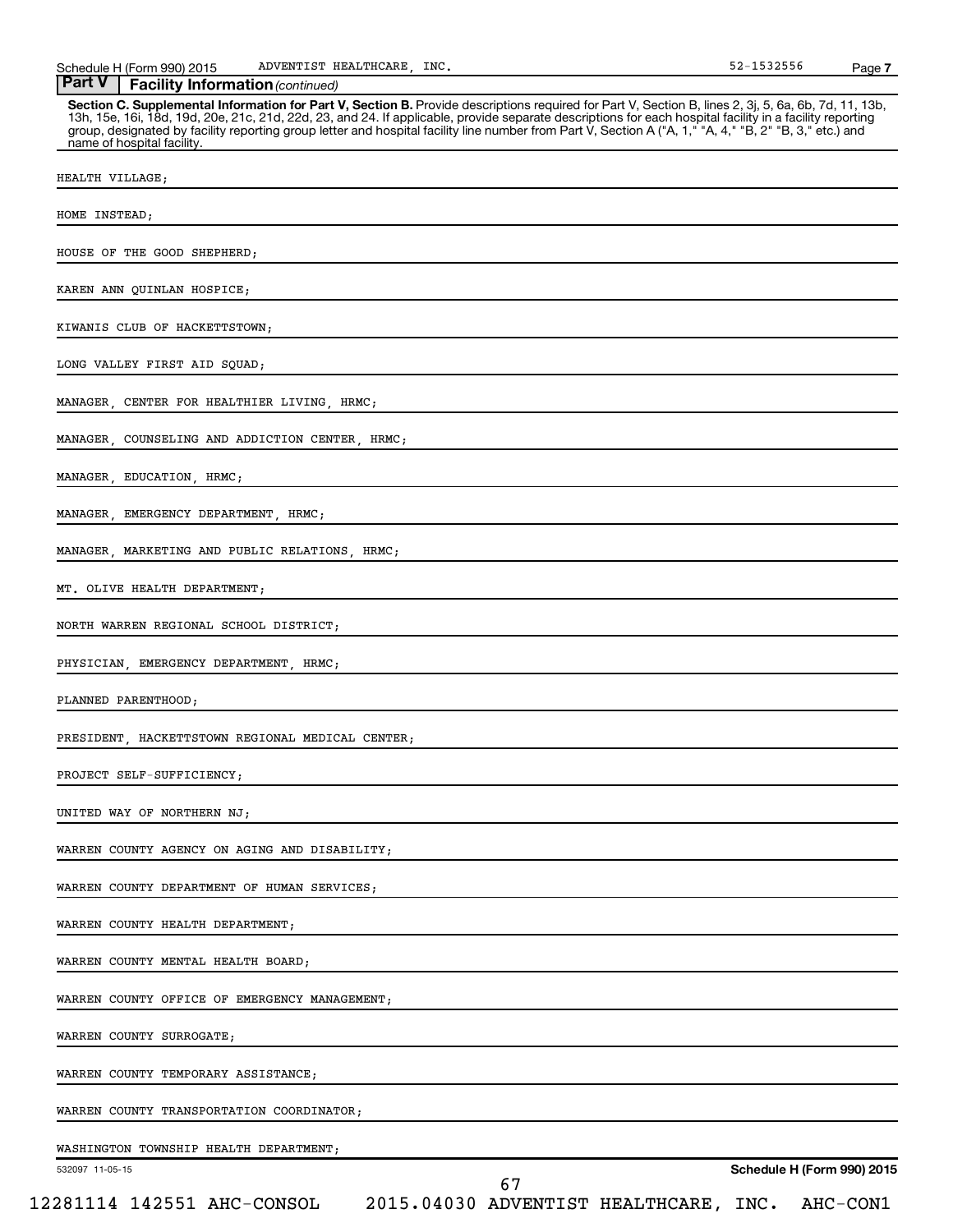| Part V<br><b>Facility Information (continued)</b>                                                                                                                                                                                                                                                                                                                                                                                                                                                         |  |
|-----------------------------------------------------------------------------------------------------------------------------------------------------------------------------------------------------------------------------------------------------------------------------------------------------------------------------------------------------------------------------------------------------------------------------------------------------------------------------------------------------------|--|
| Section C. Supplemental Information for Part V, Section B. Provide descriptions required for Part V, Section B, lines 2, 3j, 5, 6a, 6b, 7d, 11, 13b,<br>13h, 15e, 16i, 18d, 19d, 20e, 21c, 21d, 22d, 23, and 24. If applicable, provide separate descriptions for each hospital facility in a facility reporting<br>group, designated by facility reporting group letter and hospital facility line number from Part V, Section A ("A, 1," "A, 4," "B, 2" "B, 3," etc.) and<br>name of hospital facility. |  |
| HEALTH VILLAGE;                                                                                                                                                                                                                                                                                                                                                                                                                                                                                           |  |
| HOME INSTEAD;                                                                                                                                                                                                                                                                                                                                                                                                                                                                                             |  |
| HOUSE OF THE GOOD SHEPHERD;                                                                                                                                                                                                                                                                                                                                                                                                                                                                               |  |
| KAREN ANN QUINLAN HOSPICE;                                                                                                                                                                                                                                                                                                                                                                                                                                                                                |  |
| KIWANIS CLUB OF HACKETTSTOWN;                                                                                                                                                                                                                                                                                                                                                                                                                                                                             |  |
| LONG VALLEY FIRST AID SQUAD;                                                                                                                                                                                                                                                                                                                                                                                                                                                                              |  |
| MANAGER, CENTER FOR HEALTHIER LIVING, HRMC;                                                                                                                                                                                                                                                                                                                                                                                                                                                               |  |
| MANAGER, COUNSELING AND ADDICTION CENTER, HRMC;                                                                                                                                                                                                                                                                                                                                                                                                                                                           |  |
| MANAGER, EDUCATION, HRMC;<br>the control of the control of the control of the control of the control of the control of                                                                                                                                                                                                                                                                                                                                                                                    |  |
| MANAGER, EMERGENCY DEPARTMENT, HRMC;<br><u> 1989 - Andrea Station Barbara, amerikan personal (h. 1989)</u>                                                                                                                                                                                                                                                                                                                                                                                                |  |
| MANAGER, MARKETING AND PUBLIC RELATIONS, HRMC;                                                                                                                                                                                                                                                                                                                                                                                                                                                            |  |
| MT. OLIVE HEALTH DEPARTMENT;                                                                                                                                                                                                                                                                                                                                                                                                                                                                              |  |
| NORTH WARREN REGIONAL SCHOOL DISTRICT;                                                                                                                                                                                                                                                                                                                                                                                                                                                                    |  |
| PHYSICIAN, EMERGENCY DEPARTMENT, HRMC;                                                                                                                                                                                                                                                                                                                                                                                                                                                                    |  |
| PLANNED PARENTHOOD;                                                                                                                                                                                                                                                                                                                                                                                                                                                                                       |  |
| PRESIDENT, HACKETTSTOWN REGIONAL MEDICAL CENTER;                                                                                                                                                                                                                                                                                                                                                                                                                                                          |  |
| PROJECT SELF-SUFFICIENCY;                                                                                                                                                                                                                                                                                                                                                                                                                                                                                 |  |
| UNITED WAY OF NORTHERN NJ;                                                                                                                                                                                                                                                                                                                                                                                                                                                                                |  |
| WARREN COUNTY AGENCY ON AGING AND DISABILITY;                                                                                                                                                                                                                                                                                                                                                                                                                                                             |  |
| WARREN COUNTY DEPARTMENT OF HUMAN SERVICES;                                                                                                                                                                                                                                                                                                                                                                                                                                                               |  |
| WARREN COUNTY HEALTH DEPARTMENT;                                                                                                                                                                                                                                                                                                                                                                                                                                                                          |  |
| WARREN COUNTY MENTAL HEALTH BOARD;                                                                                                                                                                                                                                                                                                                                                                                                                                                                        |  |
| WARREN COUNTY OFFICE OF EMERGENCY MANAGEMENT;                                                                                                                                                                                                                                                                                                                                                                                                                                                             |  |
| WARREN COUNTY SURROGATE;                                                                                                                                                                                                                                                                                                                                                                                                                                                                                  |  |
| WARREN COUNTY TEMPORARY ASSISTANCE;                                                                                                                                                                                                                                                                                                                                                                                                                                                                       |  |
| WARREN COUNTY TRANSPORTATION COORDINATOR;                                                                                                                                                                                                                                                                                                                                                                                                                                                                 |  |
| WASHINGTON TOWNSHIP HEALTH DEPARTMENT;                                                                                                                                                                                                                                                                                                                                                                                                                                                                    |  |
| Schedule H (Form 990) 2015<br>532097 11-05-15                                                                                                                                                                                                                                                                                                                                                                                                                                                             |  |
| 67<br>12281114 142551 AHC-CONSOL 2015.04030 ADVENTIST HEALTHCARE, INC. AHC-CON1                                                                                                                                                                                                                                                                                                                                                                                                                           |  |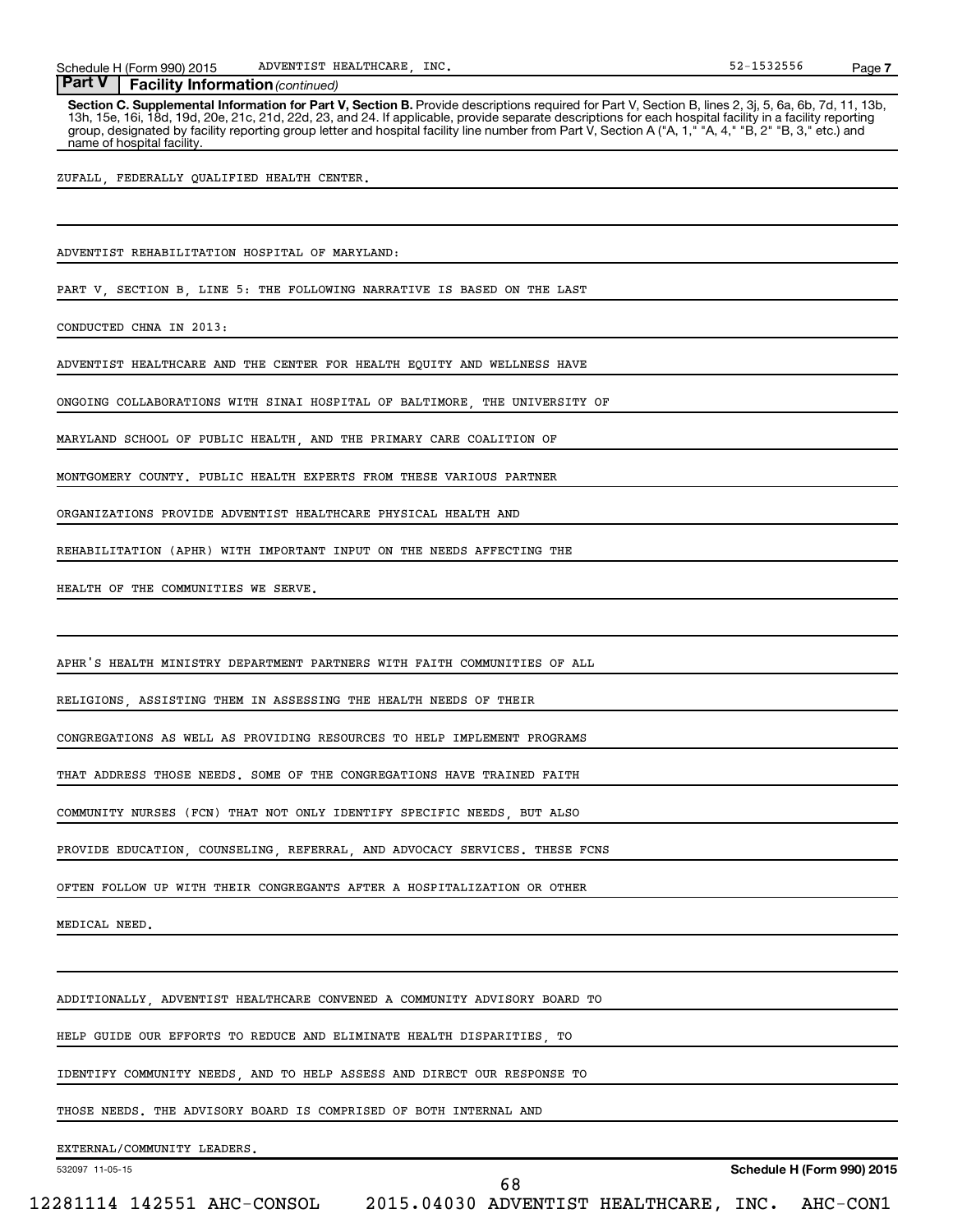#### **Part V** | Facility Information (continued)

Section C. Supplemental Information for Part V, Section B. Provide descriptions required for Part V, Section B, lines 2, 3j, 5, 6a, 6b, 7d, 11, 13b, 13h, 15e, 16i, 18d, 19d, 20e, 21c, 21d, 22d, 23, and 24. If applicable, provide separate descriptions for each hospital facility in a facility reporting group, designated by facility reporting group letter and hospital facility line number from Part V, Section A ("A, 1," "A, 4," "B, 2" "B, 3," etc.) and name of hospital facility.

ZUFALL, FEDERALLY QUALIFIED HEALTH CENTER.

ADVENTIST REHABILITATION HOSPITAL OF MARYLAND:

PART V, SECTION B, LINE 5: THE FOLLOWING NARRATIVE IS BASED ON THE LAST

CONDUCTED CHNA IN 2013:

ADVENTIST HEALTHCARE AND THE CENTER FOR HEALTH EQUITY AND WELLNESS HAVE

ONGOING COLLABORATIONS WITH SINAI HOSPITAL OF BALTIMORE, THE UNIVERSITY OF

MARYLAND SCHOOL OF PUBLIC HEALTH, AND THE PRIMARY CARE COALITION OF

MONTGOMERY COUNTY. PUBLIC HEALTH EXPERTS FROM THESE VARIOUS PARTNER

ORGANIZATIONS PROVIDE ADVENTIST HEALTHCARE PHYSICAL HEALTH AND

REHABILITATION (APHR) WITH IMPORTANT INPUT ON THE NEEDS AFFECTING THE

HEALTH OF THE COMMUNITIES WE SERVE.

APHR'S HEALTH MINISTRY DEPARTMENT PARTNERS WITH FAITH COMMUNITIES OF ALL

RELIGIONS, ASSISTING THEM IN ASSESSING THE HEALTH NEEDS OF THEIR

CONGREGATIONS AS WELL AS PROVIDING RESOURCES TO HELP IMPLEMENT PROGRAMS

THAT ADDRESS THOSE NEEDS. SOME OF THE CONGREGATIONS HAVE TRAINED FAITH

COMMUNITY NURSES (FCN) THAT NOT ONLY IDENTIFY SPECIFIC NEEDS, BUT ALSO

PROVIDE EDUCATION, COUNSELING, REFERRAL, AND ADVOCACY SERVICES. THESE FCNS

OFTEN FOLLOW UP WITH THEIR CONGREGANTS AFTER A HOSPITALIZATION OR OTHER

MEDICAL NEED.

ADDITIONALLY, ADVENTIST HEALTHCARE CONVENED A COMMUNITY ADVISORY BOARD TO

HELP GUIDE OUR EFFORTS TO REDUCE AND ELIMINATE HEALTH DISPARITIES, TO

IDENTIFY COMMUNITY NEEDS, AND TO HELP ASSESS AND DIRECT OUR RESPONSE TO

THOSE NEEDS. THE ADVISORY BOARD IS COMPRISED OF BOTH INTERNAL AND

EXTERNAL/COMMUNITY LEADERS.

532097 11-05-15

**Schedule H (Form 990) 2015**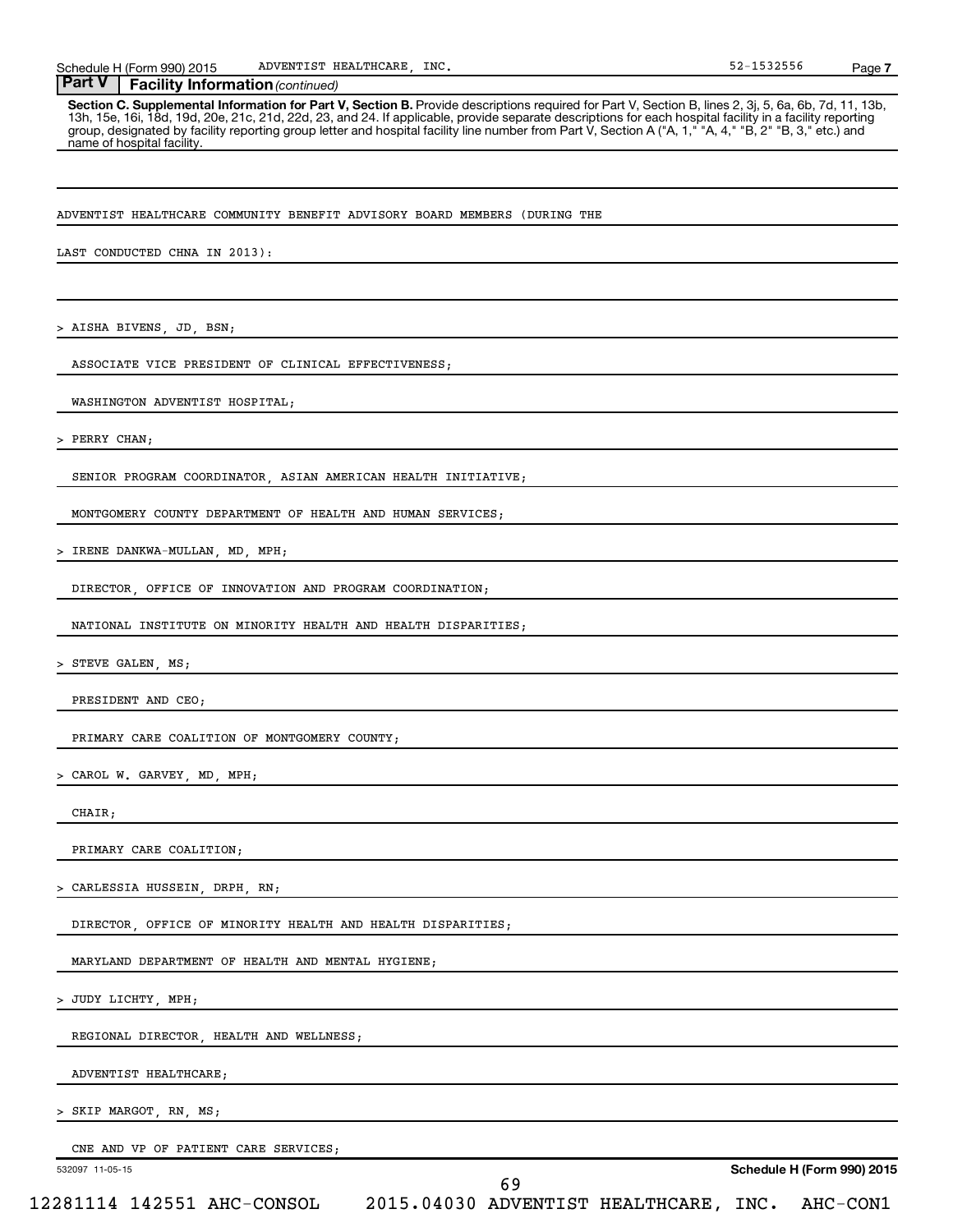name of hospital facility.

**7**

## 532097 11-05-15 **Schedule H (Form 990) 2015** ADVENTIST HEALTHCARE COMMUNITY BENEFIT ADVISORY BOARD MEMBERS (DURING THE LAST CONDUCTED CHNA IN 2013): > AISHA BIVENS, JD, BSN; ASSOCIATE VICE PRESIDENT OF CLINICAL EFFECTIVENESS; WASHINGTON ADVENTIST HOSPITAL; > PERRY CHAN; SENIOR PROGRAM COORDINATOR, ASIAN AMERICAN HEALTH INITIATIVE; MONTGOMERY COUNTY DEPARTMENT OF HEALTH AND HUMAN SERVICES; > IRENE DANKWA-MULLAN, MD, MPH; DIRECTOR, OFFICE OF INNOVATION AND PROGRAM COORDINATION; NATIONAL INSTITUTE ON MINORITY HEALTH AND HEALTH DISPARITIES; STEVE GALEN, MS; PRESIDENT AND CEO; PRIMARY CARE COALITION OF MONTGOMERY COUNTY; CAROL W. GARVEY, MD, MPH; CHAIR; PRIMARY CARE COALITION; CARLESSIA HUSSEIN, DRPH, RN; DIRECTOR, OFFICE OF MINORITY HEALTH AND HEALTH DISPARITIES; MARYLAND DEPARTMENT OF HEALTH AND MENTAL HYGIENE; > JUDY LICHTY, MPH; REGIONAL DIRECTOR, HEALTH AND WELLNESS; ADVENTIST HEALTHCARE; > SKIP MARGOT, RN, MS; CNE AND VP OF PATIENT CARE SERVICES; 12281114 142551 AHC-CONSOL 2015.04030 ADVENTIST HEALTHCARE, INC. AHC-CON1 69

Section C. Supplemental Information for Part V, Section B. Provide descriptions required for Part V, Section B, lines 2, 3j, 5, 6a, 6b, 7d, 11, 13b,

13h, 15e, 16i, 18d, 19d, 20e, 21c, 21d, 22d, 23, and 24. If applicable, provide separate descriptions for each hospital facility in a facility reporting group, designated by facility reporting group letter and hospital facility line number from Part V, Section A ("A, 1," "A, 4," "B, 2" "B, 3," etc.) and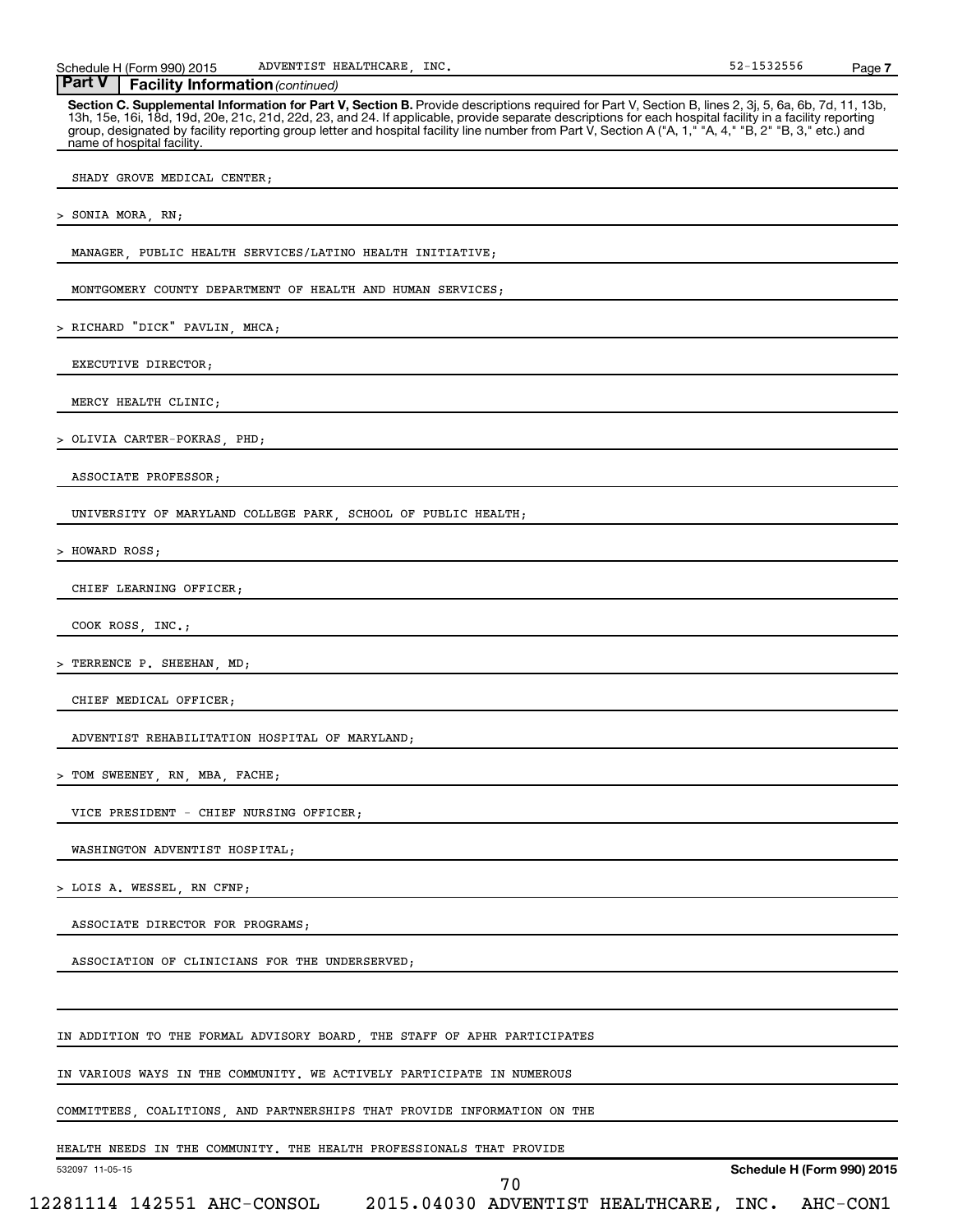## 532097 11-05-15 Section C. Supplemental Information for Part V, Section B. Provide descriptions required for Part V, Section B, lines 2, 3j, 5, 6a, 6b, 7d, 11, 13b, **Schedule H (Form 990) 2015** 13h, 15e, 16i, 18d, 19d, 20e, 21c, 21d, 22d, 23, and 24. If applicable, provide separate descriptions for each hospital facility in a facility reporting group, designated by facility reporting group letter and hospital facility line number from Part V, Section A ("A, 1," "A, 4," "B, 2" "B, 3," etc.) and name of hospital facility. SHADY GROVE MEDICAL CENTER: SONIA MORA, RN; MANAGER, PUBLIC HEALTH SERVICES/LATINO HEALTH INITIATIVE; MONTGOMERY COUNTY DEPARTMENT OF HEALTH AND HUMAN SERVICES; > RICHARD "DICK" PAVLIN, MHCA; EXECUTIVE DIRECTOR; MERCY HEALTH CLINIC; > OLIVIA CARTER-POKRAS, PHD; ASSOCIATE PROFESSOR; UNIVERSITY OF MARYLAND COLLEGE PARK, SCHOOL OF PUBLIC HEALTH; > HOWARD ROSS; CHIEF LEARNING OFFICER; COOK ROSS, INC.; TERRENCE P. SHEEHAN, MD; CHIEF MEDICAL OFFICER; ADVENTIST REHABILITATION HOSPITAL OF MARYLAND; TOM SWEENEY, RN, MBA, FACHE; VICE PRESIDENT - CHIEF NURSING OFFICER; WASHINGTON ADVENTIST HOSPITAL; LOIS A. WESSEL, RN CFNP; ASSOCIATE DIRECTOR FOR PROGRAMS; ASSOCIATION OF CLINICIANS FOR THE UNDERSERVED; IN ADDITION TO THE FORMAL ADVISORY BOARD, THE STAFF OF APHR PARTICIPATES IN VARIOUS WAYS IN THE COMMUNITY. WE ACTIVELY PARTICIPATE IN NUMEROUS COMMITTEES, COALITIONS, AND PARTNERSHIPS THAT PROVIDE INFORMATION ON THE HEALTH NEEDS IN THE COMMUNITY. THE HEALTH PROFESSIONALS THAT PROVIDE 12281114 142551 AHC-CONSOL 2015.04030 ADVENTIST HEALTHCARE, INC. AHC-CON1 70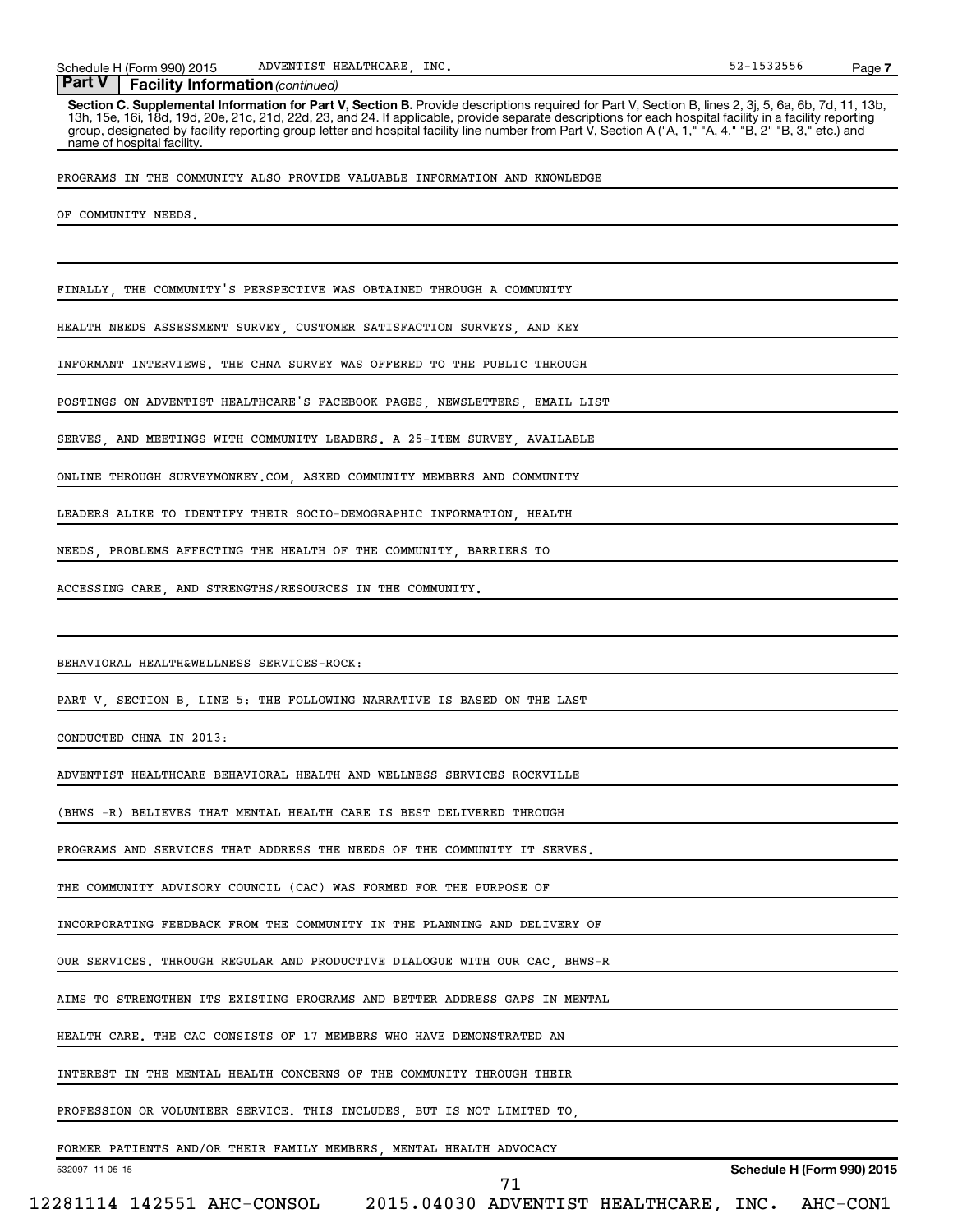Section C. Supplemental Information for Part V, Section B. Provide descriptions required for Part V, Section B, lines 2, 3j, 5, 6a, 6b, 7d, 11, 13b, 13h, 15e, 16i, 18d, 19d, 20e, 21c, 21d, 22d, 23, and 24. If applicable, provide separate descriptions for each hospital facility in a facility reporting group, designated by facility reporting group letter and hospital facility line number from Part V, Section A ("A, 1," "A, 4," "B, 2" "B, 3," etc.) and name of hospital facility.

PROGRAMS IN THE COMMUNITY ALSO PROVIDE VALUABLE INFORMATION AND KNOWLEDGE

OF COMMUNITY NEEDS.

FINALLY, THE COMMUNITY'S PERSPECTIVE WAS OBTAINED THROUGH A COMMUNITY

HEALTH NEEDS ASSESSMENT SURVEY, CUSTOMER SATISFACTION SURVEYS, AND KEY

INFORMANT INTERVIEWS. THE CHNA SURVEY WAS OFFERED TO THE PUBLIC THROUGH

POSTINGS ON ADVENTIST HEALTHCARE'S FACEBOOK PAGES, NEWSLETTERS, EMAIL LIST

SERVES, AND MEETINGS WITH COMMUNITY LEADERS. A 25-ITEM SURVEY, AVAILABLE

ONLINE THROUGH SURVEYMONKEY.COM, ASKED COMMUNITY MEMBERS AND COMMUNITY

LEADERS ALIKE TO IDENTIFY THEIR SOCIO-DEMOGRAPHIC INFORMATION, HEALTH

NEEDS, PROBLEMS AFFECTING THE HEALTH OF THE COMMUNITY, BARRIERS TO

ACCESSING CARE, AND STRENGTHS/RESOURCES IN THE COMMUNITY.

BEHAVIORAL HEALTH&WELLNESS SERVICES-ROCK:

PART V, SECTION B, LINE 5: THE FOLLOWING NARRATIVE IS BASED ON THE LAST

CONDUCTED CHNA IN 2013:

ADVENTIST HEALTHCARE BEHAVIORAL HEALTH AND WELLNESS SERVICES ROCKVILLE

(BHWS -R) BELIEVES THAT MENTAL HEALTH CARE IS BEST DELIVERED THROUGH

PROGRAMS AND SERVICES THAT ADDRESS THE NEEDS OF THE COMMUNITY IT SERVES.

THE COMMUNITY ADVISORY COUNCIL (CAC) WAS FORMED FOR THE PURPOSE OF

INCORPORATING FEEDBACK FROM THE COMMUNITY IN THE PLANNING AND DELIVERY OF

OUR SERVICES. THROUGH REGULAR AND PRODUCTIVE DIALOGUE WITH OUR CAC, BHWS-R

AIMS TO STRENGTHEN ITS EXISTING PROGRAMS AND BETTER ADDRESS GAPS IN MENTAL

HEALTH CARE. THE CAC CONSISTS OF 17 MEMBERS WHO HAVE DEMONSTRATED AN

INTEREST IN THE MENTAL HEALTH CONCERNS OF THE COMMUNITY THROUGH THEIR

PROFESSION OR VOLUNTEER SERVICE. THIS INCLUDES, BUT IS NOT LIMITED TO,

FORMER PATIENTS AND/OR THEIR FAMILY MEMBERS, MENTAL HEALTH ADVOCACY

532097 11-05-15

**Schedule H (Form 990) 2015**

12281114 142551 AHC-CONSOL 2015.04030 ADVENTIST HEALTHCARE, INC. AHC-CON1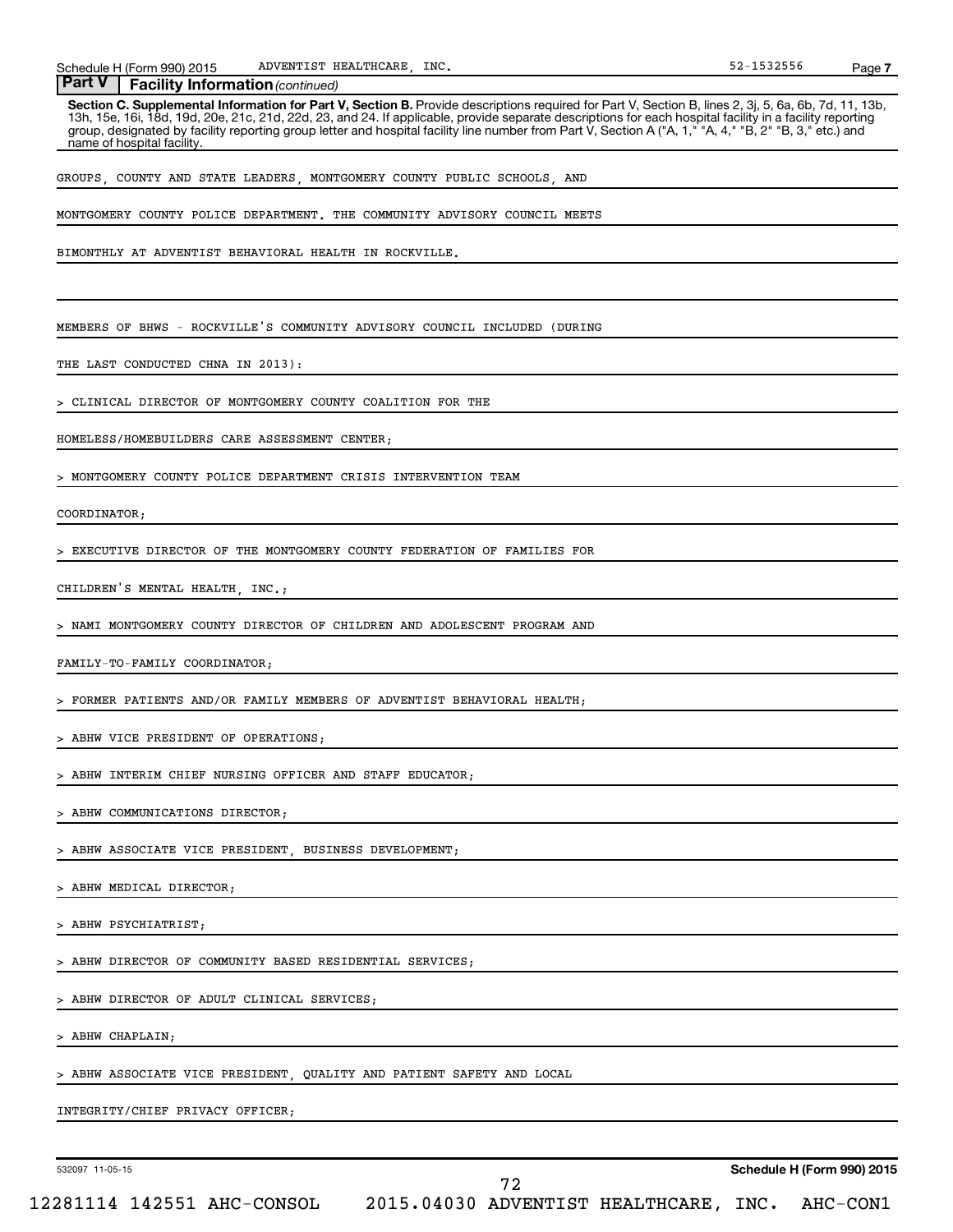| Part V           | <b>Facility Information (continued)</b>                                                                                                                                                                                                                                                                                                                                                                                                                                                                   |                            |
|------------------|-----------------------------------------------------------------------------------------------------------------------------------------------------------------------------------------------------------------------------------------------------------------------------------------------------------------------------------------------------------------------------------------------------------------------------------------------------------------------------------------------------------|----------------------------|
|                  | Section C. Supplemental Information for Part V, Section B. Provide descriptions required for Part V, Section B, lines 2, 3j, 5, 6a, 6b, 7d, 11, 13b,<br>13h, 15e, 16i, 18d, 19d, 20e, 21c, 21d, 22d, 23, and 24. If applicable, provide separate descriptions for each hospital facility in a facility reporting<br>group, designated by facility reporting group letter and hospital facility line number from Part V, Section A ("A, 1," "A, 4," "B, 2" "B, 3," etc.) and<br>name of hospital facility. |                            |
|                  | GROUPS, COUNTY AND STATE LEADERS, MONTGOMERY COUNTY PUBLIC SCHOOLS, AND                                                                                                                                                                                                                                                                                                                                                                                                                                   |                            |
|                  | MONTGOMERY COUNTY POLICE DEPARTMENT. THE COMMUNITY ADVISORY COUNCIL MEETS                                                                                                                                                                                                                                                                                                                                                                                                                                 |                            |
|                  | BIMONTHLY AT ADVENTIST BEHAVIORAL HEALTH IN ROCKVILLE.                                                                                                                                                                                                                                                                                                                                                                                                                                                    |                            |
|                  |                                                                                                                                                                                                                                                                                                                                                                                                                                                                                                           |                            |
|                  | MEMBERS OF BHWS - ROCKVILLE'S COMMUNITY ADVISORY COUNCIL INCLUDED (DURING                                                                                                                                                                                                                                                                                                                                                                                                                                 |                            |
|                  | THE LAST CONDUCTED CHNA IN 2013):                                                                                                                                                                                                                                                                                                                                                                                                                                                                         |                            |
|                  | > CLINICAL DIRECTOR OF MONTGOMERY COUNTY COALITION FOR THE                                                                                                                                                                                                                                                                                                                                                                                                                                                |                            |
|                  | HOMELESS/HOMEBUILDERS CARE ASSESSMENT CENTER;                                                                                                                                                                                                                                                                                                                                                                                                                                                             |                            |
|                  | > MONTGOMERY COUNTY POLICE DEPARTMENT CRISIS INTERVENTION TEAM                                                                                                                                                                                                                                                                                                                                                                                                                                            |                            |
| COORDINATOR;     |                                                                                                                                                                                                                                                                                                                                                                                                                                                                                                           |                            |
|                  | > EXECUTIVE DIRECTOR OF THE MONTGOMERY COUNTY FEDERATION OF FAMILIES FOR                                                                                                                                                                                                                                                                                                                                                                                                                                  |                            |
|                  | CHILDREN'S MENTAL HEALTH, INC.;                                                                                                                                                                                                                                                                                                                                                                                                                                                                           |                            |
|                  | > NAMI MONTGOMERY COUNTY DIRECTOR OF CHILDREN AND ADOLESCENT PROGRAM AND                                                                                                                                                                                                                                                                                                                                                                                                                                  |                            |
|                  | FAMILY-TO-FAMILY COORDINATOR;                                                                                                                                                                                                                                                                                                                                                                                                                                                                             |                            |
|                  | > FORMER PATIENTS AND/OR FAMILY MEMBERS OF ADVENTIST BEHAVIORAL HEALTH;                                                                                                                                                                                                                                                                                                                                                                                                                                   |                            |
|                  | > ABHW VICE PRESIDENT OF OPERATIONS;                                                                                                                                                                                                                                                                                                                                                                                                                                                                      |                            |
|                  | > ABHW INTERIM CHIEF NURSING OFFICER AND STAFF EDUCATOR;                                                                                                                                                                                                                                                                                                                                                                                                                                                  |                            |
|                  | > ABHW COMMUNICATIONS DIRECTOR;                                                                                                                                                                                                                                                                                                                                                                                                                                                                           |                            |
|                  | > ABHW ASSOCIATE VICE PRESIDENT, BUSINESS DEVELOPMENT;                                                                                                                                                                                                                                                                                                                                                                                                                                                    |                            |
|                  | > ABHW MEDICAL DIRECTOR;                                                                                                                                                                                                                                                                                                                                                                                                                                                                                  |                            |
|                  | > ABHW PSYCHIATRIST;                                                                                                                                                                                                                                                                                                                                                                                                                                                                                      |                            |
|                  | > ABHW DIRECTOR OF COMMUNITY BASED RESIDENTIAL SERVICES;                                                                                                                                                                                                                                                                                                                                                                                                                                                  |                            |
|                  | > ABHW DIRECTOR OF ADULT CLINICAL SERVICES;                                                                                                                                                                                                                                                                                                                                                                                                                                                               |                            |
| > ABHW CHAPLAIN; |                                                                                                                                                                                                                                                                                                                                                                                                                                                                                                           |                            |
|                  | > ABHW ASSOCIATE VICE PRESIDENT, QUALITY AND PATIENT SAFETY AND LOCAL                                                                                                                                                                                                                                                                                                                                                                                                                                     |                            |
|                  | INTEGRITY/CHIEF PRIVACY OFFICER;                                                                                                                                                                                                                                                                                                                                                                                                                                                                          |                            |
| 532097 11-05-15  |                                                                                                                                                                                                                                                                                                                                                                                                                                                                                                           | Schedule H (Form 990) 2015 |
|                  | 72<br>12281114 142551 AHC-CONSOL 2015.04030 ADVENTIST HEALTHCARE, INC.                                                                                                                                                                                                                                                                                                                                                                                                                                    | AHC-CON1                   |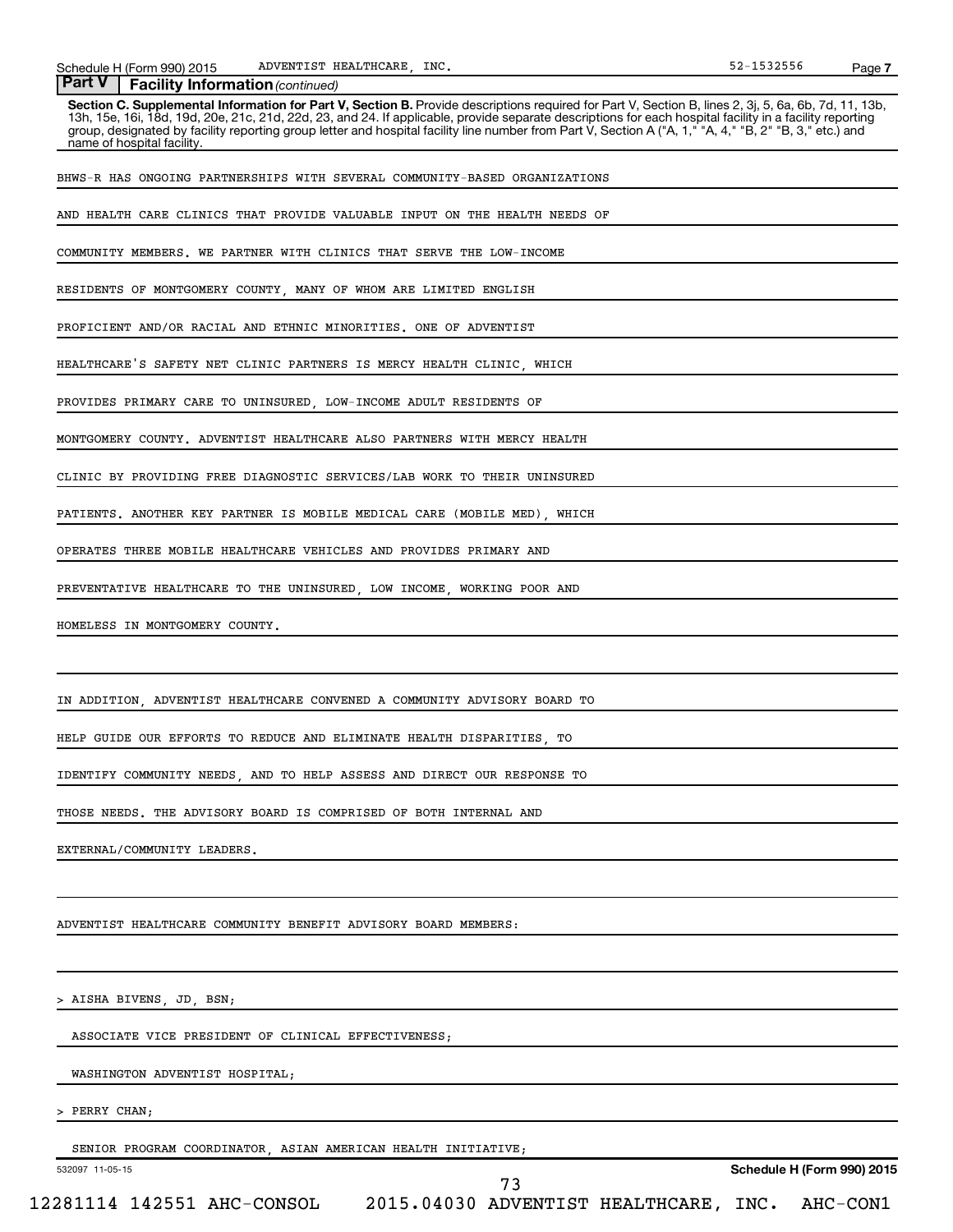BHWS-R HAS ONGOING PARTNERSHIPS WITH SEVERAL COMMUNITY-BASED ORGANIZATIONS

AND HEALTH CARE CLINICS THAT PROVIDE VALUABLE INPUT ON THE HEALTH NEEDS OF

COMMUNITY MEMBERS. WE PARTNER WITH CLINICS THAT SERVE THE LOW-INCOME

RESIDENTS OF MONTGOMERY COUNTY, MANY OF WHOM ARE LIMITED ENGLISH

**Part V** | Facility Information (continued)

name of hospital facility.

**7**

# 532097 11-05-15 **Schedule H (Form 990) 2015** PROFICIENT AND/OR RACIAL AND ETHNIC MINORITIES. ONE OF ADVENTIST HEALTHCARE'S SAFETY NET CLINIC PARTNERS IS MERCY HEALTH CLINIC, WHICH PROVIDES PRIMARY CARE TO UNINSURED, LOW-INCOME ADULT RESIDENTS OF MONTGOMERY COUNTY. ADVENTIST HEALTHCARE ALSO PARTNERS WITH MERCY HEALTH CLINIC BY PROVIDING FREE DIAGNOSTIC SERVICES/LAB WORK TO THEIR UNINSURED PATIENTS. ANOTHER KEY PARTNER IS MOBILE MEDICAL CARE (MOBILE MED), WHICH OPERATES THREE MOBILE HEALTHCARE VEHICLES AND PROVIDES PRIMARY AND PREVENTATIVE HEALTHCARE TO THE UNINSURED, LOW INCOME, WORKING POOR AND HOMELESS IN MONTGOMERY COUNTY. IN ADDITION, ADVENTIST HEALTHCARE CONVENED A COMMUNITY ADVISORY BOARD TO HELP GUIDE OUR EFFORTS TO REDUCE AND ELIMINATE HEALTH DISPARITIES, TO IDENTIFY COMMUNITY NEEDS, AND TO HELP ASSESS AND DIRECT OUR RESPONSE TO THOSE NEEDS. THE ADVISORY BOARD IS COMPRISED OF BOTH INTERNAL AND EXTERNAL/COMMUNITY LEADERS. ADVENTIST HEALTHCARE COMMUNITY BENEFIT ADVISORY BOARD MEMBERS: AISHA BIVENS JD BSN: ASSOCIATE VICE PRESIDENT OF CLINICAL EFFECTIVENESS; WASHINGTON ADVENTIST HOSPITAL; > PERRY CHAN; SENIOR PROGRAM COORDINATOR, ASIAN AMERICAN HEALTH INITIATIVE; 12281114 142551 AHC-CONSOL 2015.04030 ADVENTIST HEALTHCARE, INC. AHC-CON1 73

Section C. Supplemental Information for Part V, Section B. Provide descriptions required for Part V, Section B, lines 2, 3j, 5, 6a, 6b, 7d, 11, 13b,

13h, 15e, 16i, 18d, 19d, 20e, 21c, 21d, 22d, 23, and 24. If applicable, provide separate descriptions for each hospital facility in a facility reporting group, designated by facility reporting group letter and hospital facility line number from Part V, Section A ("A, 1," "A, 4," "B, 2" "B, 3," etc.) and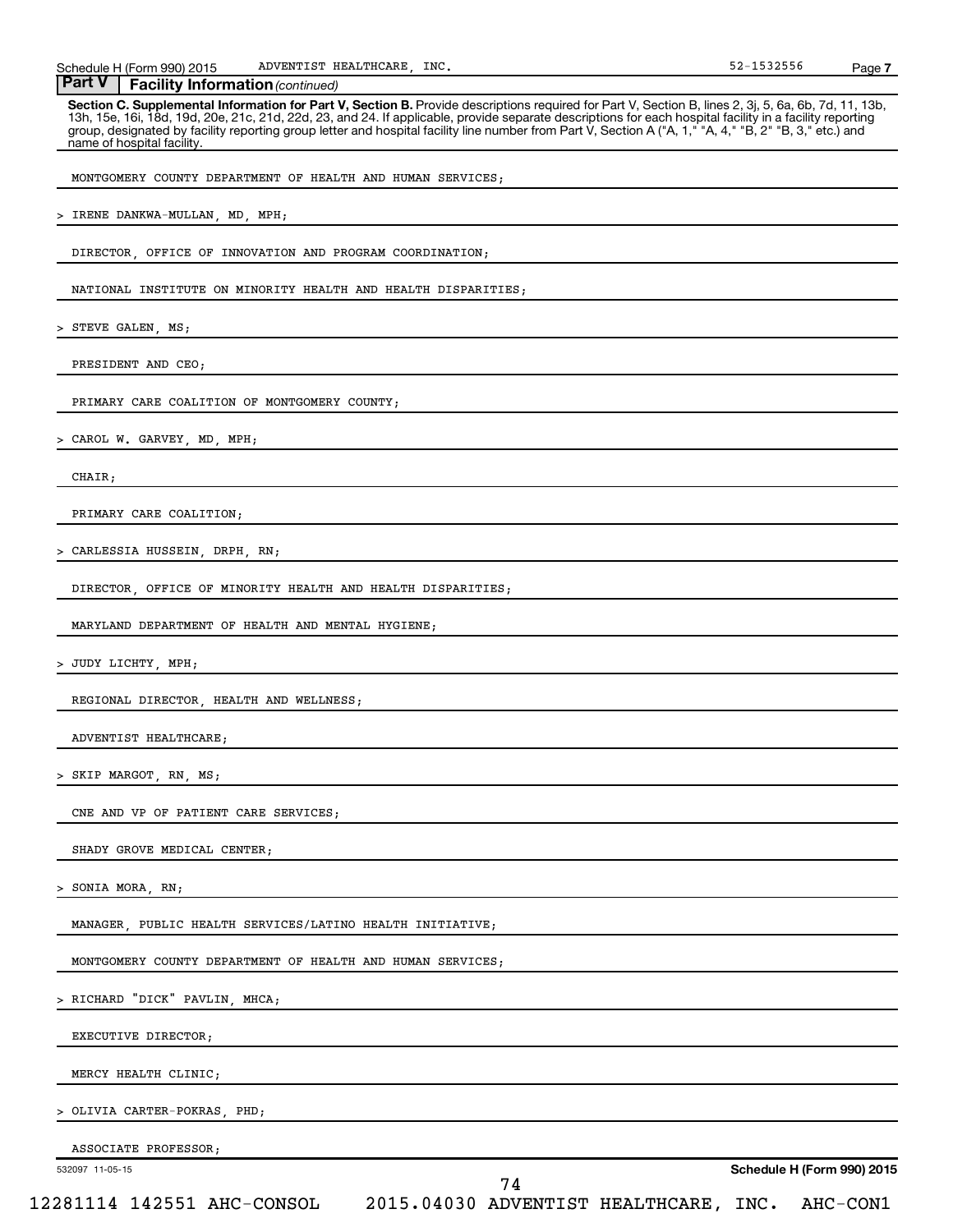**Part V Facility Information**

 *(continued)*

| MONTGOMERY COUNTY DEPARTMENT OF HEALTH AND HUMAN SERVICES;    |  |
|---------------------------------------------------------------|--|
| > IRENE DANKWA-MULLAN, MD, MPH;                               |  |
| DIRECTOR, OFFICE OF INNOVATION AND PROGRAM COORDINATION;      |  |
| NATIONAL INSTITUTE ON MINORITY HEALTH AND HEALTH DISPARITIES; |  |
| > STEVE GALEN, MS;                                            |  |
| PRESIDENT AND CEO;                                            |  |
| PRIMARY CARE COALITION OF MONTGOMERY COUNTY;                  |  |
| > CAROL W. GARVEY, MD, MPH;                                   |  |
| CHAIR;                                                        |  |
| PRIMARY CARE COALITION;                                       |  |
| > CARLESSIA HUSSEIN, DRPH, RN;                                |  |
| DIRECTOR, OFFICE OF MINORITY HEALTH AND HEALTH DISPARITIES;   |  |
| MARYLAND DEPARTMENT OF HEALTH AND MENTAL HYGIENE;             |  |
| > JUDY LICHTY, MPH;                                           |  |
| REGIONAL DIRECTOR, HEALTH AND WELLNESS;                       |  |
| ADVENTIST HEALTHCARE;                                         |  |
| > SKIP MARGOT, RN, MS;                                        |  |
| CNE AND VP OF PATIENT CARE SERVICES;                          |  |
| SHADY GROVE MEDICAL CENTER;                                   |  |
| > SONIA MORA, RN;                                             |  |
|                                                               |  |
| MANAGER, PUBLIC HEALTH SERVICES/LATINO HEALTH INITIATIVE;     |  |
| MONTGOMERY COUNTY DEPARTMENT OF HEALTH AND HUMAN SERVICES;    |  |
| > RICHARD "DICK" PAVLIN, MHCA;                                |  |
| EXECUTIVE DIRECTOR;                                           |  |
| MERCY HEALTH CLINIC;                                          |  |
| > OLIVIA CARTER-POKRAS, PHD;                                  |  |
|                                                               |  |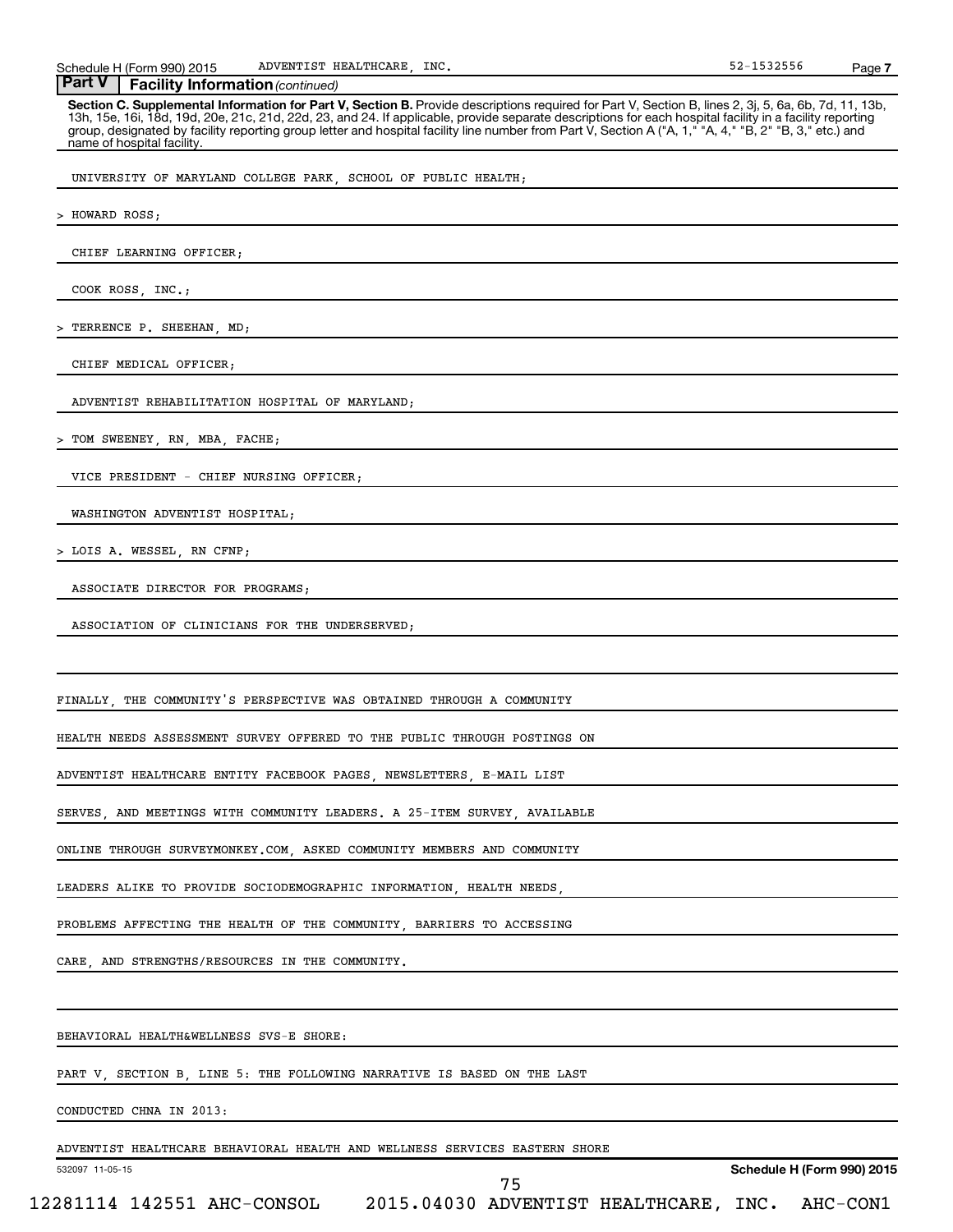#### Section C. Supplemental Information for Part V, Section B. Provide descriptions required for Part V, Section B, lines 2, 3j, 5, 6a, 6b, 7d, 11, 13b, **Part V** | Facility Information (continued) 13h, 15e, 16i, 18d, 19d, 20e, 21c, 21d, 22d, 23, and 24. If applicable, provide separate descriptions for each hospital facility in a facility reporting group, designated by facility reporting group letter and hospital facility line number from Part V, Section A ("A, 1," "A, 4," "B, 2" "B, 3," etc.) and

UNIVERSITY OF MARYLAND COLLEGE PARK, SCHOOL OF PUBLIC HEALTH;

> HOWARD ROSS;

CHIEF LEARNING OFFICER;

COOK ROSS, INC.;

name of hospital facility.

TERRENCE P. SHEEHAN, MD;

CHIEF MEDICAL OFFICER;

ADVENTIST REHABILITATION HOSPITAL OF MARYLAND;

TOM SWEENEY, RN, MBA, FACHE;

VICE PRESIDENT - CHIEF NURSING OFFICER;

WASHINGTON ADVENTIST HOSPITAL;

> LOIS A. WESSEL, RN CFNP;

ASSOCIATE DIRECTOR FOR PROGRAMS

ASSOCIATION OF CLINICIANS FOR THE UNDERSERVED;

FINALLY, THE COMMUNITY'S PERSPECTIVE WAS OBTAINED THROUGH A COMMUNITY

HEALTH NEEDS ASSESSMENT SURVEY OFFERED TO THE PUBLIC THROUGH POSTINGS ON

ADVENTIST HEALTHCARE ENTITY FACEBOOK PAGES, NEWSLETTERS, E-MAIL LIST

SERVES, AND MEETINGS WITH COMMUNITY LEADERS. A 25-ITEM SURVEY, AVAILABLE

ONLINE THROUGH SURVEYMONKEY.COM, ASKED COMMUNITY MEMBERS AND COMMUNITY

LEADERS ALIKE TO PROVIDE SOCIODEMOGRAPHIC INFORMATION, HEALTH NEEDS

PROBLEMS AFFECTING THE HEALTH OF THE COMMUNITY, BARRIERS TO ACCESSING

CARE AND STRENGTHS/RESOURCES IN THE COMMUNITY.

BEHAVIORAL HEALTH&WELLNESS SVS-E SHORE:

PART V, SECTION B, LINE 5: THE FOLLOWING NARRATIVE IS BASED ON THE LAST

CONDUCTED CHNA IN 2013:

ADVENTIST HEALTHCARE BEHAVIORAL HEALTH AND WELLNESS SERVICES EASTERN SHORE

532097 11-05-15

75

**Schedule H (Form 990) 2015**

12281114 142551 AHC-CONSOL 2015.04030 ADVENTIST HEALTHCARE, INC. AHC-CON1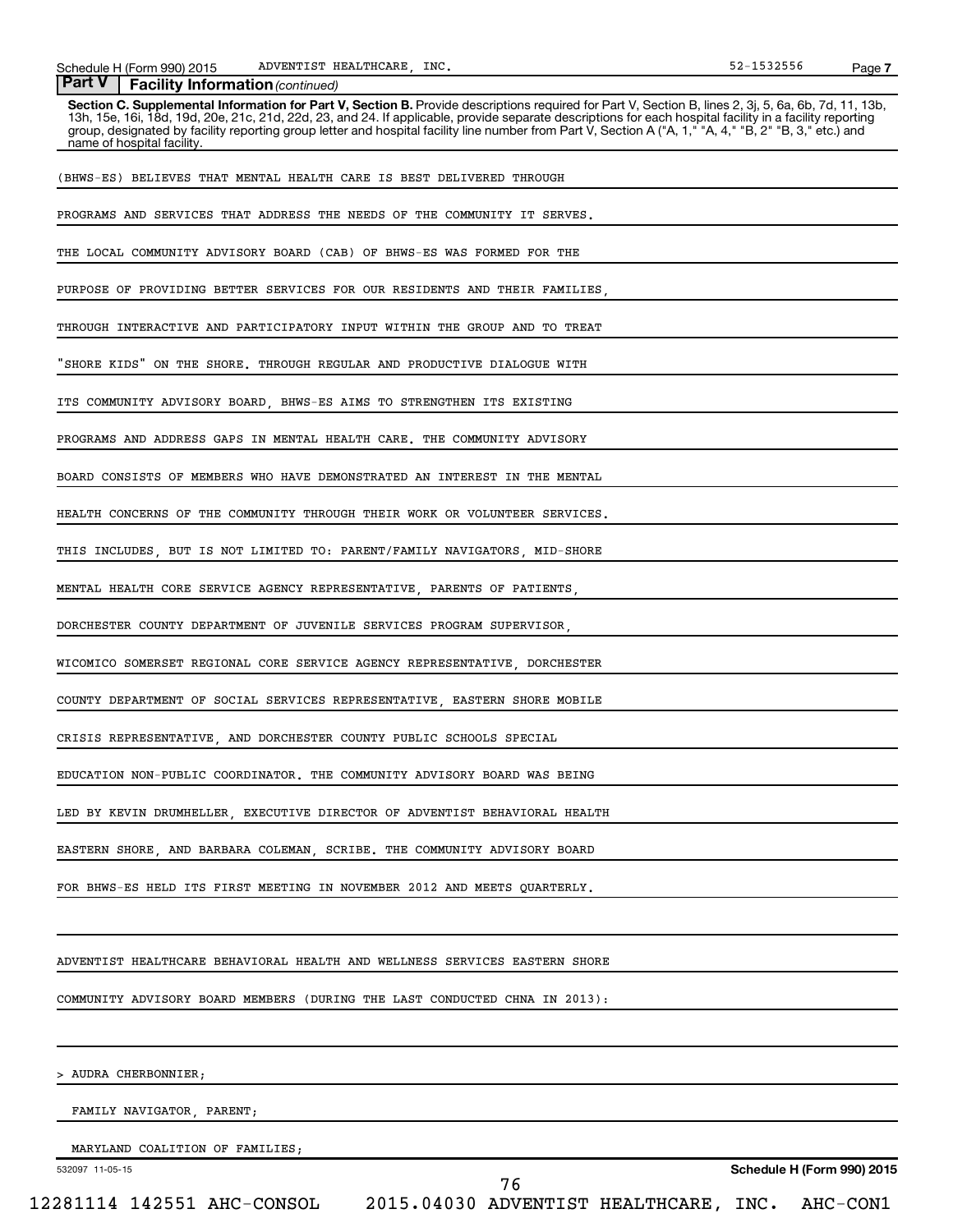| 13h, 15e, 16i, 18d, 19d, 20e, 21c, 21d, 22d, 23, and 24. If applicable, provide separate descriptions for each hospital facility in a facility reporting<br>group, designated by facility reporting group letter and hospital facility line number from Part V, Section A ("A, 1," "A, 4," "B, 2" "B, 3," etc.) and<br>name of hospital facility. |                            |
|---------------------------------------------------------------------------------------------------------------------------------------------------------------------------------------------------------------------------------------------------------------------------------------------------------------------------------------------------|----------------------------|
| (BHWS-ES) BELIEVES THAT MENTAL HEALTH CARE IS BEST DELIVERED THROUGH                                                                                                                                                                                                                                                                              |                            |
| PROGRAMS AND SERVICES THAT ADDRESS THE NEEDS OF THE COMMUNITY IT SERVES.                                                                                                                                                                                                                                                                          |                            |
| THE LOCAL COMMUNITY ADVISORY BOARD (CAB) OF BHWS-ES WAS FORMED FOR THE                                                                                                                                                                                                                                                                            |                            |
| PURPOSE OF PROVIDING BETTER SERVICES FOR OUR RESIDENTS AND THEIR FAMILIES.                                                                                                                                                                                                                                                                        |                            |
| THROUGH INTERACTIVE AND PARTICIPATORY INPUT WITHIN THE GROUP AND TO TREAT                                                                                                                                                                                                                                                                         |                            |
| "SHORE KIDS" ON THE SHORE. THROUGH REGULAR AND PRODUCTIVE DIALOGUE WITH                                                                                                                                                                                                                                                                           |                            |
| ITS COMMUNITY ADVISORY BOARD, BHWS-ES AIMS TO STRENGTHEN ITS EXISTING                                                                                                                                                                                                                                                                             |                            |
| PROGRAMS AND ADDRESS GAPS IN MENTAL HEALTH CARE. THE COMMUNITY ADVISORY                                                                                                                                                                                                                                                                           |                            |
| BOARD CONSISTS OF MEMBERS WHO HAVE DEMONSTRATED AN INTEREST IN THE MENTAL                                                                                                                                                                                                                                                                         |                            |
| HEALTH CONCERNS OF THE COMMUNITY THROUGH THEIR WORK OR VOLUNTEER SERVICES.                                                                                                                                                                                                                                                                        |                            |
| THIS INCLUDES, BUT IS NOT LIMITED TO: PARENT/FAMILY NAVIGATORS, MID-SHORE                                                                                                                                                                                                                                                                         |                            |
| MENTAL HEALTH CORE SERVICE AGENCY REPRESENTATIVE, PARENTS OF PATIENTS,                                                                                                                                                                                                                                                                            |                            |
| DORCHESTER COUNTY DEPARTMENT OF JUVENILE SERVICES PROGRAM SUPERVISOR                                                                                                                                                                                                                                                                              |                            |
| WICOMICO SOMERSET REGIONAL CORE SERVICE AGENCY REPRESENTATIVE, DORCHESTER                                                                                                                                                                                                                                                                         |                            |
| COUNTY DEPARTMENT OF SOCIAL SERVICES REPRESENTATIVE, EASTERN SHORE MOBILE                                                                                                                                                                                                                                                                         |                            |
| CRISIS REPRESENTATIVE, AND DORCHESTER COUNTY PUBLIC SCHOOLS SPECIAL                                                                                                                                                                                                                                                                               |                            |
| EDUCATION NON-PUBLIC COORDINATOR. THE COMMUNITY ADVISORY BOARD WAS BEING                                                                                                                                                                                                                                                                          |                            |
| LED BY KEVIN DRUMHELLER EXECUTIVE DIRECTOR OF ADVENTIST BEHAVIORAL HEALTH                                                                                                                                                                                                                                                                         |                            |
| EASTERN SHORE, AND BARBARA COLEMAN, SCRIBE. THE COMMUNITY ADVISORY BOARD                                                                                                                                                                                                                                                                          |                            |
| FOR BHWS-ES HELD ITS FIRST MEETING IN NOVEMBER 2012 AND MEETS QUARTERLY.                                                                                                                                                                                                                                                                          |                            |
| ADVENTIST HEALTHCARE BEHAVIORAL HEALTH AND WELLNESS SERVICES EASTERN SHORE                                                                                                                                                                                                                                                                        |                            |
| COMMUNITY ADVISORY BOARD MEMBERS (DURING THE LAST CONDUCTED CHNA IN 2013):                                                                                                                                                                                                                                                                        |                            |
| > AUDRA CHERBONNIER;                                                                                                                                                                                                                                                                                                                              |                            |
| FAMILY NAVIGATOR, PARENT;                                                                                                                                                                                                                                                                                                                         |                            |
| MARYLAND COALITION OF FAMILIES;                                                                                                                                                                                                                                                                                                                   |                            |
| 532097 11-05-15<br>76<br>12281114 142551 AHC-CONSOL 2015.04030 ADVENTIST HEALTHCARE, INC. AHC-CON1                                                                                                                                                                                                                                                | Schedule H (Form 990) 2015 |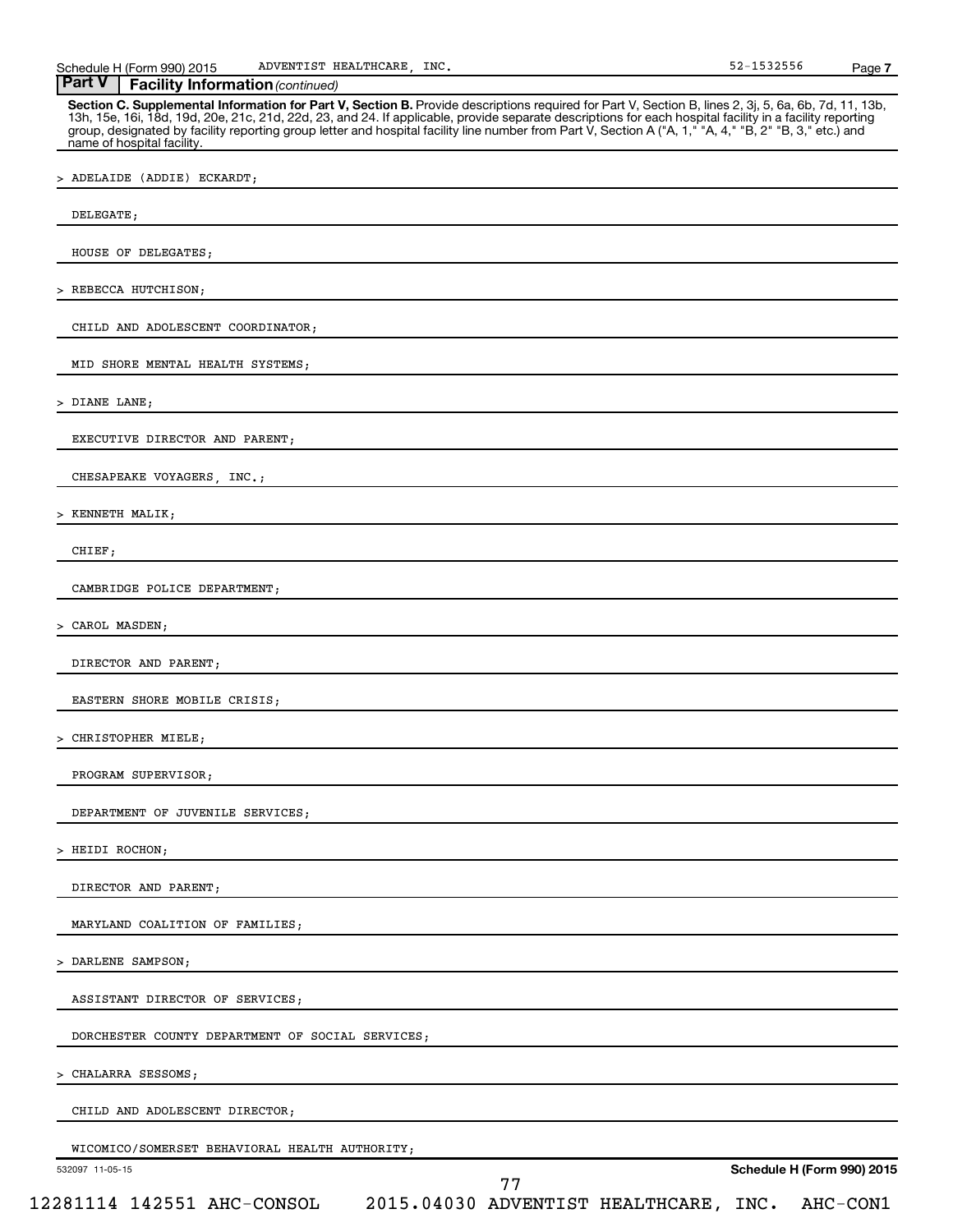| Part V<br><b>Facility Information (continued)</b>                                                                                                                                                                                                                                                                                                                                                                                                                                                         |
|-----------------------------------------------------------------------------------------------------------------------------------------------------------------------------------------------------------------------------------------------------------------------------------------------------------------------------------------------------------------------------------------------------------------------------------------------------------------------------------------------------------|
| Section C. Supplemental Information for Part V, Section B. Provide descriptions required for Part V, Section B, lines 2, 3j, 5, 6a, 6b, 7d, 11, 13b,<br>13h, 15e, 16i, 18d, 19d, 20e, 21c, 21d, 22d, 23, and 24. If applicable, provide separate descriptions for each hospital facility in a facility reporting<br>group, designated by facility reporting group letter and hospital facility line number from Part V, Section A ("A, 1," "A, 4," "B, 2" "B, 3," etc.) and<br>name of hospital facility. |
| > ADELAIDE (ADDIE) ECKARDT;                                                                                                                                                                                                                                                                                                                                                                                                                                                                               |
| DELEGATE;                                                                                                                                                                                                                                                                                                                                                                                                                                                                                                 |
| HOUSE OF DELEGATES;                                                                                                                                                                                                                                                                                                                                                                                                                                                                                       |
| > REBECCA HUTCHISON;                                                                                                                                                                                                                                                                                                                                                                                                                                                                                      |
| CHILD AND ADOLESCENT COORDINATOR;                                                                                                                                                                                                                                                                                                                                                                                                                                                                         |
| MID SHORE MENTAL HEALTH SYSTEMS;                                                                                                                                                                                                                                                                                                                                                                                                                                                                          |
| > DIANE LANE;                                                                                                                                                                                                                                                                                                                                                                                                                                                                                             |
| EXECUTIVE DIRECTOR AND PARENT;                                                                                                                                                                                                                                                                                                                                                                                                                                                                            |
| CHESAPEAKE VOYAGERS, INC.;                                                                                                                                                                                                                                                                                                                                                                                                                                                                                |
| > KENNETH MALIK;                                                                                                                                                                                                                                                                                                                                                                                                                                                                                          |
| CHIEF;                                                                                                                                                                                                                                                                                                                                                                                                                                                                                                    |
| CAMBRIDGE POLICE DEPARTMENT;                                                                                                                                                                                                                                                                                                                                                                                                                                                                              |
| > CAROL MASDEN;                                                                                                                                                                                                                                                                                                                                                                                                                                                                                           |
| DIRECTOR AND PARENT;                                                                                                                                                                                                                                                                                                                                                                                                                                                                                      |
| EASTERN SHORE MOBILE CRISIS;                                                                                                                                                                                                                                                                                                                                                                                                                                                                              |
| > CHRISTOPHER MIELE;                                                                                                                                                                                                                                                                                                                                                                                                                                                                                      |
| PROGRAM SUPERVISOR;                                                                                                                                                                                                                                                                                                                                                                                                                                                                                       |
| DEPARTMENT OF JUVENILE SERVICES;                                                                                                                                                                                                                                                                                                                                                                                                                                                                          |
| > HEIDI ROCHON;                                                                                                                                                                                                                                                                                                                                                                                                                                                                                           |
| DIRECTOR AND PARENT;                                                                                                                                                                                                                                                                                                                                                                                                                                                                                      |
| MARYLAND COALITION OF FAMILIES;                                                                                                                                                                                                                                                                                                                                                                                                                                                                           |
| > DARLENE SAMPSON;                                                                                                                                                                                                                                                                                                                                                                                                                                                                                        |
| ASSISTANT DIRECTOR OF SERVICES;                                                                                                                                                                                                                                                                                                                                                                                                                                                                           |
| DORCHESTER COUNTY DEPARTMENT OF SOCIAL SERVICES;                                                                                                                                                                                                                                                                                                                                                                                                                                                          |
| > CHALARRA SESSOMS;                                                                                                                                                                                                                                                                                                                                                                                                                                                                                       |
| CHILD AND ADOLESCENT DIRECTOR;                                                                                                                                                                                                                                                                                                                                                                                                                                                                            |
| WICOMICO/SOMERSET BEHAVIORAL HEALTH AUTHORITY;                                                                                                                                                                                                                                                                                                                                                                                                                                                            |
| Schedule H (Form 990) 2015<br>532097 11-05-15<br>77                                                                                                                                                                                                                                                                                                                                                                                                                                                       |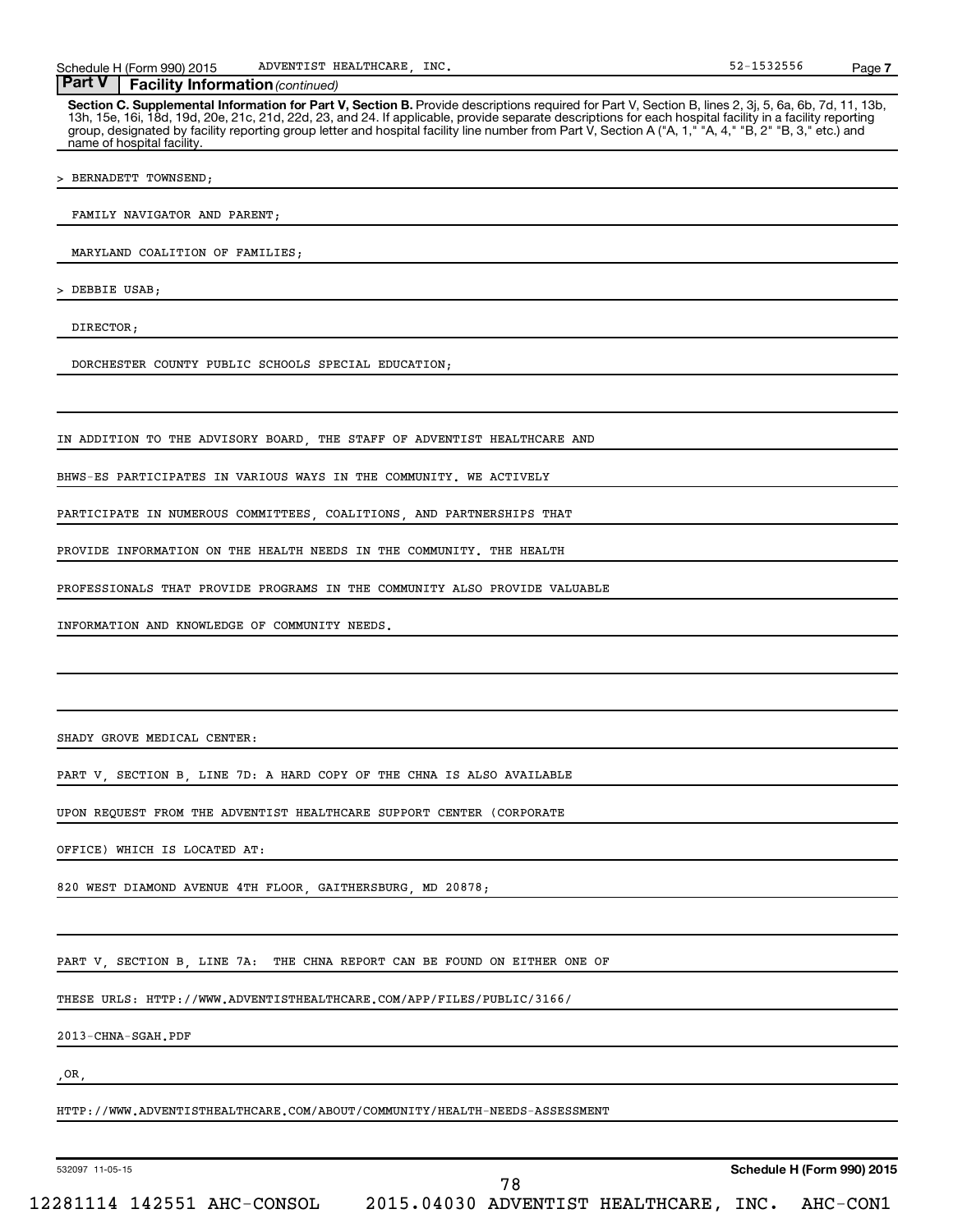### **Part V** | Facility Information (continued)

Section C. Supplemental Information for Part V, Section B. Provide descriptions required for Part V, Section B, lines 2, 3j, 5, 6a, 6b, 7d, 11, 13b, 13h, 15e, 16i, 18d, 19d, 20e, 21c, 21d, 22d, 23, and 24. If applicable, provide separate descriptions for each hospital facility in a facility reporting group, designated by facility reporting group letter and hospital facility line number from Part V, Section A ("A, 1," "A, 4," "B, 2" "B, 3," etc.) and name of hospital facility.

> BERNADETT TOWNSEND;

FAMILY NAVIGATOR AND PARENT;

MARYLAND COALITION OF FAMILIES;

> DEBBIE USAB;

DIRECTOR;

DORCHESTER COUNTY PUBLIC SCHOOLS SPECIAL EDUCATION;

IN ADDITION TO THE ADVISORY BOARD, THE STAFF OF ADVENTIST HEALTHCARE AND

BHWS-ES PARTICIPATES IN VARIOUS WAYS IN THE COMMUNITY. WE ACTIVELY

PARTICIPATE IN NUMEROUS COMMITTEES, COALITIONS, AND PARTNERSHIPS THAT

PROVIDE INFORMATION ON THE HEALTH NEEDS IN THE COMMUNITY. THE HEALTH

PROFESSIONALS THAT PROVIDE PROGRAMS IN THE COMMUNITY ALSO PROVIDE VALUABLE

INFORMATION AND KNOWLEDGE OF COMMUNITY NEEDS.

SHADY GROVE MEDICAL CENTER:

PART V, SECTION B, LINE 7D: A HARD COPY OF THE CHNA IS ALSO AVAILABLE

UPON REQUEST FROM THE ADVENTIST HEALTHCARE SUPPORT CENTER (CORPORATE

OFFICE) WHICH IS LOCATED AT:

820 WEST DIAMOND AVENUE 4TH FLOOR, GAITHERSBURG, MD 20878;

PART V, SECTION B, LINE 7A: THE CHNA REPORT CAN BE FOUND ON EITHER ONE OF

THESE URLS: HTTP://WWW.ADVENTISTHEALTHCARE.COM/APP/FILES/PUBLIC/3166/

2013-CHNA-SGAH.PDF

,OR,

HTTP://WWW.ADVENTISTHEALTHCARE.COM/ABOUT/COMMUNITY/HEALTH-NEEDS-ASSESSMENT

532097 11-05-15

78

**Schedule H (Form 990) 2015**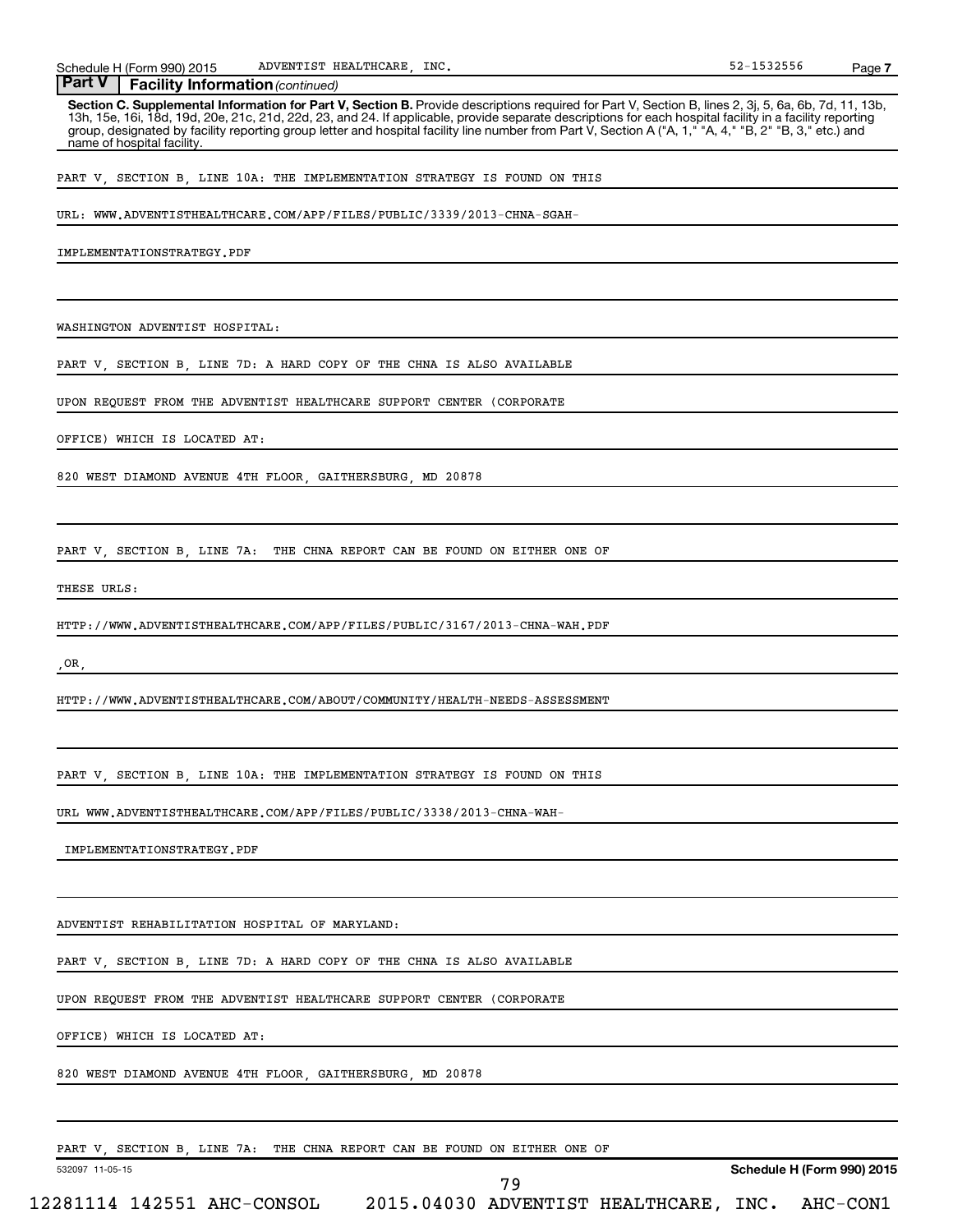# 532097 11-05-15 Section C. Supplemental Information for Part V, Section B. Provide descriptions required for Part V, Section B, lines 2, 3j, 5, 6a, 6b, 7d, 11, 13b, **Schedule H (Form 990) 2015** 13h, 15e, 16i, 18d, 19d, 20e, 21c, 21d, 22d, 23, and 24. If applicable, provide separate descriptions for each hospital facility in a facility reporting group, designated by facility reporting group letter and hospital facility line number from Part V, Section A ("A, 1," "A, 4," "B, 2" "B, 3," etc.) and name of hospital facility. PART V, SECTION B, LINE 10A: THE IMPLEMENTATION STRATEGY IS FOUND ON THIS URL: WWW.ADVENTISTHEALTHCARE.COM/APP/FILES/PUBLIC/3339/2013-CHNA-SGAH-IMPLEMENTATIONSTRATEGY.PDF WASHINGTON ADVENTIST HOSPITAL: PART V, SECTION B, LINE 7D: A HARD COPY OF THE CHNA IS ALSO AVAILABLE UPON REQUEST FROM THE ADVENTIST HEALTHCARE SUPPORT CENTER (CORPORATE OFFICE) WHICH IS LOCATED AT: 820 WEST DIAMOND AVENUE 4TH FLOOR, GAITHERSBURG, MD 20878 PART V, SECTION B, LINE 7A: THE CHNA REPORT CAN BE FOUND ON EITHER ONE OF THESE URLS: HTTP://WWW.ADVENTISTHEALTHCARE.COM/APP/FILES/PUBLIC/3167/2013-CHNA-WAH.PDF ,OR, HTTP://WWW.ADVENTISTHEALTHCARE.COM/ABOUT/COMMUNITY/HEALTH-NEEDS-ASSESSMENT PART V, SECTION B, LINE 10A: THE IMPLEMENTATION STRATEGY IS FOUND ON THIS URL WWW.ADVENTISTHEALTHCARE.COM/APP/FILES/PUBLIC/3338/2013-CHNA-WAH- IMPLEMENTATIONSTRATEGY.PDF ADVENTIST REHABILITATION HOSPITAL OF MARYLAND: PART V, SECTION B, LINE 7D: A HARD COPY OF THE CHNA IS ALSO AVAILABLE UPON REQUEST FROM THE ADVENTIST HEALTHCARE SUPPORT CENTER (CORPORATE OFFICE) WHICH IS LOCATED AT: 820 WEST DIAMOND AVENUE 4TH FLOOR, GAITHERSBURG, MD 20878 PART V, SECTION B, LINE 7A: THE CHNA REPORT CAN BE FOUND ON EITHER ONE OF

79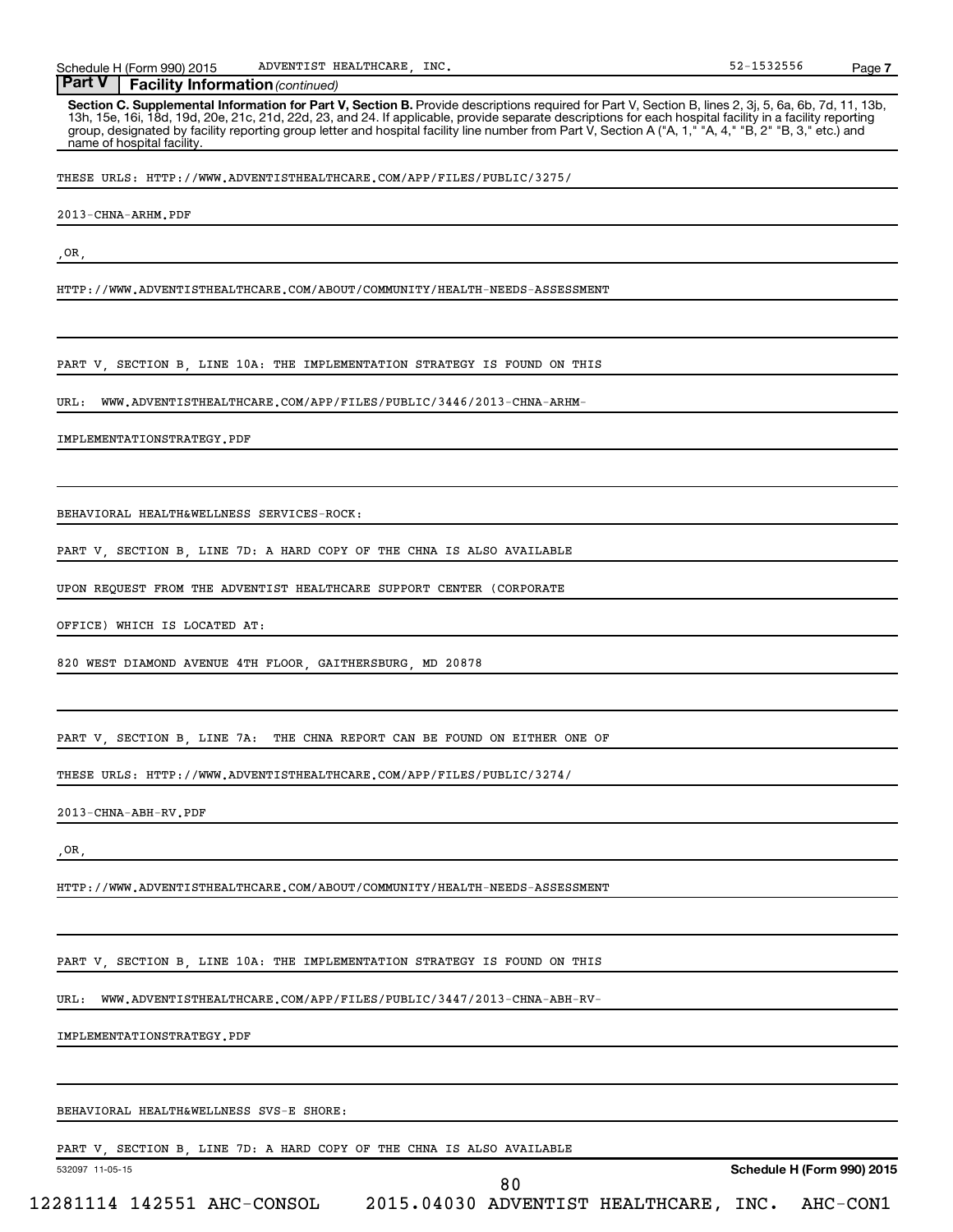### **Part V** | Facility Information (continued)

Section C. Supplemental Information for Part V, Section B. Provide descriptions required for Part V, Section B, lines 2, 3j, 5, 6a, 6b, 7d, 11, 13b, 13h, 15e, 16i, 18d, 19d, 20e, 21c, 21d, 22d, 23, and 24. If applicable, provide separate descriptions for each hospital facility in a facility reporting group, designated by facility reporting group letter and hospital facility line number from Part V, Section A ("A, 1," "A, 4," "B, 2" "B, 3," etc.) and name of hospital facility.

THESE URLS: HTTP://WWW.ADVENTISTHEALTHCARE.COM/APP/FILES/PUBLIC/3275/

2013-CHNA-ARHM.PDF

,OR,

HTTP://WWW.ADVENTISTHEALTHCARE.COM/ABOUT/COMMUNITY/HEALTH-NEEDS-ASSESSMENT

PART V, SECTION B, LINE 10A: THE IMPLEMENTATION STRATEGY IS FOUND ON THIS

URL: WWW.ADVENTISTHEALTHCARE.COM/APP/FILES/PUBLIC/3446/2013-CHNA-ARHM-

IMPLEMENTATIONSTRATEGY.PDF

BEHAVIORAL HEALTH&WELLNESS SERVICES-ROCK:

PART V, SECTION B, LINE 7D: A HARD COPY OF THE CHNA IS ALSO AVAILABLE

UPON REQUEST FROM THE ADVENTIST HEALTHCARE SUPPORT CENTER (CORPORATE

OFFICE) WHICH IS LOCATED AT:

820 WEST DIAMOND AVENUE 4TH FLOOR, GAITHERSBURG, MD 20878

PART V, SECTION B, LINE 7A: THE CHNA REPORT CAN BE FOUND ON EITHER ONE OF

THESE URLS: HTTP://WWW.ADVENTISTHEALTHCARE.COM/APP/FILES/PUBLIC/3274/

2013-CHNA-ABH-RV.PDF

,OR,

HTTP://WWW.ADVENTISTHEALTHCARE.COM/ABOUT/COMMUNITY/HEALTH-NEEDS-ASSESSMENT

PART V, SECTION B, LINE 10A: THE IMPLEMENTATION STRATEGY IS FOUND ON THIS

URL: WWW.ADVENTISTHEALTHCARE.COM/APP/FILES/PUBLIC/3447/2013-CHNA-ABH-RV-

IMPLEMENTATIONSTRATEGY.PDF

BEHAVIORAL HEALTH&WELLNESS SVS-E SHORE:

PART V, SECTION B, LINE 7D: A HARD COPY OF THE CHNA IS ALSO AVAILABLE

532097 11-05-15

**Schedule H (Form 990) 2015**

80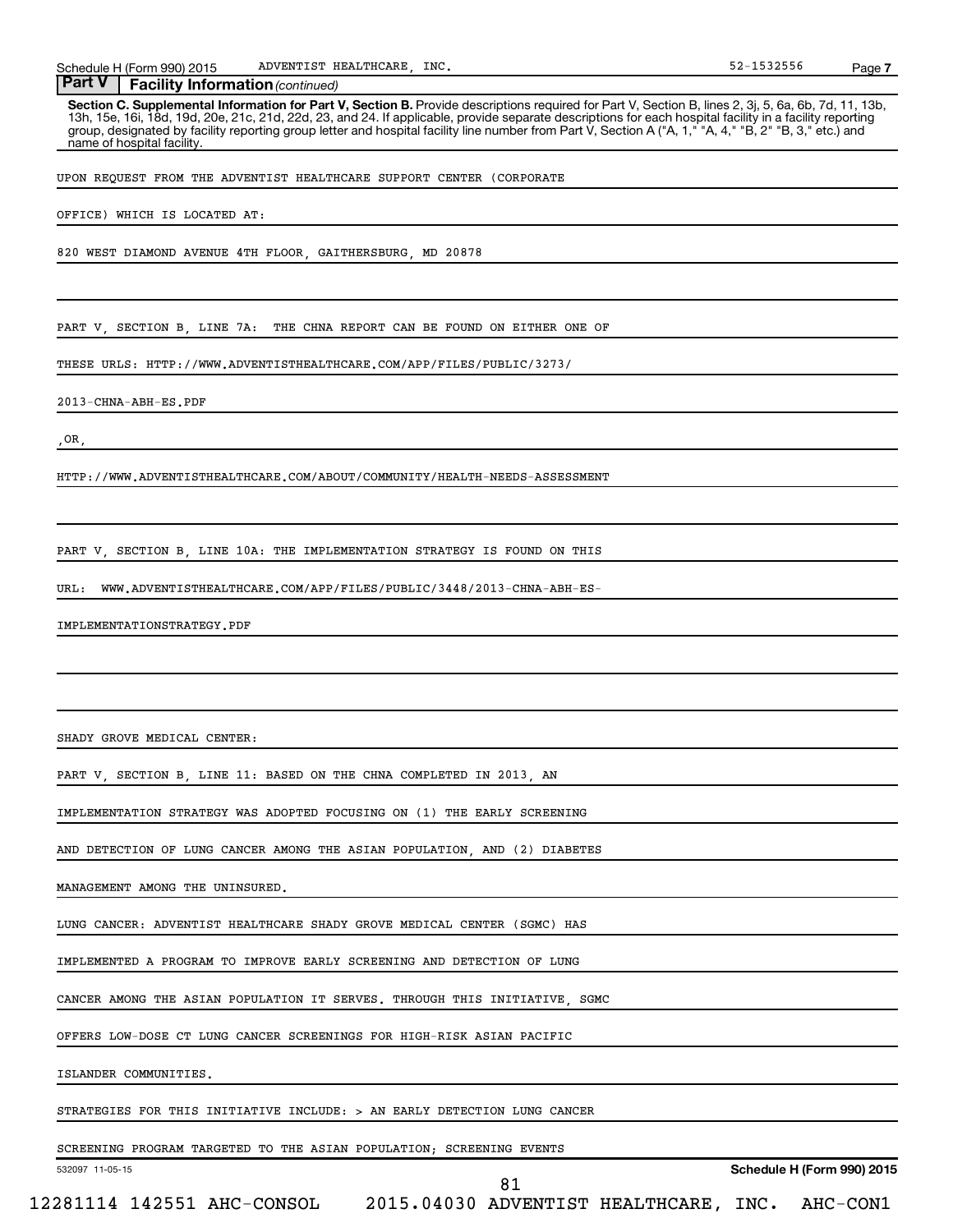Section C. Supplemental Information for Part V, Section B. Provide descriptions required for Part V, Section B, lines 2, 3j, 5, 6a, 6b, 7d, 11, 13b, **Part V** | Facility Information (continued) 13h, 15e, 16i, 18d, 19d, 20e, 21c, 21d, 22d, 23, and 24. If applicable, provide separate descriptions for each hospital facility in a facility reporting group, designated by facility reporting group letter and hospital facility line number from Part V, Section A ("A, 1," "A, 4," "B, 2" "B, 3," etc.) and name of hospital facility.

UPON REQUEST FROM THE ADVENTIST HEALTHCARE SUPPORT CENTER (CORPORATE

OFFICE) WHICH IS LOCATED AT:

820 WEST DIAMOND AVENUE 4TH FLOOR, GAITHERSBURG, MD 20878

PART V, SECTION B, LINE 7A: THE CHNA REPORT CAN BE FOUND ON EITHER ONE OF

THESE URLS: HTTP://WWW.ADVENTISTHEALTHCARE.COM/APP/FILES/PUBLIC/3273/

2013-CHNA-ABH-ES.PDF

,OR,

HTTP://WWW.ADVENTISTHEALTHCARE.COM/ABOUT/COMMUNITY/HEALTH-NEEDS-ASSESSMENT

PART V, SECTION B, LINE 10A: THE IMPLEMENTATION STRATEGY IS FOUND ON THIS

URL: WWW.ADVENTISTHEALTHCARE.COM/APP/FILES/PUBLIC/3448/2013-CHNA-ABH-ES-

IMPLEMENTATIONSTRATEGY.PDF

SHADY GROVE MEDICAL CENTER:

PART V, SECTION B, LINE 11: BASED ON THE CHNA COMPLETED IN 2013, AN

IMPLEMENTATION STRATEGY WAS ADOPTED FOCUSING ON (1) THE EARLY SCREENING

AND DETECTION OF LUNG CANCER AMONG THE ASIAN POPULATION, AND (2) DIABETES

MANAGEMENT AMONG THE UNINSURED.

LUNG CANCER: ADVENTIST HEALTHCARE SHADY GROVE MEDICAL CENTER (SGMC) HAS

IMPLEMENTED A PROGRAM TO IMPROVE EARLY SCREENING AND DETECTION OF LUNG

CANCER AMONG THE ASIAN POPULATION IT SERVES. THROUGH THIS INITIATIVE, SGMC

OFFERS LOW-DOSE CT LUNG CANCER SCREENINGS FOR HIGH-RISK ASIAN PACIFIC

ISLANDER COMMUNITIES.

STRATEGIES FOR THIS INITIATIVE INCLUDE: > AN EARLY DETECTION LUNG CANCER

SCREENING PROGRAM TARGETED TO THE ASIAN POPULATION; SCREENING EVENTS

532097 11-05-15

**Schedule H (Form 990) 2015**

**7**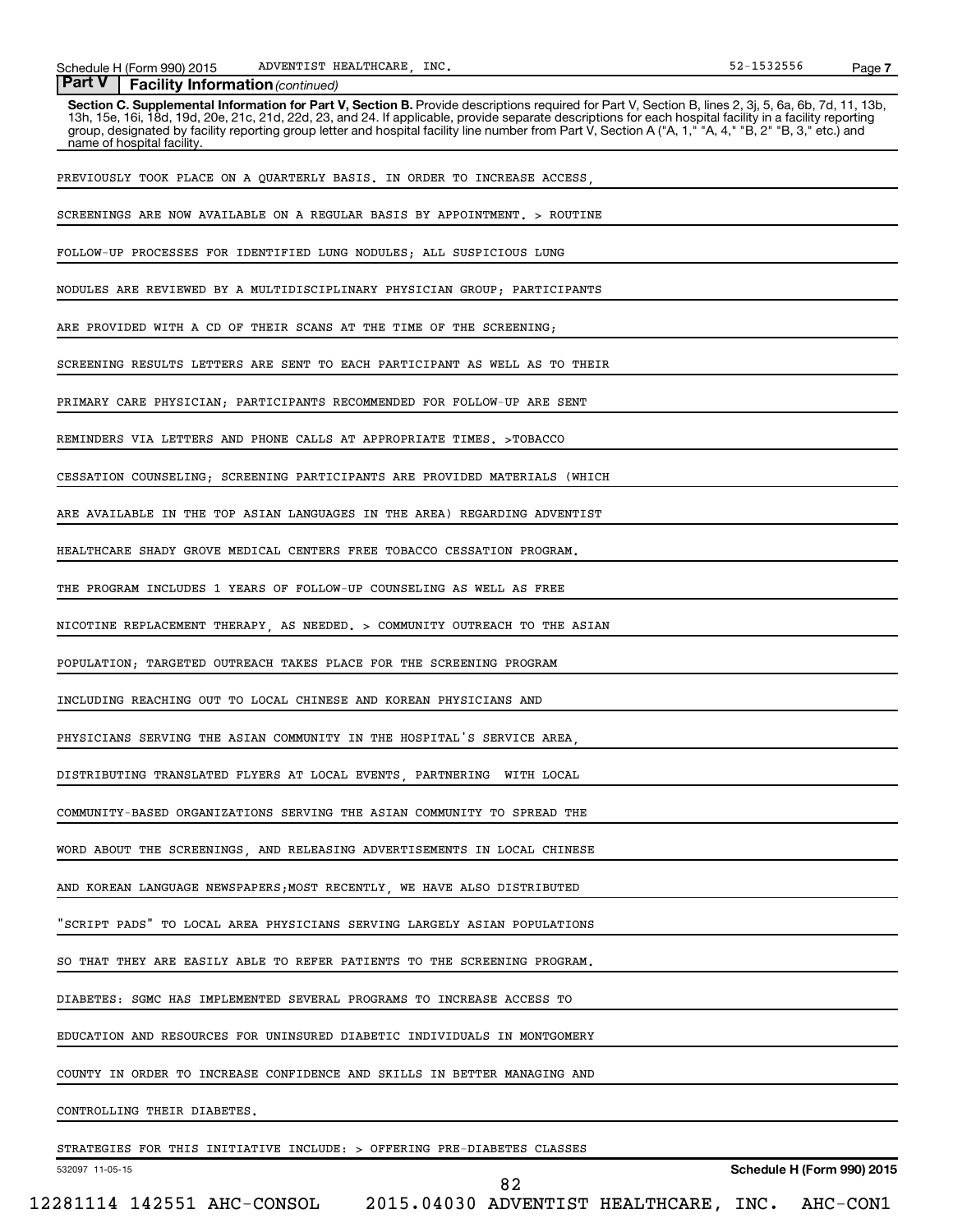| <b>Part V</b><br><b>Facility Information (continued)</b>                                                                                                                                                                                                                                                                                                                                                                                                                                                  |
|-----------------------------------------------------------------------------------------------------------------------------------------------------------------------------------------------------------------------------------------------------------------------------------------------------------------------------------------------------------------------------------------------------------------------------------------------------------------------------------------------------------|
| Section C. Supplemental Information for Part V, Section B. Provide descriptions required for Part V, Section B, lines 2, 3j, 5, 6a, 6b, 7d, 11, 13b,<br>13h, 15e, 16i, 18d, 19d, 20e, 21c, 21d, 22d, 23, and 24. If applicable, provide separate descriptions for each hospital facility in a facility reporting<br>group, designated by facility reporting group letter and hospital facility line number from Part V, Section A ("A, 1," "A, 4," "B, 2" "B, 3," etc.) and<br>name of hospital facility. |
| PREVIOUSLY TOOK PLACE ON A QUARTERLY BASIS. IN ORDER TO INCREASE ACCESS,                                                                                                                                                                                                                                                                                                                                                                                                                                  |
| SCREENINGS ARE NOW AVAILABLE ON A REGULAR BASIS BY APPOINTMENT. > ROUTINE                                                                                                                                                                                                                                                                                                                                                                                                                                 |
| FOLLOW-UP PROCESSES FOR IDENTIFIED LUNG NODULES; ALL SUSPICIOUS LUNG                                                                                                                                                                                                                                                                                                                                                                                                                                      |
| NODULES ARE REVIEWED BY A MULTIDISCIPLINARY PHYSICIAN GROUP; PARTICIPANTS                                                                                                                                                                                                                                                                                                                                                                                                                                 |
| ARE PROVIDED WITH A CD OF THEIR SCANS AT THE TIME OF THE SCREENING;                                                                                                                                                                                                                                                                                                                                                                                                                                       |
| SCREENING RESULTS LETTERS ARE SENT TO EACH PARTICIPANT AS WELL AS TO THEIR                                                                                                                                                                                                                                                                                                                                                                                                                                |
| PRIMARY CARE PHYSICIAN; PARTICIPANTS RECOMMENDED FOR FOLLOW-UP ARE SENT                                                                                                                                                                                                                                                                                                                                                                                                                                   |
| REMINDERS VIA LETTERS AND PHONE CALLS AT APPROPRIATE TIMES. >TOBACCO                                                                                                                                                                                                                                                                                                                                                                                                                                      |
| CESSATION COUNSELING; SCREENING PARTICIPANTS ARE PROVIDED MATERIALS (WHICH                                                                                                                                                                                                                                                                                                                                                                                                                                |
| ARE AVAILABLE IN THE TOP ASIAN LANGUAGES IN THE AREA) REGARDING ADVENTIST                                                                                                                                                                                                                                                                                                                                                                                                                                 |
| HEALTHCARE SHADY GROVE MEDICAL CENTERS FREE TOBACCO CESSATION PROGRAM.                                                                                                                                                                                                                                                                                                                                                                                                                                    |
| THE PROGRAM INCLUDES 1 YEARS OF FOLLOW-UP COUNSELING AS WELL AS FREE                                                                                                                                                                                                                                                                                                                                                                                                                                      |
| NICOTINE REPLACEMENT THERAPY, AS NEEDED. > COMMUNITY OUTREACH TO THE ASIAN                                                                                                                                                                                                                                                                                                                                                                                                                                |
| POPULATION; TARGETED OUTREACH TAKES PLACE FOR THE SCREENING PROGRAM                                                                                                                                                                                                                                                                                                                                                                                                                                       |
| INCLUDING REACHING OUT TO LOCAL CHINESE AND KOREAN PHYSICIANS AND                                                                                                                                                                                                                                                                                                                                                                                                                                         |
| PHYSICIANS SERVING THE ASIAN COMMUNITY IN THE HOSPITAL'S SERVICE AREA,                                                                                                                                                                                                                                                                                                                                                                                                                                    |
| DISTRIBUTING TRANSLATED FLYERS AT LOCAL EVENTS, PARTNERING WITH LOCAL                                                                                                                                                                                                                                                                                                                                                                                                                                     |
| COMMUNITY-BASED ORGANIZATIONS SERVING THE ASIAN COMMUNITY TO SPREAD THE                                                                                                                                                                                                                                                                                                                                                                                                                                   |
| WORD ABOUT THE SCREENINGS, AND RELEASING ADVERTISEMENTS IN LOCAL CHINESE                                                                                                                                                                                                                                                                                                                                                                                                                                  |
| AND KOREAN LANGUAGE NEWSPAPERS; MOST RECENTLY, WE HAVE ALSO DISTRIBUTED                                                                                                                                                                                                                                                                                                                                                                                                                                   |
| "SCRIPT PADS" TO LOCAL AREA PHYSICIANS SERVING LARGELY ASIAN POPULATIONS                                                                                                                                                                                                                                                                                                                                                                                                                                  |
| SO THAT THEY ARE EASILY ABLE TO REFER PATIENTS TO THE SCREENING PROGRAM.                                                                                                                                                                                                                                                                                                                                                                                                                                  |
| DIABETES: SGMC HAS IMPLEMENTED SEVERAL PROGRAMS TO INCREASE ACCESS TO                                                                                                                                                                                                                                                                                                                                                                                                                                     |
| EDUCATION AND RESOURCES FOR UNINSURED DIABETIC INDIVIDUALS IN MONTGOMERY                                                                                                                                                                                                                                                                                                                                                                                                                                  |
| COUNTY IN ORDER TO INCREASE CONFIDENCE AND SKILLS IN BETTER MANAGING AND                                                                                                                                                                                                                                                                                                                                                                                                                                  |
| CONTROLLING THEIR DIABETES.                                                                                                                                                                                                                                                                                                                                                                                                                                                                               |
| STRATEGIES FOR THIS INITIATIVE INCLUDE: > OFFERING PRE-DIABETES CLASSES                                                                                                                                                                                                                                                                                                                                                                                                                                   |
| Schedule H (Form 990) 2015<br>532097 11-05-15<br>82                                                                                                                                                                                                                                                                                                                                                                                                                                                       |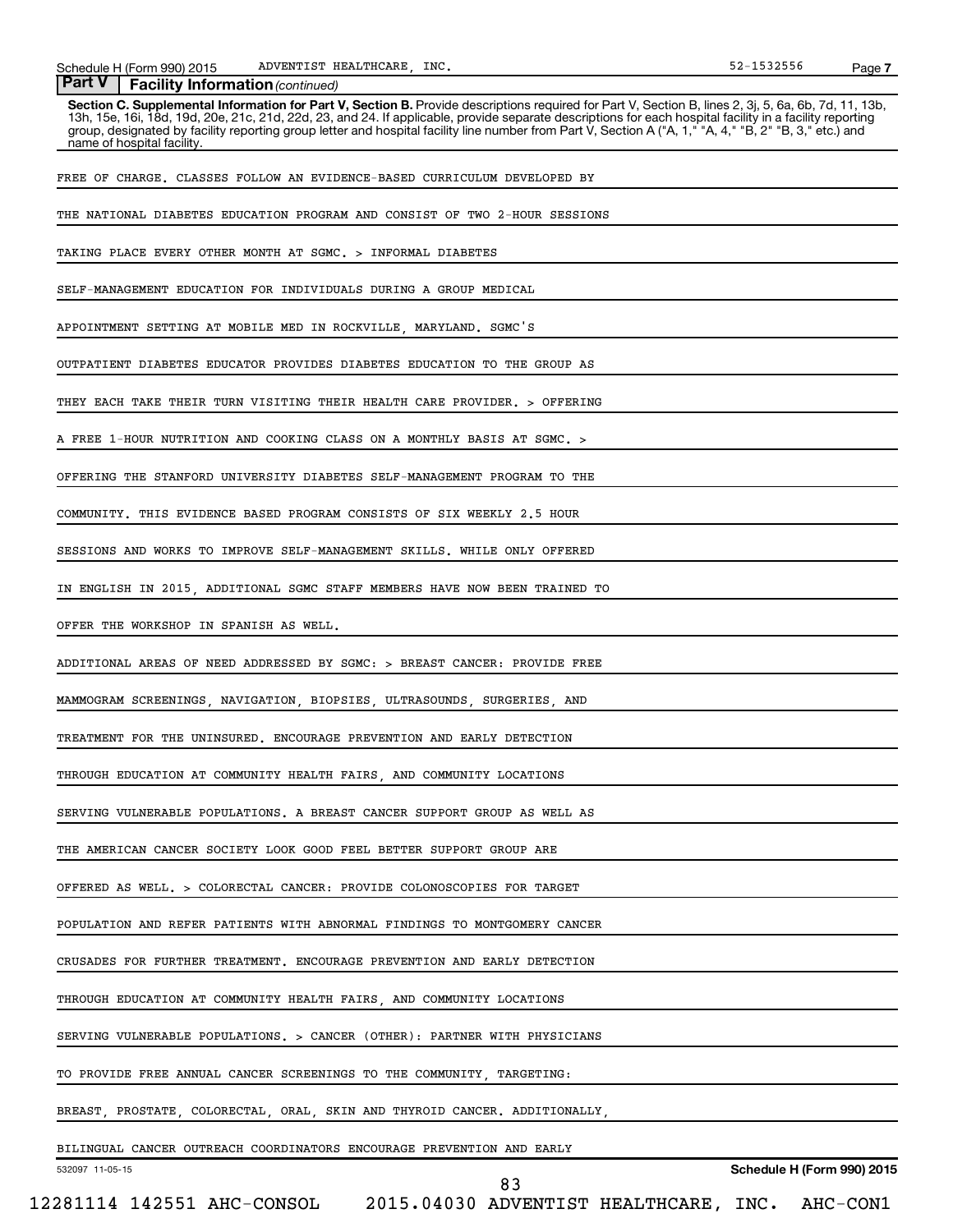| Part V<br><b>Facility Information (continued)</b>                                                                                                                                                                                                                                                                                                                                                                                                                                                         |
|-----------------------------------------------------------------------------------------------------------------------------------------------------------------------------------------------------------------------------------------------------------------------------------------------------------------------------------------------------------------------------------------------------------------------------------------------------------------------------------------------------------|
| Section C. Supplemental Information for Part V, Section B. Provide descriptions required for Part V, Section B, lines 2, 3j, 5, 6a, 6b, 7d, 11, 13b,<br>13h, 15e, 16i, 18d, 19d, 20e, 21c, 21d, 22d, 23, and 24. If applicable, provide separate descriptions for each hospital facility in a facility reporting<br>group, designated by facility reporting group letter and hospital facility line number from Part V, Section A ("A, 1," "A, 4," "B, 2" "B, 3," etc.) and<br>name of hospital facility. |
| FREE OF CHARGE. CLASSES FOLLOW AN EVIDENCE-BASED CURRICULUM DEVELOPED BY                                                                                                                                                                                                                                                                                                                                                                                                                                  |
| THE NATIONAL DIABETES EDUCATION PROGRAM AND CONSIST OF TWO 2-HOUR SESSIONS                                                                                                                                                                                                                                                                                                                                                                                                                                |
| TAKING PLACE EVERY OTHER MONTH AT SGMC. > INFORMAL DIABETES                                                                                                                                                                                                                                                                                                                                                                                                                                               |
| SELF-MANAGEMENT EDUCATION FOR INDIVIDUALS DURING A GROUP MEDICAL                                                                                                                                                                                                                                                                                                                                                                                                                                          |
| APPOINTMENT SETTING AT MOBILE MED IN ROCKVILLE, MARYLAND. SGMC S                                                                                                                                                                                                                                                                                                                                                                                                                                          |
| OUTPATIENT DIABETES EDUCATOR PROVIDES DIABETES EDUCATION TO THE GROUP AS                                                                                                                                                                                                                                                                                                                                                                                                                                  |
| THEY EACH TAKE THEIR TURN VISITING THEIR HEALTH CARE PROVIDER. > OFFERING                                                                                                                                                                                                                                                                                                                                                                                                                                 |
| A FREE 1-HOUR NUTRITION AND COOKING CLASS ON A MONTHLY BASIS AT SGMC. >                                                                                                                                                                                                                                                                                                                                                                                                                                   |
| OFFERING THE STANFORD UNIVERSITY DIABETES SELF-MANAGEMENT PROGRAM TO THE                                                                                                                                                                                                                                                                                                                                                                                                                                  |
| COMMUNITY. THIS EVIDENCE BASED PROGRAM CONSISTS OF SIX WEEKLY 2.5 HOUR                                                                                                                                                                                                                                                                                                                                                                                                                                    |
| SESSIONS AND WORKS TO IMPROVE SELF-MANAGEMENT SKILLS. WHILE ONLY OFFERED                                                                                                                                                                                                                                                                                                                                                                                                                                  |
| IN ENGLISH IN 2015, ADDITIONAL SGMC STAFF MEMBERS HAVE NOW BEEN TRAINED TO                                                                                                                                                                                                                                                                                                                                                                                                                                |
| OFFER THE WORKSHOP IN SPANISH AS WELL.                                                                                                                                                                                                                                                                                                                                                                                                                                                                    |
| ADDITIONAL AREAS OF NEED ADDRESSED BY SGMC: > BREAST CANCER: PROVIDE FREE                                                                                                                                                                                                                                                                                                                                                                                                                                 |
| MAMMOGRAM SCREENINGS, NAVIGATION, BIOPSIES, ULTRASOUNDS, SURGERIES, AND                                                                                                                                                                                                                                                                                                                                                                                                                                   |
| TREATMENT FOR THE UNINSURED. ENCOURAGE PREVENTION AND EARLY DETECTION                                                                                                                                                                                                                                                                                                                                                                                                                                     |
| THROUGH EDUCATION AT COMMUNITY HEALTH FAIRS, AND COMMUNITY LOCATIONS                                                                                                                                                                                                                                                                                                                                                                                                                                      |
| SERVING VULNERABLE POPULATIONS. A BREAST CANCER SUPPORT GROUP AS WELL AS                                                                                                                                                                                                                                                                                                                                                                                                                                  |
| THE AMERICAN CANCER SOCIETY LOOK GOOD FEEL BETTER SUPPORT GROUP ARE                                                                                                                                                                                                                                                                                                                                                                                                                                       |
| OFFERED AS WELL. > COLORECTAL CANCER: PROVIDE COLONOSCOPIES FOR TARGET                                                                                                                                                                                                                                                                                                                                                                                                                                    |
| POPULATION AND REFER PATIENTS WITH ABNORMAL FINDINGS TO MONTGOMERY CANCER                                                                                                                                                                                                                                                                                                                                                                                                                                 |
| CRUSADES FOR FURTHER TREATMENT. ENCOURAGE PREVENTION AND EARLY DETECTION                                                                                                                                                                                                                                                                                                                                                                                                                                  |
| THROUGH EDUCATION AT COMMUNITY HEALTH FAIRS, AND COMMUNITY LOCATIONS                                                                                                                                                                                                                                                                                                                                                                                                                                      |
| SERVING VULNERABLE POPULATIONS, $>$ CANCER (OTHER): PARTNER WITH PHYSICIANS                                                                                                                                                                                                                                                                                                                                                                                                                               |
| TO PROVIDE FREE ANNUAL CANCER SCREENINGS TO THE COMMUNITY, TARGETING:                                                                                                                                                                                                                                                                                                                                                                                                                                     |
| BREAST, PROSTATE, COLORECTAL, ORAL, SKIN AND THYROID CANCER. ADDITIONALLY,                                                                                                                                                                                                                                                                                                                                                                                                                                |
| BILINGUAL CANCER OUTREACH COORDINATORS ENCOURAGE PREVENTION AND EARLY                                                                                                                                                                                                                                                                                                                                                                                                                                     |
| Schedule H (Form 990) 2015<br>532097 11-05-15<br>83                                                                                                                                                                                                                                                                                                                                                                                                                                                       |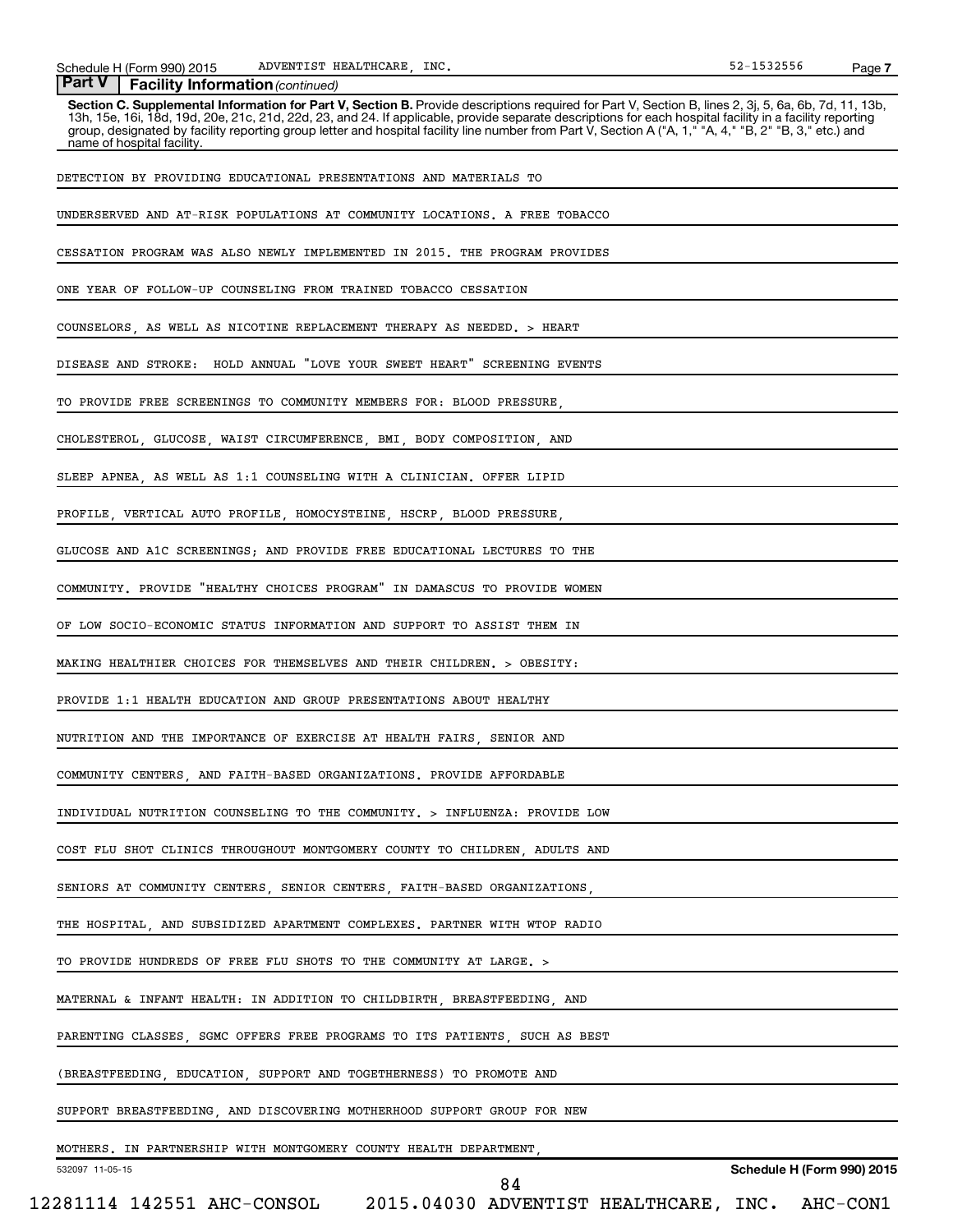| group, designated by facility reporting group letter and hospital facility line number from Part V, Section A ("A, 1," "A, 4," "B, 2" "B, 3," etc.) and<br>name of hospital facility. |
|---------------------------------------------------------------------------------------------------------------------------------------------------------------------------------------|
| DETECTION BY PROVIDING EDUCATIONAL PRESENTATIONS AND MATERIALS TO                                                                                                                     |
| UNDERSERVED AND AT-RISK POPULATIONS AT COMMUNITY LOCATIONS. A FREE TOBACCO                                                                                                            |
| CESSATION PROGRAM WAS ALSO NEWLY IMPLEMENTED IN 2015. THE PROGRAM PROVIDES                                                                                                            |
| ONE YEAR OF FOLLOW-UP COUNSELING FROM TRAINED TOBACCO CESSATION                                                                                                                       |
| COUNSELORS, AS WELL AS NICOTINE REPLACEMENT THERAPY AS NEEDED. > HEART                                                                                                                |
| DISEASE AND STROKE: HOLD ANNUAL "LOVE YOUR SWEET HEART" SCREENING EVENTS                                                                                                              |
| TO PROVIDE FREE SCREENINGS TO COMMUNITY MEMBERS FOR: BLOOD PRESSURE,                                                                                                                  |
| CHOLESTEROL, GLUCOSE, WAIST CIRCUMFERENCE, BMI, BODY COMPOSITION, AND                                                                                                                 |
| SLEEP APNEA, AS WELL AS 1:1 COUNSELING WITH A CLINICIAN. OFFER LIPID                                                                                                                  |
| PROFILE, VERTICAL AUTO PROFILE, HOMOCYSTEINE, HSCRP, BLOOD PRESSURE,                                                                                                                  |
| GLUCOSE AND A1C SCREENINGS; AND PROVIDE FREE EDUCATIONAL LECTURES TO THE                                                                                                              |
| COMMUNITY. PROVIDE "HEALTHY CHOICES PROGRAM" IN DAMASCUS TO PROVIDE WOMEN                                                                                                             |
| OF LOW SOCIO-ECONOMIC STATUS INFORMATION AND SUPPORT TO ASSIST THEM IN                                                                                                                |
| MAKING HEALTHIER CHOICES FOR THEMSELVES AND THEIR CHILDREN. > OBESITY:                                                                                                                |
| PROVIDE 1:1 HEALTH EDUCATION AND GROUP PRESENTATIONS ABOUT HEALTHY                                                                                                                    |
| NUTRITION AND THE IMPORTANCE OF EXERCISE AT HEALTH FAIRS, SENIOR AND                                                                                                                  |
| COMMUNITY CENTERS, AND FAITH-BASED ORGANIZATIONS. PROVIDE AFFORDABLE                                                                                                                  |
| INDIVIDUAL NUTRITION COUNSELING TO THE COMMUNITY. > INFLUENZA: PROVIDE LOW                                                                                                            |
| COST FLU SHOT CLINICS THROUGHOUT MONTGOMERY COUNTY TO CHILDREN, ADULTS AND                                                                                                            |
| SENIORS AT COMMUNITY CENTERS, SENIOR CENTERS, FAITH-BASED ORGANIZATIONS,                                                                                                              |
| THE HOSPITAL, AND SUBSIDIZED APARTMENT COMPLEXES. PARTNER WITH WTOP RADIO                                                                                                             |
| TO PROVIDE HUNDREDS OF FREE FLU SHOTS TO THE COMMUNITY AT LARGE. >                                                                                                                    |
| MATERNAL & INFANT HEALTH: IN ADDITION TO CHILDBIRTH, BREASTFEEDING, AND                                                                                                               |
| PARENTING CLASSES, SGMC OFFERS FREE PROGRAMS TO ITS PATIENTS, SUCH AS BEST                                                                                                            |
| (BREASTFEEDING, EDUCATION, SUPPORT AND TOGETHERNESS) TO PROMOTE AND                                                                                                                   |
| SUPPORT BREASTFEEDING, AND DISCOVERING MOTHERHOOD SUPPORT GROUP FOR NEW                                                                                                               |
| MOTHERS. IN PARTNERSHIP WITH MONTGOMERY COUNTY HEALTH DEPARTMENT,                                                                                                                     |
| Schedule H (Form 990) 2015<br>532097 11-05-15<br>84                                                                                                                                   |

**Section C. Supplemental Information for Part V, Section B.** Provide descriptions required for Part V, Section B, lines 2, 3j, 5, 6a, 6b, 7d, 11, 13b,<br>13h, 15e, 16i, 18d, 19d, 20e, 21c, 21d, 22d, 23, and 24. If applicable,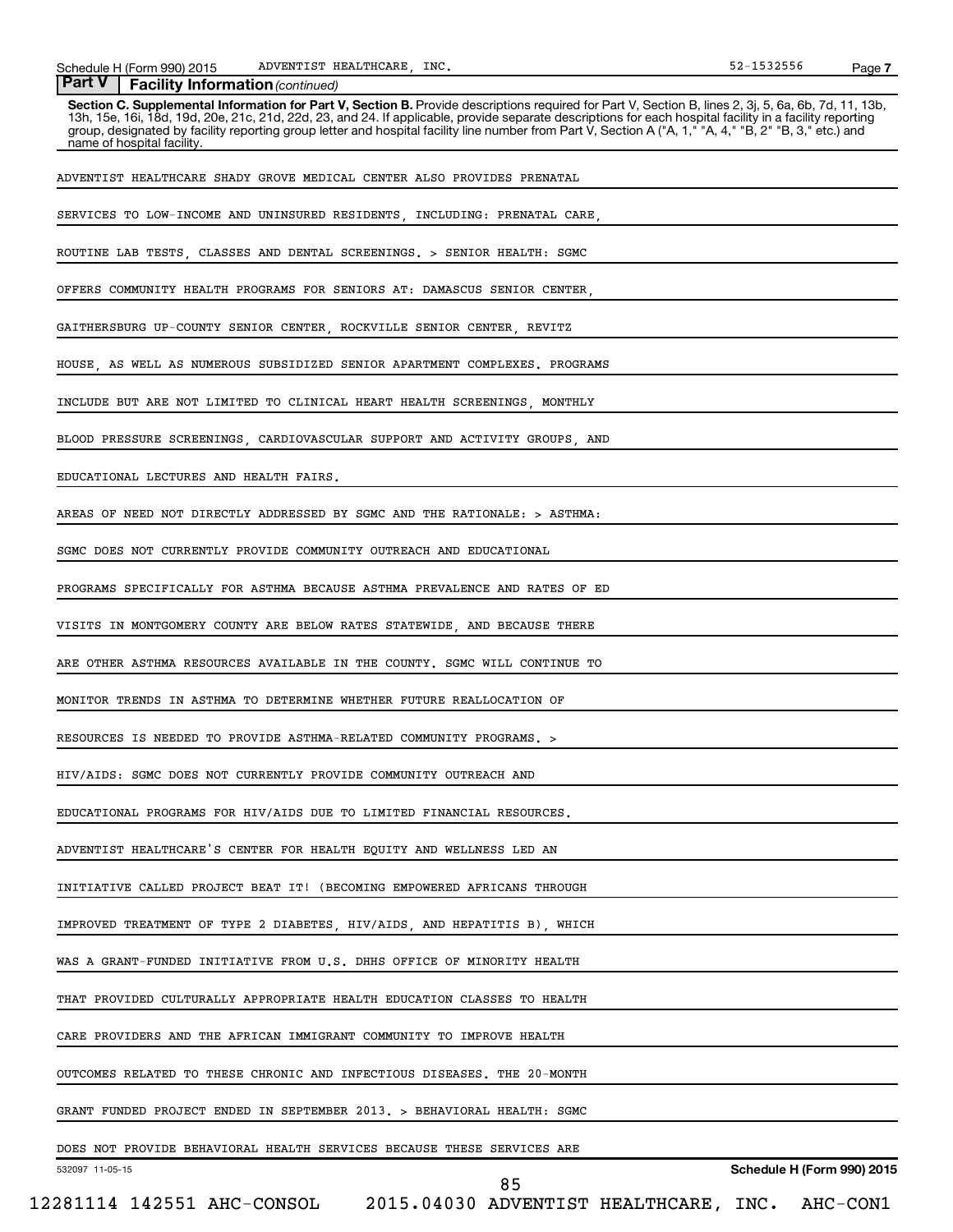| <b>Part V</b>              | <b>Facility Information (continued)</b>                                                                                                                                                                                                                                                                                                                                                                                                                                     |    |  |                            |
|----------------------------|-----------------------------------------------------------------------------------------------------------------------------------------------------------------------------------------------------------------------------------------------------------------------------------------------------------------------------------------------------------------------------------------------------------------------------------------------------------------------------|----|--|----------------------------|
| name of hospital facility. | Section C. Supplemental Information for Part V, Section B. Provide descriptions required for Part V, Section B, lines 2, 3j, 5, 6a, 6b, 7d, 11, 13b,<br>13h, 15e, 16i, 18d, 19d, 20e, 21c, 21d, 22d, 23, and 24. If applicable, provide separate descriptions for each hospital facility in a facility reporting<br>group, designated by facility reporting group letter and hospital facility line number from Part V, Section A ("A, 1," "A, 4," "B, 2" "B, 3," etc.) and |    |  |                            |
|                            | ADVENTIST HEALTHCARE SHADY GROVE MEDICAL CENTER ALSO PROVIDES PRENATAL                                                                                                                                                                                                                                                                                                                                                                                                      |    |  |                            |
|                            | SERVICES TO LOW-INCOME AND UNINSURED RESIDENTS, INCLUDING: PRENATAL CARE,                                                                                                                                                                                                                                                                                                                                                                                                   |    |  |                            |
|                            | ROUTINE LAB TESTS, CLASSES AND DENTAL SCREENINGS. > SENIOR HEALTH: SGMC                                                                                                                                                                                                                                                                                                                                                                                                     |    |  |                            |
|                            | OFFERS COMMUNITY HEALTH PROGRAMS FOR SENIORS AT: DAMASCUS SENIOR CENTER,                                                                                                                                                                                                                                                                                                                                                                                                    |    |  |                            |
|                            | GAITHERSBURG UP-COUNTY SENIOR CENTER, ROCKVILLE SENIOR CENTER, REVITZ                                                                                                                                                                                                                                                                                                                                                                                                       |    |  |                            |
|                            | HOUSE, AS WELL AS NUMEROUS SUBSIDIZED SENIOR APARTMENT COMPLEXES. PROGRAMS                                                                                                                                                                                                                                                                                                                                                                                                  |    |  |                            |
|                            | INCLUDE BUT ARE NOT LIMITED TO CLINICAL HEART HEALTH SCREENINGS MONTHLY                                                                                                                                                                                                                                                                                                                                                                                                     |    |  |                            |
|                            | BLOOD PRESSURE SCREENINGS, CARDIOVASCULAR SUPPORT AND ACTIVITY GROUPS, AND                                                                                                                                                                                                                                                                                                                                                                                                  |    |  |                            |
|                            | EDUCATIONAL LECTURES AND HEALTH FAIRS.                                                                                                                                                                                                                                                                                                                                                                                                                                      |    |  |                            |
|                            | AREAS OF NEED NOT DIRECTLY ADDRESSED BY SGMC AND THE RATIONALE: $>$ ASTHMA:                                                                                                                                                                                                                                                                                                                                                                                                 |    |  |                            |
|                            | SGMC DOES NOT CURRENTLY PROVIDE COMMUNITY OUTREACH AND EDUCATIONAL                                                                                                                                                                                                                                                                                                                                                                                                          |    |  |                            |
|                            | PROGRAMS SPECIFICALLY FOR ASTHMA BECAUSE ASTHMA PREVALENCE AND RATES OF ED                                                                                                                                                                                                                                                                                                                                                                                                  |    |  |                            |
|                            | VISITS IN MONTGOMERY COUNTY ARE BELOW RATES STATEWIDE, AND BECAUSE THERE                                                                                                                                                                                                                                                                                                                                                                                                    |    |  |                            |
|                            | ARE OTHER ASTHMA RESOURCES AVAILABLE IN THE COUNTY. SGMC WILL CONTINUE TO                                                                                                                                                                                                                                                                                                                                                                                                   |    |  |                            |
|                            | MONITOR TRENDS IN ASTHMA TO DETERMINE WHETHER FUTURE REALLOCATION OF                                                                                                                                                                                                                                                                                                                                                                                                        |    |  |                            |
|                            | RESOURCES IS NEEDED TO PROVIDE ASTHMA-RELATED COMMUNITY PROGRAMS. >                                                                                                                                                                                                                                                                                                                                                                                                         |    |  |                            |
|                            | HIV/AIDS: SGMC DOES NOT CURRENTLY PROVIDE COMMUNITY OUTREACH AND                                                                                                                                                                                                                                                                                                                                                                                                            |    |  |                            |
|                            | EDUCATIONAL PROGRAMS FOR HIV/AIDS DUE TO LIMITED FINANCIAL RESOURCES.                                                                                                                                                                                                                                                                                                                                                                                                       |    |  |                            |
|                            | ADVENTIST HEALTHCARE'S CENTER FOR HEALTH EQUITY AND WELLNESS LED AN                                                                                                                                                                                                                                                                                                                                                                                                         |    |  |                            |
|                            | INITIATIVE CALLED PROJECT BEAT IT! (BECOMING EMPOWERED AFRICANS THROUGH                                                                                                                                                                                                                                                                                                                                                                                                     |    |  |                            |
|                            | IMPROVED TREATMENT OF TYPE 2 DIABETES HIV/AIDS AND HEPATITIS B) WHICH                                                                                                                                                                                                                                                                                                                                                                                                       |    |  |                            |
|                            | WAS A GRANT-FUNDED INITIATIVE FROM U.S. DHHS OFFICE OF MINORITY HEALTH                                                                                                                                                                                                                                                                                                                                                                                                      |    |  |                            |
|                            | THAT PROVIDED CULTURALLY APPROPRIATE HEALTH EDUCATION CLASSES TO HEALTH                                                                                                                                                                                                                                                                                                                                                                                                     |    |  |                            |
|                            | CARE PROVIDERS AND THE AFRICAN IMMIGRANT COMMUNITY TO IMPROVE HEALTH                                                                                                                                                                                                                                                                                                                                                                                                        |    |  |                            |
|                            | OUTCOMES RELATED TO THESE CHRONIC AND INFECTIOUS DISEASES. THE 20-MONTH                                                                                                                                                                                                                                                                                                                                                                                                     |    |  |                            |
|                            | GRANT FUNDED PROJECT ENDED IN SEPTEMBER 2013. > BEHAVIORAL HEALTH: SGMC                                                                                                                                                                                                                                                                                                                                                                                                     |    |  |                            |
|                            | DOES NOT PROVIDE BEHAVIORAL HEALTH SERVICES BECAUSE THESE SERVICES ARE                                                                                                                                                                                                                                                                                                                                                                                                      |    |  |                            |
| 532097 11-05-15            |                                                                                                                                                                                                                                                                                                                                                                                                                                                                             | 85 |  | Schedule H (Form 990) 2015 |
|                            | 12281114 142551 AHC-CONSOL 2015.04030 ADVENTIST HEALTHCARE, INC. AHC-CON1                                                                                                                                                                                                                                                                                                                                                                                                   |    |  |                            |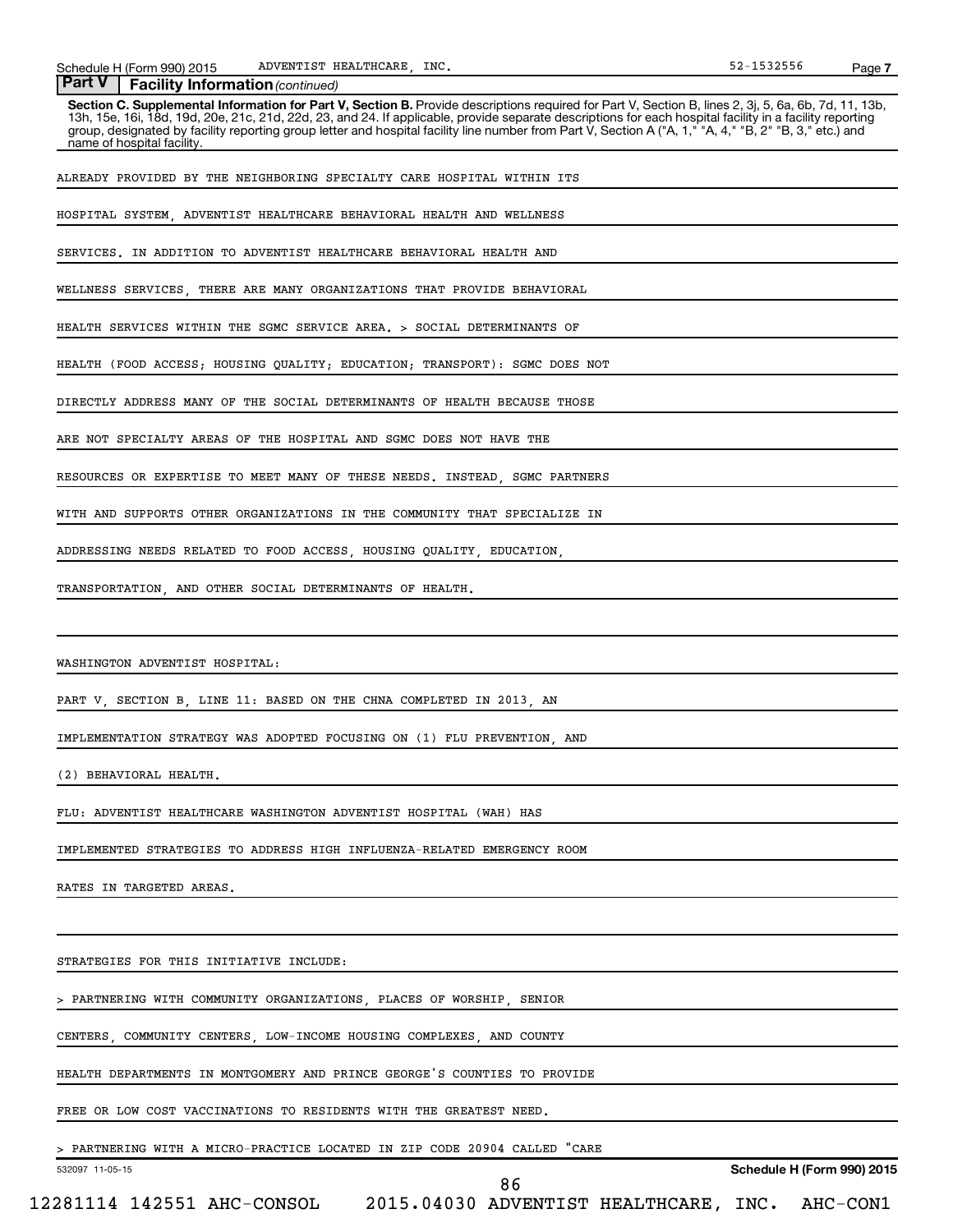| <b>Part V</b>   Facility Information (continued) |
|--------------------------------------------------|
|--------------------------------------------------|

Section C. Supplemental Information for Part V, Section B. Provide descriptions required for Part V, Section B, lines 2, 3j, 5, 6a, 6b, 7d, 11, 13b, 13h, 15e, 16i, 18d, 19d, 20e, 21c, 21d, 22d, 23, and 24. If applicable, provide separate descriptions for each hospital facility in a facility reporting group, designated by facility reporting group letter and hospital facility line number from Part V, Section A ("A, 1," "A, 4," "B, 2" "B, 3," etc.) and name of hospital facility.

ALREADY PROVIDED BY THE NEIGHBORING SPECIALTY CARE HOSPITAL WITHIN ITS

HOSPITAL SYSTEM, ADVENTIST HEALTHCARE BEHAVIORAL HEALTH AND WELLNESS

SERVICES. IN ADDITION TO ADVENTIST HEALTHCARE BEHAVIORAL HEALTH AND

WELLNESS SERVICES, THERE ARE MANY ORGANIZATIONS THAT PROVIDE BEHAVIORAL

HEALTH SERVICES WITHIN THE SGMC SERVICE AREA. > SOCIAL DETERMINANTS OF

HEALTH (FOOD ACCESS; HOUSING QUALITY; EDUCATION; TRANSPORT): SGMC DOES NOT

DIRECTLY ADDRESS MANY OF THE SOCIAL DETERMINANTS OF HEALTH BECAUSE THOSE

ARE NOT SPECIALTY AREAS OF THE HOSPITAL AND SGMC DOES NOT HAVE THE

RESOURCES OR EXPERTISE TO MEET MANY OF THESE NEEDS. INSTEAD, SGMC PARTNERS

WITH AND SUPPORTS OTHER ORGANIZATIONS IN THE COMMUNITY THAT SPECIALIZE IN

ADDRESSING NEEDS RELATED TO FOOD ACCESS, HOUSING QUALITY, EDUCATION,

TRANSPORTATION, AND OTHER SOCIAL DETERMINANTS OF HEALTH.

WASHINGTON ADVENTIST HOSPITAL:

PART V, SECTION B, LINE 11: BASED ON THE CHNA COMPLETED IN 2013, AN

IMPLEMENTATION STRATEGY WAS ADOPTED FOCUSING ON (1) FLU PREVENTION, AND

(2) BEHAVIORAL HEALTH.

FLU: ADVENTIST HEALTHCARE WASHINGTON ADVENTIST HOSPITAL (WAH) HAS

IMPLEMENTED STRATEGIES TO ADDRESS HIGH INFLUENZA-RELATED EMERGENCY ROOM

RATES IN TARGETED AREAS.

STRATEGIES FOR THIS INITIATIVE INCLUDE:

PARTNERING WITH COMMUNITY ORGANIZATIONS PLACES OF WORSHIP, SENIOR

CENTERS, COMMUNITY CENTERS, LOW-INCOME HOUSING COMPLEXES, AND COUNTY

HEALTH DEPARTMENTS IN MONTGOMERY AND PRINCE GEORGE'S COUNTIES TO PROVIDE

FREE OR LOW COST VACCINATIONS TO RESIDENTS WITH THE GREATEST NEED.

> PARTNERING WITH A MICRO-PRACTICE LOCATED IN ZIP CODE 20904 CALLED "CARE

532097 11-05-15

**Schedule H (Form 990) 2015**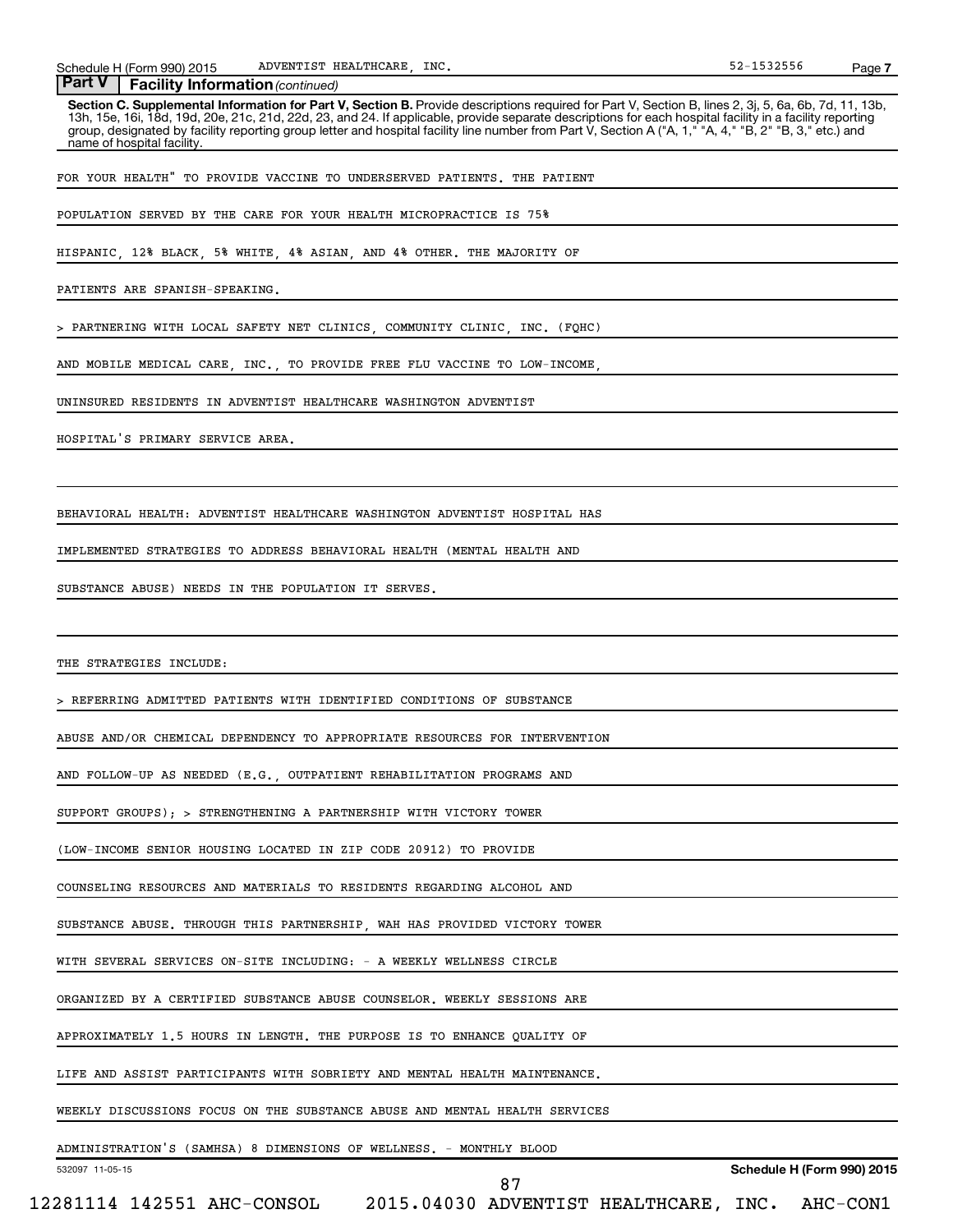**Page 7** 

| ADMINISTRATION'S (SAMHSA) 8 DIMENSIONS OF WELLNESS. - MONTHLY BLOOD<br>532097 11-05-15               | Schedule H (Form 990) 2015 |
|------------------------------------------------------------------------------------------------------|----------------------------|
| WEEKLY DISCUSSIONS FOCUS ON THE SUBSTANCE ABUSE AND MENTAL HEALTH SERVICES                           |                            |
| LIFE AND ASSIST PARTICIPANTS WITH SOBRIETY AND MENTAL HEALTH MAINTENANCE.                            |                            |
| APPROXIMATELY 1.5 HOURS IN LENGTH. THE PURPOSE IS TO ENHANCE QUALITY OF                              |                            |
| ORGANIZED BY A CERTIFIED SUBSTANCE ABUSE COUNSELOR. WEEKLY SESSIONS ARE                              |                            |
| WITH SEVERAL SERVICES ON-SITE INCLUDING: - A WEEKLY WELLNESS CIRCLE                                  |                            |
| SUBSTANCE ABUSE. THROUGH THIS PARTNERSHIP, WAH HAS PROVIDED VICTORY TOWER                            |                            |
| COUNSELING RESOURCES AND MATERIALS TO RESIDENTS REGARDING ALCOHOL AND                                |                            |
| (LOW-INCOME SENIOR HOUSING LOCATED IN ZIP CODE 20912) TO PROVIDE                                     |                            |
| SUPPORT GROUPS); > STRENGTHENING A PARTNERSHIP WITH VICTORY TOWER                                    |                            |
| AND FOLLOW-UP AS NEEDED (E.G. OUTPATIENT REHABILITATION PROGRAMS AND                                 |                            |
| ABUSE AND/OR CHEMICAL DEPENDENCY TO APPROPRIATE RESOURCES FOR INTERVENTION                           |                            |
| > REFERRING ADMITTED PATIENTS WITH IDENTIFIED CONDITIONS OF SUBSTANCE                                |                            |
| THE STRATEGIES INCLUDE:                                                                              |                            |
|                                                                                                      |                            |
| SUBSTANCE ABUSE) NEEDS IN THE POPULATION IT SERVES.                                                  |                            |
| IMPLEMENTED STRATEGIES TO ADDRESS BEHAVIORAL HEALTH (MENTAL HEALTH AND                               |                            |
| BEHAVIORAL HEALTH: ADVENTIST HEALTHCARE WASHINGTON ADVENTIST HOSPITAL HAS                            |                            |
|                                                                                                      |                            |
| UNINSURED RESIDENTS IN ADVENTIST HEALTHCARE WASHINGTON ADVENTIST<br>HOSPITAL'S PRIMARY SERVICE AREA. |                            |
| AND MOBILE MEDICAL CARE, INC., TO PROVIDE FREE FLU VACCINE TO LOW-INCOME,                            |                            |
| > PARTNERING WITH LOCAL SAFETY NET CLINICS, COMMUNITY CLINIC, INC. (FQHC)                            |                            |
| PATIENTS ARE SPANISH-SPEAKING.                                                                       |                            |
| HISPANIC, 12% BLACK, 5% WHITE, 4% ASIAN, AND 4% OTHER. THE MAJORITY OF                               |                            |
| POPULATION SERVED BY THE CARE FOR YOUR HEALTH MICROPRACTICE IS 75%                                   |                            |
| FOR YOUR HEALTH" TO PROVIDE VACCINE TO UNDERSERVED PATIENTS. THE PATIENT                             |                            |
|                                                                                                      |                            |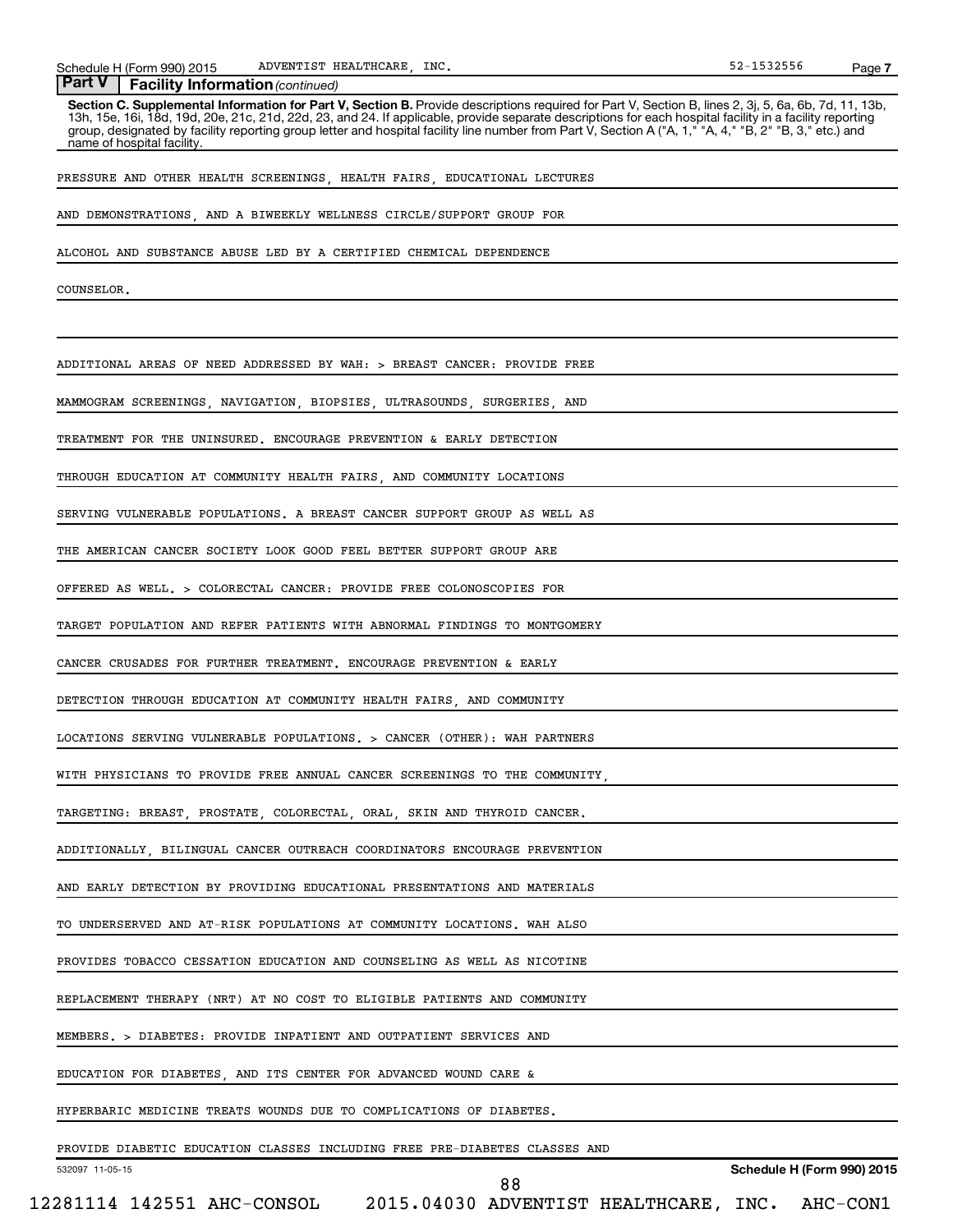## 532097 11-05-15 Section C. Supplemental Information for Part V, Section B. Provide descriptions required for Part V, Section B, lines 2, 3j, 5, 6a, 6b, 7d, 11, 13b, **Schedule H (Form 990) 2015 Part V** | Facility Information (continued) 13h, 15e, 16i, 18d, 19d, 20e, 21c, 21d, 22d, 23, and 24. If applicable, provide separate descriptions for each hospital facility in a facility reporting group, designated by facility reporting group letter and hospital facility line number from Part V, Section A ("A, 1," "A, 4," "B, 2" "B, 3," etc.) and name of hospital facility. PRESSURE AND OTHER HEALTH SCREENINGS, HEALTH FAIRS, EDUCATIONAL LECTURES AND DEMONSTRATIONS AND A BIWEEKLY WELLNESS CIRCLE/SUPPORT GROUP FOR ALCOHOL AND SUBSTANCE ABUSE LED BY A CERTIFIED CHEMICAL DEPENDENCE COUNSELOR. ADDITIONAL AREAS OF NEED ADDRESSED BY WAH: > BREAST CANCER: PROVIDE FREE MAMMOGRAM SCREENINGS, NAVIGATION, BIOPSIES, ULTRASOUNDS, SURGERIES, AND TREATMENT FOR THE UNINSURED. ENCOURAGE PREVENTION & EARLY DETECTION THROUGH EDUCATION AT COMMUNITY HEALTH FAIRS, AND COMMUNITY LOCATIONS SERVING VULNERABLE POPULATIONS. A BREAST CANCER SUPPORT GROUP AS WELL AS THE AMERICAN CANCER SOCIETY LOOK GOOD FEEL BETTER SUPPORT GROUP ARE OFFERED AS WELL. > COLORECTAL CANCER: PROVIDE FREE COLONOSCOPIES FOR TARGET POPULATION AND REFER PATIENTS WITH ABNORMAL FINDINGS TO MONTGOMERY CANCER CRUSADES FOR FURTHER TREATMENT. ENCOURAGE PREVENTION & EARLY DETECTION THROUGH EDUCATION AT COMMUNITY HEALTH FAIRS, AND COMMUNITY LOCATIONS SERVING VULNERABLE POPULATIONS. > CANCER (OTHER): WAH PARTNERS WITH PHYSICIANS TO PROVIDE FREE ANNUAL CANCER SCREENINGS TO THE COMMUNITY, TARGETING: BREAST, PROSTATE, COLORECTAL, ORAL, SKIN AND THYROID CANCER. ADDITIONALLY, BILINGUAL CANCER OUTREACH COORDINATORS ENCOURAGE PREVENTION AND EARLY DETECTION BY PROVIDING EDUCATIONAL PRESENTATIONS AND MATERIALS TO UNDERSERVED AND AT-RISK POPULATIONS AT COMMUNITY LOCATIONS. WAH ALSO PROVIDES TOBACCO CESSATION EDUCATION AND COUNSELING AS WELL AS NICOTINE REPLACEMENT THERAPY (NRT) AT NO COST TO ELIGIBLE PATIENTS AND COMMUNITY MEMBERS. > DIABETES: PROVIDE INPATIENT AND OUTPATIENT SERVICES AND EDUCATION FOR DIABETES AND ITS CENTER FOR ADVANCED WOUND CARE & HYPERBARIC MEDICINE TREATS WOUNDS DUE TO COMPLICATIONS OF DIABETES. PROVIDE DIABETIC EDUCATION CLASSES INCLUDING FREE PRE-DIABETES CLASSES AND 12281114 142551 AHC-CONSOL 2015.04030 ADVENTIST HEALTHCARE, INC. AHC-CON1 88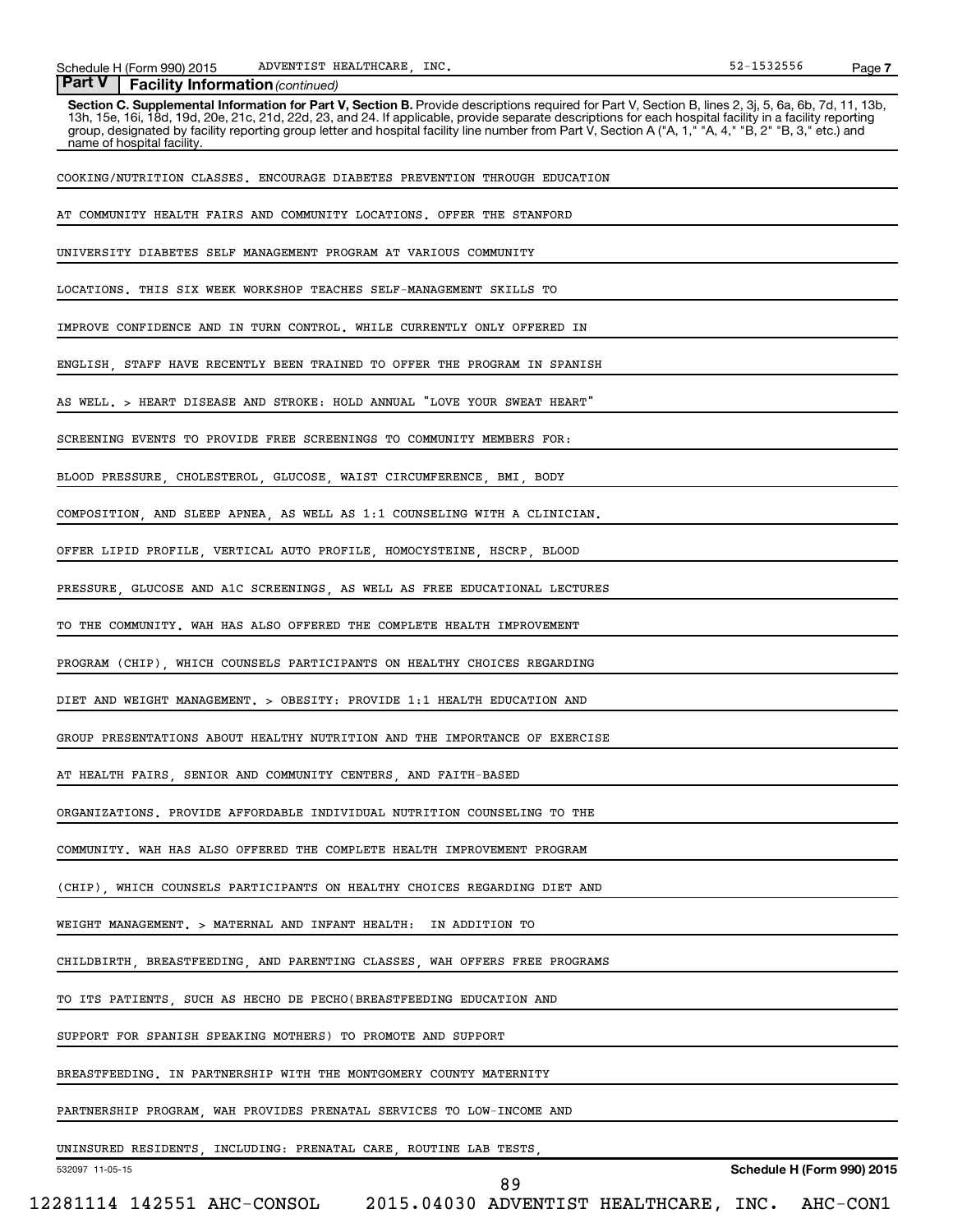| Part V<br><b>Facility Information (continued)</b>                                                                                                                                                                                                                                                                                                                                                                                                                                                         |
|-----------------------------------------------------------------------------------------------------------------------------------------------------------------------------------------------------------------------------------------------------------------------------------------------------------------------------------------------------------------------------------------------------------------------------------------------------------------------------------------------------------|
| Section C. Supplemental Information for Part V, Section B. Provide descriptions required for Part V, Section B, lines 2, 3j, 5, 6a, 6b, 7d, 11, 13b,<br>13h, 15e, 16i, 18d, 19d, 20e, 21c, 21d, 22d, 23, and 24. If applicable, provide separate descriptions for each hospital facility in a facility reporting<br>group, designated by facility reporting group letter and hospital facility line number from Part V, Section A ("A, 1," "A, 4," "B, 2" "B, 3," etc.) and<br>name of hospital facility. |
| COOKING/NUTRITION CLASSES. ENCOURAGE DIABETES PREVENTION THROUGH EDUCATION                                                                                                                                                                                                                                                                                                                                                                                                                                |
| AT COMMUNITY HEALTH FAIRS AND COMMUNITY LOCATIONS. OFFER THE STANFORD                                                                                                                                                                                                                                                                                                                                                                                                                                     |
| UNIVERSITY DIABETES SELF MANAGEMENT PROGRAM AT VARIOUS COMMUNITY                                                                                                                                                                                                                                                                                                                                                                                                                                          |
| LOCATIONS. THIS SIX WEEK WORKSHOP TEACHES SELF-MANAGEMENT SKILLS TO                                                                                                                                                                                                                                                                                                                                                                                                                                       |
| IMPROVE CONFIDENCE AND IN TURN CONTROL. WHILE CURRENTLY ONLY OFFERED IN                                                                                                                                                                                                                                                                                                                                                                                                                                   |
| ENGLISH STAFF HAVE RECENTLY BEEN TRAINED TO OFFER THE PROGRAM IN SPANISH                                                                                                                                                                                                                                                                                                                                                                                                                                  |
| AS WELL. > HEART DISEASE AND STROKE: HOLD ANNUAL "LOVE YOUR SWEAT HEART"                                                                                                                                                                                                                                                                                                                                                                                                                                  |
| SCREENING EVENTS TO PROVIDE FREE SCREENINGS TO COMMUNITY MEMBERS FOR:                                                                                                                                                                                                                                                                                                                                                                                                                                     |
| BLOOD PRESSURE, CHOLESTEROL, GLUCOSE, WAIST CIRCUMFERENCE, BMI, BODY                                                                                                                                                                                                                                                                                                                                                                                                                                      |
| COMPOSITION, AND SLEEP APNEA, AS WELL AS 1:1 COUNSELING WITH A CLINICIAN.                                                                                                                                                                                                                                                                                                                                                                                                                                 |
| OFFER LIPID PROFILE, VERTICAL AUTO PROFILE, HOMOCYSTEINE, HSCRP, BLOOD                                                                                                                                                                                                                                                                                                                                                                                                                                    |
| PRESSURE, GLUCOSE AND A1C SCREENINGS, AS WELL AS FREE EDUCATIONAL LECTURES                                                                                                                                                                                                                                                                                                                                                                                                                                |
| TO THE COMMUNITY. WAH HAS ALSO OFFERED THE COMPLETE HEALTH IMPROVEMENT                                                                                                                                                                                                                                                                                                                                                                                                                                    |
| PROGRAM (CHIP), WHICH COUNSELS PARTICIPANTS ON HEALTHY CHOICES REGARDING                                                                                                                                                                                                                                                                                                                                                                                                                                  |
| DIET AND WEIGHT MANAGEMENT. > OBESITY: PROVIDE 1:1 HEALTH EDUCATION AND                                                                                                                                                                                                                                                                                                                                                                                                                                   |
| GROUP PRESENTATIONS ABOUT HEALTHY NUTRITION AND THE IMPORTANCE OF EXERCISE                                                                                                                                                                                                                                                                                                                                                                                                                                |
| AT HEALTH FAIRS, SENIOR AND COMMUNITY CENTERS, AND FAITH-BASED                                                                                                                                                                                                                                                                                                                                                                                                                                            |
| ORGANIZATIONS. PROVIDE AFFORDABLE INDIVIDUAL NUTRITION COUNSELING TO THE                                                                                                                                                                                                                                                                                                                                                                                                                                  |
| COMMUNITY. WAH HAS ALSO OFFERED THE COMPLETE HEALTH IMPROVEMENT PROGRAM                                                                                                                                                                                                                                                                                                                                                                                                                                   |
| (CHIP), WHICH COUNSELS PARTICIPANTS ON HEALTHY CHOICES REGARDING DIET AND                                                                                                                                                                                                                                                                                                                                                                                                                                 |
| WEIGHT MANAGEMENT. > MATERNAL AND INFANT HEALTH: IN ADDITION TO                                                                                                                                                                                                                                                                                                                                                                                                                                           |
| CHILDBIRTH, BREASTFEEDING, AND PARENTING CLASSES, WAH OFFERS FREE PROGRAMS                                                                                                                                                                                                                                                                                                                                                                                                                                |
| TO ITS PATIENTS, SUCH AS HECHO DE PECHO(BREASTFEEDING EDUCATION AND                                                                                                                                                                                                                                                                                                                                                                                                                                       |
| SUPPORT FOR SPANISH SPEAKING MOTHERS) TO PROMOTE AND SUPPORT                                                                                                                                                                                                                                                                                                                                                                                                                                              |
| BREASTFEEDING. IN PARTNERSHIP WITH THE MONTGOMERY COUNTY MATERNITY                                                                                                                                                                                                                                                                                                                                                                                                                                        |
| PARTNERSHIP PROGRAM, WAH PROVIDES PRENATAL SERVICES TO LOW-INCOME AND                                                                                                                                                                                                                                                                                                                                                                                                                                     |
| UNINSURED RESIDENTS, INCLUDING: PRENATAL CARE, ROUTINE LAB TESTS,                                                                                                                                                                                                                                                                                                                                                                                                                                         |
| Schedule H (Form 990) 2015<br>532097 11-05-15                                                                                                                                                                                                                                                                                                                                                                                                                                                             |

 <sup>89</sup>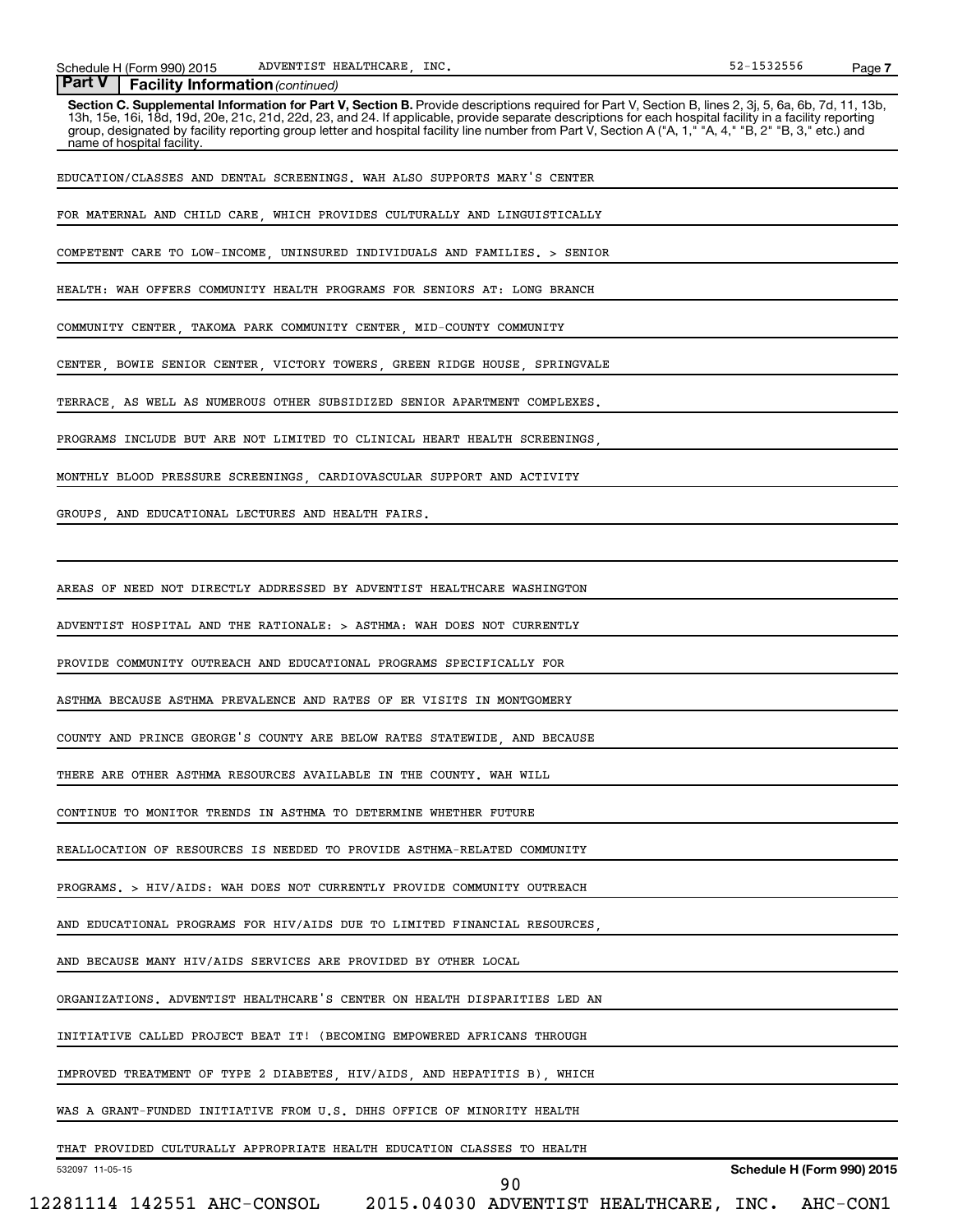| 13h, 15e, 16i, 18d, 19d, 20e, 21c, 21d, 22d, 23, and 24. If applicable, provide separate descriptions for each hospital facility in a facility reporting<br>group, designated by facility reporting group letter and hospital facility line number from Part V, Section A ("A, 1," "A, 4," "B, 2" "B, 3," etc.) and<br>name of hospital facility. |  |
|---------------------------------------------------------------------------------------------------------------------------------------------------------------------------------------------------------------------------------------------------------------------------------------------------------------------------------------------------|--|
| EDUCATION/CLASSES AND DENTAL SCREENINGS. WAH ALSO SUPPORTS MARY'S CENTER                                                                                                                                                                                                                                                                          |  |
| FOR MATERNAL AND CHILD CARE, WHICH PROVIDES CULTURALLY AND LINGUISTICALLY                                                                                                                                                                                                                                                                         |  |
| COMPETENT CARE TO LOW-INCOME, UNINSURED INDIVIDUALS AND FAMILIES. > SENIOR                                                                                                                                                                                                                                                                        |  |
| HEALTH: WAH OFFERS COMMUNITY HEALTH PROGRAMS FOR SENIORS AT: LONG BRANCH                                                                                                                                                                                                                                                                          |  |
| COMMUNITY CENTER, TAKOMA PARK COMMUNITY CENTER, MID-COUNTY COMMUNITY                                                                                                                                                                                                                                                                              |  |
| CENTER, BOWIE SENIOR CENTER, VICTORY TOWERS, GREEN RIDGE HOUSE, SPRINGVALE                                                                                                                                                                                                                                                                        |  |
| TERRACE  AS WELL AS NUMEROUS OTHER SUBSIDIZED SENIOR APARTMENT COMPLEXES.                                                                                                                                                                                                                                                                         |  |
| PROGRAMS INCLUDE BUT ARE NOT LIMITED TO CLINICAL HEART HEALTH SCREENINGS                                                                                                                                                                                                                                                                          |  |
| MONTHLY BLOOD PRESSURE SCREENINGS, CARDIOVASCULAR SUPPORT AND ACTIVITY                                                                                                                                                                                                                                                                            |  |
| GROUPS, AND EDUCATIONAL LECTURES AND HEALTH FAIRS.                                                                                                                                                                                                                                                                                                |  |
| AREAS OF NEED NOT DIRECTLY ADDRESSED BY ADVENTIST HEALTHCARE WASHINGTON                                                                                                                                                                                                                                                                           |  |
| ADVENTIST HOSPITAL AND THE RATIONALE: > ASTHMA: WAH DOES NOT CURRENTLY                                                                                                                                                                                                                                                                            |  |
| PROVIDE COMMUNITY OUTREACH AND EDUCATIONAL PROGRAMS SPECIFICALLY FOR                                                                                                                                                                                                                                                                              |  |
| ASTHMA BECAUSE ASTHMA PREVALENCE AND RATES OF ER VISITS IN MONTGOMERY                                                                                                                                                                                                                                                                             |  |
| COUNTY AND PRINCE GEORGE'S COUNTY ARE BELOW RATES STATEWIDE AND BECAUSE                                                                                                                                                                                                                                                                           |  |
| THERE ARE OTHER ASTHMA RESOURCES AVAILABLE IN THE COUNTY. WAH WILL                                                                                                                                                                                                                                                                                |  |
| CONTINUE TO MONITOR TRENDS IN ASTHMA TO DETERMINE WHETHER FUTURE                                                                                                                                                                                                                                                                                  |  |
| REALLOCATION OF RESOURCES IS NEEDED TO PROVIDE ASTHMA-RELATED COMMUNITY                                                                                                                                                                                                                                                                           |  |
| PROGRAMS. > HIV/AIDS: WAH DOES NOT CURRENTLY PROVIDE COMMUNITY OUTREACH                                                                                                                                                                                                                                                                           |  |
| AND EDUCATIONAL PROGRAMS FOR HIV/AIDS DUE TO LIMITED FINANCIAL RESOURCES,                                                                                                                                                                                                                                                                         |  |
| AND BECAUSE MANY HIV/AIDS SERVICES ARE PROVIDED BY OTHER LOCAL                                                                                                                                                                                                                                                                                    |  |
| ORGANIZATIONS. ADVENTIST HEALTHCARE'S CENTER ON HEALTH DISPARITIES LED AN                                                                                                                                                                                                                                                                         |  |
| INITIATIVE CALLED PROJECT BEAT IT! (BECOMING EMPOWERED AFRICANS THROUGH                                                                                                                                                                                                                                                                           |  |
| IMPROVED TREATMENT OF TYPE 2 DIABETES, HIV/AIDS, AND HEPATITIS B), WHICH                                                                                                                                                                                                                                                                          |  |
| WAS A GRANT-FUNDED INITIATIVE FROM U.S. DHHS OFFICE OF MINORITY HEALTH                                                                                                                                                                                                                                                                            |  |
| THAT PROVIDED CULTURALLY APPROPRIATE HEALTH EDUCATION CLASSES TO HEALTH                                                                                                                                                                                                                                                                           |  |
| Schedule H (Form 990) 2015<br>532097 11-05-15<br>90<br>12281114 142551 AHC-CONSOL<br>2015.04030 ADVENTIST HEALTHCARE, INC. AHC-CON1                                                                                                                                                                                                               |  |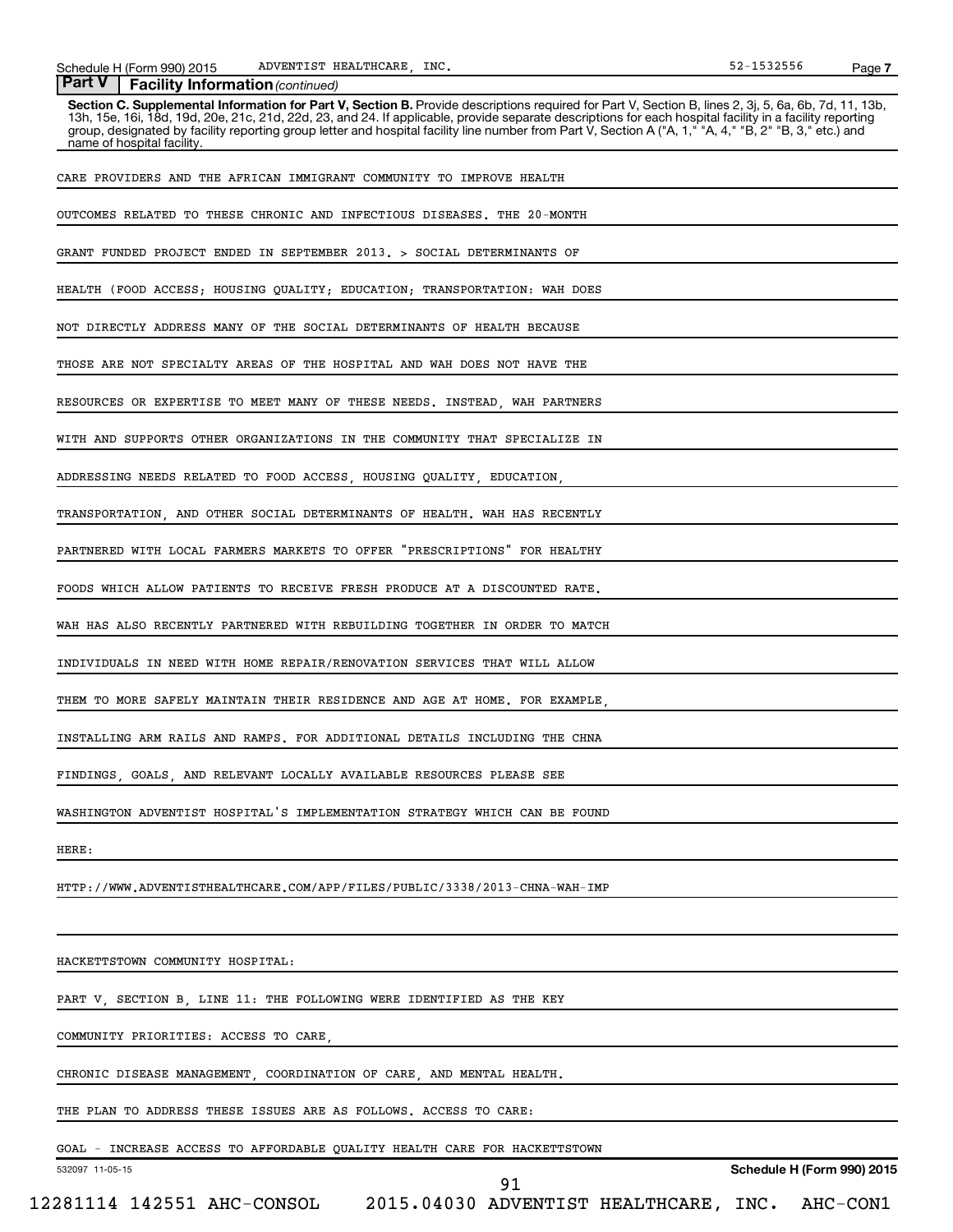| Part V<br><b>Facility Information (continued)</b>                                                                                                                                                                                                                                                                                                                                                                                                                                                         |
|-----------------------------------------------------------------------------------------------------------------------------------------------------------------------------------------------------------------------------------------------------------------------------------------------------------------------------------------------------------------------------------------------------------------------------------------------------------------------------------------------------------|
| Section C. Supplemental Information for Part V, Section B. Provide descriptions required for Part V, Section B, lines 2, 3j, 5, 6a, 6b, 7d, 11, 13b,<br>13h, 15e, 16i, 18d, 19d, 20e, 21c, 21d, 22d, 23, and 24. If applicable, provide separate descriptions for each hospital facility in a facility reporting<br>group, designated by facility reporting group letter and hospital facility line number from Part V, Section A ("A, 1," "A, 4," "B, 2" "B, 3," etc.) and<br>name of hospital facility. |
| CARE PROVIDERS AND THE AFRICAN IMMIGRANT COMMUNITY TO IMPROVE HEALTH                                                                                                                                                                                                                                                                                                                                                                                                                                      |
| OUTCOMES RELATED TO THESE CHRONIC AND INFECTIOUS DISEASES. THE 20-MONTH                                                                                                                                                                                                                                                                                                                                                                                                                                   |
| GRANT FUNDED PROJECT ENDED IN SEPTEMBER 2013. > SOCIAL DETERMINANTS OF                                                                                                                                                                                                                                                                                                                                                                                                                                    |
| HEALTH (FOOD ACCESS; HOUSING QUALITY; EDUCATION; TRANSPORTATION: WAH DOES                                                                                                                                                                                                                                                                                                                                                                                                                                 |
| NOT DIRECTLY ADDRESS MANY OF THE SOCIAL DETERMINANTS OF HEALTH BECAUSE                                                                                                                                                                                                                                                                                                                                                                                                                                    |
| THOSE ARE NOT SPECIALTY AREAS OF THE HOSPITAL AND WAH DOES NOT HAVE THE                                                                                                                                                                                                                                                                                                                                                                                                                                   |
| RESOURCES OR EXPERTISE TO MEET MANY OF THESE NEEDS. INSTEAD, WAH PARTNERS                                                                                                                                                                                                                                                                                                                                                                                                                                 |
| WITH AND SUPPORTS OTHER ORGANIZATIONS IN THE COMMUNITY THAT SPECIALIZE IN                                                                                                                                                                                                                                                                                                                                                                                                                                 |
| ADDRESSING NEEDS RELATED TO FOOD ACCESS, HOUSING QUALITY, EDUCATION,                                                                                                                                                                                                                                                                                                                                                                                                                                      |
| TRANSPORTATION, AND OTHER SOCIAL DETERMINANTS OF HEALTH. WAH HAS RECENTLY                                                                                                                                                                                                                                                                                                                                                                                                                                 |
| PARTNERED WITH LOCAL FARMERS MARKETS TO OFFER "PRESCRIPTIONS" FOR HEALTHY                                                                                                                                                                                                                                                                                                                                                                                                                                 |
| FOODS WHICH ALLOW PATIENTS TO RECEIVE FRESH PRODUCE AT A DISCOUNTED RATE.                                                                                                                                                                                                                                                                                                                                                                                                                                 |
| WAH HAS ALSO RECENTLY PARTNERED WITH REBUILDING TOGETHER IN ORDER TO MATCH                                                                                                                                                                                                                                                                                                                                                                                                                                |
| INDIVIDUALS IN NEED WITH HOME REPAIR/RENOVATION SERVICES THAT WILL ALLOW                                                                                                                                                                                                                                                                                                                                                                                                                                  |
| THEM TO MORE SAFELY MAINTAIN THEIR RESIDENCE AND AGE AT HOME. FOR EXAMPLE.                                                                                                                                                                                                                                                                                                                                                                                                                                |
| INSTALLING ARM RAILS AND RAMPS. FOR ADDITIONAL DETAILS INCLUDING THE CHNA                                                                                                                                                                                                                                                                                                                                                                                                                                 |
| FINDINGS, GOALS, AND RELEVANT LOCALLY AVAILABLE RESOURCES PLEASE SEE                                                                                                                                                                                                                                                                                                                                                                                                                                      |
| WASHINGTON ADVENTIST HOSPITAL'S IMPLEMENTATION STRATEGY WHICH CAN BE FOUND                                                                                                                                                                                                                                                                                                                                                                                                                                |
| HERE:                                                                                                                                                                                                                                                                                                                                                                                                                                                                                                     |
| HTTP://WWW.ADVENTISTHEALTHCARE.COM/APP/FILES/PUBLIC/3338/2013-CHNA-WAH-IMP                                                                                                                                                                                                                                                                                                                                                                                                                                |
|                                                                                                                                                                                                                                                                                                                                                                                                                                                                                                           |
| HACKETTSTOWN COMMUNITY HOSPITAL:                                                                                                                                                                                                                                                                                                                                                                                                                                                                          |
| PART V, SECTION B, LINE 11: THE FOLLOWING WERE IDENTIFIED AS THE KEY                                                                                                                                                                                                                                                                                                                                                                                                                                      |
| COMMUNITY PRIORITIES: ACCESS TO CARE,                                                                                                                                                                                                                                                                                                                                                                                                                                                                     |
| CHRONIC DISEASE MANAGEMENT, COORDINATION OF CARE, AND MENTAL HEALTH.                                                                                                                                                                                                                                                                                                                                                                                                                                      |

THE PLAN TO ADDRESS THESE ISSUES ARE AS FOLLOWS. ACCESS TO CARE:

GOAL - INCREASE ACCESS TO AFFORDABLE QUALITY HEALTH CARE FOR HACKETTSTOWN

532097 11-05-15

**Schedule H (Form 990) 2015**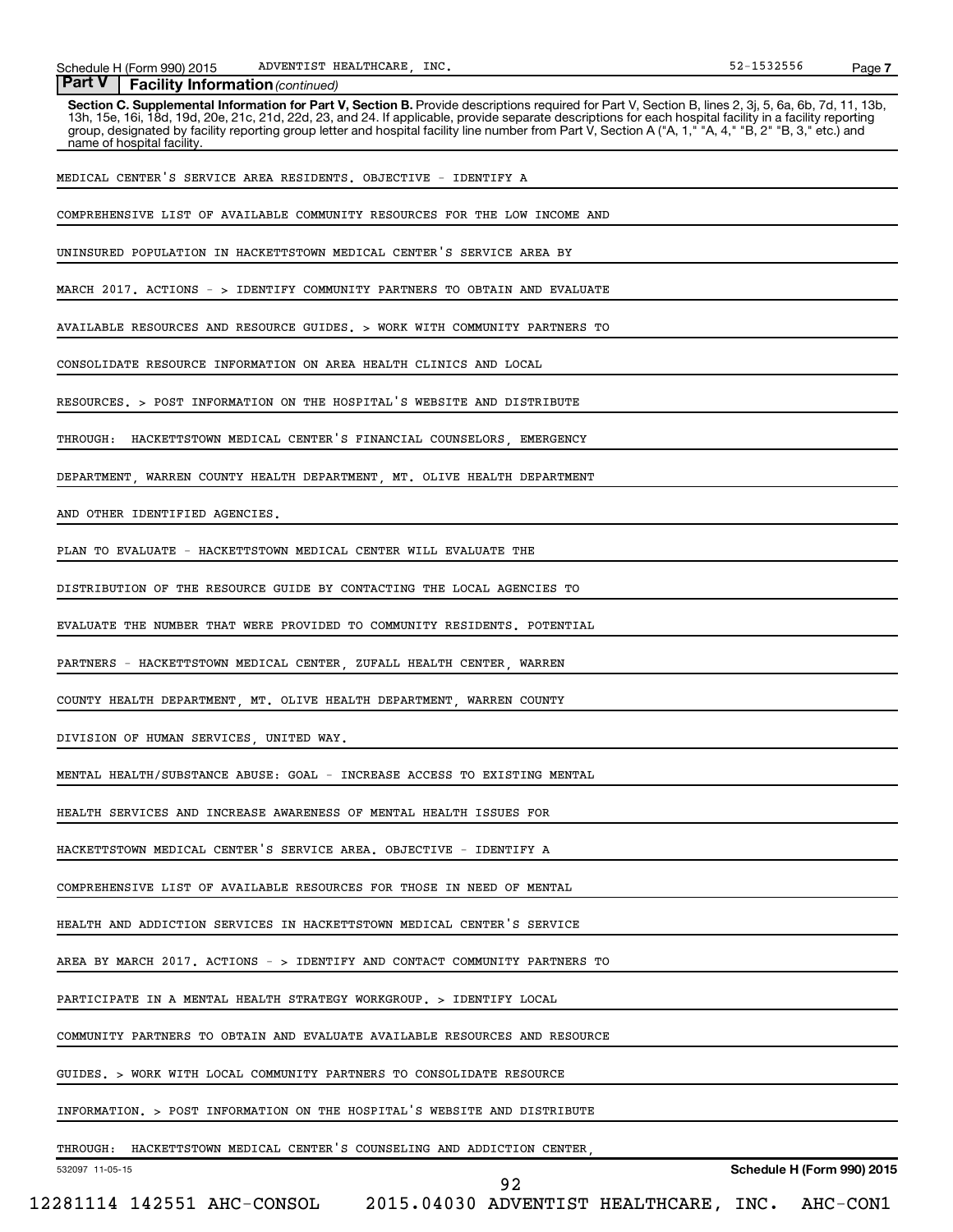Section C. Supplemental Information for Part V, Section B. Provide descriptions required for Part V, Section B, lines 2, 3j, 5, 6a, 6b, 7d, 11, 13b, 13h, 15e, 16i, 18d, 19d, 20e, 21c, 21d, 22d, 23, and 24. If applicable, provide separate descriptions for each hospital facility in a facility reporting group, designated by facility reporting group letter and hospital facility line number from Part V, Section A ("A, 1," "A, 4," "B, 2" "B, 3," etc.) and name of hospital facility.

MEDICAL CENTER'S SERVICE AREA RESIDENTS. OBJECTIVE - IDENTIFY A

COMPREHENSIVE LIST OF AVAILABLE COMMUNITY RESOURCES FOR THE LOW INCOME AND

UNINSURED POPULATION IN HACKETTSTOWN MEDICAL CENTER'S SERVICE AREA BY

MARCH 2017. ACTIONS - > IDENTIFY COMMUNITY PARTNERS TO OBTAIN AND EVALUATE

AVAILABLE RESOURCES AND RESOURCE GUIDES. > WORK WITH COMMUNITY PARTNERS TO

CONSOLIDATE RESOURCE INFORMATION ON AREA HEALTH CLINICS AND LOCAL

RESOURCES. > POST INFORMATION ON THE HOSPITAL'S WEBSITE AND DISTRIBUTE

THROUGH: HACKETTSTOWN MEDICAL CENTER'S FINANCIAL COUNSELORS, EMERGENCY

DEPARTMENT, WARREN COUNTY HEALTH DEPARTMENT, MT. OLIVE HEALTH DEPARTMENT

AND OTHER IDENTIFIED AGENCIES.

PLAN TO EVALUATE - HACKETTSTOWN MEDICAL CENTER WILL EVALUATE THE

DISTRIBUTION OF THE RESOURCE GUIDE BY CONTACTING THE LOCAL AGENCIES TO

EVALUATE THE NUMBER THAT WERE PROVIDED TO COMMUNITY RESIDENTS. POTENTIAL

PARTNERS - HACKETTSTOWN MEDICAL CENTER, ZUFALL HEALTH CENTER, WARREN

COUNTY HEALTH DEPARTMENT, MT. OLIVE HEALTH DEPARTMENT, WARREN COUNTY

DIVISION OF HUMAN SERVICES, UNITED WAY.

MENTAL HEALTH/SUBSTANCE ABUSE: GOAL - INCREASE ACCESS TO EXISTING MENTAL

HEALTH SERVICES AND INCREASE AWARENESS OF MENTAL HEALTH ISSUES FOR

HACKETTSTOWN MEDICAL CENTER'S SERVICE AREA. OBJECTIVE - IDENTIFY A

COMPREHENSIVE LIST OF AVAILABLE RESOURCES FOR THOSE IN NEED OF MENTAL

HEALTH AND ADDICTION SERVICES IN HACKETTSTOWN MEDICAL CENTER'S SERVICE

AREA BY MARCH 2017. ACTIONS - > IDENTIFY AND CONTACT COMMUNITY PARTNERS TO

PARTICIPATE IN A MENTAL HEALTH STRATEGY WORKGROUP. > IDENTIFY LOCAL

COMMUNITY PARTNERS TO OBTAIN AND EVALUATE AVAILABLE RESOURCES AND RESOURCE

GUIDES. > WORK WITH LOCAL COMMUNITY PARTNERS TO CONSOLIDATE RESOURCE

INFORMATION. > POST INFORMATION ON THE HOSPITAL'S WEBSITE AND DISTRIBUTE

THROUGH: HACKETTSTOWN MEDICAL CENTER'S COUNSELING AND ADDICTION CENTER,

532097 11-05-15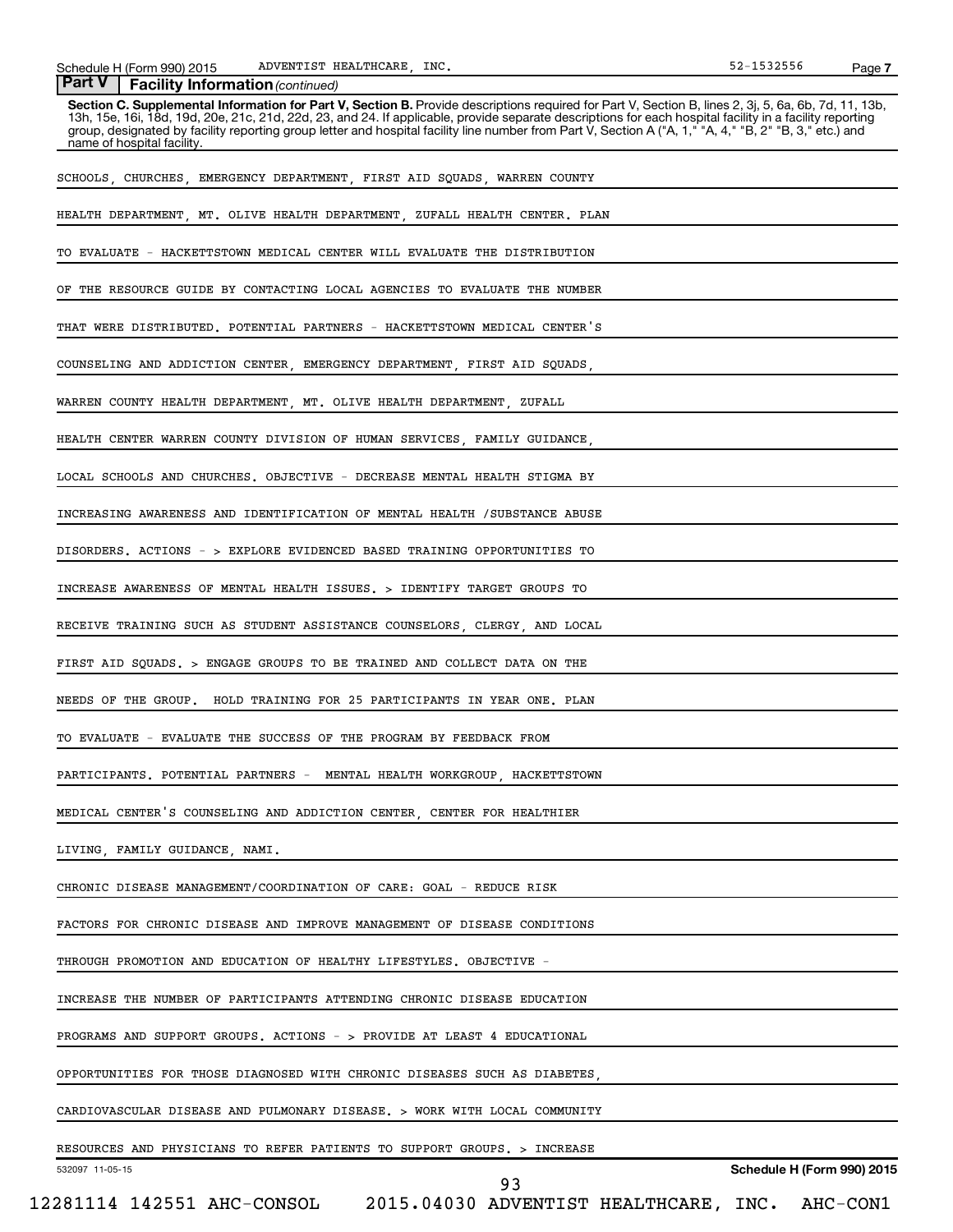| Part V<br><b>Facility Information (continued)</b>                                                                                                                                                                                                                                                                                                                                                                                                                                                         |
|-----------------------------------------------------------------------------------------------------------------------------------------------------------------------------------------------------------------------------------------------------------------------------------------------------------------------------------------------------------------------------------------------------------------------------------------------------------------------------------------------------------|
| Section C. Supplemental Information for Part V, Section B. Provide descriptions required for Part V, Section B, lines 2, 3j, 5, 6a, 6b, 7d, 11, 13b,<br>13h, 15e, 16i, 18d, 19d, 20e, 21c, 21d, 22d, 23, and 24. If applicable, provide separate descriptions for each hospital facility in a facility reporting<br>group, designated by facility reporting group letter and hospital facility line number from Part V, Section A ("A, 1," "A, 4," "B, 2" "B, 3," etc.) and<br>name of hospital facility. |
| SCHOOLS, CHURCHES, EMERGENCY DEPARTMENT, FIRST AID SQUADS, WARREN COUNTY                                                                                                                                                                                                                                                                                                                                                                                                                                  |
| HEALTH DEPARTMENT, MT. OLIVE HEALTH DEPARTMENT, ZUFALL HEALTH CENTER. PLAN                                                                                                                                                                                                                                                                                                                                                                                                                                |
| TO EVALUATE - HACKETTSTOWN MEDICAL CENTER WILL EVALUATE THE DISTRIBUTION                                                                                                                                                                                                                                                                                                                                                                                                                                  |
| OF THE RESOURCE GUIDE BY CONTACTING LOCAL AGENCIES TO EVALUATE THE NUMBER                                                                                                                                                                                                                                                                                                                                                                                                                                 |
| THAT WERE DISTRIBUTED. POTENTIAL PARTNERS - HACKETTSTOWN MEDICAL CENTER'S                                                                                                                                                                                                                                                                                                                                                                                                                                 |
| COUNSELING AND ADDICTION CENTER, EMERGENCY DEPARTMENT, FIRST AID SQUADS,                                                                                                                                                                                                                                                                                                                                                                                                                                  |
| WARREN COUNTY HEALTH DEPARTMENT, MT. OLIVE HEALTH DEPARTMENT, ZUFALL                                                                                                                                                                                                                                                                                                                                                                                                                                      |
| HEALTH CENTER WARREN COUNTY DIVISION OF HUMAN SERVICES, FAMILY GUIDANCE,                                                                                                                                                                                                                                                                                                                                                                                                                                  |
| LOCAL SCHOOLS AND CHURCHES. OBJECTIVE - DECREASE MENTAL HEALTH STIGMA BY                                                                                                                                                                                                                                                                                                                                                                                                                                  |
| INCREASING AWARENESS AND IDENTIFICATION OF MENTAL HEALTH / SUBSTANCE ABUSE                                                                                                                                                                                                                                                                                                                                                                                                                                |
| DISORDERS. ACTIONS - > EXPLORE EVIDENCED BASED TRAINING OPPORTUNITIES TO                                                                                                                                                                                                                                                                                                                                                                                                                                  |
| INCREASE AWARENESS OF MENTAL HEALTH ISSUES. > IDENTIFY TARGET GROUPS TO                                                                                                                                                                                                                                                                                                                                                                                                                                   |
| RECEIVE TRAINING SUCH AS STUDENT ASSISTANCE COUNSELORS, CLERGY, AND LOCAL                                                                                                                                                                                                                                                                                                                                                                                                                                 |
| FIRST AID SQUADS. > ENGAGE GROUPS TO BE TRAINED AND COLLECT DATA ON THE                                                                                                                                                                                                                                                                                                                                                                                                                                   |
| NEEDS OF THE GROUP. HOLD TRAINING FOR 25 PARTICIPANTS IN YEAR ONE. PLAN                                                                                                                                                                                                                                                                                                                                                                                                                                   |
| TO EVALUATE - EVALUATE THE SUCCESS OF THE PROGRAM BY FEEDBACK FROM                                                                                                                                                                                                                                                                                                                                                                                                                                        |
| PARTICIPANTS. POTENTIAL PARTNERS - MENTAL HEALTH WORKGROUP, HACKETTSTOWN                                                                                                                                                                                                                                                                                                                                                                                                                                  |
| MEDICAL CENTER'S COUNSELING AND ADDICTION CENTER, CENTER FOR HEALTHIER                                                                                                                                                                                                                                                                                                                                                                                                                                    |
| LIVING, FAMILY GUIDANCE, NAMI.                                                                                                                                                                                                                                                                                                                                                                                                                                                                            |
| CHRONIC DISEASE MANAGEMENT/COORDINATION OF CARE: GOAL - REDUCE RISK                                                                                                                                                                                                                                                                                                                                                                                                                                       |
| FACTORS FOR CHRONIC DISEASE AND IMPROVE MANAGEMENT OF DISEASE CONDITIONS                                                                                                                                                                                                                                                                                                                                                                                                                                  |
| THROUGH PROMOTION AND EDUCATION OF HEALTHY LIFESTYLES. OBJECTIVE -                                                                                                                                                                                                                                                                                                                                                                                                                                        |
| INCREASE THE NUMBER OF PARTICIPANTS ATTENDING CHRONIC DISEASE EDUCATION                                                                                                                                                                                                                                                                                                                                                                                                                                   |
| PROGRAMS AND SUPPORT GROUPS. ACTIONS - > PROVIDE AT LEAST 4 EDUCATIONAL                                                                                                                                                                                                                                                                                                                                                                                                                                   |
| OPPORTUNITIES FOR THOSE DIAGNOSED WITH CHRONIC DISEASES SUCH AS DIABETES,                                                                                                                                                                                                                                                                                                                                                                                                                                 |
| CARDIOVASCULAR DISEASE AND PULMONARY DISEASE. > WORK WITH LOCAL COMMUNITY                                                                                                                                                                                                                                                                                                                                                                                                                                 |
| RESOURCES AND PHYSICIANS TO REFER PATIENTS TO SUPPORT GROUPS. > INCREASE                                                                                                                                                                                                                                                                                                                                                                                                                                  |
| Schedule H (Form 990) 2015<br>532097 11-05-15<br>93                                                                                                                                                                                                                                                                                                                                                                                                                                                       |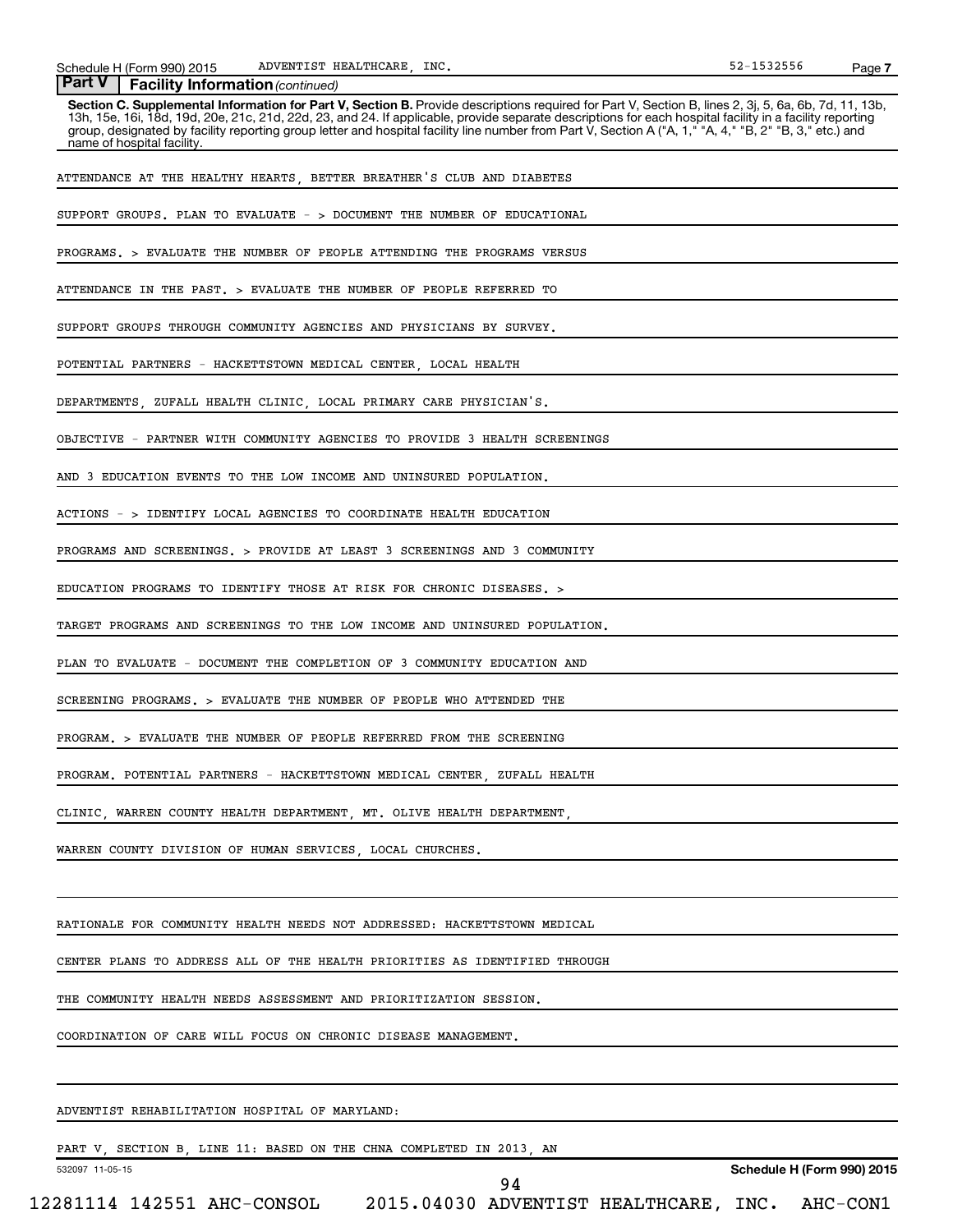| ADVENTIST HEALTHCARE INC.<br>Schedule H (Form 990) 2015                                                                                                                                                                                                                                                                                                                                                                                                                                                                                                               | 52-1532556 | Page 7 |
|-----------------------------------------------------------------------------------------------------------------------------------------------------------------------------------------------------------------------------------------------------------------------------------------------------------------------------------------------------------------------------------------------------------------------------------------------------------------------------------------------------------------------------------------------------------------------|------------|--------|
| <b>Part V</b><br><b>Facility Information</b> (continued)<br>Section C. Supplemental Information for Part V, Section B. Provide descriptions required for Part V, Section B, lines 2, 3j, 5, 6a, 6b, 7d, 11, 13b,<br>13h, 15e, 16i, 18d, 19d, 20e, 21c, 21d, 22d, 23, and 24. If applicable, provide separate descriptions for each hospital facility in a facility reporting<br>group, designated by facility reporting group letter and hospital facility line number from Part V, Section A ("A, 1," "A, 4," "B, 2" "B, 3," etc.) and<br>name of hospital facility. |            |        |
| ATTENDANCE AT THE HEALTHY HEARTS BETTER BREATHER'S CLUB AND DIABETES                                                                                                                                                                                                                                                                                                                                                                                                                                                                                                  |            |        |
| SUPPORT GROUPS. PLAN TO EVALUATE $-$ > DOCUMENT THE NUMBER OF EDUCATIONAL                                                                                                                                                                                                                                                                                                                                                                                                                                                                                             |            |        |
| PROGRAMS. > EVALUATE THE NUMBER OF PEOPLE ATTENDING THE PROGRAMS VERSUS                                                                                                                                                                                                                                                                                                                                                                                                                                                                                               |            |        |
| ATTENDANCE IN THE PAST. > EVALUATE THE NUMBER OF PEOPLE REFERRED TO                                                                                                                                                                                                                                                                                                                                                                                                                                                                                                   |            |        |
| SUPPORT GROUPS THROUGH COMMUNITY AGENCIES AND PHYSICIANS BY SURVEY.                                                                                                                                                                                                                                                                                                                                                                                                                                                                                                   |            |        |
| POTENTIAL PARTNERS - HACKETTSTOWN MEDICAL CENTER LOCAL HEALTH                                                                                                                                                                                                                                                                                                                                                                                                                                                                                                         |            |        |
| DEPARTMENTS, ZUFALL HEALTH CLINIC, LOCAL PRIMARY CARE PHYSICIAN'S.                                                                                                                                                                                                                                                                                                                                                                                                                                                                                                    |            |        |
| OBJECTIVE - PARTNER WITH COMMUNITY AGENCIES TO PROVIDE 3 HEALTH SCREENINGS                                                                                                                                                                                                                                                                                                                                                                                                                                                                                            |            |        |
| AND 3 EDUCATION EVENTS TO THE LOW INCOME AND UNINSURED POPULATION.                                                                                                                                                                                                                                                                                                                                                                                                                                                                                                    |            |        |
| ACTIONS - > IDENTIFY LOCAL AGENCIES TO COORDINATE HEALTH EDUCATION                                                                                                                                                                                                                                                                                                                                                                                                                                                                                                    |            |        |
| PROGRAMS AND SCREENINGS. > PROVIDE AT LEAST 3 SCREENINGS AND 3 COMMUNITY                                                                                                                                                                                                                                                                                                                                                                                                                                                                                              |            |        |
| EDUCATION PROGRAMS TO IDENTIFY THOSE AT RISK FOR CHRONIC DISEASES. >                                                                                                                                                                                                                                                                                                                                                                                                                                                                                                  |            |        |
| TARGET PROGRAMS AND SCREENINGS TO THE LOW INCOME AND UNINSURED POPULATION.                                                                                                                                                                                                                                                                                                                                                                                                                                                                                            |            |        |
| PLAN TO EVALUATE - DOCUMENT THE COMPLETION OF 3 COMMUNITY EDUCATION AND                                                                                                                                                                                                                                                                                                                                                                                                                                                                                               |            |        |
| SCREENING PROGRAMS. > EVALUATE THE NUMBER OF PEOPLE WHO ATTENDED THE                                                                                                                                                                                                                                                                                                                                                                                                                                                                                                  |            |        |
| PROGRAM. > EVALUATE THE NUMBER OF PEOPLE REFERRED FROM THE SCREENING                                                                                                                                                                                                                                                                                                                                                                                                                                                                                                  |            |        |
| PROGRAM. POTENTIAL PARTNERS - HACKETTSTOWN MEDICAL CENTER, ZUFALL HEALTH                                                                                                                                                                                                                                                                                                                                                                                                                                                                                              |            |        |
| CLINIC, WARREN COUNTY HEALTH DEPARTMENT, MT. OLIVE HEALTH DEPARTMENT,                                                                                                                                                                                                                                                                                                                                                                                                                                                                                                 |            |        |
| WARREN COUNTY DIVISION OF HUMAN SERVICES, LOCAL CHURCHES.                                                                                                                                                                                                                                                                                                                                                                                                                                                                                                             |            |        |
|                                                                                                                                                                                                                                                                                                                                                                                                                                                                                                                                                                       |            |        |
| RATIONALE FOR COMMUNITY HEALTH NEEDS NOT ADDRESSED: HACKETTSTOWN MEDICAL                                                                                                                                                                                                                                                                                                                                                                                                                                                                                              |            |        |
| CENTER PLANS TO ADDRESS ALL OF THE HEALTH PRIORITIES AS IDENTIFIED THROUGH                                                                                                                                                                                                                                                                                                                                                                                                                                                                                            |            |        |
| THE COMMUNITY HEALTH NEEDS ASSESSMENT AND PRIORITIZATION SESSION.                                                                                                                                                                                                                                                                                                                                                                                                                                                                                                     |            |        |
| COORDINATION OF CARE WILL FOCUS ON CHRONIC DISEASE MANAGEMENT.                                                                                                                                                                                                                                                                                                                                                                                                                                                                                                        |            |        |
|                                                                                                                                                                                                                                                                                                                                                                                                                                                                                                                                                                       |            |        |
| ADVENTIST REHABILITATION HOSPITAL OF MARYLAND:                                                                                                                                                                                                                                                                                                                                                                                                                                                                                                                        |            |        |

PART V, SECTION B, LINE 11: BASED ON THE CHNA COMPLETED IN 2013, AN

532097 11-05-15

**Schedule H (Form 990) 2015**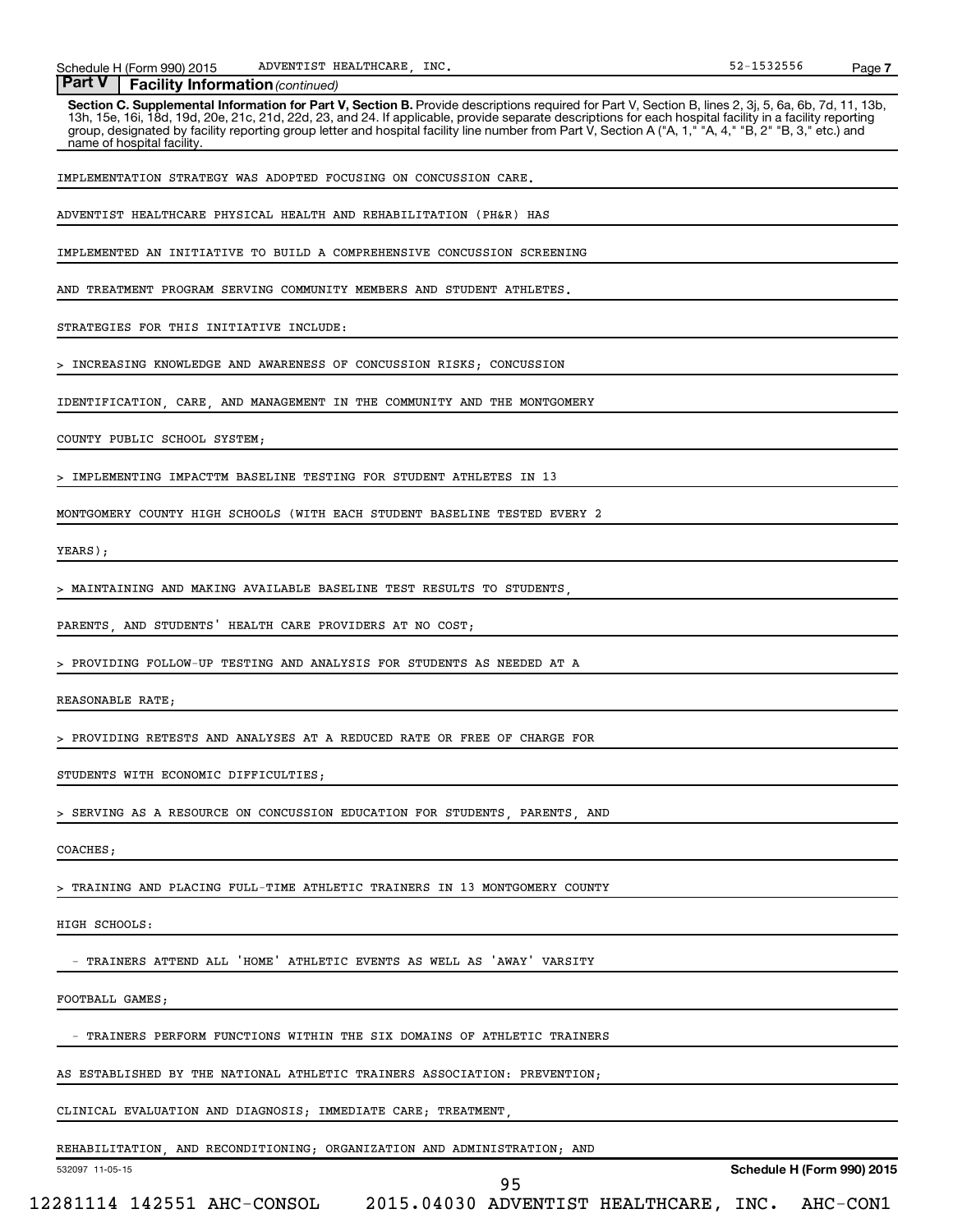## 532097 11-05-15 Section C. Supplemental Information for Part V, Section B. Provide descriptions required for Part V, Section B, lines 2, 3j, 5, 6a, 6b, 7d, 11, 13b, **Schedule H (Form 990) 2015 Part V** | Facility Information (continued) 13h, 15e, 16i, 18d, 19d, 20e, 21c, 21d, 22d, 23, and 24. If applicable, provide separate descriptions for each hospital facility in a facility reporting group, designated by facility reporting group letter and hospital facility line number from Part V, Section A ("A, 1," "A, 4," "B, 2" "B, 3," etc.) and name of hospital facility. IMPLEMENTATION STRATEGY WAS ADOPTED FOCUSING ON CONCUSSION CARE. ADVENTIST HEALTHCARE PHYSICAL HEALTH AND REHABILITATION (PH&R) HAS IMPLEMENTED AN INITIATIVE TO BUILD A COMPREHENSIVE CONCUSSION SCREENING AND TREATMENT PROGRAM SERVING COMMUNITY MEMBERS AND STUDENT ATHLETES. STRATEGIES FOR THIS INITIATIVE INCLUDE: > INCREASING KNOWLEDGE AND AWARENESS OF CONCUSSION RISKS; CONCUSSION IDENTIFICATION, CARE, AND MANAGEMENT IN THE COMMUNITY AND THE MONTGOMERY COUNTY PUBLIC SCHOOL SYSTEM; > IMPLEMENTING IMPACTTM BASELINE TESTING FOR STUDENT ATHLETES IN 13 MONTGOMERY COUNTY HIGH SCHOOLS (WITH EACH STUDENT BASELINE TESTED EVERY 2 YEARS); > MAINTAINING AND MAKING AVAILABLE BASELINE TEST RESULTS TO STUDENTS, PARENTS, AND STUDENTS' HEALTH CARE PROVIDERS AT NO COST; > PROVIDING FOLLOW-UP TESTING AND ANALYSIS FOR STUDENTS AS NEEDED AT A REASONABLE RATE; > PROVIDING RETESTS AND ANALYSES AT A REDUCED RATE OR FREE OF CHARGE FOR STUDENTS WITH ECONOMIC DIFFICULTIES; SERVING AS A RESOURCE ON CONCUSSION EDUCATION FOR STUDENTS, PARENTS, AND COACHES; > TRAINING AND PLACING FULL-TIME ATHLETIC TRAINERS IN 13 MONTGOMERY COUNTY HIGH SCHOOLS: - TRAINERS ATTEND ALL 'HOME' ATHLETIC EVENTS AS WELL AS 'AWAY' VARSITY FOOTBALL GAMES; TRAINERS PERFORM FUNCTIONS WITHIN THE SIX DOMAINS OF ATHLETIC TRAINERS AS ESTABLISHED BY THE NATIONAL ATHLETIC TRAINERS ASSOCIATION: PREVENTION; CLINICAL EVALUATION AND DIAGNOSIS; IMMEDIATE CARE; TREATMENT, REHABILITATION, AND RECONDITIONING; ORGANIZATION AND ADMINISTRATION; AND

95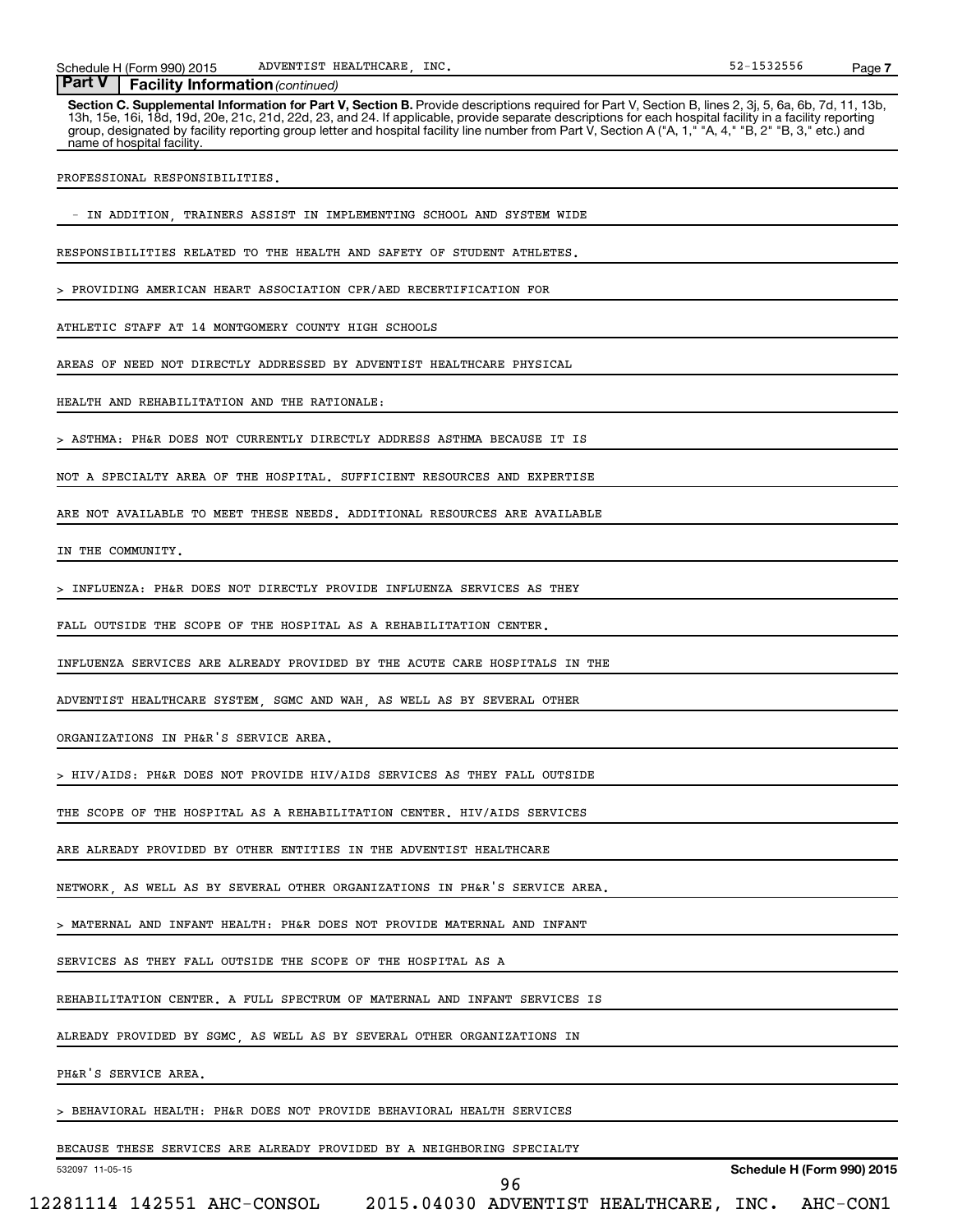### **Part V** | Facility Information (continued)

Section C. Supplemental Information for Part V, Section B. Provide descriptions required for Part V, Section B, lines 2, 3j, 5, 6a, 6b, 7d, 11, 13b, 13h, 15e, 16i, 18d, 19d, 20e, 21c, 21d, 22d, 23, and 24. If applicable, provide separate descriptions for each hospital facility in a facility reporting group, designated by facility reporting group letter and hospital facility line number from Part V, Section A ("A, 1," "A, 4," "B, 2" "B, 3," etc.) and name of hospital facility.

PROFESSIONAL RESPONSIBILITIES.

- IN ADDITION, TRAINERS ASSIST IN IMPLEMENTING SCHOOL AND SYSTEM WIDE

RESPONSIBILITIES RELATED TO THE HEALTH AND SAFETY OF STUDENT ATHLETES.

> PROVIDING AMERICAN HEART ASSOCIATION CPR/AED RECERTIFICATION FOR

ATHLETIC STAFF AT 14 MONTGOMERY COUNTY HIGH SCHOOLS

AREAS OF NEED NOT DIRECTLY ADDRESSED BY ADVENTIST HEALTHCARE PHYSICAL

HEALTH AND REHABILITATION AND THE RATIONALE:

> ASTHMA: PH&R DOES NOT CURRENTLY DIRECTLY ADDRESS ASTHMA BECAUSE IT IS

NOT A SPECIALTY AREA OF THE HOSPITAL. SUFFICIENT RESOURCES AND EXPERTISE

ARE NOT AVAILABLE TO MEET THESE NEEDS. ADDITIONAL RESOURCES ARE AVAILABLE

IN THE COMMUNITY.

> INFLUENZA: PH&R DOES NOT DIRECTLY PROVIDE INFLUENZA SERVICES AS THEY

FALL OUTSIDE THE SCOPE OF THE HOSPITAL AS A REHABILITATION CENTER.

INFLUENZA SERVICES ARE ALREADY PROVIDED BY THE ACUTE CARE HOSPITALS IN THE

ADVENTIST HEALTHCARE SYSTEM, SGMC AND WAH, AS WELL AS BY SEVERAL OTHER

ORGANIZATIONS IN PH&R'S SERVICE AREA.

> HIV/AIDS: PH&R DOES NOT PROVIDE HIV/AIDS SERVICES AS THEY FALL OUTSIDE

THE SCOPE OF THE HOSPITAL AS A REHABILITATION CENTER. HIV/AIDS SERVICES

ARE ALREADY PROVIDED BY OTHER ENTITIES IN THE ADVENTIST HEALTHCARE

NETWORK, AS WELL AS BY SEVERAL OTHER ORGANIZATIONS IN PH&R'S SERVICE AREA.

> MATERNAL AND INFANT HEALTH: PH&R DOES NOT PROVIDE MATERNAL AND INFANT

SERVICES AS THEY FALL OUTSIDE THE SCOPE OF THE HOSPITAL AS A

REHABILITATION CENTER. A FULL SPECTRUM OF MATERNAL AND INFANT SERVICES IS

ALREADY PROVIDED BY SGMC, AS WELL AS BY SEVERAL OTHER ORGANIZATIONS IN

PH&R'S SERVICE AREA.

> BEHAVIORAL HEALTH: PH&R DOES NOT PROVIDE BEHAVIORAL HEALTH SERVICES

BECAUSE THESE SERVICES ARE ALREADY PROVIDED BY A NEIGHBORING SPECIALTY

532097 11-05-15

96

**Schedule H (Form 990) 2015**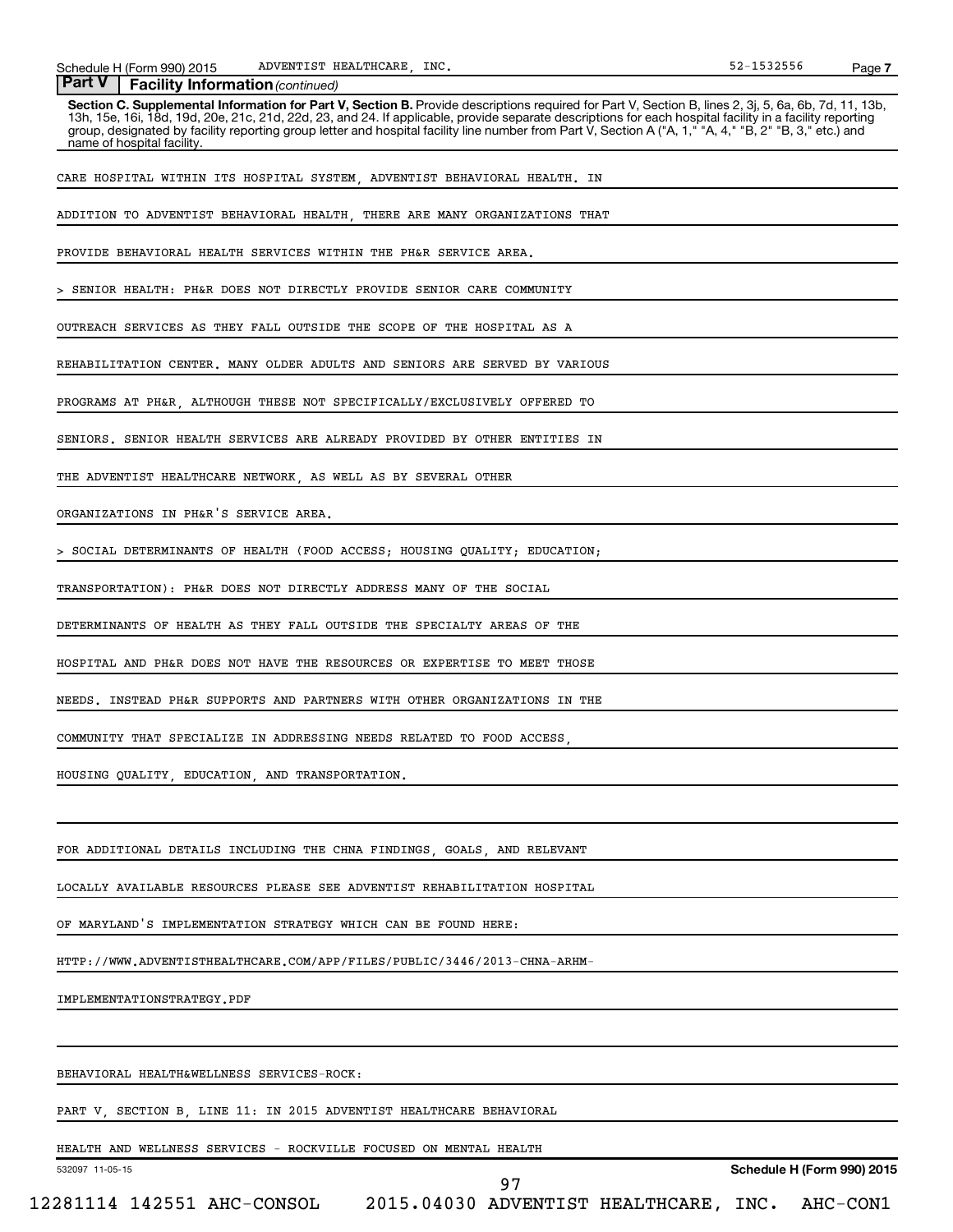### **7** Section C. Supplemental Information for Part V, Section B. Provide descriptions required for Part V, Section B, lines 2, 3j, 5, 6a, 6b, 7d, 11, 13b, **Part V** | Facility Information (continued) Schedule H (Form 990) 2015 ADVENTIST HEALTHCARE, INC. S2-1532556 13h, 15e, 16i, 18d, 19d, 20e, 21c, 21d, 22d, 23, and 24. If applicable, provide separate descriptions for each hospital facility in a facility reporting group, designated by facility reporting group letter and hospital facility line number from Part V, Section A ("A, 1," "A, 4," "B, 2" "B, 3," etc.) and name of hospital facility. ADVENTIST HEALTHCARE, CARE HOSPITAL WITHIN ITS HOSPITAL SYSTEM, ADVENTIST BEHAVIORAL HEALTH. IN ADDITION TO ADVENTIST BEHAVIORAL HEALTH, THERE ARE MANY ORGANIZATIONS THAT PROVIDE BEHAVIORAL HEALTH SERVICES WITHIN THE PH&R SERVICE AREA. > SENIOR HEALTH: PH&R DOES NOT DIRECTLY PROVIDE SENIOR CARE COMMUNITY OUTREACH SERVICES AS THEY FALL OUTSIDE THE SCOPE OF THE HOSPITAL AS A REHABILITATION CENTER. MANY OLDER ADULTS AND SENIORS ARE SERVED BY VARIOUS PROGRAMS AT PH&R, ALTHOUGH THESE NOT SPECIFICALLY/EXCLUSIVELY OFFERED TO SENIORS. SENIOR HEALTH SERVICES ARE ALREADY PROVIDED BY OTHER ENTITIES IN THE ADVENTIST HEALTHCARE NETWORK, AS WELL AS BY SEVERAL OTHER ORGANIZATIONS IN PH&R'S SERVICE AREA. > SOCIAL DETERMINANTS OF HEALTH (FOOD ACCESS; HOUSING QUALITY; EDUCATION; TRANSPORTATION): PH&R DOES NOT DIRECTLY ADDRESS MANY OF THE SOCIAL DETERMINANTS OF HEALTH AS THEY FALL OUTSIDE THE SPECIALTY AREAS OF THE

HOSPITAL AND PH&R DOES NOT HAVE THE RESOURCES OR EXPERTISE TO MEET THOSE

NEEDS. INSTEAD PH&R SUPPORTS AND PARTNERS WITH OTHER ORGANIZATIONS IN THE

COMMUNITY THAT SPECIALIZE IN ADDRESSING NEEDS RELATED TO FOOD ACCESS,

HOUSING QUALITY, EDUCATION, AND TRANSPORTATION.

FOR ADDITIONAL DETAILS INCLUDING THE CHNA FINDINGS, GOALS, AND RELEVANT

LOCALLY AVAILABLE RESOURCES PLEASE SEE ADVENTIST REHABILITATION HOSPITAL

OF MARYLAND'S IMPLEMENTATION STRATEGY WHICH CAN BE FOUND HERE:

HTTP://WWW.ADVENTISTHEALTHCARE.COM/APP/FILES/PUBLIC/3446/2013-CHNA-ARHM-

IMPLEMENTATIONSTRATEGY.PDF

BEHAVIORAL HEALTH&WELLNESS SERVICES-ROCK:

PART V, SECTION B, LINE 11: IN 2015 ADVENTIST HEALTHCARE BEHAVIORAL

|  |  | HEALTH AND WELLNESS SERVICES - ROCKVILLE FOCUSED ON MENTAL HEALTH |  |  |  |
|--|--|-------------------------------------------------------------------|--|--|--|
|  |  |                                                                   |  |  |  |

532097 11-05-15

97

**Schedule H (Form 990) 2015**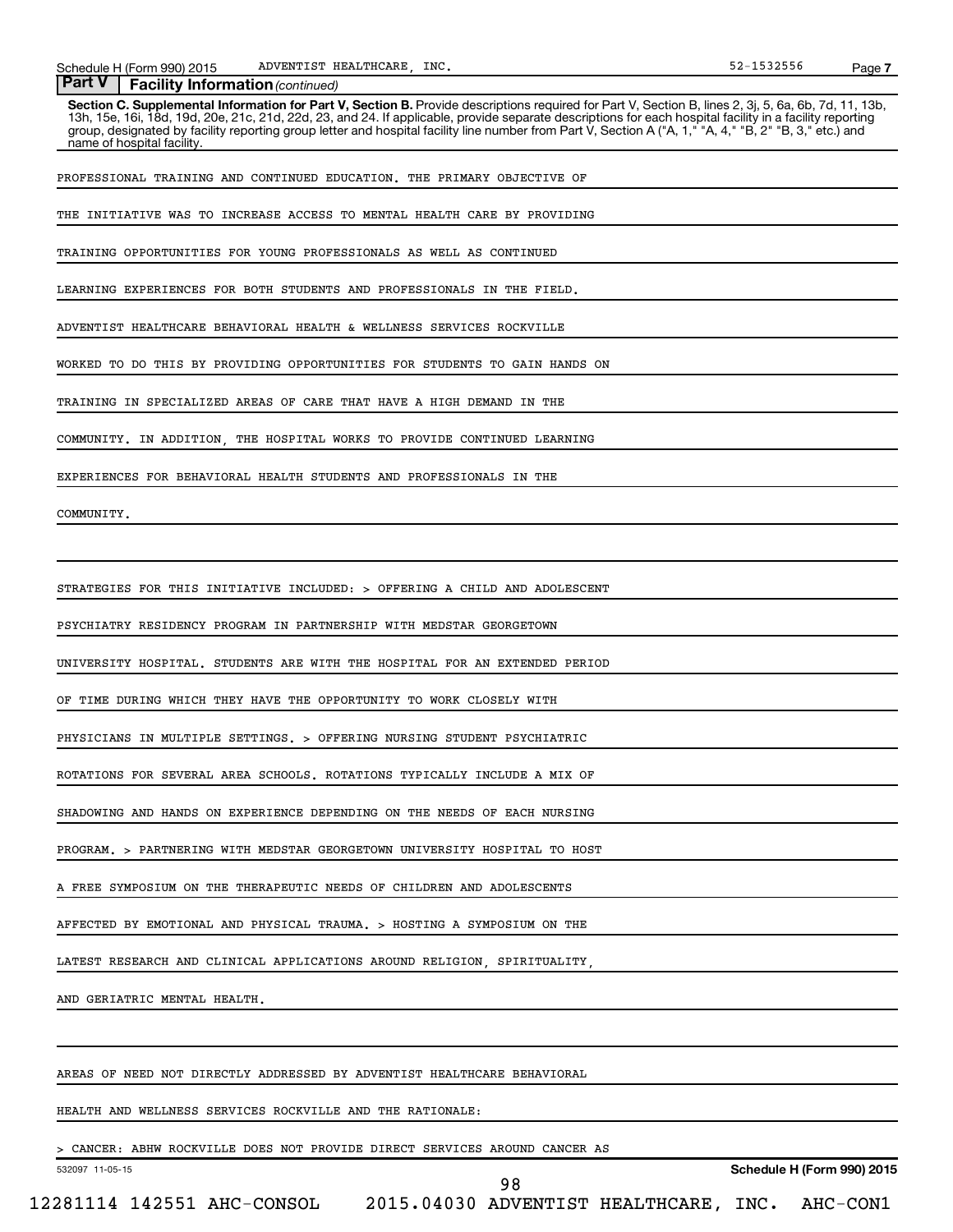| Part V<br><b>Facility Information</b> (continued) |  |
|---------------------------------------------------|--|
|---------------------------------------------------|--|

Section C. Supplemental Information for Part V, Section B. Provide descriptions required for Part V, Section B, lines 2, 3j, 5, 6a, 6b, 7d, 11, 13b, 13h, 15e, 16i, 18d, 19d, 20e, 21c, 21d, 22d, 23, and 24. If applicable, provide separate descriptions for each hospital facility in a facility reporting group, designated by facility reporting group letter and hospital facility line number from Part V, Section A ("A, 1," "A, 4," "B, 2" "B, 3," etc.) and name of hospital facility.

PROFESSIONAL TRAINING AND CONTINUED EDUCATION. THE PRIMARY OBJECTIVE OF

THE INITIATIVE WAS TO INCREASE ACCESS TO MENTAL HEALTH CARE BY PROVIDING

TRAINING OPPORTUNITIES FOR YOUNG PROFESSIONALS AS WELL AS CONTINUED

LEARNING EXPERIENCES FOR BOTH STUDENTS AND PROFESSIONALS IN THE FIELD.

ADVENTIST HEALTHCARE BEHAVIORAL HEALTH & WELLNESS SERVICES ROCKVILLE

WORKED TO DO THIS BY PROVIDING OPPORTUNITIES FOR STUDENTS TO GAIN HANDS ON

TRAINING IN SPECIALIZED AREAS OF CARE THAT HAVE A HIGH DEMAND IN THE

COMMUNITY. IN ADDITION, THE HOSPITAL WORKS TO PROVIDE CONTINUED LEARNING

EXPERIENCES FOR BEHAVIORAL HEALTH STUDENTS AND PROFESSIONALS IN THE

COMMUNITY.

STRATEGIES FOR THIS INITIATIVE INCLUDED: > OFFERING A CHILD AND ADOLESCENT

PSYCHIATRY RESIDENCY PROGRAM IN PARTNERSHIP WITH MEDSTAR GEORGETOWN

UNIVERSITY HOSPITAL. STUDENTS ARE WITH THE HOSPITAL FOR AN EXTENDED PERIOD

OF TIME DURING WHICH THEY HAVE THE OPPORTUNITY TO WORK CLOSELY WITH

PHYSICIANS IN MULTIPLE SETTINGS. > OFFERING NURSING STUDENT PSYCHIATRIC

ROTATIONS FOR SEVERAL AREA SCHOOLS. ROTATIONS TYPICALLY INCLUDE A MIX OF

SHADOWING AND HANDS ON EXPERIENCE DEPENDING ON THE NEEDS OF EACH NURSING

PROGRAM. > PARTNERING WITH MEDSTAR GEORGETOWN UNIVERSITY HOSPITAL TO HOST

A FREE SYMPOSIUM ON THE THERAPEUTIC NEEDS OF CHILDREN AND ADOLESCENTS

AFFECTED BY EMOTIONAL AND PHYSICAL TRAUMA. > HOSTING A SYMPOSIUM ON THE

LATEST RESEARCH AND CLINICAL APPLICATIONS AROUND RELIGION, SPIRITUALITY,

AND GERIATRIC MENTAL HEALTH.

AREAS OF NEED NOT DIRECTLY ADDRESSED BY ADVENTIST HEALTHCARE BEHAVIORAL

HEALTH AND WELLNESS SERVICES ROCKVILLE AND THE RATIONALE:

CANCER: ABHW ROCKVILLE DOES NOT PROVIDE DIRECT SERVICES AROUND CANCER AS

532097 11-05-15

**Schedule H (Form 990) 2015**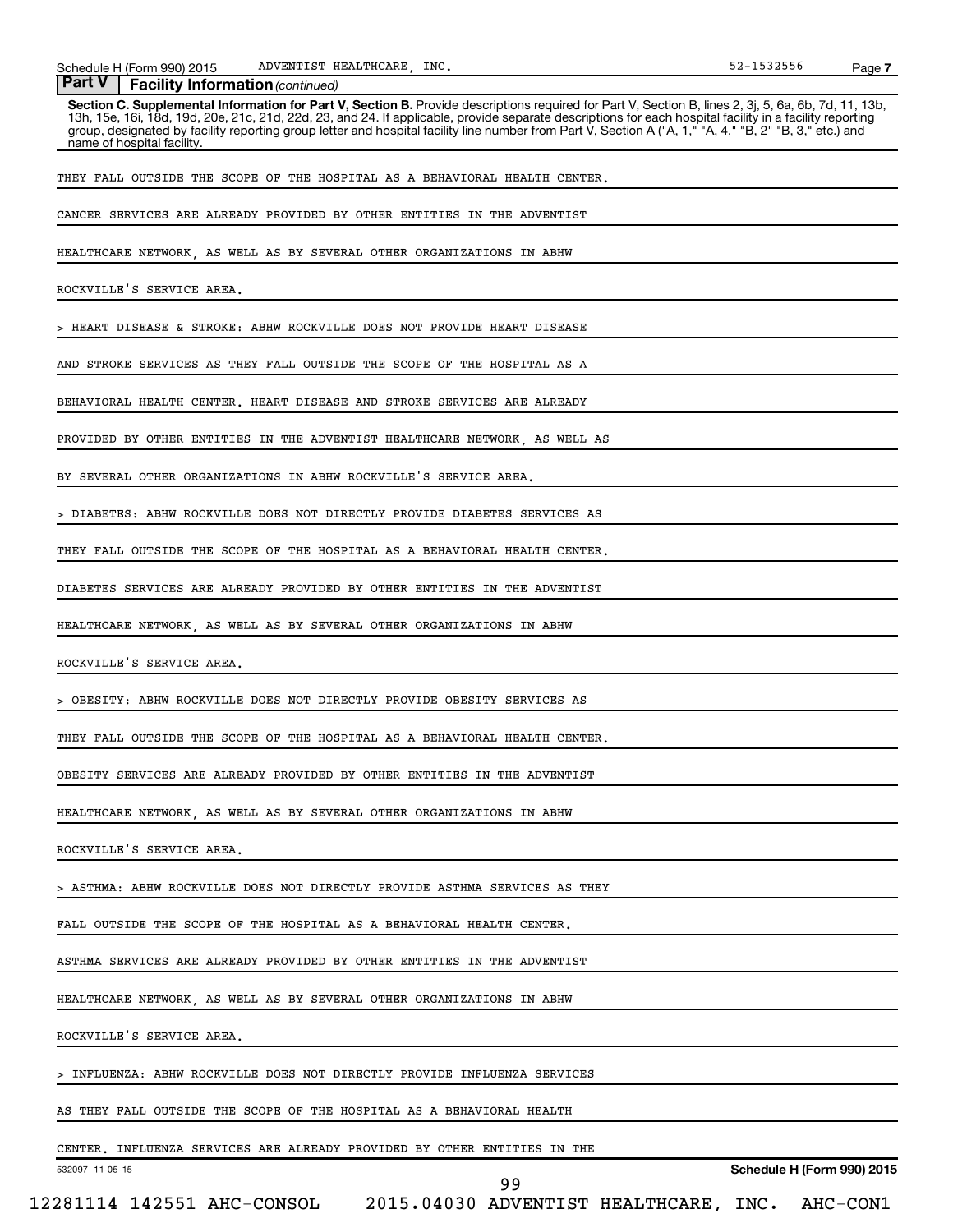Section C. Supplemental Information for Part V, Section B. Provide descriptions required for Part V, Section B, lines 2, 3j, 5, 6a, 6b, 7d, 11, 13b, 13h, 15e, 16i, 18d, 19d, 20e, 21c, 21d, 22d, 23, and 24. If applicable, provide separate descriptions for each hospital facility in a facility reporting group, designated by facility reporting group letter and hospital facility line number from Part V, Section A ("A, 1," "A, 4," "B, 2" "B, 3," etc.) and name of hospital facility.

THEY FALL OUTSIDE THE SCOPE OF THE HOSPITAL AS A BEHAVIORAL HEALTH CENTER.

CANCER SERVICES ARE ALREADY PROVIDED BY OTHER ENTITIES IN THE ADVENTIST

HEALTHCARE NETWORK, AS WELL AS BY SEVERAL OTHER ORGANIZATIONS IN ABHW

ROCKVILLE'S SERVICE AREA.

> HEART DISEASE & STROKE: ABHW ROCKVILLE DOES NOT PROVIDE HEART DISEASE

AND STROKE SERVICES AS THEY FALL OUTSIDE THE SCOPE OF THE HOSPITAL AS A

BEHAVIORAL HEALTH CENTER. HEART DISEASE AND STROKE SERVICES ARE ALREADY

PROVIDED BY OTHER ENTITIES IN THE ADVENTIST HEALTHCARE NETWORK, AS WELL AS

BY SEVERAL OTHER ORGANIZATIONS IN ABHW ROCKVILLE'S SERVICE AREA.

> DIABETES: ABHW ROCKVILLE DOES NOT DIRECTLY PROVIDE DIABETES SERVICES AS

THEY FALL OUTSIDE THE SCOPE OF THE HOSPITAL AS A BEHAVIORAL HEALTH CENTER.

DIABETES SERVICES ARE ALREADY PROVIDED BY OTHER ENTITIES IN THE ADVENTIST

HEALTHCARE NETWORK, AS WELL AS BY SEVERAL OTHER ORGANIZATIONS IN ABHW

ROCKVILLE'S SERVICE AREA.

> OBESITY: ABHW ROCKVILLE DOES NOT DIRECTLY PROVIDE OBESITY SERVICES AS

THEY FALL OUTSIDE THE SCOPE OF THE HOSPITAL AS A BEHAVIORAL HEALTH CENTER.

OBESITY SERVICES ARE ALREADY PROVIDED BY OTHER ENTITIES IN THE ADVENTIST

HEALTHCARE NETWORK, AS WELL AS BY SEVERAL OTHER ORGANIZATIONS IN ABHW

ROCKVILLE'S SERVICE AREA.

> ASTHMA: ABHW ROCKVILLE DOES NOT DIRECTLY PROVIDE ASTHMA SERVICES AS THEY

FALL OUTSIDE THE SCOPE OF THE HOSPITAL AS A BEHAVIORAL HEALTH CENTER.

ASTHMA SERVICES ARE ALREADY PROVIDED BY OTHER ENTITIES IN THE ADVENTIST

HEALTHCARE NETWORK, AS WELL AS BY SEVERAL OTHER ORGANIZATIONS IN ABHW

ROCKVILLE'S SERVICE AREA.

> INFLUENZA: ABHW ROCKVILLE DOES NOT DIRECTLY PROVIDE INFLUENZA SERVICES

AS THEY FALL OUTSIDE THE SCOPE OF THE HOSPITAL AS A BEHAVIORAL HEALTH

CENTER. INFLUENZA SERVICES ARE ALREADY PROVIDED BY OTHER ENTITIES IN THE

532097 11-05-15

**Schedule H (Form 990) 2015**

12281114 142551 AHC-CONSOL 2015.04030 ADVENTIST HEALTHCARE, INC. AHC-CON1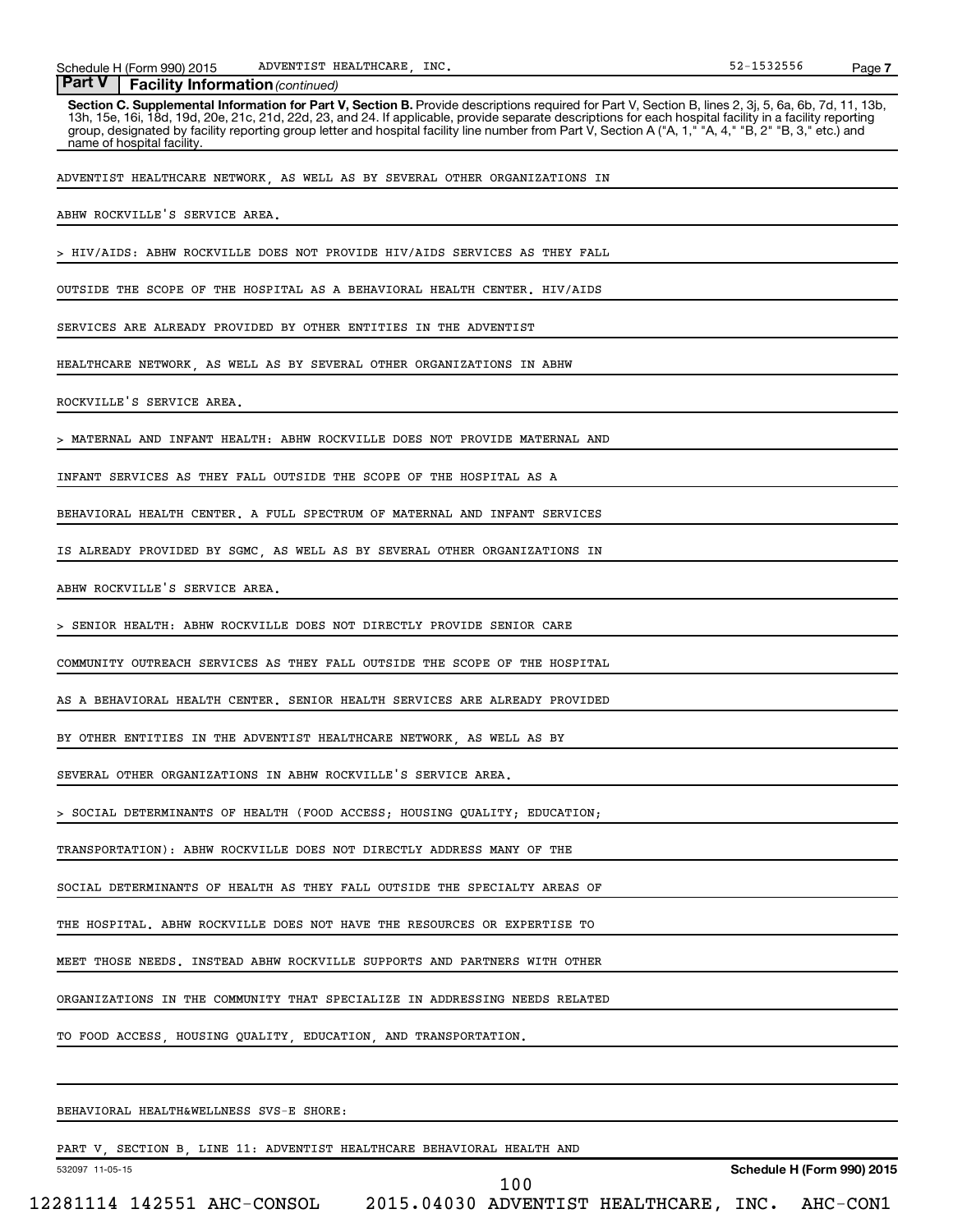Section C. Supplemental Information for Part V, Section B. Provide descriptions required for Part V, Section B, lines 2, 3j, 5, 6a, 6b, 7d, 11, 13b, 13h, 15e, 16i, 18d, 19d, 20e, 21c, 21d, 22d, 23, and 24. If applicable, provide separate descriptions for each hospital facility in a facility reporting group, designated by facility reporting group letter and hospital facility line number from Part V, Section A ("A, 1," "A, 4," "B, 2" "B, 3," etc.) and name of hospital facility.

ADVENTIST HEALTHCARE NETWORK, AS WELL AS BY SEVERAL OTHER ORGANIZATIONS IN

ABHW ROCKVILLE'S SERVICE AREA.

> HIV/AIDS: ABHW ROCKVILLE DOES NOT PROVIDE HIV/AIDS SERVICES AS THEY FALL

OUTSIDE THE SCOPE OF THE HOSPITAL AS A BEHAVIORAL HEALTH CENTER. HIV/AIDS

SERVICES ARE ALREADY PROVIDED BY OTHER ENTITIES IN THE ADVENTIST

HEALTHCARE NETWORK, AS WELL AS BY SEVERAL OTHER ORGANIZATIONS IN ABHW

ROCKVILLE'S SERVICE AREA.

> MATERNAL AND INFANT HEALTH: ABHW ROCKVILLE DOES NOT PROVIDE MATERNAL AND

INFANT SERVICES AS THEY FALL OUTSIDE THE SCOPE OF THE HOSPITAL AS A

BEHAVIORAL HEALTH CENTER. A FULL SPECTRUM OF MATERNAL AND INFANT SERVICES

IS ALREADY PROVIDED BY SGMC, AS WELL AS BY SEVERAL OTHER ORGANIZATIONS IN

ABHW ROCKVILLE'S SERVICE AREA.

> SENIOR HEALTH: ABHW ROCKVILLE DOES NOT DIRECTLY PROVIDE SENIOR CARE

COMMUNITY OUTREACH SERVICES AS THEY FALL OUTSIDE THE SCOPE OF THE HOSPITAL

AS A BEHAVIORAL HEALTH CENTER. SENIOR HEALTH SERVICES ARE ALREADY PROVIDED

BY OTHER ENTITIES IN THE ADVENTIST HEALTHCARE NETWORK, AS WELL AS BY

SEVERAL OTHER ORGANIZATIONS IN ABHW ROCKVILLE'S SERVICE AREA.

SOCIAL DETERMINANTS OF HEALTH (FOOD ACCESS; HOUSING QUALITY; EDUCATION;

TRANSPORTATION): ABHW ROCKVILLE DOES NOT DIRECTLY ADDRESS MANY OF THE

SOCIAL DETERMINANTS OF HEALTH AS THEY FALL OUTSIDE THE SPECIALTY AREAS OF

THE HOSPITAL. ABHW ROCKVILLE DOES NOT HAVE THE RESOURCES OR EXPERTISE TO

MEET THOSE NEEDS. INSTEAD ABHW ROCKVILLE SUPPORTS AND PARTNERS WITH OTHER

ORGANIZATIONS IN THE COMMUNITY THAT SPECIALIZE IN ADDRESSING NEEDS RELATED

TO FOOD ACCESS, HOUSING QUALITY, EDUCATION, AND TRANSPORTATION.

BEHAVIORAL HEALTH&WELLNESS SVS-E SHORE:

PART V, SECTION B, LINE 11: ADVENTIST HEALTHCARE BEHAVIORAL HEALTH AND

532097 11-05-15

**Schedule H (Form 990) 2015**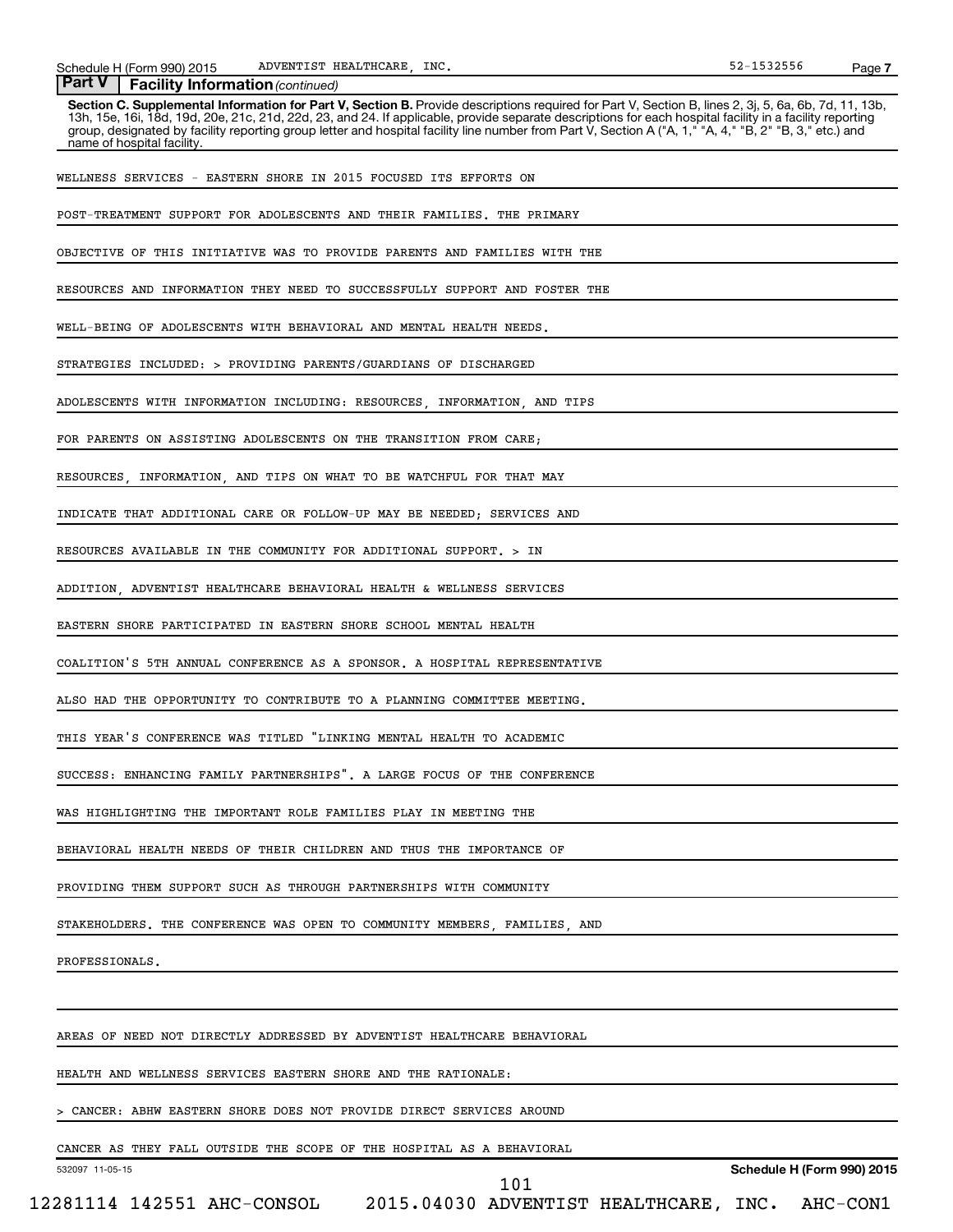**Part V** | Facility Information (continued)

Section C. Supplemental Information for Part V, Section B. Provide descriptions required for Part V, Section B, lines 2, 3j, 5, 6a, 6b, 7d, 11, 13b, 13h, 15e, 16i, 18d, 19d, 20e, 21c, 21d, 22d, 23, and 24. If applicable, provide separate descriptions for each hospital facility in a facility reporting group, designated by facility reporting group letter and hospital facility line number from Part V, Section A ("A, 1," "A, 4," "B, 2" "B, 3," etc.) and name of hospital facility.

WELLNESS SERVICES - EASTERN SHORE IN 2015 FOCUSED ITS EFFORTS ON

POST-TREATMENT SUPPORT FOR ADOLESCENTS AND THEIR FAMILIES. THE PRIMARY

OBJECTIVE OF THIS INITIATIVE WAS TO PROVIDE PARENTS AND FAMILIES WITH THE

RESOURCES AND INFORMATION THEY NEED TO SUCCESSFULLY SUPPORT AND FOSTER THE

WELL-BEING OF ADOLESCENTS WITH BEHAVIORAL AND MENTAL HEALTH NEEDS.

STRATEGIES INCLUDED: > PROVIDING PARENTS/GUARDIANS OF DISCHARGED

ADOLESCENTS WITH INFORMATION INCLUDING: RESOURCES, INFORMATION, AND TIPS

FOR PARENTS ON ASSISTING ADOLESCENTS ON THE TRANSITION FROM CARE;

RESOURCES, INFORMATION, AND TIPS ON WHAT TO BE WATCHFUL FOR THAT MAY

INDICATE THAT ADDITIONAL CARE OR FOLLOW-UP MAY BE NEEDED; SERVICES AND

RESOURCES AVAILABLE IN THE COMMUNITY FOR ADDITIONAL SUPPORT. > IN

ADDITION, ADVENTIST HEALTHCARE BEHAVIORAL HEALTH & WELLNESS SERVICES

EASTERN SHORE PARTICIPATED IN EASTERN SHORE SCHOOL MENTAL HEALTH

COALITION'S 5TH ANNUAL CONFERENCE AS A SPONSOR. A HOSPITAL REPRESENTATIVE

ALSO HAD THE OPPORTUNITY TO CONTRIBUTE TO A PLANNING COMMITTEE MEETING.

THIS YEAR'S CONFERENCE WAS TITLED "LINKING MENTAL HEALTH TO ACADEMIC

SUCCESS: ENHANCING FAMILY PARTNERSHIPS". A LARGE FOCUS OF THE CONFERENCE

WAS HIGHLIGHTING THE IMPORTANT ROLE FAMILIES PLAY IN MEETING THE

BEHAVIORAL HEALTH NEEDS OF THEIR CHILDREN AND THUS THE IMPORTANCE OF

PROVIDING THEM SUPPORT SUCH AS THROUGH PARTNERSHIPS WITH COMMUNITY

STAKEHOLDERS. THE CONFERENCE WAS OPEN TO COMMUNITY MEMBERS, FAMILIES, AND

PROFESSIONALS.

AREAS OF NEED NOT DIRECTLY ADDRESSED BY ADVENTIST HEALTHCARE BEHAVIORAL

HEALTH AND WELLNESS SERVICES EASTERN SHORE AND THE RATIONALE:

> CANCER: ABHW EASTERN SHORE DOES NOT PROVIDE DIRECT SERVICES AROUND

CANCER AS THEY FALL OUTSIDE THE SCOPE OF THE HOSPITAL AS A BEHAVIORAL

532097 11-05-15

**Schedule H (Form 990) 2015**

```
12281114 142551 AHC-CONSOL 2015.04030 ADVENTIST HEALTHCARE, INC. AHC-CON1
```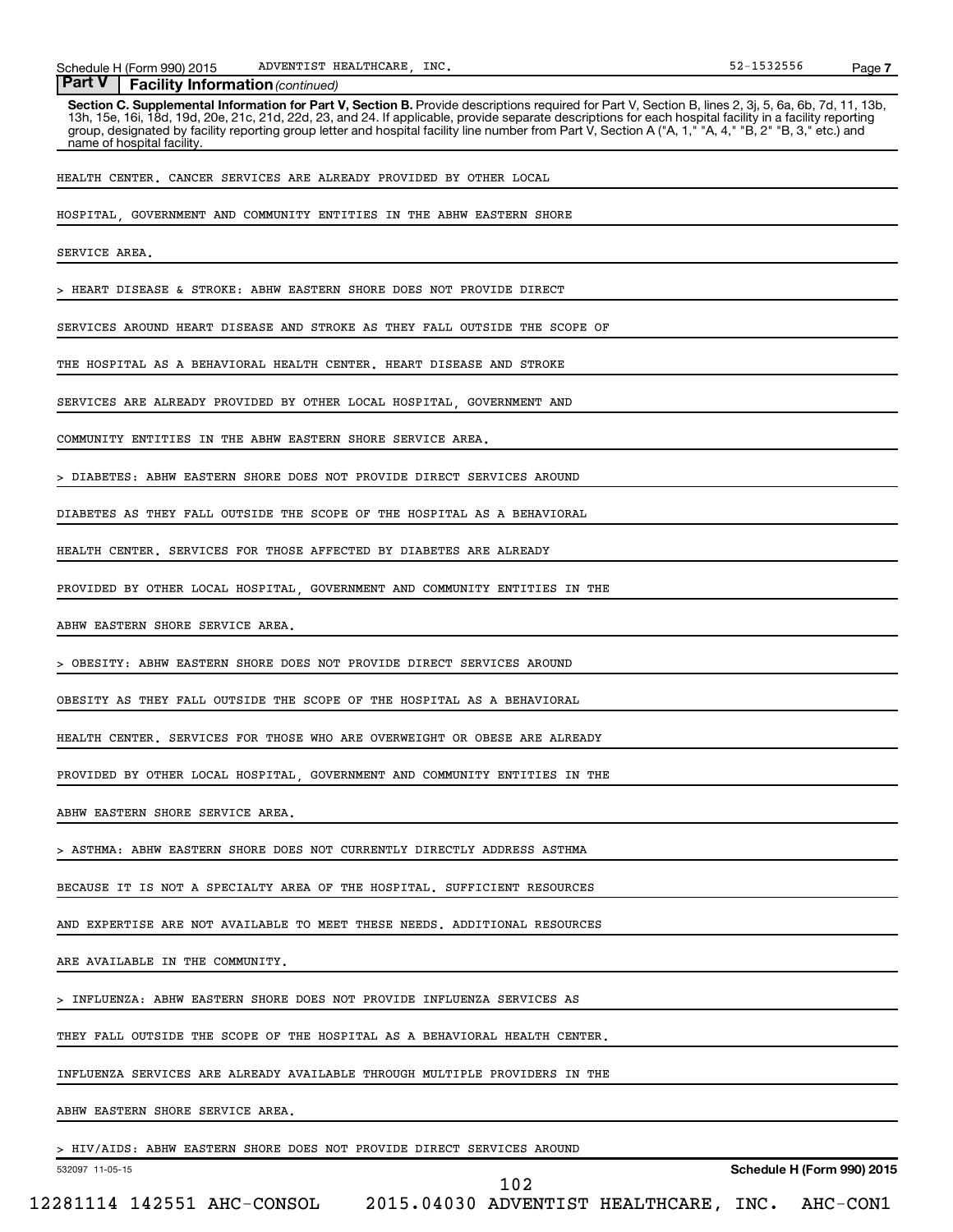Section C. Supplemental Information for Part V, Section B. Provide descriptions required for Part V, Section B, lines 2, 3j, 5, 6a, 6b, 7d, 11, 13b, 13h, 15e, 16i, 18d, 19d, 20e, 21c, 21d, 22d, 23, and 24. If applicable, provide separate descriptions for each hospital facility in a facility reporting group, designated by facility reporting group letter and hospital facility line number from Part V, Section A ("A, 1," "A, 4," "B, 2" "B, 3," etc.) and name of hospital facility.

HEALTH CENTER. CANCER SERVICES ARE ALREADY PROVIDED BY OTHER LOCAL

HOSPITAL, GOVERNMENT AND COMMUNITY ENTITIES IN THE ABHW EASTERN SHORE

SERVICE AREA

> HEART DISEASE & STROKE: ABHW EASTERN SHORE DOES NOT PROVIDE DIRECT

SERVICES AROUND HEART DISEASE AND STROKE AS THEY FALL OUTSIDE THE SCOPE OF

THE HOSPITAL AS A BEHAVIORAL HEALTH CENTER. HEART DISEASE AND STROKE

SERVICES ARE ALREADY PROVIDED BY OTHER LOCAL HOSPITAL, GOVERNMENT AND

COMMUNITY ENTITIES IN THE ABHW EASTERN SHORE SERVICE AREA.

> DIABETES: ABHW EASTERN SHORE DOES NOT PROVIDE DIRECT SERVICES AROUND

DIABETES AS THEY FALL OUTSIDE THE SCOPE OF THE HOSPITAL AS A BEHAVIORAL

HEALTH CENTER. SERVICES FOR THOSE AFFECTED BY DIABETES ARE ALREADY

PROVIDED BY OTHER LOCAL HOSPITAL, GOVERNMENT AND COMMUNITY ENTITIES IN THE

ABHW EASTERN SHORE SERVICE AREA.

> OBESITY: ABHW EASTERN SHORE DOES NOT PROVIDE DIRECT SERVICES AROUND

OBESITY AS THEY FALL OUTSIDE THE SCOPE OF THE HOSPITAL AS A BEHAVIORAL

HEALTH CENTER. SERVICES FOR THOSE WHO ARE OVERWEIGHT OR OBESE ARE ALREADY

PROVIDED BY OTHER LOCAL HOSPITAL, GOVERNMENT AND COMMUNITY ENTITIES IN THE

ABHW EASTERN SHORE SERVICE AREA.

> ASTHMA: ABHW EASTERN SHORE DOES NOT CURRENTLY DIRECTLY ADDRESS ASTHMA

BECAUSE IT IS NOT A SPECIALTY AREA OF THE HOSPITAL. SUFFICIENT RESOURCES

AND EXPERTISE ARE NOT AVAILABLE TO MEET THESE NEEDS. ADDITIONAL RESOURCES

ARE AVAILABLE IN THE COMMUNITY.

> INFLUENZA: ABHW EASTERN SHORE DOES NOT PROVIDE INFLUENZA SERVICES AS

THEY FALL OUTSIDE THE SCOPE OF THE HOSPITAL AS A BEHAVIORAL HEALTH CENTER.

INFLUENZA SERVICES ARE ALREADY AVAILABLE THROUGH MULTIPLE PROVIDERS IN THE

ABHW EASTERN SHORE SERVICE AREA.

> HIV/AIDS: ABHW EASTERN SHORE DOES NOT PROVIDE DIRECT SERVICES AROUND

532097 11-05-15

**Schedule H (Form 990) 2015**

12281114 142551 AHC-CONSOL 2015.04030 ADVENTIST HEALTHCARE, INC. AHC-CON1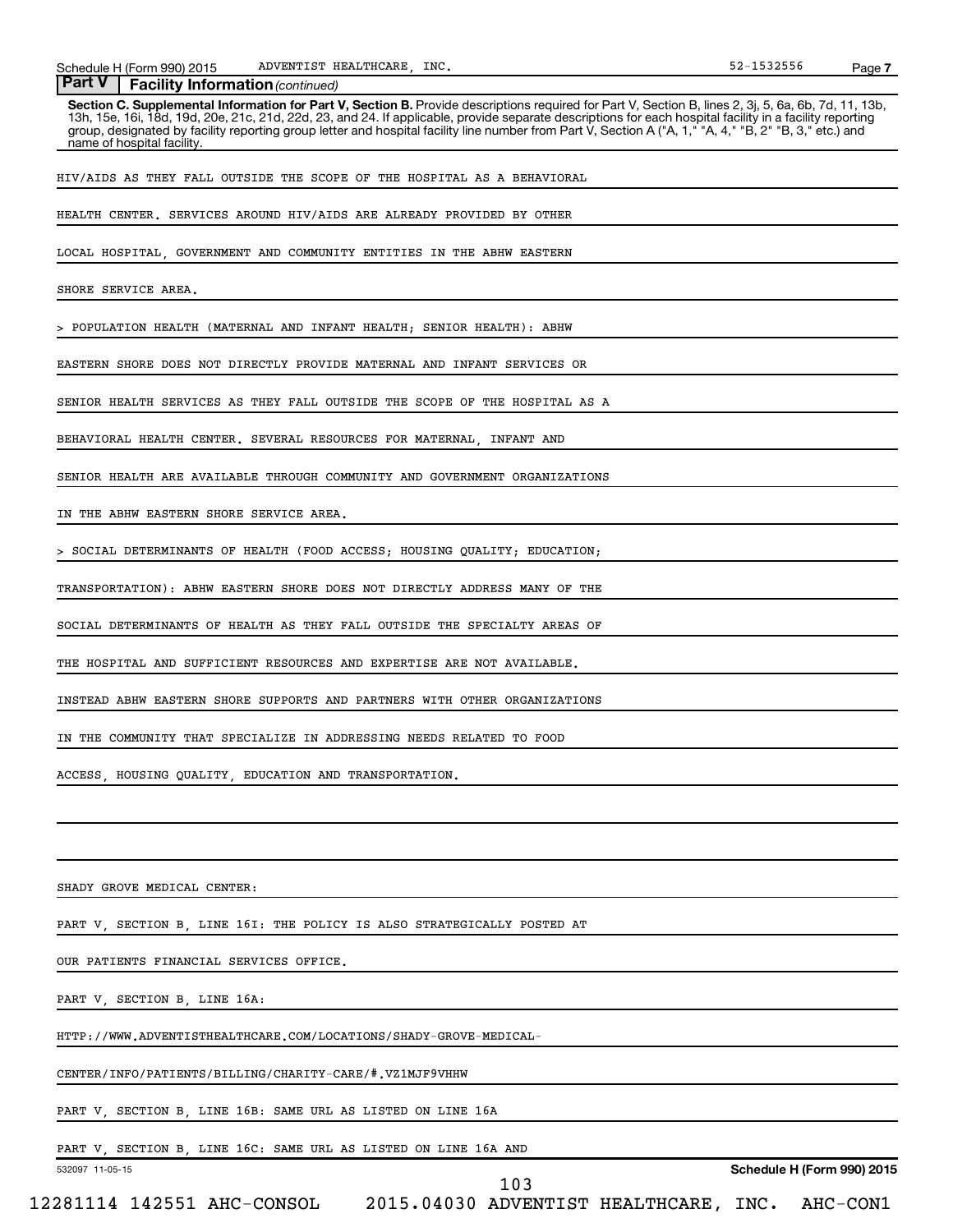name of hospital facility.

**7**

## 532097 11-05-15 **Schedule H (Form 990) 2015** HIV/AIDS AS THEY FALL OUTSIDE THE SCOPE OF THE HOSPITAL AS A BEHAVIORAL HEALTH CENTER. SERVICES AROUND HIV/AIDS ARE ALREADY PROVIDED BY OTHER LOCAL HOSPITAL, GOVERNMENT AND COMMUNITY ENTITIES IN THE ABHW EASTERN SHORE SERVICE AREA. > POPULATION HEALTH (MATERNAL AND INFANT HEALTH; SENIOR HEALTH): ABHW EASTERN SHORE DOES NOT DIRECTLY PROVIDE MATERNAL AND INFANT SERVICES OR SENIOR HEALTH SERVICES AS THEY FALL OUTSIDE THE SCOPE OF THE HOSPITAL AS A BEHAVIORAL HEALTH CENTER. SEVERAL RESOURCES FOR MATERNAL, INFANT AND SENIOR HEALTH ARE AVAILABLE THROUGH COMMUNITY AND GOVERNMENT ORGANIZATIONS IN THE ABHW EASTERN SHORE SERVICE AREA. > SOCIAL DETERMINANTS OF HEALTH (FOOD ACCESS; HOUSING QUALITY; EDUCATION; TRANSPORTATION): ABHW EASTERN SHORE DOES NOT DIRECTLY ADDRESS MANY OF THE SOCIAL DETERMINANTS OF HEALTH AS THEY FALL OUTSIDE THE SPECIALTY AREAS OF THE HOSPITAL AND SUFFICIENT RESOURCES AND EXPERTISE ARE NOT AVAILABLE. INSTEAD ABHW EASTERN SHORE SUPPORTS AND PARTNERS WITH OTHER ORGANIZATIONS IN THE COMMUNITY THAT SPECIALIZE IN ADDRESSING NEEDS RELATED TO FOOD ACCESS, HOUSING QUALITY, EDUCATION AND TRANSPORTATION. SHADY GROVE MEDICAL CENTER: PART V, SECTION B, LINE 16I: THE POLICY IS ALSO STRATEGICALLY POSTED AT OUR PATIENTS FINANCIAL SERVICES OFFICE. PART V SECTION B LINE 16A: HTTP://WWW.ADVENTISTHEALTHCARE.COM/LOCATIONS/SHADY-GROVE-MEDICAL-CENTER/INFO/PATIENTS/BILLING/CHARITY-CARE/#.VZ1MJF9VHHW PART V, SECTION B, LINE 16B: SAME URL AS LISTED ON LINE 16A PART V, SECTION B, LINE 16C: SAME URL AS LISTED ON LINE 16A AND 12281114 142551 AHC-CONSOL 2015.04030 ADVENTIST HEALTHCARE, INC. AHC-CON1 103

Section C. Supplemental Information for Part V, Section B. Provide descriptions required for Part V, Section B, lines 2, 3j, 5, 6a, 6b, 7d, 11, 13b,

13h, 15e, 16i, 18d, 19d, 20e, 21c, 21d, 22d, 23, and 24. If applicable, provide separate descriptions for each hospital facility in a facility reporting group, designated by facility reporting group letter and hospital facility line number from Part V, Section A ("A, 1," "A, 4," "B, 2" "B, 3," etc.) and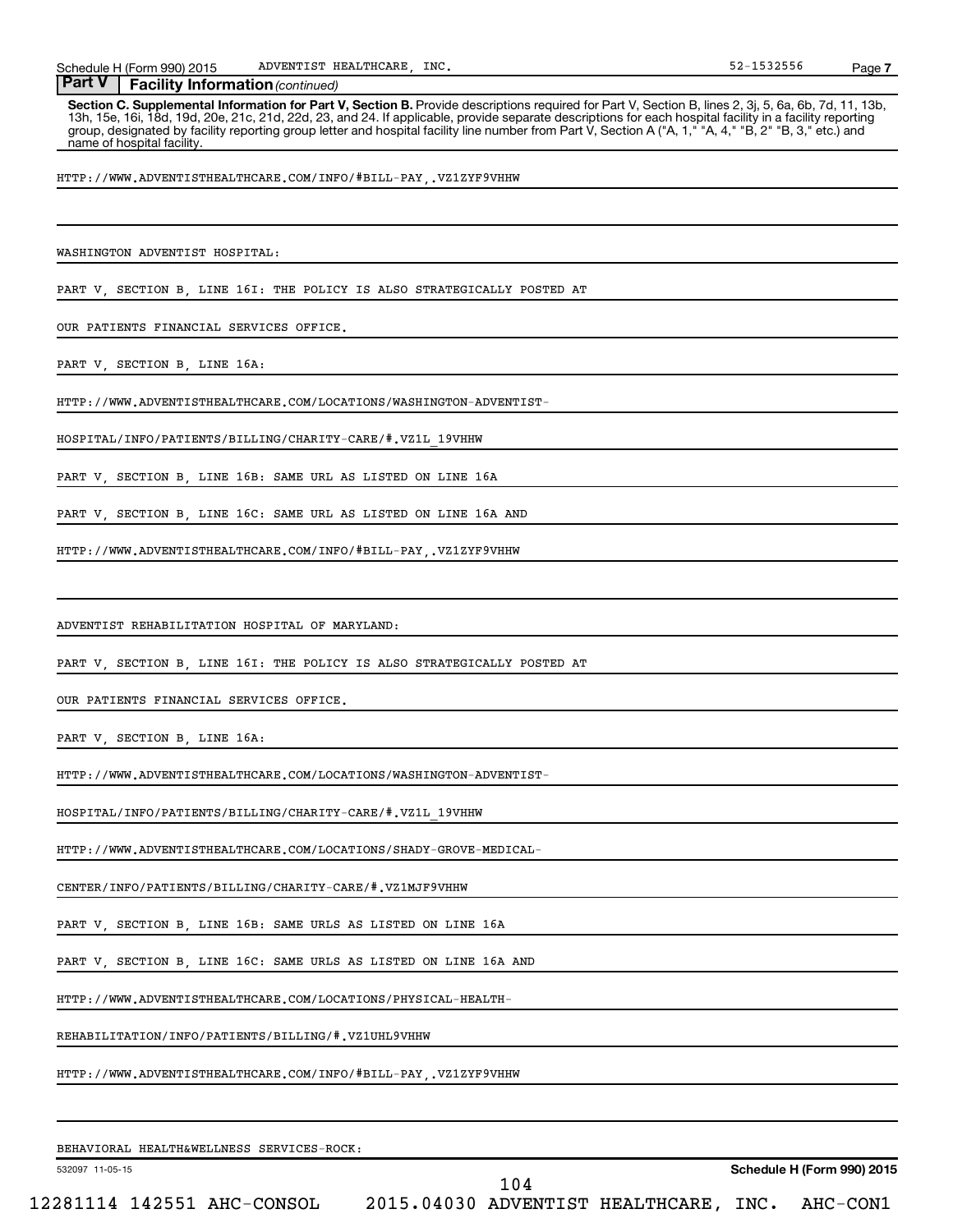### **Part V** | Facility Information (continued)

Section C. Supplemental Information for Part V, Section B. Provide descriptions required for Part V, Section B, lines 2, 3j, 5, 6a, 6b, 7d, 11, 13b, 13h, 15e, 16i, 18d, 19d, 20e, 21c, 21d, 22d, 23, and 24. If applicable, provide separate descriptions for each hospital facility in a facility reporting group, designated by facility reporting group letter and hospital facility line number from Part V, Section A ("A, 1," "A, 4," "B, 2" "B, 3," etc.) and name of hospital facility.

HTTP://WWW.ADVENTISTHEALTHCARE.COM/INFO/#BILL-PAY,.VZ1ZYF9VHHW

WASHINGTON ADVENTIST HOSPITAL:

PART V, SECTION B, LINE 16I: THE POLICY IS ALSO STRATEGICALLY POSTED AT

OUR PATIENTS FINANCIAL SERVICES OFFICE.

PART V, SECTION B, LINE 16A:

HTTP://WWW.ADVENTISTHEALTHCARE.COM/LOCATIONS/WASHINGTON-ADVENTIST-

HOSPITAL/INFO/PATIENTS/BILLING/CHARITY-CARE/#.VZ1L\_19VHHW

PART V, SECTION B, LINE 16B: SAME URL AS LISTED ON LINE 16A

PART V, SECTION B, LINE 16C: SAME URL AS LISTED ON LINE 16A AND

HTTP://WWW.ADVENTISTHEALTHCARE.COM/INFO/#BILL-PAY,.VZ1ZYF9VHHW

ADVENTIST REHABILITATION HOSPITAL OF MARYLAND:

PART V, SECTION B, LINE 16I: THE POLICY IS ALSO STRATEGICALLY POSTED AT

OUR PATIENTS FINANCIAL SERVICES OFFICE.

PART V, SECTION B, LINE 16A:

HTTP://WWW.ADVENTISTHEALTHCARE.COM/LOCATIONS/WASHINGTON-ADVENTIST-

HOSPITAL/INFO/PATIENTS/BILLING/CHARITY-CARE/#.VZ1L\_19VHHW

HTTP://WWW.ADVENTISTHEALTHCARE.COM/LOCATIONS/SHADY-GROVE-MEDICAL-

CENTER/INFO/PATIENTS/BILLING/CHARITY-CARE/#.VZ1MJF9VHHW

PART V, SECTION B, LINE 16B: SAME URLS AS LISTED ON LINE 16A

PART V, SECTION B, LINE 16C: SAME URLS AS LISTED ON LINE 16A AND

HTTP://WWW.ADVENTISTHEALTHCARE.COM/LOCATIONS/PHYSICAL-HEALTH-

REHABILITATION/INFO/PATIENTS/BILLING/#.VZ1UHL9VHHW

HTTP://WWW.ADVENTISTHEALTHCARE.COM/INFO/#BILL-PAY,.VZ1ZYF9VHHW

BEHAVIORAL HEALTH&WELLNESS SERVICES-ROCK:

532097 11-05-15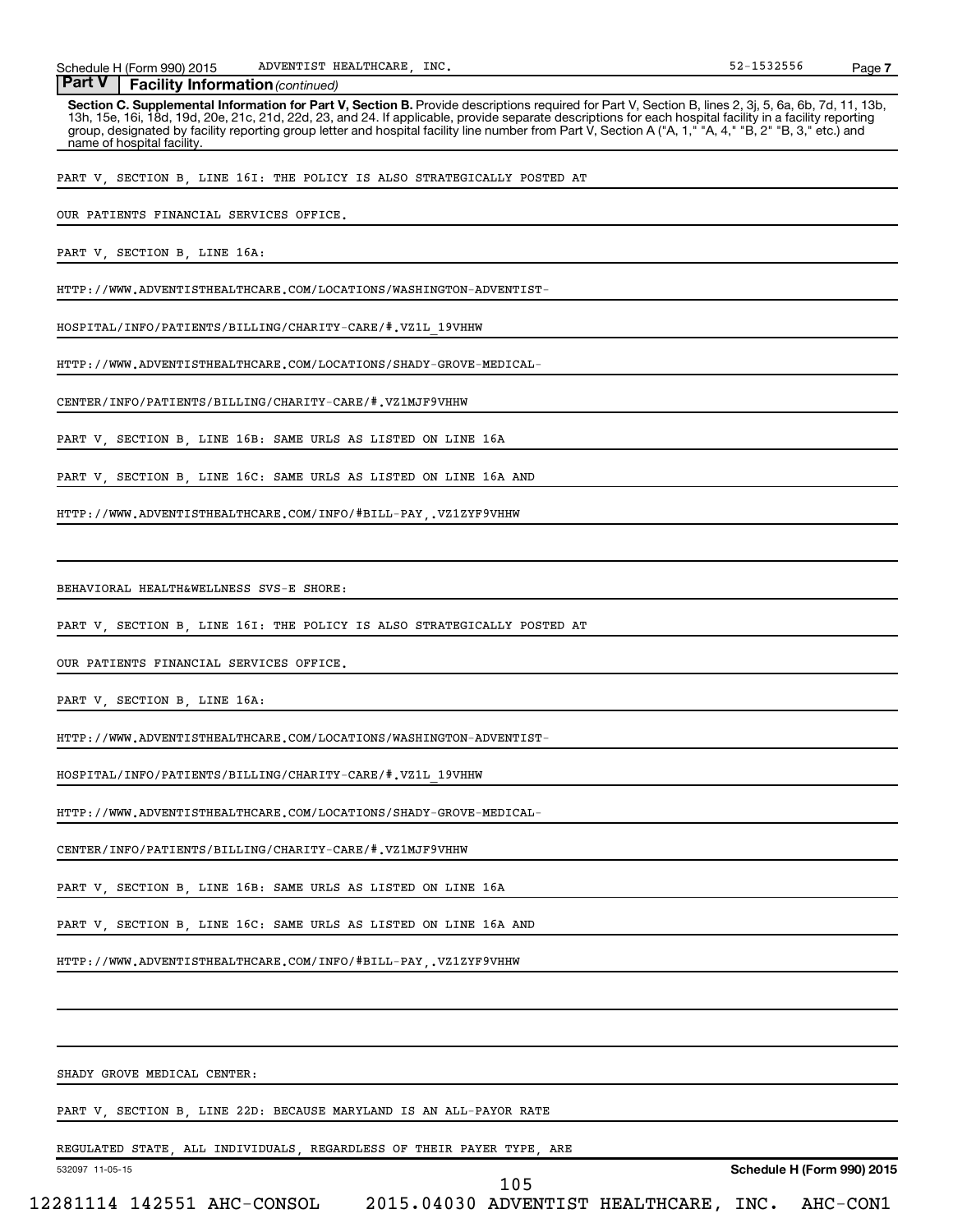### **Part V** | Facility Information (continued)

Section C. Supplemental Information for Part V, Section B. Provide descriptions required for Part V, Section B, lines 2, 3j, 5, 6a, 6b, 7d, 11, 13b, 13h, 15e, 16i, 18d, 19d, 20e, 21c, 21d, 22d, 23, and 24. If applicable, provide separate descriptions for each hospital facility in a facility reporting group, designated by facility reporting group letter and hospital facility line number from Part V, Section A ("A, 1," "A, 4," "B, 2" "B, 3," etc.) and name of hospital facility.

PART V, SECTION B, LINE 16I: THE POLICY IS ALSO STRATEGICALLY POSTED AT

OUR PATIENTS FINANCIAL SERVICES OFFICE.

PART V, SECTION B, LINE 16A:

HTTP://WWW.ADVENTISTHEALTHCARE.COM/LOCATIONS/WASHINGTON-ADVENTIST-

HOSPITAL/INFO/PATIENTS/BILLING/CHARITY-CARE/#.VZ1L\_19VHHW

HTTP://WWW.ADVENTISTHEALTHCARE.COM/LOCATIONS/SHADY-GROVE-MEDICAL-

CENTER/INFO/PATIENTS/BILLING/CHARITY-CARE/#.VZ1MJF9VHHW

PART V, SECTION B, LINE 16B: SAME URLS AS LISTED ON LINE 16A

PART V, SECTION B, LINE 16C: SAME URLS AS LISTED ON LINE 16A AND

HTTP://WWW.ADVENTISTHEALTHCARE.COM/INFO/#BILL-PAY,.VZ1ZYF9VHHW

BEHAVIORAL HEALTH&WELLNESS SVS-E SHORE:

PART V, SECTION B, LINE 16I: THE POLICY IS ALSO STRATEGICALLY POSTED AT

OUR PATIENTS FINANCIAL SERVICES OFFICE.

PART V, SECTION B, LINE 16A:

HTTP://WWW.ADVENTISTHEALTHCARE.COM/LOCATIONS/WASHINGTON-ADVENTIST-

HOSPITAL/INFO/PATIENTS/BILLING/CHARITY-CARE/#.VZ1L\_19VHHW

HTTP://WWW.ADVENTISTHEALTHCARE.COM/LOCATIONS/SHADY-GROVE-MEDICAL-

CENTER/INFO/PATIENTS/BILLING/CHARITY-CARE/#.VZ1MJF9VHHW

PART V, SECTION B, LINE 16B: SAME URLS AS LISTED ON LINE 16A

PART V, SECTION B, LINE 16C: SAME URLS AS LISTED ON LINE 16A AND

HTTP://WWW.ADVENTISTHEALTHCARE.COM/INFO/#BILL-PAY,.VZ1ZYF9VHHW

SHADY GROVE MEDICAL CENTER:

PART V, SECTION B, LINE 22D: BECAUSE MARYLAND IS AN ALL-PAYOR RATE

REGULATED STATE, ALL INDIVIDUALS, REGARDLESS OF THEIR PAYER TYPE, ARE

532097 11-05-15

105

**Schedule H (Form 990) 2015**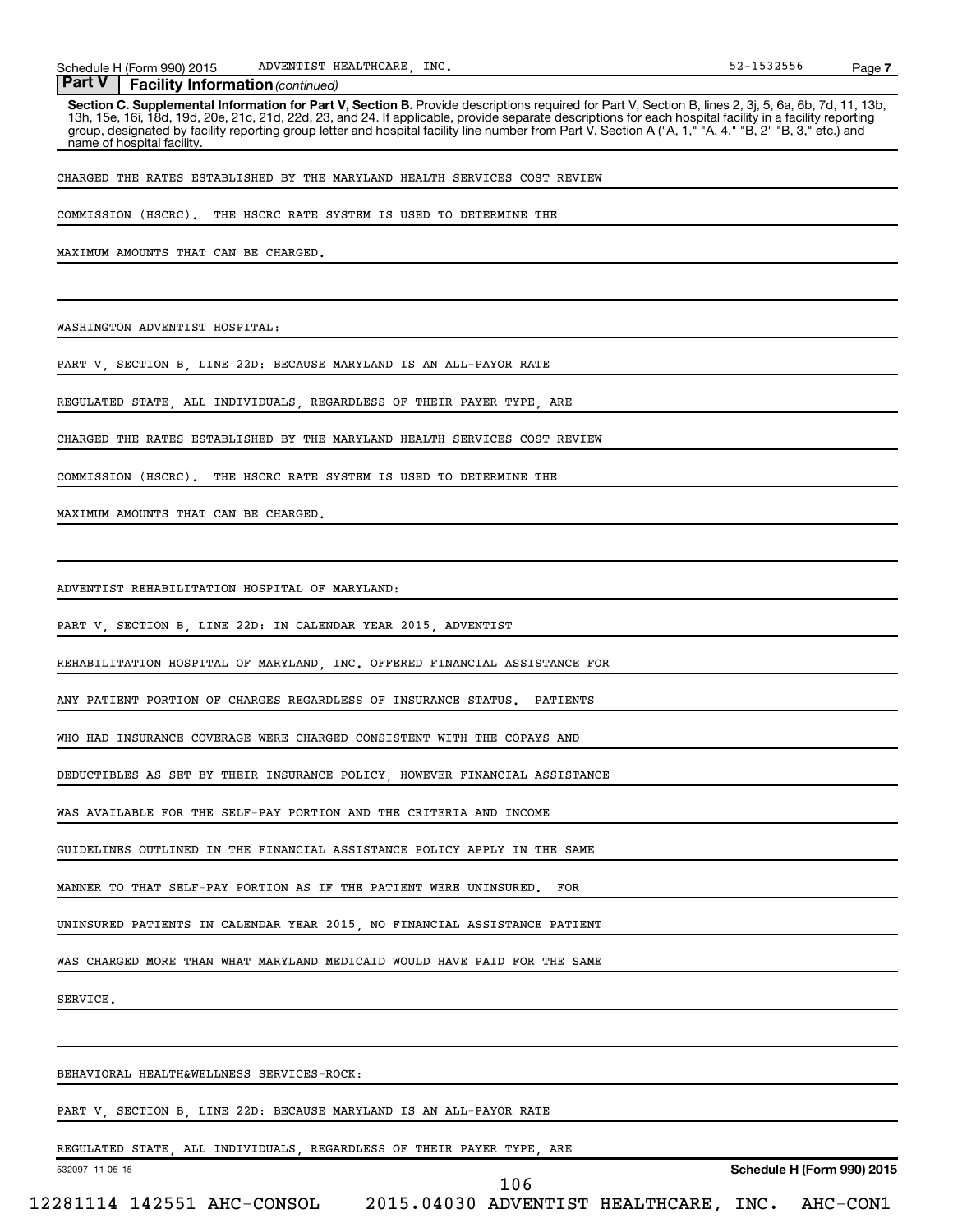### **Part V** | Facility Information (continued)

Section C. Supplemental Information for Part V, Section B. Provide descriptions required for Part V, Section B, lines 2, 3j, 5, 6a, 6b, 7d, 11, 13b, 13h, 15e, 16i, 18d, 19d, 20e, 21c, 21d, 22d, 23, and 24. If applicable, provide separate descriptions for each hospital facility in a facility reporting group, designated by facility reporting group letter and hospital facility line number from Part V, Section A ("A, 1," "A, 4," "B, 2" "B, 3," etc.) and name of hospital facility.

CHARGED THE RATES ESTABLISHED BY THE MARYLAND HEALTH SERVICES COST REVIEW

COMMISSION (HSCRC). THE HSCRC RATE SYSTEM IS USED TO DETERMINE THE

MAXIMUM AMOUNTS THAT CAN BE CHARGED.

WASHINGTON ADVENTIST HOSPITAL:

PART V, SECTION B, LINE 22D: BECAUSE MARYLAND IS AN ALL-PAYOR RATE

REGULATED STATE, ALL INDIVIDUALS, REGARDLESS OF THEIR PAYER TYPE, ARE

CHARGED THE RATES ESTABLISHED BY THE MARYLAND HEALTH SERVICES COST REVIEW

COMMISSION (HSCRC). THE HSCRC RATE SYSTEM IS USED TO DETERMINE THE

MAXIMUM AMOUNTS THAT CAN BE CHARGED.

ADVENTIST REHABILITATION HOSPITAL OF MARYLAND:

PART V, SECTION B, LINE 22D: IN CALENDAR YEAR 2015, ADVENTIST

REHABILITATION HOSPITAL OF MARYLAND INC. OFFERED FINANCIAL ASSISTANCE FOR

ANY PATIENT PORTION OF CHARGES REGARDLESS OF INSURANCE STATUS. PATIENTS

WHO HAD INSURANCE COVERAGE WERE CHARGED CONSISTENT WITH THE COPAYS AND

DEDUCTIBLES AS SET BY THEIR INSURANCE POLICY, HOWEVER FINANCIAL ASSISTANCE

WAS AVAILABLE FOR THE SELF-PAY PORTION AND THE CRITERIA AND INCOME

GUIDELINES OUTLINED IN THE FINANCIAL ASSISTANCE POLICY APPLY IN THE SAME

MANNER TO THAT SELF-PAY PORTION AS IF THE PATIENT WERE UNINSURED. FOR

UNINSURED PATIENTS IN CALENDAR YEAR 2015, NO FINANCIAL ASSISTANCE PATIENT

WAS CHARGED MORE THAN WHAT MARYLAND MEDICAID WOULD HAVE PAID FOR THE SAME

SERVICE.

BEHAVIORAL HEALTH&WELLNESS SERVICES-ROCK:

PART V, SECTION B, LINE 22D: BECAUSE MARYLAND IS AN ALL-PAYOR RATE

REGULATED STATE, ALL INDIVIDUALS, REGARDLESS OF THEIR PAYER TYPE, ARE

532097 11-05-15

106

**Schedule H (Form 990) 2015**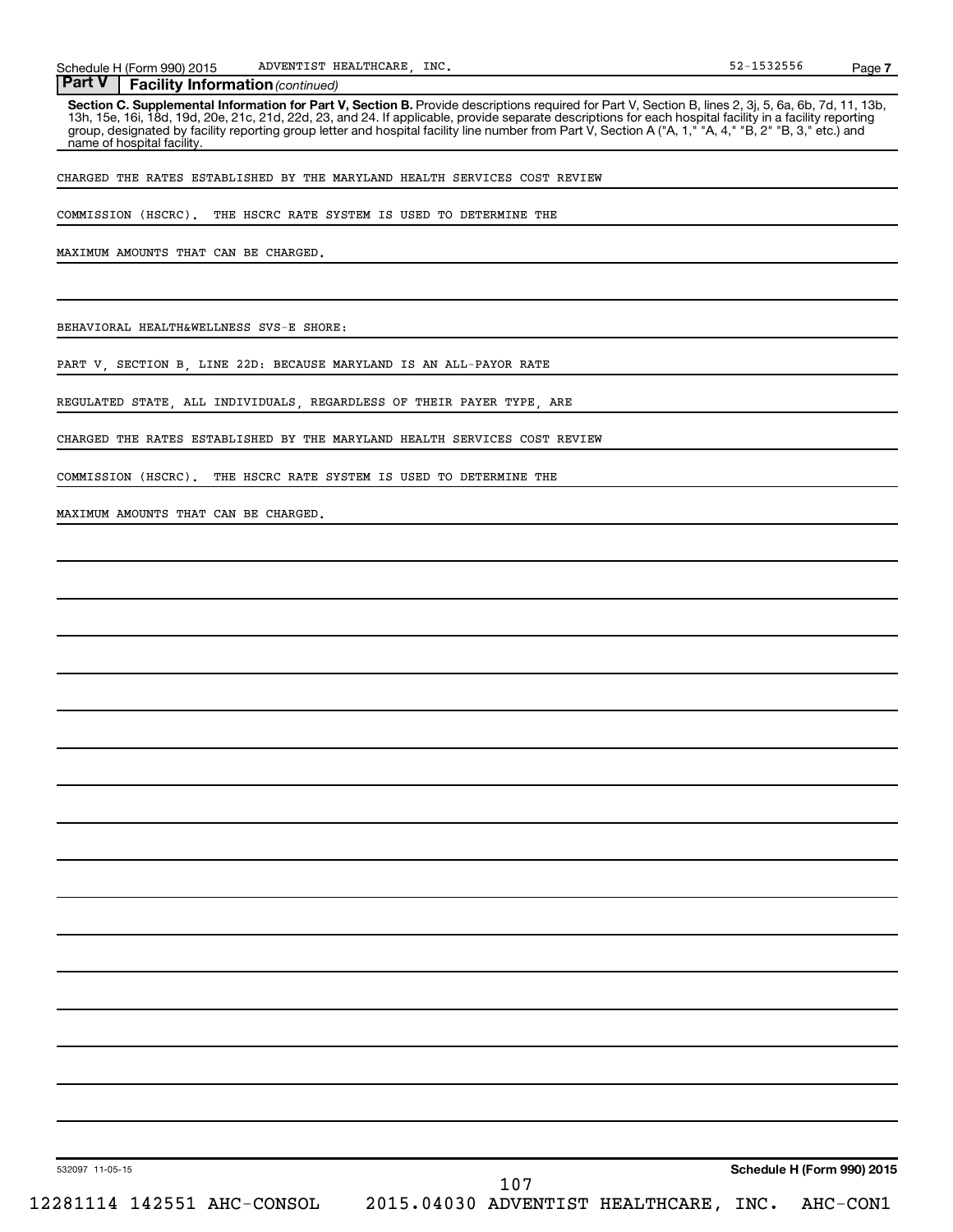### **Part V** | Facility Information (continued)

Section C. Supplemental Information for Part V, Section B. Provide descriptions required for Part V, Section B, lines 2, 3j, 5, 6a, 6b, 7d, 11, 13b, 13h, 15e, 16i, 18d, 19d, 20e, 21c, 21d, 22d, 23, and 24. If applicable, provide separate descriptions for each hospital facility in a facility reporting group, designated by facility reporting group letter and hospital facility line number from Part V, Section A ("A, 1," "A, 4," "B, 2" "B, 3," etc.) and name of hospital facility.

CHARGED THE RATES ESTABLISHED BY THE MARYLAND HEALTH SERVICES COST REVIEW

COMMISSION (HSCRC). THE HSCRC RATE SYSTEM IS USED TO DETERMINE THE

MAXIMUM AMOUNTS THAT CAN BE CHARGED.

BEHAVIORAL HEALTH&WELLNESS SVS-E SHORE:

PART V, SECTION B, LINE 22D: BECAUSE MARYLAND IS AN ALL-PAYOR RATE

REGULATED STATE, ALL INDIVIDUALS, REGARDLESS OF THEIR PAYER TYPE, ARE

CHARGED THE RATES ESTABLISHED BY THE MARYLAND HEALTH SERVICES COST REVIEW

COMMISSION (HSCRC). THE HSCRC RATE SYSTEM IS USED TO DETERMINE THE

MAXIMUM AMOUNTS THAT CAN BE CHARGED.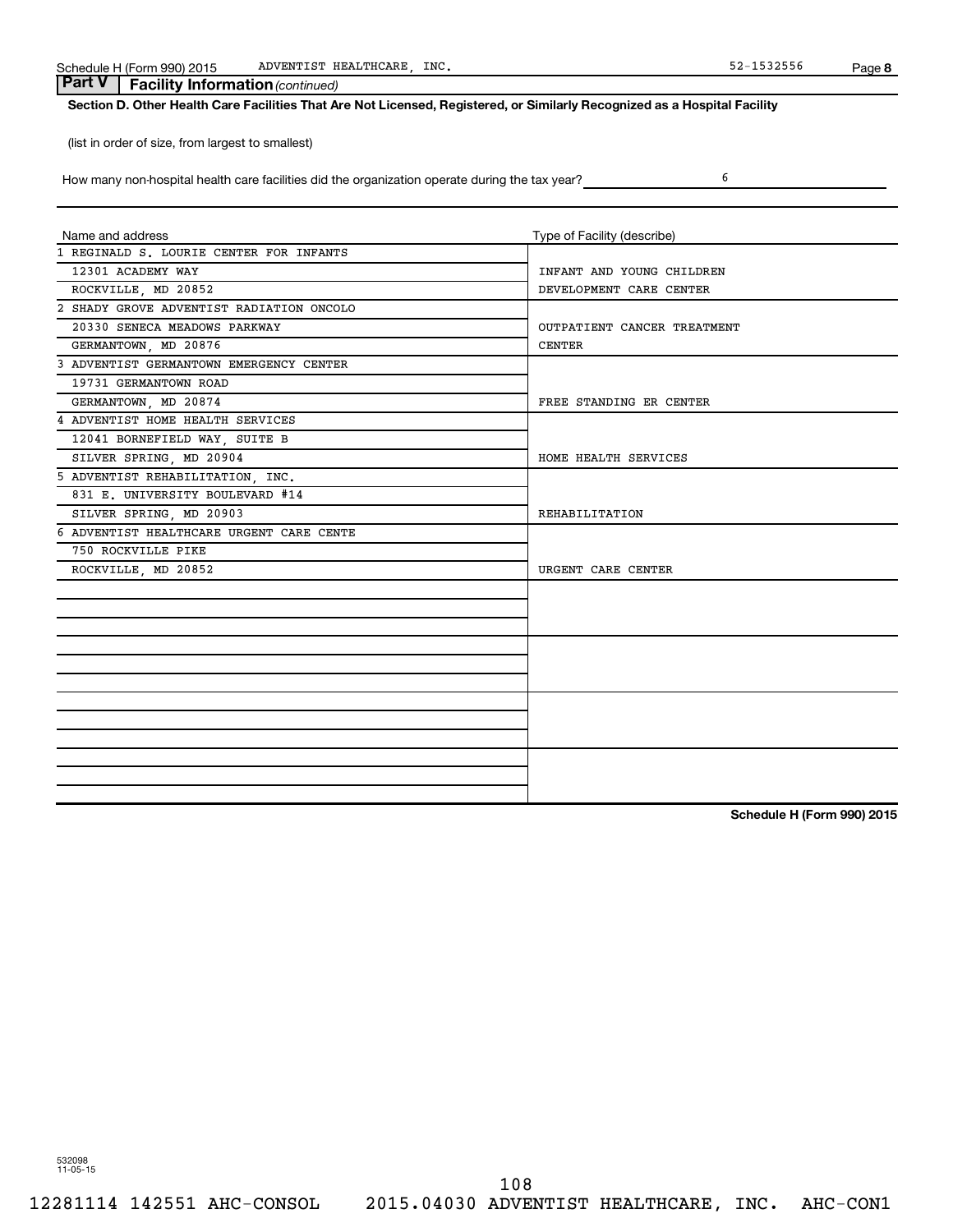#### **Section D. Other Health Care Facilities That Are Not Licensed, Registered, or Similarly Recognized as a Hospital Facility**

(list in order of size, from largest to smallest)

How many non-hospital health care facilities did the organization operate during the tax year?

| Name and address                         | Type of Facility (describe) |
|------------------------------------------|-----------------------------|
| 1 REGINALD S. LOURIE CENTER FOR INFANTS  |                             |
| 12301 ACADEMY WAY                        | INFANT AND YOUNG CHILDREN   |
| ROCKVILLE, MD 20852                      | DEVELOPMENT CARE CENTER     |
| 2 SHADY GROVE ADVENTIST RADIATION ONCOLO |                             |
| 20330 SENECA MEADOWS PARKWAY             | OUTPATIENT CANCER TREATMENT |
| GERMANTOWN, MD 20876                     | CENTER                      |
| 3 ADVENTIST GERMANTOWN EMERGENCY CENTER  |                             |
| 19731 GERMANTOWN ROAD                    |                             |
| GERMANTOWN, MD 20874                     | FREE STANDING ER CENTER     |
| 4 ADVENTIST HOME HEALTH SERVICES         |                             |
| 12041 BORNEFIELD WAY, SUITE B            |                             |
| SILVER SPRING, MD 20904                  | HOME HEALTH SERVICES        |
| 5 ADVENTIST REHABILITATION, INC.         |                             |
| 831 E. UNIVERSITY BOULEVARD #14          |                             |
| SILVER SPRING, MD 20903                  | REHABILITATION              |
| 6 ADVENTIST HEALTHCARE URGENT CARE CENTE |                             |
| 750 ROCKVILLE PIKE                       |                             |
| ROCKVILLE, MD 20852                      | URGENT CARE CENTER          |
|                                          |                             |
|                                          |                             |
|                                          |                             |
|                                          |                             |
|                                          |                             |
|                                          |                             |
|                                          |                             |
|                                          |                             |
|                                          |                             |
|                                          |                             |
|                                          |                             |
|                                          |                             |

**Schedule H (Form 990) 2015**

6

532098 11-05-15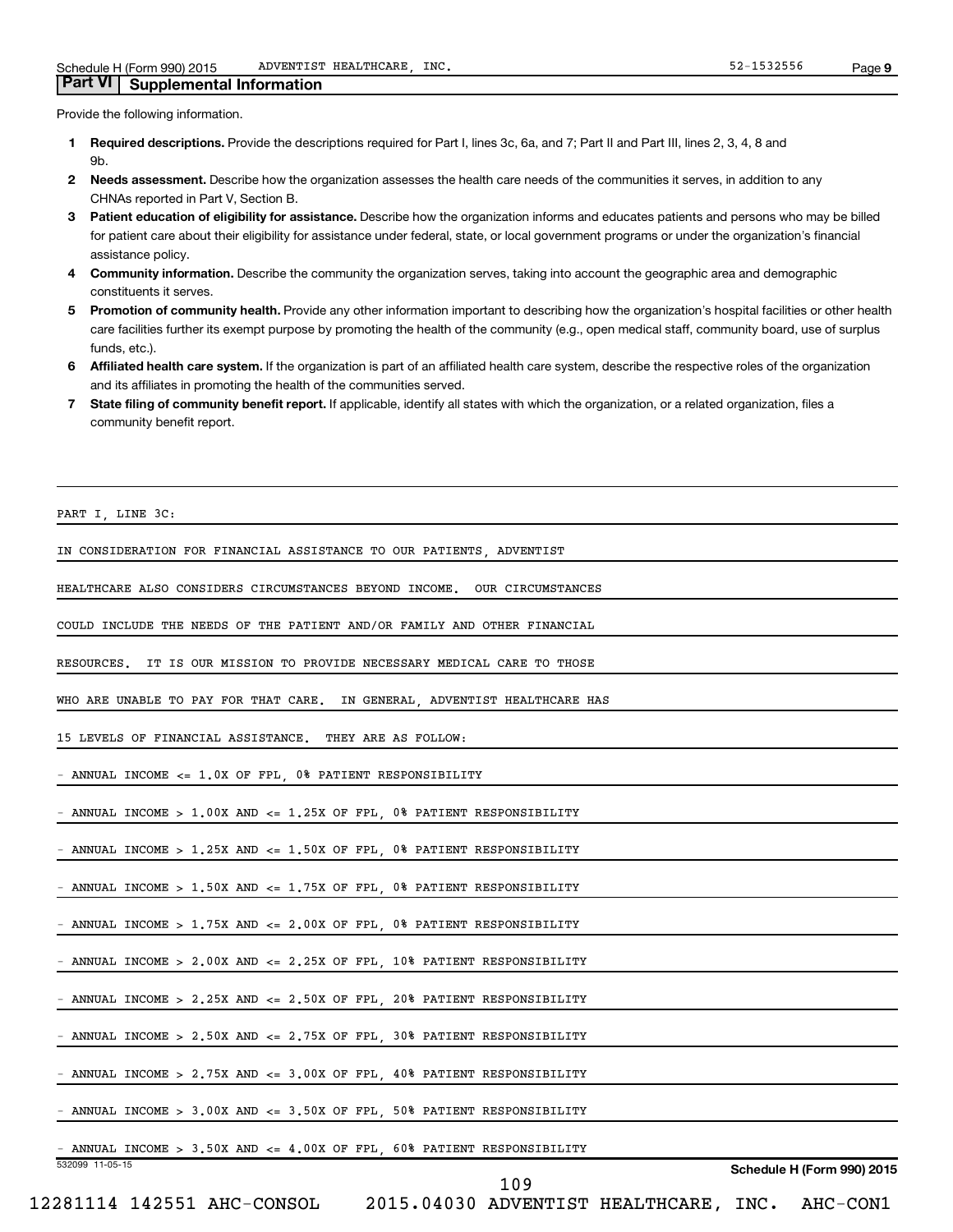Provide the following information.

- **1 Required descriptions.** Provide the descriptions required for Part I, lines 3c, 6a, and 7; Part II and Part III, lines 2, 3, 4, 8 and 9b.
- **2** Needs assessment. Describe how the organization assesses the health care needs of the communities it serves, in addition to any CHNAs reported in Part V, Section B.
- **3 Patient education of eligibility for assistance.** Describe how the organization informs and educates patients and persons who may be billed for patient care about their eligibility for assistance under federal, state, or local government programs or under the organization's financial assistance policy.
- **4 Community information.** Describe the community the organization serves, taking into account the geographic area and demographic constituents it serves.
- 5 Promotion of community health. Provide any other information important to describing how the organization's hospital facilities or other health care facilities further its exempt purpose by promoting the health of the community (e.g., open medical staff, community board, use of surplus funds, etc.).
- **6 Affiliated health care system.** If the organization is part of an affiliated health care system, describe the respective roles of the organization and its affiliates in promoting the health of the communities served.
- **7** State filing of community benefit report. If applicable, identify all states with which the organization, or a related organization, files a community benefit report.

PART I, LINE 3C:

IN CONSIDERATION FOR FINANCIAL ASSISTANCE TO OUR PATIENTS, ADVENTIST

HEALTHCARE ALSO CONSIDERS CIRCUMSTANCES BEYOND INCOME. OUR CIRCUMSTANCES

COULD INCLUDE THE NEEDS OF THE PATIENT AND/OR FAMILY AND OTHER FINANCIAL

RESOURCES. IT IS OUR MISSION TO PROVIDE NECESSARY MEDICAL CARE TO THOSE

WHO ARE UNABLE TO PAY FOR THAT CARE. IN GENERAL, ADVENTIST HEALTHCARE HAS

15 LEVELS OF FINANCIAL ASSISTANCE. THEY ARE AS FOLLOW:

ANNUAL INCOME <= 1.0X OF FPL, 0% PATIENT RESPONSIBILITY

ANNUAL INCOME >  $1.00X$  AND <= 1.25X OF FPL, 0% PATIENT RESPONSIBILITY

ANNUAL INCOME >  $1.25X$  AND <=  $1.50X$  OF FPL, 0% PATIENT RESPONSIBILITY

ANNUAL INCOME >  $1.50X$  AND <=  $1.75X$  OF FPL, 0% PATIENT RESPONSIBILITY

ANNUAL INCOME >  $1.75X$  AND <=  $2.00X$  OF FPL, 0% PATIENT RESPONSIBILITY

ANNUAL INCOME >  $2.00X$  AND <=  $2.25X$  OF FPL, 10% PATIENT RESPONSIBILITY

ANNUAL INCOME >  $2.25X$  AND <=  $2.50X$  OF FPL, 20% PATIENT RESPONSIBILITY

ANNUAL INCOME >  $2.50X$  AND <=  $2.75X$  OF FPL, 30% PATIENT RESPONSIBILITY

ANNUAL INCOME >  $2.75X$  AND <=  $3.00X$  OF FPL, 40% PATIENT RESPONSIBILITY

ANNUAL INCOME >  $3.00X$  AND <=  $3.50X$  OF FPL,  $50\$  PATIENT RESPONSIBILITY

532099 11-05-15 ANNUAL INCOME >  $3.50X$  AND <=  $4.00X$  OF FPL, 60% PATIENT RESPONSIBILITY

**Schedule H (Form 990) 2015**

109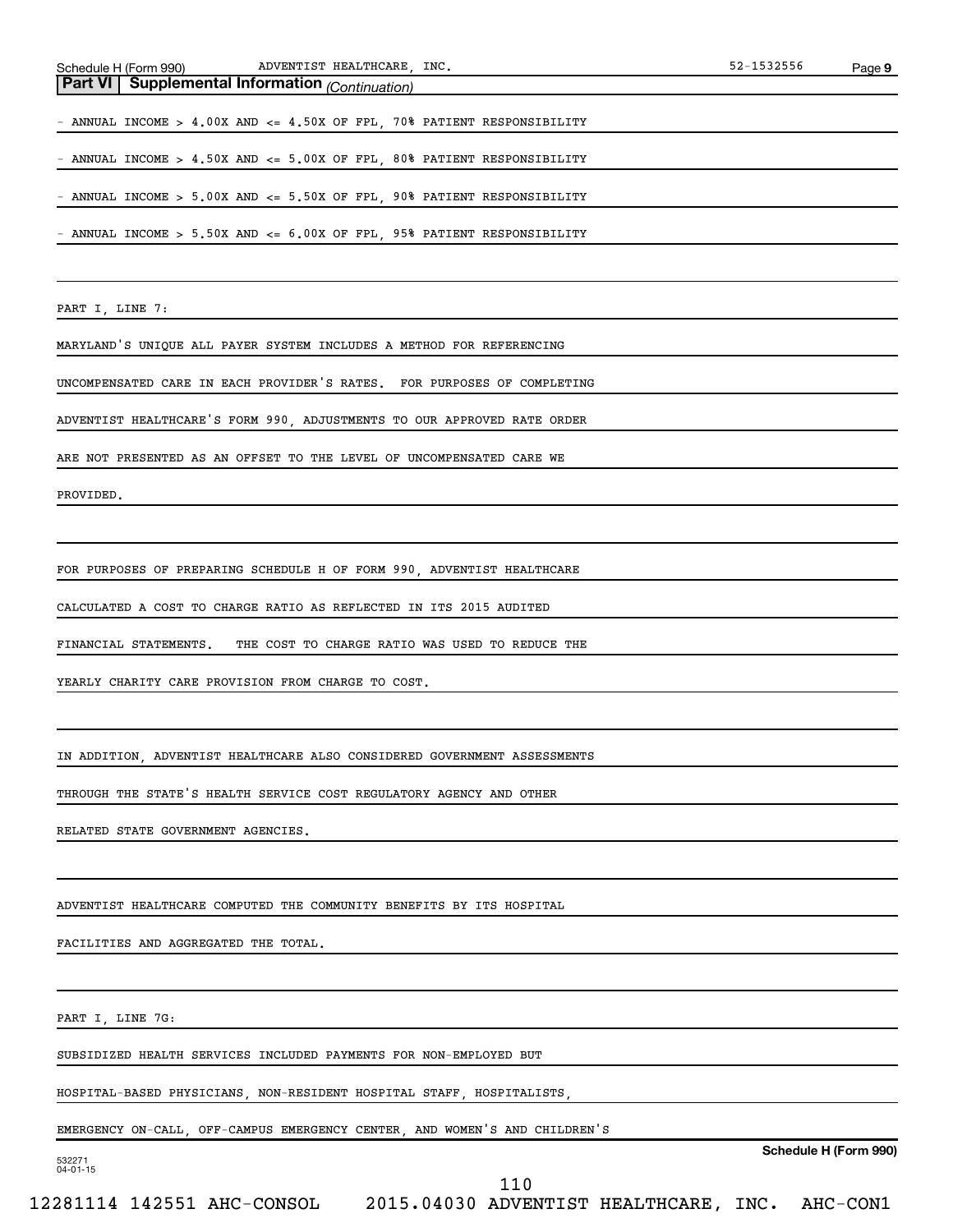Schedule H (Form 990) Page ADVENTIST HEALTHCARE, INC. 52-1532556

**Part VI Supplemental Information** *(Continuation)*

ANNUAL INCOME >  $4.00X$  AND <=  $4.50X$  OF FPL, 70% PATIENT RESPONSIBILITY

ANNUAL INCOME >  $4.50X$  AND <=  $5.00X$  OF FPL, 80% PATIENT RESPONSIBILITY

ANNUAL INCOME >  $5.00X$  AND <=  $5.50X$  OF FPL, 90% PATIENT RESPONSIBILITY

ANNUAL INCOME >  $5.50X$  AND <=  $6.00X$  OF FPL, 95% PATIENT RESPONSIBILITY

PART I, LINE 7:

MARYLAND'S UNIQUE ALL PAYER SYSTEM INCLUDES A METHOD FOR REFERENCING

UNCOMPENSATED CARE IN EACH PROVIDER'S RATES. FOR PURPOSES OF COMPLETING

ADVENTIST HEALTHCARE'S FORM 990, ADJUSTMENTS TO OUR APPROVED RATE ORDER

ARE NOT PRESENTED AS AN OFFSET TO THE LEVEL OF UNCOMPENSATED CARE WE

PROVIDED.

FOR PURPOSES OF PREPARING SCHEDULE H OF FORM 990, ADVENTIST HEALTHCARE

CALCULATED A COST TO CHARGE RATIO AS REFLECTED IN ITS 2015 AUDITED

FINANCIAL STATEMENTS. THE COST TO CHARGE RATIO WAS USED TO REDUCE THE

YEARLY CHARITY CARE PROVISION FROM CHARGE TO COST.

IN ADDITION, ADVENTIST HEALTHCARE ALSO CONSIDERED GOVERNMENT ASSESSMENTS

THROUGH THE STATE'S HEALTH SERVICE COST REGULATORY AGENCY AND OTHER

RELATED STATE GOVERNMENT AGENCIES.

ADVENTIST HEALTHCARE COMPUTED THE COMMUNITY BENEFITS BY ITS HOSPITAL

FACILITIES AND AGGREGATED THE TOTAL.

PART I, LINE 7G:

SUBSIDIZED HEALTH SERVICES INCLUDED PAYMENTS FOR NON-EMPLOYED BUT

HOSPITAL-BASED PHYSICIANS, NON-RESIDENT HOSPITAL STAFF, HOSPITALISTS,

EMERGENCY ON-CALL, OFF-CAMPUS EMERGENCY CENTER, AND WOMEN'S AND CHILDREN'S

532271 04-01-15

**Schedule H (Form 990)**

110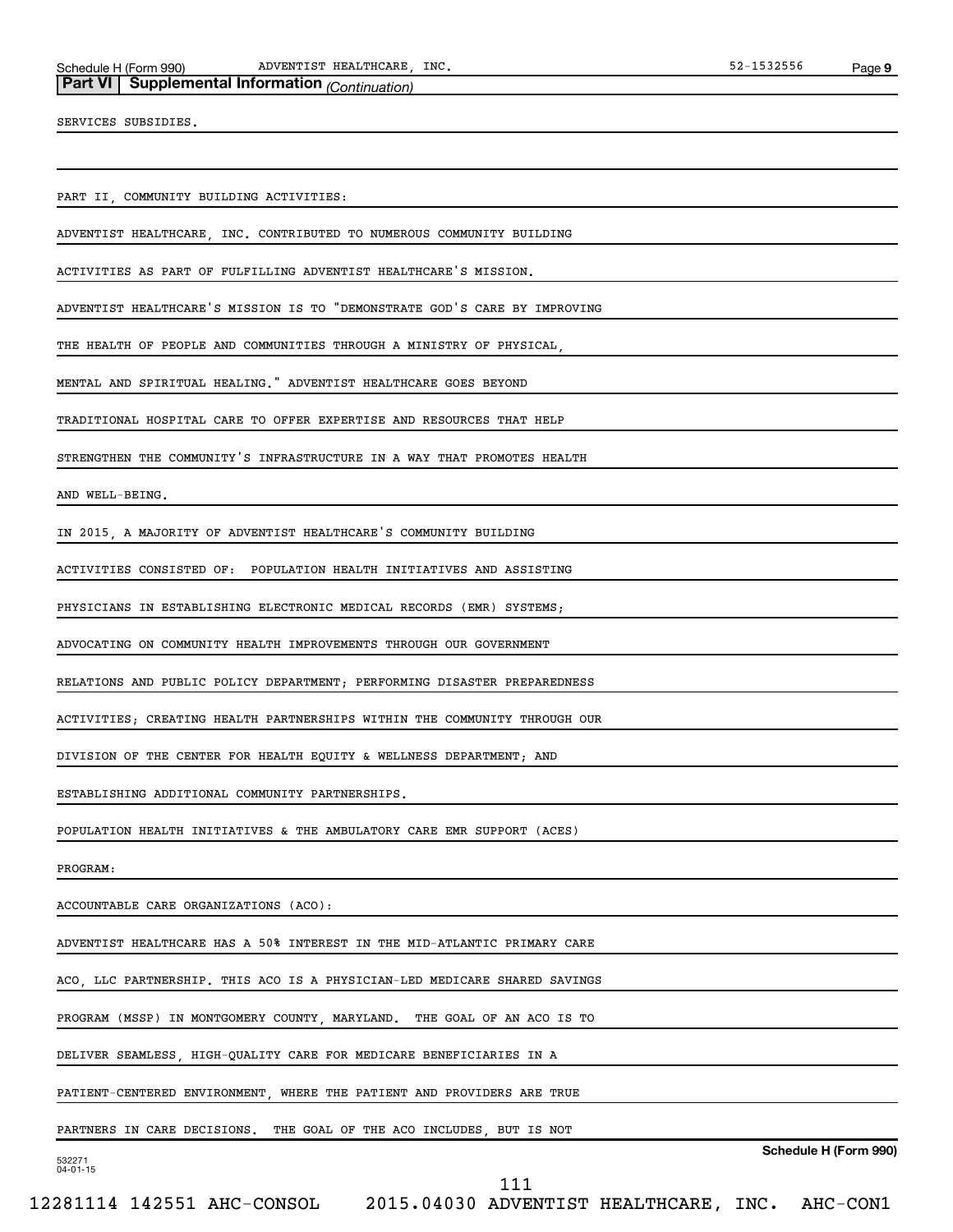Schedule H (Form 990) ADVENTIST HEALTHCARE, INC. The Schedule H (Form 990) S2-1532556 ADVENTIST HEALTHCARE,

### **Part VI Supplemental Information** *(Continuation)*

SERVICES SUBSIDIES.

PART II, COMMUNITY BUILDING ACTIVITIES:

ADVENTIST HEALTHCARE, INC. CONTRIBUTED TO NUMEROUS COMMUNITY BUILDING

ACTIVITIES AS PART OF FULFILLING ADVENTIST HEALTHCARE'S MISSION.

ADVENTIST HEALTHCARE'S MISSION IS TO "DEMONSTRATE GOD'S CARE BY IMPROVING

THE HEALTH OF PEOPLE AND COMMUNITIES THROUGH A MINISTRY OF PHYSICAL,

MENTAL AND SPIRITUAL HEALING." ADVENTIST HEALTHCARE GOES BEYOND

TRADITIONAL HOSPITAL CARE TO OFFER EXPERTISE AND RESOURCES THAT HELP

STRENGTHEN THE COMMUNITY'S INFRASTRUCTURE IN A WAY THAT PROMOTES HEALTH

AND WELL-BEING.

IN 2015, A MAJORITY OF ADVENTIST HEALTHCARE'S COMMUNITY BUILDING

ACTIVITIES CONSISTED OF: POPULATION HEALTH INITIATIVES AND ASSISTING

PHYSICIANS IN ESTABLISHING ELECTRONIC MEDICAL RECORDS (EMR) SYSTEMS;

ADVOCATING ON COMMUNITY HEALTH IMPROVEMENTS THROUGH OUR GOVERNMENT

RELATIONS AND PUBLIC POLICY DEPARTMENT; PERFORMING DISASTER PREPAREDNESS

ACTIVITIES; CREATING HEALTH PARTNERSHIPS WITHIN THE COMMUNITY THROUGH OUR

DIVISION OF THE CENTER FOR HEALTH EQUITY & WELLNESS DEPARTMENT; AND

ESTABLISHING ADDITIONAL COMMUNITY PARTNERSHIPS.

POPULATION HEALTH INITIATIVES & THE AMBULATORY CARE EMR SUPPORT (ACES)

PROGRAM:

ACCOUNTABLE CARE ORGANIZATIONS (ACO):

ADVENTIST HEALTHCARE HAS A 50% INTEREST IN THE MID-ATLANTIC PRIMARY CARE

ACO, LLC PARTNERSHIP. THIS ACO IS A PHYSICIAN-LED MEDICARE SHARED SAVINGS

PROGRAM (MSSP) IN MONTGOMERY COUNTY, MARYLAND. THE GOAL OF AN ACO IS TO

DELIVER SEAMLESS, HIGH-QUALITY CARE FOR MEDICARE BENEFICIARIES IN A

PATIENT-CENTERED ENVIRONMENT, WHERE THE PATIENT AND PROVIDERS ARE TRUE

PARTNERS IN CARE DECISIONS. THE GOAL OF THE ACO INCLUDES, BUT IS NOT

**Schedule H (Form 990)**

532271 04-01-15

12281114 142551 AHC-CONSOL 2015.04030 ADVENTIST HEALTHCARE, INC. AHC-CON1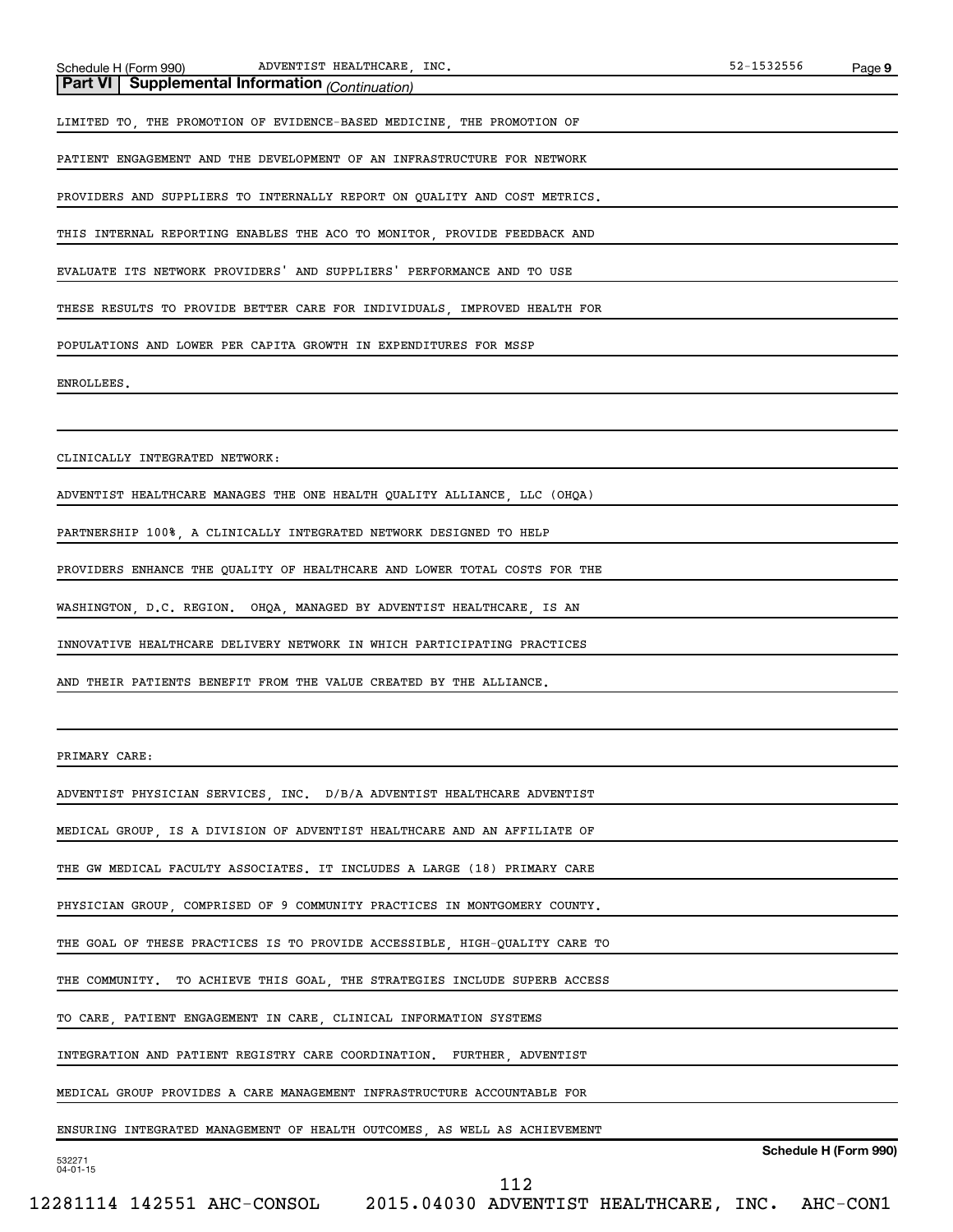**Part VI Supplemental Information** *(Continuation)*

LIMITED TO, THE PROMOTION OF EVIDENCE-BASED MEDICINE, THE PROMOTION OF

PATIENT ENGAGEMENT AND THE DEVELOPMENT OF AN INFRASTRUCTURE FOR NETWORK

PROVIDERS AND SUPPLIERS TO INTERNALLY REPORT ON QUALITY AND COST METRICS.

THIS INTERNAL REPORTING ENABLES THE ACO TO MONITOR, PROVIDE FEEDBACK AND

EVALUATE ITS NETWORK PROVIDERS' AND SUPPLIERS' PERFORMANCE AND TO USE

THESE RESULTS TO PROVIDE BETTER CARE FOR INDIVIDUALS, IMPROVED HEALTH FOR

POPULATIONS AND LOWER PER CAPITA GROWTH IN EXPENDITURES FOR MSSP

ENROLLEES.

CLINICALLY INTEGRATED NETWORK:

ADVENTIST HEALTHCARE MANAGES THE ONE HEALTH QUALITY ALLIANCE, LLC (OHQA)

PARTNERSHIP 100%, A CLINICALLY INTEGRATED NETWORK DESIGNED TO HELP

PROVIDERS ENHANCE THE QUALITY OF HEALTHCARE AND LOWER TOTAL COSTS FOR THE

WASHINGTON, D.C. REGION. OHQA, MANAGED BY ADVENTIST HEALTHCARE, IS AN

INNOVATIVE HEALTHCARE DELIVERY NETWORK IN WHICH PARTICIPATING PRACTICES

AND THEIR PATIENTS BENEFIT FROM THE VALUE CREATED BY THE ALLIANCE.

PRIMARY CARE:

ADVENTIST PHYSICIAN SERVICES, INC. D/B/A ADVENTIST HEALTHCARE ADVENTIST

MEDICAL GROUP, IS A DIVISION OF ADVENTIST HEALTHCARE AND AN AFFILIATE OF

THE GW MEDICAL FACULTY ASSOCIATES. IT INCLUDES A LARGE (18) PRIMARY CARE

PHYSICIAN GROUP, COMPRISED OF 9 COMMUNITY PRACTICES IN MONTGOMERY COUNTY.

THE GOAL OF THESE PRACTICES IS TO PROVIDE ACCESSIBLE, HIGH-QUALITY CARE TO

THE COMMUNITY. TO ACHIEVE THIS GOAL, THE STRATEGIES INCLUDE SUPERB ACCESS

TO CARE, PATIENT ENGAGEMENT IN CARE, CLINICAL INFORMATION SYSTEMS

INTEGRATION AND PATIENT REGISTRY CARE COORDINATION. FURTHER, ADVENTIST

MEDICAL GROUP PROVIDES A CARE MANAGEMENT INFRASTRUCTURE ACCOUNTABLE FOR

ENSURING INTEGRATED MANAGEMENT OF HEALTH OUTCOMES, AS WELL AS ACHIEVEMENT

**Schedule H (Form 990)**

532271 04-01-15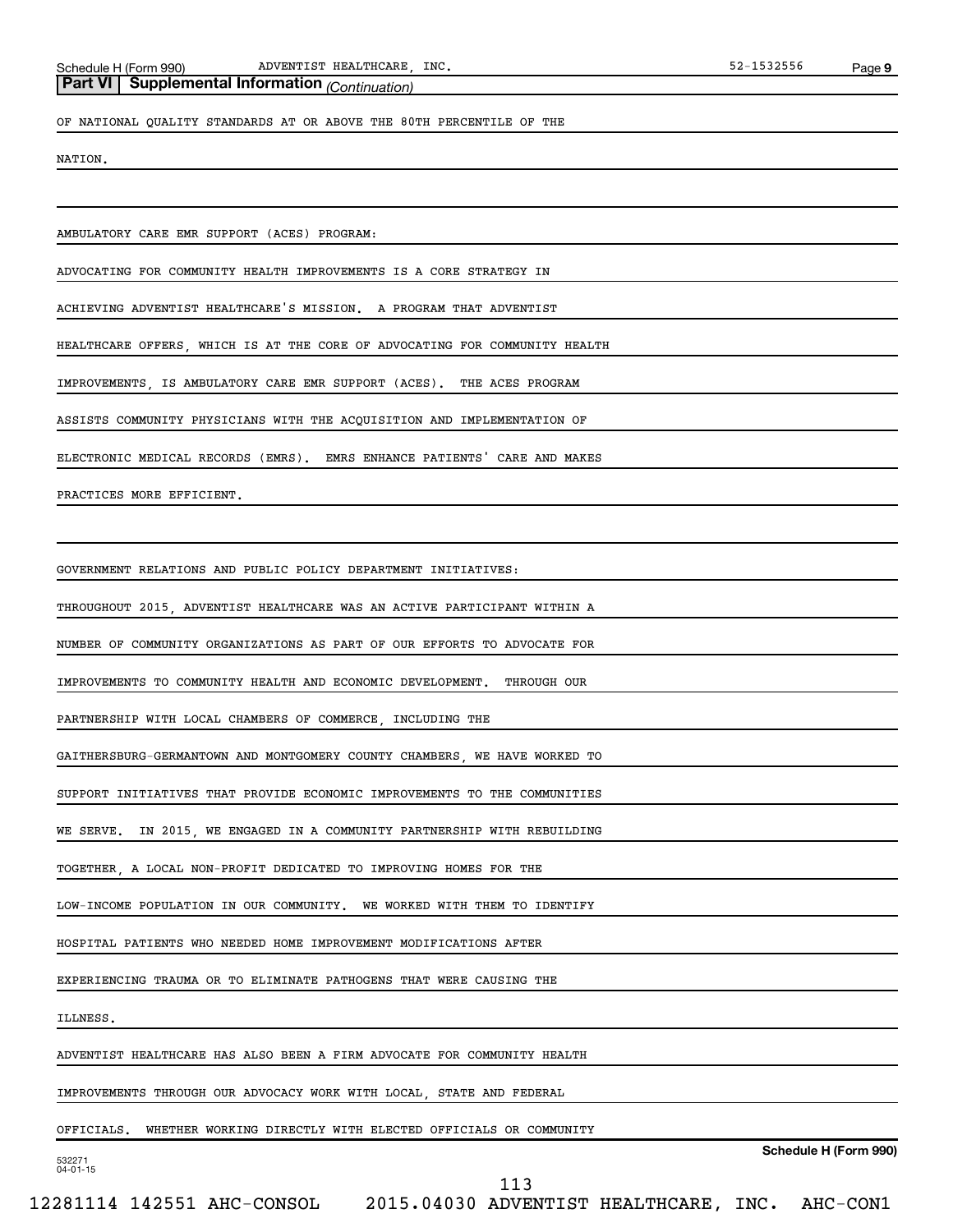### **Part VI Supplemental Information** *(Continuation)*

OF NATIONAL QUALITY STANDARDS AT OR ABOVE THE 80TH PERCENTILE OF THE

NATION.

AMBULATORY CARE EMR SUPPORT (ACES) PROGRAM:

ADVOCATING FOR COMMUNITY HEALTH IMPROVEMENTS IS A CORE STRATEGY IN

ACHIEVING ADVENTIST HEALTHCARE'S MISSION. A PROGRAM THAT ADVENTIST

HEALTHCARE OFFERS, WHICH IS AT THE CORE OF ADVOCATING FOR COMMUNITY HEALTH

IMPROVEMENTS, IS AMBULATORY CARE EMR SUPPORT (ACES). THE ACES PROGRAM

ASSISTS COMMUNITY PHYSICIANS WITH THE ACQUISITION AND IMPLEMENTATION OF

ELECTRONIC MEDICAL RECORDS (EMRS). EMRS ENHANCE PATIENTS' CARE AND MAKES

PRACTICES MORE EFFICIENT.

GOVERNMENT RELATIONS AND PUBLIC POLICY DEPARTMENT INITIATIVES:

THROUGHOUT 2015, ADVENTIST HEALTHCARE WAS AN ACTIVE PARTICIPANT WITHIN A

NUMBER OF COMMUNITY ORGANIZATIONS AS PART OF OUR EFFORTS TO ADVOCATE FOR

IMPROVEMENTS TO COMMUNITY HEALTH AND ECONOMIC DEVELOPMENT. THROUGH OUR

PARTNERSHIP WITH LOCAL CHAMBERS OF COMMERCE, INCLUDING THE

GAITHERSBURG-GERMANTOWN AND MONTGOMERY COUNTY CHAMBERS WE HAVE WORKED TO

SUPPORT INITIATIVES THAT PROVIDE ECONOMIC IMPROVEMENTS TO THE COMMUNITIES

WE SERVE. IN 2015, WE ENGAGED IN A COMMUNITY PARTNERSHIP WITH REBUILDING

TOGETHER, A LOCAL NON-PROFIT DEDICATED TO IMPROVING HOMES FOR THE

LOW-INCOME POPULATION IN OUR COMMUNITY. WE WORKED WITH THEM TO IDENTIFY

HOSPITAL PATIENTS WHO NEEDED HOME IMPROVEMENT MODIFICATIONS AFTER

EXPERIENCING TRAUMA OR TO ELIMINATE PATHOGENS THAT WERE CAUSING THE

ILLNESS.

ADVENTIST HEALTHCARE HAS ALSO BEEN A FIRM ADVOCATE FOR COMMUNITY HEALTH

IMPROVEMENTS THROUGH OUR ADVOCACY WORK WITH LOCAL, STATE AND FEDERAL

#### OFFICIALS. WHETHER WORKING DIRECTLY WITH ELECTED OFFICIALS OR COMMUNITY

532271 04-01-15

**Schedule H (Form 990)**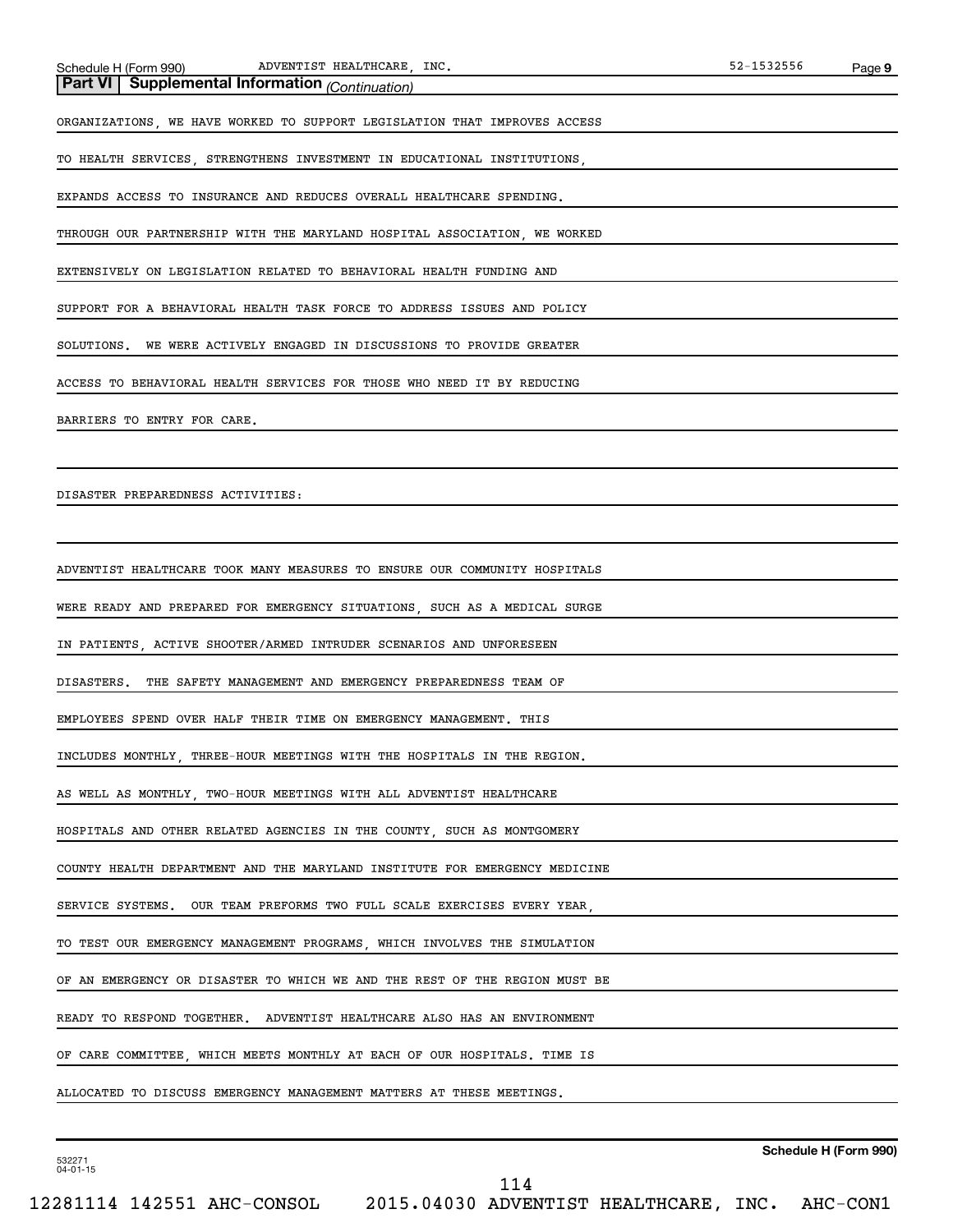ORGANIZATIONS, WE HAVE WORKED TO SUPPORT LEGISLATION THAT IMPROVES ACCESS

TO HEALTH SERVICES, STRENGTHENS INVESTMENT IN EDUCATIONAL INSTITUTIONS,

EXPANDS ACCESS TO INSURANCE AND REDUCES OVERALL HEALTHCARE SPENDING.

THROUGH OUR PARTNERSHIP WITH THE MARYLAND HOSPITAL ASSOCIATION, WE WORKED

EXTENSIVELY ON LEGISLATION RELATED TO BEHAVIORAL HEALTH FUNDING AND

SUPPORT FOR A BEHAVIORAL HEALTH TASK FORCE TO ADDRESS ISSUES AND POLICY

SOLUTIONS. WE WERE ACTIVELY ENGAGED IN DISCUSSIONS TO PROVIDE GREATER

ACCESS TO BEHAVIORAL HEALTH SERVICES FOR THOSE WHO NEED IT BY REDUCING

BARRIERS TO ENTRY FOR CARE.

DISASTER PREPAREDNESS ACTIVITIES:

ADVENTIST HEALTHCARE TOOK MANY MEASURES TO ENSURE OUR COMMUNITY HOSPITALS

WERE READY AND PREPARED FOR EMERGENCY SITUATIONS, SUCH AS A MEDICAL SURGE

IN PATIENTS, ACTIVE SHOOTER/ARMED INTRUDER SCENARIOS AND UNFORESEEN

DISASTERS. THE SAFETY MANAGEMENT AND EMERGENCY PREPAREDNESS TEAM OF

EMPLOYEES SPEND OVER HALF THEIR TIME ON EMERGENCY MANAGEMENT. THIS

INCLUDES MONTHLY, THREE-HOUR MEETINGS WITH THE HOSPITALS IN THE REGION.

AS WELL AS MONTHLY, TWO-HOUR MEETINGS WITH ALL ADVENTIST HEALTHCARE

HOSPITALS AND OTHER RELATED AGENCIES IN THE COUNTY, SUCH AS MONTGOMERY

COUNTY HEALTH DEPARTMENT AND THE MARYLAND INSTITUTE FOR EMERGENCY MEDICINE

SERVICE SYSTEMS. OUR TEAM PREFORMS TWO FULL SCALE EXERCISES EVERY YEAR,

TO TEST OUR EMERGENCY MANAGEMENT PROGRAMS, WHICH INVOLVES THE SIMULATION

OF AN EMERGENCY OR DISASTER TO WHICH WE AND THE REST OF THE REGION MUST BE

READY TO RESPOND TOGETHER. ADVENTIST HEALTHCARE ALSO HAS AN ENVIRONMENT

OF CARE COMMITTEE, WHICH MEETS MONTHLY AT EACH OF OUR HOSPITALS. TIME IS

ALLOCATED TO DISCUSS EMERGENCY MANAGEMENT MATTERS AT THESE MEETINGS.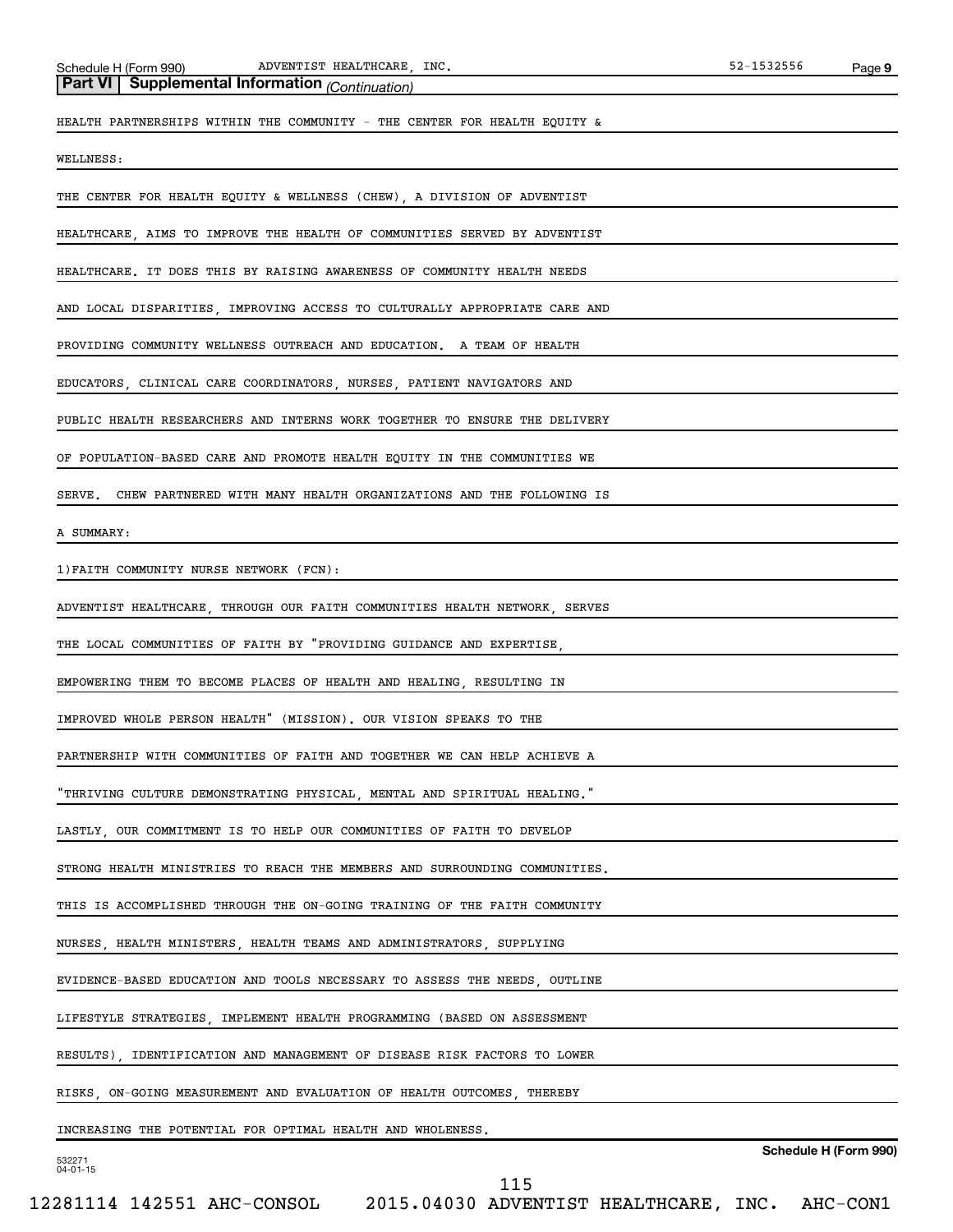HEALTH PARTNERSHIPS WITHIN THE COMMUNITY - THE CENTER FOR HEALTH EQUITY &

WELLNESS:

THE CENTER FOR HEALTH EQUITY & WELLNESS (CHEW), A DIVISION OF ADVENTIST

HEALTHCARE, AIMS TO IMPROVE THE HEALTH OF COMMUNITIES SERVED BY ADVENTIST

HEALTHCARE. IT DOES THIS BY RAISING AWARENESS OF COMMUNITY HEALTH NEEDS

AND LOCAL DISPARITIES, IMPROVING ACCESS TO CULTURALLY APPROPRIATE CARE AND

PROVIDING COMMUNITY WELLNESS OUTREACH AND EDUCATION. A TEAM OF HEALTH

EDUCATORS, CLINICAL CARE COORDINATORS, NURSES, PATIENT NAVIGATORS AND

PUBLIC HEALTH RESEARCHERS AND INTERNS WORK TOGETHER TO ENSURE THE DELIVERY

OF POPULATION-BASED CARE AND PROMOTE HEALTH EQUITY IN THE COMMUNITIES WE

SERVE. CHEW PARTNERED WITH MANY HEALTH ORGANIZATIONS AND THE FOLLOWING IS

A SUMMARY:

1)FAITH COMMUNITY NURSE NETWORK (FCN):

ADVENTIST HEALTHCARE, THROUGH OUR FAITH COMMUNITIES HEALTH NETWORK, SERVES

THE LOCAL COMMUNITIES OF FAITH BY "PROVIDING GUIDANCE AND EXPERTISE

EMPOWERING THEM TO BECOME PLACES OF HEALTH AND HEALING, RESULTING IN

IMPROVED WHOLE PERSON HEALTH" (MISSION). OUR VISION SPEAKS TO THE

PARTNERSHIP WITH COMMUNITIES OF FAITH AND TOGETHER WE CAN HELP ACHIEVE A

"THRIVING CULTURE DEMONSTRATING PHYSICAL, MENTAL AND SPIRITUAL HEALING."

LASTLY, OUR COMMITMENT IS TO HELP OUR COMMUNITIES OF FAITH TO DEVELOP

STRONG HEALTH MINISTRIES TO REACH THE MEMBERS AND SURROUNDING COMMUNITIES.

THIS IS ACCOMPLISHED THROUGH THE ON-GOING TRAINING OF THE FAITH COMMUNITY

NURSES, HEALTH MINISTERS, HEALTH TEAMS AND ADMINISTRATORS, SUPPLYING

EVIDENCE-BASED EDUCATION AND TOOLS NECESSARY TO ASSESS THE NEEDS, OUTLINE

LIFESTYLE STRATEGIES, IMPLEMENT HEALTH PROGRAMMING (BASED ON ASSESSMENT

RESULTS), IDENTIFICATION AND MANAGEMENT OF DISEASE RISK FACTORS TO LOWER

RISKS, ON-GOING MEASUREMENT AND EVALUATION OF HEALTH OUTCOMES, THEREBY

INCREASING THE POTENTIAL FOR OPTIMAL HEALTH AND WHOLENESS.

**Schedule H (Form 990)**

532271 04-01-15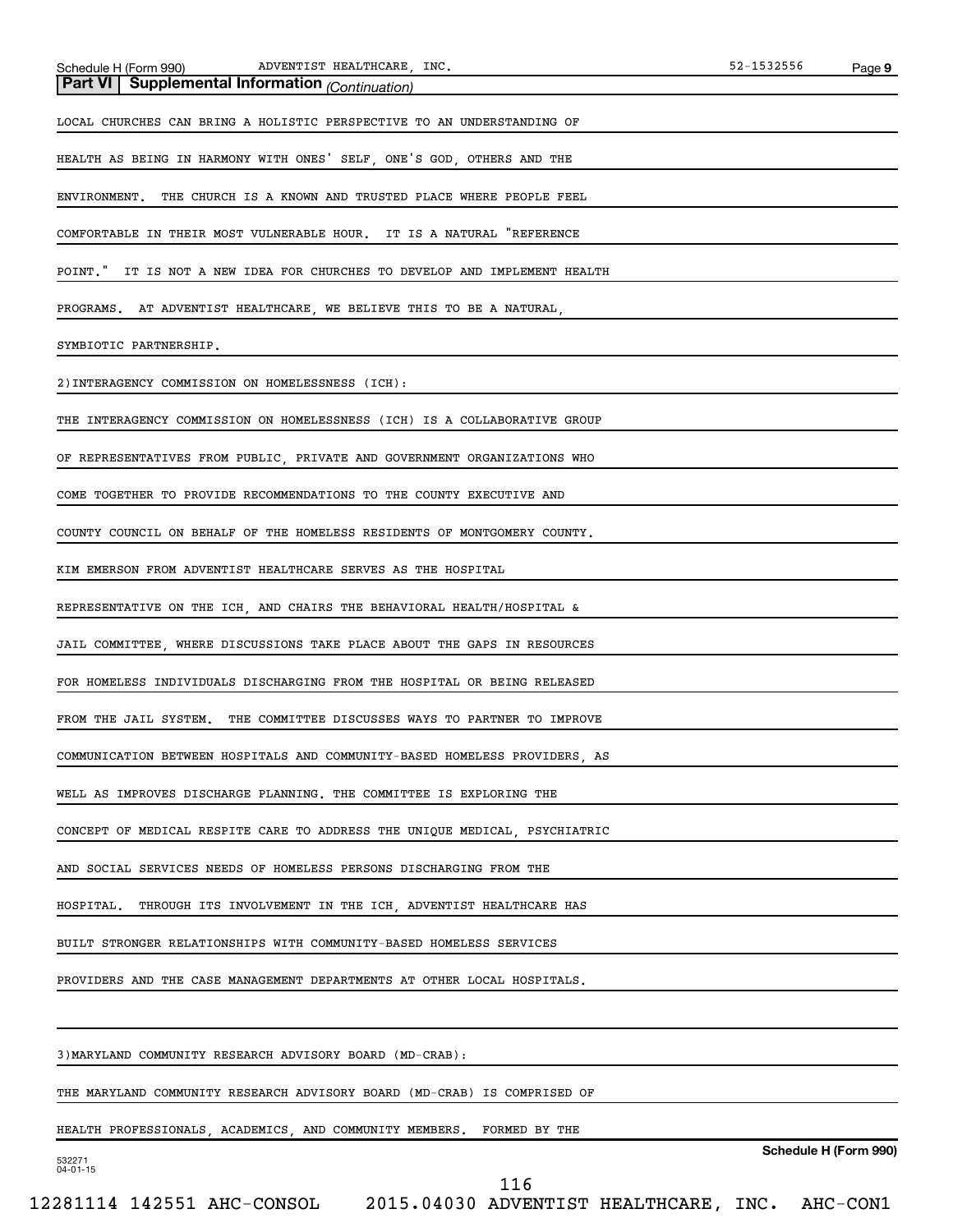| Schedule H (Form 990 |
|----------------------|
|----------------------|

| Schedule H (Form 990)                                                                                               | 52-1532556 | Page 9 |
|---------------------------------------------------------------------------------------------------------------------|------------|--------|
| ADVENTIST HEALTHCARE, INC.<br><b>nformation</b> (Continuation)<br>Part VI   Supplemental Information (Continuation) |            |        |
| LOCAL CHURCHES CAN BRING A HOLISTIC PERSPECTIVE TO AN UNDERSTANDING OF                                              |            |        |
| HEALTH AS BEING IN HARMONY WITH ONES' SELF, ONE'S GOD, OTHERS AND THE                                               |            |        |
| ENVIRONMENT.<br>THE CHURCH IS A KNOWN AND TRUSTED PLACE WHERE PEOPLE FEEL                                           |            |        |
| COMFORTABLE IN THEIR MOST VULNERABLE HOUR. IT IS A NATURAL "REFERENCE                                               |            |        |
| POINT." IT IS NOT A NEW IDEA FOR CHURCHES TO DEVELOP AND IMPLEMENT HEALTH                                           |            |        |
| PROGRAMS. AT ADVENTIST HEALTHCARE, WE BELIEVE THIS TO BE A NATURAL,                                                 |            |        |
| SYMBIOTIC PARTNERSHIP.                                                                                              |            |        |
| 2) INTERAGENCY COMMISSION ON HOMELESSNESS (ICH):                                                                    |            |        |
| THE INTERAGENCY COMMISSION ON HOMELESSNESS (ICH) IS A COLLABORATIVE GROUP                                           |            |        |
| OF REPRESENTATIVES FROM PUBLIC, PRIVATE AND GOVERNMENT ORGANIZATIONS WHO                                            |            |        |
| COME TOGETHER TO PROVIDE RECOMMENDATIONS TO THE COUNTY EXECUTIVE AND                                                |            |        |
| COUNTY COUNCIL ON BEHALF OF THE HOMELESS RESIDENTS OF MONTGOMERY COUNTY.                                            |            |        |
| KIM EMERSON FROM ADVENTIST HEALTHCARE SERVES AS THE HOSPITAL                                                        |            |        |
| REPRESENTATIVE ON THE ICH, AND CHAIRS THE BEHAVIORAL HEALTH/HOSPITAL &                                              |            |        |
| JAIL COMMITTEE, WHERE DISCUSSIONS TAKE PLACE ABOUT THE GAPS IN RESOURCES                                            |            |        |
| FOR HOMELESS INDIVIDUALS DISCHARGING FROM THE HOSPITAL OR BEING RELEASED                                            |            |        |
| FROM THE JAIL SYSTEM.<br>THE COMMITTEE DISCUSSES WAYS TO PARTNER TO IMPROVE                                         |            |        |
| COMMUNICATION BETWEEN HOSPITALS AND COMMUNITY-BASED HOMELESS PROVIDERS, AS                                          |            |        |
| WELL AS IMPROVES DISCHARGE PLANNING. THE COMMITTEE IS EXPLORING THE                                                 |            |        |
| CONCEPT OF MEDICAL RESPITE CARE TO ADDRESS THE UNIQUE MEDICAL, PSYCHIATRIC                                          |            |        |
| AND SOCIAL SERVICES NEEDS OF HOMELESS PERSONS DISCHARGING FROM THE                                                  |            |        |
| THROUGH ITS INVOLVEMENT IN THE ICH, ADVENTIST HEALTHCARE HAS<br>HOSPITAL.                                           |            |        |
| BUILT STRONGER RELATIONSHIPS WITH COMMUNITY-BASED HOMELESS SERVICES                                                 |            |        |
| PROVIDERS AND THE CASE MANAGEMENT DEPARTMENTS AT OTHER LOCAL HOSPITALS.                                             |            |        |
|                                                                                                                     |            |        |
| 3) MARYLAND COMMUNITY RESEARCH ADVISORY BOARD (MD-CRAB):                                                            |            |        |
| THE MARYLAND COMMUNITY RESEARCH ADVISORY BOARD (MD-CRAB) IS COMPRISED OF                                            |            |        |
| HEALTH PROFESSIONALS, ACADEMICS, AND COMMUNITY MEMBERS. FORMED BY THE                                               |            |        |

**Schedule H (Form 990)**

116

532271 04-01-15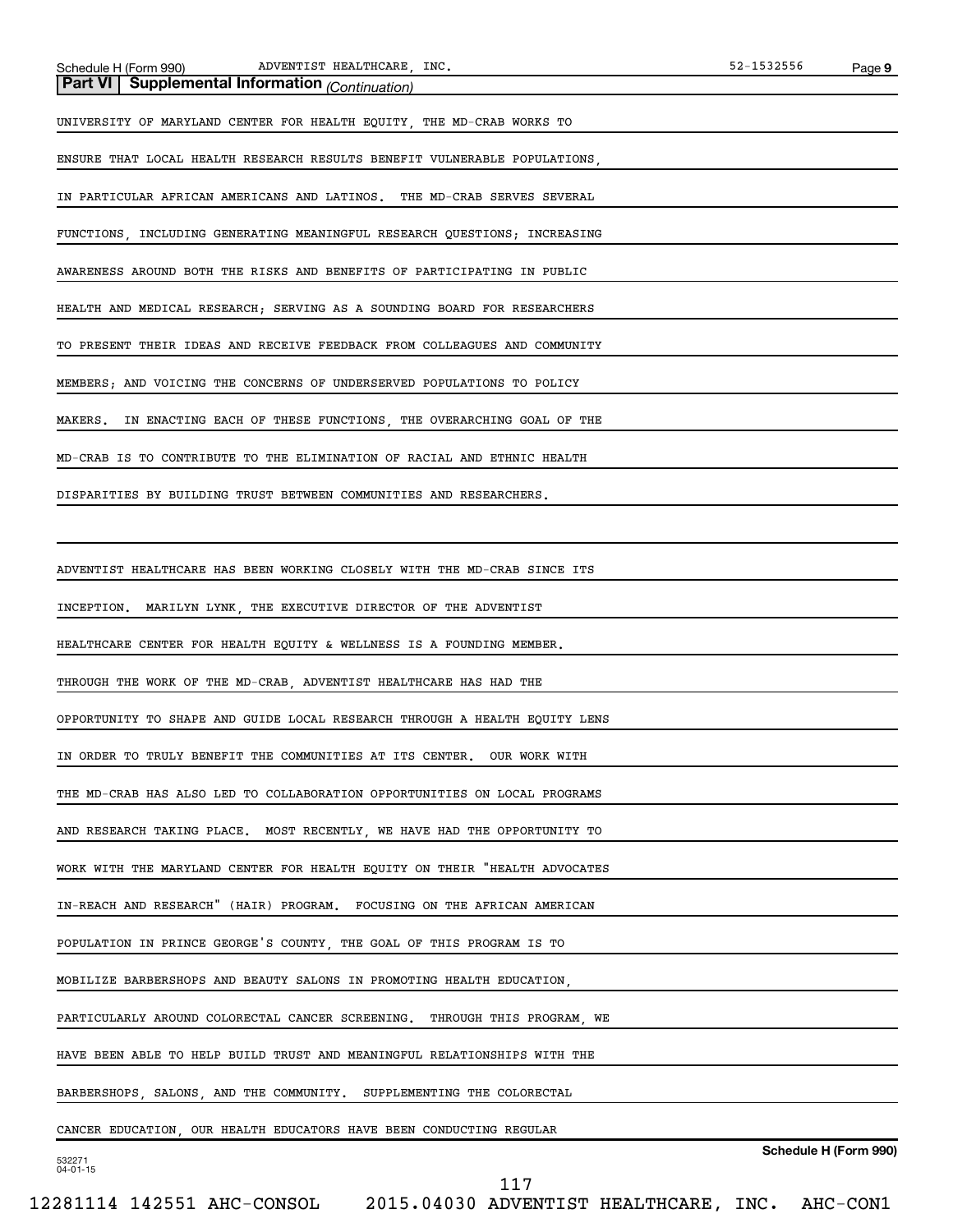**Part VI Supplemental Information** *(Continuation)* UNIVERSITY OF MARYLAND CENTER FOR HEALTH EQUITY, THE MD-CRAB WORKS TO ENSURE THAT LOCAL HEALTH RESEARCH RESULTS BENEFIT VULNERABLE POPULATIONS, IN PARTICULAR AFRICAN AMERICANS AND LATINOS. THE MD-CRAB SERVES SEVERAL FUNCTIONS, INCLUDING GENERATING MEANINGFUL RESEARCH QUESTIONS; INCREASING AWARENESS AROUND BOTH THE RISKS AND BENEFITS OF PARTICIPATING IN PUBLIC HEALTH AND MEDICAL RESEARCH; SERVING AS A SOUNDING BOARD FOR RESEARCHERS TO PRESENT THEIR IDEAS AND RECEIVE FEEDBACK FROM COLLEAGUES AND COMMUNITY MEMBERS; AND VOICING THE CONCERNS OF UNDERSERVED POPULATIONS TO POLICY MAKERS. IN ENACTING EACH OF THESE FUNCTIONS, THE OVERARCHING GOAL OF THE MD-CRAB IS TO CONTRIBUTE TO THE ELIMINATION OF RACIAL AND ETHNIC HEALTH DISPARITIES BY BUILDING TRUST BETWEEN COMMUNITIES AND RESEARCHERS. ADVENTIST HEALTHCARE HAS BEEN WORKING CLOSELY WITH THE MD-CRAB SINCE ITS INCEPTION. MARILYN LYNK, THE EXECUTIVE DIRECTOR OF THE ADVENTIST HEALTHCARE CENTER FOR HEALTH EQUITY & WELLNESS IS A FOUNDING MEMBER. THROUGH THE WORK OF THE MD-CRAB, ADVENTIST HEALTHCARE HAS HAD THE OPPORTUNITY TO SHAPE AND GUIDE LOCAL RESEARCH THROUGH A HEALTH EQUITY LENS IN ORDER TO TRULY BENEFIT THE COMMUNITIES AT ITS CENTER. OUR WORK WITH THE MD-CRAB HAS ALSO LED TO COLLABORATION OPPORTUNITIES ON LOCAL PROGRAMS AND RESEARCH TAKING PLACE. MOST RECENTLY, WE HAVE HAD THE OPPORTUNITY TO WORK WITH THE MARYLAND CENTER FOR HEALTH EQUITY ON THEIR "HEALTH ADVOCATES IN-REACH AND RESEARCH" (HAIR) PROGRAM. FOCUSING ON THE AFRICAN AMERICAN POPULATION IN PRINCE GEORGE'S COUNTY, THE GOAL OF THIS PROGRAM IS TO MOBILIZE BARBERSHOPS AND BEAUTY SALONS IN PROMOTING HEALTH EDUCATION, PARTICULARLY AROUND COLORECTAL CANCER SCREENING. THROUGH THIS PROGRAM, WE HAVE BEEN ABLE TO HELP BUILD TRUST AND MEANINGFUL RELATIONSHIPS WITH THE BARBERSHOPS, SALONS, AND THE COMMUNITY. SUPPLEMENTING THE COLORECTAL CANCER EDUCATION, OUR HEALTH EDUCATORS HAVE BEEN CONDUCTING REGULAR

532271 04-01-15

**Schedule H (Form 990)**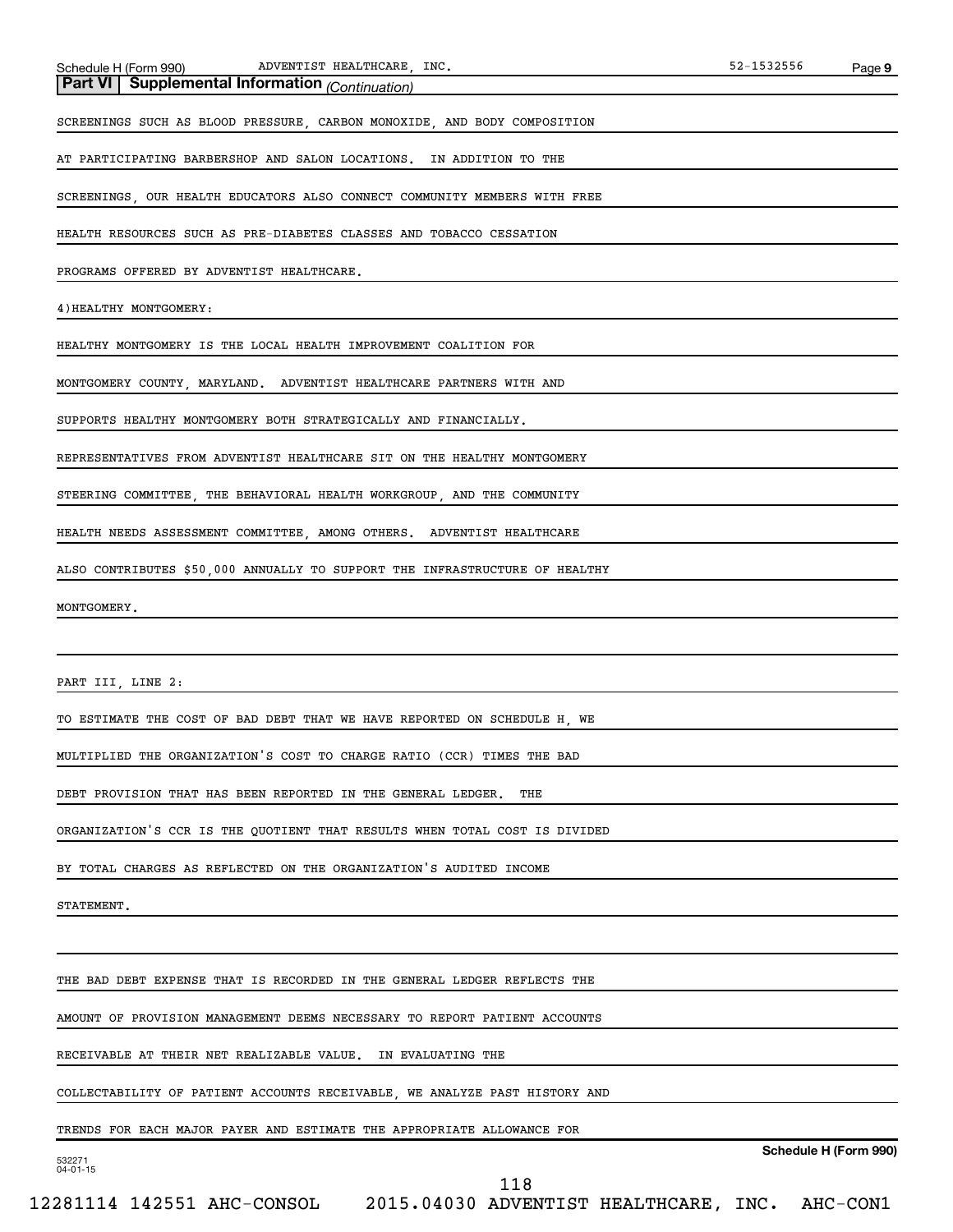SCREENINGS SUCH AS BLOOD PRESSURE, CARBON MONOXIDE, AND BODY COMPOSITION

AT PARTICIPATING BARBERSHOP AND SALON LOCATIONS. IN ADDITION TO THE

SCREENINGS, OUR HEALTH EDUCATORS ALSO CONNECT COMMUNITY MEMBERS WITH FREE

HEALTH RESOURCES SUCH AS PRE-DIABETES CLASSES AND TOBACCO CESSATION

PROGRAMS OFFERED BY ADVENTIST HEALTHCARE.

4)HEALTHY MONTGOMERY:

HEALTHY MONTGOMERY IS THE LOCAL HEALTH IMPROVEMENT COALITION FOR

MONTGOMERY COUNTY, MARYLAND. ADVENTIST HEALTHCARE PARTNERS WITH AND

SUPPORTS HEALTHY MONTGOMERY BOTH STRATEGICALLY AND FINANCIALLY.

REPRESENTATIVES FROM ADVENTIST HEALTHCARE SIT ON THE HEALTHY MONTGOMERY

STEERING COMMITTEE, THE BEHAVIORAL HEALTH WORKGROUP, AND THE COMMUNITY

HEALTH NEEDS ASSESSMENT COMMITTEE, AMONG OTHERS. ADVENTIST HEALTHCARE

ALSO CONTRIBUTES \$50,000 ANNUALLY TO SUPPORT THE INFRASTRUCTURE OF HEALTHY

MONTGOMERY.

PART III, LINE 2:

TO ESTIMATE THE COST OF BAD DEBT THAT WE HAVE REPORTED ON SCHEDULE H, WE

MULTIPLIED THE ORGANIZATION'S COST TO CHARGE RATIO (CCR) TIMES THE BAD

DEBT PROVISION THAT HAS BEEN REPORTED IN THE GENERAL LEDGER. THE

ORGANIZATION'S CCR IS THE QUOTIENT THAT RESULTS WHEN TOTAL COST IS DIVIDED

BY TOTAL CHARGES AS REFLECTED ON THE ORGANIZATION'S AUDITED INCOME

STATEMENT.

THE BAD DEBT EXPENSE THAT IS RECORDED IN THE GENERAL LEDGER REFLECTS THE

AMOUNT OF PROVISION MANAGEMENT DEEMS NECESSARY TO REPORT PATIENT ACCOUNTS

RECEIVABLE AT THEIR NET REALIZABLE VALUE. IN EVALUATING THE

COLLECTABILITY OF PATIENT ACCOUNTS RECEIVABLE, WE ANALYZE PAST HISTORY AND

TRENDS FOR EACH MAJOR PAYER AND ESTIMATE THE APPROPRIATE ALLOWANCE FOR

**Schedule H (Form 990)**

532271 04-01-15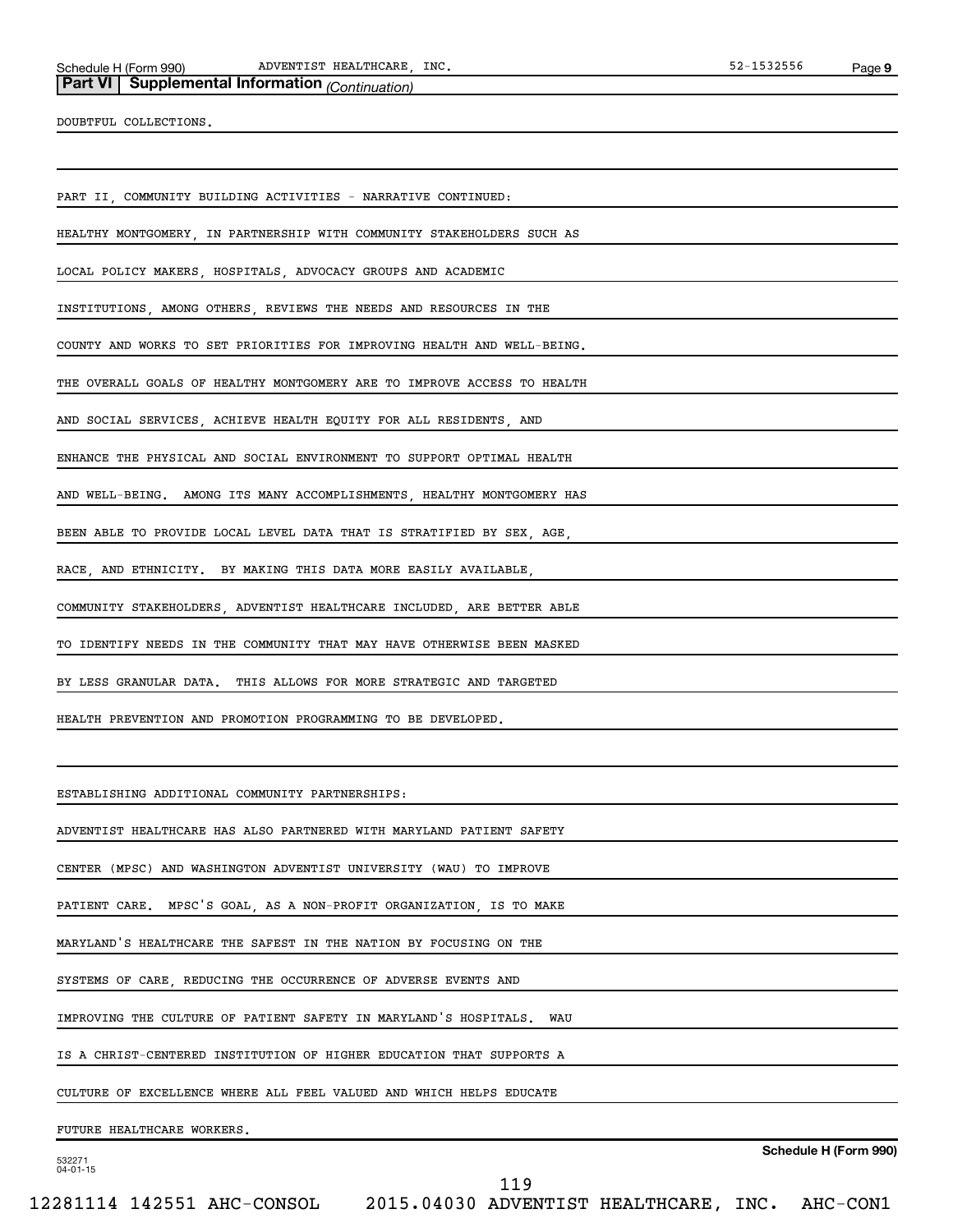## **Part VI Supplemental Information** *(Continuation)*

DOUBTFUL COLLECTIONS.

PART II, COMMUNITY BUILDING ACTIVITIES - NARRATIVE CONTINUED:

HEALTHY MONTGOMERY, IN PARTNERSHIP WITH COMMUNITY STAKEHOLDERS SUCH AS

LOCAL POLICY MAKERS, HOSPITALS, ADVOCACY GROUPS AND ACADEMIC

INSTITUTIONS, AMONG OTHERS, REVIEWS THE NEEDS AND RESOURCES IN THE

COUNTY AND WORKS TO SET PRIORITIES FOR IMPROVING HEALTH AND WELL-BEING.

THE OVERALL GOALS OF HEALTHY MONTGOMERY ARE TO IMPROVE ACCESS TO HEALTH

AND SOCIAL SERVICES, ACHIEVE HEALTH EQUITY FOR ALL RESIDENTS, AND

ENHANCE THE PHYSICAL AND SOCIAL ENVIRONMENT TO SUPPORT OPTIMAL HEALTH

AND WELL-BEING. AMONG ITS MANY ACCOMPLISHMENTS, HEALTHY MONTGOMERY HAS

BEEN ABLE TO PROVIDE LOCAL LEVEL DATA THAT IS STRATIFIED BY SEX, AGE,

RACE, AND ETHNICITY. BY MAKING THIS DATA MORE EASILY AVAILABLE,

COMMUNITY STAKEHOLDERS, ADVENTIST HEALTHCARE INCLUDED, ARE BETTER ABLE

TO IDENTIFY NEEDS IN THE COMMUNITY THAT MAY HAVE OTHERWISE BEEN MASKED

BY LESS GRANULAR DATA. THIS ALLOWS FOR MORE STRATEGIC AND TARGETED

HEALTH PREVENTION AND PROMOTION PROGRAMMING TO BE DEVELOPED.

ESTABLISHING ADDITIONAL COMMUNITY PARTNERSHIPS:

ADVENTIST HEALTHCARE HAS ALSO PARTNERED WITH MARYLAND PATIENT SAFETY

CENTER (MPSC) AND WASHINGTON ADVENTIST UNIVERSITY (WAU) TO IMPROVE

PATIENT CARE. MPSC'S GOAL, AS A NON-PROFIT ORGANIZATION, IS TO MAKE

MARYLAND'S HEALTHCARE THE SAFEST IN THE NATION BY FOCUSING ON THE

SYSTEMS OF CARE, REDUCING THE OCCURRENCE OF ADVERSE EVENTS AND

IMPROVING THE CULTURE OF PATIENT SAFETY IN MARYLAND'S HOSPITALS. WAU

IS A CHRIST-CENTERED INSTITUTION OF HIGHER EDUCATION THAT SUPPORTS A

CULTURE OF EXCELLENCE WHERE ALL FEEL VALUED AND WHICH HELPS EDUCATE

FUTURE HEALTHCARE WORKERS.

532271 04-01-15

**Schedule H (Form 990)**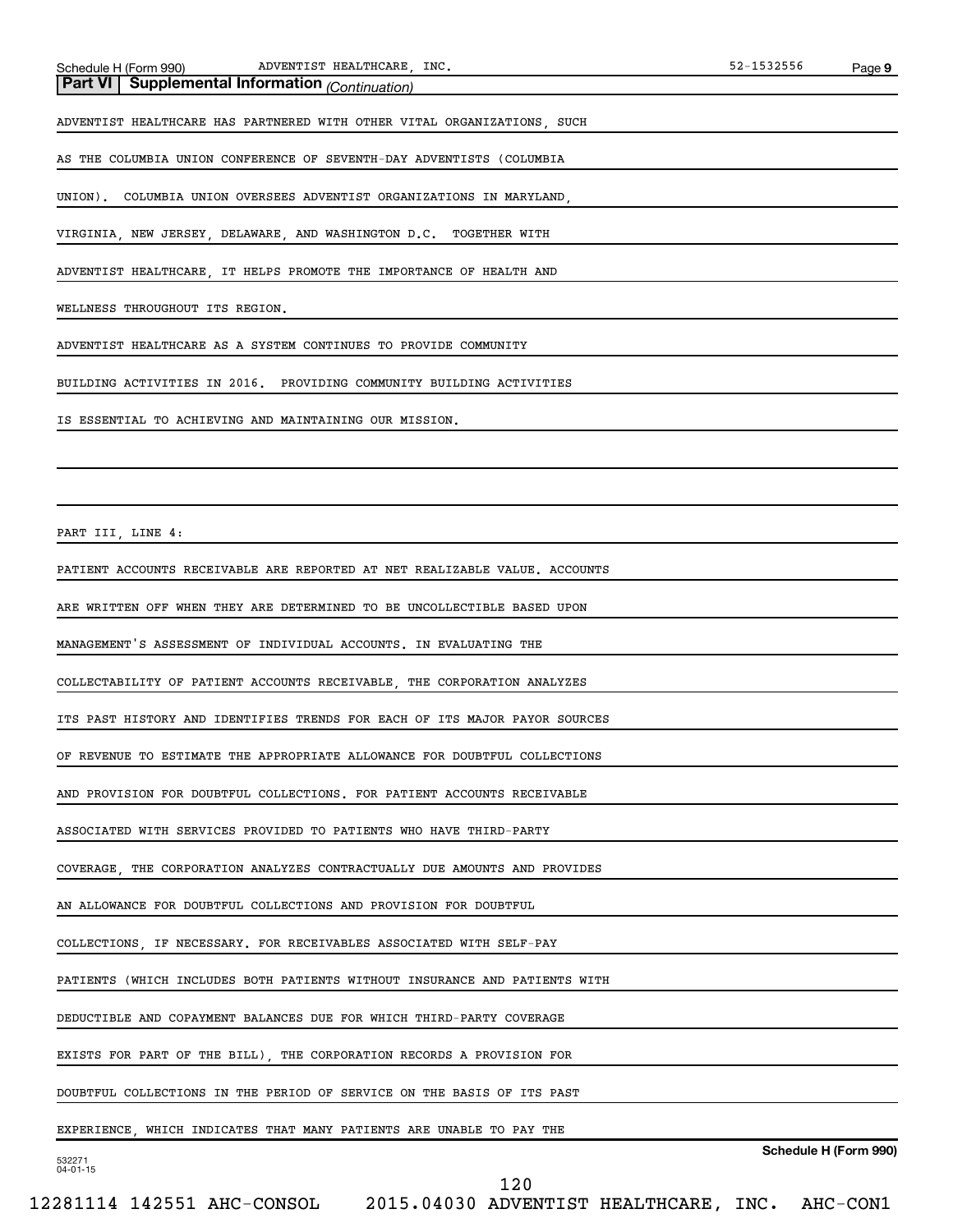**Part VI Supplemental Information** *(Continuation)*

ADVENTIST HEALTHCARE HAS PARTNERED WITH OTHER VITAL ORGANIZATIONS, SUCH

AS THE COLUMBIA UNION CONFERENCE OF SEVENTH-DAY ADVENTISTS (COLUMBIA

UNION). COLUMBIA UNION OVERSEES ADVENTIST ORGANIZATIONS IN MARYLAND,

VIRGINIA, NEW JERSEY, DELAWARE, AND WASHINGTON D.C. TOGETHER WITH

ADVENTIST HEALTHCARE, IT HELPS PROMOTE THE IMPORTANCE OF HEALTH AND

WELLNESS THROUGHOUT ITS REGION.

ADVENTIST HEALTHCARE AS A SYSTEM CONTINUES TO PROVIDE COMMUNITY

BUILDING ACTIVITIES IN 2016. PROVIDING COMMUNITY BUILDING ACTIVITIES

IS ESSENTIAL TO ACHIEVING AND MAINTAINING OUR MISSION.

PART III, LINE 4:

PATIENT ACCOUNTS RECEIVABLE ARE REPORTED AT NET REALIZABLE VALUE. ACCOUNTS

ARE WRITTEN OFF WHEN THEY ARE DETERMINED TO BE UNCOLLECTIBLE BASED UPON

MANAGEMENT'S ASSESSMENT OF INDIVIDUAL ACCOUNTS. IN EVALUATING THE

COLLECTABILITY OF PATIENT ACCOUNTS RECEIVABLE, THE CORPORATION ANALYZES

ITS PAST HISTORY AND IDENTIFIES TRENDS FOR EACH OF ITS MAJOR PAYOR SOURCES

OF REVENUE TO ESTIMATE THE APPROPRIATE ALLOWANCE FOR DOUBTFUL COLLECTIONS

AND PROVISION FOR DOUBTFUL COLLECTIONS. FOR PATIENT ACCOUNTS RECEIVABLE

ASSOCIATED WITH SERVICES PROVIDED TO PATIENTS WHO HAVE THIRD-PARTY

COVERAGE, THE CORPORATION ANALYZES CONTRACTUALLY DUE AMOUNTS AND PROVIDES

AN ALLOWANCE FOR DOUBTFUL COLLECTIONS AND PROVISION FOR DOUBTFUL

COLLECTIONS, IF NECESSARY. FOR RECEIVABLES ASSOCIATED WITH SELF-PAY

PATIENTS (WHICH INCLUDES BOTH PATIENTS WITHOUT INSURANCE AND PATIENTS WITH

DEDUCTIBLE AND COPAYMENT BALANCES DUE FOR WHICH THIRD-PARTY COVERAGE

EXISTS FOR PART OF THE BILL), THE CORPORATION RECORDS A PROVISION FOR

DOUBTFUL COLLECTIONS IN THE PERIOD OF SERVICE ON THE BASIS OF ITS PAST

EXPERIENCE, WHICH INDICATES THAT MANY PATIENTS ARE UNABLE TO PAY THE

**Schedule H (Form 990)**

532271 04-01-15

12281114 142551 AHC-CONSOL 2015.04030 ADVENTIST HEALTHCARE, INC. AHC-CON1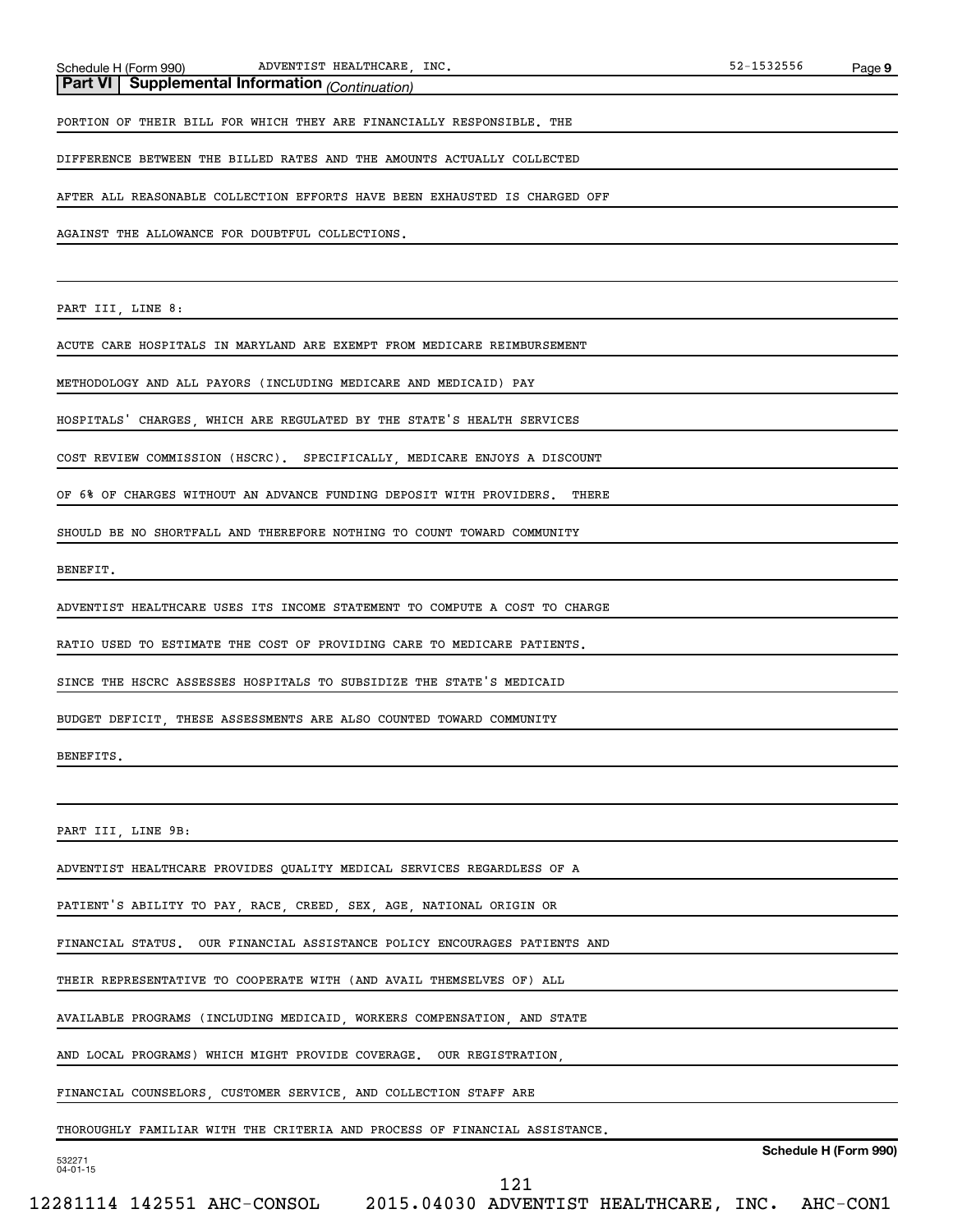PORTION OF THEIR BILL FOR WHICH THEY ARE FINANCIALLY RESPONSIBLE. THE

DIFFERENCE BETWEEN THE BILLED RATES AND THE AMOUNTS ACTUALLY COLLECTED

AFTER ALL REASONABLE COLLECTION EFFORTS HAVE BEEN EXHAUSTED IS CHARGED OFF

AGAINST THE ALLOWANCE FOR DOUBTFUL COLLECTIONS.

PART III, LINE 8:

ACUTE CARE HOSPITALS IN MARYLAND ARE EXEMPT FROM MEDICARE REIMBURSEMENT

METHODOLOGY AND ALL PAYORS (INCLUDING MEDICARE AND MEDICAID) PAY

HOSPITALS' CHARGES, WHICH ARE REGULATED BY THE STATE'S HEALTH SERVICES

COST REVIEW COMMISSION (HSCRC). SPECIFICALLY, MEDICARE ENJOYS A DISCOUNT

OF 6% OF CHARGES WITHOUT AN ADVANCE FUNDING DEPOSIT WITH PROVIDERS. THERE

SHOULD BE NO SHORTFALL AND THEREFORE NOTHING TO COUNT TOWARD COMMUNITY

BENEFIT.

ADVENTIST HEALTHCARE USES ITS INCOME STATEMENT TO COMPUTE A COST TO CHARGE

RATIO USED TO ESTIMATE THE COST OF PROVIDING CARE TO MEDICARE PATIENTS.

SINCE THE HSCRC ASSESSES HOSPITALS TO SUBSIDIZE THE STATE'S MEDICAID

BUDGET DEFICIT, THESE ASSESSMENTS ARE ALSO COUNTED TOWARD COMMUNITY

BENEFITS.

PART III, LINE 9B:

ADVENTIST HEALTHCARE PROVIDES QUALITY MEDICAL SERVICES REGARDLESS OF A

PATIENT'S ABILITY TO PAY, RACE, CREED, SEX, AGE, NATIONAL ORIGIN OR

FINANCIAL STATUS. OUR FINANCIAL ASSISTANCE POLICY ENCOURAGES PATIENTS AND

THEIR REPRESENTATIVE TO COOPERATE WITH (AND AVAIL THEMSELVES OF) ALL

AVAILABLE PROGRAMS (INCLUDING MEDICAID, WORKERS COMPENSATION, AND STATE

AND LOCAL PROGRAMS) WHICH MIGHT PROVIDE COVERAGE. OUR REGISTRATION,

FINANCIAL COUNSELORS, CUSTOMER SERVICE, AND COLLECTION STAFF ARE

### THOROUGHLY FAMILIAR WITH THE CRITERIA AND PROCESS OF FINANCIAL ASSISTANCE.

532271 04-01-15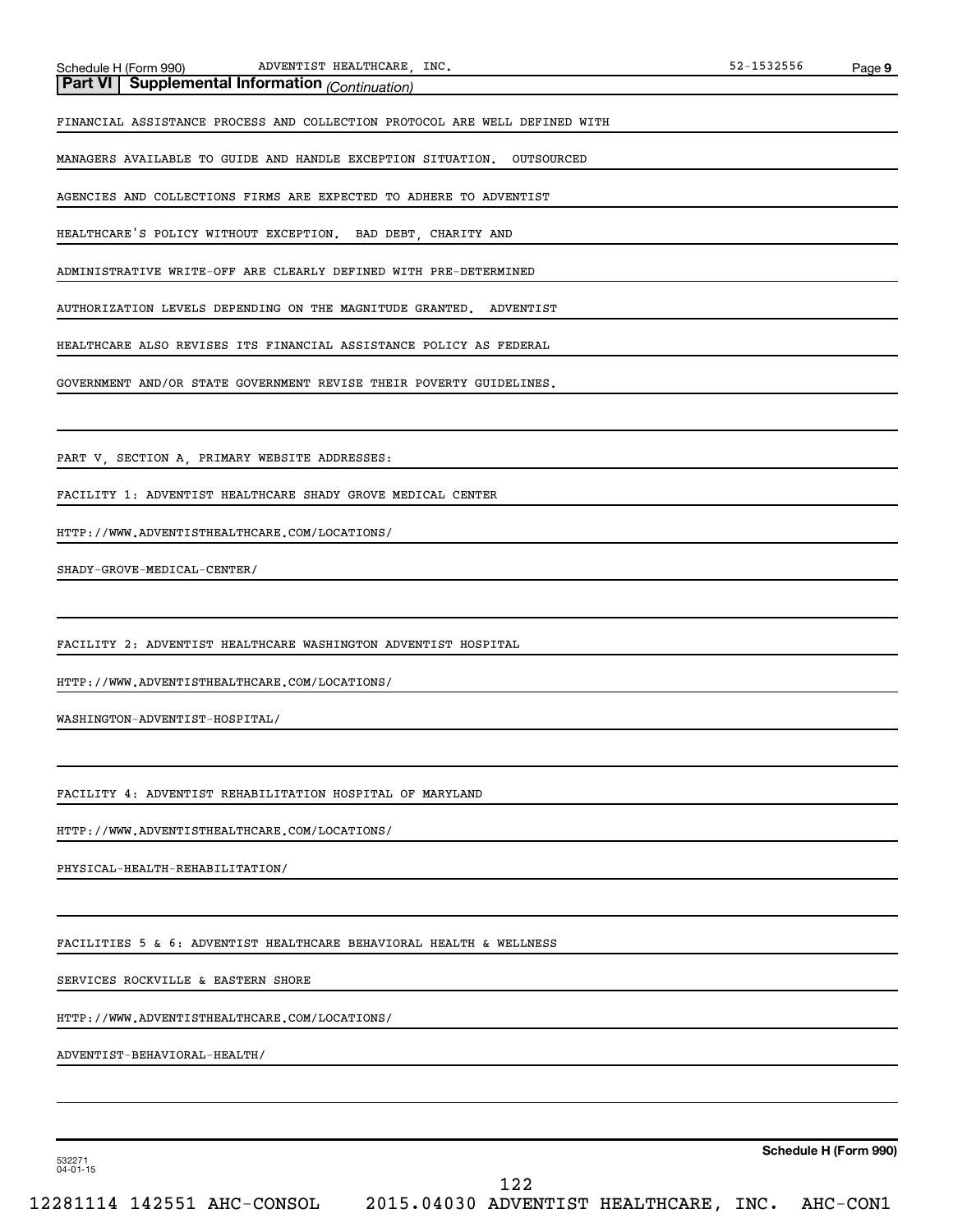**Part VI Supplemental Information** *(Continuation)*

FINANCIAL ASSISTANCE PROCESS AND COLLECTION PROTOCOL ARE WELL DEFINED WITH

MANAGERS AVAILABLE TO GUIDE AND HANDLE EXCEPTION SITUATION. OUTSOURCED

AGENCIES AND COLLECTIONS FIRMS ARE EXPECTED TO ADHERE TO ADVENTIST

HEALTHCARE'S POLICY WITHOUT EXCEPTION. BAD DEBT, CHARITY AND

ADMINISTRATIVE WRITE-OFF ARE CLEARLY DEFINED WITH PRE-DETERMINED

AUTHORIZATION LEVELS DEPENDING ON THE MAGNITUDE GRANTED. ADVENTIST

HEALTHCARE ALSO REVISES ITS FINANCIAL ASSISTANCE POLICY AS FEDERAL

GOVERNMENT AND/OR STATE GOVERNMENT REVISE THEIR POVERTY GUIDELINES.

PART V, SECTION A, PRIMARY WEBSITE ADDRESSES:

FACILITY 1: ADVENTIST HEALTHCARE SHADY GROVE MEDICAL CENTER

HTTP://WWW.ADVENTISTHEALTHCARE.COM/LOCATIONS/

SHADY-GROVE-MEDICAL-CENTER/

FACILITY 2: ADVENTIST HEALTHCARE WASHINGTON ADVENTIST HOSPITAL

HTTP://WWW.ADVENTISTHEALTHCARE.COM/LOCATIONS/

WASHINGTON-ADVENTIST-HOSPITAL/

FACILITY 4: ADVENTIST REHABILITATION HOSPITAL OF MARYLAND

HTTP://WWW.ADVENTISTHEALTHCARE.COM/LOCATIONS/

PHYSICAL-HEALTH-REHABILITATION/

FACILITIES 5 & 6: ADVENTIST HEALTHCARE BEHAVIORAL HEALTH & WELLNESS

SERVICES ROCKVILLE & EASTERN SHORE

HTTP://WWW.ADVENTISTHEALTHCARE.COM/LOCATIONS/

ADVENTIST-BEHAVIORAL-HEALTH/

**Schedule H (Form 990)**

532271 04-01-15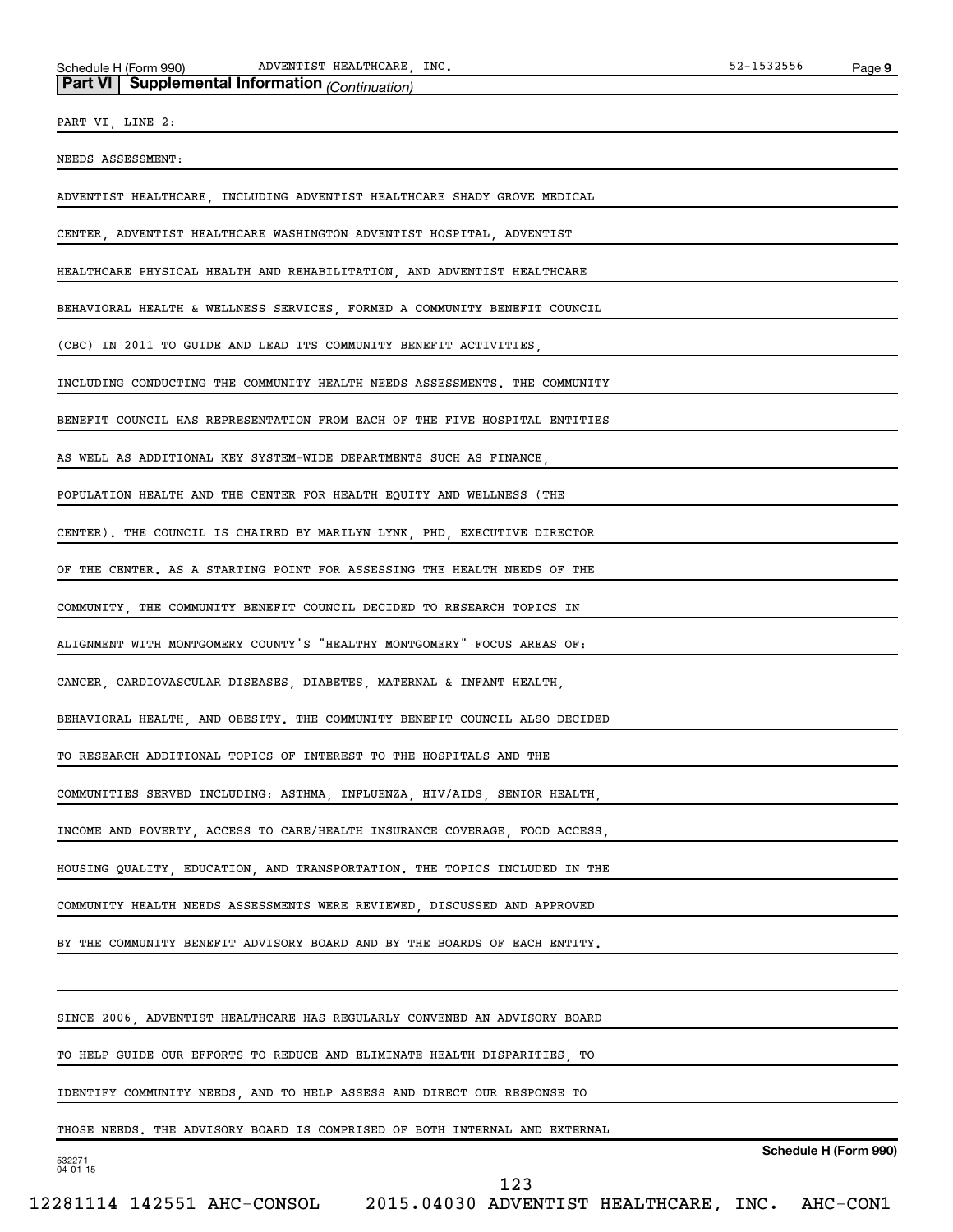**Part VI Supplemental Information** *(Continuation)*

PART VI, LINE 2:

NEEDS ASSESSMENT:

ADVENTIST HEALTHCARE, INCLUDING ADVENTIST HEALTHCARE SHADY GROVE MEDICAL

CENTER, ADVENTIST HEALTHCARE WASHINGTON ADVENTIST HOSPITAL, ADVENTIST

HEALTHCARE PHYSICAL HEALTH AND REHABILITATION, AND ADVENTIST HEALTHCARE

BEHAVIORAL HEALTH & WELLNESS SERVICES, FORMED A COMMUNITY BENEFIT COUNCIL

(CBC) IN 2011 TO GUIDE AND LEAD ITS COMMUNITY BENEFIT ACTIVITIES,

INCLUDING CONDUCTING THE COMMUNITY HEALTH NEEDS ASSESSMENTS. THE COMMUNITY

BENEFIT COUNCIL HAS REPRESENTATION FROM EACH OF THE FIVE HOSPITAL ENTITIES

AS WELL AS ADDITIONAL KEY SYSTEM-WIDE DEPARTMENTS SUCH AS FINANCE

POPULATION HEALTH AND THE CENTER FOR HEALTH EQUITY AND WELLNESS (THE

CENTER). THE COUNCIL IS CHAIRED BY MARILYN LYNK, PHD, EXECUTIVE DIRECTOR

OF THE CENTER. AS A STARTING POINT FOR ASSESSING THE HEALTH NEEDS OF THE

COMMUNITY, THE COMMUNITY BENEFIT COUNCIL DECIDED TO RESEARCH TOPICS IN

ALIGNMENT WITH MONTGOMERY COUNTY'S "HEALTHY MONTGOMERY" FOCUS AREAS OF:

CANCER, CARDIOVASCULAR DISEASES, DIABETES, MATERNAL & INFANT HEALTH,

BEHAVIORAL HEALTH, AND OBESITY. THE COMMUNITY BENEFIT COUNCIL ALSO DECIDED

TO RESEARCH ADDITIONAL TOPICS OF INTEREST TO THE HOSPITALS AND THE

COMMUNITIES SERVED INCLUDING: ASTHMA, INFLUENZA, HIV/AIDS, SENIOR HEALTH,

INCOME AND POVERTY, ACCESS TO CARE/HEALTH INSURANCE COVERAGE, FOOD ACCESS,

HOUSING QUALITY, EDUCATION, AND TRANSPORTATION. THE TOPICS INCLUDED IN THE

COMMUNITY HEALTH NEEDS ASSESSMENTS WERE REVIEWED, DISCUSSED AND APPROVED

BY THE COMMUNITY BENEFIT ADVISORY BOARD AND BY THE BOARDS OF EACH ENTITY.

SINCE 2006, ADVENTIST HEALTHCARE HAS REGULARLY CONVENED AN ADVISORY BOARD

TO HELP GUIDE OUR EFFORTS TO REDUCE AND ELIMINATE HEALTH DISPARITIES, TO

IDENTIFY COMMUNITY NEEDS, AND TO HELP ASSESS AND DIRECT OUR RESPONSE TO

THOSE NEEDS. THE ADVISORY BOARD IS COMPRISED OF BOTH INTERNAL AND EXTERNAL

532271 04-01-15

**Schedule H (Form 990)**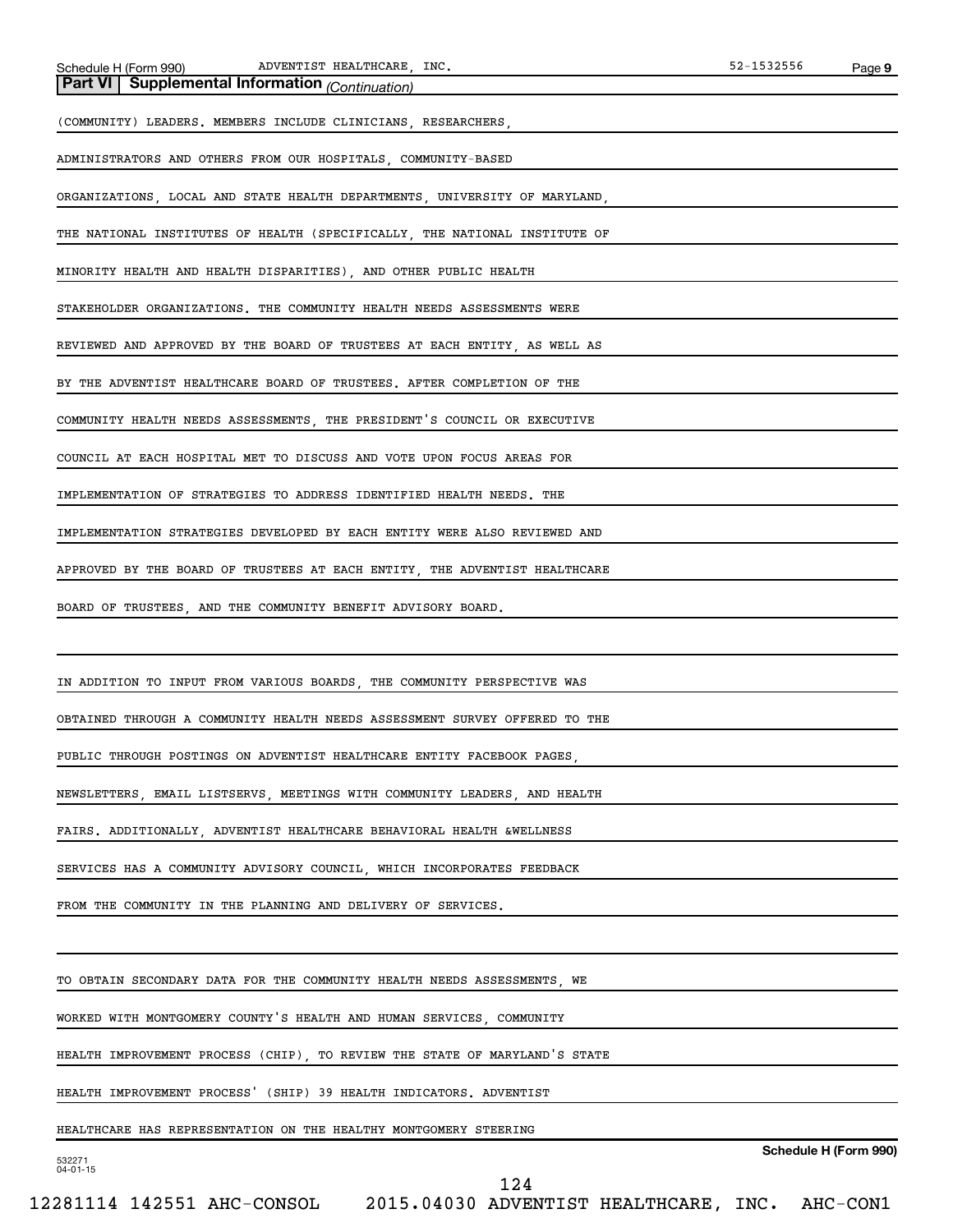(COMMUNITY) LEADERS. MEMBERS INCLUDE CLINICIANS, RESEARCHERS,

ADMINISTRATORS AND OTHERS FROM OUR HOSPITALS, COMMUNITY-BASED

ORGANIZATIONS, LOCAL AND STATE HEALTH DEPARTMENTS, UNIVERSITY OF MARYLAND,

THE NATIONAL INSTITUTES OF HEALTH (SPECIFICALLY, THE NATIONAL INSTITUTE OF

MINORITY HEALTH AND HEALTH DISPARITIES), AND OTHER PUBLIC HEALTH

STAKEHOLDER ORGANIZATIONS. THE COMMUNITY HEALTH NEEDS ASSESSMENTS WERE

REVIEWED AND APPROVED BY THE BOARD OF TRUSTEES AT EACH ENTITY AS WELL AS

BY THE ADVENTIST HEALTHCARE BOARD OF TRUSTEES. AFTER COMPLETION OF THE

COMMUNITY HEALTH NEEDS ASSESSMENTS, THE PRESIDENT'S COUNCIL OR EXECUTIVE

COUNCIL AT EACH HOSPITAL MET TO DISCUSS AND VOTE UPON FOCUS AREAS FOR

IMPLEMENTATION OF STRATEGIES TO ADDRESS IDENTIFIED HEALTH NEEDS. THE

IMPLEMENTATION STRATEGIES DEVELOPED BY EACH ENTITY WERE ALSO REVIEWED AND

APPROVED BY THE BOARD OF TRUSTEES AT EACH ENTITY, THE ADVENTIST HEALTHCARE

BOARD OF TRUSTEES, AND THE COMMUNITY BENEFIT ADVISORY BOARD.

IN ADDITION TO INPUT FROM VARIOUS BOARDS, THE COMMUNITY PERSPECTIVE WAS

OBTAINED THROUGH A COMMUNITY HEALTH NEEDS ASSESSMENT SURVEY OFFERED TO THE

PUBLIC THROUGH POSTINGS ON ADVENTIST HEALTHCARE ENTITY FACEBOOK PAGES,

NEWSLETTERS, EMAIL LISTSERVS, MEETINGS WITH COMMUNITY LEADERS, AND HEALTH

FAIRS. ADDITIONALLY, ADVENTIST HEALTHCARE BEHAVIORAL HEALTH &WELLNESS

SERVICES HAS A COMMUNITY ADVISORY COUNCIL, WHICH INCORPORATES FEEDBACK

FROM THE COMMUNITY IN THE PLANNING AND DELIVERY OF SERVICES.

TO OBTAIN SECONDARY DATA FOR THE COMMUNITY HEALTH NEEDS ASSESSMENTS, WE

WORKED WITH MONTGOMERY COUNTY'S HEALTH AND HUMAN SERVICES, COMMUNITY

HEALTH IMPROVEMENT PROCESS (CHIP), TO REVIEW THE STATE OF MARYLAND'S STATE

HEALTH IMPROVEMENT PROCESS' (SHIP) 39 HEALTH INDICATORS. ADVENTIST

HEALTHCARE HAS REPRESENTATION ON THE HEALTHY MONTGOMERY STEERING

**Schedule H (Form 990)**

532271 04-01-15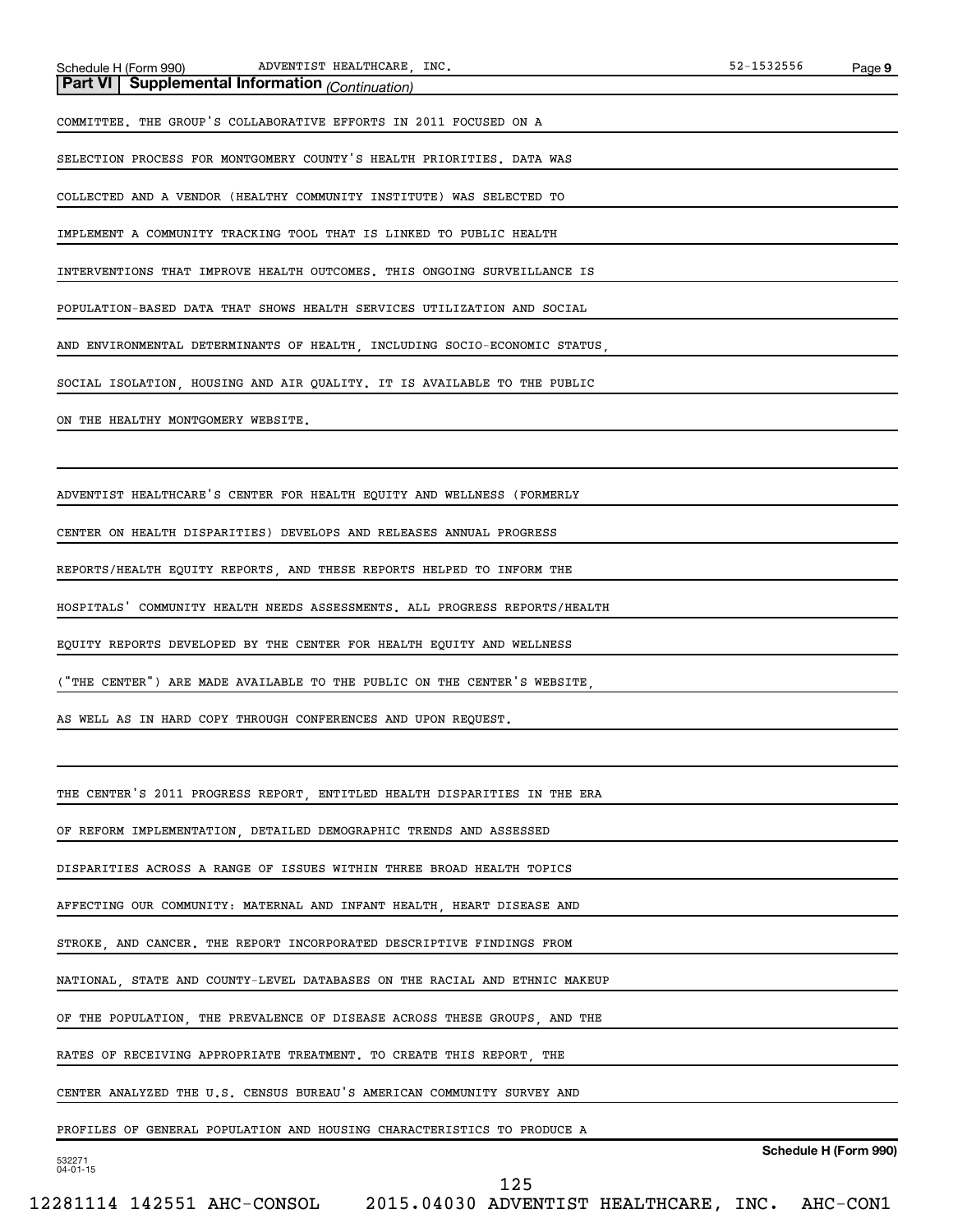COMMITTEE. THE GROUP'S COLLABORATIVE EFFORTS IN 2011 FOCUSED ON A

SELECTION PROCESS FOR MONTGOMERY COUNTY'S HEALTH PRIORITIES. DATA WAS

COLLECTED AND A VENDOR (HEALTHY COMMUNITY INSTITUTE) WAS SELECTED TO

IMPLEMENT A COMMUNITY TRACKING TOOL THAT IS LINKED TO PUBLIC HEALTH

INTERVENTIONS THAT IMPROVE HEALTH OUTCOMES. THIS ONGOING SURVEILLANCE IS

POPULATION-BASED DATA THAT SHOWS HEALTH SERVICES UTILIZATION AND SOCIAL

AND ENVIRONMENTAL DETERMINANTS OF HEALTH, INCLUDING SOCIO-ECONOMIC STATUS,

SOCIAL ISOLATION, HOUSING AND AIR QUALITY. IT IS AVAILABLE TO THE PUBLIC

ON THE HEALTHY MONTGOMERY WEBSITE.

ADVENTIST HEALTHCARE'S CENTER FOR HEALTH EQUITY AND WELLNESS (FORMERLY

CENTER ON HEALTH DISPARITIES) DEVELOPS AND RELEASES ANNUAL PROGRESS

REPORTS/HEALTH EQUITY REPORTS, AND THESE REPORTS HELPED TO INFORM THE

HOSPITALS' COMMUNITY HEALTH NEEDS ASSESSMENTS. ALL PROGRESS REPORTS/HEALTH

EQUITY REPORTS DEVELOPED BY THE CENTER FOR HEALTH EQUITY AND WELLNESS

("THE CENTER") ARE MADE AVAILABLE TO THE PUBLIC ON THE CENTER'S WEBSITE,

AS WELL AS IN HARD COPY THROUGH CONFERENCES AND UPON REQUEST.

THE CENTER'S 2011 PROGRESS REPORT, ENTITLED HEALTH DISPARITIES IN THE ERA

OF REFORM IMPLEMENTATION, DETAILED DEMOGRAPHIC TRENDS AND ASSESSED

DISPARITIES ACROSS A RANGE OF ISSUES WITHIN THREE BROAD HEALTH TOPICS

AFFECTING OUR COMMUNITY: MATERNAL AND INFANT HEALTH, HEART DISEASE AND

STROKE, AND CANCER. THE REPORT INCORPORATED DESCRIPTIVE FINDINGS FROM

NATIONAL, STATE AND COUNTY-LEVEL DATABASES ON THE RACIAL AND ETHNIC MAKEUP

OF THE POPULATION, THE PREVALENCE OF DISEASE ACROSS THESE GROUPS, AND THE

RATES OF RECEIVING APPROPRIATE TREATMENT. TO CREATE THIS REPORT, THE

CENTER ANALYZED THE U.S. CENSUS BUREAU'S AMERICAN COMMUNITY SURVEY AND

PROFILES OF GENERAL POPULATION AND HOUSING CHARACTERISTICS TO PRODUCE A

**Schedule H (Form 990)**

532271 04-01-15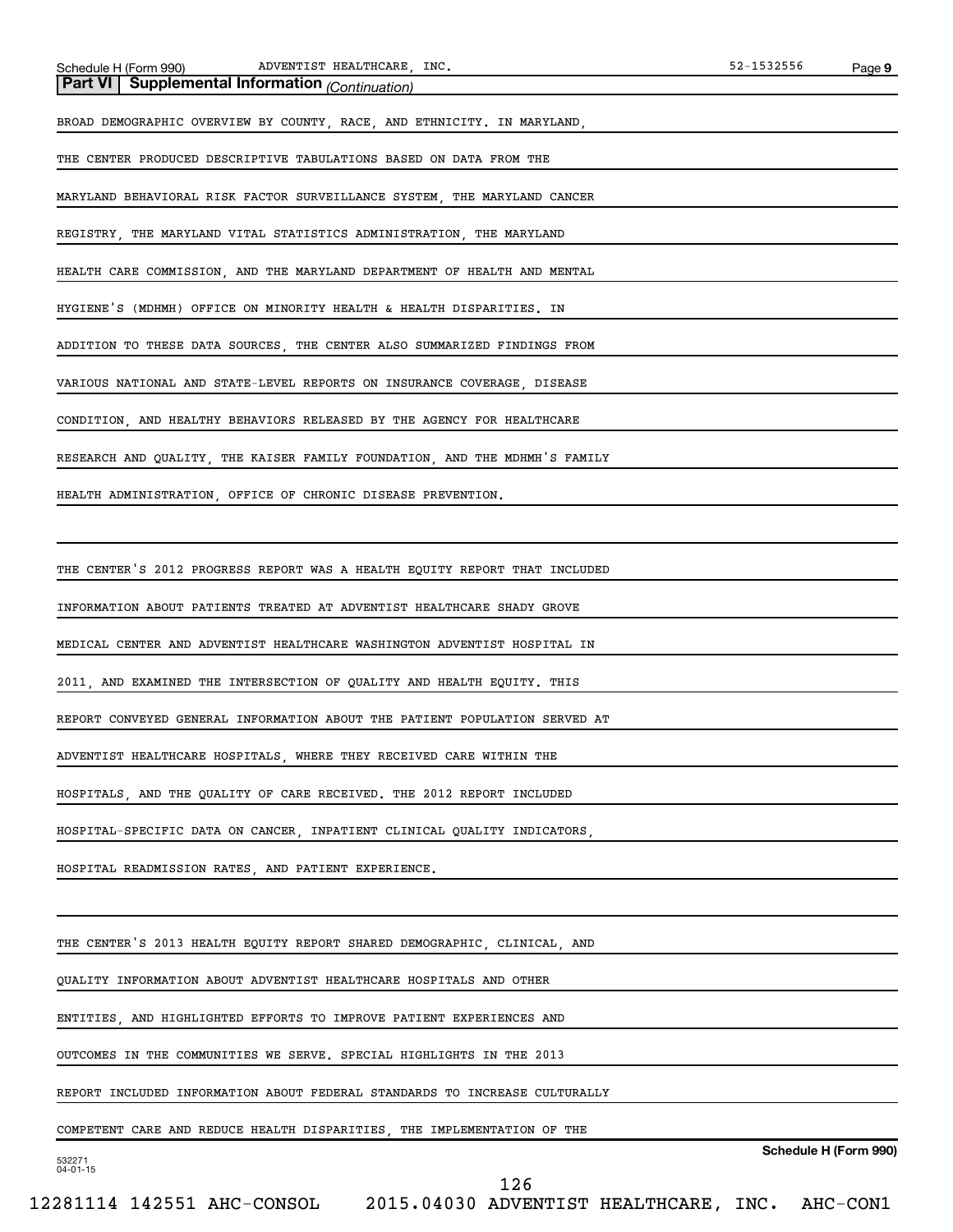**Part VI Supplemental Information** *(Continuation)*

BROAD DEMOGRAPHIC OVERVIEW BY COUNTY, RACE, AND ETHNICITY. IN MARYLAND,

THE CENTER PRODUCED DESCRIPTIVE TABULATIONS BASED ON DATA FROM THE

MARYLAND BEHAVIORAL RISK FACTOR SURVEILLANCE SYSTEM, THE MARYLAND CANCER

REGISTRY, THE MARYLAND VITAL STATISTICS ADMINISTRATION, THE MARYLAND

HEALTH CARE COMMISSION, AND THE MARYLAND DEPARTMENT OF HEALTH AND MENTAL

HYGIENE'S (MDHMH) OFFICE ON MINORITY HEALTH & HEALTH DISPARITIES. IN

ADDITION TO THESE DATA SOURCES, THE CENTER ALSO SUMMARIZED FINDINGS FROM

VARIOUS NATIONAL AND STATE-LEVEL REPORTS ON INSURANCE COVERAGE, DISEASE

CONDITION, AND HEALTHY BEHAVIORS RELEASED BY THE AGENCY FOR HEALTHCARE

RESEARCH AND QUALITY, THE KAISER FAMILY FOUNDATION, AND THE MDHMH'S FAMILY

HEALTH ADMINISTRATION, OFFICE OF CHRONIC DISEASE PREVENTION.

THE CENTER'S 2012 PROGRESS REPORT WAS A HEALTH EQUITY REPORT THAT INCLUDED

INFORMATION ABOUT PATIENTS TREATED AT ADVENTIST HEALTHCARE SHADY GROVE

MEDICAL CENTER AND ADVENTIST HEALTHCARE WASHINGTON ADVENTIST HOSPITAL IN

2011, AND EXAMINED THE INTERSECTION OF QUALITY AND HEALTH EQUITY. THIS

REPORT CONVEYED GENERAL INFORMATION ABOUT THE PATIENT POPULATION SERVED AT

ADVENTIST HEALTHCARE HOSPITALS, WHERE THEY RECEIVED CARE WITHIN THE

HOSPITALS, AND THE QUALITY OF CARE RECEIVED. THE 2012 REPORT INCLUDED

HOSPITAL-SPECIFIC DATA ON CANCER, INPATIENT CLINICAL QUALITY INDICATORS,

HOSPITAL READMISSION RATES, AND PATIENT EXPERIENCE.

THE CENTER'S 2013 HEALTH EQUITY REPORT SHARED DEMOGRAPHIC, CLINICAL, AND

QUALITY INFORMATION ABOUT ADVENTIST HEALTHCARE HOSPITALS AND OTHER

ENTITIES, AND HIGHLIGHTED EFFORTS TO IMPROVE PATIENT EXPERIENCES AND

OUTCOMES IN THE COMMUNITIES WE SERVE. SPECIAL HIGHLIGHTS IN THE 2013

REPORT INCLUDED INFORMATION ABOUT FEDERAL STANDARDS TO INCREASE CULTURALLY

COMPETENT CARE AND REDUCE HEALTH DISPARITIES, THE IMPLEMENTATION OF THE

532271 04-01-15

**Schedule H (Form 990)**

12281114 142551 AHC-CONSOL 2015.04030 ADVENTIST HEALTHCARE, INC. AHC-CON1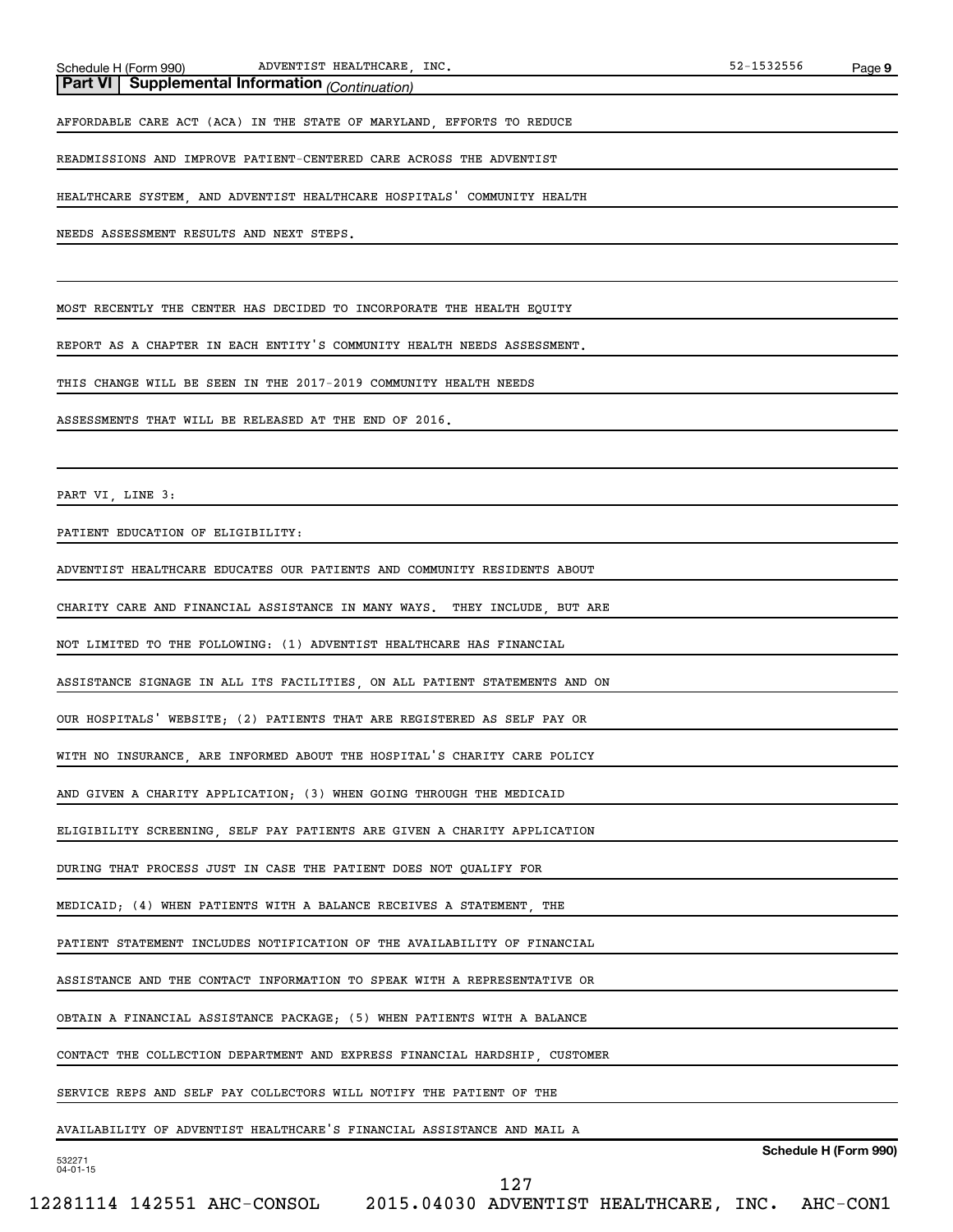AFFORDABLE CARE ACT (ACA) IN THE STATE OF MARYLAND, EFFORTS TO REDUCE

READMISSIONS AND IMPROVE PATIENT-CENTERED CARE ACROSS THE ADVENTIST

HEALTHCARE SYSTEM, AND ADVENTIST HEALTHCARE HOSPITALS' COMMUNITY HEALTH

NEEDS ASSESSMENT RESULTS AND NEXT STEPS.

MOST RECENTLY THE CENTER HAS DECIDED TO INCORPORATE THE HEALTH EQUITY

REPORT AS A CHAPTER IN EACH ENTITY'S COMMUNITY HEALTH NEEDS ASSESSMENT.

THIS CHANGE WILL BE SEEN IN THE 2017-2019 COMMUNITY HEALTH NEEDS

ASSESSMENTS THAT WILL BE RELEASED AT THE END OF 2016.

PART VI, LINE 3:

PATIENT EDUCATION OF ELIGIBILITY:

ADVENTIST HEALTHCARE EDUCATES OUR PATIENTS AND COMMUNITY RESIDENTS ABOUT

CHARITY CARE AND FINANCIAL ASSISTANCE IN MANY WAYS. THEY INCLUDE, BUT ARE

NOT LIMITED TO THE FOLLOWING: (1) ADVENTIST HEALTHCARE HAS FINANCIAL

ASSISTANCE SIGNAGE IN ALL ITS FACILITIES, ON ALL PATIENT STATEMENTS AND ON

OUR HOSPITALS' WEBSITE; (2) PATIENTS THAT ARE REGISTERED AS SELF PAY OR

WITH NO INSURANCE, ARE INFORMED ABOUT THE HOSPITAL'S CHARITY CARE POLICY

AND GIVEN A CHARITY APPLICATION; (3) WHEN GOING THROUGH THE MEDICAID

ELIGIBILITY SCREENING, SELF PAY PATIENTS ARE GIVEN A CHARITY APPLICATION

DURING THAT PROCESS JUST IN CASE THE PATIENT DOES NOT QUALIFY FOR

MEDICAID; (4) WHEN PATIENTS WITH A BALANCE RECEIVES A STATEMENT, THE

PATIENT STATEMENT INCLUDES NOTIFICATION OF THE AVAILABILITY OF FINANCIAL

ASSISTANCE AND THE CONTACT INFORMATION TO SPEAK WITH A REPRESENTATIVE OR

OBTAIN A FINANCIAL ASSISTANCE PACKAGE; (5) WHEN PATIENTS WITH A BALANCE

CONTACT THE COLLECTION DEPARTMENT AND EXPRESS FINANCIAL HARDSHIP, CUSTOMER

SERVICE REPS AND SELF PAY COLLECTORS WILL NOTIFY THE PATIENT OF THE

AVAILABILITY OF ADVENTIST HEALTHCARE'S FINANCIAL ASSISTANCE AND MAIL A

**Schedule H (Form 990)**

532271 04-01-15

12281114 142551 AHC-CONSOL 2015.04030 ADVENTIST HEALTHCARE, INC. AHC-CON1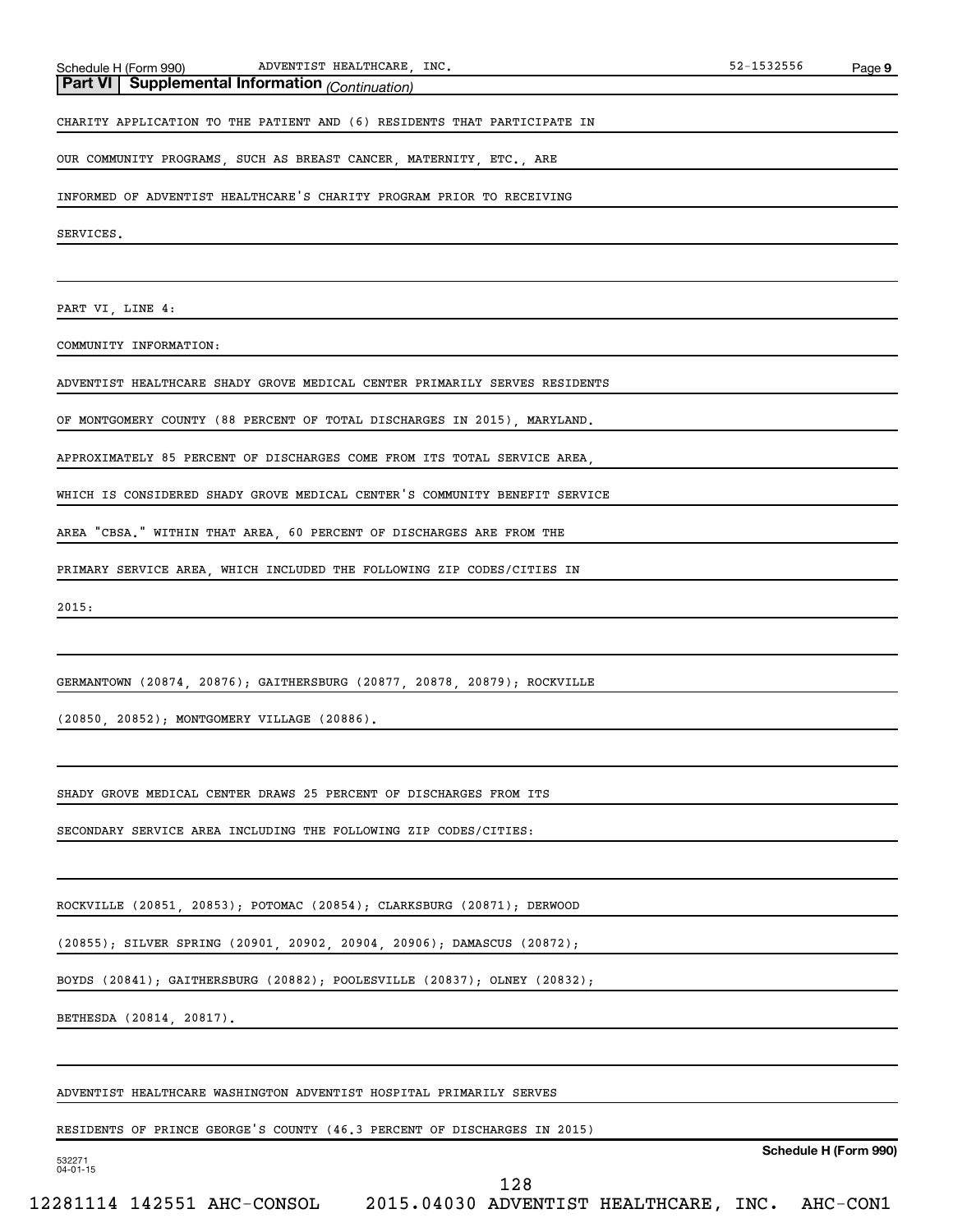CHARITY APPLICATION TO THE PATIENT AND (6) RESIDENTS THAT PARTICIPATE IN

OUR COMMUNITY PROGRAMS, SUCH AS BREAST CANCER, MATERNITY, ETC., ARE

INFORMED OF ADVENTIST HEALTHCARE'S CHARITY PROGRAM PRIOR TO RECEIVING

SERVICES.

PART VI, LINE 4:

COMMUNITY INFORMATION:

ADVENTIST HEALTHCARE SHADY GROVE MEDICAL CENTER PRIMARILY SERVES RESIDENTS

OF MONTGOMERY COUNTY (88 PERCENT OF TOTAL DISCHARGES IN 2015), MARYLAND.

APPROXIMATELY 85 PERCENT OF DISCHARGES COME FROM ITS TOTAL SERVICE AREA,

WHICH IS CONSIDERED SHADY GROVE MEDICAL CENTER'S COMMUNITY BENEFIT SERVICE

AREA "CBSA." WITHIN THAT AREA, 60 PERCENT OF DISCHARGES ARE FROM THE

PRIMARY SERVICE AREA, WHICH INCLUDED THE FOLLOWING ZIP CODES/CITIES IN

2015:

GERMANTOWN (20874, 20876); GAITHERSBURG (20877, 20878, 20879); ROCKVILLE

(20850, 20852); MONTGOMERY VILLAGE (20886).

SHADY GROVE MEDICAL CENTER DRAWS 25 PERCENT OF DISCHARGES FROM ITS

SECONDARY SERVICE AREA INCLUDING THE FOLLOWING ZIP CODES/CITIES:

ROCKVILLE (20851, 20853); POTOMAC (20854); CLARKSBURG (20871); DERWOOD

(20855); SILVER SPRING (20901, 20902, 20904, 20906); DAMASCUS (20872);

BOYDS (20841); GAITHERSBURG (20882); POOLESVILLE (20837); OLNEY (20832);

BETHESDA (20814, 20817).

ADVENTIST HEALTHCARE WASHINGTON ADVENTIST HOSPITAL PRIMARILY SERVES

RESIDENTS OF PRINCE GEORGE'S COUNTY (46.3 PERCENT OF DISCHARGES IN 2015)

**Schedule H (Form 990)**

532271 04-01-15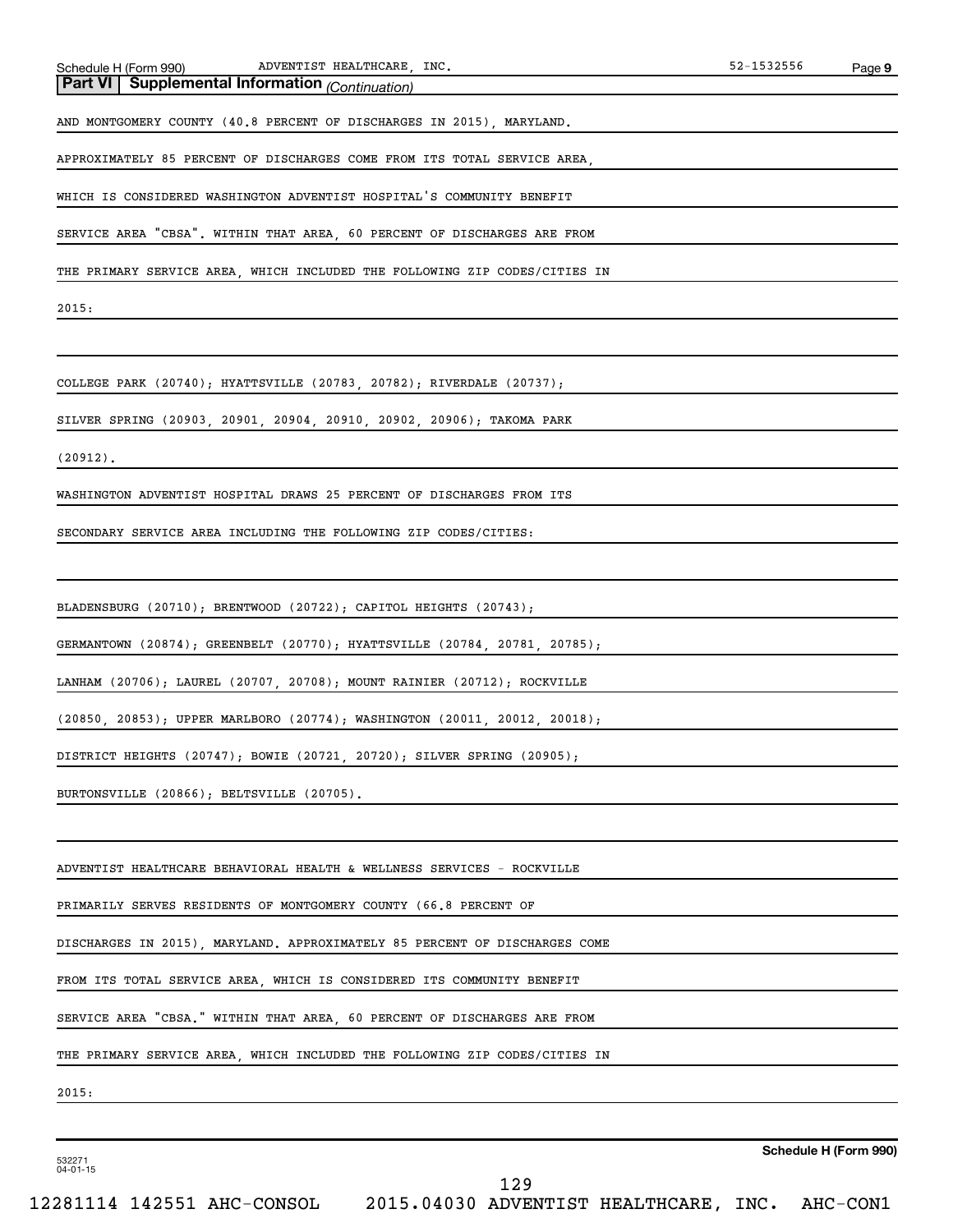**Part VI Supplemental Information** *(Continuation)*

AND MONTGOMERY COUNTY (40.8 PERCENT OF DISCHARGES IN 2015), MARYLAND.

APPROXIMATELY 85 PERCENT OF DISCHARGES COME FROM ITS TOTAL SERVICE AREA,

WHICH IS CONSIDERED WASHINGTON ADVENTIST HOSPITAL'S COMMUNITY BENEFIT

SERVICE AREA "CBSA". WITHIN THAT AREA, 60 PERCENT OF DISCHARGES ARE FROM

THE PRIMARY SERVICE AREA, WHICH INCLUDED THE FOLLOWING ZIP CODES/CITIES IN

2015:

COLLEGE PARK (20740); HYATTSVILLE (20783, 20782); RIVERDALE (20737);

SILVER SPRING (20903, 20901, 20904, 20910, 20902, 20906); TAKOMA PARK

(20912).

WASHINGTON ADVENTIST HOSPITAL DRAWS 25 PERCENT OF DISCHARGES FROM ITS

SECONDARY SERVICE AREA INCLUDING THE FOLLOWING ZIP CODES/CITIES:

BLADENSBURG (20710); BRENTWOOD (20722); CAPITOL HEIGHTS (20743);

GERMANTOWN (20874); GREENBELT (20770); HYATTSVILLE (20784, 20781, 20785);

LANHAM (20706); LAUREL (20707, 20708); MOUNT RAINIER (20712); ROCKVILLE

(20850, 20853); UPPER MARLBORO (20774); WASHINGTON (20011, 20012, 20018);

DISTRICT HEIGHTS (20747); BOWIE (20721, 20720); SILVER SPRING (20905);

BURTONSVILLE (20866); BELTSVILLE (20705).

ADVENTIST HEALTHCARE BEHAVIORAL HEALTH & WELLNESS SERVICES - ROCKVILLE

PRIMARILY SERVES RESIDENTS OF MONTGOMERY COUNTY (66.8 PERCENT OF

DISCHARGES IN 2015), MARYLAND. APPROXIMATELY 85 PERCENT OF DISCHARGES COME

FROM ITS TOTAL SERVICE AREA, WHICH IS CONSIDERED ITS COMMUNITY BENEFIT

SERVICE AREA "CBSA." WITHIN THAT AREA, 60 PERCENT OF DISCHARGES ARE FROM

THE PRIMARY SERVICE AREA, WHICH INCLUDED THE FOLLOWING ZIP CODES/CITIES IN

2015:

**Schedule H (Form 990)**

532271 04-01-15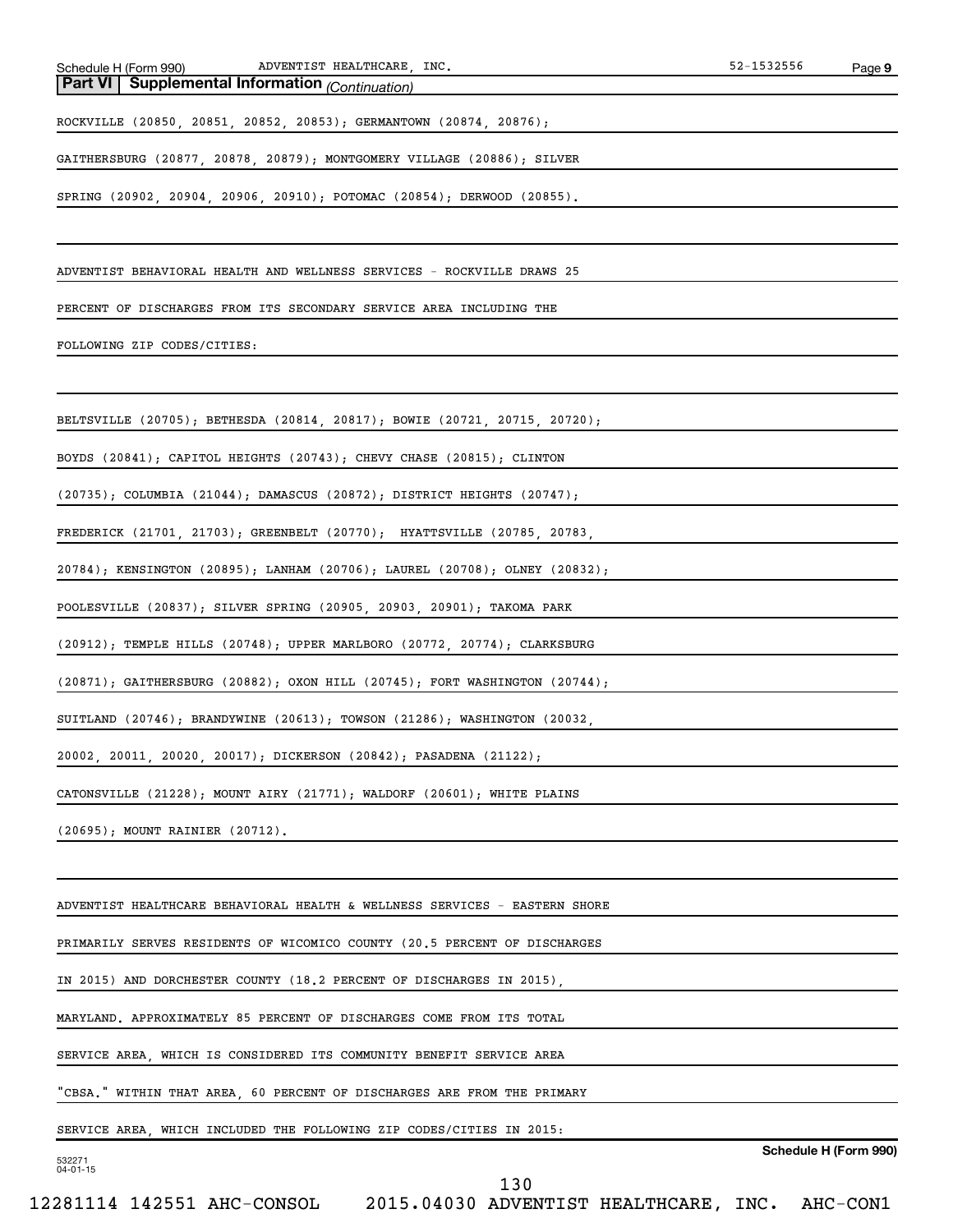ROCKVILLE (20850, 20851, 20852, 20853); GERMANTOWN (20874, 20876);

GAITHERSBURG (20877, 20878, 20879); MONTGOMERY VILLAGE (20886); SILVER

SPRING (20902, 20904, 20906, 20910); POTOMAC (20854); DERWOOD (20855).

ADVENTIST BEHAVIORAL HEALTH AND WELLNESS SERVICES - ROCKVILLE DRAWS 25

PERCENT OF DISCHARGES FROM ITS SECONDARY SERVICE AREA INCLUDING THE

FOLLOWING ZIP CODES/CITIES:

BELTSVILLE (20705); BETHESDA (20814, 20817); BOWIE (20721, 20715, 20720);

BOYDS (20841); CAPITOL HEIGHTS (20743); CHEVY CHASE (20815); CLINTON

(20735); COLUMBIA (21044); DAMASCUS (20872); DISTRICT HEIGHTS (20747);

FREDERICK (21701, 21703); GREENBELT (20770); HYATTSVILLE (20785, 20783,

20784); KENSINGTON (20895); LANHAM (20706); LAUREL (20708); OLNEY (20832);

POOLESVILLE (20837); SILVER SPRING (20905, 20903, 20901); TAKOMA PARK

(20912); TEMPLE HILLS (20748); UPPER MARLBORO (20772, 20774); CLARKSBURG

(20871); GAITHERSBURG (20882); OXON HILL (20745); FORT WASHINGTON (20744);

SUITLAND (20746); BRANDYWINE (20613); TOWSON (21286); WASHINGTON (20032,

20002, 20011, 20020, 20017); DICKERSON (20842); PASADENA (21122);

CATONSVILLE (21228); MOUNT AIRY (21771); WALDORF (20601); WHITE PLAINS

(20695); MOUNT RAINIER (20712).

ADVENTIST HEALTHCARE BEHAVIORAL HEALTH & WELLNESS SERVICES - EASTERN SHORE

PRIMARILY SERVES RESIDENTS OF WICOMICO COUNTY (20.5 PERCENT OF DISCHARGES

IN 2015) AND DORCHESTER COUNTY (18.2 PERCENT OF DISCHARGES IN 2015),

MARYLAND. APPROXIMATELY 85 PERCENT OF DISCHARGES COME FROM ITS TOTAL

SERVICE AREA, WHICH IS CONSIDERED ITS COMMUNITY BENEFIT SERVICE AREA

"CBSA." WITHIN THAT AREA, 60 PERCENT OF DISCHARGES ARE FROM THE PRIMARY

SERVICE AREA, WHICH INCLUDED THE FOLLOWING ZIP CODES/CITIES IN 2015:

**Schedule H (Form 990)**

532271 04-01-15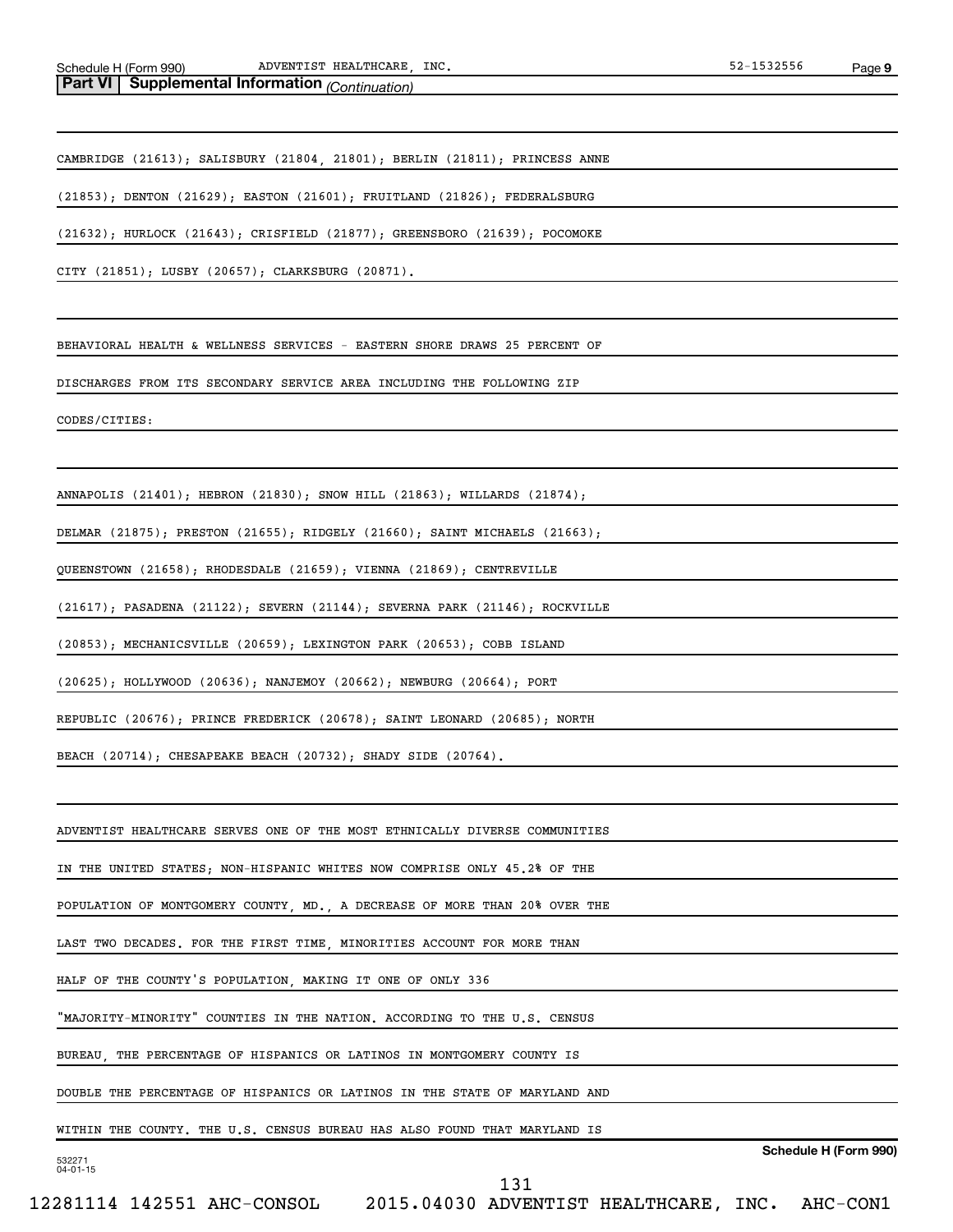CAMBRIDGE (21613); SALISBURY (21804, 21801); BERLIN (21811); PRINCESS ANNE

(21853); DENTON (21629); EASTON (21601); FRUITLAND (21826); FEDERALSBURG

(21632); HURLOCK (21643); CRISFIELD (21877); GREENSBORO (21639); POCOMOKE

CITY (21851); LUSBY (20657); CLARKSBURG (20871).

BEHAVIORAL HEALTH & WELLNESS SERVICES - EASTERN SHORE DRAWS 25 PERCENT OF

DISCHARGES FROM ITS SECONDARY SERVICE AREA INCLUDING THE FOLLOWING ZIP

CODES/CITIES:

ANNAPOLIS (21401); HEBRON (21830); SNOW HILL (21863); WILLARDS (21874);

DELMAR (21875); PRESTON (21655); RIDGELY (21660); SAINT MICHAELS (21663);

QUEENSTOWN (21658); RHODESDALE (21659); VIENNA (21869); CENTREVILLE

(21617); PASADENA (21122); SEVERN (21144); SEVERNA PARK (21146); ROCKVILLE

(20853); MECHANICSVILLE (20659); LEXINGTON PARK (20653); COBB ISLAND

(20625); HOLLYWOOD (20636); NANJEMOY (20662); NEWBURG (20664); PORT

REPUBLIC (20676); PRINCE FREDERICK (20678); SAINT LEONARD (20685); NORTH

BEACH (20714); CHESAPEAKE BEACH (20732); SHADY SIDE (20764).

ADVENTIST HEALTHCARE SERVES ONE OF THE MOST ETHNICALLY DIVERSE COMMUNITIES

IN THE UNITED STATES; NON-HISPANIC WHITES NOW COMPRISE ONLY 45.2% OF THE

POPULATION OF MONTGOMERY COUNTY, MD., A DECREASE OF MORE THAN 20% OVER THE

LAST TWO DECADES. FOR THE FIRST TIME, MINORITIES ACCOUNT FOR MORE THAN

HALF OF THE COUNTY'S POPULATION, MAKING IT ONE OF ONLY 336

"MAJORITY-MINORITY" COUNTIES IN THE NATION. ACCORDING TO THE U.S. CENSUS

BUREAU, THE PERCENTAGE OF HISPANICS OR LATINOS IN MONTGOMERY COUNTY IS

DOUBLE THE PERCENTAGE OF HISPANICS OR LATINOS IN THE STATE OF MARYLAND AND

WITHIN THE COUNTY. THE U.S. CENSUS BUREAU HAS ALSO FOUND THAT MARYLAND IS

**Schedule H (Form 990)**

532271 04-01-15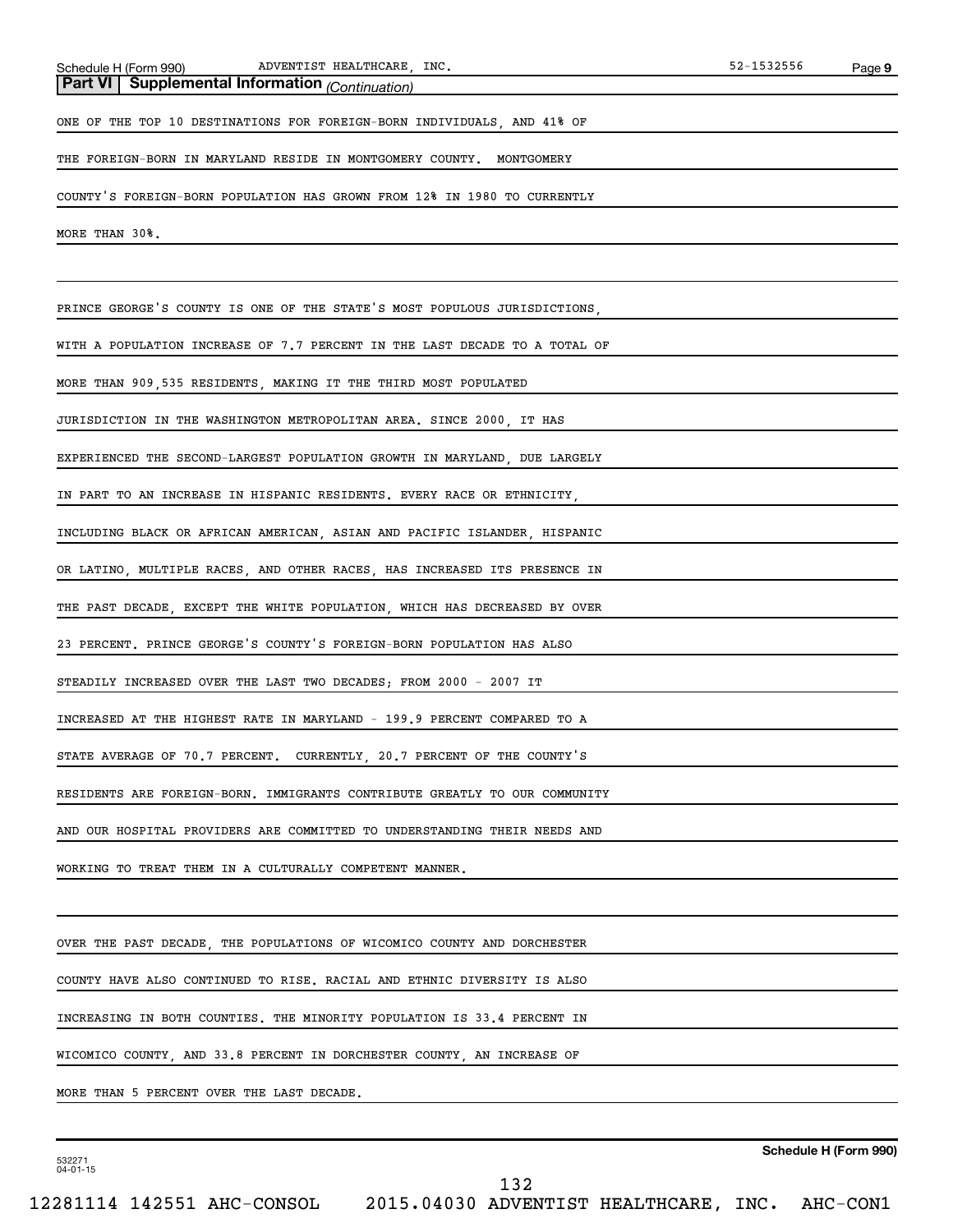ONE OF THE TOP 10 DESTINATIONS FOR FOREIGN-BORN INDIVIDUALS, AND 41% OF

THE FOREIGN-BORN IN MARYLAND RESIDE IN MONTGOMERY COUNTY. MONTGOMERY

COUNTY'S FOREIGN-BORN POPULATION HAS GROWN FROM 12% IN 1980 TO CURRENTLY

MORE THAN 30%.

PRINCE GEORGE'S COUNTY IS ONE OF THE STATE'S MOST POPULOUS JURISDICTIONS

WITH A POPULATION INCREASE OF 7.7 PERCENT IN THE LAST DECADE TO A TOTAL OF

MORE THAN 909,535 RESIDENTS, MAKING IT THE THIRD MOST POPULATED

JURISDICTION IN THE WASHINGTON METROPOLITAN AREA. SINCE 2000, IT HAS

EXPERIENCED THE SECOND-LARGEST POPULATION GROWTH IN MARYLAND, DUE LARGELY

IN PART TO AN INCREASE IN HISPANIC RESIDENTS. EVERY RACE OR ETHNICITY,

INCLUDING BLACK OR AFRICAN AMERICAN, ASIAN AND PACIFIC ISLANDER, HISPANIC

OR LATINO, MULTIPLE RACES, AND OTHER RACES, HAS INCREASED ITS PRESENCE IN

THE PAST DECADE, EXCEPT THE WHITE POPULATION, WHICH HAS DECREASED BY OVER

23 PERCENT. PRINCE GEORGE'S COUNTY'S FOREIGN-BORN POPULATION HAS ALSO

STEADILY INCREASED OVER THE LAST TWO DECADES; FROM 2000 - 2007 IT

INCREASED AT THE HIGHEST RATE IN MARYLAND - 199.9 PERCENT COMPARED TO A

STATE AVERAGE OF 70.7 PERCENT. CURRENTLY, 20.7 PERCENT OF THE COUNTY'S

RESIDENTS ARE FOREIGN-BORN. IMMIGRANTS CONTRIBUTE GREATLY TO OUR COMMUNITY

AND OUR HOSPITAL PROVIDERS ARE COMMITTED TO UNDERSTANDING THEIR NEEDS AND

WORKING TO TREAT THEM IN A CULTURALLY COMPETENT MANNER.

OVER THE PAST DECADE, THE POPULATIONS OF WICOMICO COUNTY AND DORCHESTER

COUNTY HAVE ALSO CONTINUED TO RISE. RACIAL AND ETHNIC DIVERSITY IS ALSO

INCREASING IN BOTH COUNTIES. THE MINORITY POPULATION IS 33.4 PERCENT IN

WICOMICO COUNTY, AND 33.8 PERCENT IN DORCHESTER COUNTY, AN INCREASE OF

MORE THAN 5 PERCENT OVER THE LAST DECADE.

532271 04-01-15

**Schedule H (Form 990)**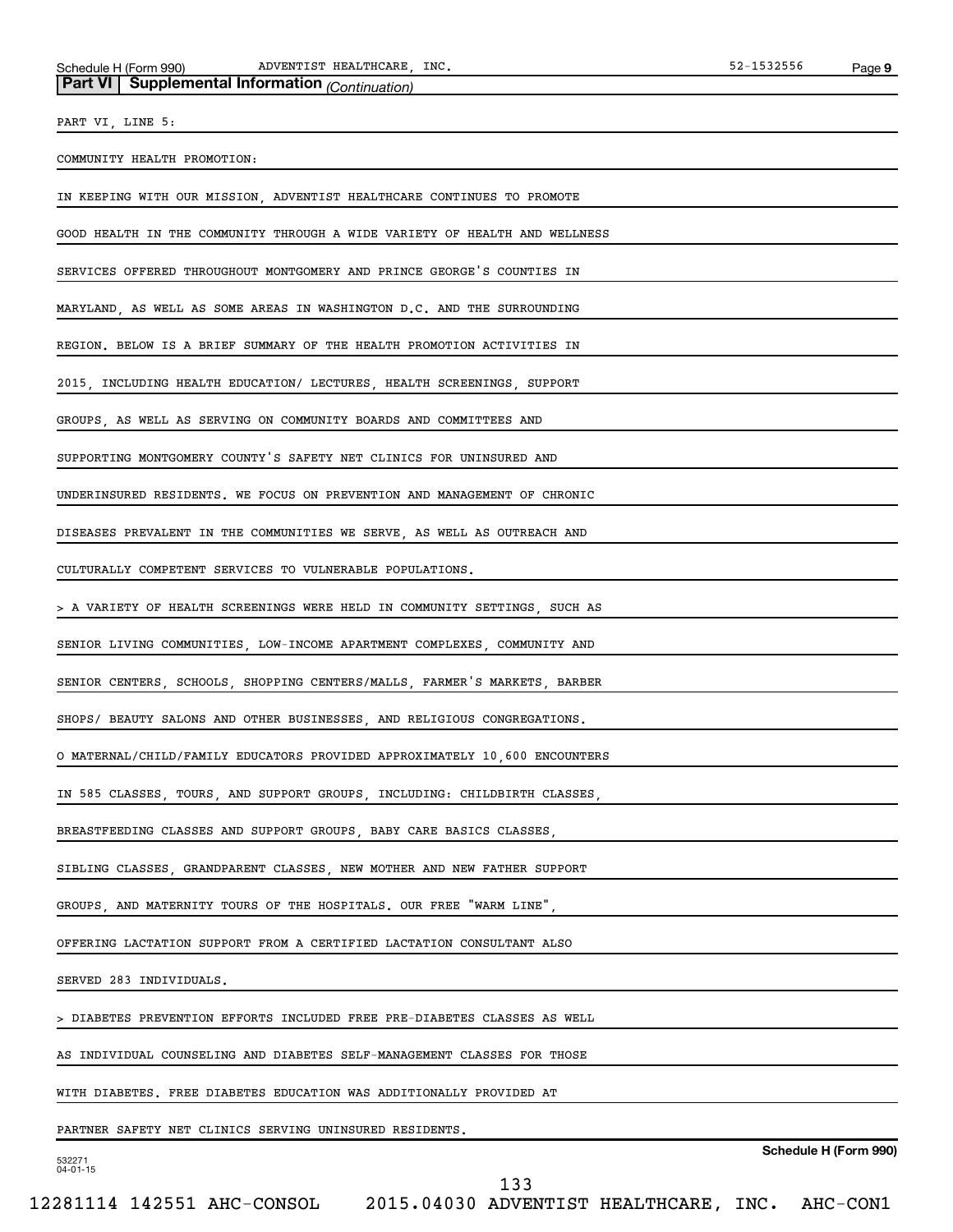**Part VI Supplemental Information** *(Continuation)*

PART VI, LINE 5:

COMMUNITY HEALTH PROMOTION:

IN KEEPING WITH OUR MISSION, ADVENTIST HEALTHCARE CONTINUES TO PROMOTE

GOOD HEALTH IN THE COMMUNITY THROUGH A WIDE VARIETY OF HEALTH AND WELLNESS

SERVICES OFFERED THROUGHOUT MONTGOMERY AND PRINCE GEORGE'S COUNTIES IN

MARYLAND, AS WELL AS SOME AREAS IN WASHINGTON D.C. AND THE SURROUNDING

REGION. BELOW IS A BRIEF SUMMARY OF THE HEALTH PROMOTION ACTIVITIES IN

2015, INCLUDING HEALTH EDUCATION/ LECTURES, HEALTH SCREENINGS, SUPPORT

GROUPS, AS WELL AS SERVING ON COMMUNITY BOARDS AND COMMITTEES AND

SUPPORTING MONTGOMERY COUNTY'S SAFETY NET CLINICS FOR UNINSURED AND

UNDERINSURED RESIDENTS. WE FOCUS ON PREVENTION AND MANAGEMENT OF CHRONIC

DISEASES PREVALENT IN THE COMMUNITIES WE SERVE, AS WELL AS OUTREACH AND

CULTURALLY COMPETENT SERVICES TO VULNERABLE POPULATIONS.

> A VARIETY OF HEALTH SCREENINGS WERE HELD IN COMMUNITY SETTINGS, SUCH AS

SENIOR LIVING COMMUNITIES, LOW-INCOME APARTMENT COMPLEXES, COMMUNITY AND

SENIOR CENTERS, SCHOOLS, SHOPPING CENTERS/MALLS, FARMER'S MARKETS, BARBER

SHOPS/ BEAUTY SALONS AND OTHER BUSINESSES, AND RELIGIOUS CONGREGATIONS.

O MATERNAL/CHILD/FAMILY EDUCATORS PROVIDED APPROXIMATELY 10,600 ENCOUNTERS

IN 585 CLASSES, TOURS, AND SUPPORT GROUPS, INCLUDING: CHILDBIRTH CLASSES,

BREASTFEEDING CLASSES AND SUPPORT GROUPS, BABY CARE BASICS CLASSES

SIBLING CLASSES, GRANDPARENT CLASSES, NEW MOTHER AND NEW FATHER SUPPORT

GROUPS, AND MATERNITY TOURS OF THE HOSPITALS. OUR FREE "WARM LINE",

OFFERING LACTATION SUPPORT FROM A CERTIFIED LACTATION CONSULTANT ALSO

SERVED 283 INDIVIDUALS.

> DIABETES PREVENTION EFFORTS INCLUDED FREE PRE-DIABETES CLASSES AS WELL

AS INDIVIDUAL COUNSELING AND DIABETES SELF-MANAGEMENT CLASSES FOR THOSE

WITH DIABETES. FREE DIABETES EDUCATION WAS ADDITIONALLY PROVIDED AT

PARTNER SAFETY NET CLINICS SERVING UNINSURED RESIDENTS.

532271 04-01-15

**Schedule H (Form 990)**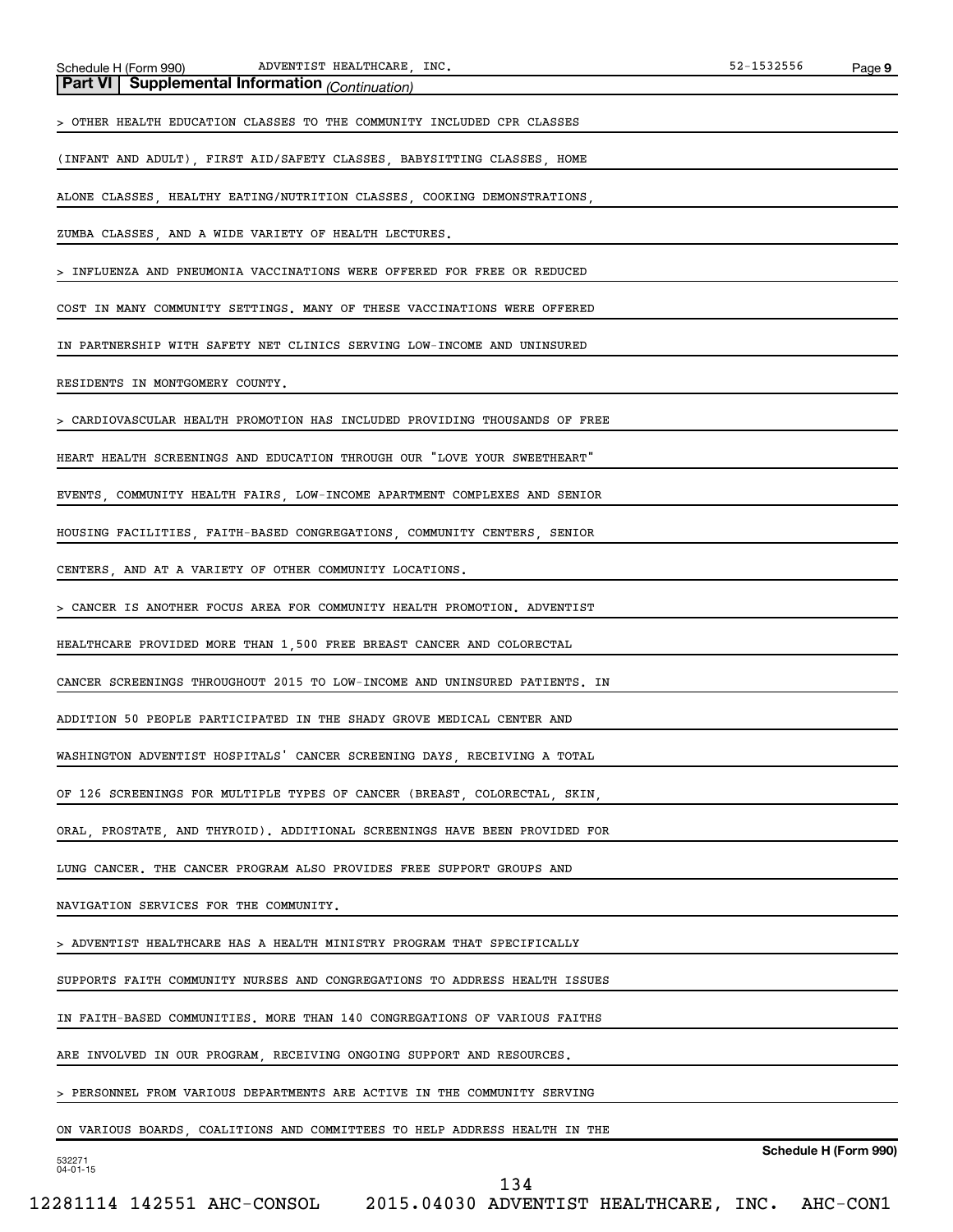> OTHER HEALTH EDUCATION CLASSES TO THE COMMUNITY INCLUDED CPR CLASSES

(INFANT AND ADULT), FIRST AID/SAFETY CLASSES, BABYSITTING CLASSES, HOME

ALONE CLASSES, HEALTHY EATING/NUTRITION CLASSES, COOKING DEMONSTRATIONS,

ZUMBA CLASSES, AND A WIDE VARIETY OF HEALTH LECTURES.

> INFLUENZA AND PNEUMONIA VACCINATIONS WERE OFFERED FOR FREE OR REDUCED

COST IN MANY COMMUNITY SETTINGS. MANY OF THESE VACCINATIONS WERE OFFERED

IN PARTNERSHIP WITH SAFETY NET CLINICS SERVING LOW-INCOME AND UNINSURED

RESIDENTS IN MONTGOMERY COUNTY.

> CARDIOVASCULAR HEALTH PROMOTION HAS INCLUDED PROVIDING THOUSANDS OF FREE

HEART HEALTH SCREENINGS AND EDUCATION THROUGH OUR "LOVE YOUR SWEETHEART"

EVENTS, COMMUNITY HEALTH FAIRS, LOW-INCOME APARTMENT COMPLEXES AND SENIOR

HOUSING FACILITIES, FAITH-BASED CONGREGATIONS, COMMUNITY CENTERS, SENIOR

CENTERS, AND AT A VARIETY OF OTHER COMMUNITY LOCATIONS.

CANCER IS ANOTHER FOCUS AREA FOR COMMUNITY HEALTH PROMOTION. ADVENTIST

HEALTHCARE PROVIDED MORE THAN 1,500 FREE BREAST CANCER AND COLORECTAL

CANCER SCREENINGS THROUGHOUT 2015 TO LOW-INCOME AND UNINSURED PATIENTS. IN

ADDITION 50 PEOPLE PARTICIPATED IN THE SHADY GROVE MEDICAL CENTER AND

WASHINGTON ADVENTIST HOSPITALS' CANCER SCREENING DAYS, RECEIVING A TOTAL

OF 126 SCREENINGS FOR MULTIPLE TYPES OF CANCER (BREAST, COLORECTAL, SKIN,

ORAL, PROSTATE, AND THYROID). ADDITIONAL SCREENINGS HAVE BEEN PROVIDED FOR

LUNG CANCER. THE CANCER PROGRAM ALSO PROVIDES FREE SUPPORT GROUPS AND

NAVIGATION SERVICES FOR THE COMMUNITY.

> ADVENTIST HEALTHCARE HAS A HEALTH MINISTRY PROGRAM THAT SPECIFICALLY

SUPPORTS FAITH COMMUNITY NURSES AND CONGREGATIONS TO ADDRESS HEALTH ISSUES

IN FAITH-BASED COMMUNITIES. MORE THAN 140 CONGREGATIONS OF VARIOUS FAITHS

ARE INVOLVED IN OUR PROGRAM, RECEIVING ONGOING SUPPORT AND RESOURCES.

> PERSONNEL FROM VARIOUS DEPARTMENTS ARE ACTIVE IN THE COMMUNITY SERVING

ON VARIOUS BOARDS, COALITIONS AND COMMITTEES TO HELP ADDRESS HEALTH IN THE

**Schedule H (Form 990)**

532271 04-01-15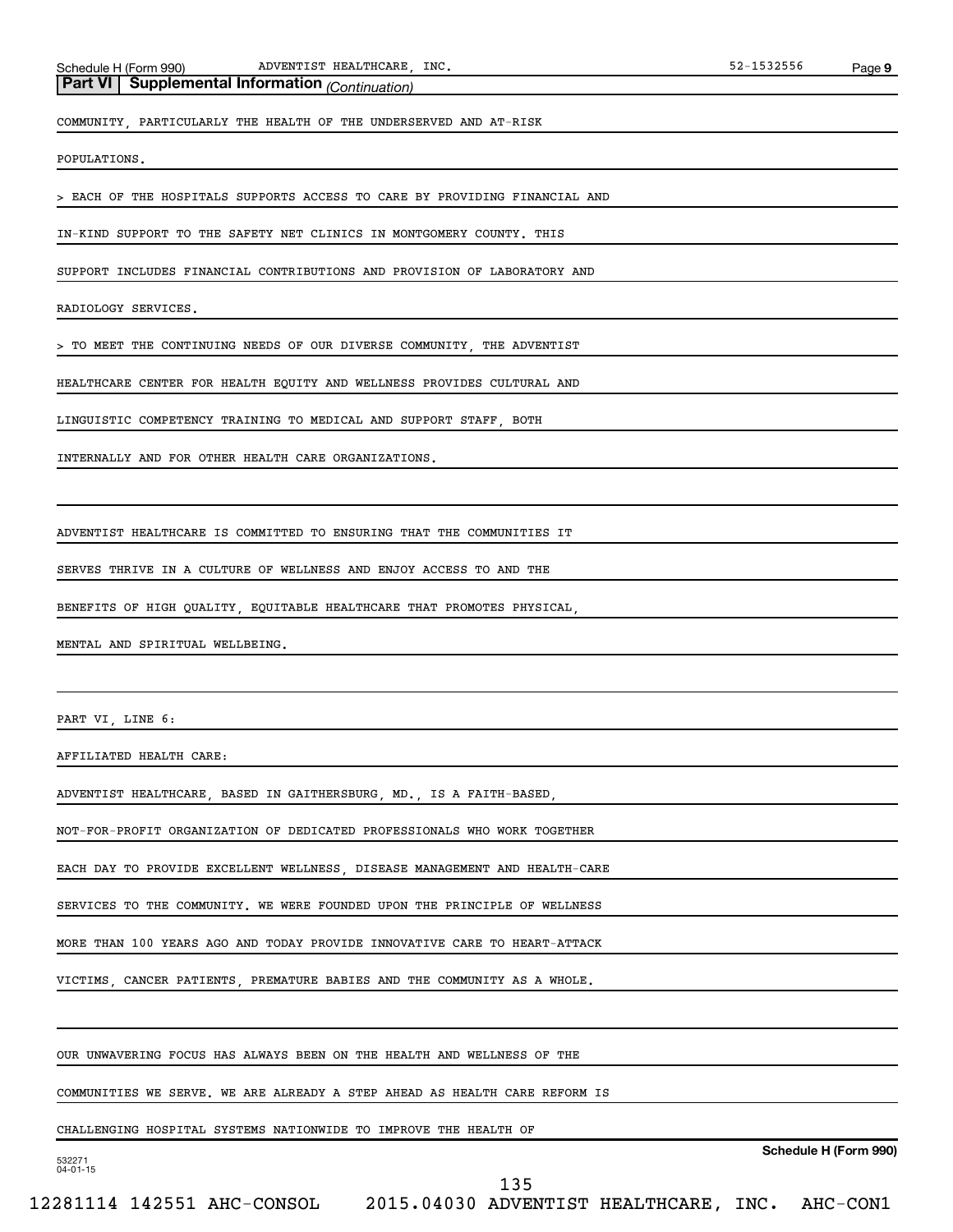**Part VI Supplemental Information** *(Continuation)*

COMMUNITY, PARTICULARLY THE HEALTH OF THE UNDERSERVED AND AT-RISK

POPULATIONS.

> EACH OF THE HOSPITALS SUPPORTS ACCESS TO CARE BY PROVIDING FINANCIAL AND

IN-KIND SUPPORT TO THE SAFETY NET CLINICS IN MONTGOMERY COUNTY. THIS

SUPPORT INCLUDES FINANCIAL CONTRIBUTIONS AND PROVISION OF LABORATORY AND

RADIOLOGY SERVICES.

> TO MEET THE CONTINUING NEEDS OF OUR DIVERSE COMMUNITY, THE ADVENTIST

HEALTHCARE CENTER FOR HEALTH EQUITY AND WELLNESS PROVIDES CULTURAL AND

LINGUISTIC COMPETENCY TRAINING TO MEDICAL AND SUPPORT STAFF, BOTH

INTERNALLY AND FOR OTHER HEALTH CARE ORGANIZATIONS.

ADVENTIST HEALTHCARE IS COMMITTED TO ENSURING THAT THE COMMUNITIES IT

SERVES THRIVE IN A CULTURE OF WELLNESS AND ENJOY ACCESS TO AND THE

BENEFITS OF HIGH QUALITY, EQUITABLE HEALTHCARE THAT PROMOTES PHYSICAL,

MENTAL AND SPIRITUAL WELLBEING.

PART VI, LINE 6:

AFFILIATED HEALTH CARE:

ADVENTIST HEALTHCARE, BASED IN GAITHERSBURG, MD., IS A FAITH-BASED,

NOT-FOR-PROFIT ORGANIZATION OF DEDICATED PROFESSIONALS WHO WORK TOGETHER

EACH DAY TO PROVIDE EXCELLENT WELLNESS, DISEASE MANAGEMENT AND HEALTH-CARE

SERVICES TO THE COMMUNITY. WE WERE FOUNDED UPON THE PRINCIPLE OF WELLNESS

MORE THAN 100 YEARS AGO AND TODAY PROVIDE INNOVATIVE CARE TO HEART-ATTACK

VICTIMS, CANCER PATIENTS, PREMATURE BABIES AND THE COMMUNITY AS A WHOLE.

OUR UNWAVERING FOCUS HAS ALWAYS BEEN ON THE HEALTH AND WELLNESS OF THE

COMMUNITIES WE SERVE. WE ARE ALREADY A STEP AHEAD AS HEALTH CARE REFORM IS

CHALLENGING HOSPITAL SYSTEMS NATIONWIDE TO IMPROVE THE HEALTH OF

**Schedule H (Form 990)**

532271 04-01-15

12281114 142551 AHC-CONSOL 2015.04030 ADVENTIST HEALTHCARE, INC. AHC-CON1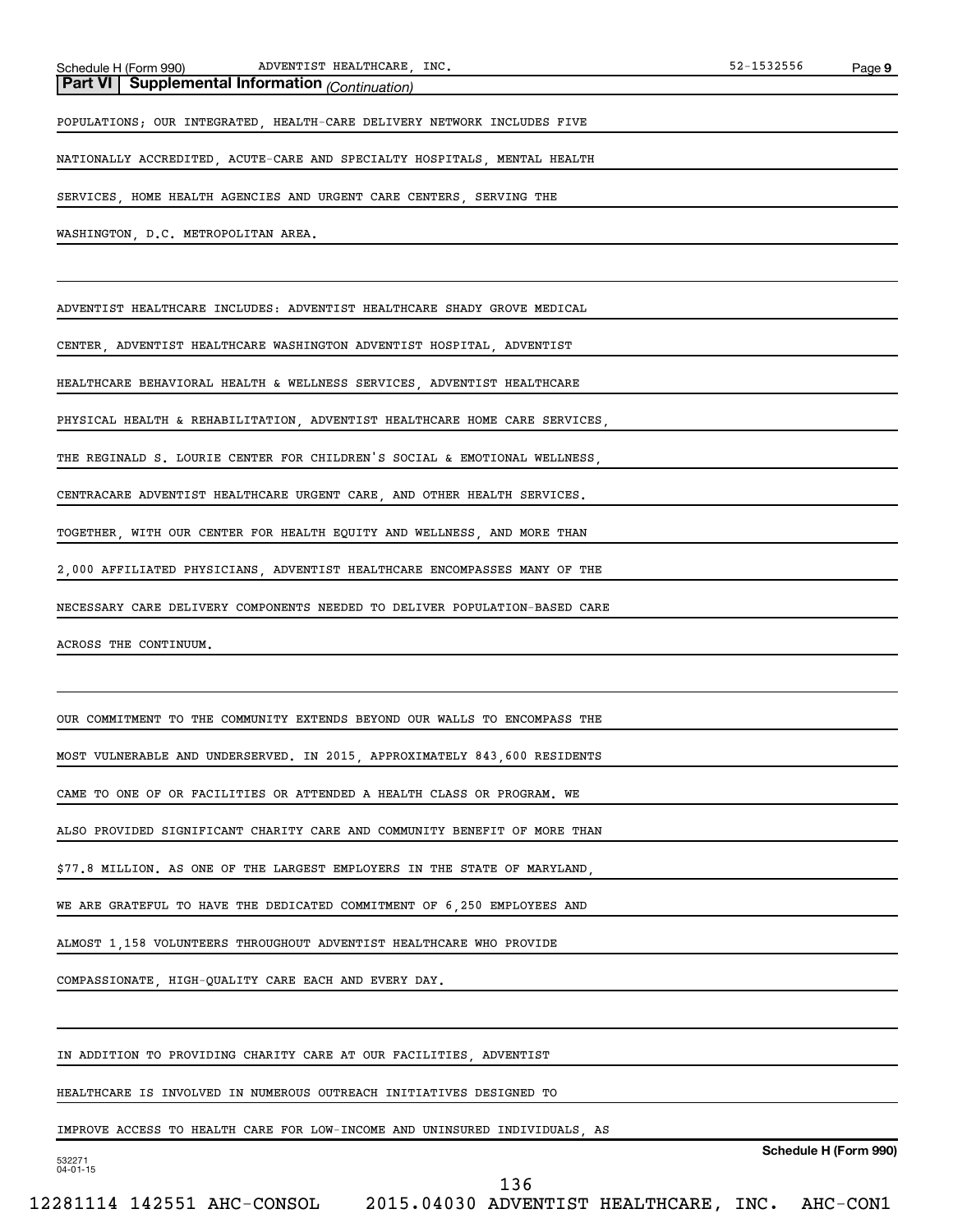POPULATIONS; OUR INTEGRATED, HEALTH-CARE DELIVERY NETWORK INCLUDES FIVE

NATIONALLY ACCREDITED, ACUTE-CARE AND SPECIALTY HOSPITALS, MENTAL HEALTH

SERVICES, HOME HEALTH AGENCIES AND URGENT CARE CENTERS, SERVING THE

WASHINGTON, D.C. METROPOLITAN AREA.

ADVENTIST HEALTHCARE INCLUDES: ADVENTIST HEALTHCARE SHADY GROVE MEDICAL

CENTER, ADVENTIST HEALTHCARE WASHINGTON ADVENTIST HOSPITAL, ADVENTIST

HEALTHCARE BEHAVIORAL HEALTH & WELLNESS SERVICES, ADVENTIST HEALTHCARE

PHYSICAL HEALTH & REHABILITATION, ADVENTIST HEALTHCARE HOME CARE SERVICES,

THE REGINALD S. LOURIE CENTER FOR CHILDREN'S SOCIAL & EMOTIONAL WELLNESS,

CENTRACARE ADVENTIST HEALTHCARE URGENT CARE, AND OTHER HEALTH SERVICES.

TOGETHER, WITH OUR CENTER FOR HEALTH EQUITY AND WELLNESS, AND MORE THAN

2,000 AFFILIATED PHYSICIANS, ADVENTIST HEALTHCARE ENCOMPASSES MANY OF THE

NECESSARY CARE DELIVERY COMPONENTS NEEDED TO DELIVER POPULATION-BASED CARE

ACROSS THE CONTINUUM.

OUR COMMITMENT TO THE COMMUNITY EXTENDS BEYOND OUR WALLS TO ENCOMPASS THE

MOST VULNERABLE AND UNDERSERVED. IN 2015, APPROXIMATELY 843,600 RESIDENTS

CAME TO ONE OF OR FACILITIES OR ATTENDED A HEALTH CLASS OR PROGRAM. WE

ALSO PROVIDED SIGNIFICANT CHARITY CARE AND COMMUNITY BENEFIT OF MORE THAN

\$77.8 MILLION. AS ONE OF THE LARGEST EMPLOYERS IN THE STATE OF MARYLAND,

WE ARE GRATEFUL TO HAVE THE DEDICATED COMMITMENT OF 6,250 EMPLOYEES AND

ALMOST 1,158 VOLUNTEERS THROUGHOUT ADVENTIST HEALTHCARE WHO PROVIDE

COMPASSIONATE, HIGH-QUALITY CARE EACH AND EVERY DAY.

IN ADDITION TO PROVIDING CHARITY CARE AT OUR FACILITIES, ADVENTIST

HEALTHCARE IS INVOLVED IN NUMEROUS OUTREACH INITIATIVES DESIGNED TO

IMPROVE ACCESS TO HEALTH CARE FOR LOW-INCOME AND UNINSURED INDIVIDUALS, AS

**Schedule H (Form 990)**

532271 04-01-15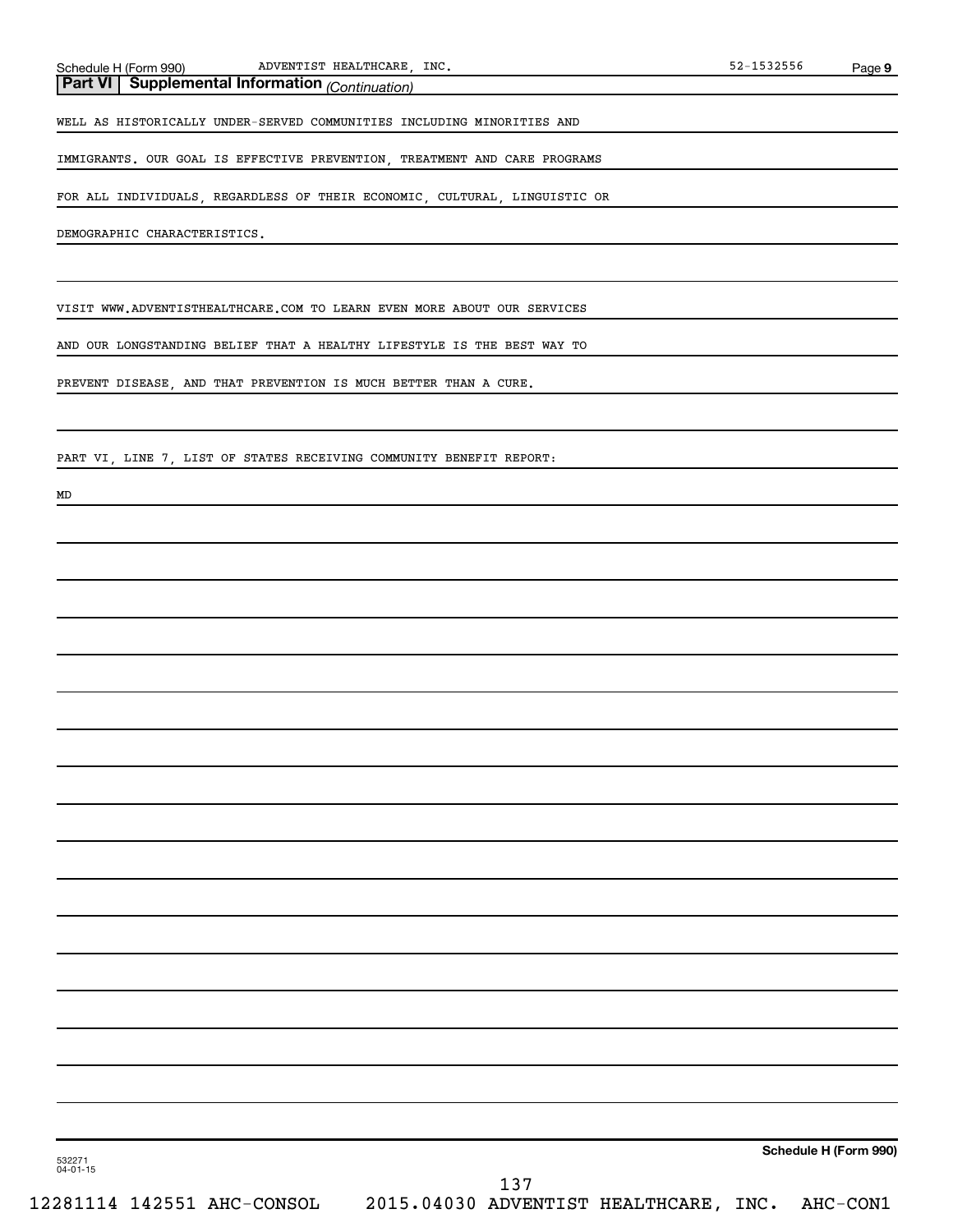WELL AS HISTORICALLY UNDER-SERVED COMMUNITIES INCLUDING MINORITIES AND

IMMIGRANTS. OUR GOAL IS EFFECTIVE PREVENTION, TREATMENT AND CARE PROGRAMS

FOR ALL INDIVIDUALS, REGARDLESS OF THEIR ECONOMIC, CULTURAL, LINGUISTIC OR

DEMOGRAPHIC CHARACTERISTICS.

VISIT WWW.ADVENTISTHEALTHCARE.COM TO LEARN EVEN MORE ABOUT OUR SERVICES

AND OUR LONGSTANDING BELIEF THAT A HEALTHY LIFESTYLE IS THE BEST WAY TO

PREVENT DISEASE, AND THAT PREVENTION IS MUCH BETTER THAN A CURE.

PART VI, LINE 7, LIST OF STATES RECEIVING COMMUNITY BENEFIT REPORT:

MD

**Schedule H (Form 990)**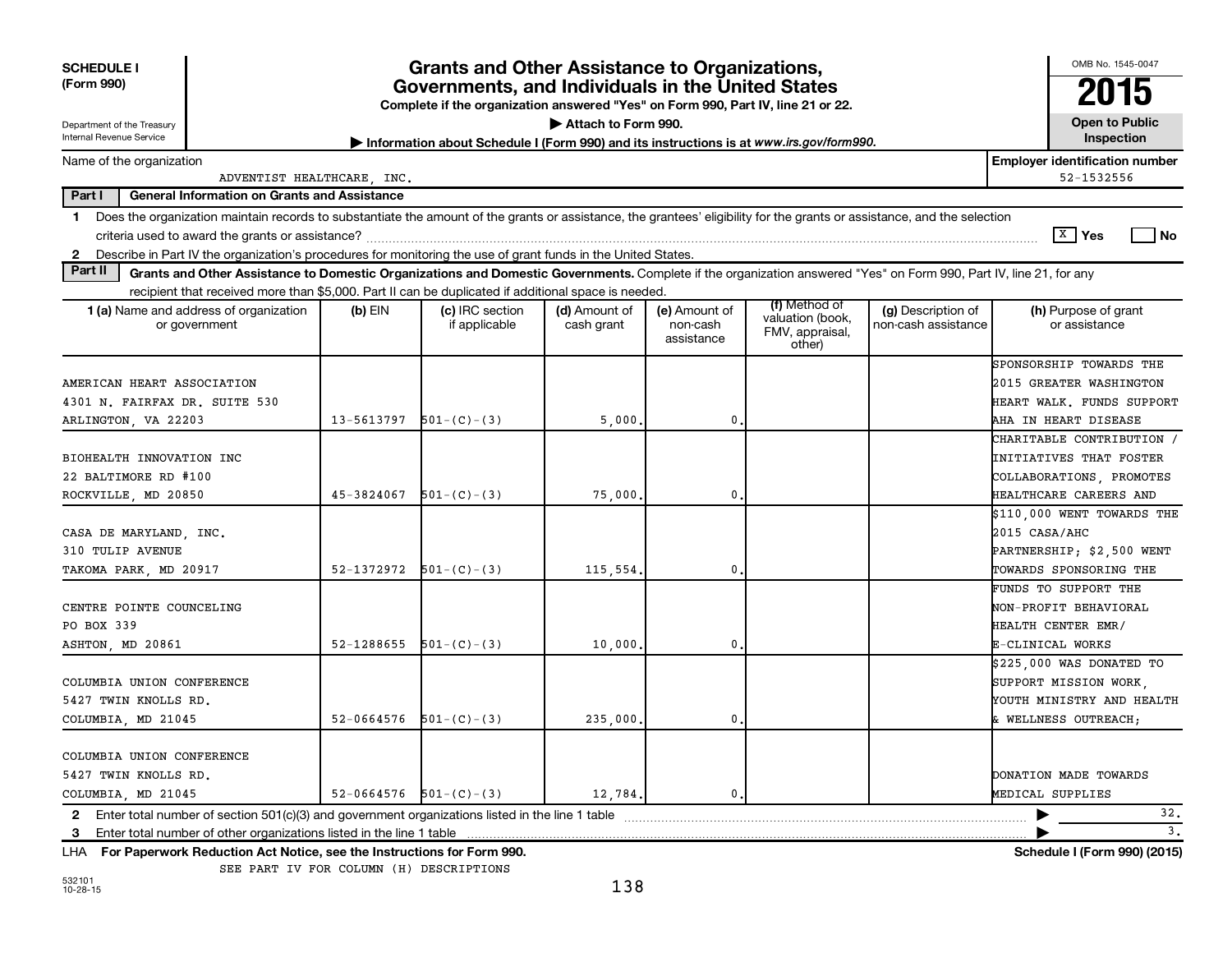| <b>SCHEDULE I</b><br>(Form 990)<br>Department of the Treasury<br><b>Internal Revenue Service</b> |                                                                                                                                                                                                                                                                                                                                                                                                                                                                 | OMB No. 1545-0047<br>2015<br><b>Open to Public</b><br>Inspection |                                                                                         |                             |                                         |                                                                |                                           |                                                                                                                   |
|--------------------------------------------------------------------------------------------------|-----------------------------------------------------------------------------------------------------------------------------------------------------------------------------------------------------------------------------------------------------------------------------------------------------------------------------------------------------------------------------------------------------------------------------------------------------------------|------------------------------------------------------------------|-----------------------------------------------------------------------------------------|-----------------------------|-----------------------------------------|----------------------------------------------------------------|-------------------------------------------|-------------------------------------------------------------------------------------------------------------------|
|                                                                                                  |                                                                                                                                                                                                                                                                                                                                                                                                                                                                 |                                                                  | Information about Schedule I (Form 990) and its instructions is at www.irs.gov/form990. |                             |                                         |                                                                |                                           |                                                                                                                   |
| Name of the organization                                                                         | ADVENTIST HEALTHCARE INC.                                                                                                                                                                                                                                                                                                                                                                                                                                       |                                                                  |                                                                                         |                             |                                         |                                                                |                                           | <b>Employer identification number</b><br>52-1532556                                                               |
| Part I                                                                                           | <b>General Information on Grants and Assistance</b>                                                                                                                                                                                                                                                                                                                                                                                                             |                                                                  |                                                                                         |                             |                                         |                                                                |                                           |                                                                                                                   |
| 1<br>$\mathbf{2}$<br>Part II                                                                     | Does the organization maintain records to substantiate the amount of the grants or assistance, the grantees' eligibility for the grants or assistance, and the selection<br>Describe in Part IV the organization's procedures for monitoring the use of grant funds in the United States.<br>Grants and Other Assistance to Domestic Organizations and Domestic Governments. Complete if the organization answered "Yes" on Form 990, Part IV, line 21, for any |                                                                  |                                                                                         |                             |                                         |                                                                |                                           | $\boxed{\text{X}}$ Yes<br>l No                                                                                    |
|                                                                                                  | recipient that received more than \$5,000. Part II can be duplicated if additional space is needed.<br><b>1 (a)</b> Name and address of organization<br>or government                                                                                                                                                                                                                                                                                           | $(b)$ EIN                                                        | (c) IRC section<br>if applicable                                                        | (d) Amount of<br>cash grant | (e) Amount of<br>non-cash<br>assistance | (f) Method of<br>valuation (book,<br>FMV, appraisal,<br>other) | (g) Description of<br>non-cash assistance | (h) Purpose of grant<br>or assistance                                                                             |
| AMERICAN HEART ASSOCIATION<br>4301 N. FAIRFAX DR. SUITE 530<br>ARLINGTON, VA 22203               |                                                                                                                                                                                                                                                                                                                                                                                                                                                                 | 13-5613797                                                       | $501 - (C) - (3)$                                                                       | 5,000                       | 0.                                      |                                                                |                                           | SPONSORSHIP TOWARDS THE<br>2015 GREATER WASHINGTON<br>HEART WALK. FUNDS SUPPORT<br>AHA IN HEART DISEASE           |
| BIOHEALTH INNOVATION INC<br>22 BALTIMORE RD #100<br>ROCKVILLE, MD 20850                          |                                                                                                                                                                                                                                                                                                                                                                                                                                                                 |                                                                  | $45-3824067$ $501-(C)-(3)$                                                              | 75,000.                     | $\mathbf{0}$                            |                                                                |                                           | CHARITABLE CONTRIBUTION /<br><b>INITIATIVES THAT FOSTER</b><br>COLLABORATIONS, PROMOTES<br>HEALTHCARE CAREERS AND |
| CASA DE MARYLAND, INC.<br>310 TULIP AVENUE<br>TAKOMA PARK, MD 20917                              |                                                                                                                                                                                                                                                                                                                                                                                                                                                                 | 52-1372972                                                       | $501 - (C) - (3)$                                                                       | 115,554.                    | 0                                       |                                                                |                                           | \$110,000 WENT TOWARDS THE<br>2015 CASA/AHC<br>PARTNERSHIP; \$2,500 WENT<br>TOWARDS SPONSORING THE                |
| CENTRE POINTE COUNCELING<br>PO BOX 339<br>ASHTON, MD 20861                                       |                                                                                                                                                                                                                                                                                                                                                                                                                                                                 | 52-1288655                                                       | $501 - (C) - (3)$                                                                       | 10,000                      | 0                                       |                                                                |                                           | FUNDS TO SUPPORT THE<br>NON-PROFIT BEHAVIORAL<br>HEALTH CENTER EMR/<br>E-CLINICAL WORKS                           |
| COLUMBIA UNION CONFERENCE<br>5427 TWIN KNOLLS RD.<br>COLUMBIA, MD 21045                          |                                                                                                                                                                                                                                                                                                                                                                                                                                                                 | 52-0664576                                                       | $501 - (C) - (3)$                                                                       | 235,000.                    | $\mathbf{0}$                            |                                                                |                                           | \$225,000 WAS DONATED TO<br>SUPPORT MISSION WORK,<br>YOUTH MINISTRY AND HEALTH<br>& WELLNESS OUTREACH;            |
| COLUMBIA UNION CONFERENCE<br>5427 TWIN KNOLLS RD.<br>COLUMBIA, MD 21045                          |                                                                                                                                                                                                                                                                                                                                                                                                                                                                 |                                                                  | $52-0664576$ $501-(C)-(3)$                                                              | 12,784.                     | $\mathbf{0}$ .                          |                                                                |                                           | DONATION MADE TOWARDS<br>MEDICAL SUPPLIES<br>32.                                                                  |
| $\mathbf{2}$<br>3<br>LHA For Paperwork Reduction Act Notice, see the Instructions for Form 990.  | Enter total number of section $501(c)(3)$ and government organizations listed in the line 1 table                                                                                                                                                                                                                                                                                                                                                               |                                                                  |                                                                                         |                             |                                         |                                                                |                                           | 3.<br>Schedule I (Form 990) (2015)                                                                                |

SEE PART IV FOR COLUMN (H) DESCRIPTIONS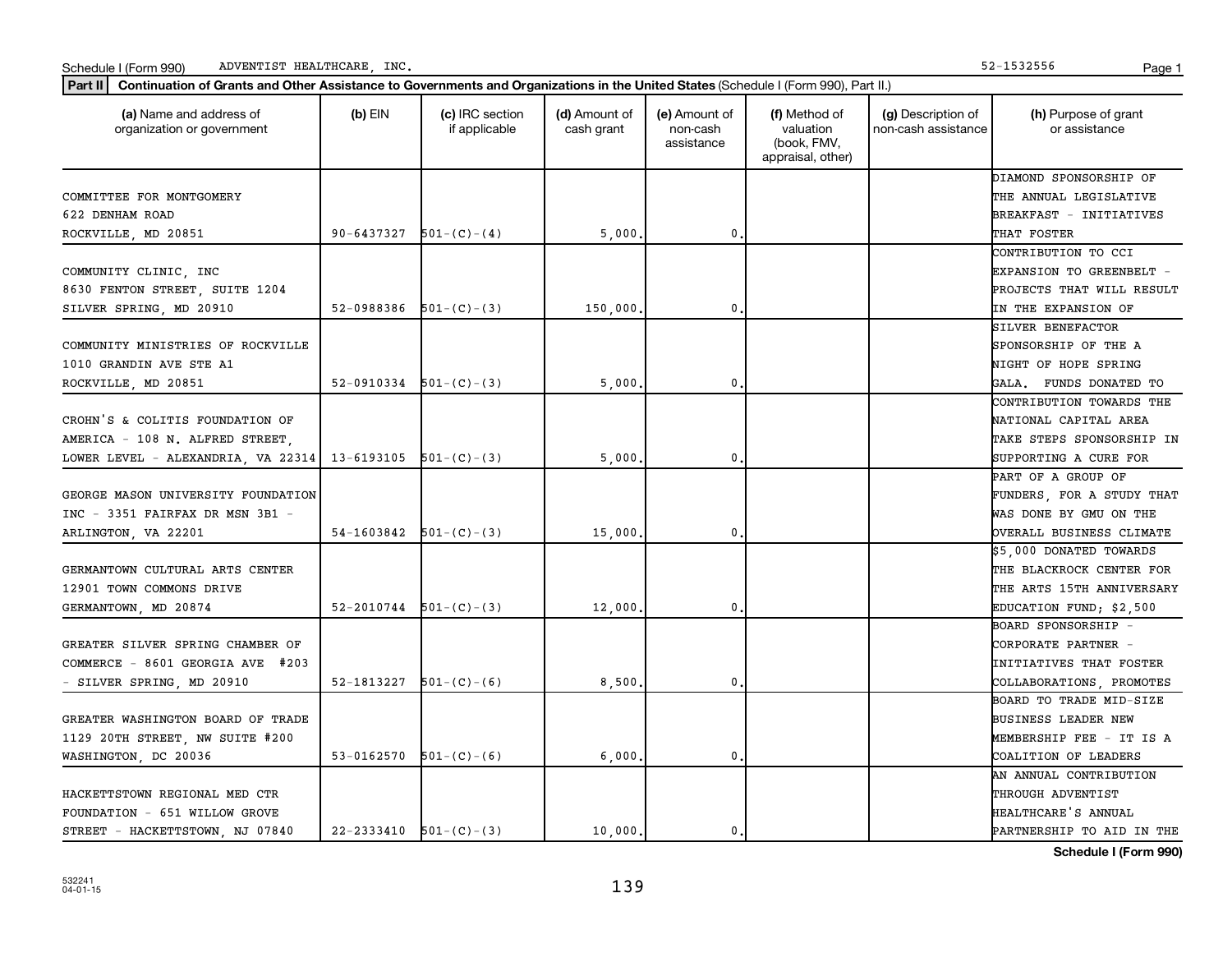Schedule I (Form 990) Page 1 ADVENTIST HEALTHCARE, INC. 52-1532556

| Part II                                               | Continuation of Grants and Other Assistance to Governments and Organizations in the United States (Schedule I (Form 990), Part II.) |                                  |                             |                                         |                                                                |                                           |                                       |  |  |  |
|-------------------------------------------------------|-------------------------------------------------------------------------------------------------------------------------------------|----------------------------------|-----------------------------|-----------------------------------------|----------------------------------------------------------------|-------------------------------------------|---------------------------------------|--|--|--|
| (a) Name and address of<br>organization or government | $(b)$ EIN                                                                                                                           | (c) IRC section<br>if applicable | (d) Amount of<br>cash grant | (e) Amount of<br>non-cash<br>assistance | (f) Method of<br>valuation<br>(book, FMV,<br>appraisal, other) | (g) Description of<br>non-cash assistance | (h) Purpose of grant<br>or assistance |  |  |  |
|                                                       |                                                                                                                                     |                                  |                             |                                         |                                                                |                                           | DIAMOND SPONSORSHIP OF                |  |  |  |
| COMMITTEE FOR MONTGOMERY                              |                                                                                                                                     |                                  |                             |                                         |                                                                |                                           | THE ANNUAL LEGISLATIVE                |  |  |  |
| 622 DENHAM ROAD                                       |                                                                                                                                     |                                  |                             |                                         |                                                                |                                           | BREAKFAST - INITIATIVES               |  |  |  |
| ROCKVILLE, MD 20851                                   | 90-6437327                                                                                                                          | $501 - (C) - (4)$                | 5,000                       | $\mathbf{0}$                            |                                                                |                                           | THAT FOSTER                           |  |  |  |
|                                                       |                                                                                                                                     |                                  |                             |                                         |                                                                |                                           | CONTRIBUTION TO CCI                   |  |  |  |
| COMMUNITY CLINIC, INC                                 |                                                                                                                                     |                                  |                             |                                         |                                                                |                                           | EXPANSION TO GREENBELT -              |  |  |  |
| 8630 FENTON STREET, SUITE 1204                        |                                                                                                                                     |                                  |                             |                                         |                                                                |                                           | PROJECTS THAT WILL RESULT             |  |  |  |
| SILVER SPRING, MD 20910                               | 52-0988386                                                                                                                          | $501 - (C) - (3)$                | 150,000                     | 0.                                      |                                                                |                                           | IN THE EXPANSION OF                   |  |  |  |
|                                                       |                                                                                                                                     |                                  |                             |                                         |                                                                |                                           | SILVER BENEFACTOR                     |  |  |  |
| COMMUNITY MINISTRIES OF ROCKVILLE                     |                                                                                                                                     |                                  |                             |                                         |                                                                |                                           | SPONSORSHIP OF THE A                  |  |  |  |
| 1010 GRANDIN AVE STE A1                               |                                                                                                                                     |                                  |                             |                                         |                                                                |                                           | NIGHT OF HOPE SPRING                  |  |  |  |
| ROCKVILLE, MD 20851                                   |                                                                                                                                     | $52-0910334$ $501-(C)-(3)$       | 5,000                       | 0                                       |                                                                |                                           | GALA. FUNDS DONATED TO                |  |  |  |
|                                                       |                                                                                                                                     |                                  |                             |                                         |                                                                |                                           | CONTRIBUTION TOWARDS THE              |  |  |  |
| CROHN'S & COLITIS FOUNDATION OF                       |                                                                                                                                     |                                  |                             |                                         |                                                                |                                           | NATIONAL CAPITAL AREA                 |  |  |  |
| AMERICA - 108 N. ALFRED STREET,                       |                                                                                                                                     |                                  |                             |                                         |                                                                |                                           | TAKE STEPS SPONSORSHIP IN             |  |  |  |
| LOWER LEVEL - ALEXANDRIA, VA 22314                    | 13-6193105                                                                                                                          | $501 - (C) - (3)$                | 5,000                       | $\mathbf{0}$ .                          |                                                                |                                           | SUPPORTING A CURE FOR                 |  |  |  |
|                                                       |                                                                                                                                     |                                  |                             |                                         |                                                                |                                           | PART OF A GROUP OF                    |  |  |  |
| GEORGE MASON UNIVERSITY FOUNDATION                    |                                                                                                                                     |                                  |                             |                                         |                                                                |                                           | FUNDERS, FOR A STUDY THAT             |  |  |  |
| INC - 3351 FAIRFAX DR MSN 3B1 -                       |                                                                                                                                     |                                  |                             |                                         |                                                                |                                           | WAS DONE BY GMU ON THE                |  |  |  |
| ARLINGTON, VA 22201                                   | 54-1603842                                                                                                                          | $501 - (C) - (3)$                | 15,000                      | 0                                       |                                                                |                                           | OVERALL BUSINESS CLIMATE              |  |  |  |
|                                                       |                                                                                                                                     |                                  |                             |                                         |                                                                |                                           | \$5,000 DONATED TOWARDS               |  |  |  |
| GERMANTOWN CULTURAL ARTS CENTER                       |                                                                                                                                     |                                  |                             |                                         |                                                                |                                           | THE BLACKROCK CENTER FOR              |  |  |  |
| 12901 TOWN COMMONS DRIVE                              |                                                                                                                                     |                                  |                             |                                         |                                                                |                                           | THE ARTS 15TH ANNIVERSARY             |  |  |  |
| GERMANTOWN, MD 20874                                  |                                                                                                                                     | $52 - 2010744$ $501 - (C) - (3)$ | 12,000                      | $\mathbf{0}$                            |                                                                |                                           | EDUCATION FUND; \$2,500               |  |  |  |
|                                                       |                                                                                                                                     |                                  |                             |                                         |                                                                |                                           | BOARD SPONSORSHIP -                   |  |  |  |
| GREATER SILVER SPRING CHAMBER OF                      |                                                                                                                                     |                                  |                             |                                         |                                                                |                                           | CORPORATE PARTNER -                   |  |  |  |
| COMMERCE - 8601 GEORGIA AVE #203                      |                                                                                                                                     |                                  |                             |                                         |                                                                |                                           | INITIATIVES THAT FOSTER               |  |  |  |
| - SILVER SPRING, MD 20910                             | 52-1813227                                                                                                                          | $501 - (C) - (6)$                | 8,500                       | $\mathfrak{o}$ .                        |                                                                |                                           | COLLABORATIONS, PROMOTES              |  |  |  |
|                                                       |                                                                                                                                     |                                  |                             |                                         |                                                                |                                           | BOARD TO TRADE MID-SIZE               |  |  |  |
| GREATER WASHINGTON BOARD OF TRADE                     |                                                                                                                                     |                                  |                             |                                         |                                                                |                                           | <b>BUSINESS LEADER NEW</b>            |  |  |  |
| 1129 20TH STREET, NW SUITE #200                       |                                                                                                                                     |                                  |                             |                                         |                                                                |                                           | MEMBERSHIP FEE - IT IS A              |  |  |  |
| WASHINGTON, DC 20036                                  | 53-0162570                                                                                                                          | $501 - (C) - (6)$                | 6,000                       | 0                                       |                                                                |                                           | COALITION OF LEADERS                  |  |  |  |
|                                                       |                                                                                                                                     |                                  |                             |                                         |                                                                |                                           | AN ANNUAL CONTRIBUTION                |  |  |  |
| HACKETTSTOWN REGIONAL MED CTR                         |                                                                                                                                     |                                  |                             |                                         |                                                                |                                           | THROUGH ADVENTIST                     |  |  |  |
| FOUNDATION - 651 WILLOW GROVE                         |                                                                                                                                     |                                  |                             |                                         |                                                                |                                           | HEALTHCARE'S ANNUAL                   |  |  |  |
|                                                       |                                                                                                                                     |                                  |                             | $\mathbf{0}$ .                          |                                                                |                                           |                                       |  |  |  |
| STREET - HACKETTSTOWN, NJ 07840                       |                                                                                                                                     | $22 - 2333410$ $501 - (C) - (3)$ | 10,000                      |                                         |                                                                |                                           | PARTNERSHIP TO AID IN THE             |  |  |  |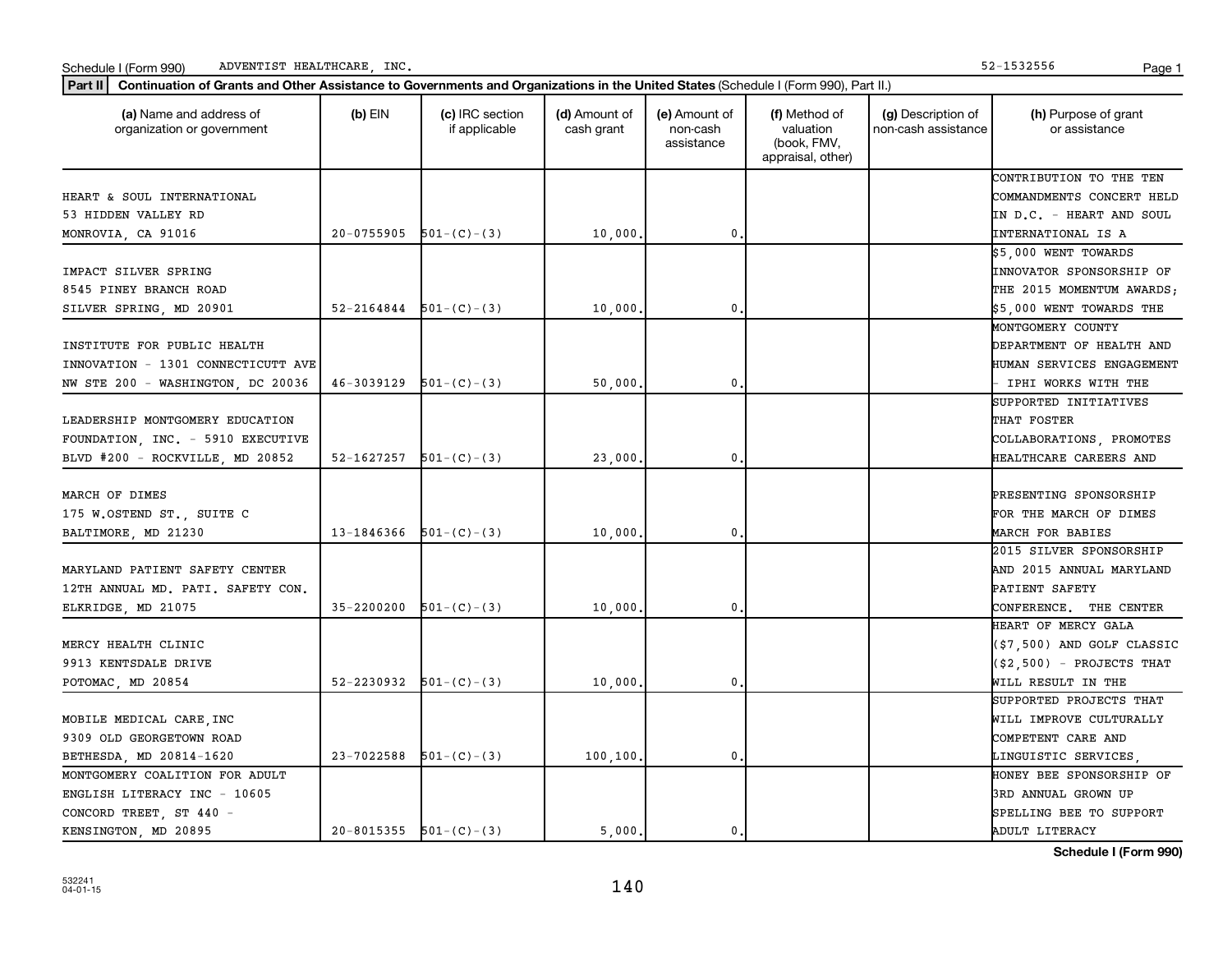Schedule I (Form 990) Page 1 ADVENTIST HEALTHCARE, INC. 52-1532556

| (a) Name and address of<br>organization or government | $(b)$ EIN      | (c) IRC section<br>if applicable | (d) Amount of<br>cash grant | (e) Amount of<br>non-cash<br>assistance | (f) Method of<br>valuation<br>(book, FMV,<br>appraisal, other) | (g) Description of<br>non-cash assistance | (h) Purpose of grant<br>or assistance |
|-------------------------------------------------------|----------------|----------------------------------|-----------------------------|-----------------------------------------|----------------------------------------------------------------|-------------------------------------------|---------------------------------------|
|                                                       |                |                                  |                             |                                         |                                                                |                                           | CONTRIBUTION TO THE TEN               |
| HEART & SOUL INTERNATIONAL                            |                |                                  |                             |                                         |                                                                |                                           | COMMANDMENTS CONCERT HELD             |
| 53 HIDDEN VALLEY RD                                   |                |                                  |                             |                                         |                                                                |                                           | IN D.C. - HEART AND SOUL              |
| MONROVIA, CA 91016                                    | $20 - 0755905$ | $501 - (C) - (3)$                | 10,000                      | $\mathbf{0}$                            |                                                                |                                           | INTERNATIONAL IS A                    |
|                                                       |                |                                  |                             |                                         |                                                                |                                           | \$5,000 WENT TOWARDS                  |
| IMPACT SILVER SPRING                                  |                |                                  |                             |                                         |                                                                |                                           | INNOVATOR SPONSORSHIP OF              |
| 8545 PINEY BRANCH ROAD                                |                |                                  |                             |                                         |                                                                |                                           | THE 2015 MOMENTUM AWARDS;             |
| SILVER SPRING, MD 20901                               | 52-2164844     | $501 - (C) - (3)$                | 10,000                      | $\mathbf 0$ .                           |                                                                |                                           | \$5,000 WENT TOWARDS THE              |
|                                                       |                |                                  |                             |                                         |                                                                |                                           | MONTGOMERY COUNTY                     |
| INSTITUTE FOR PUBLIC HEALTH                           |                |                                  |                             |                                         |                                                                |                                           | DEPARTMENT OF HEALTH AND              |
| INNOVATION - 1301 CONNECTICUTT AVE                    |                |                                  |                             |                                         |                                                                |                                           | HUMAN SERVICES ENGAGEMENT             |
| NW STE 200 - WASHINGTON, DC 20036                     |                | $46-3039129$ $501-(C)-(3)$       | 50,000                      | $\mathbf{0}$ .                          |                                                                |                                           | IPHI WORKS WITH THE                   |
|                                                       |                |                                  |                             |                                         |                                                                |                                           | SUPPORTED INITIATIVES                 |
| LEADERSHIP MONTGOMERY EDUCATION                       |                |                                  |                             |                                         |                                                                |                                           | THAT FOSTER                           |
| FOUNDATION, INC. - 5910 EXECUTIVE                     |                |                                  |                             |                                         |                                                                |                                           | COLLABORATIONS, PROMOTES              |
| BLVD #200 - ROCKVILLE, MD 20852                       |                | $52-1627257$ $501-(C)-(3)$       | 23,000                      | $\mathbf{0}$                            |                                                                |                                           | HEALTHCARE CAREERS AND                |
|                                                       |                |                                  |                             |                                         |                                                                |                                           |                                       |
| MARCH OF DIMES                                        |                |                                  |                             |                                         |                                                                |                                           | PRESENTING SPONSORSHIP                |
| 175 W.OSTEND ST., SUITE C                             |                |                                  |                             |                                         |                                                                |                                           | FOR THE MARCH OF DIMES                |
| BALTIMORE, MD 21230                                   | 13-1846366     | $501 - (C) - (3)$                | 10,000                      | 0                                       |                                                                |                                           | MARCH FOR BABIES                      |
|                                                       |                |                                  |                             |                                         |                                                                |                                           | 2015 SILVER SPONSORSHIP               |
| MARYLAND PATIENT SAFETY CENTER                        |                |                                  |                             |                                         |                                                                |                                           | AND 2015 ANNUAL MARYLAND              |
| 12TH ANNUAL MD. PATI. SAFETY CON.                     |                |                                  |                             |                                         |                                                                |                                           | PATIENT SAFETY                        |
| ELKRIDGE, MD 21075                                    | 35-2200200     | $501 - (C) - (3)$                | 10,000                      | $\mathfrak{o}$ .                        |                                                                |                                           | CONFERENCE. THE CENTER                |
|                                                       |                |                                  |                             |                                         |                                                                |                                           | HEART OF MERCY GALA                   |
| MERCY HEALTH CLINIC                                   |                |                                  |                             |                                         |                                                                |                                           | (\$7,500) AND GOLF CLASSIC            |
| 9913 KENTSDALE DRIVE                                  |                |                                  |                             |                                         |                                                                |                                           | $(\$2,500)$ - PROJECTS THAT           |
| POTOMAC, MD 20854                                     | 52-2230932     | $501 - (C) - (3)$                | 10,000                      | $\mathbf{0}$                            |                                                                |                                           | WILL RESULT IN THE                    |
|                                                       |                |                                  |                             |                                         |                                                                |                                           | SUPPORTED PROJECTS THAT               |
| MOBILE MEDICAL CARE, INC                              |                |                                  |                             |                                         |                                                                |                                           | WILL IMPROVE CULTURALLY               |
| 9309 OLD GEORGETOWN ROAD                              |                |                                  |                             |                                         |                                                                |                                           | COMPETENT CARE AND                    |
|                                                       |                |                                  |                             |                                         |                                                                |                                           |                                       |
| BETHESDA, MD 20814-1620                               | 23-7022588     | $501 - (C) - (3)$                | 100,100                     | $\mathfrak o$ .                         |                                                                |                                           | LINGUISTIC SERVICES,                  |
| MONTGOMERY COALITION FOR ADULT                        |                |                                  |                             |                                         |                                                                |                                           | <b>HONEY BEE SPONSORSHIP OF</b>       |
| ENGLISH LITERACY INC - 10605                          |                |                                  |                             |                                         |                                                                |                                           | 3RD ANNUAL GROWN UP                   |
| CONCORD TREET, ST 440 -                               |                |                                  |                             |                                         |                                                                |                                           | SPELLING BEE TO SUPPORT               |
| KENSINGTON, MD 20895                                  |                | $20 - 8015355$ $501 - (C) - (3)$ | 5,000,                      | 0.                                      |                                                                |                                           | ADULT LITERACY                        |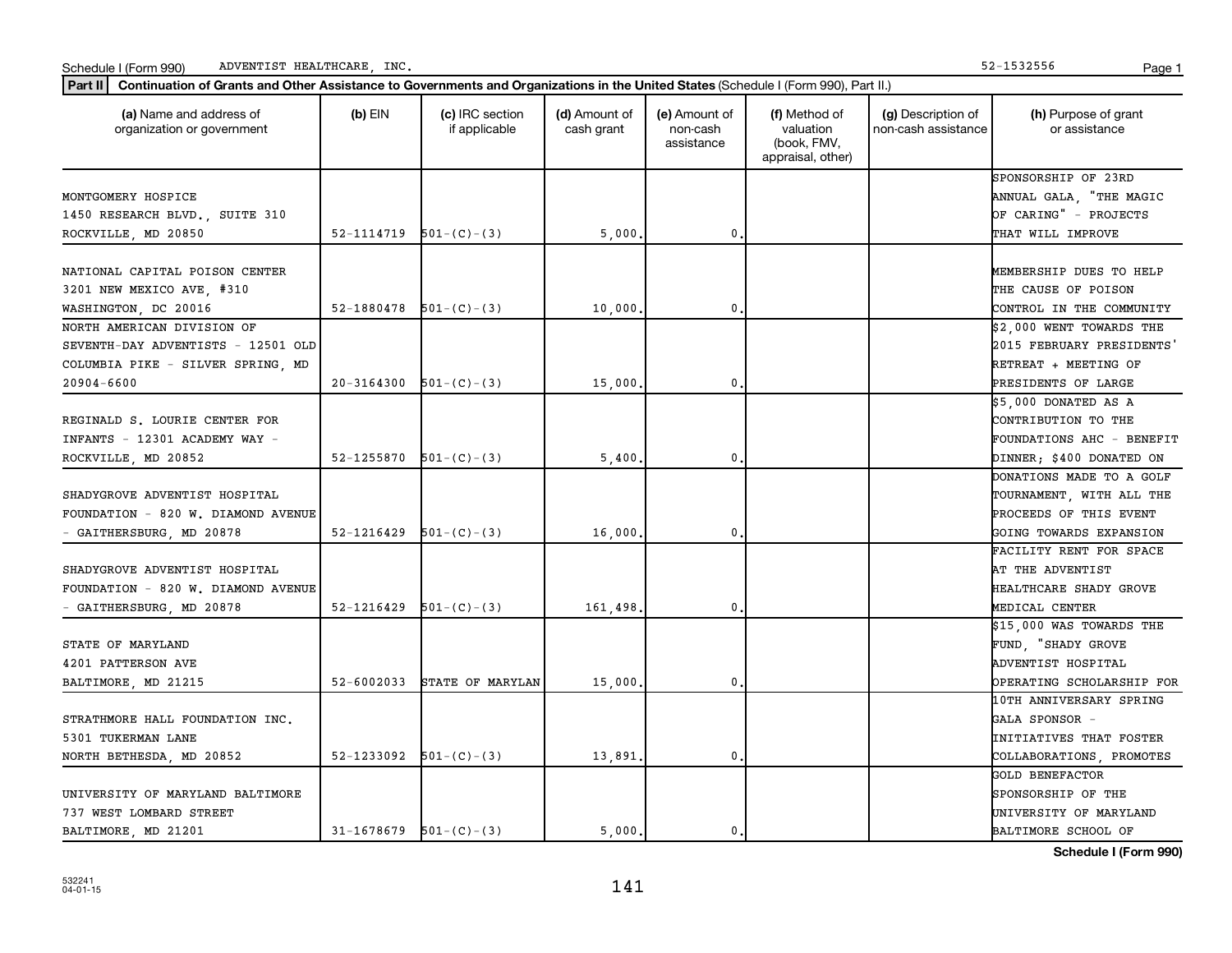| (a) Name and address of<br>organization or government | $(b)$ EIN      | (c) IRC section<br>if applicable | (d) Amount of<br>cash grant | (e) Amount of<br>non-cash<br>assistance | (f) Method of<br>valuation<br>(book, FMV,<br>appraisal, other) | (g) Description of<br>non-cash assistance | (h) Purpose of grant<br>or assistance          |
|-------------------------------------------------------|----------------|----------------------------------|-----------------------------|-----------------------------------------|----------------------------------------------------------------|-------------------------------------------|------------------------------------------------|
| MONTGOMERY HOSPICE                                    |                |                                  |                             |                                         |                                                                |                                           | SPONSORSHIP OF 23RD<br>ANNUAL GALA, "THE MAGIC |
| 1450 RESEARCH BLVD., SUITE 310                        |                |                                  |                             |                                         |                                                                |                                           | OF CARING" - PROJECTS                          |
| ROCKVILLE, MD 20850                                   | 52-1114719     | $501 - (C) - (3)$                | 5,000                       | 0                                       |                                                                |                                           | THAT WILL IMPROVE                              |
|                                                       |                |                                  |                             |                                         |                                                                |                                           |                                                |
| NATIONAL CAPITAL POISON CENTER                        |                |                                  |                             |                                         |                                                                |                                           | MEMBERSHIP DUES TO HELP                        |
| 3201 NEW MEXICO AVE, #310                             |                |                                  |                             |                                         |                                                                |                                           | THE CAUSE OF POISON                            |
| WASHINGTON, DC 20016                                  | 52-1880478     | $501 - (C) - (3)$                | 10,000                      | 0                                       |                                                                |                                           | CONTROL IN THE COMMUNITY                       |
| NORTH AMERICAN DIVISION OF                            |                |                                  |                             |                                         |                                                                |                                           | $$2,000$ WENT TOWARDS THE                      |
| SEVENTH-DAY ADVENTISTS - 12501 OLD                    |                |                                  |                             |                                         |                                                                |                                           | 2015 FEBRUARY PRESIDENTS                       |
| COLUMBIA PIKE - SILVER SPRING, MD                     |                |                                  |                             |                                         |                                                                |                                           | RETREAT + MEETING OF                           |
| $20904 - 6600$                                        | $20 - 3164300$ | $501 - (C) - (3)$                | 15,000                      | $\mathbf{0}$ .                          |                                                                |                                           | PRESIDENTS OF LARGE                            |
|                                                       |                |                                  |                             |                                         |                                                                |                                           | \$5,000 DONATED AS A                           |
| REGINALD S. LOURIE CENTER FOR                         |                |                                  |                             |                                         |                                                                |                                           | CONTRIBUTION TO THE                            |
| INFANTS - 12301 ACADEMY WAY -                         |                |                                  |                             |                                         |                                                                |                                           | FOUNDATIONS AHC - BENEFIT                      |
| ROCKVILLE, MD 20852                                   | 52-1255870     | $501 - (C) - (3)$                | 5,400                       | 0                                       |                                                                |                                           | DINNER; \$400 DONATED ON                       |
|                                                       |                |                                  |                             |                                         |                                                                |                                           | DONATIONS MADE TO A GOLF                       |
| SHADYGROVE ADVENTIST HOSPITAL                         |                |                                  |                             |                                         |                                                                |                                           | TOURNAMENT, WITH ALL THE                       |
| FOUNDATION - 820 W. DIAMOND AVENUE                    |                |                                  |                             |                                         |                                                                |                                           | PROCEEDS OF THIS EVENT                         |
| - GAITHERSBURG, MD 20878                              | $52 - 1216429$ | $501 - (C) - (3)$                | 16,000                      | 0                                       |                                                                |                                           | GOING TOWARDS EXPANSION                        |
|                                                       |                |                                  |                             |                                         |                                                                |                                           | FACILITY RENT FOR SPACE                        |
| SHADYGROVE ADVENTIST HOSPITAL                         |                |                                  |                             |                                         |                                                                |                                           | AT THE ADVENTIST                               |
| FOUNDATION - 820 W. DIAMOND AVENUE                    |                |                                  |                             |                                         |                                                                |                                           | HEALTHCARE SHADY GROVE                         |
| - GAITHERSBURG, MD 20878                              | 52-1216429     | $501 - (C) - (3)$                | 161.498.                    | 0                                       |                                                                |                                           | MEDICAL CENTER                                 |
|                                                       |                |                                  |                             |                                         |                                                                |                                           | \$15,000 WAS TOWARDS THE                       |
| STATE OF MARYLAND                                     |                |                                  |                             |                                         |                                                                |                                           | FUND, "SHADY GROVE                             |
| 4201 PATTERSON AVE                                    |                |                                  |                             |                                         |                                                                |                                           | ADVENTIST HOSPITAL                             |
| BALTIMORE, MD 21215                                   | 52-6002033     | STATE OF MARYLAN                 | 15,000                      | 0                                       |                                                                |                                           | OPERATING SCHOLARSHIP FOR                      |
|                                                       |                |                                  |                             |                                         |                                                                |                                           | 10TH ANNIVERSARY SPRING                        |
| STRATHMORE HALL FOUNDATION INC.                       |                |                                  |                             |                                         |                                                                |                                           | GALA SPONSOR -                                 |
| 5301 TUKERMAN LANE                                    |                |                                  |                             |                                         |                                                                |                                           | <b>INITIATIVES THAT FOSTER</b>                 |
| NORTH BETHESDA, MD 20852                              | 52-1233092     | $501 - (C) - (3)$                | 13,891                      | 0                                       |                                                                |                                           | COLLABORATIONS, PROMOTES                       |
|                                                       |                |                                  |                             |                                         |                                                                |                                           | GOLD BENEFACTOR                                |
| UNIVERSITY OF MARYLAND BALTIMORE                      |                |                                  |                             |                                         |                                                                |                                           | SPONSORSHIP OF THE                             |
| 737 WEST LOMBARD STREET                               |                |                                  |                             |                                         |                                                                |                                           | UNIVERSITY OF MARYLAND                         |
| BALTIMORE, MD 21201                                   | 31-1678679     | $501 - (C) - (3)$                | 5.000.                      | $\mathbf{0}$                            |                                                                |                                           | <b>BALTIMORE SCHOOL OF</b>                     |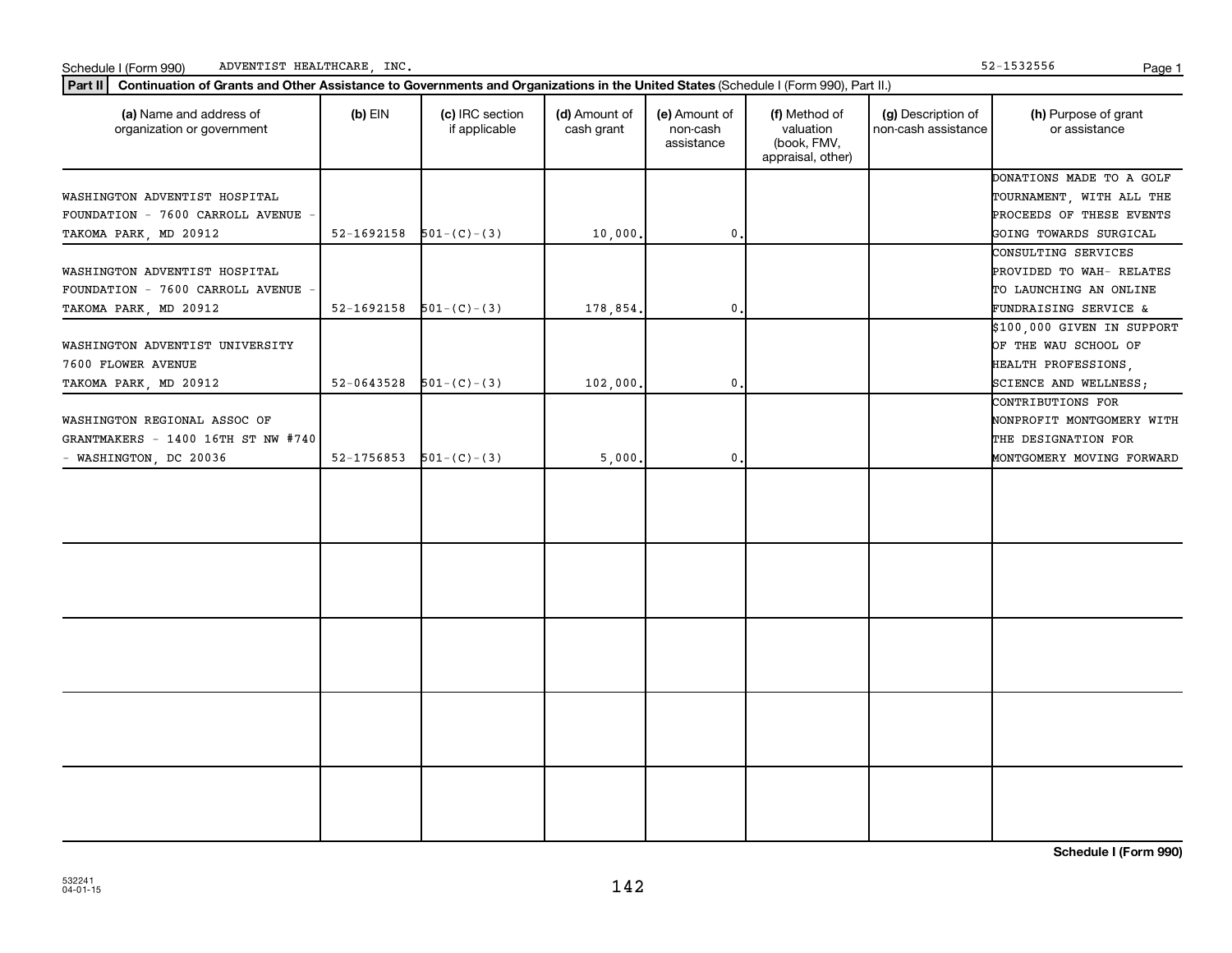| Schedule | Form 990) | HEALTHCARE<br>ADVENTIST | INC | -1532556<br>$\sim$<br>$24-$ | ∩מר<br>aye |
|----------|-----------|-------------------------|-----|-----------------------------|------------|
|----------|-----------|-------------------------|-----|-----------------------------|------------|

| (a) Name and address of<br>organization or government                                                               | $(b)$ EIN                | (c) IRC section<br>if applicable       | (d) Amount of<br>cash grant | (e) Amount of<br>non-cash<br>assistance | (f) Method of<br>valuation<br>(book, FMV,<br>appraisal, other) | (g) Description of<br>non-cash assistance | (h) Purpose of grant<br>or assistance                                                                                        |
|---------------------------------------------------------------------------------------------------------------------|--------------------------|----------------------------------------|-----------------------------|-----------------------------------------|----------------------------------------------------------------|-------------------------------------------|------------------------------------------------------------------------------------------------------------------------------|
| WASHINGTON ADVENTIST HOSPITAL<br>FOUNDATION - 7600 CARROLL AVENUE                                                   |                          |                                        |                             |                                         |                                                                |                                           | DONATIONS MADE TO A GOLF<br>TOURNAMENT, WITH ALL THE<br>PROCEEDS OF THESE EVENTS                                             |
| TAKOMA PARK, MD 20912<br>WASHINGTON ADVENTIST HOSPITAL<br>FOUNDATION - 7600 CARROLL AVENUE<br>TAKOMA PARK, MD 20912 | 52-1692158<br>52-1692158 | $501 - (C) - (3)$<br>$501 - (C) - (3)$ | 10,000<br>178,854.          | $\mathbf 0$ .<br>$\mathfrak o$ .        |                                                                |                                           | GOING TOWARDS SURGICAL<br>CONSULTING SERVICES<br>PROVIDED TO WAH- RELATES<br>TO LAUNCHING AN ONLINE<br>FUNDRAISING SERVICE & |
| WASHINGTON ADVENTIST UNIVERSITY<br>7600 FLOWER AVENUE<br>TAKOMA PARK, MD 20912                                      | 52-0643528               | $501 - (C) - (3)$                      | 102,000                     | 0.                                      |                                                                |                                           | \$100,000 GIVEN IN SUPPORT<br>OF THE WAU SCHOOL OF<br>HEALTH PROFESSIONS,<br>SCIENCE AND WELLNESS;                           |
| WASHINGTON REGIONAL ASSOC OF<br>GRANTMAKERS - 1400 16TH ST NW #740<br>- WASHINGTON, DC 20036                        | 52-1756853               | $501 - (C) - (3)$                      | 5,000,                      | $\mathbf{0}$ .                          |                                                                |                                           | CONTRIBUTIONS FOR<br>NONPROFIT MONTGOMERY WITH<br>THE DESIGNATION FOR<br>MONTGOMERY MOVING FORWARD                           |
|                                                                                                                     |                          |                                        |                             |                                         |                                                                |                                           |                                                                                                                              |
|                                                                                                                     |                          |                                        |                             |                                         |                                                                |                                           |                                                                                                                              |
|                                                                                                                     |                          |                                        |                             |                                         |                                                                |                                           |                                                                                                                              |
|                                                                                                                     |                          |                                        |                             |                                         |                                                                |                                           |                                                                                                                              |
|                                                                                                                     |                          |                                        |                             |                                         |                                                                |                                           |                                                                                                                              |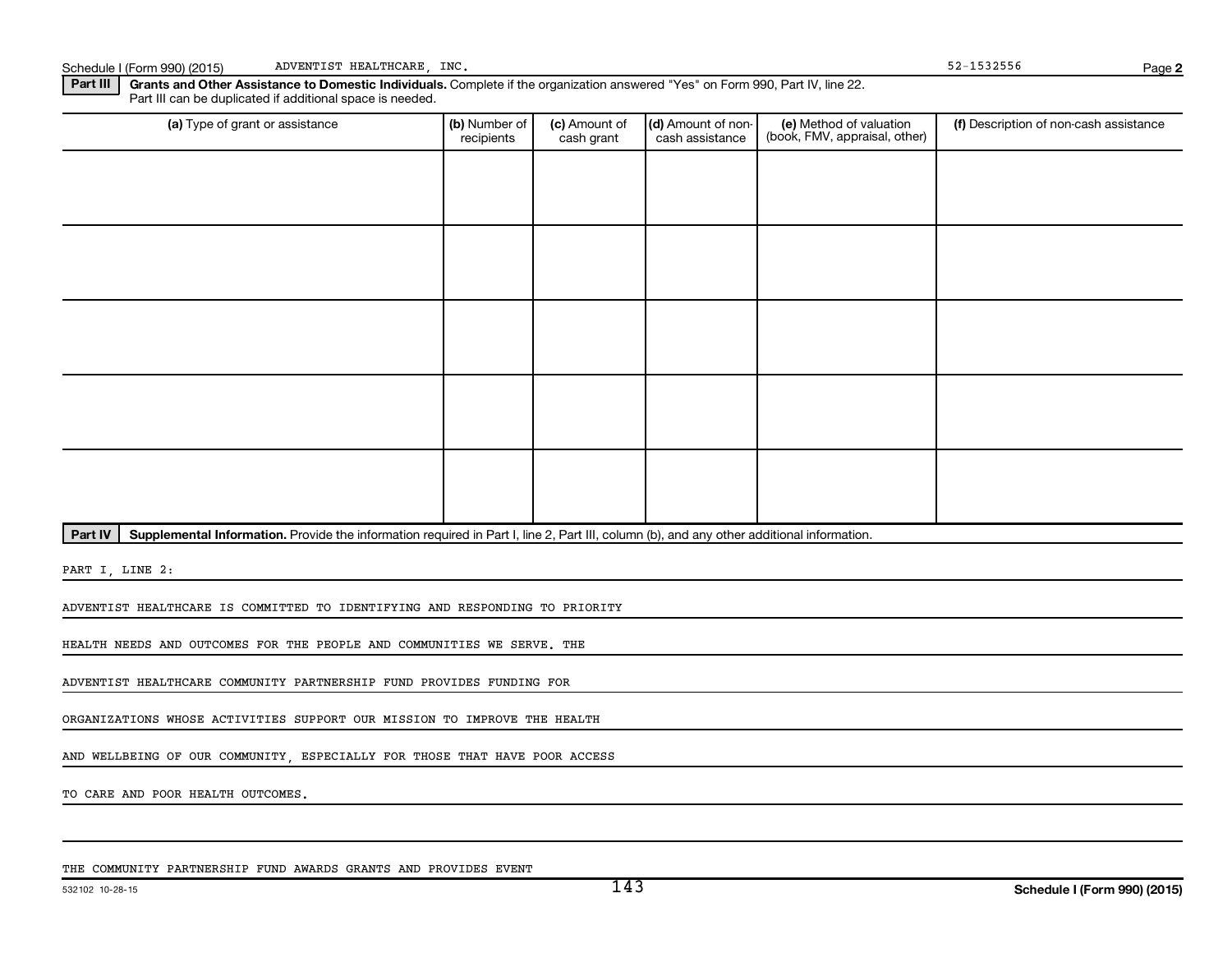Schedule I (Form 990) (2015) ADVENTIST HEALTHCARE, INC. The contract of the contract of the contract of the contract of the contract of the contract of the contract of the contract of the contract of the contract of the co ADVENTIST HEALTHCARE, INC.

**2**

Part III | Grants and Other Assistance to Domestic Individuals. Complete if the organization answered "Yes" on Form 990, Part IV, line 22. Part III can be duplicated if additional space is needed.

| (a) Type of grant or assistance | (b) Number of<br>recipients | (c) Amount of<br>cash grant | (d) Amount of non-<br>cash assistance | (e) Method of valuation<br>(book, FMV, appraisal, other) | (f) Description of non-cash assistance |
|---------------------------------|-----------------------------|-----------------------------|---------------------------------------|----------------------------------------------------------|----------------------------------------|
|                                 |                             |                             |                                       |                                                          |                                        |
|                                 |                             |                             |                                       |                                                          |                                        |
|                                 |                             |                             |                                       |                                                          |                                        |
|                                 |                             |                             |                                       |                                                          |                                        |
|                                 |                             |                             |                                       |                                                          |                                        |
|                                 |                             |                             |                                       |                                                          |                                        |
|                                 |                             |                             |                                       |                                                          |                                        |
|                                 |                             |                             |                                       |                                                          |                                        |
|                                 |                             |                             |                                       |                                                          |                                        |
|                                 |                             |                             |                                       |                                                          |                                        |

Part IV | Supplemental Information. Provide the information required in Part I, line 2, Part III, column (b), and any other additional information.

PART I, LINE 2:

ADVENTIST HEALTHCARE IS COMMITTED TO IDENTIFYING AND RESPONDING TO PRIORITY

HEALTH NEEDS AND OUTCOMES FOR THE PEOPLE AND COMMUNITIES WE SERVE. THE

ADVENTIST HEALTHCARE COMMUNITY PARTNERSHIP FUND PROVIDES FUNDING FOR

ORGANIZATIONS WHOSE ACTIVITIES SUPPORT OUR MISSION TO IMPROVE THE HEALTH

AND WELLBEING OF OUR COMMUNITY, ESPECIALLY FOR THOSE THAT HAVE POOR ACCESS

TO CARE AND POOR HEALTH OUTCOMES.

THE COMMUNITY PARTNERSHIP FUND AWARDS GRANTS AND PROVIDES EVENT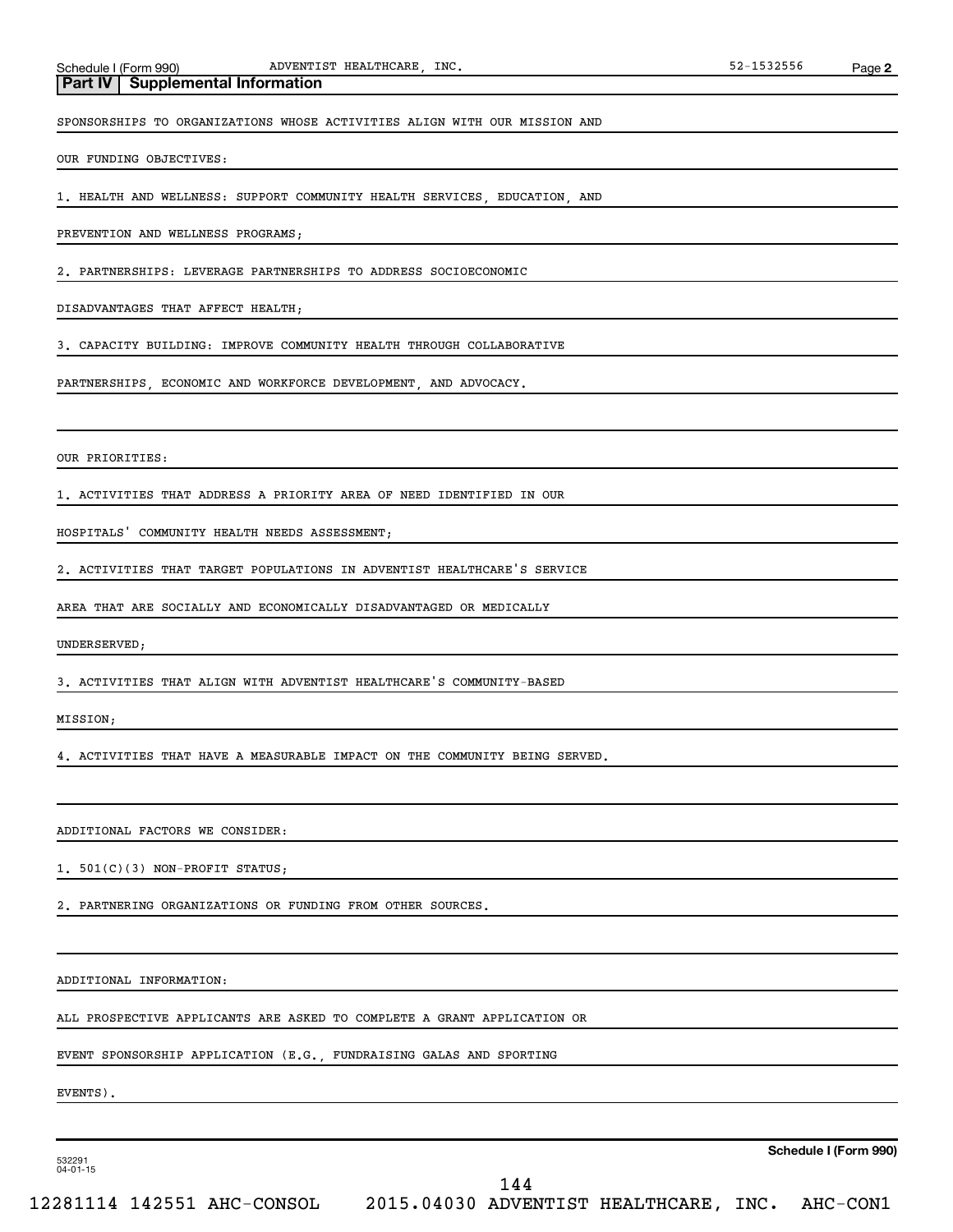SPONSORSHIPS TO ORGANIZATIONS WHOSE ACTIVITIES ALIGN WITH OUR MISSION AND

OUR FUNDING OBJECTIVES:

1. HEALTH AND WELLNESS: SUPPORT COMMUNITY HEALTH SERVICES, EDUCATION, AND

PREVENTION AND WELLNESS PROGRAMS;

2. PARTNERSHIPS: LEVERAGE PARTNERSHIPS TO ADDRESS SOCIOECONOMIC

DISADVANTAGES THAT AFFECT HEALTH;

3. CAPACITY BUILDING: IMPROVE COMMUNITY HEALTH THROUGH COLLABORATIVE

PARTNERSHIPS, ECONOMIC AND WORKFORCE DEVELOPMENT, AND ADVOCACY.

OUR PRIORITIES:

1. ACTIVITIES THAT ADDRESS A PRIORITY AREA OF NEED IDENTIFIED IN OUR

HOSPITALS' COMMUNITY HEALTH NEEDS ASSESSMENT;

2. ACTIVITIES THAT TARGET POPULATIONS IN ADVENTIST HEALTHCARE'S SERVICE

AREA THAT ARE SOCIALLY AND ECONOMICALLY DISADVANTAGED OR MEDICALLY

UNDERSERVED;

3. ACTIVITIES THAT ALIGN WITH ADVENTIST HEALTHCARE'S COMMUNITY-BASED

MISSION;

4. ACTIVITIES THAT HAVE A MEASURABLE IMPACT ON THE COMMUNITY BEING SERVED.

ADDITIONAL FACTORS WE CONSIDER:

1. 501(C)(3) NON-PROFIT STATUS;

2. PARTNERING ORGANIZATIONS OR FUNDING FROM OTHER SOURCES.

ADDITIONAL INFORMATION:

ALL PROSPECTIVE APPLICANTS ARE ASKED TO COMPLETE A GRANT APPLICATION OR

EVENT SPONSORSHIP APPLICATION (E.G., FUNDRAISING GALAS AND SPORTING

EVENTS).

532291 04-01-15

**Schedule I (Form 990)**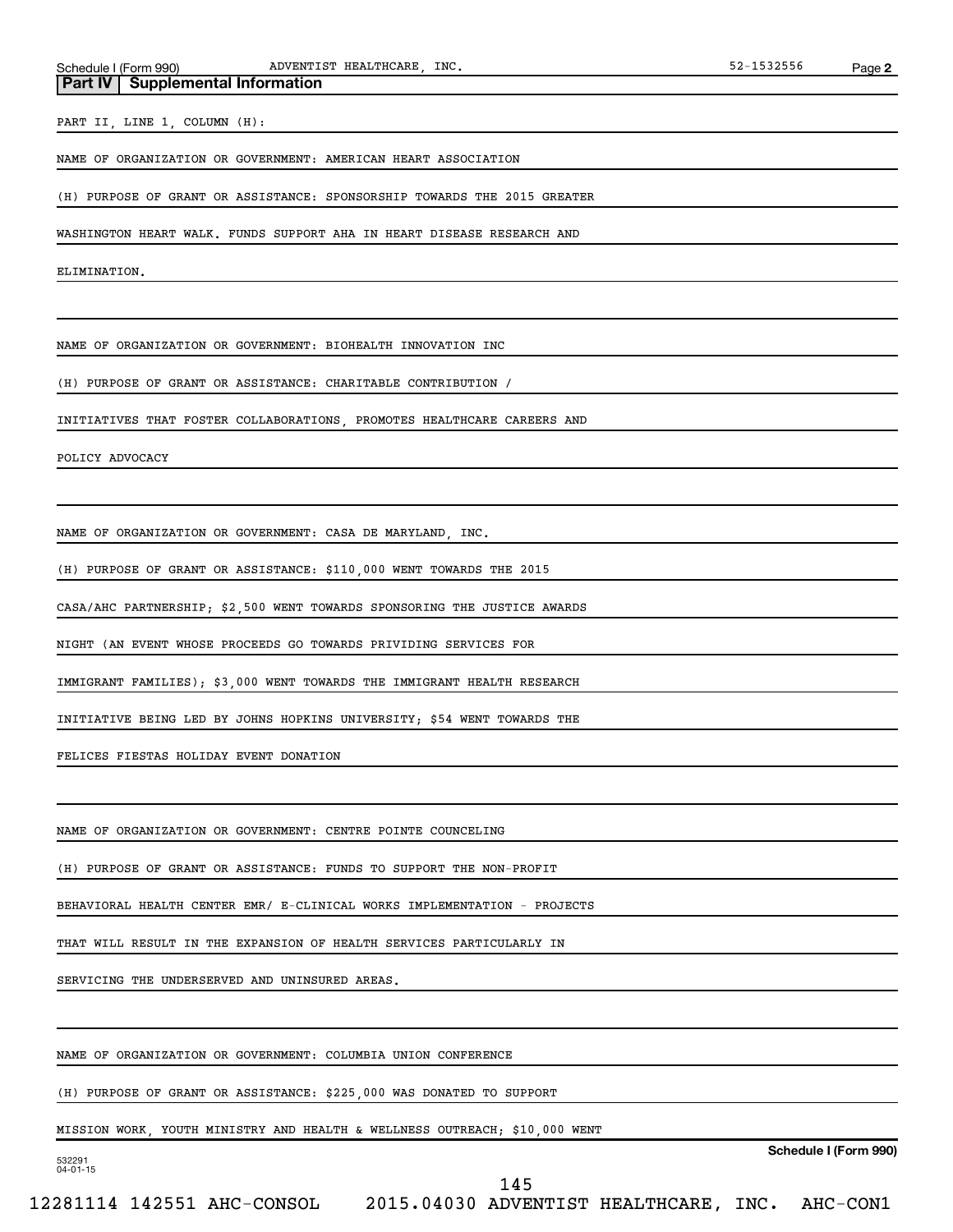Schedule I (Form 990) Page ADVENTIST HEALTHCARE, INC. 52-1532556

**Part IV Supplemental Information**

PART II, LINE 1, COLUMN (H):

NAME OF ORGANIZATION OR GOVERNMENT: AMERICAN HEART ASSOCIATION

(H) PURPOSE OF GRANT OR ASSISTANCE: SPONSORSHIP TOWARDS THE 2015 GREATER

WASHINGTON HEART WALK. FUNDS SUPPORT AHA IN HEART DISEASE RESEARCH AND

ELIMINATION.

NAME OF ORGANIZATION OR GOVERNMENT: BIOHEALTH INNOVATION INC

(H) PURPOSE OF GRANT OR ASSISTANCE: CHARITABLE CONTRIBUTION /

INITIATIVES THAT FOSTER COLLABORATIONS, PROMOTES HEALTHCARE CAREERS AND

POLICY ADVOCACY

NAME OF ORGANIZATION OR GOVERNMENT: CASA DE MARYLAND, INC.

(H) PURPOSE OF GRANT OR ASSISTANCE: \$110,000 WENT TOWARDS THE 2015

CASA/AHC PARTNERSHIP; \$2,500 WENT TOWARDS SPONSORING THE JUSTICE AWARDS

NIGHT (AN EVENT WHOSE PROCEEDS GO TOWARDS PRIVIDING SERVICES FOR

IMMIGRANT FAMILIES); \$3,000 WENT TOWARDS THE IMMIGRANT HEALTH RESEARCH

INITIATIVE BEING LED BY JOHNS HOPKINS UNIVERSITY; \$54 WENT TOWARDS THE

FELICES FIESTAS HOLIDAY EVENT DONATION

NAME OF ORGANIZATION OR GOVERNMENT: CENTRE POINTE COUNCELING

(H) PURPOSE OF GRANT OR ASSISTANCE: FUNDS TO SUPPORT THE NON-PROFIT

BEHAVIORAL HEALTH CENTER EMR/ E-CLINICAL WORKS IMPLEMENTATION - PROJECTS

THAT WILL RESULT IN THE EXPANSION OF HEALTH SERVICES PARTICULARLY IN

SERVICING THE UNDERSERVED AND UNINSURED AREAS.

NAME OF ORGANIZATION OR GOVERNMENT: COLUMBIA UNION CONFERENCE

(H) PURPOSE OF GRANT OR ASSISTANCE: \$225,000 WAS DONATED TO SUPPORT

### MISSION WORK, YOUTH MINISTRY AND HEALTH & WELLNESS OUTREACH; \$10,000 WENT

532291 04-01-15

**Schedule I (Form 990)**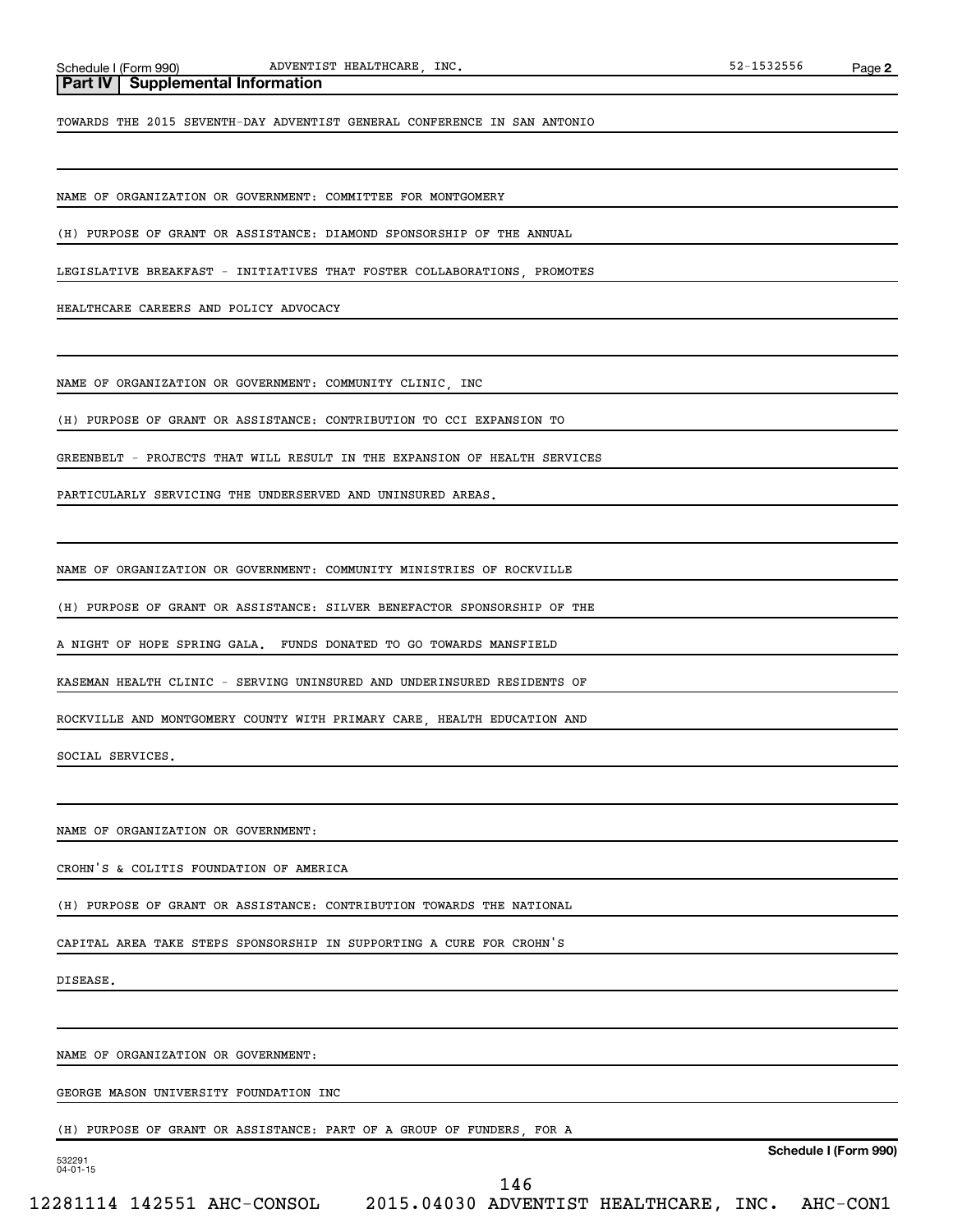Schedule I (Form 990) Page ADVENTIST HEALTHCARE, INC. 52-1532556

**Part IV Supplemental Information**

TOWARDS THE 2015 SEVENTH-DAY ADVENTIST GENERAL CONFERENCE IN SAN ANTONIO

NAME OF ORGANIZATION OR GOVERNMENT: COMMITTEE FOR MONTGOMERY

(H) PURPOSE OF GRANT OR ASSISTANCE: DIAMOND SPONSORSHIP OF THE ANNUAL

LEGISLATIVE BREAKFAST - INITIATIVES THAT FOSTER COLLABORATIONS, PROMOTES

HEALTHCARE CAREERS AND POLICY ADVOCACY

NAME OF ORGANIZATION OR GOVERNMENT: COMMUNITY CLINIC, INC

(H) PURPOSE OF GRANT OR ASSISTANCE: CONTRIBUTION TO CCI EXPANSION TO

GREENBELT - PROJECTS THAT WILL RESULT IN THE EXPANSION OF HEALTH SERVICES

PARTICULARLY SERVICING THE UNDERSERVED AND UNINSURED AREAS.

NAME OF ORGANIZATION OR GOVERNMENT: COMMUNITY MINISTRIES OF ROCKVILLE

(H) PURPOSE OF GRANT OR ASSISTANCE: SILVER BENEFACTOR SPONSORSHIP OF THE

A NIGHT OF HOPE SPRING GALA. FUNDS DONATED TO GO TOWARDS MANSFIELD

KASEMAN HEALTH CLINIC - SERVING UNINSURED AND UNDERINSURED RESIDENTS OF

ROCKVILLE AND MONTGOMERY COUNTY WITH PRIMARY CARE, HEALTH EDUCATION AND

SOCIAL SERVICES.

NAME OF ORGANIZATION OR GOVERNMENT:

CROHN'S & COLITIS FOUNDATION OF AMERICA

(H) PURPOSE OF GRANT OR ASSISTANCE: CONTRIBUTION TOWARDS THE NATIONAL

CAPITAL AREA TAKE STEPS SPONSORSHIP IN SUPPORTING A CURE FOR CROHN'S

DISEASE.

NAME OF ORGANIZATION OR GOVERNMENT:

GEORGE MASON UNIVERSITY FOUNDATION INC

(H) PURPOSE OF GRANT OR ASSISTANCE: PART OF A GROUP OF FUNDERS, FOR A

**Schedule I (Form 990)**

532291 04-01-15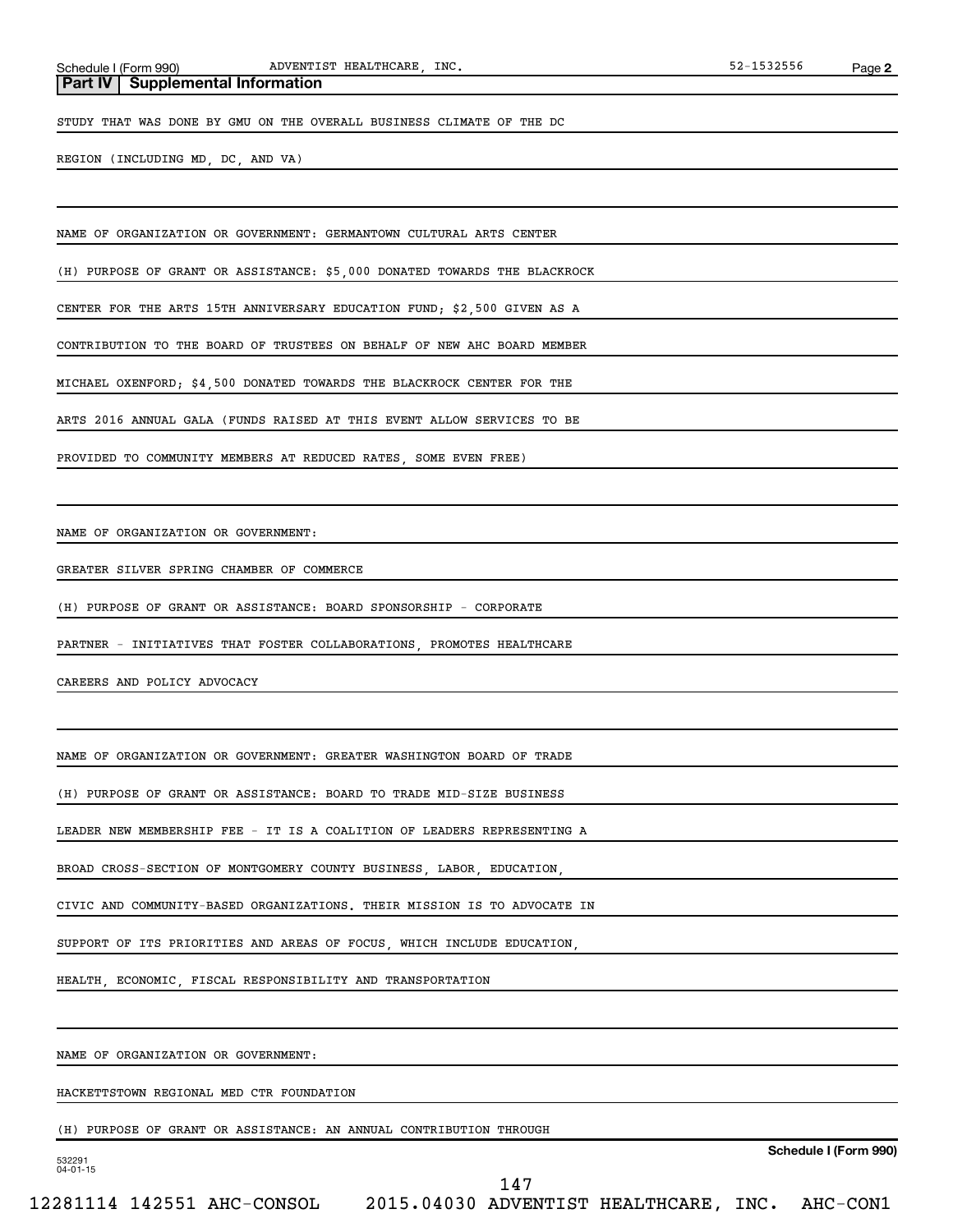STUDY THAT WAS DONE BY GMU ON THE OVERALL BUSINESS CLIMATE OF THE DC

REGION (INCLUDING MD, DC, AND VA)

NAME OF ORGANIZATION OR GOVERNMENT: GERMANTOWN CULTURAL ARTS CENTER

(H) PURPOSE OF GRANT OR ASSISTANCE: \$5,000 DONATED TOWARDS THE BLACKROCK

CENTER FOR THE ARTS 15TH ANNIVERSARY EDUCATION FUND; \$2,500 GIVEN AS A

CONTRIBUTION TO THE BOARD OF TRUSTEES ON BEHALF OF NEW AHC BOARD MEMBER

MICHAEL OXENFORD; \$4,500 DONATED TOWARDS THE BLACKROCK CENTER FOR THE

ARTS 2016 ANNUAL GALA (FUNDS RAISED AT THIS EVENT ALLOW SERVICES TO BE

PROVIDED TO COMMUNITY MEMBERS AT REDUCED RATES, SOME EVEN FREE)

NAME OF ORGANIZATION OR GOVERNMENT:

GREATER SILVER SPRING CHAMBER OF COMMERCE

(H) PURPOSE OF GRANT OR ASSISTANCE: BOARD SPONSORSHIP - CORPORATE

PARTNER - INITIATIVES THAT FOSTER COLLABORATIONS, PROMOTES HEALTHCARE

CAREERS AND POLICY ADVOCACY

NAME OF ORGANIZATION OR GOVERNMENT: GREATER WASHINGTON BOARD OF TRADE

(H) PURPOSE OF GRANT OR ASSISTANCE: BOARD TO TRADE MID-SIZE BUSINESS

LEADER NEW MEMBERSHIP FEE - IT IS A COALITION OF LEADERS REPRESENTING A

BROAD CROSS-SECTION OF MONTGOMERY COUNTY BUSINESS, LABOR, EDUCATION,

CIVIC AND COMMUNITY-BASED ORGANIZATIONS. THEIR MISSION IS TO ADVOCATE IN

SUPPORT OF ITS PRIORITIES AND AREAS OF FOCUS, WHICH INCLUDE EDUCATION,

HEALTH, ECONOMIC, FISCAL RESPONSIBILITY AND TRANSPORTATION

NAME OF ORGANIZATION OR GOVERNMENT:

HACKETTSTOWN REGIONAL MED CTR FOUNDATION

(H) PURPOSE OF GRANT OR ASSISTANCE: AN ANNUAL CONTRIBUTION THROUGH

**Schedule I (Form 990)**

532291 04-01-15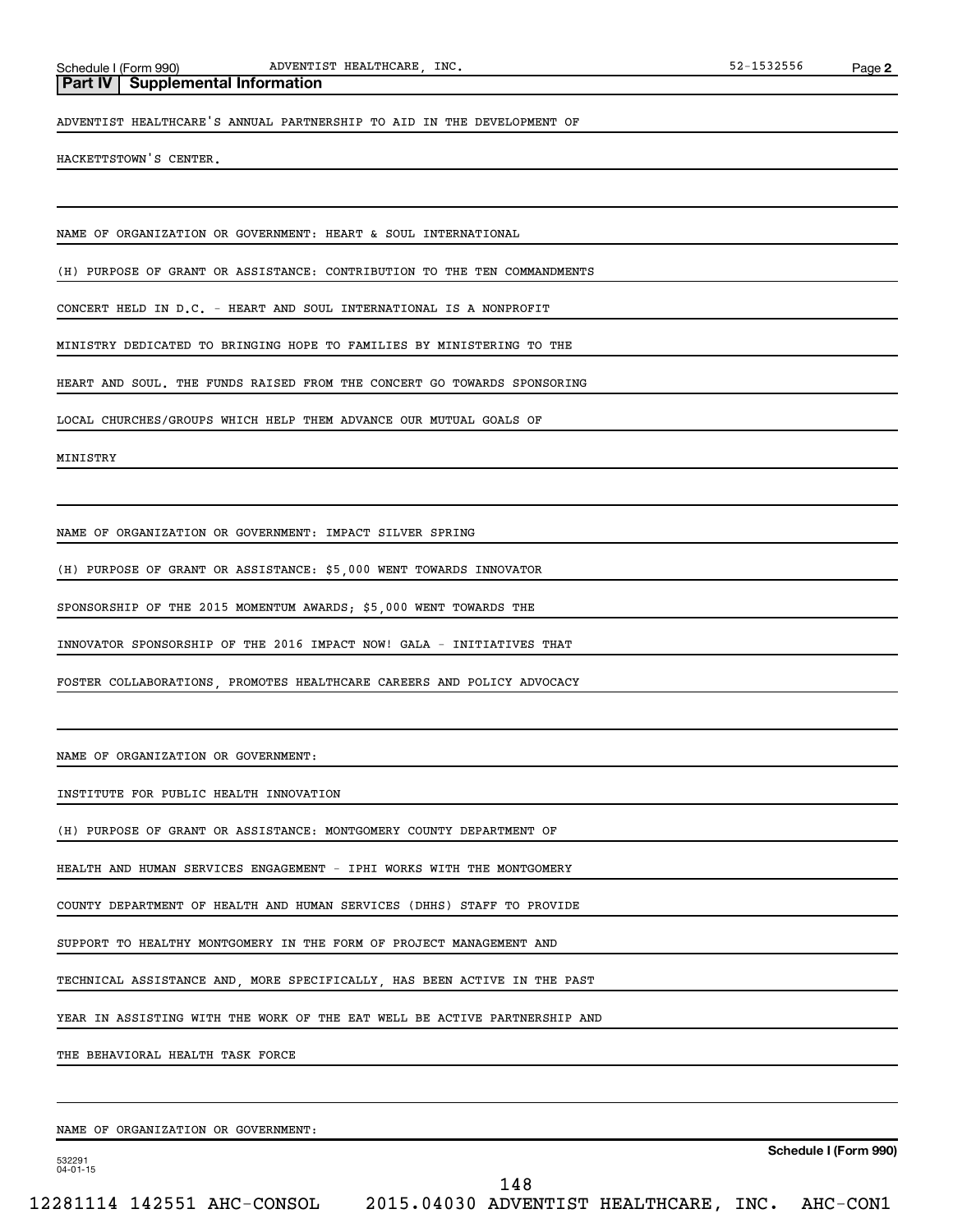ADVENTIST HEALTHCARE'S ANNUAL PARTNERSHIP TO AID IN THE DEVELOPMENT OF

HACKETTSTOWN'S CENTER.

NAME OF ORGANIZATION OR GOVERNMENT: HEART & SOUL INTERNATIONAL

(H) PURPOSE OF GRANT OR ASSISTANCE: CONTRIBUTION TO THE TEN COMMANDMENTS

CONCERT HELD IN D.C. - HEART AND SOUL INTERNATIONAL IS A NONPROFIT

MINISTRY DEDICATED TO BRINGING HOPE TO FAMILIES BY MINISTERING TO THE

HEART AND SOUL. THE FUNDS RAISED FROM THE CONCERT GO TOWARDS SPONSORING

LOCAL CHURCHES/GROUPS WHICH HELP THEM ADVANCE OUR MUTUAL GOALS OF

MINISTRY

NAME OF ORGANIZATION OR GOVERNMENT: IMPACT SILVER SPRING

(H) PURPOSE OF GRANT OR ASSISTANCE: \$5,000 WENT TOWARDS INNOVATOR

SPONSORSHIP OF THE 2015 MOMENTUM AWARDS; \$5,000 WENT TOWARDS THE

INNOVATOR SPONSORSHIP OF THE 2016 IMPACT NOW! GALA - INITIATIVES THAT

FOSTER COLLABORATIONS, PROMOTES HEALTHCARE CAREERS AND POLICY ADVOCACY

NAME OF ORGANIZATION OR GOVERNMENT:

INSTITUTE FOR PUBLIC HEALTH INNOVATION

(H) PURPOSE OF GRANT OR ASSISTANCE: MONTGOMERY COUNTY DEPARTMENT OF

HEALTH AND HUMAN SERVICES ENGAGEMENT - IPHI WORKS WITH THE MONTGOMERY

COUNTY DEPARTMENT OF HEALTH AND HUMAN SERVICES (DHHS) STAFF TO PROVIDE

SUPPORT TO HEALTHY MONTGOMERY IN THE FORM OF PROJECT MANAGEMENT AND

TECHNICAL ASSISTANCE AND, MORE SPECIFICALLY, HAS BEEN ACTIVE IN THE PAST

YEAR IN ASSISTING WITH THE WORK OF THE EAT WELL BE ACTIVE PARTNERSHIP AND

THE BEHAVIORAL HEALTH TASK FORCE

NAME OF ORGANIZATION OR GOVERNMENT:

532291 04-01-15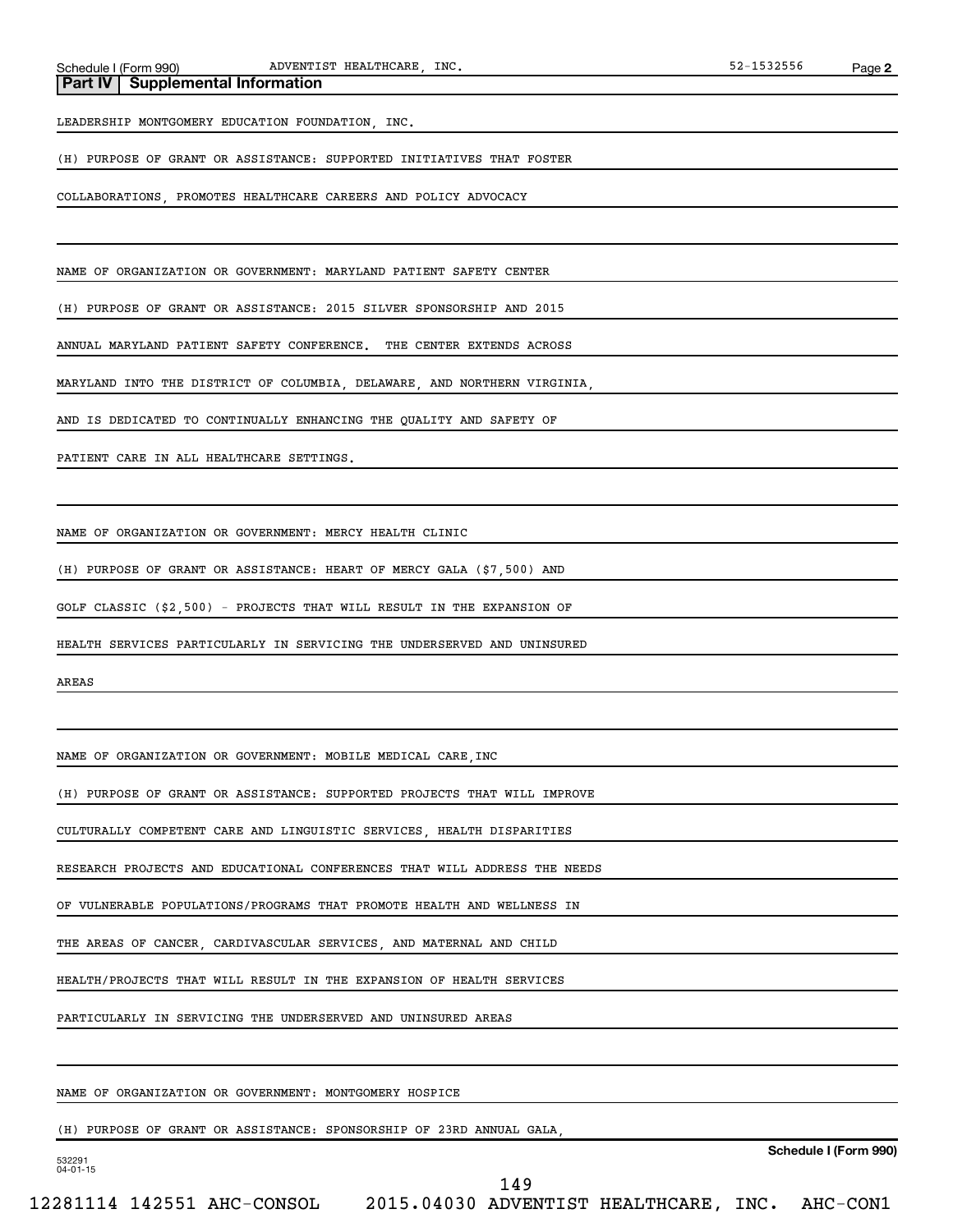LEADERSHIP MONTGOMERY EDUCATION FOUNDATION, INC.

### (H) PURPOSE OF GRANT OR ASSISTANCE: SUPPORTED INITIATIVES THAT FOSTER

COLLABORATIONS, PROMOTES HEALTHCARE CAREERS AND POLICY ADVOCACY

NAME OF ORGANIZATION OR GOVERNMENT: MARYLAND PATIENT SAFETY CENTER

(H) PURPOSE OF GRANT OR ASSISTANCE: 2015 SILVER SPONSORSHIP AND 2015

ANNUAL MARYLAND PATIENT SAFETY CONFERENCE. THE CENTER EXTENDS ACROSS

MARYLAND INTO THE DISTRICT OF COLUMBIA, DELAWARE, AND NORTHERN VIRGINIA,

AND IS DEDICATED TO CONTINUALLY ENHANCING THE QUALITY AND SAFETY OF

PATIENT CARE IN ALL HEALTHCARE SETTINGS.

NAME OF ORGANIZATION OR GOVERNMENT: MERCY HEALTH CLINIC

(H) PURPOSE OF GRANT OR ASSISTANCE: HEART OF MERCY GALA (\$7,500) AND

GOLF CLASSIC (\$2,500) - PROJECTS THAT WILL RESULT IN THE EXPANSION OF

HEALTH SERVICES PARTICULARLY IN SERVICING THE UNDERSERVED AND UNINSURED

AREAS

NAME OF ORGANIZATION OR GOVERNMENT: MOBILE MEDICAL CARE INC

(H) PURPOSE OF GRANT OR ASSISTANCE: SUPPORTED PROJECTS THAT WILL IMPROVE

CULTURALLY COMPETENT CARE AND LINGUISTIC SERVICES, HEALTH DISPARITIES

RESEARCH PROJECTS AND EDUCATIONAL CONFERENCES THAT WILL ADDRESS THE NEEDS

OF VULNERABLE POPULATIONS/PROGRAMS THAT PROMOTE HEALTH AND WELLNESS IN

THE AREAS OF CANCER, CARDIVASCULAR SERVICES, AND MATERNAL AND CHILD

HEALTH/PROJECTS THAT WILL RESULT IN THE EXPANSION OF HEALTH SERVICES

PARTICULARLY IN SERVICING THE UNDERSERVED AND UNINSURED AREAS

NAME OF ORGANIZATION OR GOVERNMENT: MONTGOMERY HOSPICE

(H) PURPOSE OF GRANT OR ASSISTANCE: SPONSORSHIP OF 23RD ANNUAL GALA,

**Schedule I (Form 990)**

532291 04-01-15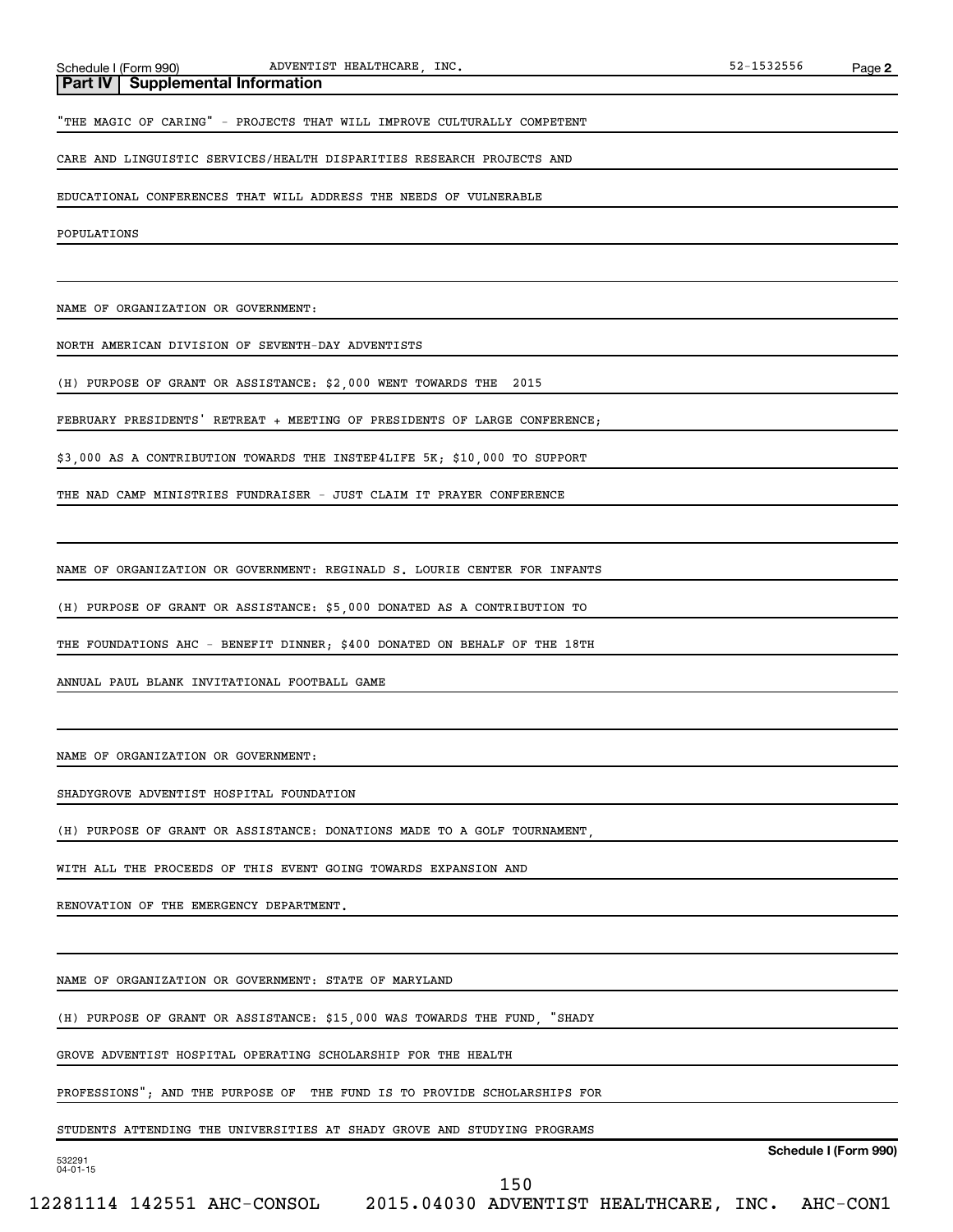"THE MAGIC OF CARING" - PROJECTS THAT WILL IMPROVE CULTURALLY COMPETENT

#### CARE AND LINGUISTIC SERVICES/HEALTH DISPARITIES RESEARCH PROJECTS AND

EDUCATIONAL CONFERENCES THAT WILL ADDRESS THE NEEDS OF VULNERABLE

POPULATIONS

NAME OF ORGANIZATION OR GOVERNMENT:

NORTH AMERICAN DIVISION OF SEVENTH-DAY ADVENTISTS

(H) PURPOSE OF GRANT OR ASSISTANCE: \$2,000 WENT TOWARDS THE 2015

FEBRUARY PRESIDENTS' RETREAT + MEETING OF PRESIDENTS OF LARGE CONFERENCE;

\$3,000 AS A CONTRIBUTION TOWARDS THE INSTEP4LIFE 5K; \$10,000 TO SUPPORT

THE NAD CAMP MINISTRIES FUNDRAISER - JUST CLAIM IT PRAYER CONFERENCE

NAME OF ORGANIZATION OR GOVERNMENT: REGINALD S. LOURIE CENTER FOR INFANTS

(H) PURPOSE OF GRANT OR ASSISTANCE: \$5,000 DONATED AS A CONTRIBUTION TO

THE FOUNDATIONS AHC - BENEFIT DINNER; \$400 DONATED ON BEHALF OF THE 18TH

ANNUAL PAUL BLANK INVITATIONAL FOOTBALL GAME

NAME OF ORGANIZATION OR GOVERNMENT:

SHADYGROVE ADVENTIST HOSPITAL FOUNDATION

(H) PURPOSE OF GRANT OR ASSISTANCE: DONATIONS MADE TO A GOLF TOURNAMENT,

WITH ALL THE PROCEEDS OF THIS EVENT GOING TOWARDS EXPANSION AND

RENOVATION OF THE EMERGENCY DEPARTMENT.

NAME OF ORGANIZATION OR GOVERNMENT: STATE OF MARYLAND

(H) PURPOSE OF GRANT OR ASSISTANCE: \$15,000 WAS TOWARDS THE FUND, "SHADY

GROVE ADVENTIST HOSPITAL OPERATING SCHOLARSHIP FOR THE HEALTH

PROFESSIONS"; AND THE PURPOSE OF THE FUND IS TO PROVIDE SCHOLARSHIPS FOR

#### STUDENTS ATTENDING THE UNIVERSITIES AT SHADY GROVE AND STUDYING PROGRAMS

532291 04-01-15

**Schedule I (Form 990)**

150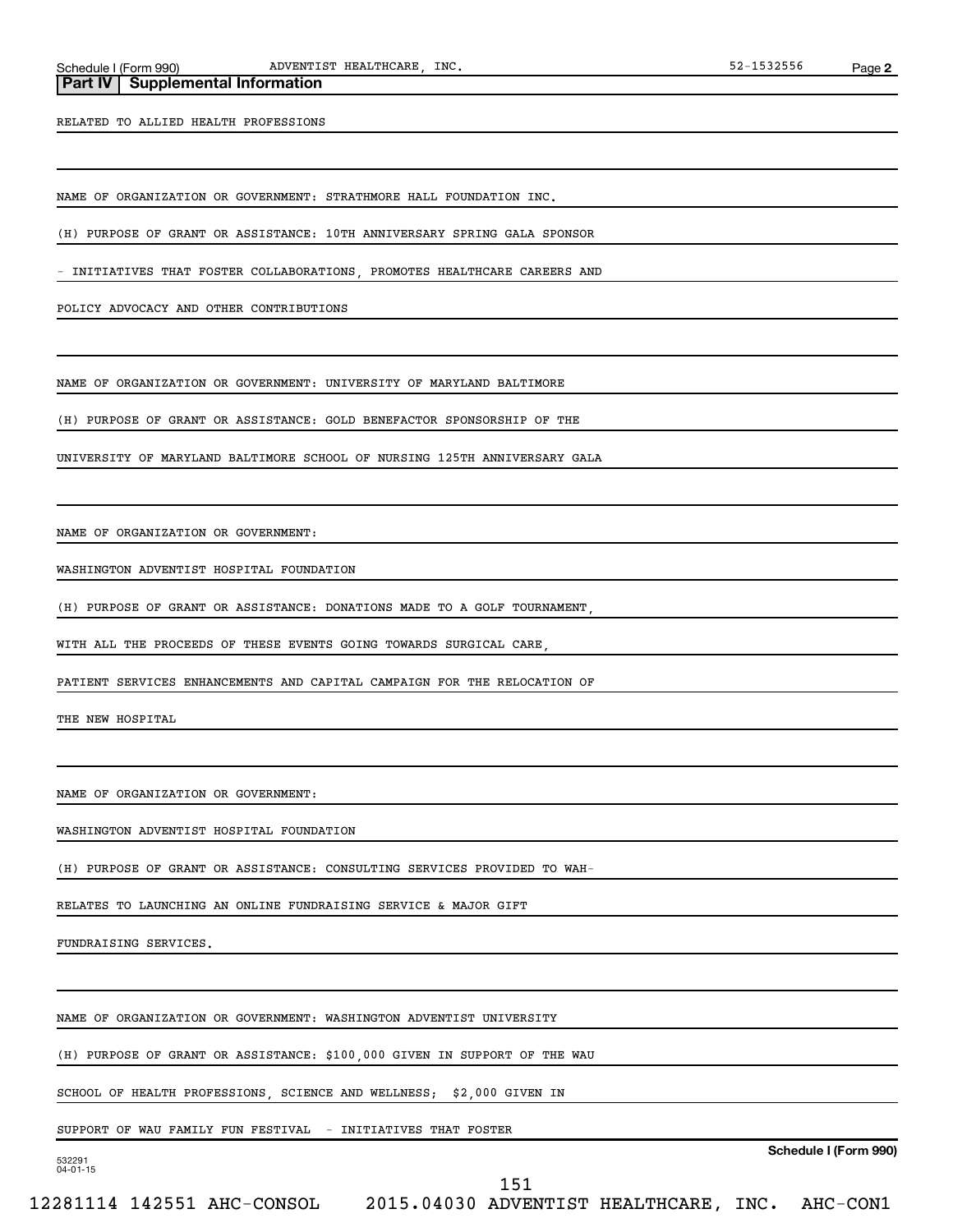RELATED TO ALLIED HEALTH PROFESSIONS

NAME OF ORGANIZATION OR GOVERNMENT: STRATHMORE HALL FOUNDATION INC.

(H) PURPOSE OF GRANT OR ASSISTANCE: 10TH ANNIVERSARY SPRING GALA SPONSOR

- INITIATIVES THAT FOSTER COLLABORATIONS, PROMOTES HEALTHCARE CAREERS AND

POLICY ADVOCACY AND OTHER CONTRIBUTIONS

NAME OF ORGANIZATION OR GOVERNMENT: UNIVERSITY OF MARYLAND BALTIMORE

(H) PURPOSE OF GRANT OR ASSISTANCE: GOLD BENEFACTOR SPONSORSHIP OF THE

UNIVERSITY OF MARYLAND BALTIMORE SCHOOL OF NURSING 125TH ANNIVERSARY GALA

NAME OF ORGANIZATION OR GOVERNMENT:

WASHINGTON ADVENTIST HOSPITAL FOUNDATION

(H) PURPOSE OF GRANT OR ASSISTANCE: DONATIONS MADE TO A GOLF TOURNAMENT,

WITH ALL THE PROCEEDS OF THESE EVENTS GOING TOWARDS SURGICAL CARE,

PATIENT SERVICES ENHANCEMENTS AND CAPITAL CAMPAIGN FOR THE RELOCATION OF

THE NEW HOSPITAL

NAME OF ORGANIZATION OR GOVERNMENT:

WASHINGTON ADVENTIST HOSPITAL FOUNDATION

(H) PURPOSE OF GRANT OR ASSISTANCE: CONSULTING SERVICES PROVIDED TO WAH-

RELATES TO LAUNCHING AN ONLINE FUNDRAISING SERVICE & MAJOR GIFT

FUNDRAISING SERVICES.

NAME OF ORGANIZATION OR GOVERNMENT: WASHINGTON ADVENTIST UNIVERSITY

(H) PURPOSE OF GRANT OR ASSISTANCE: \$100,000 GIVEN IN SUPPORT OF THE WAU

SCHOOL OF HEALTH PROFESSIONS, SCIENCE AND WELLNESS; \$2,000 GIVEN IN

SUPPORT OF WAU FAMILY FUN FESTIVAL - INITIATIVES THAT FOSTER

532291 04-01-15

**Schedule I (Form 990)**

151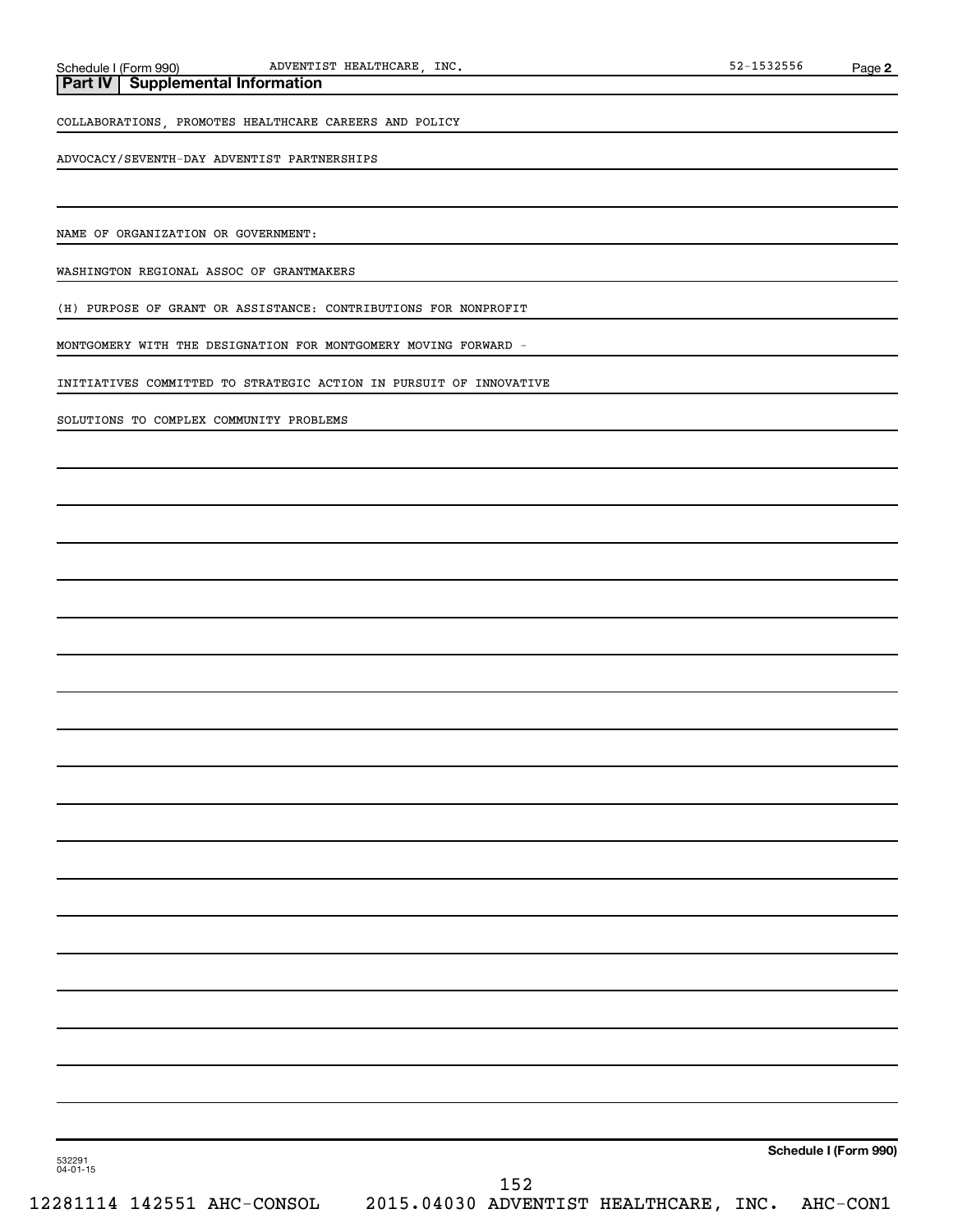COLLABORATIONS, PROMOTES HEALTHCARE CAREERS AND POLICY

ADVOCACY/SEVENTH-DAY ADVENTIST PARTNERSHIPS

NAME OF ORGANIZATION OR GOVERNMENT:

WASHINGTON REGIONAL ASSOC OF GRANTMAKERS

(H) PURPOSE OF GRANT OR ASSISTANCE: CONTRIBUTIONS FOR NONPROFIT

MONTGOMERY WITH THE DESIGNATION FOR MONTGOMERY MOVING FORWARD -

INITIATIVES COMMITTED TO STRATEGIC ACTION IN PURSUIT OF INNOVATIVE

SOLUTIONS TO COMPLEX COMMUNITY PROBLEMS

**Schedule I (Form 990)**

532291 04-01-15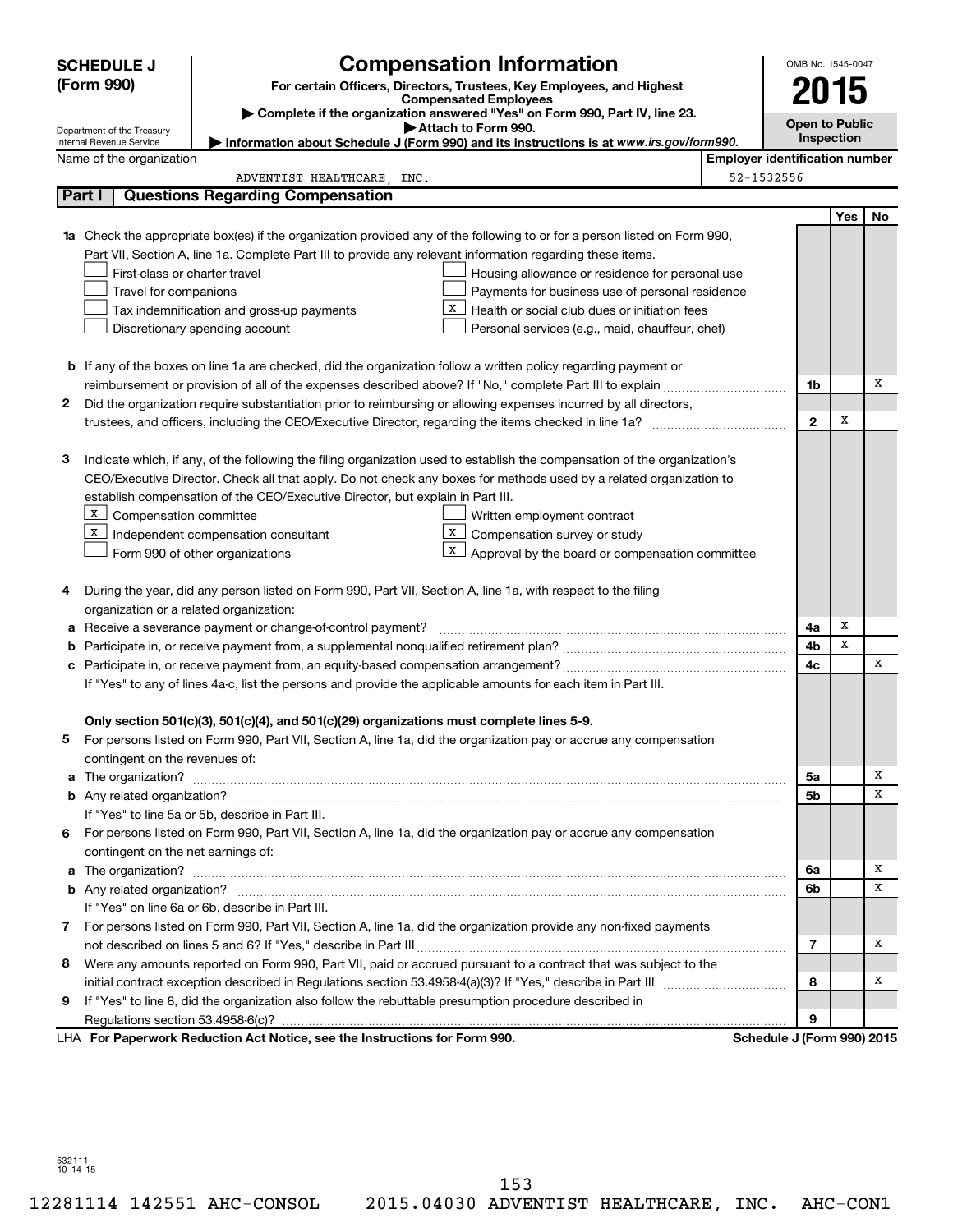|   | <b>SCHEDULE J</b>                       | <b>Compensation Information</b>                                                                                           |                                       | OMB No. 1545-0047     |            |    |
|---|-----------------------------------------|---------------------------------------------------------------------------------------------------------------------------|---------------------------------------|-----------------------|------------|----|
|   | (Form 990)                              | For certain Officers, Directors, Trustees, Key Employees, and Highest                                                     |                                       |                       | U15        |    |
|   |                                         | <b>Compensated Employees</b><br>Complete if the organization answered "Yes" on Form 990, Part IV, line 23.                |                                       |                       |            |    |
|   | Department of the Treasury              | Attach to Form 990.                                                                                                       |                                       | <b>Open to Public</b> |            |    |
|   | Internal Revenue Service                | Information about Schedule J (Form 990) and its instructions is at www.irs.gov/form990.                                   |                                       |                       | Inspection |    |
|   | Name of the organization                |                                                                                                                           | <b>Employer identification number</b> |                       |            |    |
|   |                                         | ADVENTIST HEALTHCARE, INC.                                                                                                | 52-1532556                            |                       |            |    |
|   | Part I                                  | <b>Questions Regarding Compensation</b>                                                                                   |                                       |                       |            |    |
|   |                                         |                                                                                                                           |                                       |                       | Yes        | No |
|   |                                         | 1a Check the appropriate box(es) if the organization provided any of the following to or for a person listed on Form 990, |                                       |                       |            |    |
|   |                                         | Part VII, Section A, line 1a. Complete Part III to provide any relevant information regarding these items.                |                                       |                       |            |    |
|   | First-class or charter travel           | Housing allowance or residence for personal use                                                                           |                                       |                       |            |    |
|   | Travel for companions                   | Payments for business use of personal residence                                                                           |                                       |                       |            |    |
|   |                                         | $\mathbf{X}$<br>Health or social club dues or initiation fees<br>Tax indemnification and gross-up payments                |                                       |                       |            |    |
|   |                                         | Discretionary spending account<br>Personal services (e.g., maid, chauffeur, chef)                                         |                                       |                       |            |    |
|   |                                         |                                                                                                                           |                                       |                       |            |    |
|   |                                         | <b>b</b> If any of the boxes on line 1a are checked, did the organization follow a written policy regarding payment or    |                                       |                       |            |    |
|   |                                         |                                                                                                                           |                                       | 1b                    |            | X  |
| 2 |                                         | Did the organization require substantiation prior to reimbursing or allowing expenses incurred by all directors,          |                                       |                       |            |    |
|   |                                         |                                                                                                                           |                                       | $\mathbf{2}$          | х          |    |
|   |                                         |                                                                                                                           |                                       |                       |            |    |
| з |                                         | Indicate which, if any, of the following the filing organization used to establish the compensation of the organization's |                                       |                       |            |    |
|   |                                         | CEO/Executive Director. Check all that apply. Do not check any boxes for methods used by a related organization to        |                                       |                       |            |    |
|   |                                         | establish compensation of the CEO/Executive Director, but explain in Part III.                                            |                                       |                       |            |    |
|   | X<br>Compensation committee             | Written employment contract                                                                                               |                                       |                       |            |    |
|   | X                                       | X  <br>Compensation survey or study<br>Independent compensation consultant                                                |                                       |                       |            |    |
|   |                                         | Approval by the board or compensation committee<br>Form 990 of other organizations<br>X                                   |                                       |                       |            |    |
|   |                                         |                                                                                                                           |                                       |                       |            |    |
| 4 |                                         | During the year, did any person listed on Form 990, Part VII, Section A, line 1a, with respect to the filing              |                                       |                       |            |    |
|   | organization or a related organization: |                                                                                                                           |                                       |                       |            |    |
| а |                                         | Receive a severance payment or change-of-control payment?                                                                 |                                       | 4a                    | х          |    |
| b |                                         |                                                                                                                           |                                       | 4b                    | x          | x  |
| с |                                         |                                                                                                                           |                                       | 4c                    |            |    |
|   |                                         | If "Yes" to any of lines 4a-c, list the persons and provide the applicable amounts for each item in Part III.             |                                       |                       |            |    |
|   |                                         |                                                                                                                           |                                       |                       |            |    |
|   |                                         | Only section 501(c)(3), 501(c)(4), and 501(c)(29) organizations must complete lines 5-9.                                  |                                       |                       |            |    |
|   |                                         | For persons listed on Form 990, Part VII, Section A, line 1a, did the organization pay or accrue any compensation         |                                       |                       |            |    |
|   | contingent on the revenues of:          |                                                                                                                           |                                       |                       |            | х  |
|   |                                         |                                                                                                                           |                                       | 5а                    |            | x  |
|   |                                         |                                                                                                                           |                                       | 5b                    |            |    |
|   |                                         | If "Yes" to line 5a or 5b, describe in Part III.                                                                          |                                       |                       |            |    |
| 6 |                                         | For persons listed on Form 990, Part VII, Section A, line 1a, did the organization pay or accrue any compensation         |                                       |                       |            |    |
|   | contingent on the net earnings of:      |                                                                                                                           |                                       |                       |            | х  |
|   |                                         |                                                                                                                           |                                       | 6a                    |            | x  |
|   |                                         |                                                                                                                           |                                       | 6b                    |            |    |
|   |                                         | If "Yes" on line 6a or 6b, describe in Part III.                                                                          |                                       |                       |            |    |
|   |                                         | 7 For persons listed on Form 990, Part VII, Section A, line 1a, did the organization provide any non-fixed payments       |                                       |                       |            |    |
|   |                                         |                                                                                                                           |                                       | 7                     |            | х  |
| 8 |                                         | Were any amounts reported on Form 990, Part VII, paid or accrued pursuant to a contract that was subject to the           |                                       |                       |            |    |
|   |                                         |                                                                                                                           |                                       | 8                     |            | x  |
| 9 |                                         | If "Yes" to line 8, did the organization also follow the rebuttable presumption procedure described in                    |                                       |                       |            |    |
|   |                                         |                                                                                                                           |                                       | 9                     |            |    |
|   |                                         | LHA For Paperwork Reduction Act Notice, see the Instructions for Form 990.                                                | Schedule J (Form 990) 2015            |                       |            |    |

532111 10-14-15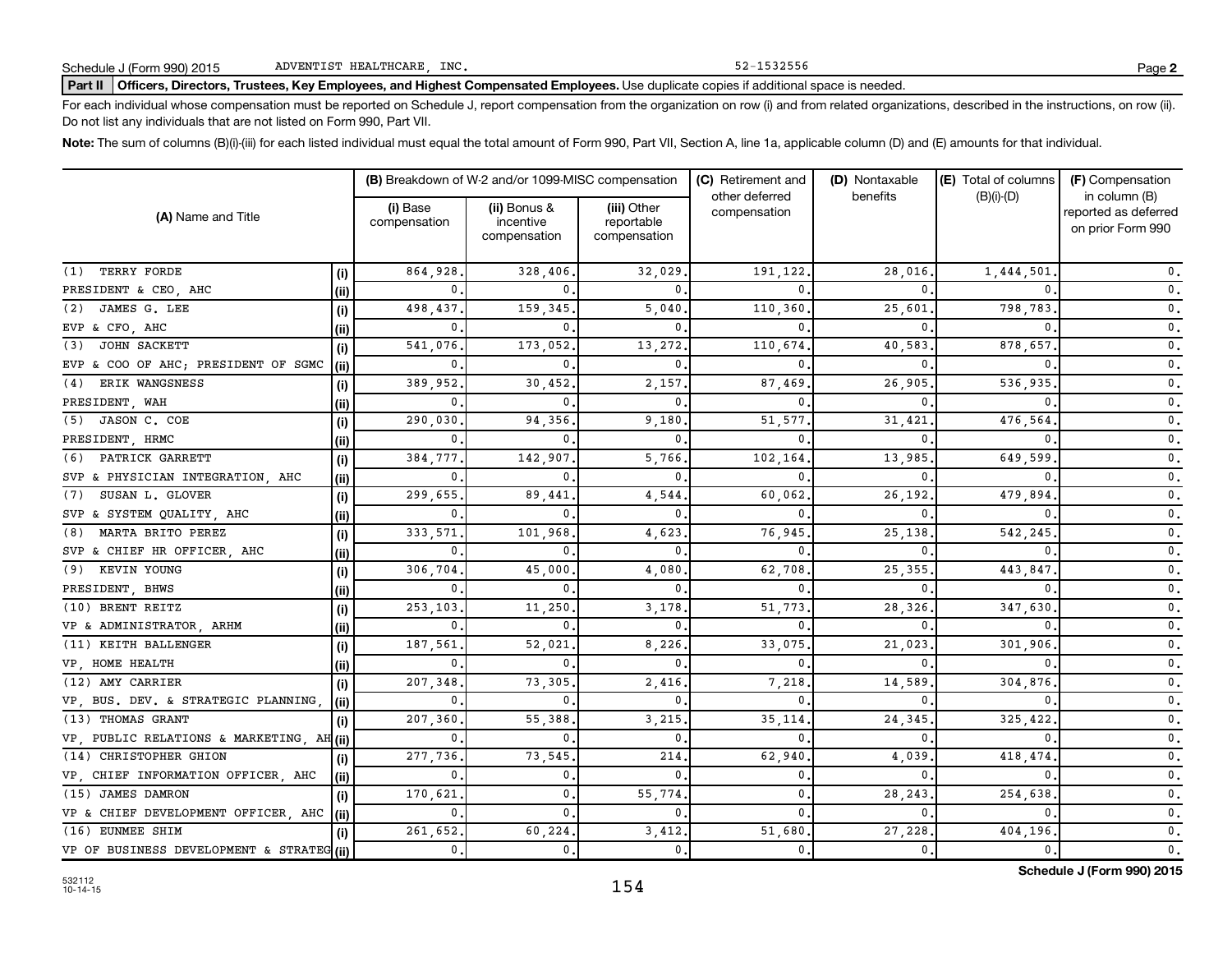Part II | Officers, Directors, Trustees, Key Employees, and Highest Compensated Employees. Use duplicate copies if additional space is needed.

For each individual whose compensation must be reported on Schedule J, report compensation from the organization on row (i) and from related organizations, described in the instructions, on row (ii). Do not list any individuals that are not listed on Form 990, Part VII.

Note: The sum of columns (B)(i)-(iii) for each listed individual must equal the total amount of Form 990, Part VII, Section A, line 1a, applicable column (D) and (E) amounts for that individual.

|                                           |       |                          | (B) Breakdown of W-2 and/or 1099-MISC compensation |                                           | (C) Retirement and<br>other deferred | (D) Nontaxable<br>benefits | (E) Total of columns | (F) Compensation                                           |
|-------------------------------------------|-------|--------------------------|----------------------------------------------------|-------------------------------------------|--------------------------------------|----------------------------|----------------------|------------------------------------------------------------|
| (A) Name and Title                        |       | (i) Base<br>compensation | (ii) Bonus &<br>incentive<br>compensation          | (iii) Other<br>reportable<br>compensation | compensation                         |                            | $(B)(i)-(D)$         | in column (B)<br>reported as deferred<br>on prior Form 990 |
| TERRY FORDE<br>(1)                        | (i)   | 864,928                  | 328,406                                            | 32,029                                    | 191,122                              | 28,016                     | 1,444,501            | $\mathbf{0}$ .                                             |
| PRESIDENT & CEO, AHC                      | (ii)  | 0                        |                                                    | 0                                         |                                      |                            |                      | $\mathfrak o$ .                                            |
| JAMES G. LEE<br>(2)                       | (i)   | 498,437                  | 159,345                                            | 5,040                                     | 110,360                              | 25,601                     | 798,783              | $\mathsf{0}\,.$                                            |
| EVP & CFO, AHC                            | (ii)  | 0                        |                                                    | $\mathbf{0}$                              |                                      |                            |                      | $\mathsf{0}$ .                                             |
| JOHN SACKETT<br>(3)                       | (i)   | 541,076                  | 173,052                                            | 13,272                                    | 110,674                              | 40,583                     | 878,657              | $\mathsf{0}$ .                                             |
| EVP & COO OF AHC; PRESIDENT OF SGMC       | (iii) | 0                        |                                                    | 0                                         |                                      |                            |                      | $\mathsf{0}$ .                                             |
| ERIK WANGSNESS<br>(4)                     | (i)   | 389,952                  | 30,452                                             | 2,157                                     | 87,469                               | 26,905                     | 536,935              | $\mathsf{0}$ .                                             |
| PRESIDENT, WAH                            | (ii)  | 0                        |                                                    | 0                                         |                                      |                            |                      | $\mathsf{0}\,.$                                            |
| JASON C. COE<br>(5)                       | (i)   | 290,030                  | 94,356                                             | 9,180                                     | 51,577                               | 31,421                     | 476,564              | $\mathbf 0$ .                                              |
| PRESIDENT, HRMC                           | (ii)  | 0                        |                                                    | 0.                                        |                                      |                            |                      | $\mathsf{0}\,.$                                            |
| (6) PATRICK GARRETT                       | (i)   | 384,777                  | 142,907                                            | 5,766                                     | 102,164                              | 13,985                     | 649,599              | $\mathbf 0$ .                                              |
| SVP & PHYSICIAN INTEGRATION, AHC          | (ii)  | 0                        |                                                    | $\mathbf{0}$                              | <sup>0</sup>                         |                            |                      | $\mathbf 0$ .                                              |
| SUSAN L. GLOVER<br>(7)                    | (i)   | 299,655                  | 89,441                                             | 4,544                                     | 60,062                               | 26,192                     | 479,894              | $\mathbf 0$ .                                              |
| SVP & SYSTEM QUALITY, AHC                 | (ii)  | 0                        |                                                    | $\mathbf{0}$                              | <sup>0</sup>                         |                            |                      | $\mathbf 0$ .                                              |
| MARTA BRITO PEREZ<br>(8)                  | (i)   | 333,571                  | 101,968                                            | 4,623                                     | 76,945                               | 25,138                     | 542,245              | $\mathbf 0$ .                                              |
| SVP & CHIEF HR OFFICER, AHC               | (ii)  | 0                        |                                                    | 0                                         | <sup>0</sup>                         |                            |                      | $\mathbf 0$ .                                              |
| (9) KEVIN YOUNG                           | (i)   | 306,704                  | 45,000                                             | 4,080                                     | 62,708                               | 25,355                     | 443,847              | $\mathbf 0$ .                                              |
| PRESIDENT, BHWS                           | (ii)  | 0                        |                                                    | 0                                         | $\Omega$                             | n                          |                      | $\mathbf 0$ .                                              |
| (10) BRENT REITZ                          | (i)   | 253,103                  | 11,250                                             | 3,178                                     | 51,773                               | 28,326                     | 347,630              | $\mathbf 0$ .                                              |
| VP & ADMINISTRATOR, ARHM                  | (ii)  | 0                        |                                                    | $\mathbf 0$                               | $\Omega$                             | $\Omega$                   |                      | $\mathsf{0}$ .                                             |
| (11) KEITH BALLENGER                      | (i)   | 187,561                  | 52,021                                             | 8,226                                     | 33,075                               | 21,023                     | 301,906              | 0.                                                         |
| VP HOME HEALTH                            | (ii)  | 0                        |                                                    | 0                                         | 0                                    | $\Omega$                   |                      | 0.                                                         |
| (12) AMY CARRIER                          | (i)   | 207,348                  | 73,305                                             | 2,416                                     | 7,218                                | 14,589                     | 304,876              | 0.                                                         |
| VP, BUS. DEV. & STRATEGIC PLANNING        | (ii)  | 0                        |                                                    | 0                                         | 0                                    |                            |                      | 0.                                                         |
| (13) THOMAS GRANT                         | (i)   | 207,360                  | 55,388                                             | 3,215                                     | 35,114                               | 24,345                     | 325,422              | 0.                                                         |
| VP, PUBLIC RELATIONS & MARKETING, AH(ii)  |       | 0                        | 0                                                  | 0                                         | 0                                    | 0                          |                      | $\mathfrak o$ .                                            |
| (14) CHRISTOPHER GHION                    | (i)   | 277,736                  | 73,545                                             | 214                                       | 62,940                               | 4,039                      | 418,474              | 0.                                                         |
| VP, CHIEF INFORMATION OFFICER, AHC        | (ii)  | 0                        | 0                                                  | 0                                         | 0                                    | $\mathbf{0}$               |                      | 0.                                                         |
| (15) JAMES DAMRON                         | (i)   | 170,621                  | 0                                                  | 55,774                                    | 0                                    | 28, 243                    | 254,638              | 0.                                                         |
| VP & CHIEF DEVELOPMENT OFFICER, AHC       | (ii)  | 0                        | 0                                                  | 0                                         | 0                                    | 0                          |                      | 0.                                                         |
| (16) EUNMEE SHIM                          |       | 261,652                  | 60,224                                             | 3,412                                     | 51,680                               | 27,228                     | 404,196              | $\mathsf{0}$ .                                             |
| VP OF BUSINESS DEVELOPMENT & STRATEG (ii) |       | 0.                       | 0,                                                 | $\mathbf 0$ .                             | $\mathbf{0}$                         | $\mathbf{0}$ .             | $\mathbf 0$ .        | 0.                                                         |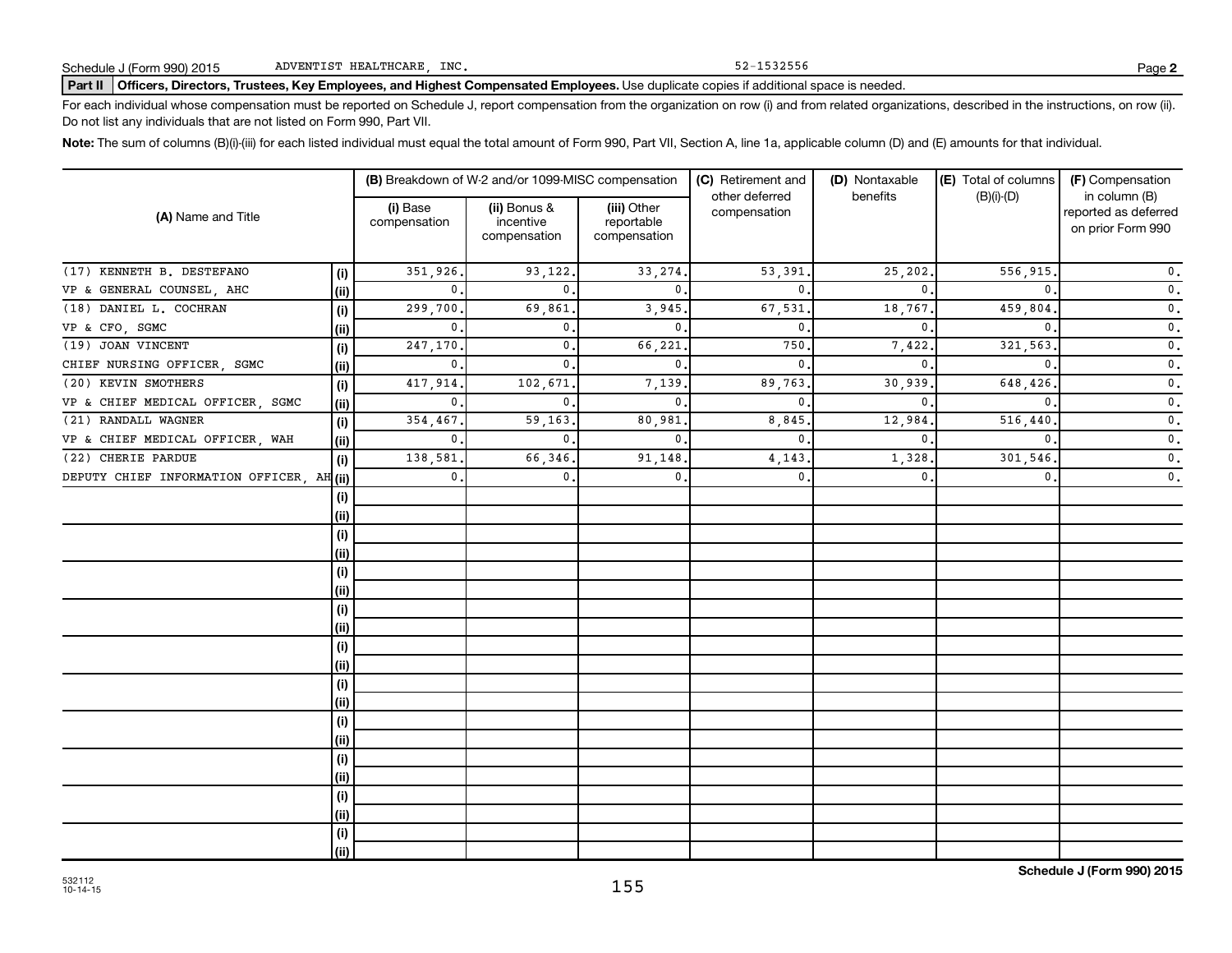## Part II | Officers, Directors, Trustees, Key Employees, and Highest Compensated Employees. Use duplicate copies if additional space is needed.

For each individual whose compensation must be reported on Schedule J, report compensation from the organization on row (i) and from related organizations, described in the instructions, on row (ii). Do not list any individuals that are not listed on Form 990, Part VII.

Note: The sum of columns (B)(i)-(iii) for each listed individual must equal the total amount of Form 990, Part VII, Section A, line 1a, applicable column (D) and (E) amounts for that individual.

| (A) Name and Title                       |       |                          | (B) Breakdown of W-2 and/or 1099-MISC compensation |                                           | (C) Retirement and<br>other deferred | (D) Nontaxable<br>benefits | (E) Total of columns | (F) Compensation<br>in column (B)         |
|------------------------------------------|-------|--------------------------|----------------------------------------------------|-------------------------------------------|--------------------------------------|----------------------------|----------------------|-------------------------------------------|
|                                          |       | (i) Base<br>compensation | (ii) Bonus &<br>incentive<br>compensation          | (iii) Other<br>reportable<br>compensation | compensation                         |                            | $(B)(i)-(D)$         | reported as deferred<br>on prior Form 990 |
| (17) KENNETH B. DESTEFANO                | (i)   | 351,926.                 | 93,122                                             | 33,274                                    | 53,391                               | 25,202.                    | 556,915              | $\mathbf 0$ .                             |
| VP & GENERAL COUNSEL, AHC                | (ii)  | $\mathbf{0}$ .           | $\mathbf{0}$ .                                     | 0.                                        | $\mathbf{0}$                         | $\mathbf{0}$               |                      | $\mathbf 0$ .                             |
| (18) DANIEL L. COCHRAN                   | (i)   | 299,700                  | 69,861                                             | 3,945                                     | 67,531                               | 18,767                     | 459,804              | $\mathbf 0$ .                             |
| VP & CFO, SGMC                           | (i)   | $\mathbf{0}$ .           | $\mathbf{0}$ .                                     | $\mathbf{0}$ .                            | $\mathbf{0}$                         | $\Omega$                   | $\Omega$             | $\mathfrak o$ .                           |
| (19) JOAN VINCENT                        | (i)   | 247,170                  | $\mathbf{0}$ .                                     | 66,221                                    | 750                                  | 7,422.                     | 321,563              | $\mathfrak o$ .                           |
| CHIEF NURSING OFFICER, SGMC              | (i)   | $\mathbf{0}$ .           | $\mathbf{0}$ .                                     | $\mathbf{0}$ .                            | $\mathbf{0}$                         | $\Omega$                   | $\Omega$             | $\mathfrak o$ .                           |
| (20) KEVIN SMOTHERS                      | (i)   | 417,914                  | 102,671                                            | 7,139                                     | 89,763                               | 30,939                     | 648,426              | $\mathfrak o$ .                           |
| VP & CHIEF MEDICAL OFFICER, SGMC         | (ii)  | $\mathbf{0}$             | $\mathbf{0}$                                       | $\mathbf{0}$ .                            | $\mathbf{0}$                         | $\mathbf{0}$               | $\Omega$             | $\mathfrak o$ .                           |
| (21) RANDALL WAGNER                      | (i)   | 354,467                  | 59,163                                             | 80,981                                    | 8,845                                | 12,984                     | 516,440              | $\mathbf 0$ .                             |
| VP & CHIEF MEDICAL OFFICER, WAH          | (ii)  | $\mathbf{0}$ .           | $\mathbf{0}$ .                                     | $\mathbf{0}$ .                            | $\mathbf{0}$                         | $\mathbf{0}$               | $\Omega$             | $\mathfrak o$ .                           |
| (22) CHERIE PARDUE                       | (i)   | 138,581                  | 66,346                                             | 91,148                                    | 4,143                                | 1,328                      | 301,546              | $\mathfrak o$ .                           |
| DEPUTY CHIEF INFORMATION OFFICER, AH(ii) |       | $\mathbf{0}$ .           | $\mathbf{0}$ .                                     | $\mathbf{0}$ .                            | $\mathbf{0}$                         | $\mathbf{0}$ .             | $\mathbf{0}$         | $\mathbf 0$ .                             |
|                                          | (i)   |                          |                                                    |                                           |                                      |                            |                      |                                           |
|                                          | (ii)  |                          |                                                    |                                           |                                      |                            |                      |                                           |
|                                          | (i)   |                          |                                                    |                                           |                                      |                            |                      |                                           |
|                                          | (ii)  |                          |                                                    |                                           |                                      |                            |                      |                                           |
|                                          | (i)   |                          |                                                    |                                           |                                      |                            |                      |                                           |
|                                          | (ii)  |                          |                                                    |                                           |                                      |                            |                      |                                           |
|                                          | (i)   |                          |                                                    |                                           |                                      |                            |                      |                                           |
|                                          | (ii)  |                          |                                                    |                                           |                                      |                            |                      |                                           |
|                                          | (i)   |                          |                                                    |                                           |                                      |                            |                      |                                           |
|                                          | (ii)  |                          |                                                    |                                           |                                      |                            |                      |                                           |
|                                          | (i)   |                          |                                                    |                                           |                                      |                            |                      |                                           |
|                                          | (ii)  |                          |                                                    |                                           |                                      |                            |                      |                                           |
|                                          | (i)   |                          |                                                    |                                           |                                      |                            |                      |                                           |
|                                          | (ii)  |                          |                                                    |                                           |                                      |                            |                      |                                           |
|                                          | (i)   |                          |                                                    |                                           |                                      |                            |                      |                                           |
|                                          | (ii)  |                          |                                                    |                                           |                                      |                            |                      |                                           |
|                                          | (i)   |                          |                                                    |                                           |                                      |                            |                      |                                           |
|                                          | (ii)  |                          |                                                    |                                           |                                      |                            |                      |                                           |
|                                          | (i)   |                          |                                                    |                                           |                                      |                            |                      |                                           |
|                                          | (iii) |                          |                                                    |                                           |                                      |                            |                      |                                           |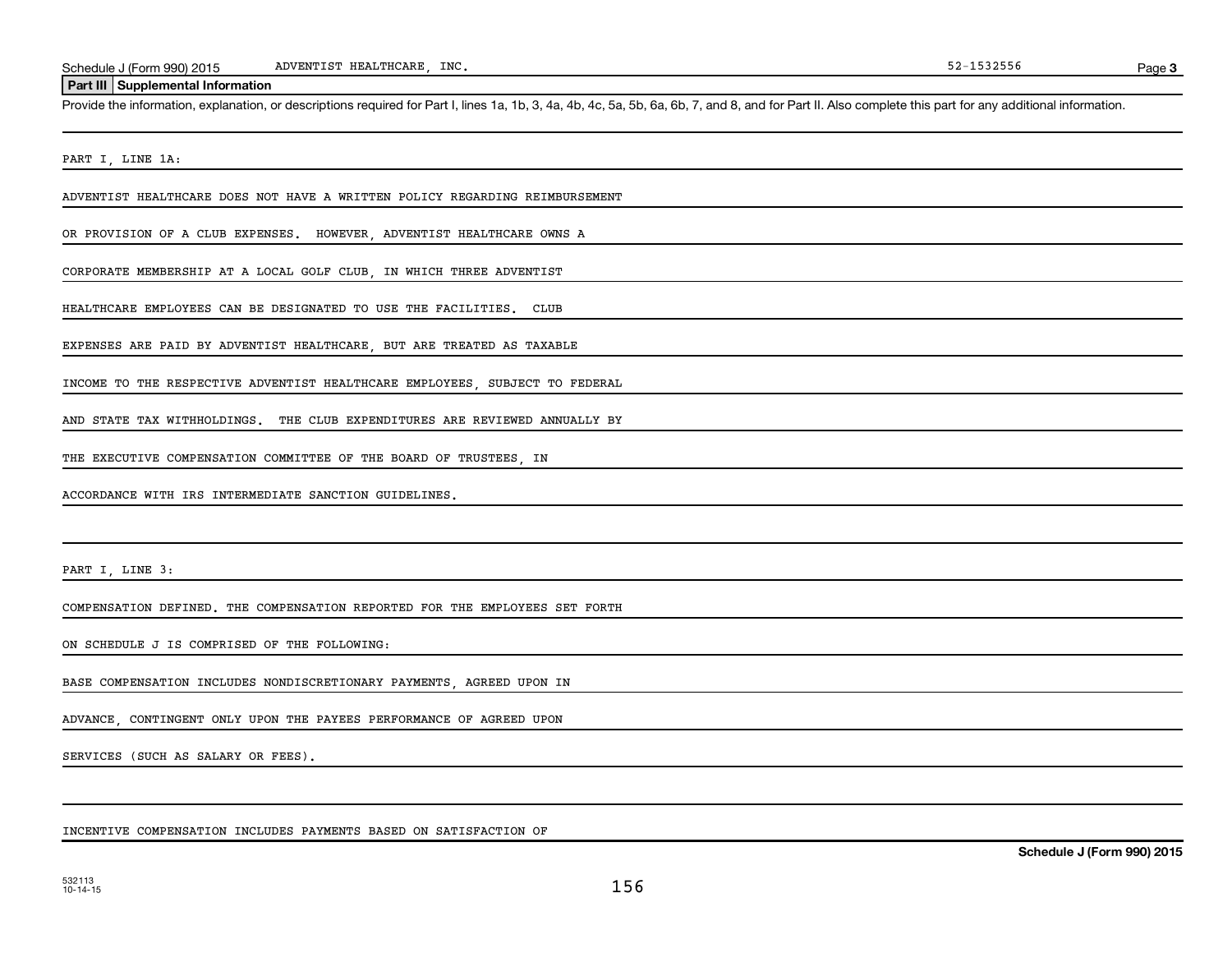Provide the information, explanation, or descriptions required for Part I, lines 1a, 1b, 3, 4a, 4b, 4c, 5a, 5b, 6a, 6b, 7, and 8, and for Part II. Also complete this part for any additional information.

PART I, LINE 1A:

ADVENTIST HEALTHCARE DOES NOT HAVE A WRITTEN POLICY REGARDING REIMBURSEMENT

OR PROVISION OF A CLUB EXPENSES. HOWEVER, ADVENTIST HEALTHCARE OWNS A

CORPORATE MEMBERSHIP AT A LOCAL GOLF CLUB, IN WHICH THREE ADVENTIST

HEALTHCARE EMPLOYEES CAN BE DESIGNATED TO USE THE FACILITIES. CLUB

EXPENSES ARE PAID BY ADVENTIST HEALTHCARE, BUT ARE TREATED AS TAXABLE

INCOME TO THE RESPECTIVE ADVENTIST HEALTHCARE EMPLOYEES, SUBJECT TO FEDERAL

AND STATE TAX WITHHOLDINGS. THE CLUB EXPENDITURES ARE REVIEWED ANNUALLY BY

THE EXECUTIVE COMPENSATION COMMITTEE OF THE BOARD OF TRUSTEES, IN

ACCORDANCE WITH IRS INTERMEDIATE SANCTION GUIDELINES.

PART I, LINE 3:

COMPENSATION DEFINED. THE COMPENSATION REPORTED FOR THE EMPLOYEES SET FORTH

ON SCHEDULE J IS COMPRISED OF THE FOLLOWING:

BASE COMPENSATION INCLUDES NONDISCRETIONARY PAYMENTS, AGREED UPON IN

ADVANCE, CONTINGENT ONLY UPON THE PAYEES PERFORMANCE OF AGREED UPON

SERVICES (SUCH AS SALARY OR FEES).

INCENTIVE COMPENSATION INCLUDES PAYMENTS BASED ON SATISFACTION OF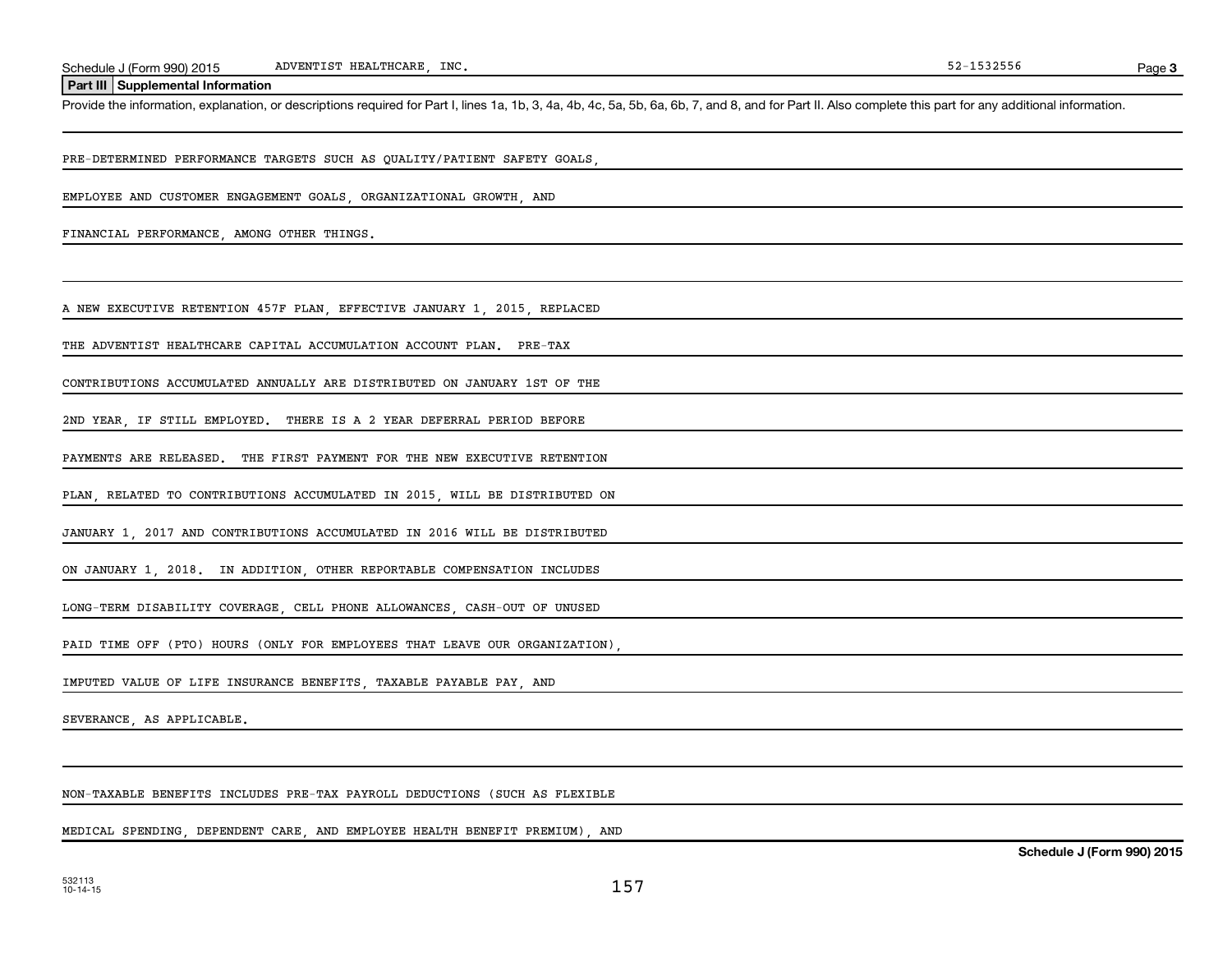Provide the information, explanation, or descriptions required for Part I, lines 1a, 1b, 3, 4a, 4b, 4c, 5a, 5b, 6a, 6b, 7, and 8, and for Part II. Also complete this part for any additional information.

PRE-DETERMINED PERFORMANCE TARGETS SUCH AS OUALITY/PATIENT SAFETY GOALS

EMPLOYEE AND CUSTOMER ENGAGEMENT GOALS, ORGANIZATIONAL GROWTH, AND

FINANCIAL PERFORMANCE, AMONG OTHER THINGS.

A NEW EXECUTIVE RETENTION 457F PLAN, EFFECTIVE JANUARY 1, 2015, REPLACED

THE ADVENTIST HEALTHCARE CAPITAL ACCUMULATION ACCOUNT PLAN. PRE-TAX

CONTRIBUTIONS ACCUMULATED ANNUALLY ARE DISTRIBUTED ON JANUARY 1ST OF THE

2ND YEAR, IF STILL EMPLOYED. THERE IS A 2 YEAR DEFERRAL PERIOD BEFORE

PAYMENTS ARE RELEASED. THE FIRST PAYMENT FOR THE NEW EXECUTIVE RETENTION

PLAN, RELATED TO CONTRIBUTIONS ACCUMULATED IN 2015, WILL BE DISTRIBUTED ON

JANUARY 1, 2017 AND CONTRIBUTIONS ACCUMULATED IN 2016 WILL BE DISTRIBUTED

ON JANUARY 1, 2018. IN ADDITION, OTHER REPORTABLE COMPENSATION INCLUDES

LONG-TERM DISABILITY COVERAGE, CELL PHONE ALLOWANCES, CASH-OUT OF UNUSED

PAID TIME OFF (PTO) HOURS (ONLY FOR EMPLOYEES THAT LEAVE OUR ORGANIZATION)

IMPUTED VALUE OF LIFE INSURANCE BENEFITS, TAXABLE PAYABLE PAY, AND

SEVERANCE, AS APPLICABLE.

NON-TAXABLE BENEFITS INCLUDES PRE-TAX PAYROLL DEDUCTIONS (SUCH AS FLEXIBLE

MEDICAL SPENDING, DEPENDENT CARE, AND EMPLOYEE HEALTH BENEFIT PREMIUM), AND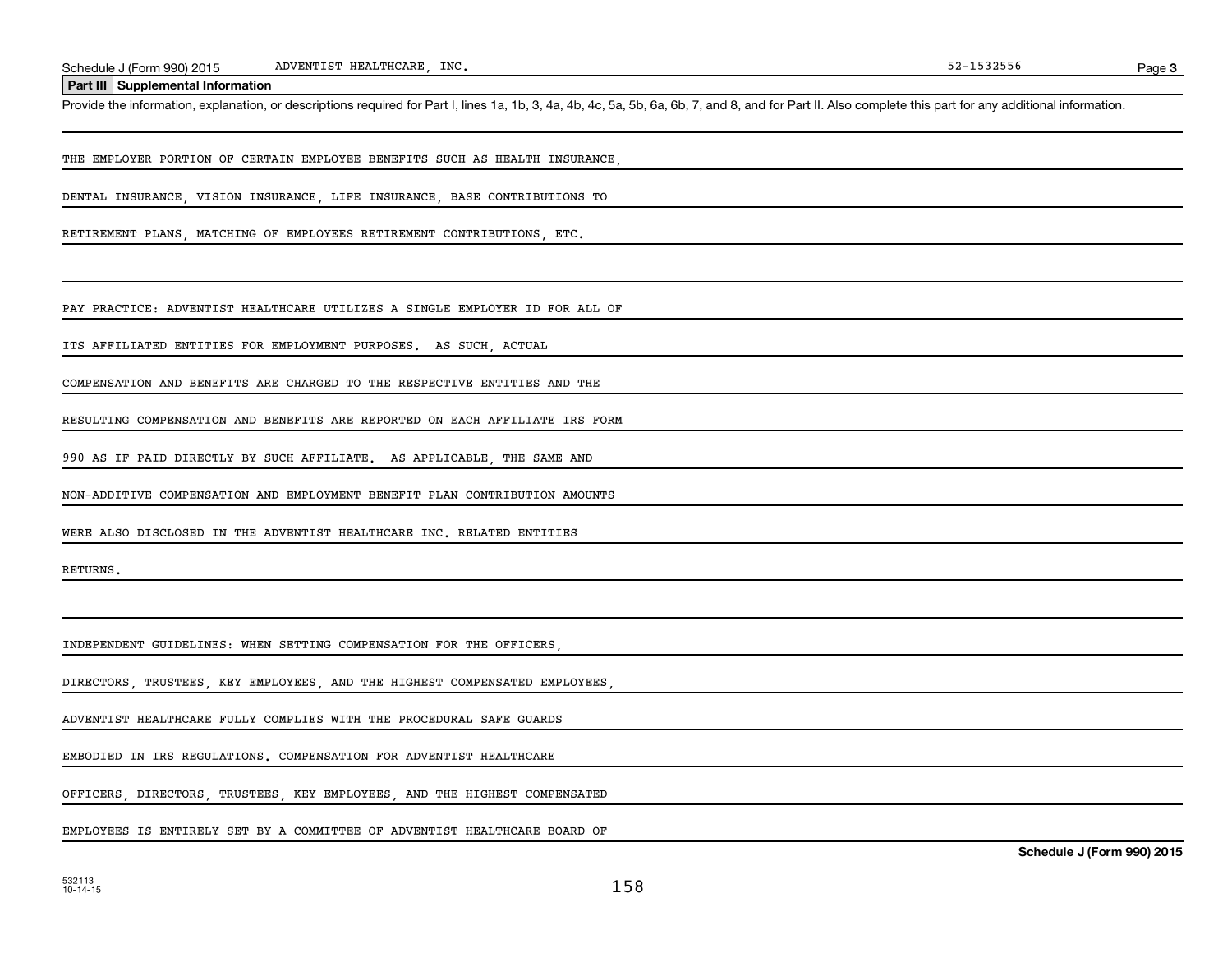Provide the information, explanation, or descriptions required for Part I, lines 1a, 1b, 3, 4a, 4b, 4c, 5a, 5b, 6a, 6b, 7, and 8, and for Part II. Also complete this part for any additional information.

THE EMPLOYER PORTION OF CERTAIN EMPLOYEE BENEFITS SUCH AS HEALTH INSURANCE

DENTAL INSURANCE, VISION INSURANCE, LIFE INSURANCE, BASE CONTRIBUTIONS TO

RETIREMENT PLANS, MATCHING OF EMPLOYEES RETIREMENT CONTRIBUTIONS, ETC.

PAY PRACTICE: ADVENTIST HEALTHCARE UTILIZES A SINGLE EMPLOYER ID FOR ALL OF

ITS AFFILIATED ENTITIES FOR EMPLOYMENT PURPOSES. AS SUCH, ACTUAL

COMPENSATION AND BENEFITS ARE CHARGED TO THE RESPECTIVE ENTITIES AND THE

RESULTING COMPENSATION AND BENEFITS ARE REPORTED ON EACH AFFILIATE IRS FORM

990 AS IF PAID DIRECTLY BY SUCH AFFILIATE. AS APPLICABLE, THE SAME AND

NON-ADDITIVE COMPENSATION AND EMPLOYMENT BENEFIT PLAN CONTRIBUTION AMOUNTS

WERE ALSO DISCLOSED IN THE ADVENTIST HEALTHCARE INC. RELATED ENTITIES

RETURNS.

532113 10-14-15

INDEPENDENT GUIDELINES: WHEN SETTING COMPENSATION FOR THE OFFICERS,

DIRECTORS, TRUSTEES, KEY EMPLOYEES, AND THE HIGHEST COMPENSATED EMPLOYEES,

ADVENTIST HEALTHCARE FULLY COMPLIES WITH THE PROCEDURAL SAFE GUARDS

EMBODIED IN IRS REGULATIONS. COMPENSATION FOR ADVENTIST HEALTHCARE

OFFICERS, DIRECTORS, TRUSTEES, KEY EMPLOYEES, AND THE HIGHEST COMPENSATED

EMPLOYEES IS ENTIRELY SET BY A COMMITTEE OF ADVENTIST HEALTHCARE BOARD OF

**Schedule J (Form 990) 2015**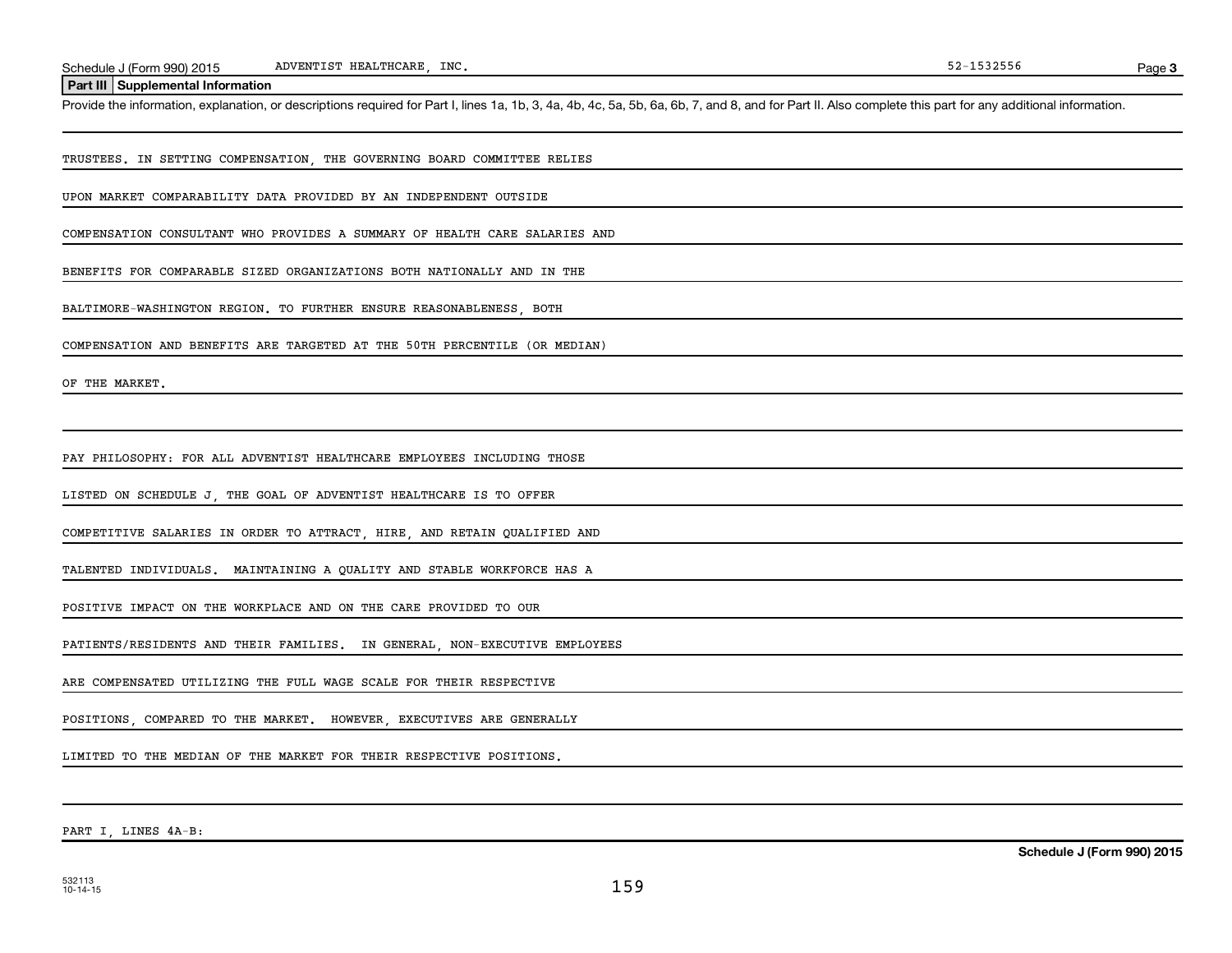Provide the information, explanation, or descriptions required for Part I, lines 1a, 1b, 3, 4a, 4b, 4c, 5a, 5b, 6a, 6b, 7, and 8, and for Part II. Also complete this part for any additional information.

TRUSTEES. IN SETTING COMPENSATION, THE GOVERNING BOARD COMMITTEE RELIES

UPON MARKET COMPARABILITY DATA PROVIDED BY AN INDEPENDENT OUTSIDE

COMPENSATION CONSULTANT WHO PROVIDES A SUMMARY OF HEALTH CARE SALARIES AND

BENEFITS FOR COMPARABLE SIZED ORGANIZATIONS BOTH NATIONALLY AND IN THE

BALTIMORE-WASHINGTON REGION. TO FURTHER ENSURE REASONABLENESS, BOTH

COMPENSATION AND BENEFITS ARE TARGETED AT THE 50TH PERCENTILE (OR MEDIAN)

OF THE MARKET.

PAY PHILOSOPHY: FOR ALL ADVENTIST HEALTHCARE EMPLOYEES INCLUDING THOSE

LISTED ON SCHEDULE J, THE GOAL OF ADVENTIST HEALTHCARE IS TO OFFER

COMPETITIVE SALARIES IN ORDER TO ATTRACT, HIRE, AND RETAIN QUALIFIED AND

TALENTED INDIVIDUALS. MAINTAINING A QUALITY AND STABLE WORKFORCE HAS A

POSITIVE IMPACT ON THE WORKPLACE AND ON THE CARE PROVIDED TO OUR

PATIENTS/RESIDENTS AND THEIR FAMILIES. IN GENERAL, NON-EXECUTIVE EMPLOYEES

ARE COMPENSATED UTILIZING THE FULL WAGE SCALE FOR THEIR RESPECTIVE

POSITIONS, COMPARED TO THE MARKET. HOWEVER, EXECUTIVES ARE GENERALLY

LIMITED TO THE MEDIAN OF THE MARKET FOR THEIR RESPECTIVE POSITIONS.

PART I, LINES 4A-B: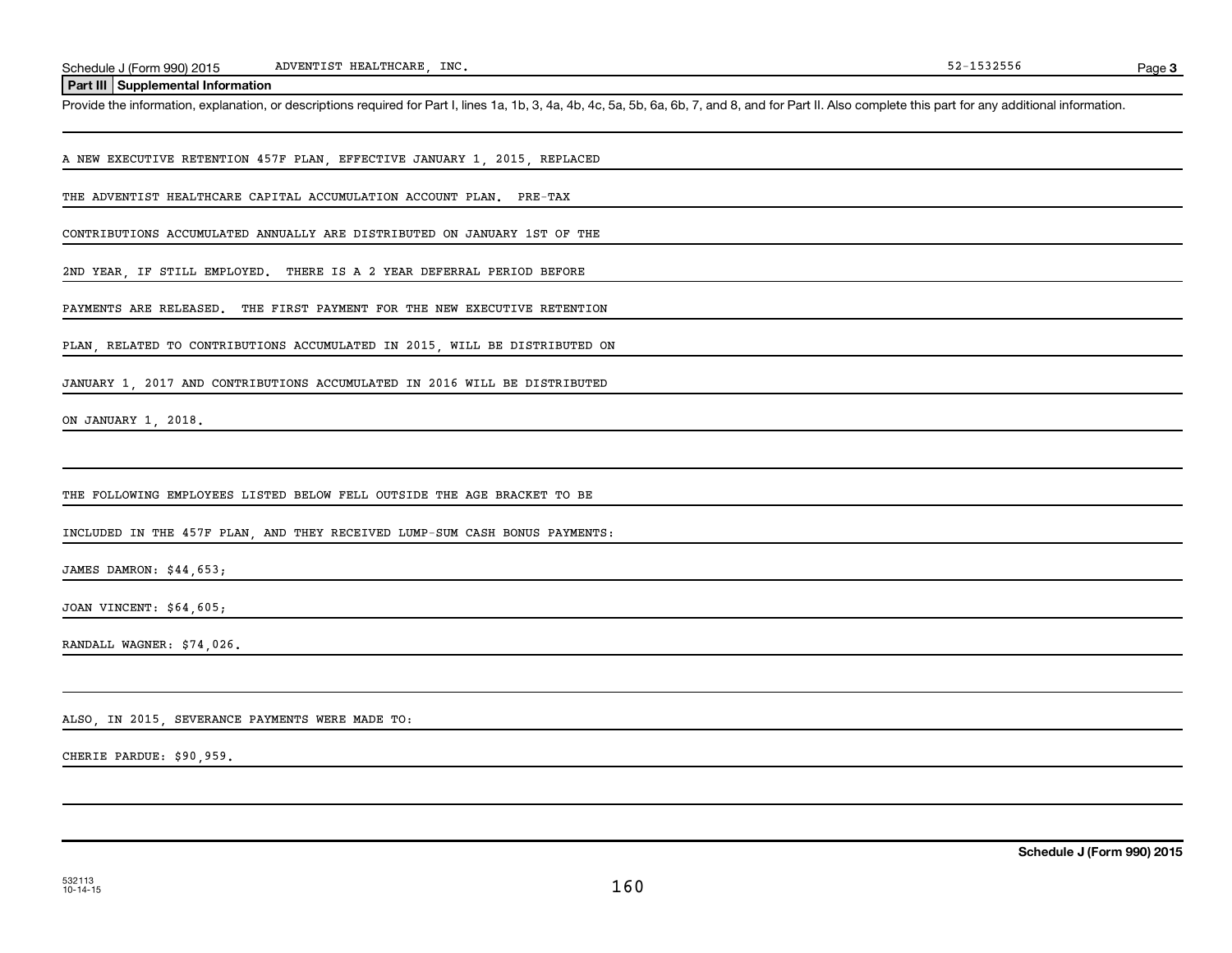Provide the information, explanation, or descriptions required for Part I, lines 1a, 1b, 3, 4a, 4b, 4c, 5a, 5b, 6a, 6b, 7, and 8, and for Part II. Also complete this part for any additional information.

A NEW EXECUTIVE RETENTION 457F PLAN, EFFECTIVE JANUARY 1, 2015, REPLACED

THE ADVENTIST HEALTHCARE CAPITAL ACCUMULATION ACCOUNT PLAN. PRE-TAX

CONTRIBUTIONS ACCUMULATED ANNUALLY ARE DISTRIBUTED ON JANUARY 1ST OF THE

2ND YEAR, IF STILL EMPLOYED. THERE IS A 2 YEAR DEFERRAL PERIOD BEFORE

PAYMENTS ARE RELEASED. THE FIRST PAYMENT FOR THE NEW EXECUTIVE RETENTION

PLAN, RELATED TO CONTRIBUTIONS ACCUMULATED IN 2015, WILL BE DISTRIBUTED ON

JANUARY 1, 2017 AND CONTRIBUTIONS ACCUMULATED IN 2016 WILL BE DISTRIBUTED

ON JANUARY 1, 2018.

THE FOLLOWING EMPLOYEES LISTED BELOW FELL OUTSIDE THE AGE BRACKET TO BE

INCLUDED IN THE 457F PLAN, AND THEY RECEIVED LUMP-SUM CASH BONUS PAYMENTS:

JAMES DAMRON: \$44,653;

JOAN VINCENT: \$64,605;

RANDALL WAGNER: \$74,026.

ALSO, IN 2015, SEVERANCE PAYMENTS WERE MADE TO:

CHERIE PARDUE: \$90,959.

**Schedule J (Form 990) 2015**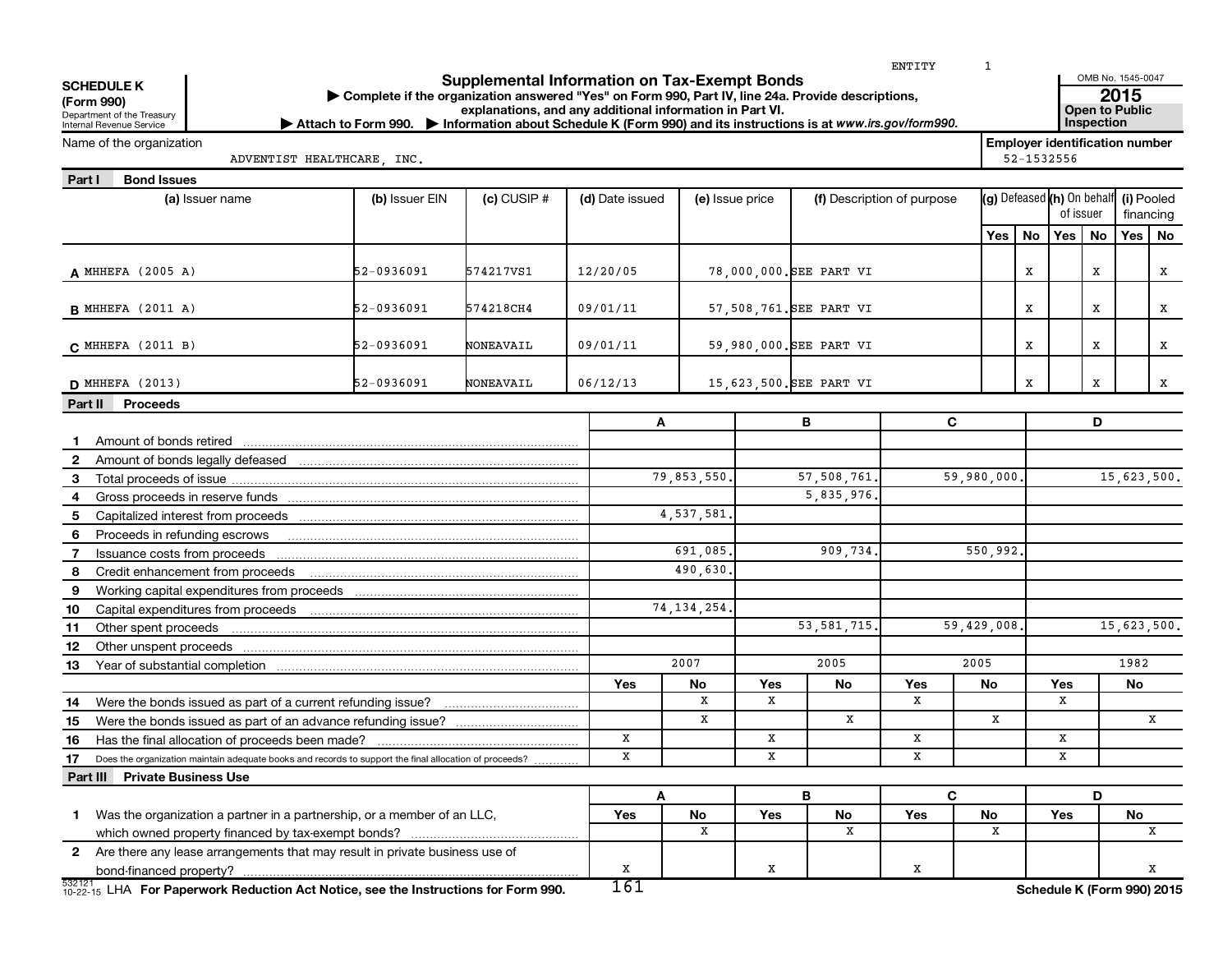| (Form 990)     | <b>SCHEDULE K</b><br>Department of the Treasury<br>Internal Revenue Service                                                                    | Complete if the organization answered "Yes" on Form 990, Part IV, line 24a. Provide descriptions,<br>Attach to Form 990. Information about Schedule K (Form 990) and its instructions is at www.irs.gov/form990. |               | <b>Supplemental Information on Tax-Exempt Bonds</b><br>explanations, and any additional information in Part VI. |                 |            |                        | ENTITY                     | 1           |    |                                                     | OMB No. 1545-0047<br><b>Open to Public</b><br>Inspection | 2015        |   |
|----------------|------------------------------------------------------------------------------------------------------------------------------------------------|------------------------------------------------------------------------------------------------------------------------------------------------------------------------------------------------------------------|---------------|-----------------------------------------------------------------------------------------------------------------|-----------------|------------|------------------------|----------------------------|-------------|----|-----------------------------------------------------|----------------------------------------------------------|-------------|---|
|                | Name of the organization                                                                                                                       | ADVENTIST HEALTHCARE, INC.                                                                                                                                                                                       |               |                                                                                                                 |                 |            |                        |                            |             |    | <b>Employer identification number</b><br>52-1532556 |                                                          |             |   |
| Part I         | <b>Bond Issues</b>                                                                                                                             |                                                                                                                                                                                                                  |               |                                                                                                                 |                 |            |                        |                            |             |    |                                                     |                                                          |             |   |
|                | (a) Issuer name                                                                                                                                | (b) Issuer EIN                                                                                                                                                                                                   | $(c)$ CUSIP # | (d) Date issued                                                                                                 | (e) Issue price |            |                        | (f) Description of purpose |             |    | (g) Defeased (h) On behalf                          |                                                          | (i) Pooled  |   |
|                |                                                                                                                                                |                                                                                                                                                                                                                  |               |                                                                                                                 |                 |            |                        |                            |             |    | of issuer                                           |                                                          | financing   |   |
|                |                                                                                                                                                |                                                                                                                                                                                                                  |               |                                                                                                                 |                 |            |                        |                            | <b>Yes</b>  | No | Yes                                                 | No                                                       | Yes   No    |   |
|                |                                                                                                                                                |                                                                                                                                                                                                                  |               |                                                                                                                 |                 |            |                        |                            |             |    |                                                     |                                                          |             |   |
|                | A MHHEFA (2005 A)                                                                                                                              | 52-0936091                                                                                                                                                                                                       | 574217VS1     | 12/20/05                                                                                                        |                 |            | 78,000,000.SEE PART VI |                            |             | X  |                                                     | X                                                        |             | x |
|                |                                                                                                                                                |                                                                                                                                                                                                                  |               |                                                                                                                 |                 |            |                        |                            |             |    |                                                     |                                                          |             |   |
|                | <b>B MHHEFA</b> (2011 A)                                                                                                                       | 52-0936091                                                                                                                                                                                                       | 574218CH4     | 09/01/11                                                                                                        |                 |            | 57,508,761.SEE PART VI |                            |             | X  |                                                     | X                                                        |             | х |
|                |                                                                                                                                                |                                                                                                                                                                                                                  |               |                                                                                                                 |                 |            |                        |                            |             |    |                                                     |                                                          |             |   |
|                | <b>C MHHEFA</b> (2011 B)                                                                                                                       | 52-0936091                                                                                                                                                                                                       | NONEAVAIL     | 09/01/11                                                                                                        |                 |            | 59,980,000.SEE PART VI |                            |             | X  |                                                     | X                                                        |             | х |
|                |                                                                                                                                                | 52-0936091                                                                                                                                                                                                       | NONEAVAIL     | 06/12/13                                                                                                        |                 |            |                        |                            |             | X  |                                                     | X                                                        |             | x |
|                | <b>D MHHEFA</b> (2013)                                                                                                                         |                                                                                                                                                                                                                  |               |                                                                                                                 |                 |            | 15,623,500.SEE PART VI |                            |             |    |                                                     |                                                          |             |   |
| <b>Part II</b> | <b>Proceeds</b>                                                                                                                                |                                                                                                                                                                                                                  |               | A                                                                                                               |                 |            | В                      | C                          |             |    |                                                     | D                                                        |             |   |
|                | Amount of bonds retired                                                                                                                        |                                                                                                                                                                                                                  |               |                                                                                                                 |                 |            |                        |                            |             |    |                                                     |                                                          |             |   |
| $\mathbf{2}$   |                                                                                                                                                |                                                                                                                                                                                                                  |               |                                                                                                                 |                 |            |                        |                            |             |    |                                                     |                                                          |             |   |
| 3              |                                                                                                                                                |                                                                                                                                                                                                                  |               |                                                                                                                 | 79,853,550.     |            | 57,508,761             |                            | 59,980,000. |    |                                                     |                                                          | 15,623,500. |   |
| 4              |                                                                                                                                                |                                                                                                                                                                                                                  |               |                                                                                                                 |                 |            | 5.835.976.             |                            |             |    |                                                     |                                                          |             |   |
| 5              |                                                                                                                                                |                                                                                                                                                                                                                  |               |                                                                                                                 | 4,537,581       |            |                        |                            |             |    |                                                     |                                                          |             |   |
| 6              | Proceeds in refunding escrows                                                                                                                  |                                                                                                                                                                                                                  |               |                                                                                                                 |                 |            |                        |                            |             |    |                                                     |                                                          |             |   |
| 7              | Issuance costs from proceeds                                                                                                                   |                                                                                                                                                                                                                  |               |                                                                                                                 | 691,085,        |            | 909.734                |                            | 550,992.    |    |                                                     |                                                          |             |   |
| 8              | Credit enhancement from proceeds                                                                                                               |                                                                                                                                                                                                                  |               |                                                                                                                 | 490.630.        |            |                        |                            |             |    |                                                     |                                                          |             |   |
| 9              | Working capital expenditures from proceeds                                                                                                     |                                                                                                                                                                                                                  |               |                                                                                                                 |                 |            |                        |                            |             |    |                                                     |                                                          |             |   |
| 10             |                                                                                                                                                |                                                                                                                                                                                                                  |               |                                                                                                                 | 74, 134, 254.   |            |                        |                            |             |    |                                                     |                                                          |             |   |
| 11             | Other spent proceeds                                                                                                                           |                                                                                                                                                                                                                  |               |                                                                                                                 |                 |            | 53, 581, 715,          |                            | 59,429,008. |    |                                                     |                                                          | 15,623,500. |   |
| 12             | Other unspent proceeds                                                                                                                         |                                                                                                                                                                                                                  |               |                                                                                                                 |                 |            |                        |                            |             |    |                                                     |                                                          |             |   |
| 13             | Year of substantial completion                                                                                                                 |                                                                                                                                                                                                                  |               |                                                                                                                 | 2007            |            | 2005                   |                            | 2005        |    |                                                     |                                                          | 1982        |   |
|                |                                                                                                                                                |                                                                                                                                                                                                                  |               | Yes                                                                                                             | No              | <b>Yes</b> | No                     | Yes                        | No          |    | Yes                                                 |                                                          | No.         |   |
| 14             | Were the bonds issued as part of a current refunding issue?                                                                                    |                                                                                                                                                                                                                  |               |                                                                                                                 | X<br>X          | X          | x                      | X                          | X           |    | X                                                   |                                                          |             | X |
| 15             |                                                                                                                                                |                                                                                                                                                                                                                  |               | x                                                                                                               |                 | X          |                        | x                          |             |    | x                                                   |                                                          |             |   |
| 16             |                                                                                                                                                |                                                                                                                                                                                                                  |               | x                                                                                                               |                 | x          |                        | x                          |             |    | x                                                   |                                                          |             |   |
| 17             | Does the organization maintain adequate books and records to support the final allocation of proceeds?<br><b>Part III Private Business Use</b> |                                                                                                                                                                                                                  |               |                                                                                                                 |                 |            |                        |                            |             |    |                                                     |                                                          |             |   |
|                |                                                                                                                                                |                                                                                                                                                                                                                  |               | A                                                                                                               |                 |            | В                      | $\mathbf C$                |             |    |                                                     | D                                                        |             |   |
| 1.             | Was the organization a partner in a partnership, or a member of an LLC,                                                                        |                                                                                                                                                                                                                  |               | Yes                                                                                                             | No              | <b>Yes</b> | No                     | Yes                        | No          |    | Yes                                                 |                                                          | No          |   |
|                |                                                                                                                                                |                                                                                                                                                                                                                  |               |                                                                                                                 | X               |            | x                      |                            | X           |    |                                                     |                                                          |             | X |
|                | 2 Are there any lease arrangements that may result in private business use of                                                                  |                                                                                                                                                                                                                  |               |                                                                                                                 |                 |            |                        |                            |             |    |                                                     |                                                          |             |   |
|                |                                                                                                                                                |                                                                                                                                                                                                                  |               | x                                                                                                               |                 | x          |                        | x                          |             |    |                                                     |                                                          |             | x |

|  | $^{532121}_{10\text{-}22\text{-}15}$ LHA For Paperwork Reduction Act Notice, see the Instructions for Form 990. |
|--|-----------------------------------------------------------------------------------------------------------------|
|--|-----------------------------------------------------------------------------------------------------------------|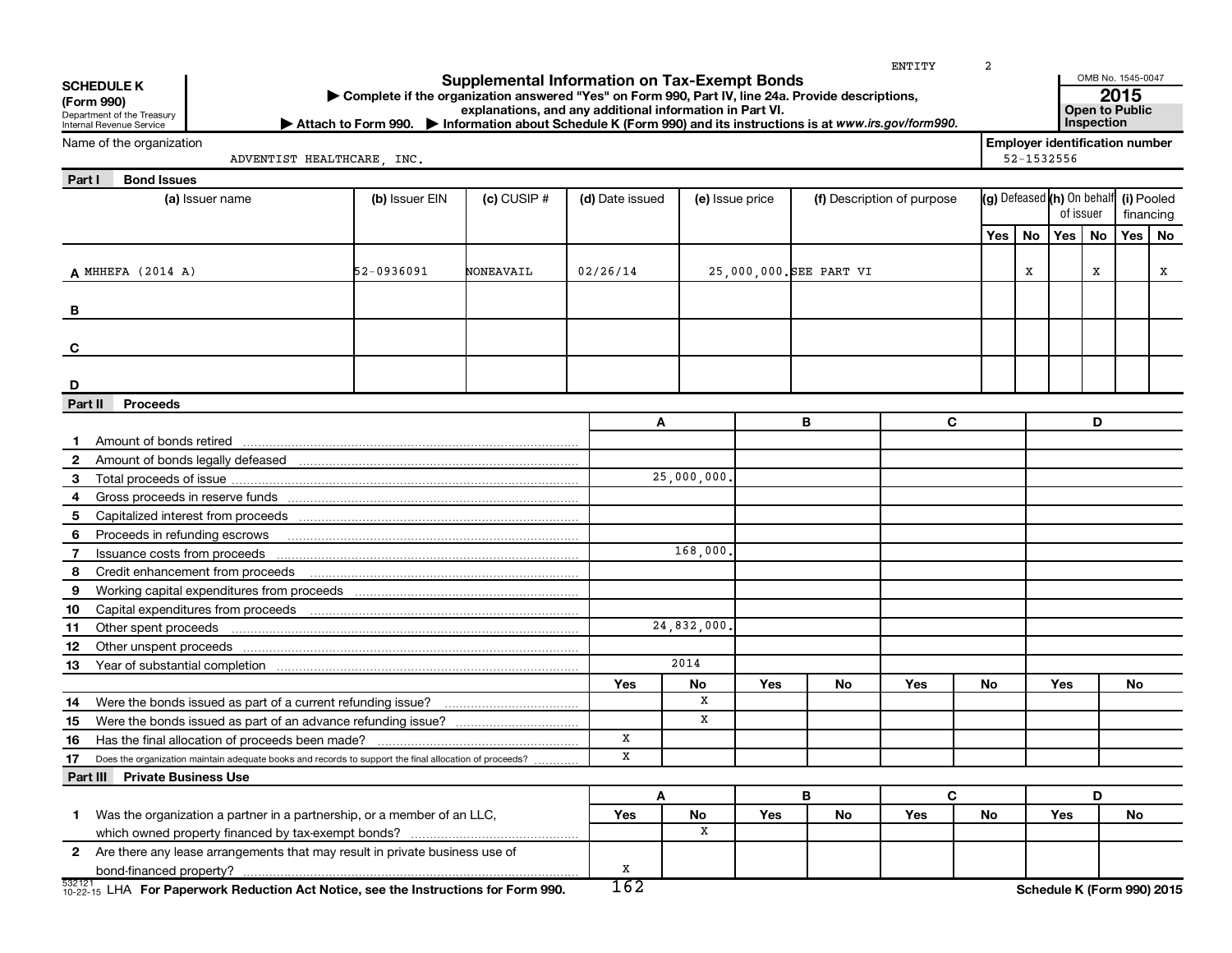| <b>SCHEDULE K</b><br>(Form 990)<br>Department of the Treasury<br>Internal Revenue Service                    | Complete if the organization answered "Yes" on Form 990, Part IV, line 24a. Provide descriptions,<br>▶ Attach to Form 990. ▶ Information about Schedule K (Form 990) and its instructions is at www.irs.gov/form990. |               | <b>Supplemental Information on Tax-Exempt Bonds</b><br>explanations, and any additional information in Part VI. |                 |     |                         | ENTITY                     | 2   |            |                                       | Inspection | OMB No. 1545-0047<br>2015<br><b>Open to Public</b> |           |
|--------------------------------------------------------------------------------------------------------------|----------------------------------------------------------------------------------------------------------------------------------------------------------------------------------------------------------------------|---------------|-----------------------------------------------------------------------------------------------------------------|-----------------|-----|-------------------------|----------------------------|-----|------------|---------------------------------------|------------|----------------------------------------------------|-----------|
| Name of the organization<br>ADVENTIST HEALTHCARE, INC.                                                       |                                                                                                                                                                                                                      |               |                                                                                                                 |                 |     |                         |                            |     | 52-1532556 | <b>Employer identification number</b> |            |                                                    |           |
| Part I<br><b>Bond Issues</b>                                                                                 |                                                                                                                                                                                                                      |               |                                                                                                                 |                 |     |                         |                            |     |            |                                       |            |                                                    |           |
| (a) Issuer name                                                                                              | (b) Issuer EIN                                                                                                                                                                                                       | $(c)$ CUSIP # | (d) Date issued                                                                                                 | (e) Issue price |     |                         | (f) Description of purpose |     |            | (g) Defeased (h) On behalf            |            | (i) Pooled                                         |           |
|                                                                                                              |                                                                                                                                                                                                                      |               |                                                                                                                 |                 |     |                         |                            |     |            | of issuer                             |            |                                                    | financing |
|                                                                                                              |                                                                                                                                                                                                                      |               |                                                                                                                 |                 |     |                         |                            | Yes | No         | Yes                                   | No         |                                                    | Yes   No  |
|                                                                                                              |                                                                                                                                                                                                                      |               |                                                                                                                 |                 |     |                         |                            |     |            |                                       |            |                                                    |           |
| <b>A MHHEFA</b> (2014 A)                                                                                     | 52-0936091                                                                                                                                                                                                           | NONEAVAIL     | 02/26/14                                                                                                        |                 |     | 25,000,000. SEE PART VI |                            |     | X          |                                       | X          |                                                    | X         |
|                                                                                                              |                                                                                                                                                                                                                      |               |                                                                                                                 |                 |     |                         |                            |     |            |                                       |            |                                                    |           |
| в                                                                                                            |                                                                                                                                                                                                                      |               |                                                                                                                 |                 |     |                         |                            |     |            |                                       |            |                                                    |           |
|                                                                                                              |                                                                                                                                                                                                                      |               |                                                                                                                 |                 |     |                         |                            |     |            |                                       |            |                                                    |           |
| C                                                                                                            |                                                                                                                                                                                                                      |               |                                                                                                                 |                 |     |                         |                            |     |            |                                       |            |                                                    |           |
|                                                                                                              |                                                                                                                                                                                                                      |               |                                                                                                                 |                 |     |                         |                            |     |            |                                       |            |                                                    |           |
| D                                                                                                            |                                                                                                                                                                                                                      |               |                                                                                                                 |                 |     |                         |                            |     |            |                                       |            |                                                    |           |
| Part II<br><b>Proceeds</b>                                                                                   |                                                                                                                                                                                                                      |               |                                                                                                                 |                 |     |                         |                            |     |            |                                       |            |                                                    |           |
|                                                                                                              |                                                                                                                                                                                                                      |               | A                                                                                                               |                 |     | В                       | C                          |     |            |                                       | D          |                                                    |           |
| Amount of bonds retired                                                                                      |                                                                                                                                                                                                                      |               |                                                                                                                 |                 |     |                         |                            |     |            |                                       |            |                                                    |           |
| $\mathbf{2}$                                                                                                 |                                                                                                                                                                                                                      |               |                                                                                                                 |                 |     |                         |                            |     |            |                                       |            |                                                    |           |
| 3                                                                                                            |                                                                                                                                                                                                                      |               |                                                                                                                 | 25,000,000,     |     |                         |                            |     |            |                                       |            |                                                    |           |
| 4                                                                                                            |                                                                                                                                                                                                                      |               |                                                                                                                 |                 |     |                         |                            |     |            |                                       |            |                                                    |           |
| 5                                                                                                            |                                                                                                                                                                                                                      |               |                                                                                                                 |                 |     |                         |                            |     |            |                                       |            |                                                    |           |
| 6<br>Proceeds in refunding escrows                                                                           |                                                                                                                                                                                                                      |               |                                                                                                                 |                 |     |                         |                            |     |            |                                       |            |                                                    |           |
| 7<br>Issuance costs from proceeds                                                                            |                                                                                                                                                                                                                      |               |                                                                                                                 | 168,000.        |     |                         |                            |     |            |                                       |            |                                                    |           |
| 8                                                                                                            |                                                                                                                                                                                                                      |               |                                                                                                                 |                 |     |                         |                            |     |            |                                       |            |                                                    |           |
| 9                                                                                                            |                                                                                                                                                                                                                      |               |                                                                                                                 |                 |     |                         |                            |     |            |                                       |            |                                                    |           |
| 10                                                                                                           |                                                                                                                                                                                                                      |               |                                                                                                                 |                 |     |                         |                            |     |            |                                       |            |                                                    |           |
| 11                                                                                                           |                                                                                                                                                                                                                      |               |                                                                                                                 | 24,832,000.     |     |                         |                            |     |            |                                       |            |                                                    |           |
| 12                                                                                                           |                                                                                                                                                                                                                      |               |                                                                                                                 |                 |     |                         |                            |     |            |                                       |            |                                                    |           |
| 13                                                                                                           |                                                                                                                                                                                                                      |               |                                                                                                                 | 2014            |     |                         |                            |     |            |                                       |            |                                                    |           |
|                                                                                                              |                                                                                                                                                                                                                      |               | Yes                                                                                                             | No              | Yes | No                      | Yes                        | No. |            | Yes                                   |            | No                                                 |           |
| 14                                                                                                           |                                                                                                                                                                                                                      |               |                                                                                                                 | х               |     |                         |                            |     |            |                                       |            |                                                    |           |
| 15                                                                                                           |                                                                                                                                                                                                                      |               |                                                                                                                 | x               |     |                         |                            |     |            |                                       |            |                                                    |           |
| 16                                                                                                           |                                                                                                                                                                                                                      |               | x                                                                                                               |                 |     |                         |                            |     |            |                                       |            |                                                    |           |
| 17<br>Does the organization maintain adequate books and records to support the final allocation of proceeds? |                                                                                                                                                                                                                      |               | x                                                                                                               |                 |     |                         |                            |     |            |                                       |            |                                                    |           |
| <b>Part III Private Business Use</b>                                                                         |                                                                                                                                                                                                                      |               |                                                                                                                 |                 |     |                         |                            |     |            |                                       |            |                                                    |           |
| Was the organization a partner in a partnership, or a member of an LLC,                                      |                                                                                                                                                                                                                      |               | Α<br>Yes                                                                                                        | No              | Yes | В<br>No                 | C<br>Yes                   | No  |            |                                       | D          |                                                    |           |
| 1.                                                                                                           |                                                                                                                                                                                                                      |               |                                                                                                                 | X               |     |                         |                            |     |            | Yes                                   |            | No                                                 |           |
| 2 Are there any lease arrangements that may result in private business use of                                |                                                                                                                                                                                                                      |               |                                                                                                                 |                 |     |                         |                            |     |            |                                       |            |                                                    |           |
|                                                                                                              |                                                                                                                                                                                                                      |               | х                                                                                                               |                 |     |                         |                            |     |            |                                       |            |                                                    |           |
| 532121<br>$^{532721}_{10-22-15}$ LHA For Paperwork Reduction Act Notice, see the Instructions for Form 990.  |                                                                                                                                                                                                                      |               | 162                                                                                                             |                 |     |                         |                            |     |            | Schedule K (Form 990) 2015            |            |                                                    |           |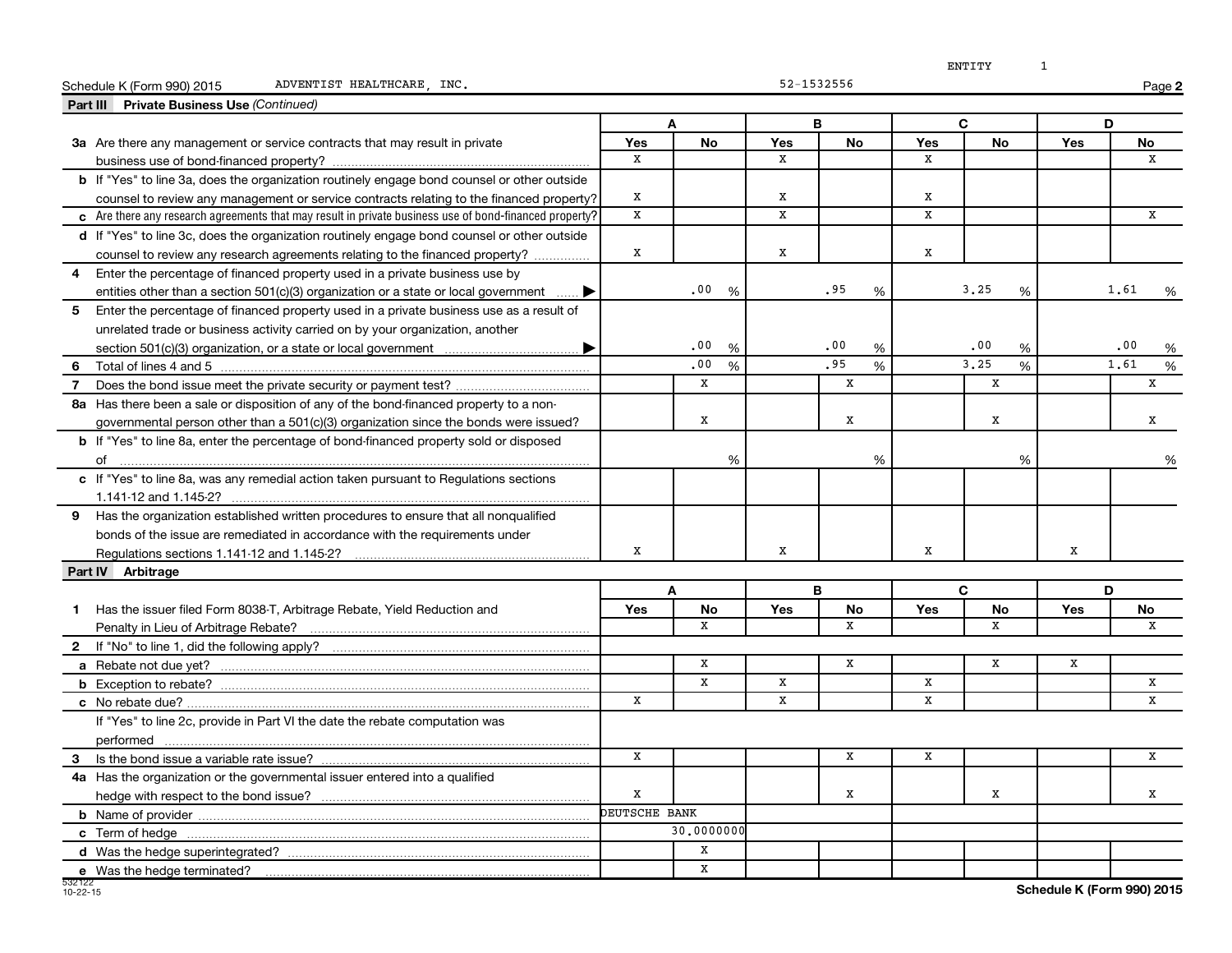Schedule K (Form 990) 2015 ADVENTIST HEALTHCARE , INC . 52-1532556 Page ADVENTIST HEALTHCARE, INC. 52-1532556

**2**

|   | Part III<br><b>Private Business Use (Continued)</b>                                                             |               |              |             |             |             |             |     |             |
|---|-----------------------------------------------------------------------------------------------------------------|---------------|--------------|-------------|-------------|-------------|-------------|-----|-------------|
|   |                                                                                                                 |               |              |             | B           | $\mathbf C$ |             |     | D           |
|   | 3a Are there any management or service contracts that may result in private                                     | Yes           | No           | Yes         | <b>No</b>   | Yes         | <b>No</b>   | Yes | No          |
|   |                                                                                                                 | $\, {\rm x}$  |              | x           |             | X           |             |     | X           |
|   | b If "Yes" to line 3a, does the organization routinely engage bond counsel or other outside                     |               |              |             |             |             |             |     |             |
|   | counsel to review any management or service contracts relating to the financed property?                        | X             |              | x           |             | X           |             |     |             |
|   | $\epsilon$ Are there any research agreements that may result in private business use of bond-financed property? | $\mathbf X$   |              | $\mathbf x$ |             | X           |             |     | X           |
|   | d If "Yes" to line 3c, does the organization routinely engage bond counsel or other outside                     |               |              |             |             |             |             |     |             |
|   | counsel to review any research agreements relating to the financed property?                                    | X             |              | X           |             | x           |             |     |             |
| 4 | Enter the percentage of financed property used in a private business use by                                     |               |              |             |             |             |             |     |             |
|   | entities other than a section $501(c)(3)$ organization or a state or local government<br>…… ▶                   |               | .00<br>%     |             | .95<br>%    |             | 3.25<br>%   |     | 1.61<br>%   |
| 5 | Enter the percentage of financed property used in a private business use as a result of                         |               |              |             |             |             |             |     |             |
|   | unrelated trade or business activity carried on by your organization, another                                   |               |              |             |             |             |             |     |             |
|   |                                                                                                                 |               | .00<br>%     |             | .00<br>%    |             | .00<br>%    |     | .00         |
| 6 |                                                                                                                 |               | .00<br>%     |             | .95<br>$\%$ |             | 3.25<br>%   |     | 1.61<br>%   |
| 7 |                                                                                                                 |               | $\mathbf{x}$ |             | X           |             | $\mathbf x$ |     | $\mathbf x$ |
|   | 8a Has there been a sale or disposition of any of the bond-financed property to a non-                          |               |              |             |             |             |             |     |             |
|   | governmental person other than a 501(c)(3) organization since the bonds were issued?                            |               | x            |             | x           |             | X           |     | x           |
|   | <b>b</b> If "Yes" to line 8a, enter the percentage of bond-financed property sold or disposed                   |               |              |             |             |             |             |     |             |
|   |                                                                                                                 |               | %            |             | $\%$        |             | %           |     | %           |
|   | c If "Yes" to line 8a, was any remedial action taken pursuant to Regulations sections                           |               |              |             |             |             |             |     |             |
|   |                                                                                                                 |               |              |             |             |             |             |     |             |
|   | 9 Has the organization established written procedures to ensure that all nonqualified                           |               |              |             |             |             |             |     |             |
|   | bonds of the issue are remediated in accordance with the requirements under                                     |               |              |             |             |             |             |     |             |
|   |                                                                                                                 | x             |              | X           |             | X           |             | x   |             |
|   | Part IV Arbitrage                                                                                               |               |              |             |             |             |             |     |             |
|   |                                                                                                                 |               | A            |             | B           |             | C           |     | D           |
| 1 | Has the issuer filed Form 8038-T, Arbitrage Rebate, Yield Reduction and                                         | <b>Yes</b>    | No           | Yes         | No          | Yes         | No          | Yes | No          |
|   |                                                                                                                 |               | $\mathbf x$  |             | X           |             | $\mathbf x$ |     | X           |
|   |                                                                                                                 |               |              |             |             |             |             |     |             |
|   |                                                                                                                 |               | $\mathbf x$  |             | X           |             | X           | X   |             |
|   |                                                                                                                 |               | X            | x           |             | X           |             |     | X           |
|   |                                                                                                                 | $\mathbf x$   |              | X           |             | $\mathbf x$ |             |     | $\mathbf x$ |
|   | If "Yes" to line 2c, provide in Part VI the date the rebate computation was                                     |               |              |             |             |             |             |     |             |
|   |                                                                                                                 |               |              |             |             |             |             |     |             |
| 3 |                                                                                                                 | X             |              |             | x           | x           |             |     | x           |
|   | 4a Has the organization or the governmental issuer entered into a qualified                                     |               |              |             |             |             |             |     |             |
|   |                                                                                                                 | x             |              |             | x           |             | x           |     | x           |
|   |                                                                                                                 | DEUTSCHE BANK |              |             |             |             |             |     |             |
|   |                                                                                                                 |               | 30,0000000   |             |             |             |             |     |             |
|   |                                                                                                                 |               | X            |             |             |             |             |     |             |
|   | e Was the hedge terminated?                                                                                     |               | X            |             |             |             |             |     |             |

532122 10-22-15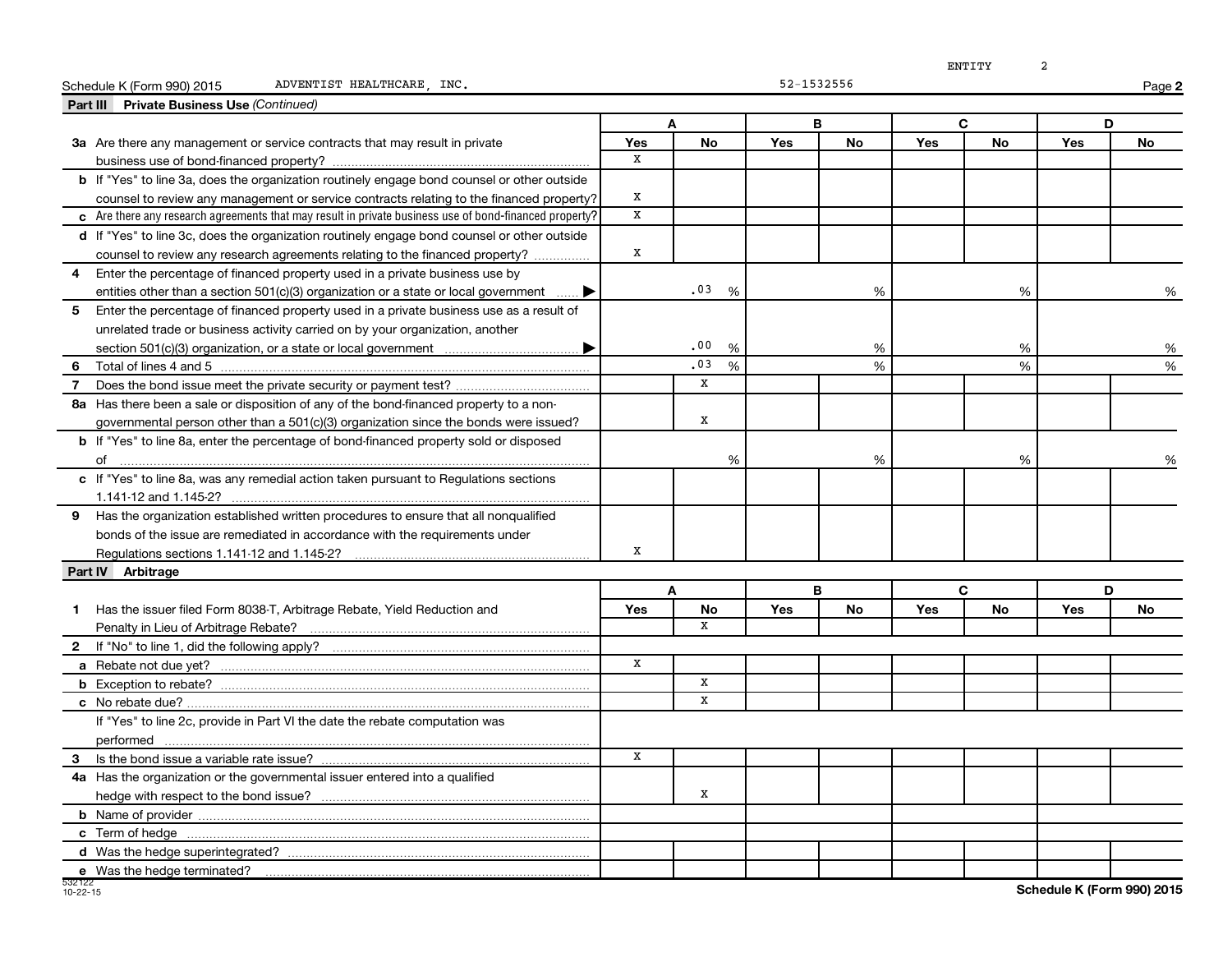Schedule K (Form 990) 2015 ADVENTIST HEALTHCARE, INC. 2008 2015 52-1532556 ADVENTIST HEALTHCARE, INC.

| <b>Part III</b> Private Business Use (Continued)                                                                |              |              |            |           |     |           |     |    |
|-----------------------------------------------------------------------------------------------------------------|--------------|--------------|------------|-----------|-----|-----------|-----|----|
|                                                                                                                 |              | A            |            | В         |     | C         |     | D  |
| 3a Are there any management or service contracts that may result in private                                     | Yes          | No           | Yes        | <b>No</b> | Yes | <b>No</b> | Yes | No |
|                                                                                                                 | $\mathbf x$  |              |            |           |     |           |     |    |
| b If "Yes" to line 3a, does the organization routinely engage bond counsel or other outside                     |              |              |            |           |     |           |     |    |
| counsel to review any management or service contracts relating to the financed property?                        | X            |              |            |           |     |           |     |    |
| $\epsilon$ Are there any research agreements that may result in private business use of bond-financed property? | $\, {\bf X}$ |              |            |           |     |           |     |    |
| d If "Yes" to line 3c, does the organization routinely engage bond counsel or other outside                     |              |              |            |           |     |           |     |    |
| counsel to review any research agreements relating to the financed property?                                    | x            |              |            |           |     |           |     |    |
| Enter the percentage of financed property used in a private business use by<br>4                                |              |              |            |           |     |           |     |    |
| entities other than a section 501(c)(3) organization or a state or local government                             |              | .03<br>%     |            | %         |     | %         |     | %  |
| Enter the percentage of financed property used in a private business use as a result of<br>5                    |              |              |            |           |     |           |     |    |
| unrelated trade or business activity carried on by your organization, another                                   |              |              |            |           |     |           |     |    |
|                                                                                                                 |              | .00<br>%     |            | %         |     | %         |     | %  |
| 6                                                                                                               |              | .03<br>$\%$  |            | %         |     | %         |     | %  |
| $\overline{7}$                                                                                                  |              | x            |            |           |     |           |     |    |
| 8a Has there been a sale or disposition of any of the bond-financed property to a non-                          |              |              |            |           |     |           |     |    |
| governmental person other than a 501(c)(3) organization since the bonds were issued?                            |              | X            |            |           |     |           |     |    |
| b If "Yes" to line 8a, enter the percentage of bond-financed property sold or disposed                          |              |              |            |           |     |           |     |    |
|                                                                                                                 |              | %            |            | %         |     | %         |     | %  |
| c If "Yes" to line 8a, was any remedial action taken pursuant to Regulations sections                           |              |              |            |           |     |           |     |    |
|                                                                                                                 |              |              |            |           |     |           |     |    |
| Has the organization established written procedures to ensure that all nonqualified<br>9                        |              |              |            |           |     |           |     |    |
| bonds of the issue are remediated in accordance with the requirements under                                     |              |              |            |           |     |           |     |    |
|                                                                                                                 | х            |              |            |           |     |           |     |    |
| Part IV Arbitrage                                                                                               |              |              |            |           |     |           |     |    |
|                                                                                                                 |              | A            |            | в         |     | C         |     | D  |
| Has the issuer filed Form 8038-T, Arbitrage Rebate, Yield Reduction and<br>1.                                   | Yes          | No           | <b>Yes</b> | <b>No</b> | Yes | <b>No</b> | Yes | No |
|                                                                                                                 |              | $\mathbf{x}$ |            |           |     |           |     |    |
| $\mathbf{2}$                                                                                                    |              |              |            |           |     |           |     |    |
|                                                                                                                 | $\, {\bf X}$ |              |            |           |     |           |     |    |
|                                                                                                                 |              | X            |            |           |     |           |     |    |
|                                                                                                                 |              | $\mathbf x$  |            |           |     |           |     |    |
| If "Yes" to line 2c, provide in Part VI the date the rebate computation was                                     |              |              |            |           |     |           |     |    |
|                                                                                                                 |              |              |            |           |     |           |     |    |
| 3                                                                                                               | X            |              |            |           |     |           |     |    |
| 4a Has the organization or the governmental issuer entered into a qualified                                     |              |              |            |           |     |           |     |    |
|                                                                                                                 |              | X            |            |           |     |           |     |    |
|                                                                                                                 |              |              |            |           |     |           |     |    |
|                                                                                                                 |              |              |            |           |     |           |     |    |
|                                                                                                                 |              |              |            |           |     |           |     |    |
| e Was the hedge terminated?                                                                                     |              |              |            |           |     |           |     |    |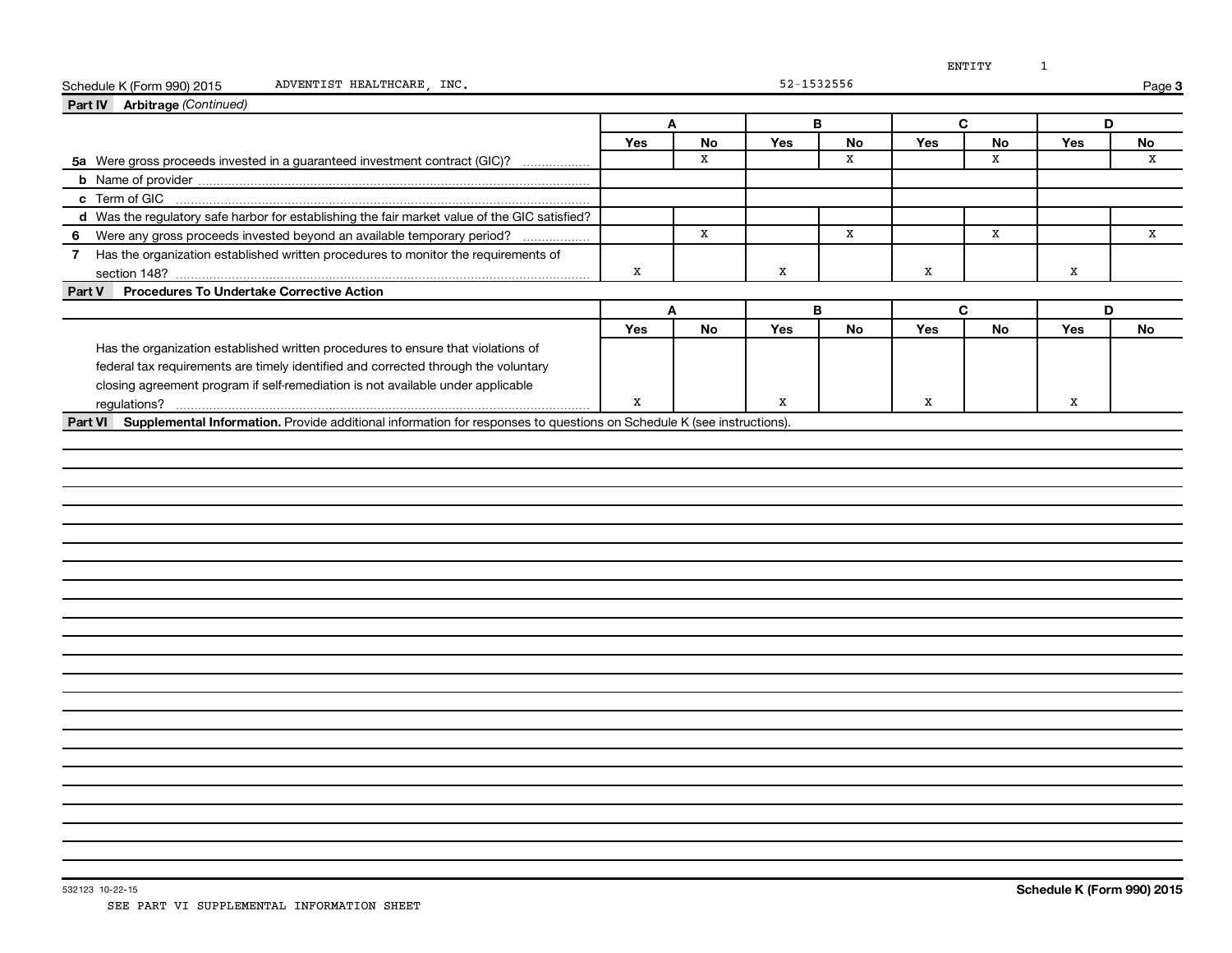**3**

Schedule K (Form 990) 2015 ADVENTIST HEALTHCARE, INC. SCHEDULE 1988 1998 1999 1999 ADVENTIST HEALTHCARE, INC.

| B<br>C<br>D<br>A<br>Yes<br>Yes<br>No<br>No<br>Yes<br>No<br>Yes<br>No<br>$\mathbf x$<br>X<br>X<br>X<br>5a Were gross proceeds invested in a guaranteed investment contract (GIC)?<br>d Was the regulatory safe harbor for establishing the fair market value of the GIC satisfied?<br>$\mathbf X$<br>x<br>x<br>x<br>Were any gross proceeds invested beyond an available temporary period?<br>6<br>Has the organization established written procedures to monitor the requirements of<br>7 <sup>7</sup><br>X<br>x<br>X<br>x<br><b>Procedures To Undertake Corrective Action</b><br>Part V<br>B<br>C<br>D<br>A<br>No<br>Yes<br>No<br>Yes<br>No<br>Yes<br>Yes<br>No<br>Has the organization established written procedures to ensure that violations of<br>federal tax requirements are timely identified and corrected through the voluntary<br>closing agreement program if self-remediation is not available under applicable<br>X<br>x<br>X<br>Х<br>Part VI Supplemental Information. Provide additional information for responses to questions on Schedule K (see instructions).<br>532123 10-22-15 | <b>Part IV</b> Arbitrage (Continued) |  |  |  |  |  |
|-------------------------------------------------------------------------------------------------------------------------------------------------------------------------------------------------------------------------------------------------------------------------------------------------------------------------------------------------------------------------------------------------------------------------------------------------------------------------------------------------------------------------------------------------------------------------------------------------------------------------------------------------------------------------------------------------------------------------------------------------------------------------------------------------------------------------------------------------------------------------------------------------------------------------------------------------------------------------------------------------------------------------------------------------------------------------------------------------------|--------------------------------------|--|--|--|--|--|
|                                                                                                                                                                                                                                                                                                                                                                                                                                                                                                                                                                                                                                                                                                                                                                                                                                                                                                                                                                                                                                                                                                       |                                      |  |  |  |  |  |
|                                                                                                                                                                                                                                                                                                                                                                                                                                                                                                                                                                                                                                                                                                                                                                                                                                                                                                                                                                                                                                                                                                       |                                      |  |  |  |  |  |
|                                                                                                                                                                                                                                                                                                                                                                                                                                                                                                                                                                                                                                                                                                                                                                                                                                                                                                                                                                                                                                                                                                       |                                      |  |  |  |  |  |
|                                                                                                                                                                                                                                                                                                                                                                                                                                                                                                                                                                                                                                                                                                                                                                                                                                                                                                                                                                                                                                                                                                       |                                      |  |  |  |  |  |
|                                                                                                                                                                                                                                                                                                                                                                                                                                                                                                                                                                                                                                                                                                                                                                                                                                                                                                                                                                                                                                                                                                       |                                      |  |  |  |  |  |
|                                                                                                                                                                                                                                                                                                                                                                                                                                                                                                                                                                                                                                                                                                                                                                                                                                                                                                                                                                                                                                                                                                       |                                      |  |  |  |  |  |
|                                                                                                                                                                                                                                                                                                                                                                                                                                                                                                                                                                                                                                                                                                                                                                                                                                                                                                                                                                                                                                                                                                       |                                      |  |  |  |  |  |
|                                                                                                                                                                                                                                                                                                                                                                                                                                                                                                                                                                                                                                                                                                                                                                                                                                                                                                                                                                                                                                                                                                       |                                      |  |  |  |  |  |
|                                                                                                                                                                                                                                                                                                                                                                                                                                                                                                                                                                                                                                                                                                                                                                                                                                                                                                                                                                                                                                                                                                       |                                      |  |  |  |  |  |
|                                                                                                                                                                                                                                                                                                                                                                                                                                                                                                                                                                                                                                                                                                                                                                                                                                                                                                                                                                                                                                                                                                       |                                      |  |  |  |  |  |
|                                                                                                                                                                                                                                                                                                                                                                                                                                                                                                                                                                                                                                                                                                                                                                                                                                                                                                                                                                                                                                                                                                       |                                      |  |  |  |  |  |
|                                                                                                                                                                                                                                                                                                                                                                                                                                                                                                                                                                                                                                                                                                                                                                                                                                                                                                                                                                                                                                                                                                       |                                      |  |  |  |  |  |
| Schedule K (Form 990) 2015                                                                                                                                                                                                                                                                                                                                                                                                                                                                                                                                                                                                                                                                                                                                                                                                                                                                                                                                                                                                                                                                            |                                      |  |  |  |  |  |
|                                                                                                                                                                                                                                                                                                                                                                                                                                                                                                                                                                                                                                                                                                                                                                                                                                                                                                                                                                                                                                                                                                       |                                      |  |  |  |  |  |
|                                                                                                                                                                                                                                                                                                                                                                                                                                                                                                                                                                                                                                                                                                                                                                                                                                                                                                                                                                                                                                                                                                       |                                      |  |  |  |  |  |
|                                                                                                                                                                                                                                                                                                                                                                                                                                                                                                                                                                                                                                                                                                                                                                                                                                                                                                                                                                                                                                                                                                       |                                      |  |  |  |  |  |
|                                                                                                                                                                                                                                                                                                                                                                                                                                                                                                                                                                                                                                                                                                                                                                                                                                                                                                                                                                                                                                                                                                       |                                      |  |  |  |  |  |
|                                                                                                                                                                                                                                                                                                                                                                                                                                                                                                                                                                                                                                                                                                                                                                                                                                                                                                                                                                                                                                                                                                       |                                      |  |  |  |  |  |
|                                                                                                                                                                                                                                                                                                                                                                                                                                                                                                                                                                                                                                                                                                                                                                                                                                                                                                                                                                                                                                                                                                       |                                      |  |  |  |  |  |
|                                                                                                                                                                                                                                                                                                                                                                                                                                                                                                                                                                                                                                                                                                                                                                                                                                                                                                                                                                                                                                                                                                       |                                      |  |  |  |  |  |
|                                                                                                                                                                                                                                                                                                                                                                                                                                                                                                                                                                                                                                                                                                                                                                                                                                                                                                                                                                                                                                                                                                       |                                      |  |  |  |  |  |
|                                                                                                                                                                                                                                                                                                                                                                                                                                                                                                                                                                                                                                                                                                                                                                                                                                                                                                                                                                                                                                                                                                       |                                      |  |  |  |  |  |
|                                                                                                                                                                                                                                                                                                                                                                                                                                                                                                                                                                                                                                                                                                                                                                                                                                                                                                                                                                                                                                                                                                       |                                      |  |  |  |  |  |
|                                                                                                                                                                                                                                                                                                                                                                                                                                                                                                                                                                                                                                                                                                                                                                                                                                                                                                                                                                                                                                                                                                       |                                      |  |  |  |  |  |
|                                                                                                                                                                                                                                                                                                                                                                                                                                                                                                                                                                                                                                                                                                                                                                                                                                                                                                                                                                                                                                                                                                       |                                      |  |  |  |  |  |
|                                                                                                                                                                                                                                                                                                                                                                                                                                                                                                                                                                                                                                                                                                                                                                                                                                                                                                                                                                                                                                                                                                       |                                      |  |  |  |  |  |
|                                                                                                                                                                                                                                                                                                                                                                                                                                                                                                                                                                                                                                                                                                                                                                                                                                                                                                                                                                                                                                                                                                       |                                      |  |  |  |  |  |
|                                                                                                                                                                                                                                                                                                                                                                                                                                                                                                                                                                                                                                                                                                                                                                                                                                                                                                                                                                                                                                                                                                       |                                      |  |  |  |  |  |
|                                                                                                                                                                                                                                                                                                                                                                                                                                                                                                                                                                                                                                                                                                                                                                                                                                                                                                                                                                                                                                                                                                       |                                      |  |  |  |  |  |
|                                                                                                                                                                                                                                                                                                                                                                                                                                                                                                                                                                                                                                                                                                                                                                                                                                                                                                                                                                                                                                                                                                       |                                      |  |  |  |  |  |
|                                                                                                                                                                                                                                                                                                                                                                                                                                                                                                                                                                                                                                                                                                                                                                                                                                                                                                                                                                                                                                                                                                       |                                      |  |  |  |  |  |
|                                                                                                                                                                                                                                                                                                                                                                                                                                                                                                                                                                                                                                                                                                                                                                                                                                                                                                                                                                                                                                                                                                       |                                      |  |  |  |  |  |
|                                                                                                                                                                                                                                                                                                                                                                                                                                                                                                                                                                                                                                                                                                                                                                                                                                                                                                                                                                                                                                                                                                       |                                      |  |  |  |  |  |
|                                                                                                                                                                                                                                                                                                                                                                                                                                                                                                                                                                                                                                                                                                                                                                                                                                                                                                                                                                                                                                                                                                       |                                      |  |  |  |  |  |
|                                                                                                                                                                                                                                                                                                                                                                                                                                                                                                                                                                                                                                                                                                                                                                                                                                                                                                                                                                                                                                                                                                       |                                      |  |  |  |  |  |
|                                                                                                                                                                                                                                                                                                                                                                                                                                                                                                                                                                                                                                                                                                                                                                                                                                                                                                                                                                                                                                                                                                       |                                      |  |  |  |  |  |
|                                                                                                                                                                                                                                                                                                                                                                                                                                                                                                                                                                                                                                                                                                                                                                                                                                                                                                                                                                                                                                                                                                       |                                      |  |  |  |  |  |
|                                                                                                                                                                                                                                                                                                                                                                                                                                                                                                                                                                                                                                                                                                                                                                                                                                                                                                                                                                                                                                                                                                       |                                      |  |  |  |  |  |
|                                                                                                                                                                                                                                                                                                                                                                                                                                                                                                                                                                                                                                                                                                                                                                                                                                                                                                                                                                                                                                                                                                       |                                      |  |  |  |  |  |
|                                                                                                                                                                                                                                                                                                                                                                                                                                                                                                                                                                                                                                                                                                                                                                                                                                                                                                                                                                                                                                                                                                       |                                      |  |  |  |  |  |
|                                                                                                                                                                                                                                                                                                                                                                                                                                                                                                                                                                                                                                                                                                                                                                                                                                                                                                                                                                                                                                                                                                       |                                      |  |  |  |  |  |
|                                                                                                                                                                                                                                                                                                                                                                                                                                                                                                                                                                                                                                                                                                                                                                                                                                                                                                                                                                                                                                                                                                       |                                      |  |  |  |  |  |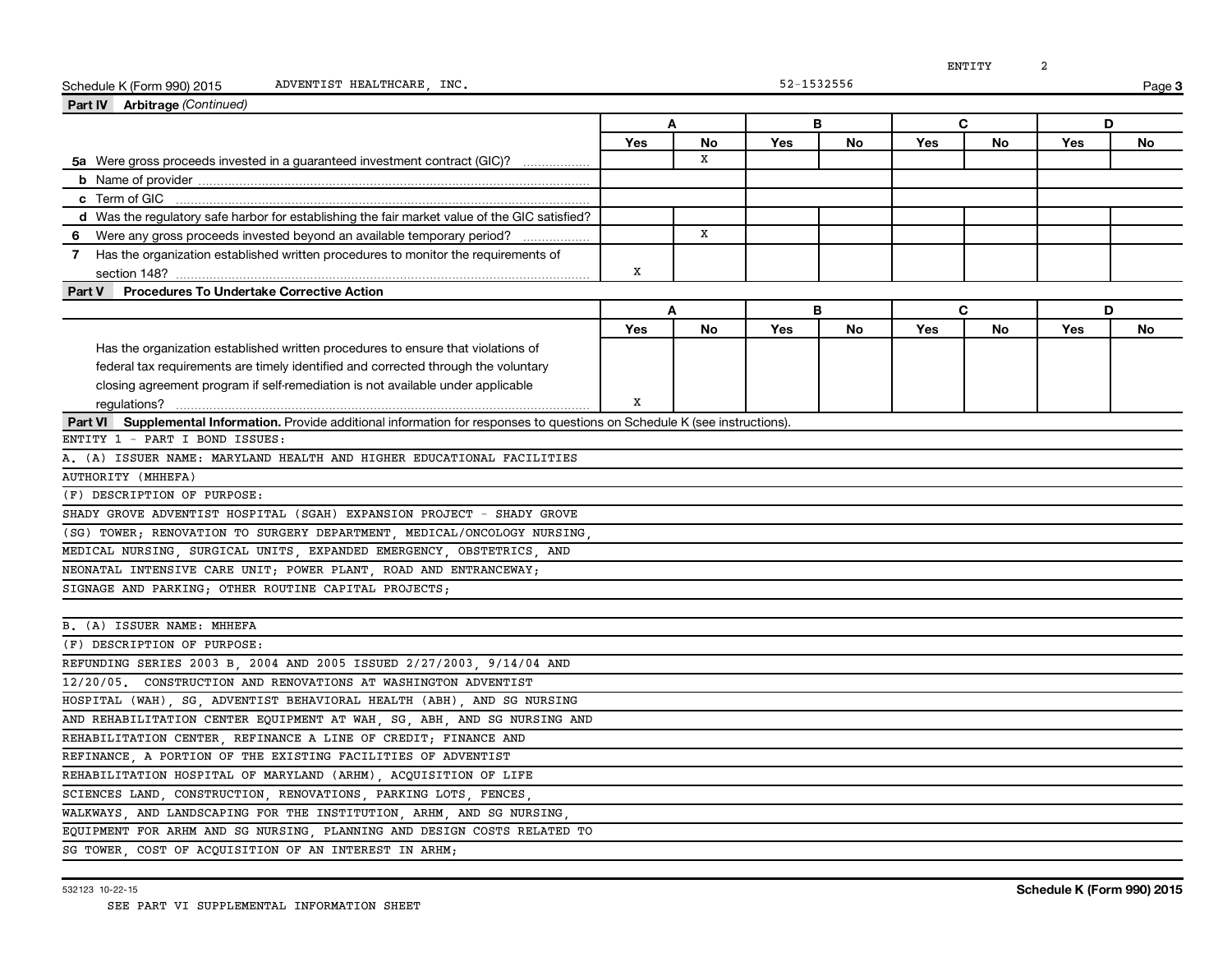**3**

**Part IV Arbitrage**  *(Continued)* Schedule K (Form 990) 2015 ADVENTIST HEALTHCARE, INC. SCHEDULE 1988 1998 1999 1999 1999 ADVENTIST HEALTHCARE, INC.

|                                                                                                                               |     | Α         |     | В  | C   |    | D   |           |
|-------------------------------------------------------------------------------------------------------------------------------|-----|-----------|-----|----|-----|----|-----|-----------|
|                                                                                                                               | Yes | No        | Yes | No | Yes | No | Yes | <b>No</b> |
| 5a Were gross proceeds invested in a guaranteed investment contract (GIC)?                                                    |     | x         |     |    |     |    |     |           |
|                                                                                                                               |     |           |     |    |     |    |     |           |
|                                                                                                                               |     |           |     |    |     |    |     |           |
| d Was the regulatory safe harbor for establishing the fair market value of the GIC satisfied?                                 |     |           |     |    |     |    |     |           |
|                                                                                                                               |     | x         |     |    |     |    |     |           |
| 7 Has the organization established written procedures to monitor the requirements of                                          | х   |           |     |    |     |    |     |           |
| Procedures To Undertake Corrective Action<br>Part V                                                                           |     |           |     |    |     |    |     |           |
|                                                                                                                               |     | A         |     | B  | C   |    | D   |           |
|                                                                                                                               | Yes | <b>No</b> | Yes | No | Yes | No | Yes | No        |
| Has the organization established written procedures to ensure that violations of                                              |     |           |     |    |     |    |     |           |
| federal tax requirements are timely identified and corrected through the voluntary                                            |     |           |     |    |     |    |     |           |
| closing agreement program if self-remediation is not available under applicable                                               |     |           |     |    |     |    |     |           |
|                                                                                                                               | Х   |           |     |    |     |    |     |           |
| Part VI Supplemental Information. Provide additional information for responses to questions on Schedule K (see instructions). |     |           |     |    |     |    |     |           |
| ENTITY 1 - PART I BOND ISSUES:                                                                                                |     |           |     |    |     |    |     |           |
| A. (A) ISSUER NAME: MARYLAND HEALTH AND HIGHER EDUCATIONAL FACILITIES                                                         |     |           |     |    |     |    |     |           |
| AUTHORITY (MHHEFA)                                                                                                            |     |           |     |    |     |    |     |           |
| (F) DESCRIPTION OF PURPOSE:                                                                                                   |     |           |     |    |     |    |     |           |
| SHADY GROVE ADVENTIST HOSPITAL (SGAH) EXPANSION PROJECT - SHADY GROVE                                                         |     |           |     |    |     |    |     |           |
| (SG) TOWER; RENOVATION TO SURGERY DEPARTMENT, MEDICAL/ONCOLOGY NURSING                                                        |     |           |     |    |     |    |     |           |
| MEDICAL NURSING  SURGICAL UNITS  EXPANDED EMERGENCY  OBSTETRICS  AND                                                          |     |           |     |    |     |    |     |           |
| NEONATAL INTENSIVE CARE UNIT; POWER PLANT ROAD AND ENTRANCEWAY;                                                               |     |           |     |    |     |    |     |           |
| SIGNAGE AND PARKING; OTHER ROUTINE CAPITAL PROJECTS;                                                                          |     |           |     |    |     |    |     |           |
|                                                                                                                               |     |           |     |    |     |    |     |           |
| B. (A) ISSUER NAME: MHHEFA                                                                                                    |     |           |     |    |     |    |     |           |
| (F) DESCRIPTION OF PURPOSE:                                                                                                   |     |           |     |    |     |    |     |           |
| REFUNDING SERIES 2003 B, 2004 AND 2005 ISSUED 2/27/2003, 9/14/04 AND                                                          |     |           |     |    |     |    |     |           |
| 12/20/05. CONSTRUCTION AND RENOVATIONS AT WASHINGTON ADVENTIST                                                                |     |           |     |    |     |    |     |           |
| HOSPITAL (WAH), SG, ADVENTIST BEHAVIORAL HEALTH (ABH), AND SG NURSING                                                         |     |           |     |    |     |    |     |           |
| AND REHABILITATION CENTER EQUIPMENT AT WAH, SG, ABH, AND SG NURSING AND                                                       |     |           |     |    |     |    |     |           |
| REHABILITATION CENTER, REFINANCE A LINE OF CREDIT; FINANCE AND                                                                |     |           |     |    |     |    |     |           |
| REFINANCE, A PORTION OF THE EXISTING FACILITIES OF ADVENTIST                                                                  |     |           |     |    |     |    |     |           |
| REHABILITATION HOSPITAL OF MARYLAND (ARHM), ACQUISITION OF LIFE                                                               |     |           |     |    |     |    |     |           |
| SCIENCES LAND, CONSTRUCTION, RENOVATIONS, PARKING LOTS, FENCES,                                                               |     |           |     |    |     |    |     |           |
| WALKWAYS, AND LANDSCAPING FOR THE INSTITUTION, ARHM, AND SG NURSING,                                                          |     |           |     |    |     |    |     |           |
| EQUIPMENT FOR ARHM AND SG NURSING, PLANNING AND DESIGN COSTS RELATED TO                                                       |     |           |     |    |     |    |     |           |
| SG TOWER, COST OF ACQUISITION OF AN INTEREST IN ARHM;                                                                         |     |           |     |    |     |    |     |           |

┱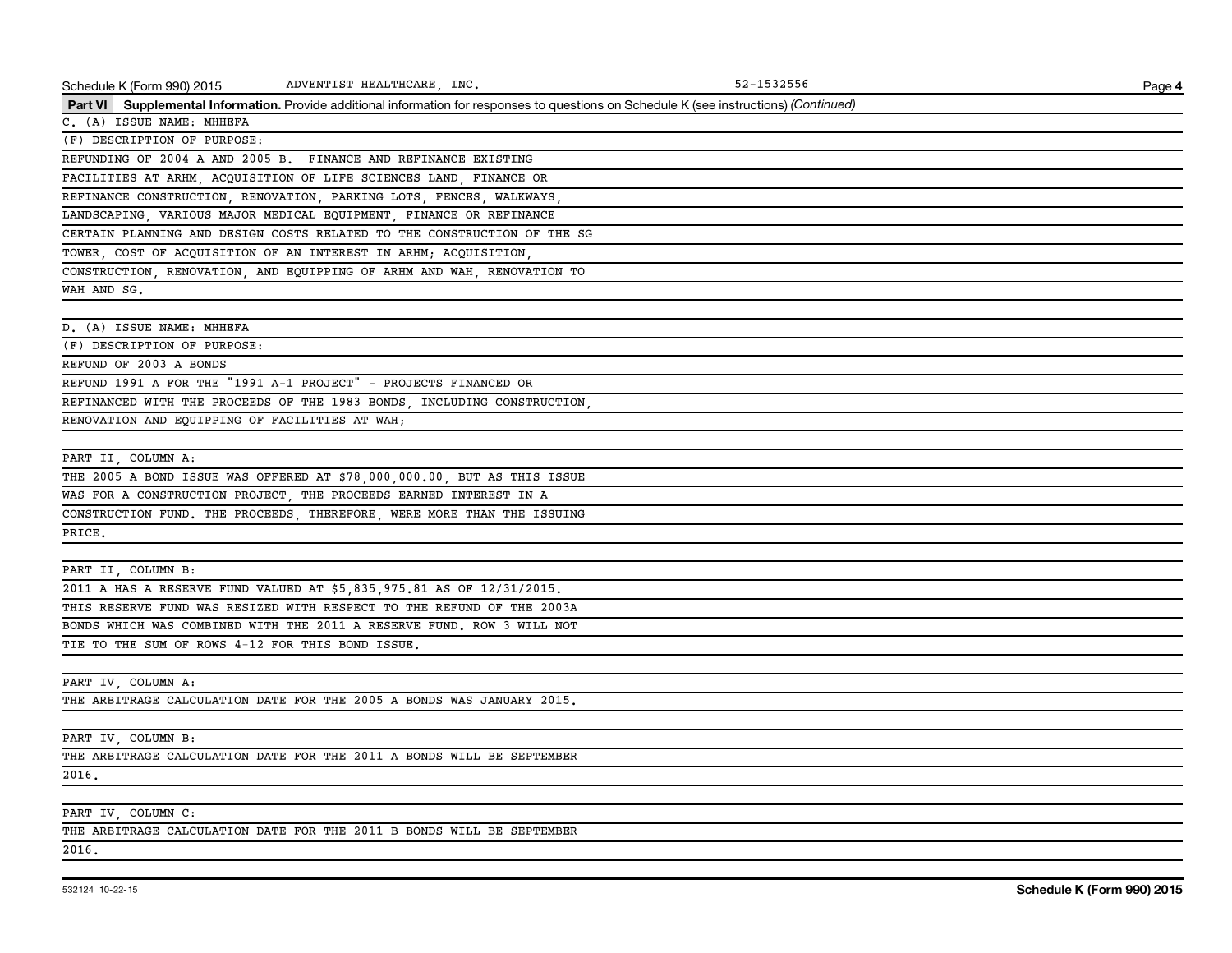| Schedule K (Form 990) 2015                      | ADVENTIST HEALTHCARE, INC.                                                                                                               | 52-1532556 | Page 4 |
|-------------------------------------------------|------------------------------------------------------------------------------------------------------------------------------------------|------------|--------|
|                                                 | Part VI Supplemental Information. Provide additional information for responses to questions on Schedule K (see instructions) (Continued) |            |        |
| C. (A) ISSUE NAME: MHHEFA                       |                                                                                                                                          |            |        |
| (F) DESCRIPTION OF PURPOSE:                     |                                                                                                                                          |            |        |
|                                                 | REFUNDING OF 2004 A AND 2005 B. FINANCE AND REFINANCE EXISTING                                                                           |            |        |
|                                                 | FACILITIES AT ARHM ACQUISITION OF LIFE SCIENCES LAND FINANCE OR                                                                          |            |        |
|                                                 | REFINANCE CONSTRUCTION, RENOVATION, PARKING LOTS, FENCES, WALKWAYS                                                                       |            |        |
|                                                 | LANDSCAPING, VARIOUS MAJOR MEDICAL EQUIPMENT, FINANCE OR REFINANCE                                                                       |            |        |
|                                                 | CERTAIN PLANNING AND DESIGN COSTS RELATED TO THE CONSTRUCTION OF THE SG                                                                  |            |        |
|                                                 | TOWER, COST OF ACQUISITION OF AN INTEREST IN ARHM; ACQUISITION,                                                                          |            |        |
|                                                 | CONSTRUCTION, RENOVATION, AND EQUIPPING OF ARHM AND WAH, RENOVATION TO                                                                   |            |        |
| WAH AND SG.                                     |                                                                                                                                          |            |        |
|                                                 |                                                                                                                                          |            |        |
| D. (A) ISSUE NAME: MHHEFA                       |                                                                                                                                          |            |        |
| (F) DESCRIPTION OF PURPOSE:                     |                                                                                                                                          |            |        |
| REFUND OF 2003 A BONDS                          |                                                                                                                                          |            |        |
|                                                 | REFUND 1991 A FOR THE "1991 A-1 PROJECT" - PROJECTS FINANCED OR                                                                          |            |        |
|                                                 | REFINANCED WITH THE PROCEEDS OF THE 1983 BONDS, INCLUDING CONSTRUCTION                                                                   |            |        |
| RENOVATION AND EQUIPPING OF FACILITIES AT WAH;  |                                                                                                                                          |            |        |
|                                                 |                                                                                                                                          |            |        |
| PART II, COLUMN A:                              |                                                                                                                                          |            |        |
|                                                 | THE 2005 A BOND ISSUE WAS OFFERED AT \$78,000,000.00, BUT AS THIS ISSUE                                                                  |            |        |
|                                                 | WAS FOR A CONSTRUCTION PROJECT. THE PROCEEDS EARNED INTEREST IN A                                                                        |            |        |
|                                                 | CONSTRUCTION FUND. THE PROCEEDS, THEREFORE, WERE MORE THAN THE ISSUING                                                                   |            |        |
| PRICE.                                          |                                                                                                                                          |            |        |
|                                                 |                                                                                                                                          |            |        |
| PART II, COLUMN B:                              |                                                                                                                                          |            |        |
|                                                 | 2011 A HAS A RESERVE FUND VALUED AT \$5,835,975.81 AS OF 12/31/2015.                                                                     |            |        |
|                                                 | THIS RESERVE FUND WAS RESIZED WITH RESPECT TO THE REFUND OF THE 2003A                                                                    |            |        |
|                                                 | BONDS WHICH WAS COMBINED WITH THE 2011 A RESERVE FUND. ROW 3 WILL NOT                                                                    |            |        |
| TIE TO THE SUM OF ROWS 4-12 FOR THIS BOND ISSUE |                                                                                                                                          |            |        |
|                                                 |                                                                                                                                          |            |        |
| PART IV, COLUMN A:                              |                                                                                                                                          |            |        |
|                                                 | THE ARBITRAGE CALCULATION DATE FOR THE 2005 A BONDS WAS JANUARY 2015.                                                                    |            |        |
|                                                 |                                                                                                                                          |            |        |
| PART IV, COLUMN B:                              |                                                                                                                                          |            |        |
|                                                 | THE ARBITRAGE CALCULATION DATE FOR THE 2011 A BONDS WILL BE SEPTEMBER                                                                    |            |        |
| 2016.                                           |                                                                                                                                          |            |        |
|                                                 |                                                                                                                                          |            |        |
| PART IV, COLUMN C:                              |                                                                                                                                          |            |        |
|                                                 | THE ARBITRAGE CALCULATION DATE FOR THE 2011 B BONDS WILL BE SEPTEMBER                                                                    |            |        |
| 2016.                                           |                                                                                                                                          |            |        |
|                                                 |                                                                                                                                          |            |        |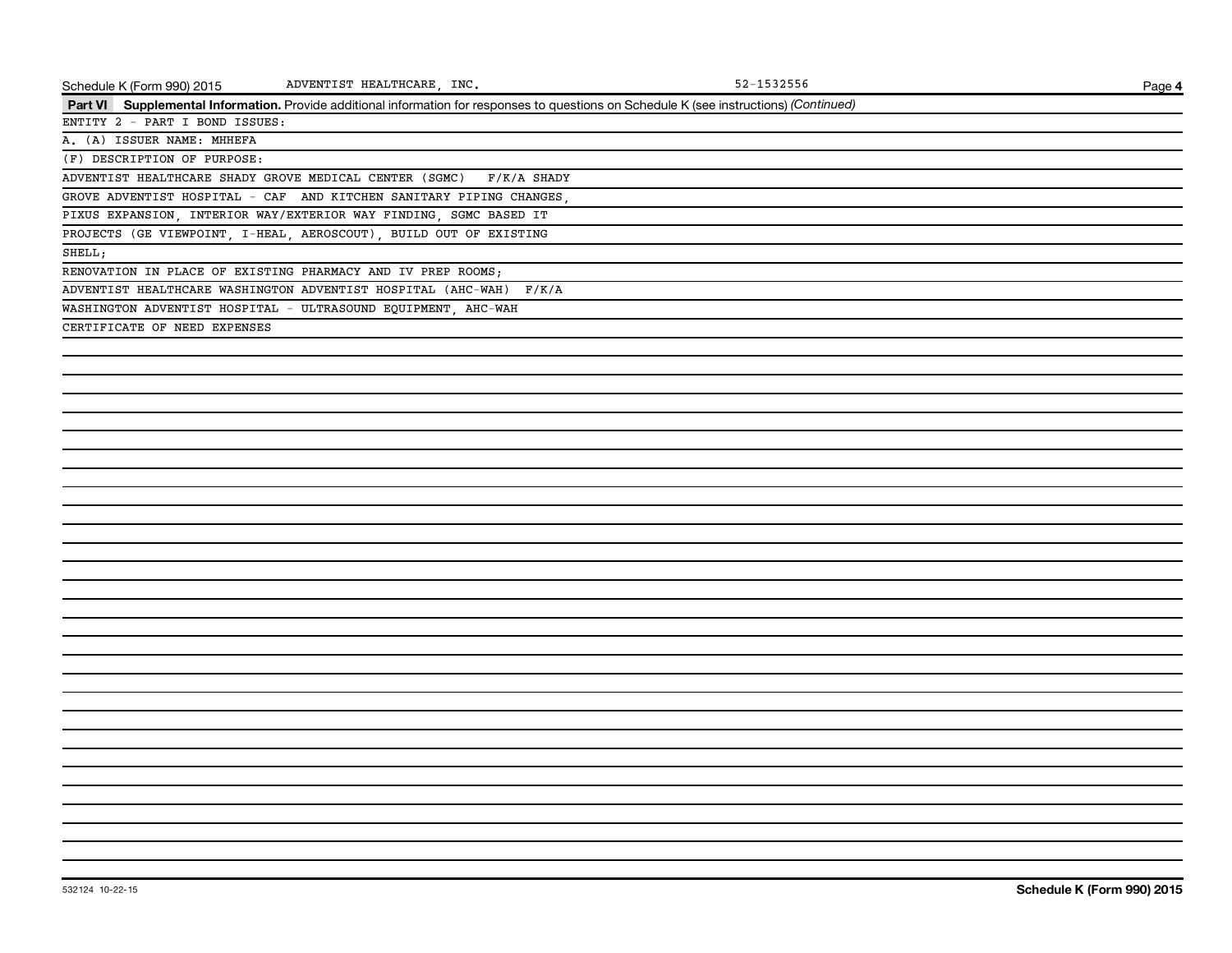| Schedule K (Form 990) 2015     | ADVENTIST HEALTHCARE, INC.                                                                                                               | 52-1532556 | Page 4 |
|--------------------------------|------------------------------------------------------------------------------------------------------------------------------------------|------------|--------|
|                                | Part VI Supplemental Information. Provide additional information for responses to questions on Schedule K (see instructions) (Continued) |            |        |
| ENTITY 2 - PART I BOND ISSUES: |                                                                                                                                          |            |        |
| A. (A) ISSUER NAME: MHHEFA     |                                                                                                                                          |            |        |
| (F) DESCRIPTION OF PURPOSE:    |                                                                                                                                          |            |        |
|                                | ADVENTIST HEALTHCARE SHADY GROVE MEDICAL CENTER (SGMC)<br>F/K/A SHADY                                                                    |            |        |
|                                | GROVE ADVENTIST HOSPITAL - CAF AND KITCHEN SANITARY PIPING CHANGES                                                                       |            |        |
|                                | PIXUS EXPANSION, INTERIOR WAY/EXTERIOR WAY FINDING, SGMC BASED IT                                                                        |            |        |
|                                | PROJECTS (GE VIEWPOINT, I-HEAL, AEROSCOUT), BUILD OUT OF EXISTING                                                                        |            |        |
| SHELL;                         |                                                                                                                                          |            |        |
|                                | RENOVATION IN PLACE OF EXISTING PHARMACY AND IV PREP ROOMS;                                                                              |            |        |
|                                | ADVENTIST HEALTHCARE WASHINGTON ADVENTIST HOSPITAL (AHC-WAH) F/K/A                                                                       |            |        |
|                                | WASHINGTON ADVENTIST HOSPITAL - ULTRASOUND EQUIPMENT, AHC-WAH                                                                            |            |        |
| CERTIFICATE OF NEED EXPENSES   |                                                                                                                                          |            |        |
|                                |                                                                                                                                          |            |        |
|                                |                                                                                                                                          |            |        |
|                                |                                                                                                                                          |            |        |
|                                |                                                                                                                                          |            |        |
|                                |                                                                                                                                          |            |        |
|                                |                                                                                                                                          |            |        |
|                                |                                                                                                                                          |            |        |
|                                |                                                                                                                                          |            |        |
|                                |                                                                                                                                          |            |        |
|                                |                                                                                                                                          |            |        |
|                                |                                                                                                                                          |            |        |
|                                |                                                                                                                                          |            |        |
|                                |                                                                                                                                          |            |        |
|                                |                                                                                                                                          |            |        |
|                                |                                                                                                                                          |            |        |
|                                |                                                                                                                                          |            |        |
|                                |                                                                                                                                          |            |        |
|                                |                                                                                                                                          |            |        |
|                                |                                                                                                                                          |            |        |
|                                |                                                                                                                                          |            |        |
|                                |                                                                                                                                          |            |        |
|                                |                                                                                                                                          |            |        |
|                                |                                                                                                                                          |            |        |
|                                |                                                                                                                                          |            |        |
|                                |                                                                                                                                          |            |        |
|                                |                                                                                                                                          |            |        |
|                                |                                                                                                                                          |            |        |
|                                |                                                                                                                                          |            |        |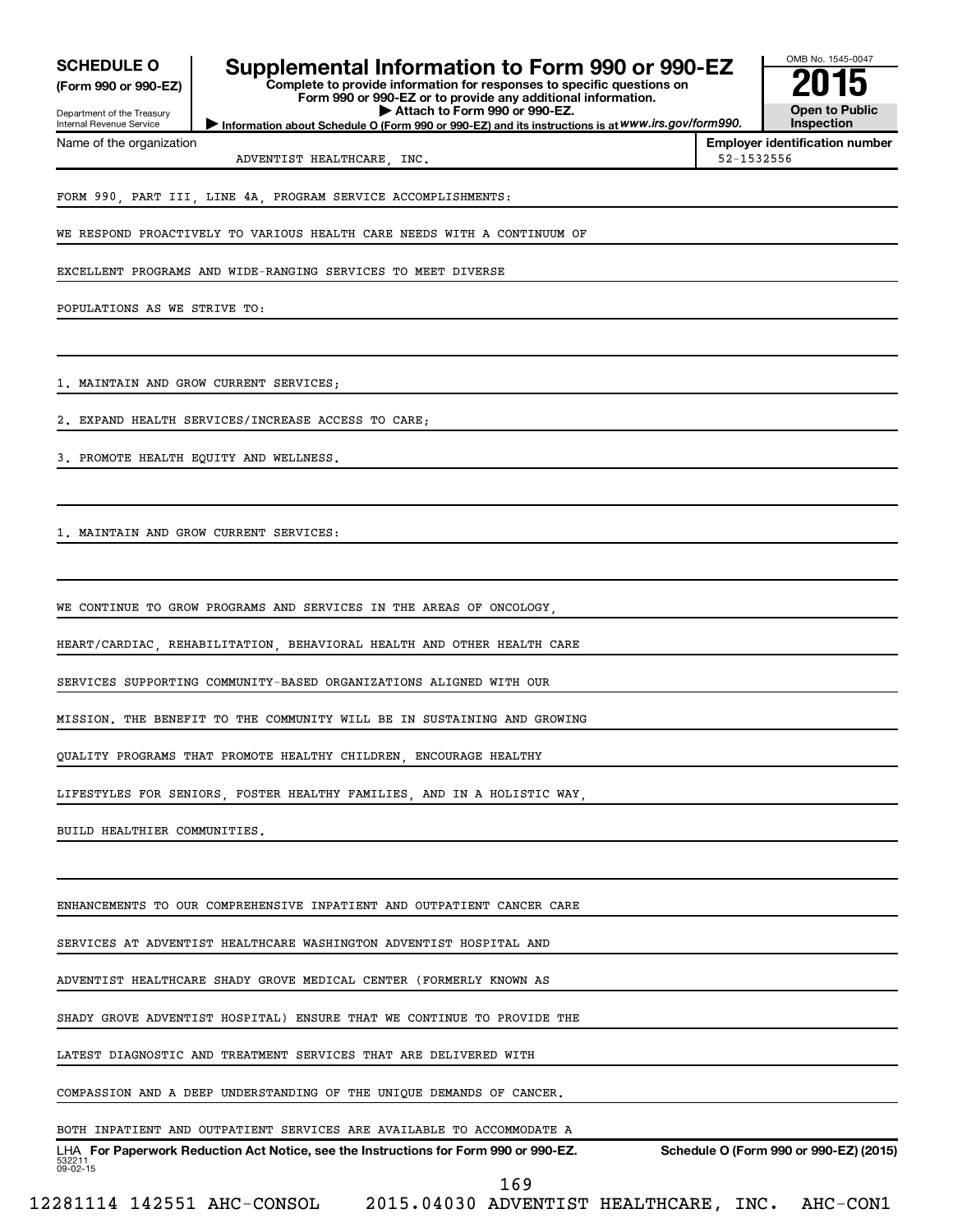| <b>SCHEDULE O</b><br>(Form 990 or 990-EZ)<br>Department of the Treasury | Supplemental Information to Form 990 or 990-EZ<br>Complete to provide information for responses to specific questions on<br>Form 990 or 990-EZ or to provide any additional information.<br>Attach to Form 990 or 990-EZ. |            | OMB No. 1545-0047<br><b>Open to Public</b>                 |
|-------------------------------------------------------------------------|---------------------------------------------------------------------------------------------------------------------------------------------------------------------------------------------------------------------------|------------|------------------------------------------------------------|
| Internal Revenue Service<br>Name of the organization                    | Information about Schedule O (Form 990 or 990-EZ) and its instructions is at WWW.irs.gov/form990.                                                                                                                         |            | <b>Inspection</b><br><b>Employer identification number</b> |
|                                                                         | ADVENTIST HEALTHCARE, INC.                                                                                                                                                                                                | 52-1532556 |                                                            |
|                                                                         | FORM 990, PART III, LINE 4A, PROGRAM SERVICE ACCOMPLISHMENTS:                                                                                                                                                             |            |                                                            |
|                                                                         | WE RESPOND PROACTIVELY TO VARIOUS HEALTH CARE NEEDS WITH A CONTINUUM OF                                                                                                                                                   |            |                                                            |
|                                                                         | EXCELLENT PROGRAMS AND WIDE-RANGING SERVICES TO MEET DIVERSE                                                                                                                                                              |            |                                                            |
| POPULATIONS AS WE STRIVE TO:                                            |                                                                                                                                                                                                                           |            |                                                            |
|                                                                         | 1. MAINTAIN AND GROW CURRENT SERVICES;                                                                                                                                                                                    |            |                                                            |
|                                                                         | 2. EXPAND HEALTH SERVICES/INCREASE ACCESS TO CARE;                                                                                                                                                                        |            |                                                            |
|                                                                         | 3. PROMOTE HEALTH EQUITY AND WELLNESS.                                                                                                                                                                                    |            |                                                            |
|                                                                         | 1. MAINTAIN AND GROW CURRENT SERVICES:                                                                                                                                                                                    |            |                                                            |
|                                                                         | WE CONTINUE TO GROW PROGRAMS AND SERVICES IN THE AREAS OF ONCOLOGY.                                                                                                                                                       |            |                                                            |
|                                                                         | HEART/CARDIAC, REHABILITATION, BEHAVIORAL HEALTH AND OTHER HEALTH CARE                                                                                                                                                    |            |                                                            |
|                                                                         | SERVICES SUPPORTING COMMUNITY-BASED ORGANIZATIONS ALIGNED WITH OUR                                                                                                                                                        |            |                                                            |
|                                                                         | MISSION. THE BENEFIT TO THE COMMUNITY WILL BE IN SUSTAINING AND GROWING                                                                                                                                                   |            |                                                            |
|                                                                         | QUALITY PROGRAMS THAT PROMOTE HEALTHY CHILDREN, ENCOURAGE HEALTHY                                                                                                                                                         |            |                                                            |
|                                                                         | LIFESTYLES FOR SENIORS, FOSTER HEALTHY FAMILIES, AND IN A HOLISTIC WAY,                                                                                                                                                   |            |                                                            |
| BUILD HEALTHIER COMMUNITIES.                                            |                                                                                                                                                                                                                           |            |                                                            |
|                                                                         | ENHANCEMENTS TO OUR COMPREHENSIVE INPATIENT AND OUTPATIENT CANCER CARE                                                                                                                                                    |            |                                                            |
|                                                                         | SERVICES AT ADVENTIST HEALTHCARE WASHINGTON ADVENTIST HOSPITAL AND                                                                                                                                                        |            |                                                            |
|                                                                         | ADVENTIST HEALTHCARE SHADY GROVE MEDICAL CENTER (FORMERLY KNOWN AS                                                                                                                                                        |            |                                                            |
|                                                                         | SHADY GROVE ADVENTIST HOSPITAL) ENSURE THAT WE CONTINUE TO PROVIDE THE                                                                                                                                                    |            |                                                            |
|                                                                         | LATEST DIAGNOSTIC AND TREATMENT SERVICES THAT ARE DELIVERED WITH                                                                                                                                                          |            |                                                            |
|                                                                         | COMPASSION AND A DEEP UNDERSTANDING OF THE UNIQUE DEMANDS OF CANCER.                                                                                                                                                      |            |                                                            |
|                                                                         | BOTH INPATIENT AND OUTPATIENT SERVICES ARE AVAILABLE TO ACCOMMODATE A                                                                                                                                                     |            |                                                            |
| 532211<br>09-02-15                                                      | LHA For Paperwork Reduction Act Notice, see the Instructions for Form 990 or 990-EZ.                                                                                                                                      |            | Schedule O (Form 990 or 990-EZ) (2015)                     |

169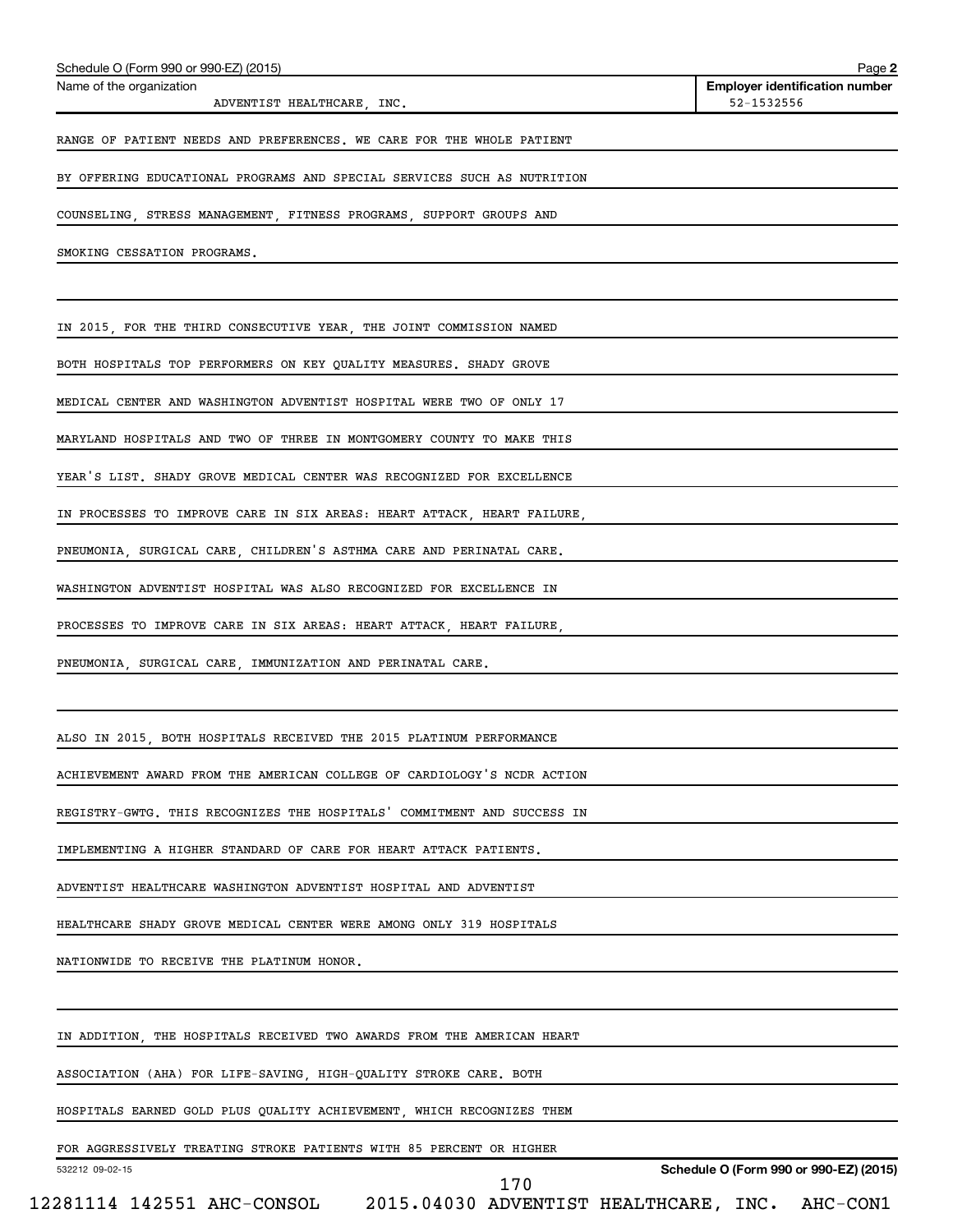| Schedule O (Form 990 or 990-EZ) (2015)                                  | Page 2                                              |
|-------------------------------------------------------------------------|-----------------------------------------------------|
| Name of the organization<br>ADVENTIST HEALTHCARE, INC.                  | <b>Employer identification number</b><br>52-1532556 |
| RANGE OF PATIENT NEEDS AND PREFERENCES. WE CARE FOR THE WHOLE PATIENT   |                                                     |
| BY OFFERING EDUCATIONAL PROGRAMS AND SPECIAL SERVICES SUCH AS NUTRITION |                                                     |
| COUNSELING, STRESS MANAGEMENT, FITNESS PROGRAMS, SUPPORT GROUPS AND     |                                                     |
| SMOKING CESSATION PROGRAMS.                                             |                                                     |
|                                                                         |                                                     |
| IN 2015, FOR THE THIRD CONSECUTIVE YEAR, THE JOINT COMMISSION NAMED     |                                                     |
| BOTH HOSPITALS TOP PERFORMERS ON KEY QUALITY MEASURES. SHADY GROVE      |                                                     |
| MEDICAL CENTER AND WASHINGTON ADVENTIST HOSPITAL WERE TWO OF ONLY 17    |                                                     |
| MARYLAND HOSPITALS AND TWO OF THREE IN MONTGOMERY COUNTY TO MAKE THIS   |                                                     |
| YEAR'S LIST. SHADY GROVE MEDICAL CENTER WAS RECOGNIZED FOR EXCELLENCE   |                                                     |
| IN PROCESSES TO IMPROVE CARE IN SIX AREAS: HEART ATTACK, HEART FAILURE, |                                                     |
| PNEUMONIA, SURGICAL CARE, CHILDREN'S ASTHMA CARE AND PERINATAL CARE.    |                                                     |
| WASHINGTON ADVENTIST HOSPITAL WAS ALSO RECOGNIZED FOR EXCELLENCE IN     |                                                     |
| PROCESSES TO IMPROVE CARE IN SIX AREAS: HEART ATTACK, HEART FAILURE,    |                                                     |
| PNEUMONIA, SURGICAL CARE, IMMUNIZATION AND PERINATAL CARE.              |                                                     |
| ALSO IN 2015, BOTH HOSPITALS RECEIVED THE 2015 PLATINUM PERFORMANCE     |                                                     |
| ACHIEVEMENT AWARD FROM THE AMERICAN COLLEGE OF CARDIOLOGY'S NCDR ACTION |                                                     |
| REGISTRY-GWTG. THIS RECOGNIZES THE HOSPITALS' COMMITMENT AND SUCCESS IN |                                                     |
| IMPLEMENTING A HIGHER STANDARD OF CARE FOR HEART ATTACK PATIENTS.       |                                                     |
| ADVENTIST HEALTHCARE WASHINGTON ADVENTIST HOSPITAL AND ADVENTIST        |                                                     |
| HEALTHCARE SHADY GROVE MEDICAL CENTER WERE AMONG ONLY 319 HOSPITALS     |                                                     |
| NATIONWIDE TO RECEIVE THE PLATINUM HONOR.                               |                                                     |
| IN ADDITION, THE HOSPITALS RECEIVED TWO AWARDS FROM THE AMERICAN HEART  |                                                     |
| ASSOCIATION (AHA) FOR LIFE-SAVING, HIGH-QUALITY STROKE CARE. BOTH       |                                                     |
| HOSPITALS EARNED GOLD PLUS QUALITY ACHIEVEMENT, WHICH RECOGNIZES THEM   |                                                     |
| FOR AGGRESSIVELY TREATING STROKE PATIENTS WITH 85 PERCENT OR HIGHER     |                                                     |
| 532212 09-02-15<br>170                                                  | Schedule O (Form 990 or 990-EZ) (2015)              |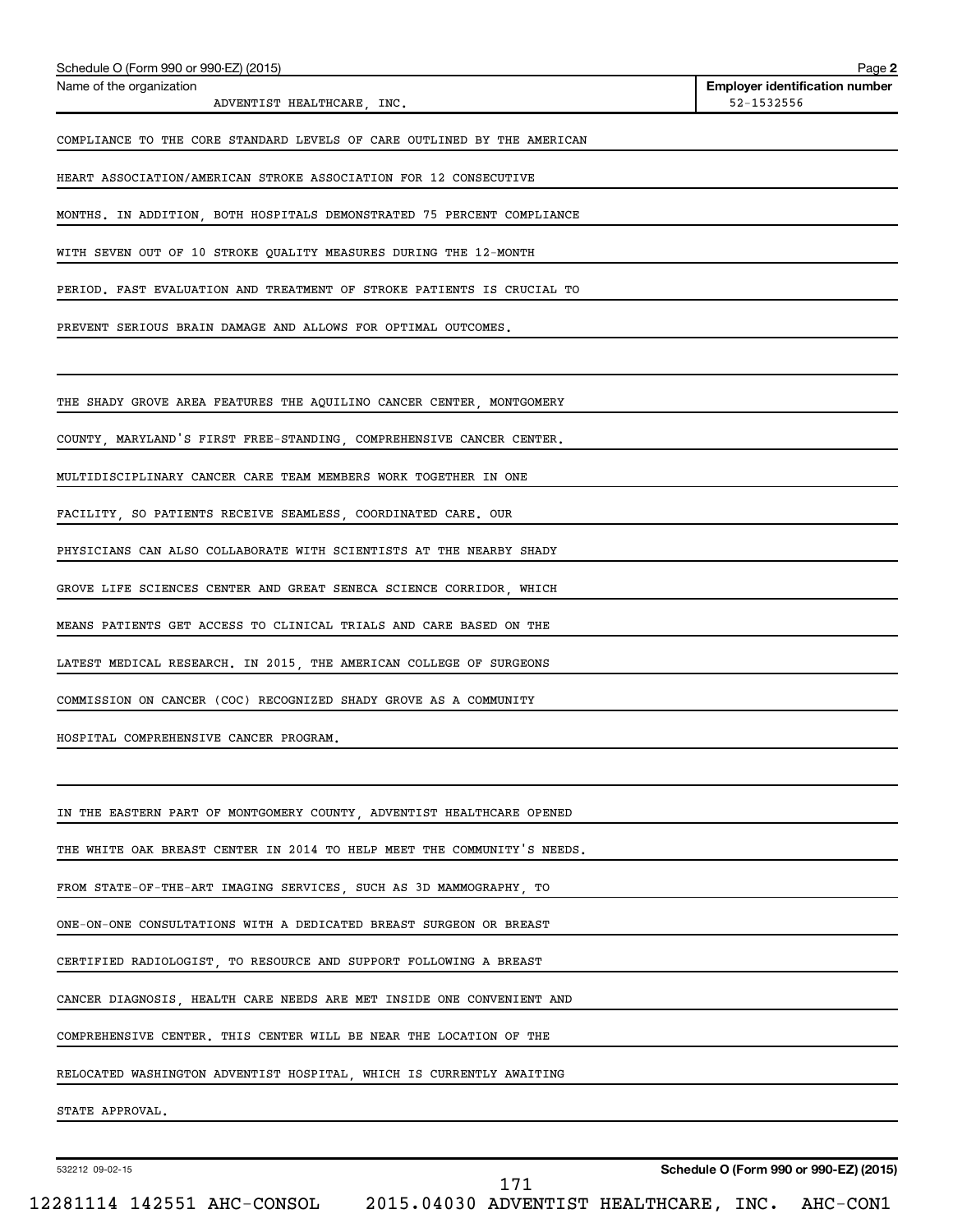| Schedule O (Form 990 or 990-EZ) (2015)                                  | Page 2                                              |
|-------------------------------------------------------------------------|-----------------------------------------------------|
| Name of the organization<br>ADVENTIST HEALTHCARE, INC.                  | <b>Employer identification number</b><br>52-1532556 |
| COMPLIANCE TO THE CORE STANDARD LEVELS OF CARE OUTLINED BY THE AMERICAN |                                                     |
| HEART ASSOCIATION/AMERICAN STROKE ASSOCIATION FOR 12 CONSECUTIVE        |                                                     |
| MONTHS. IN ADDITION, BOTH HOSPITALS DEMONSTRATED 75 PERCENT COMPLIANCE  |                                                     |
| WITH SEVEN OUT OF 10 STROKE QUALITY MEASURES DURING THE 12-MONTH        |                                                     |
| PERIOD. FAST EVALUATION AND TREATMENT OF STROKE PATIENTS IS CRUCIAL TO  |                                                     |
| PREVENT SERIOUS BRAIN DAMAGE AND ALLOWS FOR OPTIMAL OUTCOMES.           |                                                     |
| THE SHADY GROVE AREA FEATURES THE AQUILINO CANCER CENTER, MONTGOMERY    |                                                     |
| COUNTY, MARYLAND'S FIRST FREE-STANDING, COMPREHENSIVE CANCER CENTER.    |                                                     |
| MULTIDISCIPLINARY CANCER CARE TEAM MEMBERS WORK TOGETHER IN ONE         |                                                     |
| FACILITY, SO PATIENTS RECEIVE SEAMLESS, COORDINATED CARE. OUR           |                                                     |
| PHYSICIANS CAN ALSO COLLABORATE WITH SCIENTISTS AT THE NEARBY SHADY     |                                                     |
| GROVE LIFE SCIENCES CENTER AND GREAT SENECA SCIENCE CORRIDOR, WHICH     |                                                     |
| MEANS PATIENTS GET ACCESS TO CLINICAL TRIALS AND CARE BASED ON THE      |                                                     |
| LATEST MEDICAL RESEARCH. IN 2015, THE AMERICAN COLLEGE OF SURGEONS      |                                                     |
| COMMISSION ON CANCER (COC) RECOGNIZED SHADY GROVE AS A COMMUNITY        |                                                     |
| HOSPITAL COMPREHENSIVE CANCER PROGRAM.                                  |                                                     |
|                                                                         |                                                     |
| IN THE EASTERN PART OF MONTGOMERY COUNTY, ADVENTIST HEALTHCARE OPENED   |                                                     |
| THE WHITE OAK BREAST CENTER IN 2014 TO HELP MEET THE COMMUNITY'S NEEDS. |                                                     |
| FROM STATE-OF-THE-ART IMAGING SERVICES, SUCH AS 3D MAMMOGRAPHY, TO      |                                                     |
| ONE-ON-ONE CONSULTATIONS WITH A DEDICATED BREAST SURGEON OR BREAST      |                                                     |
| CERTIFIED RADIOLOGIST, TO RESOURCE AND SUPPORT FOLLOWING A BREAST       |                                                     |
| CANCER DIAGNOSIS, HEALTH CARE NEEDS ARE MET INSIDE ONE CONVENIENT AND   |                                                     |
| COMPREHENSIVE CENTER. THIS CENTER WILL BE NEAR THE LOCATION OF THE      |                                                     |
| RELOCATED WASHINGTON ADVENTIST HOSPITAL, WHICH IS CURRENTLY AWAITING    |                                                     |
| STATE APPROVAL.                                                         |                                                     |
|                                                                         |                                                     |

532212 09-02-15

**Schedule O (Form 990 or 990-EZ) (2015)**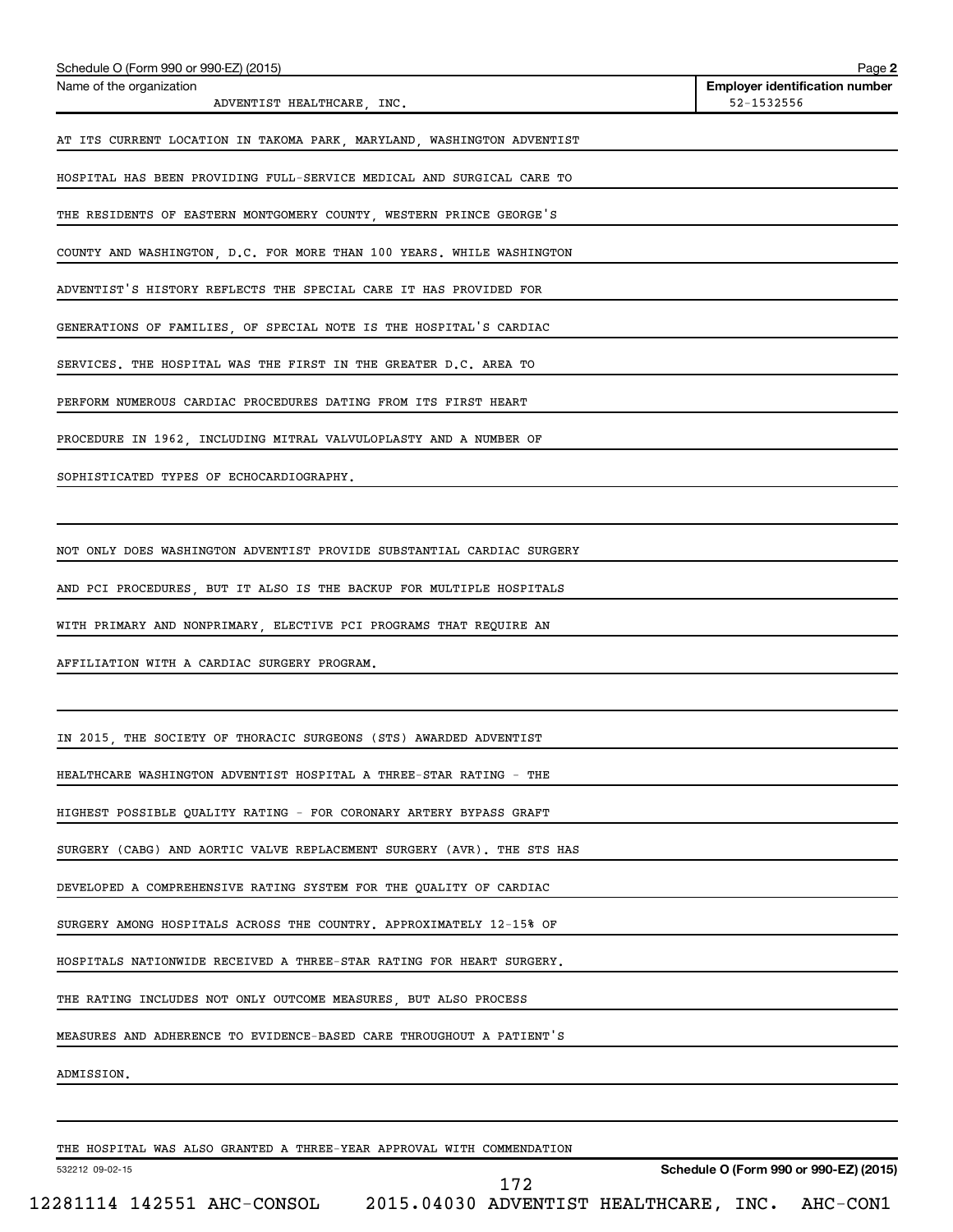| Schedule O (Form 990 or 990-EZ) (2015)                                 | Page 2                                              |
|------------------------------------------------------------------------|-----------------------------------------------------|
| Name of the organization<br>ADVENTIST HEALTHCARE, INC.                 | <b>Employer identification number</b><br>52-1532556 |
| AT ITS CURRENT LOCATION IN TAKOMA PARK, MARYLAND, WASHINGTON ADVENTIST |                                                     |
| HOSPITAL HAS BEEN PROVIDING FULL-SERVICE MEDICAL AND SURGICAL CARE TO  |                                                     |
| THE RESIDENTS OF EASTERN MONTGOMERY COUNTY, WESTERN PRINCE GEORGE'S    |                                                     |
| COUNTY AND WASHINGTON, D.C. FOR MORE THAN 100 YEARS. WHILE WASHINGTON  |                                                     |
|                                                                        |                                                     |
| ADVENTIST'S HISTORY REFLECTS THE SPECIAL CARE IT HAS PROVIDED FOR      |                                                     |
| GENERATIONS OF FAMILIES, OF SPECIAL NOTE IS THE HOSPITAL'S CARDIAC     |                                                     |
| SERVICES. THE HOSPITAL WAS THE FIRST IN THE GREATER D.C. AREA TO       |                                                     |
| PERFORM NUMEROUS CARDIAC PROCEDURES DATING FROM ITS FIRST HEART        |                                                     |
| PROCEDURE IN 1962, INCLUDING MITRAL VALVULOPLASTY AND A NUMBER OF      |                                                     |
| SOPHISTICATED TYPES OF ECHOCARDIOGRAPHY.                               |                                                     |
|                                                                        |                                                     |
| NOT ONLY DOES WASHINGTON ADVENTIST PROVIDE SUBSTANTIAL CARDIAC SURGERY |                                                     |
| AND PCI PROCEDURES, BUT IT ALSO IS THE BACKUP FOR MULTIPLE HOSPITALS   |                                                     |
| WITH PRIMARY AND NONPRIMARY, ELECTIVE PCI PROGRAMS THAT REQUIRE AN     |                                                     |
| AFFILIATION WITH A CARDIAC SURGERY PROGRAM.                            |                                                     |
|                                                                        |                                                     |
| IN 2015, THE SOCIETY OF THORACIC SURGEONS (STS) AWARDED ADVENTIST      |                                                     |
| HEALTHCARE WASHINGTON ADVENTIST HOSPITAL A THREE-STAR RATING - THE     |                                                     |
| HIGHEST POSSIBLE OUALITY RATING - FOR CORONARY ARTERY BYPASS GRAFT     |                                                     |
| SURGERY (CABG) AND AORTIC VALVE REPLACEMENT SURGERY (AVR). THE STS HAS |                                                     |
| DEVELOPED A COMPREHENSIVE RATING SYSTEM FOR THE QUALITY OF CARDIAC     |                                                     |
| SURGERY AMONG HOSPITALS ACROSS THE COUNTRY. APPROXIMATELY 12-15% OF    |                                                     |
|                                                                        |                                                     |
| HOSPITALS NATIONWIDE RECEIVED A THREE-STAR RATING FOR HEART SURGERY.   |                                                     |
| THE RATING INCLUDES NOT ONLY OUTCOME MEASURES, BUT ALSO PROCESS        |                                                     |
| MEASURES AND ADHERENCE TO EVIDENCE-BASED CARE THROUGHOUT A PATIENT'S   |                                                     |
| ADMISSION.                                                             |                                                     |
|                                                                        |                                                     |
| THE HOSPITAL WAS ALSO GRANTED A THREE-YEAR APPROVAL WITH COMMENDATION  |                                                     |

532212 09-02-15

**Schedule O (Form 990 or 990-EZ) (2015)**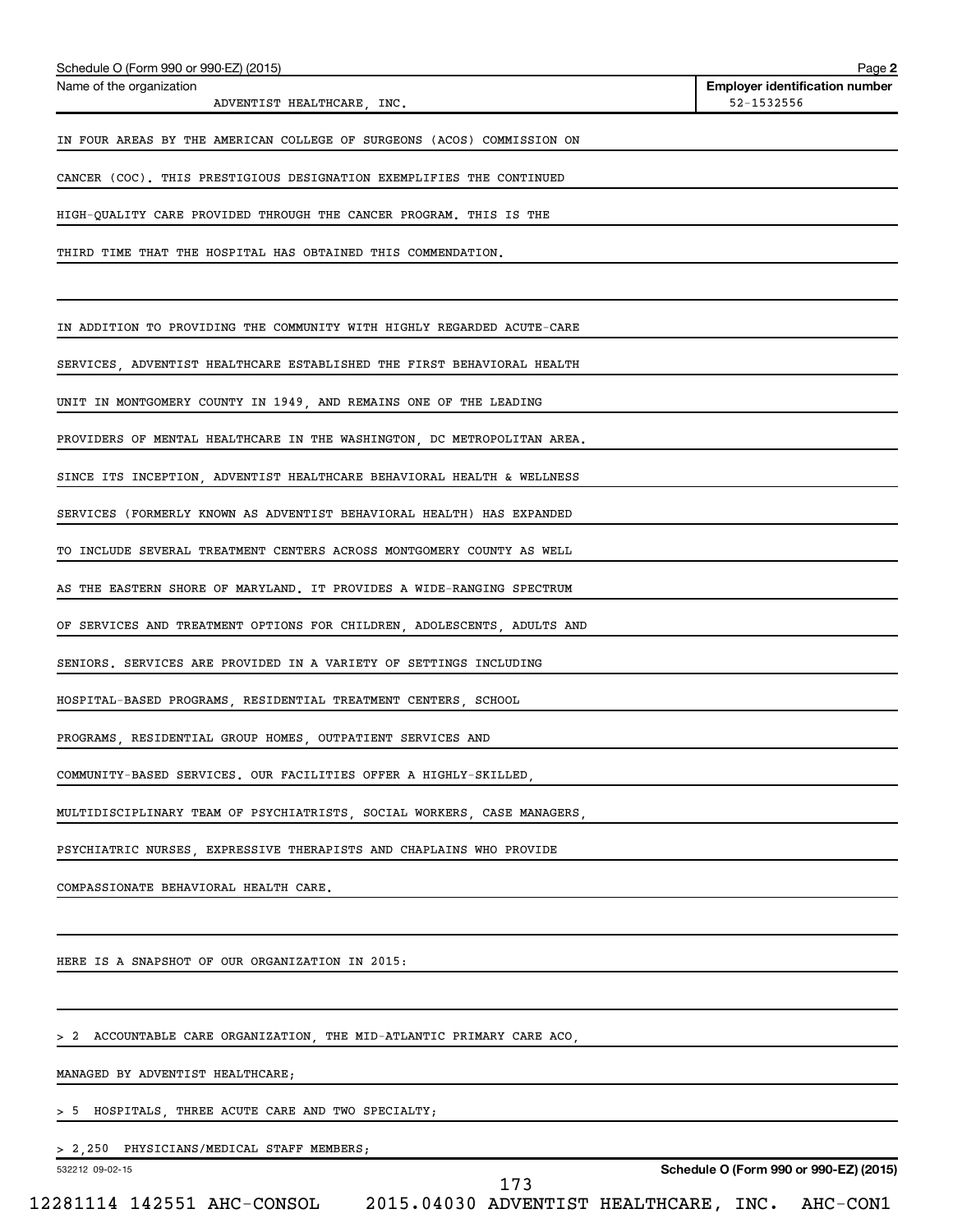| Schedule O (Form 990 or 990-EZ) (2015)                                                                         | Page 2                                              |
|----------------------------------------------------------------------------------------------------------------|-----------------------------------------------------|
| Name of the organization<br>ADVENTIST HEALTHCARE, INC.                                                         | <b>Employer identification number</b><br>52-1532556 |
| IN FOUR AREAS BY THE AMERICAN COLLEGE OF SURGEONS (ACOS) COMMISSION ON                                         |                                                     |
| CANCER (COC). THIS PRESTIGIOUS DESIGNATION EXEMPLIFIES THE CONTINUED                                           |                                                     |
| HIGH-QUALITY CARE PROVIDED THROUGH THE CANCER PROGRAM. THIS IS THE                                             |                                                     |
| THIRD TIME THAT THE HOSPITAL HAS OBTAINED THIS COMMENDATION.                                                   |                                                     |
|                                                                                                                |                                                     |
| IN ADDITION TO PROVIDING THE COMMUNITY WITH HIGHLY REGARDED ACUTE-CARE                                         |                                                     |
| SERVICES, ADVENTIST HEALTHCARE ESTABLISHED THE FIRST BEHAVIORAL HEALTH                                         |                                                     |
| UNIT IN MONTGOMERY COUNTY IN 1949, AND REMAINS ONE OF THE LEADING                                              |                                                     |
| PROVIDERS OF MENTAL HEALTHCARE IN THE WASHINGTON, DC METROPOLITAN AREA.                                        |                                                     |
| SINCE ITS INCEPTION, ADVENTIST HEALTHCARE BEHAVIORAL HEALTH & WELLNESS                                         |                                                     |
| SERVICES (FORMERLY KNOWN AS ADVENTIST BEHAVIORAL HEALTH) HAS EXPANDED                                          |                                                     |
| TO INCLUDE SEVERAL TREATMENT CENTERS ACROSS MONTGOMERY COUNTY AS WELL                                          |                                                     |
| AS THE EASTERN SHORE OF MARYLAND. IT PROVIDES A WIDE-RANGING SPECTRUM                                          |                                                     |
| OF SERVICES AND TREATMENT OPTIONS FOR CHILDREN, ADOLESCENTS, ADULTS AND                                        |                                                     |
| SENIORS. SERVICES ARE PROVIDED IN A VARIETY OF SETTINGS INCLUDING                                              |                                                     |
| HOSPITAL-BASED PROGRAMS, RESIDENTIAL TREATMENT CENTERS, SCHOOL                                                 |                                                     |
| PROGRAMS, RESIDENTIAL GROUP HOMES, OUTPATIENT SERVICES AND                                                     |                                                     |
| COMMUNITY-BASED SERVICES. OUR FACILITIES OFFER A HIGHLY-SKILLED.                                               |                                                     |
| MULTIDISCIPLINARY TEAM OF PSYCHIATRISTS, SOCIAL WORKERS, CASE MANAGERS, And Alexander and Alexander Multiple A |                                                     |
| PSYCHIATRIC NURSES, EXPRESSIVE THERAPISTS AND CHAPLAINS WHO PROVIDE                                            |                                                     |
| COMPASSIONATE BEHAVIORAL HEALTH CARE.                                                                          |                                                     |
|                                                                                                                |                                                     |
| HERE IS A SNAPSHOT OF OUR ORGANIZATION IN 2015:                                                                |                                                     |
|                                                                                                                |                                                     |
| > 2 ACCOUNTABLE CARE ORGANIZATION, THE MID-ATLANTIC PRIMARY CARE ACO,                                          |                                                     |
| MANAGED BY ADVENTIST HEALTHCARE;                                                                               |                                                     |
| > 5 HOSPITALS, THREE ACUTE CARE AND TWO SPECIALTY;                                                             |                                                     |
| > 2,250 PHYSICIANS/MEDICAL STAFF MEMBERS;                                                                      |                                                     |
| 532212 09-02-15<br>173                                                                                         | Schedule O (Form 990 or 990-EZ) (2015)              |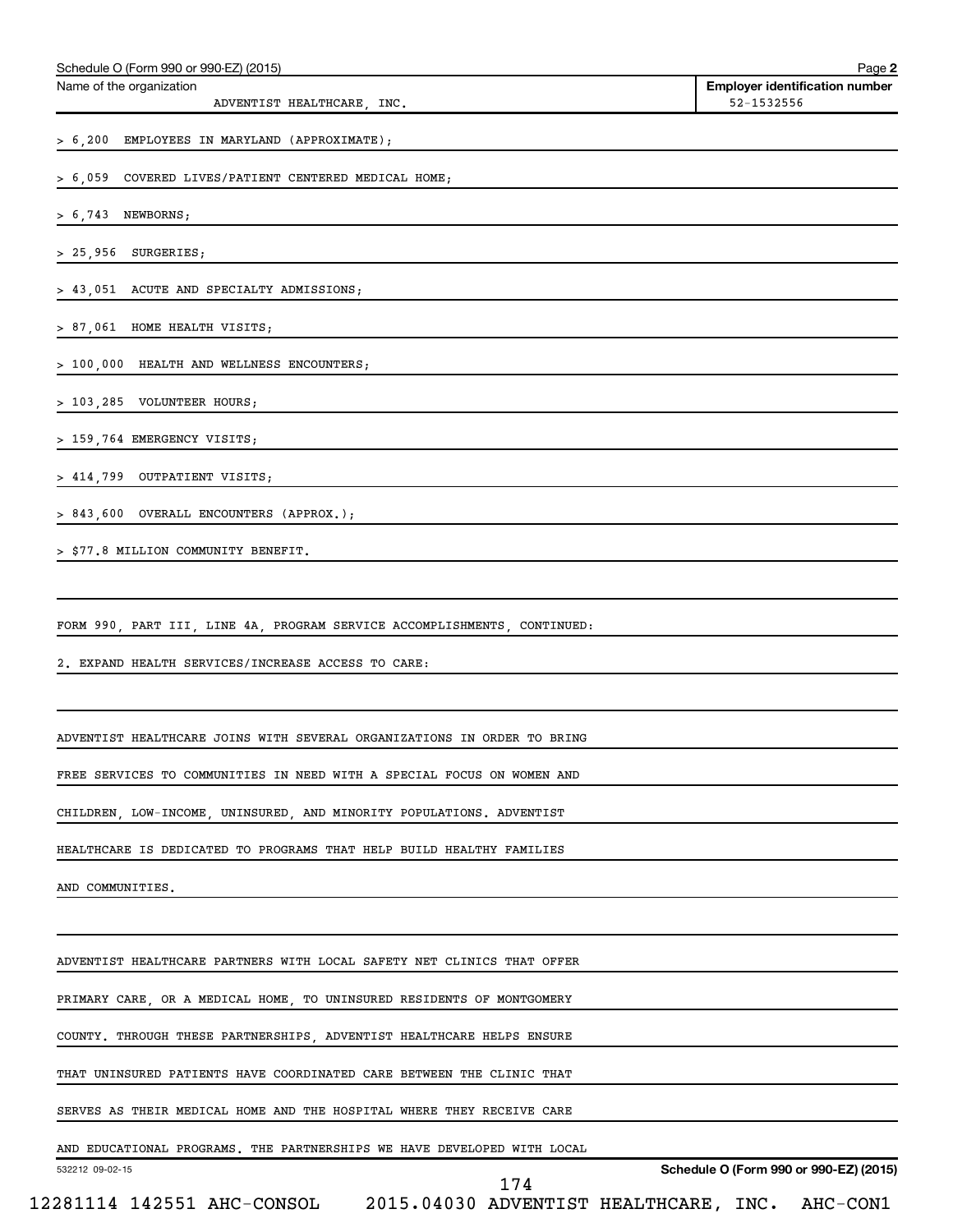| Schedule O (Form 990 or 990-EZ) (2015)                                    |     |            | Page 2                                 |
|---------------------------------------------------------------------------|-----|------------|----------------------------------------|
| Name of the organization<br>ADVENTIST HEALTHCARE, INC.                    |     | 52-1532556 | <b>Employer identification number</b>  |
| > 6,200 EMPLOYEES IN MARYLAND (APPROXIMATE);                              |     |            |                                        |
| > 6,059 COVERED LIVES/PATIENT CENTERED MEDICAL HOME;                      |     |            |                                        |
| $> 6,743$ NEWBORNS;                                                       |     |            |                                        |
| $> 25,956$ SURGERIES;                                                     |     |            |                                        |
| > 43,051 ACUTE AND SPECIALTY ADMISSIONS;                                  |     |            |                                        |
| > 87,061 HOME HEALTH VISITS;                                              |     |            |                                        |
| > 100,000 HEALTH AND WELLNESS ENCOUNTERS;                                 |     |            |                                        |
| > 103,285 VOLUNTEER HOURS;                                                |     |            |                                        |
| > 159,764 EMERGENCY VISITS;                                               |     |            |                                        |
| > 414,799 OUTPATIENT VISITS;                                              |     |            |                                        |
| > 843,600 OVERALL ENCOUNTERS (APPROX.);                                   |     |            |                                        |
| > \$77.8 MILLION COMMUNITY BENEFIT.                                       |     |            |                                        |
|                                                                           |     |            |                                        |
| FORM 990, PART III, LINE 4A, PROGRAM SERVICE ACCOMPLISHMENTS, CONTINUED:  |     |            |                                        |
| 2. EXPAND HEALTH SERVICES/INCREASE ACCESS TO CARE:                        |     |            |                                        |
|                                                                           |     |            |                                        |
| ADVENTIST HEALTHCARE JOINS WITH SEVERAL ORGANIZATIONS IN ORDER TO BRING   |     |            |                                        |
| FREE SERVICES TO COMMUNITIES IN NEED WITH A SPECIAL FOCUS ON WOMEN AND    |     |            |                                        |
| CHILDREN, LOW-INCOME, UNINSURED, AND MINORITY POPULATIONS. ADVENTIST      |     |            |                                        |
| HEALTHCARE IS DEDICATED TO PROGRAMS THAT HELP BUILD HEALTHY FAMILIES      |     |            |                                        |
| AND COMMUNITIES.                                                          |     |            |                                        |
|                                                                           |     |            |                                        |
| ADVENTIST HEALTHCARE PARTNERS WITH LOCAL SAFETY NET CLINICS THAT OFFER    |     |            |                                        |
| PRIMARY CARE, OR A MEDICAL HOME, TO UNINSURED RESIDENTS OF MONTGOMERY     |     |            |                                        |
| COUNTY. THROUGH THESE PARTNERSHIPS, ADVENTIST HEALTHCARE HELPS ENSURE     |     |            |                                        |
| THAT UNINSURED PATIENTS HAVE COORDINATED CARE BETWEEN THE CLINIC THAT     |     |            |                                        |
| SERVES AS THEIR MEDICAL HOME AND THE HOSPITAL WHERE THEY RECEIVE CARE     |     |            |                                        |
| AND EDUCATIONAL PROGRAMS. THE PARTNERSHIPS WE HAVE DEVELOPED WITH LOCAL   |     |            |                                        |
| 532212 09-02-15                                                           | 174 |            | Schedule O (Form 990 or 990-EZ) (2015) |
| 12281114 142551 AHC-CONSOL 2015.04030 ADVENTIST HEALTHCARE, INC. AHC-CON1 |     |            |                                        |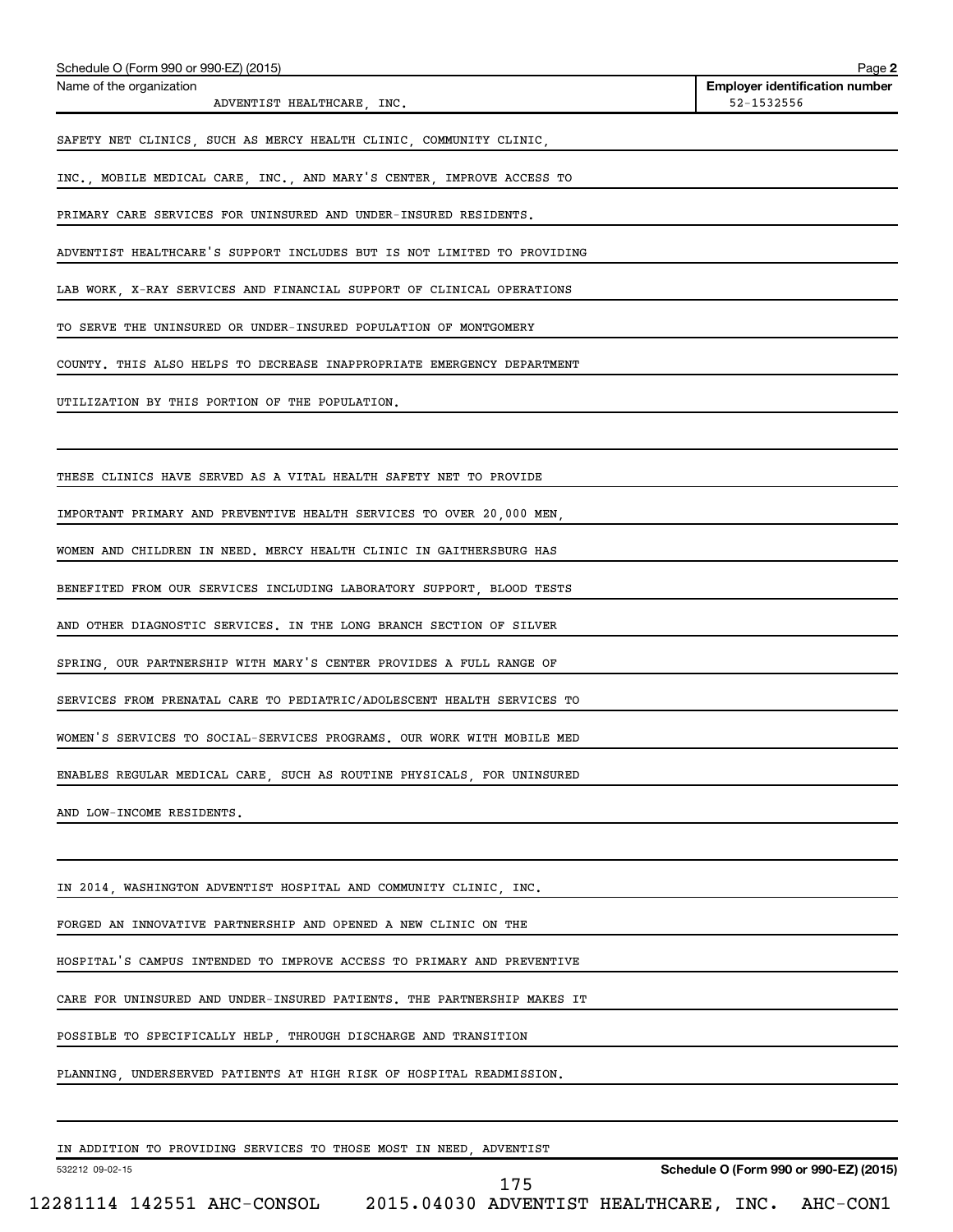| Schedule O (Form 990 or 990-EZ) (2015)                                  | Page 2                                              |
|-------------------------------------------------------------------------|-----------------------------------------------------|
| Name of the organization<br>ADVENTIST HEALTHCARE, INC.                  | <b>Employer identification number</b><br>52-1532556 |
| SAFETY NET CLINICS, SUCH AS MERCY HEALTH CLINIC, COMMUNITY CLINIC,      |                                                     |
| INC., MOBILE MEDICAL CARE, INC., AND MARY'S CENTER, IMPROVE ACCESS TO   |                                                     |
| PRIMARY CARE SERVICES FOR UNINSURED AND UNDER-INSURED RESIDENTS.        |                                                     |
| ADVENTIST HEALTHCARE'S SUPPORT INCLUDES BUT IS NOT LIMITED TO PROVIDING |                                                     |
| LAB WORK, X-RAY SERVICES AND FINANCIAL SUPPORT OF CLINICAL OPERATIONS   |                                                     |
| TO SERVE THE UNINSURED OR UNDER-INSURED POPULATION OF MONTGOMERY        |                                                     |
| COUNTY. THIS ALSO HELPS TO DECREASE INAPPROPRIATE EMERGENCY DEPARTMENT  |                                                     |
| UTILIZATION BY THIS PORTION OF THE POPULATION.                          |                                                     |
|                                                                         |                                                     |
| THESE CLINICS HAVE SERVED AS A VITAL HEALTH SAFETY NET TO PROVIDE       |                                                     |
| IMPORTANT PRIMARY AND PREVENTIVE HEALTH SERVICES TO OVER 20,000 MEN,    |                                                     |
| WOMEN AND CHILDREN IN NEED. MERCY HEALTH CLINIC IN GAITHERSBURG HAS     |                                                     |
| BENEFITED FROM OUR SERVICES INCLUDING LABORATORY SUPPORT, BLOOD TESTS   |                                                     |
| AND OTHER DIAGNOSTIC SERVICES. IN THE LONG BRANCH SECTION OF SILVER     |                                                     |
| SPRING, OUR PARTNERSHIP WITH MARY'S CENTER PROVIDES A FULL RANGE OF     |                                                     |
| SERVICES FROM PRENATAL CARE TO PEDIATRIC/ADOLESCENT HEALTH SERVICES TO  |                                                     |
| WOMEN'S SERVICES TO SOCIAL-SERVICES PROGRAMS. OUR WORK WITH MOBILE MED  |                                                     |
| ENABLES REGULAR MEDICAL CARE, SUCH AS ROUTINE PHYSICALS, FOR UNINSURED  |                                                     |
| AND LOW-INCOME RESIDENTS.                                               |                                                     |
|                                                                         |                                                     |
| IN 2014, WASHINGTON ADVENTIST HOSPITAL AND COMMUNITY CLINIC, INC.       |                                                     |
| FORGED AN INNOVATIVE PARTNERSHIP AND OPENED A NEW CLINIC ON THE         |                                                     |
| HOSPITAL'S CAMPUS INTENDED TO IMPROVE ACCESS TO PRIMARY AND PREVENTIVE  |                                                     |
| CARE FOR UNINSURED AND UNDER-INSURED PATIENTS. THE PARTNERSHIP MAKES IT |                                                     |
| POSSIBLE TO SPECIFICALLY HELP, THROUGH DISCHARGE AND TRANSITION         |                                                     |
| PLANNING, UNDERSERVED PATIENTS AT HIGH RISK OF HOSPITAL READMISSION.    |                                                     |
|                                                                         |                                                     |
| IN ADDITION TO PROVIDING SERVICES TO THOSE MOST IN NEED, ADVENTIST      |                                                     |

532212 09-02-15

**Schedule O (Form 990 or 990-EZ) (2015)**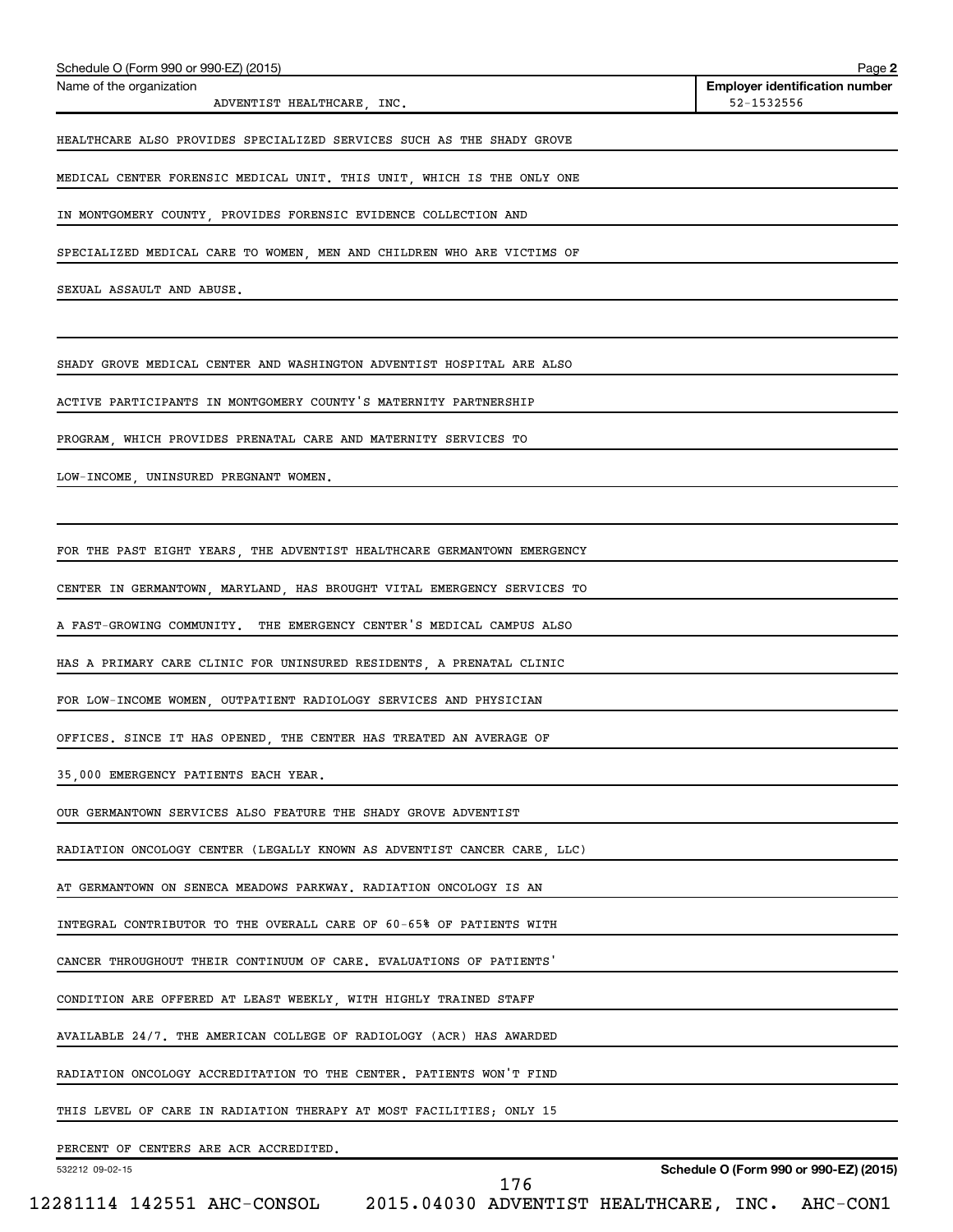| Schedule O (Form 990 or 990-EZ) (2015)                                  |                                       |            | Page 2                                 |
|-------------------------------------------------------------------------|---------------------------------------|------------|----------------------------------------|
| Name of the organization<br>ADVENTIST HEALTHCARE, INC.                  |                                       | 52-1532556 | <b>Employer identification number</b>  |
| HEALTHCARE ALSO PROVIDES SPECIALIZED SERVICES SUCH AS THE SHADY GROVE   |                                       |            |                                        |
| MEDICAL CENTER FORENSIC MEDICAL UNIT. THIS UNIT, WHICH IS THE ONLY ONE  |                                       |            |                                        |
| IN MONTGOMERY COUNTY, PROVIDES FORENSIC EVIDENCE COLLECTION AND         |                                       |            |                                        |
| SPECIALIZED MEDICAL CARE TO WOMEN, MEN AND CHILDREN WHO ARE VICTIMS OF  |                                       |            |                                        |
| SEXUAL ASSAULT AND ABUSE.                                               |                                       |            |                                        |
| SHADY GROVE MEDICAL CENTER AND WASHINGTON ADVENTIST HOSPITAL ARE ALSO   |                                       |            |                                        |
| ACTIVE PARTICIPANTS IN MONTGOMERY COUNTY'S MATERNITY PARTNERSHIP        |                                       |            |                                        |
| PROGRAM, WHICH PROVIDES PRENATAL CARE AND MATERNITY SERVICES TO         |                                       |            |                                        |
| LOW-INCOME, UNINSURED PREGNANT WOMEN.                                   |                                       |            |                                        |
| FOR THE PAST EIGHT YEARS, THE ADVENTIST HEALTHCARE GERMANTOWN EMERGENCY |                                       |            |                                        |
| CENTER IN GERMANTOWN, MARYLAND, HAS BROUGHT VITAL EMERGENCY SERVICES TO |                                       |            |                                        |
| A FAST-GROWING COMMUNITY. THE EMERGENCY CENTER'S MEDICAL CAMPUS ALSO    |                                       |            |                                        |
| HAS A PRIMARY CARE CLINIC FOR UNINSURED RESIDENTS, A PRENATAL CLINIC    |                                       |            |                                        |
| FOR LOW-INCOME WOMEN, OUTPATIENT RADIOLOGY SERVICES AND PHYSICIAN       |                                       |            |                                        |
| OFFICES. SINCE IT HAS OPENED, THE CENTER HAS TREATED AN AVERAGE OF      |                                       |            |                                        |
| 35,000 EMERGENCY PATIENTS EACH YEAR.                                    |                                       |            |                                        |
| OUR GERMANTOWN SERVICES ALSO FEATURE THE SHADY GROVE ADVENTIST          |                                       |            |                                        |
| RADIATION ONCOLOGY CENTER (LEGALLY KNOWN AS ADVENTIST CANCER CARE, LLC) |                                       |            |                                        |
| AT GERMANTOWN ON SENECA MEADOWS PARKWAY. RADIATION ONCOLOGY IS AN       |                                       |            |                                        |
| INTEGRAL CONTRIBUTOR TO THE OVERALL CARE OF 60-65% OF PATIENTS WITH     |                                       |            |                                        |
| CANCER THROUGHOUT THEIR CONTINUUM OF CARE. EVALUATIONS OF PATIENTS      |                                       |            |                                        |
| CONDITION ARE OFFERED AT LEAST WEEKLY, WITH HIGHLY TRAINED STAFF        |                                       |            |                                        |
| AVAILABLE 24/7. THE AMERICAN COLLEGE OF RADIOLOGY (ACR) HAS AWARDED     |                                       |            |                                        |
| RADIATION ONCOLOGY ACCREDITATION TO THE CENTER. PATIENTS WON'T FIND     |                                       |            |                                        |
| THIS LEVEL OF CARE IN RADIATION THERAPY AT MOST FACILITIES; ONLY 15     |                                       |            |                                        |
| PERCENT OF CENTERS ARE ACR ACCREDITED.                                  |                                       |            |                                        |
| 532212 09-02-15                                                         | 176                                   |            | Schedule O (Form 990 or 990-EZ) (2015) |
| 12281114 142551 AHC-CONSOL                                              | 2015.04030 ADVENTIST HEALTHCARE, INC. |            | AHC-CON1                               |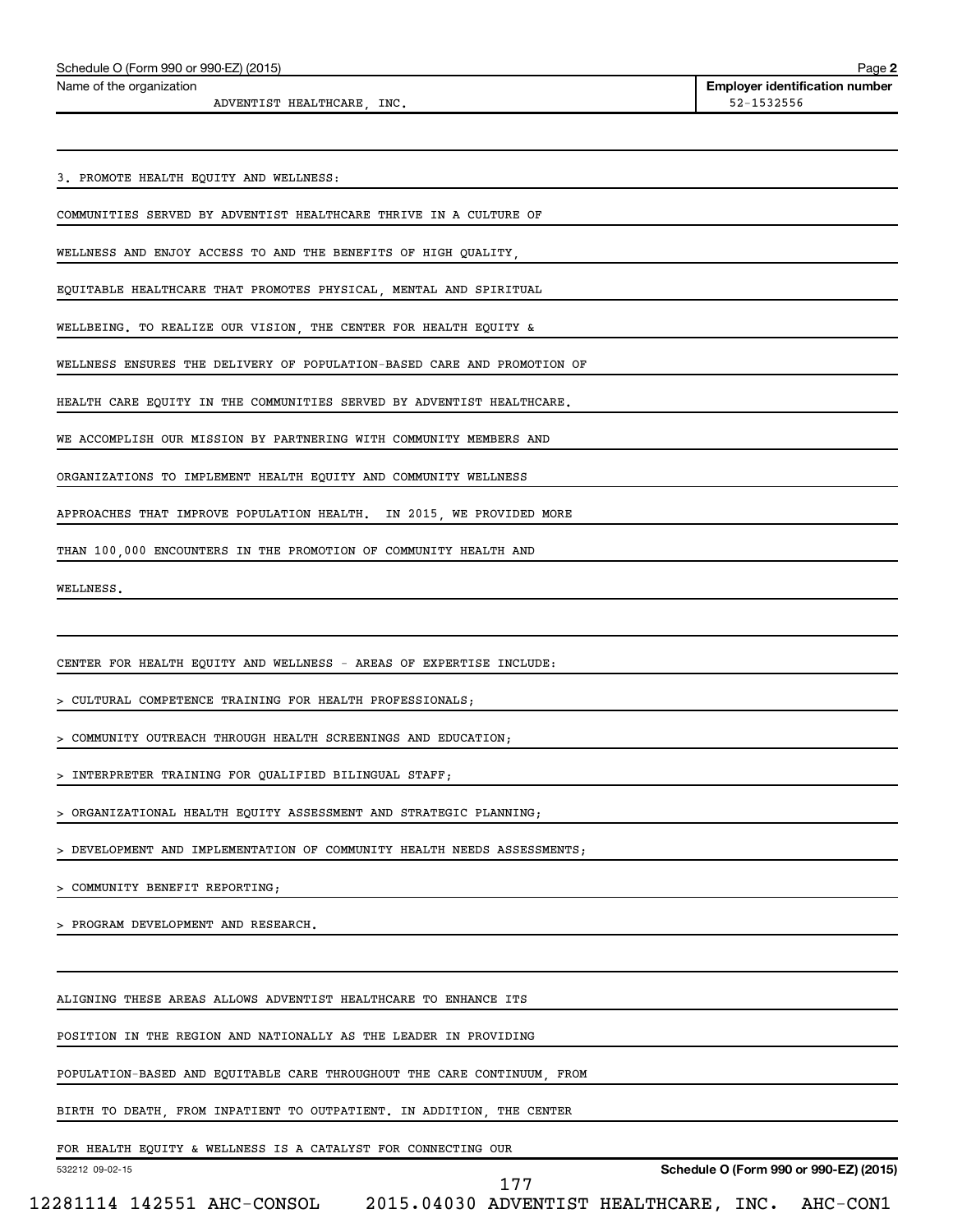Name of the organization

ADVENTIST HEALTHCARE, INC.  $52-1532556$ 

**2 Employer identification number**

3. PROMOTE HEALTH EQUITY AND WELLNESS:

COMMUNITIES SERVED BY ADVENTIST HEALTHCARE THRIVE IN A CULTURE OF

WELLNESS AND ENJOY ACCESS TO AND THE BENEFITS OF HIGH QUALITY,

EQUITABLE HEALTHCARE THAT PROMOTES PHYSICAL, MENTAL AND SPIRITUAL

WELLBEING. TO REALIZE OUR VISION, THE CENTER FOR HEALTH EQUITY &

WELLNESS ENSURES THE DELIVERY OF POPULATION-BASED CARE AND PROMOTION OF

HEALTH CARE EQUITY IN THE COMMUNITIES SERVED BY ADVENTIST HEALTHCARE.

WE ACCOMPLISH OUR MISSION BY PARTNERING WITH COMMUNITY MEMBERS AND

ORGANIZATIONS TO IMPLEMENT HEALTH EQUITY AND COMMUNITY WELLNESS

APPROACHES THAT IMPROVE POPULATION HEALTH. IN 2015, WE PROVIDED MORE

THAN 100,000 ENCOUNTERS IN THE PROMOTION OF COMMUNITY HEALTH AND

WELLNESS.

CENTER FOR HEALTH EQUITY AND WELLNESS - AREAS OF EXPERTISE INCLUDE:

> CULTURAL COMPETENCE TRAINING FOR HEALTH PROFESSIONALS;

COMMUNITY OUTREACH THROUGH HEALTH SCREENINGS AND EDUCATION;

> INTERPRETER TRAINING FOR QUALIFIED BILINGUAL STAFF;

> ORGANIZATIONAL HEALTH EQUITY ASSESSMENT AND STRATEGIC PLANNING;

> DEVELOPMENT AND IMPLEMENTATION OF COMMUNITY HEALTH NEEDS ASSESSMENTS;

> COMMUNITY BENEFIT REPORTING;

PROGRAM DEVELOPMENT AND RESEARCH.

ALIGNING THESE AREAS ALLOWS ADVENTIST HEALTHCARE TO ENHANCE ITS

POSITION IN THE REGION AND NATIONALLY AS THE LEADER IN PROVIDING

POPULATION-BASED AND EQUITABLE CARE THROUGHOUT THE CARE CONTINUUM, FROM

BIRTH TO DEATH, FROM INPATIENT TO OUTPATIENT. IN ADDITION, THE CENTER

FOR HEALTH EQUITY & WELLNESS IS A CATALYST FOR CONNECTING OUR

532212 09-02-15

**Schedule O (Form 990 or 990-EZ) (2015)**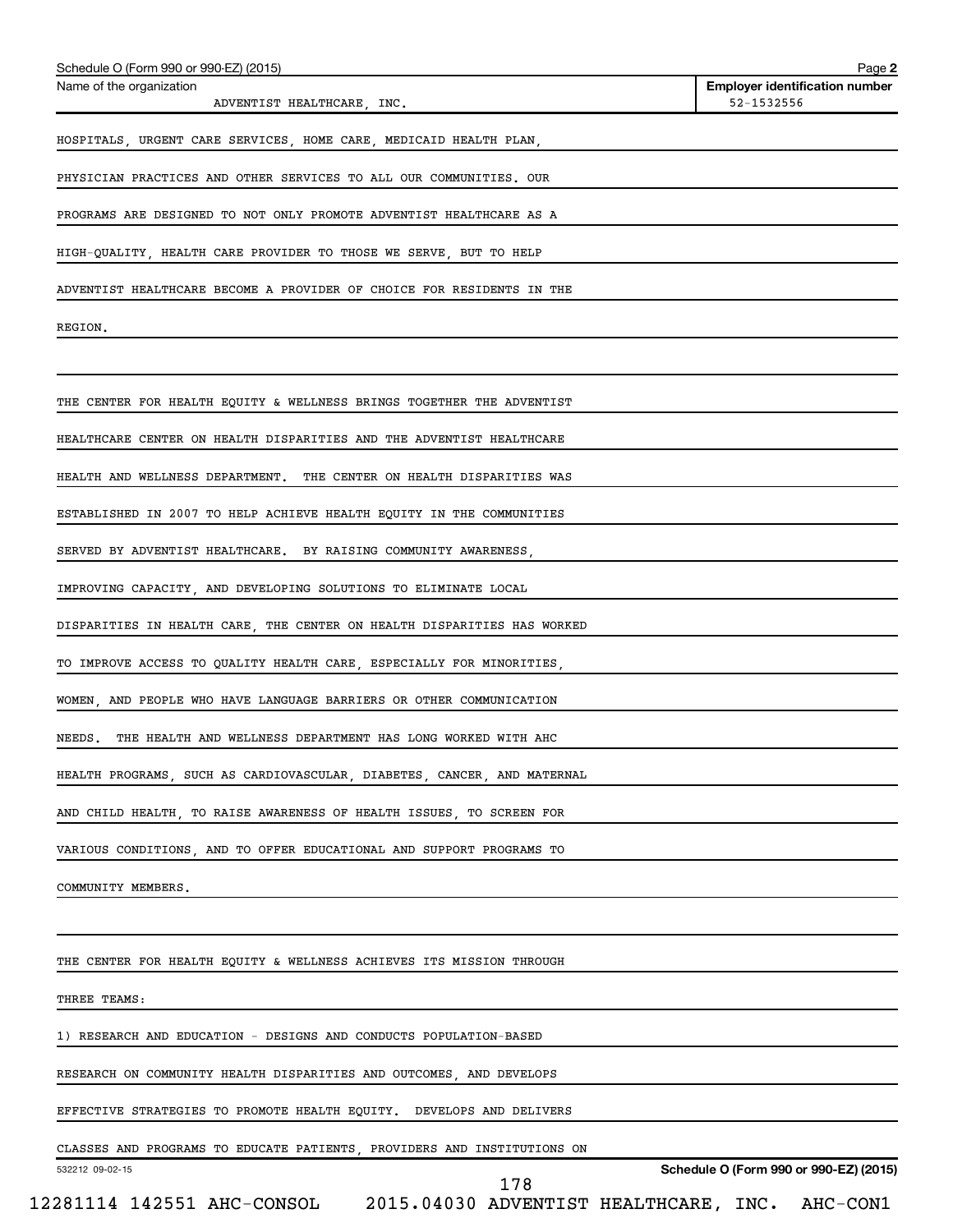| Schedule O (Form 990 or 990-EZ) (2015)                                                            | Page 2                                              |
|---------------------------------------------------------------------------------------------------|-----------------------------------------------------|
| Name of the organization<br>ADVENTIST HEALTHCARE, INC.                                            | <b>Employer identification number</b><br>52-1532556 |
| HOSPITALS, URGENT CARE SERVICES, HOME CARE, MEDICAID HEALTH PLAN,                                 |                                                     |
| PHYSICIAN PRACTICES AND OTHER SERVICES TO ALL OUR COMMUNITIES. OUR                                |                                                     |
| PROGRAMS ARE DESIGNED TO NOT ONLY PROMOTE ADVENTIST HEALTHCARE AS A                               |                                                     |
| HIGH-QUALITY, HEALTH CARE PROVIDER TO THOSE WE SERVE, BUT TO HELP                                 |                                                     |
| ADVENTIST HEALTHCARE BECOME A PROVIDER OF CHOICE FOR RESIDENTS IN THE                             |                                                     |
| REGION.                                                                                           |                                                     |
|                                                                                                   |                                                     |
| THE CENTER FOR HEALTH EQUITY & WELLNESS BRINGS TOGETHER THE ADVENTIST                             |                                                     |
| HEALTHCARE CENTER ON HEALTH DISPARITIES AND THE ADVENTIST HEALTHCARE                              |                                                     |
| HEALTH AND WELLNESS DEPARTMENT. THE CENTER ON HEALTH DISPARITIES WAS                              |                                                     |
| ESTABLISHED IN 2007 TO HELP ACHIEVE HEALTH EQUITY IN THE COMMUNITIES                              |                                                     |
| SERVED BY ADVENTIST HEALTHCARE. BY RAISING COMMUNITY AWARENESS,                                   |                                                     |
| IMPROVING CAPACITY, AND DEVELOPING SOLUTIONS TO ELIMINATE LOCAL                                   |                                                     |
| DISPARITIES IN HEALTH CARE, THE CENTER ON HEALTH DISPARITIES HAS WORKED                           |                                                     |
| TO IMPROVE ACCESS TO QUALITY HEALTH CARE, ESPECIALLY FOR MINORITIES,                              |                                                     |
| WOMEN, AND PEOPLE WHO HAVE LANGUAGE BARRIERS OR OTHER COMMUNICATION                               |                                                     |
| THE HEALTH AND WELLNESS DEPARTMENT HAS LONG WORKED WITH AHC<br>NEEDS.                             |                                                     |
| HEALTH PROGRAMS, SUCH AS CARDIOVASCULAR, DIABETES, CANCER, AND MATERNAL                           |                                                     |
| AND CHILD HEALTH, TO RAISE AWARENESS OF HEALTH ISSUES, TO SCREEN FOR                              |                                                     |
| VARIOUS CONDITIONS, AND TO OFFER EDUCATIONAL AND SUPPORT PROGRAMS TO                              |                                                     |
| COMMUNITY MEMBERS.                                                                                |                                                     |
|                                                                                                   |                                                     |
| THE CENTER FOR HEALTH EQUITY & WELLNESS ACHIEVES ITS MISSION THROUGH                              |                                                     |
| THREE TEAMS:                                                                                      |                                                     |
| 1) RESEARCH AND EDUCATION - DESIGNS AND CONDUCTS POPULATION-BASED                                 |                                                     |
| RESEARCH ON COMMUNITY HEALTH DISPARITIES AND OUTCOMES, AND DEVELOPS                               |                                                     |
| EFFECTIVE STRATEGIES TO PROMOTE HEALTH EQUITY. DEVELOPS AND DELIVERS                              |                                                     |
| CLASSES AND PROGRAMS TO EDUCATE PATIENTS, PROVIDERS AND INSTITUTIONS ON                           |                                                     |
| 532212 09-02-15<br>178<br>281114 142551 AHC-CONSOL 2015.04030 ADVENTIST HEALTHCARE, INC. AHC-CON1 | Schedule O (Form 990 or 990-EZ) (2015)              |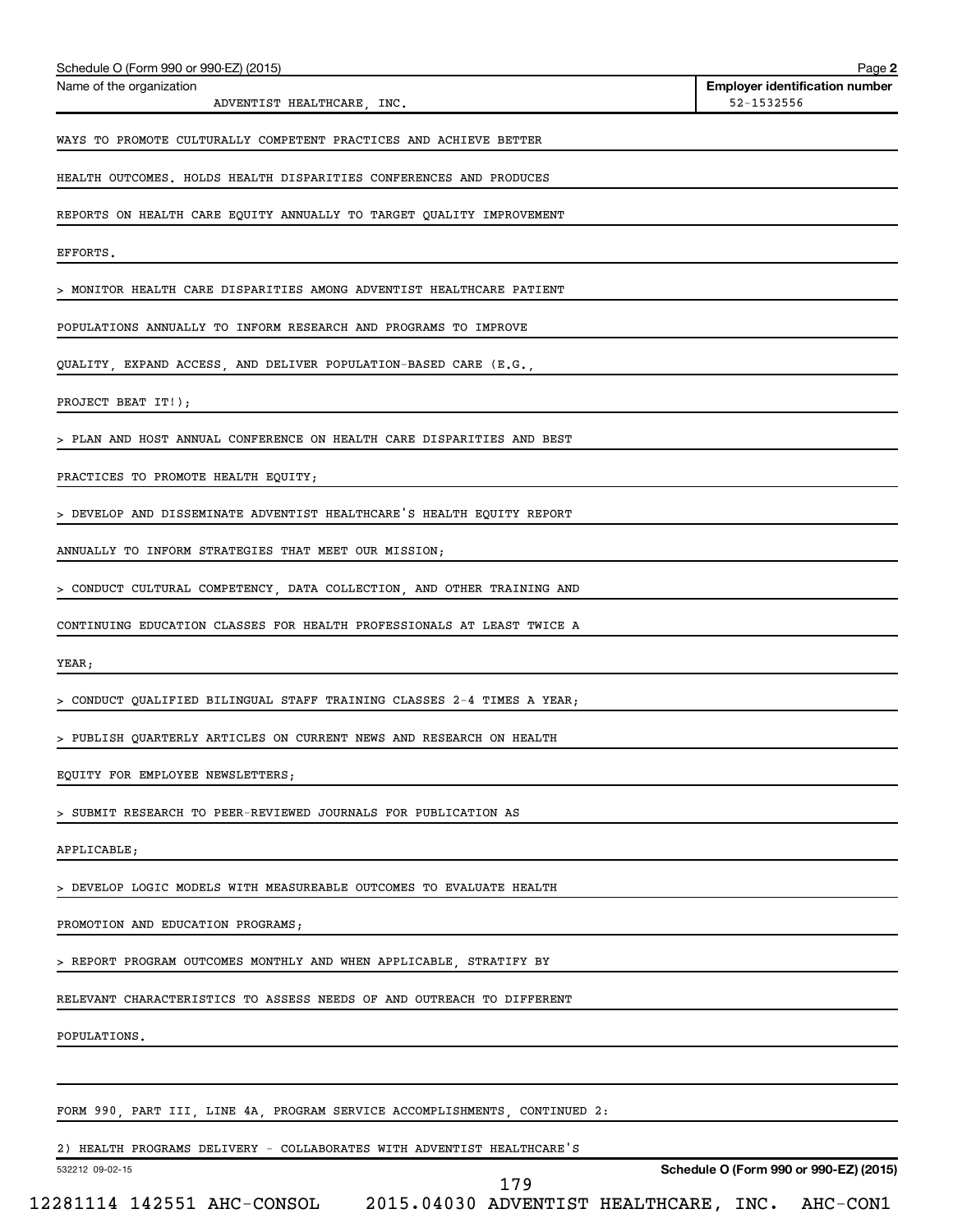| Schedule O (Form 990 or 990-EZ) (2015)                                     | Page 2                                              |
|----------------------------------------------------------------------------|-----------------------------------------------------|
| Name of the organization<br>ADVENTIST HEALTHCARE, INC.                     | <b>Employer identification number</b><br>52-1532556 |
| WAYS TO PROMOTE CULTURALLY COMPETENT PRACTICES AND ACHIEVE BETTER          |                                                     |
| HEALTH OUTCOMES. HOLDS HEALTH DISPARITIES CONFERENCES AND PRODUCES         |                                                     |
| REPORTS ON HEALTH CARE EQUITY ANNUALLY TO TARGET QUALITY IMPROVEMENT       |                                                     |
| EFFORTS.                                                                   |                                                     |
| > MONITOR HEALTH CARE DISPARITIES AMONG ADVENTIST HEALTHCARE PATIENT       |                                                     |
| POPULATIONS ANNUALLY TO INFORM RESEARCH AND PROGRAMS TO IMPROVE            |                                                     |
| QUALITY, EXPAND ACCESS, AND DELIVER POPULATION-BASED CARE (E.G.,           |                                                     |
| PROJECT BEAT IT!);                                                         |                                                     |
| > PLAN AND HOST ANNUAL CONFERENCE ON HEALTH CARE DISPARITIES AND BEST      |                                                     |
| PRACTICES TO PROMOTE HEALTH EQUITY;                                        |                                                     |
| > DEVELOP AND DISSEMINATE ADVENTIST HEALTHCARE'S HEALTH EQUITY REPORT      |                                                     |
| ANNUALLY TO INFORM STRATEGIES THAT MEET OUR MISSION;                       |                                                     |
| > CONDUCT CULTURAL COMPETENCY, DATA COLLECTION, AND OTHER TRAINING AND     |                                                     |
| CONTINUING EDUCATION CLASSES FOR HEALTH PROFESSIONALS AT LEAST TWICE A     |                                                     |
| YEAR;                                                                      |                                                     |
| > CONDUCT QUALIFIED BILINGUAL STAFF TRAINING CLASSES 2-4 TIMES A YEAR;     |                                                     |
| > PUBLISH QUARTERLY ARTICLES ON CURRENT NEWS AND RESEARCH ON HEALTH        |                                                     |
| EQUITY FOR EMPLOYEE NEWSLETTERS;                                           |                                                     |
| > SUBMIT RESEARCH TO PEER-REVIEWED JOURNALS FOR PUBLICATION AS             |                                                     |
| APPLICABLE;                                                                |                                                     |
| > DEVELOP LOGIC MODELS WITH MEASUREABLE OUTCOMES TO EVALUATE HEALTH        |                                                     |
| PROMOTION AND EDUCATION PROGRAMS;                                          |                                                     |
| > REPORT PROGRAM OUTCOMES MONTHLY AND WHEN APPLICABLE, STRATIFY BY         |                                                     |
| RELEVANT CHARACTERISTICS TO ASSESS NEEDS OF AND OUTREACH TO DIFFERENT      |                                                     |
| POPULATIONS.                                                               |                                                     |
| FORM 990, PART III, LINE 4A, PROGRAM SERVICE ACCOMPLISHMENTS, CONTINUED 2: |                                                     |
| 2) HEALTH PROGRAMS DELIVERY - COLLABORATES WITH ADVENTIST HEALTHCARE'S     |                                                     |
| 532212 09-02-15<br>179                                                     | Schedule O (Form 990 or 990-EZ) (2015)              |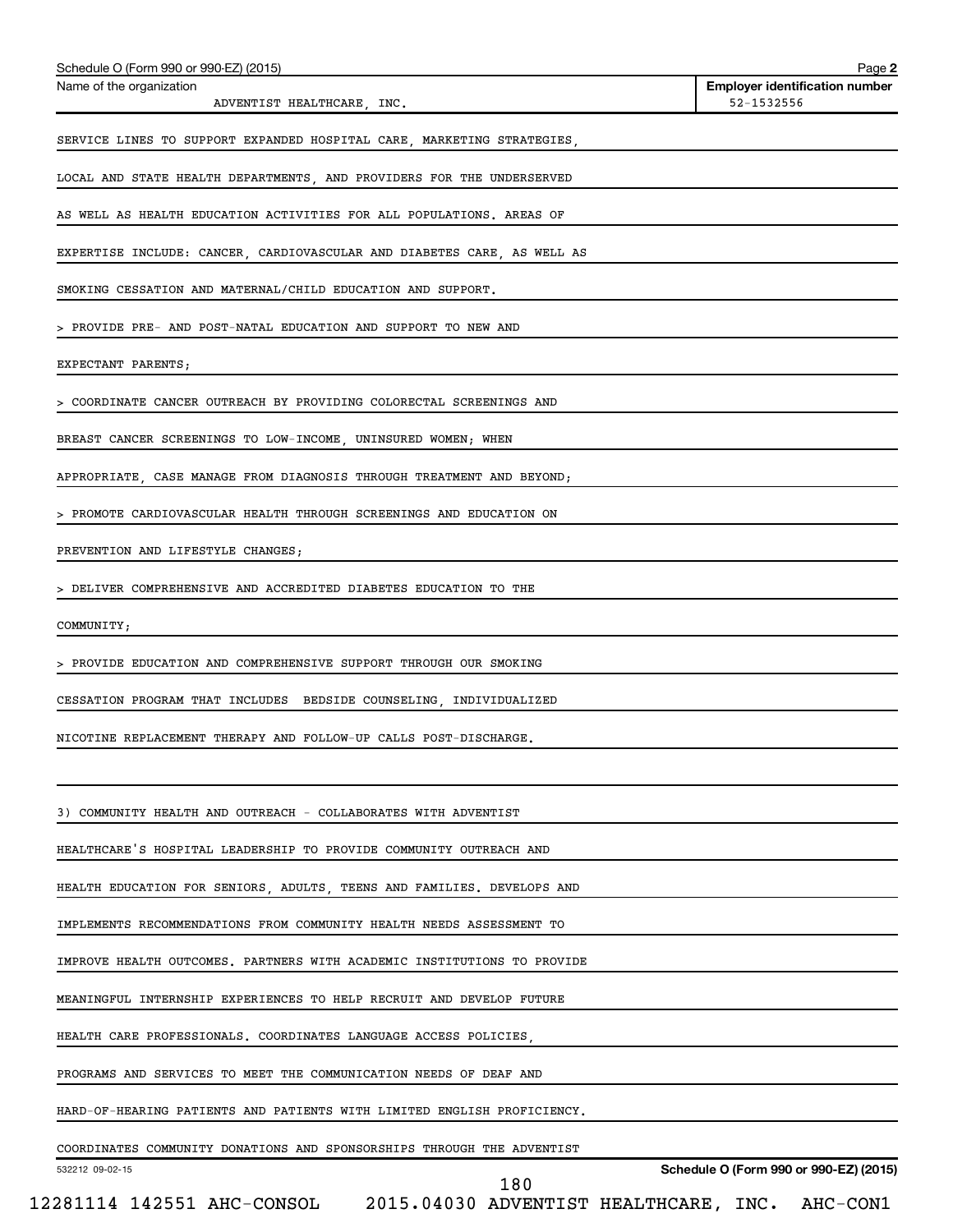| Schedule O (Form 990 or 990-EZ) (2015)                                                              | Page 2                                              |
|-----------------------------------------------------------------------------------------------------|-----------------------------------------------------|
| Name of the organization<br>ADVENTIST HEALTHCARE, INC.                                              | <b>Employer identification number</b><br>52-1532556 |
| SERVICE LINES TO SUPPORT EXPANDED HOSPITAL CARE, MARKETING STRATEGIES,                              |                                                     |
| LOCAL AND STATE HEALTH DEPARTMENTS, AND PROVIDERS FOR THE UNDERSERVED                               |                                                     |
| AS WELL AS HEALTH EDUCATION ACTIVITIES FOR ALL POPULATIONS. AREAS OF                                |                                                     |
| EXPERTISE INCLUDE: CANCER, CARDIOVASCULAR AND DIABETES CARE, AS WELL AS                             |                                                     |
| SMOKING CESSATION AND MATERNAL/CHILD EDUCATION AND SUPPORT.                                         |                                                     |
| > PROVIDE PRE- AND POST-NATAL EDUCATION AND SUPPORT TO NEW AND                                      |                                                     |
| EXPECTANT PARENTS;                                                                                  |                                                     |
| > COORDINATE CANCER OUTREACH BY PROVIDING COLORECTAL SCREENINGS AND                                 |                                                     |
| BREAST CANCER SCREENINGS TO LOW-INCOME, UNINSURED WOMEN; WHEN                                       |                                                     |
| APPROPRIATE, CASE MANAGE FROM DIAGNOSIS THROUGH TREATMENT AND BEYOND;                               |                                                     |
| > PROMOTE CARDIOVASCULAR HEALTH THROUGH SCREENINGS AND EDUCATION ON                                 |                                                     |
| PREVENTION AND LIFESTYLE CHANGES;                                                                   |                                                     |
| > DELIVER COMPREHENSIVE AND ACCREDITED DIABETES EDUCATION TO THE                                    |                                                     |
| COMMUNITY;                                                                                          |                                                     |
| > PROVIDE EDUCATION AND COMPREHENSIVE SUPPORT THROUGH OUR SMOKING                                   |                                                     |
| CESSATION PROGRAM THAT INCLUDES BEDSIDE COUNSELING, INDIVIDUALIZED                                  |                                                     |
| NICOTINE REPLACEMENT THERAPY AND FOLLOW-UP CALLS POST-DISCHARGE.                                    |                                                     |
|                                                                                                     |                                                     |
| 3) COMMUNITY HEALTH AND OUTREACH - COLLABORATES WITH ADVENTIST                                      |                                                     |
| HEALTHCARE'S HOSPITAL LEADERSHIP TO PROVIDE COMMUNITY OUTREACH AND                                  |                                                     |
| HEALTH EDUCATION FOR SENIORS, ADULTS, TEENS AND FAMILIES. DEVELOPS AND                              |                                                     |
| IMPLEMENTS RECOMMENDATIONS FROM COMMUNITY HEALTH NEEDS ASSESSMENT TO                                |                                                     |
| IMPROVE HEALTH OUTCOMES. PARTNERS WITH ACADEMIC INSTITUTIONS TO PROVIDE                             |                                                     |
| MEANINGFUL INTERNSHIP EXPERIENCES TO HELP RECRUIT AND DEVELOP FUTURE                                |                                                     |
| HEALTH CARE PROFESSIONALS. COORDINATES LANGUAGE ACCESS POLICIES.                                    |                                                     |
| PROGRAMS AND SERVICES TO MEET THE COMMUNICATION NEEDS OF DEAF AND                                   |                                                     |
| HARD-OF-HEARING PATIENTS AND PATIENTS WITH LIMITED ENGLISH PROFICIENCY.                             |                                                     |
| COORDINATES COMMUNITY DONATIONS AND SPONSORSHIPS THROUGH THE ADVENTIST                              |                                                     |
| 532212 09-02-15<br>180<br>12281114 142551 AHC-CONSOL 2015.04030 ADVENTIST HEALTHCARE, INC. AHC-CON1 | Schedule O (Form 990 or 990-EZ) (2015)              |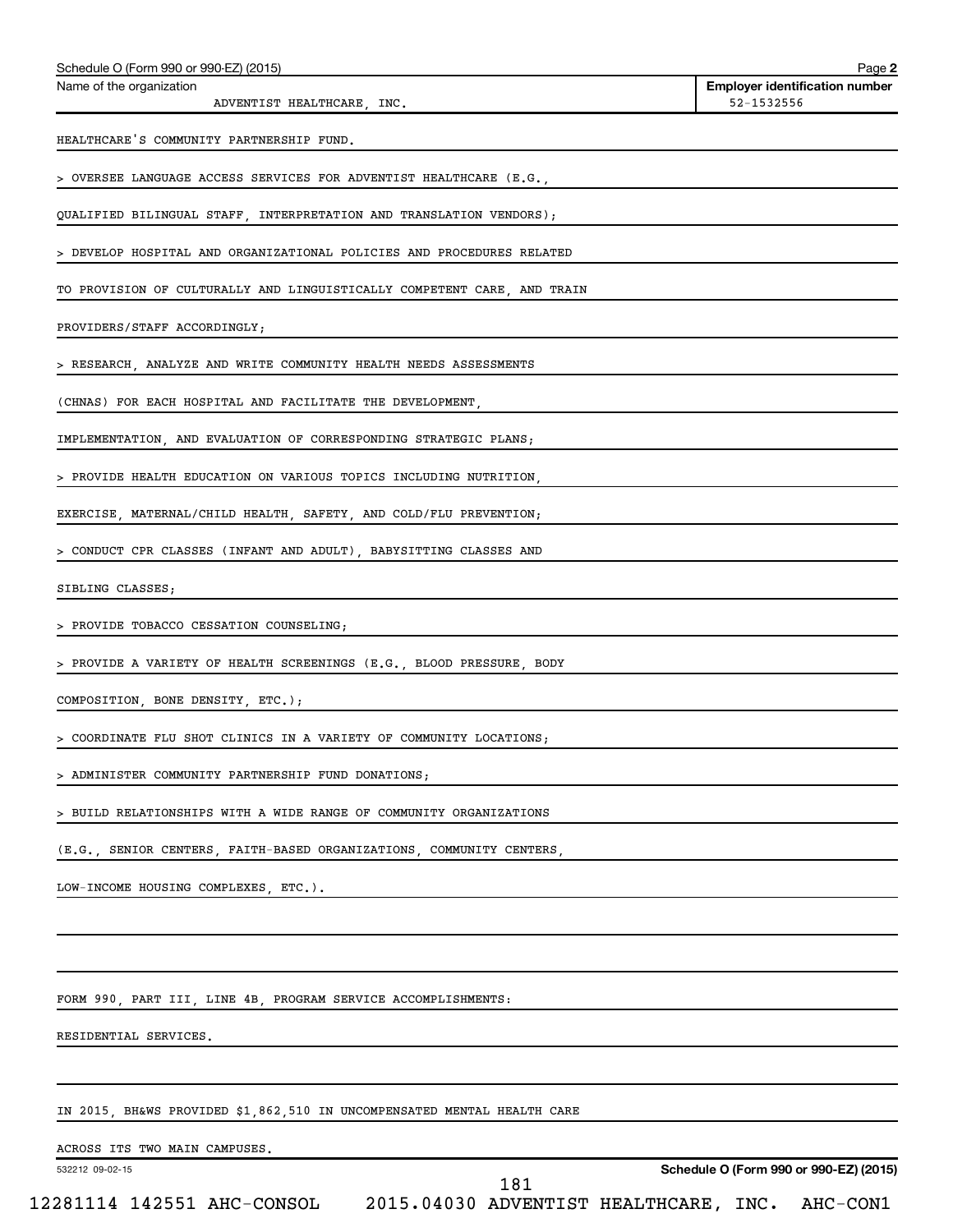| Schedule O (Form 990 or 990-EZ) (2015) | Page |
|----------------------------------------|------|
|                                        |      |

Name of the organization

ADVENTIST HEALTHCARE, INC.  $52-1532556$ 

HEALTHCARE'S COMMUNITY PARTNERSHIP FUND.

> OVERSEE LANGUAGE ACCESS SERVICES FOR ADVENTIST HEALTHCARE (E.G.,

QUALIFIED BILINGUAL STAFF, INTERPRETATION AND TRANSLATION VENDORS);

> DEVELOP HOSPITAL AND ORGANIZATIONAL POLICIES AND PROCEDURES RELATED

TO PROVISION OF CULTURALLY AND LINGUISTICALLY COMPETENT CARE, AND TRAIN

PROVIDERS/STAFF ACCORDINGLY;

> RESEARCH, ANALYZE AND WRITE COMMUNITY HEALTH NEEDS ASSESSMENTS

(CHNAS) FOR EACH HOSPITAL AND FACILITATE THE DEVELOPMENT,

IMPLEMENTATION, AND EVALUATION OF CORRESPONDING STRATEGIC PLANS;

> PROVIDE HEALTH EDUCATION ON VARIOUS TOPICS INCLUDING NUTRITION,

EXERCISE, MATERNAL/CHILD HEALTH, SAFETY, AND COLD/FLU PREVENTION;

> CONDUCT CPR CLASSES (INFANT AND ADULT), BABYSITTING CLASSES AND

SIBLING CLASSES;

> PROVIDE TOBACCO CESSATION COUNSELING;

> PROVIDE A VARIETY OF HEALTH SCREENINGS (E.G., BLOOD PRESSURE, BODY

COMPOSITION, BONE DENSITY, ETC.);

> COORDINATE FLU SHOT CLINICS IN A VARIETY OF COMMUNITY LOCATIONS;

> ADMINISTER COMMUNITY PARTNERSHIP FUND DONATIONS;

> BUILD RELATIONSHIPS WITH A WIDE RANGE OF COMMUNITY ORGANIZATIONS

(E.G., SENIOR CENTERS, FAITH-BASED ORGANIZATIONS, COMMUNITY CENTERS,

LOW-INCOME HOUSING COMPLEXES, ETC.).

FORM 990, PART III, LINE 4B, PROGRAM SERVICE ACCOMPLISHMENTS:

RESIDENTIAL SERVICES.

IN 2015, BH&WS PROVIDED \$1,862,510 IN UNCOMPENSATED MENTAL HEALTH CARE

ACROSS ITS TWO MAIN CAMPUSES.

532212 09-02-15

**Schedule O (Form 990 or 990-EZ) (2015)**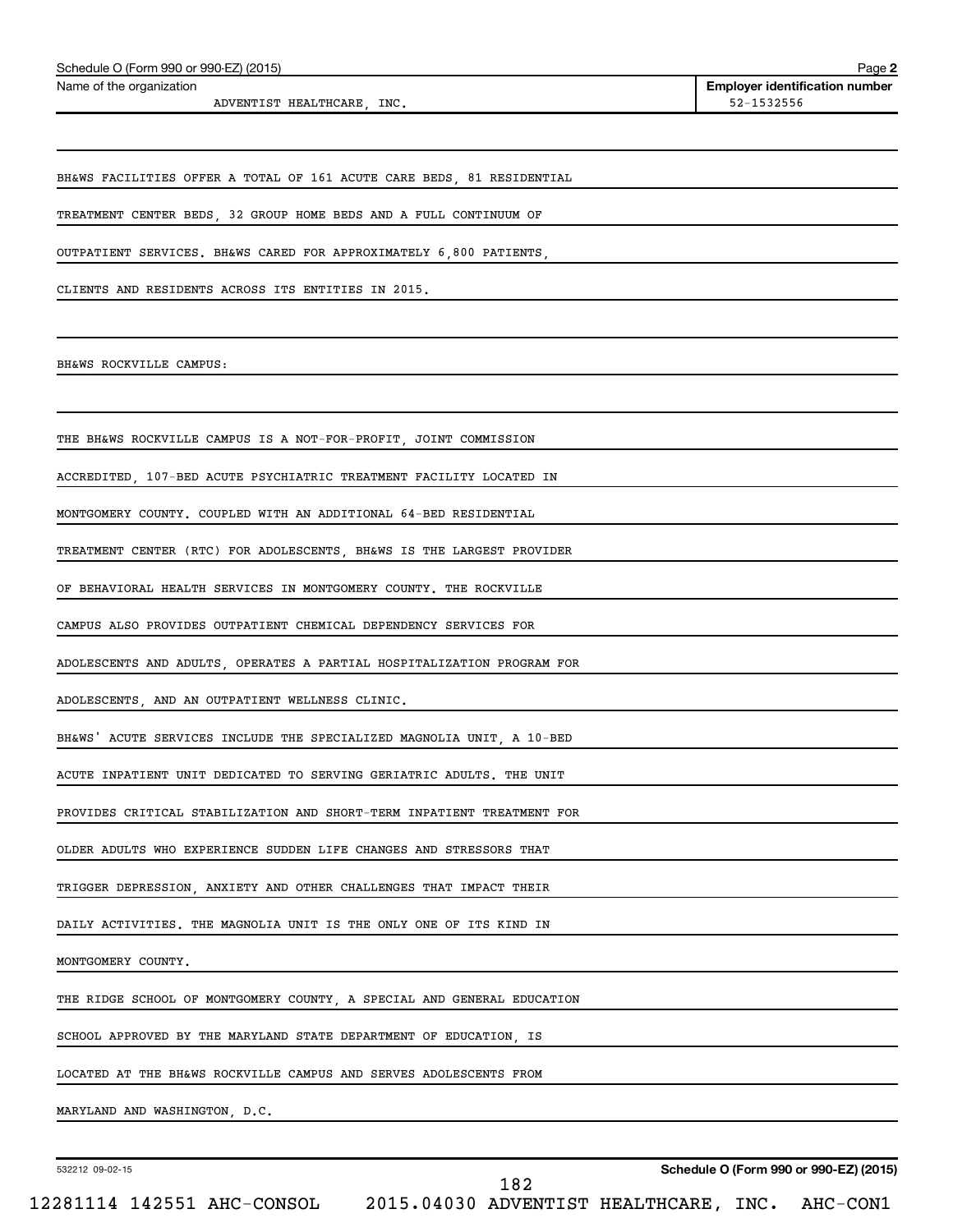| Name of the organization<br>ADVENTIST HEALTHCARE, INC.                 | <b>Employer identification number</b><br>52-1532556 |
|------------------------------------------------------------------------|-----------------------------------------------------|
|                                                                        |                                                     |
| BH&WS FACILITIES OFFER A TOTAL OF 161 ACUTE CARE BEDS, 81 RESIDENTIAL  |                                                     |
| TREATMENT CENTER BEDS, 32 GROUP HOME BEDS AND A FULL CONTINUUM OF      |                                                     |
| OUTPATIENT SERVICES. BH&WS CARED FOR APPROXIMATELY 6,800 PATIENTS,     |                                                     |
| CLIENTS AND RESIDENTS ACROSS ITS ENTITIES IN 2015.                     |                                                     |
|                                                                        |                                                     |
| BH&WS ROCKVILLE CAMPUS:                                                |                                                     |
|                                                                        |                                                     |
| THE BH&WS ROCKVILLE CAMPUS IS A NOT-FOR-PROFIT, JOINT COMMISSION       |                                                     |
| ACCREDITED, 107-BED ACUTE PSYCHIATRIC TREATMENT FACILITY LOCATED IN    |                                                     |
| MONTGOMERY COUNTY. COUPLED WITH AN ADDITIONAL 64-BED RESIDENTIAL       |                                                     |
| TREATMENT CENTER (RTC) FOR ADOLESCENTS, BH&WS IS THE LARGEST PROVIDER  |                                                     |
| OF BEHAVIORAL HEALTH SERVICES IN MONTGOMERY COUNTY. THE ROCKVILLE      |                                                     |
| CAMPUS ALSO PROVIDES OUTPATIENT CHEMICAL DEPENDENCY SERVICES FOR       |                                                     |
| ADOLESCENTS AND ADULTS, OPERATES A PARTIAL HOSPITALIZATION PROGRAM FOR |                                                     |
| ADOLESCENTS, AND AN OUTPATIENT WELLNESS CLINIC.                        |                                                     |
| BH&WS' ACUTE SERVICES INCLUDE THE SPECIALIZED MAGNOLIA UNIT, A 10-BED  |                                                     |
| ACUTE INPATIENT UNIT DEDICATED TO SERVING GERIATRIC ADULTS. THE UNIT   |                                                     |
| PROVIDES CRITICAL STABILIZATION AND SHORT-TERM INPATIENT TREATMENT FOR |                                                     |
| OLDER ADULTS WHO EXPERIENCE SUDDEN LIFE CHANGES AND STRESSORS THAT     |                                                     |
| TRIGGER DEPRESSION, ANXIETY AND OTHER CHALLENGES THAT IMPACT THEIR     |                                                     |
| DAILY ACTIVITIES. THE MAGNOLIA UNIT IS THE ONLY ONE OF ITS KIND IN     |                                                     |
| MONTGOMERY COUNTY.                                                     |                                                     |
| THE RIDGE SCHOOL OF MONTGOMERY COUNTY, A SPECIAL AND GENERAL EDUCATION |                                                     |
| SCHOOL APPROVED BY THE MARYLAND STATE DEPARTMENT OF EDUCATION, IS      |                                                     |
| LOCATED AT THE BH&WS ROCKVILLE CAMPUS AND SERVES ADOLESCENTS FROM      |                                                     |
| MARYLAND AND WASHINGTON, D.C.                                          |                                                     |
|                                                                        |                                                     |
| 532212 09-02-15<br>182                                                 | Schedule O (Form 990 or 990-EZ) (2015)              |

12281114 142551 AHC-CONSOL 2015.04030 ADVENTIST HEALTHCARE, INC. AHC-CON1

Schedule O (Form 990 or 990-EZ) (2015)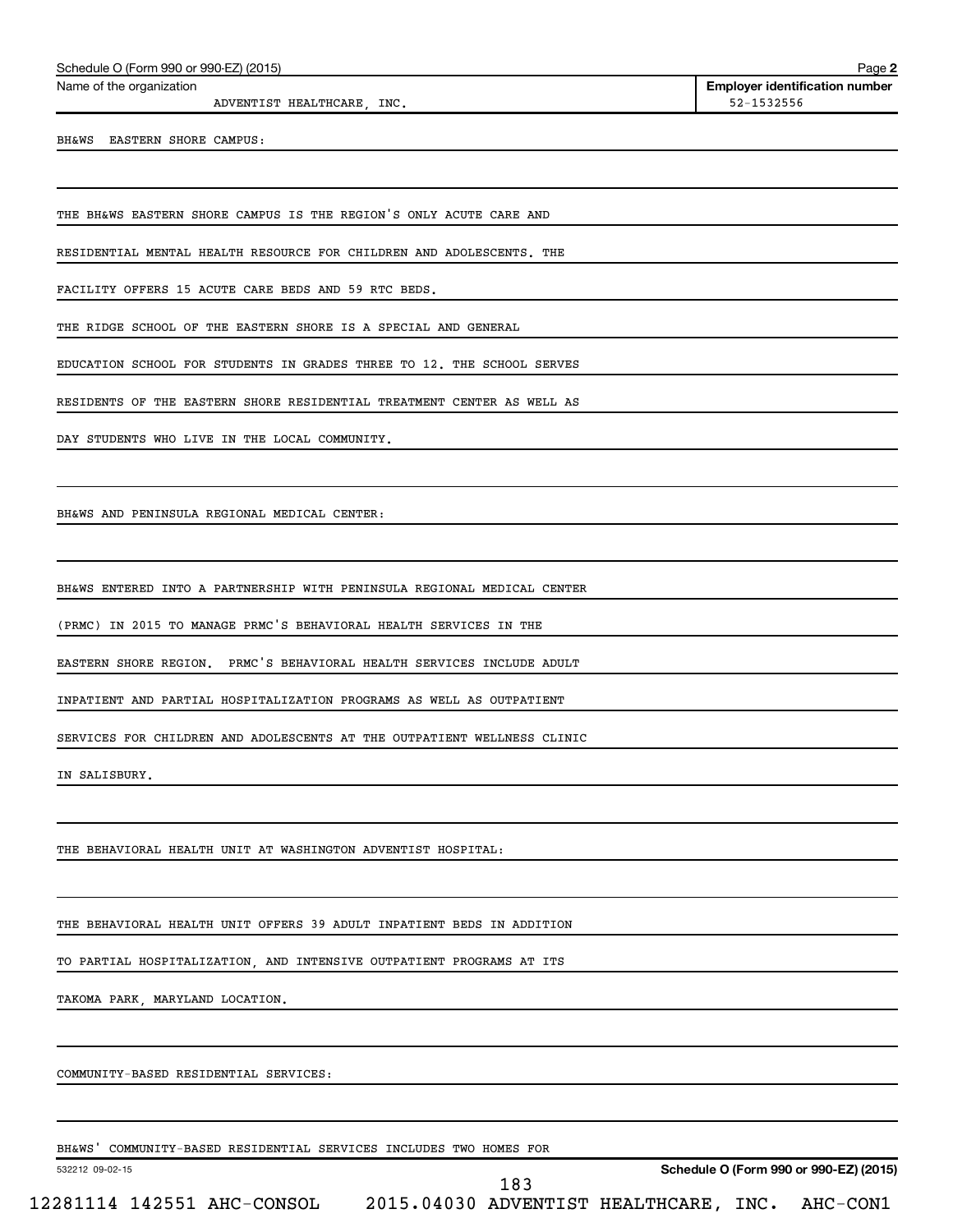| Schedule O (Form 990 or 990-EZ) (2015) | Page |
|----------------------------------------|------|
|                                        |      |

ADVENTIST HEALTHCARE, INC.  $52-1532556$ 

BH&WS EASTERN SHORE CAMPUS:

THE BH&WS EASTERN SHORE CAMPUS IS THE REGION'S ONLY ACUTE CARE AND

RESIDENTIAL MENTAL HEALTH RESOURCE FOR CHILDREN AND ADOLESCENTS. THE

FACILITY OFFERS 15 ACUTE CARE BEDS AND 59 RTC BEDS.

THE RIDGE SCHOOL OF THE EASTERN SHORE IS A SPECIAL AND GENERAL

EDUCATION SCHOOL FOR STUDENTS IN GRADES THREE TO 12. THE SCHOOL SERVES

RESIDENTS OF THE EASTERN SHORE RESIDENTIAL TREATMENT CENTER AS WELL AS

DAY STUDENTS WHO LIVE IN THE LOCAL COMMUNITY.

BH&WS AND PENINSULA REGIONAL MEDICAL CENTER:

BH&WS ENTERED INTO A PARTNERSHIP WITH PENINSULA REGIONAL MEDICAL CENTER

(PRMC) IN 2015 TO MANAGE PRMC'S BEHAVIORAL HEALTH SERVICES IN THE

EASTERN SHORE REGION. PRMC'S BEHAVIORAL HEALTH SERVICES INCLUDE ADULT

INPATIENT AND PARTIAL HOSPITALIZATION PROGRAMS AS WELL AS OUTPATIENT

SERVICES FOR CHILDREN AND ADOLESCENTS AT THE OUTPATIENT WELLNESS CLINIC

IN SALISBURY.

THE BEHAVIORAL HEALTH UNIT AT WASHINGTON ADVENTIST HOSPITAL:

THE BEHAVIORAL HEALTH UNIT OFFERS 39 ADULT INPATIENT BEDS IN ADDITION

TO PARTIAL HOSPITALIZATION, AND INTENSIVE OUTPATIENT PROGRAMS AT ITS

TAKOMA PARK, MARYLAND LOCATION.

COMMUNITY-BASED RESIDENTIAL SERVICES:

BH&WS' COMMUNITY-BASED RESIDENTIAL SERVICES INCLUDES TWO HOMES FOR

532212 09-02-15

**Schedule O (Form 990 or 990-EZ) (2015)**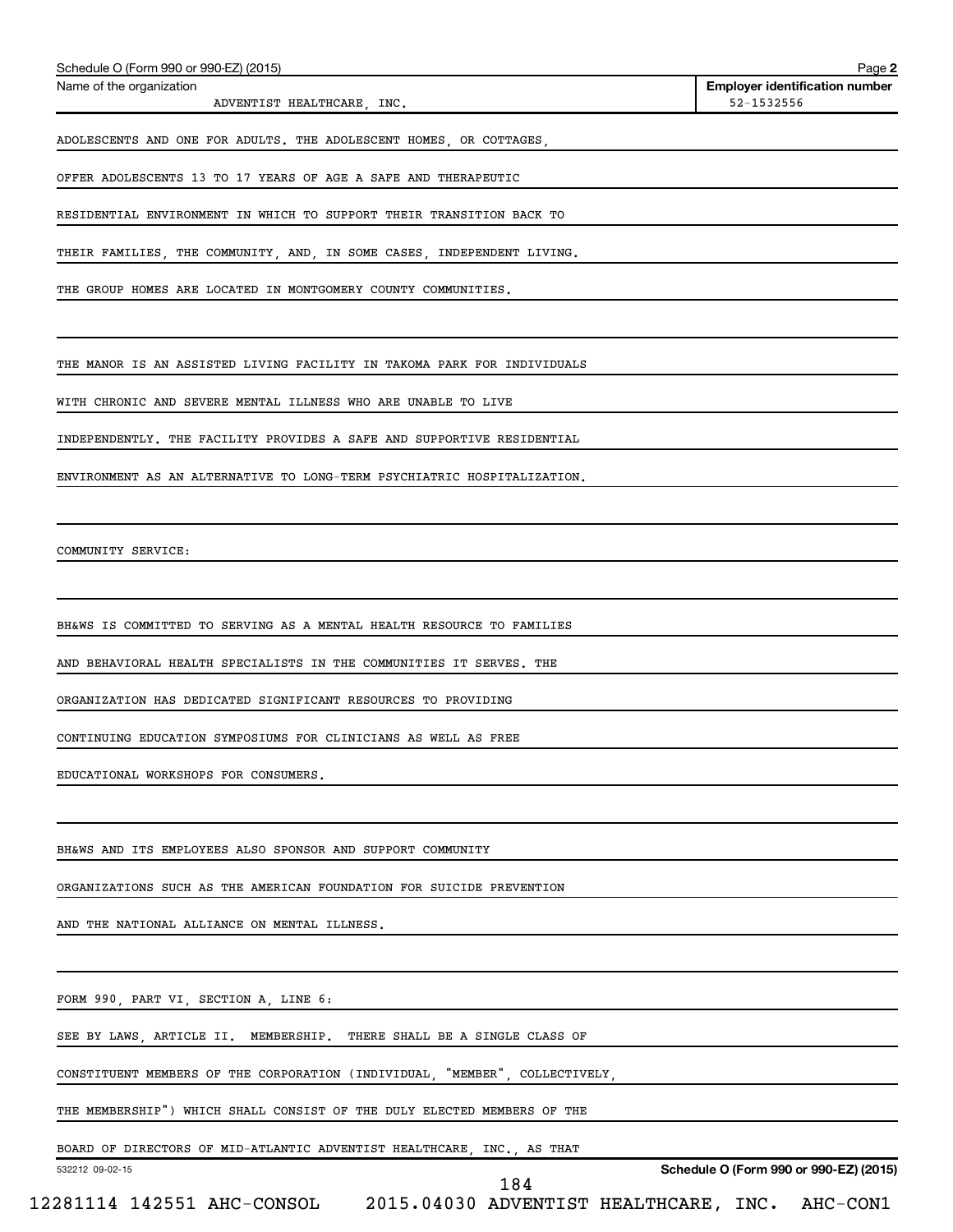| ADVENTIST HEALTHCARE, INC.                                                                          | 52-1532556 |                                        |
|-----------------------------------------------------------------------------------------------------|------------|----------------------------------------|
| ADOLESCENTS AND ONE FOR ADULTS. THE ADOLESCENT HOMES, OR COTTAGES,                                  |            |                                        |
| OFFER ADOLESCENTS 13 TO 17 YEARS OF AGE A SAFE AND THERAPEUTIC                                      |            |                                        |
| RESIDENTIAL ENVIRONMENT IN WHICH TO SUPPORT THEIR TRANSITION BACK TO                                |            |                                        |
| THEIR FAMILIES, THE COMMUNITY, AND, IN SOME CASES, INDEPENDENT LIVING.                              |            |                                        |
| THE GROUP HOMES ARE LOCATED IN MONTGOMERY COUNTY COMMUNITIES.                                       |            |                                        |
|                                                                                                     |            |                                        |
| THE MANOR IS AN ASSISTED LIVING FACILITY IN TAKOMA PARK FOR INDIVIDUALS                             |            |                                        |
| WITH CHRONIC AND SEVERE MENTAL ILLNESS WHO ARE UNABLE TO LIVE                                       |            |                                        |
| INDEPENDENTLY. THE FACILITY PROVIDES A SAFE AND SUPPORTIVE RESIDENTIAL                              |            |                                        |
| ENVIRONMENT AS AN ALTERNATIVE TO LONG-TERM PSYCHIATRIC HOSPITALIZATION.                             |            |                                        |
|                                                                                                     |            |                                        |
| COMMUNITY SERVICE:                                                                                  |            |                                        |
|                                                                                                     |            |                                        |
| BH&WS IS COMMITTED TO SERVING AS A MENTAL HEALTH RESOURCE TO FAMILIES                               |            |                                        |
| AND BEHAVIORAL HEALTH SPECIALISTS IN THE COMMUNITIES IT SERVES. THE                                 |            |                                        |
| ORGANIZATION HAS DEDICATED SIGNIFICANT RESOURCES TO PROVIDING                                       |            |                                        |
| CONTINUING EDUCATION SYMPOSIUMS FOR CLINICIANS AS WELL AS FREE                                      |            |                                        |
| EDUCATIONAL WORKSHOPS FOR CONSUMERS.                                                                |            |                                        |
|                                                                                                     |            |                                        |
| BH&WS AND ITS EMPLOYEES ALSO SPONSOR AND SUPPORT COMMUNITY                                          |            |                                        |
| ORGANIZATIONS SUCH AS THE AMERICAN FOUNDATION FOR SUICIDE PREVENTION                                |            |                                        |
| AND THE NATIONAL ALLIANCE ON MENTAL ILLNESS.                                                        |            |                                        |
|                                                                                                     |            |                                        |
| FORM 990, PART VI, SECTION A, LINE 6:                                                               |            |                                        |
| SEE BY LAWS, ARTICLE II. MEMBERSHIP. THERE SHALL BE A SINGLE CLASS OF                               |            |                                        |
| CONSTITUENT MEMBERS OF THE CORPORATION (INDIVIDUAL, "MEMBER", COLLECTIVELY,                         |            |                                        |
| THE MEMBERSHIP") WHICH SHALL CONSIST OF THE DULY ELECTED MEMBERS OF THE                             |            |                                        |
| BOARD OF DIRECTORS OF MID-ATLANTIC ADVENTIST HEALTHCARE, INC., AS THAT                              |            | Schedule O (Form 990 or 990-EZ) (2015) |
| 532212 09-02-15<br>184<br>12281114 142551 AHC-CONSOL 2015.04030 ADVENTIST HEALTHCARE, INC. AHC-CON1 |            |                                        |
|                                                                                                     |            |                                        |

Schedule O (Form 990 or 990-EZ) (2015)

Name of the organization

**2**

**Employer identification number**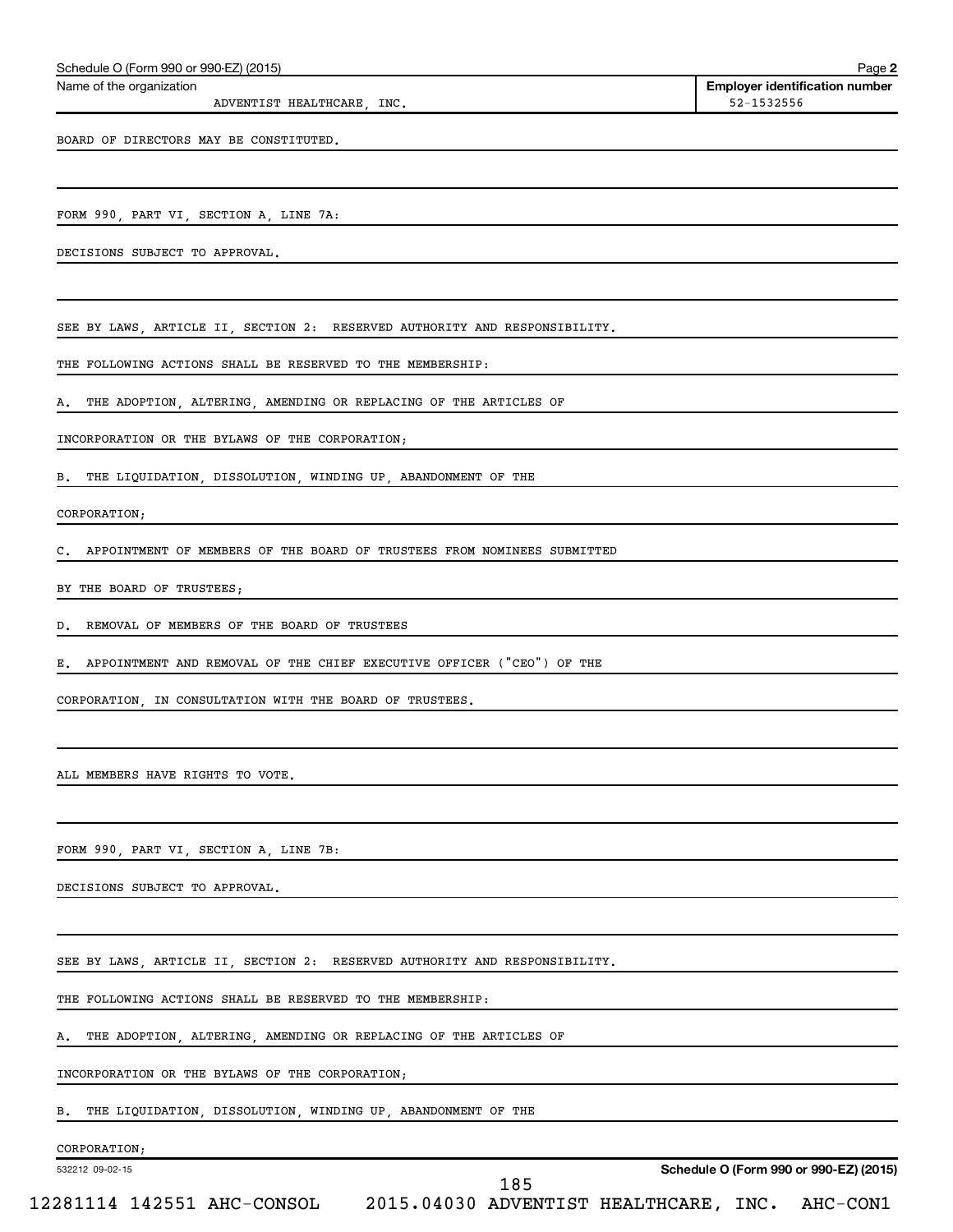| ADVENTIST HEALTHCARE, INC.                                                 | 52-1532556 |
|----------------------------------------------------------------------------|------------|
|                                                                            |            |
| BOARD OF DIRECTORS MAY BE CONSTITUTED.                                     |            |
|                                                                            |            |
| FORM 990, PART VI, SECTION A, LINE 7A:                                     |            |
|                                                                            |            |
| DECISIONS SUBJECT TO APPROVAL.                                             |            |
|                                                                            |            |
| SEE BY LAWS, ARTICLE II, SECTION 2: RESERVED AUTHORITY AND RESPONSIBILITY. |            |
| THE FOLLOWING ACTIONS SHALL BE RESERVED TO THE MEMBERSHIP:                 |            |
| THE ADOPTION, ALTERING, AMENDING OR REPLACING OF THE ARTICLES OF<br>Α.     |            |
| INCORPORATION OR THE BYLAWS OF THE CORPORATION;                            |            |
| B. THE LIQUIDATION, DISSOLUTION, WINDING UP, ABANDONMENT OF THE            |            |
| CORPORATION;                                                               |            |
| C. APPOINTMENT OF MEMBERS OF THE BOARD OF TRUSTEES FROM NOMINEES SUBMITTED |            |
| BY THE BOARD OF TRUSTEES;                                                  |            |
| D. REMOVAL OF MEMBERS OF THE BOARD OF TRUSTEES                             |            |
| E. APPOINTMENT AND REMOVAL OF THE CHIEF EXECUTIVE OFFICER ("CEO") OF THE   |            |
| CORPORATION, IN CONSULTATION WITH THE BOARD OF TRUSTEES.                   |            |
|                                                                            |            |
| ALL MEMBERS HAVE RIGHTS TO VOTE.                                           |            |
|                                                                            |            |

FORM 990, PART VI, SECTION A, LINE 7B:

DECISIONS SUBJECT TO APPROVAL.

Schedule O (Form 990 or 990-EZ) (2015)

Name of the organization

SEE BY LAWS, ARTICLE II, SECTION 2: RESERVED AUTHORITY AND RESPONSIBILITY.

THE FOLLOWING ACTIONS SHALL BE RESERVED TO THE MEMBERSHIP:

A. THE ADOPTION, ALTERING, AMENDING OR REPLACING OF THE ARTICLES OF

INCORPORATION OR THE BYLAWS OF THE CORPORATION;

B. THE LIQUIDATION, DISSOLUTION, WINDING UP, ABANDONMENT OF THE

CORPORATION;

532212 09-02-15

**Schedule O (Form 990 or 990-EZ) (2015)**

**2**

**Employer identification number**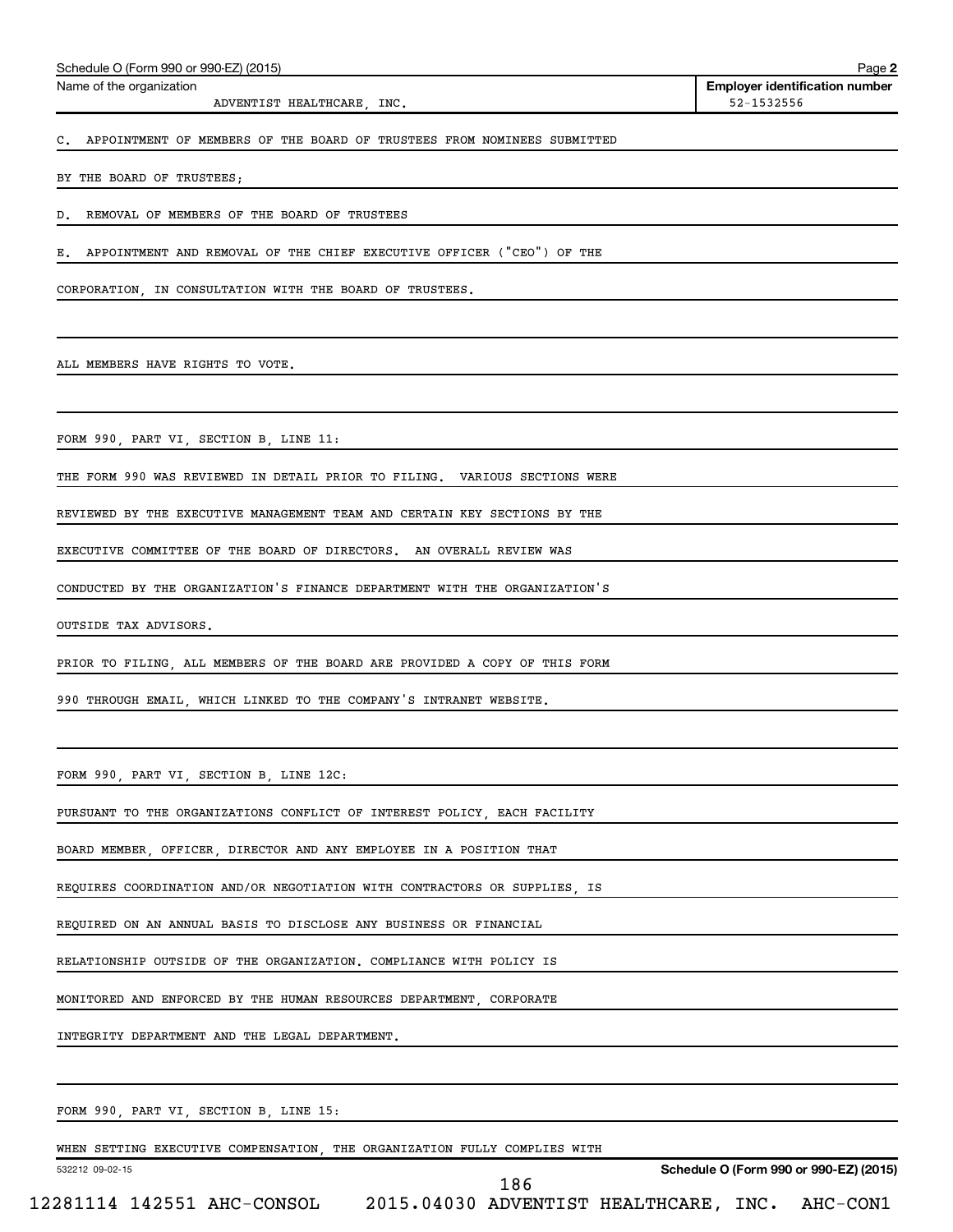| Schedule O (Form 990 or 990-EZ) (2015) | Page 2                                |
|----------------------------------------|---------------------------------------|
| Name of the organization               | <b>Employer identification number</b> |
| ADVENTIST HEALTHCARE<br>INC.           | 52-1532556                            |
|                                        |                                       |

C. APPOINTMENT OF MEMBERS OF THE BOARD OF TRUSTEES FROM NOMINEES SUBMITTED

BY THE BOARD OF TRUSTEES;

D. REMOVAL OF MEMBERS OF THE BOARD OF TRUSTEES

E. APPOINTMENT AND REMOVAL OF THE CHIEF EXECUTIVE OFFICER ("CEO") OF THE

CORPORATION, IN CONSULTATION WITH THE BOARD OF TRUSTEES.

ALL MEMBERS HAVE RIGHTS TO VOTE.

FORM 990, PART VI, SECTION B, LINE 11:

THE FORM 990 WAS REVIEWED IN DETAIL PRIOR TO FILING. VARIOUS SECTIONS WERE

REVIEWED BY THE EXECUTIVE MANAGEMENT TEAM AND CERTAIN KEY SECTIONS BY THE

EXECUTIVE COMMITTEE OF THE BOARD OF DIRECTORS. AN OVERALL REVIEW WAS

CONDUCTED BY THE ORGANIZATION'S FINANCE DEPARTMENT WITH THE ORGANIZATION'S

OUTSIDE TAX ADVISORS.

PRIOR TO FILING, ALL MEMBERS OF THE BOARD ARE PROVIDED A COPY OF THIS FORM

990 THROUGH EMAIL, WHICH LINKED TO THE COMPANY'S INTRANET WEBSITE.

FORM 990, PART VI, SECTION B, LINE 12C:

PURSUANT TO THE ORGANIZATIONS CONFLICT OF INTEREST POLICY, EACH FACILITY

BOARD MEMBER, OFFICER, DIRECTOR AND ANY EMPLOYEE IN A POSITION THAT

REQUIRES COORDINATION AND/OR NEGOTIATION WITH CONTRACTORS OR SUPPLIES, IS

REQUIRED ON AN ANNUAL BASIS TO DISCLOSE ANY BUSINESS OR FINANCIAL

RELATIONSHIP OUTSIDE OF THE ORGANIZATION. COMPLIANCE WITH POLICY IS

MONITORED AND ENFORCED BY THE HUMAN RESOURCES DEPARTMENT, CORPORATE

INTEGRITY DEPARTMENT AND THE LEGAL DEPARTMENT.

FORM 990, PART VI, SECTION B, LINE 15:

WHEN SETTING EXECUTIVE COMPENSATION, THE ORGANIZATION FULLY COMPLIES WITH

532212 09-02-15

186

**Schedule O (Form 990 or 990-EZ) (2015)**

12281114 142551 AHC-CONSOL 2015.04030 ADVENTIST HEALTHCARE, INC. AHC-CON1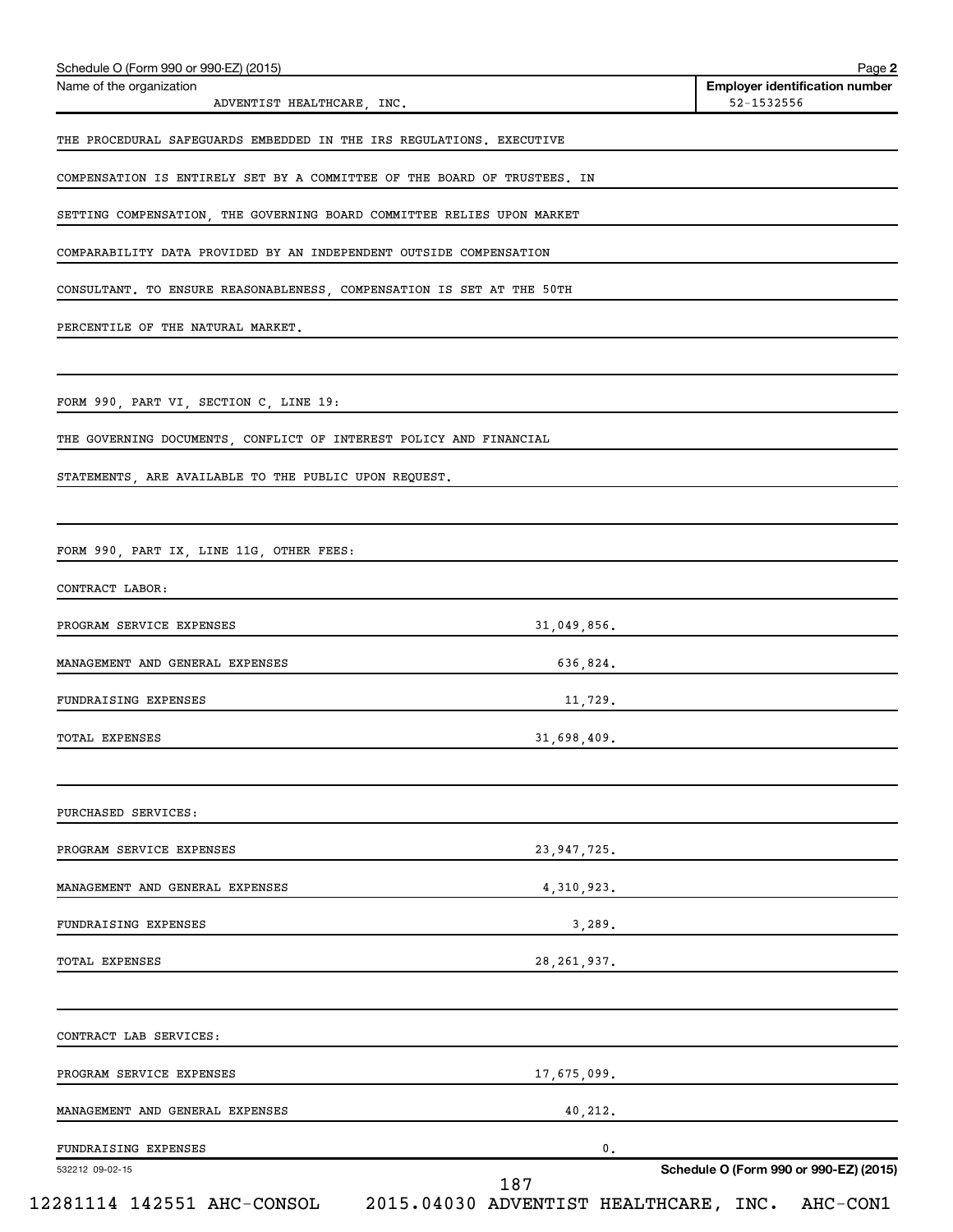| Schedule O (Form 990 or 990-EZ) (2015)<br>Name of the organization       |               | Page 2<br><b>Employer identification number</b> |
|--------------------------------------------------------------------------|---------------|-------------------------------------------------|
| ADVENTIST HEALTHCARE INC.                                                |               | 52-1532556                                      |
| THE PROCEDURAL SAFEGUARDS EMBEDDED IN THE IRS REGULATIONS. EXECUTIVE     |               |                                                 |
| COMPENSATION IS ENTIRELY SET BY A COMMITTEE OF THE BOARD OF TRUSTEES. IN |               |                                                 |
| SETTING COMPENSATION, THE GOVERNING BOARD COMMITTEE RELIES UPON MARKET   |               |                                                 |
| COMPARABILITY DATA PROVIDED BY AN INDEPENDENT OUTSIDE COMPENSATION       |               |                                                 |
| CONSULTANT. TO ENSURE REASONABLENESS, COMPENSATION IS SET AT THE 50TH    |               |                                                 |
| PERCENTILE OF THE NATURAL MARKET.                                        |               |                                                 |
| FORM 990, PART VI, SECTION C, LINE 19:                                   |               |                                                 |
| THE GOVERNING DOCUMENTS, CONFLICT OF INTEREST POLICY AND FINANCIAL       |               |                                                 |
| STATEMENTS, ARE AVAILABLE TO THE PUBLIC UPON REQUEST.                    |               |                                                 |
| FORM 990, PART IX, LINE 11G, OTHER FEES:                                 |               |                                                 |
| CONTRACT LABOR:                                                          |               |                                                 |
| PROGRAM SERVICE EXPENSES                                                 | 31,049,856.   |                                                 |
| MANAGEMENT AND GENERAL EXPENSES                                          | 636,824.      |                                                 |
| FUNDRAISING EXPENSES                                                     | 11,729.       |                                                 |
| TOTAL EXPENSES                                                           | 31,698,409.   |                                                 |
| PURCHASED SERVICES:                                                      |               |                                                 |
| PROGRAM SERVICE EXPENSES                                                 | 23, 947, 725. |                                                 |
| MANAGEMENT AND GENERAL EXPENSES                                          | 4, 310, 923.  |                                                 |
| FUNDRAISING EXPENSES                                                     | 3,289.        |                                                 |
| TOTAL EXPENSES                                                           | 28, 261, 937. |                                                 |
| CONTRACT LAB SERVICES:                                                   |               |                                                 |
| PROGRAM SERVICE EXPENSES                                                 | 17,675,099.   |                                                 |
| MANAGEMENT AND GENERAL EXPENSES                                          | 40,212.       |                                                 |
| FUNDRAISING EXPENSES                                                     | 0.            |                                                 |
| 532212 09-02-15<br>187                                                   |               | Schedule O (Form 990 or 990-EZ) (2015)          |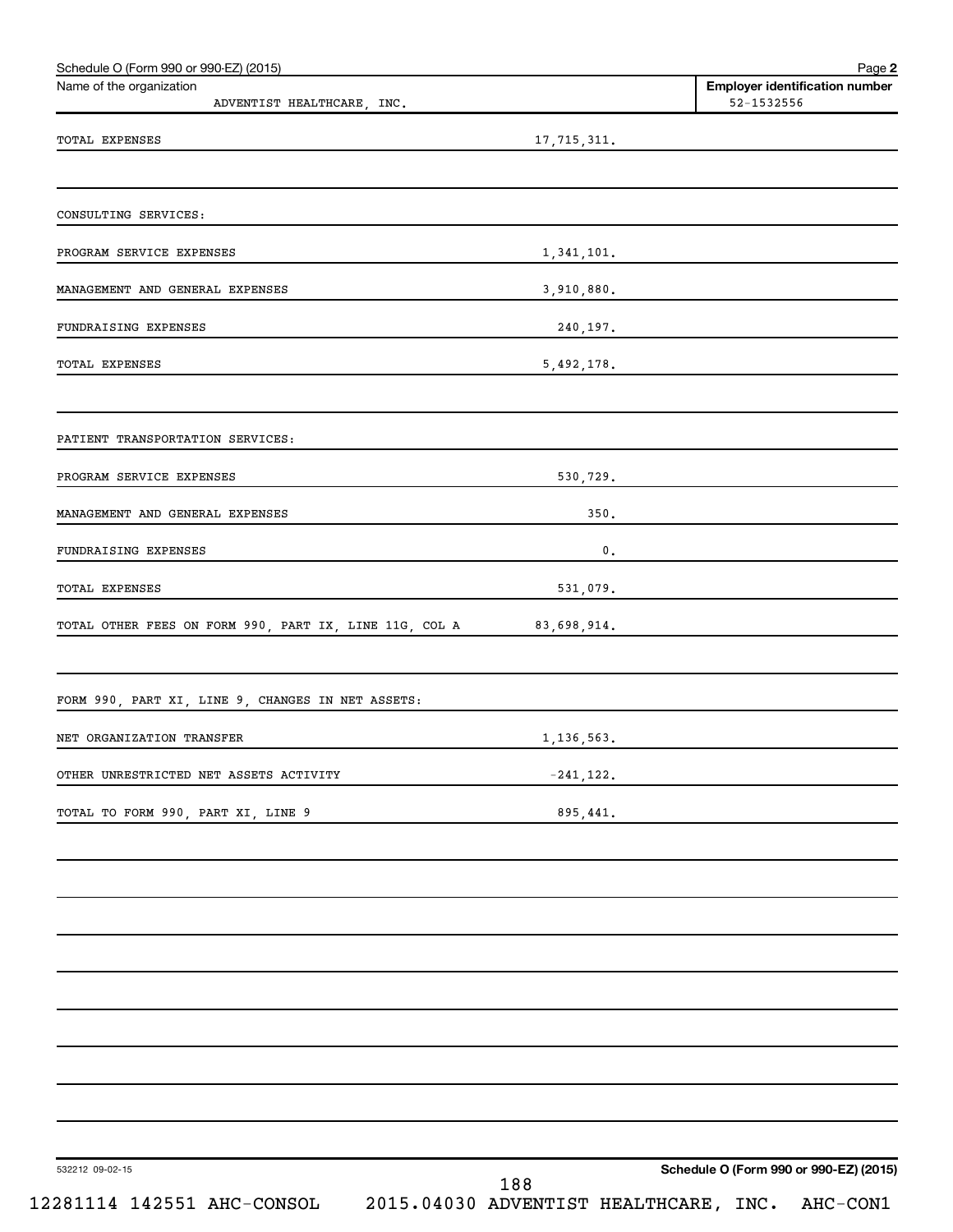| Schedule O (Form 990 or 990-EZ) (2015)                 |               | Page 2                                              |
|--------------------------------------------------------|---------------|-----------------------------------------------------|
| Name of the organization<br>ADVENTIST HEALTHCARE, INC. |               | <b>Employer identification number</b><br>52-1532556 |
| TOTAL EXPENSES                                         | 17, 715, 311. |                                                     |
| CONSULTING SERVICES:                                   |               |                                                     |
| PROGRAM SERVICE EXPENSES                               | 1,341,101.    |                                                     |
| MANAGEMENT AND GENERAL EXPENSES                        | 3,910,880.    |                                                     |
| FUNDRAISING EXPENSES                                   |               | 240, 197.                                           |
| TOTAL EXPENSES                                         | 5,492,178.    |                                                     |
| PATIENT TRANSPORTATION SERVICES:                       |               |                                                     |
| PROGRAM SERVICE EXPENSES                               | 530,729.      |                                                     |
| MANAGEMENT AND GENERAL EXPENSES                        | 350.          |                                                     |
| FUNDRAISING EXPENSES                                   | 0.            |                                                     |
| TOTAL EXPENSES                                         |               | 531,079.                                            |
| TOTAL OTHER FEES ON FORM 990, PART IX, LINE 11G, COL A | 83,698,914.   |                                                     |
|                                                        |               |                                                     |
| FORM 990, PART XI, LINE 9, CHANGES IN NET ASSETS:      |               |                                                     |
| NET ORGANIZATION TRANSFER                              | 1,136,563.    |                                                     |
| OTHER UNRESTRICTED NET ASSETS ACTIVITY                 | $-241, 122.$  |                                                     |
| TOTAL TO FORM 990, PART XI, LINE 9                     | 895,441.      |                                                     |
|                                                        |               |                                                     |
|                                                        |               |                                                     |
|                                                        |               |                                                     |
|                                                        |               |                                                     |
|                                                        |               |                                                     |
|                                                        |               |                                                     |
|                                                        |               |                                                     |
|                                                        |               |                                                     |
| 532212 09-02-15                                        |               | Schedule O (Form 990 or 990-EZ) (2015)              |
|                                                        | 188           |                                                     |

12281114 142551 AHC-CONSOL 2015.04030 ADVENTIST HEALTHCARE, INC. AHC-CON1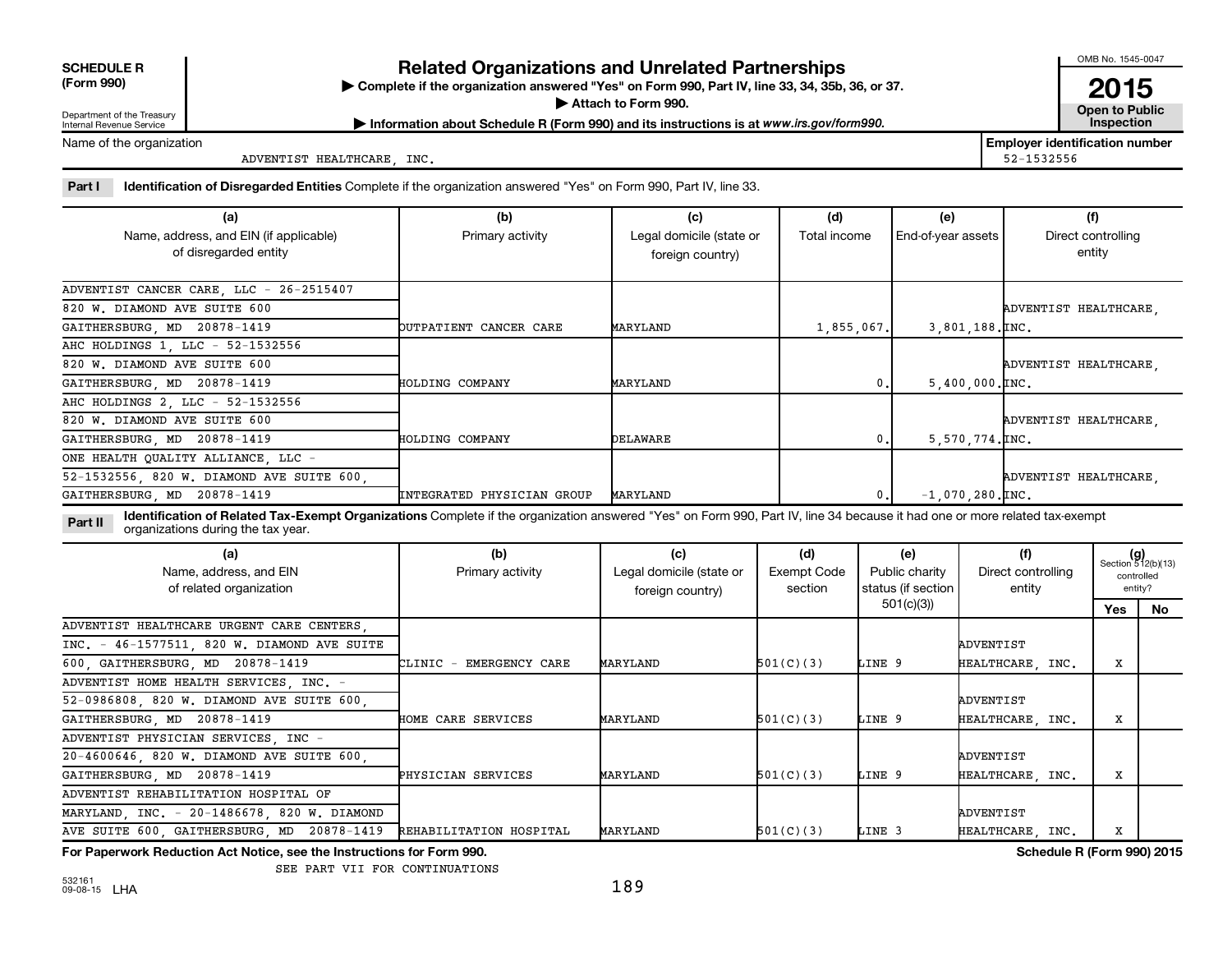| <b>SCHEDULE R</b> |
|-------------------|
|                   |

### **Related Organizations and Unrelated Partnerships**

**(Form 990) Complete if the organization answered "Yes" on Form 990, Part IV, line 33, 34, 35b, 36, or 37.** |

**Attach to Form 990. Contract to Public Contract of Public** 

OMB No. 1545-0047

**2015**<br>Open to Public

Department of the Treasury Internal Revenue Service

**Most Information about Schedule R (Form 990) and its instructions is at www.irs.gov/form990.** This pection

Name of the organization

ADVENTIST HEALTHCARE, INC. 52-1532556

**Employer identification number**

Part I ldentification of Disregarded Entities Complete if the organization answered "Yes" on Form 990, Part IV, line 33.

| (a)                                       | (b)                        | (c)                      | (d)          | (e)                          | (f)                   |
|-------------------------------------------|----------------------------|--------------------------|--------------|------------------------------|-----------------------|
| Name, address, and EIN (if applicable)    | Primary activity           | Legal domicile (state or | Total income | End-of-year assets           | Direct controlling    |
| of disregarded entity                     |                            | foreign country)         |              |                              | entity                |
|                                           |                            |                          |              |                              |                       |
| ADVENTIST CANCER CARE, LLC - 26-2515407   |                            |                          |              |                              |                       |
| 820 W. DIAMOND AVE SUITE 600              |                            |                          |              |                              | ADVENTIST HEALTHCARE, |
| GAITHERSBURG, MD 20878-1419               | OUTPATIENT CANCER CARE     | MARYLAND                 | 1,855,067.   | $3,801,188.$ INC.            |                       |
| AHC HOLDINGS 1, LLC - 52-1532556          |                            |                          |              |                              |                       |
| 820 W. DIAMOND AVE SUITE 600              |                            |                          |              |                              | ADVENTIST HEALTHCARE  |
| GAITHERSBURG, MD 20878-1419               | HOLDING COMPANY            | MARYLAND                 | 0.           | $5,400,000$ . INC.           |                       |
| AHC HOLDINGS 2, LLC - 52-1532556          |                            |                          |              |                              |                       |
| 820 W. DIAMOND AVE SUITE 600              |                            |                          |              |                              | ADVENTIST HEALTHCARE  |
| GAITHERSBURG, MD 20878-1419               | HOLDING COMPANY            | DELAWARE                 | 0.           | $5,570,774.$ $\texttt{INC.}$ |                       |
| ONE HEALTH QUALITY ALLIANCE, LLC -        |                            |                          |              |                              |                       |
| 52-1532556, 820 W. DIAMOND AVE SUITE 600, |                            |                          |              |                              | ADVENTIST HEALTHCARE, |
| GAITHERSBURG, MD 20878-1419               | INTEGRATED PHYSICIAN GROUP | MARYLAND                 |              | $-1,070,280.$ INC.           |                       |

**Part II** Identification of Related Tax-Exempt Organizations Complete if the organization answered "Yes" on Form 990, Part IV, line 34 because it had one or more related tax-exempt<br>Complete it is a seriest of the two wears organizations during the tax year.

| (a)<br>Name, address, and EIN<br>of related organization | (b)<br>Primary activity | (c)<br>(d)<br>(f)<br>(e)<br>Public charity<br>Exempt Code<br>Legal domicile (state or<br>status (if section<br>section<br>foreign country) |           | Direct controlling<br>entity | $(g)$<br>Section 512(b)(13)<br>controlled | entity? |    |
|----------------------------------------------------------|-------------------------|--------------------------------------------------------------------------------------------------------------------------------------------|-----------|------------------------------|-------------------------------------------|---------|----|
|                                                          |                         |                                                                                                                                            |           | 501(c)(3)                    |                                           | Yes     | No |
| ADVENTIST HEALTHCARE URGENT CARE CENTERS.                |                         |                                                                                                                                            |           |                              |                                           |         |    |
| INC. - 46-1577511, 820 W. DIAMOND AVE SUITE              |                         |                                                                                                                                            |           |                              | ADVENTIST                                 |         |    |
| 600, GAITHERSBURG, MD 20878-1419                         | CLINIC - EMERGENCY CARE | MARYLAND                                                                                                                                   | 501(C)(3) | LINE 9                       | HEALTHCARE, INC.                          | x       |    |
| ADVENTIST HOME HEALTH SERVICES INC. -                    |                         |                                                                                                                                            |           |                              |                                           |         |    |
| 52-0986808, 820 W. DIAMOND AVE SUITE 600,                |                         |                                                                                                                                            |           |                              | ADVENTIST                                 |         |    |
| GAITHERSBURG, MD 20878-1419                              | HOME CARE SERVICES      | MARYLAND                                                                                                                                   | 501(C)(3) | LINE 9                       | HEALTHCARE, INC.                          | x       |    |
| ADVENTIST PHYSICIAN SERVICES, INC -                      |                         |                                                                                                                                            |           |                              |                                           |         |    |
| 20-4600646, 820 W. DIAMOND AVE SUITE 600,                |                         |                                                                                                                                            |           |                              | ADVENTIST                                 |         |    |
| GAITHERSBURG, MD 20878-1419                              | PHYSICIAN SERVICES      | MARYLAND                                                                                                                                   | 501(C)(3) | LINE 9                       | HEALTHCARE INC.                           | x       |    |
| ADVENTIST REHABILITATION HOSPITAL OF                     |                         |                                                                                                                                            |           |                              |                                           |         |    |
| MARYLAND, INC. - 20-1486678, 820 W. DIAMOND              |                         |                                                                                                                                            |           |                              | ADVENTIST                                 |         |    |
| AVE SUITE 600, GAITHERSBURG, MD 20878-1419               | REHABILITATION HOSPITAL | MARYLAND                                                                                                                                   | 501(C)(3) | LINE 3                       | HEALTHCARE, INC.                          | x       |    |

**For Paperwork Reduction Act Notice, see the Instructions for Form 990. Schedule R (Form 990) 2015**

SEE PART VII FOR CONTINUATIONS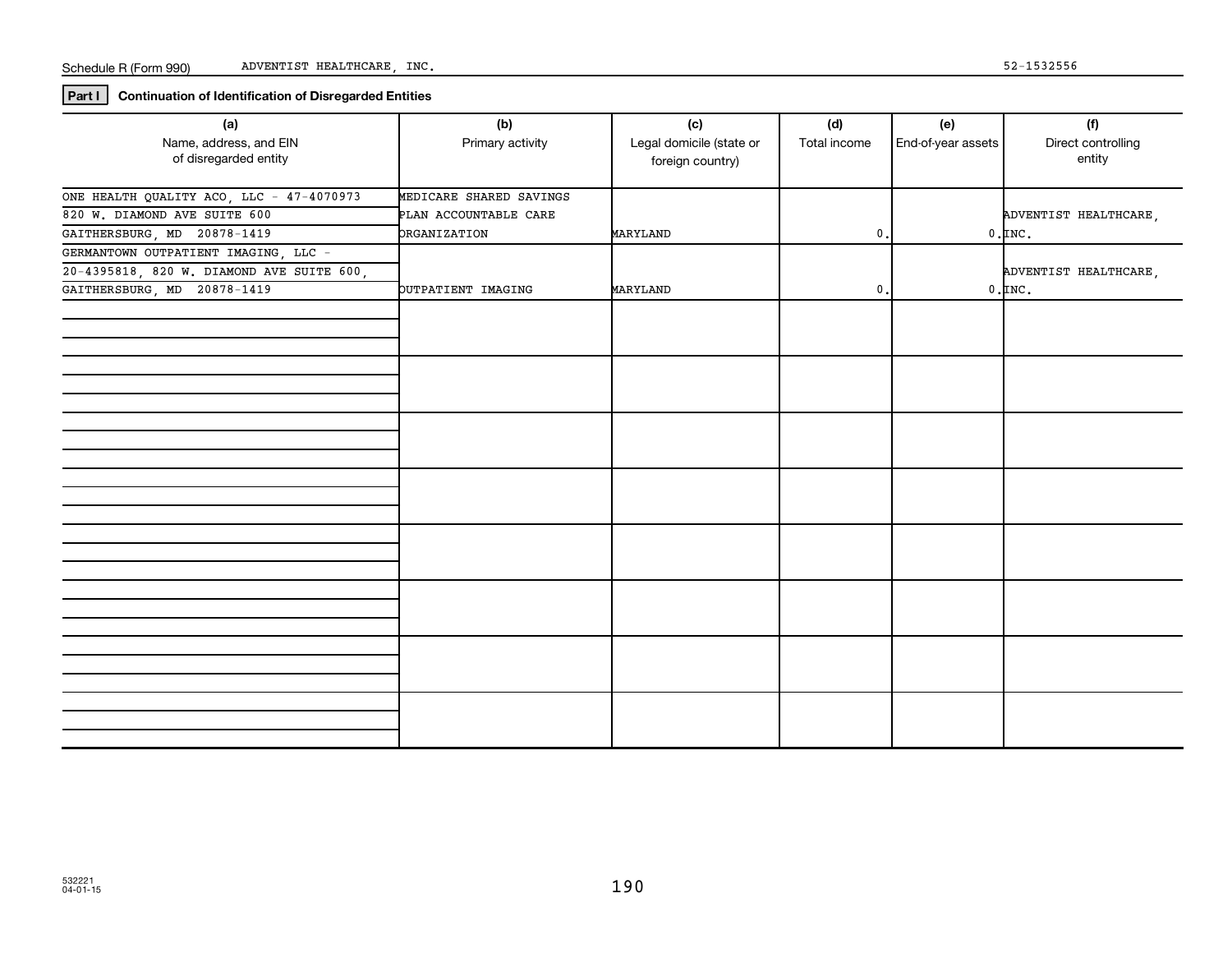**Part I Continuation of Identification of Disregarded Entities**

| (a)<br>Name, address, and EIN<br>of disregarded entity                                                           | (b)<br>Primary activity                                                 | (c)<br>Legal domicile (state or<br>foreign country) | (d)<br>Total income | (e)<br>End-of-year assets | (f)<br>Direct controlling<br>entity |
|------------------------------------------------------------------------------------------------------------------|-------------------------------------------------------------------------|-----------------------------------------------------|---------------------|---------------------------|-------------------------------------|
| ONE HEALTH QUALITY ACO, LLC - 47-4070973<br>820 W. DIAMOND AVE SUITE 600<br>GAITHERSBURG, MD 20878-1419          | MEDICARE SHARED SAVINGS<br>PLAN ACCOUNTABLE CARE<br><b>DRGANIZATION</b> | MARYLAND                                            | $\mathbf 0$ .       |                           | ADVENTIST HEALTHCARE,<br>$0.$ INC.  |
| GERMANTOWN OUTPATIENT IMAGING, LLC -<br>20-4395818, 820 W. DIAMOND AVE SUITE 600,<br>GAITHERSBURG, MD 20878-1419 | OUTPATIENT IMAGING                                                      | MARYLAND                                            | $\mathbf{0}$ .      |                           | ADVENTIST HEALTHCARE,<br>$0.$ INC.  |
|                                                                                                                  |                                                                         |                                                     |                     |                           |                                     |
|                                                                                                                  |                                                                         |                                                     |                     |                           |                                     |
|                                                                                                                  |                                                                         |                                                     |                     |                           |                                     |
|                                                                                                                  |                                                                         |                                                     |                     |                           |                                     |
|                                                                                                                  |                                                                         |                                                     |                     |                           |                                     |
|                                                                                                                  |                                                                         |                                                     |                     |                           |                                     |
|                                                                                                                  |                                                                         |                                                     |                     |                           |                                     |
|                                                                                                                  |                                                                         |                                                     |                     |                           |                                     |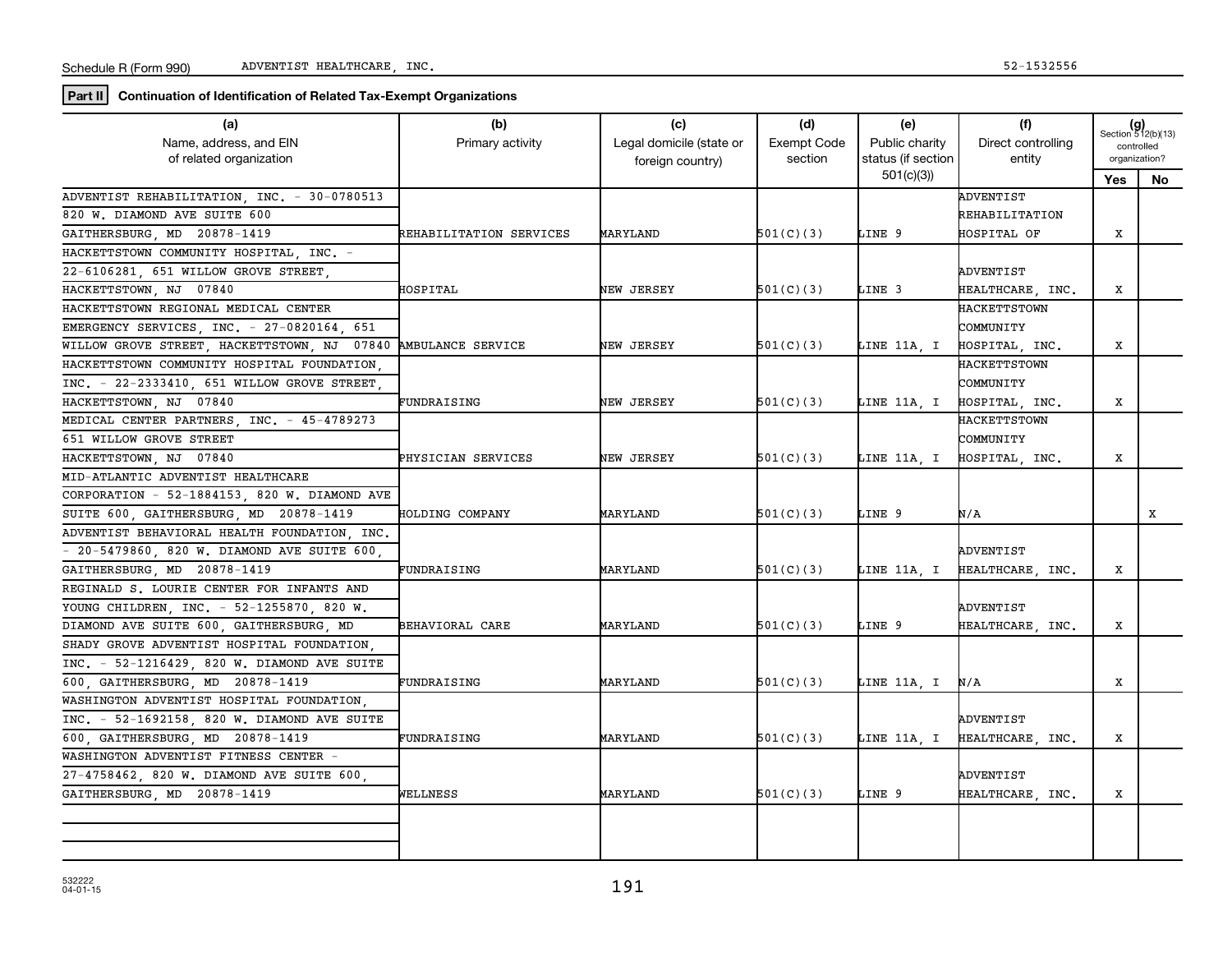**Part II Continuation of Identification of Related Tax-Exempt Organizations**

| (a)                                                           | (b)                     | (c)                      | (d)                           | (e)            | (f)                        | $(g)$<br>Section 512(b)(13) |     |
|---------------------------------------------------------------|-------------------------|--------------------------|-------------------------------|----------------|----------------------------|-----------------------------|-----|
| Name, address, and EIN                                        | Primary activity        | Legal domicile (state or | <b>Exempt Code</b>            | Public charity | Direct controlling         | controlled                  |     |
| of related organization                                       |                         | foreign country)         | status (if section<br>section |                | entity                     | organization?               |     |
|                                                               |                         |                          |                               | 501(c)(3)      |                            | Yes                         | No. |
| ADVENTIST REHABILITATION, INC. - 30-0780513                   |                         |                          |                               |                | ADVENTIST                  |                             |     |
| 820 W. DIAMOND AVE SUITE 600                                  |                         |                          |                               |                | REHABILITATION             |                             |     |
| GAITHERSBURG, MD 20878-1419                                   | REHABILITATION SERVICES | MARYLAND                 | 501(C)(3)                     | LINE 9         | HOSPITAL OF                | х                           |     |
| HACKETTSTOWN COMMUNITY HOSPITAL, INC. -                       |                         |                          |                               |                |                            |                             |     |
| 22-6106281, 651 WILLOW GROVE STREET,                          |                         |                          |                               |                | ADVENTIST                  |                             |     |
| HACKETTSTOWN, NJ 07840                                        | HOSPITAL                | NEW JERSEY               | 501(C)(3)                     | LINE 3         | HEALTHCARE, INC.           | х                           |     |
| HACKETTSTOWN REGIONAL MEDICAL CENTER                          |                         |                          |                               |                | <b>HACKETTSTOWN</b>        |                             |     |
| EMERGENCY SERVICES, INC. - 27-0820164, 651                    |                         |                          |                               |                | COMMUNITY                  |                             |     |
| WILLOW GROVE STREET, HACKETTSTOWN, NJ 07840 AMBULANCE SERVICE |                         | NEW JERSEY               | 501(C)(3)                     | LINE 11A, I    | HOSPITAL, INC.             | x                           |     |
| HACKETTSTOWN COMMUNITY HOSPITAL FOUNDATION                    |                         |                          |                               |                | <b>HACKETTSTOWN</b>        |                             |     |
| INC. - 22-2333410, 651 WILLOW GROVE STREET,                   |                         |                          |                               |                | COMMUNITY                  |                             |     |
| HACKETTSTOWN, NJ 07840                                        | FUNDRAISING             | NEW JERSEY               | 501(C)(3)                     | LINE 11A, I    | HOSPITAL, INC.             | х                           |     |
| MEDICAL CENTER PARTNERS, INC. - 45-4789273                    |                         |                          |                               |                | HACKETTSTOWN               |                             |     |
| 651 WILLOW GROVE STREET                                       |                         |                          |                               |                | COMMUNITY                  |                             |     |
| HACKETTSTOWN NJ 07840                                         | PHYSICIAN SERVICES      | NEW JERSEY               | 501(C)(3)                     | LINE 11A, I    | HOSPITAL, INC.             | x                           |     |
| MID-ATLANTIC ADVENTIST HEALTHCARE                             |                         |                          |                               |                |                            |                             |     |
| CORPORATION - 52-1884153, 820 W. DIAMOND AVE                  |                         |                          |                               |                |                            |                             |     |
| SUITE 600 GAITHERSBURG MD 20878-1419                          | HOLDING COMPANY         | MARYLAND                 | 501(C)(3)                     | LINE 9         | N/A                        |                             | x   |
| ADVENTIST BEHAVIORAL HEALTH FOUNDATION, INC.                  |                         |                          |                               |                |                            |                             |     |
| - 20-5479860, 820 W. DIAMOND AVE SUITE 600,                   |                         |                          |                               |                | ADVENTIST                  |                             |     |
| GAITHERSBURG MD 20878-1419                                    | FUNDRAISING             | MARYLAND                 | 501(C)(3)                     | LINE 11A. I    | HEALTHCARE INC.            | x                           |     |
| REGINALD S. LOURIE CENTER FOR INFANTS AND                     |                         |                          |                               |                |                            |                             |     |
| YOUNG CHILDREN, INC. - 52-1255870, 820 W.                     |                         |                          |                               |                | ADVENTIST                  |                             |     |
| DIAMOND AVE SUITE 600 GAITHERSBURG MD                         | BEHAVIORAL CARE         | MARYLAND                 | 501(C)(3)                     | LINE 9         | HEALTHCARE INC.            | x                           |     |
| SHADY GROVE ADVENTIST HOSPITAL FOUNDATION                     |                         |                          |                               |                |                            |                             |     |
| INC. - 52-1216429, 820 W. DIAMOND AVE SUITE                   |                         |                          |                               |                |                            |                             |     |
| 600 GAITHERSBURG MD 20878-1419                                | FUNDRAISING             | MARYLAND                 | 501(C)(3)                     | LINE 11A, I    | N/A                        | x                           |     |
| WASHINGTON ADVENTIST HOSPITAL FOUNDATION                      |                         |                          |                               |                |                            |                             |     |
| INC. - 52-1692158, 820 W. DIAMOND AVE SUITE                   |                         |                          |                               |                | ADVENTIST                  |                             |     |
| 600 GAITHERSBURG MD 20878-1419                                | FUNDRAISING             | MARYLAND                 | 501(C)(3)                     |                | LINE 11A I HEALTHCARE INC. | x                           |     |
| WASHINGTON ADVENTIST FITNESS CENTER -                         |                         |                          |                               |                |                            |                             |     |
| 27-4758462, 820 W. DIAMOND AVE SUITE 600                      |                         |                          |                               |                | ADVENTIST                  |                             |     |
| GAITHERSBURG MD 20878-1419                                    | WELLNESS                | MARYLAND                 | 501(C)(3)                     | LINE 9         | HEALTHCARE INC.            | X                           |     |
|                                                               |                         |                          |                               |                |                            |                             |     |
|                                                               |                         |                          |                               |                |                            |                             |     |
|                                                               |                         |                          |                               |                |                            |                             |     |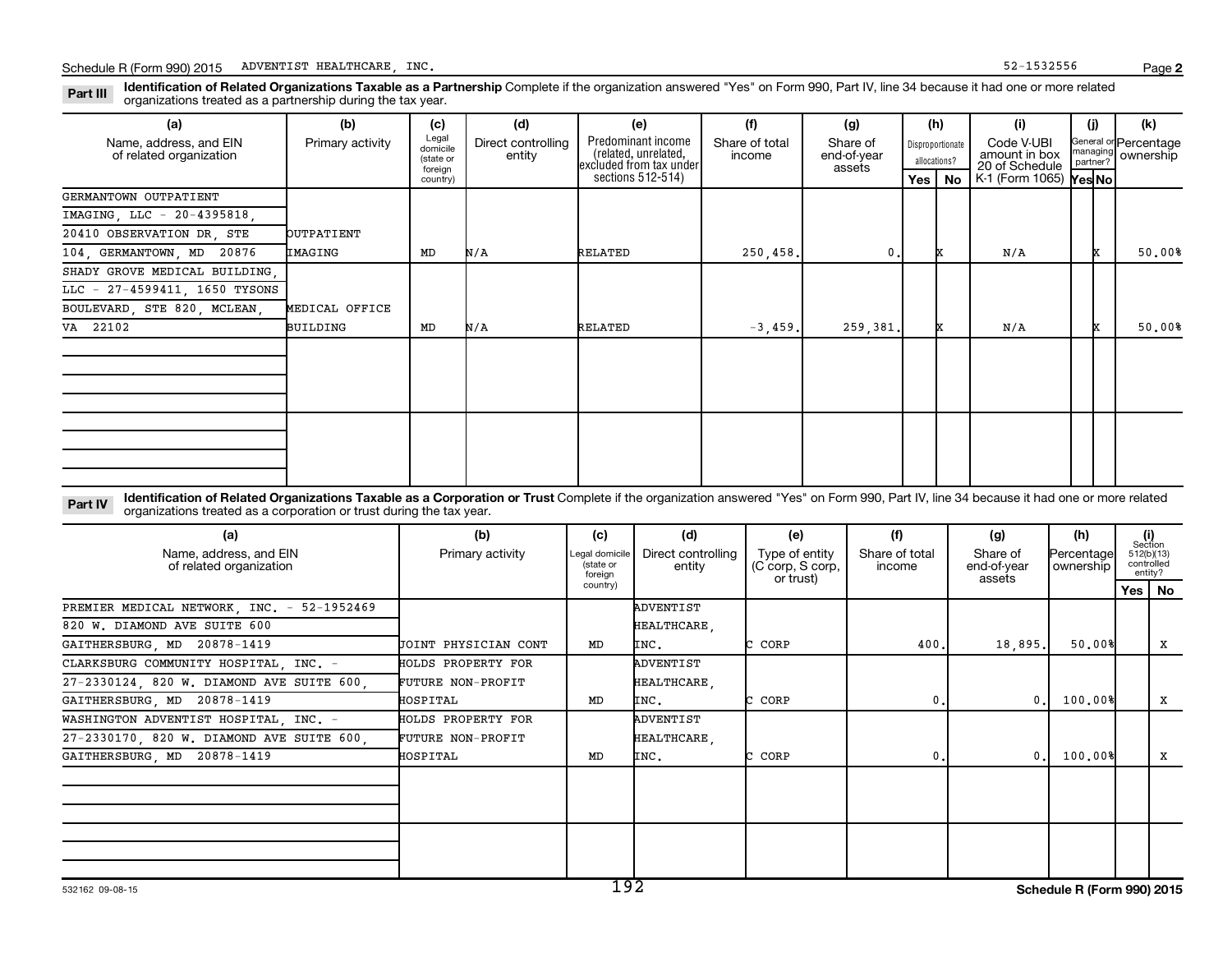Part III Identification of Related Organizations Taxable as a Partnership Complete if the organization answered "Yes" on Form 990, Part IV, line 34 because it had one or more related<br>Read to the organizations tracted as a organizations treated as a partnership during the tax year.

| (a)                           | (b)               | (c)                  | (d)                | (e)                                        | (f)            | (g)                   |         | (h)              | (i)                             | (i) | (k)                   |
|-------------------------------|-------------------|----------------------|--------------------|--------------------------------------------|----------------|-----------------------|---------|------------------|---------------------------------|-----|-----------------------|
| Name, address, and EIN        | Primary activity  | Legal<br>domicile    | Direct controlling | Predominant income<br>(related, unrelated, | Share of total | Share of              |         | Disproportionate | Code V-UBI                      |     | General or Percentage |
| of related organization       |                   | (state or<br>foreian | entity             | excluded from tax under                    | income         | end-of-year<br>assets |         | allocations?     | amount in box<br>20 of Schedule |     | managing ownership    |
|                               |                   | country)             |                    | sections 512-514)                          |                |                       | Yes $ $ | <b>No</b>        | K-1 (Form 1065) Yes No          |     |                       |
| GERMANTOWN OUTPATIENT         |                   |                      |                    |                                            |                |                       |         |                  |                                 |     |                       |
| IMAGING, LLC - 20-4395818,    |                   |                      |                    |                                            |                |                       |         |                  |                                 |     |                       |
| 20410 OBSERVATION DR, STE     | <b>OUTPATIENT</b> |                      |                    |                                            |                |                       |         |                  |                                 |     |                       |
| 104, GERMANTOWN, MD 20876     | IMAGING           | MD                   | N/A                | RELATED                                    | 250, 458.      | 0.                    |         |                  | N/A                             | K.  | 50.00%                |
| SHADY GROVE MEDICAL BUILDING, |                   |                      |                    |                                            |                |                       |         |                  |                                 |     |                       |
| LLC - 27-4599411, 1650 TYSONS |                   |                      |                    |                                            |                |                       |         |                  |                                 |     |                       |
| BOULEVARD, STE 820, MCLEAN,   | MEDICAL OFFICE    |                      |                    |                                            |                |                       |         |                  |                                 |     |                       |
| VA 22102                      | BUILDING          | MD                   | N/A                | RELATED                                    | $-3.459.$      | 259.381.              |         | x                | N/A                             |     | 50,00%                |
|                               |                   |                      |                    |                                            |                |                       |         |                  |                                 |     |                       |
|                               |                   |                      |                    |                                            |                |                       |         |                  |                                 |     |                       |
|                               |                   |                      |                    |                                            |                |                       |         |                  |                                 |     |                       |
|                               |                   |                      |                    |                                            |                |                       |         |                  |                                 |     |                       |
|                               |                   |                      |                    |                                            |                |                       |         |                  |                                 |     |                       |
|                               |                   |                      |                    |                                            |                |                       |         |                  |                                 |     |                       |
|                               |                   |                      |                    |                                            |                |                       |         |                  |                                 |     |                       |
|                               |                   |                      |                    |                                            |                |                       |         |                  |                                 |     |                       |
|                               |                   |                      |                    |                                            |                |                       |         |                  |                                 |     |                       |

Part IV Identification of Related Organizations Taxable as a Corporation or Trust Complete if the organization answered "Yes" on Form 990, Part IV, line 34 because it had one or more related<br>Comparison tracted as a comprat organizations treated as a corporation or trust during the tax year.

| (a)<br>Name, address, and EIN<br>of related organization | (b)<br>Primary activity     | (c)<br>Legal domicile<br>(state or<br>foreign | (d)<br>Direct controlling<br>entity | (e)<br>Type of entity<br>(C corp, S corp,<br>or trust) | (f)<br>(g)<br>Share of total<br>Share of<br>end-of-year<br>income<br>assets |         | (h)<br> Percentage <br>ownership | (i)<br>Section<br>512(b)(13)<br>controlled<br>entity? |          |
|----------------------------------------------------------|-----------------------------|-----------------------------------------------|-------------------------------------|--------------------------------------------------------|-----------------------------------------------------------------------------|---------|----------------------------------|-------------------------------------------------------|----------|
|                                                          |                             | country)                                      |                                     |                                                        |                                                                             |         |                                  |                                                       | Yes   No |
| PREMIER MEDICAL NETWORK, INC. - 52-1952469               |                             |                                               | <b>ADVENTIST</b>                    |                                                        |                                                                             |         |                                  |                                                       |          |
| 820 W. DIAMOND AVE SUITE 600                             |                             |                                               | HEALTHCARE,                         |                                                        |                                                                             |         |                                  |                                                       |          |
| GAITHERSBURG MD 20878-1419                               | <b>JOINT PHYSICIAN CONT</b> | MD                                            | INC.                                | CORP                                                   | 400.                                                                        | 18,895. | 50.008                           |                                                       | x        |
| CLARKSBURG COMMUNITY HOSPITAL, INC. -                    | HOLDS PROPERTY FOR          |                                               | ADVENTIST                           |                                                        |                                                                             |         |                                  |                                                       |          |
| 27-2330124, 820 W. DIAMOND AVE SUITE 600,                | FUTURE NON-PROFIT           |                                               | HEALTHCARE,                         |                                                        |                                                                             |         |                                  |                                                       |          |
| GAITHERSBURG, MD 20878-1419                              | HOSPITAL                    | MD                                            | INC.                                | CORP                                                   | 0.                                                                          |         | 100,00원                          |                                                       | x        |
| WASHINGTON ADVENTIST HOSPITAL, INC. -                    | HOLDS PROPERTY FOR          |                                               | ADVENTIST                           |                                                        |                                                                             |         |                                  |                                                       |          |
| 27-2330170, 820 W. DIAMOND AVE SUITE 600,                | FUTURE NON-PROFIT           |                                               | HEALTHCARE,                         |                                                        |                                                                             |         |                                  |                                                       |          |
| GAITHERSBURG, MD 20878-1419                              | HOSPITAL                    | MD                                            | INC.                                | CORP                                                   | 0.                                                                          |         | 100,00원                          |                                                       | x        |
|                                                          |                             |                                               |                                     |                                                        |                                                                             |         |                                  |                                                       |          |
|                                                          |                             |                                               |                                     |                                                        |                                                                             |         |                                  |                                                       |          |
|                                                          |                             |                                               |                                     |                                                        |                                                                             |         |                                  |                                                       |          |
|                                                          |                             |                                               |                                     |                                                        |                                                                             |         |                                  |                                                       |          |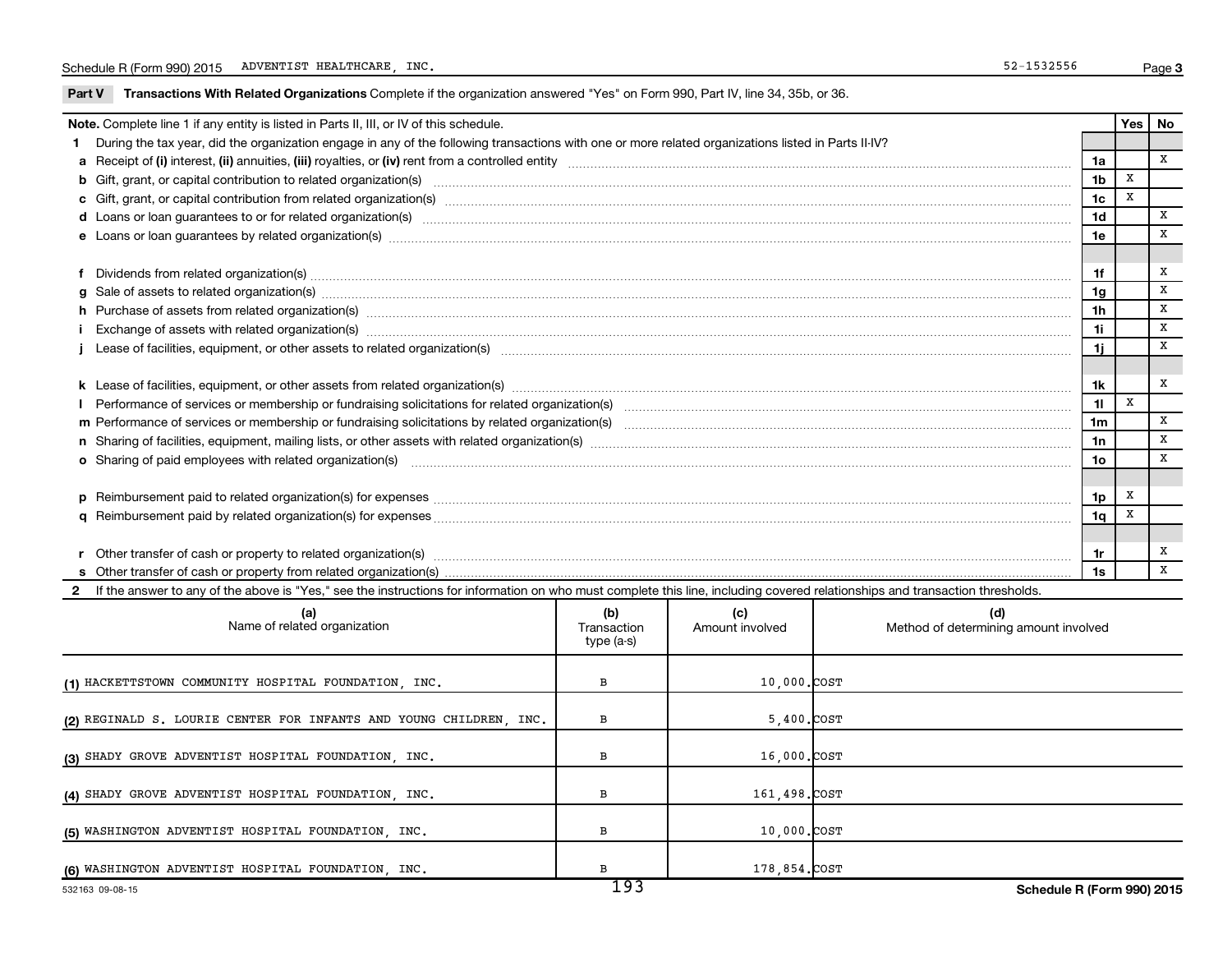Part V Transactions With Related Organizations Complete if the organization answered "Yes" on Form 990, Part IV, line 34, 35b, or 36.

| Note. Complete line 1 if any entity is listed in Parts II, III, or IV of this schedule. |                                                                                                                                                                                                                                |                 |   |   |  |  |
|-----------------------------------------------------------------------------------------|--------------------------------------------------------------------------------------------------------------------------------------------------------------------------------------------------------------------------------|-----------------|---|---|--|--|
|                                                                                         | During the tax year, did the organization engage in any of the following transactions with one or more related organizations listed in Parts II-IV?                                                                            |                 |   |   |  |  |
|                                                                                         |                                                                                                                                                                                                                                | 1a              |   | x |  |  |
|                                                                                         |                                                                                                                                                                                                                                | 1 <sub>b</sub>  | X |   |  |  |
|                                                                                         |                                                                                                                                                                                                                                | 1 <sub>c</sub>  | X |   |  |  |
|                                                                                         | d Loans or loan guarantees to or for related organization(s) www.communically.com/www.communically.com/www.communically.com/www.communically.com/www.communically.com/www.communically.com/www.communically.com/www.communical | 1 <sub>d</sub>  |   | X |  |  |
|                                                                                         |                                                                                                                                                                                                                                | 1e              |   | x |  |  |
|                                                                                         |                                                                                                                                                                                                                                |                 |   |   |  |  |
|                                                                                         |                                                                                                                                                                                                                                | 1f              |   | х |  |  |
|                                                                                         | $g$ Sale of assets to related organization(s) with the contraction control of the control of the control of the control of the control of the control of the control of the control of the control of the control of the cont  | 1g              |   | X |  |  |
|                                                                                         | h Purchase of assets from related organization(s) manufactured content to the content of the content of the content of the content of the content of the content of the content of the content of the content of the content o | 1 <sub>h</sub>  |   | X |  |  |
|                                                                                         |                                                                                                                                                                                                                                | 1i.             |   | X |  |  |
|                                                                                         |                                                                                                                                                                                                                                | 1j.             |   | x |  |  |
|                                                                                         |                                                                                                                                                                                                                                |                 |   |   |  |  |
|                                                                                         |                                                                                                                                                                                                                                | 1k              |   | х |  |  |
|                                                                                         |                                                                                                                                                                                                                                | 11              | X |   |  |  |
|                                                                                         |                                                                                                                                                                                                                                | 1 <sub>m</sub>  |   | Х |  |  |
|                                                                                         |                                                                                                                                                                                                                                | 1n              |   | X |  |  |
|                                                                                         | o Sharing of paid employees with related organization(s) manufactured and content to the content of the content of the content of the content of the content of the content of the content of the content of the content of th | 10 <sub>o</sub> |   | X |  |  |
|                                                                                         |                                                                                                                                                                                                                                |                 |   |   |  |  |
|                                                                                         |                                                                                                                                                                                                                                | 1p              | Х |   |  |  |
|                                                                                         |                                                                                                                                                                                                                                | 1q              | X |   |  |  |
|                                                                                         |                                                                                                                                                                                                                                |                 |   |   |  |  |
|                                                                                         |                                                                                                                                                                                                                                | 1r              |   | Х |  |  |
|                                                                                         |                                                                                                                                                                                                                                |                 |   | X |  |  |
|                                                                                         | 2 If the answer to any of the above is "Yes," see the instructions for information on who must complete this line, including covered relationships and transaction thresholds.                                                 |                 |   |   |  |  |

| (a)<br>Name of related organization                                | (b)<br>Transaction<br>type (a-s) | (c)<br>Amount involved | (d)<br>Method of determining amount involved |
|--------------------------------------------------------------------|----------------------------------|------------------------|----------------------------------------------|
| (1) HACKETTSTOWN COMMUNITY HOSPITAL FOUNDATION, INC.               | в                                | 10,000.COST            |                                              |
| (2) REGINALD S. LOURIE CENTER FOR INFANTS AND YOUNG CHILDREN, INC. | в                                | $5,400$ . $COST$       |                                              |
| (3) SHADY GROVE ADVENTIST HOSPITAL FOUNDATION, INC.                | в                                | 16,000.COST            |                                              |
| (4) SHADY GROVE ADVENTIST HOSPITAL FOUNDATION, INC.                | в                                | 161,498.COST           |                                              |
| (5) WASHINGTON ADVENTIST HOSPITAL FOUNDATION, INC.                 | в                                | 10,000.COST            |                                              |
| (6) WASHINGTON ADVENTIST HOSPITAL FOUNDATION, INC.                 | в<br>$\overline{102}$            | 178,854.COST           |                                              |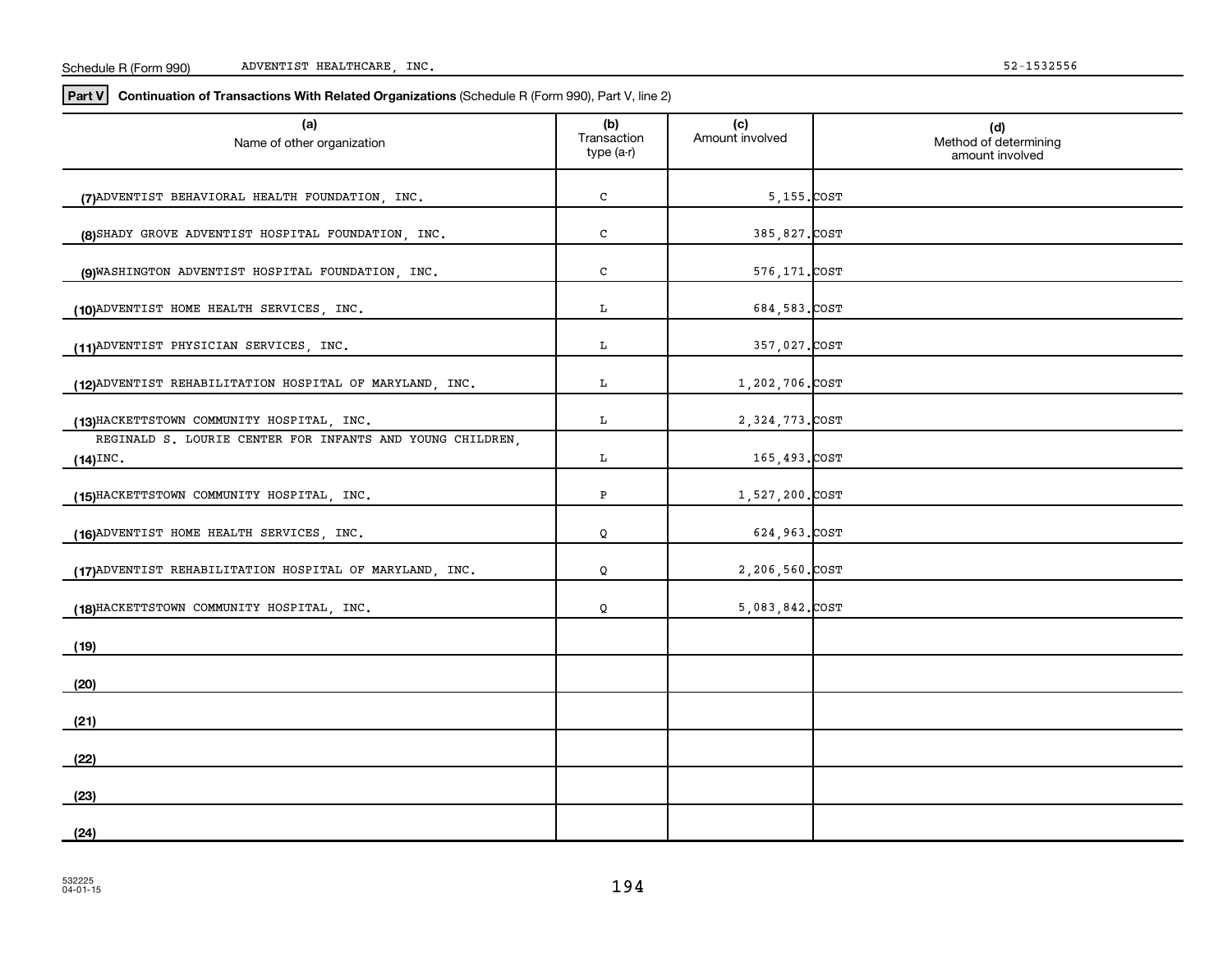#### Schedule R (Form 990) ADVENTIST HEALTHCARE, INC. SALES AND A SERVICE SERVICE SERVICE SERVICE SERVICE SERVICE SERVICE SERVICE SERVICE S

**Part V Continuation of Transactions With Related Organizations**  (Schedule R (Form 990), Part V, line 2)

| (a)<br>Name of other organization                                   | (b)<br>Transaction<br>type (a-r) | (c)<br>Amount involved | (d)<br>Method of determining<br>amount involved |
|---------------------------------------------------------------------|----------------------------------|------------------------|-------------------------------------------------|
| (7) ADVENTIST BEHAVIORAL HEALTH FOUNDATION, INC.                    | $\mathtt{C}$                     | 5,155.COST             |                                                 |
| (8) SHADY GROVE ADVENTIST HOSPITAL FOUNDATION, INC.                 | C                                | 385,827.COST           |                                                 |
| (9) WASHINGTON ADVENTIST HOSPITAL FOUNDATION, INC.                  | C                                | 576,171.COST           |                                                 |
| (10) ADVENTIST HOME HEALTH SERVICES, INC.                           | L                                | 684,583.COST           |                                                 |
| (11) ADVENTIST PHYSICIAN SERVICES, INC.                             | г                                | 357,027.COST           |                                                 |
| (12) ADVENTIST REHABILITATION HOSPITAL OF MARYLAND, INC.            | г                                | 1,202,706.COST         |                                                 |
| (13) HACKETTSTOWN COMMUNITY HOSPITAL, INC.                          | г                                | 2,324,773.COST         |                                                 |
| REGINALD S. LOURIE CENTER FOR INFANTS AND YOUNG CHILDREN,<br>(14)™. | L                                | 165,493.COST           |                                                 |
| (15) HACKETTSTOWN COMMUNITY HOSPITAL, INC.                          | P                                | 1,527,200.COST         |                                                 |
| (16) ADVENTIST HOME HEALTH SERVICES, INC.                           | Q                                | 624,963.COST           |                                                 |
| (17) ADVENTIST REHABILITATION HOSPITAL OF MARYLAND, INC.            | Q                                | 2,206,560.COST         |                                                 |
| (18) HACKETTSTOWN COMMUNITY HOSPITAL, INC.                          | Q                                | 5,083,842.COST         |                                                 |
| (19)                                                                |                                  |                        |                                                 |
| (20)                                                                |                                  |                        |                                                 |
| (21)                                                                |                                  |                        |                                                 |
| (22)                                                                |                                  |                        |                                                 |
| (23)                                                                |                                  |                        |                                                 |
| (24)                                                                |                                  |                        |                                                 |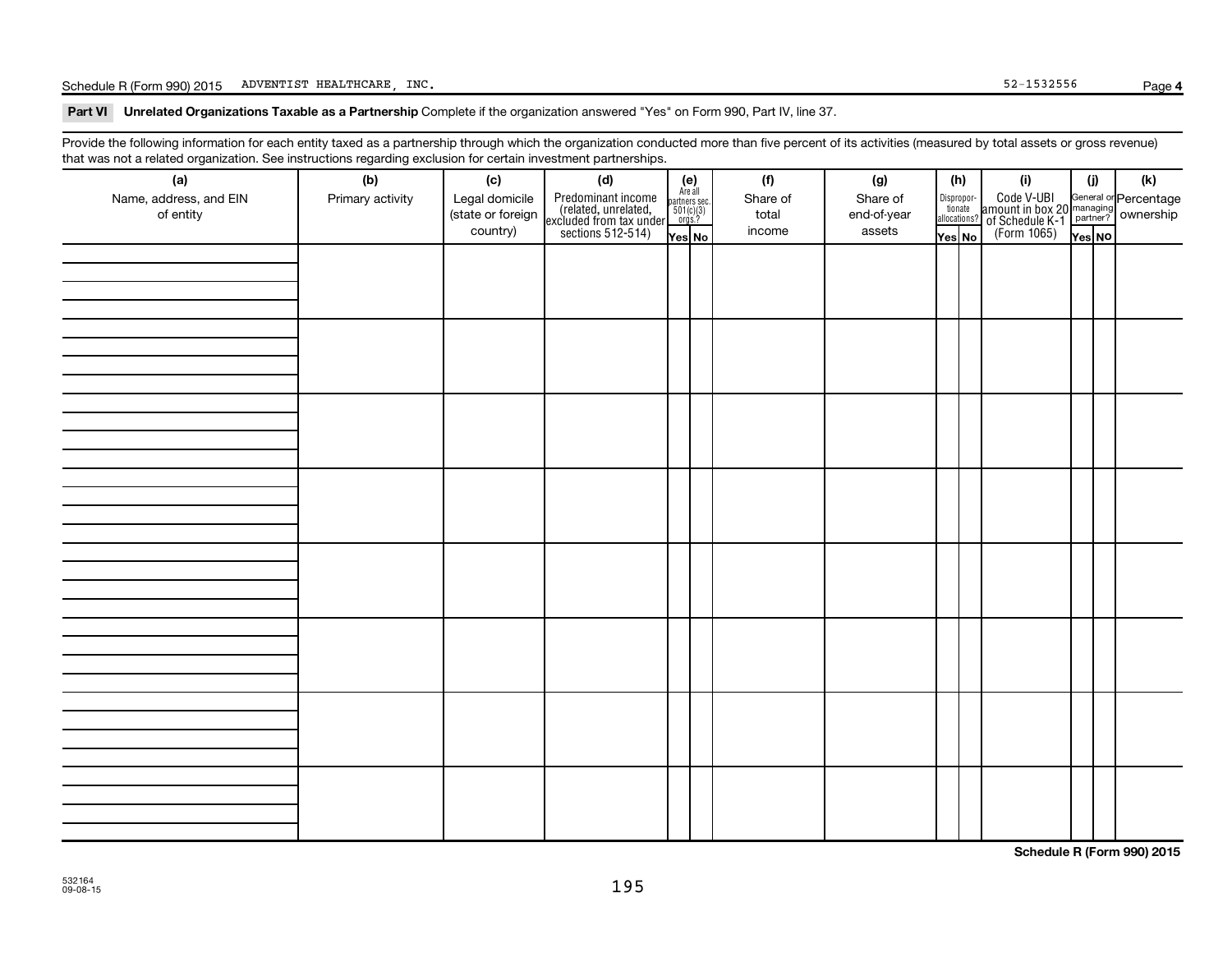Schedule R (Form 990) 2015 ADVENTIST HEALTHCARE, INC. The Schedule R (Form 1990) 2015 ADVENTIST HEALTHCARE, INC.

Part VI Unrelated Organizations Taxable as a Partnership Complete if the organization answered "Yes" on Form 990, Part IV, line 37.

Provide the following information for each entity taxed as a partnership through which the organization conducted more than five percent of its activities (measured by total assets or gross revenue) that was not a related organization. See instructions regarding exclusion for certain investment partnerships.

| hat neo hot a rolatod organization. Ooo motraotiono rogaranty oxolaolon for cortain invocement partnorompo.<br>(a) | (b)              | (c) | (d)                                                                                                                                                                                                                       |                                                            | (f)      | (g)         | (h)                              | (i)                                                                                                             | (i)    | (k) |
|--------------------------------------------------------------------------------------------------------------------|------------------|-----|---------------------------------------------------------------------------------------------------------------------------------------------------------------------------------------------------------------------------|------------------------------------------------------------|----------|-------------|----------------------------------|-----------------------------------------------------------------------------------------------------------------|--------|-----|
| Name, address, and EIN                                                                                             | Primary activity |     |                                                                                                                                                                                                                           | $(e)$<br>Are all<br>partners sec.<br>$501(c)(3)$<br>orgs.? | Share of | Share of    |                                  |                                                                                                                 |        |     |
| of entity                                                                                                          |                  |     | Legal domicile<br>(state or foreign<br>(celated, unrelated,<br>country)<br>$\left.\begin{array}{c}\n\text{Predicted, unrelated, unrelated, unrelated, non-exculated from tax undersections 512-514)\n\end{array}\right\}$ |                                                            | total    | end-of-year | Disproportionate<br>allocations? | Code V-UBI<br>amount in box 20 managing<br>2 of Schedule K-1<br>Person of The Press No<br>(Form 1065)<br>Tes No |        |     |
|                                                                                                                    |                  |     |                                                                                                                                                                                                                           |                                                            | income   | assets      |                                  |                                                                                                                 |        |     |
|                                                                                                                    |                  |     |                                                                                                                                                                                                                           | Yes No                                                     |          |             | Yes No                           |                                                                                                                 | Yes NO |     |
|                                                                                                                    |                  |     |                                                                                                                                                                                                                           |                                                            |          |             |                                  |                                                                                                                 |        |     |
|                                                                                                                    |                  |     |                                                                                                                                                                                                                           |                                                            |          |             |                                  |                                                                                                                 |        |     |
|                                                                                                                    |                  |     |                                                                                                                                                                                                                           |                                                            |          |             |                                  |                                                                                                                 |        |     |
|                                                                                                                    |                  |     |                                                                                                                                                                                                                           |                                                            |          |             |                                  |                                                                                                                 |        |     |
|                                                                                                                    |                  |     |                                                                                                                                                                                                                           |                                                            |          |             |                                  |                                                                                                                 |        |     |
|                                                                                                                    |                  |     |                                                                                                                                                                                                                           |                                                            |          |             |                                  |                                                                                                                 |        |     |
|                                                                                                                    |                  |     |                                                                                                                                                                                                                           |                                                            |          |             |                                  |                                                                                                                 |        |     |
|                                                                                                                    |                  |     |                                                                                                                                                                                                                           |                                                            |          |             |                                  |                                                                                                                 |        |     |
|                                                                                                                    |                  |     |                                                                                                                                                                                                                           |                                                            |          |             |                                  |                                                                                                                 |        |     |
|                                                                                                                    |                  |     |                                                                                                                                                                                                                           |                                                            |          |             |                                  |                                                                                                                 |        |     |
|                                                                                                                    |                  |     |                                                                                                                                                                                                                           |                                                            |          |             |                                  |                                                                                                                 |        |     |
|                                                                                                                    |                  |     |                                                                                                                                                                                                                           |                                                            |          |             |                                  |                                                                                                                 |        |     |
|                                                                                                                    |                  |     |                                                                                                                                                                                                                           |                                                            |          |             |                                  |                                                                                                                 |        |     |
|                                                                                                                    |                  |     |                                                                                                                                                                                                                           |                                                            |          |             |                                  |                                                                                                                 |        |     |
|                                                                                                                    |                  |     |                                                                                                                                                                                                                           |                                                            |          |             |                                  |                                                                                                                 |        |     |
|                                                                                                                    |                  |     |                                                                                                                                                                                                                           |                                                            |          |             |                                  |                                                                                                                 |        |     |
|                                                                                                                    |                  |     |                                                                                                                                                                                                                           |                                                            |          |             |                                  |                                                                                                                 |        |     |
|                                                                                                                    |                  |     |                                                                                                                                                                                                                           |                                                            |          |             |                                  |                                                                                                                 |        |     |
|                                                                                                                    |                  |     |                                                                                                                                                                                                                           |                                                            |          |             |                                  |                                                                                                                 |        |     |
|                                                                                                                    |                  |     |                                                                                                                                                                                                                           |                                                            |          |             |                                  |                                                                                                                 |        |     |
|                                                                                                                    |                  |     |                                                                                                                                                                                                                           |                                                            |          |             |                                  |                                                                                                                 |        |     |
|                                                                                                                    |                  |     |                                                                                                                                                                                                                           |                                                            |          |             |                                  |                                                                                                                 |        |     |
|                                                                                                                    |                  |     |                                                                                                                                                                                                                           |                                                            |          |             |                                  |                                                                                                                 |        |     |
|                                                                                                                    |                  |     |                                                                                                                                                                                                                           |                                                            |          |             |                                  |                                                                                                                 |        |     |
|                                                                                                                    |                  |     |                                                                                                                                                                                                                           |                                                            |          |             |                                  |                                                                                                                 |        |     |
|                                                                                                                    |                  |     |                                                                                                                                                                                                                           |                                                            |          |             |                                  |                                                                                                                 |        |     |
|                                                                                                                    |                  |     |                                                                                                                                                                                                                           |                                                            |          |             |                                  |                                                                                                                 |        |     |
|                                                                                                                    |                  |     |                                                                                                                                                                                                                           |                                                            |          |             |                                  |                                                                                                                 |        |     |
|                                                                                                                    |                  |     |                                                                                                                                                                                                                           |                                                            |          |             |                                  |                                                                                                                 |        |     |
|                                                                                                                    |                  |     |                                                                                                                                                                                                                           |                                                            |          |             |                                  |                                                                                                                 |        |     |
|                                                                                                                    |                  |     |                                                                                                                                                                                                                           |                                                            |          |             |                                  |                                                                                                                 |        |     |
|                                                                                                                    |                  |     |                                                                                                                                                                                                                           |                                                            |          |             |                                  |                                                                                                                 |        |     |
|                                                                                                                    |                  |     |                                                                                                                                                                                                                           |                                                            |          |             |                                  |                                                                                                                 |        |     |
|                                                                                                                    |                  |     |                                                                                                                                                                                                                           |                                                            |          |             |                                  |                                                                                                                 |        |     |
|                                                                                                                    |                  |     |                                                                                                                                                                                                                           |                                                            |          |             |                                  |                                                                                                                 |        |     |

**Schedule R (Form 990) 2015**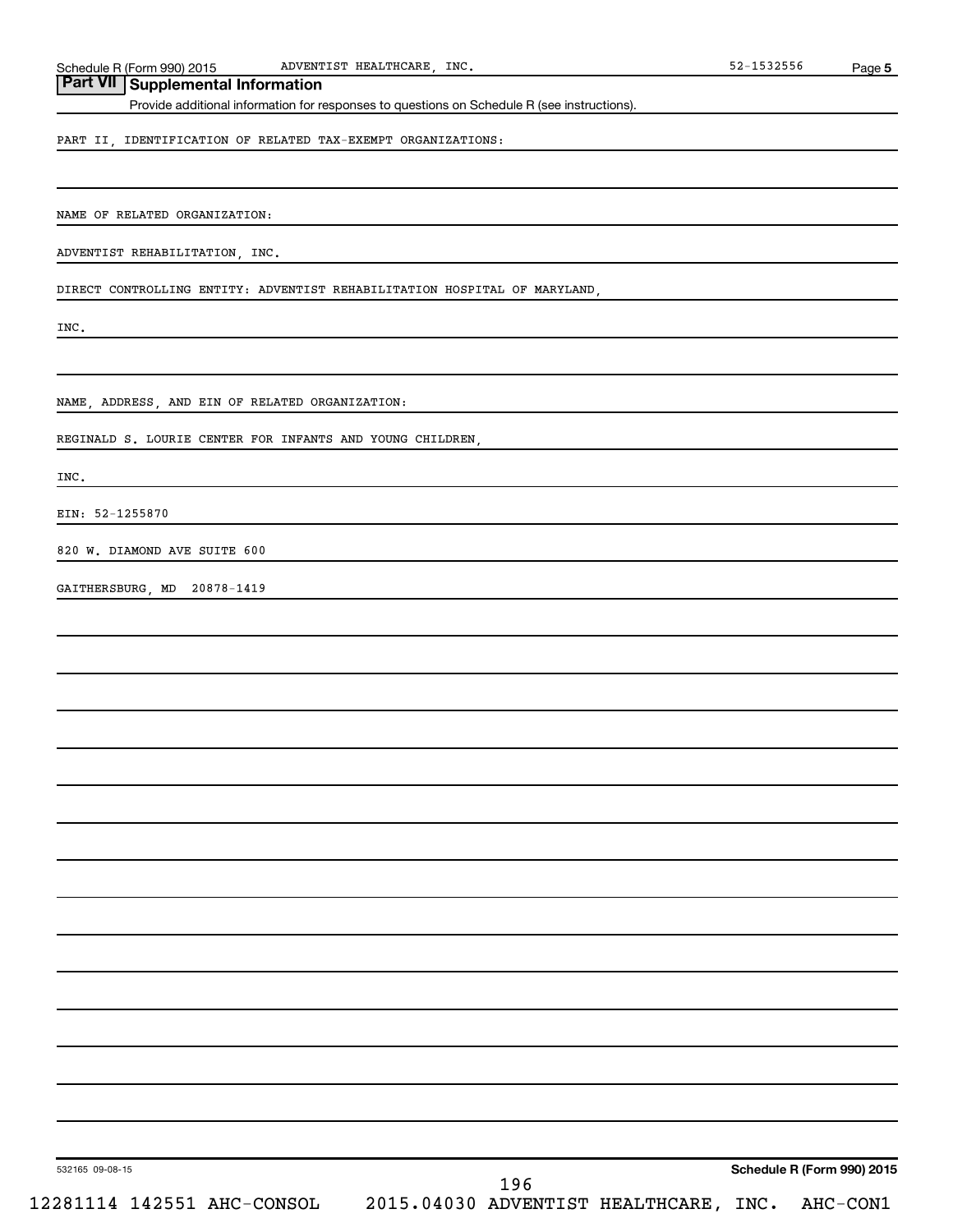Schedule R (Form 990) 2015 ADVENTIST HEALTHCARE, INC. 52-1532556 ADVENTIST HEALTHCARE, INC.

#### **Part VII Supplemental Information**

Provide additional information for responses to questions on Schedule R (see instructions).

PART II, IDENTIFICATION OF RELATED TAX-EXEMPT ORGANIZATIONS:

NAME OF RELATED ORGANIZATION:

ADVENTIST REHABILITATION, INC.

DIRECT CONTROLLING ENTITY: ADVENTIST REHABILITATION HOSPITAL OF MARYLAND,

INC.

NAME, ADDRESS, AND EIN OF RELATED ORGANIZATION:

REGINALD S. LOURIE CENTER FOR INFANTS AND YOUNG CHILDREN,

INC.

EIN: 52-1255870

820 W. DIAMOND AVE SUITE 600

GAITHERSBURG, MD 20878-1419

532165 09-08-15

**Schedule R (Form 990) 2015** 12281114 142551 AHC-CONSOL 2015.04030 ADVENTIST HEALTHCARE, INC. AHC-CON1 196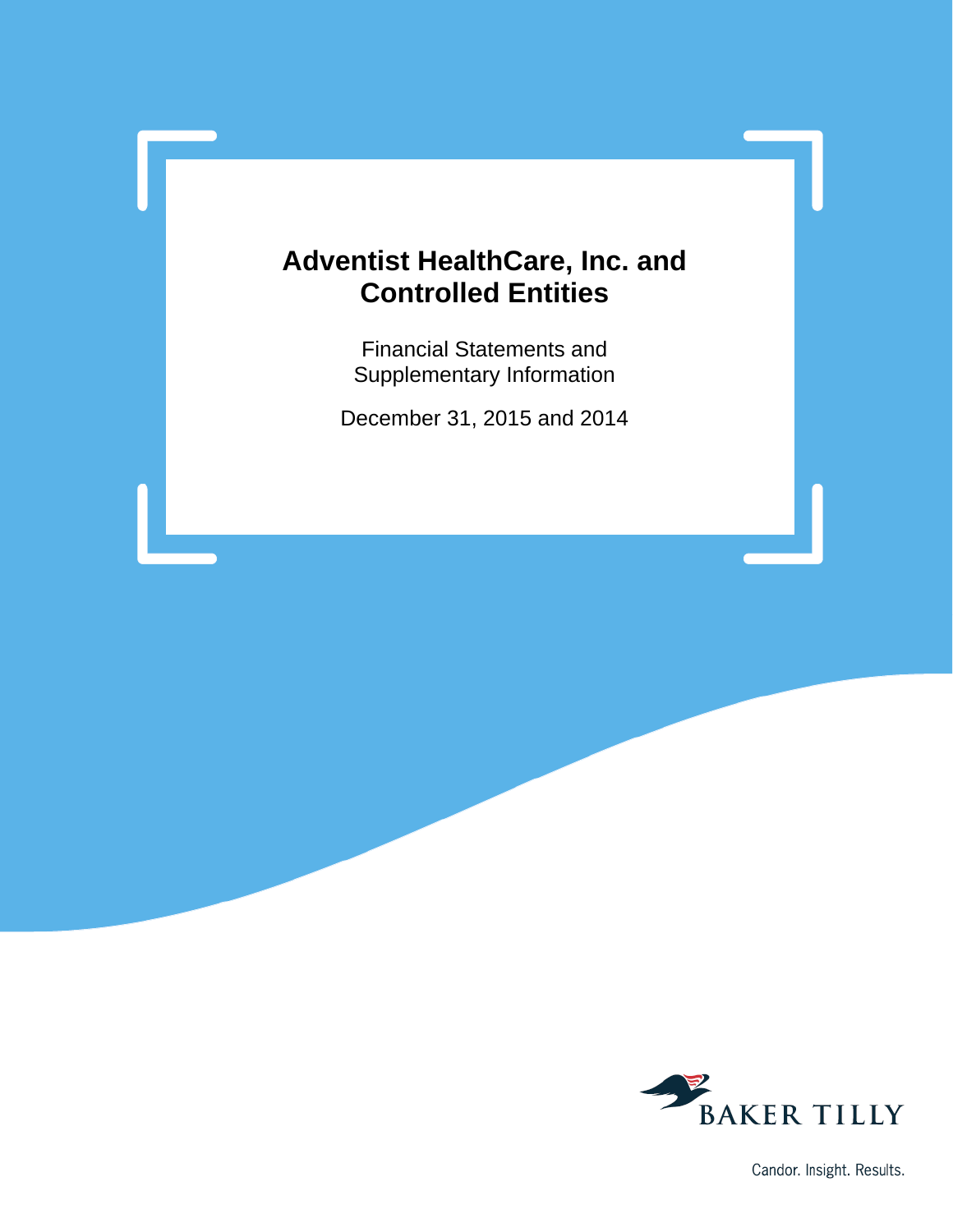Financial Statements and Supplementary Information

December 31, 2015 and 2014



Candor. Insight. Results.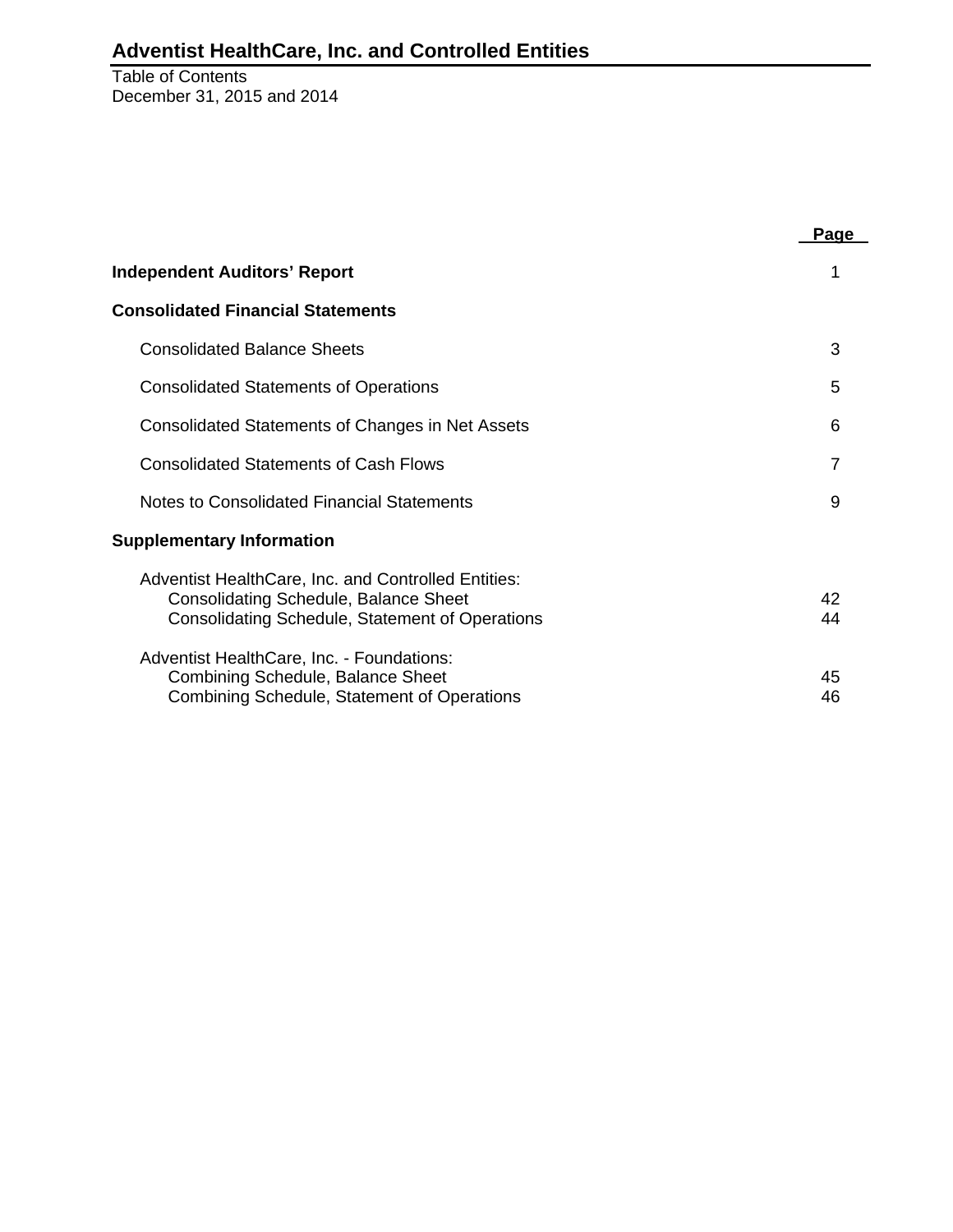Table of Contents December 31, 2015 and 2014

|                                                                                                                                                               | Page     |
|---------------------------------------------------------------------------------------------------------------------------------------------------------------|----------|
| <b>Independent Auditors' Report</b>                                                                                                                           |          |
| <b>Consolidated Financial Statements</b>                                                                                                                      |          |
| <b>Consolidated Balance Sheets</b>                                                                                                                            | 3        |
| <b>Consolidated Statements of Operations</b>                                                                                                                  | 5        |
| <b>Consolidated Statements of Changes in Net Assets</b>                                                                                                       | 6        |
| <b>Consolidated Statements of Cash Flows</b>                                                                                                                  | 7        |
| Notes to Consolidated Financial Statements                                                                                                                    | 9        |
| <b>Supplementary Information</b>                                                                                                                              |          |
| Adventist HealthCare, Inc. and Controlled Entities:<br><b>Consolidating Schedule, Balance Sheet</b><br><b>Consolidating Schedule, Statement of Operations</b> | 42<br>44 |
| Adventist HealthCare, Inc. - Foundations:<br><b>Combining Schedule, Balance Sheet</b><br>Combining Schedule, Statement of Operations                          | 45<br>46 |
|                                                                                                                                                               |          |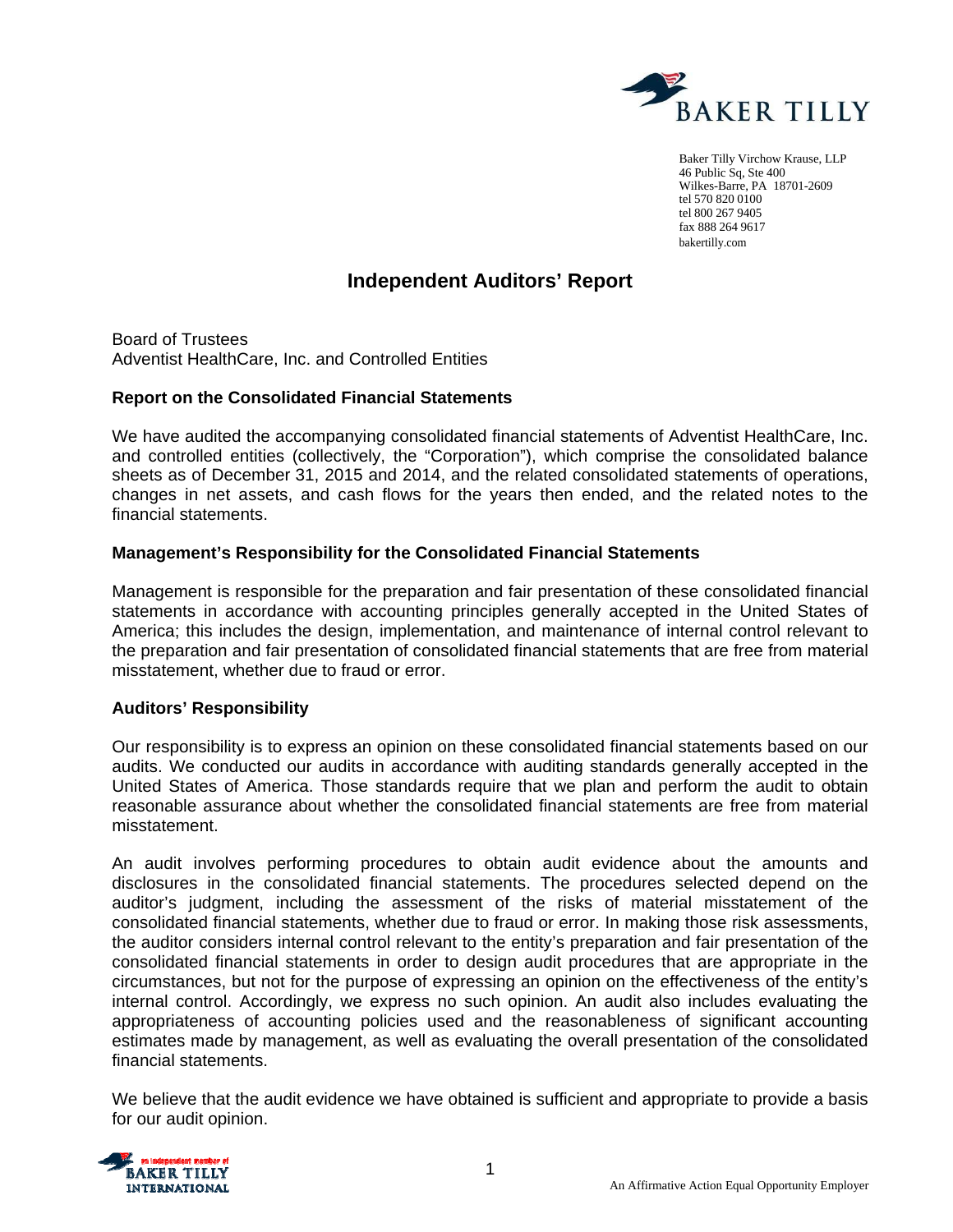

Baker Tilly Virchow Krause, LLP 46 Public Sq, Ste 400 Wilkes-Barre, PA 18701-2609 tel 570 820 0100 tel 800 267 9405 fax 888 264 9617 bakertilly.com

# **Independent Auditors' Report**

Board of Trustees Adventist HealthCare, Inc. and Controlled Entities

#### **Report on the Consolidated Financial Statements**

We have audited the accompanying consolidated financial statements of Adventist HealthCare, Inc. and controlled entities (collectively, the "Corporation"), which comprise the consolidated balance sheets as of December 31, 2015 and 2014, and the related consolidated statements of operations, changes in net assets, and cash flows for the years then ended, and the related notes to the financial statements.

#### **Management's Responsibility for the Consolidated Financial Statements**

Management is responsible for the preparation and fair presentation of these consolidated financial statements in accordance with accounting principles generally accepted in the United States of America; this includes the design, implementation, and maintenance of internal control relevant to the preparation and fair presentation of consolidated financial statements that are free from material misstatement, whether due to fraud or error.

#### **Auditors' Responsibility**

Our responsibility is to express an opinion on these consolidated financial statements based on our audits. We conducted our audits in accordance with auditing standards generally accepted in the United States of America. Those standards require that we plan and perform the audit to obtain reasonable assurance about whether the consolidated financial statements are free from material misstatement.

An audit involves performing procedures to obtain audit evidence about the amounts and disclosures in the consolidated financial statements. The procedures selected depend on the auditor's judgment, including the assessment of the risks of material misstatement of the consolidated financial statements, whether due to fraud or error. In making those risk assessments, the auditor considers internal control relevant to the entity's preparation and fair presentation of the consolidated financial statements in order to design audit procedures that are appropriate in the circumstances, but not for the purpose of expressing an opinion on the effectiveness of the entity's internal control. Accordingly, we express no such opinion. An audit also includes evaluating the appropriateness of accounting policies used and the reasonableness of significant accounting estimates made by management, as well as evaluating the overall presentation of the consolidated financial statements.

We believe that the audit evidence we have obtained is sufficient and appropriate to provide a basis for our audit opinion.

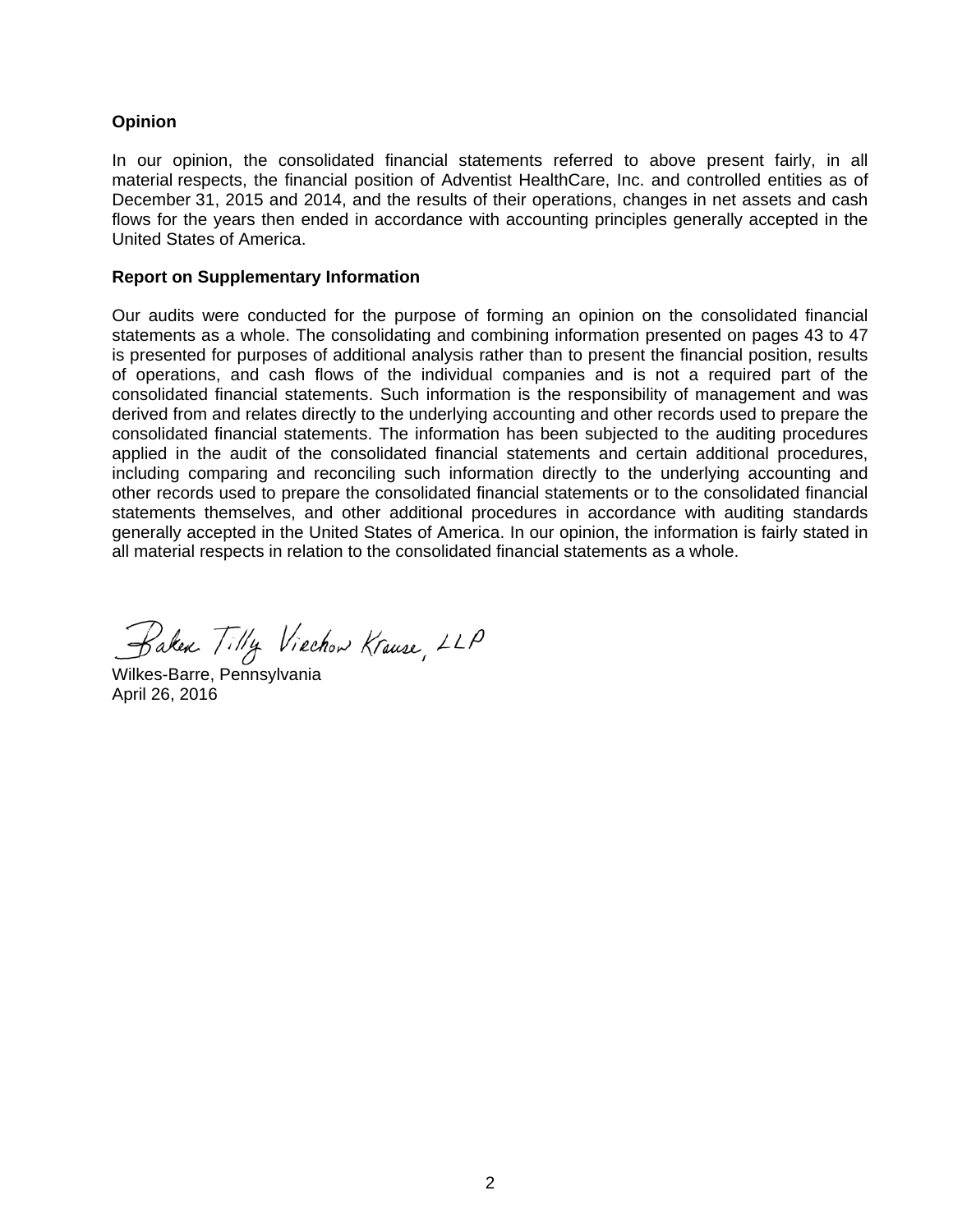#### **Opinion**

In our opinion, the consolidated financial statements referred to above present fairly, in all material respects, the financial position of Adventist HealthCare, Inc. and controlled entities as of December 31, 2015 and 2014, and the results of their operations, changes in net assets and cash flows for the years then ended in accordance with accounting principles generally accepted in the United States of America.

#### **Report on Supplementary Information**

Our audits were conducted for the purpose of forming an opinion on the consolidated financial statements as a whole. The consolidating and combining information presented on pages 43 to 47 is presented for purposes of additional analysis rather than to present the financial position, results of operations, and cash flows of the individual companies and is not a required part of the consolidated financial statements. Such information is the responsibility of management and was derived from and relates directly to the underlying accounting and other records used to prepare the consolidated financial statements. The information has been subjected to the auditing procedures applied in the audit of the consolidated financial statements and certain additional procedures, including comparing and reconciling such information directly to the underlying accounting and other records used to prepare the consolidated financial statements or to the consolidated financial statements themselves, and other additional procedures in accordance with auditing standards generally accepted in the United States of America. In our opinion, the information is fairly stated in all material respects in relation to the consolidated financial statements as a whole.

Baken Tilly Viechow Krause, LLP

Wilkes-Barre, Pennsylvania April 26, 2016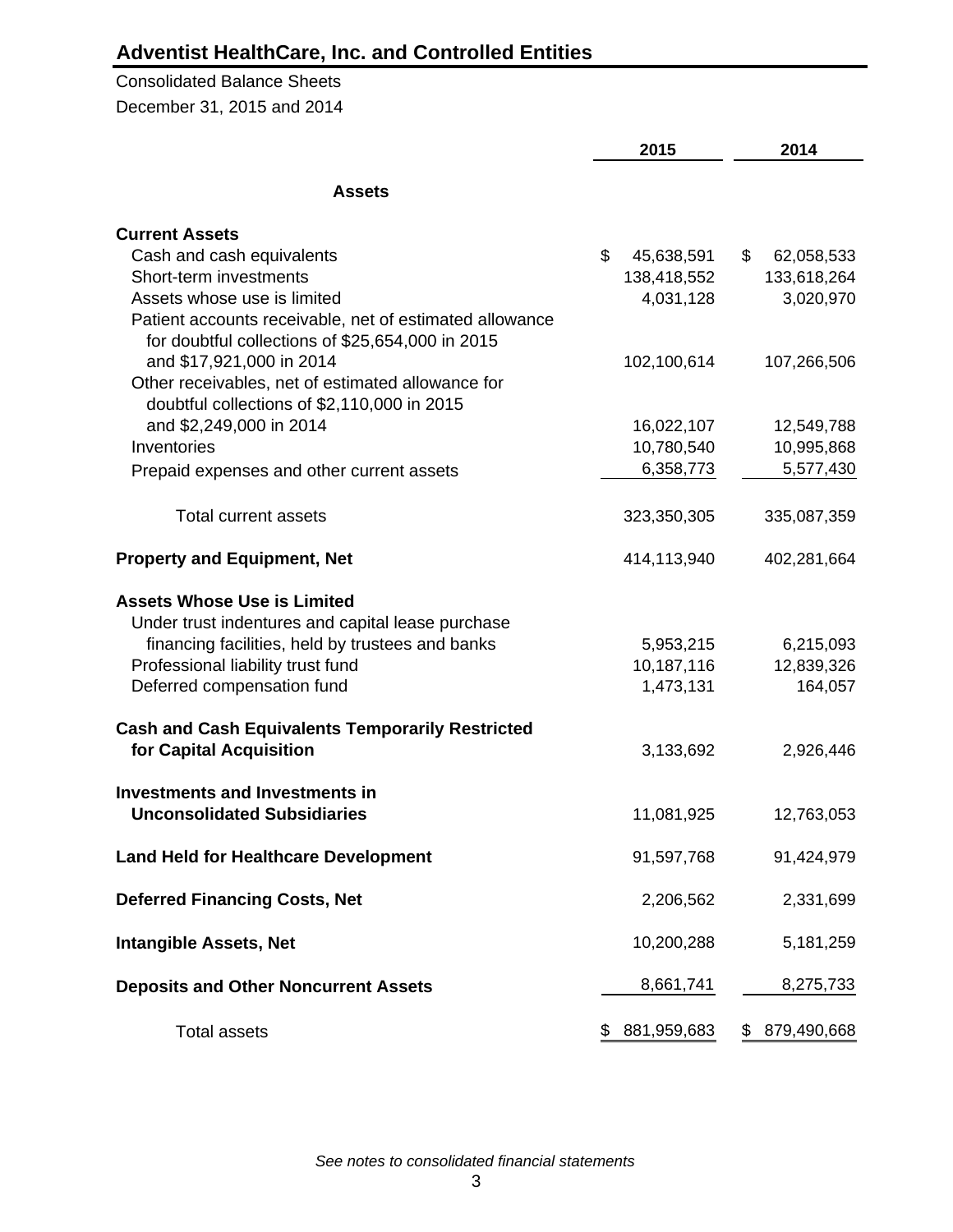Consolidated Balance Sheets December 31, 2015 and 2014

|                                                         | 2015              | 2014              |
|---------------------------------------------------------|-------------------|-------------------|
| Assets                                                  |                   |                   |
| <b>Current Assets</b>                                   |                   |                   |
| Cash and cash equivalents                               | \$<br>45,638,591  | \$<br>62,058,533  |
| Short-term investments                                  | 138,418,552       | 133,618,264       |
| Assets whose use is limited                             | 4,031,128         | 3,020,970         |
| Patient accounts receivable, net of estimated allowance |                   |                   |
| for doubtful collections of \$25,654,000 in 2015        |                   |                   |
| and \$17,921,000 in 2014                                | 102,100,614       | 107,266,506       |
| Other receivables, net of estimated allowance for       |                   |                   |
| doubtful collections of \$2,110,000 in 2015             |                   |                   |
| and \$2,249,000 in 2014                                 | 16,022,107        | 12,549,788        |
| Inventories                                             | 10,780,540        | 10,995,868        |
| Prepaid expenses and other current assets               | 6,358,773         | 5,577,430         |
| <b>Total current assets</b>                             | 323,350,305       | 335,087,359       |
| <b>Property and Equipment, Net</b>                      | 414,113,940       | 402,281,664       |
| <b>Assets Whose Use is Limited</b>                      |                   |                   |
| Under trust indentures and capital lease purchase       |                   |                   |
| financing facilities, held by trustees and banks        | 5,953,215         | 6,215,093         |
| Professional liability trust fund                       | 10,187,116        | 12,839,326        |
| Deferred compensation fund                              | 1,473,131         | 164,057           |
| <b>Cash and Cash Equivalents Temporarily Restricted</b> |                   |                   |
| for Capital Acquisition                                 | 3,133,692         | 2,926,446         |
| <b>Investments and Investments in</b>                   |                   |                   |
| <b>Unconsolidated Subsidiaries</b>                      | 11,081,925        | 12,763,053        |
| <b>Land Held for Healthcare Development</b>             | 91,597,768        | 91,424,979        |
| <b>Deferred Financing Costs, Net</b>                    | 2,206,562         | 2,331,699         |
| <b>Intangible Assets, Net</b>                           | 10,200,288        | 5,181,259         |
| <b>Deposits and Other Noncurrent Assets</b>             | 8,661,741         | 8,275,733         |
| <b>Total assets</b>                                     | 881,959,683<br>\$ | \$<br>879,490,668 |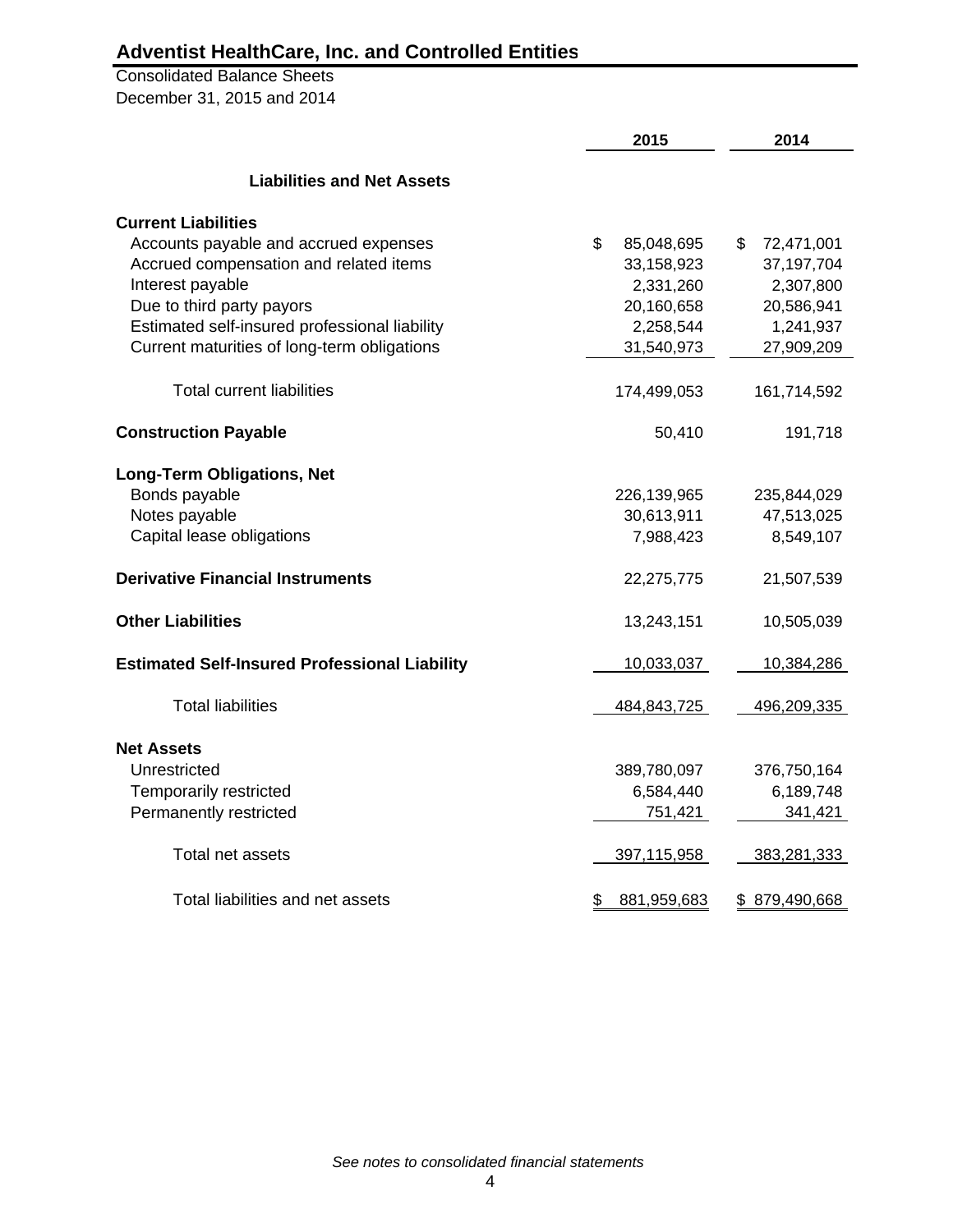Consolidated Balance Sheets December 31, 2015 and 2014

|                                                      | 2015              | 2014             |
|------------------------------------------------------|-------------------|------------------|
| <b>Liabilities and Net Assets</b>                    |                   |                  |
| <b>Current Liabilities</b>                           |                   |                  |
| Accounts payable and accrued expenses                | \$<br>85,048,695  | \$<br>72,471,001 |
| Accrued compensation and related items               | 33,158,923        | 37, 197, 704     |
| Interest payable                                     | 2,331,260         | 2,307,800        |
| Due to third party payors                            | 20,160,658        | 20,586,941       |
| Estimated self-insured professional liability        | 2,258,544         | 1,241,937        |
| Current maturities of long-term obligations          | 31,540,973        | 27,909,209       |
| <b>Total current liabilities</b>                     | 174,499,053       | 161,714,592      |
| <b>Construction Payable</b>                          | 50,410            | 191,718          |
| <b>Long-Term Obligations, Net</b>                    |                   |                  |
| Bonds payable                                        | 226,139,965       | 235,844,029      |
| Notes payable                                        | 30,613,911        | 47,513,025       |
| Capital lease obligations                            | 7,988,423         | 8,549,107        |
| <b>Derivative Financial Instruments</b>              | 22,275,775        | 21,507,539       |
| <b>Other Liabilities</b>                             | 13,243,151        | 10,505,039       |
| <b>Estimated Self-Insured Professional Liability</b> | 10,033,037        | 10,384,286       |
| <b>Total liabilities</b>                             | 484,843,725       | 496,209,335      |
| <b>Net Assets</b>                                    |                   |                  |
| Unrestricted                                         | 389,780,097       | 376,750,164      |
| Temporarily restricted                               | 6,584,440         | 6,189,748        |
| Permanently restricted                               | 751,421           | 341,421          |
| Total net assets                                     | 397,115,958       | 383,281,333      |
| Total liabilities and net assets                     | 881,959,683<br>\$ | \$879,490,668    |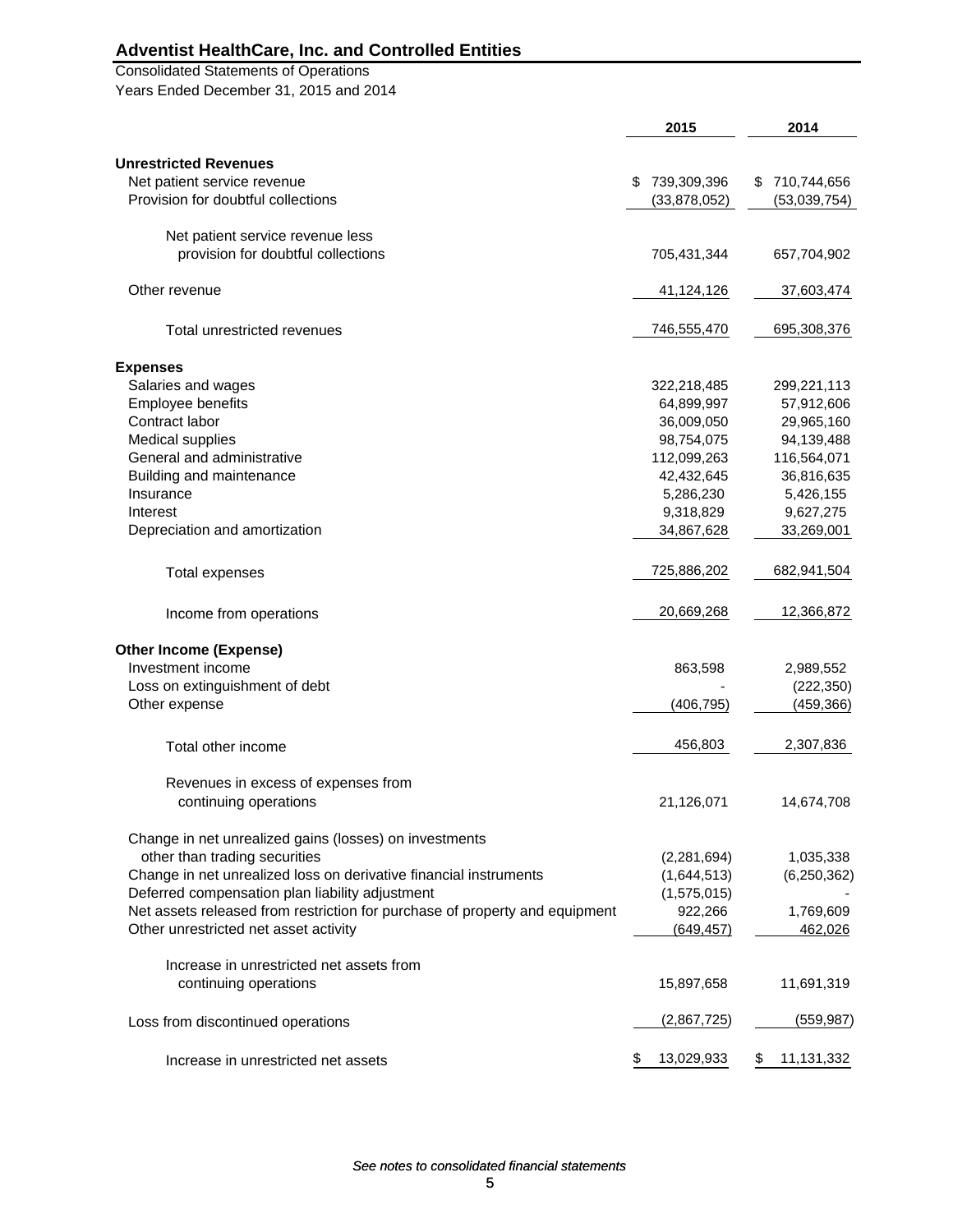#### Consolidated Statements of Operations Years Ended December 31, 2015 and 2014

|                                                                             | 2015               | 2014              |  |
|-----------------------------------------------------------------------------|--------------------|-------------------|--|
| <b>Unrestricted Revenues</b>                                                |                    |                   |  |
| Net patient service revenue                                                 | 739,309,396<br>\$. | \$<br>710,744,656 |  |
| Provision for doubtful collections                                          | (33,878,052)       | (53,039,754)      |  |
|                                                                             |                    |                   |  |
| Net patient service revenue less<br>provision for doubtful collections      | 705,431,344        | 657,704,902       |  |
|                                                                             |                    |                   |  |
| Other revenue                                                               | 41,124,126         | 37,603,474        |  |
| Total unrestricted revenues                                                 | 746,555,470        | 695,308,376       |  |
| <b>Expenses</b>                                                             |                    |                   |  |
| Salaries and wages                                                          | 322,218,485        | 299,221,113       |  |
| Employee benefits                                                           | 64,899,997         | 57,912,606        |  |
| Contract labor                                                              | 36,009,050         | 29,965,160        |  |
| <b>Medical supplies</b>                                                     | 98,754,075         | 94,139,488        |  |
| General and administrative                                                  | 112,099,263        | 116,564,071       |  |
| Building and maintenance                                                    | 42,432,645         | 36,816,635        |  |
| Insurance                                                                   | 5,286,230          | 5,426,155         |  |
| Interest                                                                    | 9,318,829          | 9,627,275         |  |
| Depreciation and amortization                                               | 34,867,628         | 33,269,001        |  |
|                                                                             | 725,886,202        | 682,941,504       |  |
| <b>Total expenses</b>                                                       |                    |                   |  |
| Income from operations                                                      | 20,669,268         | 12,366,872        |  |
| <b>Other Income (Expense)</b>                                               |                    |                   |  |
| Investment income                                                           | 863,598            | 2,989,552         |  |
| Loss on extinguishment of debt                                              |                    | (222, 350)        |  |
| Other expense                                                               | (406,795)          | (459,366)         |  |
| Total other income                                                          | 456,803            | 2,307,836         |  |
| Revenues in excess of expenses from                                         |                    |                   |  |
| continuing operations                                                       | 21,126,071         | 14,674,708        |  |
|                                                                             |                    |                   |  |
| Change in net unrealized gains (losses) on investments                      |                    |                   |  |
| other than trading securities                                               | (2, 281, 694)      | 1,035,338         |  |
| Change in net unrealized loss on derivative financial instruments           | (1,644,513)        | (6, 250, 362)     |  |
| Deferred compensation plan liability adjustment                             | (1,575,015)        |                   |  |
| Net assets released from restriction for purchase of property and equipment | 922,266            | 1,769,609         |  |
| Other unrestricted net asset activity                                       | (649, 457)         | 462,026           |  |
| Increase in unrestricted net assets from                                    |                    |                   |  |
| continuing operations                                                       | 15,897,658         | 11,691,319        |  |
| Loss from discontinued operations                                           | (2,867,725)        | (559, 987)        |  |
| Increase in unrestricted net assets                                         | 13,029,933         | 11,131,332        |  |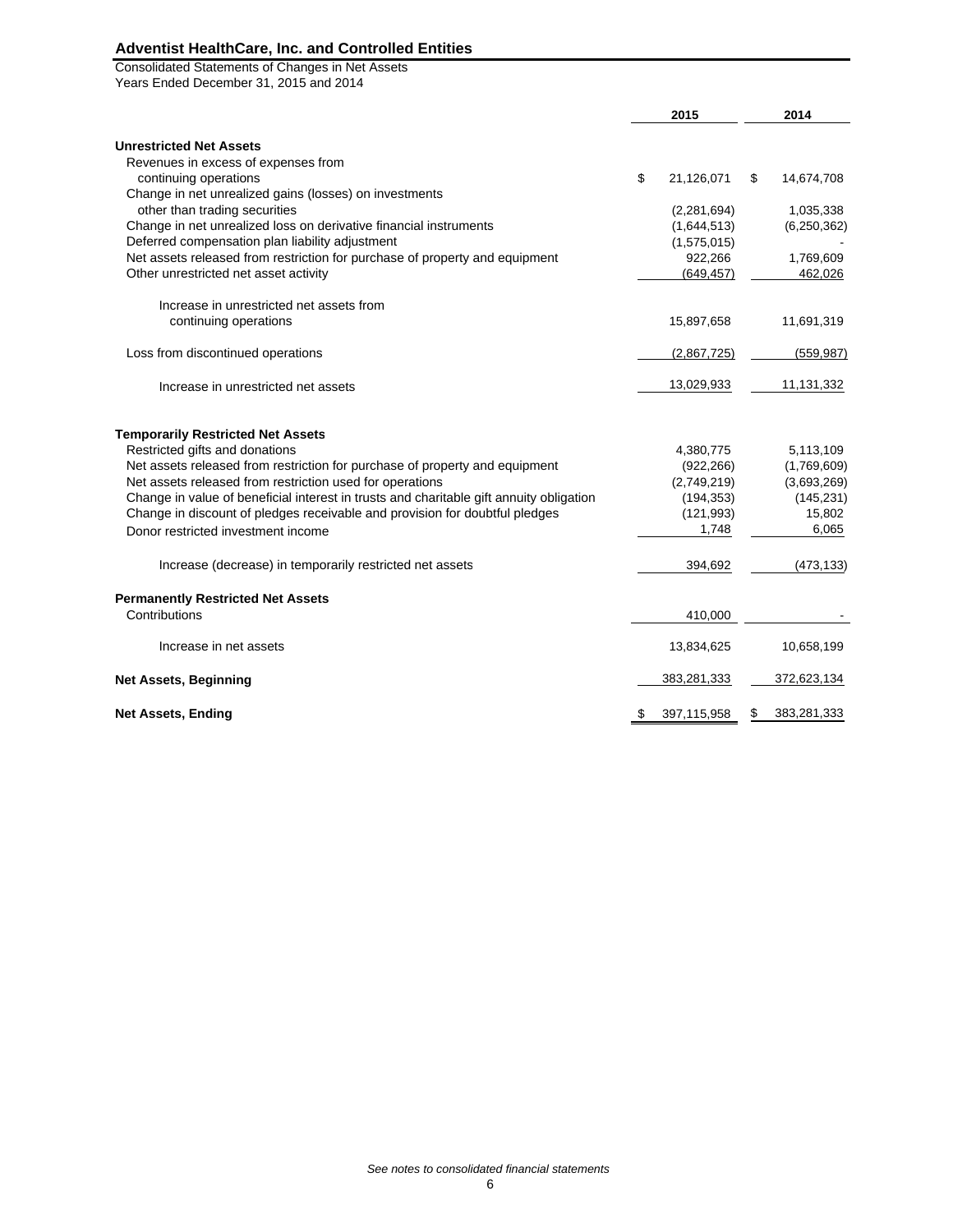Consolidated Statements of Changes in Net Assets Years Ended December 31, 2015 and 2014

|                                                                                         | 2015             | 2014              |
|-----------------------------------------------------------------------------------------|------------------|-------------------|
| <b>Unrestricted Net Assets</b>                                                          |                  |                   |
| Revenues in excess of expenses from                                                     |                  |                   |
| continuing operations                                                                   | \$<br>21,126,071 | \$<br>14,674,708  |
| Change in net unrealized gains (losses) on investments                                  |                  |                   |
| other than trading securities                                                           | (2,281,694)      | 1,035,338         |
| Change in net unrealized loss on derivative financial instruments                       | (1,644,513)      | (6,250,362)       |
| Deferred compensation plan liability adjustment                                         | (1,575,015)      |                   |
| Net assets released from restriction for purchase of property and equipment             | 922,266          | 1,769,609         |
| Other unrestricted net asset activity                                                   | (649, 457)       | 462,026           |
| Increase in unrestricted net assets from                                                |                  |                   |
| continuing operations                                                                   | 15,897,658       | 11,691,319        |
| Loss from discontinued operations                                                       | (2,867,725)      | (559, 987)        |
| Increase in unrestricted net assets                                                     | 13,029,933       | 11,131,332        |
| <b>Temporarily Restricted Net Assets</b>                                                |                  |                   |
| Restricted gifts and donations                                                          | 4,380,775        | 5,113,109         |
| Net assets released from restriction for purchase of property and equipment             | (922, 266)       | (1,769,609)       |
| Net assets released from restriction used for operations                                | (2,749,219)      | (3,693,269)       |
| Change in value of beneficial interest in trusts and charitable gift annuity obligation | (194, 353)       | (145, 231)        |
| Change in discount of pledges receivable and provision for doubtful pledges             | (121, 993)       | 15,802            |
| Donor restricted investment income                                                      | 1,748            | 6,065             |
| Increase (decrease) in temporarily restricted net assets                                | 394,692          | (473, 133)        |
| <b>Permanently Restricted Net Assets</b>                                                |                  |                   |
| Contributions                                                                           | 410,000          |                   |
| Increase in net assets                                                                  | 13,834,625       | 10,658,199        |
| <b>Net Assets, Beginning</b>                                                            | 383,281,333      | 372,623,134       |
| <b>Net Assets, Ending</b>                                                               | 397,115,958      | \$<br>383,281,333 |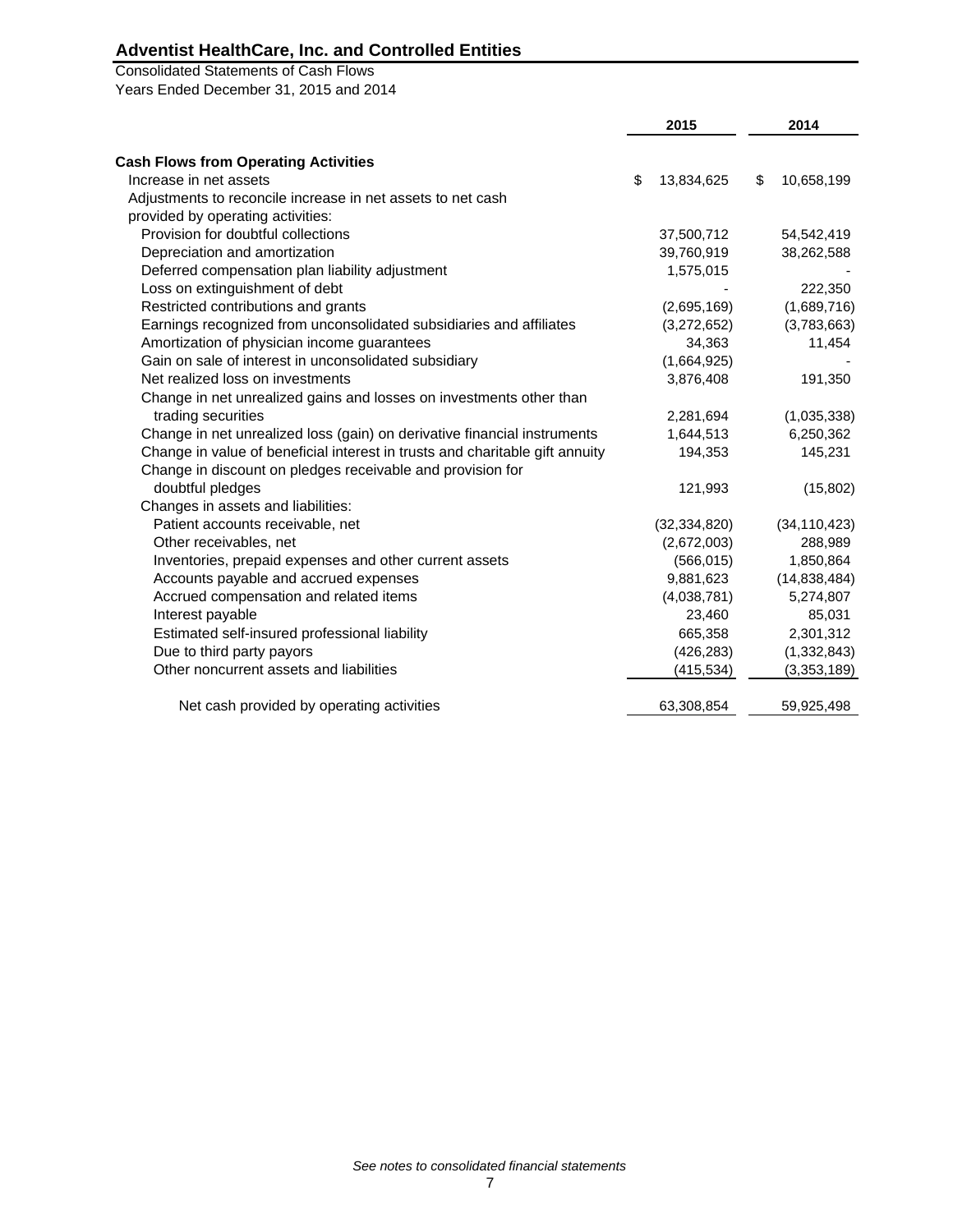Consolidated Statements of Cash Flows Years Ended December 31, 2015 and 2014

**2015 2014 Cash Flows from Operating Activities Increase in net assets by a 10,658,199 13,834,625 \$** 10,658,199 Adjustments to reconcile increase in net assets to net cash provided by operating activities: Provision for doubtful collections 64,542,419  $\overline{37,500,712}$  54,542,419 Depreciation and amortization 39,760,919 38,262,588 Deferred compensation plan liability adjustment 1,575,015 Loss on extinguishment of debt 222,350 - Restricted contributions and grants (2,695,169) (1,689,716) Earnings recognized from unconsolidated subsidiaries and affiliates (3,783,663) (3,272,652) Amortization of physician income guarantees 11,454 34,363 11,454 Gain on sale of interest in unconsolidated subsidiary example that the same (1,664,925) Net realized loss on investments 191,350 and 191,350 and 191,350 and 191,350 and 191,350 and 191,350 and 191,350 and 191,350 and 191,350 and 191,350 and 191,350 and 191,350 and 191,350 and 191,350 and 191,350 and 191,350 a Change in net unrealized gains and losses on investments other than trading securities (1,035,338) 2,281,694 (1,035,338) Change in net unrealized loss (gain) on derivative financial instruments 1,644,513 6,250,362 Change in value of beneficial interest in trusts and charitable gift annuity 194,353 145,231 Change in discount on pledges receivable and provision for doubtful pledges (15,802) 121,993 (15,802) Changes in assets and liabilities: Patient accounts receivable, net (32,334,820) (34,110,423) Other receivables, net 288,989 (2,672,003) 288,989 Inventories, prepaid expenses and other current assets (566,015) 1,850,864 Accounts payable and accrued expenses (14,838,484) 9,881,623 (14,838,484) Accrued compensation and related items 5,274,807 (4,038,781) 5,274,807 Interest payable 85,031 23,460 85,031 Estimated self-insured professional liability 2,301,312 665,358 Due to third party payors (1,332,843) (1,332,843) Other noncurrent assets and liabilities (3,353,189) (3,353,189) Net cash provided by operating activities 63,308,854 63,308,854 69,925,498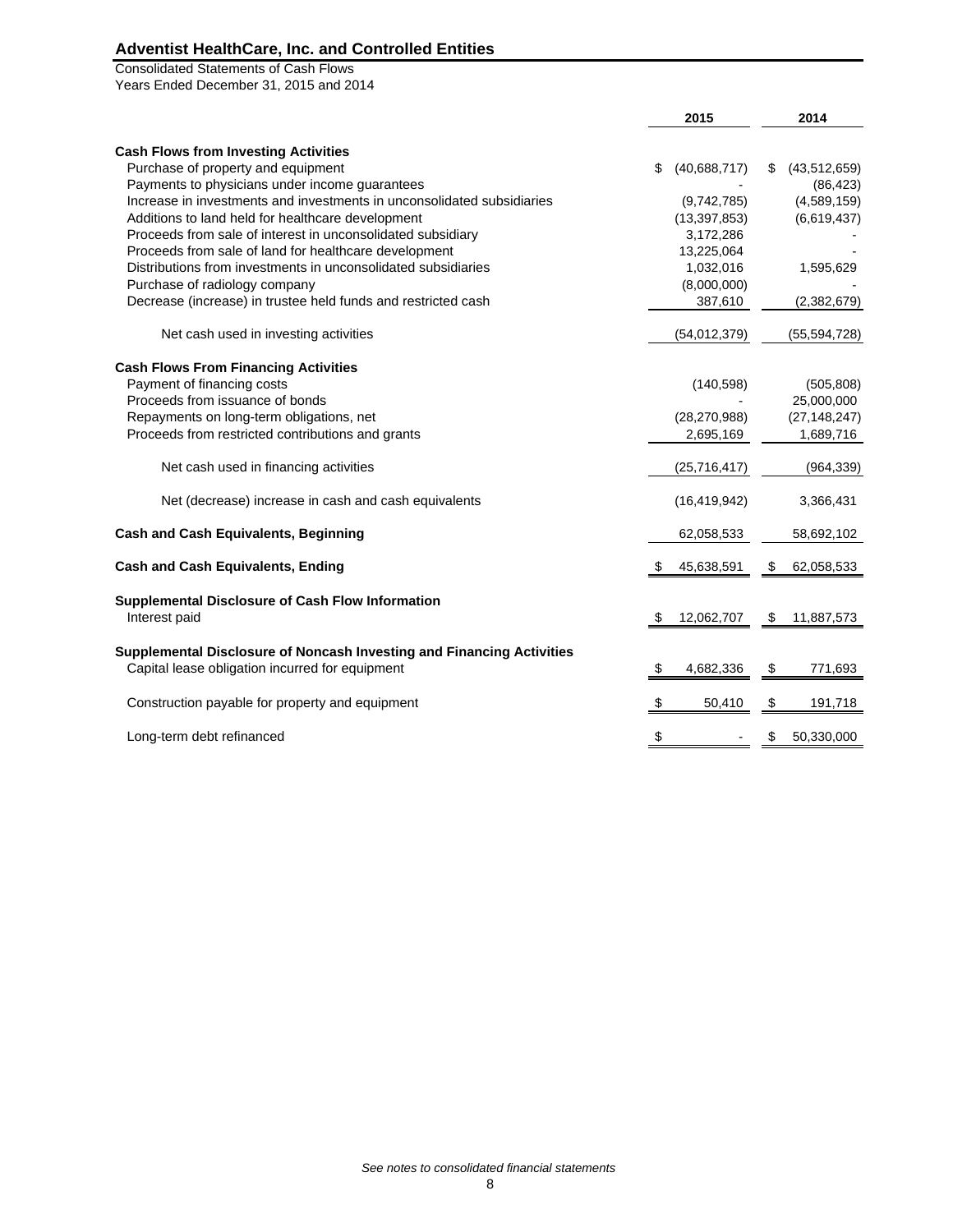#### Consolidated Statements of Cash Flows Years Ended December 31, 2015 and 2014

|                                                                                                                          |    | 2015           | 2014             |
|--------------------------------------------------------------------------------------------------------------------------|----|----------------|------------------|
| <b>Cash Flows from Investing Activities</b>                                                                              |    |                |                  |
| Purchase of property and equipment                                                                                       | \$ | (40, 688, 717) | (43, 512, 659)   |
| Payments to physicians under income guarantees                                                                           |    |                | (86, 423)        |
| Increase in investments and investments in unconsolidated subsidiaries                                                   |    | (9,742,785)    | (4,589,159)      |
| Additions to land held for healthcare development                                                                        |    | (13, 397, 853) | (6,619,437)      |
| Proceeds from sale of interest in unconsolidated subsidiary                                                              |    | 3,172,286      |                  |
| Proceeds from sale of land for healthcare development                                                                    |    | 13,225,064     |                  |
| Distributions from investments in unconsolidated subsidiaries                                                            |    | 1,032,016      | 1,595,629        |
| Purchase of radiology company                                                                                            |    | (8,000,000)    |                  |
| Decrease (increase) in trustee held funds and restricted cash                                                            |    | 387,610        | (2,382,679)      |
|                                                                                                                          |    |                |                  |
| Net cash used in investing activities                                                                                    |    | (54, 012, 379) | (55, 594, 728)   |
| <b>Cash Flows From Financing Activities</b>                                                                              |    |                |                  |
| Payment of financing costs                                                                                               |    | (140, 598)     | (505, 808)       |
| Proceeds from issuance of bonds                                                                                          |    |                | 25,000,000       |
| Repayments on long-term obligations, net                                                                                 |    | (28, 270, 988) | (27, 148, 247)   |
| Proceeds from restricted contributions and grants                                                                        |    | 2,695,169      | 1,689,716        |
|                                                                                                                          |    |                |                  |
| Net cash used in financing activities                                                                                    |    | (25, 716, 417) | (964, 339)       |
| Net (decrease) increase in cash and cash equivalents                                                                     |    | (16, 419, 942) | 3,366,431        |
| <b>Cash and Cash Equivalents, Beginning</b>                                                                              |    | 62,058,533     | 58,692,102       |
|                                                                                                                          |    |                |                  |
| <b>Cash and Cash Equivalents, Ending</b>                                                                                 | \$ | 45,638,591     | \$<br>62,058,533 |
| <b>Supplemental Disclosure of Cash Flow Information</b>                                                                  |    |                |                  |
| Interest paid                                                                                                            | \$ | 12,062,707     | \$<br>11,887,573 |
|                                                                                                                          |    |                |                  |
| Supplemental Disclosure of Noncash Investing and Financing Activities<br>Capital lease obligation incurred for equipment | S  | 4,682,336      | \$<br>771,693    |
|                                                                                                                          |    |                |                  |
| Construction payable for property and equipment                                                                          | \$ | 50,410         | \$<br>191,718    |
|                                                                                                                          |    |                |                  |
| Long-term debt refinanced                                                                                                | \$ |                | \$<br>50,330,000 |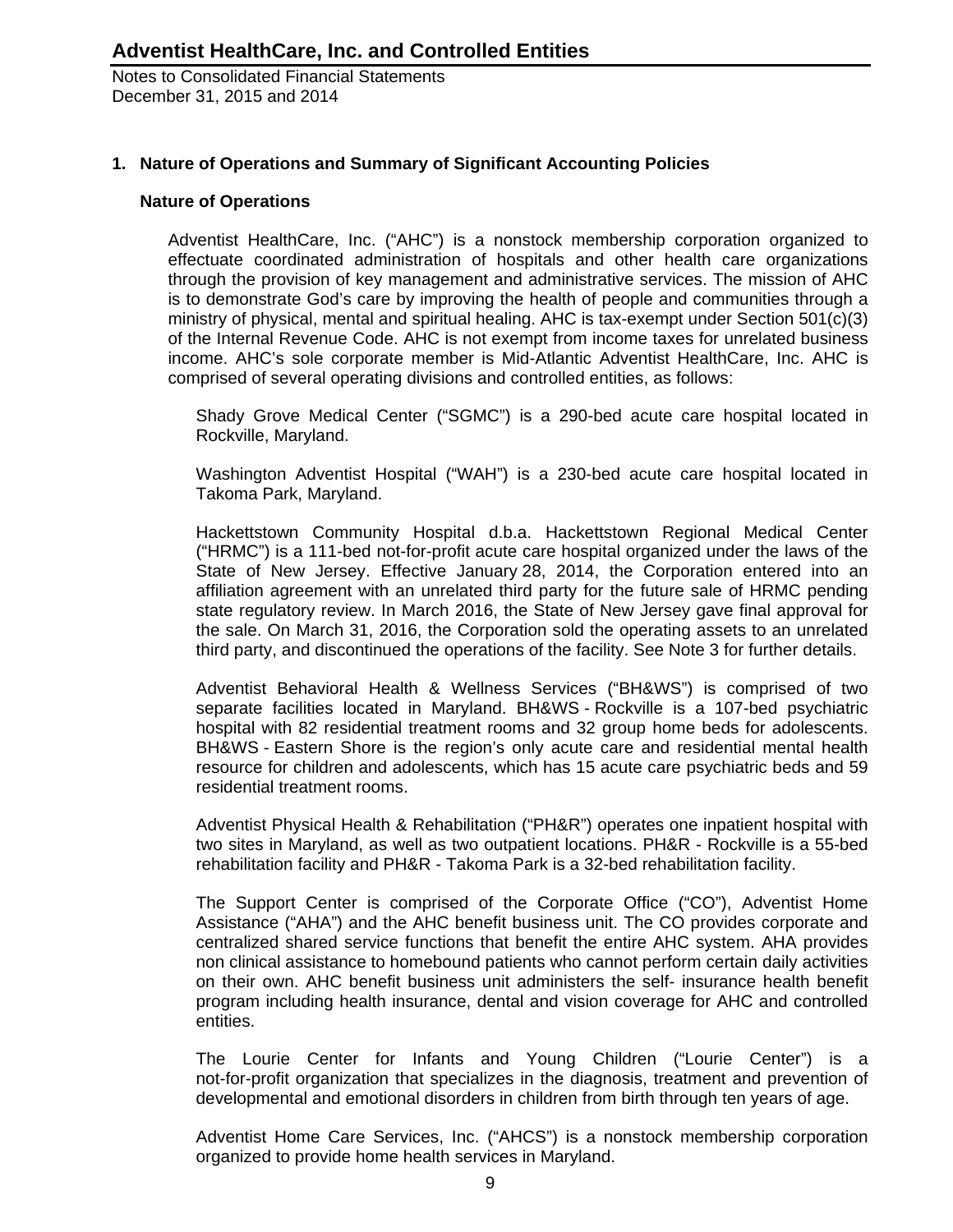#### **1. Nature of Operations and Summary of Significant Accounting Policies**

#### **Nature of Operations**

Adventist HealthCare, Inc. ("AHC") is a nonstock membership corporation organized to effectuate coordinated administration of hospitals and other health care organizations through the provision of key management and administrative services. The mission of AHC is to demonstrate God's care by improving the health of people and communities through a ministry of physical, mental and spiritual healing. AHC is tax-exempt under Section 501(c)(3) of the Internal Revenue Code. AHC is not exempt from income taxes for unrelated business income. AHC's sole corporate member is Mid-Atlantic Adventist HealthCare, Inc. AHC is comprised of several operating divisions and controlled entities, as follows:

Shady Grove Medical Center ("SGMC") is a 290-bed acute care hospital located in Rockville, Maryland.

Washington Adventist Hospital ("WAH") is a 230-bed acute care hospital located in Takoma Park, Maryland.

Hackettstown Community Hospital d.b.a. Hackettstown Regional Medical Center ("HRMC") is a 111-bed not-for-profit acute care hospital organized under the laws of the State of New Jersey. Effective January 28, 2014, the Corporation entered into an affiliation agreement with an unrelated third party for the future sale of HRMC pending state regulatory review. In March 2016, the State of New Jersey gave final approval for the sale. On March 31, 2016, the Corporation sold the operating assets to an unrelated third party, and discontinued the operations of the facility. See Note 3 for further details.

Adventist Behavioral Health & Wellness Services ("BH&WS") is comprised of two separate facilities located in Maryland. BH&WS - Rockville is a 107-bed psychiatric hospital with 82 residential treatment rooms and 32 group home beds for adolescents. BH&WS - Eastern Shore is the region's only acute care and residential mental health resource for children and adolescents, which has 15 acute care psychiatric beds and 59 residential treatment rooms.

Adventist Physical Health & Rehabilitation ("PH&R") operates one inpatient hospital with two sites in Maryland, as well as two outpatient locations. PH&R - Rockville is a 55-bed rehabilitation facility and PH&R - Takoma Park is a 32-bed rehabilitation facility.

The Support Center is comprised of the Corporate Office ("CO"), Adventist Home Assistance ("AHA") and the AHC benefit business unit. The CO provides corporate and centralized shared service functions that benefit the entire AHC system. AHA provides non clinical assistance to homebound patients who cannot perform certain daily activities on their own. AHC benefit business unit administers the self- insurance health benefit program including health insurance, dental and vision coverage for AHC and controlled entities.

The Lourie Center for Infants and Young Children ("Lourie Center") is a not-for-profit organization that specializes in the diagnosis, treatment and prevention of developmental and emotional disorders in children from birth through ten years of age.

Adventist Home Care Services, Inc. ("AHCS") is a nonstock membership corporation organized to provide home health services in Maryland.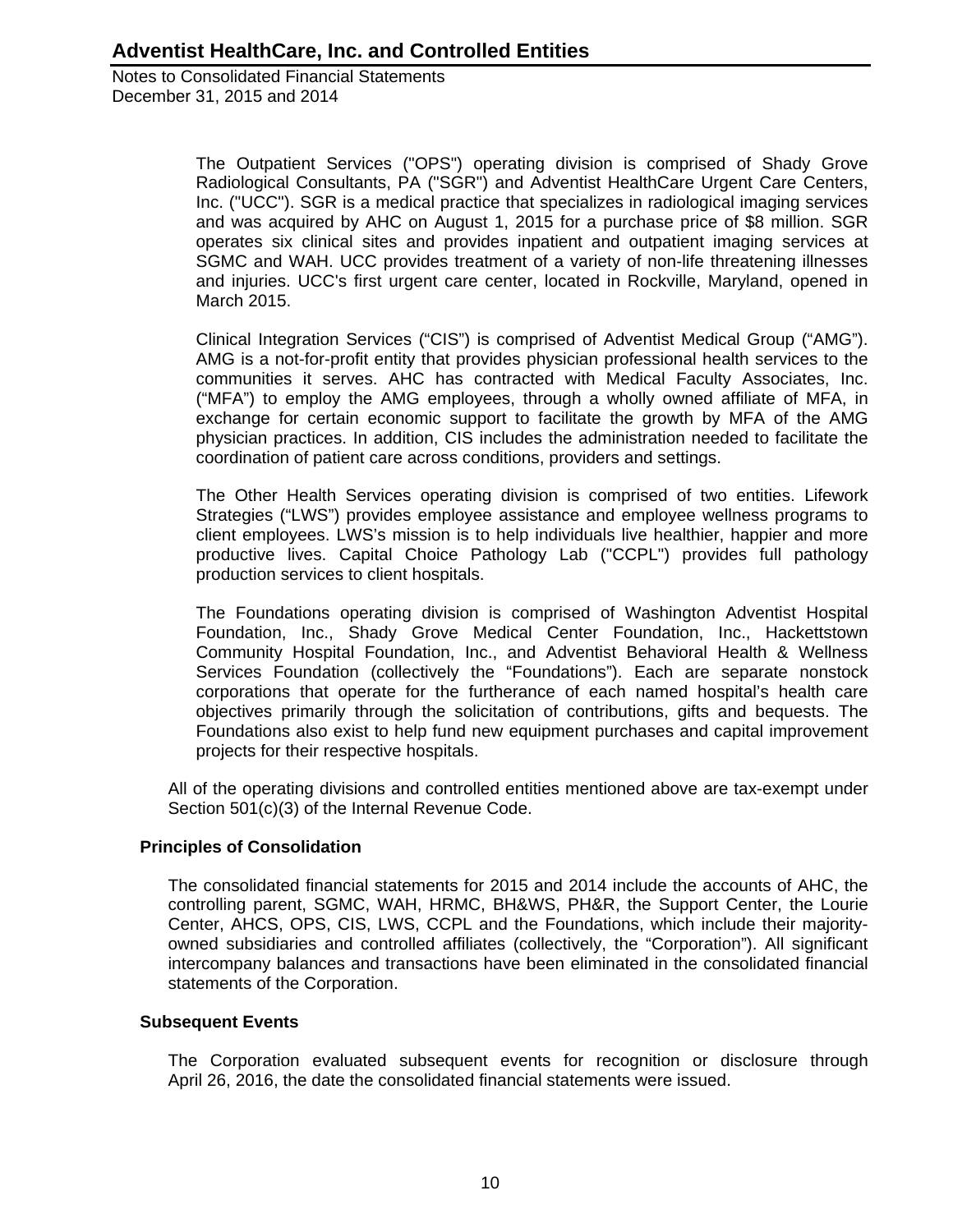> The Outpatient Services ("OPS") operating division is comprised of Shady Grove Radiological Consultants, PA ("SGR") and Adventist HealthCare Urgent Care Centers, Inc. ("UCC"). SGR is a medical practice that specializes in radiological imaging services and was acquired by AHC on August 1, 2015 for a purchase price of \$8 million. SGR operates six clinical sites and provides inpatient and outpatient imaging services at SGMC and WAH. UCC provides treatment of a variety of non-life threatening illnesses and injuries. UCC's first urgent care center, located in Rockville, Maryland, opened in March 2015.

> Clinical Integration Services ("CIS") is comprised of Adventist Medical Group ("AMG"). AMG is a not-for-profit entity that provides physician professional health services to the communities it serves. AHC has contracted with Medical Faculty Associates, Inc. ("MFA") to employ the AMG employees, through a wholly owned affiliate of MFA, in exchange for certain economic support to facilitate the growth by MFA of the AMG physician practices. In addition, CIS includes the administration needed to facilitate the coordination of patient care across conditions, providers and settings.

> The Other Health Services operating division is comprised of two entities. Lifework Strategies ("LWS") provides employee assistance and employee wellness programs to client employees. LWS's mission is to help individuals live healthier, happier and more productive lives. Capital Choice Pathology Lab ("CCPL") provides full pathology production services to client hospitals.

> The Foundations operating division is comprised of Washington Adventist Hospital Foundation, Inc., Shady Grove Medical Center Foundation, Inc., Hackettstown Community Hospital Foundation, Inc., and Adventist Behavioral Health & Wellness Services Foundation (collectively the "Foundations"). Each are separate nonstock corporations that operate for the furtherance of each named hospital's health care objectives primarily through the solicitation of contributions, gifts and bequests. The Foundations also exist to help fund new equipment purchases and capital improvement projects for their respective hospitals.

All of the operating divisions and controlled entities mentioned above are tax-exempt under Section 501(c)(3) of the Internal Revenue Code.

## **Principles of Consolidation**

The consolidated financial statements for 2015 and 2014 include the accounts of AHC, the controlling parent, SGMC, WAH, HRMC, BH&WS, PH&R, the Support Center, the Lourie Center, AHCS, OPS, CIS, LWS, CCPL and the Foundations, which include their majorityowned subsidiaries and controlled affiliates (collectively, the "Corporation"). All significant intercompany balances and transactions have been eliminated in the consolidated financial statements of the Corporation.

#### **Subsequent Events**

The Corporation evaluated subsequent events for recognition or disclosure through April 26, 2016, the date the consolidated financial statements were issued.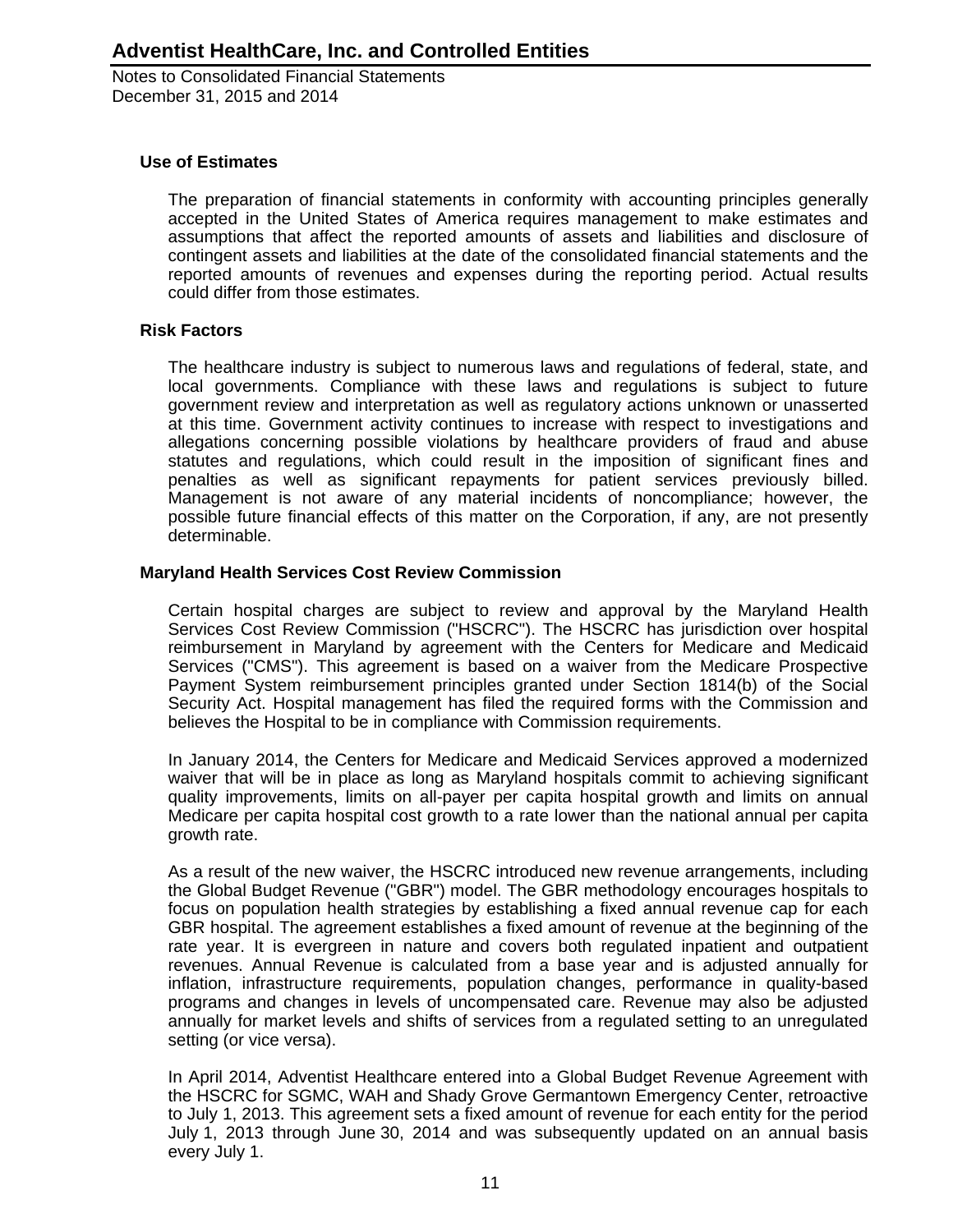#### **Use of Estimates**

The preparation of financial statements in conformity with accounting principles generally accepted in the United States of America requires management to make estimates and assumptions that affect the reported amounts of assets and liabilities and disclosure of contingent assets and liabilities at the date of the consolidated financial statements and the reported amounts of revenues and expenses during the reporting period. Actual results could differ from those estimates.

#### **Risk Factors**

The healthcare industry is subject to numerous laws and regulations of federal, state, and local governments. Compliance with these laws and regulations is subject to future government review and interpretation as well as regulatory actions unknown or unasserted at this time. Government activity continues to increase with respect to investigations and allegations concerning possible violations by healthcare providers of fraud and abuse statutes and regulations, which could result in the imposition of significant fines and penalties as well as significant repayments for patient services previously billed. Management is not aware of any material incidents of noncompliance; however, the possible future financial effects of this matter on the Corporation, if any, are not presently determinable.

#### **Maryland Health Services Cost Review Commission**

Certain hospital charges are subject to review and approval by the Maryland Health Services Cost Review Commission ("HSCRC"). The HSCRC has jurisdiction over hospital reimbursement in Maryland by agreement with the Centers for Medicare and Medicaid Services ("CMS"). This agreement is based on a waiver from the Medicare Prospective Payment System reimbursement principles granted under Section 1814(b) of the Social Security Act. Hospital management has filed the required forms with the Commission and believes the Hospital to be in compliance with Commission requirements.

In January 2014, the Centers for Medicare and Medicaid Services approved a modernized waiver that will be in place as long as Maryland hospitals commit to achieving significant quality improvements, limits on all-payer per capita hospital growth and limits on annual Medicare per capita hospital cost growth to a rate lower than the national annual per capita growth rate.

As a result of the new waiver, the HSCRC introduced new revenue arrangements, including the Global Budget Revenue ("GBR") model. The GBR methodology encourages hospitals to focus on population health strategies by establishing a fixed annual revenue cap for each GBR hospital. The agreement establishes a fixed amount of revenue at the beginning of the rate year. It is evergreen in nature and covers both regulated inpatient and outpatient revenues. Annual Revenue is calculated from a base year and is adjusted annually for inflation, infrastructure requirements, population changes, performance in quality-based programs and changes in levels of uncompensated care. Revenue may also be adjusted annually for market levels and shifts of services from a regulated setting to an unregulated setting (or vice versa).

In April 2014, Adventist Healthcare entered into a Global Budget Revenue Agreement with the HSCRC for SGMC, WAH and Shady Grove Germantown Emergency Center, retroactive to July 1, 2013. This agreement sets a fixed amount of revenue for each entity for the period July 1, 2013 through June 30, 2014 and was subsequently updated on an annual basis every July 1.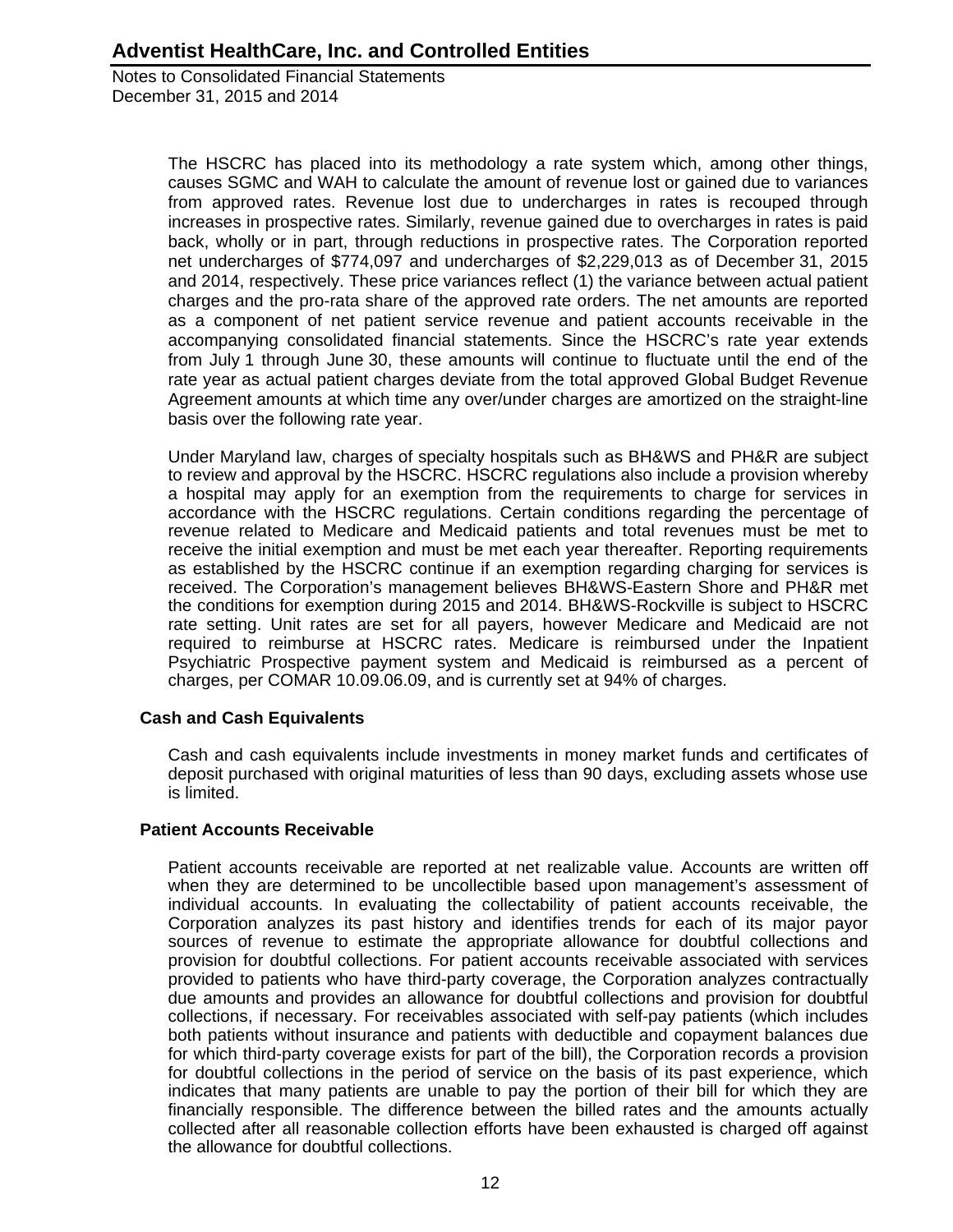> The HSCRC has placed into its methodology a rate system which, among other things, causes SGMC and WAH to calculate the amount of revenue lost or gained due to variances from approved rates. Revenue lost due to undercharges in rates is recouped through increases in prospective rates. Similarly, revenue gained due to overcharges in rates is paid back, wholly or in part, through reductions in prospective rates. The Corporation reported net undercharges of \$774,097 and undercharges of \$2,229,013 as of December 31, 2015 and 2014, respectively. These price variances reflect (1) the variance between actual patient charges and the pro-rata share of the approved rate orders. The net amounts are reported as a component of net patient service revenue and patient accounts receivable in the accompanying consolidated financial statements. Since the HSCRC's rate year extends from July 1 through June 30, these amounts will continue to fluctuate until the end of the rate year as actual patient charges deviate from the total approved Global Budget Revenue Agreement amounts at which time any over/under charges are amortized on the straight-line basis over the following rate year.

> Under Maryland law, charges of specialty hospitals such as BH&WS and PH&R are subject to review and approval by the HSCRC. HSCRC regulations also include a provision whereby a hospital may apply for an exemption from the requirements to charge for services in accordance with the HSCRC regulations. Certain conditions regarding the percentage of revenue related to Medicare and Medicaid patients and total revenues must be met to receive the initial exemption and must be met each year thereafter. Reporting requirements as established by the HSCRC continue if an exemption regarding charging for services is received. The Corporation's management believes BH&WS-Eastern Shore and PH&R met the conditions for exemption during 2015 and 2014. BH&WS-Rockville is subject to HSCRC rate setting. Unit rates are set for all payers, however Medicare and Medicaid are not required to reimburse at HSCRC rates. Medicare is reimbursed under the Inpatient Psychiatric Prospective payment system and Medicaid is reimbursed as a percent of charges, per COMAR 10.09.06.09, and is currently set at 94% of charges.

#### **Cash and Cash Equivalents**

Cash and cash equivalents include investments in money market funds and certificates of deposit purchased with original maturities of less than 90 days, excluding assets whose use is limited.

#### **Patient Accounts Receivable**

Patient accounts receivable are reported at net realizable value. Accounts are written off when they are determined to be uncollectible based upon management's assessment of individual accounts. In evaluating the collectability of patient accounts receivable, the Corporation analyzes its past history and identifies trends for each of its major payor sources of revenue to estimate the appropriate allowance for doubtful collections and provision for doubtful collections. For patient accounts receivable associated with services provided to patients who have third-party coverage, the Corporation analyzes contractually due amounts and provides an allowance for doubtful collections and provision for doubtful collections, if necessary. For receivables associated with self-pay patients (which includes both patients without insurance and patients with deductible and copayment balances due for which third-party coverage exists for part of the bill), the Corporation records a provision for doubtful collections in the period of service on the basis of its past experience, which indicates that many patients are unable to pay the portion of their bill for which they are financially responsible. The difference between the billed rates and the amounts actually collected after all reasonable collection efforts have been exhausted is charged off against the allowance for doubtful collections.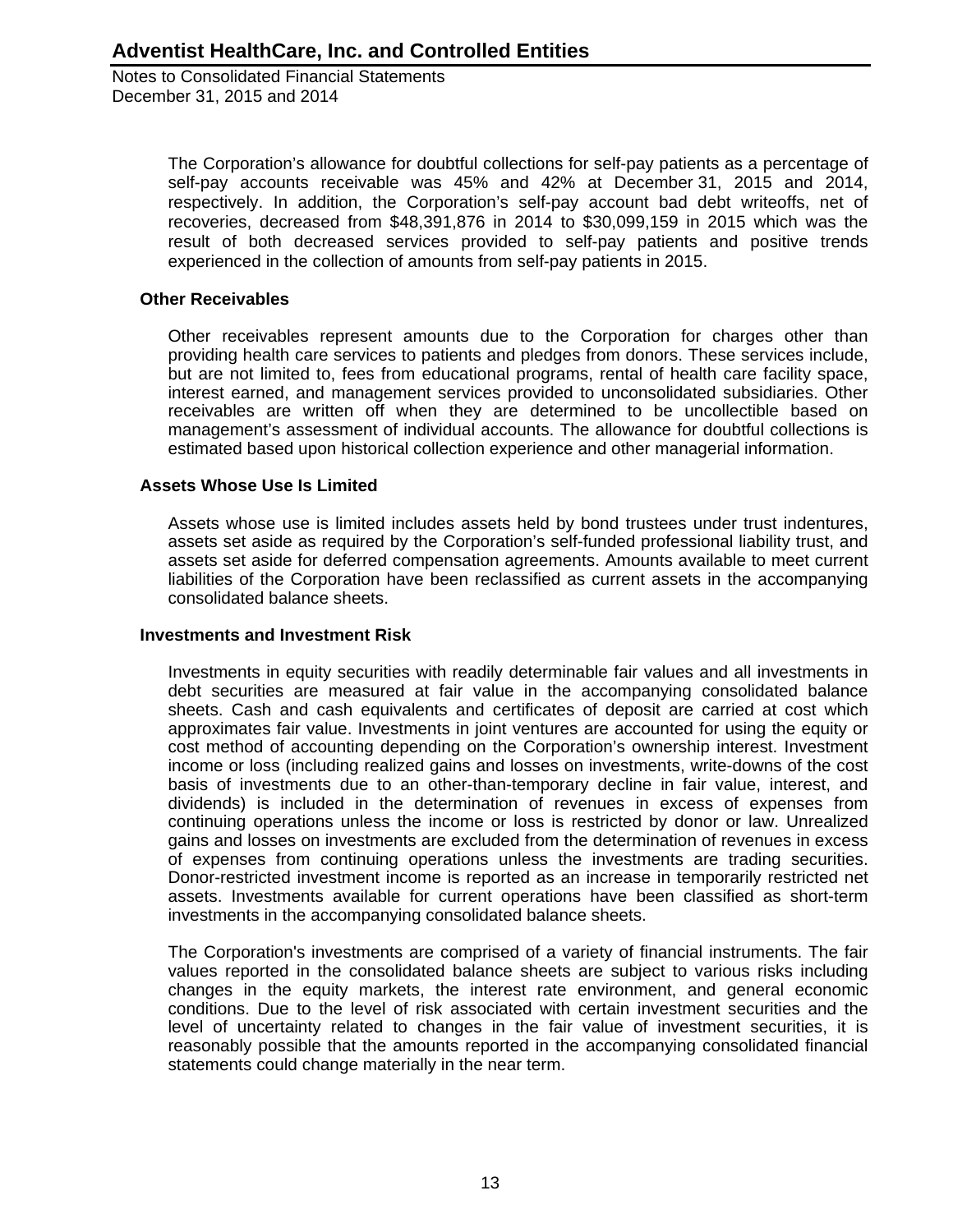> The Corporation's allowance for doubtful collections for self-pay patients as a percentage of self-pay accounts receivable was 45% and 42% at December 31, 2015 and 2014, respectively. In addition, the Corporation's self-pay account bad debt writeoffs, net of recoveries, decreased from \$48,391,876 in 2014 to \$30,099,159 in 2015 which was the result of both decreased services provided to self-pay patients and positive trends experienced in the collection of amounts from self-pay patients in 2015.

#### **Other Receivables**

Other receivables represent amounts due to the Corporation for charges other than providing health care services to patients and pledges from donors. These services include, but are not limited to, fees from educational programs, rental of health care facility space, interest earned, and management services provided to unconsolidated subsidiaries. Other receivables are written off when they are determined to be uncollectible based on management's assessment of individual accounts. The allowance for doubtful collections is estimated based upon historical collection experience and other managerial information.

#### **Assets Whose Use Is Limited**

Assets whose use is limited includes assets held by bond trustees under trust indentures, assets set aside as required by the Corporation's self-funded professional liability trust, and assets set aside for deferred compensation agreements. Amounts available to meet current liabilities of the Corporation have been reclassified as current assets in the accompanying consolidated balance sheets.

#### **Investments and Investment Risk**

Investments in equity securities with readily determinable fair values and all investments in debt securities are measured at fair value in the accompanying consolidated balance sheets. Cash and cash equivalents and certificates of deposit are carried at cost which approximates fair value. Investments in joint ventures are accounted for using the equity or cost method of accounting depending on the Corporation's ownership interest. Investment income or loss (including realized gains and losses on investments, write-downs of the cost basis of investments due to an other-than-temporary decline in fair value, interest, and dividends) is included in the determination of revenues in excess of expenses from continuing operations unless the income or loss is restricted by donor or law. Unrealized gains and losses on investments are excluded from the determination of revenues in excess of expenses from continuing operations unless the investments are trading securities. Donor-restricted investment income is reported as an increase in temporarily restricted net assets. Investments available for current operations have been classified as short-term investments in the accompanying consolidated balance sheets.

The Corporation's investments are comprised of a variety of financial instruments. The fair values reported in the consolidated balance sheets are subject to various risks including changes in the equity markets, the interest rate environment, and general economic conditions. Due to the level of risk associated with certain investment securities and the level of uncertainty related to changes in the fair value of investment securities, it is reasonably possible that the amounts reported in the accompanying consolidated financial statements could change materially in the near term.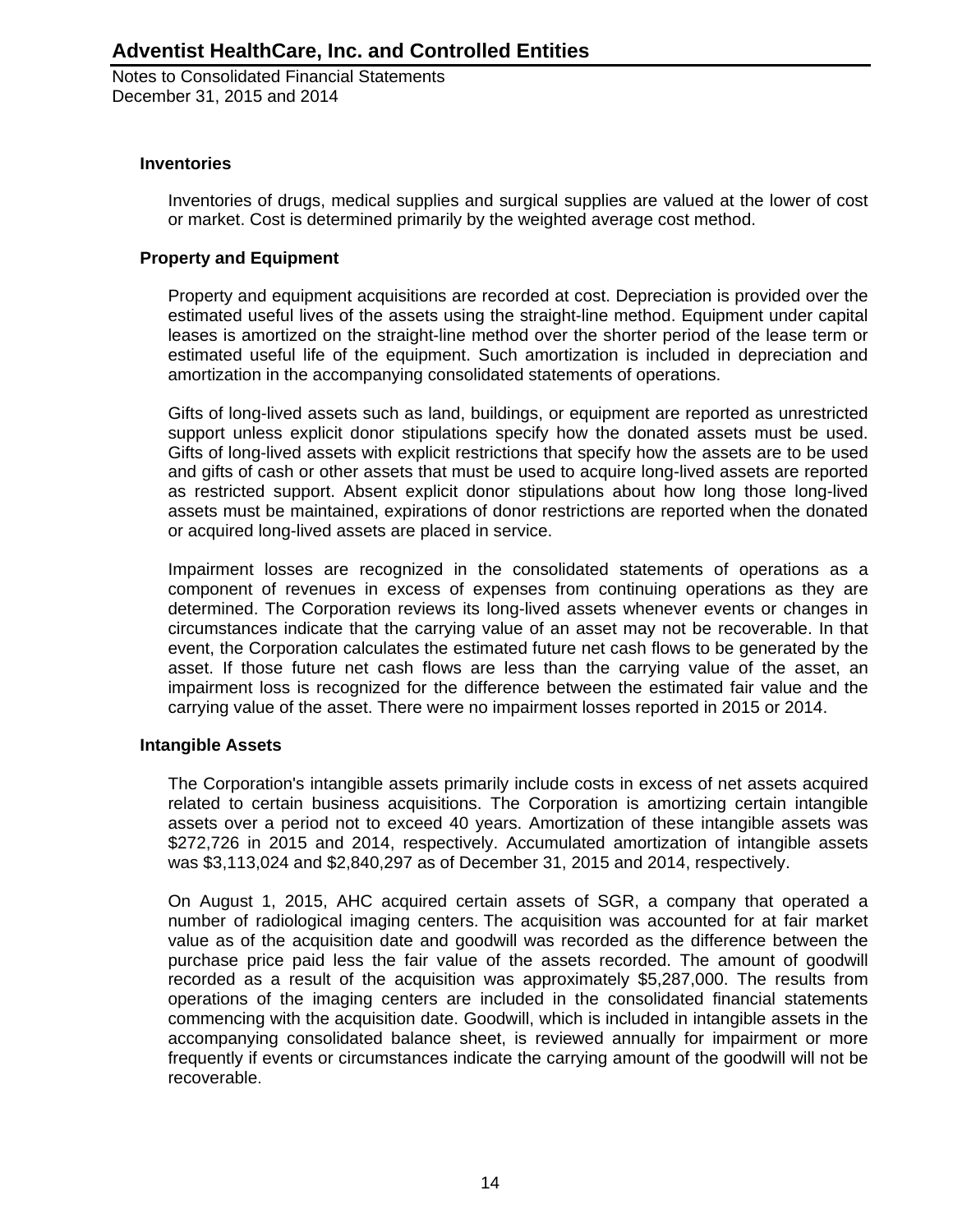#### **Inventories**

Inventories of drugs, medical supplies and surgical supplies are valued at the lower of cost or market. Cost is determined primarily by the weighted average cost method.

#### **Property and Equipment**

Property and equipment acquisitions are recorded at cost. Depreciation is provided over the estimated useful lives of the assets using the straight-line method. Equipment under capital leases is amortized on the straight-line method over the shorter period of the lease term or estimated useful life of the equipment. Such amortization is included in depreciation and amortization in the accompanying consolidated statements of operations.

Gifts of long-lived assets such as land, buildings, or equipment are reported as unrestricted support unless explicit donor stipulations specify how the donated assets must be used. Gifts of long-lived assets with explicit restrictions that specify how the assets are to be used and gifts of cash or other assets that must be used to acquire long-lived assets are reported as restricted support. Absent explicit donor stipulations about how long those long-lived assets must be maintained, expirations of donor restrictions are reported when the donated or acquired long-lived assets are placed in service.

Impairment losses are recognized in the consolidated statements of operations as a component of revenues in excess of expenses from continuing operations as they are determined. The Corporation reviews its long-lived assets whenever events or changes in circumstances indicate that the carrying value of an asset may not be recoverable. In that event, the Corporation calculates the estimated future net cash flows to be generated by the asset. If those future net cash flows are less than the carrying value of the asset, an impairment loss is recognized for the difference between the estimated fair value and the carrying value of the asset. There were no impairment losses reported in 2015 or 2014.

#### **Intangible Assets**

The Corporation's intangible assets primarily include costs in excess of net assets acquired related to certain business acquisitions. The Corporation is amortizing certain intangible assets over a period not to exceed 40 years. Amortization of these intangible assets was \$272,726 in 2015 and 2014, respectively. Accumulated amortization of intangible assets was \$3,113,024 and \$2,840,297 as of December 31, 2015 and 2014, respectively.

On August 1, 2015, AHC acquired certain assets of SGR, a company that operated a number of radiological imaging centers. The acquisition was accounted for at fair market value as of the acquisition date and goodwill was recorded as the difference between the purchase price paid less the fair value of the assets recorded. The amount of goodwill recorded as a result of the acquisition was approximately \$5,287,000. The results from operations of the imaging centers are included in the consolidated financial statements commencing with the acquisition date. Goodwill, which is included in intangible assets in the accompanying consolidated balance sheet, is reviewed annually for impairment or more frequently if events or circumstances indicate the carrying amount of the goodwill will not be recoverable.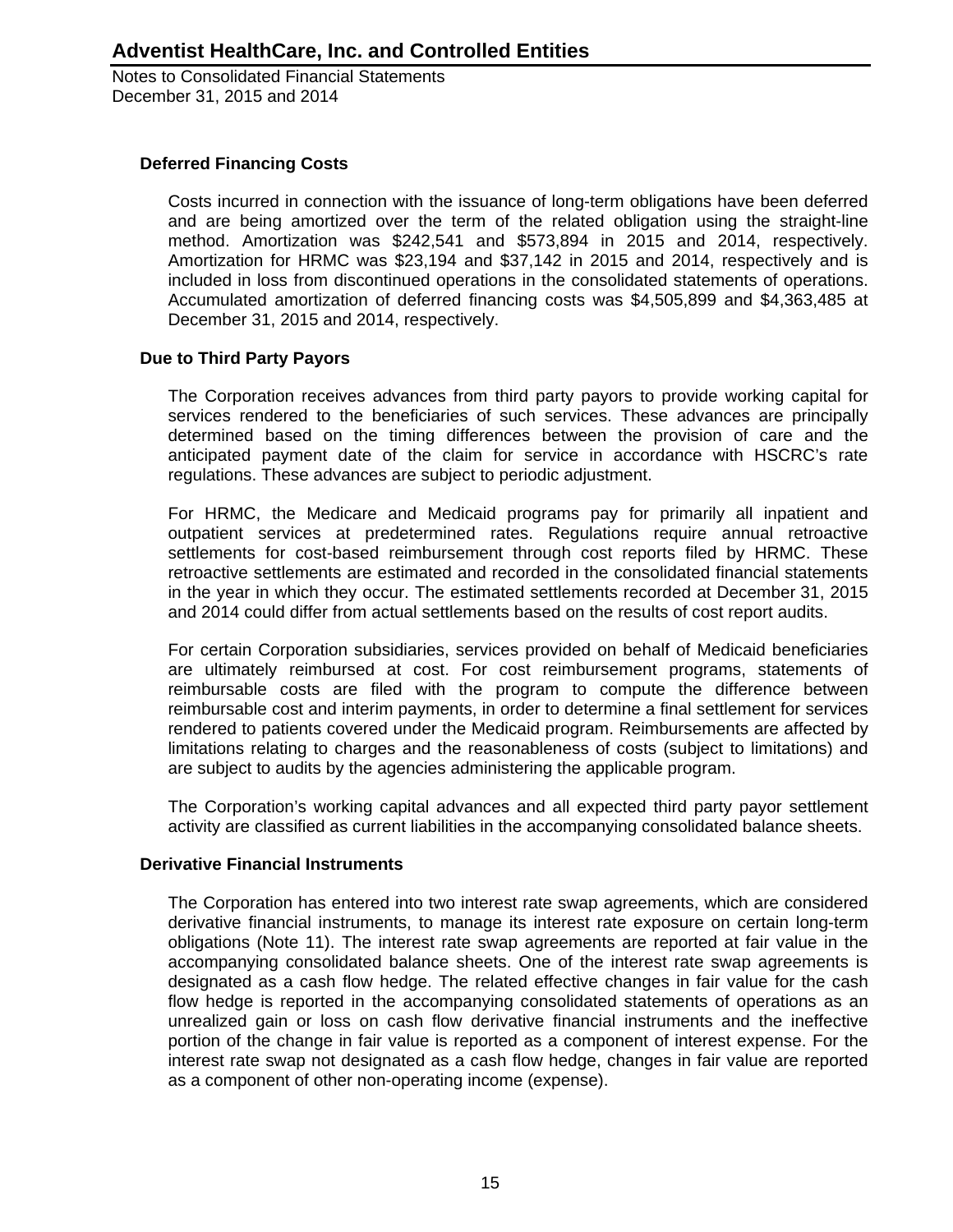#### **Deferred Financing Costs**

Costs incurred in connection with the issuance of long-term obligations have been deferred and are being amortized over the term of the related obligation using the straight-line method. Amortization was \$242,541 and \$573,894 in 2015 and 2014, respectively. Amortization for HRMC was \$23,194 and \$37,142 in 2015 and 2014, respectively and is included in loss from discontinued operations in the consolidated statements of operations. Accumulated amortization of deferred financing costs was \$4,505,899 and \$4,363,485 at December 31, 2015 and 2014, respectively.

### **Due to Third Party Payors**

The Corporation receives advances from third party payors to provide working capital for services rendered to the beneficiaries of such services. These advances are principally determined based on the timing differences between the provision of care and the anticipated payment date of the claim for service in accordance with HSCRC's rate regulations. These advances are subject to periodic adjustment.

For HRMC, the Medicare and Medicaid programs pay for primarily all inpatient and outpatient services at predetermined rates. Regulations require annual retroactive settlements for cost-based reimbursement through cost reports filed by HRMC. These retroactive settlements are estimated and recorded in the consolidated financial statements in the year in which they occur. The estimated settlements recorded at December 31, 2015 and 2014 could differ from actual settlements based on the results of cost report audits.

For certain Corporation subsidiaries, services provided on behalf of Medicaid beneficiaries are ultimately reimbursed at cost. For cost reimbursement programs, statements of reimbursable costs are filed with the program to compute the difference between reimbursable cost and interim payments, in order to determine a final settlement for services rendered to patients covered under the Medicaid program. Reimbursements are affected by limitations relating to charges and the reasonableness of costs (subject to limitations) and are subject to audits by the agencies administering the applicable program.

The Corporation's working capital advances and all expected third party payor settlement activity are classified as current liabilities in the accompanying consolidated balance sheets.

#### **Derivative Financial Instruments**

The Corporation has entered into two interest rate swap agreements, which are considered derivative financial instruments, to manage its interest rate exposure on certain long-term obligations (Note 11). The interest rate swap agreements are reported at fair value in the accompanying consolidated balance sheets. One of the interest rate swap agreements is designated as a cash flow hedge. The related effective changes in fair value for the cash flow hedge is reported in the accompanying consolidated statements of operations as an unrealized gain or loss on cash flow derivative financial instruments and the ineffective portion of the change in fair value is reported as a component of interest expense. For the interest rate swap not designated as a cash flow hedge, changes in fair value are reported as a component of other non-operating income (expense).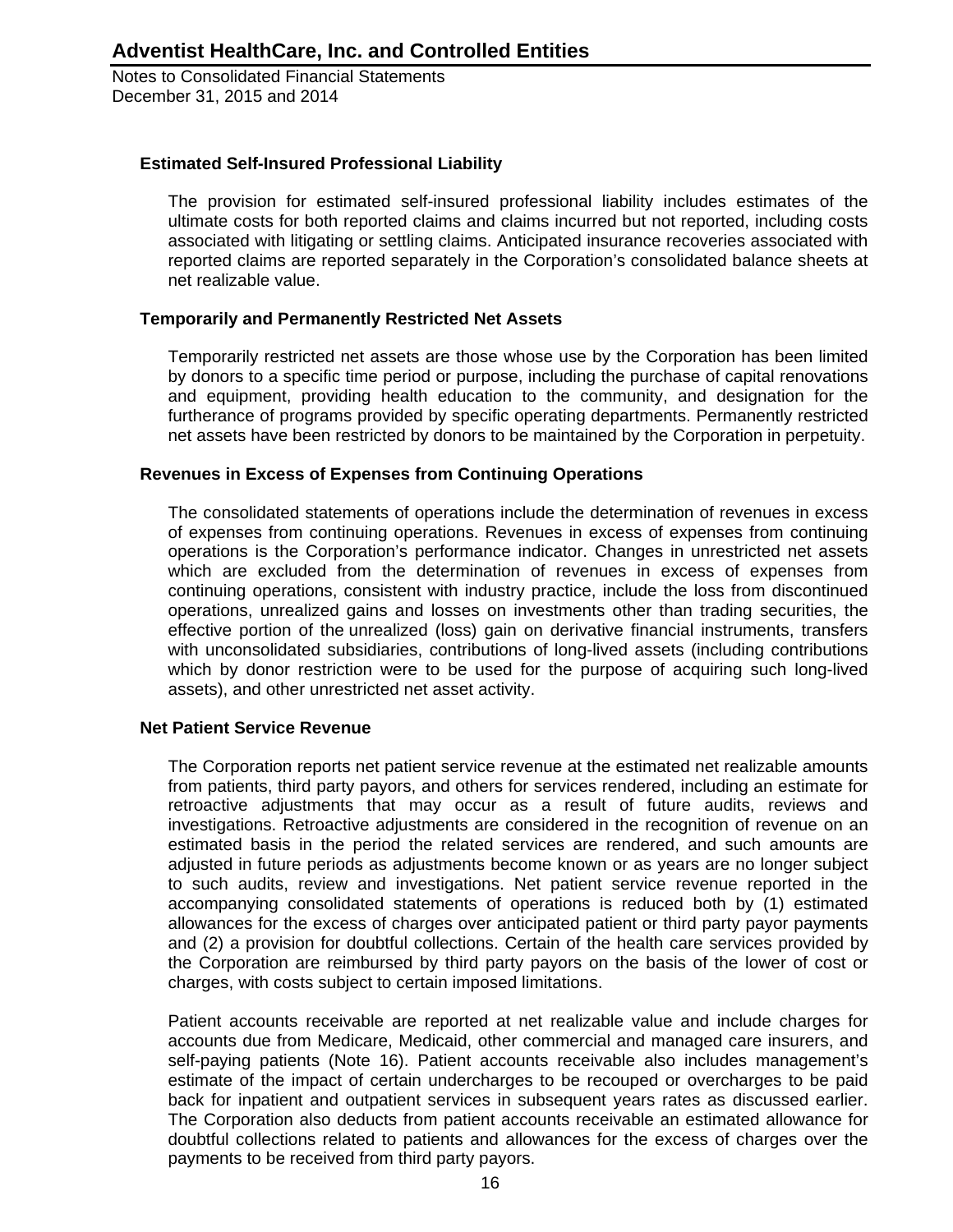#### **Estimated Self-Insured Professional Liability**

The provision for estimated self-insured professional liability includes estimates of the ultimate costs for both reported claims and claims incurred but not reported, including costs associated with litigating or settling claims. Anticipated insurance recoveries associated with reported claims are reported separately in the Corporation's consolidated balance sheets at net realizable value.

#### **Temporarily and Permanently Restricted Net Assets**

Temporarily restricted net assets are those whose use by the Corporation has been limited by donors to a specific time period or purpose, including the purchase of capital renovations and equipment, providing health education to the community, and designation for the furtherance of programs provided by specific operating departments. Permanently restricted net assets have been restricted by donors to be maintained by the Corporation in perpetuity.

### **Revenues in Excess of Expenses from Continuing Operations**

The consolidated statements of operations include the determination of revenues in excess of expenses from continuing operations. Revenues in excess of expenses from continuing operations is the Corporation's performance indicator. Changes in unrestricted net assets which are excluded from the determination of revenues in excess of expenses from continuing operations, consistent with industry practice, include the loss from discontinued operations, unrealized gains and losses on investments other than trading securities, the effective portion of the unrealized (loss) gain on derivative financial instruments, transfers with unconsolidated subsidiaries, contributions of long-lived assets (including contributions which by donor restriction were to be used for the purpose of acquiring such long-lived assets), and other unrestricted net asset activity.

#### **Net Patient Service Revenue**

The Corporation reports net patient service revenue at the estimated net realizable amounts from patients, third party payors, and others for services rendered, including an estimate for retroactive adjustments that may occur as a result of future audits, reviews and investigations. Retroactive adjustments are considered in the recognition of revenue on an estimated basis in the period the related services are rendered, and such amounts are adjusted in future periods as adjustments become known or as years are no longer subject to such audits, review and investigations. Net patient service revenue reported in the accompanying consolidated statements of operations is reduced both by (1) estimated allowances for the excess of charges over anticipated patient or third party payor payments and (2) a provision for doubtful collections. Certain of the health care services provided by the Corporation are reimbursed by third party payors on the basis of the lower of cost or charges, with costs subject to certain imposed limitations.

Patient accounts receivable are reported at net realizable value and include charges for accounts due from Medicare, Medicaid, other commercial and managed care insurers, and self-paying patients (Note 16). Patient accounts receivable also includes management's estimate of the impact of certain undercharges to be recouped or overcharges to be paid back for inpatient and outpatient services in subsequent years rates as discussed earlier. The Corporation also deducts from patient accounts receivable an estimated allowance for doubtful collections related to patients and allowances for the excess of charges over the payments to be received from third party payors.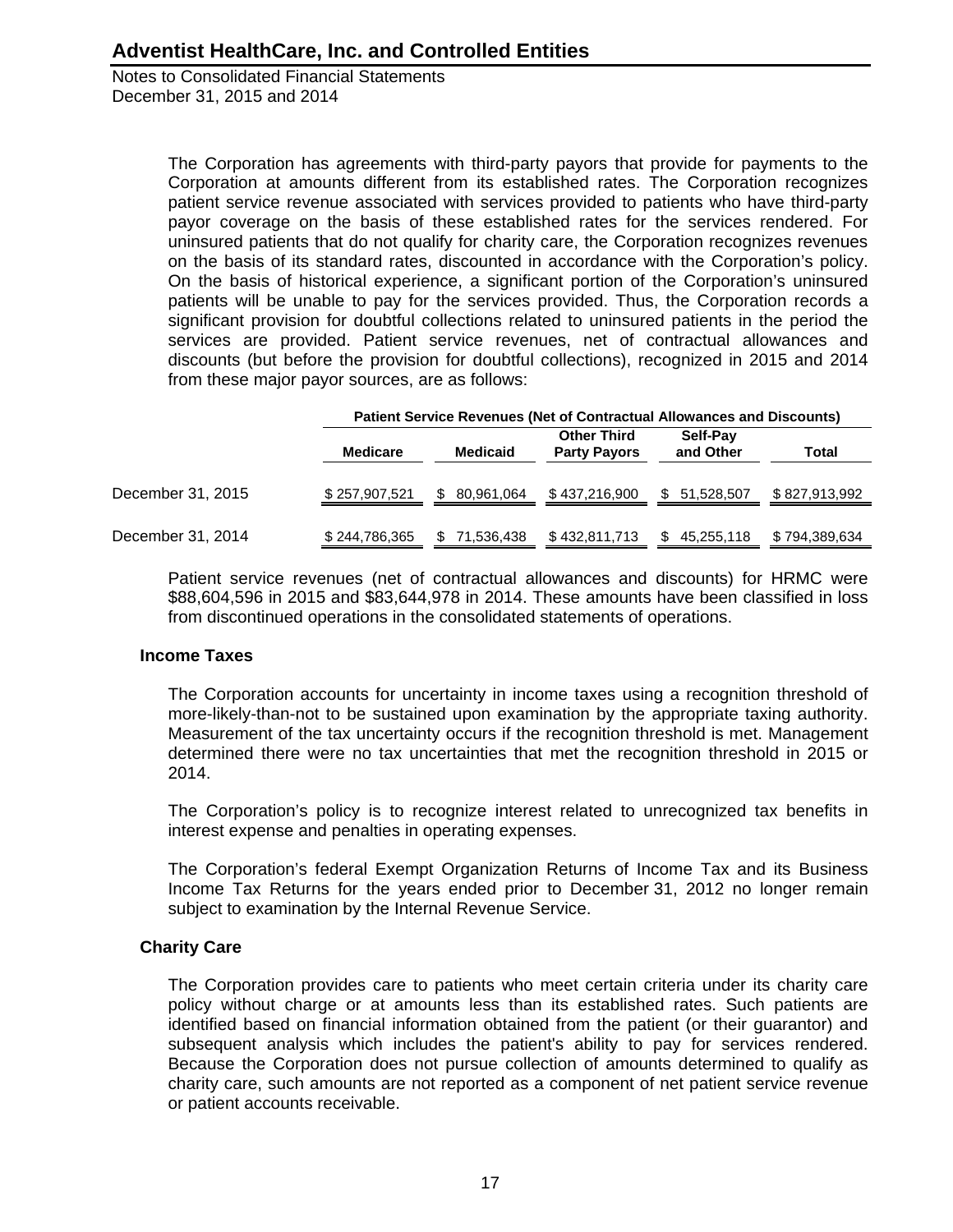> The Corporation has agreements with third-party payors that provide for payments to the Corporation at amounts different from its established rates. The Corporation recognizes patient service revenue associated with services provided to patients who have third-party payor coverage on the basis of these established rates for the services rendered. For uninsured patients that do not qualify for charity care, the Corporation recognizes revenues on the basis of its standard rates, discounted in accordance with the Corporation's policy. On the basis of historical experience, a significant portion of the Corporation's uninsured patients will be unable to pay for the services provided. Thus, the Corporation records a significant provision for doubtful collections related to uninsured patients in the period the services are provided. Patient service revenues, net of contractual allowances and discounts (but before the provision for doubtful collections), recognized in 2015 and 2014 from these major payor sources, are as follows:

|                   | Patient Service Revenues (Net of Contractual Allowances and Discounts) |                  |                                           |                              |               |  |
|-------------------|------------------------------------------------------------------------|------------------|-------------------------------------------|------------------------------|---------------|--|
|                   | <b>Medicare</b>                                                        | <b>Medicaid</b>  | <b>Other Third</b><br><b>Party Payors</b> | <b>Self-Pay</b><br>and Other | Total         |  |
| December 31, 2015 | \$257,907,521                                                          | \$ 80,961,064    | \$437,216,900                             | \$ 51,528,507                | \$827,913,992 |  |
| December 31, 2014 | \$244,786,365                                                          | 71,536,438<br>S. | \$432,811,713                             | 45,255,118<br>S.             | \$794,389,634 |  |

Patient service revenues (net of contractual allowances and discounts) for HRMC were \$88,604,596 in 2015 and \$83,644,978 in 2014. These amounts have been classified in loss from discontinued operations in the consolidated statements of operations.

#### **Income Taxes**

The Corporation accounts for uncertainty in income taxes using a recognition threshold of more-likely-than-not to be sustained upon examination by the appropriate taxing authority. Measurement of the tax uncertainty occurs if the recognition threshold is met. Management determined there were no tax uncertainties that met the recognition threshold in 2015 or 2014.

The Corporation's policy is to recognize interest related to unrecognized tax benefits in interest expense and penalties in operating expenses.

The Corporation's federal Exempt Organization Returns of Income Tax and its Business Income Tax Returns for the years ended prior to December 31, 2012 no longer remain subject to examination by the Internal Revenue Service.

#### **Charity Care**

The Corporation provides care to patients who meet certain criteria under its charity care policy without charge or at amounts less than its established rates. Such patients are identified based on financial information obtained from the patient (or their guarantor) and subsequent analysis which includes the patient's ability to pay for services rendered. Because the Corporation does not pursue collection of amounts determined to qualify as charity care, such amounts are not reported as a component of net patient service revenue or patient accounts receivable.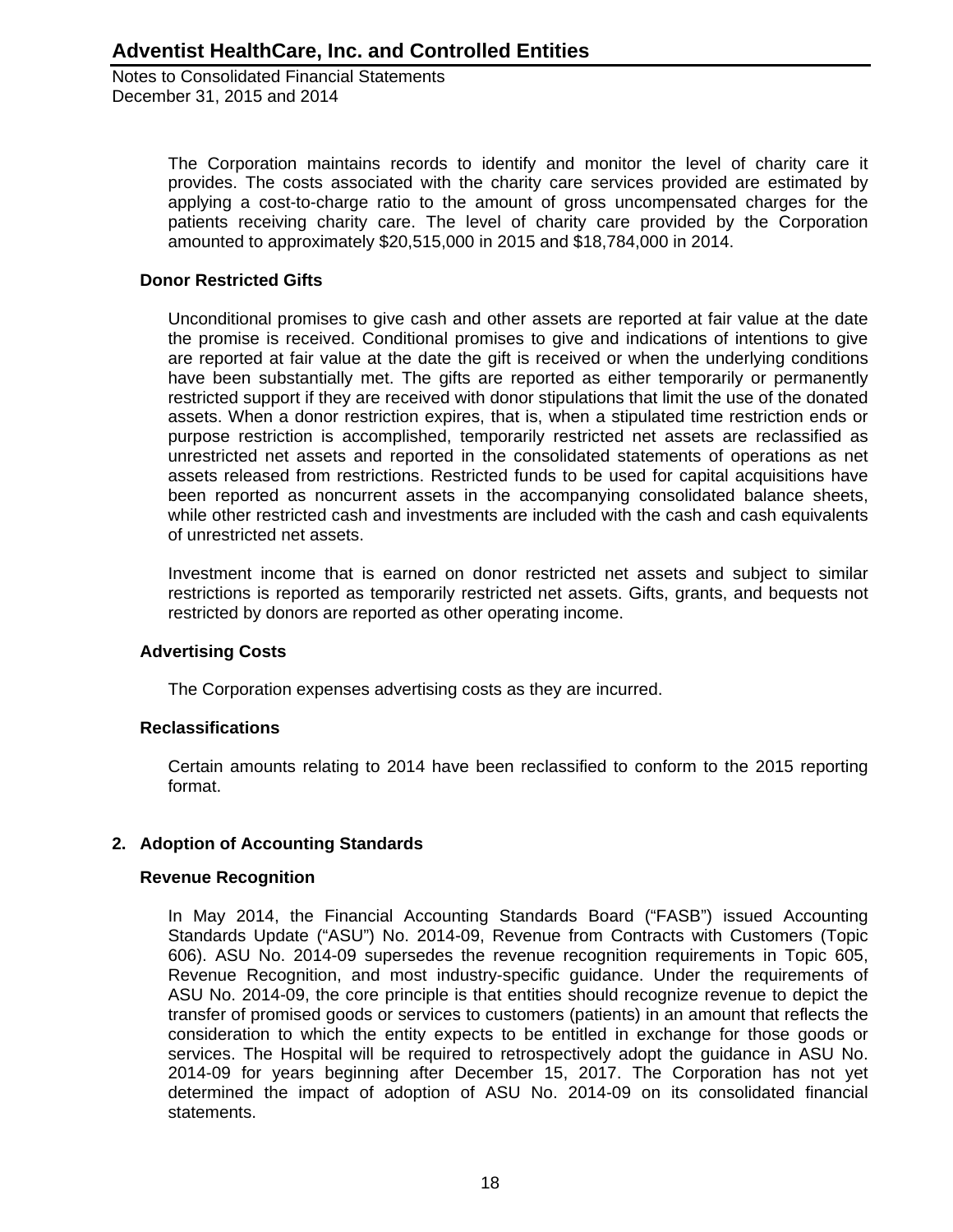> The Corporation maintains records to identify and monitor the level of charity care it provides. The costs associated with the charity care services provided are estimated by applying a cost-to-charge ratio to the amount of gross uncompensated charges for the patients receiving charity care. The level of charity care provided by the Corporation amounted to approximately \$20,515,000 in 2015 and \$18,784,000 in 2014.

#### **Donor Restricted Gifts**

Unconditional promises to give cash and other assets are reported at fair value at the date the promise is received. Conditional promises to give and indications of intentions to give are reported at fair value at the date the gift is received or when the underlying conditions have been substantially met. The gifts are reported as either temporarily or permanently restricted support if they are received with donor stipulations that limit the use of the donated assets. When a donor restriction expires, that is, when a stipulated time restriction ends or purpose restriction is accomplished, temporarily restricted net assets are reclassified as unrestricted net assets and reported in the consolidated statements of operations as net assets released from restrictions. Restricted funds to be used for capital acquisitions have been reported as noncurrent assets in the accompanying consolidated balance sheets, while other restricted cash and investments are included with the cash and cash equivalents of unrestricted net assets.

Investment income that is earned on donor restricted net assets and subject to similar restrictions is reported as temporarily restricted net assets. Gifts, grants, and bequests not restricted by donors are reported as other operating income.

#### **Advertising Costs**

The Corporation expenses advertising costs as they are incurred.

#### **Reclassifications**

Certain amounts relating to 2014 have been reclassified to conform to the 2015 reporting format.

## **2. Adoption of Accounting Standards**

#### **Revenue Recognition**

In May 2014, the Financial Accounting Standards Board ("FASB") issued Accounting Standards Update ("ASU") No. 2014-09, Revenue from Contracts with Customers (Topic 606). ASU No. 2014-09 supersedes the revenue recognition requirements in Topic 605, Revenue Recognition, and most industry-specific guidance. Under the requirements of ASU No. 2014-09, the core principle is that entities should recognize revenue to depict the transfer of promised goods or services to customers (patients) in an amount that reflects the consideration to which the entity expects to be entitled in exchange for those goods or services. The Hospital will be required to retrospectively adopt the guidance in ASU No. 2014-09 for years beginning after December 15, 2017. The Corporation has not yet determined the impact of adoption of ASU No. 2014-09 on its consolidated financial statements.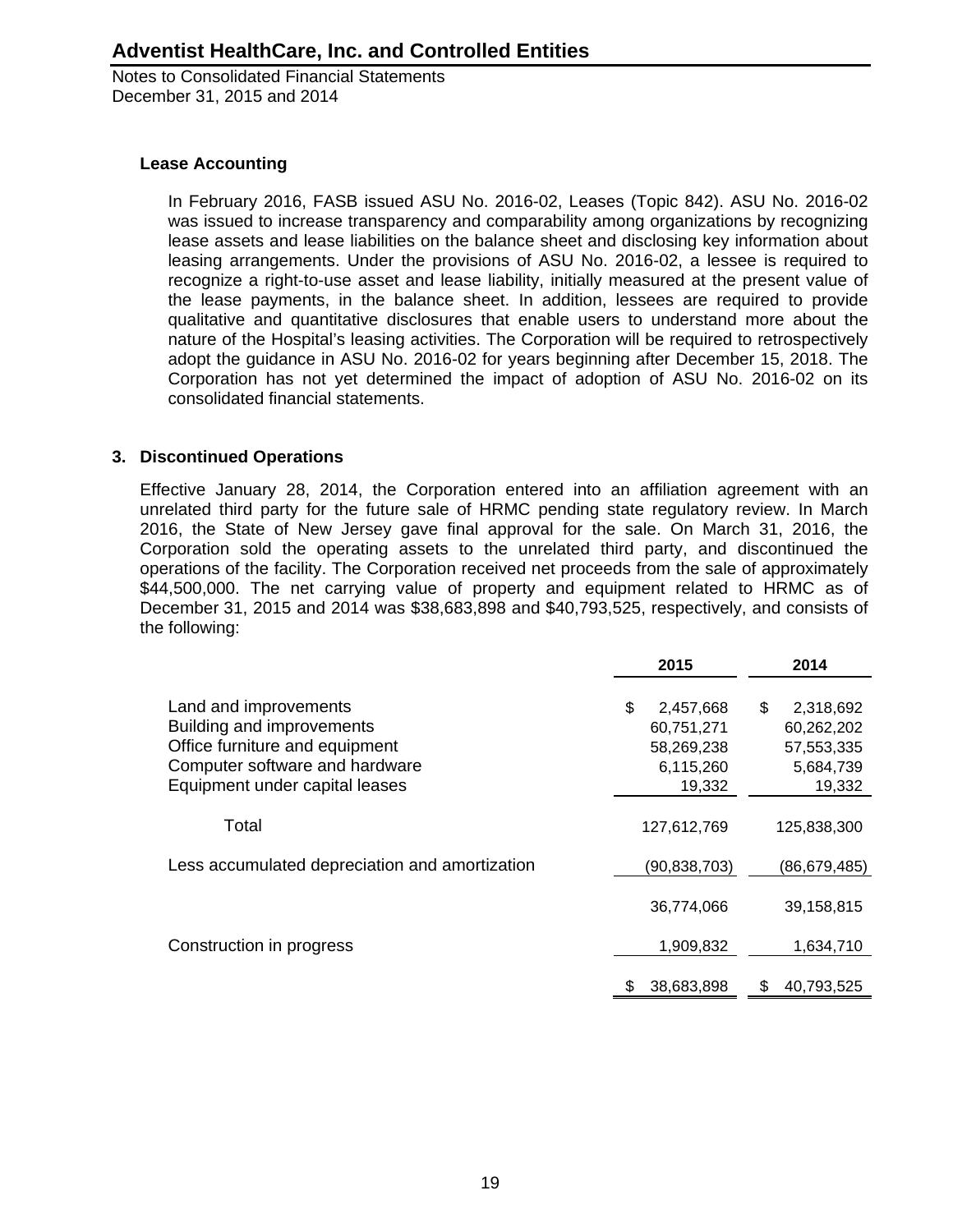#### **Lease Accounting**

In February 2016, FASB issued ASU No. 2016-02, Leases (Topic 842). ASU No. 2016-02 was issued to increase transparency and comparability among organizations by recognizing lease assets and lease liabilities on the balance sheet and disclosing key information about leasing arrangements. Under the provisions of ASU No. 2016-02, a lessee is required to recognize a right-to-use asset and lease liability, initially measured at the present value of the lease payments, in the balance sheet. In addition, lessees are required to provide qualitative and quantitative disclosures that enable users to understand more about the nature of the Hospital's leasing activities. The Corporation will be required to retrospectively adopt the guidance in ASU No. 2016-02 for years beginning after December 15, 2018. The Corporation has not yet determined the impact of adoption of ASU No. 2016-02 on its consolidated financial statements.

### **3. Discontinued Operations**

Effective January 28, 2014, the Corporation entered into an affiliation agreement with an unrelated third party for the future sale of HRMC pending state regulatory review. In March 2016, the State of New Jersey gave final approval for the sale. On March 31, 2016, the Corporation sold the operating assets to the unrelated third party, and discontinued the operations of the facility. The Corporation received net proceeds from the sale of approximately \$44,500,000. The net carrying value of property and equipment related to HRMC as of December 31, 2015 and 2014 was \$38,683,898 and \$40,793,525, respectively, and consists of the following:

|                                                                                                                                                          | 2015                                                               | 2014                                                               |
|----------------------------------------------------------------------------------------------------------------------------------------------------------|--------------------------------------------------------------------|--------------------------------------------------------------------|
| Land and improvements<br>Building and improvements<br>Office furniture and equipment<br>Computer software and hardware<br>Equipment under capital leases | \$<br>2,457,668<br>60,751,271<br>58,269,238<br>6,115,260<br>19,332 | \$<br>2,318,692<br>60,262,202<br>57,553,335<br>5,684,739<br>19,332 |
| Total                                                                                                                                                    | 127,612,769                                                        | 125,838,300                                                        |
| Less accumulated depreciation and amortization                                                                                                           | (90, 838, 703)                                                     | (86, 679, 485)                                                     |
|                                                                                                                                                          | 36,774,066                                                         | 39,158,815                                                         |
| Construction in progress                                                                                                                                 | 1,909,832                                                          | 1,634,710                                                          |
|                                                                                                                                                          | 38,683,898<br>\$                                                   | 40,793,525                                                         |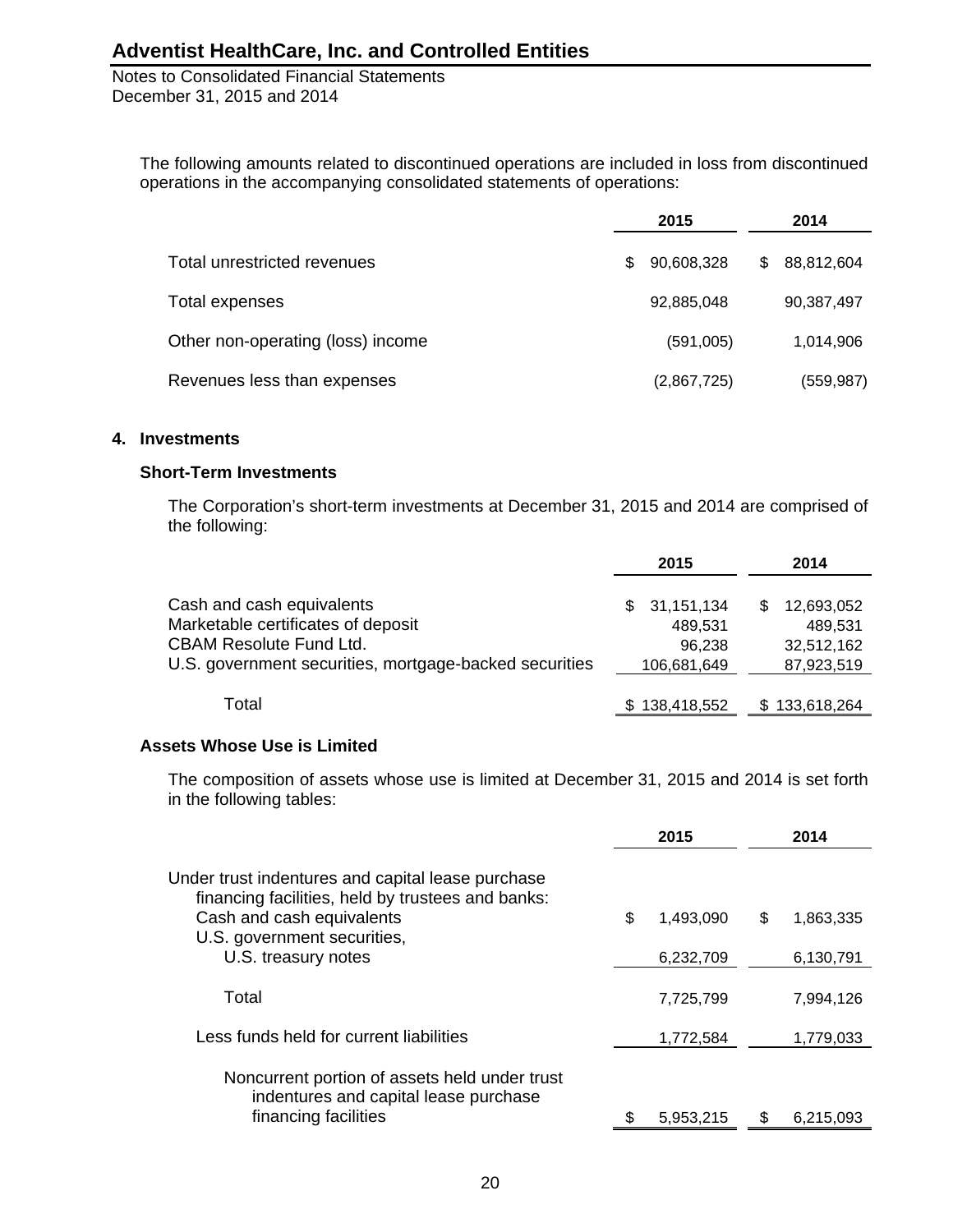Notes to Consolidated Financial Statements December 31, 2015 and 2014

The following amounts related to discontinued operations are included in loss from discontinued operations in the accompanying consolidated statements of operations:

|                                   |   | 2015        |   | 2014       |
|-----------------------------------|---|-------------|---|------------|
| Total unrestricted revenues       | S | 90,608,328  | S | 88,812,604 |
| Total expenses                    |   | 92,885,048  |   | 90,387,497 |
| Other non-operating (loss) income |   | (591,005)   |   | 1,014,906  |
| Revenues less than expenses       |   | (2,867,725) |   | (559, 987) |

#### **4. Investments**

#### **Short-Term Investments**

The Corporation's short-term investments at December 31, 2015 and 2014 are comprised of the following:

|                                                                                          | 2015                         | 2014                     |
|------------------------------------------------------------------------------------------|------------------------------|--------------------------|
| Cash and cash equivalents<br>Marketable certificates of deposit                          | 31,151,134<br>SS.<br>489,531 | 12,693,052<br>489,531    |
| <b>CBAM Resolute Fund Ltd.</b><br>U.S. government securities, mortgage-backed securities | 96.238<br>106,681,649        | 32,512,162<br>87,923,519 |
| Total                                                                                    | \$138,418,552                | \$133,618,264            |

#### **Assets Whose Use is Limited**

The composition of assets whose use is limited at December 31, 2015 and 2014 is set forth in the following tables:

|                                                                                                                                                                                           | 2015                         | 2014                         |
|-------------------------------------------------------------------------------------------------------------------------------------------------------------------------------------------|------------------------------|------------------------------|
| Under trust indentures and capital lease purchase<br>financing facilities, held by trustees and banks:<br>Cash and cash equivalents<br>U.S. government securities,<br>U.S. treasury notes | \$<br>1,493,090<br>6,232,709 | \$<br>1,863,335<br>6,130,791 |
| Total                                                                                                                                                                                     | 7,725,799                    | 7,994,126                    |
| Less funds held for current liabilities                                                                                                                                                   |                              |                              |
|                                                                                                                                                                                           | 1,772,584                    | 1,779,033                    |
| Noncurrent portion of assets held under trust<br>indentures and capital lease purchase<br>financing facilities                                                                            | 5,953,215                    | 6,215,093                    |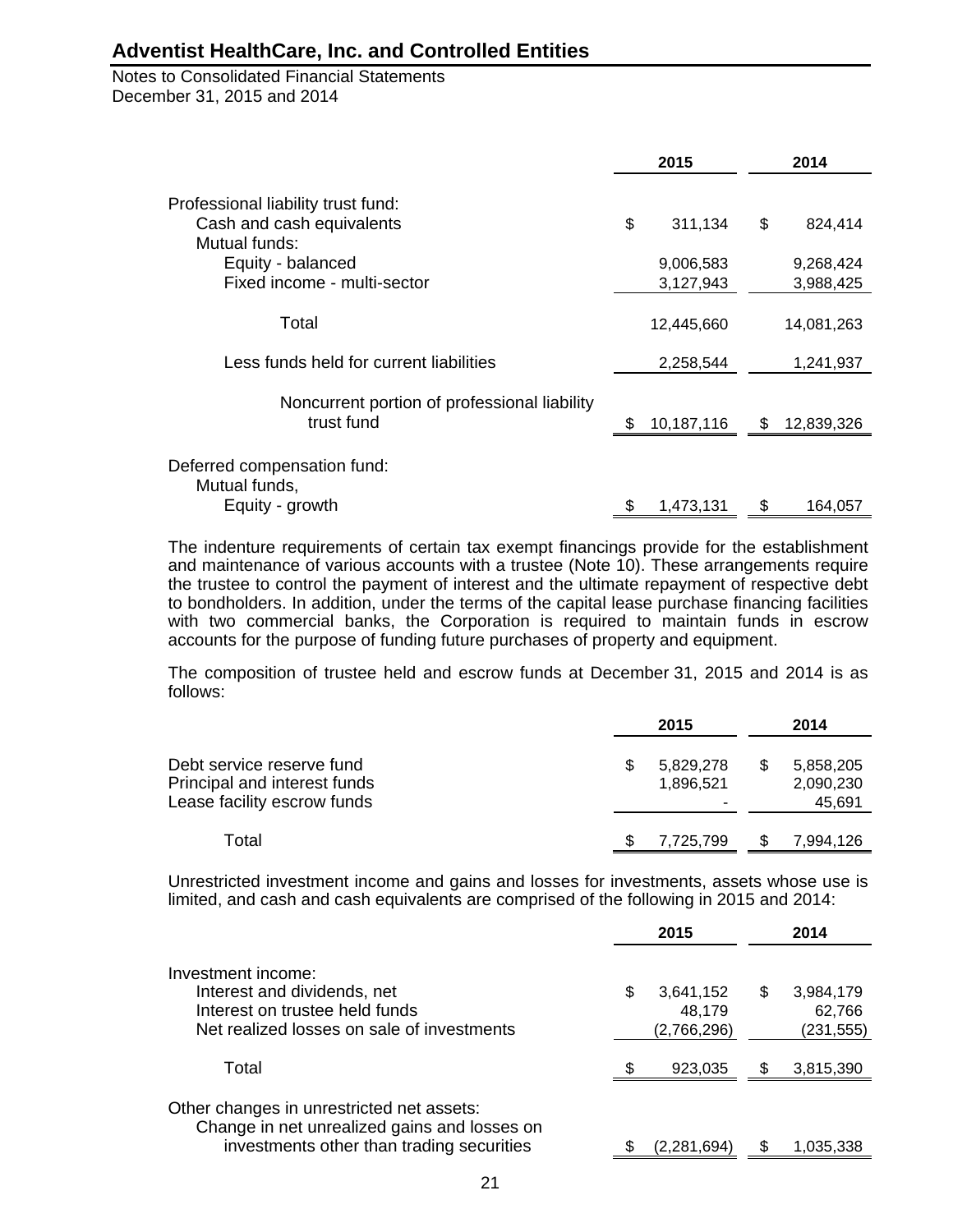Notes to Consolidated Financial Statements December 31, 2015 and 2014

|                                                                 | 2015 |            |    | 2014       |  |
|-----------------------------------------------------------------|------|------------|----|------------|--|
| Professional liability trust fund:                              |      |            |    |            |  |
| Cash and cash equivalents<br>Mutual funds:                      | \$   | 311,134    | \$ | 824,414    |  |
| Equity - balanced                                               |      | 9,006,583  |    | 9,268,424  |  |
| Fixed income - multi-sector                                     |      | 3,127,943  |    | 3,988,425  |  |
| Total                                                           |      | 12,445,660 |    | 14,081,263 |  |
| Less funds held for current liabilities                         |      | 2,258,544  |    | 1,241,937  |  |
| Noncurrent portion of professional liability<br>trust fund      |      | 10,187,116 | \$ | 12,839,326 |  |
| Deferred compensation fund:<br>Mutual funds,<br>Equity - growth |      | 1.473.131  | S  | 164.057    |  |

The indenture requirements of certain tax exempt financings provide for the establishment and maintenance of various accounts with a trustee (Note 10). These arrangements require the trustee to control the payment of interest and the ultimate repayment of respective debt to bondholders. In addition, under the terms of the capital lease purchase financing facilities with two commercial banks, the Corporation is required to maintain funds in escrow accounts for the purpose of funding future purchases of property and equipment.

The composition of trustee held and escrow funds at December 31, 2015 and 2014 is as follows:

|                                                                                          | 2015 |                             | 2014 |                                  |
|------------------------------------------------------------------------------------------|------|-----------------------------|------|----------------------------------|
| Debt service reserve fund<br>Principal and interest funds<br>Lease facility escrow funds |      | 5,829,278<br>1,896,521<br>- |      | 5,858,205<br>2,090,230<br>45,691 |
| Total                                                                                    |      | 7,725,799                   |      | 7,994,126                        |

Unrestricted investment income and gains and losses for investments, assets whose use is limited, and cash and cash equivalents are comprised of the following in 2015 and 2014:

|                                                                                                                                        |     | 2015                               |    | 2014                              |
|----------------------------------------------------------------------------------------------------------------------------------------|-----|------------------------------------|----|-----------------------------------|
| Investment income:<br>Interest and dividends, net<br>Interest on trustee held funds<br>Net realized losses on sale of investments      | \$. | 3,641,152<br>48,179<br>(2,766,296) | \$ | 3,984,179<br>62,766<br>(231, 555) |
| Total                                                                                                                                  | S.  | 923,035                            | S  | 3,815,390                         |
| Other changes in unrestricted net assets:<br>Change in net unrealized gains and losses on<br>investments other than trading securities |     | (2,281,694)                        |    | 1,035,338                         |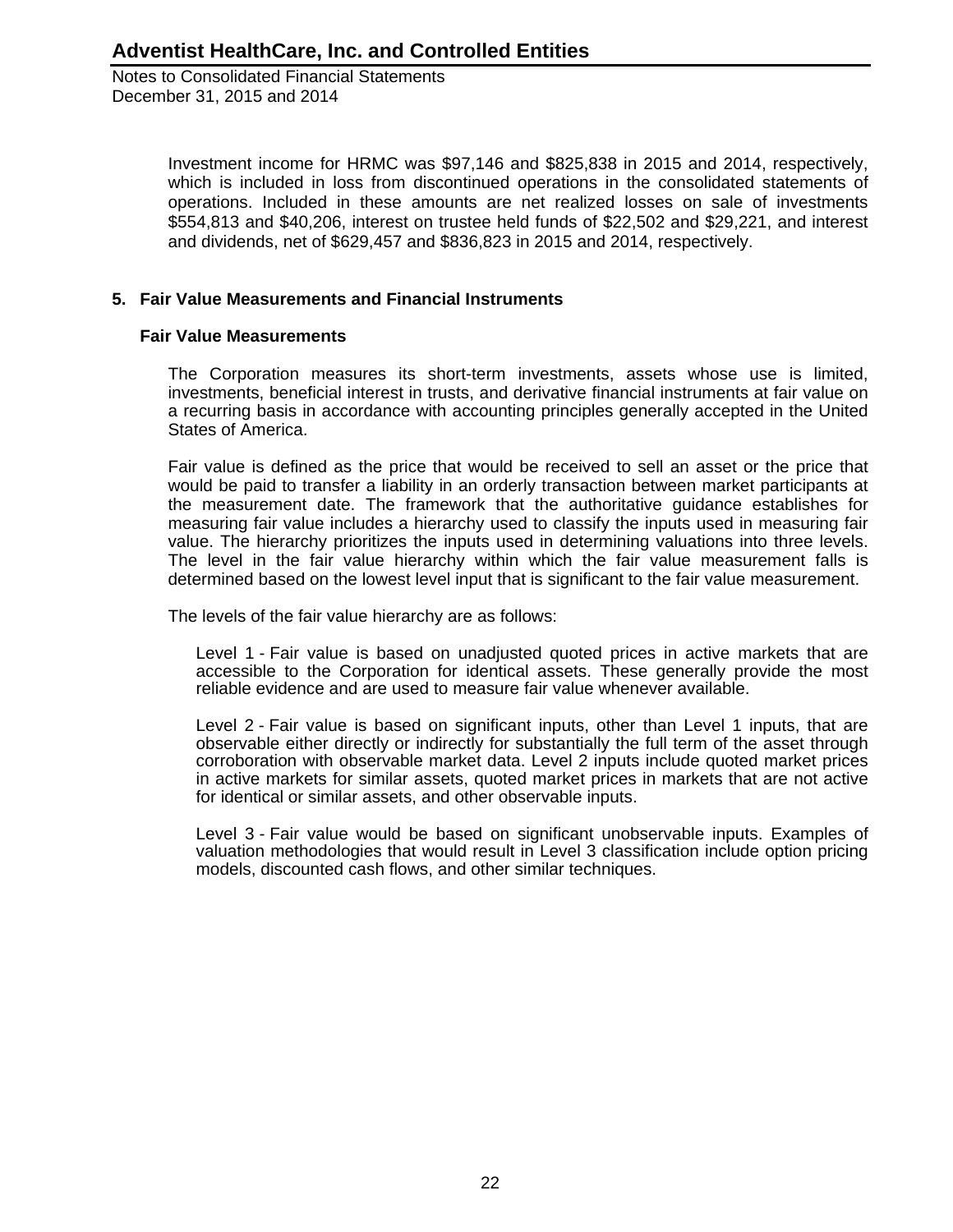> Investment income for HRMC was \$97,146 and \$825,838 in 2015 and 2014, respectively, which is included in loss from discontinued operations in the consolidated statements of operations. Included in these amounts are net realized losses on sale of investments \$554,813 and \$40,206, interest on trustee held funds of \$22,502 and \$29,221, and interest and dividends, net of \$629,457 and \$836,823 in 2015 and 2014, respectively.

#### **5. Fair Value Measurements and Financial Instruments**

#### **Fair Value Measurements**

The Corporation measures its short-term investments, assets whose use is limited, investments, beneficial interest in trusts, and derivative financial instruments at fair value on a recurring basis in accordance with accounting principles generally accepted in the United States of America.

Fair value is defined as the price that would be received to sell an asset or the price that would be paid to transfer a liability in an orderly transaction between market participants at the measurement date. The framework that the authoritative guidance establishes for measuring fair value includes a hierarchy used to classify the inputs used in measuring fair value. The hierarchy prioritizes the inputs used in determining valuations into three levels. The level in the fair value hierarchy within which the fair value measurement falls is determined based on the lowest level input that is significant to the fair value measurement.

The levels of the fair value hierarchy are as follows:

Level 1 - Fair value is based on unadjusted quoted prices in active markets that are accessible to the Corporation for identical assets. These generally provide the most reliable evidence and are used to measure fair value whenever available.

Level 2 - Fair value is based on significant inputs, other than Level 1 inputs, that are observable either directly or indirectly for substantially the full term of the asset through corroboration with observable market data. Level 2 inputs include quoted market prices in active markets for similar assets, quoted market prices in markets that are not active for identical or similar assets, and other observable inputs.

Level 3 - Fair value would be based on significant unobservable inputs. Examples of valuation methodologies that would result in Level 3 classification include option pricing models, discounted cash flows, and other similar techniques.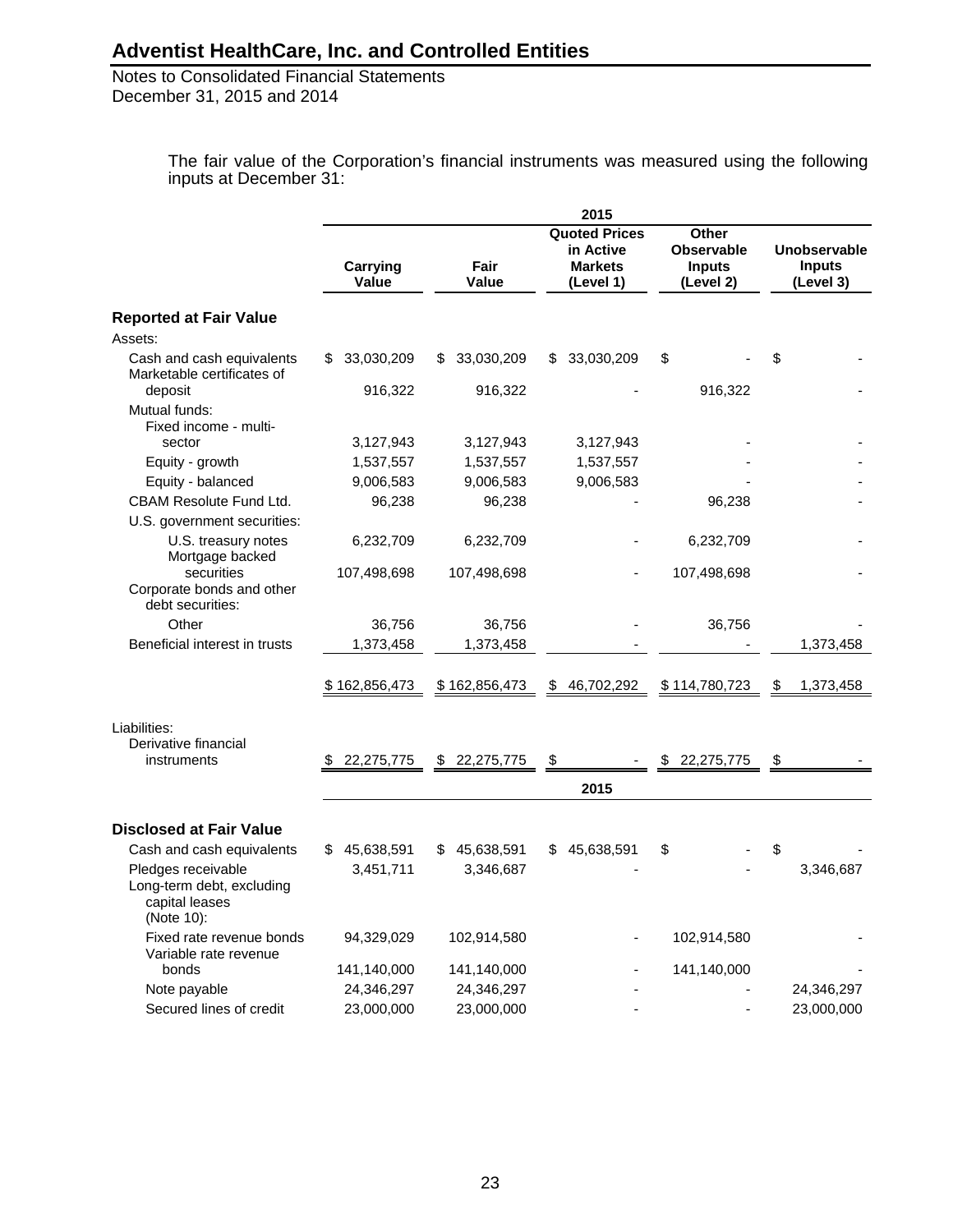Notes to Consolidated Financial Statements December 31, 2015 and 2014

> The fair value of the Corporation's financial instruments was measured using the following inputs at December 31:

|                                                                                 | 2015                        |                             |                                                                  |                                                          |                                            |
|---------------------------------------------------------------------------------|-----------------------------|-----------------------------|------------------------------------------------------------------|----------------------------------------------------------|--------------------------------------------|
|                                                                                 | Carrying<br>Value           | Fair<br>Value               | <b>Quoted Prices</b><br>in Active<br><b>Markets</b><br>(Level 1) | Other<br><b>Observable</b><br><b>Inputs</b><br>(Level 2) | Unobservable<br><b>Inputs</b><br>(Level 3) |
| <b>Reported at Fair Value</b>                                                   |                             |                             |                                                                  |                                                          |                                            |
| Assets:                                                                         |                             |                             |                                                                  |                                                          |                                            |
| Cash and cash equivalents<br>Marketable certificates of<br>deposit              | 33,030,209<br>\$<br>916,322 | 33,030,209<br>\$<br>916,322 | 33,030,209<br>\$                                                 | \$<br>916,322                                            | \$                                         |
| Mutual funds:<br>Fixed income - multi-                                          |                             |                             |                                                                  |                                                          |                                            |
| sector                                                                          | 3,127,943                   | 3,127,943                   | 3,127,943                                                        |                                                          |                                            |
| Equity - growth                                                                 | 1,537,557                   | 1,537,557                   | 1,537,557                                                        |                                                          |                                            |
| Equity - balanced                                                               | 9,006,583                   | 9,006,583                   | 9,006,583                                                        |                                                          |                                            |
| CBAM Resolute Fund Ltd.                                                         | 96,238                      | 96,238                      |                                                                  | 96,238                                                   |                                            |
| U.S. government securities:                                                     |                             |                             |                                                                  |                                                          |                                            |
| U.S. treasury notes<br>Mortgage backed                                          | 6,232,709                   | 6,232,709                   |                                                                  | 6,232,709                                                |                                            |
| securities<br>Corporate bonds and other<br>debt securities:                     | 107,498,698                 | 107,498,698                 |                                                                  | 107,498,698                                              |                                            |
| Other                                                                           | 36,756                      | 36,756                      |                                                                  | 36,756                                                   |                                            |
| Beneficial interest in trusts                                                   | 1,373,458                   | 1,373,458                   |                                                                  |                                                          | 1,373,458                                  |
|                                                                                 | \$162,856,473               | \$162,856,473               | \$<br>46,702,292                                                 | \$114,780,723                                            | 1,373,458<br>\$                            |
| Liabilities:<br>Derivative financial                                            |                             |                             |                                                                  |                                                          |                                            |
| instruments                                                                     | 22,275,775                  | \$22,275,775                | \$                                                               | \$ 22,275,775                                            | \$                                         |
|                                                                                 |                             |                             | 2015                                                             |                                                          |                                            |
|                                                                                 |                             |                             |                                                                  |                                                          |                                            |
| <b>Disclosed at Fair Value</b>                                                  |                             |                             |                                                                  |                                                          |                                            |
| Cash and cash equivalents                                                       | 45,638,591<br>\$            | 45,638,591<br>\$            | 45,638,591<br>\$                                                 | \$                                                       | \$                                         |
| Pledges receivable<br>Long-term debt, excluding<br>capital leases<br>(Note 10): | 3,451,711                   | 3,346,687                   |                                                                  |                                                          | 3,346,687                                  |
| Fixed rate revenue bonds<br>Variable rate revenue                               | 94,329,029                  | 102,914,580                 |                                                                  | 102,914,580                                              |                                            |
| bonds                                                                           | 141,140,000                 | 141,140,000                 |                                                                  | 141,140,000                                              |                                            |
| Note payable                                                                    | 24,346,297                  | 24,346,297                  |                                                                  |                                                          | 24,346,297                                 |
| Secured lines of credit                                                         | 23,000,000                  | 23,000,000                  |                                                                  |                                                          | 23,000,000                                 |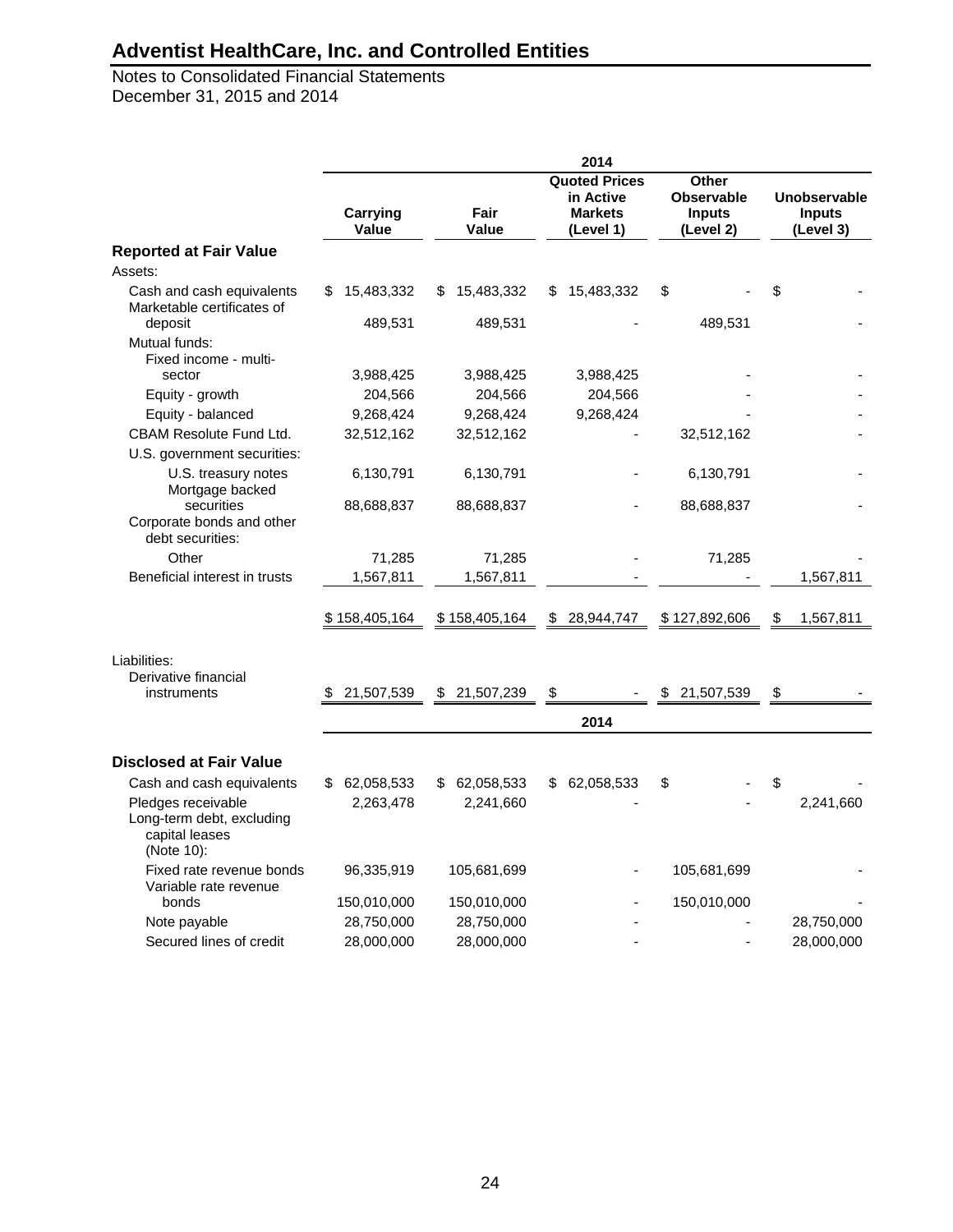Notes to Consolidated Financial Statements December 31, 2015 and 2014

|                                                                                 |                             |                             | 2014                                                             |                                                          |                                            |
|---------------------------------------------------------------------------------|-----------------------------|-----------------------------|------------------------------------------------------------------|----------------------------------------------------------|--------------------------------------------|
|                                                                                 | Carrying<br>Value           | Fair<br>Value               | <b>Quoted Prices</b><br>in Active<br><b>Markets</b><br>(Level 1) | Other<br><b>Observable</b><br><b>Inputs</b><br>(Level 2) | Unobservable<br><b>Inputs</b><br>(Level 3) |
| <b>Reported at Fair Value</b>                                                   |                             |                             |                                                                  |                                                          |                                            |
| Assets:                                                                         |                             |                             |                                                                  |                                                          |                                            |
| Cash and cash equivalents<br>Marketable certificates of<br>deposit              | 15,483,332<br>\$<br>489,531 | 15,483,332<br>S.<br>489,531 | 15,483,332<br>\$                                                 | \$<br>489,531                                            | \$                                         |
| Mutual funds:<br>Fixed income - multi-                                          |                             |                             |                                                                  |                                                          |                                            |
| sector                                                                          | 3,988,425                   | 3,988,425                   | 3,988,425                                                        |                                                          |                                            |
| Equity - growth                                                                 | 204,566                     | 204,566                     | 204,566                                                          |                                                          |                                            |
| Equity - balanced                                                               | 9,268,424                   | 9,268,424                   | 9,268,424                                                        |                                                          |                                            |
| <b>CBAM Resolute Fund Ltd.</b><br>U.S. government securities:                   | 32,512,162                  | 32,512,162                  |                                                                  | 32,512,162                                               |                                            |
| U.S. treasury notes<br>Mortgage backed                                          | 6,130,791                   | 6,130,791                   |                                                                  | 6,130,791                                                |                                            |
| securities<br>Corporate bonds and other<br>debt securities:                     | 88,688,837                  | 88,688,837                  |                                                                  | 88,688,837                                               |                                            |
| Other                                                                           | 71,285                      | 71,285                      |                                                                  | 71,285                                                   |                                            |
| Beneficial interest in trusts                                                   | 1,567,811                   | 1,567,811                   |                                                                  |                                                          | 1,567,811                                  |
|                                                                                 | \$158,405,164               | \$158,405,164               | 28,944,747<br>\$                                                 | \$127,892,606                                            | 1,567,811<br>\$                            |
| Liabilities:<br>Derivative financial                                            |                             |                             |                                                                  |                                                          |                                            |
| instruments                                                                     | 21,507,539                  | \$<br>21,507,239            | \$                                                               | 21,507,539<br>\$                                         | \$                                         |
|                                                                                 |                             |                             | 2014                                                             |                                                          |                                            |
| <b>Disclosed at Fair Value</b>                                                  |                             |                             |                                                                  |                                                          |                                            |
| Cash and cash equivalents                                                       | 62,058,533<br>S.            | 62,058,533<br>S.            | 62,058,533<br>\$                                                 | \$                                                       | \$                                         |
| Pledges receivable<br>Long-term debt, excluding<br>capital leases<br>(Note 10): | 2,263,478                   | 2,241,660                   |                                                                  |                                                          | 2,241,660                                  |
| Fixed rate revenue bonds<br>Variable rate revenue                               | 96,335,919                  | 105,681,699                 |                                                                  | 105,681,699                                              |                                            |
| bonds                                                                           | 150,010,000                 | 150,010,000                 |                                                                  | 150,010,000                                              |                                            |
| Note payable                                                                    | 28,750,000                  | 28,750,000                  |                                                                  |                                                          | 28,750,000                                 |
| Secured lines of credit                                                         | 28,000,000                  | 28,000,000                  |                                                                  |                                                          | 28,000,000                                 |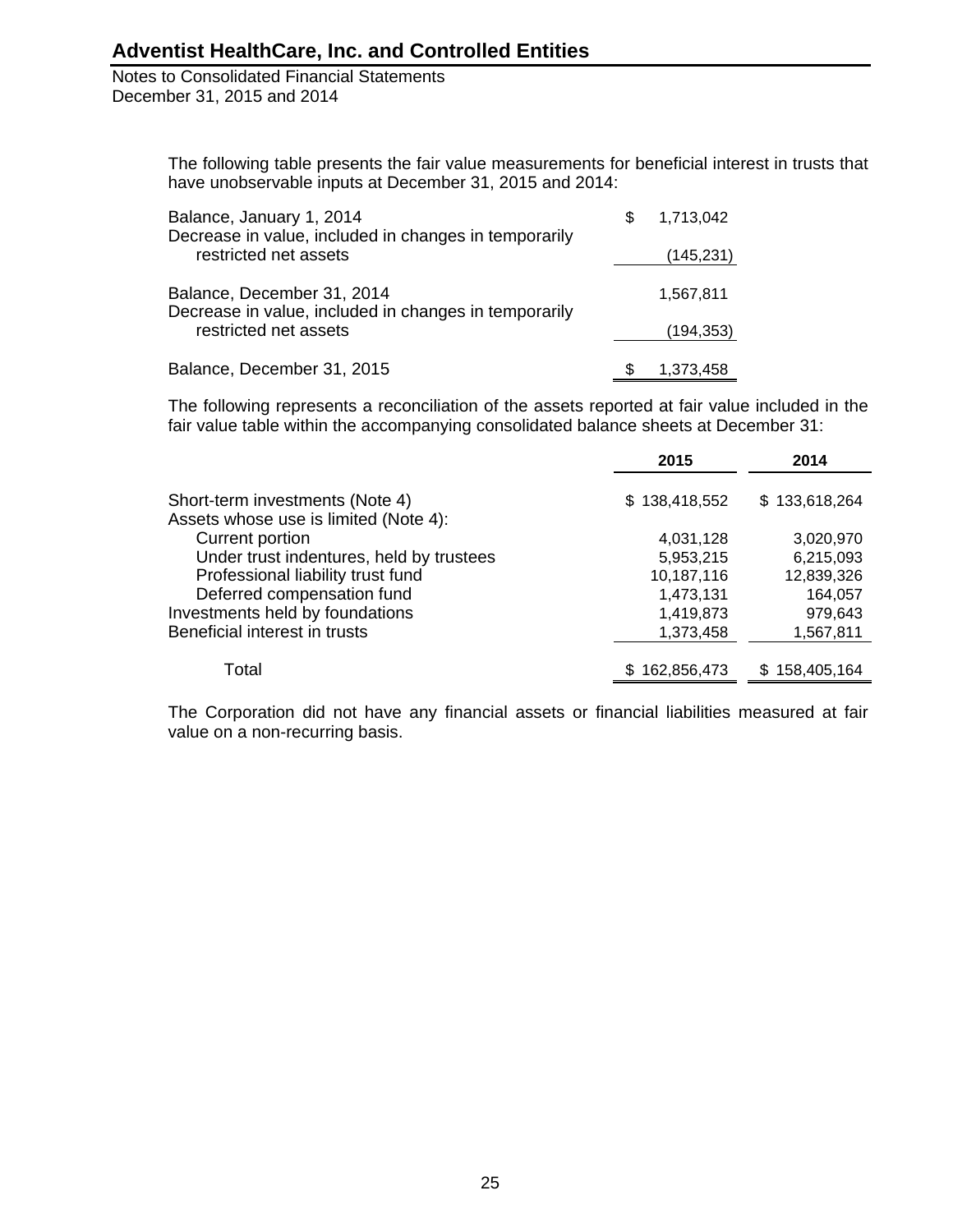Notes to Consolidated Financial Statements December 31, 2015 and 2014

> The following table presents the fair value measurements for beneficial interest in trusts that have unobservable inputs at December 31, 2015 and 2014:

| Balance, January 1, 2014<br>Decrease in value, included in changes in temporarily<br>restricted net assets |  | 1,713,042  |
|------------------------------------------------------------------------------------------------------------|--|------------|
|                                                                                                            |  | (145, 231) |
| Balance, December 31, 2014<br>Decrease in value, included in changes in temporarily                        |  | 1,567,811  |
| restricted net assets                                                                                      |  | (194, 353) |
| Balance, December 31, 2015                                                                                 |  | 1,373,458  |

The following represents a reconciliation of the assets reported at fair value included in the fair value table within the accompanying consolidated balance sheets at December 31:

|                                                                          | 2015          | 2014          |
|--------------------------------------------------------------------------|---------------|---------------|
| Short-term investments (Note 4)<br>Assets whose use is limited (Note 4): | \$138,418,552 | \$133,618,264 |
| Current portion                                                          | 4,031,128     | 3,020,970     |
| Under trust indentures, held by trustees                                 | 5,953,215     | 6,215,093     |
| Professional liability trust fund                                        | 10,187,116    | 12,839,326    |
| Deferred compensation fund                                               | 1,473,131     | 164,057       |
| Investments held by foundations                                          | 1,419,873     | 979,643       |
| Beneficial interest in trusts                                            | 1,373,458     | 1,567,811     |
|                                                                          |               |               |
| Total                                                                    | \$162,856,473 | \$158,405,164 |

The Corporation did not have any financial assets or financial liabilities measured at fair value on a non-recurring basis.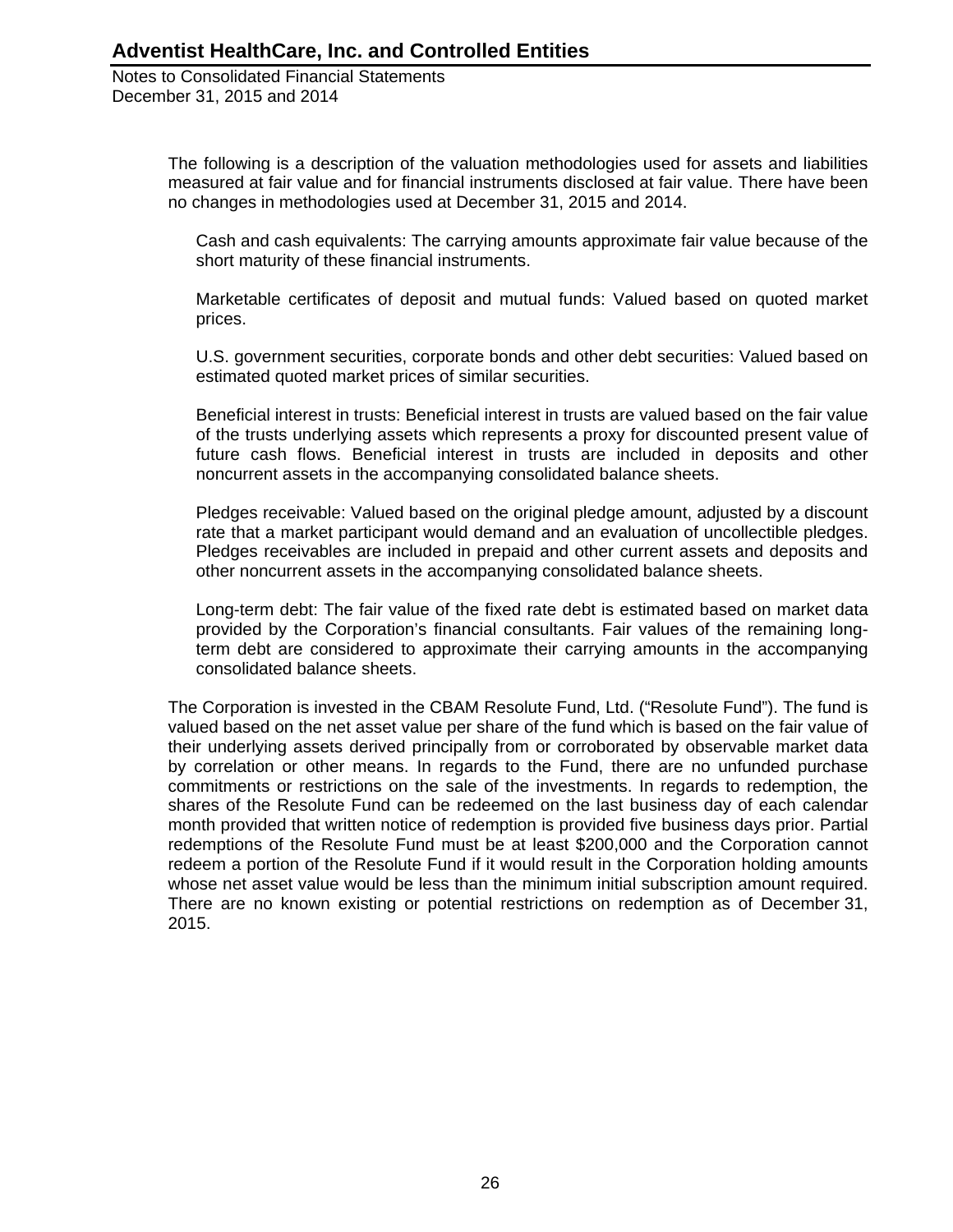Notes to Consolidated Financial Statements December 31, 2015 and 2014

> The following is a description of the valuation methodologies used for assets and liabilities measured at fair value and for financial instruments disclosed at fair value. There have been no changes in methodologies used at December 31, 2015 and 2014.

Cash and cash equivalents: The carrying amounts approximate fair value because of the short maturity of these financial instruments.

Marketable certificates of deposit and mutual funds: Valued based on quoted market prices.

U.S. government securities, corporate bonds and other debt securities: Valued based on estimated quoted market prices of similar securities.

Beneficial interest in trusts: Beneficial interest in trusts are valued based on the fair value of the trusts underlying assets which represents a proxy for discounted present value of future cash flows. Beneficial interest in trusts are included in deposits and other noncurrent assets in the accompanying consolidated balance sheets.

Pledges receivable: Valued based on the original pledge amount, adjusted by a discount rate that a market participant would demand and an evaluation of uncollectible pledges. Pledges receivables are included in prepaid and other current assets and deposits and other noncurrent assets in the accompanying consolidated balance sheets.

Long-term debt: The fair value of the fixed rate debt is estimated based on market data provided by the Corporation's financial consultants. Fair values of the remaining longterm debt are considered to approximate their carrying amounts in the accompanying consolidated balance sheets.

The Corporation is invested in the CBAM Resolute Fund, Ltd. ("Resolute Fund"). The fund is valued based on the net asset value per share of the fund which is based on the fair value of their underlying assets derived principally from or corroborated by observable market data by correlation or other means. In regards to the Fund, there are no unfunded purchase commitments or restrictions on the sale of the investments. In regards to redemption, the shares of the Resolute Fund can be redeemed on the last business day of each calendar month provided that written notice of redemption is provided five business days prior. Partial redemptions of the Resolute Fund must be at least \$200,000 and the Corporation cannot redeem a portion of the Resolute Fund if it would result in the Corporation holding amounts whose net asset value would be less than the minimum initial subscription amount required. There are no known existing or potential restrictions on redemption as of December 31, 2015.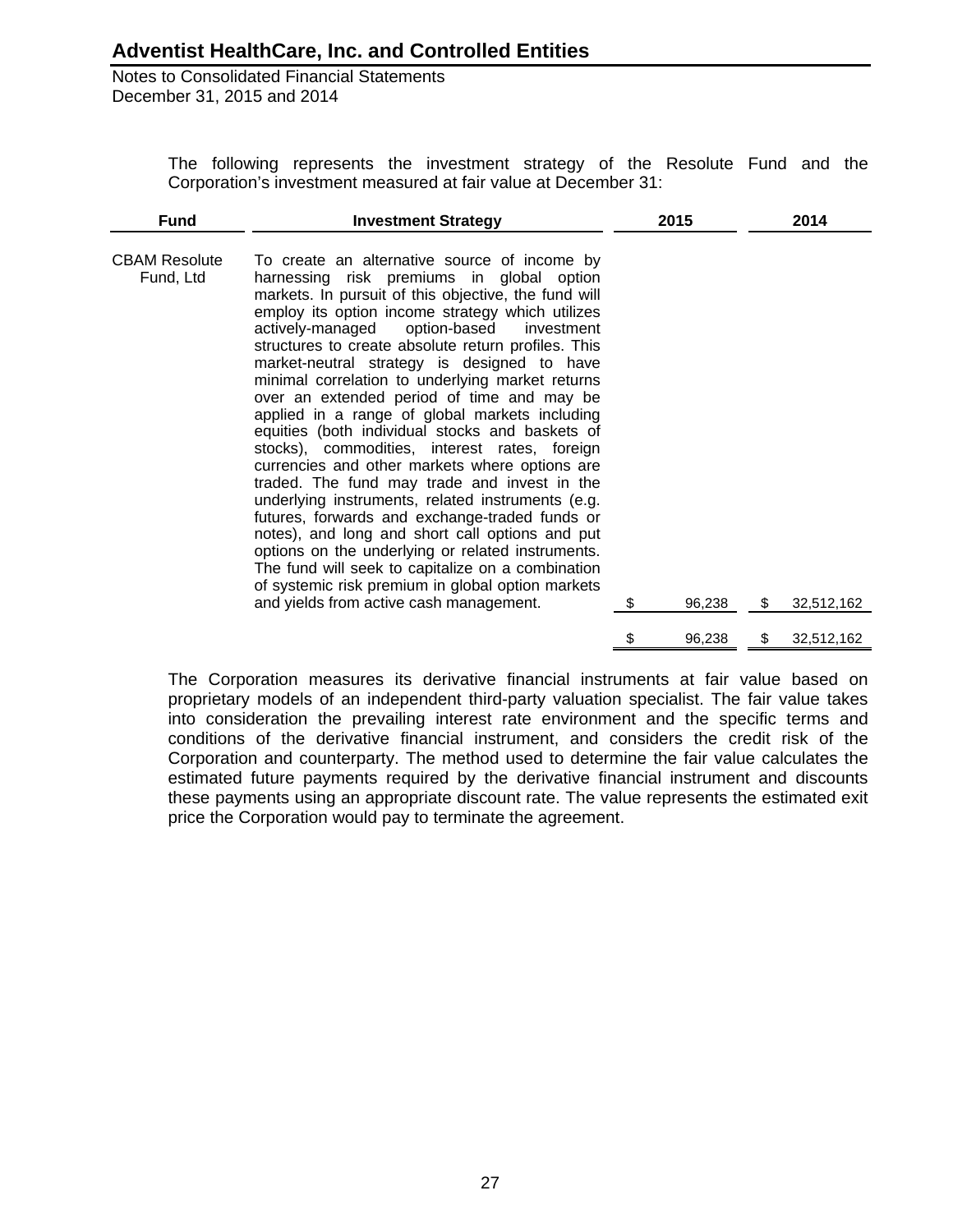Notes to Consolidated Financial Statements December 31, 2015 and 2014

> The following represents the investment strategy of the Resolute Fund and the Corporation's investment measured at fair value at December 31:

| <b>Fund</b>                       | <b>Investment Strategy</b>                                                                                                                                                                                                                                                                                                                                                                                                                                                                                                                                                                                                                                                                                                                                                                                                                                                                                                                                                                                                                                                                  | 2015         | 2014             |
|-----------------------------------|---------------------------------------------------------------------------------------------------------------------------------------------------------------------------------------------------------------------------------------------------------------------------------------------------------------------------------------------------------------------------------------------------------------------------------------------------------------------------------------------------------------------------------------------------------------------------------------------------------------------------------------------------------------------------------------------------------------------------------------------------------------------------------------------------------------------------------------------------------------------------------------------------------------------------------------------------------------------------------------------------------------------------------------------------------------------------------------------|--------------|------------------|
| <b>CBAM Resolute</b><br>Fund, Ltd | To create an alternative source of income by<br>harnessing risk premiums in global option<br>markets. In pursuit of this objective, the fund will<br>employ its option income strategy which utilizes<br>option-based<br>actively-managed<br>investment<br>structures to create absolute return profiles. This<br>market-neutral strategy is designed to have<br>minimal correlation to underlying market returns<br>over an extended period of time and may be<br>applied in a range of global markets including<br>equities (both individual stocks and baskets of<br>stocks), commodities, interest rates, foreign<br>currencies and other markets where options are<br>traded. The fund may trade and invest in the<br>underlying instruments, related instruments (e.g.<br>futures, forwards and exchange-traded funds or<br>notes), and long and short call options and put<br>options on the underlying or related instruments.<br>The fund will seek to capitalize on a combination<br>of systemic risk premium in global option markets<br>and yields from active cash management. | \$<br>96,238 | \$<br>32,512,162 |
|                                   |                                                                                                                                                                                                                                                                                                                                                                                                                                                                                                                                                                                                                                                                                                                                                                                                                                                                                                                                                                                                                                                                                             | 96,238       | \$<br>32,512,162 |

The Corporation measures its derivative financial instruments at fair value based on proprietary models of an independent third-party valuation specialist. The fair value takes into consideration the prevailing interest rate environment and the specific terms and conditions of the derivative financial instrument, and considers the credit risk of the Corporation and counterparty. The method used to determine the fair value calculates the estimated future payments required by the derivative financial instrument and discounts these payments using an appropriate discount rate. The value represents the estimated exit price the Corporation would pay to terminate the agreement.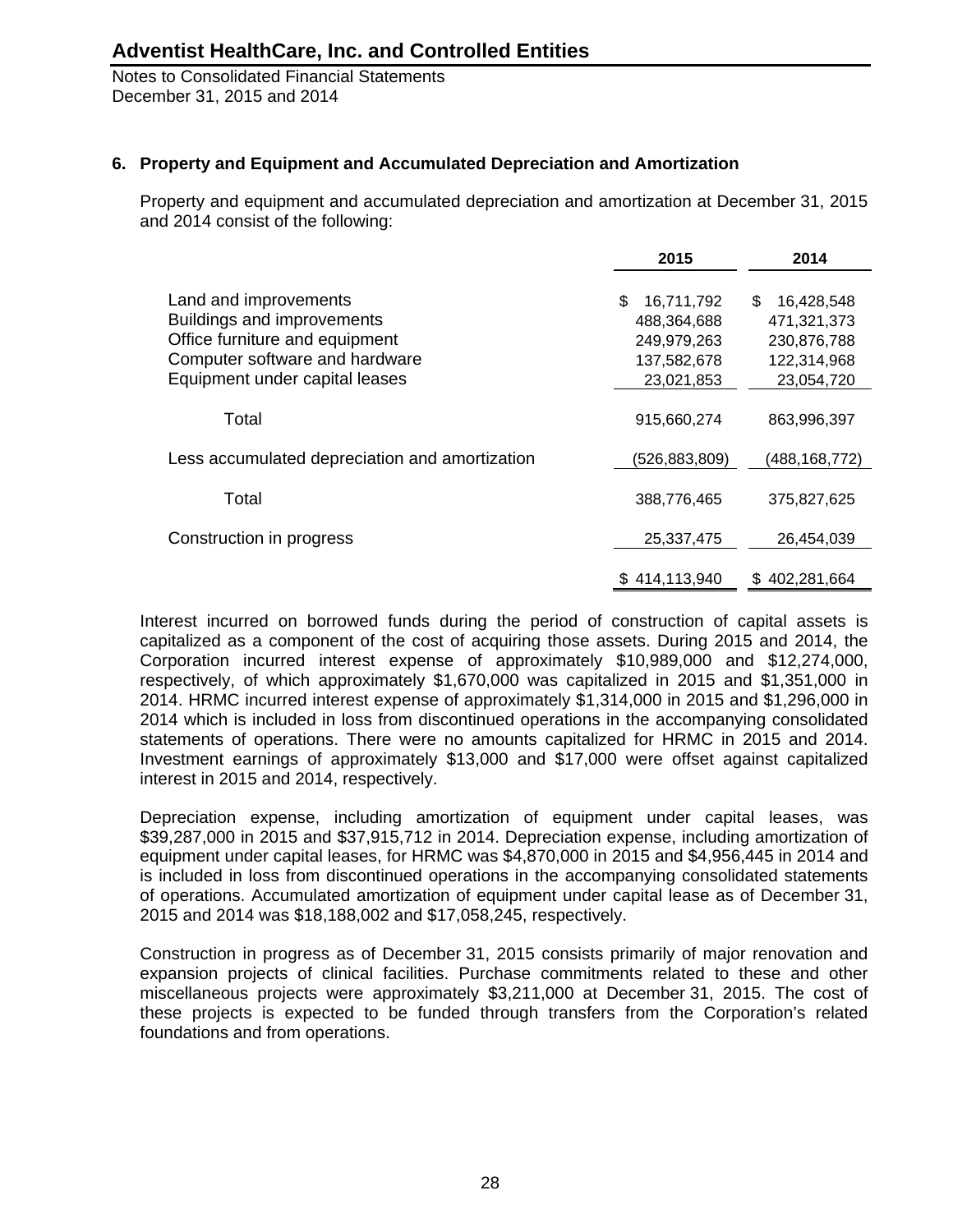#### **6. Property and Equipment and Accumulated Depreciation and Amortization**

Property and equipment and accumulated depreciation and amortization at December 31, 2015 and 2014 consist of the following:

|                                                                                                                                                                  | 2015                                                                         | 2014                                                                         |
|------------------------------------------------------------------------------------------------------------------------------------------------------------------|------------------------------------------------------------------------------|------------------------------------------------------------------------------|
| Land and improvements<br><b>Buildings and improvements</b><br>Office furniture and equipment<br>Computer software and hardware<br>Equipment under capital leases | \$.<br>16,711,792<br>488,364,688<br>249,979,263<br>137,582,678<br>23,021,853 | \$.<br>16,428,548<br>471,321,373<br>230,876,788<br>122,314,968<br>23,054,720 |
| Total                                                                                                                                                            | 915,660,274                                                                  | 863,996,397                                                                  |
| Less accumulated depreciation and amortization                                                                                                                   | (526,883,809)                                                                | (488,168,772)                                                                |
| Total                                                                                                                                                            | 388,776,465                                                                  | 375,827,625                                                                  |
| Construction in progress                                                                                                                                         | 25,337,475                                                                   | 26,454,039                                                                   |
|                                                                                                                                                                  | \$414,113,940                                                                | \$402,281,664                                                                |

Interest incurred on borrowed funds during the period of construction of capital assets is capitalized as a component of the cost of acquiring those assets. During 2015 and 2014, the Corporation incurred interest expense of approximately \$10,989,000 and \$12,274,000, respectively, of which approximately \$1,670,000 was capitalized in 2015 and \$1,351,000 in 2014. HRMC incurred interest expense of approximately \$1,314,000 in 2015 and \$1,296,000 in 2014 which is included in loss from discontinued operations in the accompanying consolidated statements of operations. There were no amounts capitalized for HRMC in 2015 and 2014. Investment earnings of approximately \$13,000 and \$17,000 were offset against capitalized interest in 2015 and 2014, respectively.

Depreciation expense, including amortization of equipment under capital leases, was \$39,287,000 in 2015 and \$37,915,712 in 2014. Depreciation expense, including amortization of equipment under capital leases, for HRMC was \$4,870,000 in 2015 and \$4,956,445 in 2014 and is included in loss from discontinued operations in the accompanying consolidated statements of operations. Accumulated amortization of equipment under capital lease as of December 31, 2015 and 2014 was \$18,188,002 and \$17,058,245, respectively.

Construction in progress as of December 31, 2015 consists primarily of major renovation and expansion projects of clinical facilities. Purchase commitments related to these and other miscellaneous projects were approximately \$3,211,000 at December 31, 2015. The cost of these projects is expected to be funded through transfers from the Corporation's related foundations and from operations.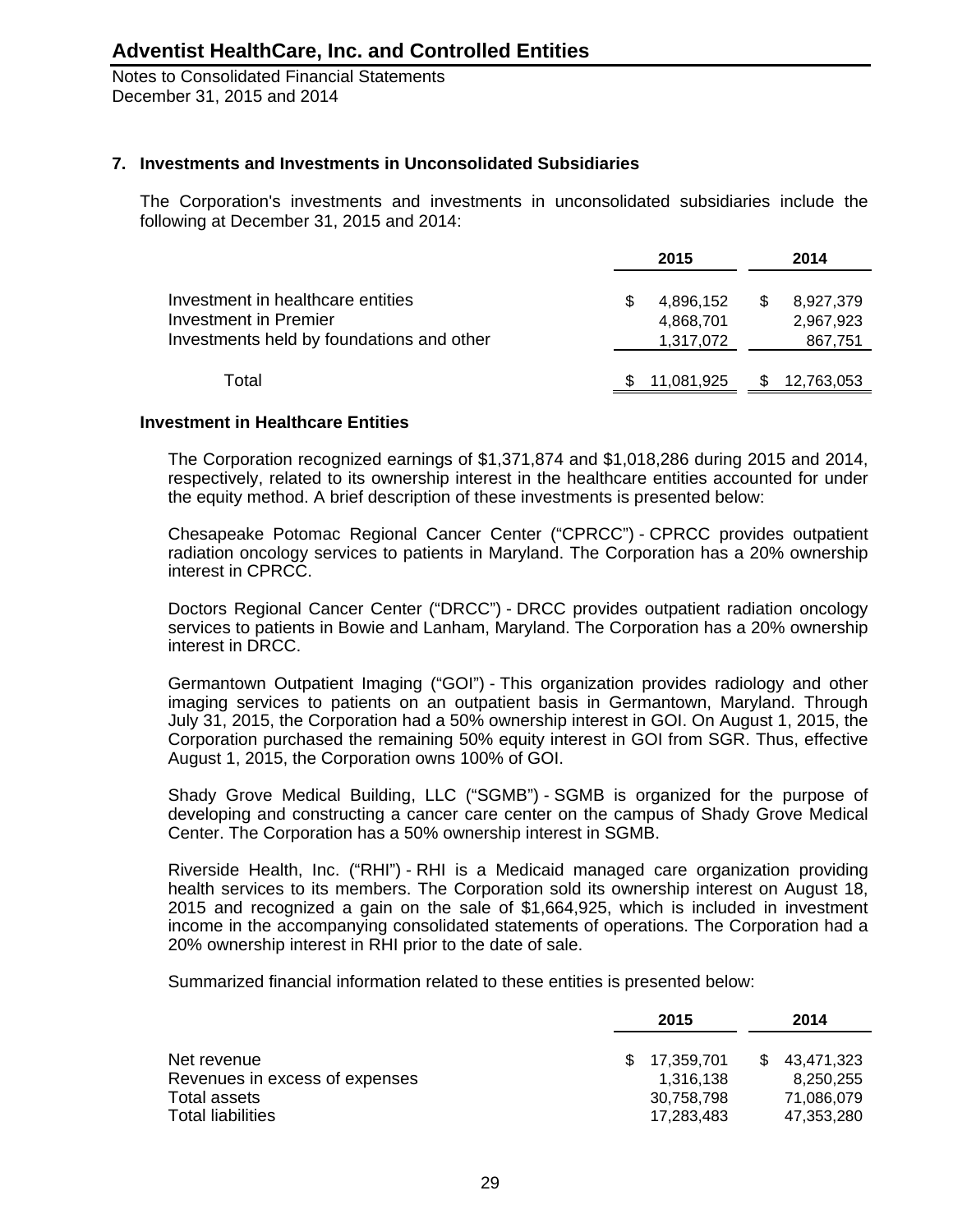#### **7. Investments and Investments in Unconsolidated Subsidiaries**

The Corporation's investments and investments in unconsolidated subsidiaries include the following at December 31, 2015 and 2014:

|                                                                                                                | 2015                                |     | 2014                              |
|----------------------------------------------------------------------------------------------------------------|-------------------------------------|-----|-----------------------------------|
| Investment in healthcare entities<br><b>Investment in Premier</b><br>Investments held by foundations and other | 4,896,152<br>4,868,701<br>1,317,072 | \$. | 8.927.379<br>2,967,923<br>867,751 |
| Total                                                                                                          | 11,081,925                          | S   | 12,763,053                        |

#### **Investment in Healthcare Entities**

The Corporation recognized earnings of \$1,371,874 and \$1,018,286 during 2015 and 2014, respectively, related to its ownership interest in the healthcare entities accounted for under the equity method. A brief description of these investments is presented below:

Chesapeake Potomac Regional Cancer Center ("CPRCC") - CPRCC provides outpatient radiation oncology services to patients in Maryland. The Corporation has a 20% ownership interest in CPRCC.

Doctors Regional Cancer Center ("DRCC") - DRCC provides outpatient radiation oncology services to patients in Bowie and Lanham, Maryland. The Corporation has a 20% ownership interest in DRCC.

Germantown Outpatient Imaging ("GOI") - This organization provides radiology and other imaging services to patients on an outpatient basis in Germantown, Maryland. Through July 31, 2015, the Corporation had a 50% ownership interest in GOI. On August 1, 2015, the Corporation purchased the remaining 50% equity interest in GOI from SGR. Thus, effective August 1, 2015, the Corporation owns 100% of GOI.

Shady Grove Medical Building, LLC ("SGMB") - SGMB is organized for the purpose of developing and constructing a cancer care center on the campus of Shady Grove Medical Center. The Corporation has a 50% ownership interest in SGMB.

Riverside Health, Inc. ("RHI") - RHI is a Medicaid managed care organization providing health services to its members. The Corporation sold its ownership interest on August 18, 2015 and recognized a gain on the sale of \$1,664,925, which is included in investment income in the accompanying consolidated statements of operations. The Corporation had a 20% ownership interest in RHI prior to the date of sale.

Summarized financial information related to these entities is presented below:

|                                          | 2015 |                          | 2014                     |  |
|------------------------------------------|------|--------------------------|--------------------------|--|
| Net revenue                              |      | \$ 17.359.701            | \$43,471,323             |  |
| Revenues in excess of expenses           |      | 1.316.138                | 8,250,255                |  |
| Total assets<br><b>Total liabilities</b> |      | 30.758.798<br>17,283,483 | 71.086.079<br>47,353,280 |  |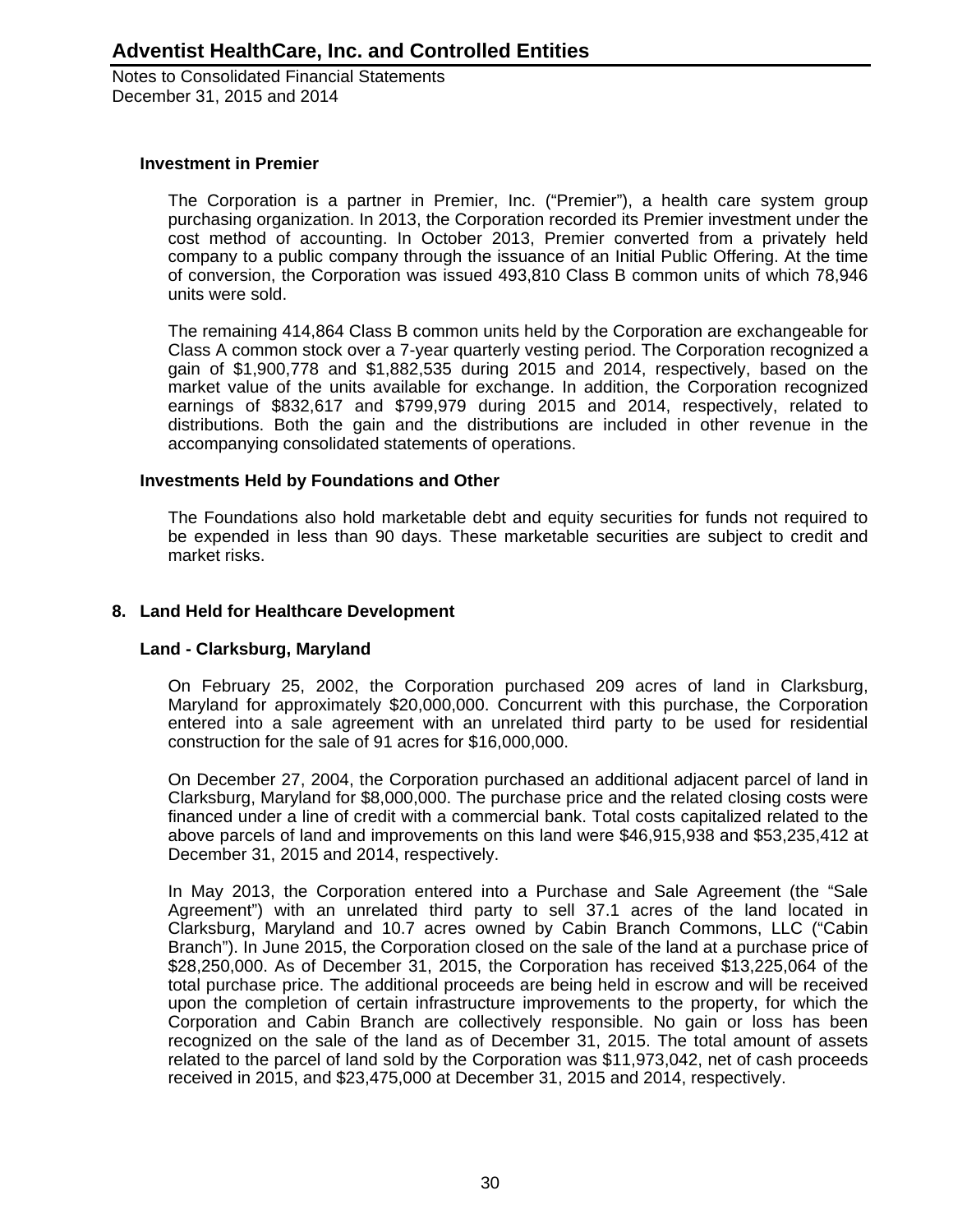#### **Investment in Premier**

The Corporation is a partner in Premier, Inc. ("Premier"), a health care system group purchasing organization. In 2013, the Corporation recorded its Premier investment under the cost method of accounting. In October 2013, Premier converted from a privately held company to a public company through the issuance of an Initial Public Offering. At the time of conversion, the Corporation was issued 493,810 Class B common units of which 78,946 units were sold.

The remaining 414,864 Class B common units held by the Corporation are exchangeable for Class A common stock over a 7-year quarterly vesting period. The Corporation recognized a gain of \$1,900,778 and \$1,882,535 during 2015 and 2014, respectively, based on the market value of the units available for exchange. In addition, the Corporation recognized earnings of \$832,617 and \$799,979 during 2015 and 2014, respectively, related to distributions. Both the gain and the distributions are included in other revenue in the accompanying consolidated statements of operations.

#### **Investments Held by Foundations and Other**

The Foundations also hold marketable debt and equity securities for funds not required to be expended in less than 90 days. These marketable securities are subject to credit and market risks.

#### **8. Land Held for Healthcare Development**

#### **Land - Clarksburg, Maryland**

On February 25, 2002, the Corporation purchased 209 acres of land in Clarksburg, Maryland for approximately \$20,000,000. Concurrent with this purchase, the Corporation entered into a sale agreement with an unrelated third party to be used for residential construction for the sale of 91 acres for \$16,000,000.

On December 27, 2004, the Corporation purchased an additional adjacent parcel of land in Clarksburg, Maryland for \$8,000,000. The purchase price and the related closing costs were financed under a line of credit with a commercial bank. Total costs capitalized related to the above parcels of land and improvements on this land were \$46,915,938 and \$53,235,412 at December 31, 2015 and 2014, respectively.

In May 2013, the Corporation entered into a Purchase and Sale Agreement (the "Sale Agreement") with an unrelated third party to sell 37.1 acres of the land located in Clarksburg, Maryland and 10.7 acres owned by Cabin Branch Commons, LLC ("Cabin Branch"). In June 2015, the Corporation closed on the sale of the land at a purchase price of \$28,250,000. As of December 31, 2015, the Corporation has received \$13,225,064 of the total purchase price. The additional proceeds are being held in escrow and will be received upon the completion of certain infrastructure improvements to the property, for which the Corporation and Cabin Branch are collectively responsible. No gain or loss has been recognized on the sale of the land as of December 31, 2015. The total amount of assets related to the parcel of land sold by the Corporation was \$11,973,042, net of cash proceeds received in 2015, and \$23,475,000 at December 31, 2015 and 2014, respectively.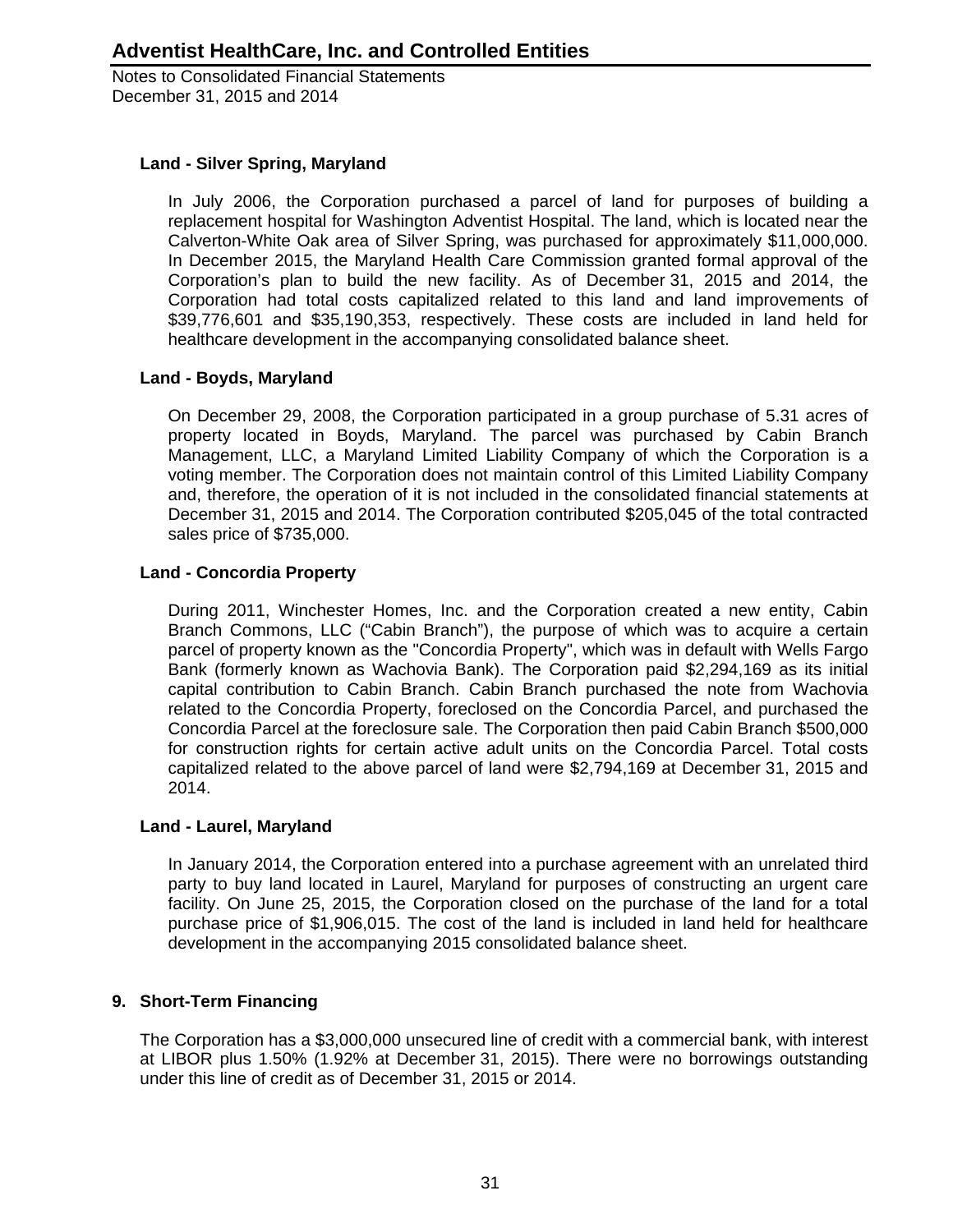## **Land - Silver Spring, Maryland**

In July 2006, the Corporation purchased a parcel of land for purposes of building a replacement hospital for Washington Adventist Hospital. The land, which is located near the Calverton-White Oak area of Silver Spring, was purchased for approximately \$11,000,000. In December 2015, the Maryland Health Care Commission granted formal approval of the Corporation's plan to build the new facility. As of December 31, 2015 and 2014, the Corporation had total costs capitalized related to this land and land improvements of \$39,776,601 and \$35,190,353, respectively. These costs are included in land held for healthcare development in the accompanying consolidated balance sheet.

## **Land - Boyds, Maryland**

On December 29, 2008, the Corporation participated in a group purchase of 5.31 acres of property located in Boyds, Maryland. The parcel was purchased by Cabin Branch Management, LLC, a Maryland Limited Liability Company of which the Corporation is a voting member. The Corporation does not maintain control of this Limited Liability Company and, therefore, the operation of it is not included in the consolidated financial statements at December 31, 2015 and 2014. The Corporation contributed \$205,045 of the total contracted sales price of \$735,000.

## **Land - Concordia Property**

During 2011, Winchester Homes, Inc. and the Corporation created a new entity, Cabin Branch Commons, LLC ("Cabin Branch"), the purpose of which was to acquire a certain parcel of property known as the "Concordia Property", which was in default with Wells Fargo Bank (formerly known as Wachovia Bank). The Corporation paid \$2,294,169 as its initial capital contribution to Cabin Branch. Cabin Branch purchased the note from Wachovia related to the Concordia Property, foreclosed on the Concordia Parcel, and purchased the Concordia Parcel at the foreclosure sale. The Corporation then paid Cabin Branch \$500,000 for construction rights for certain active adult units on the Concordia Parcel. Total costs capitalized related to the above parcel of land were \$2,794,169 at December 31, 2015 and 2014.

#### **Land - Laurel, Maryland**

In January 2014, the Corporation entered into a purchase agreement with an unrelated third party to buy land located in Laurel, Maryland for purposes of constructing an urgent care facility. On June 25, 2015, the Corporation closed on the purchase of the land for a total purchase price of \$1,906,015. The cost of the land is included in land held for healthcare development in the accompanying 2015 consolidated balance sheet.

#### **9. Short-Term Financing**

The Corporation has a \$3,000,000 unsecured line of credit with a commercial bank, with interest at LIBOR plus 1.50% (1.92% at December 31, 2015). There were no borrowings outstanding under this line of credit as of December 31, 2015 or 2014.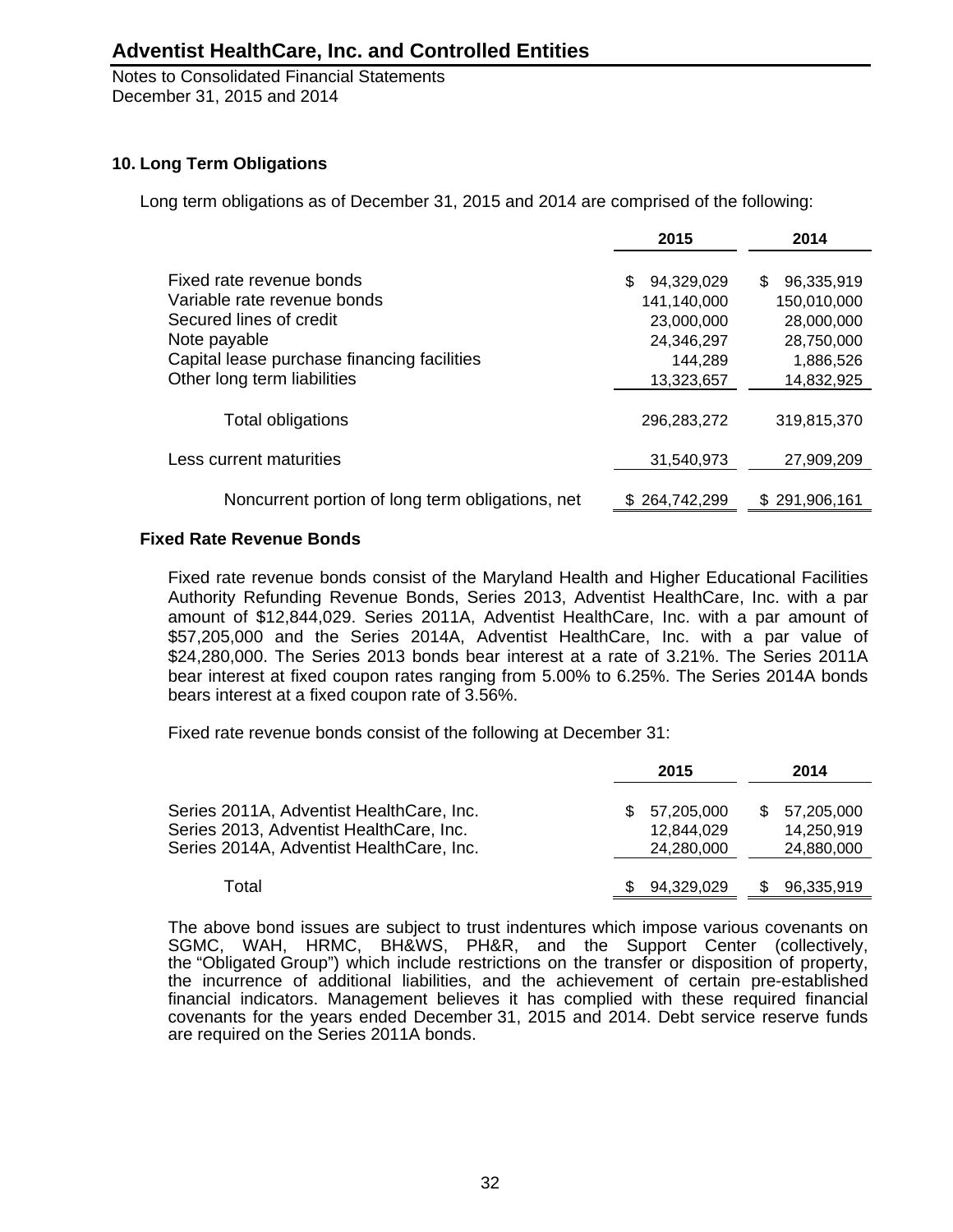# **10. Long Term Obligations**

Long term obligations as of December 31, 2015 and 2014 are comprised of the following:

|                                                  | 2015             | 2014             |
|--------------------------------------------------|------------------|------------------|
| Fixed rate revenue bonds                         | 94,329,029<br>\$ | \$<br>96,335,919 |
| Variable rate revenue bonds                      | 141,140,000      | 150,010,000      |
| Secured lines of credit                          | 23,000,000       | 28,000,000       |
| Note payable                                     | 24,346,297       | 28,750,000       |
| Capital lease purchase financing facilities      | 144,289          | 1,886,526        |
| Other long term liabilities                      | 13,323,657       | 14,832,925       |
| Total obligations                                | 296,283,272      | 319,815,370      |
| Less current maturities                          | 31,540,973       | 27.909.209       |
| Noncurrent portion of long term obligations, net | \$264,742,299    | \$291,906,161    |

## **Fixed Rate Revenue Bonds**

Fixed rate revenue bonds consist of the Maryland Health and Higher Educational Facilities Authority Refunding Revenue Bonds, Series 2013, Adventist HealthCare, Inc. with a par amount of \$12,844,029. Series 2011A, Adventist HealthCare, Inc. with a par amount of \$57,205,000 and the Series 2014A, Adventist HealthCare, Inc. with a par value of \$24,280,000. The Series 2013 bonds bear interest at a rate of 3.21%. The Series 2011A bear interest at fixed coupon rates ranging from 5.00% to 6.25%. The Series 2014A bonds bears interest at a fixed coupon rate of 3.56%.

Fixed rate revenue bonds consist of the following at December 31:

|                                                                                                                                 | 2015                                   | 2014                                     |
|---------------------------------------------------------------------------------------------------------------------------------|----------------------------------------|------------------------------------------|
| Series 2011A, Adventist HealthCare, Inc.<br>Series 2013, Adventist HealthCare, Inc.<br>Series 2014A, Adventist HealthCare, Inc. | 57,205,000<br>12.844.029<br>24,280,000 | \$57,205,000<br>14.250.919<br>24,880,000 |
| Total                                                                                                                           | 94,329,029                             | 96,335,919                               |

The above bond issues are subject to trust indentures which impose various covenants on SGMC, WAH, HRMC, BH&WS, PH&R, and the Support Center (collectively, the "Obligated Group") which include restrictions on the transfer or disposition of property, the incurrence of additional liabilities, and the achievement of certain pre-established financial indicators. Management believes it has complied with these required financial covenants for the years ended December 31, 2015 and 2014. Debt service reserve funds are required on the Series 2011A bonds.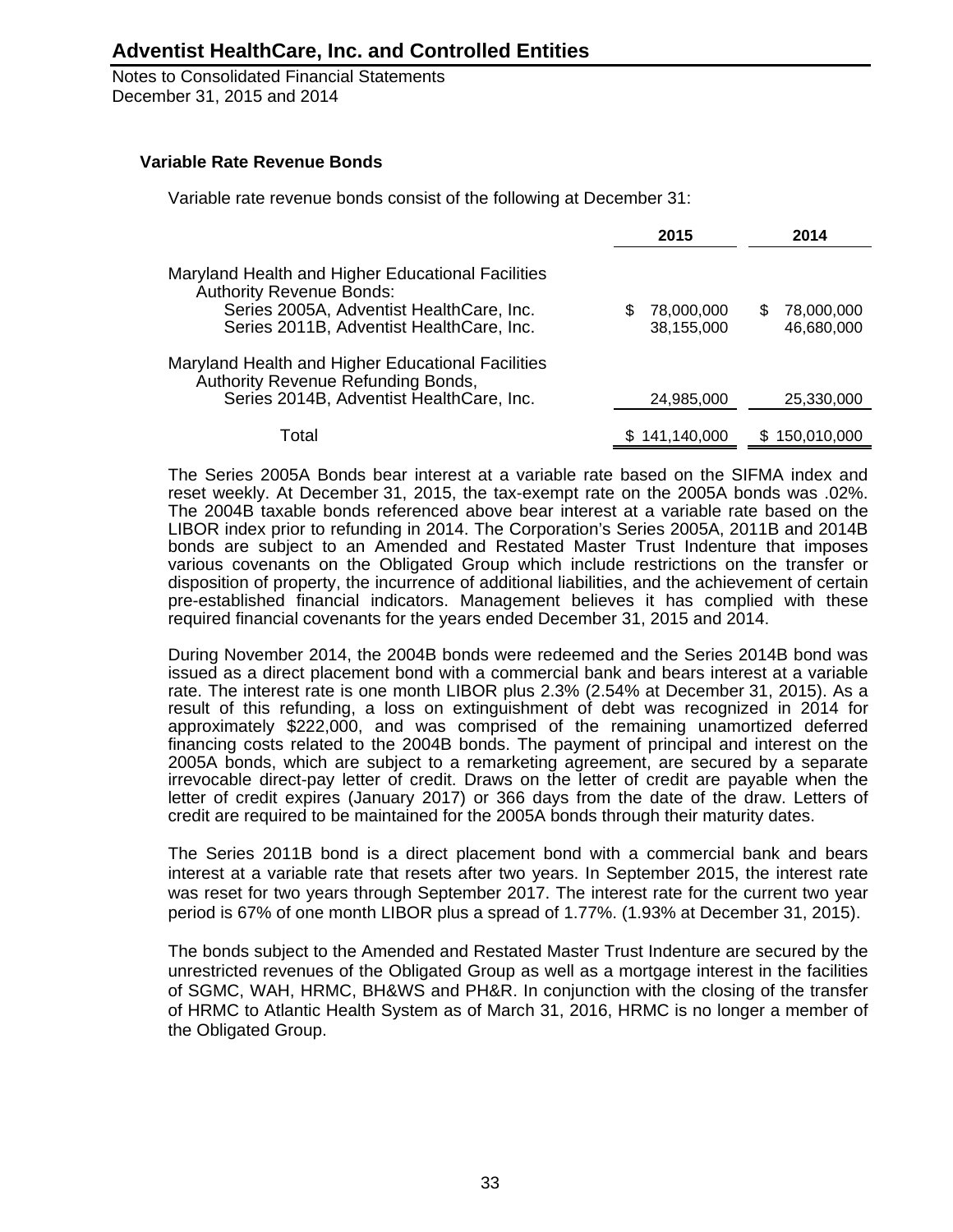#### **Variable Rate Revenue Bonds**

Variable rate revenue bonds consist of the following at December 31:

|                                                                                                                                                                              |   | 2015                     |     | 2014                     |
|------------------------------------------------------------------------------------------------------------------------------------------------------------------------------|---|--------------------------|-----|--------------------------|
| Maryland Health and Higher Educational Facilities<br><b>Authority Revenue Bonds:</b><br>Series 2005A, Adventist HealthCare, Inc.<br>Series 2011B, Adventist HealthCare, Inc. | S | 78,000,000<br>38,155,000 | \$. | 78,000,000<br>46,680,000 |
| Maryland Health and Higher Educational Facilities<br>Authority Revenue Refunding Bonds,<br>Series 2014B, Adventist HealthCare, Inc.                                          |   | 24,985,000               |     | 25,330,000               |
| Total                                                                                                                                                                        |   | \$141.140.000            |     | \$150.010.000            |

The Series 2005A Bonds bear interest at a variable rate based on the SIFMA index and reset weekly. At December 31, 2015, the tax-exempt rate on the 2005A bonds was .02%. The 2004B taxable bonds referenced above bear interest at a variable rate based on the LIBOR index prior to refunding in 2014. The Corporation's Series 2005A, 2011B and 2014B bonds are subject to an Amended and Restated Master Trust Indenture that imposes various covenants on the Obligated Group which include restrictions on the transfer or disposition of property, the incurrence of additional liabilities, and the achievement of certain pre-established financial indicators. Management believes it has complied with these required financial covenants for the years ended December 31, 2015 and 2014.

During November 2014, the 2004B bonds were redeemed and the Series 2014B bond was issued as a direct placement bond with a commercial bank and bears interest at a variable rate. The interest rate is one month LIBOR plus 2.3% (2.54% at December 31, 2015). As a result of this refunding, a loss on extinguishment of debt was recognized in 2014 for approximately \$222,000, and was comprised of the remaining unamortized deferred financing costs related to the 2004B bonds. The payment of principal and interest on the 2005A bonds, which are subject to a remarketing agreement, are secured by a separate irrevocable direct-pay letter of credit. Draws on the letter of credit are payable when the letter of credit expires (January 2017) or 366 days from the date of the draw. Letters of credit are required to be maintained for the 2005A bonds through their maturity dates.

The Series 2011B bond is a direct placement bond with a commercial bank and bears interest at a variable rate that resets after two years. In September 2015, the interest rate was reset for two years through September 2017. The interest rate for the current two year period is 67% of one month LIBOR plus a spread of 1.77%. (1.93% at December 31, 2015).

The bonds subject to the Amended and Restated Master Trust Indenture are secured by the unrestricted revenues of the Obligated Group as well as a mortgage interest in the facilities of SGMC, WAH, HRMC, BH&WS and PH&R. In conjunction with the closing of the transfer of HRMC to Atlantic Health System as of March 31, 2016, HRMC is no longer a member of the Obligated Group.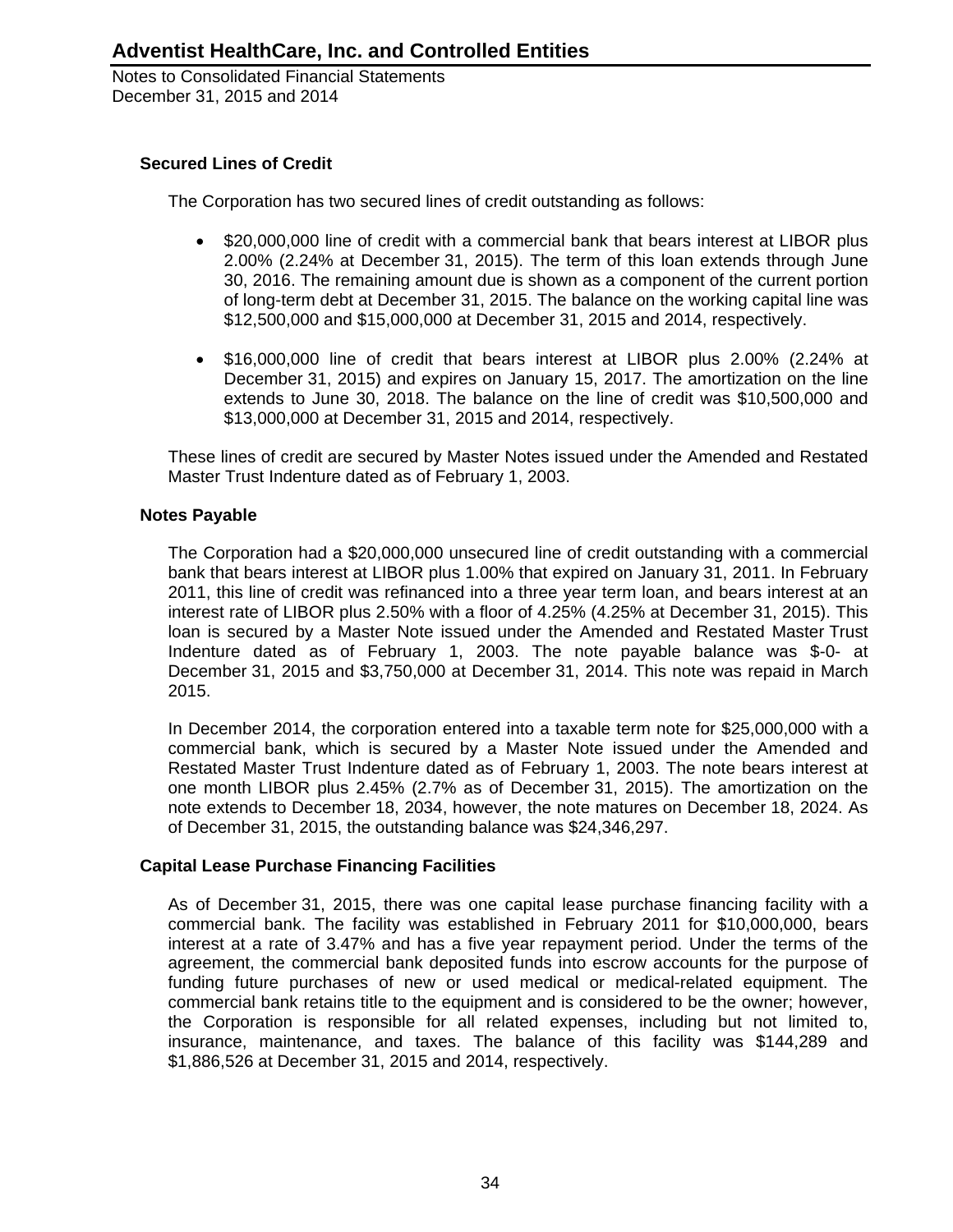## **Secured Lines of Credit**

The Corporation has two secured lines of credit outstanding as follows:

- \$20,000,000 line of credit with a commercial bank that bears interest at LIBOR plus 2.00% (2.24% at December 31, 2015). The term of this loan extends through June 30, 2016. The remaining amount due is shown as a component of the current portion of long-term debt at December 31, 2015. The balance on the working capital line was \$12,500,000 and \$15,000,000 at December 31, 2015 and 2014, respectively.
- \$16,000,000 line of credit that bears interest at LIBOR plus 2.00% (2.24% at December 31, 2015) and expires on January 15, 2017. The amortization on the line extends to June 30, 2018. The balance on the line of credit was \$10,500,000 and \$13,000,000 at December 31, 2015 and 2014, respectively.

These lines of credit are secured by Master Notes issued under the Amended and Restated Master Trust Indenture dated as of February 1, 2003.

#### **Notes Payable**

The Corporation had a \$20,000,000 unsecured line of credit outstanding with a commercial bank that bears interest at LIBOR plus 1.00% that expired on January 31, 2011. In February 2011, this line of credit was refinanced into a three year term loan, and bears interest at an interest rate of LIBOR plus 2.50% with a floor of 4.25% (4.25% at December 31, 2015). This loan is secured by a Master Note issued under the Amended and Restated Master Trust Indenture dated as of February 1, 2003. The note payable balance was \$-0- at December 31, 2015 and \$3,750,000 at December 31, 2014. This note was repaid in March 2015.

In December 2014, the corporation entered into a taxable term note for \$25,000,000 with a commercial bank, which is secured by a Master Note issued under the Amended and Restated Master Trust Indenture dated as of February 1, 2003. The note bears interest at one month LIBOR plus 2.45% (2.7% as of December 31, 2015). The amortization on the note extends to December 18, 2034, however, the note matures on December 18, 2024. As of December 31, 2015, the outstanding balance was \$24,346,297.

## **Capital Lease Purchase Financing Facilities**

As of December 31, 2015, there was one capital lease purchase financing facility with a commercial bank. The facility was established in February 2011 for \$10,000,000, bears interest at a rate of 3.47% and has a five year repayment period. Under the terms of the agreement, the commercial bank deposited funds into escrow accounts for the purpose of funding future purchases of new or used medical or medical-related equipment. The commercial bank retains title to the equipment and is considered to be the owner; however, the Corporation is responsible for all related expenses, including but not limited to, insurance, maintenance, and taxes. The balance of this facility was \$144,289 and \$1,886,526 at December 31, 2015 and 2014, respectively.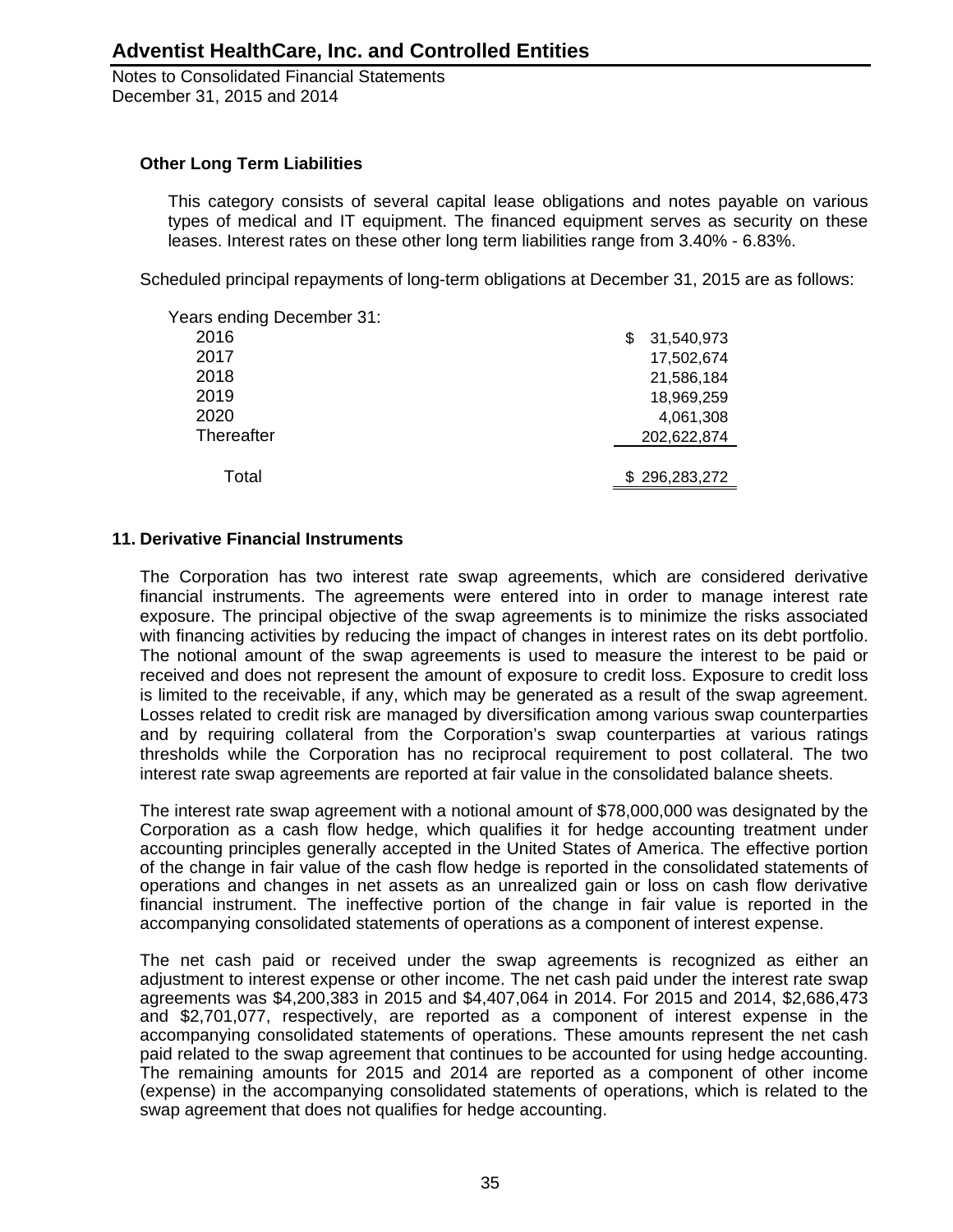## **Other Long Term Liabilities**

This category consists of several capital lease obligations and notes payable on various types of medical and IT equipment. The financed equipment serves as security on these leases. Interest rates on these other long term liabilities range from 3.40% - 6.83%.

Scheduled principal repayments of long-term obligations at December 31, 2015 are as follows:

| Years ending December 31: |   |               |
|---------------------------|---|---------------|
| 2016                      | S | 31,540,973    |
| 2017                      |   | 17,502,674    |
| 2018                      |   | 21,586,184    |
| 2019                      |   | 18,969,259    |
| 2020                      |   | 4,061,308     |
| Thereafter                |   | 202,622,874   |
|                           |   |               |
| Total                     |   | \$296,283,272 |

#### **11. Derivative Financial Instruments**

The Corporation has two interest rate swap agreements, which are considered derivative financial instruments. The agreements were entered into in order to manage interest rate exposure. The principal objective of the swap agreements is to minimize the risks associated with financing activities by reducing the impact of changes in interest rates on its debt portfolio. The notional amount of the swap agreements is used to measure the interest to be paid or received and does not represent the amount of exposure to credit loss. Exposure to credit loss is limited to the receivable, if any, which may be generated as a result of the swap agreement. Losses related to credit risk are managed by diversification among various swap counterparties and by requiring collateral from the Corporation's swap counterparties at various ratings thresholds while the Corporation has no reciprocal requirement to post collateral. The two interest rate swap agreements are reported at fair value in the consolidated balance sheets.

The interest rate swap agreement with a notional amount of \$78,000,000 was designated by the Corporation as a cash flow hedge, which qualifies it for hedge accounting treatment under accounting principles generally accepted in the United States of America. The effective portion of the change in fair value of the cash flow hedge is reported in the consolidated statements of operations and changes in net assets as an unrealized gain or loss on cash flow derivative financial instrument. The ineffective portion of the change in fair value is reported in the accompanying consolidated statements of operations as a component of interest expense.

The net cash paid or received under the swap agreements is recognized as either an adjustment to interest expense or other income. The net cash paid under the interest rate swap agreements was \$4,200,383 in 2015 and \$4,407,064 in 2014. For 2015 and 2014, \$2,686,473 and \$2,701,077, respectively, are reported as a component of interest expense in the accompanying consolidated statements of operations. These amounts represent the net cash paid related to the swap agreement that continues to be accounted for using hedge accounting. The remaining amounts for 2015 and 2014 are reported as a component of other income (expense) in the accompanying consolidated statements of operations, which is related to the swap agreement that does not qualifies for hedge accounting.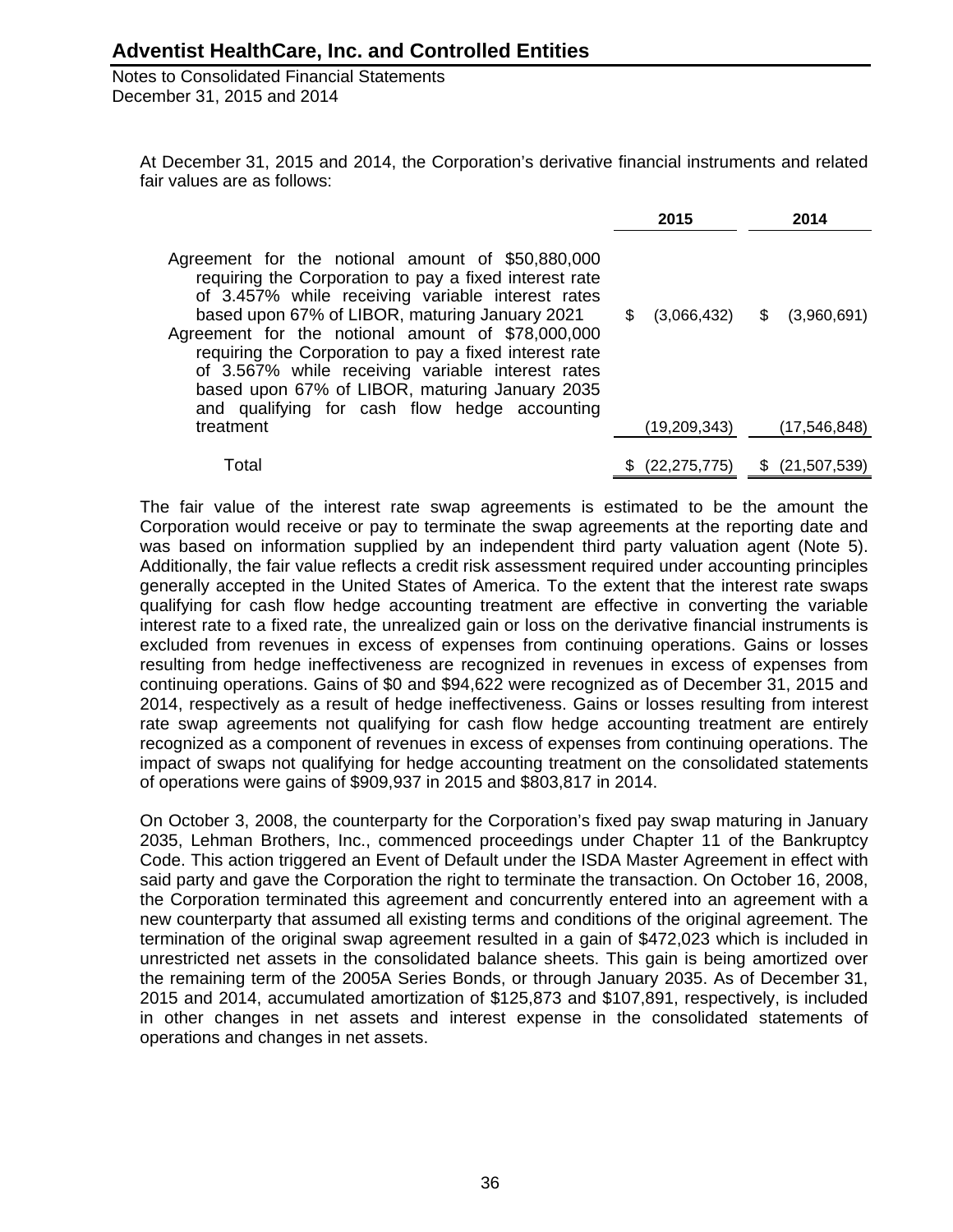Notes to Consolidated Financial Statements December 31, 2015 and 2014

At December 31, 2015 and 2014, the Corporation's derivative financial instruments and related fair values are as follows:

|                                                                                                                                                                                                                                                                                                                                                                                                                                                                                           | 2015              | 2014              |
|-------------------------------------------------------------------------------------------------------------------------------------------------------------------------------------------------------------------------------------------------------------------------------------------------------------------------------------------------------------------------------------------------------------------------------------------------------------------------------------------|-------------------|-------------------|
| Agreement for the notional amount of \$50,880,000<br>requiring the Corporation to pay a fixed interest rate<br>of 3.457% while receiving variable interest rates<br>based upon 67% of LIBOR, maturing January 2021<br>Agreement for the notional amount of \$78,000,000<br>requiring the Corporation to pay a fixed interest rate<br>of 3.567% while receiving variable interest rates<br>based upon 67% of LIBOR, maturing January 2035<br>and qualifying for cash flow hedge accounting | \$<br>(3,066,432) | \$<br>(3,960,691) |
| treatment                                                                                                                                                                                                                                                                                                                                                                                                                                                                                 | (19,209,343)      | (17.546.848)      |
| Total                                                                                                                                                                                                                                                                                                                                                                                                                                                                                     | (22,275,775)      | $$$ (21,507,539)  |

The fair value of the interest rate swap agreements is estimated to be the amount the Corporation would receive or pay to terminate the swap agreements at the reporting date and was based on information supplied by an independent third party valuation agent (Note 5). Additionally, the fair value reflects a credit risk assessment required under accounting principles generally accepted in the United States of America. To the extent that the interest rate swaps qualifying for cash flow hedge accounting treatment are effective in converting the variable interest rate to a fixed rate, the unrealized gain or loss on the derivative financial instruments is excluded from revenues in excess of expenses from continuing operations. Gains or losses resulting from hedge ineffectiveness are recognized in revenues in excess of expenses from continuing operations. Gains of \$0 and \$94,622 were recognized as of December 31, 2015 and 2014, respectively as a result of hedge ineffectiveness. Gains or losses resulting from interest rate swap agreements not qualifying for cash flow hedge accounting treatment are entirely recognized as a component of revenues in excess of expenses from continuing operations. The impact of swaps not qualifying for hedge accounting treatment on the consolidated statements of operations were gains of \$909,937 in 2015 and \$803,817 in 2014.

On October 3, 2008, the counterparty for the Corporation's fixed pay swap maturing in January 2035, Lehman Brothers, Inc., commenced proceedings under Chapter 11 of the Bankruptcy Code. This action triggered an Event of Default under the ISDA Master Agreement in effect with said party and gave the Corporation the right to terminate the transaction. On October 16, 2008, the Corporation terminated this agreement and concurrently entered into an agreement with a new counterparty that assumed all existing terms and conditions of the original agreement. The termination of the original swap agreement resulted in a gain of \$472,023 which is included in unrestricted net assets in the consolidated balance sheets. This gain is being amortized over the remaining term of the 2005A Series Bonds, or through January 2035. As of December 31, 2015 and 2014, accumulated amortization of \$125,873 and \$107,891, respectively, is included in other changes in net assets and interest expense in the consolidated statements of operations and changes in net assets.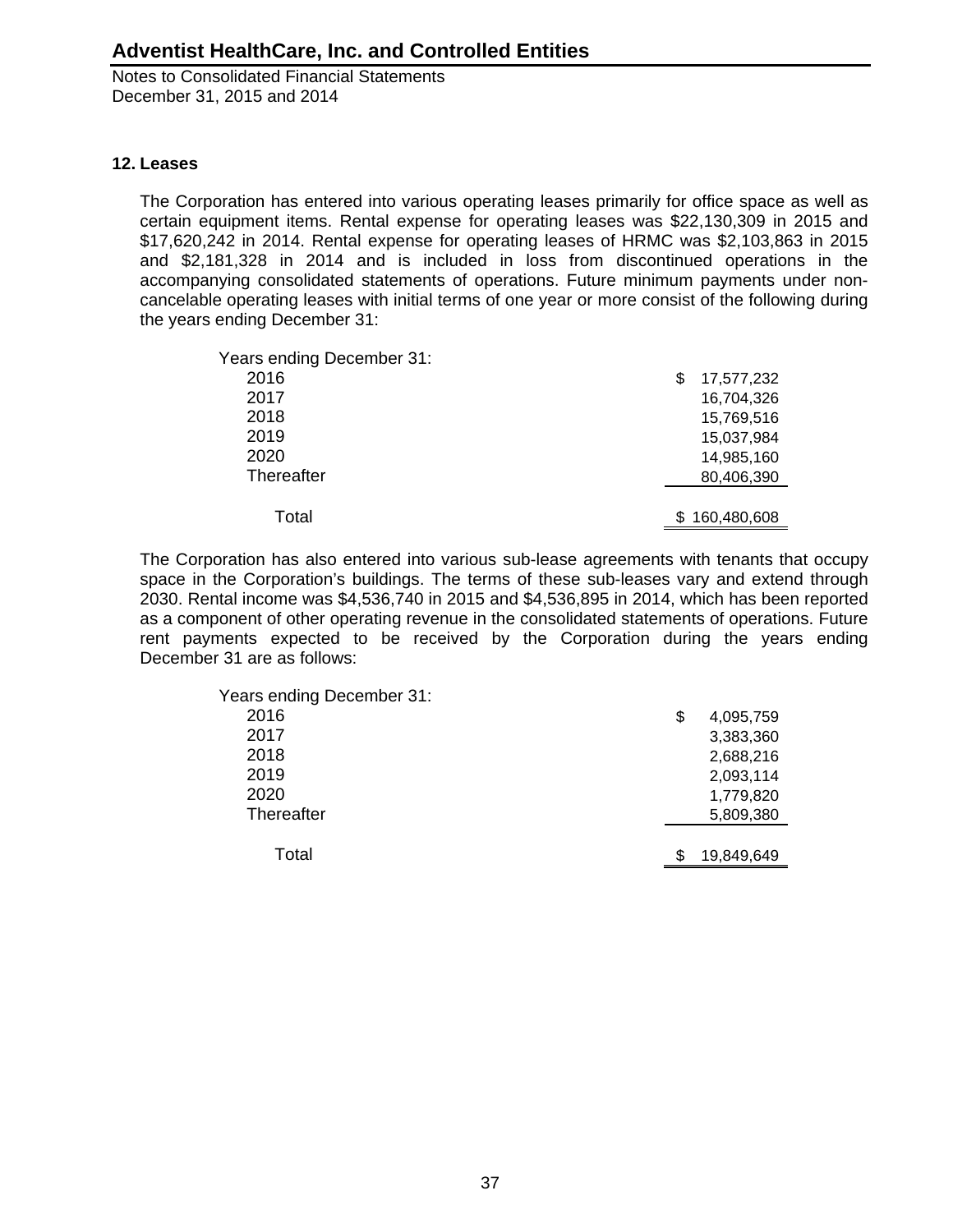#### **12. Leases**

The Corporation has entered into various operating leases primarily for office space as well as certain equipment items. Rental expense for operating leases was \$22,130,309 in 2015 and \$17,620,242 in 2014. Rental expense for operating leases of HRMC was \$2,103,863 in 2015 and \$2,181,328 in 2014 and is included in loss from discontinued operations in the accompanying consolidated statements of operations. Future minimum payments under noncancelable operating leases with initial terms of one year or more consist of the following during the years ending December 31:

| Years ending December 31: |                  |
|---------------------------|------------------|
| 2016                      | \$<br>17,577,232 |
| 2017                      | 16,704,326       |
| 2018                      | 15,769,516       |
| 2019                      | 15,037,984       |
| 2020                      | 14,985,160       |
| Thereafter                | 80,406,390       |
|                           |                  |
| Total                     | 160,480,608      |

The Corporation has also entered into various sub-lease agreements with tenants that occupy space in the Corporation's buildings. The terms of these sub-leases vary and extend through 2030. Rental income was \$4,536,740 in 2015 and \$4,536,895 in 2014, which has been reported as a component of other operating revenue in the consolidated statements of operations. Future rent payments expected to be received by the Corporation during the years ending December 31 are as follows:

| Years ending December 31: |                 |
|---------------------------|-----------------|
| 2016                      | \$<br>4,095,759 |
| 2017                      | 3,383,360       |
| 2018                      | 2,688,216       |
| 2019                      | 2,093,114       |
| 2020                      | 1,779,820       |
| Thereafter                | 5,809,380       |
|                           |                 |
| Total                     | 19,849,649      |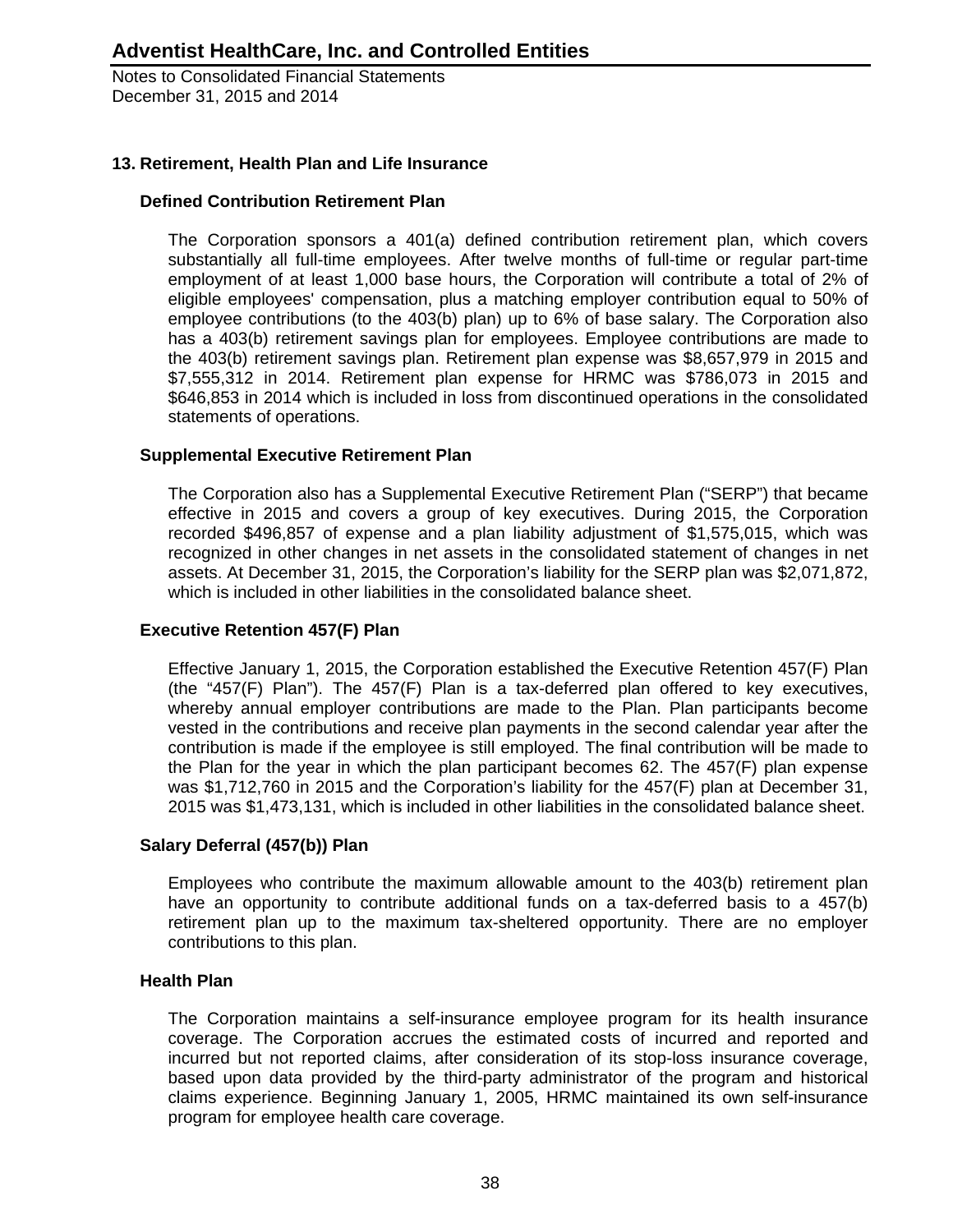## **13. Retirement, Health Plan and Life Insurance**

## **Defined Contribution Retirement Plan**

The Corporation sponsors a 401(a) defined contribution retirement plan, which covers substantially all full-time employees. After twelve months of full-time or regular part-time employment of at least 1,000 base hours, the Corporation will contribute a total of 2% of eligible employees' compensation, plus a matching employer contribution equal to 50% of employee contributions (to the 403(b) plan) up to 6% of base salary. The Corporation also has a 403(b) retirement savings plan for employees. Employee contributions are made to the 403(b) retirement savings plan. Retirement plan expense was \$8,657,979 in 2015 and \$7,555,312 in 2014. Retirement plan expense for HRMC was \$786,073 in 2015 and \$646,853 in 2014 which is included in loss from discontinued operations in the consolidated statements of operations.

## **Supplemental Executive Retirement Plan**

The Corporation also has a Supplemental Executive Retirement Plan ("SERP") that became effective in 2015 and covers a group of key executives. During 2015, the Corporation recorded \$496,857 of expense and a plan liability adjustment of \$1,575,015, which was recognized in other changes in net assets in the consolidated statement of changes in net assets. At December 31, 2015, the Corporation's liability for the SERP plan was \$2,071,872, which is included in other liabilities in the consolidated balance sheet.

#### **Executive Retention 457(F) Plan**

Effective January 1, 2015, the Corporation established the Executive Retention 457(F) Plan (the "457(F) Plan"). The 457(F) Plan is a tax-deferred plan offered to key executives, whereby annual employer contributions are made to the Plan. Plan participants become vested in the contributions and receive plan payments in the second calendar year after the contribution is made if the employee is still employed. The final contribution will be made to the Plan for the year in which the plan participant becomes 62. The 457(F) plan expense was \$1,712,760 in 2015 and the Corporation's liability for the 457(F) plan at December 31, 2015 was \$1,473,131, which is included in other liabilities in the consolidated balance sheet.

#### **Salary Deferral (457(b)) Plan**

Employees who contribute the maximum allowable amount to the 403(b) retirement plan have an opportunity to contribute additional funds on a tax-deferred basis to a 457(b) retirement plan up to the maximum tax-sheltered opportunity. There are no employer contributions to this plan.

#### **Health Plan**

The Corporation maintains a self-insurance employee program for its health insurance coverage. The Corporation accrues the estimated costs of incurred and reported and incurred but not reported claims, after consideration of its stop-loss insurance coverage, based upon data provided by the third-party administrator of the program and historical claims experience. Beginning January 1, 2005, HRMC maintained its own self-insurance program for employee health care coverage.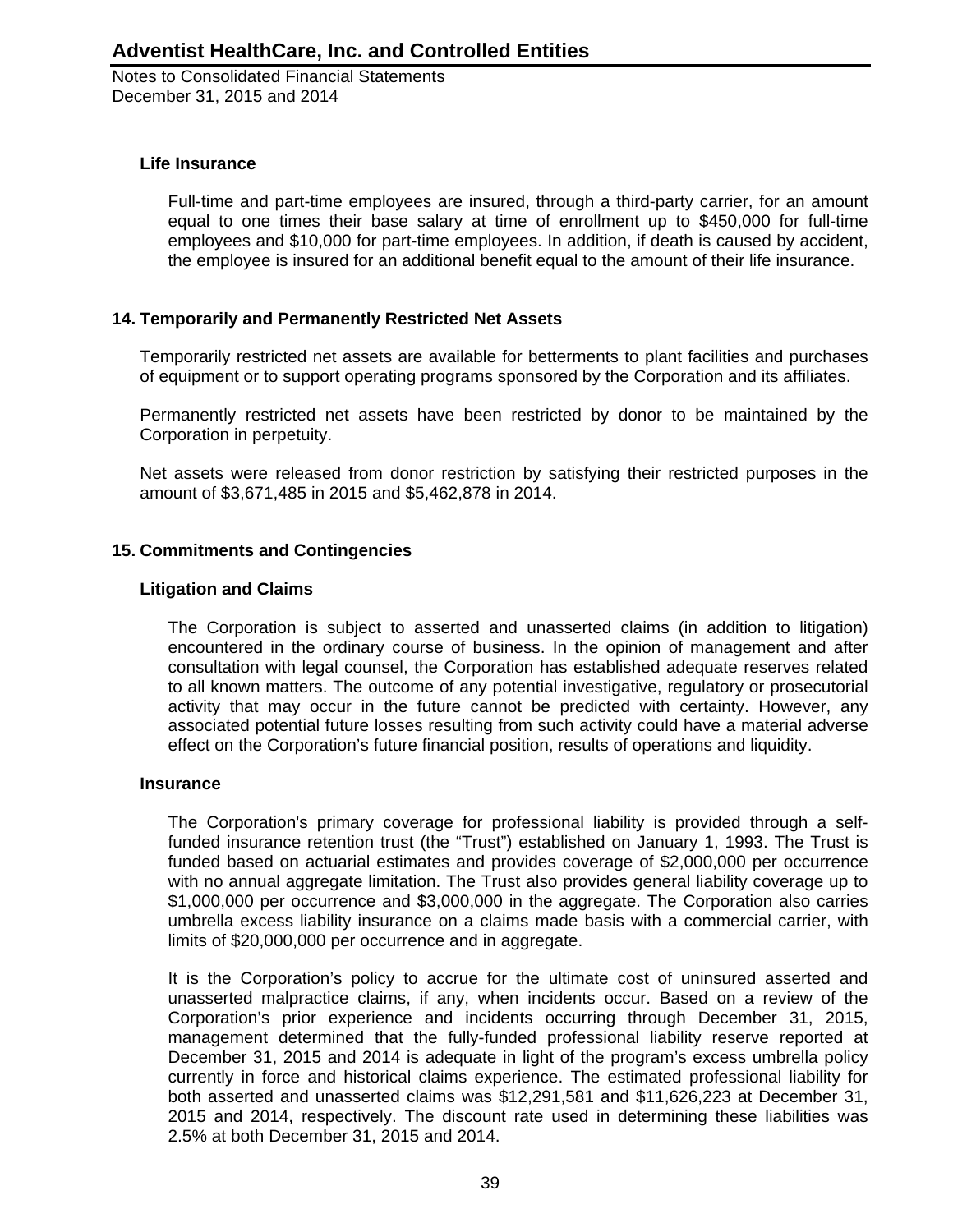#### **Life Insurance**

Full-time and part-time employees are insured, through a third-party carrier, for an amount equal to one times their base salary at time of enrollment up to \$450,000 for full-time employees and \$10,000 for part-time employees. In addition, if death is caused by accident, the employee is insured for an additional benefit equal to the amount of their life insurance.

## **14. Temporarily and Permanently Restricted Net Assets**

Temporarily restricted net assets are available for betterments to plant facilities and purchases of equipment or to support operating programs sponsored by the Corporation and its affiliates.

Permanently restricted net assets have been restricted by donor to be maintained by the Corporation in perpetuity.

Net assets were released from donor restriction by satisfying their restricted purposes in the amount of \$3,671,485 in 2015 and \$5,462,878 in 2014.

## **15. Commitments and Contingencies**

#### **Litigation and Claims**

The Corporation is subject to asserted and unasserted claims (in addition to litigation) encountered in the ordinary course of business. In the opinion of management and after consultation with legal counsel, the Corporation has established adequate reserves related to all known matters. The outcome of any potential investigative, regulatory or prosecutorial activity that may occur in the future cannot be predicted with certainty. However, any associated potential future losses resulting from such activity could have a material adverse effect on the Corporation's future financial position, results of operations and liquidity.

#### **Insurance**

The Corporation's primary coverage for professional liability is provided through a selffunded insurance retention trust (the "Trust") established on January 1, 1993. The Trust is funded based on actuarial estimates and provides coverage of \$2,000,000 per occurrence with no annual aggregate limitation. The Trust also provides general liability coverage up to \$1,000,000 per occurrence and \$3,000,000 in the aggregate. The Corporation also carries umbrella excess liability insurance on a claims made basis with a commercial carrier, with limits of \$20,000,000 per occurrence and in aggregate.

It is the Corporation's policy to accrue for the ultimate cost of uninsured asserted and unasserted malpractice claims, if any, when incidents occur. Based on a review of the Corporation's prior experience and incidents occurring through December 31, 2015, management determined that the fully-funded professional liability reserve reported at December 31, 2015 and 2014 is adequate in light of the program's excess umbrella policy currently in force and historical claims experience. The estimated professional liability for both asserted and unasserted claims was \$12,291,581 and \$11,626,223 at December 31, 2015 and 2014, respectively. The discount rate used in determining these liabilities was 2.5% at both December 31, 2015 and 2014.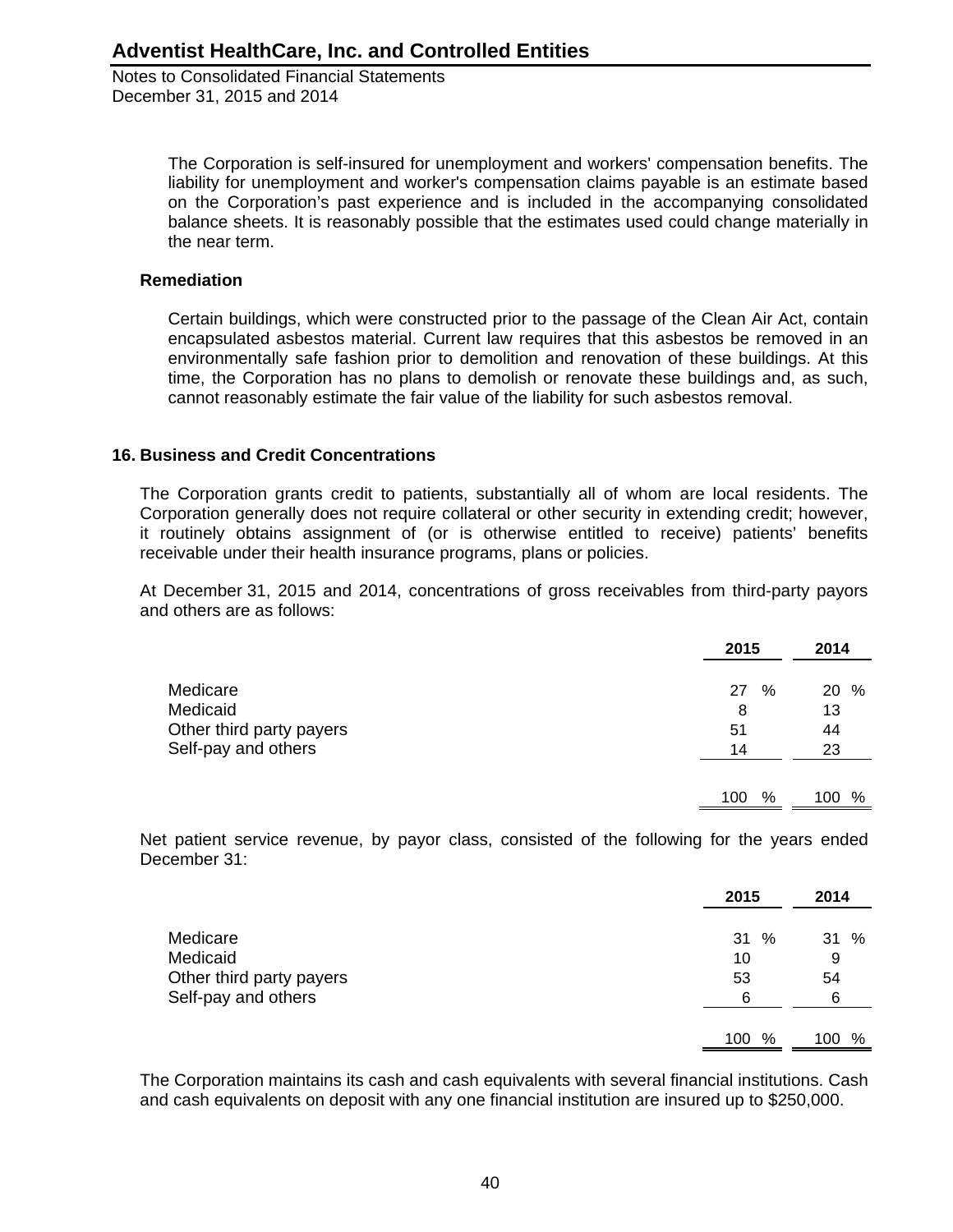> The Corporation is self-insured for unemployment and workers' compensation benefits. The liability for unemployment and worker's compensation claims payable is an estimate based on the Corporation's past experience and is included in the accompanying consolidated balance sheets. It is reasonably possible that the estimates used could change materially in the near term.

#### **Remediation**

Certain buildings, which were constructed prior to the passage of the Clean Air Act, contain encapsulated asbestos material. Current law requires that this asbestos be removed in an environmentally safe fashion prior to demolition and renovation of these buildings. At this time, the Corporation has no plans to demolish or renovate these buildings and, as such, cannot reasonably estimate the fair value of the liability for such asbestos removal.

#### **16. Business and Credit Concentrations**

The Corporation grants credit to patients, substantially all of whom are local residents. The Corporation generally does not require collateral or other security in extending credit; however, it routinely obtains assignment of (or is otherwise entitled to receive) patients' benefits receivable under their health insurance programs, plans or policies.

At December 31, 2015 and 2014, concentrations of gross receivables from third-party payors and others are as follows:

|                          | 2015     | 2014     |
|--------------------------|----------|----------|
| Medicare                 | 27<br>%  | 20<br>%  |
| Medicaid                 | 8        | 13       |
| Other third party payers | 51       | 44       |
| Self-pay and others      | 14       | 23       |
|                          |          |          |
|                          | %<br>100 | 100<br>% |

Net patient service revenue, by payor class, consisted of the following for the years ended December 31:

|                          | 2015     | 2014        |
|--------------------------|----------|-------------|
| Medicare                 | 31 %     | 31<br>%     |
| Medicaid                 | 10       | 9           |
| Other third party payers | 53       | 54          |
| Self-pay and others      | 6        | 6           |
|                          | %<br>100 | 100<br>$\%$ |

The Corporation maintains its cash and cash equivalents with several financial institutions. Cash and cash equivalents on deposit with any one financial institution are insured up to \$250,000.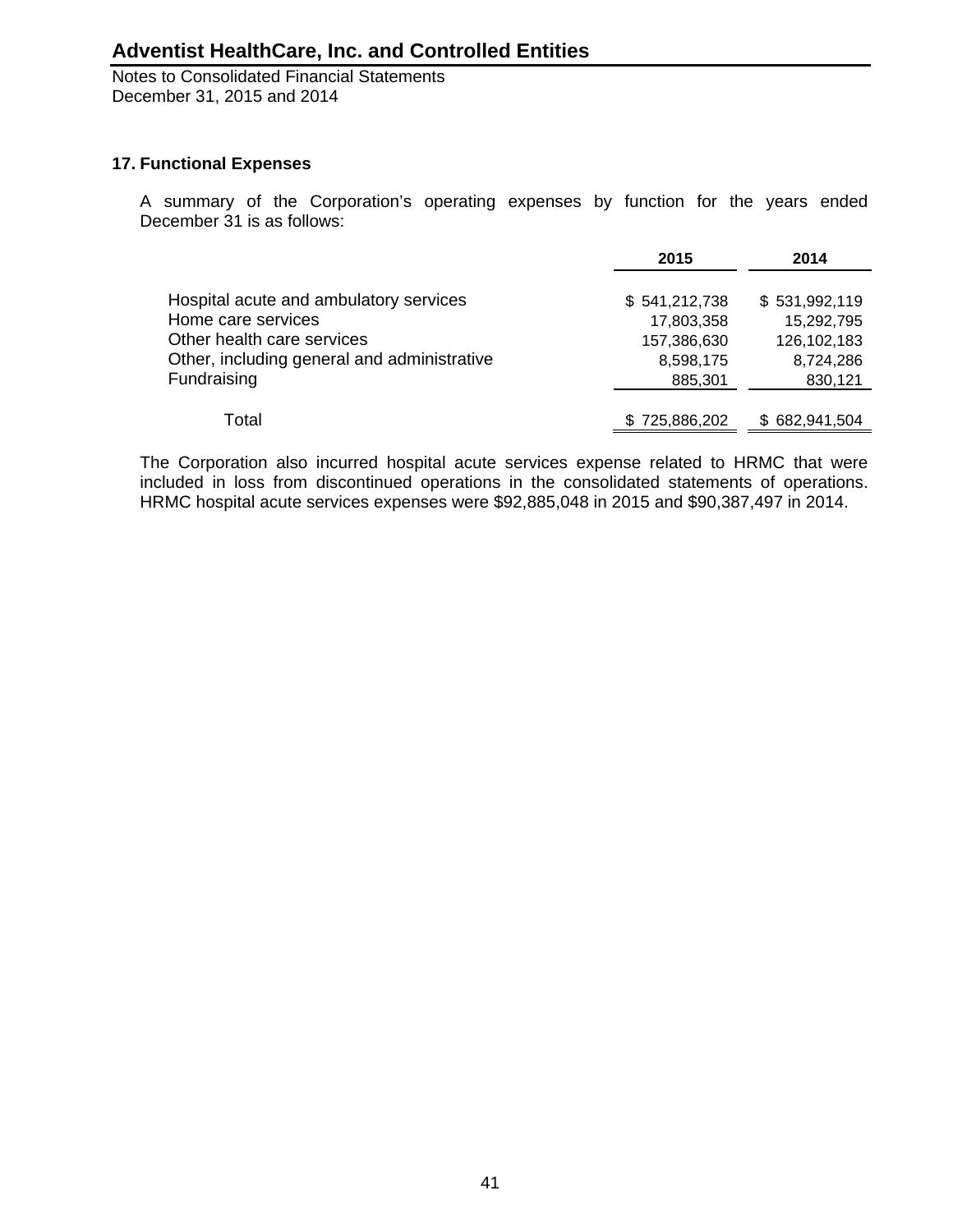Notes to Consolidated Financial Statements December 31, 2015 and 2014

#### **17. Functional Expenses**

A summary of the Corporation's operating expenses by function for the years ended December 31 is as follows:

|                                                                                                                                                          | 2015                                                               | 2014                                                                 |
|----------------------------------------------------------------------------------------------------------------------------------------------------------|--------------------------------------------------------------------|----------------------------------------------------------------------|
| Hospital acute and ambulatory services<br>Home care services<br>Other health care services<br>Other, including general and administrative<br>Fundraising | \$541,212,738<br>17,803,358<br>157,386,630<br>8,598,175<br>885,301 | \$531,992,119<br>15,292,795<br>126, 102, 183<br>8,724,286<br>830,121 |
| Total                                                                                                                                                    | \$725,886,202                                                      | \$682,941,504                                                        |

The Corporation also incurred hospital acute services expense related to HRMC that were included in loss from discontinued operations in the consolidated statements of operations. HRMC hospital acute services expenses were \$92,885,048 in 2015 and \$90,387,497 in 2014.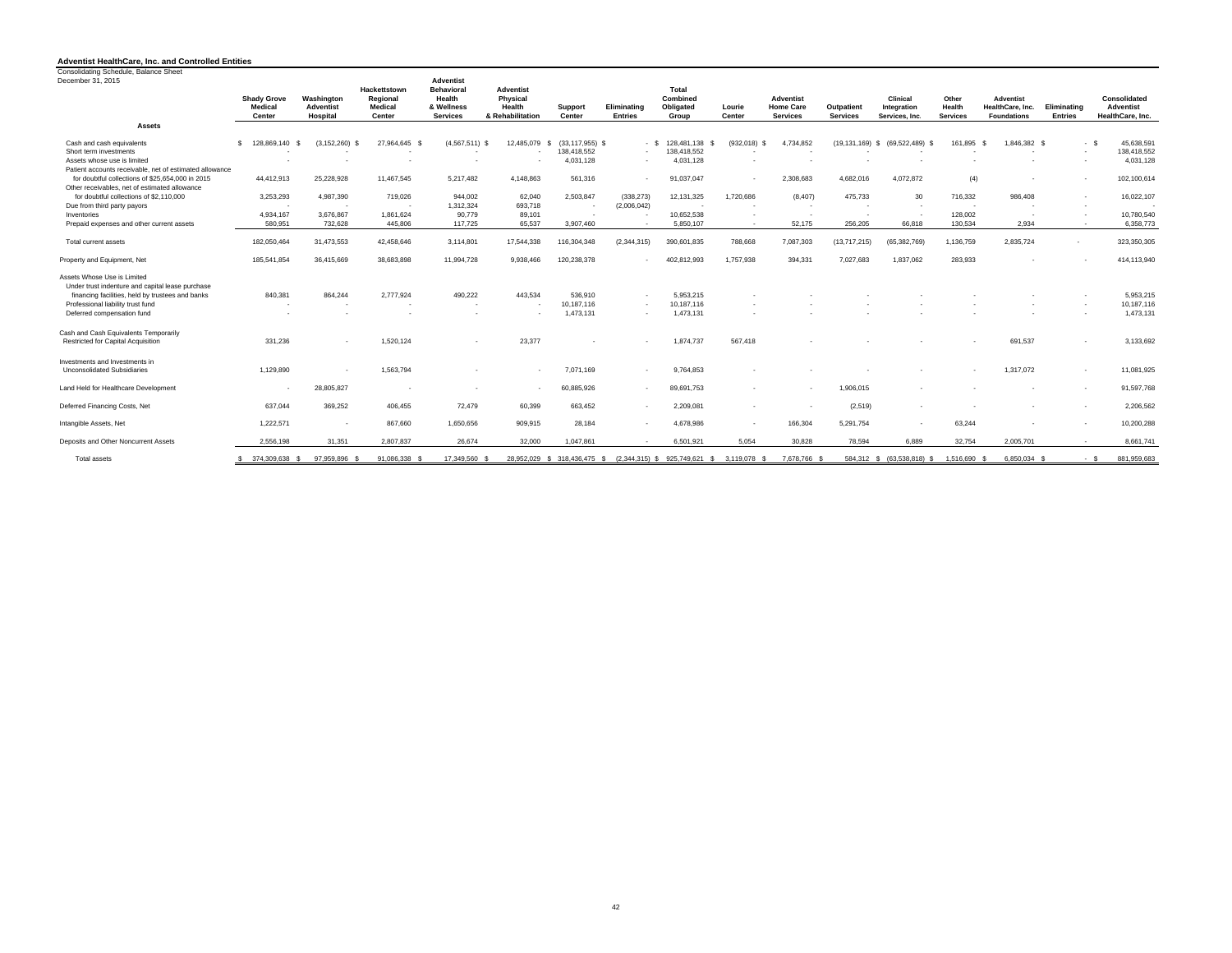| Consolidating Schedule, Balance Sheet<br>December 31, 2015                                                                                                                                             | <b>Shady Grove</b><br><b>Medical</b> | Washington<br>Adventist | Hackettstown<br>Regional<br>Medical | <b>Adventist</b><br><b>Behavioral</b><br>Health<br>& Wellness | <b>Adventist</b><br>Physical<br>Health | <b>Support</b>                               | Eliminating                   | Total<br>Combined<br>Obligated                    | Lourie                                               | <b>Adventist</b><br><b>Home Care</b> | Outpatient          | Clinical<br>Integration | Other<br>Health    | <b>Adventist</b><br>HealthCare, Inc. | Eliminating                                          | Consolidated<br><b>Adventist</b>               |
|--------------------------------------------------------------------------------------------------------------------------------------------------------------------------------------------------------|--------------------------------------|-------------------------|-------------------------------------|---------------------------------------------------------------|----------------------------------------|----------------------------------------------|-------------------------------|---------------------------------------------------|------------------------------------------------------|--------------------------------------|---------------------|-------------------------|--------------------|--------------------------------------|------------------------------------------------------|------------------------------------------------|
| <b>Assets</b>                                                                                                                                                                                          | Center                               | Hospital                | Center                              | <b>Services</b>                                               | & Rehabilitation                       | Center                                       | <b>Entries</b>                | Group                                             | Center                                               | <b>Services</b>                      | <b>Services</b>     | Services, Inc.          | <b>Services</b>    | <b>Foundations</b>                   | <b>Entries</b>                                       | HealthCare, Inc.                               |
| Cash and cash equivalents<br>Short term investments<br>Assets whose use is limited<br>Patient accounts receivable, net of estimated allowance                                                          | 128.869.140 \$                       | $(3, 152, 260)$ \$      | 27.964.645<br>- S                   | $(4.567.511)$ \$                                              | 12.485.079<br>- \$                     | $(33.117.955)$ S<br>138.418.552<br>4,031,128 | $\overline{\phantom{a}}$<br>٠ | $-$ \$ 128.481.138 \$<br>138.418.552<br>4,031,128 | $(932.018)$ S                                        | 4.734.852                            | $(19, 131, 169)$ \$ | $(69, 522, 489)$ \$     | 161.895            | 1.846.382 \$<br>٠                    | $\overline{\phantom{a}}$<br>$\overline{\phantom{a}}$ | 45,638,591<br>- \$<br>138,418,552<br>4,031,128 |
| for doubtful collections of \$25,654,000 in 2015<br>Other receivables, net of estimated allowance                                                                                                      | 44,412,913                           | 25,228,928              | 11.467.545                          | 5.217.482                                                     | 4.148.863                              | 561,316                                      |                               | 91,037,047                                        | $\overline{\phantom{a}}$                             | 2,308,683                            | 4,682,016           | 4.072.872               | (4)                |                                      |                                                      | 102,100,614                                    |
| for doubtful collections of \$2,110,000<br>Due from third party payors                                                                                                                                 | 3,253,293                            | 4,987,390               | 719,026                             | 944,002<br>1,312,324                                          | 62,040<br>693,718                      | 2,503,847                                    | (338, 273)<br>(2,006,042)     | 12, 131, 325                                      | 1,720,686                                            | (8, 407)                             | 475,733             | 30                      | 716,332<br>$\sim$  | 986,408                              | $\sim$                                               | 16,022,107                                     |
| Inventories<br>Prepaid expenses and other current assets                                                                                                                                               | 4,934,167<br>580.951                 | 3,676,867<br>732,628    | 1,861,624<br>445.806                | 90.779<br>117.725                                             | 89,101<br>65.537                       | 3.907.460                                    |                               | 10,652,538<br>5,850,107                           | $\overline{\phantom{a}}$<br>$\overline{\phantom{a}}$ | $\sim$<br>52,175                     | ٠<br>256,205        | ٠.<br>66.818            | 128,002<br>130,534 | 2.934                                | $\sim$<br>$\sim$                                     | 10,780,540<br>6,358,773                        |
| <b>Total current assets</b>                                                                                                                                                                            | 182,050,464                          | 31,473,553              | 42,458,646                          | 3,114,801                                                     | 17,544,338                             | 116,304,348                                  | (2,344,315)                   | 390,601,835                                       | 788,668                                              | 7,087,303                            | (13,717,215)        | (65, 382, 769)          | 1,136,759          | 2,835,724                            | $\sim$                                               | 323,350,305                                    |
| Property and Equipment, Net                                                                                                                                                                            | 185,541,854                          | 36,415,669              | 38,683,898                          | 11,994,728                                                    | 9,938,466                              | 120,238,378                                  |                               | 402,812,993                                       | 1,757,938                                            | 394,331                              | 7,027,683           | 1,837,062               | 283,933            |                                      |                                                      | 414,113,940                                    |
| Assets Whose Use is Limited<br>Under trust indenture and capital lease purchase<br>financing facilities, held by trustees and banks<br>Professional liability trust fund<br>Deferred compensation fund | 840,381<br>$\sim$                    | 864,244                 | 2,777,924                           | 490,222<br>$\sim$                                             | 443,534                                | 536,910<br>10.187.116<br>1,473,131           |                               | 5,953,215<br>10,187,116<br>1,473,131              |                                                      |                                      |                     |                         |                    |                                      | $\overline{\phantom{a}}$                             | 5,953,215<br>10,187,116<br>1,473,131           |
| Cash and Cash Equivalents Temporarily<br>Restricted for Capital Acquisition                                                                                                                            | 331,236                              |                         | 1,520,124                           |                                                               | 23,377                                 |                                              |                               | 1,874,737                                         | 567.418                                              |                                      |                     |                         |                    | 691,537                              | $\sim$                                               | 3,133,692                                      |
| Investments and Investments in<br><b>Unconsolidated Subsidiaries</b>                                                                                                                                   | 1,129,890                            |                         | 1.563.794                           |                                                               |                                        | 7,071,169                                    | $\overline{\phantom{a}}$      | 9,764,853                                         |                                                      |                                      |                     |                         |                    | 1,317,072                            | $\sim$                                               | 11,081,925                                     |
| Land Held for Healthcare Development                                                                                                                                                                   |                                      | 28,805,827              | $\sim$                              |                                                               |                                        | 60,885,926                                   | $\overline{\phantom{a}}$      | 89,691,753                                        |                                                      |                                      | 1,906,015           |                         |                    |                                      | $\overline{\phantom{a}}$                             | 91,597,768                                     |
| Deferred Financing Costs, Net                                                                                                                                                                          | 637.044                              | 369,252                 | 406.455                             | 72,479                                                        | 60,399                                 | 663,452                                      |                               | 2,209,081                                         | $\overline{\phantom{a}}$                             |                                      | (2,519)             |                         |                    |                                      |                                                      | 2,206,562                                      |
| Intangible Assets, Net                                                                                                                                                                                 | 1,222,571                            | - 1                     | 867.660                             | 1.650.656                                                     | 909.915                                | 28,184                                       |                               | 4,678,986                                         | $\overline{\phantom{a}}$                             | 166,304                              | 5,291,754           |                         | 63,244             |                                      |                                                      | 10,200,288                                     |
| Deposits and Other Noncurrent Assets                                                                                                                                                                   | 2.556.198                            | 31.351                  | 2.807.837                           | 26.674                                                        | 32,000                                 | 1.047.861                                    |                               | 6.501.921                                         | 5.054                                                | 30.828                               | 78.594              | 6,889                   | 32.754             | 2.005.701                            | $\sim$                                               | 8.661.741                                      |
| <b>Total assets</b>                                                                                                                                                                                    | 374.309.638 \$                       | 97.959.896 \$           | 91.086.338                          | 17.349.560                                                    |                                        | 28.952.029 \$ 318.436.475 \$                 |                               | (2,344,315) \$ 925,749,621 \$                     | 3,119,078 \$                                         | 7,678,766 \$                         | 584.312 \$          | $(63,538,818)$ \$       | 1,516,690 \$       | 6.850.034 \$                         |                                                      | - \$<br>881.959.683                            |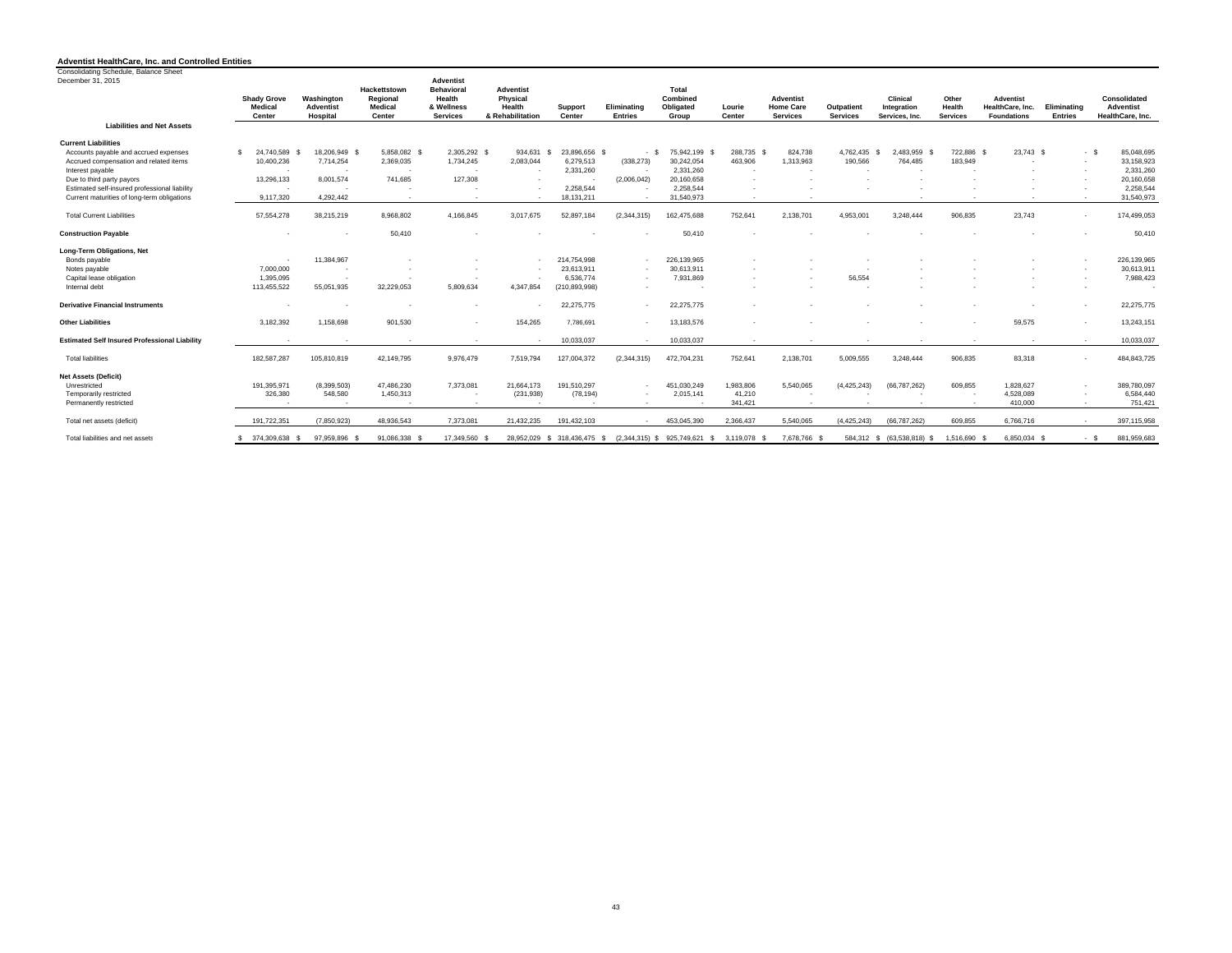| Consolidating Schedule, Balance Sheet<br>December 31, 2015 |                                         |                                                   | Hackettstown                  | <b>Adventist</b><br><b>Behavioral</b>   | <b>Adventist</b>                       |                          |                               | Total                                 |                          |                                                         |                               |                                           |                                    |                                                            |                               |                                                      |
|------------------------------------------------------------|-----------------------------------------|---------------------------------------------------|-------------------------------|-----------------------------------------|----------------------------------------|--------------------------|-------------------------------|---------------------------------------|--------------------------|---------------------------------------------------------|-------------------------------|-------------------------------------------|------------------------------------|------------------------------------------------------------|-------------------------------|------------------------------------------------------|
|                                                            | <b>Shady Grove</b><br>Medical<br>Center | Washington<br><b>Adventist</b><br><b>Hospital</b> | Regional<br>Medical<br>Center | Health<br>& Wellness<br><b>Services</b> | Physical<br>Health<br>& Rehabilitation | <b>Support</b><br>Center | Eliminating<br><b>Entries</b> | Combined<br>Obligated<br>Group        | Lourie<br>Center         | <b>Adventist</b><br><b>Home Care</b><br><b>Services</b> | Outpatient<br><b>Services</b> | Clinical<br>Integration<br>Services, Inc. | Other<br>Health<br><b>Services</b> | <b>Adventist</b><br>HealthCare, Inc.<br><b>Foundations</b> | Eliminating<br><b>Entries</b> | Consolidated<br><b>Adventist</b><br>HealthCare, Inc. |
| <b>Liabilities and Net Assets</b>                          |                                         |                                                   |                               |                                         |                                        |                          |                               |                                       |                          |                                                         |                               |                                           |                                    |                                                            |                               |                                                      |
| <b>Current Liabilities</b>                                 |                                         |                                                   |                               |                                         |                                        |                          |                               |                                       |                          |                                                         |                               |                                           |                                    |                                                            |                               |                                                      |
| Accounts payable and accrued expenses                      | 24.740.589                              | 18.206.949 \$                                     | 5.858.082                     | 2.305.292                               | 934.631                                | 23,896,656 \$            | $-S$                          | 75.942.199                            | 288,735 \$               | 824.738                                                 | 4.762.435                     | 2.483.959<br>- \$                         | 722.886 \$                         | 23.743 \$                                                  |                               | 85,048,695<br>- \$                                   |
| Accrued compensation and related items                     | 10,400,236                              | 7,714,254                                         | 2.369.035                     | 1,734,245                               | 2.083.044                              | 6,279,513                | (338, 273)                    | 30,242,054                            | 463.906                  | 1,313,963                                               | 190,566                       | 764.485                                   | 183,949                            | $\sim$                                                     | $\sim$                        | 33,158,923                                           |
| Interest pavable                                           |                                         |                                                   |                               | $\overline{\phantom{a}}$                |                                        | 2,331,260                |                               | 2.331.260                             |                          |                                                         |                               |                                           |                                    |                                                            |                               | 2,331,260                                            |
| Due to third party payors                                  | 13,296,133                              | 8,001,574                                         | 741.685                       | 127,308                                 |                                        |                          | (2,006,042)                   | 20,160,658                            |                          |                                                         |                               |                                           |                                    |                                                            |                               | 20,160,658                                           |
| Estimated self-insured professional liability              |                                         |                                                   |                               | ٠                                       |                                        | 2.258.544                |                               | 2.258.544                             |                          |                                                         |                               |                                           |                                    |                                                            |                               | 2,258,544                                            |
| Current maturities of long-term obligations                | 9.117.320                               | 4.292.442                                         |                               | $\overline{\phantom{a}}$                |                                        | 18.131.211               |                               | 31.540.973                            | $\overline{\phantom{a}}$ |                                                         |                               |                                           |                                    | $\overline{\phantom{a}}$                                   | $\overline{\phantom{a}}$      | 31.540.973                                           |
| <b>Total Current Liabilities</b>                           | 57,554,278                              | 38,215,219                                        | 8.968.802                     | 4,166,845                               | 3.017.675                              | 52.897.184               | (2,344,315)                   | 162,475,688                           | 752,641                  | 2,138,701                                               | 4,953,001                     | 3,248,444                                 | 906,835                            | 23.743                                                     | $\sim$                        | 174,499,053                                          |
| <b>Construction Payable</b>                                |                                         |                                                   | 50.410                        |                                         |                                        |                          |                               | 50,410                                |                          |                                                         |                               |                                           |                                    |                                                            |                               | 50,410                                               |
| Long-Term Obligations, Net                                 |                                         |                                                   |                               |                                         |                                        |                          |                               |                                       |                          |                                                         |                               |                                           |                                    |                                                            |                               |                                                      |
| Bonds payable                                              |                                         | 11.384.967<br>$\sim$                              |                               |                                         |                                        | 214,754,998              | $\overline{\phantom{a}}$      | 226,139,965                           |                          |                                                         |                               |                                           |                                    |                                                            |                               | 226,139,965                                          |
| Notes payable                                              | 7.000.000                               |                                                   |                               |                                         |                                        | 23,613,911               |                               | 30,613,911                            |                          |                                                         |                               |                                           |                                    |                                                            |                               | 30,613,911                                           |
| Capital lease obligation                                   | 1,395,095                               |                                                   |                               |                                         |                                        | 6,536,774                |                               | 7,931,869                             |                          |                                                         | 56,554                        |                                           |                                    |                                                            |                               | 7,988,423                                            |
| Internal debt                                              | 113,455,522                             | 55,051,935                                        | 32,229,053                    | 5,809,634                               | 4,347,854                              | (210, 893, 998)          |                               |                                       |                          |                                                         |                               |                                           |                                    |                                                            |                               |                                                      |
| <b>Derivative Financial Instruments</b>                    |                                         |                                                   |                               |                                         |                                        | 22,275,775               | $\overline{\phantom{a}}$      | 22,275,775                            |                          |                                                         |                               |                                           |                                    |                                                            |                               | 22,275,775                                           |
| <b>Other Liabilities</b>                                   | 3,182,392                               | 1,158,698                                         | 901.530                       | ٠                                       | 154,265                                | 7,786,691                | $\overline{\phantom{a}}$      | 13,183,576                            |                          |                                                         |                               |                                           |                                    | 59,575                                                     | $\overline{\phantom{a}}$      | 13,243,151                                           |
| <b>Estimated Self Insured Professional Liability</b>       |                                         |                                                   |                               |                                         |                                        | 10,033,037               | $\overline{\phantom{a}}$      | 10,033,037                            | $\overline{\phantom{a}}$ |                                                         |                               |                                           |                                    |                                                            | $\overline{\phantom{a}}$      | 10,033,037                                           |
| <b>Total liabilities</b>                                   | 182,587,287                             | 105,810,819                                       | 42,149,795                    | 9,976,479                               | 7,519,794                              | 127,004,372              | (2,344,315)                   | 472,704,231                           | 752,641                  | 2,138,701                                               | 5,009,555                     | 3,248,444                                 | 906,835                            | 83,318                                                     |                               | 484,843,725                                          |
| <b>Net Assets (Deficit)</b>                                |                                         |                                                   |                               |                                         |                                        |                          |                               |                                       |                          |                                                         |                               |                                           |                                    |                                                            |                               |                                                      |
| Unrestricted                                               | 191.395.971                             | (8,399,503)                                       | 47,486,230                    | 7.373.081                               | 21.664.173                             | 191.510.297              |                               | 451.030.249                           | 1.983.806                | 5,540,065                                               | (4, 425, 243)                 | (66, 787, 262)                            | 609,855                            | 1,828,627                                                  |                               | 389,780,097                                          |
| Temporarily restricted                                     | 326,380                                 | 548,580                                           | 1,450,313                     |                                         | (231, 938)                             | (78, 194)                |                               | 2,015,141                             | 41,210                   |                                                         |                               |                                           |                                    | 4,528,089                                                  |                               | 6,584,440                                            |
| Permanently restricted                                     |                                         |                                                   |                               |                                         |                                        |                          |                               |                                       | 341,421                  |                                                         |                               |                                           |                                    | 410,000                                                    | $\sim$                        | 751,421                                              |
| Total net assets (deficit)                                 | 191.722.351                             | (7.850.923)                                       | 48.936.543                    | 7.373.081                               | 21.432.235                             | 191.432.103              | $\overline{\phantom{a}}$      | 453.045.390                           | 2.366.437                | 5.540.065                                               | (4.425.243)                   | (66.787.262)                              | 609.855                            | 6.766.716                                                  | $\sim$                        | 397.115.958                                          |
| Total liabilities and net assets                           | 374.309.638<br>-S.                      | 97.959.896<br>- \$                                | 91.086.338<br>- 93            | 17,349,560                              | 28.952.029 \$                          | 318.436.475 \$           |                               | (2.344.315) \$925.749.621<br><b>S</b> | 3.119.078                | 7.678.766 \$                                            | 584.312 \$                    | $(63.538.818)$ \$                         | 1.516.690                          | 6.850.034 \$                                               |                               | 881.959.683<br>- \$                                  |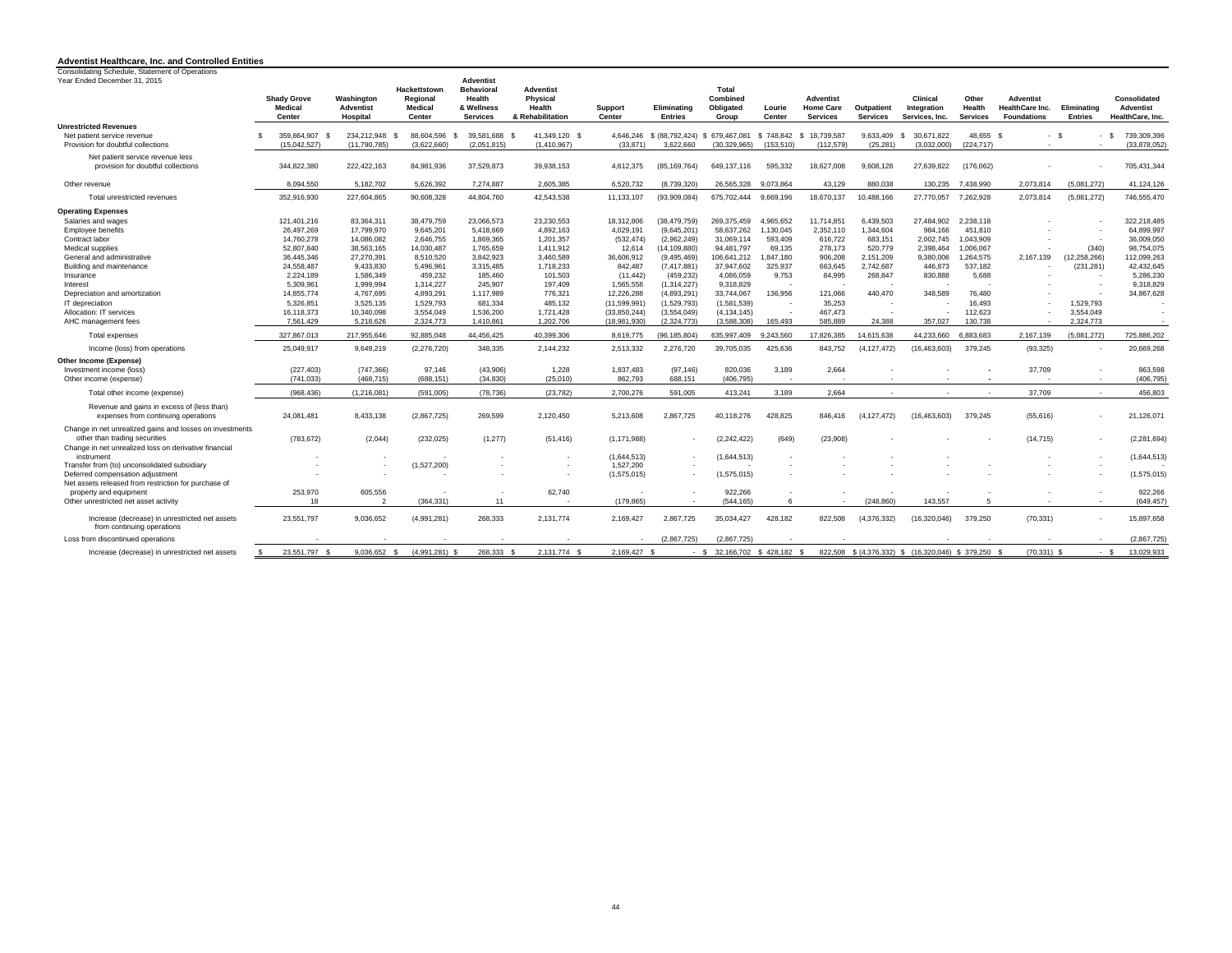#### **Adventist Healthcare, Inc. and Controlled Entities**<br>Consolidating Schedule, Statement of Operations

| Year Ended December 31, 2015                                                              |                           |                     |                         | <b>Adventist</b>        |                         |                         |                                |                                 |           |                   |                        |                                                      |                          |                        |                |                  |
|-------------------------------------------------------------------------------------------|---------------------------|---------------------|-------------------------|-------------------------|-------------------------|-------------------------|--------------------------------|---------------------------------|-----------|-------------------|------------------------|------------------------------------------------------|--------------------------|------------------------|----------------|------------------|
|                                                                                           |                           |                     | Hackettstown            | <b>Behavioral</b>       | <b>Adventist</b>        |                         |                                | Total                           |           |                   |                        |                                                      |                          |                        |                |                  |
|                                                                                           | <b>Shady Grove</b>        | Washington          | Regional                | Health                  | <b>Physical</b>         |                         |                                | Combined                        |           | <b>Adventist</b>  |                        | Clinical                                             | Other                    | Adventist              |                | Consolidated     |
|                                                                                           | Medical                   | <b>Adventist</b>    | Medical                 | & Wellness              | Health                  | <b>Support</b>          | Eliminating                    | <b>Obligated</b>                | Lourie    | <b>Home Care</b>  | Outpatient             | Integration                                          | Health                   | <b>HealthCare Inc.</b> | Eliminating    | <b>Adventist</b> |
|                                                                                           | Center                    | Hospital            | Center                  | <b>Services</b>         | & Rehabilitation        | Center                  | <b>Entries</b>                 | Group                           | Center    | <b>Services</b>   | <b>Services</b>        | Services, Inc.                                       | <b>Services</b>          | <b>Foundations</b>     | <b>Entries</b> | HealthCare, Inc. |
| <b>Unrestricted Revenues</b>                                                              |                           |                     |                         |                         |                         |                         |                                |                                 |           |                   |                        |                                                      |                          |                        |                |                  |
| Net patient service revenue                                                               | 359,864,907<br>s<br>-8    | 234,212,948<br>- 53 | 88,604,596<br>-S        | 39,581,688              | 41,349,120 \$<br>- S    | 4,646,246               | \$ (88,792,424) \$ 679,467,081 |                                 | \$748,842 | 18,739,587<br>-SS | 9,633,409              | 30,671,822<br>-S                                     | 48,655 \$                | $-$ \$                 | - \$           | 739,309,396      |
| Provision for doubtful collections                                                        | (15.042.527)              | (11.790.785)        | (3.622.660)             | (2.051.815)             | (1.410.967)             | (33.871)                | 3.622.660                      | (30.329.965)                    | (153,510  | (112.579)         | (25.281)               | (3,032,000)                                          | (224.717)                |                        |                | (33,878,052)     |
| Net patient service revenue less                                                          |                           |                     |                         |                         |                         |                         |                                |                                 |           |                   |                        |                                                      |                          |                        |                |                  |
| provision for doubtful collections                                                        | 344,822,380               | 222,422,163         | 84,981,936              | 37,529,873              | 39,938,153              | 4,612,375               | (85, 169, 764)                 | 649,137,116                     | 595.332   | 18,627,008        | 9,608,128              | 27,639,822                                           | (176,062)                |                        |                | 705,431,344      |
| Other revenue                                                                             | 8.094.550                 | 5.182.702           | 5.626.392               | 7.274.887               | 2.605.385               | 6.520.732               | (8.739.320)                    | 26,565,328                      | 9.073.864 | 43.129            | 880.038                | 130.235                                              | 7.438.990                | 2.073.814              | (5.081.272)    | 41.124.126       |
| Total unrestricted revenues                                                               | 352,916,930               | 227,604,865         | 90.608.328              | 44,804,760              | 42,543,538              | 11,133,107              | (93,909,084)                   | 675,702,444                     | 9,669,196 | 18,670,137        | 10,488,166             | 27,770,057                                           | 7.262.928                | 2,073,814              | (5,081,272)    | 746,555,470      |
|                                                                                           |                           |                     |                         |                         |                         |                         |                                |                                 |           |                   |                        |                                                      |                          |                        |                |                  |
| <b>Operating Expenses</b>                                                                 |                           | 83,364,311          |                         |                         |                         |                         |                                |                                 | 4,965,652 | 11,714,851        |                        | 27.484.902                                           |                          |                        |                | 322,218,485      |
| Salaries and wages                                                                        | 121,401,216<br>26,497,269 | 17,799,970          | 38,479,759<br>9,645,201 | 23,066,573<br>5,418,669 | 23,230,553<br>4,892,163 | 18,312,806<br>4,029,191 | (38, 479, 759)<br>(9,645,201)  | 269,375,459<br>58,637,262       | 1,130,045 | 2,352,110         | 6,439,503<br>1,344,604 | 984,166                                              | 2,238,118<br>451,810     |                        |                | 64,899,997       |
| <b>Employee benefits</b><br>Contract labor                                                | 14,760,278                | 14,086,082          | 2,646,755               | 1,869,365               | 1,201,357               | (532, 474)              | (2,962,249)                    | 31,069,114                      | 593,409   | 616,722           | 683,151                | 2,002,745                                            | 1,043,909                |                        |                | 36,009,050       |
| <b>Medical supplies</b>                                                                   | 52.807.840                | 38,563,165          | 14,030,487              | 1,765,659               | 1.411.912               | 12,614                  | (14, 109, 880)                 | 94.481.797                      | 69.135    | 278.173           | 520,779                | 2.398.464                                            | 1.006.067                |                        | (340)          | 98,754,075       |
| General and administrative                                                                | 36,445,346                | 27,270,391          | 8,510,520               | 3,842,923               | 3,460,589               | 36,606,912              | (9,495,469)                    | 106,641,212                     | 1,847,180 | 906,208           | 2,151,209              | 9,380,006                                            | 1,264,575                | 2,167,139              | (12, 258, 266) | 112,099,263      |
| Building and maintenance                                                                  | 24,558,487                | 9,433,830           | 5,496,961               | 3,315,485               | 1,718,233               | 842,487                 | (7, 417, 881)                  | 37,947,602                      | 325,937   | 663,645           | 2,742,687              | 446,873                                              | 537,182                  |                        | (231, 281)     | 42,432,645       |
| Insurance                                                                                 | 2,224,189                 | 1,586,349           | 459,232                 | 185,460                 | 101,503                 | (11, 442)               | (459, 232)                     | 4,086,059                       | 9,753     | 84,995            | 268,847                | 830,888                                              | 5,688                    |                        |                | 5,286,230        |
| Interest                                                                                  | 5,309,961                 | 1,999,994           | 1,314,227               | 245.907                 | 197.409                 | 1,565,558               | (1,314,227)                    | 9,318,829                       |           |                   |                        |                                                      |                          |                        |                | 9,318,829        |
| Depreciation and amortization                                                             | 14,855,774                | 4,767,695           | 4.893.291               | 1.117.989               | 776.321                 | 12,226,288              | (4,893,291)                    | 33.744.067                      | 136.956   | 121,066           | 440.470                | 348.589                                              | 76.480                   |                        |                | 34,867,628       |
| IT depreciation                                                                           | 5,326,851                 | 3,525,135           | 1,529,793               | 681,334                 | 485.132                 | (11,599,991)            | (1,529,793)                    | (1,581,539)                     |           | 35,253            |                        |                                                      | 16,493                   |                        | 1.529.793      |                  |
| Allocation: IT services                                                                   | 16,118,373                | 10,340,098          | 3,554,049               | 1,536,200               | 1,721,428               | (33,850,244)            | (3,554,049)                    | (4, 134, 145)                   |           | 467,473           |                        |                                                      | 112,623                  |                        | 3,554,049      |                  |
| AHC management fees                                                                       | 7,561,429                 | 5,218,626           | 2,324,773               | 1,410,861               | 1,202,706               | (18,981,930)            | (2,324,773)                    | (3,588,308)                     | 165,493   | 585,889           | 24,388                 | 357,027                                              | 130,738                  |                        | 2,324,773      |                  |
| Total expenses                                                                            | 327,867,013               | 217,955,646         | 92.885.048              | 44.456.425              | 40,399,306              | 8,619,775               | (96, 185, 804)                 | 635,997,409                     | 9,243,560 | 17,826,385        | 14.615.638             | 44.233.660                                           | 6.883.683                | 2,167,139              | (5,081,272)    | 725,886,202      |
| Income (loss) from operations                                                             | 25,049,917                | 9,649,219           | (2, 276, 720)           | 348,335                 | 2,144,232               | 2,513,332               | 2,276,720                      | 39,705,035                      | 425,636   | 843,752           | (4, 127, 472)          | (16, 463, 603)                                       | 379,245                  | (93, 325)              |                | 20,669,268       |
| Other Income (Expense)                                                                    |                           |                     |                         |                         |                         |                         |                                |                                 |           |                   |                        |                                                      |                          |                        |                |                  |
| Investment income (loss)                                                                  | (227, 403)                | (747, 366)          | 97,146                  | (43,906)                | 1,228                   | 1,837,483               | (97, 146)                      | 820,036                         | 3,189     | 2,664             |                        |                                                      | $\overline{\phantom{a}}$ | 37,709                 |                | 863,598          |
| Other income (expense)                                                                    | (741.033)                 | (468, 715)          | (688, 151)              | (34, 830)               | (25,010)                | 862.793                 | 688,151                        | (406, 795)                      |           |                   |                        |                                                      |                          |                        |                | (406,795)        |
| Total other income (expense)                                                              | (968, 436)                | (1,216,081)         | (591,005)               | (78, 736)               | (23, 782)               | 2,700,276               | 591,005                        | 413,241                         | 3,189     | 2,664             |                        |                                                      | $\sim$                   | 37,709                 | $\sim$         | 456,803          |
| Revenue and gains in excess of (less than)                                                |                           |                     |                         |                         |                         |                         |                                |                                 |           |                   |                        |                                                      |                          |                        |                |                  |
| expenses from continuing operations                                                       | 24,081,481                | 8,433,138           | (2,867,725)             | 269,599                 | 2,120,450               | 5,213,608               | 2,867,725                      | 40,118,276                      | 428,825   | 846,416           | (4, 127, 472)          | (16, 463, 603)                                       | 379,245                  | (55,616)               |                | 21,126,071       |
|                                                                                           |                           |                     |                         |                         |                         |                         |                                |                                 |           |                   |                        |                                                      |                          |                        |                |                  |
| Change in net unrealized gains and losses on investments<br>other than trading securities | (783, 672)                | (2,044)             | (232, 025)              | (1, 277)                | (51, 416)               | (1, 171, 988)           |                                | (2, 242, 422)                   | (649)     | (23,908)          |                        |                                                      |                          | (14, 715)              |                | (2, 281, 694)    |
| Change in net unrealized loss on derivative financial                                     |                           |                     |                         |                         |                         |                         |                                |                                 |           |                   |                        |                                                      |                          |                        |                |                  |
| instrument                                                                                |                           |                     |                         |                         |                         | (1.644.513)             |                                | (1,644,513)                     |           |                   |                        |                                                      |                          |                        |                | (1,644,513)      |
| Transfer from (to) unconsolidated subsidiary                                              |                           |                     | (1,527,200)             |                         |                         | 1.527.200               |                                |                                 |           |                   |                        |                                                      |                          |                        |                |                  |
| Deferred compensation adjustment                                                          |                           |                     |                         |                         |                         | (1,575,015)             |                                | (1,575,015)                     |           |                   |                        |                                                      |                          |                        |                | (1,575,015)      |
| Net assets released from restriction for purchase of                                      |                           |                     |                         |                         |                         |                         |                                |                                 |           |                   |                        |                                                      |                          |                        |                |                  |
| property and equipment                                                                    | 253,970                   | 605,556             |                         |                         | 62,740                  |                         |                                | 922.266                         |           |                   |                        |                                                      |                          |                        |                | 922,266          |
| Other unrestricted net asset activity                                                     | 18                        | $\mathfrak{p}$      | (364, 331)              | 11                      |                         | (179, 865)              |                                | (544.165)                       | 6         |                   | (248, 860)             | 143.557                                              | 5                        |                        | $\sim$         | (649, 457)       |
| Increase (decrease) in unrestricted net assets                                            | 23,551,797                | 9.036.652           | (4,991,281)             | 268.333                 | 2.131.774               | 2,169,427               | 2.867.725                      | 35.034.427                      | 428.182   | 822.508           | (4.376.332)            | (16,320,046)                                         | 379,250                  | (70, 331)              |                | 15,897,658       |
| from continuing operations                                                                |                           |                     |                         |                         |                         |                         |                                |                                 |           |                   |                        |                                                      |                          |                        |                |                  |
| Loss from discontinued operations                                                         |                           |                     |                         |                         |                         |                         | (2.867.725)                    | (2.867.725)                     |           |                   |                        |                                                      |                          |                        | $\sim$         | (2,867,725)      |
| Increase (decrease) in unrestricted net assets                                            | 23.551.797 \$<br>S        | 9.036.652 \$        | $(4,991,281)$ \$        | 268.333 \$              | 2,131,774 \$            | 2,169,427 \$            |                                | $-$ \$ 32,166,702 \$ 428,182 \$ |           |                   |                        | 822,508 \$ (4,376,332) \$ (16,320,046) \$ 379,250 \$ |                          | $(70, 331)$ \$         | - \$           | 13,029,933       |
|                                                                                           |                           |                     |                         |                         |                         |                         |                                |                                 |           |                   |                        |                                                      |                          |                        |                |                  |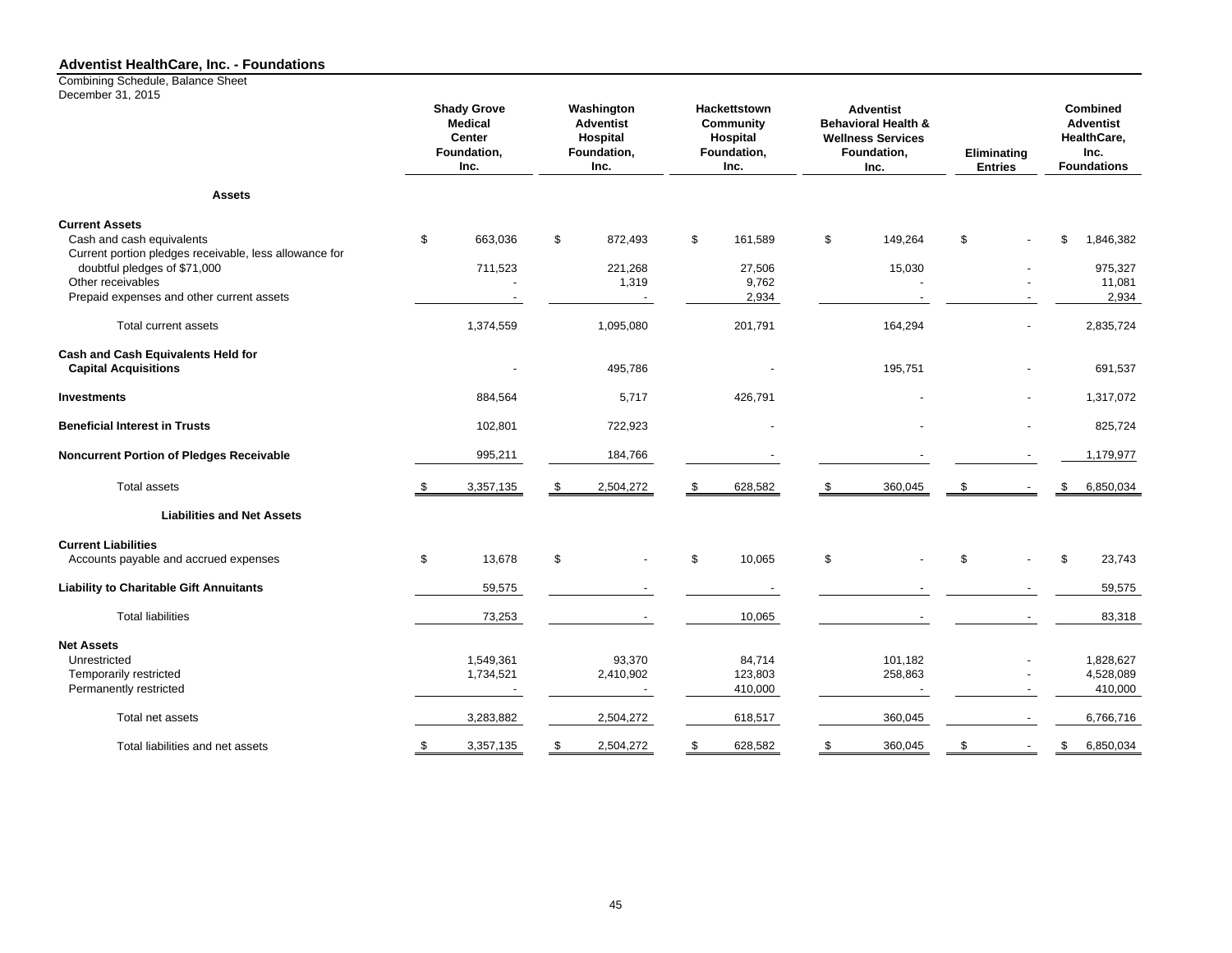#### **Eliminating Entries Current Assets**Cash and cash equivalents Cash and cash equivalents \$ 663,036 \$ 872,493 \$ 161,589 \$ 149,264 \$ - \$ 1,846,382 Current portion pledges receivable, less allowance for doubtful pledges of \$71,000 **711,523** 221,268 27,506 27,506 15,030 15,030 15,030 975,327<br>21,081 27,523 221,268 27,506 9762 Other receivables 1,319 9,762 11,081 Prepaid expenses and other current assets and other current assets and other current assets and other current assets and  $2.934$ Total current assets 1,095,080 1,374,559 201,791 164,294 - 2,835,724 **Cash and Cash Equivalents Held for Capital Acquisitions** 495,786 - - 195,751 - 691,537 **Investments** 884,564 5,717 426,791 - - 1,317,072 **Beneficial Interest in Trusts** 722,5724 102,801 102,801 722,923 102,801 102,801 102,801 102,801 102,801 102,801 102,801 102,801 102,801 102,801 102,801 102,801 102,801 102,801 102,801 102,801 102,801 102,801 102,801 102,8 **Noncurrent Portion of Pledges Receivable 1,179,977 184,766 184,766 1,179,977 1,179,977 1,179,977** Total assets \$ 2,504,272 3,357,135 \$ 628,582 \$ 360,045 \$ - \$ 6,850,034 \$ **Current Liabilities**Accounts payable and accrued expenses 6 5 5 13,678 \$ - \$ 10,065 \$ - \$ 23,743 **Liability to Charitable Gift Annuitants** 59,575 - - - - 59,575 Total liabilities **and the set of the set of the set of the set of the set of the set of the set of the set of the set of the set of the set of the set of the set of the set of the set of the set of the set of the set of t**  73,253 10,065 - - 83,318 **Net Assets**Unrestrictedd 1,549,361 93,370 84,714 101,182 - 1,828,627 Temporarily restricted 1,734,521 2,410,902 123,803 258,863 - 4,528,089 Permanently restricted - - 410,000 - - 410,000 Total net assets 2,504,272 3,283,882 618,517 360,045 - 6,766,716 Total liabilities and net assets \$ 2,504,272 3,357,135 \$ 628,582 \$ 360,045 \$ - \$ 6,850,034 \$ **Hospital Medical Hospital Inc.AssetsLiabilities and Net AssetsInc. AdventistInc. Foundation, Foundation, Foundation, Foundation, Inc. HealthCare, Adventist CombinedFoundations**Combining Schedule, Balance Sheet December 31, 2015 **Inc. Hackettstown Adventist Behavioral Health &Center Community Shady Grove Washington Wellness Services**

**Adventist HealthCare, Inc. - Foundations**